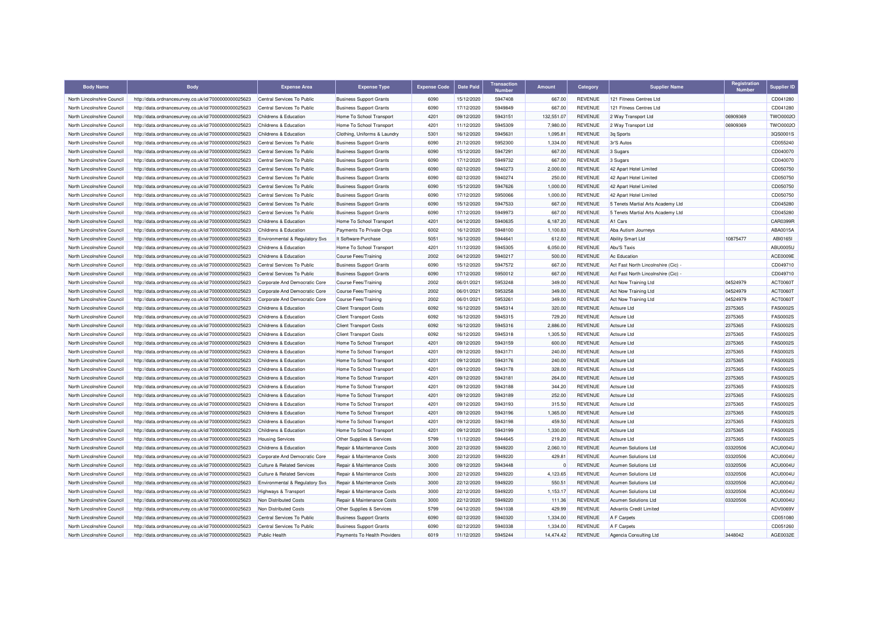| <b>Body Name</b>           | <b>Body</b>                                          | <b>Expense Area</b>                       | <b>Expense Type</b>            | <b>Expense Code</b> | <b>Date Paid</b> | <b>Transaction</b><br><b>Number</b> | Amount       | Category                         | <b>Supplier Name</b>              | Registration<br><b>Number</b> | <b>Supplier ID</b> |
|----------------------------|------------------------------------------------------|-------------------------------------------|--------------------------------|---------------------|------------------|-------------------------------------|--------------|----------------------------------|-----------------------------------|-------------------------------|--------------------|
| North Lincolnshire Council | http://data.ordnancesurvey.co.uk/id/7000000000025623 | Central Services To Public                | <b>Business Support Grants</b> | 6090                | 15/12/2020       | 5947408                             | 667.00       | REVENUE                          | 121 Fitness Centres Ltd           |                               | CD041280           |
| North Lincolnshire Council | http://data.ordnancesurvey.co.uk/id/7000000000025623 | Central Services To Public                | <b>Business Support Grants</b> | 6090                | 17/12/2020       | 5949849                             | 667.00       | <b>REVENUE</b>                   | 121 Fitness Centres Ltd           |                               | CD041280           |
| North Lincolnshire Council | http://data.ordnancesurvey.co.uk/id/7000000000025623 | <b>Childrens &amp; Education</b>          | Home To School Transport       | 4201                | 09/12/2020       | 5943151                             | 132,551.07   | <b>REVENUE</b>                   | 2 Way Transport Ltd               | 06909369                      | <b>TWO0002C</b>    |
| North Lincolnshire Council | http://data.ordnancesurvey.co.uk/id/7000000000025623 | Childrens & Education                     | Home To School Transport       | 4201                | 11/12/2020       | 5945309                             | 7,980.00     | REVENUE                          | 2 Way Transport Ltd               | 06909369                      | <b>TWO0002C</b>    |
| North Lincolnshire Council | http://data.ordnancesurvey.co.uk/id/7000000000025623 | Childrens & Education                     | Clothing, Uniforms & Laundry   | 5301                | 16/12/2020       | 5945631                             | 1,095.81     | <b>REVENUE</b>                   | 3q Sports                         |                               | 3QS0001S           |
| North Lincolnshire Council | http://data.ordnancesurvey.co.uk/id/7000000000025623 | Central Services To Public                | <b>Business Support Grants</b> | 6090                | 21/12/2020       | 5952300                             | 1,334.00     | <b>REVENUE</b>                   | 3r'S Autos                        |                               | CD055240           |
| North Lincolnshire Council | http://data.ordnancesurvey.co.uk/id/7000000000025623 | Central Services To Public                | <b>Business Support Grants</b> | 6090                | 15/12/2020       | 5947291                             | 667.00       | <b>REVENUE</b>                   | 3 Sugars                          |                               | CD040070           |
| North Lincolnshire Council | http://data.ordnancesurvey.co.uk/id/7000000000025623 | Central Services To Public                | <b>Business Support Grants</b> | 6090                | 17/12/2020       | 5949732                             | 667.00       | <b>REVENUE</b>                   | 3 Sugars                          |                               | CD040070           |
| North Lincolnshire Council | http://data.ordnancesurvey.co.uk/id/7000000000025623 | Central Services To Public                | <b>Business Support Grants</b> | 6090                | 02/12/2020       | 5940273                             | 2,000.00     | <b>REVENUE</b>                   | 42 Apart Hotel Limited            |                               | CD050750           |
| North Lincolnshire Council | http://data.ordnancesurvey.co.uk/id/7000000000025623 | Central Services To Public                | <b>Business Support Grants</b> | 6090                | 02/12/2020       | 5940274                             | 250.00       | <b>REVENUE</b>                   | 42 Apart Hotel Limited            |                               | CD050750           |
| North Lincolnshire Council | http://data.ordnancesurvey.co.uk/id/7000000000025623 | Central Services To Public                | <b>Business Support Grants</b> | 6090                | 15/12/2020       | 5947626                             | 1,000.00     | <b>REVENUE</b>                   | 42 Apart Hotel Limited            |                               | CD050750           |
| North Lincolnshire Council | http://data.ordnancesurvey.co.uk/id/7000000000025623 | Central Services To Public                | <b>Business Support Grants</b> | 6090                | 17/12/2020       | 5950066                             | 1,000.00     | <b>REVENUE</b>                   | 42 Apart Hotel Limited            |                               | CD050750           |
| North Lincolnshire Council | http://data.ordnancesurvey.co.uk/id/7000000000025623 | Central Services To Public                | <b>Business Support Grants</b> | 6090                | 15/12/2020       | 5947533                             | 667.00       | <b>REVENUE</b>                   | 5 Tenets Martial Arts Academy Ltd |                               | CD045280           |
| North Lincolnshire Council | http://data.ordnancesurvey.co.uk/id/7000000000025623 | Central Services To Public                | <b>Business Support Grants</b> | 6090                | 17/12/2020       | 5949973                             | 667.00       | <b>REVENUE</b>                   | 5 Tenets Martial Arts Academy Ltd |                               | CD045280           |
| North Lincolnshire Council | http://data.ordnancesurvey.co.uk/id/7000000000025623 | Childrens & Education                     | Home To School Transport       | 4201                | 04/12/2020       | 5940635                             | 6,187.20     | <b>REVENUE</b>                   | A1 Cars                           |                               | CAR0399R           |
| North Lincolnshire Council | http://data.ordnancesurvey.co.uk/id/7000000000025623 | Childrens & Education                     | Payments To Private Orgs       | 6002                | 16/12/2020       | 5948100                             | 1,100.83     | <b>REVENUE</b>                   | Aba Autism Journeys               |                               | ABA0015A           |
| North Lincolnshire Council | http://data.ordnancesurvey.co.uk/id/7000000000025623 | <b>Environmental &amp; Regulatory Svs</b> | It Software-Purchase           | 5051                | 16/12/2020       | 5944641                             | 612.00       | <b>REVENUE</b>                   | <b>Ability Smart Ltd</b>          | 10875477                      | ABI01651           |
| North Lincolnshire Council | http://data.ordnancesurvey.co.uk/id/7000000000025623 | Childrens & Education                     | Home To School Transport       | 4201                | 11/12/2020       | 5945305                             | 6,050.00     | <b>REVENUE</b>                   | Abu'S Taxis                       |                               | ABU0005U           |
| North Lincolnshire Council | http://data.ordnancesurvey.co.uk/id/7000000000025623 | Childrens & Education                     | Course Fees/Training           | 2002                | 04/12/2020       | 5940217                             | 500.00       | <b>REVENUE</b>                   | Ac Education                      |                               | ACE0009E           |
| North Lincolnshire Council | http://data.ordnancesurvey.co.uk/id/7000000000025623 | Central Services To Public                | <b>Business Support Grants</b> | 6090                | 15/12/2020       | 5947572                             | 667.00       | <b>REVENUE</b>                   | Act Fast North Lincolnshire (Cic) |                               | CD049710           |
| North Lincolnshire Council | http://data.ordnancesurvey.co.uk/id/7000000000025623 | Central Services To Public                | <b>Business Support Grants</b> | 6090                | 17/12/2020       | 5950012                             | 667.00       | <b>REVENUE</b>                   | Act Fast North Lincolnshire (Cic) |                               | CD049710           |
| North Lincolnshire Council |                                                      | Corporate And Democratic Core             |                                | 2002                | 06/01/2021       | 5953248                             | 349.00       | <b>REVENUE</b>                   |                                   | 04524979                      |                    |
|                            | http://data.ordnancesurvey.co.uk/id/7000000000025623 |                                           | <b>Course Fees/Training</b>    | 2002                |                  |                                     |              |                                  | Act Now Training Ltd              | 04524979                      | <b>ACT0060T</b>    |
| North Lincolnshire Council | http://data.ordnancesurvey.co.uk/id/7000000000025623 | Corporate And Democratic Core             | <b>Course Fees/Training</b>    |                     | 06/01/2021       | 5953258                             | 349.00       | <b>REVENUE</b>                   | Act Now Training Ltd              |                               | <b>ACT0060T</b>    |
| North Lincolnshire Council | http://data.ordnancesurvey.co.uk/id/7000000000025623 | Corporate And Democratic Core             | <b>Course Fees/Training</b>    | 2002<br>6092        | 06/01/2021       | 5953261                             | 349.00       | <b>REVENUE</b><br><b>REVENUE</b> | Act Now Training Ltd              | 04524979<br>2375365           | ACT0060T           |
| North Lincolnshire Council | http://data.ordnancesurvey.co.uk/id/7000000000025623 | <b>Childrens &amp; Education</b>          | <b>Client Transport Costs</b>  |                     | 16/12/2020       | 5945314                             | 320.00       |                                  | Actsure Ltd                       |                               | <b>FAS0002S</b>    |
| North Lincolnshire Council | http://data.ordnancesurvey.co.uk/id/7000000000025623 | Childrens & Education                     | <b>Client Transport Costs</b>  | 6092                | 16/12/2020       | 5945315                             | 729.20       | <b>REVENUE</b>                   | Actsure Ltd                       | 2375365                       | FAS0002S           |
| North Lincolnshire Council | http://data.ordnancesurvey.co.uk/id/7000000000025623 | Childrens & Education                     | <b>Client Transport Costs</b>  | 6092                | 16/12/2020       | 5945316                             | 2,886.00     | <b>REVENUE</b>                   | Actsure Ltd                       | 2375365                       | <b>FAS0002S</b>    |
| North Lincolnshire Council | http://data.ordnancesurvey.co.uk/id/7000000000025623 | Childrens & Education                     | <b>Client Transport Costs</b>  | 6092                | 16/12/2020       | 5945318                             | 1.305.50     | <b>REVENUE</b>                   | Actsure Ltd                       | 2375365                       | <b>FAS0002S</b>    |
| North Lincolnshire Council | http://data.ordnancesurvey.co.uk/id/7000000000025623 | Childrens & Education                     | Home To School Transport       | 4201                | 09/12/2020       | 5943159                             | 600.00       | <b>REVENUE</b>                   | <b>Actsure Ltd</b>                | 2375365                       | FAS0002S           |
| North Lincolnshire Council | http://data.ordnancesurvey.co.uk/id/7000000000025623 | Childrens & Education                     | Home To School Transport       | 4201                | 09/12/2020       | 5943171                             | 240.00       | <b>REVENUE</b>                   | Actsure Ltd                       | 2375365                       | FAS0002S           |
| North Lincolnshire Council | http://data.ordnancesurvey.co.uk/id/7000000000025623 | <b>Childrens &amp; Education</b>          | Home To School Transport       | 4201                | 09/12/2020       | 5943176                             | 240.00       | <b>REVENUE</b>                   | <b>Actsure Ltd</b>                | 2375365                       | <b>FAS0002S</b>    |
| North Lincolnshire Council | http://data.ordnancesurvey.co.uk/id/7000000000025623 | Childrens & Education                     | Home To School Transport       | 4201                | 09/12/2020       | 5943178                             | 328.00       | <b>REVENUE</b>                   | <b>Actsure Ltd</b>                | 2375365                       | <b>FAS0002S</b>    |
| North Lincolnshire Council | http://data.ordnancesurvey.co.uk/id/7000000000025623 | Childrens & Education                     | Home To School Transport       | 4201                | 09/12/2020       | 5943181                             | 264.00       | REVENUE                          | <b>Actsure Ltd</b>                | 2375365                       | FAS0002S           |
| North Lincolnshire Council | http://data.ordnancesurvey.co.uk/id/7000000000025623 | Childrens & Education                     | Home To School Transport       | 4201                | 09/12/2020       | 5943188                             | 344.20       | <b>REVENUE</b>                   | Actsure Ltd                       | 2375365                       | FAS0002S           |
| North Lincolnshire Council | http://data.ordnancesurvey.co.uk/id/7000000000025623 | Childrens & Education                     | Home To School Transport       | 4201                | 09/12/2020       | 5943189                             | 252.00       | <b>REVENUE</b>                   | Actsure Ltd                       | 2375365                       | FAS0002S           |
| North Lincolnshire Council | http://data.ordnancesurvey.co.uk/id/7000000000025623 | Childrens & Education                     | Home To School Transport       | 4201                | 09/12/2020       | 5943193                             | 315.50       | <b>REVENUE</b>                   | Actsure Ltd                       | 2375365                       | FAS0002S           |
| North Lincolnshire Council | http://data.ordnancesurvey.co.uk/id/7000000000025623 | Childrens & Education                     | Home To School Transport       | 4201                | 09/12/2020       | 5943196                             | 1,365.00     | <b>REVENUE</b>                   | Actsure Ltd                       | 2375365                       | FAS0002S           |
| North Lincolnshire Council | http://data.ordnancesurvey.co.uk/id/7000000000025623 | Childrens & Education                     | Home To School Transport       | 4201                | 09/12/2020       | 5943198                             | 459.50       | <b>REVENUE</b>                   | <b>Actsure Ltd</b>                | 2375365                       | FAS0002S           |
| North Lincolnshire Council | http://data.ordnancesurvey.co.uk/id/7000000000025623 | Childrens & Education                     | Home To School Transport       | 4201                | 09/12/2020       | 5943199                             | 1,330.00     | <b>REVENUE</b>                   | Actsure Ltd                       | 2375365                       | <b>FAS0002S</b>    |
| North Lincolnshire Council | http://data.ordnancesurvey.co.uk/id/7000000000025623 | <b>Housing Services</b>                   | Other Supplies & Services      | 5799                | 11/12/2020       | 5944645                             | 219.20       | <b>REVENUE</b>                   | Actsure Ltd                       | 2375365                       | FAS0002S           |
| North Lincolnshire Council | http://data.ordnancesurvey.co.uk/id/7000000000025623 | Childrens & Education                     | Repair & Maintenance Costs     | 3000                | 22/12/2020       | 5949220                             | 2,060.10     | <b>REVENUE</b>                   | Acumen Solutions Ltd              | 03320506                      | ACU0004U           |
| North Lincolnshire Council | http://data.ordnancesurvey.co.uk/id/7000000000025623 | Corporate And Democratic Core             | Repair & Maintenance Costs     | 3000                | 22/12/2020       | 5949220                             | 429.81       | <b>REVENUE</b>                   | Acumen Solutions Ltd              | 03320506                      | ACU0004L           |
| North Lincolnshire Council | http://data.ordnancesurvey.co.uk/id/7000000000025623 | Culture & Related Services                | Repair & Maintenance Costs     | 3000                | 09/12/2020       | 5943448                             | $\mathbf{0}$ | <b>REVENUE</b>                   | Acumen Solutions Ltd              | 03320506                      | <b>ACU0004U</b>    |
| North Lincolnshire Council | http://data.ordnancesurvey.co.uk/id/7000000000025623 | <b>Culture &amp; Related Services</b>     | Repair & Maintenance Costs     | 3000                | 22/12/2020       | 5949220                             | 4,123.65     | <b>REVENUE</b>                   | <b>Acumen Solutions Ltd</b>       | 03320506                      | ACU0004U           |
| North Lincolnshire Council | http://data.ordnancesurvey.co.uk/id/7000000000025623 | Environmental & Regulatory Svs            | Repair & Maintenance Costs     | 3000                | 22/12/2020       | 5949220                             | 550.51       | <b>REVENUE</b>                   | <b>Acumen Solutions Ltd</b>       | 03320506                      | ACU0004L           |
| North Lincolnshire Council | http://data.ordnancesurvey.co.uk/id/7000000000025623 | Highways & Transport                      | Repair & Maintenance Costs     | 3000                | 22/12/2020       | 5949220                             | 1,153.17     | <b>REVENUE</b>                   | <b>Acumen Solutions Ltd</b>       | 03320506                      | <b>ACU0004U</b>    |
| North Lincolnshire Council | http://data.ordnancesurvey.co.uk/id/7000000000025623 | Non Distributed Costs                     | Repair & Maintenance Costs     | 3000                | 22/12/2020       | 5949220                             | 111.36       | <b>REVENUE</b>                   | <b>Acumen Solutions Ltd</b>       | 03320506                      | ACU0004U           |
| North Lincolnshire Council | http://data.ordnancesurvey.co.uk/id/7000000000025623 | Non Distributed Costs                     | Other Supplies & Services      | 5799                | 04/12/2020       | 5941038                             | 429.99       | <b>REVENUE</b>                   | <b>Advantis Credit Limited</b>    |                               | ADV0069V           |
| North Lincolnshire Council | http://data.ordnancesurvey.co.uk/id/7000000000025623 | Central Services To Public                | <b>Business Support Grants</b> | 6090                | 02/12/2020       | 5940320                             | 1,334.00     | <b>REVENUE</b>                   | A F Carpets                       |                               | CD051080           |
| North Lincolnshire Council | http://data.ordnancesurvey.co.uk/id/7000000000025623 | Central Services To Public                | <b>Business Support Grants</b> | 6090                | 02/12/2020       | 5940338                             | 1,334.00     | <b>REVENUE</b>                   | A F Carpets                       |                               | CD051260           |
| North Lincolnshire Council | http://data.ordnancesurvey.co.uk/id/7000000000025623 | <b>Public Health</b>                      | Payments To Health Providers   | 6019                | 11/12/2020       | 5945244                             | 14,474.42    | <b>REVENUE</b>                   | Agencia Consulting Ltd            | 3448042                       | AGE0032E           |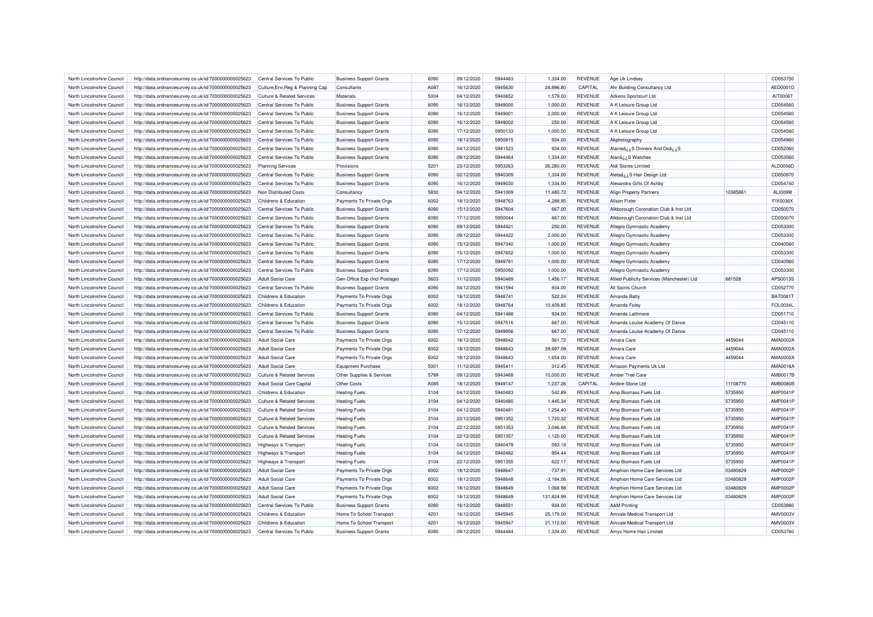| North Lincolnshire Council | http://data.ordnancesurvey.co.uk/id/7000000000025623                                                         | Central Services To Public            | <b>Business Support Grants</b> | 6090 | 09/12/2020 | 5944483 | 1,334.00    | <b>REVENUE</b> | Age Uk Lindsey                             |          | CD053750        |
|----------------------------|--------------------------------------------------------------------------------------------------------------|---------------------------------------|--------------------------------|------|------------|---------|-------------|----------------|--------------------------------------------|----------|-----------------|
| North Lincolnshire Council | http://data.ordnancesurvey.co.uk/id/7000000000025623                                                         | Culture, Env, Reg & Planning Cap      | Consultants                    | A087 | 16/12/2020 | 5945630 | 24,896.80   | CAPITAL        | Ahr Building Consultancy Ltd               |          | AED0001D        |
| North Lincolnshire Council | http://data.ordnancesurvey.co.uk/id/7000000000025623                                                         | <b>Culture &amp; Related Services</b> | Materials                      | 5004 | 04/12/2020 | 5940652 | 1,579.00    | <b>REVENUE</b> | Aitkens Sportsturf Ltd                     |          | AIT0006T        |
| North Lincolnshire Council | http://data.ordnancesurvey.co.uk/id/7000000000025623                                                         | Central Services To Public            | <b>Business Support Grants</b> | 6090 | 16/12/2020 | 5949000 | 1,000.00    | <b>REVENUE</b> | A K Leisure Group Ltd                      |          | CD054560        |
| North Lincolnshire Council | http://data.ordnancesurvey.co.uk/id/7000000000025623                                                         | Central Services To Public            | <b>Business Support Grants</b> | 6090 | 16/12/2020 | 5949001 | 2,000.00    | <b>REVENUE</b> | A K Leisure Group Ltd                      |          | CD054560        |
| North Lincolnshire Council | http://data.ordnancesurvey.co.uk/id/7000000000025623                                                         | Central Services To Public            | <b>Business Support Grants</b> | 6090 | 16/12/2020 | 5949002 | 250.00      | <b>REVENUE</b> | A K Leisure Group Ltd                      |          | CD054560        |
| North Lincolnshire Council | http://data.ordnancesurvey.co.uk/id/7000000000025623                                                         | Central Services To Public            | <b>Business Support Grants</b> | 6090 | 17/12/2020 | 5950133 | 1,000.00    | <b>REVENUE</b> | A K Leisure Group Ltd                      |          | CD054560        |
| North Lincolnshire Council | http://data.ordnancesurvey.co.uk/id/7000000000025623                                                         | Central Services To Public            | <b>Business Support Grants</b> | 6090 | 18/12/2020 | 5950815 | 934.00      | <b>REVENUE</b> | Akphotography                              |          | CD054960        |
| North Lincolnshire Council | http://data.ordnancesurvey.co.uk/id/7000000000025623                                                         | Central Services To Public            | <b>Business Support Grants</b> | 6090 | 04/12/2020 | 5941523 | 934.00      | <b>REVENUE</b> | Alaineâzz S Dinners And Doâzz S            |          | CD052060        |
| North Lincolnshire Council | http://data.ordnancesurvey.co.uk/id/7000000000025623                                                         | Central Services To Public            | <b>Business Support Grants</b> | 6090 | 09/12/2020 | 5944464 | 1,334.00    | <b>REVENUE</b> | Alanâ ¿¿S Watches                          |          | CD053560        |
| North Lincolnshire Council | http://data.ordnancesurvey.co.uk/id/7000000000025623                                                         | <b>Planning Services</b>              | Provisions                     | 5201 | 23/12/2020 | 5953263 | 26,280.00   | <b>REVENUE</b> | Aldi Stores Limited                        |          | ALD0056D        |
| North Lincolnshire Council | http://data.ordnancesurvey.co.uk/id/7000000000025623                                                         | Central Services To Public            | <b>Business Support Grants</b> | 6090 | 02/12/2020 | 5940309 | 1,334.00    | <b>REVENUE</b> | Aletaâ ¿¿S Hair Design Ltd                 |          | CD050970        |
| North Lincolnshire Council | http://data.ordnancesurvey.co.uk/id/7000000000025623                                                         | Central Services To Public            | <b>Business Support Grants</b> | 6090 | 16/12/2020 | 5949030 | 1,334.00    | <b>REVENUE</b> | Alexandra Gifts Of Ashby                   |          | CD054740        |
| North Lincolnshire Council | http://data.ordnancesurvey.co.uk/id/7000000000025623                                                         | Non Distributed Costs                 | Consultancy                    | 5830 | 04/12/2020 | 5941009 | 11,480.72   | <b>REVENUE</b> | <b>Align Property Partners</b>             | 10385861 | ALI00991        |
| North Lincolnshire Council | http://data.ordnancesurvey.co.uk/id/7000000000025623                                                         | Childrens & Education                 | Payments To Private Orgs       | 6002 | 18/12/2020 | 5948763 | 4.288.95    | <b>REVENUE</b> | <b>Alison Fixter</b>                       |          | FIX0036X        |
| North Lincolnshire Council | http://data.ordnancesurvey.co.uk/id/7000000000025623                                                         | Central Services To Public            | <b>Business Support Grants</b> | 6090 | 15/12/2020 | 5947604 | 667.00      | <b>REVENUE</b> | Alkborough Coronation Club & Inst Ltd      |          | CD050070        |
| North Lincolnshire Council | http://data.ordnancesurvey.co.uk/id/7000000000025623                                                         | Central Services To Public            | <b>Business Support Grants</b> | 6090 | 17/12/2020 | 5950044 | 667.00      | <b>REVENUE</b> | Alkborough Coronation Club & Inst Ltd      |          | CD050070        |
| North Lincolnshire Council |                                                                                                              | Central Services To Public            |                                | 6090 | 09/12/2020 | 5944421 | 250.00      | <b>REVENUE</b> |                                            |          | CD053300        |
|                            | http://data.ordnancesurvey.co.uk/id/7000000000025623                                                         |                                       | <b>Business Support Grants</b> |      |            |         |             |                | Allegro Gymnastic Academy                  |          |                 |
| North Lincolnshire Council | http://data.ordnancesurvey.co.uk/id/7000000000025623                                                         | Central Services To Public            | <b>Business Support Grants</b> | 6090 | 09/12/2020 | 5944422 | 2,000.00    | <b>REVENUE</b> | Allegro Gymnastic Academy                  |          | CD053300        |
| North Lincolnshire Council | http://data.ordnancesurvey.co.uk/id/7000000000025623                                                         | Central Services To Public            | <b>Business Support Grants</b> | 6090 | 15/12/2020 | 5947340 | 1,000.00    | <b>REVENUE</b> | Allegro Gymnastic Academy                  |          | CD040560        |
| North Lincolnshire Council | http://data.ordnancesurvey.co.uk/id/7000000000025623                                                         | Central Services To Public            | <b>Business Support Grants</b> | 6090 | 15/12/2020 | 5947652 | 1,000.00    | <b>REVENUE</b> | Allegro Gymnastic Academy                  |          | CD053300        |
| North Lincolnshire Council | http://data.ordnancesurvey.co.uk/id/7000000000025623                                                         | Central Services To Public            | <b>Business Support Grants</b> | 6090 | 17/12/2020 | 5949781 | 1,000.00    | <b>REVENUE</b> | Allegro Gymnastic Academy                  |          | CD040560        |
| North Lincolnshire Council | http://data.ordnancesurvey.co.uk/id/7000000000025623                                                         | Central Services To Public            | <b>Business Support Grants</b> | 6090 | 17/12/2020 | 5950092 | 1,000.00    | <b>REVENUE</b> | Allegro Gymnastic Academy                  |          | CD053300        |
| North Lincolnshire Council | http://data.ordnancesurvey.co.uk/id/7000000000025623                                                         | <b>Adult Social Care</b>              | Gen Office Exp (Incl Postage)  | 5603 | 11/12/2020 | 5940489 | 1,456.17    | <b>REVENUE</b> | Allied Publicity Services (Manchester) Ltd | 681528   | APS0013S        |
| North Lincolnshire Council | http://data.ordnancesurvey.co.uk/id/7000000000025623                                                         | Central Services To Public            | <b>Business Support Grants</b> | 6090 | 04/12/2020 | 5941594 | 934.00      | <b>REVENUE</b> | All Saints Church                          |          | CD052770        |
| North Lincolnshire Council | http://data.ordnancesurvey.co.uk/id/7000000000025623                                                         | Childrens & Education                 | Payments To Private Orgs       | 6002 | 18/12/2020 | 5948741 | 522.24      | <b>REVENUE</b> | Amanda Batty                               |          | <b>BAT0081T</b> |
| North Lincolnshire Council | http://data.ordnancesurvey.co.uk/id/7000000000025623                                                         | Childrens & Education                 | Payments To Private Orgs       | 6002 | 18/12/2020 | 5948764 | 10,409.85   | <b>REVENUE</b> | Amanda Foley                               |          | <b>FOL0034L</b> |
| North Lincolnshire Council | http://data.ordnancesurvey.co.uk/id/7000000000025623                                                         | Central Services To Public            | <b>Business Support Grants</b> | 6090 | 04/12/2020 | 5941488 | 934.00      | <b>REVENUE</b> | Amanda Lattimore                           |          | CD051710        |
| North Lincolnshire Council | http://data.ordnancesurvey.co.uk/id/7000000000025623                                                         | Central Services To Public            | <b>Business Support Grants</b> | 6090 | 15/12/2020 | 5947516 | 667.00      | <b>REVENUE</b> | Amanda Louise Academy Of Dance             |          | CD045110        |
| North Lincolnshire Council | http://data.ordnancesurvey.co.uk/id/7000000000025623                                                         | Central Services To Public            | <b>Business Support Grants</b> | 6090 | 17/12/2020 | 5949956 | 667.00      | <b>REVENUE</b> | Amanda Louise Academy Of Dance             |          | CD045110        |
| North Lincolnshire Council | http://data.ordnancesurvey.co.uk/id/7000000000025623                                                         | <b>Adult Social Care</b>              | Payments To Private Orgs       | 6002 | 18/12/2020 | 5948642 | 561.72      | <b>REVENUE</b> | Amara Care                                 | 4459044  | AMA0002A        |
| North Lincolnshire Council | http://data.ordnancesurvey.co.uk/id/7000000000025623                                                         | <b>Adult Social Care</b>              | Payments To Private Orgs       | 6002 | 18/12/2020 | 5948643 | 39,697.08   | <b>REVENUE</b> | Amara Care                                 | 4459044  | AMA0002/        |
| North Lincolnshire Council | http://data.ordnancesurvey.co.uk/id/7000000000025623                                                         | Adult Social Care                     | Payments To Private Orgs       | 6002 | 18/12/2020 | 5948643 | 1,654.00    | <b>REVENUE</b> | Amara Care                                 | 4459044  | AMA0002A        |
| North Lincolnshire Council | http://data.ordnancesurvey.co.uk/id/7000000000025623                                                         | <b>Adult Social Care</b>              | <b>Equipment Purchase</b>      | 5001 | 11/12/2020 | 5945411 | 312.45      | <b>REVENUE</b> | Amazon Payments Uk Ltd                     |          | AMA0016A        |
| North Lincolnshire Council | http://data.ordnancesurvey.co.uk/id/7000000000025623                                                         | <b>Culture &amp; Related Services</b> | Other Supplies & Services      | 5799 | 09/12/2020 | 5943468 | 10,000.00   | <b>REVENUE</b> | Amber Tree Care                            |          | <b>AMB0017E</b> |
| North Lincolnshire Council | http://data.ordnancesurvey.co.uk/id/7000000000025623                                                         | Adult Social Care Capital             | Other Costs                    | A085 | 18/12/2020 | 5949147 | 1,237.26    | CAPITAL        | Ambre-Stone Ltd                            | 11108770 | <b>AMB0080E</b> |
| North Lincolnshire Council | http://data.ordnancesurvey.co.uk/id/7000000000025623                                                         | Childrens & Education                 | <b>Heating Fuels</b>           | 3104 | 04/12/2020 | 5940483 | 542.89      | <b>REVENUE</b> | Amp Biomass Fuels Ltd                      | 5735950  | AMP0041F        |
| North Lincolnshire Council | http://data.ordnancesurvey.co.uk/id/7000000000025623                                                         | <b>Culture &amp; Related Services</b> | <b>Heating Fuels</b>           | 3104 | 04/12/2020 | 5940480 | 1,445.34    | <b>REVENUE</b> | Amp Biomass Fuels Ltd                      | 5735950  | <b>AMP0041F</b> |
| North Lincolnshire Council | http://data.ordnancesurvey.co.uk/id/7000000000025623                                                         | <b>Culture &amp; Related Services</b> | <b>Heating Fuels</b>           | 3104 | 04/12/2020 | 5940481 | 1,254.40    | <b>REVENUE</b> | Amp Biomass Fuels Ltd                      | 5735950  | <b>AMP0041F</b> |
| North Lincolnshire Council | http://data.ordnancesurvey.co.uk/id/7000000000025623                                                         | <b>Culture &amp; Related Services</b> | <b>Heating Fuels</b>           | 3104 | 22/12/2020 | 5951352 | 1,720.32    | <b>REVENUE</b> | Amp Biomass Fuels Ltd                      | 5735950  | AMP0041F        |
| North Lincolnshire Council | http://data.ordnancesurvey.co.uk/id/7000000000025623                                                         | <b>Culture &amp; Related Services</b> | <b>Heating Fuels</b>           | 3104 | 22/12/2020 | 5951353 | 3,046.68    | <b>REVENUE</b> | Amp Biomass Fuels Ltd                      | 5735950  | <b>AMP0041F</b> |
| North Lincolnshire Council | http://data.ordnancesurvey.co.uk/id/7000000000025623                                                         | <b>Culture &amp; Related Services</b> | <b>Heating Fuels</b>           | 3104 | 22/12/2020 | 5951357 | 1.120.00    | <b>REVENUE</b> | Amp Biomass Fuels Ltd                      | 5735950  | AMP0041F        |
| North Lincolnshire Council | http://data.ordnancesurvey.co.uk/id/7000000000025623                                                         | Highways & Transport                  | <b>Heating Fuels</b>           | 3104 | 04/12/2020 | 5940479 | 593.18      | <b>REVENUE</b> | Amp Biomass Fuels Ltd                      | 5735950  | <b>AMP0041F</b> |
| North Lincolnshire Council | http://data.ordnancesurvey.co.uk/id/7000000000025623                                                         | <b>Highways &amp; Transport</b>       | <b>Heating Fuels</b>           | 3104 | 04/12/2020 | 5940482 | 954.44      | <b>REVENUE</b> | Amp Biomass Fuels Ltd                      | 5735950  | <b>AMP0041F</b> |
| North Lincolnshire Council | http://data.ordnancesurvey.co.uk/id/7000000000025623                                                         | <b>Highways &amp; Transport</b>       | <b>Heating Fuels</b>           | 3104 | 22/12/2020 | 5951355 | 622.17      | <b>REVENUE</b> | Amp Biomass Fuels Ltd                      | 5735950  | <b>AMP0041F</b> |
| North Lincolnshire Council | http://data.ordnancesurvey.co.uk/id/7000000000025623                                                         | <b>Adult Social Care</b>              | Payments To Private Orgs       | 6002 | 18/12/2020 | 5948647 | $-737.91$   | <b>REVENUE</b> | Amphion Home Care Services Ltd             | 03480829 | <b>AMP0002F</b> |
| North Lincolnshire Council | http://data.ordnancesurvey.co.uk/id/7000000000025623                                                         | <b>Adult Social Care</b>              | Payments To Private Orgs       | 6002 | 18/12/2020 | 5948648 | $-3,184.06$ | <b>REVENUE</b> | Amphion Home Care Services Ltd             | 03480829 | AMP0002F        |
| North Lincolnshire Council | http://data.ordnancesurvey.co.uk/id/7000000000025623                                                         | <b>Adult Social Care</b>              | Payments To Private Orgs       | 6002 | 18/12/2020 | 5948649 | 1,068.98    | <b>REVENUE</b> | Amphion Home Care Services Ltd             | 03480829 | <b>AMP0002F</b> |
| North Lincolnshire Council | http://data.ordnancesurvey.co.uk/id/7000000000025623                                                         | <b>Adult Social Care</b>              | Payments To Private Orgs       | 6002 | 18/12/2020 | 5948649 | 131,824.99  | <b>REVENUE</b> | Amphion Home Care Services Ltd             | 03480829 | <b>AMP0002F</b> |
| North Lincolnshire Council | http://data.ordnancesurvey.co.uk/id/7000000000025623                                                         | Central Services To Public            | <b>Business Support Grants</b> | 6090 | 16/12/2020 | 5948551 | 934.00      | <b>REVENUE</b> | <b>A&amp;M Printing</b>                    |          | CD053980        |
| North Lincolnshire Council | http://data.ordnancesurvey.co.uk/id/7000000000025623                                                         | Childrens & Education                 | Home To School Transport       | 4201 | 16/12/2020 | 5945945 | 25,179.00   | <b>REVENUE</b> | Amvale Medical Transport Ltd               |          | AMV0003V        |
| North Lincolnshire Council |                                                                                                              | Childrens & Education                 | Home To School Transport       | 4201 | 16/12/2020 | 5945947 | 21,112.00   | <b>REVENUE</b> | Amvale Medical Transport Ltd               |          | AMV0003\        |
| North Lincolnshire Council | http://data.ordnancesurvey.co.uk/id/7000000000025623<br>http://data.ordnancesurvey.co.uk/id/7000000000025623 | Central Services To Public            | <b>Business Support Grants</b> | 6090 | 09/12/2020 | 5944484 | 1,334.00    | <b>REVENUE</b> | Amys Home Hair Limited                     |          | CD053760        |
|                            |                                                                                                              |                                       |                                |      |            |         |             |                |                                            |          |                 |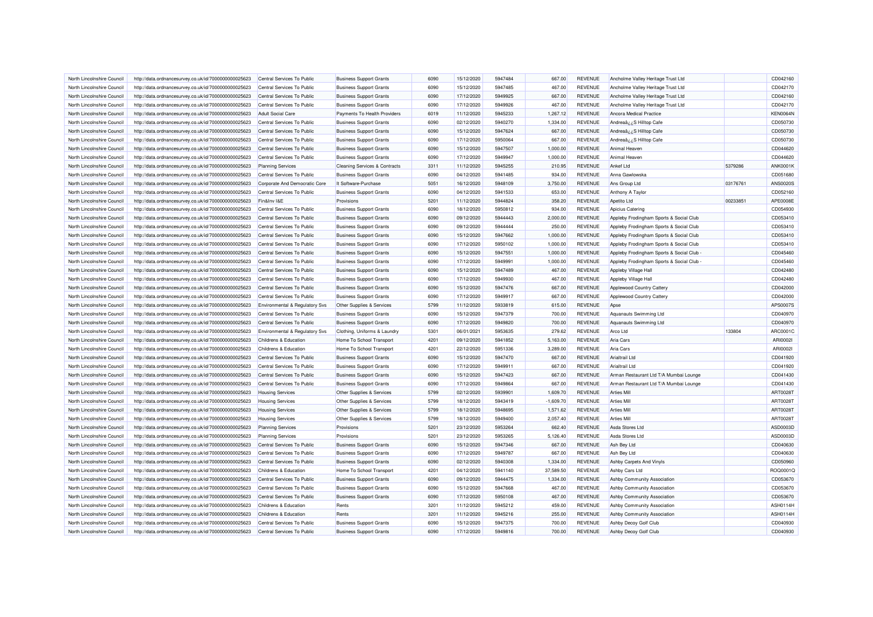| North Lincolnshire Council | http://data.ordnancesurvey.co.uk/id/7000000000025623 | Central Services To Public     | <b>Business Support Grants</b>           | 6090         | 15/12/2020 | 5947484 | 667.00      | REVENUE                          | Ancholme Valley Heritage Trust Ltd      |          | CD042160             |
|----------------------------|------------------------------------------------------|--------------------------------|------------------------------------------|--------------|------------|---------|-------------|----------------------------------|-----------------------------------------|----------|----------------------|
| North Lincolnshire Council | http://data.ordnancesurvey.co.uk/id/7000000000025623 | Central Services To Public     | <b>Business Support Grants</b>           | 6090         | 15/12/2020 | 5947485 | 467.00      | <b>REVENUE</b>                   | Ancholme Valley Heritage Trust Ltd      |          | CD042170             |
| North Lincolnshire Council | http://data.ordnancesurvey.co.uk/id/7000000000025623 | Central Services To Public     | <b>Business Support Grants</b>           | 6090         | 17/12/2020 | 5949925 | 667.00      | <b>REVENUE</b>                   | Ancholme Valley Heritage Trust Ltd      |          | CD042160             |
| North Lincolnshire Council | http://data.ordnancesurvey.co.uk/id/7000000000025623 | Central Services To Public     | <b>Business Support Grants</b>           | 6090         | 17/12/2020 | 5949926 | 467.00      | <b>REVENUE</b>                   | Ancholme Valley Heritage Trust Ltd      |          | CD042170             |
| North Lincolnshire Council | http://data.ordnancesurvey.co.uk/id/7000000000025623 | <b>Adult Social Care</b>       | Payments To Health Providers             | 6019         | 11/12/2020 | 5945233 | 1,267.12    | <b>REVENUE</b>                   | Ancora Medical Practice                 |          | <b>KEN0064N</b>      |
| North Lincolnshire Council | http://data.ordnancesurvey.co.uk/id/7000000000025623 | Central Services To Public     | <b>Business Support Grants</b>           | 6090         | 02/12/2020 | 5940270 | 1,334.00    | <b>REVENUE</b>                   | S Hilltop Cafeن S Hilltop               |          | CD050730             |
| North Lincolnshire Council | http://data.ordnancesurvey.co.uk/id/7000000000025623 | Central Services To Public     | <b>Business Support Grants</b>           | 6090         | 15/12/2020 | 5947624 | 667.00      | <b>REVENUE</b>                   | Andreaâ ¿¿S Hilltop Cafe                |          | CD050730             |
| North Lincolnshire Council | http://data.ordnancesurvey.co.uk/id/7000000000025623 | Central Services To Public     | <b>Business Support Grants</b>           | 6090         | 17/12/2020 | 5950064 | 667.00      | <b>REVENUE</b>                   | Andrea $\frac{a}{2}$ ¿.S Hilltop Cafe   |          | CD050730             |
| North Lincolnshire Council | http://data.ordnancesurvey.co.uk/id/7000000000025623 | Central Services To Public     | <b>Business Support Grants</b>           | 6090         | 15/12/2020 | 5947507 | 1,000.00    | <b>REVENUE</b>                   | Animal Heaven                           |          | CD044620             |
| North Lincolnshire Council | http://data.ordnancesurvey.co.uk/id/7000000000025623 | Central Services To Public     | <b>Business Support Grants</b>           | 6090         | 17/12/2020 | 5949947 | 1,000.00    | <b>REVENUE</b>                   | Animal Heaver                           |          | CD044620             |
| North Lincolnshire Council | http://data.ordnancesurvey.co.uk/id/7000000000025623 | <b>Planning Services</b>       | <b>Cleaning Services &amp; Contracts</b> | 3311         | 11/12/2020 | 5945255 | 210.95      | <b>REVENUE</b>                   | Ankef Ltd                               | 5379286  | ANK0001K             |
| North Lincolnshire Council | http://data.ordnancesurvey.co.uk/id/7000000000025623 | Central Services To Public     | <b>Business Support Grants</b>           | 6090         | 04/12/2020 | 5941485 | 934.00      | <b>REVENUE</b>                   | Anna Gawlowska                          |          | CD051680             |
| North Lincolnshire Council | http://data.ordnancesurvey.co.uk/id/7000000000025623 | Corporate And Democratic Core  | It Software-Purchase                     | 5051         | 16/12/2020 | 5948109 | 3,750.00    | <b>REVENUE</b>                   | Ans Group Ltd                           | 03176761 | <b>ANS0020S</b>      |
| North Lincolnshire Council | http://data.ordnancesurvey.co.uk/id/7000000000025623 | Central Services To Public     | <b>Business Support Grants</b>           | 6090         | 04/12/2020 | 5941533 | 653.00      | <b>REVENUE</b>                   | Anthony A Taylor                        |          | CD052160             |
| North Lincolnshire Council | http://data.ordnancesurvey.co.uk/id/7000000000025623 | Fin&Inv I&E                    | Provisions                               | 5201         | 11/12/2020 | 5944824 | 358.20      | <b>REVENUE</b>                   | Apetito Ltd                             | 00233851 | APE0008E             |
| North Lincolnshire Council | http://data.ordnancesurvey.co.uk/id/7000000000025623 | Central Services To Public     | <b>Business Support Grants</b>           | 6090         | 18/12/2020 | 5950812 | 934.00      | <b>REVENUE</b>                   | Apicius Catering                        |          | CD054930             |
| North Lincolnshire Council | http://data.ordnancesurvey.co.uk/id/7000000000025623 | Central Services To Public     | <b>Business Support Grants</b>           | 6090         | 09/12/2020 | 5944443 | 2,000.00    | <b>REVENUE</b>                   | Appleby Frodingham Sports & Social Club |          | CD053410             |
| North Lincolnshire Council | http://data.ordnancesurvey.co.uk/id/7000000000025623 | Central Services To Public     | <b>Business Support Grants</b>           | 6090         | 09/12/2020 | 5944444 | 250.00      | <b>REVENUE</b>                   | Appleby Frodingham Sports & Social Club |          | CD053410             |
| North Lincolnshire Council | http://data.ordnancesurvey.co.uk/id/7000000000025623 | Central Services To Public     | <b>Business Support Grants</b>           | 6090         | 15/12/2020 | 5947662 | 1,000.00    | <b>REVENUE</b>                   | Appleby Frodingham Sports & Social Club |          | CD053410             |
| North Lincolnshire Council |                                                      | Central Services To Public     |                                          | 6090         | 17/12/2020 | 5950102 | 1,000.00    | <b>REVENUE</b>                   | Appleby Frodingham Sports & Social Club |          | CD053410             |
| North Lincolnshire Council | http://data.ordnancesurvey.co.uk/id/7000000000025623 | Central Services To Public     | <b>Business Support Grants</b>           | 6090         |            | 5947551 | 1,000.00    | <b>REVENUE</b>                   |                                         |          |                      |
|                            | http://data.ordnancesurvey.co.uk/id/7000000000025623 |                                | <b>Business Support Grants</b>           |              | 15/12/2020 |         |             |                                  | Appleby Frodingham Sports & Social Club |          | CD045460             |
| North Lincolnshire Council | http://data.ordnancesurvey.co.uk/id/7000000000025623 | Central Services To Public     | <b>Business Support Grants</b>           | 6090<br>6090 | 17/12/2020 | 5949991 | 1,000.00    | <b>REVENUE</b><br><b>REVENUE</b> | Appleby Frodingham Sports & Social Club |          | CD045460<br>CD042480 |
| North Lincolnshire Council | http://data.ordnancesurvey.co.uk/id/7000000000025623 | Central Services To Public     | <b>Business Support Grants</b>           |              | 15/12/2020 | 5947489 | 467.00      |                                  | Appleby Village Hall                    |          |                      |
| North Lincolnshire Council | http://data.ordnancesurvey.co.uk/id/7000000000025623 | Central Services To Public     | <b>Business Support Grants</b>           | 6090         | 17/12/2020 | 5949930 | 467.00      | <b>REVENUE</b>                   | Appleby Village Hall                    |          | CD042480             |
| North Lincolnshire Council | http://data.ordnancesurvey.co.uk/id/7000000000025623 | Central Services To Public     | <b>Business Support Grants</b>           | 6090         | 15/12/2020 | 5947476 | 667.00      | <b>REVENUE</b>                   | Applewood Country Cattery               |          | CD042000             |
| North Lincolnshire Council | http://data.ordnancesurvey.co.uk/id/7000000000025623 | Central Services To Public     | <b>Business Support Grants</b>           | 6090         | 17/12/2020 | 5949917 | 667.00      | <b>REVENUE</b>                   | <b>Applewood Country Cattery</b>        |          | CD042000             |
| North Lincolnshire Council | http://data.ordnancesurvey.co.uk/id/7000000000025623 | Environmental & Regulatory Svs | Other Supplies & Services                | 5799         | 11/12/2020 | 5933819 | 615.00      | <b>REVENUE</b>                   | Apse                                    |          | APS0007S             |
| North Lincolnshire Council | http://data.ordnancesurvey.co.uk/id/7000000000025623 | Central Services To Public     | <b>Business Support Grants</b>           | 6090         | 15/12/2020 | 5947379 | 700.00      | <b>REVENUE</b>                   | Aquanauts Swimming Ltd                  |          | CD040970             |
| North Lincolnshire Council | http://data.ordnancesurvey.co.uk/id/7000000000025623 | Central Services To Public     | <b>Business Support Grants</b>           | 6090         | 17/12/2020 | 5949820 | 700.00      | <b>REVENUE</b>                   | Aquanauts Swimming Ltd                  |          | CD040970             |
| North Lincolnshire Council | http://data.ordnancesurvey.co.uk/id/7000000000025623 | Environmental & Regulatory Svs | Clothing, Uniforms & Laundry             | 5301         | 06/01/2021 | 5953635 | 279.62      | <b>REVENUE</b>                   | Arco Ltd                                | 133804   | ARC0001C             |
| North Lincolnshire Council | http://data.ordnancesurvey.co.uk/id/7000000000025623 | Childrens & Education          | Home To School Transport                 | 4201         | 09/12/2020 | 5941852 | 5,163.00    | <b>REVENUE</b>                   | Aria Cars                               |          | ARI00021             |
| North Lincolnshire Council | http://data.ordnancesurvey.co.uk/id/7000000000025623 | Childrens & Education          | Home To School Transport                 | 4201         | 22/12/2020 | 5951336 | 3,289.00    | <b>REVENUE</b>                   | Aria Cars                               |          | ARI00021             |
| North Lincolnshire Council | http://data.ordnancesurvey.co.uk/id/7000000000025623 | Central Services To Public     | <b>Business Support Grants</b>           | 6090         | 15/12/2020 | 5947470 | 667.00      | <b>REVENUE</b>                   | Arialtrail I td                         |          | CD041920             |
| North Lincolnshire Council | http://data.ordnancesurvey.co.uk/id/7000000000025623 | Central Services To Public     | <b>Business Support Grants</b>           | 6090         | 17/12/2020 | 5949911 | 667.00      | <b>REVENUE</b>                   | Arialtrail Ltd                          |          | CD041920             |
| North Lincolnshire Council | http://data.ordnancesurvey.co.uk/id/7000000000025623 | Central Services To Public     | <b>Business Support Grants</b>           | 6090         | 15/12/2020 | 5947423 | 667.00      | <b>REVENUE</b>                   | Arman Restaurant Ltd T/A Mumbai Lounge  |          | CD041430             |
| North Lincolnshire Council | http://data.ordnancesurvey.co.uk/id/7000000000025623 | Central Services To Public     | <b>Business Support Grants</b>           | 6090         | 17/12/2020 | 5949864 | 667.00      | <b>REVENUE</b>                   | Arman Restaurant Ltd T/A Mumbai Lounge  |          | CD041430             |
| North Lincolnshire Council | http://data.ordnancesurvey.co.uk/id/7000000000025623 | <b>Housing Services</b>        | Other Supplies & Services                | 5799         | 02/12/2020 | 5939901 | 1,609.70    | <b>REVENUE</b>                   | <b>Arties Mill</b>                      |          | ART00281             |
| North Lincolnshire Council | http://data.ordnancesurvey.co.uk/id/7000000000025623 | <b>Housing Services</b>        | Other Supplies & Services                | 5799         | 18/12/2020 | 5943419 | $-1,609.70$ | <b>REVENUE</b>                   | <b>Arties Mill</b>                      |          | ART00287             |
| North Lincolnshire Council | http://data.ordnancesurvey.co.uk/id/7000000000025623 | <b>Housing Services</b>        | Other Supplies & Services                | 5799         | 18/12/2020 | 5948695 | 1,571.62    | <b>REVENUE</b>                   | <b>Arties Mill</b>                      |          | ART0028T             |
| North Lincolnshire Council | http://data.ordnancesurvey.co.uk/id/7000000000025623 | <b>Housing Services</b>        | Other Supplies & Services                | 5799         | 18/12/2020 | 5949400 | 2,057.40    | <b>REVENUE</b>                   | <b>Arties Mill</b>                      |          | ART00281             |
| North Lincolnshire Council | http://data.ordnancesurvey.co.uk/id/7000000000025623 | <b>Planning Services</b>       | Provisions                               | 5201         | 23/12/2020 | 5953264 | 662.40      | <b>REVENUE</b>                   | Asda Stores Ltd                         |          | ASD0003D             |
| North Lincolnshire Council | http://data.ordnancesurvey.co.uk/id/7000000000025623 | <b>Planning Services</b>       | Provisions                               | 5201         | 23/12/2020 | 5953265 | 5,126.40    | <b>REVENUE</b>                   | Asda Stores Ltd                         |          | ASD0003D             |
| North Lincolnshire Council | http://data.ordnancesurvey.co.uk/id/7000000000025623 | Central Services To Public     | <b>Business Support Grants</b>           | 6090         | 15/12/2020 | 5947346 | 667.00      | <b>REVENUE</b>                   | Ash Bey Ltd                             |          | CD040630             |
| North Lincolnshire Council | http://data.ordnancesurvey.co.uk/id/7000000000025623 | Central Services To Public     | <b>Business Support Grants</b>           | 6090         | 17/12/2020 | 5949787 | 667.00      | <b>REVENUE</b>                   | Ash Bey Ltd                             |          | CD040630             |
| North Lincolnshire Council | http://data.ordnancesurvey.co.uk/id/7000000000025623 | Central Services To Public     | <b>Business Support Grants</b>           | 6090         | 02/12/2020 | 5940308 | 1,334.00    | <b>REVENUE</b>                   | Ashby Carpets And Vinyls                |          | CD050960             |
| North Lincolnshire Council | http://data.ordnancesurvey.co.uk/id/7000000000025623 | Childrens & Education          | Home To School Transport                 | 4201         | 04/12/2020 | 5941140 | 37,589.50   | <b>REVENUE</b>                   | Ashby Cars Ltd                          |          | ROQ0001Q             |
| North Lincolnshire Council | http://data.ordnancesurvey.co.uk/id/7000000000025623 | Central Services To Public     | <b>Business Support Grants</b>           | 6090         | 09/12/2020 | 5944475 | 1,334.00    | <b>REVENUE</b>                   | Ashby Community Association             |          | CD053670             |
| North Lincolnshire Council | http://data.ordnancesurvey.co.uk/id/7000000000025623 | Central Services To Public     | <b>Business Support Grants</b>           | 6090         | 15/12/2020 | 5947668 | 467.00      | <b>REVENUE</b>                   | Ashby Community Association             |          | CD053670             |
| North Lincolnshire Council | http://data.ordnancesurvey.co.uk/id/7000000000025623 | Central Services To Public     | <b>Business Support Grants</b>           | 6090         | 17/12/2020 | 5950108 | 467.00      | <b>REVENUE</b>                   | Ashby Community Association             |          | CD053670             |
| North Lincolnshire Council | http://data.ordnancesurvey.co.uk/id/7000000000025623 | Childrens & Education          | Rents                                    | 3201         | 11/12/2020 | 5945212 | 459.00      | <b>REVENUE</b>                   | Ashby Community Association             |          | ASH0114H             |
| North Lincolnshire Council | http://data.ordnancesurvey.co.uk/id/7000000000025623 | Childrens & Education          | Rents                                    | 3201         | 11/12/2020 | 5945216 | 255.00      | <b>REVENUE</b>                   | Ashby Community Association             |          | ASH0114H             |
| North Lincolnshire Council | http://data.ordnancesurvey.co.uk/id/7000000000025623 | Central Services To Public     | <b>Business Support Grants</b>           | 6090         | 15/12/2020 | 5947375 | 700.00      | <b>REVENUE</b>                   | Ashby Decoy Golf Club                   |          | CD040930             |
| North Lincolnshire Council | http://data.ordnancesurvey.co.uk/id/7000000000025623 | Central Services To Public     | <b>Business Support Grants</b>           | 6090         | 17/12/2020 | 5949816 | 700.00      | <b>REVENUE</b>                   | Ashby Decoy Golf Club                   |          | CD040930             |
|                            |                                                      |                                |                                          |              |            |         |             |                                  |                                         |          |                      |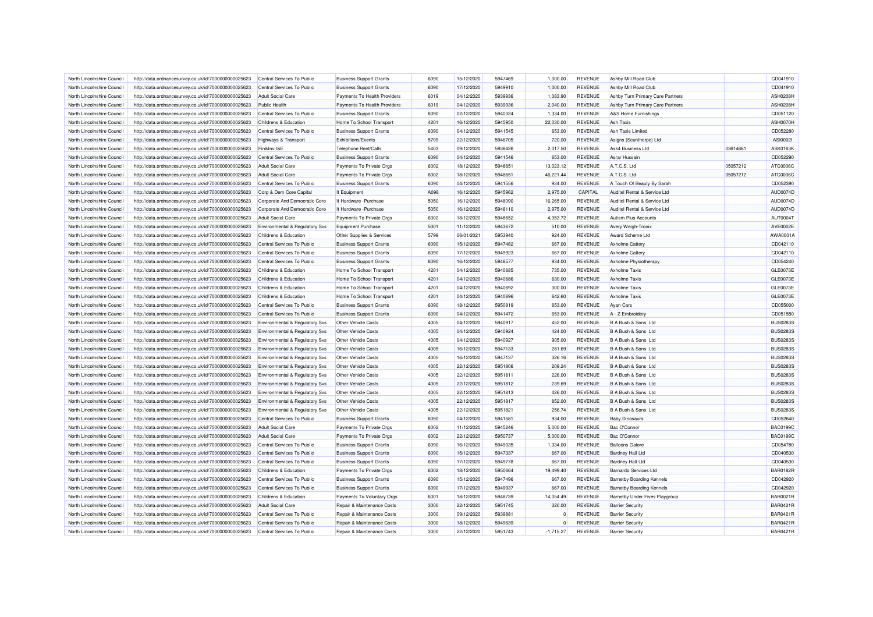| North Lincolnshire Council | http://data.ordnancesurvey.co.uk/id/7000000000025623 | Central Services To Public       | <b>Business Support Grants</b> | 6090 | 15/12/2020 | 5947469 | 1.000.00       | <b>REVENUE</b> | Ashby Mill Road Club             |          | CD041910        |
|----------------------------|------------------------------------------------------|----------------------------------|--------------------------------|------|------------|---------|----------------|----------------|----------------------------------|----------|-----------------|
| North Lincolnshire Council | http://data.ordnancesurvey.co.uk/id/7000000000025623 | Central Services To Public       | <b>Business Support Grants</b> | 6090 | 17/12/2020 | 5949910 | 1,000.00       | <b>REVENUE</b> | Ashby Mill Road Club             |          | CD041910        |
| North Lincolnshire Council | http://data.ordnancesurvey.co.uk/id/7000000000025623 | <b>Adult Social Care</b>         | Payments To Health Providers   | 6019 | 04/12/2020 | 5939936 | 1,083.90       | <b>REVENUE</b> | Ashby Turn Primary Care Partners |          | <b>ASH0208H</b> |
| North Lincolnshire Council | http://data.ordnancesurvey.co.uk/id/7000000000025623 | <b>Public Health</b>             | Payments To Health Providers   | 6019 | 04/12/2020 | 5939936 | 2,040.00       | <b>REVENUE</b> | Ashby Turn Primary Care Partners |          | <b>ASH0208H</b> |
| North Lincolnshire Council | http://data.ordnancesurvey.co.uk/id/7000000000025623 | Central Services To Public       | <b>Business Support Grants</b> | 6090 | 02/12/2020 | 5940324 | 1,334.00       | <b>REVENUE</b> | A&S Home Furnishings             |          | CD051120        |
| North Lincolnshire Council | http://data.ordnancesurvey.co.uk/id/7000000000025623 | Childrens & Education            | Home To School Transport       | 4201 | 16/12/2020 | 5945950 | 22,030.00      | <b>REVENUE</b> | Ash Taxis                        |          | ASH0070H        |
| North Lincolnshire Council | http://data.ordnancesurvey.co.uk/id/7000000000025623 | Central Services To Public       | <b>Business Support Grants</b> | 6090 | 04/12/2020 | 5941545 | 653.00         | <b>REVENUE</b> | Ash Taxis Limited                |          | CD052280        |
| North Lincolnshire Council | http://data.ordnancesurvey.co.uk/id/7000000000025623 | <b>Highways &amp; Transport</b>  | Exhibitions/Events             | 5709 | 22/12/2020 | 5946705 | 720.00         | <b>REVENUE</b> | Asigns (Scunthorpe) Ltd          |          | ASI0002I        |
| North Lincolnshire Council | http://data.ordnancesurvey.co.uk/id/7000000000025623 | Fin&Inv I&E                      | Telephone Rent/Calls           | 5403 | 09/12/2020 | 5938426 | 2,017.50       | <b>REVENUE</b> | Ask4 Business Ltd                | 03614661 | ASK0163k        |
| North Lincolnshire Council | http://data.ordnancesurvey.co.uk/id/7000000000025623 | Central Services To Public       | <b>Business Support Grants</b> | 6090 | 04/12/2020 | 5941546 | 653.00         | <b>REVENUE</b> | Asrar Hussain                    |          | CD052290        |
| North Lincolnshire Council | http://data.ordnancesurvey.co.uk/id/7000000000025623 | <b>Adult Social Care</b>         | Payments To Private Orgs       | 6002 | 18/12/2020 | 5948651 | 13,023.12      | <b>REVENUE</b> | A.T.C.S. Ltd                     | 05057212 | ATC0006C        |
| North Lincolnshire Council | http://data.ordnancesurvey.co.uk/id/7000000000025623 | Adult Social Care                | Payments To Private Orgs       | 6002 | 18/12/2020 | 5948651 | 46,221.44      | <b>REVENUE</b> | A.T.C.S. Ltd                     | 05057212 | ATC0006C        |
| North Lincolnshire Council | http://data.ordnancesurvey.co.uk/id/7000000000025623 | Central Services To Public       | <b>Business Support Grants</b> | 6090 | 04/12/2020 | 5941556 | 934.00         | <b>REVENUE</b> | A Touch Of Beauty By Sarah       |          | CD052390        |
| North Lincolnshire Council | http://data.ordnancesurvey.co.uk/id/7000000000025623 | Corp & Dem Core Capital          | It Equipment                   | A098 | 16/12/2020 | 5945962 | 2,975.00       | CAPITAL        | Auditel Rental & Service Ltd     |          | AUD0074D        |
| North Lincolnshire Council | http://data.ordnancesurvey.co.uk/id/7000000000025623 | Corporate And Democratic Core    | It Hardware - Purchase         | 5050 | 16/12/2020 | 5948090 | 16,265.00      | <b>REVENUE</b> | Auditel Rental & Service Ltd     |          | AUD0074D        |
| North Lincolnshire Council | http://data.ordnancesurvey.co.uk/id/7000000000025623 | Corporate And Democratic Core    | It Hardware - Purchase         | 5050 | 16/12/2020 | 5948110 | 2,975.00       | <b>REVENUE</b> | Auditel Rental & Service Ltd     |          | AUD0074D        |
| North Lincolnshire Council | http://data.ordnancesurvey.co.uk/id/7000000000025623 | <b>Adult Social Care</b>         | Payments To Private Orgs       | 6002 | 18/12/2020 | 5948652 | 4,353.72       | <b>REVENUE</b> | Autism Plus Accounts             |          | AUT00041        |
| North Lincolnshire Council | http://data.ordnancesurvey.co.uk/id/7000000000025623 | Environmental & Regulatory Svs   | <b>Equipment Purchase</b>      | 5001 | 11/12/2020 | 5943672 | 510.00         | <b>REVENUE</b> | Avery Weigh-Tronix               |          | AVE0002E        |
| North Lincolnshire Council | http://data.ordnancesurvey.co.uk/id/7000000000025623 | Childrens & Education            | Other Supplies & Services      | 5799 | 06/01/2021 | 5953940 | 924.00         | <b>REVENUE</b> | Award Scheme Ltd                 |          | AWA0001A        |
| North Lincolnshire Council | http://data.ordnancesurvey.co.uk/id/7000000000025623 | Central Services To Public       | <b>Business Support Grants</b> | 6090 | 15/12/2020 | 5947482 | 667.00         | <b>REVENUE</b> | Axholme Cattery                  |          | CD042110        |
| North Lincolnshire Council | http://data.ordnancesurvey.co.uk/id/7000000000025623 | Central Services To Public       | <b>Business Support Grants</b> | 6090 | 17/12/2020 | 5949923 | 667.00         | <b>REVENUE</b> | Axholme Cattery                  |          | CD042110        |
| North Lincolnshire Council | http://data.ordnancesurvey.co.uk/id/7000000000025623 | Central Services To Public       | <b>Business Support Grants</b> | 6090 | 16/12/2020 | 5948577 | 934.00         | <b>REVENUE</b> | Axholme Physiotherapy            |          | CD054240        |
| North Lincolnshire Council | http://data.ordnancesurvey.co.uk/id/7000000000025623 | Childrens & Education            | Home To School Transport       | 4201 | 04/12/2020 | 5940685 | 735.00         | <b>REVENUE</b> | <b>Axholme Taxis</b>             |          | GLE0073E        |
| North Lincolnshire Council | http://data.ordnancesurvey.co.uk/id/7000000000025623 | Childrens & Education            | Home To School Transport       | 4201 | 04/12/2020 | 5940686 | 630.00         | <b>REVENUE</b> | <b>Axholme Taxis</b>             |          | GLE0073E        |
| North Lincolnshire Council | http://data.ordnancesurvey.co.uk/id/7000000000025623 | Childrens & Education            | Home To School Transport       | 4201 | 04/12/2020 | 5940692 | 300.00         | REVENUE        | <b>Axholme Taxis</b>             |          | <b>GLE0073E</b> |
| North Lincolnshire Council | http://data.ordnancesurvey.co.uk/id/7000000000025623 | Childrens & Education            | Home To School Transport       | 4201 | 04/12/2020 | 5940696 | 642.60         | <b>REVENUE</b> | <b>Axholme Taxis</b>             |          | GLE0073E        |
| North Lincolnshire Council | http://data.ordnancesurvey.co.uk/id/7000000000025623 | Central Services To Public       | <b>Business Support Grants</b> | 6090 | 18/12/2020 | 5950819 | 653.00         | <b>REVENUE</b> | <b>Ayan Cars</b>                 |          | CD055000        |
| North Lincolnshire Council | http://data.ordnancesurvey.co.uk/id/7000000000025623 | Central Services To Public       | <b>Business Support Grants</b> | 6090 | 04/12/2020 | 5941472 | 653.00         | <b>REVENUE</b> | A - Z Embroidery                 |          | CD051550        |
| North Lincolnshire Council | http://data.ordnancesurvey.co.uk/id/7000000000025623 | Environmental & Regulatory Svs   | Other Vehicle Costs            | 4005 | 04/12/2020 | 5940917 | 452.00         | <b>REVENUE</b> | B A Bush & Sons Ltd              |          | <b>BUS0283S</b> |
| North Lincolnshire Council | http://data.ordnancesurvey.co.uk/id/7000000000025623 | Environmental & Regulatory Svs   | Other Vehicle Costs            | 4005 | 04/12/2020 | 5940924 | 424.00         | <b>REVENUE</b> | B A Bush & Sons Ltd              |          | <b>BUS02839</b> |
| North Lincolnshire Council | http://data.ordnancesurvey.co.uk/id/7000000000025623 | Environmental & Regulatory Svs   | Other Vehicle Costs            | 4005 | 04/12/2020 | 5940927 | 905.00         | <b>REVENUE</b> | B A Bush & Sons Ltd              |          | <b>BUS02839</b> |
| North Lincolnshire Council | http://data.ordnancesurvey.co.uk/id/7000000000025623 | Environmental & Regulatory Svs   | Other Vehicle Costs            | 4005 | 16/12/2020 | 5947133 | 281.69         | <b>REVENUE</b> | B A Bush & Sons Ltd              |          | <b>BUS02839</b> |
| North Lincolnshire Council | http://data.ordnancesurvey.co.uk/id/7000000000025623 | Environmental & Regulatory Svs   | Other Vehicle Costs            | 4005 | 16/12/2020 | 5947137 | 326.16         | <b>REVENUE</b> | B A Bush & Sons Ltd              |          | <b>BUS02839</b> |
| North Lincolnshire Council | http://data.ordnancesurvey.co.uk/id/7000000000025623 | Environmental & Regulatory Svs   | Other Vehicle Costs            | 4005 | 22/12/2020 | 5951806 | 209.24         | <b>REVENUE</b> | B A Bush & Sons Ltd              |          | <b>BUS0283S</b> |
| North Lincolnshire Council | http://data.ordnancesurvey.co.uk/id/7000000000025623 | Environmental & Regulatory Svs   | <b>Other Vehicle Costs</b>     | 4005 | 22/12/2020 | 5951811 | 226.00         | <b>REVENUE</b> | B A Bush & Sons Ltd              |          | <b>BUS0283S</b> |
| North Lincolnshire Council | http://data.ordnancesurvey.co.uk/id/7000000000025623 | Environmental & Regulatory Svs   | Other Vehicle Costs            | 4005 | 22/12/2020 | 5951812 | 239.69         | <b>REVENUE</b> | B A Bush & Sons Ltd              |          | <b>BUS0283S</b> |
| North Lincolnshire Council | http://data.ordnancesurvey.co.uk/id/7000000000025623 | Environmental & Regulatory Svs   | <b>Other Vehicle Costs</b>     | 4005 | 22/12/2020 | 5951813 | 426.00         | <b>REVENUE</b> | B A Bush & Sons Ltd              |          | <b>BUS02839</b> |
| North Lincolnshire Council | http://data.ordnancesurvey.co.uk/id/7000000000025623 | Environmental & Regulatory Svs   | Other Vehicle Costs            | 4005 | 22/12/2020 | 5951817 | 852.00         | <b>REVENUE</b> | B A Bush & Sons Ltd              |          | <b>BUS02839</b> |
| North Lincolnshire Council | http://data.ordnancesurvey.co.uk/id/7000000000025623 | Environmental & Regulatory Svs   | Other Vehicle Costs            | 4005 | 22/12/2020 | 5951821 | 256.74         | <b>REVENUE</b> | B A Bush & Sons Ltd              |          | <b>BUS02839</b> |
| North Lincolnshire Council | http://data.ordnancesurvey.co.uk/id/7000000000025623 | Central Services To Public       | <b>Business Support Grants</b> | 6090 | 04/12/2020 | 5941581 | 934.00         | <b>REVENUE</b> | <b>Baby Dinosaurs</b>            |          | CD052640        |
| North Lincolnshire Council | http://data.ordnancesurvey.co.uk/id/7000000000025623 | <b>Adult Social Care</b>         | Payments To Private Orgs       | 6002 | 11/12/2020 | 5945246 | 5,000.00       | <b>REVENUE</b> | Bac O'Connor                     |          | <b>BAC0199C</b> |
| North Lincolnshire Council | http://data.ordnancesurvey.co.uk/id/7000000000025623 | Adult Social Care                | Payments To Private Orgs       | 6002 | 22/12/2020 | 5950737 | 5,000.00       | <b>REVENUE</b> | Bac O'Connor                     |          | <b>BAC0199C</b> |
| North Lincolnshire Council | http://data.ordnancesurvey.co.uk/id/7000000000025623 | Central Services To Public       | <b>Business Support Grants</b> | 6090 | 16/12/2020 | 5949035 | 1,334.00       | <b>REVENUE</b> | <b>Balloons Galore</b>           |          | CD054780        |
| North Lincolnshire Council | http://data.ordnancesurvey.co.uk/id/7000000000025623 | Central Services To Public       | <b>Business Support Grants</b> | 6090 | 15/12/2020 | 5947337 | 667.00         | <b>REVENUE</b> | <b>Bardney Hall Ltd</b>          |          | CD040530        |
| North Lincolnshire Council | http://data.ordnancesurvey.co.uk/id/7000000000025623 | Central Services To Public       | <b>Business Support Grants</b> | 6090 | 17/12/2020 | 5949778 | 667.00         | <b>REVENUE</b> | <b>Bardney Hall Ltd</b>          |          | CD040530        |
| North Lincolnshire Council | http://data.ordnancesurvey.co.uk/id/7000000000025623 | <b>Childrens &amp; Education</b> | Payments To Private Orgs       | 6002 | 18/12/2020 | 5950664 | 19,499.40      | <b>REVENUE</b> | <b>Barnardo Services Ltd</b>     |          | <b>BAR0182R</b> |
| North Lincolnshire Council | http://data.ordnancesurvey.co.uk/id/7000000000025623 | Central Services To Public       | <b>Business Support Grants</b> | 6090 | 15/12/2020 | 5947496 | 667.00         | <b>REVENUE</b> | <b>Barnetby Boarding Kennels</b> |          | CD042920        |
| North Lincolnshire Council | http://data.ordnancesurvey.co.uk/id/7000000000025623 | Central Services To Public       | <b>Business Support Grants</b> | 6090 | 17/12/2020 | 5949937 | 667.00         | <b>REVENUE</b> | <b>Barnetby Boarding Kennels</b> |          | CD042920        |
| North Lincolnshire Council | http://data.ordnancesurvey.co.uk/id/7000000000025623 | Childrens & Education            | Payments To Voluntary Orgs     | 6001 | 18/12/2020 | 5948739 | 14,054.49      | <b>REVENUE</b> | Barnetby Under Fives Playgroup   |          | <b>BAR0021R</b> |
| North Lincolnshire Council | http://data.ordnancesurvey.co.uk/id/7000000000025623 | Adult Social Care                | Repair & Maintenance Costs     | 3000 | 22/12/2020 | 5951745 | 320.00         | <b>REVENUE</b> | <b>Barrier Security</b>          |          | <b>BAR0421R</b> |
| North Lincolnshire Council | http://data.ordnancesurvey.co.uk/id/7000000000025623 | Central Services To Public       | Repair & Maintenance Costs     | 3000 | 09/12/2020 | 5939881 | $\Omega$       | <b>REVENUE</b> | <b>Barrier Security</b>          |          | <b>BAR0421R</b> |
| North Lincolnshire Council | http://data.ordnancesurvey.co.uk/id/7000000000025623 | Central Services To Public       | Repair & Maintenance Costs     | 3000 | 18/12/2020 | 5949639 | $\overline{0}$ | <b>REVENUE</b> | <b>Barrier Security</b>          |          | <b>BAR0421R</b> |
| North Lincolnshire Council | http://data.ordnancesurvey.co.uk/id/7000000000025623 | Central Services To Public       | Repair & Maintenance Costs     | 3000 | 22/12/2020 | 5951743 | $-1,715.27$    | <b>REVENUE</b> | <b>Barrier Security</b>          |          | <b>BAR0421R</b> |
|                            |                                                      |                                  |                                |      |            |         |                |                |                                  |          |                 |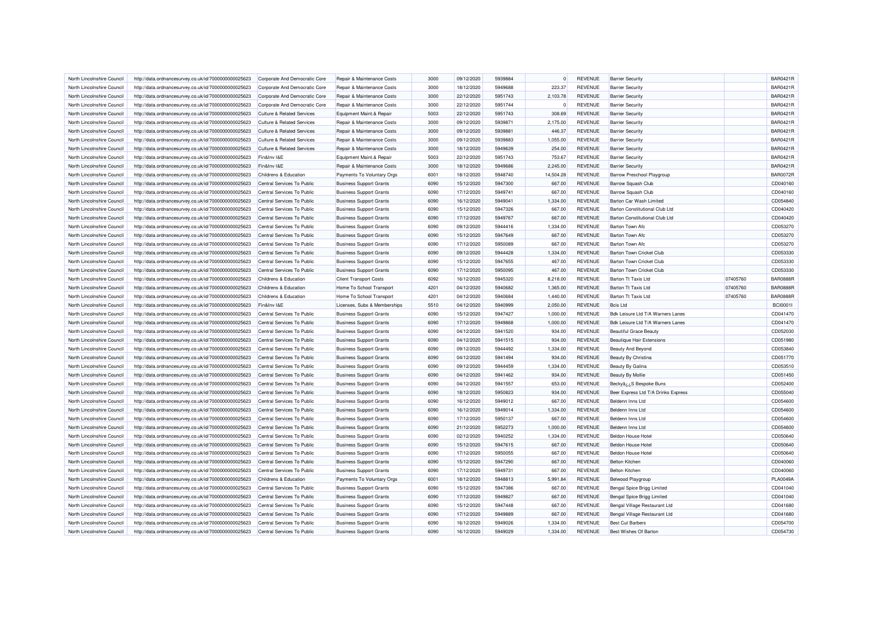| North Lincolnshire Council | http://data.ordnancesurvey.co.uk/id/7000000000025623 | Corporate And Democratic Core                       | Repair & Maintenance Costs     | 3000 | 09/12/2020 | 5939884 | $\Omega$  | <b>REVENUE</b> | <b>Barrier Security</b>               |          | <b>BAR0421R</b>      |
|----------------------------|------------------------------------------------------|-----------------------------------------------------|--------------------------------|------|------------|---------|-----------|----------------|---------------------------------------|----------|----------------------|
| North Lincolnshire Council | http://data.ordnancesurvey.co.uk/id/7000000000025623 | Corporate And Democratic Core                       | Repair & Maintenance Costs     | 3000 | 18/12/2020 | 5949688 | 223.37    | <b>REVENUE</b> | <b>Barrier Security</b>               |          | <b>BAR0421R</b>      |
| North Lincolnshire Council | http://data.ordnancesurvey.co.uk/id/7000000000025623 | Corporate And Democratic Core                       | Repair & Maintenance Costs     | 3000 | 22/12/2020 | 5951743 | 2,103.78  | <b>REVENUE</b> | <b>Barrier Security</b>               |          | <b>BAR0421R</b>      |
| North Lincolnshire Council | http://data.ordnancesurvey.co.uk/id/7000000000025623 | Corporate And Democratic Core                       | Repair & Maintenance Costs     | 3000 | 22/12/2020 | 5951744 |           | <b>REVENUE</b> | <b>Barrier Security</b>               |          | <b>BAR0421R</b>      |
| North Lincolnshire Council | http://data.ordnancesurvey.co.uk/id/7000000000025623 | <b>Culture &amp; Related Services</b>               | Equipment Maint.& Repair       | 5003 | 22/12/2020 | 5951743 | 308.69    | <b>REVENUE</b> | <b>Barrier Security</b>               |          | <b>BAR0421R</b>      |
|                            |                                                      |                                                     |                                |      |            |         |           |                |                                       |          | <b>BAR0421R</b>      |
| North Lincolnshire Council | http://data.ordnancesurvey.co.uk/id/7000000000025623 | <b>Culture &amp; Related Services</b>               | Repair & Maintenance Costs     | 3000 | 09/12/2020 | 5939871 | 2,175.00  | <b>REVENUE</b> | <b>Barrier Security</b>               |          |                      |
| North Lincolnshire Council | http://data.ordnancesurvey.co.uk/id/7000000000025623 | <b>Culture &amp; Related Services</b>               | Repair & Maintenance Costs     | 3000 | 09/12/2020 | 5939881 | 446.37    | <b>REVENUE</b> | <b>Barrier Security</b>               |          | <b>BAR0421R</b>      |
| North Lincolnshire Council | http://data.ordnancesurvey.co.uk/id/7000000000025623 | Culture & Related Services                          | Repair & Maintenance Costs     | 3000 | 09/12/2020 | 5939883 | 1.055.00  | <b>REVENUE</b> | <b>Barrier Security</b>               |          | <b>BAR0421R</b>      |
| North Lincolnshire Council | http://data.ordnancesurvey.co.uk/id/7000000000025623 | Culture & Related Services                          | Repair & Maintenance Costs     | 3000 | 18/12/2020 | 5949639 | 254.00    | <b>REVENUE</b> | <b>Barrier Security</b>               |          | <b>BAR0421R</b>      |
| North Lincolnshire Council | http://data.ordnancesurvey.co.uk/id/7000000000025623 | Fin&Inv I&E                                         | Equipment Maint.& Repair       | 5003 | 22/12/2020 | 5951743 | 753.67    | <b>REVENUE</b> | <b>Barrier Security</b>               |          | <b>BAR0421R</b>      |
| North Lincolnshire Council | http://data.ordnancesurvey.co.uk/id/7000000000025623 | Fin&Inv I&E                                         | Repair & Maintenance Costs     | 3000 | 18/12/2020 | 5949686 | 2,245.00  | <b>REVENUE</b> | <b>Barrier Security</b>               |          | <b>BAR0421R</b>      |
| North Lincolnshire Council | http://data.ordnancesurvey.co.uk/id/7000000000025623 | <b>Childrens &amp; Education</b>                    | Payments To Voluntary Orgs     | 6001 | 18/12/2020 | 5948740 | 14,504.28 | <b>REVENUE</b> | <b>Barrow Preschool Playgroup</b>     |          | <b>BAR0072R</b>      |
| North Lincolnshire Council | http://data.ordnancesurvey.co.uk/id/7000000000025623 | Central Services To Public                          | <b>Business Support Grants</b> | 6090 | 15/12/2020 | 5947300 | 667.00    | <b>REVENUE</b> | <b>Barrow Squash Club</b>             |          | CD040160             |
| North Lincolnshire Council | http://data.ordnancesurvey.co.uk/id/7000000000025623 | Central Services To Public                          | <b>Business Support Grants</b> | 6090 | 17/12/2020 | 5949741 | 667.00    | <b>REVENUE</b> | <b>Barrow Squash Club</b>             |          | CD040160             |
| North Lincolnshire Council | http://data.ordnancesurvey.co.uk/id/7000000000025623 | Central Services To Public                          | <b>Business Support Grants</b> | 6090 | 16/12/2020 | 5949041 | 1,334.00  | <b>REVENUE</b> | Barton Car Wash Limited               |          | CD054840             |
| North Lincolnshire Council | http://data.ordnancesurvey.co.uk/id/7000000000025623 | Central Services To Public                          | <b>Business Support Grants</b> | 6090 | 15/12/2020 | 5947326 | 667.00    | <b>REVENUE</b> | Barton Constitutional Club Ltd        |          | CD040420             |
| North Lincolnshire Council | http://data.ordnancesurvey.co.uk/id/7000000000025623 | Central Services To Public                          | <b>Business Support Grants</b> | 6090 | 17/12/2020 | 5949767 | 667.00    | <b>REVENUE</b> | <b>Barton Constitutional Club Ltd</b> |          | CD040420             |
| North Lincolnshire Council | http://data.ordnancesurvey.co.uk/id/7000000000025623 | Central Services To Public                          | <b>Business Support Grants</b> | 6090 | 09/12/2020 | 5944416 | 1,334.00  | <b>REVENUE</b> | Barton Town Afc.                      |          | CD053270             |
| North Lincolnshire Council | http://data.ordnancesurvey.co.uk/id/7000000000025623 | Central Services To Public                          | <b>Business Support Grants</b> | 6090 | 15/12/2020 | 5947649 | 667.00    | <b>REVENUE</b> | <b>Barton Town Afc</b>                |          | CD053270             |
| North Lincolnshire Council | http://data.ordnancesurvey.co.uk/id/7000000000025623 | Central Services To Public                          | <b>Business Support Grants</b> | 6090 | 17/12/2020 | 5950089 | 667.00    | <b>REVENUE</b> | Barton Town Afc                       |          | CD053270             |
| North Lincolnshire Council | http://data.ordnancesurvey.co.uk/id/7000000000025623 | Central Services To Public                          | <b>Business Support Grants</b> | 6090 | 09/12/2020 | 5944428 | 1,334.00  | <b>REVENUE</b> | Barton Town Cricket Club              |          | CD053330             |
| North Lincolnshire Council | http://data.ordnancesurvey.co.uk/id/7000000000025623 | Central Services To Public                          | <b>Business Support Grants</b> | 6090 | 15/12/2020 | 5947655 | 467.00    | <b>REVENUE</b> | Barton Town Cricket Club              |          | CD053330             |
| North Lincolnshire Council | http://data.ordnancesurvey.co.uk/id/7000000000025623 | Central Services To Public                          | <b>Business Support Grants</b> | 6090 | 17/12/2020 | 5950095 | 467.00    | <b>REVENUE</b> | <b>Barton Town Cricket Club</b>       |          | CD053330             |
| North Lincolnshire Council | http://data.ordnancesurvey.co.uk/id/7000000000025623 | <b>Childrens &amp; Education</b>                    | <b>Client Transport Costs</b>  | 6092 | 16/12/2020 | 5945320 | 8,218.00  | <b>REVENUE</b> | <b>Barton Tt Taxis Ltd</b>            | 07405760 | <b>BAR0888R</b>      |
| North Lincolnshire Council | http://data.ordnancesurvey.co.uk/id/7000000000025623 | Childrens & Education                               | Home To School Transport       | 4201 | 04/12/2020 | 5940682 | 1.365.00  | <b>REVENUE</b> | Barton Tt Taxis Ltd                   | 07405760 | <b>BAR0888R</b>      |
|                            |                                                      |                                                     |                                |      |            |         |           |                |                                       |          |                      |
| North Lincolnshire Council | http://data.ordnancesurvey.co.uk/id/7000000000025623 | Childrens & Education                               | Home To School Transport       | 4201 | 04/12/2020 | 5940684 | 1,440.00  | <b>REVENUE</b> | Barton Tt Taxis Ltd                   | 07405760 | <b>BAR0888R</b>      |
| North Lincolnshire Council | http://data.ordnancesurvey.co.uk/id/7000000000025623 | Fin&Inv I&E                                         | Licenses, Subs & Memberships   | 5510 | 04/12/2020 | 5940999 | 2,050.00  | <b>REVENUE</b> | <b>Bcis Ltd</b>                       |          | <b>BCI0001I</b>      |
| North Lincolnshire Council | http://data.ordnancesurvey.co.uk/id/7000000000025623 | Central Services To Public                          | <b>Business Support Grants</b> | 6090 | 15/12/2020 | 5947427 | 1,000.00  | <b>REVENUE</b> | Bdk Leisure Ltd T/A Warners Lanes     |          | CD041470             |
| North Lincolnshire Council | http://data.ordnancesurvey.co.uk/id/7000000000025623 | Central Services To Public                          | <b>Business Support Grants</b> | 6090 | 17/12/2020 | 5949868 | 1,000.00  | <b>REVENUE</b> | Bdk Leisure Ltd T/A Warners Lanes     |          | CD041470             |
| North Lincolnshire Council | http://data.ordnancesurvey.co.uk/id/7000000000025623 | Central Services To Public                          | <b>Business Support Grants</b> | 6090 | 04/12/2020 | 5941520 | 934.00    | <b>REVENUE</b> | <b>Beautiful Grace Beauty</b>         |          | CD052030             |
| North Lincolnshire Council | http://data.ordnancesurvey.co.uk/id/7000000000025623 | Central Services To Public                          | <b>Business Support Grants</b> | 6090 | 04/12/2020 | 5941515 | 934.00    | <b>REVENUE</b> | <b>Beautique Hair Extensions</b>      |          | CD051980             |
| North Lincolnshire Council | http://data.ordnancesurvey.co.uk/id/7000000000025623 | Central Services To Public                          | <b>Business Support Grants</b> | 6090 | 09/12/2020 | 5944492 | 1,334.00  | <b>REVENUE</b> | <b>Beauty And Beyond</b>              |          | CD053840             |
| North Lincolnshire Council | http://data.ordnancesurvey.co.uk/id/7000000000025623 | Central Services To Public                          | <b>Business Support Grants</b> | 6090 | 04/12/2020 | 5941494 | 934.00    | <b>REVENUE</b> | <b>Beauty By Christina</b>            |          | CD051770             |
| North Lincolnshire Council | http://data.ordnancesurvey.co.uk/id/7000000000025623 | Central Services To Public                          | <b>Business Support Grants</b> | 6090 | 09/12/2020 | 5944459 | 1,334.00  | <b>REVENUE</b> | Beauty By Galina                      |          | CD053510             |
| North Lincolnshire Council | http://data.ordnancesurvey.co.uk/id/7000000000025623 | Central Services To Public                          | <b>Business Support Grants</b> | 6090 | 04/12/2020 | 5941462 | 934.00    | <b>REVENUE</b> | <b>Beauty By Mollie</b>               |          | CD051450             |
| North Lincolnshire Council | http://data.ordnancesurvey.co.uk/id/7000000000025623 | Central Services To Public                          | <b>Business Support Grants</b> | 6090 | 04/12/2020 | 5941557 | 653.00    | <b>REVENUE</b> | BeckyâzzS Bespoke Buns                |          | CD052400             |
| North Lincolnshire Council | http://data.ordnancesurvey.co.uk/id/7000000000025623 | Central Services To Public                          | <b>Business Support Grants</b> | 6090 | 18/12/2020 | 5950823 | 934.00    | <b>REVENUE</b> | Beer Express Ltd T/A Drinks Express   |          | CD055040             |
| North Lincolnshire Council | http://data.ordnancesurvey.co.uk/id/7000000000025623 | Central Services To Public                          | <b>Business Support Grants</b> | 6090 | 16/12/2020 | 5949012 | 667.00    | <b>REVENUE</b> | Beldenn Inns Ltd                      |          | CD054600             |
| North Lincolnshire Council | http://data.ordnancesurvey.co.uk/id/7000000000025623 | Central Services To Public                          | <b>Business Support Grants</b> | 6090 | 16/12/2020 | 5949014 | 1,334.00  | <b>REVENUE</b> | Beldenn Inns Ltd                      |          | CD054600             |
| North Lincolnshire Council | http://data.ordnancesurvey.co.uk/id/7000000000025623 | Central Services To Public                          | <b>Business Support Grants</b> | 6090 | 17/12/2020 | 5950137 | 667.00    | <b>REVENUE</b> | Beldenn Inns Ltd                      |          | CD054600             |
| North Lincolnshire Council | http://data.ordnancesurvey.co.uk/id/7000000000025623 | Central Services To Public                          | <b>Business Support Grants</b> | 6090 | 21/12/2020 | 5952273 | 1,000.00  | <b>REVENUE</b> | Beldenn Inns Ltd                      |          | CD054600             |
| North Lincolnshire Council | http://data.ordnancesurvey.co.uk/id/7000000000025623 | Central Services To Public                          | <b>Business Support Grants</b> | 6090 | 02/12/2020 | 5940252 | 1.334.00  | <b>REVENUE</b> | <b>Beldon House Hotel</b>             |          | CD050640             |
| North Lincolnshire Council | http://data.ordnancesurvey.co.uk/id/7000000000025623 | Central Services To Public                          | <b>Business Support Grants</b> | 6090 | 15/12/2020 | 5947615 | 667.00    | <b>REVENUE</b> | <b>Beldon House Hotel</b>             |          | CD050640             |
| North Lincolnshire Council | http://data.ordnancesurvey.co.uk/id/7000000000025623 | Central Services To Public                          | <b>Business Support Grants</b> | 6090 | 17/12/2020 | 5950055 | 667.00    | <b>REVENUE</b> | <b>Beldon House Hotel</b>             |          | CD050640             |
| North Lincolnshire Council | http://data.ordnancesurvey.co.uk/id/7000000000025623 | Central Services To Public                          | <b>Business Support Grants</b> | 6090 | 15/12/2020 | 5947290 | 667.00    | <b>REVENUE</b> | <b>Belton Kitchen</b>                 |          | CD040060             |
| North Lincolnshire Council |                                                      | Central Services To Public                          |                                | 6090 |            | 5949731 |           | <b>REVENUE</b> | <b>Belton Kitchen</b>                 |          |                      |
| North Lincolnshire Council | http://data.ordnancesurvey.co.uk/id/7000000000025623 |                                                     | <b>Business Support Grants</b> | 6001 | 17/12/2020 | 5948813 | 667.00    | <b>REVENUE</b> |                                       |          | CD040060<br>PLA0049A |
| North Lincolnshire Council | http://data.ordnancesurvey.co.uk/id/7000000000025623 | Childrens & Education<br>Central Services To Public | Payments To Voluntary Orgs     |      | 18/12/2020 | 5947386 | 5,991.84  |                | <b>Belwood Playgroup</b>              |          |                      |
|                            | http://data.ordnancesurvey.co.uk/id/7000000000025623 |                                                     | <b>Business Support Grants</b> | 6090 | 15/12/2020 |         | 667.00    | <b>REVENUE</b> | Bengal Spice Brigg Limited            |          | CD041040             |
| North Lincolnshire Council | http://data.ordnancesurvey.co.uk/id/7000000000025623 | Central Services To Public                          | <b>Business Support Grants</b> | 6090 | 17/12/2020 | 5949827 | 667.00    | <b>REVENUE</b> | Bengal Spice Brigg Limited            |          | CD041040             |
| North Lincolnshire Council | http://data.ordnancesurvey.co.uk/id/7000000000025623 | Central Services To Public                          | <b>Business Support Grants</b> | 6090 | 15/12/2020 | 5947448 | 667.00    | <b>REVENUE</b> | Bengal Village Restaurant Ltd         |          | CD041680             |
| North Lincolnshire Council | http://data.ordnancesurvey.co.uk/id/7000000000025623 | Central Services To Public                          | <b>Business Support Grants</b> | 6090 | 17/12/2020 | 5949889 | 667.00    | <b>REVENUE</b> | Bengal Village Restaurant Ltd         |          | CD041680             |
| North Lincolnshire Council | http://data.ordnancesurvey.co.uk/id/7000000000025623 | Central Services To Public                          | <b>Business Support Grants</b> | 6090 | 16/12/2020 | 5949026 | 1,334.00  | <b>REVENUE</b> | <b>Best Cut Barbers</b>               |          | CD054700             |
| North Lincolnshire Council | http://data.ordnancesurvey.co.uk/id/7000000000025623 | Central Services To Public                          | <b>Business Support Grants</b> | 6090 | 16/12/2020 | 5949029 | 1,334.00  | <b>REVENUE</b> | Best Wishes Of Barton                 |          | CD054730             |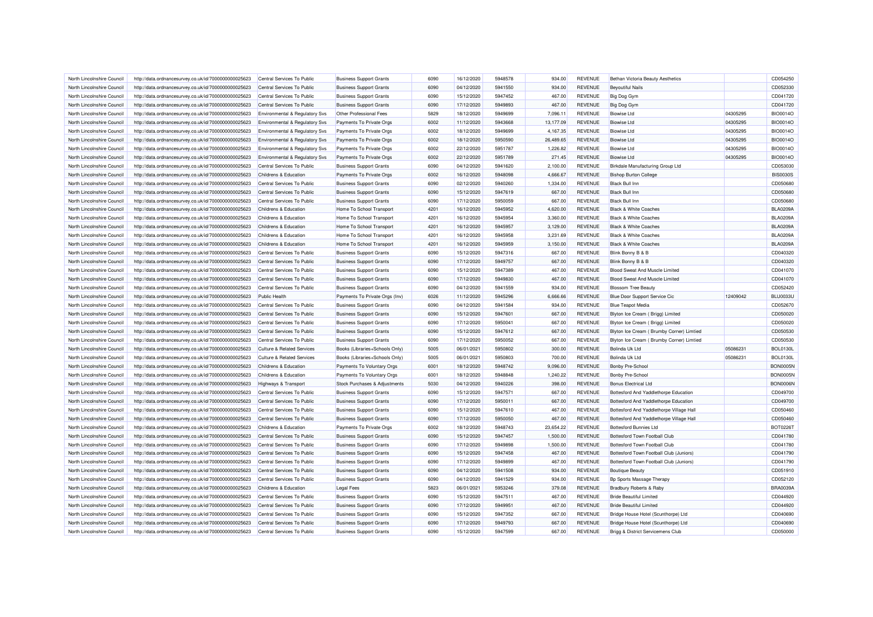| North Lincolnshire Council                               | http://data.ordnancesurvey.co.uk/id/7000000000025623                                                         | Central Services To Public                         | <b>Business Support Grants</b>                                   | 6090         | 16/12/2020               | 5948578 | 934.00           | <b>REVENUE</b>                   | Bethan Victoria Beauty Aesthetics                            |          | CD054250             |
|----------------------------------------------------------|--------------------------------------------------------------------------------------------------------------|----------------------------------------------------|------------------------------------------------------------------|--------------|--------------------------|---------|------------------|----------------------------------|--------------------------------------------------------------|----------|----------------------|
| North Lincolnshire Council                               | http://data.ordnancesurvey.co.uk/id/7000000000025623                                                         | Central Services To Public                         | <b>Business Support Grants</b>                                   | 6090         | 04/12/2020               | 5941550 | 934.00           | <b>REVENUE</b>                   | <b>Beyoutiful Nails</b>                                      |          | CD052330             |
| North Lincolnshire Council                               | http://data.ordnancesurvey.co.uk/id/7000000000025623                                                         | Central Services To Public                         | <b>Business Support Grants</b>                                   | 6090         | 15/12/2020               | 5947452 | 467.00           | <b>REVENUE</b>                   | Big Dog Gym                                                  |          | CD041720             |
| North Lincolnshire Council                               | http://data.ordnancesurvey.co.uk/id/7000000000025623                                                         | Central Services To Public                         | <b>Business Support Grants</b>                                   | 6090         | 17/12/2020               | 5949893 | 467.00           | <b>REVENUE</b>                   | <b>Big Dog Gym</b>                                           |          | CD041720             |
| North Lincolnshire Council                               | http://data.ordnancesurvey.co.uk/id/7000000000025623                                                         | Environmental & Regulatory Svs                     | Other Professional Fees                                          | 5829         | 18/12/2020               | 5949699 | 7,096.11         | <b>REVENUE</b>                   | <b>Biowise Ltd</b>                                           | 04305295 | <b>BIO0014O</b>      |
| North Lincolnshire Council                               | http://data.ordnancesurvey.co.uk/id/7000000000025623                                                         | Environmental & Regulatory Svs                     | Payments To Private Orgs                                         | 6002         | 11/12/2020               | 5943668 | 13,177.09        | <b>REVENUE</b>                   | <b>Biowise Ltd</b>                                           | 04305295 | <b>BIO0014O</b>      |
| North Lincolnshire Council                               | http://data.ordnancesurvey.co.uk/id/7000000000025623                                                         | Environmental & Regulatory Svs                     | Payments To Private Orgs                                         | 6002         | 18/12/2020               | 5949699 | 4,167.35         | <b>REVENUE</b>                   | <b>Biowise Ltd</b>                                           | 04305295 | <b>BIO0014O</b>      |
| North Lincolnshire Council                               | http://data.ordnancesurvey.co.uk/id/7000000000025623                                                         | Environmental & Regulatory Svs                     | Payments To Private Orgs                                         | 6002         | 18/12/2020               | 5950590 | 26,489.65        | REVENUE                          | <b>Biowise Ltd</b>                                           | 04305295 | <b>BIO0014O</b>      |
| North Lincolnshire Council                               | http://data.ordnancesurvey.co.uk/id/7000000000025623                                                         | <b>Environmental &amp; Regulatory Svs</b>          | Payments To Private Orgs                                         | 6002         | 22/12/2020               | 5951787 | 1,226.82         | <b>REVENUE</b>                   | <b>Biowise Ltd</b>                                           | 04305295 | <b>BIO0014O</b>      |
| North Lincolnshire Council                               | http://data.ordnancesurvey.co.uk/id/7000000000025623                                                         | Environmental & Regulatory Svs                     | Payments To Private Orgs                                         | 6002         | 22/12/2020               | 5951789 | 271.45           | <b>REVENUE</b>                   | <b>Biowise Ltd</b>                                           | 04305295 | <b>BIO0014O</b>      |
| North Lincolnshire Council                               | http://data.ordnancesurvey.co.uk/id/7000000000025623                                                         | Central Services To Public                         | <b>Business Support Grants</b>                                   | 6090         | 04/12/2020               | 5941620 | 2,100.00         | <b>REVENUE</b>                   | Birkdale Manufacturing Group Ltd                             |          | CD053030             |
| North Lincolnshire Council                               | http://data.ordnancesurvey.co.uk/id/7000000000025623                                                         | Childrens & Education                              | Payments To Private Orgs                                         | 6002         | 16/12/2020               | 5948098 | 4,666.67         | <b>REVENUE</b>                   | <b>Bishop Burton College</b>                                 |          | <b>BIS0030S</b>      |
| North Lincolnshire Council                               | http://data.ordnancesurvey.co.uk/id/7000000000025623                                                         | Central Services To Public                         | <b>Business Support Grants</b>                                   | 6090         | 02/12/2020               | 5940260 | 1,334.00         | <b>REVENUE</b>                   | <b>Black Bull Inn</b>                                        |          | CD050680             |
| North Lincolnshire Council                               | http://data.ordnancesurvey.co.uk/id/7000000000025623                                                         | Central Services To Public                         | <b>Business Support Grants</b>                                   | 6090         | 15/12/2020               | 5947619 | 667.00           | <b>REVENUE</b>                   | <b>Black Bull Inn</b>                                        |          | CD050680             |
| North Lincolnshire Council                               | http://data.ordnancesurvey.co.uk/id/7000000000025623                                                         | Central Services To Public                         | <b>Business Support Grants</b>                                   | 6090         | 17/12/2020               | 5950059 | 667.00           | <b>REVENUE</b>                   | <b>Black Bull Inn</b>                                        |          | CD050680             |
| North Lincolnshire Council                               | http://data.ordnancesurvey.co.uk/id/7000000000025623                                                         | Childrens & Education                              | Home To School Transport                                         | 4201         | 16/12/2020               | 5945952 | 4,620.00         | <b>REVENUE</b>                   | <b>Black &amp; White Coaches</b>                             |          | <b>BLA0209A</b>      |
| North Lincolnshire Council                               | http://data.ordnancesurvey.co.uk/id/7000000000025623                                                         | Childrens & Education                              | Home To School Transport                                         | 4201         | 16/12/2020               | 5945954 | 3,360.00         | <b>REVENUE</b>                   | <b>Black &amp; White Coaches</b>                             |          | <b>BLA0209A</b>      |
| North Lincolnshire Council                               | http://data.ordnancesurvey.co.uk/id/7000000000025623                                                         | Childrens & Education                              | Home To School Transport                                         | 4201         | 16/12/2020               | 5945957 | 3,129.00         | <b>REVENUE</b>                   | <b>Black &amp; White Coaches</b>                             |          | <b>BLA0209A</b>      |
| North Lincolnshire Council                               | http://data.ordnancesurvey.co.uk/id/7000000000025623                                                         | Childrens & Education                              | Home To School Transport                                         | 4201         | 16/12/2020               | 5945958 | 3,231.69         | <b>REVENUE</b>                   | <b>Black &amp; White Coaches</b>                             |          | <b>BLA0209A</b>      |
| North Lincolnshire Council                               | http://data.ordnancesurvey.co.uk/id/7000000000025623                                                         | Childrens & Education                              | Home To School Transport                                         | 4201         | 16/12/2020               | 5945959 | 3,150.00         | <b>REVENUE</b>                   | <b>Black &amp; White Coaches</b>                             |          | <b>BLA0209A</b>      |
| North Lincolnshire Council                               | http://data.ordnancesurvey.co.uk/id/7000000000025623                                                         | Central Services To Public                         | <b>Business Support Grants</b>                                   | 6090         | 15/12/2020               | 5947316 | 667.00           | <b>REVENUE</b>                   | Blink Bonny B & B                                            |          | CD040320             |
| North Lincolnshire Council                               | http://data.ordnancesurvey.co.uk/id/7000000000025623                                                         | Central Services To Public                         | <b>Business Support Grants</b>                                   | 6090         | 17/12/2020               | 5949757 | 667.00           | <b>REVENUE</b>                   | Blink Bonny B & B                                            |          | CD040320             |
| North Lincolnshire Council                               | http://data.ordnancesurvey.co.uk/id/7000000000025623                                                         | Central Services To Public                         | <b>Business Support Grants</b>                                   | 6090         | 15/12/2020               | 5947389 | 467.00           | <b>REVENUE</b>                   | Blood Sweat And Muscle Limited                               |          | CD041070             |
| North Lincolnshire Council                               | http://data.ordnancesurvey.co.uk/id/7000000000025623                                                         | Central Services To Public                         | <b>Business Support Grants</b>                                   | 6090         | 17/12/2020               | 5949830 | 467.00           | <b>REVENUE</b>                   | Blood Sweat And Muscle Limited                               |          | CD041070             |
| North Lincolnshire Council                               | http://data.ordnancesurvey.co.uk/id/7000000000025623                                                         | Central Services To Public                         | <b>Business Support Grants</b>                                   | 6090         | 04/12/2020               | 5941559 | 934.00           | <b>REVENUE</b>                   | <b>Blossom Tree Beauty</b>                                   |          | CD052420             |
|                                                          |                                                                                                              |                                                    |                                                                  |              |                          | 5945296 |                  |                                  |                                                              |          | <b>BLU0033U</b>      |
| North Lincolnshire Council                               | http://data.ordnancesurvey.co.uk/id/7000000000025623                                                         | <b>Public Health</b><br>Central Services To Public | Payments To Private Orgs (Inv)                                   | 6026<br>6090 | 11/12/2020               | 5941584 | 6,666.66         | <b>REVENUE</b><br><b>REVENUE</b> | Blue Door Support Service Cic                                | 12409042 |                      |
| North Lincolnshire Council<br>North Lincolnshire Council | http://data.ordnancesurvey.co.uk/id/7000000000025623<br>http://data.ordnancesurvey.co.uk/id/7000000000025623 | Central Services To Public                         | <b>Business Support Grants</b><br><b>Business Support Grants</b> | 6090         | 04/12/2020<br>15/12/2020 | 5947601 | 934.00<br>667.00 | <b>REVENUE</b>                   | <b>Blue Teapot Media</b><br>Blyton Ice Cream (Brigg) Limited |          | CD052670<br>CD050020 |
|                                                          |                                                                                                              |                                                    |                                                                  | 6090         |                          | 5950041 |                  |                                  |                                                              |          |                      |
| North Lincolnshire Council                               | http://data.ordnancesurvey.co.uk/id/7000000000025623                                                         | Central Services To Public                         | <b>Business Support Grants</b>                                   |              | 17/12/2020               |         | 667.00           | <b>REVENUE</b>                   | Blyton Ice Cream (Brigg) Limited                             |          | CD050020             |
| North Lincolnshire Council                               | http://data.ordnancesurvey.co.uk/id/7000000000025623                                                         | Central Services To Public                         | <b>Business Support Grants</b>                                   | 6090         | 15/12/2020               | 5947612 | 667.00           | <b>REVENUE</b>                   | Blyton Ice Cream ( Brumby Corner) Limtied                    |          | CD050530             |
| North Lincolnshire Council                               | http://data.ordnancesurvey.co.uk/id/7000000000025623                                                         | Central Services To Public                         | <b>Business Support Grants</b>                                   | 6090         | 17/12/2020               | 5950052 | 667.00           | <b>REVENUE</b>                   | Blyton Ice Cream ( Brumby Corner) Limtied                    |          | CD050530             |
| North Lincolnshire Council                               | http://data.ordnancesurvey.co.uk/id/7000000000025623                                                         | <b>Culture &amp; Related Services</b>              | Books (Libraries+Schools Only)                                   | 5005         | 06/01/2021               | 5950802 | 300.00           | <b>REVENUE</b>                   | <b>Bolinda Uk Ltd</b>                                        | 05086231 | <b>BOL0130L</b>      |
| North Lincolnshire Council                               | http://data.ordnancesurvey.co.uk/id/7000000000025623                                                         | <b>Culture &amp; Related Services</b>              | Books (Libraries+Schools Only)                                   | 5005         | 06/01/2021               | 5950803 | 700.00           | <b>REVENUE</b>                   | Bolinda Uk Ltd                                               | 05086231 | <b>BOL0130L</b>      |
| North Lincolnshire Council                               | http://data.ordnancesurvey.co.uk/id/7000000000025623                                                         | Childrens & Education                              | Payments To Voluntary Orgs                                       | 6001         | 18/12/2020               | 5948742 | 9.096.00         | <b>REVENUE</b>                   | <b>Bonby Pre-School</b>                                      |          | <b>BON0005N</b>      |
| North Lincolnshire Council                               | http://data.ordnancesurvey.co.uk/id/7000000000025623                                                         | Childrens & Education                              | Payments To Voluntary Orgs                                       | 6001         | 18/12/2020               | 5948848 | 1,240.22         | <b>REVENUE</b>                   | <b>Bonby Pre-School</b>                                      |          | <b>BON0005N</b>      |
| North Lincolnshire Council                               | http://data.ordnancesurvey.co.uk/id/7000000000025623                                                         | <b>Highways &amp; Transport</b>                    | Stock Purchases & Adjustments                                    | 5030         | 04/12/2020               | 5940226 | 398.00           | <b>REVENUE</b>                   | <b>Bonus Electrical Ltd</b>                                  |          | BON0006N             |
| North Lincolnshire Council                               | http://data.ordnancesurvey.co.uk/id/7000000000025623                                                         | Central Services To Public                         | <b>Business Support Grants</b>                                   | 6090         | 15/12/2020               | 5947571 | 667.00           | <b>REVENUE</b>                   | Bottesford And Yaddlethorpe Education                        |          | CD049700             |
| North Lincolnshire Council                               | http://data.ordnancesurvey.co.uk/id/7000000000025623                                                         | Central Services To Public                         | <b>Business Support Grants</b>                                   | 6090         | 17/12/2020               | 5950011 | 667.00           | <b>REVENUE</b>                   | Bottesford And Yaddlethorpe Education                        |          | CD049700             |
| North Lincolnshire Council                               | http://data.ordnancesurvey.co.uk/id/7000000000025623                                                         | Central Services To Public                         | <b>Business Support Grants</b>                                   | 6090         | 15/12/2020               | 5947610 | 467.00           | <b>REVENUE</b>                   | Bottesford And Yaddlethorpe Village Hall                     |          | CD050460             |
| North Lincolnshire Council                               | http://data.ordnancesurvey.co.uk/id/7000000000025623                                                         | Central Services To Public                         | <b>Business Support Grants</b>                                   | 6090         | 17/12/2020               | 5950050 | 467.00           | <b>REVENUE</b>                   | Bottesford And Yaddlethorpe Village Hall                     |          | CD050460             |
| North Lincolnshire Council                               | http://data.ordnancesurvey.co.uk/id/7000000000025623                                                         | Childrens & Education                              | Payments To Private Orgs                                         | 6002         | 18/12/2020               | 5948743 | 23,654.22        | <b>REVENUE</b>                   | <b>Bottesford Bunnies Ltd</b>                                |          | BOT02267             |
| North Lincolnshire Council                               | http://data.ordnancesurvey.co.uk/id/7000000000025623                                                         | Central Services To Public                         | <b>Business Support Grants</b>                                   | 6090         | 15/12/2020               | 5947457 | 1.500.00         | <b>REVENUE</b>                   | Bottesford Town Football Club                                |          | CD041780             |
| North Lincolnshire Council                               | http://data.ordnancesurvey.co.uk/id/7000000000025623                                                         | Central Services To Public                         | <b>Business Support Grants</b>                                   | 6090         | 17/12/2020               | 5949898 | 1,500.00         | <b>REVENUE</b>                   | Bottesford Town Football Club                                |          | CD041780             |
| North Lincolnshire Council                               | http://data.ordnancesurvey.co.uk/id/7000000000025623                                                         | Central Services To Public                         | <b>Business Support Grants</b>                                   | 6090         | 15/12/2020               | 5947458 | 467.00           | <b>REVENUE</b>                   | Bottesford Town Football Club (Juniors)                      |          | CD041790             |
| North Lincolnshire Council                               | http://data.ordnancesurvey.co.uk/id/7000000000025623                                                         | Central Services To Public                         | <b>Business Support Grants</b>                                   | 6090         | 17/12/2020               | 5949899 | 467.00           | <b>REVENUE</b>                   | Bottesford Town Football Club (Juniors)                      |          | CD041790             |
| North Lincolnshire Council                               | http://data.ordnancesurvey.co.uk/id/7000000000025623                                                         | Central Services To Public                         | <b>Business Support Grants</b>                                   | 6090         | 04/12/2020               | 5941508 | 934.00           | <b>REVENUE</b>                   | <b>Boutique Beauty</b>                                       |          | CD051910             |
| North Lincolnshire Council                               | http://data.ordnancesurvey.co.uk/id/7000000000025623                                                         | Central Services To Public                         | <b>Business Support Grants</b>                                   | 6090         | 04/12/2020               | 5941529 | 934.00           | <b>REVENUE</b>                   | Bp Sports Massage Therapy                                    |          | CD052120             |
| North Lincolnshire Council                               | http://data.ordnancesurvey.co.uk/id/7000000000025623                                                         | Childrens & Education                              | <b>Legal Fees</b>                                                | 5823         | 06/01/2021               | 5953246 | 379.08           | <b>REVENUE</b>                   | Bradbury Roberts & Raby                                      |          | BRA0039A             |
| North Lincolnshire Council                               | http://data.ordnancesurvey.co.uk/id/7000000000025623                                                         | Central Services To Public                         | <b>Business Support Grants</b>                                   | 6090         | 15/12/2020               | 5947511 | 467.00           | <b>REVENUE</b>                   | <b>Bride Beautiful Limited</b>                               |          | CD044920             |
| North Lincolnshire Council                               | http://data.ordnancesurvey.co.uk/id/7000000000025623                                                         | Central Services To Public                         | <b>Business Support Grants</b>                                   | 6090         | 17/12/2020               | 5949951 | 467.00           | <b>REVENUE</b>                   | <b>Bride Beautiful Limited</b>                               |          | CD044920             |
| North Lincolnshire Council                               | http://data.ordnancesurvey.co.uk/id/7000000000025623                                                         | Central Services To Public                         | <b>Business Support Grants</b>                                   | 6090         | 15/12/2020               | 5947352 | 667.00           | <b>REVENUE</b>                   | Bridge House Hotel (Scunthorpe) Ltd                          |          | CD040690             |
| North Lincolnshire Council                               | http://data.ordnancesurvey.co.uk/id/7000000000025623                                                         | Central Services To Public                         | <b>Business Support Grants</b>                                   | 6090         | 17/12/2020               | 5949793 | 667.00           | <b>REVENUE</b>                   | Bridge House Hotel (Scunthorpe) Ltd                          |          | CD040690             |
| North Lincolnshire Council                               | http://data.ordnancesurvey.co.uk/id/7000000000025623                                                         | Central Services To Public                         | <b>Business Support Grants</b>                                   | 6090         | 15/12/2020               | 5947599 | 667.00           | <b>REVENUE</b>                   | Brigg & District Servicemens Club                            |          | CD050000             |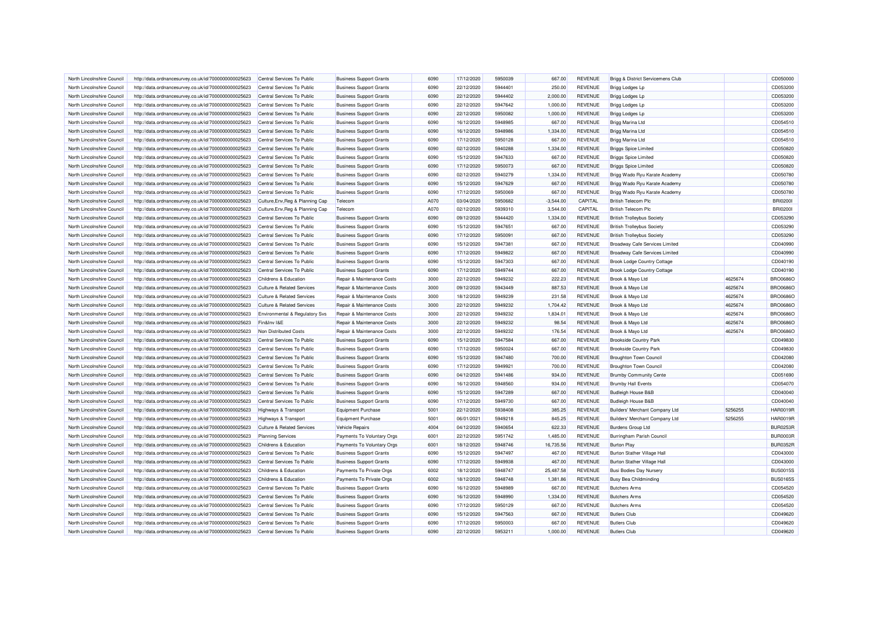| North Lincolnshire Council | http://data.ordnancesurvey.co.uk/id/7000000000025623                                                         | Central Services To Public                | <b>Business Support Grants</b> | 6090 | 17/12/2020 | 5950039 | 667.00      | <b>REVENUE</b> | Brigg & District Servicemens Club     |         | CD050000        |
|----------------------------|--------------------------------------------------------------------------------------------------------------|-------------------------------------------|--------------------------------|------|------------|---------|-------------|----------------|---------------------------------------|---------|-----------------|
| North Lincolnshire Council | http://data.ordnancesurvey.co.uk/id/7000000000025623                                                         | Central Services To Public                | <b>Business Support Grants</b> | 6090 | 22/12/2020 | 5944401 | 250.00      | <b>REVENUE</b> | Brigg Lodges Lp                       |         | CD053200        |
| North Lincolnshire Council | http://data.ordnancesurvey.co.uk/id/7000000000025623                                                         | Central Services To Public                | <b>Business Support Grants</b> | 6090 | 22/12/2020 | 5944402 | 2,000.00    | <b>REVENUE</b> | Brigg Lodges Lp                       |         | CD053200        |
| North Lincolnshire Council | http://data.ordnancesurvey.co.uk/id/7000000000025623                                                         | Central Services To Public                | <b>Business Support Grants</b> | 6090 | 22/12/2020 | 5947642 | 1,000.00    | <b>REVENUE</b> | Brigg Lodges Lp                       |         | CD053200        |
| North Lincolnshire Council | http://data.ordnancesurvey.co.uk/id/7000000000025623                                                         | Central Services To Public                | <b>Business Support Grants</b> | 6090 | 22/12/2020 | 5950082 | 1,000.00    | <b>REVENUE</b> | Brigg Lodges Lp                       |         | CD053200        |
| North Lincolnshire Council | http://data.ordnancesurvey.co.uk/id/7000000000025623                                                         | Central Services To Public                | <b>Business Support Grants</b> | 6090 | 16/12/2020 | 5948985 | 667.00      | <b>REVENUE</b> | Brigg Marina Ltd                      |         | CD054510        |
| North Lincolnshire Council | http://data.ordnancesurvey.co.uk/id/7000000000025623                                                         | Central Services To Public                | <b>Business Support Grants</b> | 6090 | 16/12/2020 | 5948986 | 1,334.00    | <b>REVENUE</b> | Brigg Marina Ltd                      |         | CD054510        |
| North Lincolnshire Council | http://data.ordnancesurvey.co.uk/id/7000000000025623                                                         | Central Services To Public                | <b>Business Support Grants</b> | 6090 | 17/12/2020 | 5950128 | 667.00      | <b>REVENUE</b> | Brigg Marina Ltd                      |         | CD054510        |
| North Lincolnshire Council | http://data.ordnancesurvey.co.uk/id/7000000000025623                                                         | Central Services To Public                | <b>Business Support Grants</b> | 6090 | 02/12/2020 | 5940288 | 1.334.00    | <b>REVENUE</b> | <b>Briggs Spice Limited</b>           |         | CD050820        |
| North Lincolnshire Council | http://data.ordnancesurvey.co.uk/id/7000000000025623                                                         | Central Services To Public                | <b>Business Support Grants</b> | 6090 | 15/12/2020 | 5947633 | 667.00      | <b>REVENUE</b> | <b>Briggs Spice Limited</b>           |         | CD050820        |
| North Lincolnshire Council | http://data.ordnancesurvey.co.uk/id/7000000000025623                                                         | Central Services To Public                | <b>Business Support Grants</b> | 6090 | 17/12/2020 | 5950073 | 667.00      | <b>REVENUE</b> | <b>Briggs Spice Limited</b>           |         | CD050820        |
| North Lincolnshire Council | http://data.ordnancesurvey.co.uk/id/7000000000025623                                                         | Central Services To Public                | <b>Business Support Grants</b> | 6090 | 02/12/2020 | 5940279 | 1,334.00    | <b>REVENUE</b> | Brigg Wado Ryu Karate Academy         |         | CD050780        |
| North Lincolnshire Council | http://data.ordnancesurvey.co.uk/id/7000000000025623                                                         | Central Services To Public                | <b>Business Support Grants</b> | 6090 | 15/12/2020 | 5947629 | 667.00      | REVENUE        | Brigg Wado Ryu Karate Academy         |         | CD050780        |
| North Lincolnshire Council | http://data.ordnancesurvey.co.uk/id/7000000000025623                                                         | Central Services To Public                | <b>Business Support Grants</b> | 6090 | 17/12/2020 | 5950069 | 667.00      | <b>REVENUE</b> | Brigg Wado Ryu Karate Academy         |         | CD050780        |
| North Lincolnshire Council | http://data.ordnancesurvey.co.uk/id/7000000000025623                                                         | Culture, Env, Reg & Planning Cap          | Telecom                        | A070 | 03/04/2020 | 5950682 | $-3,544.00$ | CAPITAL        | <b>British Telecom Plc</b>            |         | <b>BRI02001</b> |
| North Lincolnshire Council | http://data.ordnancesurvey.co.uk/id/7000000000025623                                                         | Culture, Env, Reg & Planning Cap          | Telecom                        | A070 | 02/12/2020 | 5939310 | 3,544.00    | CAPITAL        | <b>British Telecom Plo</b>            |         | <b>BRI02001</b> |
| North Lincolnshire Council | http://data.ordnancesurvey.co.uk/id/7000000000025623                                                         | Central Services To Public                | <b>Business Support Grants</b> | 6090 | 09/12/2020 | 5944420 | 1,334.00    | <b>REVENUE</b> | <b>British Trolleybus Society</b>     |         | CD053290        |
| North Lincolnshire Council | http://data.ordnancesurvey.co.uk/id/7000000000025623                                                         | Central Services To Public                | <b>Business Support Grants</b> | 6090 | 15/12/2020 | 5947651 | 667.00      | <b>REVENUE</b> | <b>British Trolleybus Society</b>     |         | CD053290        |
| North Lincolnshire Council | http://data.ordnancesurvey.co.uk/id/7000000000025623                                                         | Central Services To Public                | <b>Business Support Grants</b> | 6090 | 17/12/2020 | 5950091 | 667.00      | <b>REVENUE</b> | <b>British Trolleybus Society</b>     |         | CD053290        |
| North Lincolnshire Council | http://data.ordnancesurvey.co.uk/id/7000000000025623                                                         | Central Services To Public                | <b>Business Support Grants</b> | 6090 | 15/12/2020 | 5947381 | 667.00      | <b>REVENUE</b> | Broadway Cafe Services Limited        |         | CD040990        |
| North Lincolnshire Council | http://data.ordnancesurvey.co.uk/id/7000000000025623                                                         | Central Services To Public                | <b>Business Support Grants</b> | 6090 | 17/12/2020 | 5949822 | 667.00      | <b>REVENUE</b> | <b>Broadway Cafe Services Limited</b> |         | CD040990        |
| North Lincolnshire Council |                                                                                                              | Central Services To Public                | <b>Business Support Grants</b> | 6090 | 15/12/2020 | 5947303 | 667.00      | <b>REVENUE</b> |                                       |         | CD040190        |
| North Lincolnshire Council | http://data.ordnancesurvey.co.uk/id/7000000000025623<br>http://data.ordnancesurvey.co.uk/id/7000000000025623 | Central Services To Public                | <b>Business Support Grants</b> | 6090 | 17/12/2020 | 5949744 | 667.00      | <b>REVENUE</b> | <b>Brook Lodge Country Cottage</b>    |         | CD040190        |
|                            |                                                                                                              |                                           |                                |      |            | 5949232 |             |                | <b>Brook Lodge Country Cottage</b>    |         |                 |
| North Lincolnshire Council | http://data.ordnancesurvey.co.uk/id/7000000000025623                                                         | Childrens & Education                     | Repair & Maintenance Costs     | 3000 | 22/12/2020 |         | 222.23      | <b>REVENUE</b> | Brook & Mayo Ltd                      | 4625674 | <b>BRO0686O</b> |
| North Lincolnshire Council | http://data.ordnancesurvey.co.uk/id/7000000000025623                                                         | <b>Culture &amp; Related Services</b>     | Repair & Maintenance Costs     | 3000 | 09/12/2020 | 5943449 | 887.53      | <b>REVENUE</b> | Brook & Mayo Ltd                      | 4625674 | <b>BRO0686O</b> |
| North Lincolnshire Council | http://data.ordnancesurvey.co.uk/id/7000000000025623                                                         | <b>Culture &amp; Related Services</b>     | Repair & Maintenance Costs     | 3000 | 18/12/2020 | 5949239 | 231.58      | <b>REVENUE</b> | Brook & Mayo Ltd                      | 4625674 | <b>BRO0686O</b> |
| North Lincolnshire Council | http://data.ordnancesurvey.co.uk/id/7000000000025623                                                         | <b>Culture &amp; Related Services</b>     | Repair & Maintenance Costs     | 3000 | 22/12/2020 | 5949232 | 1,704.42    | <b>REVENUE</b> | Brook & Mayo Ltd                      | 4625674 | <b>BRO0686O</b> |
| North Lincolnshire Council | http://data.ordnancesurvey.co.uk/id/7000000000025623                                                         | <b>Environmental &amp; Regulatory Svs</b> | Repair & Maintenance Costs     | 3000 | 22/12/2020 | 5949232 | 1.834.01    | <b>REVENUE</b> | Brook & Mayo Ltd                      | 4625674 | <b>BRO0686O</b> |
| North Lincolnshire Council | http://data.ordnancesurvey.co.uk/id/7000000000025623                                                         | Fin&Inv I&E                               | Repair & Maintenance Costs     | 3000 | 22/12/2020 | 5949232 | 98.54       | <b>REVENUE</b> | Brook & Mayo Ltd                      | 4625674 | <b>BRO0686O</b> |
| North Lincolnshire Council | http://data.ordnancesurvey.co.uk/id/7000000000025623                                                         | Non Distributed Costs                     | Repair & Maintenance Costs     | 3000 | 22/12/2020 | 5949232 | 176.54      | <b>REVENUE</b> | Brook & Mayo Ltd                      | 4625674 | <b>BRO0686O</b> |
| North Lincolnshire Council | http://data.ordnancesurvey.co.uk/id/7000000000025623                                                         | Central Services To Public                | <b>Business Support Grants</b> | 6090 | 15/12/2020 | 5947584 | 667.00      | <b>REVENUE</b> | <b>Brookside Country Park</b>         |         | CD049830        |
| North Lincolnshire Council | http://data.ordnancesurvey.co.uk/id/7000000000025623                                                         | Central Services To Public                | <b>Business Support Grants</b> | 6090 | 17/12/2020 | 5950024 | 667.00      | <b>REVENUE</b> | <b>Brookside Country Park</b>         |         | CD049830        |
| North Lincolnshire Council | http://data.ordnancesurvey.co.uk/id/7000000000025623                                                         | Central Services To Public                | <b>Business Support Grants</b> | 6090 | 15/12/2020 | 5947480 | 700.00      | <b>REVENUE</b> | <b>Broughton Town Council</b>         |         | CD042080        |
| North Lincolnshire Council | http://data.ordnancesurvey.co.uk/id/7000000000025623                                                         | Central Services To Public                | <b>Business Support Grants</b> | 6090 | 17/12/2020 | 5949921 | 700.00      | <b>REVENUE</b> | <b>Broughton Town Council</b>         |         | CD042080        |
| North Lincolnshire Council | http://data.ordnancesurvey.co.uk/id/7000000000025623                                                         | Central Services To Public                | <b>Business Support Grants</b> | 6090 | 04/12/2020 | 5941486 | 934.00      | <b>REVENUE</b> | <b>Brumby Community Cente</b>         |         | CD051690        |
| North Lincolnshire Council | http://data.ordnancesurvey.co.uk/id/7000000000025623                                                         | Central Services To Public                | <b>Business Support Grants</b> | 6090 | 16/12/2020 | 5948560 | 934.00      | <b>REVENUE</b> | <b>Brumby Hall Events</b>             |         | CD054070        |
| North Lincolnshire Council | http://data.ordnancesurvey.co.uk/id/7000000000025623                                                         | Central Services To Public                | <b>Business Support Grants</b> | 6090 | 15/12/2020 | 5947289 | 667.00      | <b>REVENUE</b> | <b>Budleigh House B&amp;B</b>         |         | CD040040        |
| North Lincolnshire Council | http://data.ordnancesurvey.co.uk/id/7000000000025623                                                         | Central Services To Public                | <b>Business Support Grants</b> | 6090 | 17/12/2020 | 5949730 | 667.00      | <b>REVENUE</b> | <b>Budleigh House B&amp;B</b>         |         | CD040040        |
| North Lincolnshire Council | http://data.ordnancesurvey.co.uk/id/7000000000025623                                                         | Highways & Transport                      | Equipment Purchase             | 5001 | 22/12/2020 | 5938408 | 385.25      | <b>REVENUE</b> | Builders' Merchant Company Ltd        | 5256255 | <b>HAR0019R</b> |
| North Lincolnshire Council | http://data.ordnancesurvey.co.uk/id/7000000000025623                                                         | <b>Highways &amp; Transport</b>           | <b>Equipment Purchase</b>      | 5001 | 06/01/2021 | 5949218 | 845.25      | <b>REVENUE</b> | Builders' Merchant Company Ltd        | 5256255 | <b>HAR0019R</b> |
| North Lincolnshire Council | http://data.ordnancesurvey.co.uk/id/7000000000025623                                                         | <b>Culture &amp; Related Services</b>     | <b>Vehicle Repairs</b>         | 4004 | 04/12/2020 | 5940654 | 622.33      | <b>REVENUE</b> | <b>Burdens Group Ltd</b>              |         | <b>BUR0253F</b> |
| North Lincolnshire Council | http://data.ordnancesurvey.co.uk/id/7000000000025623                                                         | <b>Planning Services</b>                  | Payments To Voluntary Orgs     | 6001 | 22/12/2020 | 5951742 | 1,485.00    | <b>REVENUE</b> | Burringham Parish Council             |         | <b>BUR0003F</b> |
| North Lincolnshire Council | http://data.ordnancesurvey.co.uk/id/7000000000025623                                                         | Childrens & Education                     | Payments To Voluntary Orgs     | 6001 | 18/12/2020 | 5948746 | 16,735.56   | <b>REVENUE</b> | <b>Burton Play</b>                    |         | <b>BUR0352R</b> |
| North Lincolnshire Council | http://data.ordnancesurvey.co.uk/id/7000000000025623                                                         | Central Services To Public                | <b>Business Support Grants</b> | 6090 | 15/12/2020 | 5947497 | 467.00      | <b>REVENUE</b> | Burton Stather Village Hall           |         | CD043000        |
| North Lincolnshire Council | http://data.ordnancesurvey.co.uk/id/7000000000025623                                                         | Central Services To Public                | <b>Business Support Grants</b> | 6090 | 17/12/2020 | 5949938 | 467.00      | <b>REVENUE</b> | <b>Burton Stather Village Hall</b>    |         | CD043000        |
| North Lincolnshire Council | http://data.ordnancesurvey.co.uk/id/7000000000025623                                                         | Childrens & Education                     | Payments To Private Orgs       | 6002 | 18/12/2020 | 5948747 | 25,487.58   | <b>REVENUE</b> | <b>Busi Bodies Day Nursery</b>        |         | <b>BUS0015S</b> |
| North Lincolnshire Council | http://data.ordnancesurvey.co.uk/id/7000000000025623                                                         | Childrens & Education                     | Payments To Private Orgs       | 6002 | 18/12/2020 | 5948748 | 1,381.86    | <b>REVENUE</b> | <b>Busy Bea Childminding</b>          |         | <b>BUS0165S</b> |
| North Lincolnshire Council | http://data.ordnancesurvey.co.uk/id/7000000000025623                                                         | Central Services To Public                | <b>Business Support Grants</b> | 6090 | 16/12/2020 | 5948989 | 667.00      | <b>REVENUE</b> | <b>Butchers Arms</b>                  |         | CD054520        |
| North Lincolnshire Council | http://data.ordnancesurvey.co.uk/id/7000000000025623                                                         | Central Services To Public                | <b>Business Support Grants</b> | 6090 | 16/12/2020 | 5948990 | 1,334.00    | <b>REVENUE</b> | <b>Butchers Arms</b>                  |         | CD054520        |
| North Lincolnshire Council | http://data.ordnancesurvey.co.uk/id/7000000000025623                                                         | Central Services To Public                | <b>Business Support Grants</b> | 6090 | 17/12/2020 | 5950129 | 667.00      | <b>REVENUE</b> | <b>Butchers Arms</b>                  |         | CD054520        |
| North Lincolnshire Council | http://data.ordnancesurvey.co.uk/id/7000000000025623                                                         | Central Services To Public                | <b>Business Support Grants</b> | 6090 | 15/12/2020 | 5947563 | 667.00      | <b>REVENUE</b> | <b>Butlers Club</b>                   |         | CD049620        |
| North Lincolnshire Council | http://data.ordnancesurvey.co.uk/id/7000000000025623                                                         | Central Services To Public                | <b>Business Support Grants</b> | 6090 | 17/12/2020 | 5950003 | 667.00      | <b>REVENUE</b> | <b>Butlers Club</b>                   |         | CD049620        |
| North Lincolnshire Council | http://data.ordnancesurvey.co.uk/id/7000000000025623                                                         | Central Services To Public                | <b>Business Support Grants</b> | 6090 | 22/12/2020 | 5953211 | 1,000.00    | <b>REVENUE</b> | <b>Butlers Club</b>                   |         | CD049620        |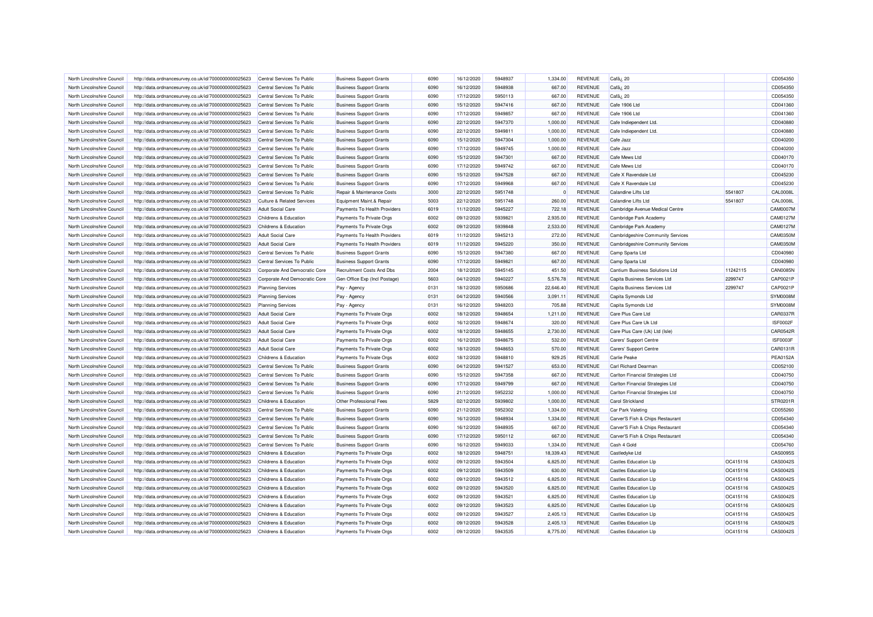| North Lincolnshire Council                               | http://data.ordnancesurvey.co.uk/id/7000000000025623                                                         | Central Services To Public                             | <b>Business Support Grants</b>                                 | 6090         | 16/12/2020               | 5948937            | 1.334.00         | <b>REVENUE</b>                   | Cafã; 20                                             |          | CD054350        |
|----------------------------------------------------------|--------------------------------------------------------------------------------------------------------------|--------------------------------------------------------|----------------------------------------------------------------|--------------|--------------------------|--------------------|------------------|----------------------------------|------------------------------------------------------|----------|-----------------|
| North Lincolnshire Council                               | http://data.ordnancesurvey.co.uk/id/7000000000025623                                                         | Central Services To Public                             | <b>Business Support Grants</b>                                 | 6090         | 16/12/2020               | 5948938            | 667.00           | <b>REVENUE</b>                   | Cafã; 20                                             |          | CD054350        |
| North Lincolnshire Council                               | http://data.ordnancesurvey.co.uk/id/7000000000025623                                                         | Central Services To Public                             | <b>Business Support Grants</b>                                 | 6090         | 17/12/2020               | 5950113            | 667.00           | <b>REVENUE</b>                   | Cafã¿ 20                                             |          | CD054350        |
| North Lincolnshire Council                               | http://data.ordnancesurvey.co.uk/id/7000000000025623                                                         | Central Services To Public                             | <b>Business Support Grants</b>                                 | 6090         | 15/12/2020               | 5947416            | 667.00           | <b>REVENUE</b>                   | Cafe 1906 Ltd                                        |          | CD041360        |
| North Lincolnshire Council                               | http://data.ordnancesurvey.co.uk/id/7000000000025623                                                         | Central Services To Public                             | <b>Business Support Grants</b>                                 | 6090         | 17/12/2020               | 5949857            | 667.00           | <b>REVENUE</b>                   | Cafe 1906 Ltd                                        |          | CD041360        |
| North Lincolnshire Council                               | http://data.ordnancesurvey.co.uk/id/7000000000025623                                                         | Central Services To Public                             | <b>Business Support Grants</b>                                 | 6090         | 22/12/2020               | 5947370            | 1,000.00         | <b>REVENUE</b>                   | Cafe Indiependent Ltd.                               |          | CD040880        |
| North Lincolnshire Council                               | http://data.ordnancesurvey.co.uk/id/7000000000025623                                                         | Central Services To Public                             | <b>Business Support Grants</b>                                 | 6090         | 22/12/2020               | 5949811            | 1.000.00         | <b>REVENUE</b>                   | Cafe Indiependent Ltd.                               |          | CD040880        |
| North Lincolnshire Council                               | http://data.ordnancesurvey.co.uk/id/7000000000025623                                                         | Central Services To Public                             | <b>Business Support Grants</b>                                 | 6090         | 15/12/2020               | 5947304            | 1,000.00         | <b>REVENUE</b>                   | Cafe Jazz                                            |          | CD040200        |
| North Lincolnshire Council                               | http://data.ordnancesurvey.co.uk/id/7000000000025623                                                         | Central Services To Public                             | <b>Business Support Grants</b>                                 | 6090         | 17/12/2020               | 5949745            | 1,000.00         | <b>REVENUE</b>                   | Cafe Jazz                                            |          | CD040200        |
| North Lincolnshire Council                               | http://data.ordnancesurvey.co.uk/id/7000000000025623                                                         | Central Services To Public                             | <b>Business Support Grants</b>                                 | 6090         | 15/12/2020               | 5947301            | 667.00           | <b>REVENUE</b>                   | Cafe Mews Ltd                                        |          | CD040170        |
| North Lincolnshire Council                               | http://data.ordnancesurvey.co.uk/id/7000000000025623                                                         | Central Services To Public                             | <b>Business Support Grants</b>                                 | 6090         | 17/12/2020               | 5949742            | 667.00           | <b>REVENUE</b>                   | Cafe Mews I td                                       |          | CD040170        |
| North Lincolnshire Council                               | http://data.ordnancesurvey.co.uk/id/7000000000025623                                                         | Central Services To Public                             | <b>Business Support Grants</b>                                 | 6090         | 15/12/2020               | 5947528            | 667.00           | <b>REVENUE</b>                   | Cafe X Ravendale Ltd                                 |          | CD045230        |
| North Lincolnshire Council                               | http://data.ordnancesurvey.co.uk/id/7000000000025623                                                         | Central Services To Public                             | <b>Business Support Grants</b>                                 | 6090         | 17/12/2020               | 5949968            | 667.00           | <b>REVENUE</b>                   | Cafe X Ravendale Ltd                                 |          | CD045230        |
| North Lincolnshire Council                               | http://data.ordnancesurvey.co.uk/id/7000000000025623                                                         | Central Services To Public                             | Repair & Maintenance Costs                                     | 3000         | 22/12/2020               | 5951748            | $\Omega$         | <b>REVENUE</b>                   | Calandine Lifts Ltd                                  | 5541807  | <b>CAL0008L</b> |
| North Lincolnshire Council                               | http://data.ordnancesurvey.co.uk/id/7000000000025623                                                         | Culture & Related Services                             | Equipment Maint.& Repair                                       | 5003         | 22/12/2020               | 5951748            | 260.00           | <b>REVENUE</b>                   | Calandine Lifts Ltd                                  | 5541807  | CAL0008L        |
| North Lincolnshire Council                               | http://data.ordnancesurvey.co.uk/id/7000000000025623                                                         | <b>Adult Social Care</b>                               | Payments To Health Providers                                   | 6019         | 11/12/2020               | 5945227            | 722.18           | <b>REVENUE</b>                   | Cambridge Avenue Medical Centre                      |          | <b>CAM0007N</b> |
| North Lincolnshire Council                               | http://data.ordnancesurvey.co.uk/id/7000000000025623                                                         | Childrens & Education                                  | Payments To Private Orgs                                       | 6002         | 09/12/2020               | 5939821            | 2,935.00         | <b>REVENUE</b>                   | Cambridge Park Academy                               |          | CAM0127M        |
| North Lincolnshire Council                               | http://data.ordnancesurvey.co.uk/id/7000000000025623                                                         | Childrens & Education                                  | Payments To Private Orgs                                       | 6002         | 09/12/2020               | 5939848            | 2,533.00         | <b>REVENUE</b>                   | Cambridge Park Academy                               |          | CAM0127M        |
|                                                          |                                                                                                              |                                                        |                                                                |              |                          |                    |                  |                                  |                                                      |          | CAM0350M        |
| North Lincolnshire Council                               | http://data.ordnancesurvey.co.uk/id/7000000000025623                                                         | <b>Adult Social Care</b>                               | Payments To Health Providers                                   | 6019<br>6019 | 11/12/2020<br>11/12/2020 | 5945213<br>5945220 | 272.00           | <b>REVENUE</b><br><b>REVENUE</b> | Cambridgeshire Community Services                    |          | <b>CAM0350M</b> |
| North Lincolnshire Council<br>North Lincolnshire Council | http://data.ordnancesurvey.co.uk/id/7000000000025623<br>http://data.ordnancesurvey.co.uk/id/7000000000025623 | <b>Adult Social Care</b><br>Central Services To Public | Payments To Health Providers<br><b>Business Support Grants</b> | 6090         | 15/12/2020               | 5947380            | 350.00<br>667.00 | <b>REVENUE</b>                   | Cambridgeshire Community Services<br>Camp Sparta Ltd |          | CD040980        |
|                                                          |                                                                                                              |                                                        |                                                                | 6090         |                          | 5949821            |                  |                                  |                                                      |          |                 |
| North Lincolnshire Council                               | http://data.ordnancesurvey.co.uk/id/7000000000025623                                                         | Central Services To Public                             | <b>Business Support Grants</b>                                 |              | 17/12/2020               |                    | 667.00           | <b>REVENUE</b>                   | Camp Sparta Ltd                                      |          | CD040980        |
| North Lincolnshire Council                               | http://data.ordnancesurvey.co.uk/id/7000000000025623                                                         | Corporate And Democratic Core                          | Recruitment Costs And Dbs                                      | 2004         | 18/12/2020               | 5945145            | 451.50           | <b>REVENUE</b>                   | Cantium Business Solutions Ltd                       | 11242115 | <b>CAN0085N</b> |
| North Lincolnshire Council                               | http://data.ordnancesurvey.co.uk/id/7000000000025623                                                         | Corporate And Democratic Core                          | Gen Office Exp (Incl Postage)                                  | 5603         | 04/12/2020               | 5940227            | 5,576.78         | <b>REVENUE</b>                   | Capita Business Services Ltd                         | 2299747  | CAP0021F        |
| North Lincolnshire Council                               | http://data.ordnancesurvey.co.uk/id/7000000000025623                                                         | <b>Planning Services</b>                               | Pay - Agency                                                   | 0131         | 18/12/2020               | 5950686            | 22,646.40        | REVENUE                          | Capita Business Services Ltd                         | 2299747  | CAP0021F        |
| North Lincolnshire Council                               | http://data.ordnancesurvey.co.uk/id/7000000000025623                                                         | <b>Planning Services</b>                               | Pay - Agency                                                   | 0131         | 04/12/2020               | 5940566            | 3,091.11         | <b>REVENUE</b>                   | Capita Symonds Ltd                                   |          | SYM0008M        |
| North Lincolnshire Council                               | http://data.ordnancesurvey.co.uk/id/7000000000025623                                                         | <b>Planning Services</b>                               | Pay - Agency                                                   | 0131         | 16/12/2020               | 5948203            | 705.88           | <b>REVENUE</b>                   | Capita Symonds Ltd                                   |          | SYM0008N        |
| North Lincolnshire Council                               | http://data.ordnancesurvey.co.uk/id/7000000000025623                                                         | <b>Adult Social Care</b>                               | Payments To Private Orgs                                       | 6002         | 18/12/2020               | 5948654            | 1,211.00         | <b>REVENUE</b>                   | Care Plus Care Ltd                                   |          | CAR0337R        |
| North Lincolnshire Council                               | http://data.ordnancesurvey.co.uk/id/7000000000025623                                                         | <b>Adult Social Care</b>                               | Payments To Private Orgs                                       | 6002         | 16/12/2020               | 5948674            | 320.00           | <b>REVENUE</b>                   | Care Plus Care Uk Ltd                                |          | <b>ISF0002F</b> |
| North Lincolnshire Council                               | http://data.ordnancesurvey.co.uk/id/7000000000025623                                                         | <b>Adult Social Care</b>                               | Payments To Private Orgs                                       | 6002         | 18/12/2020               | 5948655            | 2,730.00         | <b>REVENUE</b>                   | Care Plus Care (Uk) Ltd (Isle)                       |          | CAR0542F        |
| North Lincolnshire Council                               | http://data.ordnancesurvey.co.uk/id/7000000000025623                                                         | <b>Adult Social Care</b>                               | Payments To Private Orgs                                       | 6002         | 16/12/2020               | 5948675            | 532.00           | <b>REVENUE</b>                   | Carers' Support Centre                               |          | ISF0003F        |
| North Lincolnshire Council                               | http://data.ordnancesurvey.co.uk/id/7000000000025623                                                         | <b>Adult Social Care</b>                               | Payments To Private Orgs                                       | 6002         | 18/12/2020               | 5948653            | 570.00           | <b>REVENUE</b>                   | Carers' Support Centre                               |          | CAR0131F        |
| North Lincolnshire Council                               | http://data.ordnancesurvey.co.uk/id/7000000000025623                                                         | Childrens & Education                                  | Payments To Private Orgs                                       | 6002         | 18/12/2020               | 5948810            | 929.25           | <b>REVENUE</b>                   | <b>Carlie Peake</b>                                  |          | PEA0152A        |
| North Lincolnshire Council                               | http://data.ordnancesurvey.co.uk/id/7000000000025623                                                         | Central Services To Public                             | <b>Business Support Grants</b>                                 | 6090         | 04/12/2020               | 5941527            | 653.00           | <b>REVENUE</b>                   | Carl Richard Dearman                                 |          | CD052100        |
| North Lincolnshire Council                               | http://data.ordnancesurvey.co.uk/id/7000000000025623                                                         | Central Services To Public                             | <b>Business Support Grants</b>                                 | 6090         | 15/12/2020               | 5947358            | 667.00           | <b>REVENUE</b>                   | Carlton Financial Strategies Ltd                     |          | CD040750        |
| North Lincolnshire Council                               | http://data.ordnancesurvey.co.uk/id/7000000000025623                                                         | Central Services To Public                             | <b>Business Support Grants</b>                                 | 6090         | 17/12/2020               | 5949799            | 667.00           | <b>REVENUE</b>                   | Carlton Financial Strategies Ltd                     |          | CD040750        |
| North Lincolnshire Council                               | http://data.ordnancesurvey.co.uk/id/7000000000025623                                                         | Central Services To Public                             | <b>Business Support Grants</b>                                 | 6090         | 21/12/2020               | 5952232            | 1,000.00         | <b>REVENUE</b>                   | Carlton Financial Strategies Ltd                     |          | CD040750        |
| North Lincolnshire Council                               | http://data.ordnancesurvey.co.uk/id/7000000000025623                                                         | Childrens & Education                                  | Other Professional Fees                                        | 5829         | 02/12/2020               | 5939802            | 1,000.00         | <b>REVENUE</b>                   | <b>Carol Strickland</b>                              |          | STR0201F        |
| North Lincolnshire Council                               | http://data.ordnancesurvey.co.uk/id/7000000000025623                                                         | Central Services To Public                             | <b>Business Support Grants</b>                                 | 6090         | 21/12/2020               | 5952302            | 1,334.00         | <b>REVENUE</b>                   | <b>Car Park Valeting</b>                             |          | CD055260        |
| North Lincolnshire Council                               | http://data.ordnancesurvey.co.uk/id/7000000000025623                                                         | Central Services To Public                             | <b>Business Support Grants</b>                                 | 6090         | 16/12/2020               | 5948934            | 1.334.00         | <b>REVENUE</b>                   | Carver'S Fish & Chips Restaurant                     |          | CD054340        |
| North Lincolnshire Council                               | http://data.ordnancesurvey.co.uk/id/7000000000025623                                                         | Central Services To Public                             | <b>Business Support Grants</b>                                 | 6090         | 16/12/2020               | 5948935            | 667.00           | <b>REVENUE</b>                   | Carver'S Fish & Chips Restaurant                     |          | CD054340        |
| North Lincolnshire Council                               | http://data.ordnancesurvey.co.uk/id/7000000000025623                                                         | Central Services To Public                             | <b>Business Support Grants</b>                                 | 6090         | 17/12/2020               | 5950112            | 667.00           | <b>REVENUE</b>                   | Carver'S Fish & Chips Restaurant                     |          | CD054340        |
| North Lincolnshire Council                               | http://data.ordnancesurvey.co.uk/id/7000000000025623                                                         | Central Services To Public                             | <b>Business Support Grants</b>                                 | 6090         | 16/12/2020               | 5949033            | 1,334.00         | <b>REVENUE</b>                   | Cash 4 Gold                                          |          | CD054760        |
| North Lincolnshire Council                               | http://data.ordnancesurvey.co.uk/id/7000000000025623                                                         | Childrens & Education                                  | Payments To Private Orgs                                       | 6002         | 18/12/2020               | 5948751            | 18,339.43        | <b>REVENUE</b>                   | Castledyke Ltd                                       |          | CAS00955        |
| North Lincolnshire Council                               | http://data.ordnancesurvey.co.uk/id/7000000000025623                                                         | Childrens & Education                                  | Payments To Private Orgs                                       | 6002         | 09/12/2020               | 5943504            | 6,825.00         | <b>REVENUE</b>                   | <b>Castles Education Lip</b>                         | OC415116 | CAS0042S        |
| North Lincolnshire Council                               | http://data.ordnancesurvey.co.uk/id/7000000000025623                                                         | Childrens & Education                                  | Payments To Private Orgs                                       | 6002         | 09/12/2020               | 5943509            | 630.00           | <b>REVENUE</b>                   | <b>Castles Education Llp</b>                         | OC415116 | CAS0042S        |
| North Lincolnshire Council                               | http://data.ordnancesurvey.co.uk/id/7000000000025623                                                         | Childrens & Education                                  | Payments To Private Orgs                                       | 6002         | 09/12/2020               | 5943512            | 6,825.00         | <b>REVENUE</b>                   | <b>Castles Education Lip</b>                         | OC415116 | CAS0042S        |
| North Lincolnshire Council                               | http://data.ordnancesurvey.co.uk/id/7000000000025623                                                         | Childrens & Education                                  | Payments To Private Orgs                                       | 6002         | 09/12/2020               | 5943520            | 6.825.00         | <b>REVENUE</b>                   | <b>Castles Education Llp</b>                         | OC415116 | CAS0042S        |
| North Lincolnshire Council                               | http://data.ordnancesurvey.co.uk/id/7000000000025623                                                         | Childrens & Education                                  | Payments To Private Orgs                                       | 6002         | 09/12/2020               | 5943521            | 6,825.00         | <b>REVENUE</b>                   | <b>Castles Education Llp</b>                         | OC415116 | CAS00425        |
| North Lincolnshire Council                               | http://data.ordnancesurvey.co.uk/id/7000000000025623                                                         | Childrens & Education                                  | Payments To Private Orgs                                       | 6002         | 09/12/2020               | 5943523            | 6,825.00         | <b>REVENUE</b>                   | <b>Castles Education Lip</b>                         | OC415116 | CAS00425        |
| North Lincolnshire Council                               | http://data.ordnancesurvey.co.uk/id/7000000000025623                                                         | Childrens & Education                                  | Payments To Private Orgs                                       | 6002         | 09/12/2020               | 5943527            | 2,405.13         | <b>REVENUE</b>                   | <b>Castles Education Llp</b>                         | OC415116 | CAS0042S        |
| North Lincolnshire Council                               | http://data.ordnancesurvey.co.uk/id/7000000000025623                                                         | Childrens & Education                                  | Payments To Private Orgs                                       | 6002         | 09/12/2020               | 5943528            | 2,405.13         | <b>REVENUE</b>                   | <b>Castles Education Lip</b>                         | OC415116 | CAS00425        |
| North Lincolnshire Council                               | http://data.ordnancesurvey.co.uk/id/7000000000025623                                                         | Childrens & Education                                  | Payments To Private Orgs                                       | 6002         | 09/12/2020               | 5943535            | 8.775.00         | <b>REVENUE</b>                   | <b>Castles Education Lip</b>                         | OC415116 | CAS0042S        |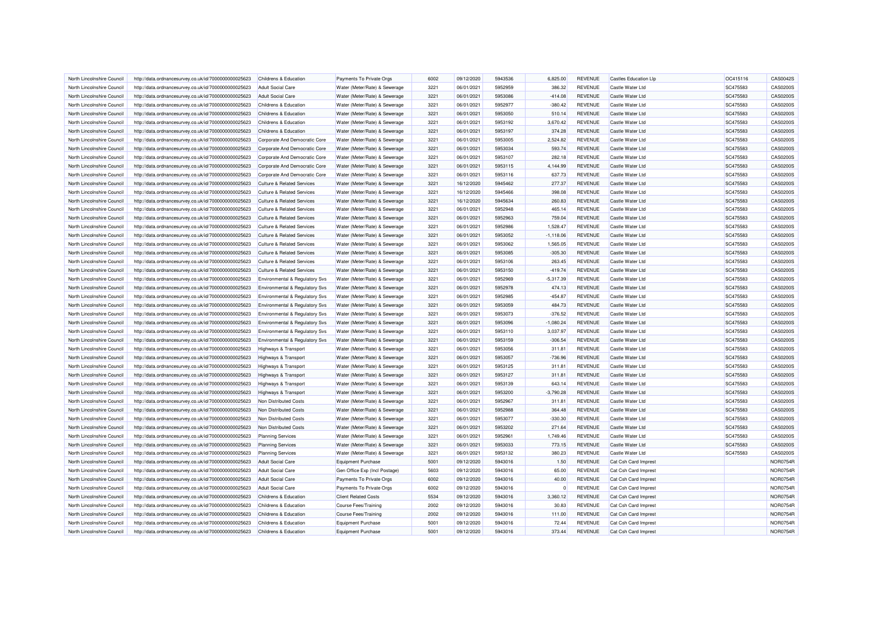| North Lincolnshire Council | http://data.ordnancesurvey.co.uk/id/7000000000025623 | Childrens & Education                     | Payments To Private Orgs      | 6002 | 09/12/2020 | 5943536 | 6.825.00    | <b>REVENUE</b> | <b>Castles Education Lip</b> | OC415116 | CAS0042S        |
|----------------------------|------------------------------------------------------|-------------------------------------------|-------------------------------|------|------------|---------|-------------|----------------|------------------------------|----------|-----------------|
| North Lincolnshire Council | http://data.ordnancesurvey.co.uk/id/7000000000025623 | <b>Adult Social Care</b>                  | Water (Meter/Rate) & Sewerage | 3221 | 06/01/2021 | 5952959 | 386.32      | <b>REVENUE</b> | Castle Water Ltd             | SC475583 | CAS0200S        |
| North Lincolnshire Council | http://data.ordnancesurvey.co.uk/id/7000000000025623 | <b>Adult Social Care</b>                  | Water (Meter/Rate) & Sewerage | 3221 | 06/01/2021 | 5953086 | $-414.08$   | <b>REVENUE</b> | Castle Water Ltd             | SC475583 | CAS0200S        |
| North Lincolnshire Council | http://data.ordnancesurvey.co.uk/id/7000000000025623 | Childrens & Education                     | Water (Meter/Rate) & Sewerage | 3221 | 06/01/2021 | 5952977 | $-380.42$   | <b>REVENUE</b> | Castle Water Ltd             | SC475583 | CAS0200S        |
| North Lincolnshire Council | http://data.ordnancesurvey.co.uk/id/7000000000025623 | Childrens & Education                     | Water (Meter/Rate) & Sewerage | 3221 | 06/01/2021 | 5953050 | 510.14      | <b>REVENUE</b> | Castle Water Ltd             | SC475583 | <b>CAS0200S</b> |
| North Lincolnshire Council | http://data.ordnancesurvey.co.uk/id/7000000000025623 | Childrens & Education                     | Water (Meter/Rate) & Sewerage | 3221 | 06/01/2021 | 5953192 | 3,670.42    | <b>REVENUE</b> | Castle Water Ltd             | SC475583 | CAS0200S        |
| North Lincolnshire Council | http://data.ordnancesurvey.co.uk/id/7000000000025623 | Childrens & Education                     | Water (Meter/Rate) & Sewerage | 3221 | 06/01/2021 | 5953197 | 374.28      | <b>REVENUE</b> | Castle Water Ltd             | SC475583 | CAS0200S        |
| North Lincolnshire Council | http://data.ordnancesurvey.co.uk/id/7000000000025623 | Corporate And Democratic Core             | Water (Meter/Rate) & Sewerage | 3221 | 06/01/2021 | 5953005 | 2,524.82    | <b>REVENUE</b> | Castle Water Ltd             | SC475583 | CAS0200S        |
| North Lincolnshire Council | http://data.ordnancesurvey.co.uk/id/7000000000025623 | Corporate And Democratic Core             | Water (Meter/Rate) & Sewerage | 3221 | 06/01/2021 | 5953034 | 593.74      | <b>REVENUE</b> | Castle Water Ltd             | SC475583 | CAS0200S        |
| North Lincolnshire Council | http://data.ordnancesurvey.co.uk/id/7000000000025623 | Corporate And Democratic Core             | Water (Meter/Rate) & Sewerage | 3221 | 06/01/2021 | 5953107 | 282.18      | <b>REVENUE</b> | Castle Water Ltd             | SC475583 | CAS0200S        |
| North Lincolnshire Council | http://data.ordnancesurvey.co.uk/id/7000000000025623 | Corporate And Democratic Core             | Water (Meter/Rate) & Sewerage | 3221 | 06/01/2021 | 5953115 | 4,144.99    | <b>REVENUE</b> | Castle Water Ltd             | SC475583 | CAS0200S        |
| North Lincolnshire Council | http://data.ordnancesurvey.co.uk/id/7000000000025623 | Corporate And Democratic Core             | Water (Meter/Rate) & Sewerage | 3221 | 06/01/2021 | 5953116 | 637.73      | <b>REVENUE</b> | Castle Water I td            | SC475583 | CAS0200S        |
| North Lincolnshire Council | http://data.ordnancesurvey.co.uk/id/7000000000025623 | <b>Culture &amp; Related Services</b>     | Water (Meter/Rate) & Sewerage | 3221 | 16/12/2020 | 5945462 | 277.37      | <b>REVENUE</b> | Castle Water Ltd             | SC475583 | CAS0200S        |
| North Lincolnshire Council | http://data.ordnancesurvey.co.uk/id/7000000000025623 | <b>Culture &amp; Related Services</b>     | Water (Meter/Rate) & Sewerage | 3221 | 16/12/2020 | 5945466 | 398.08      | <b>REVENUE</b> | Castle Water Ltd             | SC475583 | CAS0200S        |
| North Lincolnshire Council | http://data.ordnancesurvey.co.uk/id/7000000000025623 | <b>Culture &amp; Related Services</b>     | Water (Meter/Rate) & Sewerage | 3221 | 16/12/2020 | 5945634 | 260.83      | <b>REVENUE</b> | Castle Water Ltd             | SC475583 | CAS0200S        |
| North Lincolnshire Council | http://data.ordnancesurvey.co.uk/id/7000000000025623 | <b>Culture &amp; Related Services</b>     | Water (Meter/Rate) & Sewerage | 3221 | 06/01/2021 | 5952948 | 465.14      | <b>REVENUE</b> | Castle Water Ltd             | SC475583 | CAS0200S        |
| North Lincolnshire Council | http://data.ordnancesurvey.co.uk/id/7000000000025623 | <b>Culture &amp; Related Services</b>     | Water (Meter/Rate) & Sewerage | 3221 | 06/01/2021 | 5952963 | 759.04      | <b>REVENUE</b> | <b>Castle Water Ltd</b>      | SC475583 | CAS0200S        |
| North Lincolnshire Council | http://data.ordnancesurvey.co.uk/id/7000000000025623 | Culture & Related Services                | Water (Meter/Rate) & Sewerage | 3221 | 06/01/2021 | 5952986 | 1.528.47    | <b>REVENUE</b> | Castle Water Ltd             | SC475583 | CAS0200S        |
| North Lincolnshire Council | http://data.ordnancesurvey.co.uk/id/7000000000025623 | <b>Culture &amp; Related Services</b>     | Water (Meter/Rate) & Sewerage | 3221 | 06/01/2021 | 5953052 | $-1,118.06$ | REVENUE        | Castle Water Ltd             | SC475583 | CAS0200S        |
| North Lincolnshire Council | http://data.ordnancesurvey.co.uk/id/7000000000025623 | <b>Culture &amp; Related Services</b>     | Water (Meter/Rate) & Sewerage | 3221 | 06/01/2021 | 5953062 | 1,565.05    | <b>REVENUE</b> | Castle Water Ltd             | SC475583 | CAS0200S        |
| North Lincolnshire Council | http://data.ordnancesurvey.co.uk/id/7000000000025623 | <b>Culture &amp; Related Services</b>     | Water (Meter/Rate) & Sewerage | 3221 | 06/01/2021 | 5953085 | $-305.30$   | REVENUE        | Castle Water Ltd             | SC475583 | CAS0200S        |
| North Lincolnshire Council | http://data.ordnancesurvey.co.uk/id/7000000000025623 | <b>Culture &amp; Related Services</b>     | Water (Meter/Rate) & Sewerage | 3221 | 06/01/2021 | 5953106 | 263.45      | <b>REVENUE</b> | Castle Water Ltd             | SC475583 | CAS0200S        |
| North Lincolnshire Council | http://data.ordnancesurvey.co.uk/id/7000000000025623 | <b>Culture &amp; Related Services</b>     | Water (Meter/Rate) & Sewerage | 3221 | 06/01/2021 | 5953150 | $-419.74$   | <b>REVENUE</b> | <b>Castle Water Ltd</b>      | SC475583 | CAS0200S        |
| North Lincolnshire Council |                                                      |                                           |                               | 3221 | 06/01/2021 | 5952969 | $-5.317.39$ | <b>REVENUE</b> | Castle Water Ltd             | SC475583 | CAS0200S        |
|                            | http://data.ordnancesurvey.co.uk/id/7000000000025623 | <b>Environmental &amp; Regulatory Svs</b> | Water (Meter/Rate) & Sewerage | 3221 |            | 5952978 | 474.13      | <b>REVENUE</b> |                              | SC475583 | CAS0200S        |
| North Lincolnshire Council | http://data.ordnancesurvey.co.uk/id/7000000000025623 | Environmental & Regulatory Svs            | Water (Meter/Rate) & Sewerage |      | 06/01/2021 |         |             |                | Castle Water Ltd             |          |                 |
| North Lincolnshire Council | http://data.ordnancesurvey.co.uk/id/7000000000025623 | Environmental & Regulatory Svs            | Water (Meter/Rate) & Sewerage | 3221 | 06/01/2021 | 5952985 | $-454.87$   | <b>REVENUE</b> | Castle Water Ltd             | SC475583 | CAS0200S        |
| North Lincolnshire Council | http://data.ordnancesurvey.co.uk/id/7000000000025623 | <b>Environmental &amp; Regulatory Svs</b> | Water (Meter/Rate) & Sewerage | 3221 | 06/01/2021 | 5953059 | 484.73      | <b>REVENUE</b> | Castle Water Ltd             | SC475583 | CAS0200S        |
| North Lincolnshire Council | http://data.ordnancesurvey.co.uk/id/7000000000025623 | Environmental & Regulatory Svs            | Water (Meter/Rate) & Sewerage | 3221 | 06/01/2021 | 5953073 | $-376.52$   | <b>REVENUE</b> | Castle Water Ltd             | SC475583 | CAS0200S        |
| North Lincolnshire Council | http://data.ordnancesurvey.co.uk/id/7000000000025623 | Environmental & Regulatory Svs            | Water (Meter/Rate) & Sewerage | 3221 | 06/01/2021 | 5953096 | $-1,080.24$ | <b>REVENUE</b> | Castle Water Ltd             | SC475583 | CAS0200S        |
| North Lincolnshire Council | http://data.ordnancesurvey.co.uk/id/7000000000025623 | Environmental & Regulatory Svs            | Water (Meter/Rate) & Sewerage | 3221 | 06/01/2021 | 5953110 | 3,037.97    | <b>REVENUE</b> | Castle Water Ltd             | SC475583 | CAS0200S        |
| North Lincolnshire Council | http://data.ordnancesurvey.co.uk/id/7000000000025623 | Environmental & Regulatory Svs            | Water (Meter/Rate) & Sewerage | 3221 | 06/01/2021 | 5953159 | $-306.54$   | <b>REVENUE</b> | Castle Water I td            | SC475583 | CAS0200S        |
| North Lincolnshire Council | http://data.ordnancesurvey.co.uk/id/7000000000025623 | Highways & Transport                      | Water (Meter/Rate) & Sewerage | 3221 | 06/01/2021 | 5953056 | 311.81      | <b>REVENUE</b> | Castle Water Ltd             | SC475583 | CAS0200S        |
| North Lincolnshire Council | http://data.ordnancesurvey.co.uk/id/7000000000025623 | Highways & Transport                      | Water (Meter/Rate) & Sewerage | 3221 | 06/01/2021 | 5953057 | $-736.96$   | <b>REVENUE</b> | Castle Water Ltd             | SC475583 | CAS0200S        |
| North Lincolnshire Council | http://data.ordnancesurvey.co.uk/id/7000000000025623 | Highways & Transport                      | Water (Meter/Rate) & Sewerage | 3221 | 06/01/2021 | 5953125 | 311.81      | <b>REVENUE</b> | Castle Water Ltd             | SC475583 | CAS0200S        |
| North Lincolnshire Council | http://data.ordnancesurvey.co.uk/id/7000000000025623 | Highways & Transport                      | Water (Meter/Rate) & Sewerage | 3221 | 06/01/2021 | 5953127 | 311.81      | <b>REVENUE</b> | Castle Water Ltd             | SC475583 | CAS0200S        |
| North Lincolnshire Council | http://data.ordnancesurvey.co.uk/id/7000000000025623 | Highways & Transport                      | Water (Meter/Rate) & Sewerage | 3221 | 06/01/2021 | 5953139 | 643.14      | <b>REVENUE</b> | Castle Water Ltd             | SC475583 | CAS0200S        |
| North Lincolnshire Council | http://data.ordnancesurvey.co.uk/id/7000000000025623 | Highways & Transport                      | Water (Meter/Rate) & Sewerage | 3221 | 06/01/2021 | 5953200 | $-3,790.28$ | <b>REVENUE</b> | Castle Water Ltd             | SC475583 | CAS0200S        |
| North Lincolnshire Council | http://data.ordnancesurvey.co.uk/id/7000000000025623 | Non Distributed Costs                     | Water (Meter/Rate) & Sewerage | 3221 | 06/01/2021 | 5952967 | 311.81      | <b>REVENUE</b> | Castle Water Ltd             | SC475583 | CAS0200S        |
| North Lincolnshire Council | http://data.ordnancesurvey.co.uk/id/7000000000025623 | Non Distributed Costs                     | Water (Meter/Rate) & Sewerage | 3221 | 06/01/2021 | 5952988 | 364.48      | <b>REVENUE</b> | Castle Water Ltd             | SC475583 | CAS0200S        |
| North Lincolnshire Council | http://data.ordnancesurvey.co.uk/id/7000000000025623 | Non Distributed Costs                     | Water (Meter/Rate) & Sewerage | 3221 | 06/01/2021 | 5953077 | $-330.30$   | <b>REVENUE</b> | Castle Water Ltd             | SC475583 | CAS0200S        |
| North Lincolnshire Council | http://data.ordnancesurvey.co.uk/id/7000000000025623 | Non Distributed Costs                     | Water (Meter/Rate) & Sewerage | 3221 | 06/01/2021 | 5953202 | 271.64      | <b>REVENUE</b> | Castle Water Ltd             | SC475583 | CAS0200S        |
| North Lincolnshire Council | http://data.ordnancesurvey.co.uk/id/7000000000025623 | <b>Planning Services</b>                  | Water (Meter/Rate) & Sewerage | 3221 | 06/01/2021 | 5952961 | 1,749.46    | <b>REVENUE</b> | Castle Water Ltd             | SC475583 | CAS0200S        |
| North Lincolnshire Council | http://data.ordnancesurvey.co.uk/id/7000000000025623 | <b>Planning Services</b>                  | Water (Meter/Rate) & Sewerage | 3221 | 06/01/2021 | 5953033 | 773.15      | <b>REVENUE</b> | Castle Water Ltd             | SC475583 | CAS0200S        |
| North Lincolnshire Council | http://data.ordnancesurvey.co.uk/id/7000000000025623 | <b>Planning Services</b>                  | Water (Meter/Rate) & Sewerage | 3221 | 06/01/2021 | 5953132 | 380.23      | REVENUE        | Castle Water Ltd             | SC475583 | CAS0200S        |
| North Lincolnshire Council | http://data.ordnancesurvey.co.uk/id/7000000000025623 | Adult Social Care                         | <b>Equipment Purchase</b>     | 5001 | 09/12/2020 | 5943016 | 1.50        | <b>REVENUE</b> | Cat Csh Card Imprest         |          | <b>NOR0754F</b> |
| North Lincolnshire Council | http://data.ordnancesurvey.co.uk/id/7000000000025623 | <b>Adult Social Care</b>                  | Gen Office Exp (Incl Postage) | 5603 | 09/12/2020 | 5943016 | 65.00       | <b>REVENUE</b> | Cat Csh Card Imprest         |          | NOR0754F        |
| North Lincolnshire Council | http://data.ordnancesurvey.co.uk/id/7000000000025623 | Adult Social Care                         | Payments To Private Orgs      | 6002 | 09/12/2020 | 5943016 | 40.00       | <b>REVENUE</b> | Cat Csh Card Imprest         |          | <b>NOR0754F</b> |
| North Lincolnshire Council | http://data.ordnancesurvey.co.uk/id/7000000000025623 | <b>Adult Social Care</b>                  | Payments To Private Orgs      | 6002 | 09/12/2020 | 5943016 | $\Omega$    | <b>REVENUE</b> | Cat Csh Card Imprest         |          | NOR0754F        |
| North Lincolnshire Council | http://data.ordnancesurvey.co.uk/id/7000000000025623 | Childrens & Education                     | <b>Client Related Costs</b>   | 5534 | 09/12/2020 | 5943016 | 3,360.12    | <b>REVENUE</b> | Cat Csh Card Imprest         |          | <b>NOR0754F</b> |
| North Lincolnshire Council | http://data.ordnancesurvey.co.uk/id/7000000000025623 | Childrens & Education                     | <b>Course Fees/Training</b>   | 2002 | 09/12/2020 | 5943016 | 30.83       | <b>REVENUE</b> | Cat Csh Card Imprest         |          | NOR0754F        |
| North Lincolnshire Council | http://data.ordnancesurvey.co.uk/id/7000000000025623 | Childrens & Education                     | <b>Course Fees/Training</b>   | 2002 | 09/12/2020 | 5943016 | 111.00      | <b>REVENUE</b> | Cat Csh Card Imprest         |          | <b>NOR0754F</b> |
| North Lincolnshire Council | http://data.ordnancesurvey.co.uk/id/7000000000025623 | Childrens & Education                     | <b>Equipment Purchase</b>     | 5001 | 09/12/2020 | 5943016 | 72.44       | <b>REVENUE</b> | Cat Csh Card Imprest         |          | NOR0754F        |
| North Lincolnshire Council | http://data.ordnancesurvey.co.uk/id/7000000000025623 | Childrens & Education                     | <b>Equipment Purchase</b>     | 5001 | 09/12/2020 | 5943016 | 373.44      | <b>REVENUE</b> | Cat Csh Card Imprest         |          | <b>NOR0754R</b> |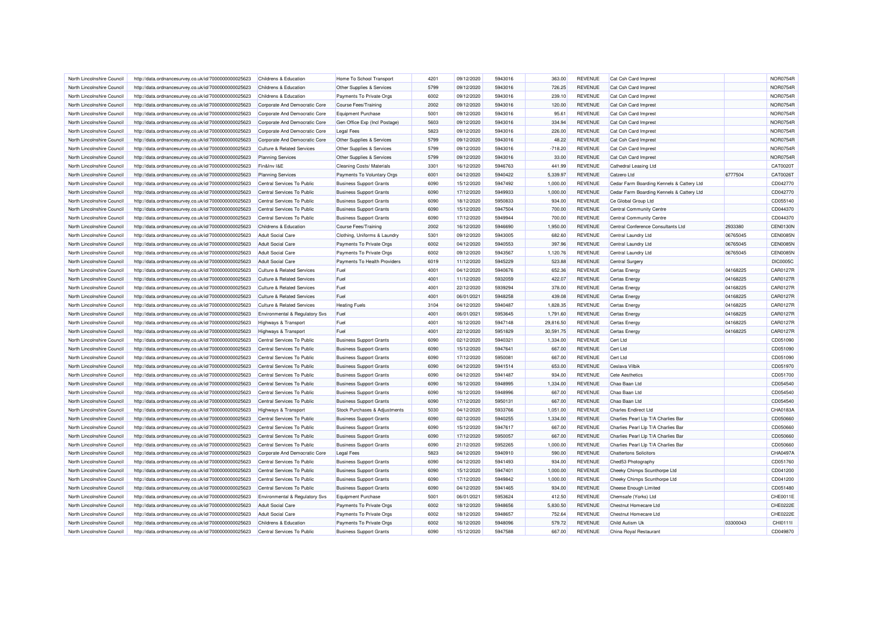| North Lincolnshire Council                               | http://data.ordnancesurvey.co.uk/id/7000000000025623 | Childrens & Education                                | Home To School Transport       | 4201 | 09/12/2020               | 5943016 | 363.00    | <b>REVENUE</b> | Cat Csh Card Imprest                      |          | <b>NOR0754R</b> |
|----------------------------------------------------------|------------------------------------------------------|------------------------------------------------------|--------------------------------|------|--------------------------|---------|-----------|----------------|-------------------------------------------|----------|-----------------|
| North Lincolnshire Council                               | http://data.ordnancesurvey.co.uk/id/7000000000025623 | Childrens & Education                                | Other Supplies & Services      | 5799 | 09/12/2020               | 5943016 | 726.25    | <b>REVENUE</b> | Cat Csh Card Imprest                      |          | NOR0754R        |
| North Lincolnshire Council                               | http://data.ordnancesurvey.co.uk/id/7000000000025623 | Childrens & Education                                | Payments To Private Orgs       | 6002 | 09/12/2020               | 5943016 | 239.10    | <b>REVENUE</b> | Cat Csh Card Imprest                      |          | NOR0754R        |
| North Lincolnshire Council                               | http://data.ordnancesurvey.co.uk/id/7000000000025623 | Corporate And Democratic Core                        | <b>Course Fees/Training</b>    | 2002 | 09/12/2020               | 5943016 | 120.00    | <b>REVENUE</b> | Cat Csh Card Imprest                      |          | <b>NOR0754R</b> |
| North Lincolnshire Council                               | http://data.ordnancesurvey.co.uk/id/7000000000025623 | Corporate And Democratic Core                        | <b>Equipment Purchase</b>      | 5001 | 09/12/2020               | 5943016 | 95.61     | <b>REVENUE</b> | Cat Csh Card Imprest                      |          | NOR0754R        |
| North Lincolnshire Council                               | http://data.ordnancesurvey.co.uk/id/7000000000025623 | Corporate And Democratic Core                        | Gen Office Exp (Incl Postage)  | 5603 | 09/12/2020               | 5943016 | 334.94    | <b>REVENUE</b> | Cat Csh Card Imprest                      |          | <b>NOR0754R</b> |
| North Lincolnshire Council                               | http://data.ordnancesurvey.co.uk/id/7000000000025623 | Corporate And Democratic Core                        | <b>Legal Fees</b>              | 5823 | 09/12/2020               | 5943016 | 226.00    | <b>REVENUE</b> | Cat Csh Card Imprest                      |          | NOR0754R        |
| North Lincolnshire Council                               | http://data.ordnancesurvey.co.uk/id/7000000000025623 | Corporate And Democratic Core                        | Other Supplies & Services      | 5799 | 09/12/2020               | 5943016 | 48.22     | <b>REVENUE</b> | Cat Csh Card Imprest                      |          | <b>NOR0754F</b> |
| North Lincolnshire Council                               | http://data.ordnancesurvey.co.uk/id/7000000000025623 | <b>Culture &amp; Related Services</b>                | Other Supplies & Services      | 5799 | 09/12/2020               | 5943016 | $-718.20$ | <b>REVENUE</b> | Cat Csh Card Imprest                      |          | NOR0754R        |
| North Lincolnshire Council                               | http://data.ordnancesurvey.co.uk/id/7000000000025623 | <b>Planning Services</b>                             | Other Supplies & Services      | 5799 | 09/12/2020               | 5943016 | 33.00     | <b>REVENUE</b> | Cat Csh Card Imprest                      |          | NOR0754R        |
| North Lincolnshire Council                               | http://data.ordnancesurvey.co.uk/id/7000000000025623 | Fin&Inv I&E                                          | Cleaning Costs/ Materials      | 3301 | 16/12/2020               | 5946763 | 441.99    | <b>REVENUE</b> | Cathedral Leasing Ltd                     |          | CAT0020T        |
| North Lincolnshire Council                               | http://data.ordnancesurvey.co.uk/id/7000000000025623 | <b>Planning Services</b>                             | Payments To Voluntary Orgs     | 6001 | 04/12/2020               | 5940422 | 5,339.97  | <b>REVENUE</b> | Catzero Ltd                               | 6777504  | CAT0026T        |
| North Lincolnshire Council                               | http://data.ordnancesurvey.co.uk/id/7000000000025623 | Central Services To Public                           | <b>Business Support Grants</b> | 6090 | 15/12/2020               | 5947492 | 1,000.00  | <b>REVENUE</b> | Cedar Farm Boarding Kennels & Cattery Ltd |          | CD042770        |
| North Lincolnshire Council                               | http://data.ordnancesurvey.co.uk/id/7000000000025623 | Central Services To Public                           | <b>Business Support Grants</b> | 6090 | 17/12/2020               | 5949933 | 1,000.00  | <b>REVENUE</b> | Cedar Farm Boarding Kennels & Cattery Ltd |          | CD042770        |
| North Lincolnshire Council                               | http://data.ordnancesurvey.co.uk/id/7000000000025623 | Central Services To Public                           | <b>Business Support Grants</b> | 6090 | 18/12/2020               | 5950833 | 934.00    | <b>REVENUE</b> | Ce Global Group Ltd                       |          | CD055140        |
| North Lincolnshire Council                               | http://data.ordnancesurvey.co.uk/id/7000000000025623 | Central Services To Public                           | <b>Business Support Grants</b> | 6090 | 15/12/2020               | 5947504 | 700.00    | <b>REVENUE</b> | Central Community Centre                  |          | CD044370        |
| North Lincolnshire Council                               | http://data.ordnancesurvey.co.uk/id/7000000000025623 | Central Services To Public                           | <b>Business Support Grants</b> | 6090 | 17/12/2020               | 5949944 | 700.00    | <b>REVENUE</b> | Central Community Centre                  |          | CD044370        |
| North Lincolnshire Council                               | http://data.ordnancesurvey.co.uk/id/7000000000025623 | <b>Childrens &amp; Education</b>                     | <b>Course Fees/Training</b>    | 2002 | 16/12/2020               | 5946690 | 1,950.00  | <b>REVENUE</b> | Central Conference Consultants Ltd        | 2933380  | <b>CEN0130N</b> |
|                                                          |                                                      |                                                      | Clothing, Uniforms & Laundry   | 5301 |                          | 5943005 | 682.60    | <b>REVENUE</b> |                                           | 06765045 | <b>CEN0085N</b> |
| North Lincolnshire Council<br>North Lincolnshire Council | http://data.ordnancesurvey.co.uk/id/7000000000025623 | <b>Adult Social Care</b><br><b>Adult Social Care</b> |                                | 6002 | 09/12/2020<br>04/12/2020 | 5940553 | 397.96    | <b>REVENUE</b> | Central Laundry Ltd                       | 06765045 | <b>CEN0085N</b> |
|                                                          | http://data.ordnancesurvey.co.uk/id/7000000000025623 |                                                      | Payments To Private Orgs       |      |                          |         |           |                | Central Laundry Ltd                       |          | <b>CEN0085N</b> |
| North Lincolnshire Council                               | http://data.ordnancesurvey.co.uk/id/7000000000025623 | <b>Adult Social Care</b>                             | Payments To Private Orgs       | 6002 | 09/12/2020               | 5943567 | 1,120.76  | <b>REVENUE</b> | Central Laundry Ltd                       | 06765045 |                 |
| North Lincolnshire Council                               | http://data.ordnancesurvey.co.uk/id/7000000000025623 | <b>Adult Social Care</b>                             | Payments To Health Providers   | 6019 | 11/12/2020               | 5945229 | 523.88    | <b>REVENUE</b> | Central Surgery                           |          | <b>DIC0005C</b> |
| North Lincolnshire Council                               | http://data.ordnancesurvey.co.uk/id/7000000000025623 | <b>Culture &amp; Related Services</b>                | Fuel                           | 4001 | 04/12/2020               | 5940676 | 652.36    | <b>REVENUE</b> | Certas Energy                             | 04168225 | CAR0127R        |
| North Lincolnshire Council                               | http://data.ordnancesurvey.co.uk/id/7000000000025623 | <b>Culture &amp; Related Services</b>                | Fuel                           | 4001 | 11/12/2020               | 5932059 | 422.07    | <b>REVENUE</b> | <b>Certas Energy</b>                      | 04168225 | <b>CAR0127R</b> |
| North Lincolnshire Council                               | http://data.ordnancesurvey.co.uk/id/7000000000025623 | <b>Culture &amp; Related Services</b>                | Fuel                           | 4001 | 22/12/2020               | 5939294 | 378.00    | <b>REVENUE</b> | <b>Certas Energy</b>                      | 04168225 | <b>CAR0127F</b> |
| North Lincolnshire Council                               | http://data.ordnancesurvey.co.uk/id/7000000000025623 | <b>Culture &amp; Related Services</b>                | Fuel                           | 4001 | 06/01/2021               | 5948258 | 439.08    | <b>REVENUE</b> | <b>Certas Energy</b>                      | 04168225 | <b>CAR0127R</b> |
| North Lincolnshire Council                               | http://data.ordnancesurvey.co.uk/id/7000000000025623 | <b>Culture &amp; Related Services</b>                | <b>Heating Fuels</b>           | 3104 | 04/12/2020               | 5940487 | 1,828.35  | <b>REVENUE</b> | <b>Certas Energy</b>                      | 04168225 | <b>CAR0127F</b> |
| North Lincolnshire Council                               | http://data.ordnancesurvey.co.uk/id/7000000000025623 | Environmental & Regulatory Svs                       | Fuel                           | 4001 | 06/01/2021               | 5953645 | 1,791.60  | <b>REVENUE</b> | <b>Certas Energy</b>                      | 04168225 | <b>CAR0127R</b> |
| North Lincolnshire Council                               | http://data.ordnancesurvey.co.uk/id/7000000000025623 | Highways & Transport                                 | Fuel                           | 4001 | 16/12/2020               | 5947148 | 29,816.50 | <b>REVENUE</b> | Certas Energy                             | 04168225 | <b>CAR0127R</b> |
| North Lincolnshire Council                               | http://data.ordnancesurvey.co.uk/id/7000000000025623 | Highways & Transport                                 | Fuel                           | 4001 | 22/12/2020               | 5951829 | 30,591.75 | REVENUE        | <b>Certas Energy</b>                      | 04168225 | <b>CAR0127F</b> |
| North Lincolnshire Council                               | http://data.ordnancesurvey.co.uk/id/7000000000025623 | Central Services To Public                           | <b>Business Support Grants</b> | 6090 | 02/12/2020               | 5940321 | 1,334.00  | <b>REVENUE</b> | Cert Ltd                                  |          | CD051090        |
| North Lincolnshire Council                               | http://data.ordnancesurvey.co.uk/id/7000000000025623 | Central Services To Public                           | <b>Business Support Grants</b> | 6090 | 15/12/2020               | 5947641 | 667.00    | <b>REVENUE</b> | Cert Ltd                                  |          | CD051090        |
| North Lincolnshire Council                               | http://data.ordnancesurvey.co.uk/id/7000000000025623 | Central Services To Public                           | <b>Business Support Grants</b> | 6090 | 17/12/2020               | 5950081 | 667.00    | <b>REVENUE</b> | Cert I to                                 |          | CD051090        |
| North Lincolnshire Council                               | http://data.ordnancesurvey.co.uk/id/7000000000025623 | Central Services To Public                           | <b>Business Support Grants</b> | 6090 | 04/12/2020               | 5941514 | 653.00    | <b>REVENUE</b> | Ceslava Vilbik                            |          | CD051970        |
| North Lincolnshire Council                               | http://data.ordnancesurvey.co.uk/id/7000000000025623 | Central Services To Public                           | <b>Business Support Grants</b> | 6090 | 04/12/2020               | 5941487 | 934.00    | <b>REVENUE</b> | <b>Cete Aesthetics</b>                    |          | CD051700        |
| North Lincolnshire Council                               | http://data.ordnancesurvey.co.uk/id/7000000000025623 | Central Services To Public                           | <b>Business Support Grants</b> | 6090 | 16/12/2020               | 5948995 | 1,334.00  | <b>REVENUE</b> | Chao Baan Ltd                             |          | CD054540        |
| North Lincolnshire Council                               | http://data.ordnancesurvey.co.uk/id/7000000000025623 | Central Services To Public                           | <b>Business Support Grants</b> | 6090 | 16/12/2020               | 5948996 | 667.00    | <b>REVENUE</b> | Chao Baan Ltd                             |          | CD054540        |
| North Lincolnshire Council                               | http://data.ordnancesurvey.co.uk/id/7000000000025623 | Central Services To Public                           | <b>Business Support Grants</b> | 6090 | 17/12/2020               | 5950131 | 667.00    | <b>REVENUE</b> | Chao Baan Ltd                             |          | CD054540        |
| North Lincolnshire Council                               | http://data.ordnancesurvey.co.uk/id/7000000000025623 | <b>Highways &amp; Transport</b>                      | Stock Purchases & Adjustments  | 5030 | 04/12/2020               | 5933766 | 1,051.00  | <b>REVENUE</b> | <b>Charles Endirect Ltd</b>               |          | CHA0183A        |
| North Lincolnshire Council                               | http://data.ordnancesurvey.co.uk/id/7000000000025623 | Central Services To Public                           | <b>Business Support Grants</b> | 6090 | 02/12/2020               | 5940255 | 1,334.00  | <b>REVENUE</b> | Charlies Pearl Llp T/A Charlies Bar       |          | CD050660        |
| North Lincolnshire Council                               | http://data.ordnancesurvey.co.uk/id/7000000000025623 | Central Services To Public                           | <b>Business Support Grants</b> | 6090 | 15/12/2020               | 5947617 | 667.00    | <b>REVENUE</b> | Charlies Pearl Llp T/A Charlies Bar       |          | CD050660        |
| North Lincolnshire Council                               | http://data.ordnancesurvey.co.uk/id/7000000000025623 | Central Services To Public                           | <b>Business Support Grants</b> | 6090 | 17/12/2020               | 5950057 | 667.00    | <b>REVENUE</b> | Charlies Pearl Llp T/A Charlies Bar       |          | CD050660        |
| North Lincolnshire Council                               | http://data.ordnancesurvey.co.uk/id/7000000000025623 | Central Services To Public                           | <b>Business Support Grants</b> | 6090 | 21/12/2020               | 5952265 | 1,000.00  | <b>REVENUE</b> | Charlies Pearl Llp T/A Charlies Bar       |          | CD050660        |
| North Lincolnshire Council                               | http://data.ordnancesurvey.co.uk/id/7000000000025623 | Corporate And Democratic Core                        | <b>Legal Fees</b>              | 5823 | 04/12/2020               | 5940910 | 590.00    | <b>REVENUE</b> | <b>Chattertons Solicitors</b>             |          | CHA0497A        |
| North Lincolnshire Council                               | http://data.ordnancesurvey.co.uk/id/7000000000025623 | Central Services To Public                           | <b>Business Support Grants</b> | 6090 | 04/12/2020               | 5941493 | 934.00    | <b>REVENUE</b> | Ched53 Photography                        |          | CD051760        |
| North Lincolnshire Council                               | http://data.ordnancesurvey.co.uk/id/7000000000025623 | Central Services To Public                           | <b>Business Support Grants</b> | 6090 | 15/12/2020               | 5947401 | 1,000.00  | <b>REVENUE</b> | Cheeky Chimps Scunthorpe Ltd              |          | CD041200        |
| North Lincolnshire Council                               | http://data.ordnancesurvey.co.uk/id/7000000000025623 | Central Services To Public                           | <b>Business Support Grants</b> | 6090 | 17/12/2020               | 5949842 | 1,000.00  | <b>REVENUE</b> | Cheeky Chimps Scunthorpe Ltd              |          | CD041200        |
| North Lincolnshire Council                               | http://data.ordnancesurvey.co.uk/id/7000000000025623 | Central Services To Public                           | <b>Business Support Grants</b> | 6090 | 04/12/2020               | 5941465 | 934.00    | <b>REVENUE</b> | <b>Cheese Enough Limited</b>              |          | CD051480        |
| North Lincolnshire Council                               | http://data.ordnancesurvey.co.uk/id/7000000000025623 | Environmental & Regulatory Svs                       | Equipment Purchase             | 5001 | 06/01/2021               | 5953624 | 412.50    | <b>REVENUE</b> | Chemsafe (Yorks) Ltd                      |          | CHE0011E        |
| North Lincolnshire Council                               | http://data.ordnancesurvey.co.uk/id/7000000000025623 | <b>Adult Social Care</b>                             | Payments To Private Orgs       | 6002 | 18/12/2020               | 5948656 | 5,830.50  | <b>REVENUE</b> | Chestnut Homecare Ltd                     |          | CHE0222E        |
| North Lincolnshire Council                               | http://data.ordnancesurvey.co.uk/id/7000000000025623 | <b>Adult Social Care</b>                             | Payments To Private Orgs       | 6002 | 18/12/2020               | 5948657 | 752.64    | <b>REVENUE</b> | Chestnut Homecare Ltd                     |          | CHE0222E        |
| North Lincolnshire Council                               | http://data.ordnancesurvey.co.uk/id/7000000000025623 | Childrens & Education                                | Payments To Private Orgs       | 6002 | 16/12/2020               | 5948096 | 579.72    | <b>REVENUE</b> | Child Autism Uk                           | 03300043 | CHI0111         |
| North Lincolnshire Council                               | http://data.ordnancesurvey.co.uk/id/7000000000025623 | Central Services To Public                           | <b>Business Support Grants</b> | 6090 | 15/12/2020               | 5947588 | 667.00    | <b>REVENUE</b> | China Royal Restaurant                    |          | CD049870        |
|                                                          |                                                      |                                                      |                                |      |                          |         |           |                |                                           |          |                 |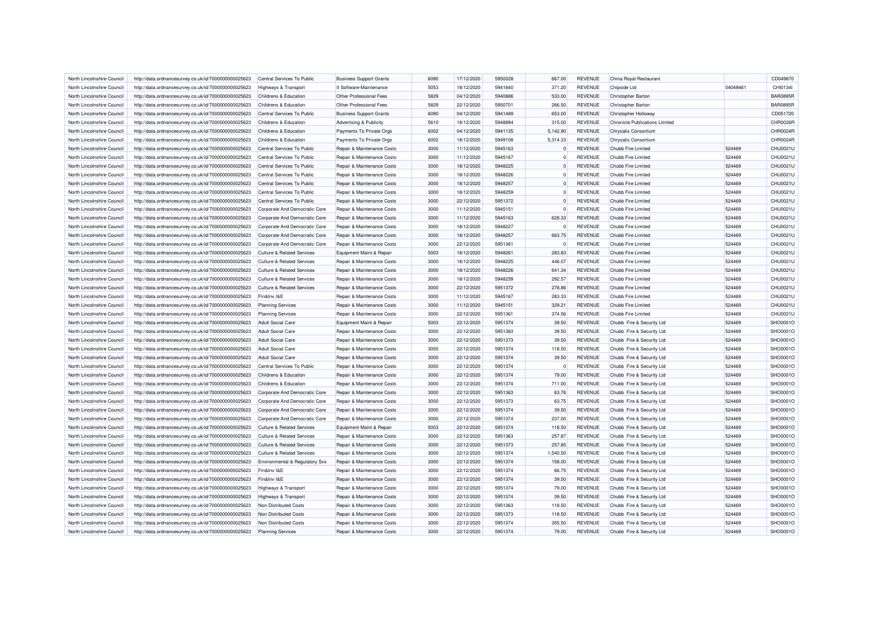| North Lincolnshire Council                               | http://data.ordnancesurvey.co.uk/id/7000000000025623                                                         | Central Services To Public                                                     | <b>Business Support Grants</b>     | 6090 | 17/12/2020               | 5950028 | 667.00           | <b>REVENUE</b>                   | China Royal Restaurant                   |                  | CD049870        |
|----------------------------------------------------------|--------------------------------------------------------------------------------------------------------------|--------------------------------------------------------------------------------|------------------------------------|------|--------------------------|---------|------------------|----------------------------------|------------------------------------------|------------------|-----------------|
| North Lincolnshire Council                               | http://data.ordnancesurvey.co.uk/id/7000000000025623                                                         | <b>Highways &amp; Transport</b>                                                | It Software-Maintenance            | 5053 | 18/12/2020               | 5941840 | 371.20           | <b>REVENUE</b>                   | Chipside Ltd                             | 04049461         | CHI01341        |
| North Lincolnshire Council                               | http://data.ordnancesurvey.co.uk/id/7000000000025623                                                         | Childrens & Education                                                          | Other Professional Fees            | 5829 | 04/12/2020               | 5940886 | 533.00           | <b>REVENUE</b>                   | Christopher Barton                       |                  | <b>BAR0895R</b> |
| North Lincolnshire Council                               | http://data.ordnancesurvey.co.uk/id/7000000000025623                                                         | Childrens & Education                                                          | Other Professional Fees            | 5829 | 22/12/2020               | 5950701 | 266.50           | <b>REVENUE</b>                   | Christopher Barton                       |                  | <b>BAR0895R</b> |
| North Lincolnshire Council                               | http://data.ordnancesurvey.co.uk/id/7000000000025623                                                         | Central Services To Public                                                     | <b>Business Support Grants</b>     | 6090 | 04/12/2020               | 5941489 | 653.00           | <b>REVENUE</b>                   | Christopher Holloway                     |                  | CD051720        |
| North Lincolnshire Council                               | http://data.ordnancesurvey.co.uk/id/7000000000025623                                                         | Childrens & Education                                                          | <b>Advertising &amp; Publicity</b> | 5610 | 18/12/2020               | 5948894 | 315.00           | <b>REVENUE</b>                   | <b>Chronicle Publications Limited</b>    |                  | CHR0026R        |
| North Lincolnshire Council                               | http://data.ordnancesurvey.co.uk/id/7000000000025623                                                         | <b>Childrens &amp; Education</b>                                               | Payments To Private Orgs           | 6002 | 04/12/2020               | 5941135 | 5.142.90         | <b>REVENUE</b>                   | Chrysalis Consortium                     |                  | CHR0024R        |
| North Lincolnshire Council                               | http://data.ordnancesurvey.co.uk/id/7000000000025623                                                         | Childrens & Education                                                          | Payments To Private Orgs           | 6002 | 18/12/2020               | 5949108 | 5,314.33         | <b>REVENUE</b>                   | Chrysalis Consortium                     |                  | CHR0024R        |
| North Lincolnshire Council                               | http://data.ordnancesurvey.co.uk/id/7000000000025623                                                         | Central Services To Public                                                     | Repair & Maintenance Costs         | 3000 | 11/12/2020               | 5945163 | $\Omega$         | <b>REVENUE</b>                   | Chubb Fire Limited                       | 524469           | CHU0021U        |
| North Lincolnshire Council                               | http://data.ordnancesurvey.co.uk/id/7000000000025623                                                         | Central Services To Public                                                     | Repair & Maintenance Costs         | 3000 | 11/12/2020               | 5945167 | $\Omega$         | <b>REVENUE</b>                   | Chubb Fire Limited                       | 524469           | CHU0021U        |
| North Lincolnshire Council                               | http://data.ordnancesurvey.co.uk/id/7000000000025623                                                         | Central Services To Public                                                     | Repair & Maintenance Costs         | 3000 | 18/12/2020               | 5948225 | $^{\circ}$       | <b>REVENUE</b>                   | Chubb Fire Limited                       | 524469           | CHU0021U        |
| North Lincolnshire Council                               | http://data.ordnancesurvey.co.uk/id/7000000000025623                                                         | Central Services To Public                                                     | Repair & Maintenance Costs         | 3000 | 18/12/2020               | 5948226 | $\Omega$         | <b>REVENUE</b>                   | Chubb Fire Limited                       | 524469           | CHU0021U        |
| North Lincolnshire Council                               | http://data.ordnancesurvey.co.uk/id/7000000000025623                                                         | Central Services To Public                                                     | Repair & Maintenance Costs         | 3000 | 18/12/2020               | 5948257 | $^{\circ}$       | <b>REVENUE</b>                   | Chubb Fire Limited                       | 524469           | CHU0021U        |
| North Lincolnshire Council                               | http://data.ordnancesurvey.co.uk/id/7000000000025623                                                         | Central Services To Public                                                     | Repair & Maintenance Costs         | 3000 | 18/12/2020               | 5948259 | $\Omega$         | <b>REVENUE</b>                   | Chubb Fire Limited                       | 524469           | CHU0021U        |
| North Lincolnshire Council                               | http://data.ordnancesurvey.co.uk/id/7000000000025623                                                         | Central Services To Public                                                     | Repair & Maintenance Costs         | 3000 | 22/12/2020               | 5951372 | $\Omega$         | <b>REVENUE</b>                   | Chubb Fire Limited                       | 524469           | CHU0021U        |
| North Lincolnshire Council                               | http://data.ordnancesurvey.co.uk/id/7000000000025623                                                         | Corporate And Democratic Core                                                  | Repair & Maintenance Costs         | 3000 | 11/12/2020               | 5945151 | $^{\circ}$       | <b>REVENUE</b>                   | Chubb Fire Limited                       | 524469           | CHU0021U        |
| North Lincolnshire Council                               | http://data.ordnancesurvey.co.uk/id/7000000000025623                                                         | Corporate And Democratic Core                                                  | Repair & Maintenance Costs         | 3000 | 11/12/2020               | 5945163 | 628.33           | <b>REVENUE</b>                   | Chubb Fire Limited                       | 524469           | CHU0021U        |
| North Lincolnshire Council                               | http://data.ordnancesurvey.co.uk/id/7000000000025623                                                         | Corporate And Democratic Core                                                  | Repair & Maintenance Costs         | 3000 | 18/12/2020               | 5948227 | $\Omega$         | <b>REVENUE</b>                   | Chubb Fire Limited                       | 524469           | CHU0021U        |
| North Lincolnshire Council                               |                                                                                                              |                                                                                | Repair & Maintenance Costs         | 3000 | 18/12/2020               | 5948257 | 663.75           | <b>REVENUE</b>                   | Chubb Fire Limited                       | 524469           | CHU0021U        |
| North Lincolnshire Council                               | http://data.ordnancesurvey.co.uk/id/7000000000025623                                                         | Corporate And Democratic Core<br>Corporate And Democratic Core                 | Repair & Maintenance Costs         | 3000 | 22/12/2020               | 5951361 | $^{\circ}$       | <b>REVENUE</b>                   | Chubb Fire Limited                       | 524469           | CHU0021U        |
| North Lincolnshire Council                               | http://data.ordnancesurvey.co.uk/id/7000000000025623<br>http://data.ordnancesurvey.co.uk/id/7000000000025623 | <b>Culture &amp; Related Services</b>                                          | Equipment Maint.& Repair           | 5003 | 18/12/2020               | 5948261 | 283.83           | <b>REVENUE</b>                   | Chubb Fire Limited                       | 524469           | CHU0021U        |
|                                                          |                                                                                                              |                                                                                |                                    | 3000 |                          | 5948225 |                  |                                  |                                          |                  |                 |
| North Lincolnshire Council<br>North Lincolnshire Council | http://data.ordnancesurvey.co.uk/id/7000000000025623                                                         | <b>Culture &amp; Related Services</b><br><b>Culture &amp; Related Services</b> | Repair & Maintenance Costs         | 3000 | 18/12/2020<br>18/12/2020 | 5948226 | 446.07<br>641.34 | <b>REVENUE</b><br><b>REVENUE</b> | Chubb Fire Limited<br>Chubb Fire Limited | 524469<br>524469 | CHU0021U        |
|                                                          | http://data.ordnancesurvey.co.uk/id/7000000000025623                                                         |                                                                                | Repair & Maintenance Costs         |      |                          |         |                  |                                  |                                          |                  | CHU0021U        |
| North Lincolnshire Council                               | http://data.ordnancesurvey.co.uk/id/7000000000025623                                                         | <b>Culture &amp; Related Services</b>                                          | Repair & Maintenance Costs         | 3000 | 18/12/2020               | 5948259 | 292.57           | <b>REVENUE</b>                   | Chubb Fire Limited                       | 524469           | CHU0021U        |
| North Lincolnshire Council                               | http://data.ordnancesurvey.co.uk/id/7000000000025623                                                         | <b>Culture &amp; Related Services</b>                                          | Repair & Maintenance Costs         | 3000 | 22/12/2020               | 5951372 | 278.86           | <b>REVENUE</b>                   | Chubb Fire Limited                       | 524469           | CHU0021U        |
| North Lincolnshire Council                               | http://data.ordnancesurvey.co.uk/id/7000000000025623                                                         | Fin&Inv I&E                                                                    | Repair & Maintenance Costs         | 3000 | 11/12/2020               | 5945167 | 283.33           | <b>REVENUE</b>                   | Chubb Fire I imited                      | 524469           | CHU0021U        |
| North Lincolnshire Council                               | http://data.ordnancesurvey.co.uk/id/7000000000025623                                                         | <b>Planning Services</b>                                                       | Repair & Maintenance Costs         | 3000 | 11/12/2020               | 5945151 | 329.21           | <b>REVENUE</b>                   | Chubb Fire Limited                       | 524469           | CHU0021U        |
| North Lincolnshire Council                               | http://data.ordnancesurvey.co.uk/id/7000000000025623                                                         | <b>Planning Services</b>                                                       | Repair & Maintenance Costs         | 3000 | 22/12/2020               | 5951361 | 374.56           | <b>REVENUE</b>                   | Chubb Fire Limited                       | 524469           | CHU0021U        |
| North Lincolnshire Council                               | http://data.ordnancesurvey.co.uk/id/7000000000025623                                                         | <b>Adult Social Care</b>                                                       | Equipment Maint.& Repair           | 5003 | 22/12/2020               | 5951374 | 39.50            | <b>REVENUE</b>                   | Chubb Fire & Security Ltd                | 524469           | SHO0001O        |
| North Lincolnshire Council                               | http://data.ordnancesurvey.co.uk/id/7000000000025623                                                         | <b>Adult Social Care</b>                                                       | Repair & Maintenance Costs         | 3000 | 22/12/2020               | 5951363 | 39.50            | <b>REVENUE</b>                   | Chubb Fire & Security Ltd                | 524469           | SHO0001O        |
| North Lincolnshire Council                               | http://data.ordnancesurvey.co.uk/id/7000000000025623                                                         | <b>Adult Social Care</b>                                                       | Repair & Maintenance Costs         | 3000 | 22/12/2020               | 5951373 | 39.50            | <b>REVENUE</b>                   | Chubb Fire & Security Ltd                | 524469           | SHO0001O        |
| North Lincolnshire Council                               | http://data.ordnancesurvey.co.uk/id/7000000000025623                                                         | <b>Adult Social Care</b>                                                       | Repair & Maintenance Costs         | 3000 | 22/12/2020               | 5951374 | 118.50           | <b>REVENUE</b>                   | Chubb Fire & Security Ltd                | 524469           | SHO0001C        |
| North Lincolnshire Council                               | http://data.ordnancesurvey.co.uk/id/7000000000025623                                                         | <b>Adult Social Care</b>                                                       | Repair & Maintenance Costs         | 3000 | 22/12/2020               | 5951374 | 39.50            | <b>REVENUE</b>                   | Chubb Fire & Security Ltd                | 524469           | SHO0001O        |
| North Lincolnshire Council                               | http://data.ordnancesurvey.co.uk/id/7000000000025623                                                         | Central Services To Public                                                     | Repair & Maintenance Costs         | 3000 | 22/12/2020               | 5951374 | $\Omega$         | <b>REVENUE</b>                   | Chubb Fire & Security Ltd                | 524469           | SHO0001C        |
| North Lincolnshire Council                               | http://data.ordnancesurvey.co.uk/id/7000000000025623                                                         | <b>Childrens &amp; Education</b>                                               | Repair & Maintenance Costs         | 3000 | 22/12/2020               | 5951374 | 79.00            | <b>REVENUE</b>                   | Chubb Fire & Security Ltd                | 524469           | SHO0001O        |
| North Lincolnshire Council                               | http://data.ordnancesurvey.co.uk/id/7000000000025623                                                         | Childrens & Education                                                          | Repair & Maintenance Costs         | 3000 | 22/12/2020               | 5951374 | 711.00           | <b>REVENUE</b>                   | Chubb Fire & Security Ltd                | 524469           | SHO0001O        |
| North Lincolnshire Council                               | http://data.ordnancesurvey.co.uk/id/7000000000025623                                                         | Corporate And Democratic Core                                                  | Repair & Maintenance Costs         | 3000 | 22/12/2020               | 5951363 | 63.76            | <b>REVENUE</b>                   | Chubb Fire & Security Ltd                | 524469           | SHO0001C        |
| North Lincolnshire Council                               | http://data.ordnancesurvey.co.uk/id/7000000000025623                                                         | Corporate And Democratic Core                                                  | Repair & Maintenance Costs         | 3000 | 22/12/2020               | 5951373 | 63.75            | <b>REVENUE</b>                   | Chubb Fire & Security Ltd                | 524469           | SHO0001O        |
| North Lincolnshire Council                               | http://data.ordnancesurvey.co.uk/id/7000000000025623                                                         | Corporate And Democratic Core                                                  | Repair & Maintenance Costs         | 3000 | 22/12/2020               | 5951374 | 39.50            | <b>REVENUE</b>                   | Chubb Fire & Security Ltd                | 524469           | SHO0001O        |
| North Lincolnshire Council                               | http://data.ordnancesurvey.co.uk/id/7000000000025623                                                         | Corporate And Democratic Core                                                  | Repair & Maintenance Costs         | 3000 | 22/12/2020               | 5951374 | 237.00           | <b>REVENUE</b>                   | Chubb Fire & Security Ltd                | 524469           | SHO0001O        |
| North Lincolnshire Council                               | http://data.ordnancesurvey.co.uk/id/7000000000025623                                                         | <b>Culture &amp; Related Services</b>                                          | Equipment Maint.& Repair           | 5003 | 22/12/2020               | 5951374 | 118.50           | <b>REVENUE</b>                   | Chubb Fire & Security Ltd                | 524469           | SHO0001O        |
| North Lincolnshire Council                               | http://data.ordnancesurvey.co.uk/id/7000000000025623                                                         | <b>Culture &amp; Related Services</b>                                          | Repair & Maintenance Costs         | 3000 | 22/12/2020               | 5951363 | 257.87           | <b>REVENUE</b>                   | Chubb Fire & Security Ltd                | 524469           | SHO0001C        |
| North Lincolnshire Council                               | http://data.ordnancesurvey.co.uk/id/7000000000025623                                                         | <b>Culture &amp; Related Services</b>                                          | Repair & Maintenance Costs         | 3000 | 22/12/2020               | 5951373 | 257.85           | <b>REVENUE</b>                   | Chubb Fire & Security Ltd                | 524469           | SHO0001O        |
| North Lincolnshire Council                               | http://data.ordnancesurvey.co.uk/id/7000000000025623                                                         | <b>Culture &amp; Related Services</b>                                          | Repair & Maintenance Costs         | 3000 | 22/12/2020               | 5951374 | 1,540.50         | <b>REVENUE</b>                   | Chubb Fire & Security Ltd                | 524469           | SHO0001C        |
| North Lincolnshire Council                               | http://data.ordnancesurvey.co.uk/id/7000000000025623                                                         | Environmental & Regulatory Svs                                                 | Repair & Maintenance Costs         | 3000 | 22/12/2020               | 5951374 | 158.00           | <b>REVENUE</b>                   | Chubb Fire & Security Ltd                | 524469           | SHO0001O        |
| North Lincolnshire Council                               | http://data.ordnancesurvey.co.uk/id/7000000000025623                                                         | Fin&Inv I&E                                                                    | Repair & Maintenance Costs         | 3000 | 22/12/2020               | 5951374 | 66.75            | <b>REVENUE</b>                   | Chubb Fire & Security Ltd                | 524469           | SHO0001O        |
| North Lincolnshire Council                               | http://data.ordnancesurvey.co.uk/id/7000000000025623                                                         | Fin&Inv I&E                                                                    | Repair & Maintenance Costs         | 3000 | 22/12/2020               | 5951374 | 39.50            | <b>REVENUE</b>                   | Chubb Fire & Security Ltd                | 524469           | SHO0001O        |
| North Lincolnshire Council                               | http://data.ordnancesurvey.co.uk/id/7000000000025623                                                         | Highways & Transport                                                           | Repair & Maintenance Costs         | 3000 | 22/12/2020               | 5951374 | 79.00            | <b>REVENUE</b>                   | Chubb Fire & Security Ltd                | 524469           | SHO0001O        |
| North Lincolnshire Council                               | http://data.ordnancesurvey.co.uk/id/7000000000025623                                                         | Highways & Transport                                                           | Repair & Maintenance Costs         | 3000 | 22/12/2020               | 5951374 | 39.50            | <b>REVENUE</b>                   | Chubb Fire & Security Ltd                | 524469           | SHO0001C        |
| North Lincolnshire Council                               | http://data.ordnancesurvey.co.uk/id/7000000000025623                                                         | Non Distributed Costs                                                          | Repair & Maintenance Costs         | 3000 | 22/12/2020               | 5951363 | 118.50           | <b>REVENUE</b>                   | Chubb Fire & Security Ltd                | 524469           | SHO0001O        |
| North Lincolnshire Council                               | http://data.ordnancesurvey.co.uk/id/7000000000025623                                                         | Non Distributed Costs                                                          | Repair & Maintenance Costs         | 3000 | 22/12/2020               | 5951373 | 118.50           | <b>REVENUE</b>                   | Chubb Fire & Security Ltd                | 524469           | SHO0001O        |
| North Lincolnshire Council                               | http://data.ordnancesurvey.co.uk/id/7000000000025623                                                         | Non Distributed Costs                                                          | Repair & Maintenance Costs         | 3000 | 22/12/2020               | 5951374 | 355.50           | <b>REVENUE</b>                   | Chubb Fire & Security Ltd                | 524469           | SHO0001O        |
| North Lincolnshire Council                               | http://data.ordnancesurvey.co.uk/id/7000000000025623                                                         | <b>Planning Services</b>                                                       | Repair & Maintenance Costs         | 3000 | 22/12/2020               | 5951374 | 79.00            | <b>REVENUE</b>                   | Chubb Fire & Security Ltd                | 524469           | SHO0001O        |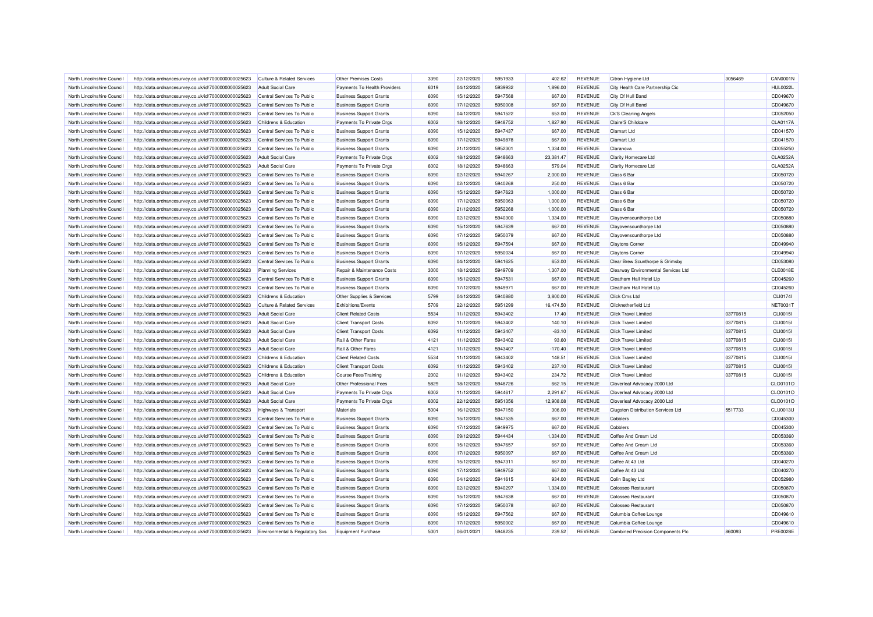| North Lincolnshire Council                               | http://data.ordnancesurvey.co.uk/id/7000000000025623                                                         | <b>Culture &amp; Related Services</b>                             | <b>Other Premises Costs</b>                              | 3390 | 22/12/2020               | 5951933            | 402.62                | <b>REVENUE</b> | Citron Hygiene Ltd                        | 3056469  | <b>CAN0001N</b>      |
|----------------------------------------------------------|--------------------------------------------------------------------------------------------------------------|-------------------------------------------------------------------|----------------------------------------------------------|------|--------------------------|--------------------|-----------------------|----------------|-------------------------------------------|----------|----------------------|
| North Lincolnshire Council                               | http://data.ordnancesurvey.co.uk/id/7000000000025623                                                         | <b>Adult Social Care</b>                                          | Payments To Health Providers                             | 6019 | 04/12/2020               | 5939932            | 1,896.00              | <b>REVENUE</b> | City Health Care Partnership Cic          |          | <b>HUL0022L</b>      |
| North Lincolnshire Council                               | http://data.ordnancesurvey.co.uk/id/7000000000025623                                                         | Central Services To Public                                        | <b>Business Support Grants</b>                           | 6090 | 15/12/2020               | 5947568            | 667.00                | <b>REVENUE</b> | City Of Hull Band                         |          | CD049670             |
| North Lincolnshire Council                               | http://data.ordnancesurvey.co.uk/id/7000000000025623                                                         | Central Services To Public                                        | <b>Business Support Grants</b>                           | 6090 | 17/12/2020               | 5950008            | 667.00                | <b>REVENUE</b> | City Of Hull Band                         |          | CD049670             |
| North Lincolnshire Council                               | http://data.ordnancesurvey.co.uk/id/7000000000025623                                                         | Central Services To Public                                        | <b>Business Support Grants</b>                           | 6090 | 04/12/2020               | 5941522            | 653.00                | <b>REVENUE</b> | Ck'S Cleaning Angels                      |          | CD052050             |
| North Lincolnshire Council                               | http://data.ordnancesurvey.co.uk/id/7000000000025623                                                         | Childrens & Education                                             | Payments To Private Orgs                                 | 6002 | 18/12/2020               | 5948752            | 1,827.90              | <b>REVENUE</b> | Claire'S Childcare                        |          | CLA0117A             |
| North Lincolnshire Council                               | http://data.ordnancesurvey.co.uk/id/7000000000025623                                                         | Central Services To Public                                        | <b>Business Support Grants</b>                           | 6090 | 15/12/2020               | 5947437            | 667.00                | <b>REVENUE</b> | Clamart Ltd                               |          | CD041570             |
| North Lincolnshire Council                               | http://data.ordnancesurvey.co.uk/id/7000000000025623                                                         | Central Services To Public                                        | <b>Business Support Grants</b>                           | 6090 | 17/12/2020               | 5949878            | 667.00                | <b>REVENUE</b> | <b>Clamart Ltd</b>                        |          | CD041570             |
| North Lincolnshire Council                               | http://data.ordnancesurvey.co.uk/id/7000000000025623                                                         | Central Services To Public                                        | <b>Business Support Grants</b>                           | 6090 | 21/12/2020               | 5952301            | 1,334.00              | <b>REVENUE</b> | Claranova                                 |          | CD055250             |
| North Lincolnshire Council                               | http://data.ordnancesurvey.co.uk/id/7000000000025623                                                         | <b>Adult Social Care</b>                                          | Payments To Private Orgs                                 | 6002 | 18/12/2020               | 5948663            | 23,381.47             | <b>REVENUE</b> | <b>Clarity Homecare Ltd</b>               |          | CLA0252A             |
| North Lincolnshire Council                               | http://data.ordnancesurvey.co.uk/id/7000000000025623                                                         | <b>Adult Social Care</b>                                          | Payments To Private Orgs                                 | 6002 | 18/12/2020               | 5948663            | 579.04                | <b>REVENUE</b> | <b>Clarity Homecare Ltd</b>               |          | CLA0252A             |
| North Lincolnshire Council                               | http://data.ordnancesurvey.co.uk/id/7000000000025623                                                         | Central Services To Public                                        | <b>Business Support Grants</b>                           | 6090 | 02/12/2020               | 5940267            | 2,000.00              | <b>REVENUE</b> | Class 6 Bar                               |          | CD050720             |
| North Lincolnshire Council                               | http://data.ordnancesurvey.co.uk/id/7000000000025623                                                         | Central Services To Public                                        | <b>Business Support Grants</b>                           | 6090 | 02/12/2020               | 5940268            | 250.00                | <b>REVENUE</b> | Class 6 Bar                               |          | CD050720             |
| North Lincolnshire Council                               | http://data.ordnancesurvey.co.uk/id/7000000000025623                                                         | Central Services To Public                                        | <b>Business Support Grants</b>                           | 6090 | 15/12/2020               | 5947623            | 1,000.00              | <b>REVENUE</b> | Class 6 Bar                               |          | CD050720             |
| North Lincolnshire Council                               | http://data.ordnancesurvey.co.uk/id/7000000000025623                                                         | Central Services To Public                                        | <b>Business Support Grants</b>                           | 6090 | 17/12/2020               | 5950063            | 1,000.00              | <b>REVENUE</b> | Class 6 Bar                               |          | CD050720             |
| North Lincolnshire Council                               | http://data.ordnancesurvey.co.uk/id/7000000000025623                                                         | Central Services To Public                                        | <b>Business Support Grants</b>                           | 6090 | 21/12/2020               | 5952268            | 1,000.00              | <b>REVENUE</b> | Class 6 Bar                               |          | CD050720             |
| North Lincolnshire Council                               | http://data.ordnancesurvey.co.uk/id/7000000000025623                                                         | Central Services To Public                                        | <b>Business Support Grants</b>                           | 6090 | 02/12/2020               | 5940300            | 1,334.00              | <b>REVENUE</b> | Clayovenscunthorpe Ltd                    |          | CD050880             |
| North Lincolnshire Council                               | http://data.ordnancesurvey.co.uk/id/7000000000025623                                                         | Central Services To Public                                        | <b>Business Support Grants</b>                           | 6090 | 15/12/2020               | 5947639            | 667.00                | <b>REVENUE</b> | Clayovenscunthorpe Ltd                    |          | CD050880             |
| North Lincolnshire Council                               | http://data.ordnancesurvey.co.uk/id/7000000000025623                                                         | Central Services To Public                                        | <b>Business Support Grants</b>                           | 6090 | 17/12/2020               | 5950079            | 667.00                | <b>REVENUE</b> | Clayovenscunthorpe Ltd                    |          | CD050880             |
| North Lincolnshire Council                               | http://data.ordnancesurvey.co.uk/id/7000000000025623                                                         | Central Services To Public                                        | <b>Business Support Grants</b>                           | 6090 | 15/12/2020               | 5947594            | 667.00                | <b>REVENUE</b> | <b>Claytons Corner</b>                    |          | CD049940             |
| North Lincolnshire Council                               | http://data.ordnancesurvey.co.uk/id/7000000000025623                                                         | Central Services To Public                                        | <b>Business Support Grants</b>                           | 6090 | 17/12/2020               | 5950034            | 667.00                | <b>REVENUE</b> | <b>Claytons Corner</b>                    |          | CD049940             |
| North Lincolnshire Council                               |                                                                                                              | Central Services To Public                                        | <b>Business Support Grants</b>                           | 6090 | 04/12/2020               | 5941625            | 653.00                | <b>REVENUE</b> | Clear Brew Scunthorpe & Grimsby           |          | CD053080             |
| North Lincolnshire Council                               | http://data.ordnancesurvey.co.uk/id/7000000000025623<br>http://data.ordnancesurvey.co.uk/id/7000000000025623 | <b>Planning Services</b>                                          | Repair & Maintenance Costs                               | 3000 | 18/12/2020               | 5949709            | 1.307.00              | <b>REVENUE</b> | Clearway Environmental Services Ltd       |          | <b>CLE0018E</b>      |
| North Lincolnshire Council                               | http://data.ordnancesurvey.co.uk/id/7000000000025623                                                         | Central Services To Public                                        | <b>Business Support Grants</b>                           | 6090 | 15/12/2020               | 5947531            | 667.00                | <b>REVENUE</b> | Cleatham Hall Hotel Lip                   |          | CD045260             |
| North Lincolnshire Council                               |                                                                                                              | Central Services To Public                                        |                                                          | 6090 | 17/12/2020               | 5949971            | 667.00                | <b>REVENUE</b> | Cleatham Hall Hotel Lip                   |          | CD045260             |
| North Lincolnshire Council                               | http://data.ordnancesurvey.co.uk/id/7000000000025623                                                         | Childrens & Education                                             | <b>Business Support Grants</b>                           | 5799 |                          | 5940880            |                       | <b>REVENUE</b> | Click Cms Ltd                             |          |                      |
|                                                          | http://data.ordnancesurvey.co.uk/id/7000000000025623                                                         |                                                                   | Other Supplies & Services                                | 5709 | 04/12/2020               |                    | 3,800.00<br>16,474.50 | <b>REVENUE</b> | Clicknetherfield Ltd                      |          | CLI01741<br>NET00311 |
| North Lincolnshire Council<br>North Lincolnshire Council | http://data.ordnancesurvey.co.uk/id/7000000000025623                                                         | <b>Culture &amp; Related Services</b><br><b>Adult Social Care</b> | <b>Exhibitions/Events</b><br><b>Client Related Costs</b> | 5534 | 22/12/2020<br>11/12/2020 | 5951299<br>5943402 | 17.40                 | <b>REVENUE</b> | Click Travel Limited                      | 03770815 | <b>CLI0015I</b>      |
|                                                          | http://data.ordnancesurvey.co.uk/id/7000000000025623                                                         |                                                                   |                                                          |      |                          |                    |                       |                |                                           |          |                      |
| North Lincolnshire Council                               | http://data.ordnancesurvey.co.uk/id/7000000000025623                                                         | <b>Adult Social Care</b>                                          | <b>Client Transport Costs</b>                            | 6092 | 11/12/2020               | 5943402            | 140.10                | <b>REVENUE</b> | <b>Click Travel Limited</b>               | 03770815 | <b>CLI0015I</b>      |
| North Lincolnshire Council                               | http://data.ordnancesurvey.co.uk/id/7000000000025623                                                         | <b>Adult Social Care</b>                                          | <b>Client Transport Costs</b>                            | 6092 | 11/12/2020               | 5943407            | $-83.10$              | <b>REVENUE</b> | <b>Click Travel Limited</b>               | 03770815 | <b>CLI0015I</b>      |
| North Lincolnshire Council                               | http://data.ordnancesurvey.co.uk/id/7000000000025623                                                         | <b>Adult Social Care</b>                                          | Rail & Other Fares                                       | 4121 | 11/12/2020               | 5943402            | 93.60                 | <b>REVENUE</b> | <b>Click Travel Limited</b>               | 03770815 | CLI0015I             |
| North Lincolnshire Council                               | http://data.ordnancesurvey.co.uk/id/7000000000025623                                                         | <b>Adult Social Care</b>                                          | Rail & Other Fares                                       | 4121 | 11/12/2020               | 5943407            | $-170.40$             | <b>REVENUE</b> | <b>Click Travel Limited</b>               | 03770815 | <b>CLI0015I</b>      |
| North Lincolnshire Council                               | http://data.ordnancesurvey.co.uk/id/7000000000025623                                                         | Childrens & Education                                             | <b>Client Related Costs</b>                              | 5534 | 11/12/2020               | 5943402            | 148.51                | <b>REVENUE</b> | <b>Click Travel Limited</b>               | 03770815 | <b>CLI0015I</b>      |
| North Lincolnshire Council                               | http://data.ordnancesurvey.co.uk/id/7000000000025623                                                         | Childrens & Education                                             | <b>Client Transport Costs</b>                            | 6092 | 11/12/2020               | 5943402            | 237.10                | <b>REVENUE</b> | <b>Click Travel Limited</b>               | 03770815 | CLI0015I             |
| North Lincolnshire Council                               | http://data.ordnancesurvey.co.uk/id/7000000000025623                                                         | Childrens & Education                                             | <b>Course Fees/Training</b>                              | 2002 | 11/12/2020               | 5943402            | 234.72                | <b>REVENUE</b> | <b>Click Travel Limited</b>               | 03770815 | <b>CLI0015I</b>      |
| North Lincolnshire Council                               | http://data.ordnancesurvey.co.uk/id/7000000000025623                                                         | <b>Adult Social Care</b>                                          | Other Professional Fees                                  | 5829 | 18/12/2020               | 5948726            | 662.15                | <b>REVENUE</b> | Cloverleaf Advocacy 2000 Ltd              |          | CLO0101C             |
| North Lincolnshire Council                               | http://data.ordnancesurvey.co.uk/id/7000000000025623                                                         | <b>Adult Social Care</b>                                          | Payments To Private Orgs                                 | 6002 | 11/12/2020               | 5944617            | 2,291.67              | <b>REVENUE</b> | Cloverleaf Advocacy 2000 Ltd              |          | CLO0101C             |
| North Lincolnshire Council                               | http://data.ordnancesurvey.co.uk/id/7000000000025623                                                         | <b>Adult Social Care</b>                                          | Payments To Private Orgs                                 | 6002 | 22/12/2020               | 5951356            | 12,908.08             | <b>REVENUE</b> | Cloverleaf Advocacy 2000 Ltd              |          | CLO0101C             |
| North Lincolnshire Council                               | http://data.ordnancesurvey.co.uk/id/7000000000025623                                                         | Highways & Transport                                              | Materials                                                | 5004 | 16/12/2020               | 5947150            | 306.00                | <b>REVENUE</b> | <b>Clugston Distribution Services Ltd</b> | 5517733  | <b>CLU0013L</b>      |
| North Lincolnshire Council                               | http://data.ordnancesurvey.co.uk/id/7000000000025623                                                         | Central Services To Public                                        | <b>Business Support Grants</b>                           | 6090 | 15/12/2020               | 5947535            | 667.00                | <b>REVENUE</b> | Cobblers                                  |          | CD045300             |
| North Lincolnshire Council                               | http://data.ordnancesurvey.co.uk/id/7000000000025623                                                         | Central Services To Public                                        | <b>Business Support Grants</b>                           | 6090 | 17/12/2020               | 5949975            | 667.00                | <b>REVENUE</b> | Cobblers                                  |          | CD045300             |
| North Lincolnshire Council                               | http://data.ordnancesurvey.co.uk/id/7000000000025623                                                         | Central Services To Public                                        | <b>Business Support Grants</b>                           | 6090 | 09/12/2020               | 5944434            | 1,334.00              | <b>REVENUE</b> | Coffee And Cream Ltd                      |          | CD053360             |
| North Lincolnshire Council                               | http://data.ordnancesurvey.co.uk/id/7000000000025623                                                         | Central Services To Public                                        | <b>Business Support Grants</b>                           | 6090 | 15/12/2020               | 5947657            | 667.00                | <b>REVENUE</b> | Coffee And Cream Ltd                      |          | CD053360             |
| North Lincolnshire Council                               | http://data.ordnancesurvey.co.uk/id/7000000000025623                                                         | Central Services To Public                                        | <b>Business Support Grants</b>                           | 6090 | 17/12/2020               | 5950097            | 667.00                | <b>REVENUE</b> | Coffee And Cream Ltd                      |          | CD053360             |
| North Lincolnshire Council                               | http://data.ordnancesurvey.co.uk/id/7000000000025623                                                         | Central Services To Public                                        | <b>Business Support Grants</b>                           | 6090 | 15/12/2020               | 5947311            | 667.00                | <b>REVENUE</b> | Coffee At 43 Ltd                          |          | CD040270             |
| North Lincolnshire Council                               | http://data.ordnancesurvey.co.uk/id/7000000000025623                                                         | Central Services To Public                                        | <b>Business Support Grants</b>                           | 6090 | 17/12/2020               | 5949752            | 667.00                | <b>REVENUE</b> | Coffee At 43 Ltd                          |          | CD040270             |
| North Lincolnshire Council                               | http://data.ordnancesurvey.co.uk/id/7000000000025623                                                         | Central Services To Public                                        | <b>Business Support Grants</b>                           | 6090 | 04/12/2020               | 5941615            | 934.00                | <b>REVENUE</b> | Colin Bagley Ltd                          |          | CD052980             |
| North Lincolnshire Council                               | http://data.ordnancesurvey.co.uk/id/7000000000025623                                                         | Central Services To Public                                        | <b>Business Support Grants</b>                           | 6090 | 02/12/2020               | 5940297            | 1,334.00              | <b>REVENUE</b> | Colosseo Restaurant                       |          | CD050870             |
| North Lincolnshire Council                               | http://data.ordnancesurvey.co.uk/id/7000000000025623                                                         | Central Services To Public                                        | <b>Business Support Grants</b>                           | 6090 | 15/12/2020               | 5947638            | 667.00                | <b>REVENUE</b> | Colosseo Restaurant                       |          | CD050870             |
| North Lincolnshire Council                               | http://data.ordnancesurvey.co.uk/id/7000000000025623                                                         | Central Services To Public                                        | <b>Business Support Grants</b>                           | 6090 | 17/12/2020               | 5950078            | 667.00                | <b>REVENUE</b> | Colosseo Restaurant                       |          | CD050870             |
| North Lincolnshire Council                               | http://data.ordnancesurvey.co.uk/id/7000000000025623                                                         | Central Services To Public                                        | <b>Business Support Grants</b>                           | 6090 | 15/12/2020               | 5947562            | 667.00                | <b>REVENUE</b> | Columbia Coffee Lounge                    |          | CD049610             |
| North Lincolnshire Council                               | http://data.ordnancesurvey.co.uk/id/7000000000025623                                                         | Central Services To Public                                        | <b>Business Support Grants</b>                           | 6090 | 17/12/2020               | 5950002            | 667.00                | <b>REVENUE</b> | Columbia Coffee Lounge                    |          | CD049610             |
| North Lincolnshire Council                               | http://data.ordnancesurvey.co.uk/id/7000000000025623                                                         | Environmental & Regulatory Svs                                    | <b>Equipment Purchase</b>                                | 5001 | 06/01/2021               | 5948235            | 239.52                | <b>REVENUE</b> | <b>Combined Precision Components Plc</b>  | 860093   | <b>PRE0028E</b>      |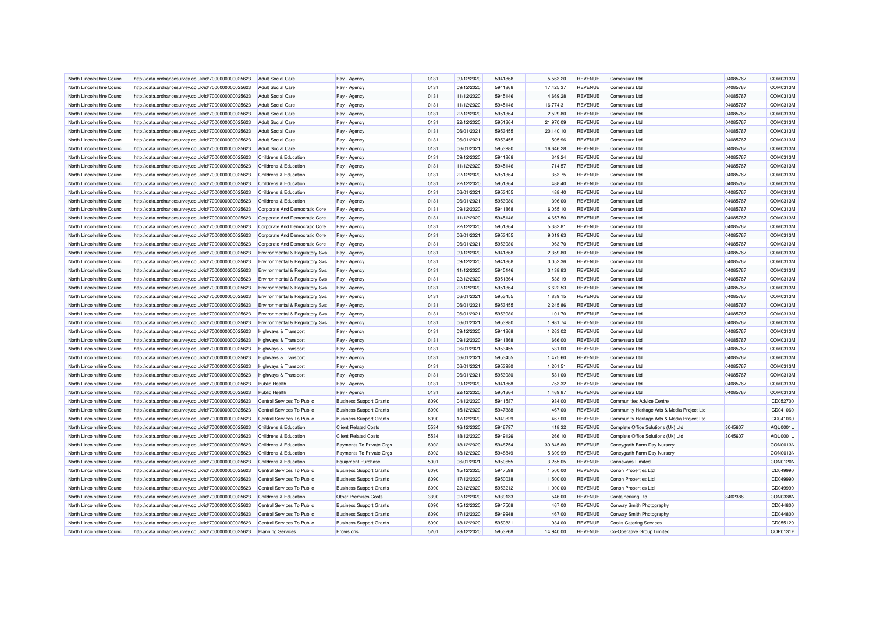| North Lincolnshire Council | http://data.ordnancesurvey.co.uk/id/7000000000025623 | <b>Adult Social Care</b>        | Pay - Agency                   | 0131 | 09/12/2020 | 5941868 | 5.563.20             | <b>REVENUE</b> | Comensura Ltd                                | 04085767 | COM0313M |
|----------------------------|------------------------------------------------------|---------------------------------|--------------------------------|------|------------|---------|----------------------|----------------|----------------------------------------------|----------|----------|
| North Lincolnshire Council | http://data.ordnancesurvey.co.uk/id/7000000000025623 | <b>Adult Social Care</b>        | Pay - Agency                   | 0131 | 09/12/2020 | 5941868 | 17,425.37            | <b>REVENUE</b> | Comensura Ltd                                | 04085767 | COM0313M |
| North Lincolnshire Council | http://data.ordnancesurvey.co.uk/id/7000000000025623 | <b>Adult Social Care</b>        | Pay - Agency                   | 0131 | 11/12/2020 | 5945146 | 4.669.28             | <b>REVENUE</b> | Comensura Ltd                                | 04085767 | COM0313M |
| North Lincolnshire Council | http://data.ordnancesurvey.co.uk/id/7000000000025623 | <b>Adult Social Care</b>        | Pay - Agency                   | 0131 | 11/12/2020 | 5945146 | 16,774.31            | <b>REVENUE</b> | Comensura Ltd                                | 04085767 | COM0313M |
| North Lincolnshire Council | http://data.ordnancesurvey.co.uk/id/7000000000025623 | <b>Adult Social Care</b>        | Pay - Agency                   | 0131 | 22/12/2020 | 5951364 | 2,529.80             | REVENUE        | Comensura Ltd                                | 04085767 | COM0313M |
| North Lincolnshire Council | http://data.ordnancesurvey.co.uk/id/7000000000025623 | <b>Adult Social Care</b>        | Pay - Agency                   | 0131 | 22/12/2020 | 5951364 | 21,970.09            | <b>REVENUE</b> | Comensura Ltd                                | 04085767 | COM0313M |
| North Lincolnshire Council | http://data.ordnancesurvey.co.uk/id/7000000000025623 | <b>Adult Social Care</b>        | Pay - Agency                   | 0131 | 06/01/2021 | 5953455 | 20,140.10            | <b>REVENUE</b> | Comensura Ltd                                | 04085767 | COM0313M |
| North Lincolnshire Council | http://data.ordnancesurvey.co.uk/id/7000000000025623 | <b>Adult Social Care</b>        | Pay - Agency                   | 0131 | 06/01/2021 | 5953455 | 505.96               | <b>REVENUE</b> | Comensura I td                               | 04085767 | COM0313M |
| North Lincolnshire Council | http://data.ordnancesurvey.co.uk/id/7000000000025623 | Adult Social Care               | Pay - Agency                   | 0131 | 06/01/2021 | 5953980 | 16,646.28            | <b>REVENUE</b> | Comensura Ltd                                | 04085767 | COM0313M |
| North Lincolnshire Council | http://data.ordnancesurvey.co.uk/id/7000000000025623 | Childrens & Education           | Pay - Agency                   | 0131 | 09/12/2020 | 5941868 | 349.24               | <b>REVENUE</b> | Comensura Ltd                                | 04085767 | COM0313M |
| North Lincolnshire Council | http://data.ordnancesurvey.co.uk/id/7000000000025623 | Childrens & Education           | Pay - Agency                   | 0131 | 11/12/2020 | 5945146 | 714.57               | <b>REVENUE</b> | Comensura Ltd                                | 04085767 | COM0313M |
| North Lincolnshire Council | http://data.ordnancesurvey.co.uk/id/7000000000025623 | Childrens & Education           | Pay - Agency                   | 0131 | 22/12/2020 | 5951364 | 353.75               | <b>REVENUE</b> | Comensura Ltd                                | 04085767 | COM0313M |
| North Lincolnshire Council | http://data.ordnancesurvey.co.uk/id/7000000000025623 | Childrens & Education           | Pay - Agency                   | 0131 | 22/12/2020 | 5951364 | 488.40               | <b>REVENUE</b> | Comensura Ltd                                | 04085767 | COM0313M |
| North Lincolnshire Council | http://data.ordnancesurvey.co.uk/id/7000000000025623 | Childrens & Education           | Pay - Agency                   | 0131 | 06/01/2021 | 5953455 | 488.40               | <b>REVENUE</b> | Comensura I to                               | 04085767 | COM0313M |
| North Lincolnshire Council | http://data.ordnancesurvey.co.uk/id/7000000000025623 | Childrens & Education           | Pay - Agency                   | 0131 | 06/01/2021 | 5953980 | 396.00               | <b>REVENUE</b> | Comensura Ltd                                | 04085767 | COM0313M |
| North Lincolnshire Council | http://data.ordnancesurvey.co.uk/id/7000000000025623 | Corporate And Democratic Core   | Pay - Agency                   | 0131 | 09/12/2020 | 5941868 | 6,055.10             | <b>REVENUE</b> | Comensura Ltd                                | 04085767 | COM0313M |
| North Lincolnshire Council | http://data.ordnancesurvey.co.uk/id/7000000000025623 | Corporate And Democratic Core   | Pay - Agency                   | 0131 | 11/12/2020 | 5945146 | 4,657.50             | <b>REVENUE</b> | Comensura Ltd                                | 04085767 | COM0313M |
| North Lincolnshire Council | http://data.ordnancesurvey.co.uk/id/7000000000025623 | Corporate And Democratic Core   | Pay - Agency                   | 0131 | 22/12/2020 | 5951364 | 5,382.81             | <b>REVENUE</b> | Comensura Ltd                                | 04085767 | COM0313M |
| North Lincolnshire Council | http://data.ordnancesurvey.co.uk/id/7000000000025623 | Corporate And Democratic Core   | Pay - Agency                   | 0131 | 06/01/2021 | 5953455 | 9,019.63             | <b>REVENUE</b> | Comensura Ltd                                | 04085767 | COM0313M |
| North Lincolnshire Council | http://data.ordnancesurvey.co.uk/id/7000000000025623 | Corporate And Democratic Core   | Pay - Agency                   | 0131 | 06/01/2021 | 5953980 | 1,963.70             | <b>REVENUE</b> | Comensura Ltd                                | 04085767 | COM0313M |
| North Lincolnshire Council | http://data.ordnancesurvey.co.uk/id/7000000000025623 | Environmental & Regulatory Svs  | Pay - Agency                   | 0131 | 09/12/2020 | 5941868 | 2,359.80             | <b>REVENUE</b> | Comensura Ltd                                | 04085767 | COM0313M |
| North Lincolnshire Council |                                                      |                                 |                                | 0131 | 09/12/2020 | 5941868 | 3,052.36             | <b>REVENUE</b> | Comensura I to                               | 04085767 | COM0313M |
|                            | http://data.ordnancesurvey.co.uk/id/7000000000025623 | Environmental & Regulatory Svs  | Pay - Agency                   |      |            | 5945146 |                      |                |                                              |          |          |
| North Lincolnshire Council | http://data.ordnancesurvey.co.uk/id/7000000000025623 | Environmental & Regulatory Svs  | Pay - Agency                   | 0131 | 11/12/2020 |         | 3,138.83             | <b>REVENUE</b> | Comensura Ltd                                | 04085767 | COM0313M |
| North Lincolnshire Council | http://data.ordnancesurvey.co.uk/id/7000000000025623 | Environmental & Regulatory Svs  | Pay - Agency                   | 0131 | 22/12/2020 | 5951364 | 1,538.19             | <b>REVENUE</b> | Comensura Ltd                                | 04085767 | COM0313M |
| North Lincolnshire Council | http://data.ordnancesurvey.co.uk/id/7000000000025623 | Environmental & Regulatory Svs  | Pay - Agency                   | 0131 | 22/12/2020 | 5951364 | 6,622.53             | <b>REVENUE</b> | Comensura I to                               | 04085767 | COM0313M |
| North Lincolnshire Council | http://data.ordnancesurvey.co.uk/id/7000000000025623 | Environmental & Regulatory Svs  | Pay - Agency                   | 0131 | 06/01/2021 | 5953455 | 1,839.15             | <b>REVENUE</b> | Comensura Ltd                                | 04085767 | COM0313M |
| North Lincolnshire Council | http://data.ordnancesurvey.co.uk/id/7000000000025623 | Environmental & Regulatory Svs  | Pay - Agency                   | 0131 | 06/01/2021 | 5953455 | 2,245.86             | <b>REVENUE</b> | Comensura Ltd                                | 04085767 | COM0313M |
| North Lincolnshire Council | http://data.ordnancesurvey.co.uk/id/7000000000025623 | Environmental & Regulatory Svs  | Pay - Agency                   | 0131 | 06/01/2021 | 5953980 | 101.70               | <b>REVENUE</b> | Comensura Ltd                                | 04085767 | COM0313M |
| North Lincolnshire Council | http://data.ordnancesurvey.co.uk/id/7000000000025623 | Environmental & Regulatory Svs  | Pay - Agency                   | 0131 | 06/01/2021 | 5953980 | 1,981.74             | <b>REVENUE</b> | Comensura Ltd                                | 04085767 | COM0313M |
| North Lincolnshire Council | http://data.ordnancesurvey.co.uk/id/7000000000025623 | <b>Highways &amp; Transport</b> | Pay - Agency                   | 0131 | 09/12/2020 | 5941868 | 1,263.02             | <b>REVENUE</b> | Comensura Ltd                                | 04085767 | COM0313M |
| North Lincolnshire Council | http://data.ordnancesurvey.co.uk/id/7000000000025623 | Highways & Transport            | Pay - Agency                   | 0131 | 09/12/2020 | 5941868 | 666.00               | <b>REVENUE</b> | Comensura I to                               | 04085767 | COM0313M |
| North Lincolnshire Council | http://data.ordnancesurvey.co.uk/id/7000000000025623 | <b>Highways &amp; Transport</b> | Pay - Agency                   | 0131 | 06/01/2021 | 5953455 | 531.00               | <b>REVENUE</b> | Comensura Ltd                                | 04085767 | COM0313M |
| North Lincolnshire Council | http://data.ordnancesurvey.co.uk/id/7000000000025623 | Highways & Transport            | Pay - Agency                   | 0131 | 06/01/2021 | 5953455 | 1,475.60             | <b>REVENUE</b> | Comensura Ltd                                | 04085767 | COM0313M |
| North Lincolnshire Council | http://data.ordnancesurvey.co.uk/id/7000000000025623 | Highways & Transport            | Pay - Agency                   | 0131 | 06/01/2021 | 5953980 | 1.201.51             | <b>REVENUE</b> | Comensura Ltd                                | 04085767 | COM0313M |
| North Lincolnshire Council | http://data.ordnancesurvey.co.uk/id/7000000000025623 | <b>Highways &amp; Transport</b> | Pay - Agency                   | 0131 | 06/01/2021 | 5953980 | 531.00               | <b>REVENUE</b> | Comensura Ltd                                | 04085767 | COM0313M |
| North Lincolnshire Council | http://data.ordnancesurvey.co.uk/id/7000000000025623 | Public Health                   | Pay - Agency                   | 0131 | 09/12/2020 | 5941868 | 753.32               | <b>REVENUE</b> | Comensura Ltd                                | 04085767 | COM0313M |
| North Lincolnshire Council | http://data.ordnancesurvey.co.uk/id/7000000000025623 | <b>Public Health</b>            | Pay - Agency                   | 0131 | 22/12/2020 | 5951364 | 1,469.87             | <b>REVENUE</b> | Comensura I to                               | 04085767 | COM0313M |
| North Lincolnshire Council | http://data.ordnancesurvey.co.uk/id/7000000000025623 | Central Services To Public      | <b>Business Support Grants</b> | 6090 | 04/12/2020 | 5941587 | 934.00               | <b>REVENUE</b> | <b>Communities Advice Centre</b>             |          | CD052700 |
| North Lincolnshire Council | http://data.ordnancesurvey.co.uk/id/7000000000025623 | Central Services To Public      | <b>Business Support Grants</b> | 6090 | 15/12/2020 | 5947388 | 467.00               | <b>REVENUE</b> | Community Heritage Arts & Media Project Ltd  |          | CD041060 |
| North Lincolnshire Council | http://data.ordnancesurvey.co.uk/id/7000000000025623 | Central Services To Public      | <b>Business Support Grants</b> | 6090 | 17/12/2020 | 5949829 | 467.00               | <b>REVENUE</b> | Community Heritage Arts & Media Project Ltd  |          | CD041060 |
| North Lincolnshire Council | http://data.ordnancesurvey.co.uk/id/7000000000025623 | Childrens & Education           | <b>Client Related Costs</b>    | 5534 | 16/12/2020 | 5946797 | 418.32               | <b>REVENUE</b> | Complete Office Solutions (Uk) Ltd           | 3045607  | AQU0001U |
| North Lincolnshire Council | http://data.ordnancesurvey.co.uk/id/7000000000025623 | Childrens & Education           | <b>Client Related Costs</b>    | 5534 | 18/12/2020 | 5949126 | 266.10               | <b>REVENUE</b> | Complete Office Solutions (Uk) Ltd           | 3045607  | AQU0001U |
| North Lincolnshire Council | http://data.ordnancesurvey.co.uk/id/7000000000025623 | Childrens & Education           | Payments To Private Orgs       | 6002 | 18/12/2020 | 5948754 | 30,845.80            | <b>REVENUE</b> | Coneygarth Farm Day Nursery                  |          | CON0013N |
| North Lincolnshire Council | http://data.ordnancesurvey.co.uk/id/7000000000025623 | Childrens & Education           | Payments To Private Orgs       | 6002 | 18/12/2020 | 5948849 | 5,609.99             | <b>REVENUE</b> | Coneygarth Farm Day Nursery                  |          | CON0013N |
| North Lincolnshire Council | http://data.ordnancesurvey.co.uk/id/7000000000025623 | Childrens & Education           | <b>Equipment Purchase</b>      | 5001 | 06/01/2021 | 5950655 | 3,255.05             | <b>REVENUE</b> | <b>Connevans Limited</b>                     |          | CON0120N |
| North Lincolnshire Council |                                                      | Central Services To Public      |                                | 6090 | 15/12/2020 | 5947598 |                      | <b>REVENUE</b> |                                              |          | CD049990 |
|                            | http://data.ordnancesurvey.co.uk/id/7000000000025623 | Central Services To Public      | <b>Business Support Grants</b> | 6090 | 17/12/2020 | 5950038 | 1,500.00<br>1,500.00 | <b>REVENUE</b> | Conon Properties Ltd                         |          | CD049990 |
| North Lincolnshire Council | http://data.ordnancesurvey.co.uk/id/7000000000025623 | Central Services To Public      | <b>Business Support Grants</b> | 6090 | 22/12/2020 | 5953212 | 1,000.00             | <b>REVENUE</b> | Conon Properties Ltd<br>Conon Properties Ltd |          | CD049990 |
| North Lincolnshire Council | http://data.ordnancesurvey.co.uk/id/7000000000025623 |                                 | <b>Business Support Grants</b> |      |            |         |                      |                |                                              |          |          |
| North Lincolnshire Council | http://data.ordnancesurvey.co.uk/id/7000000000025623 | Childrens & Education           | <b>Other Premises Costs</b>    | 3390 | 02/12/2020 | 5939133 | 546.00               | <b>REVENUE</b> | <b>Containerking Ltd</b>                     | 3402386  | CON0338N |
| North Lincolnshire Council | http://data.ordnancesurvey.co.uk/id/7000000000025623 | Central Services To Public      | <b>Business Support Grants</b> | 6090 | 15/12/2020 | 5947508 | 467.00               | <b>REVENUE</b> | Conway Smith Photography                     |          | CD044800 |
| North Lincolnshire Council | http://data.ordnancesurvey.co.uk/id/7000000000025623 | Central Services To Public      | <b>Business Support Grants</b> | 6090 | 17/12/2020 | 5949948 | 467.00               | <b>REVENUE</b> | Conway Smith Photography                     |          | CD044800 |
| North Lincolnshire Council | http://data.ordnancesurvey.co.uk/id/7000000000025623 | Central Services To Public      | <b>Business Support Grants</b> | 6090 | 18/12/2020 | 5950831 | 934.00               | <b>REVENUE</b> | <b>Cooks Catering Services</b>               |          | CD055120 |
| North Lincolnshire Council | http://data.ordnancesurvey.co.uk/id/7000000000025623 | <b>Planning Services</b>        | Provisions                     | 5201 | 23/12/2020 | 5953268 | 14,940.00            | <b>REVENUE</b> | Co-Operative Group Limited                   |          | COP0131P |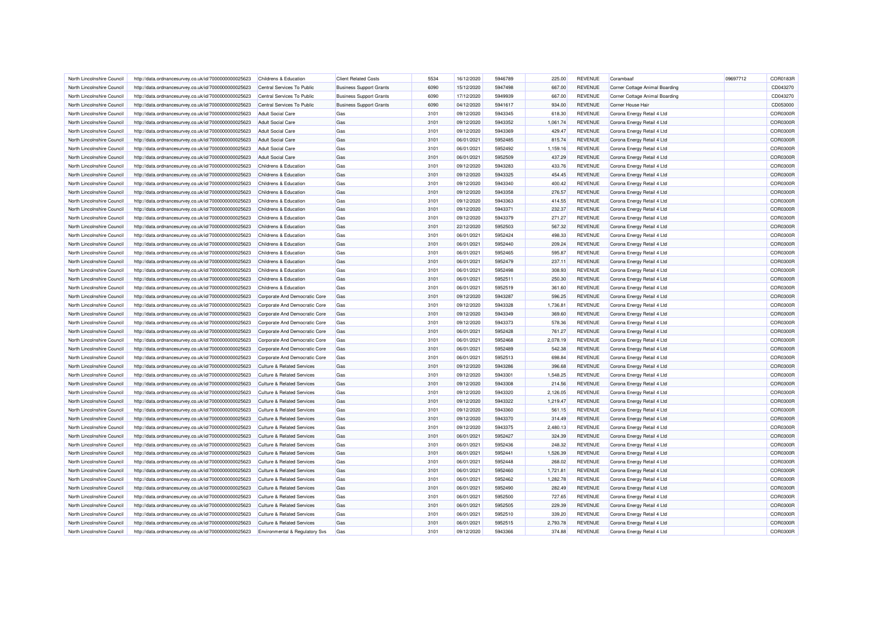| North Lincolnshire Council | http://data.ordnancesurvey.co.uk/id/7000000000025623 | Childrens & Education                 | <b>Client Related Costs</b>    | 5534 | 16/12/2020 | 5946789 | 225.00   | <b>REVENUE</b> | Corambaaf                      | 09697712 | COR0183R        |
|----------------------------|------------------------------------------------------|---------------------------------------|--------------------------------|------|------------|---------|----------|----------------|--------------------------------|----------|-----------------|
| North Lincolnshire Council | http://data.ordnancesurvey.co.uk/id/7000000000025623 | Central Services To Public            | <b>Business Support Grants</b> | 6090 | 15/12/2020 | 5947498 | 667.00   | <b>REVENUE</b> | Corner Cottage Animal Boarding |          | CD043270        |
| North Lincolnshire Council | http://data.ordnancesurvey.co.uk/id/7000000000025623 | Central Services To Public            | <b>Business Support Grants</b> | 6090 | 17/12/2020 | 5949939 | 667.00   | <b>REVENUE</b> | Corner Cottage Animal Boarding |          | CD043270        |
| North Lincolnshire Council | http://data.ordnancesurvey.co.uk/id/7000000000025623 | Central Services To Public            | <b>Business Support Grants</b> | 6090 | 04/12/2020 | 5941617 | 934.00   | <b>REVENUE</b> | Corner House Hair              |          | CD053000        |
| North Lincolnshire Council | http://data.ordnancesurvey.co.uk/id/7000000000025623 | <b>Adult Social Care</b>              | Gas                            | 3101 | 09/12/2020 | 5943345 | 618.30   | <b>REVENUE</b> | Corona Energy Retail 4 Ltd     |          | COR0300R        |
| North Lincolnshire Council | http://data.ordnancesurvey.co.uk/id/7000000000025623 | <b>Adult Social Care</b>              | Gas                            | 3101 | 09/12/2020 | 5943352 | 1,061.74 | <b>REVENUE</b> | Corona Energy Retail 4 Ltd     |          | COR0300R        |
| North Lincolnshire Council | http://data.ordnancesurvey.co.uk/id/7000000000025623 | <b>Adult Social Care</b>              | Gas                            | 3101 | 09/12/2020 | 5943369 | 429.47   | <b>REVENUE</b> | Corona Energy Retail 4 Ltd     |          | COR0300R        |
| North Lincolnshire Council | http://data.ordnancesurvey.co.uk/id/7000000000025623 | <b>Adult Social Care</b>              | Gas                            | 3101 | 06/01/2021 | 5952485 | 815.74   | <b>REVENUE</b> | Corona Energy Retail 4 Ltd     |          | COR0300R        |
| North Lincolnshire Council | http://data.ordnancesurvey.co.uk/id/7000000000025623 | <b>Adult Social Care</b>              | Gas                            | 3101 | 06/01/2021 | 5952492 | 1,159.16 | <b>REVENUE</b> | Corona Energy Retail 4 Ltd     |          | COR0300R        |
| North Lincolnshire Council | http://data.ordnancesurvey.co.uk/id/7000000000025623 | <b>Adult Social Care</b>              | Gas                            | 3101 | 06/01/2021 | 5952509 | 437.29   | <b>REVENUE</b> | Corona Energy Retail 4 Ltd     |          | COR0300R        |
| North Lincolnshire Council | http://data.ordnancesurvey.co.uk/id/7000000000025623 | Childrens & Education                 | Gas                            | 3101 | 09/12/2020 | 5943283 | 433.76   | <b>REVENUE</b> | Corona Energy Retail 4 Ltd     |          | COR0300R        |
| North Lincolnshire Council | http://data.ordnancesurvey.co.uk/id/7000000000025623 | Childrens & Education                 | Gas                            | 3101 | 09/12/2020 | 5943325 | 454.45   | <b>REVENUE</b> | Corona Energy Retail 4 Ltd     |          | COR0300R        |
| North Lincolnshire Council | http://data.ordnancesurvey.co.uk/id/7000000000025623 | Childrens & Education                 | Gas                            | 3101 | 09/12/2020 | 5943340 | 400.42   | <b>REVENUE</b> | Corona Energy Retail 4 Ltd     |          | COR0300R        |
| North Lincolnshire Council | http://data.ordnancesurvey.co.uk/id/7000000000025623 | Childrens & Education                 | Gas                            | 3101 | 09/12/2020 | 5943358 | 276.57   | <b>REVENUE</b> | Corona Energy Retail 4 Ltd     |          | COR0300R        |
| North Lincolnshire Council | http://data.ordnancesurvey.co.uk/id/7000000000025623 | Childrens & Education                 | Gas                            | 3101 | 09/12/2020 | 5943363 | 414.55   | <b>REVENUE</b> | Corona Energy Retail 4 Ltd     |          | COR0300R        |
| North Lincolnshire Council | http://data.ordnancesurvey.co.uk/id/7000000000025623 | Childrens & Education                 | Gas                            | 3101 | 09/12/2020 | 5943371 | 232.37   | <b>REVENUE</b> | Corona Energy Retail 4 Ltd     |          | COR0300R        |
| North Lincolnshire Council | http://data.ordnancesurvey.co.uk/id/7000000000025623 | Childrens & Education                 | Gas                            | 3101 | 09/12/2020 | 5943379 | 271.27   | <b>REVENUE</b> | Corona Energy Retail 4 Ltd     |          | COR0300R        |
| North Lincolnshire Council | http://data.ordnancesurvey.co.uk/id/7000000000025623 | Childrens & Education                 | Gas                            | 3101 | 22/12/2020 | 5952503 | 567.32   | <b>REVENUE</b> | Corona Energy Retail 4 Ltd     |          | COR0300R        |
| North Lincolnshire Council | http://data.ordnancesurvey.co.uk/id/7000000000025623 | Childrens & Education                 | Gas                            | 3101 | 06/01/2021 | 5952424 | 498.33   | <b>REVENUE</b> | Corona Energy Retail 4 Ltd     |          | COR0300R        |
| North Lincolnshire Council | http://data.ordnancesurvey.co.uk/id/7000000000025623 | Childrens & Education                 | Gas                            | 3101 | 06/01/2021 | 5952440 | 209.24   | <b>REVENUE</b> | Corona Energy Retail 4 Ltd     |          | COR0300R        |
| North Lincolnshire Council | http://data.ordnancesurvey.co.uk/id/7000000000025623 | Childrens & Education                 | Gas                            | 3101 | 06/01/2021 | 5952465 | 595.87   | <b>REVENUE</b> | Corona Energy Retail 4 Ltd     |          | COR0300R        |
| North Lincolnshire Council | http://data.ordnancesurvey.co.uk/id/7000000000025623 | Childrens & Education                 | Gas                            | 3101 | 06/01/2021 | 5952479 | 237.11   | <b>REVENUE</b> | Corona Energy Retail 4 Ltd     |          | COR0300R        |
| North Lincolnshire Council | http://data.ordnancesurvey.co.uk/id/7000000000025623 | <b>Childrens &amp; Education</b>      | Gas                            | 3101 | 06/01/2021 | 5952498 | 308.93   | <b>REVENUE</b> | Corona Energy Retail 4 Ltd     |          | COR0300R        |
| North Lincolnshire Council | http://data.ordnancesurvey.co.uk/id/7000000000025623 | Childrens & Education                 | Gas                            | 3101 | 06/01/2021 | 5952511 | 250.30   | <b>REVENUE</b> | Corona Energy Retail 4 Ltd     |          | COR0300R        |
| North Lincolnshire Council | http://data.ordnancesurvey.co.uk/id/7000000000025623 | Childrens & Education                 | Gas                            | 3101 | 06/01/2021 | 5952519 | 361.60   | <b>REVENUE</b> | Corona Energy Retail 4 Ltd     |          | COR0300R        |
| North Lincolnshire Council | http://data.ordnancesurvey.co.uk/id/7000000000025623 | Corporate And Democratic Core         | Gas                            | 3101 | 09/12/2020 | 5943287 | 596.25   | <b>REVENUE</b> | Corona Energy Retail 4 Ltd     |          | COR0300R        |
| North Lincolnshire Council | http://data.ordnancesurvey.co.uk/id/7000000000025623 | Corporate And Democratic Core         | Gas                            | 3101 | 09/12/2020 | 5943328 | 1,736.81 | <b>REVENUE</b> | Corona Energy Retail 4 Ltd     |          | COR0300R        |
| North Lincolnshire Council | http://data.ordnancesurvey.co.uk/id/7000000000025623 | Corporate And Democratic Core         | Gas                            | 3101 | 09/12/2020 | 5943349 | 369.60   | <b>REVENUE</b> | Corona Energy Retail 4 Ltd     |          | COR0300R        |
| North Lincolnshire Council | http://data.ordnancesurvey.co.uk/id/7000000000025623 | Corporate And Democratic Core         | Gas                            | 3101 | 09/12/2020 | 5943373 | 578.36   | <b>REVENUE</b> | Corona Energy Retail 4 Ltd     |          | COR0300R        |
| North Lincolnshire Council | http://data.ordnancesurvey.co.uk/id/7000000000025623 | Corporate And Democratic Core         | Gas                            | 3101 | 06/01/2021 | 5952428 | 761.27   | <b>REVENUE</b> | Corona Energy Retail 4 Ltd     |          | COR0300R        |
| North Lincolnshire Council | http://data.ordnancesurvey.co.uk/id/7000000000025623 | Corporate And Democratic Core         | Gas                            | 3101 | 06/01/2021 | 5952468 | 2,078.19 | <b>REVENUE</b> | Corona Energy Retail 4 Ltd     |          | COR0300R        |
| North Lincolnshire Council | http://data.ordnancesurvey.co.uk/id/7000000000025623 | Corporate And Democratic Core         | Gas                            | 3101 | 06/01/2021 | 5952489 | 542.38   | <b>REVENUE</b> | Corona Energy Retail 4 Ltd     |          | COR0300R        |
| North Lincolnshire Council | http://data.ordnancesurvey.co.uk/id/7000000000025623 | Corporate And Democratic Core         | Gas                            | 3101 | 06/01/2021 | 5952513 | 698.84   | <b>REVENUE</b> | Corona Energy Retail 4 Ltd     |          | COR0300R        |
| North Lincolnshire Council | http://data.ordnancesurvey.co.uk/id/7000000000025623 | Culture & Related Services            | Gas                            | 3101 | 09/12/2020 | 5943286 | 396.68   | <b>REVENUE</b> | Corona Energy Retail 4 Ltd     |          | COR0300R        |
| North Lincolnshire Council | http://data.ordnancesurvey.co.uk/id/7000000000025623 | <b>Culture &amp; Related Services</b> | Gas                            | 3101 | 09/12/2020 | 5943301 | 1,548.25 | <b>REVENUE</b> | Corona Energy Retail 4 Ltd     |          | COR0300R        |
| North Lincolnshire Council | http://data.ordnancesurvey.co.uk/id/7000000000025623 | <b>Culture &amp; Related Services</b> | Gas                            | 3101 | 09/12/2020 | 5943308 | 214.56   | <b>REVENUE</b> | Corona Energy Retail 4 Ltd     |          | COR0300R        |
| North Lincolnshire Council | http://data.ordnancesurvey.co.uk/id/7000000000025623 | <b>Culture &amp; Related Services</b> | Gas                            | 3101 | 09/12/2020 | 5943320 | 2,126.05 | <b>REVENUE</b> | Corona Energy Retail 4 Ltd     |          | COR0300R        |
| North Lincolnshire Council | http://data.ordnancesurvey.co.uk/id/7000000000025623 | <b>Culture &amp; Related Services</b> | Gas                            | 3101 | 09/12/2020 | 5943322 | 1,219.47 | <b>REVENUE</b> | Corona Energy Retail 4 Ltd     |          | COR0300R        |
| North Lincolnshire Council | http://data.ordnancesurvey.co.uk/id/7000000000025623 | <b>Culture &amp; Related Services</b> | Gas                            | 3101 | 09/12/2020 | 5943360 | 561.15   | <b>REVENUE</b> | Corona Energy Retail 4 Ltd     |          | COR0300R        |
| North Lincolnshire Council | http://data.ordnancesurvey.co.uk/id/7000000000025623 | <b>Culture &amp; Related Services</b> | Gas                            | 3101 | 09/12/2020 | 5943370 | 314.49   | <b>REVENUE</b> | Corona Energy Retail 4 Ltd     |          | COR0300R        |
| North Lincolnshire Council | http://data.ordnancesurvey.co.uk/id/7000000000025623 | <b>Culture &amp; Related Services</b> | Gas                            | 3101 | 09/12/2020 | 5943375 | 2,480.13 | <b>REVENUE</b> | Corona Energy Retail 4 Ltd     |          | <b>COR0300R</b> |
| North Lincolnshire Council | http://data.ordnancesurvey.co.uk/id/7000000000025623 | <b>Culture &amp; Related Services</b> | Gas                            | 3101 | 06/01/2021 | 5952427 | 324.39   | <b>REVENUE</b> | Corona Energy Retail 4 Ltd     |          | <b>COR0300R</b> |
| North Lincolnshire Council | http://data.ordnancesurvey.co.uk/id/7000000000025623 | <b>Culture &amp; Related Services</b> | Gas                            | 3101 | 06/01/2021 | 5952436 | 248.32   | <b>REVENUE</b> | Corona Energy Retail 4 Ltd     |          | <b>COR0300R</b> |
| North Lincolnshire Council | http://data.ordnancesurvey.co.uk/id/7000000000025623 | <b>Culture &amp; Related Services</b> | Gas                            | 3101 | 06/01/2021 | 5952441 | 1,526.39 | <b>REVENUE</b> | Corona Energy Retail 4 Ltd     |          | COR0300R        |
| North Lincolnshire Council | http://data.ordnancesurvey.co.uk/id/7000000000025623 | <b>Culture &amp; Related Services</b> | Gas                            | 3101 | 06/01/2021 | 5952448 | 268.02   | <b>REVENUE</b> | Corona Energy Retail 4 Ltd     |          | <b>COR0300R</b> |
| North Lincolnshire Council | http://data.ordnancesurvey.co.uk/id/7000000000025623 | <b>Culture &amp; Related Services</b> | Gas                            | 3101 | 06/01/2021 | 5952460 | 1,721.81 | <b>REVENUE</b> | Corona Energy Retail 4 Ltd     |          | <b>COR0300R</b> |
| North Lincolnshire Council | http://data.ordnancesurvey.co.uk/id/7000000000025623 | <b>Culture &amp; Related Services</b> | Gas                            | 3101 | 06/01/2021 | 5952462 | 1,282.78 | <b>REVENUE</b> | Corona Energy Retail 4 Ltd     |          | COR0300R        |
| North Lincolnshire Council | http://data.ordnancesurvey.co.uk/id/7000000000025623 | <b>Culture &amp; Related Services</b> | Gas                            | 3101 | 06/01/2021 | 5952490 | 282.49   | <b>REVENUE</b> | Corona Energy Retail 4 Ltd     |          | COR0300R        |
| North Lincolnshire Council | http://data.ordnancesurvey.co.uk/id/7000000000025623 | <b>Culture &amp; Related Services</b> | Gas                            | 3101 | 06/01/2021 | 5952500 | 727.65   | <b>REVENUE</b> | Corona Energy Retail 4 Ltd     |          | <b>COR0300R</b> |
| North Lincolnshire Council | http://data.ordnancesurvey.co.uk/id/7000000000025623 | <b>Culture &amp; Related Services</b> | Gas                            | 3101 | 06/01/2021 | 5952505 | 229.39   | <b>REVENUE</b> | Corona Energy Retail 4 Ltd     |          | COR0300R        |
| North Lincolnshire Council | http://data.ordnancesurvey.co.uk/id/7000000000025623 | <b>Culture &amp; Related Services</b> | Gas                            | 3101 | 06/01/2021 | 5952510 | 339.20   | <b>REVENUE</b> | Corona Energy Retail 4 Ltd     |          | COR0300F        |
| North Lincolnshire Council | http://data.ordnancesurvey.co.uk/id/7000000000025623 | Culture & Related Services            | Gas                            | 3101 | 06/01/2021 | 5952515 | 2,793.78 | <b>REVENUE</b> | Corona Energy Retail 4 Ltd     |          | COR0300R        |
| North Lincolnshire Council | http://data.ordnancesurvey.co.uk/id/7000000000025623 | Environmental & Regulatory Svs        | Gas                            | 3101 | 09/12/2020 | 5943366 | 374.88   | <b>REVENUE</b> | Corona Energy Retail 4 Ltd     |          | <b>COR0300R</b> |
|                            |                                                      |                                       |                                |      |            |         |          |                |                                |          |                 |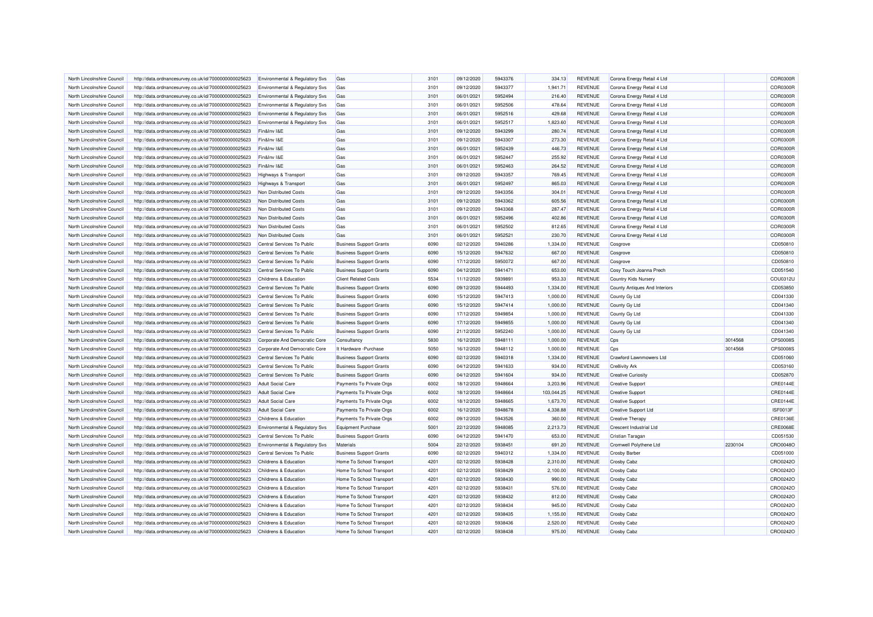| North Lincolnshire Council | http://data.ordnancesurvey.co.uk/id/7000000000025623 | <b>Environmental &amp; Regulatory Svs</b> | Gas                            | 3101 | 09/12/2020 | 5943376 | 334.13     | <b>REVENUE</b> | Corona Energy Retail 4 Ltd     |         | COR0300R        |
|----------------------------|------------------------------------------------------|-------------------------------------------|--------------------------------|------|------------|---------|------------|----------------|--------------------------------|---------|-----------------|
| North Lincolnshire Council | http://data.ordnancesurvey.co.uk/id/7000000000025623 | Environmental & Regulatory Svs            | Gas                            | 3101 | 09/12/2020 | 5943377 | 1,941.71   | <b>REVENUE</b> | Corona Energy Retail 4 Ltd     |         | COR0300R        |
| North Lincolnshire Council | http://data.ordnancesurvey.co.uk/id/7000000000025623 | Environmental & Regulatory Svs            | Gas                            | 3101 | 06/01/2021 | 5952494 | 216.40     | <b>REVENUE</b> | Corona Energy Retail 4 Ltd     |         | COR0300R        |
| North Lincolnshire Council | http://data.ordnancesurvey.co.uk/id/7000000000025623 | Environmental & Regulatory Svs            | Gas                            | 3101 | 06/01/2021 | 5952506 | 478.64     | <b>REVENUE</b> | Corona Energy Retail 4 Ltd     |         | COR0300R        |
| North Lincolnshire Council | http://data.ordnancesurvey.co.uk/id/7000000000025623 | Environmental & Regulatory Svs            | Gas                            | 3101 | 06/01/2021 | 5952516 | 429.68     | <b>REVENUE</b> | Corona Energy Retail 4 Ltd     |         | COR0300R        |
| North Lincolnshire Council | http://data.ordnancesurvey.co.uk/id/7000000000025623 | Environmental & Regulatory Svs            | Gas                            | 3101 | 06/01/2021 | 5952517 | 1,823.60   | <b>REVENUE</b> | Corona Energy Retail 4 Ltd     |         | COR0300R        |
| North Lincolnshire Council | http://data.ordnancesurvey.co.uk/id/7000000000025623 | Fin&Inv I&E                               | Gas                            | 3101 | 09/12/2020 | 5943299 | 280.74     | <b>REVENUE</b> | Corona Energy Retail 4 Ltd     |         | COR0300R        |
| North Lincolnshire Council | http://data.ordnancesurvey.co.uk/id/7000000000025623 | Fin&Inv I&E                               | Gas                            | 3101 | 09/12/2020 | 5943307 | 273.30     | <b>REVENUE</b> | Corona Energy Retail 4 Ltd     |         | COR0300R        |
| North Lincolnshire Council | http://data.ordnancesurvey.co.uk/id/7000000000025623 | Fin&Inv I&E                               | Gas                            | 3101 | 06/01/2021 | 5952439 | 446.73     | <b>REVENUE</b> | Corona Energy Retail 4 Ltd     |         | COR0300R        |
| North Lincolnshire Council | http://data.ordnancesurvey.co.uk/id/7000000000025623 | Fin&Inv I&E                               | Gas                            | 3101 | 06/01/2021 | 5952447 | 255.92     | <b>REVENUE</b> | Corona Energy Retail 4 Ltd     |         | COR0300R        |
| North Lincolnshire Council | http://data.ordnancesurvey.co.uk/id/7000000000025623 | Fin&Inv I&E                               | Gas                            | 3101 | 06/01/2021 | 5952463 | 264.52     | <b>REVENUE</b> | Corona Energy Retail 4 Ltd     |         | COR0300R        |
| North Lincolnshire Council | http://data.ordnancesurvey.co.uk/id/7000000000025623 | <b>Highways &amp; Transport</b>           | Gas                            | 3101 | 09/12/2020 | 5943357 | 769.45     | <b>REVENUE</b> | Corona Energy Retail 4 Ltd     |         | COR0300R        |
| North Lincolnshire Council | http://data.ordnancesurvey.co.uk/id/7000000000025623 | Highways & Transport                      | Gas                            | 3101 | 06/01/2021 | 5952497 | 865.03     | <b>REVENUE</b> | Corona Energy Retail 4 Ltd     |         | COR0300R        |
| North Lincolnshire Council | http://data.ordnancesurvey.co.uk/id/7000000000025623 | Non Distributed Costs                     | Gas                            | 3101 | 09/12/2020 | 5943356 | 304.01     | <b>REVENUE</b> | Corona Energy Retail 4 Ltd     |         | COR0300R        |
| North Lincolnshire Council | http://data.ordnancesurvey.co.uk/id/7000000000025623 | Non Distributed Costs                     | Gas                            | 3101 | 09/12/2020 | 5943362 | 605.56     | <b>REVENUE</b> | Corona Energy Retail 4 Ltd     |         | COR0300R        |
| North Lincolnshire Council | http://data.ordnancesurvey.co.uk/id/7000000000025623 | Non Distributed Costs                     | Gas                            | 3101 | 09/12/2020 | 5943368 | 287.47     | <b>REVENUE</b> | Corona Energy Retail 4 Ltd     |         | COR0300R        |
| North Lincolnshire Council |                                                      | Non Distributed Costs                     | Gas                            | 3101 | 06/01/2021 | 5952496 | 402.86     | <b>REVENUE</b> | Corona Energy Retail 4 Ltd     |         | <b>COR0300R</b> |
| North Lincolnshire Council | http://data.ordnancesurvey.co.uk/id/7000000000025623 |                                           | Gas                            | 3101 | 06/01/2021 | 5952502 | 812.65     | <b>REVENUE</b> | Corona Energy Retail 4 Ltd     |         | COR0300R        |
|                            | http://data.ordnancesurvey.co.uk/id/7000000000025623 | Non Distributed Costs                     |                                |      |            |         |            |                |                                |         |                 |
| North Lincolnshire Council | http://data.ordnancesurvey.co.uk/id/7000000000025623 | Non Distributed Costs                     | Gas                            | 3101 | 06/01/2021 | 5952521 | 230.70     | <b>REVENUE</b> | Corona Energy Retail 4 Ltd     |         | COR0300R        |
| North Lincolnshire Council | http://data.ordnancesurvey.co.uk/id/7000000000025623 | Central Services To Public                | <b>Business Support Grants</b> | 6090 | 02/12/2020 | 5940286 | 1,334.00   | <b>REVENUE</b> | Cosgrove                       |         | CD050810        |
| North Lincolnshire Council | http://data.ordnancesurvey.co.uk/id/7000000000025623 | Central Services To Public                | <b>Business Support Grants</b> | 6090 | 15/12/2020 | 5947632 | 667.00     | <b>REVENUE</b> | Cosgrove                       |         | CD050810        |
| North Lincolnshire Council | http://data.ordnancesurvey.co.uk/id/7000000000025623 | Central Services To Public                | <b>Business Support Grants</b> | 6090 | 17/12/2020 | 5950072 | 667.00     | <b>REVENUE</b> | Cosgrove                       |         | CD050810        |
| North Lincolnshire Council | http://data.ordnancesurvey.co.uk/id/7000000000025623 | Central Services To Public                | <b>Business Support Grants</b> | 6090 | 04/12/2020 | 5941471 | 653.00     | <b>REVENUE</b> | Cosy Touch Joanna Prech        |         | CD051540        |
| North Lincolnshire Council | http://data.ordnancesurvey.co.uk/id/7000000000025623 | Childrens & Education                     | <b>Client Related Costs</b>    | 5534 | 11/12/2020 | 593989  | 953.33     | <b>REVENUE</b> | Country Kids Nurser            |         | COU0312U        |
| North Lincolnshire Council | http://data.ordnancesurvey.co.uk/id/7000000000025623 | Central Services To Public                | <b>Business Support Grants</b> | 6090 | 09/12/2020 | 5944493 | 1,334.00   | <b>REVENUE</b> | County Antiques And Interiors  |         | CD053850        |
| North Lincolnshire Council | http://data.ordnancesurvey.co.uk/id/7000000000025623 | Central Services To Public                | <b>Business Support Grants</b> | 6090 | 15/12/2020 | 5947413 | 1,000.00   | <b>REVENUE</b> | County Gy Ltd                  |         | CD041330        |
| North Lincolnshire Council | http://data.ordnancesurvey.co.uk/id/7000000000025623 | Central Services To Public                | <b>Business Support Grants</b> | 6090 | 15/12/2020 | 5947414 | 1,000.00   | <b>REVENUE</b> | County Gy Ltd                  |         | CD041340        |
| North Lincolnshire Council | http://data.ordnancesurvey.co.uk/id/7000000000025623 | Central Services To Public                | <b>Business Support Grants</b> | 6090 | 17/12/2020 | 5949854 | 1,000.00   | <b>REVENUE</b> | County Gy Ltd                  |         | CD041330        |
| North Lincolnshire Council | http://data.ordnancesurvey.co.uk/id/7000000000025623 | Central Services To Public                | <b>Business Support Grants</b> | 6090 | 17/12/2020 | 5949855 | 1,000.00   | <b>REVENUE</b> | County Gy Ltd                  |         | CD041340        |
| North Lincolnshire Council | http://data.ordnancesurvey.co.uk/id/7000000000025623 | Central Services To Public                | <b>Business Support Grants</b> | 6090 | 21/12/2020 | 5952240 | 1,000.00   | <b>REVENUE</b> | County Gy Ltd                  |         | CD041340        |
| North Lincolnshire Council | http://data.ordnancesurvey.co.uk/id/7000000000025623 | Corporate And Democratic Core             | Consultancy                    | 5830 | 16/12/2020 | 5948111 | 1,000.00   | <b>REVENUE</b> | Cps                            | 3014568 | CPS00085        |
| North Lincolnshire Council | http://data.ordnancesurvey.co.uk/id/7000000000025623 | Corporate And Democratic Core             | It Hardware - Purchase         | 5050 | 16/12/2020 | 5948112 | 1,000.00   | <b>REVENUE</b> | Cps                            | 3014568 | CPS00085        |
| North Lincolnshire Council | http://data.ordnancesurvey.co.uk/id/7000000000025623 | Central Services To Public                | <b>Business Support Grants</b> | 6090 | 02/12/2020 | 5940318 | 1,334.00   | <b>REVENUE</b> | Crawford Lawnmowers Ltd        |         | CD051060        |
| North Lincolnshire Council | http://data.ordnancesurvey.co.uk/id/7000000000025623 | Central Services To Public                | <b>Business Support Grants</b> | 6090 | 04/12/2020 | 5941633 | 934.00     | <b>REVENUE</b> | Cre8ivity Ark                  |         | CD053160        |
| North Lincolnshire Council | http://data.ordnancesurvey.co.uk/id/7000000000025623 | Central Services To Public                | <b>Business Support Grants</b> | 6090 | 04/12/2020 | 5941604 | 934.00     | <b>REVENUE</b> | <b>Creative Curiosity</b>      |         | CD052870        |
| North Lincolnshire Council | http://data.ordnancesurvey.co.uk/id/7000000000025623 | <b>Adult Social Care</b>                  | Payments To Private Orgs       | 6002 | 18/12/2020 | 5948664 | 3,203.96   | <b>REVENUE</b> | <b>Creative Support</b>        |         | CRE0144E        |
| North Lincolnshire Council | http://data.ordnancesurvey.co.uk/id/7000000000025623 | <b>Adult Social Care</b>                  | Payments To Private Orgs       | 6002 | 18/12/2020 | 5948664 | 103,044.25 | <b>REVENUE</b> | <b>Creative Support</b>        |         | CRE0144E        |
| North Lincolnshire Council | http://data.ordnancesurvey.co.uk/id/7000000000025623 | <b>Adult Social Care</b>                  | Payments To Private Orgs       | 6002 | 18/12/2020 | 5948665 | 1,673.70   | <b>REVENUE</b> | <b>Creative Support</b>        |         | CRE0144E        |
| North Lincolnshire Council | http://data.ordnancesurvey.co.uk/id/7000000000025623 | <b>Adult Social Care</b>                  | Payments To Private Orgs       | 6002 | 16/12/2020 | 5948678 | 4,338.88   | <b>REVENUE</b> | Creative Support Ltd           |         | ISF0013F        |
| North Lincolnshire Council | http://data.ordnancesurvey.co.uk/id/7000000000025623 | Childrens & Education                     | Payments To Private Orgs       | 6002 | 09/12/2020 | 5943526 | 360.00     | <b>REVENUE</b> | <b>Creative Therapy</b>        |         | CRE0136E        |
| North Lincolnshire Council | http://data.ordnancesurvey.co.uk/id/7000000000025623 | Environmental & Regulatory Svs            | Equipment Purchase             | 5001 | 22/12/2020 | 5948085 | 2,213.73   | <b>REVENUE</b> | <b>Crescent Industrial Ltd</b> |         | CRE0068E        |
| North Lincolnshire Council | http://data.ordnancesurvey.co.uk/id/7000000000025623 | Central Services To Public                | <b>Business Support Grants</b> | 6090 | 04/12/2020 | 5941470 | 653.00     | <b>REVENUE</b> | Cristian Taragan               |         | CD051530        |
| North Lincolnshire Council | http://data.ordnancesurvey.co.uk/id/7000000000025623 | Environmental & Regulatory Svs            | Materials                      | 5004 | 22/12/2020 | 5938451 | 691.20     | <b>REVENUE</b> | Cromwell Polythene Ltd         | 2230104 | CRO0048C        |
| North Lincolnshire Council | http://data.ordnancesurvey.co.uk/id/7000000000025623 | Central Services To Public                | <b>Business Support Grants</b> | 6090 | 02/12/2020 | 5940312 | 1,334.00   | <b>REVENUE</b> | <b>Crosby Barber</b>           |         | CD051000        |
| North Lincolnshire Council | http://data.ordnancesurvey.co.uk/id/7000000000025623 | Childrens & Education                     | Home To School Transport       | 4201 | 02/12/2020 | 5938428 | 2,310.00   | <b>REVENUE</b> | <b>Crosby Cabz</b>             |         | CRO0242C        |
| North Lincolnshire Council | http://data.ordnancesurvey.co.uk/id/7000000000025623 | <b>Childrens &amp; Education</b>          | Home To School Transport       | 4201 | 02/12/2020 | 5938429 | 2,100.00   | <b>REVENUE</b> | <b>Crosby Cabz</b>             |         | CRO0242C        |
| North Lincolnshire Council | http://data.ordnancesurvey.co.uk/id/7000000000025623 | Childrens & Education                     | Home To School Transport       | 4201 | 02/12/2020 | 5938430 | 990.00     | <b>REVENUE</b> | <b>Crosby Cabz</b>             |         | CRO0242C        |
| North Lincolnshire Council | http://data.ordnancesurvey.co.uk/id/7000000000025623 | Childrens & Education                     | Home To School Transport       | 4201 | 02/12/2020 | 5938431 | 576.00     | <b>REVENUE</b> | <b>Crosby Cabz</b>             |         | CRO0242C        |
| North Lincolnshire Council | http://data.ordnancesurvey.co.uk/id/7000000000025623 | Childrens & Education                     | Home To School Transport       | 4201 | 02/12/2020 | 5938432 | 812.00     | <b>REVENUE</b> | <b>Crosby Cabz</b>             |         | CRO0242C        |
| North Lincolnshire Council | http://data.ordnancesurvey.co.uk/id/7000000000025623 | Childrens & Education                     | Home To School Transport       | 4201 | 02/12/2020 | 5938434 | 945.00     | <b>REVENUE</b> | <b>Crosby Cabz</b>             |         | CRO0242C        |
| North Lincolnshire Council | http://data.ordnancesurvey.co.uk/id/7000000000025623 | Childrens & Education                     | Home To School Transport       | 4201 | 02/12/2020 | 5938435 | 1,155.00   | <b>REVENUE</b> | <b>Crosby Cabz</b>             |         | CRO02420        |
| North Lincolnshire Council | http://data.ordnancesurvey.co.uk/id/7000000000025623 | Childrens & Education                     | Home To School Transport       | 4201 | 02/12/2020 | 5938436 | 2,520.00   | REVENUE        | <b>Crosby Cabz</b>             |         | CRO0242C        |
| North Lincolnshire Council | http://data.ordnancesurvey.co.uk/id/7000000000025623 | Childrens & Education                     | Home To School Transport       | 4201 | 02/12/2020 | 5938438 | 975.00     | <b>REVENUE</b> | <b>Crosby Cabz</b>             |         | CRO0242O        |
|                            |                                                      |                                           |                                |      |            |         |            |                |                                |         |                 |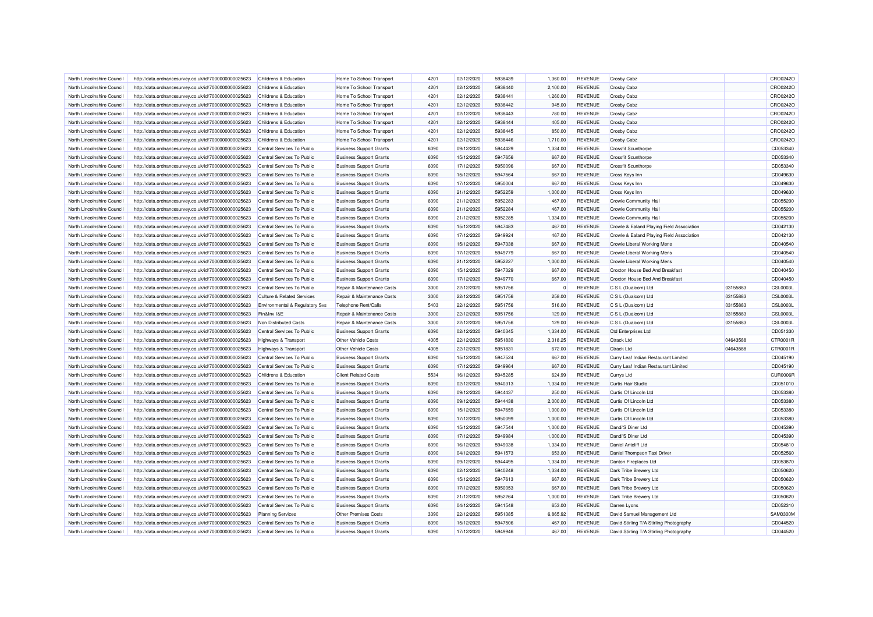| North Lincolnshire Council                               | http://data.ordnancesurvey.co.uk/id/7000000000025623                                                         | Childrens & Education                                    | Home To School Transport                                         | 4201         | 02/12/2020               | 5938439            | 1.360.00           | <b>REVENUE</b> | Crosby Cabz                                                    |          | CRO0242O             |
|----------------------------------------------------------|--------------------------------------------------------------------------------------------------------------|----------------------------------------------------------|------------------------------------------------------------------|--------------|--------------------------|--------------------|--------------------|----------------|----------------------------------------------------------------|----------|----------------------|
| North Lincolnshire Council                               | http://data.ordnancesurvey.co.uk/id/7000000000025623                                                         | Childrens & Education                                    | Home To School Transport                                         | 4201         | 02/12/2020               | 5938440            | 2,100.00           | <b>REVENUE</b> | <b>Crosby Cabz</b>                                             |          | CRO0242O             |
| North Lincolnshire Council                               | http://data.ordnancesurvey.co.uk/id/7000000000025623                                                         | Childrens & Education                                    | Home To School Transport                                         | 4201         | 02/12/2020               | 5938441            | 1,260.00           | <b>REVENUE</b> | <b>Crosby Cabz</b>                                             |          | CRO0242O             |
| North Lincolnshire Council                               | http://data.ordnancesurvey.co.uk/id/7000000000025623                                                         | Childrens & Education                                    | Home To School Transport                                         | 4201         | 02/12/2020               | 5938442            | 945.00             | <b>REVENUE</b> | Crosby Cabz                                                    |          | CRO0242C             |
| North Lincolnshire Council                               | http://data.ordnancesurvey.co.uk/id/7000000000025623                                                         | Childrens & Education                                    | Home To School Transport                                         | 4201         | 02/12/2020               | 5938443            | 780.00             | <b>REVENUE</b> | <b>Crosby Cabz</b>                                             |          | CRO02420             |
| North Lincolnshire Council                               | http://data.ordnancesurvey.co.uk/id/7000000000025623                                                         | Childrens & Education                                    | Home To School Transport                                         | 4201         | 02/12/2020               | 5938444            | 405.00             | <b>REVENUE</b> | <b>Crosby Cabz</b>                                             |          | CRO0242C             |
| North Lincolnshire Council                               | http://data.ordnancesurvey.co.uk/id/7000000000025623                                                         | Childrens & Education                                    | Home To School Transport                                         | 4201         | 02/12/2020               | 5938445            | 850.00             | <b>REVENUE</b> | <b>Crosby Cabz</b>                                             |          | CRO0242C             |
| North Lincolnshire Council                               | http://data.ordnancesurvey.co.uk/id/7000000000025623                                                         | Childrens & Education                                    | Home To School Transport                                         | 4201         | 02/12/2020               | 5938446            | 1,710.00           | <b>REVENUE</b> | <b>Crosby Cabz</b>                                             |          | CRO0242C             |
| North Lincolnshire Council                               | http://data.ordnancesurvey.co.uk/id/7000000000025623                                                         | Central Services To Public                               | <b>Business Support Grants</b>                                   | 6090         | 09/12/2020               | 5944429            | 1,334.00           | <b>REVENUE</b> | <b>Crossfit Scunthorpe</b>                                     |          | CD053340             |
| North Lincolnshire Council                               | http://data.ordnancesurvey.co.uk/id/7000000000025623                                                         | Central Services To Public                               | <b>Business Support Grants</b>                                   | 6090         | 15/12/2020               | 5947656            | 667.00             | <b>REVENUE</b> | Crossfit Scunthorpe                                            |          | CD053340             |
| North Lincolnshire Council                               | http://data.ordnancesurvey.co.uk/id/7000000000025623                                                         | Central Services To Public                               | <b>Business Support Grants</b>                                   | 6090         | 17/12/2020               | 5950096            | 667.00             | <b>REVENUE</b> | <b>Crossfit Scunthorpe</b>                                     |          | CD053340             |
| North Lincolnshire Council                               | http://data.ordnancesurvey.co.uk/id/7000000000025623                                                         | Central Services To Public                               | <b>Business Support Grants</b>                                   | 6090         | 15/12/2020               | 5947564            | 667.00             | <b>REVENUE</b> | Cross Keys Inn                                                 |          | CD049630             |
| North Lincolnshire Council                               | http://data.ordnancesurvey.co.uk/id/7000000000025623                                                         | Central Services To Public                               | <b>Business Support Grants</b>                                   | 6090         | 17/12/2020               | 5950004            | 667.00             | <b>REVENUE</b> | Cross Keys Inn                                                 |          | CD049630             |
| North Lincolnshire Council                               | http://data.ordnancesurvey.co.uk/id/7000000000025623                                                         | Central Services To Public                               | <b>Business Support Grants</b>                                   | 6090         | 21/12/2020               | 5952259            | 1,000.00           | <b>REVENUE</b> | Cross Keys Inn                                                 |          | CD049630             |
| North Lincolnshire Council                               | http://data.ordnancesurvey.co.uk/id/7000000000025623                                                         | Central Services To Public                               | <b>Business Support Grants</b>                                   | 6090         | 21/12/2020               | 5952283            | 467.00             | <b>REVENUE</b> | <b>Crowle Community Hall</b>                                   |          | CD055200             |
| North Lincolnshire Council                               | http://data.ordnancesurvey.co.uk/id/7000000000025623                                                         | Central Services To Public                               | <b>Business Support Grants</b>                                   | 6090         | 21/12/2020               | 5952284            | 467.00             | <b>REVENUE</b> | <b>Crowle Community Hall</b>                                   |          | CD055200             |
| North Lincolnshire Council                               | http://data.ordnancesurvey.co.uk/id/7000000000025623                                                         | Central Services To Public                               | <b>Business Support Grants</b>                                   | 6090         | 21/12/2020               | 5952285            | 1,334.00           | <b>REVENUE</b> | <b>Crowle Community Hall</b>                                   |          | CD055200             |
| North Lincolnshire Council                               | http://data.ordnancesurvey.co.uk/id/7000000000025623                                                         | Central Services To Public                               | <b>Business Support Grants</b>                                   | 6090         | 15/12/2020               | 5947483            | 467.00             | <b>REVENUE</b> | Crowle & Ealand Playing Field Association                      |          | CD042130             |
| North Lincolnshire Council                               | http://data.ordnancesurvey.co.uk/id/7000000000025623                                                         | Central Services To Public                               | <b>Business Support Grants</b>                                   | 6090         | 17/12/2020               | 5949924            | 467.00             | <b>REVENUE</b> | Crowle & Ealand Playing Field Association                      |          | CD042130             |
| North Lincolnshire Council                               |                                                                                                              | Central Services To Public                               |                                                                  | 6090         | 15/12/2020               | 5947338            | 667.00             | <b>REVENUE</b> |                                                                |          | CD040540             |
| North Lincolnshire Council                               | http://data.ordnancesurvey.co.uk/id/7000000000025623<br>http://data.ordnancesurvey.co.uk/id/7000000000025623 | Central Services To Public                               | <b>Business Support Grants</b><br><b>Business Support Grants</b> | 6090         | 17/12/2020               | 5949779            | 667.00             | <b>REVENUE</b> | Crowle Liberal Working Mens<br>Crowle Liberal Working Mens     |          | CD040540             |
|                                                          |                                                                                                              |                                                          |                                                                  |              |                          |                    |                    | <b>REVENUE</b> |                                                                |          |                      |
| North Lincolnshire Council<br>North Lincolnshire Council | http://data.ordnancesurvey.co.uk/id/7000000000025623                                                         | Central Services To Public<br>Central Services To Public | <b>Business Support Grants</b>                                   | 6090<br>6090 | 21/12/2020<br>15/12/2020 | 5952227<br>5947329 | 1,000.00<br>667.00 | <b>REVENUE</b> | Crowle Liberal Working Mens<br>Croxton House Bed And Breakfast |          | CD040540<br>CD040450 |
|                                                          | http://data.ordnancesurvey.co.uk/id/7000000000025623                                                         |                                                          | <b>Business Support Grants</b>                                   |              |                          |                    |                    |                |                                                                |          |                      |
| North Lincolnshire Council                               | http://data.ordnancesurvey.co.uk/id/7000000000025623                                                         | Central Services To Public                               | <b>Business Support Grants</b>                                   | 6090         | 17/12/2020               | 5949770            | 667.00             | <b>REVENUE</b> | Croxton House Bed And Breakfast                                |          | CD040450             |
| North Lincolnshire Council                               | http://data.ordnancesurvey.co.uk/id/7000000000025623                                                         | Central Services To Public                               | Repair & Maintenance Costs                                       | 3000         | 22/12/2020               | 5951756            | $\Omega$           | <b>REVENUE</b> | C S L (Dualcom) Ltd                                            | 03155883 | <b>CSL0003L</b>      |
| North Lincolnshire Council                               | http://data.ordnancesurvey.co.uk/id/7000000000025623                                                         | <b>Culture &amp; Related Services</b>                    | Repair & Maintenance Costs                                       | 3000         | 22/12/2020               | 5951756            | 258.00             | <b>REVENUE</b> | C S L (Dualcom) Ltd                                            | 03155883 | <b>CSL0003L</b>      |
| North Lincolnshire Council                               | http://data.ordnancesurvey.co.uk/id/7000000000025623                                                         | Environmental & Regulatory Svs                           | Telephone Rent/Calls                                             | 5403         | 22/12/2020               | 5951756            | 516.00             | <b>REVENUE</b> | C S L (Dualcom) Ltd                                            | 03155883 | <b>CSL0003L</b>      |
| North Lincolnshire Council                               | http://data.ordnancesurvey.co.uk/id/7000000000025623                                                         | Fin&Inv I&E                                              | Repair & Maintenance Costs                                       | 3000         | 22/12/2020               | 5951756            | 129.00             | <b>REVENUE</b> | C S L (Dualcom) Ltd                                            | 03155883 | <b>CSL0003L</b>      |
| North Lincolnshire Council                               | http://data.ordnancesurvey.co.uk/id/7000000000025623                                                         | Non Distributed Costs                                    | Repair & Maintenance Costs                                       | 3000         | 22/12/2020               | 5951756            | 129.00             | <b>REVENUE</b> | C S L (Dualcom) Ltd                                            | 03155883 | <b>CSL0003L</b>      |
| North Lincolnshire Council                               | http://data.ordnancesurvey.co.uk/id/7000000000025623                                                         | Central Services To Public                               | <b>Business Support Grants</b>                                   | 6090         | 02/12/2020               | 5940345            | 1,334.00           | <b>REVENUE</b> | <b>Ctd Enterprises Ltd</b>                                     |          | CD051330             |
| North Lincolnshire Council                               | http://data.ordnancesurvey.co.uk/id/7000000000025623                                                         | Highways & Transport                                     | Other Vehicle Costs                                              | 4005         | 22/12/2020               | 5951830            | 2,318.25           | <b>REVENUE</b> | Ctrack I to                                                    | 04643588 | CTR0001R             |
| North Lincolnshire Council                               | http://data.ordnancesurvey.co.uk/id/7000000000025623                                                         | Highways & Transport                                     | Other Vehicle Costs                                              | 4005         | 22/12/2020               | 5951831            | 672.00             | <b>REVENUE</b> | <b>Ctrack Ltd</b>                                              | 04643588 | CTR0001F             |
| North Lincolnshire Council                               | http://data.ordnancesurvey.co.uk/id/7000000000025623                                                         | Central Services To Public                               | <b>Business Support Grants</b>                                   | 6090         | 15/12/2020               | 5947524            | 667.00             | <b>REVENUE</b> | Curry Leaf Indian Restaurant Limited                           |          | CD045190             |
| North Lincolnshire Council                               | http://data.ordnancesurvey.co.uk/id/7000000000025623                                                         | Central Services To Public                               | <b>Business Support Grants</b>                                   | 6090         | 17/12/2020               | 5949964            | 667.00             | <b>REVENUE</b> | Curry Leaf Indian Restaurant Limited                           |          | CD045190             |
| North Lincolnshire Council                               | http://data.ordnancesurvey.co.uk/id/7000000000025623                                                         | Childrens & Education                                    | <b>Client Related Costs</b>                                      | 5534         | 16/12/2020               | 5945285            | 624.99             | <b>REVENUE</b> | <b>Currys Ltd</b>                                              |          | CUR0006F             |
| North Lincolnshire Council                               | http://data.ordnancesurvey.co.uk/id/7000000000025623                                                         | Central Services To Public                               | <b>Business Support Grants</b>                                   | 6090         | 02/12/2020               | 5940313            | 1,334.00           | <b>REVENUE</b> | Curtis Hair Studio                                             |          | CD051010             |
| North Lincolnshire Council                               | http://data.ordnancesurvey.co.uk/id/7000000000025623                                                         | Central Services To Public                               | <b>Business Support Grants</b>                                   | 6090         | 09/12/2020               | 5944437            | 250.00             | <b>REVENUE</b> | Curtis Of Lincoln Ltd                                          |          | CD053380             |
| North Lincolnshire Council                               | http://data.ordnancesurvey.co.uk/id/7000000000025623                                                         | Central Services To Public                               | <b>Business Support Grants</b>                                   | 6090         | 09/12/2020               | 5944438            | 2,000.00           | <b>REVENUE</b> | Curtis Of Lincoln Ltd                                          |          | CD053380             |
| North Lincolnshire Council                               | http://data.ordnancesurvey.co.uk/id/7000000000025623                                                         | Central Services To Public                               | <b>Business Support Grants</b>                                   | 6090         | 15/12/2020               | 5947659            | 1,000.00           | <b>REVENUE</b> | Curtis Of Lincoln Ltd                                          |          | CD053380             |
| North Lincolnshire Council                               | http://data.ordnancesurvey.co.uk/id/7000000000025623                                                         | Central Services To Public                               | <b>Business Support Grants</b>                                   | 6090         | 17/12/2020               | 5950099            | 1,000.00           | <b>REVENUE</b> | Curtis Of Lincoln Ltd                                          |          | CD053380             |
| North Lincolnshire Council                               | http://data.ordnancesurvey.co.uk/id/7000000000025623                                                         | Central Services To Public                               | <b>Business Support Grants</b>                                   | 6090         | 15/12/2020               | 5947544            | 1,000.00           | <b>REVENUE</b> | Dandi'S Diner Ltd                                              |          | CD045390             |
| North Lincolnshire Council                               | http://data.ordnancesurvey.co.uk/id/7000000000025623                                                         | Central Services To Public                               | <b>Business Support Grants</b>                                   | 6090         | 17/12/2020               | 5949984            | 1,000.00           | <b>REVENUE</b> | Dandi'S Diner Ltd                                              |          | CD045390             |
| North Lincolnshire Council                               | http://data.ordnancesurvey.co.uk/id/7000000000025623                                                         | Central Services To Public                               | <b>Business Support Grants</b>                                   | 6090         | 16/12/2020               | 5949038            | 1,334.00           | <b>REVENUE</b> | Daniel Antcliff Ltd                                            |          | CD054810             |
| North Lincolnshire Council                               | http://data.ordnancesurvey.co.uk/id/7000000000025623                                                         | Central Services To Public                               | <b>Business Support Grants</b>                                   | 6090         | 04/12/2020               | 5941573            | 653.00             | <b>REVENUE</b> | Daniel Thompson Taxi Driver                                    |          | CD052560             |
| North Lincolnshire Council                               | http://data.ordnancesurvey.co.uk/id/7000000000025623                                                         | Central Services To Public                               | <b>Business Support Grants</b>                                   | 6090         | 09/12/2020               | 5944495            | 1,334.00           | <b>REVENUE</b> | <b>Danton Fireplaces Ltd</b>                                   |          | CD053870             |
| North Lincolnshire Council                               | http://data.ordnancesurvey.co.uk/id/7000000000025623                                                         | Central Services To Public                               | <b>Business Support Grants</b>                                   | 6090         | 02/12/2020               | 5940248            | 1,334.00           | <b>REVENUE</b> | Dark Tribe Brewery Ltd                                         |          | CD050620             |
| North Lincolnshire Council                               | http://data.ordnancesurvey.co.uk/id/7000000000025623                                                         | Central Services To Public                               | <b>Business Support Grants</b>                                   | 6090         | 15/12/2020               | 5947613            | 667.00             | <b>REVENUE</b> | Dark Tribe Brewery Ltd                                         |          | CD050620             |
| North Lincolnshire Council                               | http://data.ordnancesurvey.co.uk/id/7000000000025623                                                         | Central Services To Public                               | <b>Business Support Grants</b>                                   | 6090         | 17/12/2020               | 5950053            | 667.00             | <b>REVENUE</b> | Dark Tribe Brewery Ltd                                         |          | CD050620             |
| North Lincolnshire Council                               | http://data.ordnancesurvey.co.uk/id/7000000000025623                                                         | Central Services To Public                               | <b>Business Support Grants</b>                                   | 6090         | 21/12/2020               | 5952264            | 1,000.00           | <b>REVENUE</b> | Dark Tribe Brewery Ltd                                         |          | CD050620             |
| North Lincolnshire Council                               | http://data.ordnancesurvey.co.uk/id/7000000000025623                                                         | Central Services To Public                               | <b>Business Support Grants</b>                                   | 6090         | 04/12/2020               | 5941548            | 653.00             | <b>REVENUE</b> | Darren Lyons                                                   |          | CD052310             |
| North Lincolnshire Council                               | http://data.ordnancesurvey.co.uk/id/7000000000025623                                                         | <b>Planning Services</b>                                 | Other Premises Costs                                             | 3390         | 22/12/2020               | 5951385            | 6,865.92           | <b>REVENUE</b> | David Samuel Management Ltd                                    |          | <b>SAM0300M</b>      |
| North Lincolnshire Council                               | http://data.ordnancesurvey.co.uk/id/7000000000025623                                                         | Central Services To Public                               | <b>Business Support Grants</b>                                   | 6090         | 15/12/2020               | 5947506            | 467.00             | <b>REVENUE</b> | David Stirling T/A Stirling Photography                        |          | CD044520             |
| North Lincolnshire Council                               | http://data.ordnancesurvey.co.uk/id/7000000000025623                                                         | Central Services To Public                               | <b>Business Support Grants</b>                                   | 6090         | 17/12/2020               | 5949946            | 467.00             | <b>REVENUE</b> | David Stirling T/A Stirling Photography                        |          | CD044520             |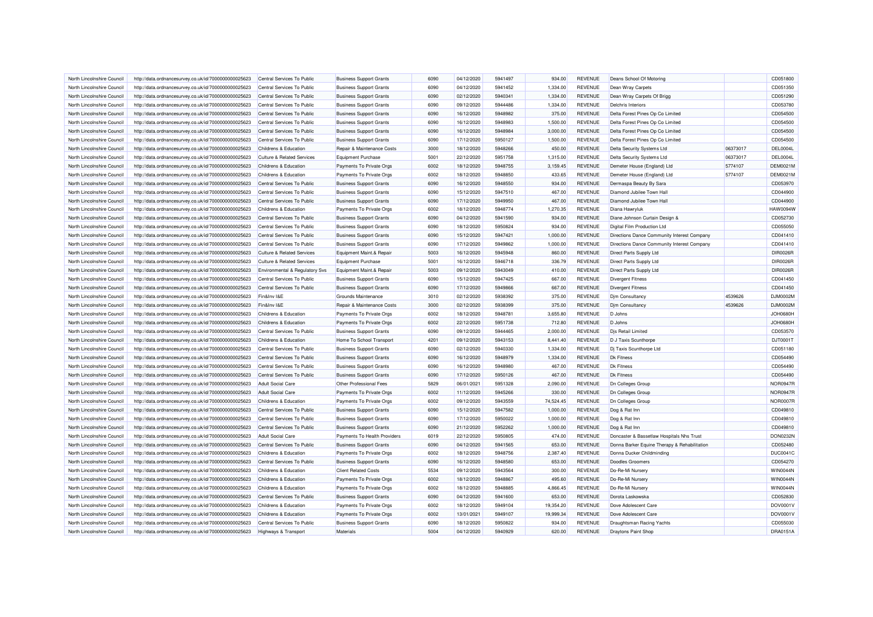| North Lincolnshire Council | http://data.ordnancesurvey.co.uk/id/7000000000025623 | Central Services To Public                | <b>Business Support Grants</b>              | 6090 | 04/12/2020               | 5941497            | 934.00           | <b>REVENUE</b> | Deans School Of Motoring                     |          | CD051800        |
|----------------------------|------------------------------------------------------|-------------------------------------------|---------------------------------------------|------|--------------------------|--------------------|------------------|----------------|----------------------------------------------|----------|-----------------|
| North Lincolnshire Council | http://data.ordnancesurvey.co.uk/id/7000000000025623 | Central Services To Public                | <b>Business Support Grants</b>              | 6090 | 04/12/2020               | 5941452            | 1,334.00         | <b>REVENUE</b> | Dean Wray Carpets                            |          | CD051350        |
| North Lincolnshire Council | http://data.ordnancesurvey.co.uk/id/7000000000025623 | Central Services To Public                | <b>Business Support Grants</b>              | 6090 | 02/12/2020               | 5940341            | 1,334.00         | <b>REVENUE</b> | Dean Wray Carpets Of Brigg                   |          | CD051290        |
| North Lincolnshire Council | http://data.ordnancesurvey.co.uk/id/7000000000025623 | Central Services To Public                | <b>Business Support Grants</b>              | 6090 | 09/12/2020               | 5944486            | 1,334.00         | <b>REVENUE</b> | Delchris Interiors                           |          | CD053780        |
| North Lincolnshire Council | http://data.ordnancesurvey.co.uk/id/7000000000025623 | Central Services To Public                | <b>Business Support Grants</b>              | 6090 | 16/12/2020               | 5948982            | 375.00           | <b>REVENUE</b> | Delta Forest Pines Op Co Limited             |          | CD054500        |
| North Lincolnshire Council | http://data.ordnancesurvey.co.uk/id/7000000000025623 | Central Services To Public                | <b>Business Support Grants</b>              | 6090 | 16/12/2020               | 5948983            | 1,500.00         | <b>REVENUE</b> | Delta Forest Pines Op Co Limited             |          | CD054500        |
| North Lincolnshire Council | http://data.ordnancesurvey.co.uk/id/7000000000025623 | Central Services To Public                | <b>Business Support Grants</b>              | 6090 | 16/12/2020               | 5948984            | 3,000.00         | <b>REVENUE</b> | Delta Forest Pines Op Co Limited             |          | CD054500        |
| North Lincolnshire Council | http://data.ordnancesurvey.co.uk/id/7000000000025623 | Central Services To Public                | <b>Business Support Grants</b>              | 6090 | 17/12/2020               | 5950127            | 1,500.00         | <b>REVENUE</b> | Delta Forest Pines Op Co Limited             |          | CD054500        |
| North Lincolnshire Council | http://data.ordnancesurvey.co.uk/id/7000000000025623 | Childrens & Education                     | Repair & Maintenance Costs                  | 3000 | 18/12/2020               | 5948266            | 450.00           | <b>REVENUE</b> | Delta Security Systems Ltd                   | 06373017 | <b>DEL0004L</b> |
| North Lincolnshire Council | http://data.ordnancesurvey.co.uk/id/7000000000025623 | <b>Culture &amp; Related Services</b>     | <b>Equipment Purchase</b>                   | 5001 | 22/12/2020               | 5951758            | 1,315.00         | <b>REVENUE</b> | Delta Security Systems Ltd                   | 06373017 | <b>DEL0004L</b> |
| North Lincolnshire Council | http://data.ordnancesurvey.co.uk/id/7000000000025623 | Childrens & Education                     | Payments To Private Orgs                    | 6002 | 18/12/2020               | 5948755            | 3,159.45         | <b>REVENUE</b> | Demeter House (England) Ltd                  | 5774107  | <b>DEM0021M</b> |
| North Lincolnshire Council | http://data.ordnancesurvey.co.uk/id/7000000000025623 | Childrens & Education                     | Payments To Private Orgs                    | 6002 | 18/12/2020               | 5948850            | 433.65           | <b>REVENUE</b> | Demeter House (England) Ltd                  | 5774107  | <b>DEM0021M</b> |
| North Lincolnshire Council | http://data.ordnancesurvey.co.uk/id/7000000000025623 | Central Services To Public                | <b>Business Support Grants</b>              | 6090 | 16/12/2020               | 5948550            | 934.00           | REVENUE        | Dermaspa Beauty By Sara                      |          | CD053970        |
| North Lincolnshire Council | http://data.ordnancesurvey.co.uk/id/7000000000025623 | Central Services To Public                | <b>Business Support Grants</b>              | 6090 | 15/12/2020               | 5947510            | 467.00           | <b>REVENUE</b> | Diamond Jubilee Town Hall                    |          | CD044900        |
| North Lincolnshire Council | http://data.ordnancesurvey.co.uk/id/7000000000025623 | Central Services To Public                | <b>Business Support Grants</b>              | 6090 | 17/12/2020               | 5949950            | 467.00           | <b>REVENUE</b> | Diamond Jubilee Town Hall                    |          | CD044900        |
| North Lincolnshire Council | http://data.ordnancesurvey.co.uk/id/7000000000025623 | Childrens & Education                     | Payments To Private Orgs                    | 6002 | 18/12/2020               | 5948774            | 1,270.35         | <b>REVENUE</b> | Diana Hawryluk                               |          | <b>HAW0094W</b> |
| North Lincolnshire Council | http://data.ordnancesurvey.co.uk/id/7000000000025623 | Central Services To Public                | <b>Business Support Grants</b>              | 6090 | 04/12/2020               | 5941590            | 934.00           | <b>REVENUE</b> | Diane Johnson Curtain Design &               |          | CD052730        |
| North Lincolnshire Council |                                                      | Central Services To Public                |                                             | 6090 | 18/12/2020               | 5950824            | 934.00           | <b>REVENUE</b> | Digital Film Production Ltd                  |          | CD055050        |
|                            | http://data.ordnancesurvey.co.uk/id/7000000000025623 |                                           | <b>Business Support Grants</b>              |      |                          |                    |                  |                |                                              |          |                 |
| North Lincolnshire Council | http://data.ordnancesurvey.co.uk/id/7000000000025623 | Central Services To Public                | <b>Business Support Grants</b>              | 6090 | 15/12/2020               | 5947421            | 1,000.00         | <b>REVENUE</b> | Directions Dance Community Interest Company  |          | CD041410        |
| North Lincolnshire Council | http://data.ordnancesurvey.co.uk/id/7000000000025623 | Central Services To Public                | <b>Business Support Grants</b>              | 6090 | 17/12/2020               | 5949862            | 1,000.00         | <b>REVENUE</b> | Directions Dance Community Interest Company  |          | CD041410        |
| North Lincolnshire Council | http://data.ordnancesurvey.co.uk/id/7000000000025623 | <b>Culture &amp; Related Services</b>     | Equipment Maint.& Repair                    | 5003 | 16/12/2020               | 5945948            | 860.00           | <b>REVENUE</b> | Direct Parts Supply Ltd                      |          | DIR0026R        |
| North Lincolnshire Council | http://data.ordnancesurvey.co.uk/id/7000000000025623 | <b>Culture &amp; Related Services</b>     | Equipment Purchase                          | 5001 | 16/12/2020               | 5946718            | 336.79           | <b>REVENUE</b> | Direct Parts Supply Ltd                      |          | <b>DIR0026R</b> |
| North Lincolnshire Council | http://data.ordnancesurvey.co.uk/id/7000000000025623 | <b>Environmental &amp; Regulatory Svs</b> | Equipment Maint.& Repair                    | 5003 | 09/12/2020               | 5943049            | 410.00           | <b>REVENUE</b> | Direct Parts Supply Ltd                      |          | DIR0026R        |
| North Lincolnshire Council | http://data.ordnancesurvey.co.uk/id/7000000000025623 | Central Services To Public                | <b>Business Support Grants</b>              | 6090 | 15/12/2020               | 5947425            | 667.00           | <b>REVENUE</b> | <b>Divergent Fitness</b>                     |          | CD041450        |
| North Lincolnshire Council | http://data.ordnancesurvey.co.uk/id/7000000000025623 | Central Services To Public                | <b>Business Support Grants</b>              | 6090 | 17/12/2020               | 5949866            | 667.00           | <b>REVENUE</b> | <b>Divergent Fitness</b>                     |          | CD041450        |
| North Lincolnshire Council | http://data.ordnancesurvey.co.uk/id/7000000000025623 | Fin&Inv I&E                               | Grounds Maintenance                         | 3010 | 02/12/2020               | 5938392            | 375.00           | <b>REVENUE</b> | Dim Consultancy                              | 4539626  | DJM0002M        |
| North Lincolnshire Council | http://data.ordnancesurvey.co.uk/id/7000000000025623 | Fin&Inv I&E                               | Repair & Maintenance Costs                  | 3000 | 02/12/2020               | 5938399            | 375.00           | <b>REVENUE</b> | <b>Dim Consultancy</b>                       | 4539626  | DJM0002M        |
| North Lincolnshire Council | http://data.ordnancesurvey.co.uk/id/7000000000025623 | Childrens & Education                     | Payments To Private Orgs                    | 6002 | 18/12/2020               | 5948781            | 3.655.80         | <b>REVENUE</b> | D Johns                                      |          | <b>JOH0680H</b> |
| North Lincolnshire Council | http://data.ordnancesurvey.co.uk/id/7000000000025623 | Childrens & Education                     | Payments To Private Orgs                    | 6002 | 22/12/2020               | 5951738            | 712.80           | <b>REVENUE</b> | D Johns                                      |          | <b>JOH0680H</b> |
| North Lincolnshire Council | http://data.ordnancesurvey.co.uk/id/7000000000025623 | Central Services To Public                | <b>Business Support Grants</b>              | 6090 | 09/12/2020               | 5944465            | 2,000.00         | <b>REVENUE</b> | <b>Dis Retail Limited</b>                    |          | CD053570        |
| North Lincolnshire Council | http://data.ordnancesurvey.co.uk/id/7000000000025623 | Childrens & Education                     | Home To School Transport                    | 4201 | 09/12/2020               | 5943153            | 8,441.40         | <b>REVENUE</b> | D J Taxis Scunthorpe                         |          | DJT00011        |
| North Lincolnshire Council | http://data.ordnancesurvey.co.uk/id/7000000000025623 | Central Services To Public                | <b>Business Support Grants</b>              | 6090 | 02/12/2020               | 5940330            | 1,334.00         | <b>REVENUE</b> | Dj Taxis Scunthorpe Ltd                      |          | CD051180        |
| North Lincolnshire Council | http://data.ordnancesurvey.co.uk/id/7000000000025623 | Central Services To Public                | <b>Business Support Grants</b>              | 6090 | 16/12/2020               | 5948979            | 1,334.00         | <b>REVENUE</b> | Dk Fitness                                   |          | CD054490        |
| North Lincolnshire Council | http://data.ordnancesurvey.co.uk/id/7000000000025623 | Central Services To Public                | <b>Business Support Grants</b>              | 6090 | 16/12/2020               | 5948980            | 467.00           | <b>REVENUE</b> | <b>Dk Fitness</b>                            |          | CD054490        |
| North Lincolnshire Council | http://data.ordnancesurvey.co.uk/id/7000000000025623 | Central Services To Public                | <b>Business Support Grants</b>              | 6090 | 17/12/2020               | 5950126            | 467.00           | <b>REVENUE</b> | <b>Dk Fitness</b>                            |          | CD054490        |
| North Lincolnshire Council | http://data.ordnancesurvey.co.uk/id/7000000000025623 | <b>Adult Social Care</b>                  | Other Professional Fees                     | 5829 | 06/01/2021               | 5951328            | 2,090.00         | <b>REVENUE</b> | Dn Colleges Group                            |          | <b>NOR0947R</b> |
| North Lincolnshire Council | http://data.ordnancesurvey.co.uk/id/7000000000025623 | <b>Adult Social Care</b>                  | Payments To Private Orgs                    | 6002 | 11/12/2020               | 5945266            | 330.00           | <b>REVENUE</b> | Dn Colleges Group                            |          | <b>NOR0947R</b> |
| North Lincolnshire Council | http://data.ordnancesurvey.co.uk/id/7000000000025623 | Childrens & Education                     | Payments To Private Orgs                    | 6002 | 09/12/2020               | 5943559            | 74,524.45        | <b>REVENUE</b> | <b>Dn Colleges Group</b>                     |          | <b>NOR0007R</b> |
| North Lincolnshire Council | http://data.ordnancesurvey.co.uk/id/7000000000025623 | Central Services To Public                | <b>Business Support Grants</b>              | 6090 | 15/12/2020               | 5947582            | 1,000.00         | <b>REVENUE</b> | Dog & Rat Inn                                |          | CD049810        |
| North Lincolnshire Council | http://data.ordnancesurvey.co.uk/id/7000000000025623 | Central Services To Public                | <b>Business Support Grants</b>              | 6090 | 17/12/2020               | 5950022            | 1,000.00         | <b>REVENUE</b> | Dog & Rat Inn                                |          | CD049810        |
| North Lincolnshire Council | http://data.ordnancesurvey.co.uk/id/7000000000025623 | Central Services To Public                | <b>Business Support Grants</b>              | 6090 | 21/12/2020               | 5952262            | 1,000.00         | <b>REVENUE</b> | Dog & Rat Inn                                |          | CD049810        |
| North Lincolnshire Council | http://data.ordnancesurvey.co.uk/id/7000000000025623 | Adult Social Care                         | Payments To Health Providers                | 6019 | 22/12/2020               | 5950805            | 474.00           | <b>REVENUE</b> | Doncaster & Bassetlaw Hospitals Nhs Trust    |          | <b>DON0232N</b> |
| North Lincolnshire Council | http://data.ordnancesurvey.co.uk/id/7000000000025623 | Central Services To Public                | <b>Business Support Grants</b>              | 6090 | 04/12/2020               | 5941565            | 653.00           | <b>REVENUE</b> | Donna Barker Equine Therapy & Rehabilitation |          | CD052480        |
| North Lincolnshire Council | http://data.ordnancesurvey.co.uk/id/7000000000025623 | Childrens & Education                     | Payments To Private Orgs                    | 6002 | 18/12/2020               | 5948756            | 2,387.40         | <b>REVENUE</b> | Donna Ducker Childminding                    |          | <b>DUC0041C</b> |
| North Lincolnshire Council | http://data.ordnancesurvey.co.uk/id/7000000000025623 | Central Services To Public                | <b>Business Support Grants</b>              | 6090 | 16/12/2020               | 5948580            | 653.00           | <b>REVENUE</b> | <b>Doodles Groomers</b>                      |          | CD054270        |
| North Lincolnshire Council | http://data.ordnancesurvey.co.uk/id/7000000000025623 | <b>Childrens &amp; Education</b>          | <b>Client Related Costs</b>                 | 5534 | 09/12/2020               | 5943564            | 300.00           | <b>REVENUE</b> | Do-Re-Mi Nursery                             |          | <b>WIN0044N</b> |
| North Lincolnshire Council | http://data.ordnancesurvey.co.uk/id/7000000000025623 | Childrens & Education                     | Payments To Private Orgs                    | 6002 | 18/12/2020               | 5948867            | 495.60           | <b>REVENUE</b> | Do-Re-Mi Nursery                             |          | <b>WIN0044N</b> |
| North Lincolnshire Council | http://data.ordnancesurvey.co.uk/id/7000000000025623 | <b>Childrens &amp; Education</b>          | Payments To Private Orgs                    | 6002 | 18/12/2020               | 5948885            | 4,866.45         | <b>REVENUE</b> | Do-Re-Mi Nursery                             |          | <b>WIN0044N</b> |
| North Lincolnshire Council | http://data.ordnancesurvey.co.uk/id/7000000000025623 | Central Services To Public                | <b>Business Support Grants</b>              | 6090 | 04/12/2020               | 5941600            | 653.00           | <b>REVENUE</b> | Dorota Laskowska                             |          | CD052830        |
| North Lincolnshire Council | http://data.ordnancesurvey.co.uk/id/7000000000025623 | Childrens & Education                     | Payments To Private Orgs                    | 6002 | 18/12/2020               | 5949104            | 19,354.20        | <b>REVENUE</b> | Dove Adolescent Care                         |          | DOV0001\        |
|                            |                                                      |                                           | Payments To Private Orgs                    | 6002 |                          |                    | 19,999.34        | <b>REVENUE</b> |                                              |          | DOV0001V        |
| North Lincolnshire Council | http://data.ordnancesurvey.co.uk/id/7000000000025623 | Childrens & Education                     |                                             | 6090 | 13/01/2021               | 5949107<br>5950822 |                  |                | Dove Adolescent Care                         |          | CD055030        |
| North Lincolnshire Council | http://data.ordnancesurvey.co.uk/id/7000000000025623 | Central Services To Public                | <b>Business Support Grants</b><br>Materials | 5004 | 18/12/2020<br>04/12/2020 | 5940929            | 934.00<br>620.00 | REVENUE        | Draughtsman Racing Yachts                    |          | <b>DRA0151A</b> |
| North Lincolnshire Council | http://data.ordnancesurvey.co.uk/id/7000000000025623 | <b>Highways &amp; Transport</b>           |                                             |      |                          |                    |                  | <b>REVENUE</b> | <b>Draytons Paint Shop</b>                   |          |                 |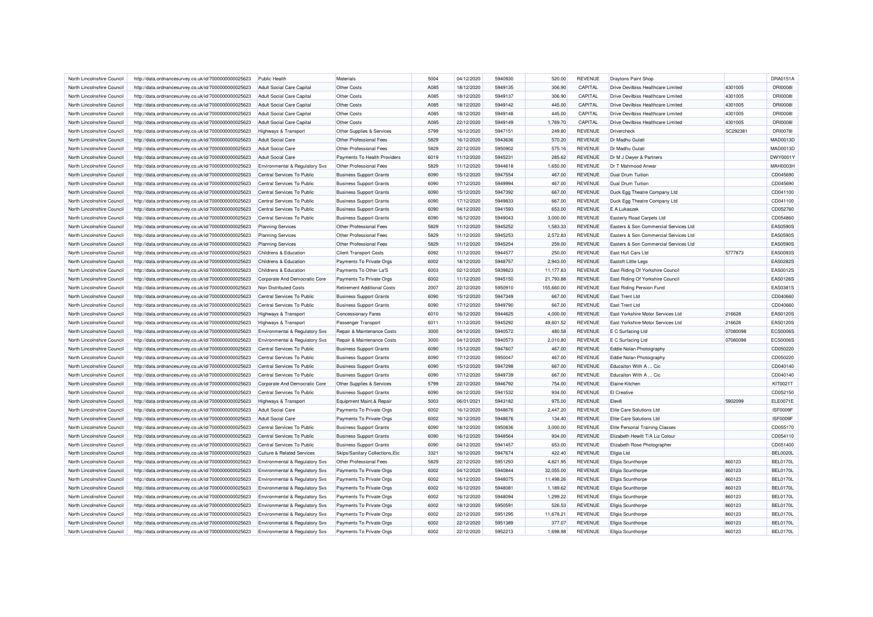| North Lincolnshire Council | http://data.ordnancesurvey.co.uk/id/7000000000025623 | Public Health                                     | Materials                          | 5004 | 04/12/2020 | 5940930 | 520.00     | <b>REVENUE</b> | <b>Draytons Paint Shop</b>                |          | <b>DRA0151A</b>             |
|----------------------------|------------------------------------------------------|---------------------------------------------------|------------------------------------|------|------------|---------|------------|----------------|-------------------------------------------|----------|-----------------------------|
| North Lincolnshire Council | http://data.ordnancesurvey.co.uk/id/7000000000025623 | <b>Adult Social Care Capital</b>                  | Other Costs                        | A085 | 18/12/2020 | 5949135 | 306.90     | CAPITAL        | <b>Drive Devilbiss Healthcare Limited</b> | 4301005  | <b>DRI0008I</b>             |
| North Lincolnshire Council | http://data.ordnancesurvey.co.uk/id/7000000000025623 | Adult Social Care Capital                         | Other Costs                        | A085 | 18/12/2020 | 5949137 | 306.90     | CAPITAL        | Drive Devilbiss Healthcare Limited        | 4301005  | <b>DRI0008I</b>             |
| North Lincolnshire Council | http://data.ordnancesurvey.co.uk/id/7000000000025623 | <b>Adult Social Care Capital</b>                  | Other Costs                        | A085 | 18/12/2020 | 5949142 | 445.00     | CAPITAL        | <b>Drive Devilbiss Healthcare Limited</b> | 4301005  | <b>DRI0008I</b>             |
| North Lincolnshire Council | http://data.ordnancesurvey.co.uk/id/7000000000025623 | Adult Social Care Capital                         | Other Costs                        | A085 | 18/12/2020 | 5949148 | 445.00     | CAPITAL        | Drive Devilbiss Healthcare Limited        | 4301005  | <b>DRI0008I</b>             |
| North Lincolnshire Council | http://data.ordnancesurvey.co.uk/id/7000000000025623 | <b>Adult Social Care Capital</b>                  | Other Costs                        | A085 | 22/12/2020 | 5949149 | 1,769.70   | CAPITAL        | <b>Drive Devilbiss Healthcare Limited</b> | 4301005  | <b>DRI0008I</b>             |
| North Lincolnshire Council | http://data.ordnancesurvey.co.uk/id/7000000000025623 | Highways & Transport                              | Other Supplies & Services          | 5799 | 16/12/2020 | 5947151 | 249.80     | <b>REVENUE</b> | Drivercheck                               | SC292381 | <b>DRI0078I</b>             |
| North Lincolnshire Council | http://data.ordnancesurvey.co.uk/id/7000000000025623 | <b>Adult Social Care</b>                          | Other Professional Fees            | 5829 | 16/12/2020 | 5943636 | 570.20     | <b>REVENUE</b> | Dr Madhu Gulati                           |          | MAD0013D                    |
| North Lincolnshire Council | http://data.ordnancesurvey.co.uk/id/7000000000025623 | <b>Adult Social Care</b>                          | Other Professional Fees            | 5829 | 22/12/2020 | 5950902 | 575.16     | <b>REVENUE</b> | Dr Madhu Gulati                           |          | MAD0013D                    |
| North Lincolnshire Council | http://data.ordnancesurvey.co.uk/id/7000000000025623 | <b>Adult Social Care</b>                          | Payments To Health Providers       | 6019 | 11/12/2020 | 5945231 | 285.62     | <b>REVENUE</b> | Dr M J Dwyer & Partners                   |          | DWY00011                    |
| North Lincolnshire Council | http://data.ordnancesurvey.co.uk/id/7000000000025623 | Environmental & Regulatory Svs                    | Other Professional Fees            | 5829 | 11/12/2020 | 5944618 | 1,650.00   | <b>REVENUE</b> | Dr T Mahmood Anwa                         |          | <b>MAH0003H</b>             |
| North Lincolnshire Council | http://data.ordnancesurvey.co.uk/id/7000000000025623 | Central Services To Public                        | <b>Business Support Grants</b>     | 6090 | 15/12/2020 | 5947554 | 467.00     | <b>REVENUE</b> | <b>Dual Drum Tuition</b>                  |          | CD045690                    |
| North Lincolnshire Council | http://data.ordnancesurvey.co.uk/id/7000000000025623 | Central Services To Public                        | <b>Business Support Grants</b>     | 6090 | 17/12/2020 | 5949994 | 467.00     | <b>REVENUE</b> | <b>Dual Drum Tuition</b>                  |          | CD045690                    |
| North Lincolnshire Council | http://data.ordnancesurvey.co.uk/id/7000000000025623 | Central Services To Public                        | <b>Business Support Grants</b>     | 6090 | 15/12/2020 | 5947392 | 667.00     | <b>REVENUE</b> | Duck Egg Theatre Company Ltd              |          | CD041100                    |
| North Lincolnshire Council | http://data.ordnancesurvey.co.uk/id/7000000000025623 | Central Services To Public                        | <b>Business Support Grants</b>     | 6090 | 17/12/2020 | 5949833 | 667.00     | <b>REVENUE</b> | Duck Egg Theatre Company Ltd              |          | CD041100                    |
| North Lincolnshire Council | http://data.ordnancesurvey.co.uk/id/7000000000025623 | Central Services To Public                        | <b>Business Support Grants</b>     | 6090 | 04/12/2020 | 5941593 | 653.00     | <b>REVENUE</b> | E A Lukaszek                              |          | CD052760                    |
| North Lincolnshire Council | http://data.ordnancesurvey.co.uk/id/7000000000025623 | Central Services To Public                        | <b>Business Support Grants</b>     | 6090 | 16/12/2020 | 5949043 | 3,000.00   | <b>REVENUE</b> | <b>Easterly Road Carpets Ltd</b>          |          | CD054860                    |
| North Lincolnshire Council | http://data.ordnancesurvey.co.uk/id/7000000000025623 | <b>Planning Services</b>                          | Other Professional Fees            | 5829 | 11/12/2020 | 5945252 | 1,583.33   | <b>REVENUE</b> | Easters & Son Commercial Services Ltd     |          | EAS0590S                    |
| North Lincolnshire Council |                                                      |                                                   | Other Professional Fees            | 5829 | 11/12/2020 | 5945253 | 2,572.83   | <b>REVENUE</b> | Easters & Son Commercial Services Ltd     |          | EAS0590S                    |
| North Lincolnshire Council | http://data.ordnancesurvey.co.uk/id/7000000000025623 | <b>Planning Services</b>                          | Other Professional Fees            | 5829 | 11/12/2020 | 5945254 | 259.00     | <b>REVENUE</b> | Easters & Son Commercial Services Ltd     |          | EAS0590S                    |
| North Lincolnshire Council | http://data.ordnancesurvey.co.uk/id/7000000000025623 | <b>Planning Services</b><br>Childrens & Education |                                    | 6092 | 11/12/2020 | 5944577 | 250.00     | <b>REVENUE</b> | East Hull Cars Ltd                        | 5777873  | EAS0093S                    |
|                            | http://data.ordnancesurvey.co.uk/id/7000000000025623 |                                                   | <b>Client Transport Costs</b>      |      |            |         |            |                |                                           |          |                             |
| North Lincolnshire Council | http://data.ordnancesurvey.co.uk/id/7000000000025623 | Childrens & Education                             | Payments To Private Orgs           | 6002 | 18/12/2020 | 5948757 | 2,943.00   | <b>REVENUE</b> | Eastoft Little Legs                       |          | EAS0282S<br><b>EAS0012S</b> |
| North Lincolnshire Council | http://data.ordnancesurvey.co.uk/id/7000000000025623 | Childrens & Education                             | Payments To Other La'S             | 6003 | 02/12/2020 | 5939823 | 11.177.83  | <b>REVENUE</b> | East Riding Of Yorkshire Council          |          |                             |
| North Lincolnshire Council | http://data.ordnancesurvey.co.uk/id/7000000000025623 | Corporate And Democratic Core                     | Payments To Private Orgs           | 6002 | 11/12/2020 | 5945150 | 21,793.88  | <b>REVENUE</b> | East Riding Of Yorkshire Council          |          | EAS0126S                    |
| North Lincolnshire Council | http://data.ordnancesurvey.co.uk/id/7000000000025623 | Non Distributed Costs                             | <b>Retirement Additional Costs</b> | 2007 | 22/12/2020 | 5950910 | 155,660.00 | <b>REVENUE</b> | East Riding Pension Fund                  |          | EAS0381S                    |
| North Lincolnshire Council | http://data.ordnancesurvey.co.uk/id/7000000000025623 | Central Services To Public                        | <b>Business Support Grants</b>     | 6090 | 15/12/2020 | 5947349 | 667.00     | <b>REVENUE</b> | <b>East Trent Ltd</b>                     |          | CD040660                    |
| North Lincolnshire Council | http://data.ordnancesurvey.co.uk/id/7000000000025623 | Central Services To Public                        | <b>Business Support Grants</b>     | 6090 | 17/12/2020 | 5949790 | 667.00     | <b>REVENUE</b> | <b>East Trent Ltd</b>                     |          | CD040660                    |
| North Lincolnshire Council | http://data.ordnancesurvey.co.uk/id/7000000000025623 | Highways & Transport                              | <b>Concessionary Fares</b>         | 6010 | 16/12/2020 | 5944625 | 4,000.00   | <b>REVENUE</b> | East Yorkshire Motor Services Ltd         | 216628   | EAS0120S                    |
| North Lincolnshire Council | http://data.ordnancesurvey.co.uk/id/7000000000025623 | Highways & Transport                              | Passenger Transport                | 6011 | 11/12/2020 | 5945292 | 49,601.52  | <b>REVENUE</b> | East Yorkshire Motor Services Ltd         | 216628   | EAS0120S                    |
| North Lincolnshire Council | http://data.ordnancesurvey.co.uk/id/7000000000025623 | Environmental & Regulatory Svs                    | Repair & Maintenance Costs         | 3000 | 04/12/2020 | 5940572 | 480.58     | REVENUE        | E C Surfacing Ltd                         | 07080098 | ECS0006S                    |
| North Lincolnshire Council | http://data.ordnancesurvey.co.uk/id/7000000000025623 | <b>Environmental &amp; Regulatory Svs</b>         | Repair & Maintenance Costs         | 3000 | 04/12/2020 | 5940573 | 2,010.80   | <b>REVENUE</b> | E C Surfacing Ltd                         | 07080098 | <b>ECS0006S</b>             |
| North Lincolnshire Council | http://data.ordnancesurvey.co.uk/id/7000000000025623 | Central Services To Public                        | <b>Business Support Grants</b>     | 6090 | 15/12/2020 | 5947607 | 467.00     | <b>REVENUE</b> | Eddie Nolan Photoigraphy                  |          | CD050220                    |
| North Lincolnshire Council | http://data.ordnancesurvey.co.uk/id/7000000000025623 | Central Services To Public                        | <b>Business Support Grants</b>     | 6090 | 17/12/2020 | 5950047 | 467.00     | <b>REVENUE</b> | Eddie Nolan Photoigraphy                  |          | CD050220                    |
| North Lincolnshire Council | http://data.ordnancesurvey.co.uk/id/7000000000025623 | Central Services To Public                        | <b>Business Support Grants</b>     | 6090 | 15/12/2020 | 5947298 | 667.00     | <b>REVENUE</b> | Educaiton With A  Cic                     |          | CD040140                    |
| North Lincolnshire Council | http://data.ordnancesurvey.co.uk/id/7000000000025623 | Central Services To Public                        | <b>Business Support Grants</b>     | 6090 | 17/12/2020 | 5949739 | 667.00     | <b>REVENUE</b> | Educaiton With A  Cic                     |          | CD040140                    |
| North Lincolnshire Council | http://data.ordnancesurvey.co.uk/id/7000000000025623 | Corporate And Democratic Core                     | Other Supplies & Services          | 5799 | 22/12/2020 | 5946792 | 754.00     | <b>REVENUE</b> | <b>Elaine Kitchen</b>                     |          | KIT0021T                    |
| North Lincolnshire Council | http://data.ordnancesurvey.co.uk/id/7000000000025623 | Central Services To Public                        | <b>Business Support Grants</b>     | 6090 | 04/12/2020 | 5941532 | 934.00     | <b>REVENUE</b> | <b>El Creative</b>                        |          | CD052150                    |
| North Lincolnshire Council | http://data.ordnancesurvey.co.uk/id/7000000000025623 | Highways & Transport                              | Equipment Maint.& Repair           | 5003 | 06/01/2021 | 5943182 | 975.00     | <b>REVENUE</b> | Elev <sub>8</sub>                         | 5902099  | ELE0071E                    |
| North Lincolnshire Council | http://data.ordnancesurvey.co.uk/id/7000000000025623 | <b>Adult Social Care</b>                          | Payments To Private Orgs           | 6002 | 16/12/2020 | 5948676 | 2.447.20   | <b>REVENUE</b> | Elite Care Solutions Ltd                  |          | ISF0009F                    |
| North Lincolnshire Council | http://data.ordnancesurvey.co.uk/id/7000000000025623 | <b>Adult Social Care</b>                          | Payments To Private Orgs           | 6002 | 16/12/2020 | 5948676 | 134.40     | <b>REVENUE</b> | Elite Care Solutions Ltd                  |          | ISF0009F                    |
| North Lincolnshire Council | http://data.ordnancesurvey.co.uk/id/7000000000025623 | Central Services To Public                        | <b>Business Support Grants</b>     | 6090 | 18/12/2020 | 5950836 | 3,000.00   | <b>REVENUE</b> | <b>Elite Personal Training Classes</b>    |          | CD055170                    |
| North Lincolnshire Council | http://data.ordnancesurvey.co.uk/id/7000000000025623 | Central Services To Public                        | <b>Business Support Grants</b>     | 6090 | 16/12/2020 | 5948564 | 934.00     | <b>REVENUE</b> | Elizabeth Hewitt T/A Liz Colour           |          | CD054110                    |
| North Lincolnshire Council | http://data.ordnancesurvey.co.uk/id/7000000000025623 | Central Services To Public                        | <b>Business Support Grants</b>     | 6090 | 04/12/2020 | 5941457 | 653.00     | <b>REVENUE</b> | Elizabeth Rose Photographer               |          | CD051400                    |
| North Lincolnshire Council | http://data.ordnancesurvey.co.uk/id/7000000000025623 | <b>Culture &amp; Related Services</b>             | Skips/Sanitary Collections, Etc    | 3321 | 16/12/2020 | 5947674 | 422.40     | <b>REVENUE</b> | Ellgia Ltd                                |          | <b>BEL0020L</b>             |
| North Lincolnshire Council | http://data.ordnancesurvey.co.uk/id/7000000000025623 | Environmental & Regulatory Svs                    | Other Professional Fees            | 5829 | 22/12/2020 | 5951293 | 4,821.95   | <b>REVENUE</b> | <b>Ellgia Scunthorpe</b>                  | 860123   | <b>BEL0170L</b>             |
| North Lincolnshire Council | http://data.ordnancesurvey.co.uk/id/7000000000025623 | <b>Environmental &amp; Regulatory Svs</b>         | Payments To Private Orgs           | 6002 | 04/12/2020 | 5940844 | 32,055.00  | <b>REVENUE</b> | <b>Ellgia Scunthorpe</b>                  | 860123   | BEL0170L                    |
| North Lincolnshire Council | http://data.ordnancesurvey.co.uk/id/7000000000025623 | Environmental & Regulatory Svs                    | Payments To Private Orgs           | 6002 | 16/12/2020 | 5948075 | 11,498.26  | <b>REVENUE</b> | Ellgia Scunthorpe                         | 860123   | <b>BEL0170L</b>             |
| North Lincolnshire Council | http://data.ordnancesurvey.co.uk/id/7000000000025623 | <b>Environmental &amp; Regulatory Svs</b>         | Payments To Private Orgs           | 6002 | 16/12/2020 | 5948081 | 1,189.62   | <b>REVENUE</b> | <b>Ellgia Scunthorpe</b>                  | 860123   | <b>BEL0170L</b>             |
| North Lincolnshire Council | http://data.ordnancesurvey.co.uk/id/7000000000025623 | Environmental & Regulatory Svs                    | Payments To Private Orgs           | 6002 | 16/12/2020 | 5948094 | 1,299.22   | <b>REVENUE</b> | <b>Ellgia Scunthorpe</b>                  | 860123   | <b>BEL0170L</b>             |
| North Lincolnshire Council | http://data.ordnancesurvey.co.uk/id/7000000000025623 | Environmental & Regulatory Svs                    | Payments To Private Orgs           | 6002 | 18/12/2020 | 5950591 | 526.53     | <b>REVENUE</b> | Ellgia Scunthorpe                         | 860123   | <b>BEL0170L</b>             |
| North Lincolnshire Council | http://data.ordnancesurvey.co.uk/id/7000000000025623 | <b>Environmental &amp; Regulatory Svs</b>         | Payments To Private Orgs           | 6002 | 22/12/2020 | 5951295 | 11,678.21  | <b>REVENUE</b> | <b>Ellgia Scunthorpe</b>                  | 860123   | <b>BEL0170L</b>             |
| North Lincolnshire Council | http://data.ordnancesurvey.co.uk/id/7000000000025623 | Environmental & Regulatory Svs                    | Payments To Private Orgs           | 6002 | 22/12/2020 | 5951389 | 377.07     | <b>REVENUE</b> | Ellgia Scunthorpe                         | 860123   | <b>BEL0170L</b>             |
| North Lincolnshire Council | http://data.ordnancesurvey.co.uk/id/7000000000025623 | Environmental & Regulatory Svs                    | Payments To Private Orgs           | 6002 | 22/12/2020 | 5952213 | 1,698.98   | <b>REVENUE</b> | <b>Ellgia Scunthorpe</b>                  | 860123   | <b>BEL0170L</b>             |
|                            |                                                      |                                                   |                                    |      |            |         |            |                |                                           |          |                             |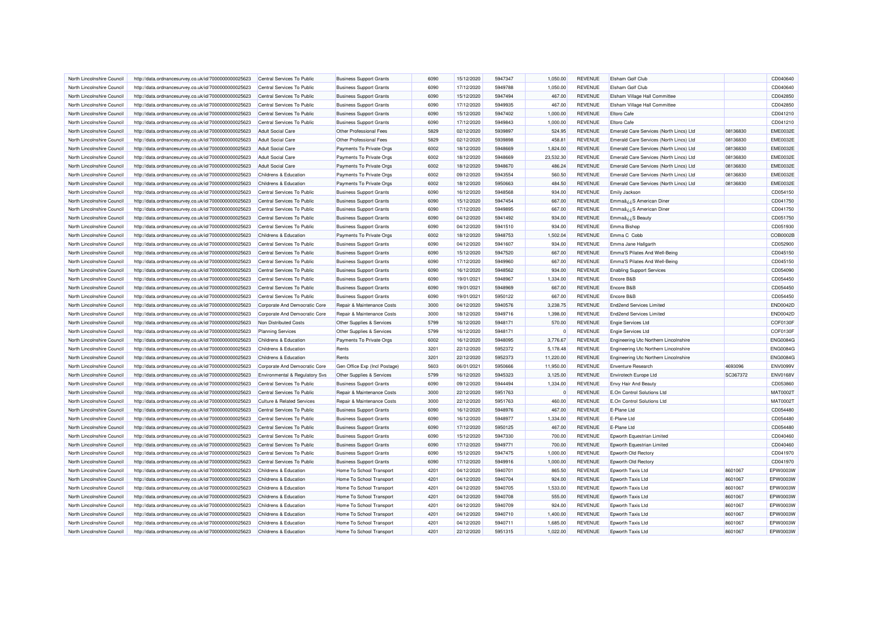| North Lincolnshire Council | http://data.ordnancesurvey.co.uk/id/7000000000025623                                                         | Central Services To Public     | <b>Business Support Grants</b> | 6090 | 15/12/2020 | 5947347 | 1,050.00  | <b>REVENUE</b> | Elsham Golf Club                        |          | CD040640        |
|----------------------------|--------------------------------------------------------------------------------------------------------------|--------------------------------|--------------------------------|------|------------|---------|-----------|----------------|-----------------------------------------|----------|-----------------|
| North Lincolnshire Council | http://data.ordnancesurvey.co.uk/id/7000000000025623                                                         | Central Services To Public     | <b>Business Support Grants</b> | 6090 | 17/12/2020 | 5949788 | 1,050.00  | <b>REVENUE</b> | <b>Elsham Golf Club</b>                 |          | CD040640        |
| North Lincolnshire Council | http://data.ordnancesurvey.co.uk/id/7000000000025623                                                         | Central Services To Public     | <b>Business Support Grants</b> | 6090 | 15/12/2020 | 5947494 | 467.00    | <b>REVENUE</b> | Elsham Village Hall Committee           |          | CD042850        |
| North Lincolnshire Council | http://data.ordnancesurvey.co.uk/id/7000000000025623                                                         | Central Services To Public     | <b>Business Support Grants</b> | 6090 | 17/12/2020 | 5949935 | 467.00    | <b>REVENUE</b> | Elsham Village Hall Committee           |          | CD042850        |
| North Lincolnshire Council | http://data.ordnancesurvey.co.uk/id/7000000000025623                                                         | Central Services To Public     | <b>Business Support Grants</b> | 6090 | 15/12/2020 | 5947402 | 1,000.00  | <b>REVENUE</b> | <b>Eltoro Cafe</b>                      |          | CD041210        |
| North Lincolnshire Council | http://data.ordnancesurvey.co.uk/id/7000000000025623                                                         | Central Services To Public     | <b>Business Support Grants</b> | 6090 | 17/12/2020 | 5949843 | 1,000.00  | <b>REVENUE</b> | <b>Eltoro Cafe</b>                      |          | CD041210        |
| North Lincolnshire Council | http://data.ordnancesurvey.co.uk/id/7000000000025623                                                         | <b>Adult Social Care</b>       | Other Professional Fees        | 5829 | 02/12/2020 | 5939897 | 524.95    | <b>REVENUE</b> | Emerald Care Services (North Lincs) Ltd | 08136830 | <b>EME0032E</b> |
| North Lincolnshire Council | http://data.ordnancesurvey.co.uk/id/7000000000025623                                                         | <b>Adult Social Care</b>       | Other Professional Fees        | 5829 | 02/12/2020 | 5939898 | 458.81    | <b>REVENUE</b> | Emerald Care Services (North Lincs) Ltd | 08136830 | <b>EME0032E</b> |
| North Lincolnshire Council | http://data.ordnancesurvey.co.uk/id/7000000000025623                                                         | <b>Adult Social Care</b>       | Payments To Private Orgs       | 6002 | 18/12/2020 | 5948669 | 1,824.00  | <b>REVENUE</b> | Emerald Care Services (North Lincs) Ltd | 08136830 | <b>EME0032E</b> |
| North Lincolnshire Council | http://data.ordnancesurvey.co.uk/id/7000000000025623                                                         | <b>Adult Social Care</b>       | Payments To Private Orgs       | 6002 | 18/12/2020 | 5948669 | 23,532.30 | <b>REVENUE</b> | Emerald Care Services (North Lincs) Ltd | 08136830 | <b>EME0032E</b> |
| North Lincolnshire Council | http://data.ordnancesurvey.co.uk/id/7000000000025623                                                         | <b>Adult Social Care</b>       | Payments To Private Orgs       | 6002 | 18/12/2020 | 5948670 | 486.24    | <b>REVENUE</b> | Emerald Care Services (North Lincs) Ltd | 08136830 | <b>EME0032E</b> |
| North Lincolnshire Council | http://data.ordnancesurvey.co.uk/id/7000000000025623                                                         | Childrens & Education          | Payments To Private Orgs       | 6002 | 09/12/2020 | 5943554 | 560.50    | <b>REVENUE</b> | Emerald Care Services (North Lincs) Ltd | 08136830 | <b>EME0032E</b> |
| North Lincolnshire Council | http://data.ordnancesurvey.co.uk/id/7000000000025623                                                         | Childrens & Education          | Payments To Private Orgs       | 6002 | 18/12/2020 | 5950663 | 484.50    | REVENUE        | Emerald Care Services (North Lincs) Ltd | 08136830 | <b>EME0032E</b> |
| North Lincolnshire Council | http://data.ordnancesurvey.co.uk/id/7000000000025623                                                         | Central Services To Public     | <b>Business Support Grants</b> | 6090 | 16/12/2020 | 5948568 | 934.00    | <b>REVENUE</b> | Emily Jackson                           |          | CD054150        |
| North Lincolnshire Council | http://data.ordnancesurvey.co.uk/id/7000000000025623                                                         | Central Services To Public     | <b>Business Support Grants</b> | 6090 | 15/12/2020 | 5947454 | 667.00    | <b>REVENUE</b> | Emmaâ¿¿S American Diner                 |          | CD041750        |
| North Lincolnshire Council | http://data.ordnancesurvey.co.uk/id/7000000000025623                                                         | Central Services To Public     | <b>Business Support Grants</b> | 6090 | 17/12/2020 | 5949895 | 667.00    | <b>REVENUE</b> | Emmaâ¿¿S American Diner                 |          | CD041750        |
| North Lincolnshire Council | http://data.ordnancesurvey.co.uk/id/7000000000025623                                                         | Central Services To Public     | <b>Business Support Grants</b> | 6090 | 04/12/2020 | 5941492 | 934.00    | <b>REVENUE</b> | Emmaâ ¿¿S Beauty                        |          | CD051750        |
| North Lincolnshire Council | http://data.ordnancesurvey.co.uk/id/7000000000025623                                                         | Central Services To Public     | <b>Business Support Grants</b> | 6090 | 04/12/2020 | 5941510 | 934.00    | <b>REVENUE</b> | Emma Bishop                             |          | CD051930        |
| North Lincolnshire Council | http://data.ordnancesurvey.co.uk/id/7000000000025623                                                         | Childrens & Education          | Payments To Private Orgs       | 6002 | 18/12/2020 | 5948753 | 1,502.04  | <b>REVENUE</b> | Emma C Cobb                             |          | COB0002B        |
| North Lincolnshire Council | http://data.ordnancesurvey.co.uk/id/7000000000025623                                                         | Central Services To Public     | <b>Business Support Grants</b> | 6090 | 04/12/2020 | 5941607 | 934.00    | <b>REVENUE</b> | Emma Jane Hallgarth                     |          | CD052900        |
| North Lincolnshire Council | http://data.ordnancesurvey.co.uk/id/7000000000025623                                                         | Central Services To Public     | <b>Business Support Grants</b> | 6090 | 15/12/2020 | 5947520 | 667.00    | <b>REVENUE</b> | Emma'S Pilates And Well-Being           |          | CD045150        |
| North Lincolnshire Council |                                                                                                              | Central Services To Public     |                                | 6090 | 17/12/2020 | 5949960 | 667.00    | <b>REVENUE</b> | Emma'S Pilates And Well-Being           |          | CD045150        |
| North Lincolnshire Council | http://data.ordnancesurvey.co.uk/id/7000000000025623<br>http://data.ordnancesurvey.co.uk/id/7000000000025623 | Central Services To Public     | <b>Business Support Grants</b> | 6090 | 16/12/2020 | 5948562 | 934.00    | <b>REVENUE</b> |                                         |          | CD054090        |
|                            |                                                                                                              |                                | <b>Business Support Grants</b> |      |            |         |           |                | <b>Enabling Support Services</b>        |          |                 |
| North Lincolnshire Council | http://data.ordnancesurvey.co.uk/id/7000000000025623                                                         | Central Services To Public     | <b>Business Support Grants</b> | 6090 | 19/01/2021 | 5948967 | 1,334.00  | <b>REVENUE</b> | Encore B&B                              |          | CD054450        |
| North Lincolnshire Council | http://data.ordnancesurvey.co.uk/id/7000000000025623                                                         | Central Services To Public     | <b>Business Support Grants</b> | 6090 | 19/01/2021 | 5948969 | 667.00    | <b>REVENUE</b> | Encore B&B                              |          | CD054450        |
| North Lincolnshire Council | http://data.ordnancesurvey.co.uk/id/7000000000025623                                                         | Central Services To Public     | <b>Business Support Grants</b> | 6090 | 19/01/2021 | 5950122 | 667.00    | <b>REVENUE</b> | Encore B&B                              |          | CD054450        |
| North Lincolnshire Council | http://data.ordnancesurvey.co.uk/id/7000000000025623                                                         | Corporate And Democratic Core  | Repair & Maintenance Costs     | 3000 | 04/12/2020 | 5940576 | 3,238.75  | <b>REVENUE</b> | <b>End2end Services Limited</b>         |          | <b>END0042D</b> |
| North Lincolnshire Council | http://data.ordnancesurvey.co.uk/id/7000000000025623                                                         | Corporate And Democratic Core  | Repair & Maintenance Costs     | 3000 | 18/12/2020 | 5949716 | 1,398.00  | <b>REVENUE</b> | <b>End2end Services Limited</b>         |          | <b>END0042D</b> |
| North Lincolnshire Council | http://data.ordnancesurvey.co.uk/id/7000000000025623                                                         | Non Distributed Costs          | Other Supplies & Services      | 5799 | 16/12/2020 | 5948171 | 570.00    | <b>REVENUE</b> | <b>Engie Services Ltd</b>               |          | COF0130F        |
| North Lincolnshire Council | http://data.ordnancesurvey.co.uk/id/7000000000025623                                                         | <b>Planning Services</b>       | Other Supplies & Services      | 5799 | 16/12/2020 | 5948171 | $\Omega$  | REVENUE        | Engie Services Ltd                      |          | COF0130F        |
| North Lincolnshire Council | http://data.ordnancesurvey.co.uk/id/7000000000025623                                                         | Childrens & Education          | Payments To Private Orgs       | 6002 | 16/12/2020 | 5948095 | 3,776.67  | <b>REVENUE</b> | Engineering Utc Northern Lincolnshire   |          | <b>ENG0084G</b> |
| North Lincolnshire Council | http://data.ordnancesurvey.co.uk/id/7000000000025623                                                         | Childrens & Education          | Rents                          | 3201 | 22/12/2020 | 5952372 | 5,178.48  | <b>REVENUE</b> | Engineering Utc Northern Lincolnshire   |          | <b>ENG0084G</b> |
| North Lincolnshire Council | http://data.ordnancesurvey.co.uk/id/7000000000025623                                                         | Childrens & Education          | Rents                          | 3201 | 22/12/2020 | 5952373 | 11,220.00 | <b>REVENUE</b> | Engineering Utc Northern Lincolnshire   |          | <b>ENG0084G</b> |
| North Lincolnshire Council | http://data.ordnancesurvey.co.uk/id/7000000000025623                                                         | Corporate And Democratic Core  | Gen Office Exp (Incl Postage)  | 5603 | 06/01/2021 | 5950666 | 11.950.00 | <b>REVENUE</b> | <b>Enventure Research</b>               | 4693096  | ENV0099V        |
| North Lincolnshire Council | http://data.ordnancesurvey.co.uk/id/7000000000025623                                                         | Environmental & Regulatory Svs | Other Supplies & Services      | 5799 | 16/12/2020 | 5945323 | 3,125.00  | <b>REVENUE</b> | Envirotech Europe Ltd                   | SC367372 | <b>ENV0168V</b> |
| North Lincolnshire Council | http://data.ordnancesurvey.co.uk/id/7000000000025623                                                         | Central Services To Public     | <b>Business Support Grants</b> | 6090 | 09/12/2020 | 5944494 | 1,334.00  | <b>REVENUE</b> | <b>Envy Hair And Beauty</b>             |          | CD053860        |
| North Lincolnshire Council | http://data.ordnancesurvey.co.uk/id/7000000000025623                                                         | Central Services To Public     | Repair & Maintenance Costs     | 3000 | 22/12/2020 | 5951763 | $\Omega$  | <b>REVENUE</b> | E.On Control Solutions Ltd              |          | MAT0002T        |
| North Lincolnshire Council | http://data.ordnancesurvey.co.uk/id/7000000000025623                                                         | Culture & Related Services     | Repair & Maintenance Costs     | 3000 | 22/12/2020 | 5951763 | 460.00    | <b>REVENUE</b> | E.On Control Solutions Ltd              |          | MAT0002T        |
| North Lincolnshire Council | http://data.ordnancesurvey.co.uk/id/7000000000025623                                                         | Central Services To Public     | <b>Business Support Grants</b> | 6090 | 16/12/2020 | 5948976 | 467.00    | <b>REVENUE</b> | E-Plane Ltd                             |          | CD054480        |
| North Lincolnshire Council | http://data.ordnancesurvey.co.uk/id/7000000000025623                                                         | Central Services To Public     | <b>Business Support Grants</b> | 6090 | 16/12/2020 | 5948977 | 1,334.00  | <b>REVENUE</b> | E-Plane Ltd                             |          | CD054480        |
| North Lincolnshire Council | http://data.ordnancesurvey.co.uk/id/7000000000025623                                                         | Central Services To Public     | <b>Business Support Grants</b> | 6090 | 17/12/2020 | 5950125 | 467.00    | <b>REVENUE</b> | F-Plane I td                            |          | CD054480        |
| North Lincolnshire Council | http://data.ordnancesurvey.co.uk/id/7000000000025623                                                         | Central Services To Public     | <b>Business Support Grants</b> | 6090 | 15/12/2020 | 5947330 | 700.00    | <b>REVENUE</b> | Epworth Equestrian Limited              |          | CD040460        |
| North Lincolnshire Council | http://data.ordnancesurvey.co.uk/id/7000000000025623                                                         | Central Services To Public     | <b>Business Support Grants</b> | 6090 | 17/12/2020 | 5949771 | 700.00    | <b>REVENUE</b> | Epworth Equestrian Limited              |          | CD040460        |
| North Lincolnshire Council | http://data.ordnancesurvey.co.uk/id/7000000000025623                                                         | Central Services To Public     | <b>Business Support Grants</b> | 6090 | 15/12/2020 | 5947475 | 1,000.00  | <b>REVENUE</b> | Epworth Old Rectory                     |          | CD041970        |
| North Lincolnshire Council | http://data.ordnancesurvey.co.uk/id/7000000000025623                                                         | Central Services To Public     | <b>Business Support Grants</b> | 6090 | 17/12/2020 | 5949916 | 1,000.00  | <b>REVENUE</b> | Epworth Old Rector                      |          | CD041970        |
| North Lincolnshire Council | http://data.ordnancesurvey.co.uk/id/7000000000025623                                                         | Childrens & Education          | Home To School Transport       | 4201 | 04/12/2020 | 5940701 | 865.50    | <b>REVENUE</b> | Epworth Taxis Ltd                       | 8601067  | EPW0003W        |
| North Lincolnshire Council | http://data.ordnancesurvey.co.uk/id/7000000000025623                                                         | Childrens & Education          | Home To School Transport       | 4201 | 04/12/2020 | 5940704 | 924.00    | <b>REVENUE</b> | Epworth Taxis Ltd                       | 8601067  | EPW0003W        |
| North Lincolnshire Council | http://data.ordnancesurvey.co.uk/id/7000000000025623                                                         | Childrens & Education          | Home To School Transport       | 4201 | 04/12/2020 | 5940705 | 1,533.00  | <b>REVENUE</b> | Epworth Taxis Ltd                       | 8601067  | EPW0003W        |
| North Lincolnshire Council | http://data.ordnancesurvey.co.uk/id/7000000000025623                                                         | Childrens & Education          | Home To School Transport       | 4201 | 04/12/2020 | 5940708 | 555.00    | <b>REVENUE</b> | Epworth Taxis Ltd                       | 8601067  | EPW0003W        |
| North Lincolnshire Council | http://data.ordnancesurvey.co.uk/id/7000000000025623                                                         | Childrens & Education          | Home To School Transport       | 4201 | 04/12/2020 | 5940709 | 924.00    | <b>REVENUE</b> | Epworth Taxis Ltd                       | 8601067  | EPW0003W        |
| North Lincolnshire Council | http://data.ordnancesurvey.co.uk/id/7000000000025623                                                         | Childrens & Education          | Home To School Transport       | 4201 | 04/12/2020 | 5940710 | 1,400.00  | <b>REVENUE</b> | Epworth Taxis Ltd                       | 8601067  | EPW0003W        |
| North Lincolnshire Council | http://data.ordnancesurvey.co.uk/id/7000000000025623                                                         | Childrens & Education          | Home To School Transport       | 4201 | 04/12/2020 | 5940711 | 1,685.00  | <b>REVENUE</b> | Epworth Taxis Ltd                       | 8601067  | EPW0003W        |
| North Lincolnshire Council | http://data.ordnancesurvey.co.uk/id/7000000000025623                                                         | Childrens & Education          | Home To School Transport       | 4201 | 22/12/2020 | 5951315 | 1,022.00  | <b>REVENUE</b> | Epworth Taxis Ltd                       | 8601067  | EPW0003W        |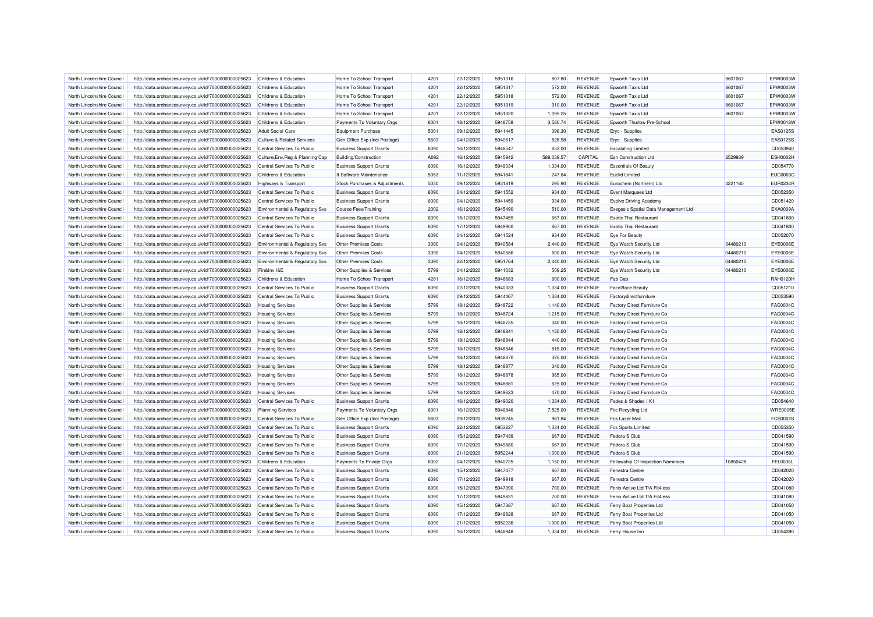| North Lincolnshire Council | http://data.ordnancesurvey.co.uk/id/7000000000025623 | Childrens & Education                 | Home To School Transport                               | 4201 | 22/12/2020 | 5951316 | 807.80     | <b>REVENUE</b> | Epworth Taxis Ltd                    | 8601067  | EPW0003W        |
|----------------------------|------------------------------------------------------|---------------------------------------|--------------------------------------------------------|------|------------|---------|------------|----------------|--------------------------------------|----------|-----------------|
| North Lincolnshire Council | http://data.ordnancesurvey.co.uk/id/7000000000025623 | Childrens & Education                 | Home To School Transport                               | 4201 | 22/12/2020 | 5951317 | 572.00     | <b>REVENUE</b> | Epworth Taxis Ltd                    | 8601067  | EPW0003W        |
| North Lincolnshire Council | http://data.ordnancesurvey.co.uk/id/7000000000025623 | Childrens & Education                 | Home To School Transport                               | 4201 | 22/12/2020 | 5951318 | 572.00     | <b>REVENUE</b> | Epworth Taxis Ltd                    | 8601067  | EPW0003W        |
| North Lincolnshire Council | http://data.ordnancesurvey.co.uk/id/7000000000025623 | Childrens & Education                 | Home To School Transport                               | 4201 | 22/12/2020 | 5951319 | 910.00     | <b>REVENUE</b> | Epworth Taxis Ltd                    | 8601067  | EPW0003W        |
| North Lincolnshire Council | http://data.ordnancesurvey.co.uk/id/7000000000025623 | Childrens & Education                 | Home To School Transport                               | 4201 | 22/12/2020 | 5951320 | 1,095.25   | <b>REVENUE</b> | Epworth Taxis Ltd                    | 8601067  | EPW0003W        |
| North Lincolnshire Council | http://data.ordnancesurvey.co.uk/id/7000000000025623 | Childrens & Education                 | Payments To Voluntary Orgs                             | 6001 | 18/12/2020 | 5948758 | 3,580.74   | <b>REVENUE</b> | Epworth Thurlow Pre-School           |          | EPW0018W        |
| North Lincolnshire Council | http://data.ordnancesurvey.co.uk/id/7000000000025623 | <b>Adult Social Care</b>              | <b>Equipment Purchase</b>                              | 5001 | 09/12/2020 | 5941445 | 396.30     | <b>REVENUE</b> | Eryc - Supplies                      |          | EAS0125S        |
| North Lincolnshire Council | http://data.ordnancesurvey.co.uk/id/7000000000025623 | <b>Culture &amp; Related Services</b> | Gen Office Exp (Incl Postage)                          | 5603 | 04/12/2020 | 5940617 | 528.98     | <b>REVENUE</b> | <b>Eryc</b> - Supplies               |          | EAS0125S        |
| North Lincolnshire Council | http://data.ordnancesurvey.co.uk/id/7000000000025623 | Central Services To Public            | <b>Business Support Grants</b>                         | 6090 | 16/12/2020 | 5948547 | 653.00     | <b>REVENUE</b> | <b>Escalating Limited</b>            |          | CD053940        |
| North Lincolnshire Council | http://data.ordnancesurvey.co.uk/id/7000000000025623 | Culture, Env, Reg & Planning Cap      | <b>Building/Construction</b>                           | A082 | 16/12/2020 | 5945942 | 588,039.57 | CAPITAL        | <b>Esh Construction Ltd</b>          | 2529939  | ESH0002H        |
| North Lincolnshire Council | http://data.ordnancesurvey.co.uk/id/7000000000025623 | Central Services To Public            | <b>Business Support Grants</b>                         | 6090 | 16/12/2020 | 5949034 | 1,334.00   | <b>REVENUE</b> | <b>Essentials Of Beauty</b>          |          | CD054770        |
| North Lincolnshire Council | http://data.ordnancesurvey.co.uk/id/7000000000025623 | Childrens & Education                 | It Software-Maintenance                                | 5053 | 11/12/2020 | 5941841 | 247.64     | <b>REVENUE</b> | <b>Euclid Limited</b>                |          | <b>EUC0003C</b> |
| North Lincolnshire Council | http://data.ordnancesurvey.co.uk/id/7000000000025623 | Highways & Transport                  | Stock Purchases & Adjustments                          | 5030 | 09/12/2020 | 5931819 | 295.90     | <b>REVENUE</b> | Eurochem (Northern) Ltd              | 4221160  | <b>EUR0234F</b> |
| North Lincolnshire Council | http://data.ordnancesurvey.co.uk/id/7000000000025623 | Central Services To Public            | <b>Business Support Grants</b>                         | 6090 | 04/12/2020 | 5941552 | 934.00     | <b>REVENUE</b> | Event Marquees Ltd                   |          | CD052350        |
| North Lincolnshire Council | http://data.ordnancesurvey.co.uk/id/7000000000025623 | Central Services To Public            | <b>Business Support Grants</b>                         | 6090 | 04/12/2020 | 5941459 | 934.00     | <b>REVENUE</b> | <b>Evolve Driving Academy</b>        |          | CD051420        |
| North Lincolnshire Council | http://data.ordnancesurvey.co.uk/id/7000000000025623 | Environmental & Regulatory Svs        | Course Fees/Training                                   | 2002 | 16/12/2020 | 5945490 | 510.00     | <b>REVENUE</b> | Exegesis Spatial Data Management Ltd |          | EXA0009A        |
| North Lincolnshire Council | http://data.ordnancesurvey.co.uk/id/7000000000025623 | Central Services To Public            | <b>Business Support Grants</b>                         | 6090 | 15/12/2020 | 5947459 | 667.00     | <b>REVENUE</b> | <b>Exotic Thai Restaurant</b>        |          | CD041800        |
| North Lincolnshire Council | http://data.ordnancesurvey.co.uk/id/7000000000025623 | Central Services To Public            | <b>Business Support Grants</b>                         | 6090 | 17/12/2020 | 5949900 | 667.00     | <b>REVENUE</b> | <b>Exotic Thai Restaurant</b>        |          | CD041800        |
| North Lincolnshire Council |                                                      | Central Services To Public            |                                                        | 6090 | 04/12/2020 | 5941524 | 934.00     | <b>REVENUE</b> | Eye For Beauty                       |          | CD052070        |
| North Lincolnshire Council | http://data.ordnancesurvey.co.uk/id/7000000000025623 |                                       | <b>Business Support Grants</b><br>Other Premises Costs | 3390 | 04/12/2020 | 5940584 | 2,440.00   | <b>REVENUE</b> |                                      | 04480210 | <b>EYE0006E</b> |
|                            | http://data.ordnancesurvey.co.uk/id/7000000000025623 | Environmental & Regulatory Svs        |                                                        |      |            |         |            |                | Eye Watch Security Ltd               |          | <b>EYE0006E</b> |
| North Lincolnshire Council | http://data.ordnancesurvey.co.uk/id/7000000000025623 | Environmental & Regulatory Svs        | <b>Other Premises Costs</b>                            | 3390 | 04/12/2020 | 5940586 | 600.00     | <b>REVENUE</b> | Eye Watch Security Ltd               | 04480210 |                 |
| North Lincolnshire Council | http://data.ordnancesurvey.co.uk/id/7000000000025623 | Environmental & Regulatory Svs        | Other Premises Costs                                   | 3390 | 22/12/2020 | 5951764 | 2,440.00   | <b>REVENUE</b> | Eye Watch Security Ltd               | 04480210 | EYE0006E        |
| North Lincolnshire Council | http://data.ordnancesurvey.co.uk/id/7000000000025623 | Fin&Inv I&E                           | Other Supplies & Services                              | 5799 | 04/12/2020 | 5941032 | 509.25     | <b>REVENUE</b> | Eye Watch Security Ltd               | 04480210 | EYE0006E        |
| North Lincolnshire Council | http://data.ordnancesurvey.co.uk/id/7000000000025623 | Childrens & Education                 | Home To School Transport                               | 4201 | 16/12/2020 | 5946683 | 600.00     | <b>REVENUE</b> | Fab Cab                              |          | RAH0120H        |
| North Lincolnshire Council | http://data.ordnancesurvey.co.uk/id/7000000000025623 | Central Services To Public            | <b>Business Support Grants</b>                         | 6090 | 02/12/2020 | 5940333 | 1,334.00   | <b>REVENUE</b> | Face2face Beauty                     |          | CD051210        |
| North Lincolnshire Council | http://data.ordnancesurvey.co.uk/id/7000000000025623 | Central Services To Public            | <b>Business Support Grants</b>                         | 6090 | 09/12/2020 | 5944467 | 1,334.00   | <b>REVENUE</b> | Factorydirectfurniture               |          | CD053590        |
| North Lincolnshire Council | http://data.ordnancesurvey.co.uk/id/7000000000025623 | <b>Housing Services</b>               | Other Supplies & Services                              | 5799 | 18/12/2020 | 5948722 | 1,140.00   | <b>REVENUE</b> | Factory Direct Furniture Co          |          | FAC0004C        |
| North Lincolnshire Council | http://data.ordnancesurvey.co.uk/id/7000000000025623 | <b>Housing Services</b>               | Other Supplies & Services                              | 5799 | 18/12/2020 | 5948724 | 1,215.00   | <b>REVENUE</b> | Factory Direct Furniture Co          |          | FAC0004C        |
| North Lincolnshire Council | http://data.ordnancesurvey.co.uk/id/7000000000025623 | <b>Housing Services</b>               | Other Supplies & Services                              | 5799 | 18/12/2020 | 5948735 | 340.00     | <b>REVENUE</b> | Factory Direct Furniture Co          |          | <b>FAC0004C</b> |
| North Lincolnshire Council | http://data.ordnancesurvey.co.uk/id/7000000000025623 | <b>Housing Services</b>               | Other Supplies & Services                              | 5799 | 18/12/2020 | 5948841 | 1,130.00   | <b>REVENUE</b> | Factory Direct Furniture Co          |          | FAC0004C        |
| North Lincolnshire Council | http://data.ordnancesurvey.co.uk/id/7000000000025623 | <b>Housing Services</b>               | Other Supplies & Services                              | 5799 | 18/12/2020 | 5948844 | 440.00     | <b>REVENUE</b> | Factory Direct Furniture Co          |          | <b>FAC0004C</b> |
| North Lincolnshire Council | http://data.ordnancesurvey.co.uk/id/7000000000025623 | <b>Housing Services</b>               | Other Supplies & Services                              | 5799 | 18/12/2020 | 5948846 | 815.00     | <b>REVENUE</b> | Factory Direct Furniture Co          |          | FAC0004C        |
| North Lincolnshire Council | http://data.ordnancesurvey.co.uk/id/7000000000025623 | <b>Housing Services</b>               | Other Supplies & Services                              | 5799 | 18/12/2020 | 5948870 | 325.00     | <b>REVENUE</b> | Factory Direct Furniture Co          |          | <b>FAC0004C</b> |
| North Lincolnshire Council | http://data.ordnancesurvey.co.uk/id/7000000000025623 | <b>Housing Services</b>               | Other Supplies & Services                              | 5799 | 18/12/2020 | 5948877 | 340.00     | <b>REVENUE</b> | Factory Direct Furniture Co          |          | <b>FAC0004C</b> |
| North Lincolnshire Council | http://data.ordnancesurvey.co.uk/id/7000000000025623 | <b>Housing Services</b>               | Other Supplies & Services                              | 5799 | 18/12/2020 | 5948878 | 965.00     | <b>REVENUE</b> | Factory Direct Furniture Co          |          | FAC0004C        |
| North Lincolnshire Council | http://data.ordnancesurvey.co.uk/id/7000000000025623 | <b>Housing Services</b>               | Other Supplies & Services                              | 5799 | 18/12/2020 | 5948881 | 625.00     | <b>REVENUE</b> | Factory Direct Furniture Co          |          | <b>FAC0004C</b> |
| North Lincolnshire Council | http://data.ordnancesurvey.co.uk/id/7000000000025623 | <b>Housing Services</b>               | Other Supplies & Services                              | 5799 | 18/12/2020 | 5949623 | 470.00     | <b>REVENUE</b> | Factory Direct Furniture Co          |          | FAC0004C        |
| North Lincolnshire Council | http://data.ordnancesurvey.co.uk/id/7000000000025623 | Central Services To Public            | <b>Business Support Grants</b>                         | 6090 | 16/12/2020 | 5949020 | 1,334.00   | <b>REVENUE</b> | Fades & Shades / K1                  |          | CD054640        |
| North Lincolnshire Council | http://data.ordnancesurvey.co.uk/id/7000000000025623 | <b>Planning Services</b>              | Payments To Voluntary Orgs                             | 6001 | 16/12/2020 | 5946846 | 7,525.00   | <b>REVENUE</b> | Fcc Recycling Ltd                    |          | <b>WRE0005E</b> |
| North Lincolnshire Council | http://data.ordnancesurvey.co.uk/id/7000000000025623 | Central Services To Public            | Gen Office Exp (Incl Postage)                          | 5603 | 09/12/2020 | 5939245 | 961.84     | <b>REVENUE</b> | <b>Fcs Laser Mail</b>                |          | FCS0002S        |
| North Lincolnshire Council | http://data.ordnancesurvey.co.uk/id/7000000000025623 | Central Services To Public            | <b>Business Support Grants</b>                         | 6090 | 22/12/2020 | 5953227 | 1,334.00   | <b>REVENUE</b> | <b>Fcs Sports Limited</b>            |          | CD055350        |
| North Lincolnshire Council | http://data.ordnancesurvey.co.uk/id/7000000000025623 | Central Services To Public            | <b>Business Support Grants</b>                         | 6090 | 15/12/2020 | 5947439 | 667.00     | <b>REVENUE</b> | Fedora S Club                        |          | CD041590        |
| North Lincolnshire Council | http://data.ordnancesurvey.co.uk/id/7000000000025623 | Central Services To Public            | <b>Business Support Grants</b>                         | 6090 | 17/12/2020 | 5949880 | 667.00     | <b>REVENUE</b> | Fedora S Club                        |          | CD041590        |
| North Lincolnshire Council | http://data.ordnancesurvey.co.uk/id/7000000000025623 | Central Services To Public            | <b>Business Support Grants</b>                         | 6090 | 21/12/2020 | 5952244 | 1,000.00   | <b>REVENUE</b> | Fedora S Club                        |          | CD041590        |
| North Lincolnshire Council | http://data.ordnancesurvey.co.uk/id/7000000000025623 | Childrens & Education                 | Payments To Private Orgs                               | 6002 | 04/12/2020 | 5940725 | 1,150.00   | <b>REVENUE</b> | Fellowship Of Inspection Nominees    | 10850428 | <b>FEL0006L</b> |
| North Lincolnshire Council | http://data.ordnancesurvey.co.uk/id/7000000000025623 | Central Services To Public            | <b>Business Support Grants</b>                         | 6090 | 15/12/2020 | 5947477 | 667.00     | <b>REVENUE</b> | Fenestra Centre                      |          | CD042020        |
| North Lincolnshire Council | http://data.ordnancesurvey.co.uk/id/7000000000025623 | Central Services To Public            | <b>Business Support Grants</b>                         | 6090 | 17/12/2020 | 5949918 | 667.00     | <b>REVENUE</b> | Fenestra Centre                      |          | CD042020        |
| North Lincolnshire Council | http://data.ordnancesurvey.co.uk/id/7000000000025623 | Central Services To Public            | <b>Business Support Grants</b>                         | 6090 | 15/12/2020 | 5947390 | 700.00     | <b>REVENUE</b> | Fenix Active Ltd T/A Fit4less        |          | CD041080        |
| North Lincolnshire Council | http://data.ordnancesurvey.co.uk/id/7000000000025623 | Central Services To Public            | <b>Business Support Grants</b>                         | 6090 | 17/12/2020 | 5949831 | 700.00     | <b>REVENUE</b> | Fenix Active Ltd T/A Fit4less        |          | CD041080        |
| North Lincolnshire Council | http://data.ordnancesurvey.co.uk/id/7000000000025623 | Central Services To Public            | <b>Business Support Grants</b>                         | 6090 | 15/12/2020 | 5947387 | 667.00     | <b>REVENUE</b> | Ferry Boat Properties Ltd            |          | CD041050        |
| North Lincolnshire Council | http://data.ordnancesurvey.co.uk/id/7000000000025623 | Central Services To Public            | <b>Business Support Grants</b>                         | 6090 | 17/12/2020 | 5949828 | 667.00     | <b>REVENUE</b> | Ferry Boat Properties Ltd            |          | CD041050        |
| North Lincolnshire Council | http://data.ordnancesurvey.co.uk/id/7000000000025623 | Central Services To Public            | <b>Business Support Grants</b>                         | 6090 | 21/12/2020 | 5952236 | 1,000.00   | <b>REVENUE</b> | Ferry Boat Properties Ltd            |          | CD041050        |
| North Lincolnshire Council | http://data.ordnancesurvey.co.uk/id/7000000000025623 | Central Services To Public            | <b>Business Support Grants</b>                         | 6090 | 16/12/2020 | 5948948 | 1,334.00   | <b>REVENUE</b> | Ferry House Inn                      |          | CD054390        |
|                            |                                                      |                                       |                                                        |      |            |         |            |                |                                      |          |                 |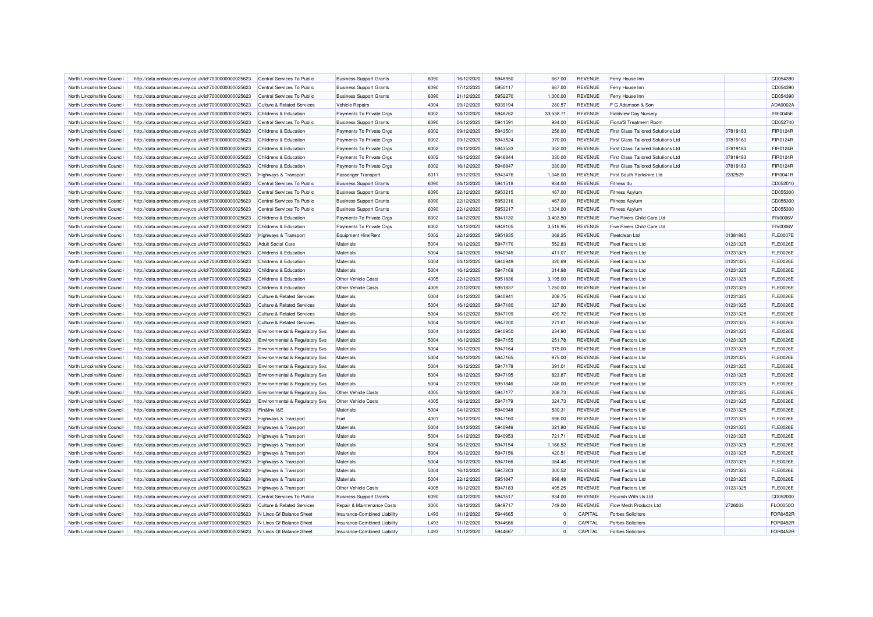| North Lincolnshire Council                               | http://data.ordnancesurvey.co.uk/id/7000000000025623 | Central Services To Public                | <b>Business Support Grants</b> | 6090         | 16/12/2020 | 5948950            | 667.00    | <b>REVENUE</b> | Ferry House Inn                    |          | CD054390        |
|----------------------------------------------------------|------------------------------------------------------|-------------------------------------------|--------------------------------|--------------|------------|--------------------|-----------|----------------|------------------------------------|----------|-----------------|
| North Lincolnshire Council                               | http://data.ordnancesurvey.co.uk/id/7000000000025623 | Central Services To Public                | <b>Business Support Grants</b> | 6090         | 17/12/2020 | 5950117            | 667.00    | <b>REVENUE</b> | Ferry House Inn                    |          | CD054390        |
| North Lincolnshire Council                               | http://data.ordnancesurvey.co.uk/id/7000000000025623 | Central Services To Public                | <b>Business Support Grants</b> | 6090         | 21/12/2020 | 5952270            | 1,000.00  | <b>REVENUE</b> | Ferry House Inn                    |          | CD054390        |
| North Lincolnshire Council                               | http://data.ordnancesurvey.co.uk/id/7000000000025623 | <b>Culture &amp; Related Services</b>     | <b>Vehicle Repairs</b>         | 4004         | 09/12/2020 | 5939194            | 280.57    | <b>REVENUE</b> | F G Adamson & Son                  |          | ADA0002/        |
| North Lincolnshire Council                               | http://data.ordnancesurvey.co.uk/id/7000000000025623 | Childrens & Education                     | Payments To Private Orgs       | 6002         | 18/12/2020 | 5948762            | 33,538.71 | <b>REVENUE</b> | <b>Fieldview Day Nursery</b>       |          | <b>FIE0045E</b> |
| North Lincolnshire Council                               | http://data.ordnancesurvey.co.uk/id/7000000000025623 | Central Services To Public                | <b>Business Support Grants</b> | 6090         | 04/12/2020 | 5941591            | 934.00    | <b>REVENUE</b> | Fiona'S Treatment Room             |          | CD052740        |
| North Lincolnshire Council                               | http://data.ordnancesurvey.co.uk/id/7000000000025623 | Childrens & Education                     | Payments To Private Orgs       | 6002         | 09/12/2020 | 5943501            | 256.00    | <b>REVENUE</b> | First Class Tailored Solutions Ltd | 07819183 | FIR0124R        |
| North Lincolnshire Council                               | http://data.ordnancesurvey.co.uk/id/7000000000025623 | Childrens & Education                     | Payments To Private Orgs       | 6002         | 09/12/2020 | 5943524            | 370.00    | <b>REVENUE</b> | First Class Tailored Solutions Ltd | 07819183 | <b>FIR0124R</b> |
| North Lincolnshire Council                               | http://data.ordnancesurvey.co.uk/id/7000000000025623 | Childrens & Education                     | Payments To Private Orgs       | 6002         | 09/12/2020 | 5943533            | 352.00    | <b>REVENUE</b> | First Class Tailored Solutions Ltd | 07819183 | FIR0124R        |
| North Lincolnshire Council                               | http://data.ordnancesurvey.co.uk/id/7000000000025623 | Childrens & Education                     | Payments To Private Orgs       | 6002         | 16/12/2020 | 5946844            | 330.00    | <b>REVENUE</b> | First Class Tailored Solutions Ltd | 07819183 | FIR0124R        |
| North Lincolnshire Council                               | http://data.ordnancesurvey.co.uk/id/7000000000025623 | Childrens & Education                     | Payments To Private Orgs       | 6002         | 16/12/2020 | 5946847            | 330.00    | <b>REVENUE</b> | First Class Tailored Solutions Ltd | 07819183 | FIR0124R        |
| North Lincolnshire Council                               | http://data.ordnancesurvey.co.uk/id/7000000000025623 | Highways & Transport                      | Passenger Transport            | 6011         | 09/12/2020 | 5943476            | 1,048.00  | <b>REVENUE</b> | First South Yorkshire Ltd          | 2332529  | FIR0041R        |
| North Lincolnshire Council                               | http://data.ordnancesurvey.co.uk/id/7000000000025623 | Central Services To Public                | <b>Business Support Grants</b> | 6090         | 04/12/2020 | 5941518            | 934.00    | <b>REVENUE</b> | Fitness <sub>4u</sub>              |          | CD052010        |
| North Lincolnshire Council                               | http://data.ordnancesurvey.co.uk/id/7000000000025623 | Central Services To Public                | <b>Business Support Grants</b> | 6090         | 22/12/2020 | 5953215            | 467.00    | <b>REVENUE</b> | Fitness Asylum                     |          | CD055300        |
|                                                          |                                                      |                                           |                                |              |            |                    |           |                |                                    |          |                 |
| North Lincolnshire Council<br>North Lincolnshire Council | http://data.ordnancesurvey.co.uk/id/7000000000025623 | Central Services To Public                | <b>Business Support Grants</b> | 6090<br>6090 | 22/12/2020 | 5953216<br>5953217 | 467.00    | <b>REVENUE</b> | <b>Fitness Asylum</b>              |          | CD055300        |
|                                                          | http://data.ordnancesurvey.co.uk/id/7000000000025623 | Central Services To Public                | <b>Business Support Grants</b> |              | 22/12/2020 |                    | 1,334.00  | <b>REVENUE</b> | <b>Fitness Asylum</b>              |          | CD055300        |
| North Lincolnshire Council                               | http://data.ordnancesurvey.co.uk/id/7000000000025623 | Childrens & Education                     | Payments To Private Orgs       | 6002         | 04/12/2020 | 5941132            | 3,403.50  | <b>REVENUE</b> | Five Rivers Child Care Ltd         |          | <b>FIV0006V</b> |
| North Lincolnshire Council                               | http://data.ordnancesurvey.co.uk/id/7000000000025623 | <b>Childrens &amp; Education</b>          | Payments To Private Orgs       | 6002         | 18/12/2020 | 5949105            | 3,516.95  | <b>REVENUE</b> | Five Rivers Child Care Ltd         |          | <b>FIV0006V</b> |
| North Lincolnshire Council                               | http://data.ordnancesurvey.co.uk/id/7000000000025623 | <b>Highways &amp; Transport</b>           | Equipment Hire/Rent            | 5002         | 22/12/2020 | 5951835            | 368.25    | <b>REVENUE</b> | Fleetclean Ltd                     | 01381865 | <b>FLE0007E</b> |
| North Lincolnshire Council                               | http://data.ordnancesurvey.co.uk/id/7000000000025623 | <b>Adult Social Care</b>                  | Materials                      | 5004         | 16/12/2020 | 5947170            | 552.83    | <b>REVENUE</b> | Fleet Factors Ltd                  | 01231325 | <b>FLE0026E</b> |
| North Lincolnshire Council                               | http://data.ordnancesurvey.co.uk/id/7000000000025623 | Childrens & Education                     | Materials                      | 5004         | 04/12/2020 | 5940945            | 411.07    | <b>REVENUE</b> | Fleet Factors I td                 | 01231325 | <b>FLE0026E</b> |
| North Lincolnshire Council                               | http://data.ordnancesurvey.co.uk/id/7000000000025623 | Childrens & Education                     | Materials                      | 5004         | 04/12/2020 | 5940949            | 320.69    | <b>REVENUE</b> | Fleet Factors I td                 | 01231325 | <b>FLE0026E</b> |
| North Lincolnshire Council                               | http://data.ordnancesurvey.co.uk/id/7000000000025623 | Childrens & Education                     | Materials                      | 5004         | 16/12/2020 | 5947169            | 314.98    | <b>REVENUE</b> | <b>Fleet Factors Ltd</b>           | 01231325 | <b>FLE0026E</b> |
| North Lincolnshire Council                               | http://data.ordnancesurvey.co.uk/id/7000000000025623 | <b>Childrens &amp; Education</b>          | <b>Other Vehicle Costs</b>     | 4005         | 22/12/2020 | 5951836            | 3,195.00  | <b>REVENUE</b> | <b>Fleet Factors Ltd</b>           | 01231325 | <b>FLE0026E</b> |
| North Lincolnshire Council                               | http://data.ordnancesurvey.co.uk/id/7000000000025623 | Childrens & Education                     | Other Vehicle Costs            | 4005         | 22/12/2020 | 5951837            | 1.250.00  | <b>REVENUE</b> | <b>Fleet Factors Ltd</b>           | 01231325 | <b>FLE0026E</b> |
| North Lincolnshire Council                               | http://data.ordnancesurvey.co.uk/id/7000000000025623 | <b>Culture &amp; Related Services</b>     | Materials                      | 5004         | 04/12/2020 | 5940941            | 208.75    | <b>REVENUE</b> | Fleet Factors Ltd                  | 01231325 | <b>FLE0026E</b> |
| North Lincolnshire Council                               | http://data.ordnancesurvey.co.uk/id/7000000000025623 | <b>Culture &amp; Related Services</b>     | Materials                      | 5004         | 16/12/2020 | 5947180            | 327.80    | <b>REVENUE</b> | <b>Fleet Factors Ltd</b>           | 01231325 | <b>FLE0026E</b> |
| North Lincolnshire Council                               | http://data.ordnancesurvey.co.uk/id/7000000000025623 | <b>Culture &amp; Related Services</b>     | Materials                      | 5004         | 16/12/2020 | 5947199            | 499.72    | <b>REVENUE</b> | <b>Fleet Factors Ltd</b>           | 01231325 | <b>FLE0026E</b> |
| North Lincolnshire Council                               | http://data.ordnancesurvey.co.uk/id/7000000000025623 | <b>Culture &amp; Related Services</b>     | Materials                      | 5004         | 16/12/2020 | 5947200            | 271.61    | <b>REVENUE</b> | <b>Fleet Factors Ltd</b>           | 01231325 | <b>FLE0026E</b> |
| North Lincolnshire Council                               | http://data.ordnancesurvey.co.uk/id/7000000000025623 | Environmental & Regulatory Svs            | Materials                      | 5004         | 04/12/2020 | 5940950            | 234.90    | <b>REVENUE</b> | <b>Fleet Factors Ltd</b>           | 01231325 | <b>FLE0026E</b> |
| North Lincolnshire Council                               | http://data.ordnancesurvey.co.uk/id/7000000000025623 | <b>Environmental &amp; Regulatory Svs</b> | Materials                      | 5004         | 16/12/2020 | 5947155            | 251.78    | <b>REVENUE</b> | Fleet Factors Ltd                  | 01231325 | <b>FLE0026E</b> |
| North Lincolnshire Council                               | http://data.ordnancesurvey.co.uk/id/7000000000025623 | Environmental & Regulatory Svs            | Materials                      | 5004         | 16/12/2020 | 5947164            | 975.00    | <b>REVENUE</b> | <b>Fleet Factors Ltd</b>           | 01231325 | <b>FLE0026E</b> |
| North Lincolnshire Council                               | http://data.ordnancesurvey.co.uk/id/7000000000025623 | Environmental & Regulatory Svs            | Materials                      | 5004         | 16/12/2020 | 5947165            | 975.00    | <b>REVENUE</b> | <b>Fleet Factors I td</b>          | 01231325 | <b>FLE0026E</b> |
| North Lincolnshire Council                               | http://data.ordnancesurvey.co.uk/id/7000000000025623 | Environmental & Regulatory Svs            | Materials                      | 5004         | 16/12/2020 | 5947178            | 391.01    | <b>REVENUE</b> | Fleet Factors Ltd                  | 01231325 | <b>FLE0026E</b> |
| North Lincolnshire Council                               | http://data.ordnancesurvey.co.uk/id/7000000000025623 | Environmental & Regulatory Svs            | Materials                      | 5004         | 16/12/2020 | 5947195            | 823.87    | <b>REVENUE</b> | <b>Fleet Factors Ltd</b>           | 01231325 | <b>FLE0026E</b> |
| North Lincolnshire Council                               | http://data.ordnancesurvey.co.uk/id/7000000000025623 | Environmental & Regulatory Svs            | Materials                      | 5004         | 22/12/2020 | 5951846            | 748.00    | <b>REVENUE</b> | Fleet Factors I td                 | 01231325 | <b>FLE0026E</b> |
| North Lincolnshire Council                               | http://data.ordnancesurvey.co.uk/id/7000000000025623 | Environmental & Regulatory Svs            | Other Vehicle Costs            | 4005         | 16/12/2020 | 5947177            | 208.73    | <b>REVENUE</b> | <b>Fleet Factors Ltd</b>           | 01231325 | <b>FLE0026E</b> |
| North Lincolnshire Council                               | http://data.ordnancesurvey.co.uk/id/7000000000025623 | Environmental & Regulatory Svs            | Other Vehicle Costs            | 4005         | 16/12/2020 | 5947179            | 324.73    | <b>REVENUE</b> | <b>Fleet Factors Ltd</b>           | 01231325 | <b>FLE0026E</b> |
| North Lincolnshire Council                               | http://data.ordnancesurvey.co.uk/id/7000000000025623 | Fin&Inv I&E                               | Materials                      | 5004         | 04/12/2020 | 5940948            | 530.31    | <b>REVENUE</b> | <b>Fleet Factors Ltd</b>           | 01231325 | <b>FLE0026E</b> |
| North Lincolnshire Council                               | http://data.ordnancesurvey.co.uk/id/7000000000025623 | Highways & Transport                      | Fuel                           | 4001         | 16/12/2020 | 5947160            | 696.00    | <b>REVENUE</b> | <b>Fleet Factors Ltd</b>           | 01231325 | <b>FLE0026E</b> |
| North Lincolnshire Council                               | http://data.ordnancesurvey.co.uk/id/7000000000025623 | <b>Highways &amp; Transport</b>           | Materials                      | 5004         | 04/12/2020 | 5940946            | 321.80    | <b>REVENUE</b> | <b>Fleet Factors Ltd</b>           | 01231325 | <b>FLE0026E</b> |
| North Lincolnshire Council                               | http://data.ordnancesurvey.co.uk/id/7000000000025623 | <b>Highways &amp; Transport</b>           | Materials                      | 5004         | 04/12/2020 | 5940953            | 721.71    | <b>REVENUE</b> | <b>Fleet Factors Ltd</b>           | 01231325 | <b>FLE0026E</b> |
| North Lincolnshire Council                               | http://data.ordnancesurvey.co.uk/id/7000000000025623 | Highways & Transport                      | Materials                      | 5004         | 16/12/2020 | 5947154            | 1,166.52  | <b>REVENUE</b> | <b>Fleet Factors Ltd</b>           | 01231325 | <b>FLE0026E</b> |
| North Lincolnshire Council                               | http://data.ordnancesurvey.co.uk/id/7000000000025623 | <b>Highways &amp; Transport</b>           | Materials                      | 5004         | 16/12/2020 | 5947156            | 420.51    | <b>REVENUE</b> | <b>Fleet Factors Ltd</b>           | 01231325 | <b>FLE0026E</b> |
| North Lincolnshire Council                               | http://data.ordnancesurvey.co.uk/id/7000000000025623 | Highways & Transport                      | Materials                      | 5004         | 16/12/2020 | 5947166            | 384.46    | <b>REVENUE</b> | <b>Fleet Factors Ltd</b>           | 01231325 | <b>FLE0026E</b> |
| North Lincolnshire Council                               | http://data.ordnancesurvey.co.uk/id/7000000000025623 | Highways & Transport                      | Materials                      | 5004         | 16/12/2020 | 5947203            | 300.52    | <b>REVENUE</b> | <b>Fleet Factors Ltd</b>           | 01231325 | <b>FLE0026E</b> |
| North Lincolnshire Council                               | http://data.ordnancesurvey.co.uk/id/7000000000025623 | Highways & Transport                      | Materials                      | 5004         | 22/12/2020 | 5951847            | 898.48    | <b>REVENUE</b> | <b>Fleet Factors Ltd</b>           | 01231325 | <b>FLE0026E</b> |
| North Lincolnshire Council                               | http://data.ordnancesurvey.co.uk/id/7000000000025623 | <b>Highways &amp; Transport</b>           | Other Vehicle Costs            | 4005         | 16/12/2020 | 5947183            | 495.25    | <b>REVENUE</b> | Fleet Factors I td                 | 01231325 | <b>FLE0026E</b> |
| North Lincolnshire Council                               | http://data.ordnancesurvey.co.uk/id/7000000000025623 | Central Services To Public                | <b>Business Support Grants</b> | 6090         | 04/12/2020 | 5941517            | 934.00    | <b>REVENUE</b> | Flourish With Us Ltd               |          | CD052000        |
| North Lincolnshire Council                               | http://data.ordnancesurvey.co.uk/id/7000000000025623 | <b>Culture &amp; Related Services</b>     | Repair & Maintenance Costs     | 3000         | 18/12/2020 | 5949717            | 749.00    | <b>REVENUE</b> | Flow Mech Products Ltd             | 2726033  | <b>FLO0050C</b> |
| North Lincolnshire Council                               | http://data.ordnancesurvey.co.uk/id/7000000000025623 | N Lincs Gf Balance Sheet                  | Insurance-Combined Liability   | L493         | 11/12/2020 | 5944665            | $\Omega$  | CAPITAL        | <b>Forbes Solicitors</b>           |          | <b>FOR0452F</b> |
| North Lincolnshire Council                               | http://data.ordnancesurvey.co.uk/id/7000000000025623 | N Lincs Gf Balance Sheet                  | Insurance-Combined Liability   | L493         | 11/12/2020 | 5944666            | $\Omega$  | CAPITAL        | <b>Forbes Solicitors</b>           |          | <b>FOR0452F</b> |
| North Lincolnshire Council                               | http://data.ordnancesurvey.co.uk/id/7000000000025623 | N Lincs Gf Balance Sheet                  | Insurance-Combined Liability   | L493         | 11/12/2020 | 5944667            | $\Omega$  | CAPITAL        | <b>Forbes Solicitors</b>           |          | <b>FOR0452R</b> |
|                                                          |                                                      |                                           |                                |              |            |                    |           |                |                                    |          |                 |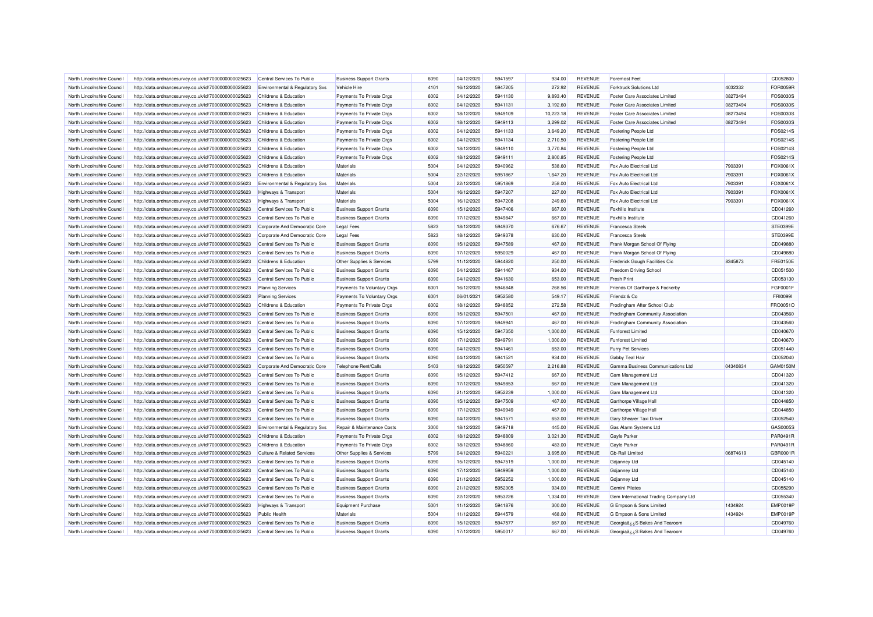| North Lincolnshire Council | http://data.ordnancesurvey.co.uk/id/7000000000025623 | Central Services To Public                | <b>Business Support Grants</b> | 6090         | 04/12/2020               | 5941597 | 934.00    | <b>REVENUE</b> | <b>Foremost Feet</b>                  |          | CD052800        |
|----------------------------|------------------------------------------------------|-------------------------------------------|--------------------------------|--------------|--------------------------|---------|-----------|----------------|---------------------------------------|----------|-----------------|
| North Lincolnshire Council | http://data.ordnancesurvey.co.uk/id/7000000000025623 | <b>Environmental &amp; Regulatory Svs</b> | Vehicle Hire                   | 4101         | 16/12/2020               | 5947205 | 272.92    | <b>REVENUE</b> | <b>Forktruck Solutions Ltd</b>        | 4032332  | FOR0059R        |
| North Lincolnshire Council | http://data.ordnancesurvey.co.uk/id/7000000000025623 | Childrens & Education                     | Payments To Private Orgs       | 6002         | 04/12/2020               | 5941130 | 9,893.40  | REVENUE        | <b>Foster Care Associates Limited</b> | 08273494 | FOS0030S        |
| North Lincolnshire Council | http://data.ordnancesurvey.co.uk/id/7000000000025623 | Childrens & Education                     | Payments To Private Oras       | 6002         | 04/12/2020               | 5941131 | 3,192.60  | <b>REVENUE</b> | <b>Foster Care Associates Limited</b> | 08273494 | FOS0030S        |
| North Lincolnshire Council | http://data.ordnancesurvey.co.uk/id/7000000000025623 | Childrens & Education                     | Payments To Private Orgs       | 6002         | 18/12/2020               | 5949109 | 10,223.18 | <b>REVENUE</b> | <b>Foster Care Associates Limited</b> | 08273494 | FOS0030S        |
| North Lincolnshire Council | http://data.ordnancesurvey.co.uk/id/7000000000025623 | Childrens & Education                     | Payments To Private Orgs       | 6002         | 18/12/2020               | 5949113 | 3,299.02  | <b>REVENUE</b> | <b>Foster Care Associates Limited</b> | 08273494 | FOS0030S        |
| North Lincolnshire Council | http://data.ordnancesurvey.co.uk/id/7000000000025623 | Childrens & Education                     | Payments To Private Orgs       | 6002         | 04/12/2020               | 5941133 | 3,649.20  | <b>REVENUE</b> | Fostering People Ltd                  |          | FOS0214S        |
| North Lincolnshire Council | http://data.ordnancesurvey.co.uk/id/7000000000025623 | Childrens & Education                     | Payments To Private Orgs       | 6002         | 04/12/2020               | 5941134 | 2,710.50  | <b>REVENUE</b> | Fostering People Ltd                  |          | FOS02149        |
| North Lincolnshire Council | http://data.ordnancesurvey.co.uk/id/7000000000025623 | Childrens & Education                     | Payments To Private Orgs       | 6002         | 18/12/2020               | 5949110 | 3,770.84  | <b>REVENUE</b> | Fostering People Ltd                  |          | FOS0214S        |
| North Lincolnshire Council | http://data.ordnancesurvey.co.uk/id/7000000000025623 | Childrens & Education                     | Payments To Private Orgs       | 6002         | 18/12/2020               | 5949111 | 2,800.85  | <b>REVENUE</b> | <b>Fostering People Ltd</b>           |          | FOS02149        |
| North Lincolnshire Council | http://data.ordnancesurvey.co.uk/id/7000000000025623 | Childrens & Education                     | Materials                      | 5004         | 04/12/2020               | 5940962 | 538.60    | <b>REVENUE</b> | Fox Auto Electrical Ltd               | 7903391  | FOX0061X        |
| North Lincolnshire Council | http://data.ordnancesurvey.co.uk/id/7000000000025623 | <b>Childrens &amp; Education</b>          | Materials                      | 5004         | 22/12/2020               | 5951867 | 1,647.20  | <b>REVENUE</b> | Fox Auto Electrical Ltd               | 7903391  | FOX0061X        |
| North Lincolnshire Council | http://data.ordnancesurvey.co.uk/id/7000000000025623 | Environmental & Regulatory Svs            | Materials                      | 5004         | 22/12/2020               | 5951869 | 258.00    | <b>REVENUE</b> | Fox Auto Electrical Ltd               | 7903391  | FOX0061X        |
| North Lincolnshire Council | http://data.ordnancesurvey.co.uk/id/7000000000025623 | Highways & Transport                      | Materials                      | 5004         | 16/12/2020               | 5947207 | 227.00    | <b>REVENUE</b> | Fox Auto Flectrical Ltd               | 7903391  | FOX0061X        |
| North Lincolnshire Council | http://data.ordnancesurvey.co.uk/id/7000000000025623 | Highways & Transport                      | <b>Materials</b>               | 5004         | 16/12/2020               | 5947208 | 249.60    | <b>REVENUE</b> | Fox Auto Electrical Ltd               | 7903391  | FOX0061X        |
| North Lincolnshire Council | http://data.ordnancesurvey.co.uk/id/7000000000025623 | Central Services To Public                | <b>Business Support Grants</b> | 6090         | 15/12/2020               | 5947406 | 667.00    | <b>REVENUE</b> | Foxhills Institute                    |          | CD041260        |
|                            |                                                      |                                           |                                |              |                          |         |           | <b>REVENUE</b> |                                       |          |                 |
| North Lincolnshire Council | http://data.ordnancesurvey.co.uk/id/7000000000025623 | Central Services To Public                | <b>Business Support Grants</b> | 6090<br>5823 | 17/12/2020               | 5949847 | 667.00    |                | Foxhills Institute                    |          | CD041260        |
| North Lincolnshire Council | http://data.ordnancesurvey.co.uk/id/7000000000025623 | Corporate And Democratic Core             | <b>Legal Fees</b>              |              | 18/12/2020               | 5949370 | 676.67    | <b>REVENUE</b> | <b>Francesca Steels</b>               |          | STE0399E        |
| North Lincolnshire Council | http://data.ordnancesurvey.co.uk/id/7000000000025623 | Corporate And Democratic Core             | <b>Legal Fees</b>              | 5823         | 18/12/2020               | 5949378 | 630.00    | <b>REVENUE</b> | <b>Francesca Steels</b>               |          | STE0399E        |
| North Lincolnshire Council | http://data.ordnancesurvey.co.uk/id/7000000000025623 | Central Services To Public                | <b>Business Support Grants</b> | 6090         | 15/12/2020               | 5947589 | 467.00    | <b>REVENUE</b> | Frank Morgan School Of Flying         |          | CD049880        |
| North Lincolnshire Council | http://data.ordnancesurvey.co.uk/id/7000000000025623 | Central Services To Public                | <b>Business Support Grants</b> | 6090         | 17/12/2020               | 5950029 | 467.00    | <b>REVENUE</b> | Frank Morgan School Of Flying         |          | CD049880        |
| North Lincolnshire Council | http://data.ordnancesurvey.co.uk/id/7000000000025623 | Childrens & Education                     | Other Supplies & Services      | 5799         | 11/12/2020               | 5944820 | 250.00    | <b>REVENUE</b> | Frederick Gough Facilities Cic        | 8345873  | <b>FRE0150E</b> |
| North Lincolnshire Council | http://data.ordnancesurvey.co.uk/id/7000000000025623 | Central Services To Public                | <b>Business Support Grants</b> | 6090         | 04/12/2020               | 5941467 | 934.00    | <b>REVENUE</b> | Freedom Driving School                |          | CD051500        |
| North Lincolnshire Council | http://data.ordnancesurvey.co.uk/id/7000000000025623 | Central Services To Public                | <b>Business Support Grants</b> | 6090         | 04/12/2020               | 5941630 | 653.00    | <b>REVENUE</b> | <b>Fresh Print</b>                    |          | CD053130        |
| North Lincolnshire Council | http://data.ordnancesurvey.co.uk/id/7000000000025623 | <b>Planning Services</b>                  | Payments To Voluntary Orgs     | 6001         | 16/12/2020               | 5946848 | 268.56    | <b>REVENUE</b> | Friends Of Garthorpe & Fockerby       |          | FGF0001F        |
| North Lincolnshire Council | http://data.ordnancesurvey.co.uk/id/7000000000025623 | <b>Planning Services</b>                  | Payments To Voluntary Orgs     | 6001         | 06/01/2021               | 5952580 | 549.17    | <b>REVENUE</b> | Friendz & Co                          |          | <b>FRI00991</b> |
| North Lincolnshire Council | http://data.ordnancesurvey.co.uk/id/7000000000025623 | Childrens & Education                     | Payments To Private Orgs       | 6002         | 18/12/2020               | 5948852 | 272.58    | <b>REVENUE</b> | Frodingham After School Club          |          | FRO0051O        |
| North Lincolnshire Council | http://data.ordnancesurvey.co.uk/id/7000000000025623 | Central Services To Public                | <b>Business Support Grants</b> | 6090         | 15/12/2020               | 5947501 | 467.00    | <b>REVENUE</b> | Frodingham Community Association      |          | CD043560        |
| North Lincolnshire Council | http://data.ordnancesurvey.co.uk/id/7000000000025623 | Central Services To Public                | <b>Business Support Grants</b> | 6090         | 17/12/2020               | 5949941 | 467.00    | <b>REVENUE</b> | Frodingham Community Association      |          | CD043560        |
| North Lincolnshire Council | http://data.ordnancesurvey.co.uk/id/7000000000025623 | Central Services To Public                | <b>Business Support Grants</b> | 6090         | 15/12/2020               | 5947350 | 1,000.00  | <b>REVENUE</b> | <b>Funforest Limited</b>              |          | CD040670        |
| North Lincolnshire Council | http://data.ordnancesurvey.co.uk/id/7000000000025623 | Central Services To Public                | <b>Business Support Grants</b> | 6090         | 17/12/2020               | 5949791 | 1,000.00  | <b>REVENUE</b> | <b>Funforest Limited</b>              |          | CD040670        |
| North Lincolnshire Council | http://data.ordnancesurvey.co.uk/id/7000000000025623 | Central Services To Public                | <b>Business Support Grants</b> | 6090         | 04/12/2020               | 5941461 | 653.00    | <b>REVENUE</b> | <b>Furry Pet Services</b>             |          | CD051440        |
| North Lincolnshire Council | http://data.ordnancesurvey.co.uk/id/7000000000025623 | Central Services To Public                | <b>Business Support Grants</b> | 6090         | 04/12/2020               | 5941521 | 934.00    | <b>REVENUE</b> | Gabby Teal Hair                       |          | CD052040        |
| North Lincolnshire Council | http://data.ordnancesurvey.co.uk/id/7000000000025623 | Corporate And Democratic Core             | Telephone Rent/Calls           | 5403         | 18/12/2020               | 5950597 | 2,216.88  | <b>REVENUE</b> | Gamma Business Communications Ltd     | 04340834 | GAM0150M        |
| North Lincolnshire Council | http://data.ordnancesurvey.co.uk/id/7000000000025623 | Central Services To Public                | <b>Business Support Grants</b> | 6090         | 15/12/2020               | 5947412 | 667.00    | <b>REVENUE</b> | Gam Management Ltd                    |          | CD041320        |
| North Lincolnshire Council | http://data.ordnancesurvey.co.uk/id/7000000000025623 | Central Services To Public                | <b>Business Support Grants</b> | 6090         | 17/12/2020               | 5949853 | 667.00    | <b>REVENUE</b> | Gam Management Ltd                    |          | CD041320        |
| North Lincolnshire Council | http://data.ordnancesurvey.co.uk/id/7000000000025623 | Central Services To Public                | <b>Business Support Grants</b> | 6090         | 21/12/2020               | 5952239 | 1,000.00  | <b>REVENUE</b> | Gam Management Ltd                    |          | CD041320        |
| North Lincolnshire Council | http://data.ordnancesurvey.co.uk/id/7000000000025623 | Central Services To Public                | <b>Business Support Grants</b> | 6090         | 15/12/2020               | 5947509 | 467.00    | <b>REVENUE</b> | Garthorpe Village Hall                |          | CD044850        |
| North Lincolnshire Council | http://data.ordnancesurvey.co.uk/id/7000000000025623 | Central Services To Public                | <b>Business Support Grants</b> | 6090         | 17/12/2020               | 5949949 | 467.00    | <b>REVENUE</b> | Garthorpe Village Hall                |          | CD044850        |
| North Lincolnshire Council | http://data.ordnancesurvey.co.uk/id/7000000000025623 | Central Services To Public                | <b>Business Support Grants</b> | 6090         | 04/12/2020               | 5941571 | 653.00    | <b>REVENUE</b> | Gary Shearer Taxi Driver              |          | CD052540        |
| North Lincolnshire Council | http://data.ordnancesurvey.co.uk/id/7000000000025623 | <b>Environmental &amp; Regulatory Svs</b> | Repair & Maintenance Costs     | 3000         | 18/12/2020               | 5949718 | 445.00    | <b>REVENUE</b> | Gas Alarm Systems Ltd                 |          | GAS00055        |
| North Lincolnshire Council | http://data.ordnancesurvey.co.uk/id/7000000000025623 | Childrens & Education                     | Payments To Private Orgs       | 6002         | 18/12/2020               | 5948809 | 3,021.30  | <b>REVENUE</b> | Gayle Parker                          |          | PAR0491F        |
| North Lincolnshire Council | http://data.ordnancesurvey.co.uk/id/7000000000025623 | <b>Childrens &amp; Education</b>          | Payments To Private Orgs       | 6002         | 18/12/2020               | 5948860 | 483.00    | <b>REVENUE</b> | <b>Gayle Parker</b>                   |          | PAR0491R        |
| North Lincolnshire Council | http://data.ordnancesurvey.co.uk/id/7000000000025623 | <b>Culture &amp; Related Services</b>     | Other Supplies & Services      | 5799         | 04/12/2020               | 5940221 | 3,695.00  | <b>REVENUE</b> | Gb-Rail Limited                       | 06874619 | GBR0001R        |
| North Lincolnshire Council | http://data.ordnancesurvey.co.uk/id/7000000000025623 | Central Services To Public                | <b>Business Support Grants</b> | 6090         | 15/12/2020               | 5947519 | 1,000.00  | <b>REVENUE</b> | Gdjanney Ltd                          |          | CD045140        |
| North Lincolnshire Council | http://data.ordnancesurvey.co.uk/id/7000000000025623 | Central Services To Public                | <b>Business Support Grants</b> | 6090         | 17/12/2020               | 5949959 | 1,000.00  | <b>REVENUE</b> | <b>Gdjanney Ltd</b>                   |          | CD045140        |
| North Lincolnshire Council | http://data.ordnancesurvey.co.uk/id/7000000000025623 | Central Services To Public                | <b>Business Support Grants</b> | 6090         | 21/12/2020               | 5952252 | 1,000.00  | <b>REVENUE</b> | Gdjanney Ltd                          |          | CD045140        |
| North Lincolnshire Council | http://data.ordnancesurvey.co.uk/id/7000000000025623 | Central Services To Public                | <b>Business Support Grants</b> | 6090         | 21/12/2020               | 5952305 | 934.00    | <b>REVENUE</b> | Gemini Pilates                        |          | CD055290        |
| North Lincolnshire Council |                                                      | Central Services To Public                |                                | 6090         |                          | 5953226 |           | <b>REVENUE</b> |                                       |          | CD055340        |
| North Lincolnshire Council | http://data.ordnancesurvey.co.uk/id/7000000000025623 |                                           | <b>Business Support Grants</b> | 5001         | 22/12/2020<br>11/12/2020 | 5941876 | 1,334.00  | <b>REVENUE</b> | Gem International Trading Company Ltd | 1434924  | <b>EMP0019F</b> |
|                            | http://data.ordnancesurvey.co.uk/id/7000000000025623 | Highways & Transport                      | <b>Equipment Purchase</b>      |              |                          |         | 300.00    |                | G Empson & Sons Limited               |          |                 |
| North Lincolnshire Council | http://data.ordnancesurvey.co.uk/id/7000000000025623 | <b>Public Health</b>                      | Materials                      | 5004         | 11/12/2020               | 5944579 | 468.00    | <b>REVENUE</b> | G Empson & Sons Limited               | 1434924  | <b>EMP0019P</b> |
| North Lincolnshire Council | http://data.ordnancesurvey.co.uk/id/7000000000025623 | Central Services To Public                | <b>Business Support Grants</b> | 6090         | 15/12/2020               | 5947577 | 667.00    | <b>REVENUE</b> | Georgiaâ ¿¿S Bakes And Tearoom        |          | CD049760        |
| North Lincolnshire Council | http://data.ordnancesurvey.co.uk/id/7000000000025623 | Central Services To Public                | <b>Business Support Grants</b> | 6090         | 17/12/2020               | 5950017 | 667.00    | <b>REVENUE</b> | Georgiaâ¿¿S Bakes And Tearoom         |          | CD049760        |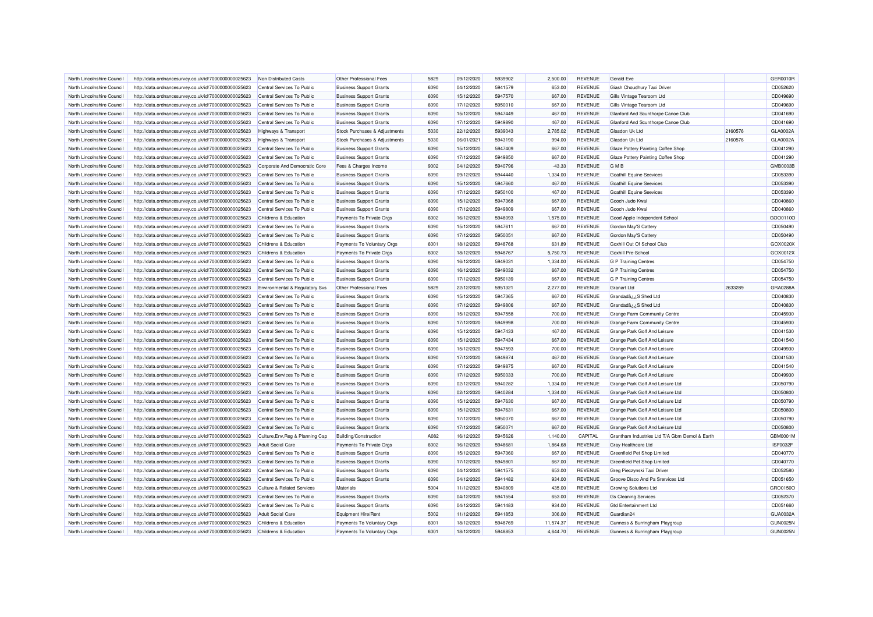| North Lincolnshire Council | http://data.ordnancesurvey.co.uk/id/7000000000025623                                                         | Non Distributed Costs                 | Other Professional Fees        | 5829 | 09/12/2020 | 5939902 | 2.500.00  | <b>REVENUE</b> | <b>Gerald Eve</b>                             |         | <b>GER0010R</b> |
|----------------------------|--------------------------------------------------------------------------------------------------------------|---------------------------------------|--------------------------------|------|------------|---------|-----------|----------------|-----------------------------------------------|---------|-----------------|
| North Lincolnshire Council | http://data.ordnancesurvey.co.uk/id/7000000000025623                                                         | Central Services To Public            | <b>Business Support Grants</b> | 6090 | 04/12/2020 | 5941579 | 653.00    | <b>REVENUE</b> | Giash Choudhury Taxi Driver                   |         | CD052620        |
| North Lincolnshire Council | http://data.ordnancesurvey.co.uk/id/7000000000025623                                                         | Central Services To Public            | <b>Business Support Grants</b> | 6090 | 15/12/2020 | 5947570 | 667.00    | <b>REVENUE</b> | Gills Vintage Tearoom Ltd                     |         | CD049690        |
| North Lincolnshire Council | http://data.ordnancesurvey.co.uk/id/7000000000025623                                                         | Central Services To Public            | <b>Business Support Grants</b> | 6090 | 17/12/2020 | 5950010 | 667.00    | <b>REVENUE</b> | Gills Vintage Tearoom Ltd                     |         | CD049690        |
| North Lincolnshire Council | http://data.ordnancesurvey.co.uk/id/7000000000025623                                                         | Central Services To Public            | <b>Business Support Grants</b> | 6090 | 15/12/2020 | 5947449 | 467.00    | <b>REVENUE</b> | Glanford And Scunthorpe Canoe Club            |         | CD041690        |
| North Lincolnshire Council | http://data.ordnancesurvey.co.uk/id/7000000000025623                                                         | Central Services To Public            | <b>Business Support Grants</b> | 6090 | 17/12/2020 | 5949890 | 467.00    | <b>REVENUE</b> | Glanford And Scunthorpe Canoe Club            |         | CD041690        |
| North Lincolnshire Council | http://data.ordnancesurvey.co.uk/id/7000000000025623                                                         | Highways & Transport                  | Stock Purchases & Adjustments  | 5030 | 22/12/2020 | 5939043 | 2,785.02  | <b>REVENUE</b> | Glasdon Uk Ltd                                | 2160576 | GLA0002A        |
| North Lincolnshire Council | http://data.ordnancesurvey.co.uk/id/7000000000025623                                                         | <b>Highways &amp; Transport</b>       | Stock Purchases & Adjustments  | 5030 | 06/01/2021 | 5943190 | 994.00    | <b>REVENUE</b> | Glasdon Uk Ltd                                | 2160576 | GLA0002A        |
| North Lincolnshire Council | http://data.ordnancesurvey.co.uk/id/7000000000025623                                                         | Central Services To Public            | <b>Business Support Grants</b> | 6090 | 15/12/2020 | 5947409 | 667.00    | <b>REVENUE</b> | Glaze Pottery Painting Coffee Shop            |         | CD041290        |
| North Lincolnshire Council | http://data.ordnancesurvey.co.uk/id/7000000000025623                                                         | Central Services To Public            | <b>Business Support Grants</b> | 6090 | 17/12/2020 | 5949850 | 667.00    | <b>REVENUE</b> | Glaze Pottery Painting Coffee Shop            |         | CD041290        |
| North Lincolnshire Council | http://data.ordnancesurvey.co.uk/id/7000000000025623                                                         | Corporate And Democratic Core         | Fees & Charges Income          | 9002 | 04/12/2020 | 5940796 | $-43.33$  | <b>REVENUE</b> | <b>GMB</b>                                    |         | GMB0003B        |
| North Lincolnshire Council | http://data.ordnancesurvey.co.uk/id/7000000000025623                                                         | Central Services To Public            | <b>Business Support Grants</b> | 6090 | 09/12/2020 | 5944440 | 1,334.00  | <b>REVENUE</b> | <b>Goathill Equine Seevices</b>               |         | CD053390        |
| North Lincolnshire Council | http://data.ordnancesurvey.co.uk/id/7000000000025623                                                         | Central Services To Public            | <b>Business Support Grants</b> | 6090 | 15/12/2020 | 5947660 | 467.00    | <b>REVENUE</b> | Goathill Equine Seevices                      |         | CD053390        |
| North Lincolnshire Council | http://data.ordnancesurvey.co.uk/id/7000000000025623                                                         | Central Services To Public            | <b>Business Support Grants</b> | 6090 | 17/12/2020 | 5950100 | 467.00    | <b>REVENUE</b> | Goathill Equine Seevices                      |         | CD053390        |
| North Lincolnshire Council | http://data.ordnancesurvey.co.uk/id/7000000000025623                                                         | Central Services To Public            | <b>Business Support Grants</b> | 6090 | 15/12/2020 | 5947368 | 667.00    | <b>REVENUE</b> | Gooch Judo Kwai                               |         | CD040860        |
| North Lincolnshire Council | http://data.ordnancesurvey.co.uk/id/7000000000025623                                                         | Central Services To Public            | <b>Business Support Grants</b> | 6090 | 17/12/2020 | 5949809 | 667.00    | <b>REVENUE</b> | Gooch Judo Kwai                               |         | CD040860        |
| North Lincolnshire Council | http://data.ordnancesurvey.co.uk/id/7000000000025623                                                         | Childrens & Education                 | Payments To Private Orgs       | 6002 | 16/12/2020 | 5948093 | 1,575.00  | <b>REVENUE</b> | Good Apple Independent School                 |         | GOO0110O        |
| North Lincolnshire Council | http://data.ordnancesurvey.co.uk/id/7000000000025623                                                         | Central Services To Public            | <b>Business Support Grants</b> | 6090 | 15/12/2020 | 5947611 | 667.00    | <b>REVENUE</b> | Gordon May'S Catter                           |         | CD050490        |
| North Lincolnshire Council | http://data.ordnancesurvey.co.uk/id/7000000000025623                                                         | Central Services To Public            | <b>Business Support Grants</b> | 6090 | 17/12/2020 | 5950051 | 667.00    | <b>REVENUE</b> | Gordon May'S Cattery                          |         | CD050490        |
| North Lincolnshire Council | http://data.ordnancesurvey.co.uk/id/7000000000025623                                                         | Childrens & Education                 | Payments To Voluntary Orgs     | 6001 | 18/12/2020 | 5948768 | 631.89    | <b>REVENUE</b> | Goxhill Out Of School Club                    |         | GOX0020X        |
| North Lincolnshire Council | http://data.ordnancesurvey.co.uk/id/7000000000025623                                                         | Childrens & Education                 | Payments To Private Orgs       | 6002 | 18/12/2020 | 5948767 | 5,750.73  | <b>REVENUE</b> | Goxhill Pre-School                            |         | GOX0012X        |
| North Lincolnshire Council |                                                                                                              | Central Services To Public            | <b>Business Support Grants</b> | 6090 | 16/12/2020 | 5949031 | 1,334.00  | <b>REVENUE</b> | G P Training Centres                          |         | CD054750        |
| North Lincolnshire Council | http://data.ordnancesurvey.co.uk/id/7000000000025623<br>http://data.ordnancesurvey.co.uk/id/7000000000025623 | Central Services To Public            | <b>Business Support Grants</b> | 6090 | 16/12/2020 | 5949032 | 667.00    | <b>REVENUE</b> | <b>G P Training Centres</b>                   |         | CD054750        |
| North Lincolnshire Council | http://data.ordnancesurvey.co.uk/id/7000000000025623                                                         | Central Services To Public            | <b>Business Support Grants</b> | 6090 | 17/12/2020 | 5950139 | 667.00    | <b>REVENUE</b> | <b>G P Training Centres</b>                   |         | CD054750        |
|                            |                                                                                                              |                                       | Other Professional Fees        | 5829 | 22/12/2020 | 5951321 | 2,277.00  | <b>REVENUE</b> |                                               | 2633289 | GRA0288/        |
| North Lincolnshire Council | http://data.ordnancesurvey.co.uk/id/7000000000025623                                                         | Environmental & Regulatory Svs        |                                |      |            |         |           |                | <b>Granart Ltd</b>                            |         |                 |
| North Lincolnshire Council | http://data.ordnancesurvey.co.uk/id/7000000000025623                                                         | Central Services To Public            | <b>Business Support Grants</b> | 6090 | 15/12/2020 | 5947365 | 667.00    | <b>REVENUE</b> | Grandada ¿¿S Shed Ltd                         |         | CD040830        |
| North Lincolnshire Council | http://data.ordnancesurvey.co.uk/id/7000000000025623                                                         | Central Services To Public            | <b>Business Support Grants</b> | 6090 | 17/12/2020 | 5949806 | 667.00    | <b>REVENUE</b> | Grandadå¿¿S Shed Ltd                          |         | CD040830        |
| North Lincolnshire Council | http://data.ordnancesurvey.co.uk/id/7000000000025623                                                         | Central Services To Public            | <b>Business Support Grants</b> | 6090 | 15/12/2020 | 5947558 | 700.00    | <b>REVENUE</b> | Grange Farm Community Centre                  |         | CD045930        |
| North Lincolnshire Council | http://data.ordnancesurvey.co.uk/id/7000000000025623                                                         | Central Services To Public            | <b>Business Support Grants</b> | 6090 | 17/12/2020 | 5949998 | 700.00    | <b>REVENUE</b> | Grange Farm Community Centre                  |         | CD045930        |
| North Lincolnshire Council | http://data.ordnancesurvey.co.uk/id/7000000000025623                                                         | Central Services To Public            | <b>Business Support Grants</b> | 6090 | 15/12/2020 | 5947433 | 467.00    | REVENUE        | Grange Park Golf And Leisure                  |         | CD041530        |
| North Lincolnshire Council | http://data.ordnancesurvey.co.uk/id/7000000000025623                                                         | Central Services To Public            | <b>Business Support Grants</b> | 6090 | 15/12/2020 | 5947434 | 667.00    | <b>REVENUE</b> | Grange Park Golf And Leisure                  |         | CD041540        |
| North Lincolnshire Council | http://data.ordnancesurvey.co.uk/id/7000000000025623                                                         | Central Services To Public            | <b>Business Support Grants</b> | 6090 | 15/12/2020 | 5947593 | 700.00    | <b>REVENUE</b> | Grange Park Golf And Leisure                  |         | CD049930        |
| North Lincolnshire Council | http://data.ordnancesurvey.co.uk/id/7000000000025623                                                         | Central Services To Public            | <b>Business Support Grants</b> | 6090 | 17/12/2020 | 5949874 | 467.00    | <b>REVENUE</b> | Grange Park Golf And Leisure                  |         | CD041530        |
| North Lincolnshire Council | http://data.ordnancesurvey.co.uk/id/7000000000025623                                                         | Central Services To Public            | <b>Business Support Grants</b> | 6090 | 17/12/2020 | 5949875 | 667.00    | <b>REVENUE</b> | Grange Park Golf And Leisure                  |         | CD041540        |
| North Lincolnshire Council | http://data.ordnancesurvey.co.uk/id/7000000000025623                                                         | Central Services To Public            | <b>Business Support Grants</b> | 6090 | 17/12/2020 | 5950033 | 700.00    | <b>REVENUE</b> | Grange Park Golf And Leisure                  |         | CD049930        |
| North Lincolnshire Council | http://data.ordnancesurvey.co.uk/id/7000000000025623                                                         | Central Services To Public            | <b>Business Support Grants</b> | 6090 | 02/12/2020 | 5940282 | 1,334.00  | <b>REVENUE</b> | Grange Park Golf And Leisure Ltd              |         | CD050790        |
| North Lincolnshire Council | http://data.ordnancesurvey.co.uk/id/7000000000025623                                                         | Central Services To Public            | <b>Business Support Grants</b> | 6090 | 02/12/2020 | 5940284 | 1,334.00  | <b>REVENUE</b> | Grange Park Golf And Leisure Ltd              |         | CD050800        |
| North Lincolnshire Council | http://data.ordnancesurvey.co.uk/id/7000000000025623                                                         | Central Services To Public            | <b>Business Support Grants</b> | 6090 | 15/12/2020 | 5947630 | 667.00    | <b>REVENUE</b> | Grange Park Golf And Leisure Ltd              |         | CD050790        |
| North Lincolnshire Council | http://data.ordnancesurvey.co.uk/id/7000000000025623                                                         | Central Services To Public            | <b>Business Support Grants</b> | 6090 | 15/12/2020 | 5947631 | 667.00    | <b>REVENUE</b> | Grange Park Golf And Leisure Ltd              |         | CD050800        |
| North Lincolnshire Council | http://data.ordnancesurvey.co.uk/id/7000000000025623                                                         | Central Services To Public            | <b>Business Support Grants</b> | 6090 | 17/12/2020 | 5950070 | 667.00    | <b>REVENUE</b> | Grange Park Golf And Leisure Ltd              |         | CD050790        |
| North Lincolnshire Council | http://data.ordnancesurvey.co.uk/id/7000000000025623                                                         | Central Services To Public            | <b>Business Support Grants</b> | 6090 | 17/12/2020 | 5950071 | 667.00    | <b>REVENUE</b> | Grange Park Golf And Leisure Ltd              |         | CD050800        |
| North Lincolnshire Council | http://data.ordnancesurvey.co.uk/id/7000000000025623                                                         | Culture, Env, Reg & Planning Cap      | Building/Construction          | A082 | 16/12/2020 | 5945626 | 1,140.00  | CAPITAL        | Grantham Industries Ltd T/A Gbm Demol & Earth |         | GBM0001M        |
| North Lincolnshire Council | http://data.ordnancesurvey.co.uk/id/7000000000025623                                                         | <b>Adult Social Care</b>              | Payments To Private Orgs       | 6002 | 16/12/2020 | 5948681 | 1,864.68  | <b>REVENUE</b> | <b>Gray Healthcare Ltd</b>                    |         | ISF0032F        |
| North Lincolnshire Council | http://data.ordnancesurvey.co.uk/id/7000000000025623                                                         | Central Services To Public            | <b>Business Support Grants</b> | 6090 | 15/12/2020 | 5947360 | 667.00    | <b>REVENUE</b> | Greenfield Pet Shop Limited                   |         | CD040770        |
| North Lincolnshire Council | http://data.ordnancesurvey.co.uk/id/7000000000025623                                                         | Central Services To Public            | <b>Business Support Grants</b> | 6090 | 17/12/2020 | 5949801 | 667.00    | <b>REVENUE</b> | Greenfield Pet Shop Limited                   |         | CD040770        |
| North Lincolnshire Council | http://data.ordnancesurvey.co.uk/id/7000000000025623                                                         | Central Services To Public            | <b>Business Support Grants</b> | 6090 | 04/12/2020 | 5941575 | 653.00    | <b>REVENUE</b> | Greg Pieczynski Taxi Driver                   |         | CD052580        |
| North Lincolnshire Council | http://data.ordnancesurvey.co.uk/id/7000000000025623                                                         | Central Services To Public            | <b>Business Support Grants</b> | 6090 | 04/12/2020 | 5941482 | 934.00    | <b>REVENUE</b> | Groove Disco And Pa Srervices Ltd             |         | CD051650        |
| North Lincolnshire Council | http://data.ordnancesurvey.co.uk/id/7000000000025623                                                         | <b>Culture &amp; Related Services</b> | Materials                      | 5004 | 11/12/2020 | 5940809 | 435.00    | <b>REVENUE</b> | <b>Growing Solutions Ltd</b>                  |         | GRO0150C        |
| North Lincolnshire Council | http://data.ordnancesurvey.co.uk/id/7000000000025623                                                         | Central Services To Public            | <b>Business Support Grants</b> | 6090 | 04/12/2020 | 5941554 | 653.00    | <b>REVENUE</b> | <b>Gs Cleaning Services</b>                   |         | CD052370        |
| North Lincolnshire Council | http://data.ordnancesurvey.co.uk/id/7000000000025623                                                         | Central Services To Public            | <b>Business Support Grants</b> | 6090 | 04/12/2020 | 5941483 | 934.00    | <b>REVENUE</b> | <b>Gtd Entertainment Ltd</b>                  |         | CD051660        |
| North Lincolnshire Council | http://data.ordnancesurvey.co.uk/id/7000000000025623                                                         | <b>Adult Social Care</b>              | Equipment Hire/Ren             | 5002 | 11/12/2020 | 5941853 | 306.00    | <b>REVENUE</b> | Guardian24                                    |         | GUA0032A        |
| North Lincolnshire Council | http://data.ordnancesurvey.co.uk/id/7000000000025623                                                         | Childrens & Education                 | Payments To Voluntary Orgs     | 6001 | 18/12/2020 | 5948769 | 11,574.37 | REVENUE        | Gunness & Burringham Playgroup                |         | <b>GUN0025M</b> |
| North Lincolnshire Council | http://data.ordnancesurvey.co.uk/id/7000000000025623                                                         | Childrens & Education                 | Payments To Voluntary Orgs     | 6001 | 18/12/2020 | 5948853 | 4,644.70  | <b>REVENUE</b> | Gunness & Burringham Playgroup                |         | <b>GUN0025N</b> |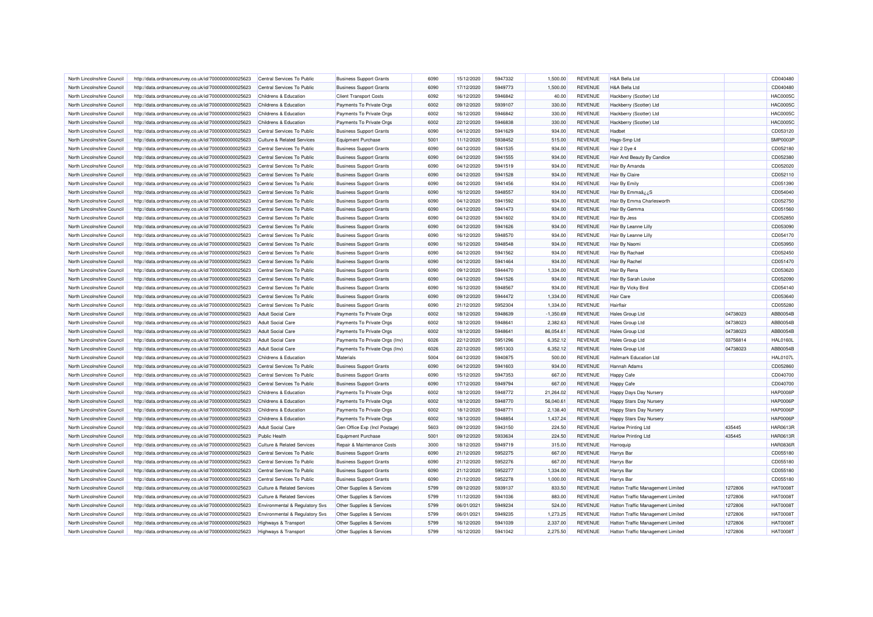| North Lincolnshire Council | http://data.ordnancesurvey.co.uk/id/7000000000025623 | Central Services To Public            | <b>Business Support Grants</b> | 6090 | 15/12/2020 | 5947332 | 1.500.00    | <b>REVENUE</b> | H&A Bella Ltd                     |          | CD040480        |
|----------------------------|------------------------------------------------------|---------------------------------------|--------------------------------|------|------------|---------|-------------|----------------|-----------------------------------|----------|-----------------|
| North Lincolnshire Council | http://data.ordnancesurvey.co.uk/id/7000000000025623 | Central Services To Public            | <b>Business Support Grants</b> | 6090 | 17/12/2020 | 5949773 | 1,500.00    | <b>REVENUE</b> | H&A Bella Ltd                     |          | CD040480        |
| North Lincolnshire Council | http://data.ordnancesurvey.co.uk/id/7000000000025623 | Childrens & Education                 | <b>Client Transport Costs</b>  | 6092 | 16/12/2020 | 5946842 | 40.00       | <b>REVENUE</b> | Hackberry (Scotter) Ltd           |          | <b>HAC0005C</b> |
| North Lincolnshire Council | http://data.ordnancesurvey.co.uk/id/7000000000025623 | Childrens & Education                 | Payments To Private Orgs       | 6002 | 09/12/2020 | 5939107 | 330.00      | <b>REVENUE</b> | Hackberry (Scotter) Ltd           |          | <b>HAC0005C</b> |
| North Lincolnshire Council | http://data.ordnancesurvey.co.uk/id/7000000000025623 | Childrens & Education                 | Payments To Private Orgs       | 6002 | 16/12/2020 | 5946842 | 330.00      | <b>REVENUE</b> | Hackberry (Scotter) Ltd           |          | <b>HAC0005C</b> |
| North Lincolnshire Council | http://data.ordnancesurvey.co.uk/id/7000000000025623 | Childrens & Education                 | Payments To Private Orgs       | 6002 | 22/12/2020 | 5946838 | 330.00      | <b>REVENUE</b> | Hackberry (Scotter) Ltd           |          | <b>HAC0005C</b> |
| North Lincolnshire Council | http://data.ordnancesurvey.co.uk/id/7000000000025623 | Central Services To Public            | <b>Business Support Grants</b> | 6090 | 04/12/2020 | 5941629 | 934.00      | <b>REVENUE</b> | Hadbet                            |          | CD053120        |
| North Lincolnshire Council | http://data.ordnancesurvey.co.uk/id/7000000000025623 | <b>Culture &amp; Related Services</b> | <b>Equipment Purchase</b>      | 5001 | 11/12/2020 | 5938452 | 515.00      | <b>REVENUE</b> | Hags-Smp Ltd                      |          | SMP0003F        |
| North Lincolnshire Council | http://data.ordnancesurvey.co.uk/id/7000000000025623 | Central Services To Public            | <b>Business Support Grants</b> | 6090 | 04/12/2020 | 5941535 | 934.00      | <b>REVENUE</b> | Hair 2 Dye 4                      |          | CD052180        |
| North Lincolnshire Council | http://data.ordnancesurvey.co.uk/id/7000000000025623 | Central Services To Public            | <b>Business Support Grants</b> | 6090 | 04/12/2020 | 5941555 | 934.00      | <b>REVENUE</b> | Hair And Beauty By Candice        |          | CD052380        |
| North Lincolnshire Council | http://data.ordnancesurvey.co.uk/id/7000000000025623 | Central Services To Public            | <b>Business Support Grants</b> | 6090 | 04/12/2020 | 5941519 | 934.00      | <b>REVENUE</b> | Hair By Amanda                    |          | CD052020        |
| North Lincolnshire Council | http://data.ordnancesurvey.co.uk/id/7000000000025623 | Central Services To Public            | <b>Business Support Grants</b> | 6090 | 04/12/2020 | 5941528 | 934.00      | <b>REVENUE</b> | Hair By Claire                    |          | CD052110        |
| North Lincolnshire Council | http://data.ordnancesurvey.co.uk/id/7000000000025623 | Central Services To Public            | <b>Business Support Grants</b> | 6090 | 04/12/2020 | 5941456 | 934.00      | <b>REVENUE</b> | Hair By Emily                     |          | CD051390        |
| North Lincolnshire Council | http://data.ordnancesurvey.co.uk/id/7000000000025623 | Central Services To Public            | <b>Business Support Grants</b> | 6090 | 16/12/2020 | 5948557 | 934.00      | <b>REVENUE</b> | Hair By EmmaâzzS                  |          | CD054040        |
| North Lincolnshire Council | http://data.ordnancesurvey.co.uk/id/7000000000025623 | Central Services To Public            | <b>Business Support Grants</b> | 6090 | 04/12/2020 | 5941592 | 934.00      | <b>REVENUE</b> | Hair By Emma Charlesworth         |          | CD052750        |
| North Lincolnshire Council | http://data.ordnancesurvey.co.uk/id/7000000000025623 | Central Services To Public            | <b>Business Support Grants</b> | 6090 | 04/12/2020 | 5941473 | 934.00      | <b>REVENUE</b> | Hair By Gemma                     |          | CD051560        |
| North Lincolnshire Council |                                                      | Central Services To Public            |                                | 6090 | 04/12/2020 | 5941602 | 934.00      | <b>REVENUE</b> | Hair By Jess                      |          | CD052850        |
|                            | http://data.ordnancesurvey.co.uk/id/7000000000025623 |                                       | <b>Business Support Grants</b> |      |            | 5941626 |             |                |                                   |          |                 |
| North Lincolnshire Council | http://data.ordnancesurvey.co.uk/id/7000000000025623 | Central Services To Public            | <b>Business Support Grants</b> | 6090 | 04/12/2020 |         | 934.00      | <b>REVENUE</b> | Hair By Leanne Lilly              |          | CD053090        |
| North Lincolnshire Council | http://data.ordnancesurvey.co.uk/id/7000000000025623 | Central Services To Public            | <b>Business Support Grants</b> | 6090 | 16/12/2020 | 5948570 | 934.00      | <b>REVENUE</b> | Hair By Leanne Lilly              |          | CD054170        |
| North Lincolnshire Council | http://data.ordnancesurvey.co.uk/id/7000000000025623 | Central Services To Public            | <b>Business Support Grants</b> | 6090 | 16/12/2020 | 5948548 | 934.00      | <b>REVENUE</b> | Hair By Naomi                     |          | CD053950        |
| North Lincolnshire Council | http://data.ordnancesurvey.co.uk/id/7000000000025623 | Central Services To Public            | <b>Business Support Grants</b> | 6090 | 04/12/2020 | 5941562 | 934.00      | <b>REVENUE</b> | Hair By Rachael                   |          | CD052450        |
| North Lincolnshire Council | http://data.ordnancesurvey.co.uk/id/7000000000025623 | Central Services To Public            | <b>Business Support Grants</b> | 6090 | 04/12/2020 | 5941464 | 934.00      | <b>REVENUE</b> | Hair By Rachel                    |          | CD051470        |
| North Lincolnshire Council | http://data.ordnancesurvey.co.uk/id/7000000000025623 | Central Services To Public            | <b>Business Support Grants</b> | 6090 | 09/12/2020 | 5944470 | 1.334.00    | <b>REVENUE</b> | Hair By Rena                      |          | CD053620        |
| North Lincolnshire Council | http://data.ordnancesurvey.co.uk/id/7000000000025623 | Central Services To Public            | <b>Business Support Grants</b> | 6090 | 04/12/2020 | 5941526 | 934.00      | <b>REVENUE</b> | Hair By Sarah Louise              |          | CD052090        |
| North Lincolnshire Council | http://data.ordnancesurvey.co.uk/id/7000000000025623 | Central Services To Public            | <b>Business Support Grants</b> | 6090 | 16/12/2020 | 5948567 | 934.00      | <b>REVENUE</b> | Hair By Vicky Bird                |          | CD054140        |
| North Lincolnshire Council | http://data.ordnancesurvey.co.uk/id/7000000000025623 | Central Services To Public            | <b>Business Support Grants</b> | 6090 | 09/12/2020 | 5944472 | 1,334.00    | <b>REVENUE</b> | Hair Care                         |          | CD053640        |
| North Lincolnshire Council | http://data.ordnancesurvey.co.uk/id/7000000000025623 | Central Services To Public            | <b>Business Support Grants</b> | 6090 | 21/12/2020 | 5952304 | 1,334.00    | <b>REVENUE</b> | Hairflair                         |          | CD055280        |
| North Lincolnshire Council | http://data.ordnancesurvey.co.uk/id/7000000000025623 | <b>Adult Social Care</b>              | Payments To Private Orgs       | 6002 | 18/12/2020 | 5948639 | $-1,350.69$ | <b>REVENUE</b> | <b>Hales Group Ltd</b>            | 04738023 | ABB0054E        |
| North Lincolnshire Council | http://data.ordnancesurvey.co.uk/id/7000000000025623 | <b>Adult Social Care</b>              | Payments To Private Orgs       | 6002 | 18/12/2020 | 594864  | 2,382.63    | <b>REVENUE</b> | Hales Group Ltd                   | 04738023 | ABB0054E        |
| North Lincolnshire Council | http://data.ordnancesurvey.co.uk/id/7000000000025623 | <b>Adult Social Care</b>              | Payments To Private Orgs       | 6002 | 18/12/2020 | 5948641 | 86,054.61   | <b>REVENUE</b> | <b>Hales Group Ltd</b>            | 04738023 | ABB0054E        |
| North Lincolnshire Council | http://data.ordnancesurvey.co.uk/id/7000000000025623 | <b>Adult Social Care</b>              | Payments To Private Orgs (Inv) | 6026 | 22/12/2020 | 5951296 | 6,352.12    | <b>REVENUE</b> | <b>Hales Group Ltd</b>            | 03756814 | <b>HAL0160L</b> |
| North Lincolnshire Council | http://data.ordnancesurvey.co.uk/id/7000000000025623 | <b>Adult Social Care</b>              | Payments To Private Orgs (Inv) | 6026 | 22/12/2020 | 5951303 | 6,352.12    | <b>REVENUE</b> | <b>Hales Group Ltd</b>            | 04738023 | ABB0054E        |
| North Lincolnshire Council | http://data.ordnancesurvey.co.uk/id/7000000000025623 | Childrens & Education                 | Materials                      | 5004 | 04/12/2020 | 5940875 | 500.00      | <b>REVENUE</b> | <b>Hallmark Education Ltd</b>     |          | <b>HAL0107L</b> |
| North Lincolnshire Council | http://data.ordnancesurvey.co.uk/id/7000000000025623 | Central Services To Public            | <b>Business Support Grants</b> | 6090 | 04/12/2020 | 5941603 | 934.00      | <b>REVENUE</b> | Hannah Adams                      |          | CD052860        |
| North Lincolnshire Council | http://data.ordnancesurvey.co.uk/id/7000000000025623 | Central Services To Public            | <b>Business Support Grants</b> | 6090 | 15/12/2020 | 5947353 | 667.00      | <b>REVENUE</b> | <b>Happy Cafe</b>                 |          | CD040700        |
| North Lincolnshire Council | http://data.ordnancesurvey.co.uk/id/7000000000025623 | Central Services To Public            | <b>Business Support Grants</b> | 6090 | 17/12/2020 | 5949794 | 667.00      | <b>REVENUE</b> | Happy Cafe                        |          | CD040700        |
| North Lincolnshire Council | http://data.ordnancesurvey.co.uk/id/7000000000025623 | Childrens & Education                 | Payments To Private Orgs       | 6002 | 18/12/2020 | 5948772 | 21,264.02   | <b>REVENUE</b> | Happy Days Day Nursery            |          | <b>HAP0008F</b> |
| North Lincolnshire Council | http://data.ordnancesurvey.co.uk/id/7000000000025623 | Childrens & Education                 | Payments To Private Orgs       | 6002 | 18/12/2020 | 5948770 | 56,040.61   | <b>REVENUE</b> | Happy Stars Day Nursery           |          | <b>HAP0006F</b> |
| North Lincolnshire Council | http://data.ordnancesurvey.co.uk/id/7000000000025623 | Childrens & Education                 | Payments To Private Orgs       | 6002 | 18/12/2020 | 5948771 | 2,138.40    | <b>REVENUE</b> | <b>Happy Stars Day Nursery</b>    |          | <b>HAP0006F</b> |
| North Lincolnshire Council | http://data.ordnancesurvey.co.uk/id/7000000000025623 | Childrens & Education                 | Payments To Private Orgs       | 6002 | 18/12/2020 | 5948854 | 1,437.24    | <b>REVENUE</b> | Happy Stars Day Nursery           |          | <b>HAP0006F</b> |
| North Lincolnshire Council | http://data.ordnancesurvey.co.uk/id/7000000000025623 | <b>Adult Social Care</b>              | Gen Office Exp (Incl Postage)  | 5603 | 09/12/2020 | 5943150 | 224.50      | <b>REVENUE</b> | <b>Harlow Printing Ltd</b>        | 435445   | <b>HAR0613F</b> |
| North Lincolnshire Council | http://data.ordnancesurvey.co.uk/id/7000000000025623 | <b>Public Health</b>                  | <b>Equipment Purchase</b>      | 5001 | 09/12/2020 | 5933634 | 224.50      | <b>REVENUE</b> | <b>Harlow Printing Ltd</b>        | 435445   | <b>HAR0613F</b> |
| North Lincolnshire Council | http://data.ordnancesurvey.co.uk/id/7000000000025623 | <b>Culture &amp; Related Services</b> | Repair & Maintenance Costs     | 3000 | 18/12/2020 | 5949719 | 315.00      | <b>REVENUE</b> | Harroquip                         |          | <b>HAR0836F</b> |
| North Lincolnshire Council | http://data.ordnancesurvey.co.uk/id/7000000000025623 | Central Services To Public            | <b>Business Support Grants</b> | 6090 | 21/12/2020 | 5952275 | 667.00      | <b>REVENUE</b> | <b>Harrys Bar</b>                 |          | CD055180        |
| North Lincolnshire Council | http://data.ordnancesurvey.co.uk/id/7000000000025623 | Central Services To Public            | <b>Business Support Grants</b> | 6090 | 21/12/2020 | 5952276 | 667.00      | <b>REVENUE</b> | Harrys Bar                        |          | CD055180        |
| North Lincolnshire Council | http://data.ordnancesurvey.co.uk/id/7000000000025623 | Central Services To Public            | <b>Business Support Grants</b> | 6090 | 21/12/2020 | 5952277 | 1,334.00    | <b>REVENUE</b> | Harrys Bar                        |          | CD055180        |
| North Lincolnshire Council | http://data.ordnancesurvey.co.uk/id/7000000000025623 | Central Services To Public            | <b>Business Support Grants</b> | 6090 | 21/12/2020 | 5952278 | 1,000.00    | <b>REVENUE</b> | Harrys Bar                        |          | CD055180        |
| North Lincolnshire Council | http://data.ordnancesurvey.co.uk/id/7000000000025623 | <b>Culture &amp; Related Services</b> | Other Supplies & Services      | 5799 | 09/12/2020 | 5939137 | 833.50      | <b>REVENUE</b> | Hatton Traffic Management Limited | 1272806  | <b>HAT00081</b> |
| North Lincolnshire Council | http://data.ordnancesurvey.co.uk/id/7000000000025623 | <b>Culture &amp; Related Services</b> | Other Supplies & Services      | 5799 | 11/12/2020 | 5941036 | 883.00      | <b>REVENUE</b> | Hatton Traffic Management Limited | 1272806  | <b>HAT0008T</b> |
| North Lincolnshire Council | http://data.ordnancesurvey.co.uk/id/7000000000025623 | Environmental & Regulatory Svs        | Other Supplies & Services      | 5799 | 06/01/2021 | 5949234 | 524.00      | <b>REVENUE</b> | Hatton Traffic Management Limited | 1272806  | <b>HAT0008T</b> |
| North Lincolnshire Council | http://data.ordnancesurvey.co.uk/id/7000000000025623 | Environmental & Regulatory Svs        | Other Supplies & Services      | 5799 | 06/01/2021 | 5949235 | 1,273.25    | <b>REVENUE</b> | Hatton Traffic Management Limited | 1272806  | <b>HAT00081</b> |
| North Lincolnshire Council | http://data.ordnancesurvey.co.uk/id/7000000000025623 | <b>Highways &amp; Transport</b>       | Other Supplies & Services      | 5799 | 16/12/2020 | 5941039 | 2,337.00    | <b>REVENUE</b> | Hatton Traffic Management Limited | 1272806  | <b>HAT0008T</b> |
| North Lincolnshire Council | http://data.ordnancesurvey.co.uk/id/7000000000025623 | Highways & Transport                  | Other Supplies & Services      | 5799 | 16/12/2020 | 5941042 | 2,275.50    | <b>REVENUE</b> | Hatton Traffic Management Limited | 1272806  | <b>HAT0008T</b> |
|                            |                                                      |                                       |                                |      |            |         |             |                |                                   |          |                 |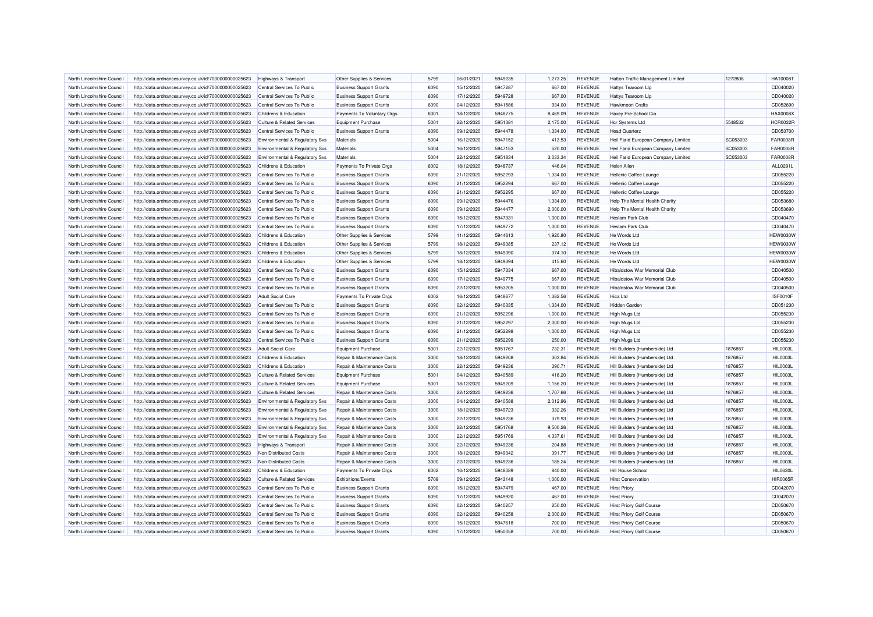| North Lincolnshire Council                               | http://data.ordnancesurvey.co.uk/id/7000000000025623                                                         | Highways & Transport                                   | Other Supplies & Services                                  | 5799 | 06/01/2021 | 5949235 | 1,273.25             | REVENUE        | <b>Hatton Traffic Management Limited</b> | 1272806  | <b>HAT0008T</b>             |
|----------------------------------------------------------|--------------------------------------------------------------------------------------------------------------|--------------------------------------------------------|------------------------------------------------------------|------|------------|---------|----------------------|----------------|------------------------------------------|----------|-----------------------------|
| North Lincolnshire Council                               | http://data.ordnancesurvey.co.uk/id/7000000000025623                                                         | Central Services To Public                             | <b>Business Support Grants</b>                             | 6090 | 15/12/2020 | 5947287 | 667.00               | <b>REVENUE</b> | <b>Hattys Tearoom Lip</b>                |          | CD040020                    |
| North Lincolnshire Council                               | http://data.ordnancesurvey.co.uk/id/7000000000025623                                                         | Central Services To Public                             | <b>Business Support Grants</b>                             | 6090 | 17/12/2020 | 5949728 | 667.00               | <b>REVENUE</b> | <b>Hattys Tearoom Lip</b>                |          | CD040020                    |
| North Lincolnshire Council                               | http://data.ordnancesurvey.co.uk/id/7000000000025623                                                         | Central Services To Public                             | <b>Business Support Grants</b>                             | 6090 | 04/12/2020 | 5941586 | 934.00               | <b>REVENUE</b> | Hawkmoon Crafts                          |          | CD052690                    |
| North Lincolnshire Council                               | http://data.ordnancesurvey.co.uk/id/7000000000025623                                                         | Childrens & Education                                  | Payments To Voluntary Orgs                                 | 6001 | 18/12/2020 | 5948775 | 8,469.09             | <b>REVENUE</b> | Haxey Pre-School Cio                     |          | <b>HAX0008X</b>             |
| North Lincolnshire Council                               | http://data.ordnancesurvey.co.uk/id/7000000000025623                                                         | <b>Culture &amp; Related Services</b>                  | <b>Equipment Purchase</b>                                  | 5001 | 22/12/2020 | 5951381 | 2,175.00             | <b>REVENUE</b> | Hcr Systems Ltd                          | 5548532  | <b>HCR0032R</b>             |
| North Lincolnshire Council                               | http://data.ordnancesurvey.co.uk/id/7000000000025623                                                         | Central Services To Public                             | <b>Business Support Grants</b>                             | 6090 | 09/12/2020 | 5944478 | 1,334.00             | <b>REVENUE</b> | <b>Head Quarterz</b>                     |          | CD053700                    |
| North Lincolnshire Council                               | http://data.ordnancesurvey.co.uk/id/7000000000025623                                                         | <b>Environmental &amp; Regulatory Svs</b>              | Materials                                                  | 5004 | 16/12/2020 | 5947152 | 413.53               | REVENUE        | Heil Farid European Company Limited      | SC053003 | <b>FAR0008R</b>             |
| North Lincolnshire Council                               | http://data.ordnancesurvey.co.uk/id/7000000000025623                                                         | <b>Environmental &amp; Regulatory Svs</b>              | Materials                                                  | 5004 | 16/12/2020 | 5947153 | 520.00               | <b>REVENUE</b> | Heil Farid European Company Limited      | SC053003 | <b>FAR0008R</b>             |
| North Lincolnshire Council                               | http://data.ordnancesurvey.co.uk/id/7000000000025623                                                         | Environmental & Regulatory Svs                         | <b>Materials</b>                                           | 5004 | 22/12/2020 | 5951834 | 3,033.34             | <b>REVENUE</b> | Heil Farid European Company Limited      | SC053003 | <b>FAR0008R</b>             |
| North Lincolnshire Council                               | http://data.ordnancesurvey.co.uk/id/7000000000025623                                                         | Childrens & Education                                  | Payments To Private Orgs                                   | 6002 | 18/12/2020 | 5948737 | 446.04               | <b>REVENUE</b> | <b>Helen Aller</b>                       |          | ALL0291L                    |
| North Lincolnshire Council                               | http://data.ordnancesurvey.co.uk/id/7000000000025623                                                         | Central Services To Public                             | <b>Business Support Grants</b>                             | 6090 | 21/12/2020 | 5952293 | 1,334.00             | <b>REVENUE</b> | Hellenic Coffee Lounge                   |          | CD055220                    |
| North Lincolnshire Council                               | http://data.ordnancesurvey.co.uk/id/7000000000025623                                                         | Central Services To Public                             | <b>Business Support Grants</b>                             | 6090 | 21/12/2020 | 5952294 | 667.00               | <b>REVENUE</b> | Hellenic Coffee Lounge                   |          | CD055220                    |
| North Lincolnshire Council                               | http://data.ordnancesurvey.co.uk/id/7000000000025623                                                         | Central Services To Public                             | <b>Business Support Grants</b>                             | 6090 | 21/12/2020 | 5952295 | 667.00               | <b>REVENUE</b> | Hellenic Coffee Lounge                   |          | CD055220                    |
| North Lincolnshire Council                               | http://data.ordnancesurvey.co.uk/id/7000000000025623                                                         | Central Services To Public                             | <b>Business Support Grants</b>                             | 6090 | 09/12/2020 | 5944476 | 1,334.00             | <b>REVENUE</b> | Help The Mental Health Charity           |          | CD053680                    |
| North Lincolnshire Council                               | http://data.ordnancesurvey.co.uk/id/7000000000025623                                                         | Central Services To Public                             | <b>Business Support Grants</b>                             | 6090 | 09/12/2020 | 5944477 | 2,000.00             | <b>REVENUE</b> | <b>Help The Mental Health Charity</b>    |          | CD053690                    |
| North Lincolnshire Council                               | http://data.ordnancesurvey.co.uk/id/7000000000025623                                                         | Central Services To Public                             | <b>Business Support Grants</b>                             | 6090 | 15/12/2020 | 5947331 | 1,000.00             | <b>REVENUE</b> | <b>Heslam Park Club</b>                  |          | CD040470                    |
| North Lincolnshire Council                               | http://data.ordnancesurvey.co.uk/id/7000000000025623                                                         | Central Services To Public                             | <b>Business Support Grants</b>                             | 6090 | 17/12/2020 | 5949772 | 1,000.00             | <b>REVENUE</b> | <b>Heslam Park Club</b>                  |          | CD040470                    |
| North Lincolnshire Council                               | http://data.ordnancesurvey.co.uk/id/7000000000025623                                                         | Childrens & Education                                  | Other Supplies & Services                                  | 5799 | 11/12/2020 | 5944613 | 1,920.80             | <b>REVENUE</b> | He Words Ltd                             |          | <b>HEW0030W</b>             |
| North Lincolnshire Council                               | http://data.ordnancesurvey.co.uk/id/7000000000025623                                                         | Childrens & Education                                  | Other Supplies & Services                                  | 5799 | 18/12/2020 | 5949385 | 237.12               | <b>REVENUE</b> | He Words Ltd                             |          | <b>HEW0030W</b>             |
| North Lincolnshire Council                               | http://data.ordnancesurvey.co.uk/id/7000000000025623                                                         | Childrens & Education                                  | Other Supplies & Services                                  | 5799 | 18/12/2020 | 5949390 | 374.10               | <b>REVENUE</b> | He Words Ltd                             |          | <b>HEW0030W</b>             |
| North Lincolnshire Council                               | http://data.ordnancesurvey.co.uk/id/7000000000025623                                                         | Childrens & Education                                  | Other Supplies & Services                                  | 5799 | 18/12/2020 | 5949394 | 415.60               | <b>REVENUE</b> | He Words Ltd                             |          | <b>HEW0030W</b>             |
| North Lincolnshire Council                               | http://data.ordnancesurvey.co.uk/id/7000000000025623                                                         | Central Services To Public                             | <b>Business Support Grants</b>                             | 6090 | 15/12/2020 | 5947334 | 667.00               | <b>REVENUE</b> | Hibaldstow War Memorial Club             |          | CD040500                    |
| North Lincolnshire Council                               | http://data.ordnancesurvey.co.uk/id/7000000000025623                                                         | Central Services To Public                             | <b>Business Support Grants</b>                             | 6090 | 17/12/2020 | 5949775 | 667.00               | <b>REVENUE</b> | Hibaldstow War Memorial Club             |          | CD040500                    |
| North Lincolnshire Council                               | http://data.ordnancesurvey.co.uk/id/7000000000025623                                                         | Central Services To Public                             | <b>Business Support Grants</b>                             | 6090 | 22/12/2020 | 5953205 | 1,000.00             | <b>REVENUE</b> | <b>Hibaldstow War Memorial Club</b>      |          | CD040500                    |
|                                                          |                                                                                                              |                                                        |                                                            | 6002 | 16/12/2020 | 5948677 |                      | <b>REVENUE</b> |                                          |          |                             |
| North Lincolnshire Council                               | http://data.ordnancesurvey.co.uk/id/7000000000025623                                                         | <b>Adult Social Care</b><br>Central Services To Public | Payments To Private Orgs<br><b>Business Support Grants</b> | 6090 | 02/12/2020 | 5940335 | 1,382.56<br>1,334.00 | <b>REVENUE</b> | Hica Ltd<br><b>Hidden Garden</b>         |          | <b>ISF0010F</b><br>CD051230 |
| North Lincolnshire Council<br>North Lincolnshire Council | http://data.ordnancesurvey.co.uk/id/7000000000025623<br>http://data.ordnancesurvey.co.uk/id/7000000000025623 | Central Services To Public                             | <b>Business Support Grants</b>                             | 6090 | 21/12/2020 | 5952296 | 1,000.00             | <b>REVENUE</b> | <b>High Mugs Ltd</b>                     |          | CD055230                    |
|                                                          |                                                                                                              |                                                        |                                                            | 6090 |            | 5952297 |                      | <b>REVENUE</b> |                                          |          |                             |
| North Lincolnshire Council                               | http://data.ordnancesurvey.co.uk/id/7000000000025623                                                         | Central Services To Public                             | <b>Business Support Grants</b>                             |      | 21/12/2020 | 5952298 | 2,000.00             |                | <b>High Mugs Ltd</b>                     |          | CD055230<br>CD055230        |
| North Lincolnshire Council                               | http://data.ordnancesurvey.co.uk/id/7000000000025623                                                         | Central Services To Public                             | <b>Business Support Grants</b>                             | 6090 | 21/12/2020 |         | 1,000.00             | <b>REVENUE</b> | High Mugs Ltd                            |          |                             |
| North Lincolnshire Council                               | http://data.ordnancesurvey.co.uk/id/7000000000025623                                                         | Central Services To Public                             | <b>Business Support Grants</b>                             | 6090 | 21/12/2020 | 5952299 | 250.00               | <b>REVENUE</b> | <b>High Mugs Ltd</b>                     |          | CD055230                    |
| North Lincolnshire Council                               | http://data.ordnancesurvey.co.uk/id/7000000000025623                                                         | <b>Adult Social Care</b>                               | <b>Equipment Purchase</b>                                  | 5001 | 22/12/2020 | 5951767 | 732.31               | <b>REVENUE</b> | Hill Builders (Humberside) Ltd           | 1876857  | HIL0003L                    |
| North Lincolnshire Council                               | http://data.ordnancesurvey.co.uk/id/7000000000025623                                                         | Childrens & Education                                  | Repair & Maintenance Costs                                 | 3000 | 18/12/2020 | 5949208 | 303.84               | <b>REVENUE</b> | Hill Builders (Humberside) Ltd           | 1876857  | <b>HIL0003L</b>             |
| North Lincolnshire Council                               | http://data.ordnancesurvey.co.uk/id/7000000000025623                                                         | Childrens & Education                                  | Repair & Maintenance Costs                                 | 3000 | 22/12/2020 | 5949236 | 390.71               | <b>REVENUE</b> | Hill Builders (Humberside) Ltd           | 1876857  | <b>HIL0003L</b>             |
| North Lincolnshire Council                               | http://data.ordnancesurvey.co.uk/id/7000000000025623                                                         | <b>Culture &amp; Related Services</b>                  | <b>Equipment Purchase</b>                                  | 5001 | 04/12/2020 | 5940589 | 418.20               | <b>REVENUE</b> | Hill Builders (Humberside) Ltd           | 1876857  | HIL0003L                    |
| North Lincolnshire Council                               | http://data.ordnancesurvey.co.uk/id/7000000000025623                                                         | <b>Culture &amp; Related Services</b>                  | <b>Equipment Purchase</b>                                  | 5001 | 18/12/2020 | 5949209 | 1,156.20             | <b>REVENUE</b> | Hill Builders (Humberside) Ltd           | 1876857  | HIL0003L                    |
| North Lincolnshire Council                               | http://data.ordnancesurvey.co.uk/id/7000000000025623                                                         | <b>Culture &amp; Related Services</b>                  | Repair & Maintenance Costs                                 | 3000 | 22/12/2020 | 5949236 | 1,707.66             | <b>REVENUE</b> | Hill Builders (Humberside) Ltd           | 1876857  | HIL0003L                    |
| North Lincolnshire Council                               | http://data.ordnancesurvey.co.uk/id/7000000000025623                                                         | Environmental & Regulatory Svs                         | Repair & Maintenance Costs                                 | 3000 | 04/12/2020 | 5940588 | 2,012.96             | <b>REVENUE</b> | Hill Builders (Humberside) Ltd           | 1876857  | <b>HIL0003L</b>             |
| North Lincolnshire Council                               | http://data.ordnancesurvey.co.uk/id/7000000000025623                                                         | Environmental & Regulatory Svs                         | Repair & Maintenance Costs                                 | 3000 | 18/12/2020 | 5949723 | 332.26               | <b>REVENUE</b> | Hill Builders (Humberside) Ltd           | 1876857  | <b>HIL0003L</b>             |
| North Lincolnshire Council                               | http://data.ordnancesurvey.co.uk/id/7000000000025623                                                         | <b>Environmental &amp; Regulatory Svs</b>              | Repair & Maintenance Costs                                 | 3000 | 22/12/2020 | 5949236 | 379.93               | <b>REVENUE</b> | Hill Builders (Humberside) Ltd           | 1876857  | HIL0003L                    |
| North Lincolnshire Council                               | http://data.ordnancesurvey.co.uk/id/7000000000025623                                                         | <b>Environmental &amp; Regulatory Svs</b>              | Repair & Maintenance Costs                                 | 3000 | 22/12/2020 | 5951768 | 9,500.26             | <b>REVENUE</b> | Hill Builders (Humberside) Ltd           | 1876857  | <b>HIL0003L</b>             |
| North Lincolnshire Council                               | http://data.ordnancesurvey.co.uk/id/7000000000025623                                                         | <b>Environmental &amp; Regulatory Svs</b>              | Repair & Maintenance Costs                                 | 3000 | 22/12/2020 | 5951769 | 4,337.61             | <b>REVENUE</b> | Hill Builders (Humberside) Ltd           | 1876857  | <b>HIL0003L</b>             |
| North Lincolnshire Council                               | http://data.ordnancesurvey.co.uk/id/7000000000025623                                                         | <b>Highways &amp; Transport</b>                        | Repair & Maintenance Costs                                 | 3000 | 22/12/2020 | 5949236 | 204.88               | <b>REVENUE</b> | Hill Builders (Humberside) Ltd           | 1876857  | <b>HIL0003L</b>             |
| North Lincolnshire Council                               | http://data.ordnancesurvey.co.uk/id/7000000000025623                                                         | Non Distributed Costs                                  | Repair & Maintenance Costs                                 | 3000 | 18/12/2020 | 5949342 | 391.77               | <b>REVENUE</b> | Hill Builders (Humberside) Ltd           | 1876857  | <b>HIL0003L</b>             |
| North Lincolnshire Council                               | http://data.ordnancesurvey.co.uk/id/7000000000025623                                                         | Non Distributed Costs                                  | Repair & Maintenance Costs                                 | 3000 | 22/12/2020 | 5949236 | 185.24               | <b>REVENUE</b> | Hill Builders (Humberside) Ltd           | 1876857  | <b>HIL0003L</b>             |
| North Lincolnshire Council                               | http://data.ordnancesurvey.co.uk/id/7000000000025623                                                         | Childrens & Education                                  | Payments To Private Orgs                                   | 6002 | 16/12/2020 | 5948089 | 840.00               | <b>REVENUE</b> | <b>Hill House School</b>                 |          | <b>HIL0630L</b>             |
| North Lincolnshire Council                               | http://data.ordnancesurvey.co.uk/id/7000000000025623                                                         | <b>Culture &amp; Related Services</b>                  | Exhibitions/Events                                         | 5709 | 09/12/2020 | 5943148 | 1,000.00             | <b>REVENUE</b> | <b>Hirst Conservation</b>                |          | <b>HIR0065R</b>             |
| North Lincolnshire Council                               | http://data.ordnancesurvey.co.uk/id/7000000000025623                                                         | Central Services To Public                             | <b>Business Support Grants</b>                             | 6090 | 15/12/2020 | 5947479 | 467.00               | <b>REVENUE</b> | <b>Hirst Priory</b>                      |          | CD042070                    |
| North Lincolnshire Council                               | http://data.ordnancesurvey.co.uk/id/7000000000025623                                                         | Central Services To Public                             | <b>Business Support Grants</b>                             | 6090 | 17/12/2020 | 5949920 | 467.00               | <b>REVENUE</b> | <b>Hirst Priory</b>                      |          | CD042070                    |
| North Lincolnshire Council                               | http://data.ordnancesurvey.co.uk/id/7000000000025623                                                         | Central Services To Public                             | <b>Business Support Grants</b>                             | 6090 | 02/12/2020 | 5940257 | 250.00               | <b>REVENUE</b> | <b>Hirst Priory Golf Course</b>          |          | CD050670                    |
| North Lincolnshire Council                               | http://data.ordnancesurvey.co.uk/id/7000000000025623                                                         | Central Services To Public                             | <b>Business Support Grants</b>                             | 6090 | 02/12/2020 | 5940258 | 2,000.00             | <b>REVENUE</b> | <b>Hirst Priory Golf Course</b>          |          | CD050670                    |
| North Lincolnshire Council                               | http://data.ordnancesurvey.co.uk/id/7000000000025623                                                         | Central Services To Public                             | <b>Business Support Grants</b>                             | 6090 | 15/12/2020 | 5947618 | 700.00               | <b>REVENUE</b> | <b>Hirst Priory Golf Course</b>          |          | CD050670                    |
| North Lincolnshire Council                               | http://data.ordnancesurvey.co.uk/id/7000000000025623                                                         | Central Services To Public                             | <b>Business Support Grants</b>                             | 6090 | 17/12/2020 | 5950058 | 700.00               | <b>REVENUE</b> | <b>Hirst Priory Golf Course</b>          |          | CD050670                    |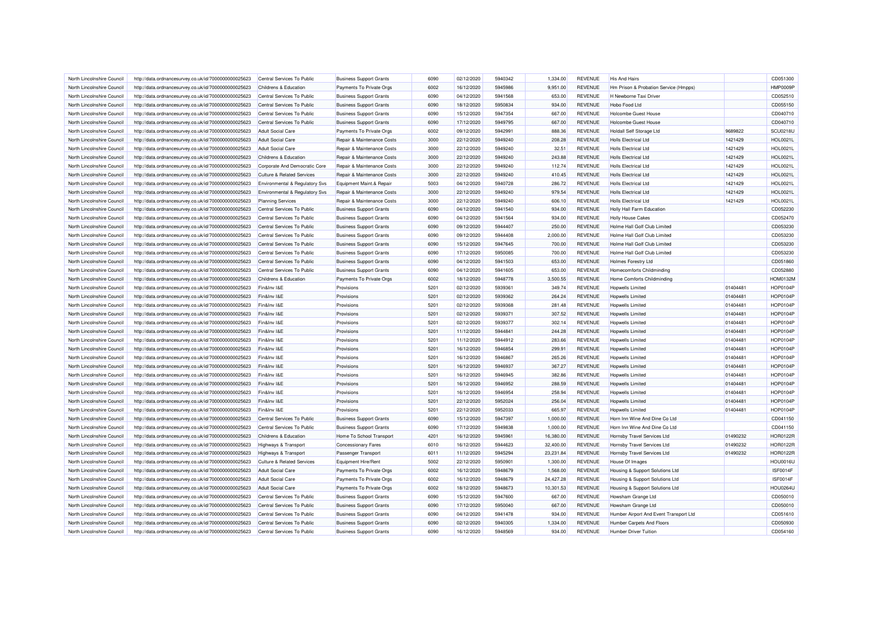| North Lincolnshire Council | http://data.ordnancesurvey.co.uk/id/7000000000025623 | Central Services To Public            | <b>Business Support Grants</b> | 6090 | 02/12/2020 | 5940342 | 1.334.00  | <b>REVENUE</b> | <b>His And Hairs</b>                   |          | CD051300        |
|----------------------------|------------------------------------------------------|---------------------------------------|--------------------------------|------|------------|---------|-----------|----------------|----------------------------------------|----------|-----------------|
| North Lincolnshire Council | http://data.ordnancesurvey.co.uk/id/7000000000025623 | Childrens & Education                 | Payments To Private Orgs       | 6002 | 16/12/2020 | 5945986 | 9,951.00  | <b>REVENUE</b> | Hm Prison & Probation Service (Hmpps)  |          | HMP0009P        |
| North Lincolnshire Council | http://data.ordnancesurvey.co.uk/id/7000000000025623 | Central Services To Public            | <b>Business Support Grants</b> | 6090 | 04/12/2020 | 5941568 | 653.00    | <b>REVENUE</b> | H Newborne Taxi Driver                 |          | CD052510        |
| North Lincolnshire Council | http://data.ordnancesurvey.co.uk/id/7000000000025623 | Central Services To Public            | <b>Business Support Grants</b> | 6090 | 18/12/2020 | 5950834 | 934.00    | <b>REVENUE</b> | Hobo Food Ltd                          |          | CD055150        |
| North Lincolnshire Council | http://data.ordnancesurvey.co.uk/id/7000000000025623 | Central Services To Public            | <b>Business Support Grants</b> | 6090 | 15/12/2020 | 5947354 | 667.00    | <b>REVENUE</b> | <b>Holcombe Guest House</b>            |          | CD040710        |
| North Lincolnshire Council | http://data.ordnancesurvey.co.uk/id/7000000000025623 | Central Services To Public            | <b>Business Support Grants</b> | 6090 | 17/12/2020 | 5949795 | 667.00    | <b>REVENUE</b> | <b>Holcombe Guest House</b>            |          | CD040710        |
| North Lincolnshire Council | http://data.ordnancesurvey.co.uk/id/7000000000025623 | <b>Adult Social Care</b>              | Payments To Private Orgs       | 6002 | 09/12/2020 | 5942991 | 888.36    | <b>REVENUE</b> | <b>Holdall Self Storage Ltd</b>        | 9689822  | <b>SCU0218L</b> |
| North Lincolnshire Council | http://data.ordnancesurvey.co.uk/id/7000000000025623 | <b>Adult Social Care</b>              | Repair & Maintenance Costs     | 3000 | 22/12/2020 | 5949240 | 208.28    | <b>REVENUE</b> | <b>Holls Electrical Ltd</b>            | 1421429  | <b>HOL0021L</b> |
| North Lincolnshire Council | http://data.ordnancesurvey.co.uk/id/7000000000025623 | <b>Adult Social Care</b>              | Repair & Maintenance Costs     | 3000 | 22/12/2020 | 5949240 | 32.51     | <b>REVENUE</b> | Holls Flectrical Ltd                   | 1421429  | <b>HOL0021L</b> |
| North Lincolnshire Council | http://data.ordnancesurvey.co.uk/id/7000000000025623 | Childrens & Education                 | Repair & Maintenance Costs     | 3000 | 22/12/2020 | 5949240 | 243.88    | <b>REVENUE</b> | <b>Holls Electrical Ltd</b>            | 1421429  | <b>HOL0021L</b> |
| North Lincolnshire Council | http://data.ordnancesurvey.co.uk/id/7000000000025623 | Corporate And Democratic Core         | Repair & Maintenance Costs     | 3000 | 22/12/2020 | 5949240 | 112.74    | <b>REVENUE</b> | <b>Holls Electrical Ltd</b>            | 1421429  | <b>HOL0021L</b> |
| North Lincolnshire Council | http://data.ordnancesurvey.co.uk/id/7000000000025623 | Culture & Related Services            | Repair & Maintenance Costs     | 3000 | 22/12/2020 | 5949240 | 410.45    | <b>REVENUE</b> | <b>Holls Electrical Ltd</b>            | 1421429  | <b>HOL0021L</b> |
| North Lincolnshire Council | http://data.ordnancesurvey.co.uk/id/7000000000025623 | Environmental & Regulatory Svs        | Equipment Maint.& Repair       | 5003 | 04/12/2020 | 5940728 | 286.72    | <b>REVENUE</b> | <b>Holls Electrical Ltd</b>            | 1421429  | <b>HOL0021L</b> |
| North Lincolnshire Council | http://data.ordnancesurvey.co.uk/id/7000000000025623 | Environmental & Regulatory Svs        | Repair & Maintenance Costs     | 3000 | 22/12/2020 | 5949240 | 979.54    | <b>REVENUE</b> | <b>Holls Electrical Ltd</b>            | 1421429  | <b>HOL0021L</b> |
| North Lincolnshire Council | http://data.ordnancesurvey.co.uk/id/7000000000025623 | <b>Planning Services</b>              | Repair & Maintenance Costs     | 3000 | 22/12/2020 | 5949240 | 606.10    | <b>REVENUE</b> | <b>Holls Electrical Ltd</b>            | 1421429  | <b>HOL0021L</b> |
| North Lincolnshire Council | http://data.ordnancesurvey.co.uk/id/7000000000025623 | Central Services To Public            | <b>Business Support Grants</b> | 6090 | 04/12/2020 | 5941540 | 934.00    | <b>REVENUE</b> | Holly Hall Farm Education              |          | CD052230        |
| North Lincolnshire Council | http://data.ordnancesurvey.co.uk/id/7000000000025623 | Central Services To Public            | <b>Business Support Grants</b> | 6090 | 04/12/2020 | 5941564 | 934.00    | <b>REVENUE</b> | <b>Holly House Cakes</b>               |          | CD052470        |
| North Lincolnshire Council | http://data.ordnancesurvey.co.uk/id/7000000000025623 | Central Services To Public            | <b>Business Support Grants</b> | 6090 | 09/12/2020 | 5944407 | 250.00    | <b>REVENUE</b> | Holme Hall Golf Club Limited           |          | CD053230        |
| North Lincolnshire Council |                                                      | Central Services To Public            |                                | 6090 | 09/12/2020 | 5944408 | 2,000.00  | <b>REVENUE</b> | Holme Hall Golf Club Limited           |          | CD053230        |
| North Lincolnshire Council | http://data.ordnancesurvey.co.uk/id/7000000000025623 |                                       | <b>Business Support Grants</b> | 6090 | 15/12/2020 | 5947645 | 700.00    | <b>REVENUE</b> | Holme Hall Golf Club Limited           |          | CD053230        |
|                            | http://data.ordnancesurvey.co.uk/id/7000000000025623 | Central Services To Public            | <b>Business Support Grants</b> |      |            |         |           |                |                                        |          |                 |
| North Lincolnshire Council | http://data.ordnancesurvey.co.uk/id/7000000000025623 | Central Services To Public            | <b>Business Support Grants</b> | 6090 | 17/12/2020 | 5950085 | 700.00    | <b>REVENUE</b> | Holme Hall Golf Club Limited           |          | CD053230        |
| North Lincolnshire Council | http://data.ordnancesurvey.co.uk/id/7000000000025623 | Central Services To Public            | <b>Business Support Grants</b> | 6090 | 04/12/2020 | 5941503 | 653.00    | <b>REVENUE</b> | <b>Holmes Forestry Ltd</b>             |          | CD051860        |
| North Lincolnshire Council | http://data.ordnancesurvey.co.uk/id/7000000000025623 | Central Services To Public            | <b>Business Support Grants</b> | 6090 | 04/12/2020 | 5941605 | 653.00    | <b>REVENUE</b> | Homecomforts Childminding              |          | CD052880        |
| North Lincolnshire Council | http://data.ordnancesurvey.co.uk/id/7000000000025623 | Childrens & Education                 | Payments To Private Orgs       | 6002 | 18/12/2020 | 5948778 | 3,500.55  | <b>REVENUE</b> | Home Comforts Childminding             |          | <b>HOM0132M</b> |
| North Lincolnshire Council | http://data.ordnancesurvey.co.uk/id/7000000000025623 | Fin&Inv I&E                           | Provisions                     | 5201 | 02/12/2020 | 5939361 | 349.74    | <b>REVENUE</b> | Hopwells Limited                       | 01404481 | HOP0104F        |
| North Lincolnshire Council | http://data.ordnancesurvey.co.uk/id/7000000000025623 | Fin&Inv I&E                           | Provisions                     | 5201 | 02/12/2020 | 5939362 | 264.24    | <b>REVENUE</b> | Honwells I imited                      | 01404481 | <b>HOP0104P</b> |
| North Lincolnshire Council | http://data.ordnancesurvey.co.uk/id/7000000000025623 | Fin&Inv I&E                           | Provisions                     | 5201 | 02/12/2020 | 5939368 | 281.48    | <b>REVENUE</b> | Hopwells Limited                       | 01404481 | <b>HOP0104P</b> |
| North Lincolnshire Council | http://data.ordnancesurvey.co.uk/id/7000000000025623 | Fin&Inv I&E                           | Provisions                     | 5201 | 02/12/2020 | 5939371 | 307.52    | <b>REVENUE</b> | Hopwells Limited                       | 01404481 | <b>HOP0104P</b> |
| North Lincolnshire Council | http://data.ordnancesurvey.co.uk/id/7000000000025623 | Fin&Inv I&E                           | Provisions                     | 5201 | 02/12/2020 | 5939377 | 302.14    | <b>REVENUE</b> | Hopwells Limited                       | 01404481 | HOP0104F        |
| North Lincolnshire Council | http://data.ordnancesurvey.co.uk/id/7000000000025623 | Fin&Inv I&E                           | Provisions                     | 5201 | 11/12/2020 | 5944841 | 244.28    | <b>REVENUE</b> | Hopwells Limited                       | 01404481 | <b>HOP0104F</b> |
| North Lincolnshire Council | http://data.ordnancesurvey.co.uk/id/7000000000025623 | Fin&Inv I&E                           | Provisions                     | 5201 | 11/12/2020 | 5944912 | 283.66    | <b>REVENUE</b> | Honwells I imited                      | 01404481 | <b>HOP0104P</b> |
| North Lincolnshire Council | http://data.ordnancesurvey.co.uk/id/7000000000025623 | Fin&Inv I&E                           | Provisions                     | 5201 | 16/12/2020 | 5946854 | 299.91    | <b>REVENUE</b> | Hopwells Limited                       | 01404481 | HOP0104F        |
| North Lincolnshire Council | http://data.ordnancesurvey.co.uk/id/7000000000025623 | Fin&Inv I&E                           | Provisions                     | 5201 | 16/12/2020 | 5946867 | 265.26    | <b>REVENUE</b> | Hopwells Limited                       | 01404481 | <b>HOP0104P</b> |
| North Lincolnshire Council | http://data.ordnancesurvey.co.uk/id/7000000000025623 | Fin&Inv I&E                           | Provisions                     | 5201 | 16/12/2020 | 5946937 | 367.27    | <b>REVENUE</b> | Hopwells Limited                       | 01404481 | <b>HOP0104F</b> |
| North Lincolnshire Council | http://data.ordnancesurvey.co.uk/id/7000000000025623 | Fin&Inv I&E                           | Provisions                     | 5201 | 16/12/2020 | 5946945 | 382.86    | <b>REVENUE</b> | <b>Hopwells Limited</b>                | 01404481 | HOP0104F        |
| North Lincolnshire Council | http://data.ordnancesurvey.co.uk/id/7000000000025623 | Fin&Inv I&E                           | Provisions                     | 5201 | 16/12/2020 | 5946952 | 288.59    | <b>REVENUE</b> | Hopwells Limited                       | 01404481 | <b>HOP0104P</b> |
| North Lincolnshire Council | http://data.ordnancesurvey.co.uk/id/7000000000025623 | Fin&Inv I&E                           | Provisions                     | 5201 | 16/12/2020 | 5946954 | 258.94    | <b>REVENUE</b> | Hopwells Limited                       | 01404481 | HOP0104F        |
| North Lincolnshire Council | http://data.ordnancesurvey.co.uk/id/7000000000025623 | Fin&Inv I&E                           | Provisions                     | 5201 | 22/12/2020 | 5952024 | 256.04    | <b>REVENUE</b> | <b>Hopwells Limited</b>                | 01404481 | <b>HOP0104P</b> |
| North Lincolnshire Council | http://data.ordnancesurvey.co.uk/id/7000000000025623 | Fin&Inv I&E                           | Provisions                     | 5201 | 22/12/2020 | 5952033 | 665.97    | <b>REVENUE</b> | Hopwells Limited                       | 01404481 | <b>HOP0104P</b> |
| North Lincolnshire Council | http://data.ordnancesurvey.co.uk/id/7000000000025623 | Central Services To Public            | <b>Business Support Grants</b> | 6090 | 15/12/2020 | 5947397 | 1,000.00  | <b>REVENUE</b> | Horn Inn Wine And Dine Co Ltd          |          | CD041150        |
| North Lincolnshire Council | http://data.ordnancesurvey.co.uk/id/7000000000025623 | Central Services To Public            | <b>Business Support Grants</b> | 6090 | 17/12/2020 | 5949838 | 1,000.00  | <b>REVENUE</b> | Horn Inn Wine And Dine Co Ltd          |          | CD041150        |
| North Lincolnshire Council | http://data.ordnancesurvey.co.uk/id/7000000000025623 | Childrens & Education                 | Home To School Transport       | 4201 | 16/12/2020 | 5945961 | 16,380.00 | <b>REVENUE</b> | Hornsby Travel Services Ltd            | 01490232 | <b>HOR0122R</b> |
| North Lincolnshire Council | http://data.ordnancesurvey.co.uk/id/7000000000025623 | Highways & Transport                  | <b>Concessionary Fares</b>     | 6010 | 16/12/2020 | 5944623 | 32,400.00 | <b>REVENUE</b> | Hornsby Travel Services Ltd            | 01490232 | <b>HOR0122R</b> |
| North Lincolnshire Council | http://data.ordnancesurvey.co.uk/id/7000000000025623 | <b>Highways &amp; Transport</b>       | Passenger Transport            | 6011 | 11/12/2020 | 5945294 | 23,231.84 | <b>REVENUE</b> | Hornsby Travel Services Ltd            | 01490232 | <b>HOR0122R</b> |
| North Lincolnshire Council | http://data.ordnancesurvey.co.uk/id/7000000000025623 | <b>Culture &amp; Related Services</b> | Equipment Hire/Rent            | 5002 | 22/12/2020 | 5950901 | 1,300.00  | <b>REVENUE</b> | House Of Images                        |          | <b>HOU0016U</b> |
| North Lincolnshire Council | http://data.ordnancesurvey.co.uk/id/7000000000025623 | <b>Adult Social Care</b>              | Payments To Private Orgs       | 6002 | 16/12/2020 | 5948679 | 1,568.00  | <b>REVENUE</b> | Housing & Support Solutions Ltd        |          | <b>ISF0014F</b> |
| North Lincolnshire Council | http://data.ordnancesurvey.co.uk/id/7000000000025623 | <b>Adult Social Care</b>              | Payments To Private Orgs       | 6002 | 16/12/2020 | 5948679 | 24,427.28 | <b>REVENUE</b> | Housing & Support Solutions Ltd        |          | <b>ISF0014F</b> |
| North Lincolnshire Council | http://data.ordnancesurvey.co.uk/id/7000000000025623 | <b>Adult Social Care</b>              | Payments To Private Orgs       | 6002 | 18/12/2020 | 5948673 | 10,301.53 | <b>REVENUE</b> | Housing & Support Solutions Ltd        |          | <b>HOU0264U</b> |
| North Lincolnshire Council | http://data.ordnancesurvey.co.uk/id/7000000000025623 | Central Services To Public            | <b>Business Support Grants</b> | 6090 | 15/12/2020 | 5947600 | 667.00    | <b>REVENUE</b> | Howsham Grange Ltd                     |          | CD050010        |
| North Lincolnshire Council | http://data.ordnancesurvey.co.uk/id/7000000000025623 | Central Services To Public            | <b>Business Support Grants</b> | 6090 | 17/12/2020 | 5950040 | 667.00    | <b>REVENUE</b> | Howsham Grange Ltd                     |          | CD050010        |
| North Lincolnshire Council | http://data.ordnancesurvey.co.uk/id/7000000000025623 | Central Services To Public            | <b>Business Support Grants</b> | 6090 | 04/12/2020 | 5941478 | 934.00    | <b>REVENUE</b> | Humber Airport And Event Transport Ltd |          | CD051610        |
| North Lincolnshire Council | http://data.ordnancesurvey.co.uk/id/7000000000025623 | Central Services To Public            | <b>Business Support Grants</b> | 6090 | 02/12/2020 | 5940305 | 1,334.00  | <b>REVENUE</b> | Humber Carpets And Floors              |          | CD050930        |
| North Lincolnshire Council | http://data.ordnancesurvey.co.uk/id/7000000000025623 | Central Services To Public            | <b>Business Support Grants</b> | 6090 | 16/12/2020 | 5948569 | 934.00    | <b>REVENUE</b> | <b>Humber Driver Tuition</b>           |          | CD054160        |
|                            |                                                      |                                       |                                |      |            |         |           |                |                                        |          |                 |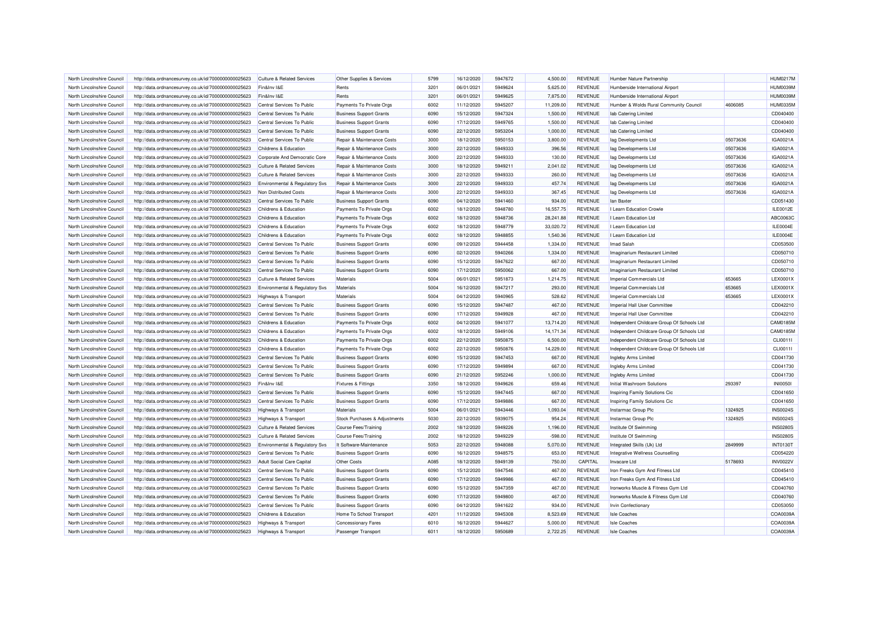| North Lincolnshire Council | http://data.ordnancesurvey.co.uk/id/7000000000025623 | Culture & Related Services            | Other Supplies & Services      | 5799 | 16/12/2020               | 5947672 | 4.500.00           | <b>REVENUE</b> | Humber Nature Partnership                  |          | <b>HUM0217M</b> |
|----------------------------|------------------------------------------------------|---------------------------------------|--------------------------------|------|--------------------------|---------|--------------------|----------------|--------------------------------------------|----------|-----------------|
| North Lincolnshire Council | http://data.ordnancesurvey.co.uk/id/7000000000025623 | Fin&Inv I&E                           | Rents                          | 3201 | 06/01/2021               | 5949624 | 5.625.00           | <b>REVENUE</b> | Humberside International Airport           |          | HUM0039M        |
| North Lincolnshire Council | http://data.ordnancesurvey.co.uk/id/7000000000025623 | Fin&Inv I&E                           | Rents                          | 3201 | 06/01/2021               | 5949625 | 7,875.00           | <b>REVENUE</b> | Humberside International Airport           |          | <b>HUM0039M</b> |
| North Lincolnshire Council | http://data.ordnancesurvey.co.uk/id/7000000000025623 | Central Services To Public            | Payments To Private Orgs       | 6002 | 11/12/2020               | 5945207 | 11,209.00          | <b>REVENUE</b> | Humber & Wolds Rural Community Council     | 4606085  | <b>HUM0335M</b> |
| North Lincolnshire Council | http://data.ordnancesurvey.co.uk/id/7000000000025623 | Central Services To Public            | <b>Business Support Grants</b> | 6090 | 15/12/2020               | 5947324 | 1,500.00           | <b>REVENUE</b> | lab Catering Limited                       |          | CD040400        |
| North Lincolnshire Council | http://data.ordnancesurvey.co.uk/id/7000000000025623 | Central Services To Public            | <b>Business Support Grants</b> | 6090 | 17/12/2020               | 5949765 | 1,500.00           | <b>REVENUE</b> | lab Catering Limited                       |          | CD040400        |
| North Lincolnshire Council | http://data.ordnancesurvey.co.uk/id/7000000000025623 | Central Services To Public            | <b>Business Support Grants</b> | 6090 | 22/12/2020               | 5953204 | 1,000.00           | <b>REVENUE</b> | lab Catering Limited                       |          | CD040400        |
| North Lincolnshire Council | http://data.ordnancesurvey.co.uk/id/7000000000025623 | Central Services To Public            | Repair & Maintenance Costs     | 3000 | 18/12/2020               | 5950153 | 3,800.00           | <b>REVENUE</b> | lag Developments Ltd                       | 05073636 | IGA0021A        |
| North Lincolnshire Council | http://data.ordnancesurvey.co.uk/id/7000000000025623 | Childrens & Education                 | Repair & Maintenance Costs     | 3000 | 22/12/2020               | 5949333 | 396.56             | <b>REVENUE</b> | lag Developments Ltd                       | 05073636 | IGA0021A        |
| North Lincolnshire Council | http://data.ordnancesurvey.co.uk/id/7000000000025623 | Corporate And Democratic Core         | Repair & Maintenance Costs     | 3000 | 22/12/2020               | 5949333 | 130.00             | <b>REVENUE</b> | lag Developments Ltd                       | 05073636 | IGA0021A        |
| North Lincolnshire Council | http://data.ordnancesurvey.co.uk/id/7000000000025623 | Culture & Related Services            | Repair & Maintenance Costs     | 3000 | 18/12/2020               | 5949211 | 2,041.02           | <b>REVENUE</b> | lag Developments Ltd                       | 05073636 | IGA0021A        |
| North Lincolnshire Council | http://data.ordnancesurvey.co.uk/id/7000000000025623 | <b>Culture &amp; Related Services</b> | Repair & Maintenance Costs     | 3000 | 22/12/2020               | 5949333 | 260.00             | <b>REVENUE</b> | lag Developments Ltd                       | 05073636 | IGA0021A        |
| North Lincolnshire Council | http://data.ordnancesurvey.co.uk/id/7000000000025623 | Environmental & Regulatory Svs        | Repair & Maintenance Costs     | 3000 | 22/12/2020               | 5949333 | 457.74             | <b>REVENUE</b> | lag Developments Ltd                       | 05073636 | IGA0021A        |
| North Lincolnshire Council | http://data.ordnancesurvey.co.uk/id/7000000000025623 | Non Distributed Costs                 | Repair & Maintenance Costs     | 3000 | 22/12/2020               | 5949333 | 367.45             | <b>REVENUE</b> | lag Developments Ltd                       | 05073636 | IGA0021A        |
| North Lincolnshire Council | http://data.ordnancesurvey.co.uk/id/7000000000025623 | Central Services To Public            | <b>Business Support Grants</b> | 6090 | 04/12/2020               | 5941460 | 934.00             | <b>REVENUE</b> | lan Baxter                                 |          | CD051430        |
| North Lincolnshire Council | http://data.ordnancesurvey.co.uk/id/7000000000025623 | Childrens & Education                 | Payments To Private Orgs       | 6002 | 18/12/2020               | 5948780 | 16,557.75          | <b>REVENUE</b> | I Learn Education Crowle                   |          | ILE0012E        |
| North Lincolnshire Council | http://data.ordnancesurvey.co.uk/id/7000000000025623 | Childrens & Education                 | Payments To Private Orgs       | 6002 | 18/12/2020               | 5948736 | 28.241.88          | <b>REVENUE</b> | I Learn Education Ltd                      |          | ABC0063C        |
| North Lincolnshire Council | http://data.ordnancesurvey.co.uk/id/7000000000025623 | Childrens & Education                 | Payments To Private Orgs       | 6002 | 18/12/2020               | 5948779 | 33,020.72          | <b>REVENUE</b> | I Learn Education Ltd                      |          | ILE0004E        |
| North Lincolnshire Council | http://data.ordnancesurvey.co.uk/id/7000000000025623 | Childrens & Education                 | Payments To Private Orgs       | 6002 | 18/12/2020               | 5948855 | 1,540.36           | <b>REVENUE</b> | I Learn Education Ltd                      |          | ILE0004E        |
| North Lincolnshire Council |                                                      | Central Services To Public            |                                | 6090 | 09/12/2020               | 5944458 | 1,334.00           | <b>REVENUE</b> | Imad Salah                                 |          | CD053500        |
| North Lincolnshire Council | http://data.ordnancesurvey.co.uk/id/7000000000025623 | Central Services To Public            | <b>Business Support Grants</b> | 6090 |                          | 5940266 |                    | <b>REVENUE</b> | Imaginarium Restaurant Limited             |          | CD050710        |
| North Lincolnshire Council | http://data.ordnancesurvey.co.uk/id/7000000000025623 | Central Services To Public            | <b>Business Support Grants</b> | 6090 | 02/12/2020<br>15/12/2020 | 5947622 | 1,334.00<br>667.00 | <b>REVENUE</b> |                                            |          | CD050710        |
|                            | http://data.ordnancesurvey.co.uk/id/7000000000025623 |                                       | <b>Business Support Grants</b> | 6090 |                          | 5950062 |                    | <b>REVENUE</b> | Imaginarium Restaurant Limited             |          |                 |
| North Lincolnshire Council | http://data.ordnancesurvey.co.uk/id/7000000000025623 | Central Services To Public            | <b>Business Support Grants</b> |      | 17/12/2020               |         | 667.00             |                | Imaginarium Restaurant Limited             |          | CD050710        |
| North Lincolnshire Council | http://data.ordnancesurvey.co.uk/id/7000000000025623 | <b>Culture &amp; Related Services</b> | Materials                      | 5004 | 06/01/2021               | 5951873 | 1,214.75           | <b>REVENUE</b> | Imperial Commercials Ltd                   | 653665   | LEX0001X        |
| North Lincolnshire Council | http://data.ordnancesurvey.co.uk/id/7000000000025623 | Environmental & Regulatory Svs        | Materials                      | 5004 | 16/12/2020               | 5947217 | 293.00             | <b>REVENUE</b> | Imperial Commercials Ltd                   | 653665   | LEX0001X        |
| North Lincolnshire Council | http://data.ordnancesurvey.co.uk/id/7000000000025623 | <b>Highways &amp; Transport</b>       | Materials                      | 5004 | 04/12/2020               | 5940965 | 528.62             | <b>REVENUE</b> | Imperial Commercials Ltd                   | 653665   | LEX0001X        |
| North Lincolnshire Council | http://data.ordnancesurvey.co.uk/id/7000000000025623 | Central Services To Public            | <b>Business Support Grants</b> | 6090 | 15/12/2020               | 5947487 | 467.00             | <b>REVENUE</b> | Imperial Hall User Committee               |          | CD042210        |
| North Lincolnshire Council | http://data.ordnancesurvey.co.uk/id/7000000000025623 | Central Services To Public            | <b>Business Support Grants</b> | 6090 | 17/12/2020               | 5949928 | 467.00             | <b>REVENUE</b> | Imperial Hall User Committee               |          | CD042210        |
| North Lincolnshire Council | http://data.ordnancesurvey.co.uk/id/7000000000025623 | Childrens & Education                 | Payments To Private Orgs       | 6002 | 04/12/2020               | 5941077 | 13,714.20          | <b>REVENUE</b> | Independent Childcare Group Of Schools Ltd |          | CAM0185M        |
| North Lincolnshire Council | http://data.ordnancesurvey.co.uk/id/7000000000025623 | Childrens & Education                 | Payments To Private Orgs       | 6002 | 18/12/2020               | 5949106 | 14,171.34          | <b>REVENUE</b> | Independent Childcare Group Of Schools Ltd |          | CAM0185M        |
| North Lincolnshire Council | http://data.ordnancesurvey.co.uk/id/7000000000025623 | Childrens & Education                 | Payments To Private Orgs       | 6002 | 22/12/2020               | 5950875 | 6,500.00           | <b>REVENUE</b> | Independent Childcare Group Of Schools Ltd |          | CLI00111        |
| North Lincolnshire Council | http://data.ordnancesurvey.co.uk/id/7000000000025623 | Childrens & Education                 | Payments To Private Orgs       | 6002 | 22/12/2020               | 5950876 | 14,229.00          | <b>REVENUE</b> | Independent Childcare Group Of Schools Ltd |          | CLI0011I        |
| North Lincolnshire Council | http://data.ordnancesurvey.co.uk/id/7000000000025623 | Central Services To Public            | <b>Business Support Grants</b> | 6090 | 15/12/2020               | 5947453 | 667.00             | <b>REVENUE</b> | Ingleby Arms Limited                       |          | CD041730        |
| North Lincolnshire Council | http://data.ordnancesurvey.co.uk/id/7000000000025623 | Central Services To Public            | <b>Business Support Grants</b> | 6090 | 17/12/2020               | 5949894 | 667.00             | <b>REVENUE</b> | Ingleby Arms Limited                       |          | CD041730        |
| North Lincolnshire Council | http://data.ordnancesurvey.co.uk/id/7000000000025623 | Central Services To Public            | <b>Business Support Grants</b> | 6090 | 21/12/2020               | 5952246 | 1,000.00           | <b>REVENUE</b> | Ingleby Arms Limited                       |          | CD041730        |
| North Lincolnshire Council | http://data.ordnancesurvey.co.uk/id/7000000000025623 | Fin&Inv I&E                           | <b>Fixtures &amp; Fittings</b> | 3350 | 18/12/2020               | 5949626 | 659.46             | <b>REVENUE</b> | Initial Washroom Solutions                 | 293397   | <b>INI0050I</b> |
| North Lincolnshire Council | http://data.ordnancesurvey.co.uk/id/7000000000025623 | Central Services To Public            | <b>Business Support Grants</b> | 6090 | 15/12/2020               | 5947445 | 667.00             | <b>REVENUE</b> | Inspiring Family Solutions Cic             |          | CD041650        |
| North Lincolnshire Council | http://data.ordnancesurvey.co.uk/id/7000000000025623 | Central Services To Public            | <b>Business Support Grants</b> | 6090 | 17/12/2020               | 5949886 | 667.00             | <b>REVENUE</b> | Inspiring Family Solutions Cic             |          | CD041650        |
| North Lincolnshire Council | http://data.ordnancesurvey.co.uk/id/7000000000025623 | <b>Highways &amp; Transport</b>       | Materials                      | 5004 | 06/01/2021               | 5943446 | 1,093.04           | <b>REVENUE</b> | Instarmac Group Plc                        | 1324925  | <b>INS0024S</b> |
| North Lincolnshire Council | http://data.ordnancesurvey.co.uk/id/7000000000025623 | Highways & Transport                  | Stock Purchases & Adjustments  | 5030 | 22/12/2020               | 5939075 | 954.24             | REVENUE        | Instarmac Group Plc                        | 1324925  | <b>INS0024S</b> |
| North Lincolnshire Council | http://data.ordnancesurvey.co.uk/id/7000000000025623 | <b>Culture &amp; Related Services</b> | <b>Course Fees/Training</b>    | 2002 | 18/12/2020               | 5949226 | 1,196.00           | <b>REVENUE</b> | Institute Of Swimming                      |          | <b>INS0280S</b> |
| North Lincolnshire Council | http://data.ordnancesurvey.co.uk/id/7000000000025623 | <b>Culture &amp; Related Services</b> | <b>Course Fees/Training</b>    | 2002 | 18/12/2020               | 5949229 | $-598.00$          | <b>REVENUE</b> | Institute Of Swimming                      |          | <b>INS0280S</b> |
| North Lincolnshire Council | http://data.ordnancesurvey.co.uk/id/7000000000025623 | Environmental & Regulatory Svs        | It Software-Maintenance        | 5053 | 22/12/2020               | 5948088 | 5,070.00           | <b>REVENUE</b> | Integrated Skills (Uk) Ltd                 | 2849999  | <b>INT0130T</b> |
| North Lincolnshire Council | http://data.ordnancesurvey.co.uk/id/7000000000025623 | Central Services To Public            | <b>Business Support Grants</b> | 6090 | 16/12/2020               | 5948575 | 653.00             | <b>REVENUE</b> | Integrative Wellness Counselling           |          | CD054220        |
| North Lincolnshire Council | http://data.ordnancesurvey.co.uk/id/7000000000025623 | Adult Social Care Capital             | Other Costs                    | A085 | 18/12/2020               | 5949139 | 750.00             | CAPITAL        | Invacare Ltd                               | 5178693  | <b>INV0022V</b> |
| North Lincolnshire Council | http://data.ordnancesurvey.co.uk/id/7000000000025623 | Central Services To Public            | <b>Business Support Grants</b> | 6090 | 15/12/2020               | 5947546 | 467.00             | <b>REVENUE</b> | Iron Freaks Gym And Fitness Ltd            |          | CD045410        |
| North Lincolnshire Council | http://data.ordnancesurvey.co.uk/id/7000000000025623 | Central Services To Public            | <b>Business Support Grants</b> | 6090 | 17/12/2020               | 5949986 | 467.00             | <b>REVENUE</b> | Iron Freaks Gym And Fitness Ltd            |          | CD045410        |
| North Lincolnshire Council | http://data.ordnancesurvey.co.uk/id/7000000000025623 | Central Services To Public            | <b>Business Support Grants</b> | 6090 | 15/12/2020               | 5947359 | 467.00             | <b>REVENUE</b> | Ironworks Muscle & Fitness Gym Ltd         |          | CD040760        |
| North Lincolnshire Council | http://data.ordnancesurvey.co.uk/id/7000000000025623 | Central Services To Public            | <b>Business Support Grants</b> | 6090 | 17/12/2020               | 5949800 | 467.00             | <b>REVENUE</b> | Ironworks Muscle & Fitness Gym Ltd         |          | CD040760        |
| North Lincolnshire Council | http://data.ordnancesurvey.co.uk/id/7000000000025623 | Central Services To Public            | <b>Business Support Grants</b> | 6090 | 04/12/2020               | 5941622 | 934.00             | <b>REVENUE</b> | Irvin Confectionary                        |          | CD053050        |
| North Lincolnshire Council | http://data.ordnancesurvey.co.uk/id/7000000000025623 | Childrens & Education                 | Home To School Transport       | 4201 | 11/12/2020               | 5945308 | 8,523.69           | <b>REVENUE</b> | <b>Isle Coaches</b>                        |          | COA0039A        |
| North Lincolnshire Council | http://data.ordnancesurvey.co.uk/id/7000000000025623 | Highways & Transport                  | <b>Concessionary Fares</b>     | 6010 | 16/12/2020               | 5944627 | 5,000.00           | <b>REVENUE</b> | <b>Isle Coaches</b>                        |          | COA0039A        |
| North Lincolnshire Council | http://data.ordnancesurvey.co.uk/id/7000000000025623 | Highways & Transport                  | Passenger Transport            | 6011 | 18/12/2020               | 5950689 | 2,722.25           | <b>REVENUE</b> | <b>Isle Coaches</b>                        |          | COA0039A        |
|                            |                                                      |                                       |                                |      |                          |         |                    |                |                                            |          |                 |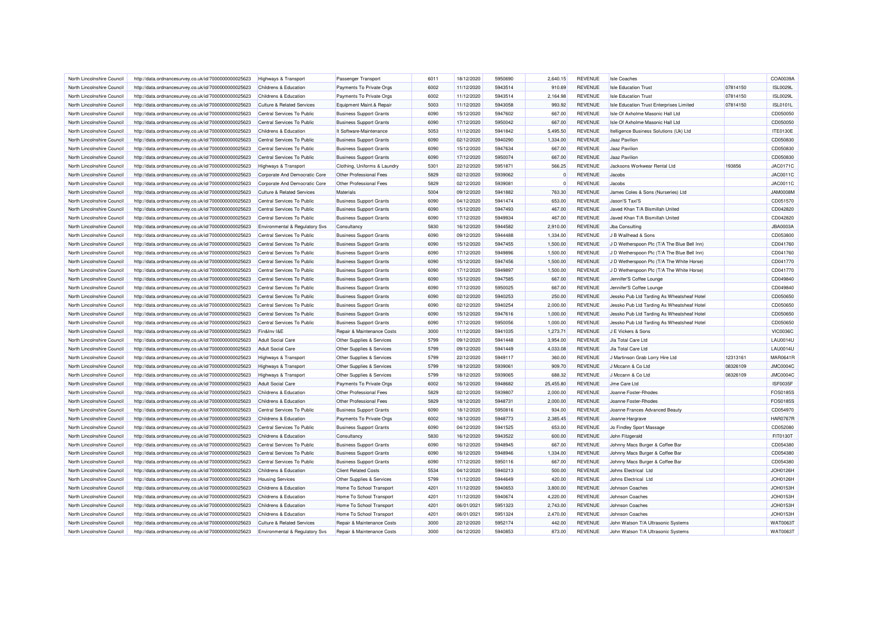| North Lincolnshire Council                               | http://data.ordnancesurvey.co.uk/id/7000000000025623 | Highways & Transport                                     | Passenger Transport            | 6011         | 18/12/2020               | 5950690            | 2.640.15             | <b>REVENUE</b>                   | <b>Isle Coaches</b>                         |          | COA0039A             |
|----------------------------------------------------------|------------------------------------------------------|----------------------------------------------------------|--------------------------------|--------------|--------------------------|--------------------|----------------------|----------------------------------|---------------------------------------------|----------|----------------------|
| North Lincolnshire Council                               | http://data.ordnancesurvey.co.uk/id/7000000000025623 | Childrens & Education                                    | Payments To Private Orgs       | 6002         | 11/12/2020               | 5943514            | 910.69               | <b>REVENUE</b>                   | <b>Isle Education Trust</b>                 | 07814150 | <b>ISL0029L</b>      |
| North Lincolnshire Council                               | http://data.ordnancesurvey.co.uk/id/7000000000025623 | Childrens & Education                                    | Payments To Private Orgs       | 6002         | 11/12/2020               | 5943514            | 2,164.98             | <b>REVENUE</b>                   | <b>Isle Education Trust</b>                 | 07814150 | <b>ISL0029L</b>      |
| North Lincolnshire Council                               | http://data.ordnancesurvey.co.uk/id/7000000000025623 | <b>Culture &amp; Related Services</b>                    | Equipment Maint.& Repair       | 5003         | 11/12/2020               | 5943058            | 993.92               | <b>REVENUE</b>                   | Isle Education Trust Enterprises Limited    | 07814150 | <b>ISL0101L</b>      |
| North Lincolnshire Council                               | http://data.ordnancesurvey.co.uk/id/7000000000025623 | Central Services To Public                               | <b>Business Support Grants</b> | 6090         | 15/12/2020               | 5947602            | 667.00               | <b>REVENUE</b>                   | Isle Of Axholme Masonic Hall Ltd            |          | CD050050             |
| North Lincolnshire Council                               | http://data.ordnancesurvey.co.uk/id/7000000000025623 | Central Services To Public                               | <b>Business Support Grants</b> | 6090         | 17/12/2020               | 5950042            | 667.00               | <b>REVENUE</b>                   | Isle Of Axholme Masonic Hall Ltd            |          | CD050050             |
| North Lincolnshire Council                               | http://data.ordnancesurvey.co.uk/id/7000000000025623 | Childrens & Education                                    | It Software-Maintenance        | 5053         | 11/12/2020               | 5941842            | 5,495.50             | <b>REVENUE</b>                   | Itelligence Business Solutions (Uk) Ltd     |          | <b>ITE0130E</b>      |
| North Lincolnshire Council                               | http://data.ordnancesurvey.co.uk/id/7000000000025623 | Central Services To Public                               | <b>Business Support Grants</b> | 6090         | 02/12/2020               | 5940290            | 1,334.00             | <b>REVENUE</b>                   | Jaaz Pavilion                               |          | CD050830             |
| North Lincolnshire Council                               | http://data.ordnancesurvey.co.uk/id/7000000000025623 | Central Services To Public                               | <b>Business Support Grants</b> | 6090         | 15/12/2020               | 5947634            | 667.00               | <b>REVENUE</b>                   | Jaaz Pavilion                               |          | CD050830             |
| North Lincolnshire Council                               | http://data.ordnancesurvey.co.uk/id/7000000000025623 | Central Services To Public                               | <b>Business Support Grants</b> | 6090         | 17/12/2020               | 5950074            | 667.00               | <b>REVENUE</b>                   | Jaaz Pavilion                               |          | CD050830             |
| North Lincolnshire Council                               | http://data.ordnancesurvey.co.uk/id/7000000000025623 | <b>Highways &amp; Transport</b>                          | Clothing, Uniforms & Laundry   | 5301         | 22/12/2020               | 5951871            | 566.25               | <b>REVENUE</b>                   | Jacksons Workwear Rental Ltd                | 193856   | JAC0171C             |
| North Lincolnshire Council                               | http://data.ordnancesurvey.co.uk/id/7000000000025623 | Corporate And Democratic Core                            | Other Professional Fees        | 5829         | 02/12/2020               | 5939062            | $\Omega$             | <b>REVENUE</b>                   | Jacobs                                      |          | JAC0011C             |
| North Lincolnshire Council                               | http://data.ordnancesurvey.co.uk/id/7000000000025623 | Corporate And Democratic Core                            | Other Professional Fees        | 5829         | 02/12/2020               | 5939081            | $\Omega$             | <b>REVENUE</b>                   | Jacobs                                      |          | JAC0011C             |
| North Lincolnshire Council                               | http://data.ordnancesurvey.co.uk/id/7000000000025623 | <b>Culture &amp; Related Services</b>                    | Materials                      | 5004         | 09/12/2020               | 5941882            | 763.30               | <b>REVENUE</b>                   | James Coles & Sons (Nurseries) Ltd          |          | <b>JAM0008M</b>      |
| North Lincolnshire Council                               | http://data.ordnancesurvey.co.uk/id/7000000000025623 | Central Services To Public                               | <b>Business Support Grants</b> | 6090         | 04/12/2020               | 5941474            | 653.00               | <b>REVENUE</b>                   | Jason'S Taxi'S                              |          | CD051570             |
| North Lincolnshire Council                               | http://data.ordnancesurvey.co.uk/id/7000000000025623 | Central Services To Public                               | <b>Business Support Grants</b> | 6090         | 15/12/2020               | 5947493            | 467.00               | <b>REVENUE</b>                   | Javed Khan T/A Bismillah United             |          | CD042820             |
| North Lincolnshire Council                               | http://data.ordnancesurvey.co.uk/id/7000000000025623 | Central Services To Public                               | <b>Business Support Grants</b> | 6090         | 17/12/2020               | 5949934            | 467.00               | <b>REVENUE</b>                   | Javed Khan T/A Bismillah United             |          | CD042820             |
| North Lincolnshire Council                               | http://data.ordnancesurvey.co.uk/id/7000000000025623 | Environmental & Regulatory Svs                           | Consultancy                    | 5830         | 16/12/2020               | 5944582            | 2,910.00             | <b>REVENUE</b>                   | <b>Jba Consulting</b>                       |          | <b>JBA0003A</b>      |
| North Lincolnshire Council                               | http://data.ordnancesurvey.co.uk/id/7000000000025623 | Central Services To Public                               | <b>Business Support Grants</b> | 6090         | 09/12/2020               | 5944488            | 1,334.00             | <b>REVENUE</b>                   | J B Wallhead & Sons                         |          | CD053800             |
| North Lincolnshire Council                               | http://data.ordnancesurvey.co.uk/id/7000000000025623 | Central Services To Public                               | <b>Business Support Grants</b> | 6090         | 15/12/2020               | 5947455            | 1,500.00             | <b>REVENUE</b>                   | J D Wetherspoon Plc (T/A The Blue Bell Inn) |          | CD041760             |
| North Lincolnshire Council                               |                                                      | Central Services To Public                               |                                | 6090         | 17/12/2020               | 5949896            |                      | <b>REVENUE</b>                   |                                             |          | CD041760             |
|                                                          | http://data.ordnancesurvey.co.uk/id/7000000000025623 |                                                          | <b>Business Support Grants</b> |              |                          |                    | 1,500.00             |                                  | J D Wetherspoon Plc (T/A The Blue Bell Inn) |          |                      |
| North Lincolnshire Council<br>North Lincolnshire Council | http://data.ordnancesurvey.co.uk/id/7000000000025623 | Central Services To Public<br>Central Services To Public | <b>Business Support Grants</b> | 6090<br>6090 | 15/12/2020<br>17/12/2020 | 5947456<br>5949897 | 1,500.00<br>1.500.00 | <b>REVENUE</b><br><b>REVENUE</b> | J D Wetherspoon Plc (T/A The White Horse)   |          | CD041770<br>CD041770 |
|                                                          | http://data.ordnancesurvey.co.uk/id/7000000000025623 |                                                          | <b>Business Support Grants</b> |              |                          |                    |                      |                                  | J D Wetherspoon Plc (T/A The White Horse)   |          |                      |
| North Lincolnshire Council                               | http://data.ordnancesurvey.co.uk/id/7000000000025623 | Central Services To Public                               | <b>Business Support Grants</b> | 6090         | 15/12/2020               | 5947585            | 667.00               | <b>REVENUE</b>                   | Jennifer'S Coffee Lounge                    |          | CD049840             |
| North Lincolnshire Council                               | http://data.ordnancesurvey.co.uk/id/7000000000025623 | Central Services To Public                               | <b>Business Support Grants</b> | 6090         | 17/12/2020               | 5950025            | 667.00               | <b>REVENUE</b>                   | Jennifer'S Coffee Lounge                    |          | CD049840             |
| North Lincolnshire Council                               | http://data.ordnancesurvey.co.uk/id/7000000000025623 | Central Services To Public                               | <b>Business Support Grants</b> | 6090         | 02/12/2020               | 5940253            | 250.00               | <b>REVENUE</b>                   | Jessko Pub Ltd Tarding As Wheatsheaf Hotel  |          | CD050650             |
| North Lincolnshire Council                               | http://data.ordnancesurvey.co.uk/id/7000000000025623 | Central Services To Public                               | <b>Business Support Grants</b> | 6090         | 02/12/2020               | 5940254            | 2,000.00             | <b>REVENUE</b>                   | Jessko Pub Ltd Tarding As Wheatsheaf Hotel  |          | CD050650             |
| North Lincolnshire Council                               | http://data.ordnancesurvey.co.uk/id/7000000000025623 | Central Services To Public                               | <b>Business Support Grants</b> | 6090         | 15/12/2020               | 5947616            | 1,000.00             | <b>REVENUE</b>                   | Jessko Pub Ltd Tarding As Wheatsheaf Hotel  |          | CD050650             |
| North Lincolnshire Council                               | http://data.ordnancesurvey.co.uk/id/7000000000025623 | Central Services To Public                               | <b>Business Support Grants</b> | 6090         | 17/12/2020               | 5950056            | 1,000.00             | <b>REVENUE</b>                   | Jessko Pub Ltd Tarding As Wheatsheaf Hotel  |          | CD050650             |
| North Lincolnshire Council                               | http://data.ordnancesurvey.co.uk/id/7000000000025623 | Fin&Inv I&E                                              | Repair & Maintenance Costs     | 3000         | 11/12/2020               | 5941035            | 1,273.71             | <b>REVENUE</b>                   | J E Vickers & Sons                          |          | <b>VIC0036C</b>      |
| North Lincolnshire Council                               | http://data.ordnancesurvey.co.uk/id/7000000000025623 | <b>Adult Social Care</b>                                 | Other Supplies & Services      | 5799         | 09/12/2020               | 5941448            | 3,954.00             | <b>REVENUE</b>                   | Jla Total Care Ltd                          |          | <b>LAU0014U</b>      |
| North Lincolnshire Council                               | http://data.ordnancesurvey.co.uk/id/7000000000025623 | <b>Adult Social Care</b>                                 | Other Supplies & Services      | 5799         | 09/12/2020               | 5941449            | 4,033.08             | <b>REVENUE</b>                   | Jla Total Care Ltd                          |          | <b>LAU0014U</b>      |
| North Lincolnshire Council                               | http://data.ordnancesurvey.co.uk/id/7000000000025623 | Highways & Transport                                     | Other Supplies & Services      | 5799         | 22/12/2020               | 5949117            | 360.00               | <b>REVENUE</b>                   | J Martinson Grab Lorry Hire Ltd             | 12313161 | <b>MAR0641R</b>      |
| North Lincolnshire Council                               | http://data.ordnancesurvey.co.uk/id/7000000000025623 | <b>Highways &amp; Transport</b>                          | Other Supplies & Services      | 5799         | 18/12/2020               | 5939061            | 909.70               | <b>REVENUE</b>                   | J Mccann & Co Ltd                           | 08326109 | <b>JMC0004C</b>      |
| North Lincolnshire Council                               | http://data.ordnancesurvey.co.uk/id/7000000000025623 | Highways & Transport                                     | Other Supplies & Services      | 5799         | 18/12/2020               | 5939065            | 688.32               | <b>REVENUE</b>                   | J Mccann & Co Ltd                           | 08326109 | <b>JMC0004C</b>      |
| North Lincolnshire Council                               | http://data.ordnancesurvey.co.uk/id/7000000000025623 | <b>Adult Social Care</b>                                 | Payments To Private Orgs       | 6002         | 16/12/2020               | 5948682            | 25,455.80            | <b>REVENUE</b>                   | Jme Care Ltd                                |          | ISF0035F             |
| North Lincolnshire Council                               | http://data.ordnancesurvey.co.uk/id/7000000000025623 | Childrens & Education                                    | Other Professional Fees        | 5829         | 02/12/2020               | 5939807            | 2,000.00             | <b>REVENUE</b>                   | Joanne Foster-Rhodes                        |          | FOS01855             |
| North Lincolnshire Council                               | http://data.ordnancesurvey.co.uk/id/7000000000025623 | Childrens & Education                                    | Other Professional Fees        | 5829         | 18/12/2020               | 5948731            | 2,000.00             | <b>REVENUE</b>                   | Joanne Foster-Rhodes                        |          | FOS0185S             |
| North Lincolnshire Council                               | http://data.ordnancesurvey.co.uk/id/7000000000025623 | Central Services To Public                               | <b>Business Support Grants</b> | 6090         | 18/12/2020               | 5950816            | 934.00               | <b>REVENUE</b>                   | Joanne Frances Advanced Beauty              |          | CD054970             |
| North Lincolnshire Council                               | http://data.ordnancesurvey.co.uk/id/7000000000025623 | Childrens & Education                                    | Payments To Private Orgs       | 6002         | 18/12/2020               | 5948773            | 2,385.45             | <b>REVENUE</b>                   | Joanne Hargrave                             |          | <b>HAR0767R</b>      |
| North Lincolnshire Council                               | http://data.ordnancesurvey.co.uk/id/7000000000025623 | Central Services To Public                               | <b>Business Support Grants</b> | 6090         | 04/12/2020               | 5941525            | 653.00               | <b>REVENUE</b>                   | Jo Findley Sport Massage                    |          | CD052080             |
| North Lincolnshire Council                               | http://data.ordnancesurvey.co.uk/id/7000000000025623 | Childrens & Education                                    | Consultancy                    | 5830         | 16/12/2020               | 5943522            | 600.00               | <b>REVENUE</b>                   | John Fitzgerald                             |          | FIT0130T             |
| North Lincolnshire Council                               | http://data.ordnancesurvey.co.uk/id/7000000000025623 | Central Services To Public                               | <b>Business Support Grants</b> | 6090         | 16/12/2020               | 5948945            | 667.00               | <b>REVENUE</b>                   | Johnny Macs Burger & Coffee Bar             |          | CD054380             |
| North Lincolnshire Council                               | http://data.ordnancesurvey.co.uk/id/7000000000025623 | Central Services To Public                               | <b>Business Support Grants</b> | 6090         | 16/12/2020               | 5948946            | 1,334.00             | <b>REVENUE</b>                   | Johnny Macs Burger & Coffee Bar             |          | CD054380             |
| North Lincolnshire Council                               | http://data.ordnancesurvey.co.uk/id/7000000000025623 | Central Services To Public                               | <b>Business Support Grants</b> | 6090         | 17/12/2020               | 5950116            | 667.00               | <b>REVENUE</b>                   | Johnny Macs Burger & Coffee Bar             |          | CD054380             |
| North Lincolnshire Council                               | http://data.ordnancesurvey.co.uk/id/7000000000025623 | Childrens & Education                                    | <b>Client Related Costs</b>    | 5534         | 04/12/2020               | 5940213            | 500.00               | <b>REVENUE</b>                   | Johns Electrical Ltd                        |          | JOH0126H             |
| North Lincolnshire Council                               | http://data.ordnancesurvey.co.uk/id/7000000000025623 | <b>Housing Services</b>                                  | Other Supplies & Services      | 5799         | 11/12/2020               | 5944649            | 420.00               | <b>REVENUE</b>                   | Johns Electrical Ltd                        |          | JOH0126H             |
| North Lincolnshire Council                               | http://data.ordnancesurvey.co.uk/id/7000000000025623 | Childrens & Education                                    | Home To School Transport       | 4201         | 11/12/2020               | 5940653            | 3,800.00             | <b>REVENUE</b>                   | Johnson Coaches                             |          | JOH0153H             |
| North Lincolnshire Council                               | http://data.ordnancesurvey.co.uk/id/7000000000025623 | Childrens & Education                                    | Home To School Transport       | 4201         | 11/12/2020               | 5940674            | 4,220.00             | <b>REVENUE</b>                   | Johnson Coaches                             |          | JOH0153H             |
| North Lincolnshire Council                               | http://data.ordnancesurvey.co.uk/id/7000000000025623 | Childrens & Education                                    | Home To School Transport       | 4201         | 06/01/2021               | 5951323            | 2,743.00             | <b>REVENUE</b>                   | Johnson Coaches                             |          | JOH0153H             |
| North Lincolnshire Council                               | http://data.ordnancesurvey.co.uk/id/7000000000025623 | Childrens & Education                                    | Home To School Transport       | 4201         | 06/01/2021               | 5951324            | 2,470.00             | <b>REVENUE</b>                   | Johnson Coaches                             |          | JOH0153H             |
| North Lincolnshire Council                               | http://data.ordnancesurvey.co.uk/id/7000000000025623 | <b>Culture &amp; Related Services</b>                    | Repair & Maintenance Costs     | 3000         | 22/12/2020               | 5952174            | 442.00               | <b>REVENUE</b>                   | John Watson T/A Ultrasonic Systems          |          | WAT00631             |
| North Lincolnshire Council                               | http://data.ordnancesurvey.co.uk/id/7000000000025623 | Environmental & Regulatory Svs                           | Repair & Maintenance Costs     | 3000         | 04/12/2020               | 5940853            | 873.00               | <b>REVENUE</b>                   | John Watson T/A Ultrasonic Systems          |          | <b>WAT0063T</b>      |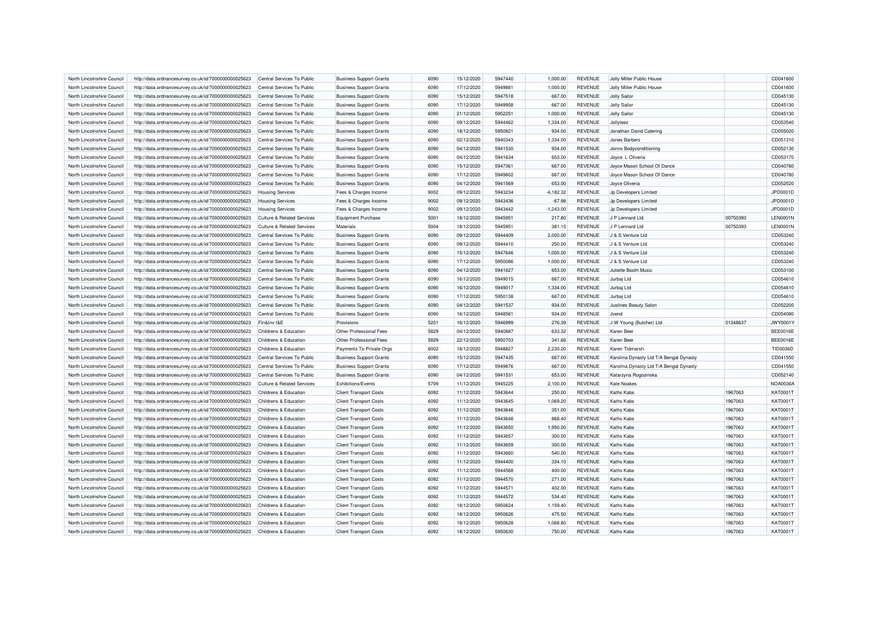| North Lincolnshire Council | http://data.ordnancesurvey.co.uk/id/7000000000025623                                                         | Central Services To Public            | <b>Business Support Grants</b> | 6090 | 15/12/2020 | 5947440 | 1,000.00    | <b>REVENUE</b> | Jolly Miller Public House               |          | CD041600        |
|----------------------------|--------------------------------------------------------------------------------------------------------------|---------------------------------------|--------------------------------|------|------------|---------|-------------|----------------|-----------------------------------------|----------|-----------------|
| North Lincolnshire Council | http://data.ordnancesurvey.co.uk/id/7000000000025623                                                         | Central Services To Public            | <b>Business Support Grants</b> | 6090 | 17/12/2020 | 5949881 | 1,000.00    | <b>REVENUE</b> | Jolly Miller Public House               |          | CD041600        |
| North Lincolnshire Council | http://data.ordnancesurvey.co.uk/id/7000000000025623                                                         | Central Services To Public            | <b>Business Support Grants</b> | 6090 | 15/12/2020 | 5947518 | 667.00      | <b>REVENUE</b> | Jolly Sailor                            |          | CD045130        |
| North Lincolnshire Council | http://data.ordnancesurvey.co.uk/id/7000000000025623                                                         | Central Services To Public            | <b>Business Support Grants</b> | 6090 | 17/12/2020 | 5949958 | 667.00      | <b>REVENUE</b> | <b>Jolly Sailor</b>                     |          | CD045130        |
| North Lincolnshire Council | http://data.ordnancesurvey.co.uk/id/7000000000025623                                                         | Central Services To Public            | <b>Business Support Grants</b> | 6090 | 21/12/2020 | 5952251 | 1,000.00    | <b>REVENUE</b> | Jolly Sailor                            |          | CD045130        |
| North Lincolnshire Council | http://data.ordnancesurvey.co.uk/id/7000000000025623                                                         | Central Services To Public            | <b>Business Support Grants</b> | 6090 | 09/12/2020 | 5944462 | 1,334.00    | <b>REVENUE</b> | Jollyteez                               |          | CD053540        |
| North Lincolnshire Council | http://data.ordnancesurvey.co.uk/id/7000000000025623                                                         | Central Services To Public            | <b>Business Support Grants</b> | 6090 | 18/12/2020 | 5950821 | 934.00      | <b>REVENUE</b> | Jonathan David Caterino                 |          | CD055020        |
| North Lincolnshire Council | http://data.ordnancesurvey.co.uk/id/7000000000025623                                                         | Central Services To Public            | <b>Business Support Grants</b> | 6090 | 02/12/2020 | 5940343 | 1,334.00    | <b>REVENUE</b> | Jones Barbers                           |          | CD051310        |
| North Lincolnshire Council | http://data.ordnancesurvey.co.uk/id/7000000000025623                                                         | Central Services To Public            | <b>Business Support Grants</b> | 6090 | 04/12/2020 | 5941530 | 934.00      | <b>REVENUE</b> | Jonns Bodyconditioning                  |          | CD052130        |
| North Lincolnshire Council | http://data.ordnancesurvey.co.uk/id/7000000000025623                                                         | Central Services To Public            | <b>Business Support Grants</b> | 6090 | 04/12/2020 | 5941634 | 653.00      | <b>REVENUE</b> | Joyce L Oliveria                        |          | CD053170        |
| North Lincolnshire Council | http://data.ordnancesurvey.co.uk/id/7000000000025623                                                         | Central Services To Public            | <b>Business Support Grants</b> | 6090 | 15/12/2020 | 5947361 | 667.00      | <b>REVENUE</b> | Joyce Mason School Of Dance             |          | CD040780        |
| North Lincolnshire Council | http://data.ordnancesurvey.co.uk/id/7000000000025623                                                         | Central Services To Public            | <b>Business Support Grants</b> | 6090 | 17/12/2020 | 5949802 | 667.00      | <b>REVENUE</b> | Joyce Mason School Of Dance             |          | CD040780        |
| North Lincolnshire Council | http://data.ordnancesurvey.co.uk/id/7000000000025623                                                         | Central Services To Public            | <b>Business Support Grants</b> | 6090 | 04/12/2020 | 5941569 | 653.00      | REVENUE        | Joyce Oliveria                          |          | CD052520        |
| North Lincolnshire Council | http://data.ordnancesurvey.co.uk/id/7000000000025623                                                         | <b>Housing Services</b>               | Fees & Charges Income          | 9002 | 09/12/2020 | 5943234 | $-4,182.32$ | <b>REVENUE</b> | Jp Developers Limited                   |          | JPD0001D        |
| North Lincolnshire Council | http://data.ordnancesurvey.co.uk/id/7000000000025623                                                         | <b>Housing Services</b>               | Fees & Charges Income          | 9002 | 09/12/2020 | 5943436 | $-67.98$    | <b>REVENUE</b> | Jp Developers Limited                   |          | JPD0001D        |
| North Lincolnshire Council | http://data.ordnancesurvey.co.uk/id/7000000000025623                                                         | <b>Housing Services</b>               | Fees & Charges Income          | 9002 | 09/12/2020 | 5943442 | $-1,243.00$ | <b>REVENUE</b> | Jp Developers Limited                   |          | JPD0001D        |
| North Lincolnshire Council | http://data.ordnancesurvey.co.uk/id/7000000000025623                                                         | <b>Culture &amp; Related Services</b> | <b>Equipment Purchase</b>      | 5001 | 18/12/2020 | 5945951 | 217.80      | <b>REVENUE</b> | J P Lennard Ltd                         | 00750393 | <b>LEN0001N</b> |
| North Lincolnshire Council | http://data.ordnancesurvey.co.uk/id/7000000000025623                                                         | <b>Culture &amp; Related Services</b> | Materials                      | 5004 | 18/12/2020 | 5945951 | 381.15      | <b>REVENUE</b> | J P Lennard Ltd                         | 00750393 | <b>LEN0001N</b> |
| North Lincolnshire Council | http://data.ordnancesurvey.co.uk/id/7000000000025623                                                         | Central Services To Public            | <b>Business Support Grants</b> | 6090 | 09/12/2020 | 5944409 | 2,000.00    | <b>REVENUE</b> | J & S Venture Ltd                       |          | CD053240        |
| North Lincolnshire Council | http://data.ordnancesurvey.co.uk/id/7000000000025623                                                         | Central Services To Public            | <b>Business Support Grants</b> | 6090 | 09/12/2020 | 5944410 | 250.00      | <b>REVENUE</b> | J & S Venture Ltd                       |          | CD053240        |
| North Lincolnshire Council | http://data.ordnancesurvey.co.uk/id/7000000000025623                                                         | Central Services To Public            | <b>Business Support Grants</b> | 6090 | 15/12/2020 | 5947646 | 1,000.00    | <b>REVENUE</b> | J & S Venture Ltd                       |          | CD053240        |
| North Lincolnshire Council |                                                                                                              | Central Services To Public            | <b>Business Support Grants</b> | 6090 | 17/12/2020 | 5950086 | 1,000.00    | <b>REVENUE</b> | J & S Venture Ltd                       |          | CD053240        |
| North Lincolnshire Council | http://data.ordnancesurvey.co.uk/id/7000000000025623<br>http://data.ordnancesurvey.co.uk/id/7000000000025623 | Central Services To Public            |                                | 6090 | 04/12/2020 | 5941627 | 653.00      | <b>REVENUE</b> | Juliette Booth Music                    |          | CD053100        |
|                            |                                                                                                              |                                       | <b>Business Support Grants</b> |      |            |         |             |                |                                         |          |                 |
| North Lincolnshire Council | http://data.ordnancesurvey.co.uk/id/7000000000025623                                                         | Central Services To Public            | <b>Business Support Grants</b> | 6090 | 16/12/2020 | 5949015 | 667.00      | <b>REVENUE</b> | Jurbaj Ltd                              |          | CD054610        |
| North Lincolnshire Council | http://data.ordnancesurvey.co.uk/id/7000000000025623                                                         | Central Services To Public            | <b>Business Support Grants</b> | 6090 | 16/12/2020 | 5949017 | 1,334.00    | <b>REVENUE</b> | Jurbaj Ltd                              |          | CD054610        |
| North Lincolnshire Council | http://data.ordnancesurvey.co.uk/id/7000000000025623                                                         | Central Services To Public            | <b>Business Support Grants</b> | 6090 | 17/12/2020 | 5950138 | 667.00      | <b>REVENUE</b> | Jurbaj Ltd                              |          | CD054610        |
| North Lincolnshire Council | http://data.ordnancesurvey.co.uk/id/7000000000025623                                                         | Central Services To Public            | <b>Business Support Grants</b> | 6090 | 04/12/2020 | 5941537 | 934.00      | <b>REVENUE</b> | Justines Beauty Salon                   |          | CD052200        |
| North Lincolnshire Council | http://data.ordnancesurvey.co.uk/id/7000000000025623                                                         | Central Services To Public            | <b>Business Support Grants</b> | 6090 | 16/12/2020 | 5948561 | 934.00      | <b>REVENUE</b> | Jvend                                   |          | CD054080        |
| North Lincolnshire Council | http://data.ordnancesurvey.co.uk/id/7000000000025623                                                         | Fin&Inv I&E                           | Provisions                     | 5201 | 16/12/2020 | 5946999 | 276.39      | <b>REVENUE</b> | J W Young (Butcher) Ltd                 | 01348637 | JWY0001\        |
| North Lincolnshire Council | http://data.ordnancesurvey.co.uk/id/7000000000025623                                                         | Childrens & Education                 | Other Professional Fees        | 5829 | 04/12/2020 | 5940887 | 633.32      | <b>REVENUE</b> | Karen Beer                              |          | <b>BEE0016E</b> |
| North Lincolnshire Council | http://data.ordnancesurvey.co.uk/id/7000000000025623                                                         | Childrens & Education                 | Other Professional Fees        | 5829 | 22/12/2020 | 5950703 | 341.66      | <b>REVENUE</b> | Karen Beer                              |          | BEE0016E        |
| North Lincolnshire Council | http://data.ordnancesurvey.co.uk/id/7000000000025623                                                         | Childrens & Education                 | Payments To Private Orgs       | 6002 | 18/12/2020 | 5948827 | 2,230.20    | <b>REVENUE</b> | Karen Tidmarsh                          |          | <b>TID0036D</b> |
| North Lincolnshire Council | http://data.ordnancesurvey.co.uk/id/7000000000025623                                                         | Central Services To Public            | <b>Business Support Grants</b> | 6090 | 15/12/2020 | 5947435 | 667.00      | <b>REVENUE</b> | Karolina Dynasty Ltd T/A Bengal Dynasty |          | CD041550        |
| North Lincolnshire Council | http://data.ordnancesurvey.co.uk/id/7000000000025623                                                         | Central Services To Public            | <b>Business Support Grants</b> | 6090 | 17/12/2020 | 5949876 | 667.00      | <b>REVENUE</b> | Karolina Dynasty Ltd T/A Bengal Dynasty |          | CD041550        |
| North Lincolnshire Council | http://data.ordnancesurvey.co.uk/id/7000000000025623                                                         | Central Services To Public            | <b>Business Support Grants</b> | 6090 | 04/12/2020 | 5941531 | 653.00      | <b>REVENUE</b> | Katarzyna Rogozinska                    |          | CD052140        |
| North Lincolnshire Council | http://data.ordnancesurvey.co.uk/id/7000000000025623                                                         | <b>Culture &amp; Related Services</b> | Exhibitions/Events             | 5709 | 11/12/2020 | 5945225 | 2,100.00    | <b>REVENUE</b> | <b>Kate Noakes</b>                      |          | <b>NOA0036A</b> |
| North Lincolnshire Council | http://data.ordnancesurvey.co.uk/id/7000000000025623                                                         | Childrens & Education                 | <b>Client Transport Costs</b>  | 6092 | 11/12/2020 | 5943644 | 250.00      | <b>REVENUE</b> | Kaths Kabs                              | 1967063  | KAT0001T        |
| North Lincolnshire Council | http://data.ordnancesurvey.co.uk/id/7000000000025623                                                         | Childrens & Education                 | <b>Client Transport Costs</b>  | 6092 | 11/12/2020 | 5943645 | 1,069.20    | <b>REVENUE</b> | Kaths Kabs                              | 1967063  | KAT0001T        |
| North Lincolnshire Council | http://data.ordnancesurvey.co.uk/id/7000000000025623                                                         | Childrens & Education                 | <b>Client Transport Costs</b>  | 6092 | 11/12/2020 | 5943646 | 351.00      | <b>REVENUE</b> | <b>Kaths Kabs</b>                       | 1967063  | KAT0001T        |
| North Lincolnshire Council | http://data.ordnancesurvey.co.uk/id/7000000000025623                                                         | Childrens & Education                 | <b>Client Transport Costs</b>  | 6092 | 11/12/2020 | 5943648 | 868.40      | <b>REVENUE</b> | Kaths Kabs                              | 1967063  | <b>KAT0001T</b> |
| North Lincolnshire Council | http://data.ordnancesurvey.co.uk/id/7000000000025623                                                         | Childrens & Education                 | <b>Client Transport Costs</b>  | 6092 | 11/12/2020 | 5943650 | 1,950.00    | <b>REVENUE</b> | <b>Kaths Kabs</b>                       | 1967063  | KAT0001T        |
| North Lincolnshire Council | http://data.ordnancesurvey.co.uk/id/7000000000025623                                                         | Childrens & Education                 | <b>Client Transport Costs</b>  | 6092 | 11/12/2020 | 5943657 | 300.00      | <b>REVENUE</b> | <b>Kaths Kabs</b>                       | 1967063  | KAT0001T        |
| North Lincolnshire Council | http://data.ordnancesurvey.co.uk/id/7000000000025623                                                         | Childrens & Education                 | <b>Client Transport Costs</b>  | 6092 | 11/12/2020 | 5943659 | 300.00      | <b>REVENUE</b> | Kaths Kabs                              | 1967063  | KAT0001T        |
| North Lincolnshire Council | http://data.ordnancesurvey.co.uk/id/7000000000025623                                                         | Childrens & Education                 | <b>Client Transport Costs</b>  | 6092 | 11/12/2020 | 5943660 | 540.00      | <b>REVENUE</b> | Kaths Kabs                              | 1967063  | KAT0001T        |
| North Lincolnshire Council | http://data.ordnancesurvey.co.uk/id/7000000000025623                                                         | Childrens & Education                 | <b>Client Transport Costs</b>  | 6092 | 11/12/2020 | 5944400 | 334.10      | <b>REVENUE</b> | Kaths Kabs                              | 1967063  | KAT0001T        |
| North Lincolnshire Council | http://data.ordnancesurvey.co.uk/id/7000000000025623                                                         | Childrens & Education                 | <b>Client Transport Costs</b>  | 6092 | 11/12/2020 | 5944568 | 400.00      | <b>REVENUE</b> | Kaths Kabs                              | 1967063  | KAT0001T        |
| North Lincolnshire Council | http://data.ordnancesurvey.co.uk/id/7000000000025623                                                         | Childrens & Education                 | <b>Client Transport Costs</b>  | 6092 | 11/12/2020 | 5944570 | 271.00      | <b>REVENUE</b> | <b>Kaths Kabs</b>                       | 1967063  | KAT0001T        |
| North Lincolnshire Council | http://data.ordnancesurvey.co.uk/id/7000000000025623                                                         | Childrens & Education                 | <b>Client Transport Costs</b>  | 6092 | 11/12/2020 | 5944571 | 402.00      | <b>REVENUE</b> | Kaths Kabs                              | 1967063  | KAT0001T        |
| North Lincolnshire Council | http://data.ordnancesurvey.co.uk/id/7000000000025623                                                         | Childrens & Education                 | <b>Client Transport Costs</b>  | 6092 | 11/12/2020 | 5944572 | 534.40      | <b>REVENUE</b> | <b>Kaths Kabs</b>                       | 1967063  | KAT0001T        |
| North Lincolnshire Council | http://data.ordnancesurvey.co.uk/id/7000000000025623                                                         | Childrens & Education                 | <b>Client Transport Costs</b>  | 6092 | 18/12/2020 | 5950624 | 1,159.40    | <b>REVENUE</b> | Kaths Kabs                              | 1967063  | KAT0001T        |
| North Lincolnshire Council | http://data.ordnancesurvey.co.uk/id/7000000000025623                                                         | Childrens & Education                 | <b>Client Transport Costs</b>  | 6092 | 18/12/2020 | 5950626 | 475.50      | <b>REVENUE</b> | Kaths Kabs                              | 1967063  | KAT0001T        |
| North Lincolnshire Council | http://data.ordnancesurvey.co.uk/id/7000000000025623                                                         | Childrens & Education                 | <b>Client Transport Costs</b>  | 6092 | 18/12/2020 | 5950628 | 1,068.80    | <b>REVENUE</b> | <b>Kaths Kabs</b>                       | 1967063  | KAT0001T        |
| North Lincolnshire Council | http://data.ordnancesurvey.co.uk/id/7000000000025623                                                         | Childrens & Education                 | <b>Client Transport Costs</b>  | 6092 | 18/12/2020 | 5950630 | 750.00      | <b>REVENUE</b> | Kaths Kabs                              | 1967063  | KAT0001T        |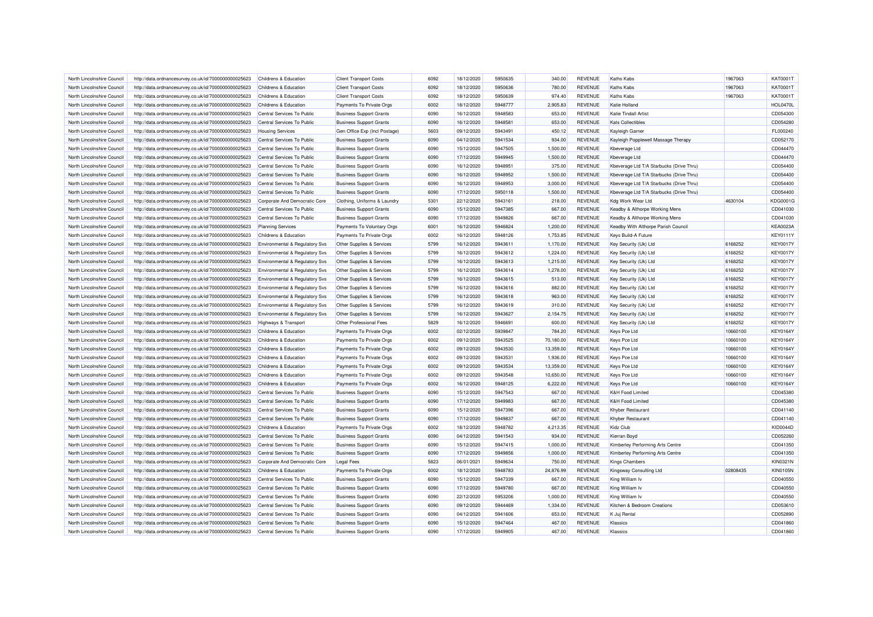| North Lincolnshire Council | http://data.ordnancesurvey.co.uk/id/7000000000025623 | Childrens & Education                     | <b>Client Transport Costs</b>  | 6092 | 18/12/2020 | 5950635 | 340.00    | <b>REVENUE</b> | Kaths Kabs                               | 1967063  | <b>KAT0001T</b> |
|----------------------------|------------------------------------------------------|-------------------------------------------|--------------------------------|------|------------|---------|-----------|----------------|------------------------------------------|----------|-----------------|
| North Lincolnshire Council | http://data.ordnancesurvey.co.uk/id/7000000000025623 | Childrens & Education                     | <b>Client Transport Costs</b>  | 6092 | 18/12/2020 | 5950636 | 780.00    | <b>REVENUE</b> | <b>Kaths Kabs</b>                        | 1967063  | KAT0001T        |
| North Lincolnshire Council | http://data.ordnancesurvey.co.uk/id/7000000000025623 | Childrens & Education                     | <b>Client Transport Costs</b>  | 6092 | 18/12/2020 | 5950639 | 974.40    | <b>REVENUE</b> | Kaths Kabs                               | 1967063  | KAT0001T        |
| North Lincolnshire Council | http://data.ordnancesurvey.co.uk/id/7000000000025623 | Childrens & Education                     | Payments To Private Orgs       | 6002 | 18/12/2020 | 5948777 | 2,905.83  | <b>REVENUE</b> | Katie Holland                            |          | <b>HOL0470L</b> |
| North Lincolnshire Council | http://data.ordnancesurvey.co.uk/id/7000000000025623 | Central Services To Public                | <b>Business Support Grants</b> | 6090 | 16/12/2020 | 5948583 | 653.00    | <b>REVENUE</b> | <b>Katie Tindall Artist</b>              |          | CD054300        |
| North Lincolnshire Council | http://data.ordnancesurvey.co.uk/id/7000000000025623 | Central Services To Public                | <b>Business Support Grants</b> | 6090 | 16/12/2020 | 5948581 | 653.00    | <b>REVENUE</b> | <b>Kats Collectibles</b>                 |          | CD054280        |
| North Lincolnshire Council | http://data.ordnancesurvey.co.uk/id/7000000000025623 | <b>Housing Services</b>                   | Gen Office Exp (Incl Postage)  | 5603 | 09/12/2020 | 5943491 | 450.12    | <b>REVENUE</b> | Kayleigh Garner                          |          | FL000240        |
| North Lincolnshire Council | http://data.ordnancesurvey.co.uk/id/7000000000025623 | Central Services To Public                | <b>Business Support Grants</b> | 6090 | 04/12/2020 | 5941534 | 934.00    | <b>REVENUE</b> | Kayleigh Popplewell Massage Therapy      |          | CD052170        |
| North Lincolnshire Council | http://data.ordnancesurvey.co.uk/id/7000000000025623 | Central Services To Public                | <b>Business Support Grants</b> | 6090 | 15/12/2020 | 5947505 | 1,500.00  | <b>REVENUE</b> | Kheverage I td                           |          | CD044470        |
| North Lincolnshire Council | http://data.ordnancesurvey.co.uk/id/7000000000025623 | Central Services To Public                | <b>Business Support Grants</b> | 6090 | 17/12/2020 | 5949945 | 1,500.00  | <b>REVENUE</b> | Kbeverage Ltd                            |          | CD044470        |
| North Lincolnshire Council | http://data.ordnancesurvey.co.uk/id/7000000000025623 | Central Services To Public                | <b>Business Support Grants</b> | 6090 | 16/12/2020 | 5948951 | 375.00    | <b>REVENUE</b> | Kbeverage Ltd T/A Starbucks (Drive Thru) |          | CD054400        |
| North Lincolnshire Council | http://data.ordnancesurvey.co.uk/id/7000000000025623 | Central Services To Public                | <b>Business Support Grants</b> | 6090 | 16/12/2020 | 5948952 | 1,500.00  | <b>REVENUE</b> | Kbeverage Ltd T/A Starbucks (Drive Thru) |          | CD054400        |
| North Lincolnshire Council | http://data.ordnancesurvey.co.uk/id/7000000000025623 | Central Services To Public                | <b>Business Support Grants</b> | 6090 | 16/12/2020 | 5948953 | 3,000.00  | <b>REVENUE</b> | Kbeverage Ltd T/A Starbucks (Drive Thru) |          | CD054400        |
| North Lincolnshire Council | http://data.ordnancesurvey.co.uk/id/7000000000025623 | Central Services To Public                | <b>Business Support Grants</b> | 6090 | 17/12/2020 | 5950118 | 1,500.00  | <b>REVENUE</b> | Kbeverage Ltd T/A Starbucks (Drive Thru) |          | CD054400        |
| North Lincolnshire Council | http://data.ordnancesurvey.co.uk/id/7000000000025623 | Corporate And Democratic Core             | Clothing, Uniforms & Laundry   | 5301 | 22/12/2020 | 5943161 | 218.00    | <b>REVENUE</b> | Kdg Work Wear Ltd                        | 4630104  | KDG0001G        |
| North Lincolnshire Council | http://data.ordnancesurvey.co.uk/id/7000000000025623 | Central Services To Public                | <b>Business Support Grants</b> | 6090 | 15/12/2020 | 5947385 | 667.00    | <b>REVENUE</b> | Keadby & Althorpe Working Mens           |          | CD041030        |
| North Lincolnshire Council | http://data.ordnancesurvey.co.uk/id/7000000000025623 | Central Services To Public                | <b>Business Support Grants</b> | 6090 | 17/12/2020 | 5949826 | 667.00    | <b>REVENUE</b> | Keadby & Althorpe Working Mens           |          | CD041030        |
| North Lincolnshire Council | http://data.ordnancesurvey.co.uk/id/7000000000025623 | <b>Planning Services</b>                  | Payments To Voluntary Orgs     | 6001 | 16/12/2020 | 5946824 | 1,200.00  | <b>REVENUE</b> | Keadby With Althorpe Parish Council      |          | <b>KEA0023A</b> |
| North Lincolnshire Council |                                                      | Childrens & Education                     |                                | 6002 | 16/12/2020 | 5948126 | 1,753.85  | <b>REVENUE</b> | Keys Build-A Future                      |          | <b>KEY0111Y</b> |
|                            | http://data.ordnancesurvey.co.uk/id/7000000000025623 |                                           | Payments To Private Orgs       | 5799 | 16/12/2020 | 5943611 | 1,170.00  | <b>REVENUE</b> |                                          | 6168252  | <b>KEY0017Y</b> |
| North Lincolnshire Council | http://data.ordnancesurvey.co.uk/id/7000000000025623 | Environmental & Regulatory Svs            | Other Supplies & Services      |      |            |         |           |                | Key Security (Uk) Ltd                    |          | <b>KEY0017Y</b> |
| North Lincolnshire Council | http://data.ordnancesurvey.co.uk/id/7000000000025623 | Environmental & Regulatory Svs            | Other Supplies & Services      | 5799 | 16/12/2020 | 5943612 | 1,224.00  | <b>REVENUE</b> | Key Security (Uk) Ltd                    | 6168252  |                 |
| North Lincolnshire Council | http://data.ordnancesurvey.co.uk/id/7000000000025623 | Environmental & Regulatory Svs            | Other Supplies & Services      | 5799 | 16/12/2020 | 5943613 | 1,215.00  | <b>REVENUE</b> | Key Security (Uk) Ltd                    | 6168252  | <b>KEY0017Y</b> |
| North Lincolnshire Council | http://data.ordnancesurvey.co.uk/id/7000000000025623 | Environmental & Regulatory Svs            | Other Supplies & Services      | 5799 | 16/12/2020 | 5943614 | 1.278.00  | <b>REVENUE</b> | Key Security (Uk) Ltd                    | 6168252  | <b>KEY0017Y</b> |
| North Lincolnshire Council | http://data.ordnancesurvey.co.uk/id/7000000000025623 | <b>Environmental &amp; Regulatory Svs</b> | Other Supplies & Services      | 5799 | 16/12/2020 | 5943615 | 513.00    | <b>REVENUE</b> | Key Security (Uk) Ltd                    | 6168252  | <b>KEY0017Y</b> |
| North Lincolnshire Council | http://data.ordnancesurvey.co.uk/id/7000000000025623 | Environmental & Regulatory Svs            | Other Supplies & Services      | 5799 | 16/12/2020 | 5943616 | 882.00    | <b>REVENUE</b> | Key Security (Uk) Ltd                    | 6168252  | <b>KEY0017Y</b> |
| North Lincolnshire Council | http://data.ordnancesurvey.co.uk/id/7000000000025623 | <b>Environmental &amp; Regulatory Svs</b> | Other Supplies & Services      | 5799 | 16/12/2020 | 5943618 | 963.00    | <b>REVENUE</b> | Key Security (Uk) Ltd                    | 6168252  | <b>KEY0017Y</b> |
| North Lincolnshire Council | http://data.ordnancesurvey.co.uk/id/7000000000025623 | Environmental & Regulatory Svs            | Other Supplies & Services      | 5799 | 16/12/2020 | 5943619 | 310.00    | <b>REVENUE</b> | Key Security (Uk) Ltd                    | 6168252  | <b>KEY0017Y</b> |
| North Lincolnshire Council | http://data.ordnancesurvey.co.uk/id/7000000000025623 | Environmental & Regulatory Svs            | Other Supplies & Services      | 5799 | 16/12/2020 | 5943627 | 2,154.75  | <b>REVENUE</b> | Key Security (Uk) Ltd                    | 6168252  | <b>KEY0017Y</b> |
| North Lincolnshire Council | http://data.ordnancesurvey.co.uk/id/7000000000025623 | Highways & Transport                      | Other Professional Fees        | 5829 | 16/12/2020 | 5946691 | 600.00    | <b>REVENUE</b> | Key Security (Uk) Ltd                    | 6168252  | <b>KEY0017Y</b> |
| North Lincolnshire Council | http://data.ordnancesurvey.co.uk/id/7000000000025623 | Childrens & Education                     | Payments To Private Orgs       | 6002 | 02/12/2020 | 5939847 | 784.20    | REVENUE        | Keys Pce Ltd                             | 10660100 | <b>KEY0164Y</b> |
| North Lincolnshire Council | http://data.ordnancesurvey.co.uk/id/7000000000025623 | Childrens & Education                     | Payments To Private Orgs       | 6002 | 09/12/2020 | 5943525 | 70,180.00 | <b>REVENUE</b> | Keys Pce Ltd                             | 10660100 | <b>KEY0164Y</b> |
| North Lincolnshire Council | http://data.ordnancesurvey.co.uk/id/7000000000025623 | Childrens & Education                     | Payments To Private Orgs       | 6002 | 09/12/2020 | 5943530 | 13,359.00 | <b>REVENUE</b> | Keys Pce Ltd                             | 10660100 | <b>KEY0164Y</b> |
| North Lincolnshire Council | http://data.ordnancesurvey.co.uk/id/7000000000025623 | Childrens & Education                     | Payments To Private Orgs       | 6002 | 09/12/2020 | 5943531 | 1,936.00  | <b>REVENUE</b> | Keys Pce Ltd                             | 10660100 | <b>KEY0164Y</b> |
| North Lincolnshire Council | http://data.ordnancesurvey.co.uk/id/7000000000025623 | Childrens & Education                     | Payments To Private Orgs       | 6002 | 09/12/2020 | 5943534 | 13,359.00 | <b>REVENUE</b> | Keys Pce Ltd                             | 10660100 | <b>KEY0164Y</b> |
| North Lincolnshire Council | http://data.ordnancesurvey.co.uk/id/7000000000025623 | Childrens & Education                     | Payments To Private Orgs       | 6002 | 09/12/2020 | 5943548 | 10,650.00 | <b>REVENUE</b> | Keys Pce Ltd                             | 10660100 | <b>KEY0164Y</b> |
| North Lincolnshire Council | http://data.ordnancesurvey.co.uk/id/7000000000025623 | Childrens & Education                     | Payments To Private Orgs       | 6002 | 16/12/2020 | 5948125 | 6,222.00  | <b>REVENUE</b> | Keys Pce Ltd                             | 10660100 | <b>KEY0164Y</b> |
| North Lincolnshire Council | http://data.ordnancesurvey.co.uk/id/7000000000025623 | Central Services To Public                | <b>Business Support Grants</b> | 6090 | 15/12/2020 | 5947543 | 667.00    | <b>REVENUE</b> | K&H Food Limited                         |          | CD045380        |
| North Lincolnshire Council | http://data.ordnancesurvey.co.uk/id/7000000000025623 | Central Services To Public                | <b>Business Support Grants</b> | 6090 | 17/12/2020 | 5949983 | 667.00    | <b>REVENUE</b> | <b>K&amp;H Food Limited</b>              |          | CD045380        |
| North Lincolnshire Council | http://data.ordnancesurvey.co.uk/id/7000000000025623 | Central Services To Public                | <b>Business Support Grants</b> | 6090 | 15/12/2020 | 5947396 | 667.00    | <b>REVENUE</b> | Khyber Restaurant                        |          | CD041140        |
| North Lincolnshire Council | http://data.ordnancesurvey.co.uk/id/7000000000025623 | Central Services To Public                | <b>Business Support Grants</b> | 6090 | 17/12/2020 | 5949837 | 667.00    | <b>REVENUE</b> | Khyber Restaurant                        |          | CD041140        |
| North Lincolnshire Council | http://data.ordnancesurvey.co.uk/id/7000000000025623 | Childrens & Education                     | Payments To Private Orgs       | 6002 | 18/12/2020 | 5948782 | 4,213.35  | <b>REVENUE</b> | Kidz Club                                |          | KID0044D        |
| North Lincolnshire Council | http://data.ordnancesurvey.co.uk/id/7000000000025623 | Central Services To Public                | <b>Business Support Grants</b> | 6090 | 04/12/2020 | 5941543 | 934.00    | <b>REVENUE</b> | Kierran Boyd                             |          | CD052260        |
| North Lincolnshire Council | http://data.ordnancesurvey.co.uk/id/7000000000025623 | Central Services To Public                | <b>Business Support Grants</b> | 6090 | 15/12/2020 | 5947415 | 1,000.00  | <b>REVENUE</b> | Kimberley Performing Arts Centre         |          | CD041350        |
| North Lincolnshire Council | http://data.ordnancesurvey.co.uk/id/7000000000025623 | Central Services To Public                | <b>Business Support Grants</b> | 6090 | 17/12/2020 | 5949856 | 1,000.00  | <b>REVENUE</b> | Kimberley Performing Arts Centre         |          | CD041350        |
| North Lincolnshire Council | http://data.ordnancesurvey.co.uk/id/7000000000025623 | Corporate And Democratic Core             | <b>Legal Fees</b>              | 5823 | 06/01/2021 | 5949634 | 750.00    | <b>REVENUE</b> | <b>Kings Chambers</b>                    |          | KIN0321N        |
| North Lincolnshire Council | http://data.ordnancesurvey.co.uk/id/7000000000025623 | <b>Childrens &amp; Education</b>          | Payments To Private Orgs       | 6002 | 18/12/2020 | 5948783 | 24,876.99 | <b>REVENUE</b> | Kingsway Consulting Ltd                  | 02808435 | <b>KIN0105N</b> |
| North Lincolnshire Council | http://data.ordnancesurvey.co.uk/id/7000000000025623 | Central Services To Public                | <b>Business Support Grants</b> | 6090 | 15/12/2020 | 5947339 | 667.00    | <b>REVENUE</b> | King William Iv                          |          | CD040550        |
| North Lincolnshire Council | http://data.ordnancesurvey.co.uk/id/7000000000025623 | Central Services To Public                | <b>Business Support Grants</b> | 6090 | 17/12/2020 | 5949780 | 667.00    | <b>REVENUE</b> | King William Iv                          |          | CD040550        |
| North Lincolnshire Council | http://data.ordnancesurvey.co.uk/id/7000000000025623 | Central Services To Public                | <b>Business Support Grants</b> | 6090 | 22/12/2020 | 5953206 | 1,000.00  | <b>REVENUE</b> | King William Iv                          |          | CD040550        |
| North Lincolnshire Council | http://data.ordnancesurvey.co.uk/id/7000000000025623 | Central Services To Public                | <b>Business Support Grants</b> | 6090 | 09/12/2020 | 5944469 | 1,334.00  | <b>REVENUE</b> | Kitchen & Bedroom Creations              |          | CD053610        |
| North Lincolnshire Council | http://data.ordnancesurvey.co.uk/id/7000000000025623 | Central Services To Public                | <b>Business Support Grants</b> | 6090 | 04/12/2020 | 5941606 | 653.00    | <b>REVENUE</b> | K Juj Rental                             |          | CD052890        |
| North Lincolnshire Council | http://data.ordnancesurvey.co.uk/id/7000000000025623 | Central Services To Public                | <b>Business Support Grants</b> | 6090 | 15/12/2020 | 5947464 | 467.00    | <b>REVENUE</b> | Klassics                                 |          | CD041860        |
| North Lincolnshire Council | http://data.ordnancesurvey.co.uk/id/7000000000025623 | Central Services To Public                | <b>Business Support Grants</b> | 6090 | 17/12/2020 | 5949905 | 467.00    | <b>REVENUE</b> | Klassics                                 |          | CD041860        |
|                            |                                                      |                                           |                                |      |            |         |           |                |                                          |          |                 |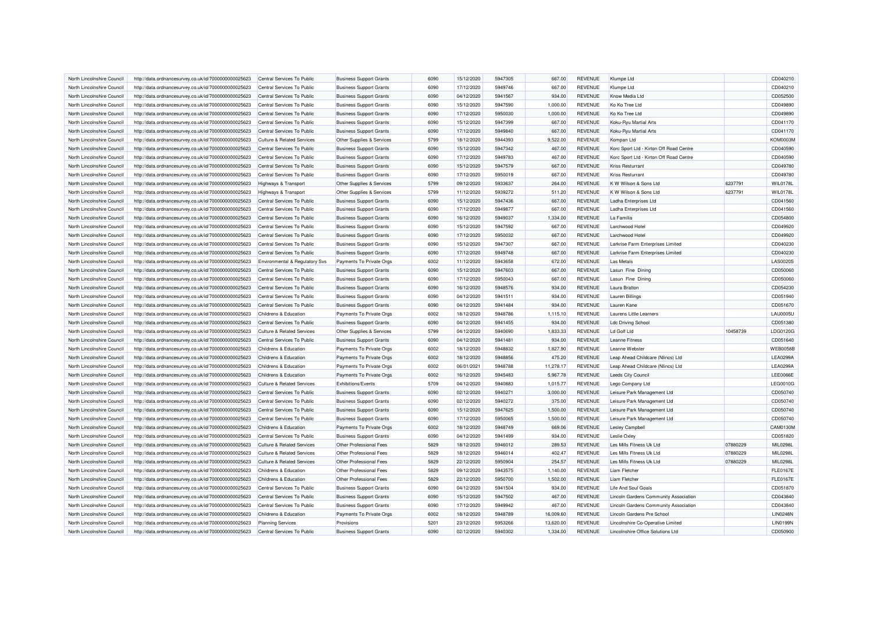| North Lincolnshire Council                               | http://data.ordnancesurvey.co.uk/id/7000000000025623 | Central Services To Public                                   | <b>Business Support Grants</b> | 6090         | 15/12/2020               | 5947305            | 667.00           | <b>REVENUE</b> | Klumpe Ltd                              |          | CD040210                    |
|----------------------------------------------------------|------------------------------------------------------|--------------------------------------------------------------|--------------------------------|--------------|--------------------------|--------------------|------------------|----------------|-----------------------------------------|----------|-----------------------------|
| North Lincolnshire Council                               | http://data.ordnancesurvey.co.uk/id/7000000000025623 | Central Services To Public                                   | <b>Business Support Grants</b> | 6090         | 17/12/2020               | 5949746            | 667.00           | <b>REVENUE</b> | Klumpe Ltd                              |          | CD040210                    |
| North Lincolnshire Council                               | http://data.ordnancesurvey.co.uk/id/7000000000025623 | Central Services To Public                                   | <b>Business Support Grants</b> | 6090         | 04/12/2020               | 5941567            | 934.00           | <b>REVENUE</b> | Know Media Ltd                          |          | CD052500                    |
| North Lincolnshire Council                               | http://data.ordnancesurvey.co.uk/id/7000000000025623 | Central Services To Public                                   | <b>Business Support Grants</b> | 6090         | 15/12/2020               | 5947590            | 1,000.00         | <b>REVENUE</b> | Ko Ko Tree Ltd                          |          | CD049890                    |
| North Lincolnshire Council                               | http://data.ordnancesurvey.co.uk/id/7000000000025623 | Central Services To Public                                   | <b>Business Support Grants</b> | 6090         | 17/12/2020               | 5950030            | 1,000.00         | <b>REVENUE</b> | Ko Ko Tree Ltd                          |          | CD049890                    |
| North Lincolnshire Council                               | http://data.ordnancesurvey.co.uk/id/7000000000025623 | Central Services To Public                                   | <b>Business Support Grants</b> | 6090         | 15/12/2020               | 5947399            | 667.00           | <b>REVENUE</b> | Koku-Ryu Martial Arts                   |          | CD041170                    |
| North Lincolnshire Council                               | http://data.ordnancesurvey.co.uk/id/7000000000025623 | Central Services To Public                                   | <b>Business Support Grants</b> | 6090         | 17/12/2020               | 5949840            | 667.00           | <b>REVENUE</b> | Koku-Ryu Martial Arts                   |          | CD041170                    |
| North Lincolnshire Council                               | http://data.ordnancesurvey.co.uk/id/7000000000025623 | <b>Culture &amp; Related Services</b>                        | Other Supplies & Services      | 5799         | 18/12/2020               | 5944393            | 9,522.00         | <b>REVENUE</b> | Kompan Ltd                              |          | <b>KOM0003M</b>             |
| North Lincolnshire Council                               | http://data.ordnancesurvey.co.uk/id/7000000000025623 | Central Services To Public                                   | <b>Business Support Grants</b> | 6090         | 15/12/2020               | 5947342            | 467.00           | <b>REVENUE</b> | Korc Sport Ltd - Kirton Off Road Centre |          | CD040590                    |
| North Lincolnshire Council                               | http://data.ordnancesurvey.co.uk/id/7000000000025623 | Central Services To Public                                   | <b>Business Support Grants</b> | 6090         | 17/12/2020               | 5949783            | 467.00           | <b>REVENUE</b> | Korc Sport Ltd - Kirton Off Road Centre |          | CD040590                    |
| North Lincolnshire Council                               | http://data.ordnancesurvey.co.uk/id/7000000000025623 | Central Services To Public                                   | <b>Business Support Grants</b> | 6090         | 15/12/2020               | 5947579            | 667.00           | <b>REVENUE</b> | Kriss Resturrant                        |          | CD049780                    |
| North Lincolnshire Council                               | http://data.ordnancesurvey.co.uk/id/7000000000025623 | Central Services To Public                                   | <b>Business Support Grants</b> | 6090         | 17/12/2020               | 5950019            | 667.00           | <b>REVENUE</b> | <b>Kriss Resturrant</b>                 |          | CD049780                    |
| North Lincolnshire Council                               | http://data.ordnancesurvey.co.uk/id/7000000000025623 | Highways & Transport                                         | Other Supplies & Services      | 5799         | 09/12/2020               | 5933637            | 264.00           | <b>REVENUE</b> | K W Wilson & Sons Ltd                   | 6237791  | <b>WIL0178I</b>             |
| North Lincolnshire Council                               | http://data.ordnancesurvey.co.uk/id/7000000000025623 | Highways & Transport                                         | Other Supplies & Services      | 5799         | 11/12/2020               | 5939272            | 511.20           | <b>REVENUE</b> | K W Wilson & Sons Ltd                   | 6237791  | <b>WIL0178L</b>             |
| North Lincolnshire Council                               | http://data.ordnancesurvey.co.uk/id/7000000000025623 | Central Services To Public                                   | <b>Business Support Grants</b> | 6090         | 15/12/2020               | 5947436            | 667.00           | <b>REVENUE</b> | Ladha Enterprises Ltd                   |          | CD041560                    |
| North Lincolnshire Council                               | http://data.ordnancesurvey.co.uk/id/7000000000025623 | Central Services To Public                                   | <b>Business Support Grants</b> | 6090         | 17/12/2020               | 5949877            | 667.00           | <b>REVENUE</b> | Ladha Enterprises Ltd                   |          | CD041560                    |
| North Lincolnshire Council                               | http://data.ordnancesurvey.co.uk/id/7000000000025623 | Central Services To Public                                   | <b>Business Support Grants</b> | 6090         | 16/12/2020               | 5949037            | 1,334.00         | <b>REVENUE</b> | La Familia                              |          | CD054800                    |
| North Lincolnshire Council                               | http://data.ordnancesurvey.co.uk/id/7000000000025623 | Central Services To Public                                   | <b>Business Support Grants</b> | 6090         | 15/12/2020               | 5947592            | 667.00           | <b>REVENUE</b> | Larchwood Hotel                         |          | CD049920                    |
| North Lincolnshire Council                               | http://data.ordnancesurvey.co.uk/id/7000000000025623 | Central Services To Public                                   | <b>Business Support Grants</b> | 6090         | 17/12/2020               | 5950032            | 667.00           | <b>REVENUE</b> | Larchwood Hotel                         |          | CD049920                    |
| North Lincolnshire Council                               | http://data.ordnancesurvey.co.uk/id/7000000000025623 | Central Services To Public                                   | <b>Business Support Grants</b> | 6090         | 15/12/2020               | 5947307            | 667.00           | <b>REVENUE</b> | Larkrise Farm Enterprises Limited       |          | CD040230                    |
| North Lincolnshire Council                               | http://data.ordnancesurvey.co.uk/id/7000000000025623 | Central Services To Public                                   | <b>Business Support Grants</b> | 6090         | 17/12/2020               | 5949748            | 667.00           | <b>REVENUE</b> | Larkrise Farm Enterprises Limited       |          | CD040230                    |
|                                                          |                                                      |                                                              |                                | 6002         |                          |                    |                  | <b>REVENUE</b> | Las Metals                              |          |                             |
| North Lincolnshire Council<br>North Lincolnshire Council | http://data.ordnancesurvey.co.uk/id/7000000000025623 | Environmental & Regulatory Svs<br>Central Services To Public | Payments To Private Orgs       | 6090         | 11/12/2020<br>15/12/2020 | 5943658<br>5947603 | 672.00<br>667.00 | <b>REVENUE</b> |                                         |          | <b>LAS0020S</b><br>CD050060 |
|                                                          | http://data.ordnancesurvey.co.uk/id/7000000000025623 |                                                              | <b>Business Support Grants</b> |              |                          |                    |                  |                | Lasun Fine Dining                       |          |                             |
| North Lincolnshire Council                               | http://data.ordnancesurvey.co.uk/id/7000000000025623 | Central Services To Public                                   | <b>Business Support Grants</b> | 6090<br>6090 | 17/12/2020               | 5950043<br>5948576 | 667.00           | <b>REVENUE</b> | Lasun Fine Dining                       |          | CD050060                    |
| North Lincolnshire Council                               | http://data.ordnancesurvey.co.uk/id/7000000000025623 | Central Services To Public                                   | <b>Business Support Grants</b> |              | 16/12/2020               |                    | 934.00           | <b>REVENUE</b> | <b>Laura Bratton</b>                    |          | CD054230                    |
| North Lincolnshire Council                               | http://data.ordnancesurvey.co.uk/id/7000000000025623 | Central Services To Public                                   | <b>Business Support Grants</b> | 6090         | 04/12/2020               | 5941511            | 934.00           | <b>REVENUE</b> | Lauren Billings                         |          | CD051940                    |
| North Lincolnshire Council                               | http://data.ordnancesurvey.co.uk/id/7000000000025623 | Central Services To Public                                   | <b>Business Support Grants</b> | 6090         | 04/12/2020               | 5941484            | 934.00           | <b>REVENUE</b> | Lauren Kane                             |          | CD051670                    |
| North Lincolnshire Council                               | http://data.ordnancesurvey.co.uk/id/7000000000025623 | Childrens & Education                                        | Payments To Private Orgs       | 6002         | 18/12/2020               | 5948786            | 1,115.10         | <b>REVENUE</b> | Laurens Little Learners                 |          | <b>LAU0005U</b>             |
| North Lincolnshire Council                               | http://data.ordnancesurvey.co.uk/id/7000000000025623 | Central Services To Public                                   | <b>Business Support Grants</b> | 6090         | 04/12/2020               | 5941455            | 934.00           | <b>REVENUE</b> | <b>Ldc Driving School</b>               |          | CD051380                    |
| North Lincolnshire Council                               | http://data.ordnancesurvey.co.uk/id/7000000000025623 | <b>Culture &amp; Related Services</b>                        | Other Supplies & Services      | 5799         | 04/12/2020               | 5940690            | 1,833.33         | <b>REVENUE</b> | Ld Golf Ltd                             | 10458739 | LDG0120G                    |
| North Lincolnshire Council                               | http://data.ordnancesurvey.co.uk/id/7000000000025623 | Central Services To Public                                   | <b>Business Support Grants</b> | 6090         | 04/12/2020               | 5941481            | 934.00           | <b>REVENUE</b> | <b>Leanne Fitness</b>                   |          | CD051640                    |
| North Lincolnshire Council                               | http://data.ordnancesurvey.co.uk/id/7000000000025623 | Childrens & Education                                        | Payments To Private Orgs       | 6002         | 18/12/2020               | 5948832            | 1,827.90         | <b>REVENUE</b> | Leanne Webster                          |          | <b>WEB0058E</b>             |
| North Lincolnshire Council                               | http://data.ordnancesurvey.co.uk/id/7000000000025623 | Childrens & Education                                        | Payments To Private Orgs       | 6002         | 18/12/2020               | 5948856            | 475.20           | <b>REVENUE</b> | Leap Ahead Childcare (Nlincs) Ltd       |          | <b>LEA0299A</b>             |
| North Lincolnshire Council                               | http://data.ordnancesurvey.co.uk/id/7000000000025623 | Childrens & Education                                        | Payments To Private Orgs       | 6002         | 06/01/2021               | 5948788            | 11.278.17        | <b>REVENUE</b> | Leap Ahead Childcare (Nlincs) Ltd       |          | LEA0299/                    |
| North Lincolnshire Council                               | http://data.ordnancesurvey.co.uk/id/7000000000025623 | Childrens & Education                                        | Payments To Private Orgs       | 6002         | 16/12/2020               | 5945483            | 5,967.78         | <b>REVENUE</b> | <b>Leeds City Council</b>               |          | <b>LEE0066E</b>             |
| North Lincolnshire Council                               | http://data.ordnancesurvey.co.uk/id/7000000000025623 | <b>Culture &amp; Related Services</b>                        | Exhibitions/Events             | 5709         | 04/12/2020               | 5940883            | 1,015.77         | <b>REVENUE</b> | Lego Company Ltd                        |          | LEG0010G                    |
| North Lincolnshire Council                               | http://data.ordnancesurvey.co.uk/id/7000000000025623 | Central Services To Public                                   | <b>Business Support Grants</b> | 6090         | 02/12/2020               | 5940271            | 3,000.00         | <b>REVENUE</b> | Leisure Park Management Ltd             |          | CD050740                    |
| North Lincolnshire Council                               | http://data.ordnancesurvey.co.uk/id/7000000000025623 | Central Services To Public                                   | <b>Business Support Grants</b> | 6090         | 02/12/2020               | 5940272            | 375.00           | <b>REVENUE</b> | Leisure Park Management Ltd             |          | CD050740                    |
| North Lincolnshire Council                               | http://data.ordnancesurvey.co.uk/id/7000000000025623 | Central Services To Public                                   | <b>Business Support Grants</b> | 6090         | 15/12/2020               | 5947625            | 1,500.00         | <b>REVENUE</b> | Leisure Park Management Ltd             |          | CD050740                    |
| North Lincolnshire Council                               | http://data.ordnancesurvey.co.uk/id/7000000000025623 | Central Services To Public                                   | <b>Business Support Grants</b> | 6090         | 17/12/2020               | 5950065            | 1,500.00         | <b>REVENUE</b> | Leisure Park Management Ltd             |          | CD050740                    |
| North Lincolnshire Council                               | http://data.ordnancesurvey.co.uk/id/7000000000025623 | Childrens & Education                                        | Payments To Private Orgs       | 6002         | 18/12/2020               | 5948749            | 669.06           | <b>REVENUE</b> | Lesley Campbell                         |          | CAM0130M                    |
| North Lincolnshire Council                               | http://data.ordnancesurvey.co.uk/id/7000000000025623 | Central Services To Public                                   | <b>Business Support Grants</b> | 6090         | 04/12/2020               | 5941499            | 934.00           | <b>REVENUE</b> | Leslie Oxley                            |          | CD051820                    |
| North Lincolnshire Council                               | http://data.ordnancesurvey.co.uk/id/7000000000025623 | <b>Culture &amp; Related Services</b>                        | Other Professional Fees        | 5829         | 18/12/2020               | 5946012            | 289.53           | <b>REVENUE</b> | Les Mills Fitness Uk Ltd                | 07880229 | MIL0298L                    |
| North Lincolnshire Council                               | http://data.ordnancesurvey.co.uk/id/7000000000025623 | <b>Culture &amp; Related Services</b>                        | Other Professional Fees        | 5829         | 18/12/2020               | 5946014            | 402.47           | <b>REVENUE</b> | Les Mills Fitness Uk Ltd                | 07880229 | MIL0298L                    |
| North Lincolnshire Council                               | http://data.ordnancesurvey.co.uk/id/7000000000025623 | <b>Culture &amp; Related Services</b>                        | Other Professional Fees        | 5829         | 22/12/2020               | 5950904            | 254.57           | <b>REVENUE</b> | Les Mills Fitness Uk Ltd                | 07880229 | MIL0298L                    |
| North Lincolnshire Council                               | http://data.ordnancesurvey.co.uk/id/7000000000025623 | Childrens & Education                                        | Other Professional Fees        | 5829         | 09/12/2020               | 5943575            | 1,140.00         | <b>REVENUE</b> | Liam Fletcher                           |          | <b>FLE0167E</b>             |
| North Lincolnshire Council                               | http://data.ordnancesurvey.co.uk/id/7000000000025623 | Childrens & Education                                        | Other Professional Fees        | 5829         | 22/12/2020               | 5950700            | 1,502.00         | REVENUE        | Liam Fletcher                           |          | <b>FLE0167E</b>             |
| North Lincolnshire Council                               | http://data.ordnancesurvey.co.uk/id/7000000000025623 | Central Services To Public                                   | <b>Business Support Grants</b> | 6090         | 04/12/2020               | 5941504            | 934.00           | <b>REVENUE</b> | Life And Soul Goals                     |          | CD051870                    |
| North Lincolnshire Council                               | http://data.ordnancesurvey.co.uk/id/7000000000025623 | Central Services To Public                                   | <b>Business Support Grants</b> | 6090         | 15/12/2020               | 5947502            | 467.00           | <b>REVENUE</b> | Lincoln Gardens Community Association   |          | CD043840                    |
| North Lincolnshire Council                               | http://data.ordnancesurvey.co.uk/id/7000000000025623 | Central Services To Public                                   | <b>Business Support Grants</b> | 6090         | 17/12/2020               | 5949942            | 467.00           | <b>REVENUE</b> | Lincoln Gardens Community Association   |          | CD043840                    |
| North Lincolnshire Council                               | http://data.ordnancesurvey.co.uk/id/7000000000025623 | <b>Childrens &amp; Education</b>                             | Payments To Private Orgs       | 6002         | 18/12/2020               | 5948789            | 16,009.60        | <b>REVENUE</b> | Lincoln Gardens Pre Schoo               |          | <b>LIN0248N</b>             |
| North Lincolnshire Council                               | http://data.ordnancesurvey.co.uk/id/7000000000025623 | <b>Planning Services</b>                                     | Provisions                     | 5201         | 23/12/2020               | 5953266            | 13,620.00        | <b>REVENUE</b> | Lincolnshire Co-Operative Limited       |          | <b>LIN0199N</b>             |
| North Lincolnshire Council                               | http://data.ordnancesurvey.co.uk/id/7000000000025623 | Central Services To Public                                   | <b>Business Support Grants</b> | 6090         | 02/12/2020               | 5940302            | 1,334.00         | <b>REVENUE</b> | Lincolnshire Office Solutions Ltd       |          | CD050900                    |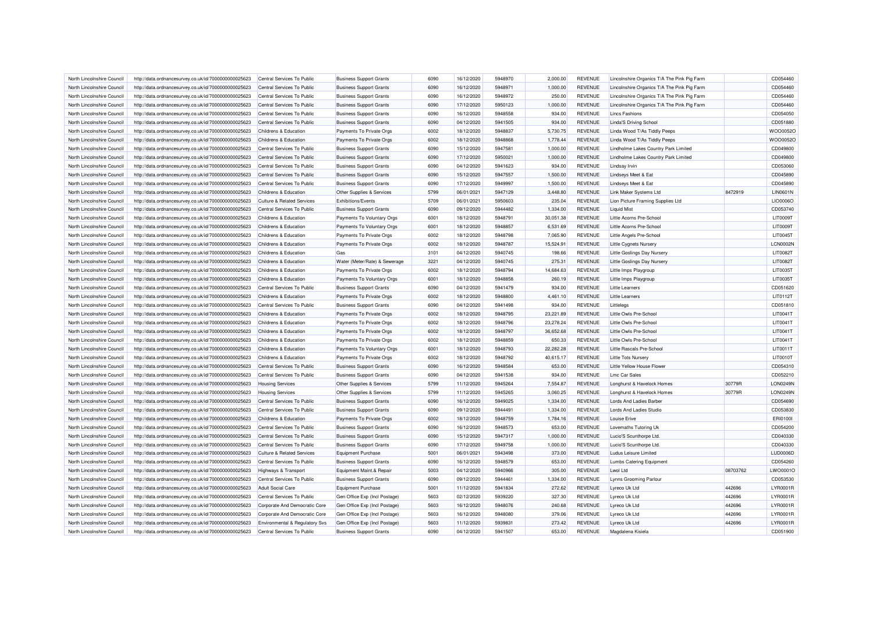| North Lincolnshire Council | http://data.ordnancesurvey.co.uk/id/7000000000025623                                                         | Central Services To Public            | <b>Business Support Grants</b> | 6090 | 16/12/2020 | 5948970 | 2,000.00  | <b>REVENUE</b> | Lincolnshire Organics T/A The Pink Pig Farm |          | CD054460        |
|----------------------------|--------------------------------------------------------------------------------------------------------------|---------------------------------------|--------------------------------|------|------------|---------|-----------|----------------|---------------------------------------------|----------|-----------------|
| North Lincolnshire Council | http://data.ordnancesurvey.co.uk/id/7000000000025623                                                         | Central Services To Public            | <b>Business Support Grants</b> | 6090 | 16/12/2020 | 5948971 | 1,000.00  | <b>REVENUE</b> | Lincolnshire Organics T/A The Pink Pig Farm |          | CD054460        |
| North Lincolnshire Council | http://data.ordnancesurvey.co.uk/id/7000000000025623                                                         | Central Services To Public            | <b>Business Support Grants</b> | 6090 | 16/12/2020 | 5948972 | 250.00    | <b>REVENUE</b> | Lincolnshire Organics T/A The Pink Pig Farm |          | CD054460        |
| North Lincolnshire Council | http://data.ordnancesurvey.co.uk/id/7000000000025623                                                         | Central Services To Public            | <b>Business Support Grants</b> | 6090 | 17/12/2020 | 5950123 | 1,000.00  | <b>REVENUE</b> | Lincolnshire Organics T/A The Pink Pig Farm |          | CD054460        |
| North Lincolnshire Council | http://data.ordnancesurvey.co.uk/id/7000000000025623                                                         | Central Services To Public            | <b>Business Support Grants</b> | 6090 | 16/12/2020 | 5948558 | 934.00    | <b>REVENUE</b> | <b>Lincs Fashions</b>                       |          | CD054050        |
| North Lincolnshire Council | http://data.ordnancesurvey.co.uk/id/7000000000025623                                                         | Central Services To Public            | <b>Business Support Grants</b> | 6090 | 04/12/2020 | 5941505 | 934.00    | <b>REVENUE</b> | <b>Linda'S Driving School</b>               |          | CD051880        |
| North Lincolnshire Council | http://data.ordnancesurvey.co.uk/id/7000000000025623                                                         | <b>Childrens &amp; Education</b>      | Payments To Private Orgs       | 6002 | 18/12/2020 | 5948837 | 5,730.75  | <b>REVENUE</b> | Linda Wood T/As Tiddly Peeps                |          | WOO0052O        |
| North Lincolnshire Council | http://data.ordnancesurvey.co.uk/id/7000000000025623                                                         | Childrens & Education                 | Payments To Private Orgs       | 6002 | 18/12/2020 | 5948868 | 1,778.44  | <b>REVENUE</b> | Linda Wood T/As Tiddly Peeps                |          | WOO0052O        |
| North Lincolnshire Council | http://data.ordnancesurvey.co.uk/id/7000000000025623                                                         | Central Services To Public            | <b>Business Support Grants</b> | 6090 | 15/12/2020 | 5947581 | 1,000.00  | <b>REVENUE</b> | Lindholme Lakes Country Park Limited        |          | CD049800        |
| North Lincolnshire Council | http://data.ordnancesurvey.co.uk/id/7000000000025623                                                         | Central Services To Public            | <b>Business Support Grants</b> | 6090 | 17/12/2020 | 5950021 | 1,000.00  | <b>REVENUE</b> | Lindholme Lakes Country Park Limited        |          | CD049800        |
| North Lincolnshire Council | http://data.ordnancesurvey.co.uk/id/7000000000025623                                                         | Central Services To Public            | <b>Business Support Grants</b> | 6090 | 04/12/2020 | 5941623 | 934.00    | <b>REVENUE</b> | <b>Lindsay Irvin</b>                        |          | CD053060        |
| North Lincolnshire Council | http://data.ordnancesurvey.co.uk/id/7000000000025623                                                         | Central Services To Public            | <b>Business Support Grants</b> | 6090 | 15/12/2020 | 5947557 | 1,500.00  | <b>REVENUE</b> | Lindseys Meet & Eat                         |          | CD045890        |
| North Lincolnshire Council | http://data.ordnancesurvey.co.uk/id/7000000000025623                                                         | Central Services To Public            | <b>Business Support Grants</b> | 6090 | 17/12/2020 | 5949997 | 1,500.00  | <b>REVENUE</b> | Lindseys Meet & Eat                         |          | CD045890        |
| North Lincolnshire Council | http://data.ordnancesurvey.co.uk/id/7000000000025623                                                         | Childrens & Education                 | Other Supplies & Services      | 5799 | 06/01/2021 | 5947129 | 3,448.80  | <b>REVENUE</b> | Link Maker Systems Ltd                      | 8472919  | <b>LIN0601N</b> |
| North Lincolnshire Council | http://data.ordnancesurvey.co.uk/id/7000000000025623                                                         | <b>Culture &amp; Related Services</b> | <b>Exhibitions/Events</b>      | 5709 | 06/01/2021 | 5950603 | 235.04    | <b>REVENUE</b> | Lion Picture Framing Supplies Ltd           |          | LIO0006O        |
| North Lincolnshire Council | http://data.ordnancesurvey.co.uk/id/7000000000025623                                                         | Central Services To Public            | <b>Business Support Grants</b> | 6090 | 09/12/2020 | 5944482 | 1,334.00  | <b>REVENUE</b> | <b>Liquid Mist</b>                          |          | CD053740        |
| North Lincolnshire Council | http://data.ordnancesurvey.co.uk/id/7000000000025623                                                         | Childrens & Education                 | Payments To Voluntary Orgs     | 6001 | 18/12/2020 | 5948791 | 30,051.38 | <b>REVENUE</b> | Little Acorns Pre-School                    |          | LIT0009T        |
| North Lincolnshire Council | http://data.ordnancesurvey.co.uk/id/7000000000025623                                                         | Childrens & Education                 | Payments To Voluntary Orgs     | 6001 | 18/12/2020 | 5948857 | 6,531.69  | <b>REVENUE</b> | Little Acorns Pre-School                    |          | LIT0009T        |
| North Lincolnshire Council | http://data.ordnancesurvey.co.uk/id/7000000000025623                                                         | Childrens & Education                 | Payments To Private Orgs       | 6002 | 18/12/2020 | 5948798 | 7,065.90  | <b>REVENUE</b> | Little Angels Pre-School                    |          | LIT0045T        |
| North Lincolnshire Council | http://data.ordnancesurvey.co.uk/id/7000000000025623                                                         | Childrens & Education                 | Payments To Private Orgs       | 6002 | 18/12/2020 | 5948787 | 15,524.91 | <b>REVENUE</b> | <b>Little Cygnets Nursery</b>               |          | LCN0002N        |
| North Lincolnshire Council | http://data.ordnancesurvey.co.uk/id/7000000000025623                                                         | Childrens & Education                 | Gas                            | 3101 | 04/12/2020 | 5940745 | 198.66    | <b>REVENUE</b> | <b>Little Goslings Day Nursery</b>          |          | <b>LIT0082T</b> |
| North Lincolnshire Council |                                                                                                              | Childrens & Education                 | Water (Meter/Rate) & Sewerage  | 3221 | 04/12/2020 | 5940745 | 275.31    | <b>REVENUE</b> |                                             |          | <b>LIT0082T</b> |
| North Lincolnshire Council | http://data.ordnancesurvey.co.uk/id/7000000000025623<br>http://data.ordnancesurvey.co.uk/id/7000000000025623 | Childrens & Education                 | Payments To Private Orgs       | 6002 | 18/12/2020 | 5948794 | 14,684.63 | <b>REVENUE</b> | <b>Little Goslings Day Nursery</b>          |          | LIT0035T        |
|                            |                                                                                                              |                                       |                                |      |            |         |           |                | Little Imps Playgroup                       |          |                 |
| North Lincolnshire Council | http://data.ordnancesurvey.co.uk/id/7000000000025623                                                         | Childrens & Education                 | Payments To Voluntary Orgs     | 6001 | 18/12/2020 | 5948858 | 260.19    | <b>REVENUE</b> | Little Imps Playgroup                       |          | LIT0035T        |
| North Lincolnshire Council | http://data.ordnancesurvey.co.uk/id/7000000000025623                                                         | Central Services To Public            | <b>Business Support Grants</b> | 6090 | 04/12/2020 | 5941479 | 934.00    | <b>REVENUE</b> | <b>Little Learners</b>                      |          | CD051620        |
| North Lincolnshire Council | http://data.ordnancesurvey.co.uk/id/7000000000025623                                                         | Childrens & Education                 | Payments To Private Orgs       | 6002 | 18/12/2020 | 5948800 | 4,461.10  | <b>REVENUE</b> | <b>Little Learners</b>                      |          | LIT0112T        |
| North Lincolnshire Council | http://data.ordnancesurvey.co.uk/id/7000000000025623                                                         | Central Services To Public            | <b>Business Support Grants</b> | 6090 | 04/12/2020 | 5941498 | 934.00    | <b>REVENUE</b> | Littlelegs                                  |          | CD051810        |
| North Lincolnshire Council | http://data.ordnancesurvey.co.uk/id/7000000000025623                                                         | Childrens & Education                 | Payments To Private Orgs       | 6002 | 18/12/2020 | 5948795 | 23,221.89 | <b>REVENUE</b> | Little Owls Pre-School                      |          | LIT0041T        |
| North Lincolnshire Council | http://data.ordnancesurvey.co.uk/id/7000000000025623                                                         | Childrens & Education                 | Payments To Private Orgs       | 6002 | 18/12/2020 | 5948796 | 23,278.24 | <b>REVENUE</b> | Little Owls Pre-School                      |          | LIT0041T        |
| North Lincolnshire Council | http://data.ordnancesurvey.co.uk/id/7000000000025623                                                         | Childrens & Education                 | Payments To Private Orgs       | 6002 | 18/12/2020 | 5948797 | 36,652.68 | <b>REVENUE</b> | Little Owls Pre-School                      |          | LIT0041T        |
| North Lincolnshire Council | http://data.ordnancesurvey.co.uk/id/7000000000025623                                                         | Childrens & Education                 | Payments To Private Orgs       | 6002 | 18/12/2020 | 5948859 | 650.33    | <b>REVENUE</b> | Little Owls Pre-School                      |          | LIT0041T        |
| North Lincolnshire Council | http://data.ordnancesurvey.co.uk/id/7000000000025623                                                         | Childrens & Education                 | Payments To Voluntary Orgs     | 6001 | 18/12/2020 | 5948793 | 22,282.28 | <b>REVENUE</b> | <b>Little Rascals Pre-School</b>            |          | LIT0011T        |
| North Lincolnshire Council | http://data.ordnancesurvey.co.uk/id/7000000000025623                                                         | Childrens & Education                 | Payments To Private Orgs       | 6002 | 18/12/2020 | 5948792 | 40,615.17 | REVENUE        | Little Tots Nursery                         |          | LIT0010T        |
| North Lincolnshire Council | http://data.ordnancesurvey.co.uk/id/7000000000025623                                                         | Central Services To Public            | <b>Business Support Grants</b> | 6090 | 16/12/2020 | 5948584 | 653.00    | <b>REVENUE</b> | Little Yellow House Flower                  |          | CD054310        |
| North Lincolnshire Council | http://data.ordnancesurvey.co.uk/id/7000000000025623                                                         | Central Services To Public            | <b>Business Support Grants</b> | 6090 | 04/12/2020 | 5941538 | 934.00    | <b>REVENUE</b> | I mc Car Sales                              |          | CD052210        |
| North Lincolnshire Council | http://data.ordnancesurvey.co.uk/id/7000000000025623                                                         | <b>Housing Services</b>               | Other Supplies & Services      | 5799 | 11/12/2020 | 5945264 | 7,554.87  | <b>REVENUE</b> | Longhurst & Havelock Homes                  | 30779R   | LON0249N        |
| North Lincolnshire Council | http://data.ordnancesurvey.co.uk/id/7000000000025623                                                         | <b>Housing Services</b>               | Other Supplies & Services      | 5799 | 11/12/2020 | 5945265 | 3,060.25  | <b>REVENUE</b> | Longhurst & Havelock Homes                  | 30779R   | LON0249N        |
| North Lincolnshire Council | http://data.ordnancesurvey.co.uk/id/7000000000025623                                                         | Central Services To Public            | <b>Business Support Grants</b> | 6090 | 16/12/2020 | 5949025 | 1,334.00  | <b>REVENUE</b> | Lords And Ladies Barber                     |          | CD054690        |
| North Lincolnshire Council | http://data.ordnancesurvey.co.uk/id/7000000000025623                                                         | Central Services To Public            | <b>Business Support Grants</b> | 6090 | 09/12/2020 | 5944491 | 1,334.00  | <b>REVENUE</b> | Lords And Ladies Studio                     |          | CD053830        |
| North Lincolnshire Council | http://data.ordnancesurvey.co.uk/id/7000000000025623                                                         | Childrens & Education                 | Payments To Private Orgs       | 6002 | 18/12/2020 | 5948759 | 1,784.16  | <b>REVENUE</b> | Louise Erive                                |          | ERI01001        |
| North Lincolnshire Council | http://data.ordnancesurvey.co.uk/id/7000000000025623                                                         | Central Services To Public            | <b>Business Support Grants</b> | 6090 | 16/12/2020 | 5948573 | 653.00    | <b>REVENUE</b> | Lovemaths Tutoring Uk                       |          | CD054200        |
| North Lincolnshire Council | http://data.ordnancesurvey.co.uk/id/7000000000025623                                                         | Central Services To Public            | <b>Business Support Grants</b> | 6090 | 15/12/2020 | 5947317 | 1,000.00  | <b>REVENUE</b> | Lucio'S Scunthorpe Ltd.                     |          | CD040330        |
| North Lincolnshire Council | http://data.ordnancesurvey.co.uk/id/7000000000025623                                                         | Central Services To Public            | <b>Business Support Grants</b> | 6090 | 17/12/2020 | 5949758 | 1,000.00  | <b>REVENUE</b> | Lucio'S Scunthorpe Ltd.                     |          | CD040330        |
| North Lincolnshire Council | http://data.ordnancesurvey.co.uk/id/7000000000025623                                                         | <b>Culture &amp; Related Services</b> | Equipment Purchase             | 5001 | 06/01/2021 | 5943498 | 373.00    | <b>REVENUE</b> | Ludus Leisure Limited                       |          | LUD0006D        |
| North Lincolnshire Council | http://data.ordnancesurvey.co.uk/id/7000000000025623                                                         | Central Services To Public            | <b>Business Support Grants</b> | 6090 | 16/12/2020 | 5948579 | 653.00    | <b>REVENUE</b> | <b>Lumbs Catering Equipment</b>             |          | CD054260        |
| North Lincolnshire Council | http://data.ordnancesurvey.co.uk/id/7000000000025623                                                         | Highways & Transport                  | Equipment Maint.& Repair       | 5003 | 04/12/2020 | 5940966 | 305.00    | <b>REVENUE</b> | Lwol Ltd                                    | 08703762 | LWO0001O        |
| North Lincolnshire Council | http://data.ordnancesurvey.co.uk/id/7000000000025623                                                         | Central Services To Public            | <b>Business Support Grants</b> | 6090 | 09/12/2020 | 5944461 | 1,334.00  | <b>REVENUE</b> | Lynns Grooming Parlour                      |          | CD053530        |
| North Lincolnshire Council | http://data.ordnancesurvey.co.uk/id/7000000000025623                                                         | <b>Adult Social Care</b>              | <b>Equipment Purchase</b>      | 5001 | 11/12/2020 | 5941834 | 272.62    | <b>REVENUE</b> | Lyreco Uk Ltd                               | 442696   | LYR0001F        |
| North Lincolnshire Council | http://data.ordnancesurvey.co.uk/id/7000000000025623                                                         | Central Services To Public            | Gen Office Exp (Incl Postage)  | 5603 | 02/12/2020 | 5939220 | 327.30    | <b>REVENUE</b> | Lyreco Uk Ltd                               | 442696   | LYR0001F        |
| North Lincolnshire Council | http://data.ordnancesurvey.co.uk/id/7000000000025623                                                         | Corporate And Democratic Core         | Gen Office Exp (Incl Postage)  | 5603 | 16/12/2020 | 5948076 | 240.68    | <b>REVENUE</b> | Lyreco Uk Ltd                               | 442696   | LYR0001F        |
| North Lincolnshire Council | http://data.ordnancesurvey.co.uk/id/7000000000025623                                                         | Corporate And Democratic Core         | Gen Office Exp (Incl Postage)  | 5603 | 16/12/2020 | 5948080 | 379.06    | <b>REVENUE</b> | Lyreco Uk Ltd                               | 442696   | LYR0001F        |
| North Lincolnshire Council | http://data.ordnancesurvey.co.uk/id/7000000000025623                                                         | Environmental & Regulatory Svs        | Gen Office Exp (Incl Postage)  | 5603 | 11/12/2020 | 5939831 | 273.42    | <b>REVENUE</b> | Lyreco Uk Ltd                               | 442696   | LYR0001F        |
| North Lincolnshire Council | http://data.ordnancesurvey.co.uk/id/7000000000025623                                                         | Central Services To Public            | <b>Business Support Grants</b> | 6090 | 04/12/2020 | 5941507 | 653.00    | <b>REVENUE</b> | Magdalena Kisiela                           |          | CD051900        |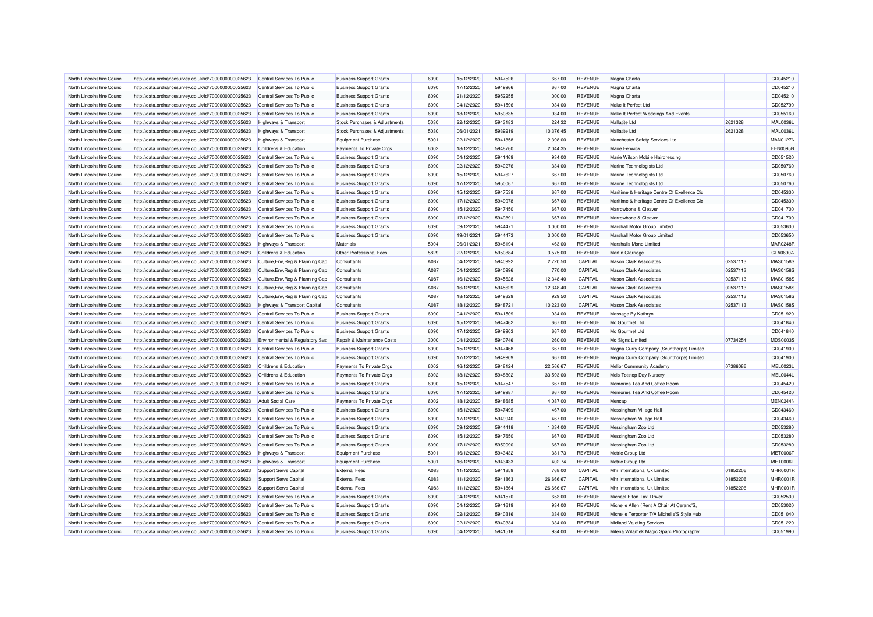| North Lincolnshire Council                               | http://data.ordnancesurvey.co.uk/id/7000000000025623 | Central Services To Public       | <b>Business Support Grants</b>              | 6090 | 15/12/2020 | 5947526 | 667.00             | <b>REVENUE</b> | Magna Charta                                |          | CD045210                    |
|----------------------------------------------------------|------------------------------------------------------|----------------------------------|---------------------------------------------|------|------------|---------|--------------------|----------------|---------------------------------------------|----------|-----------------------------|
| North Lincolnshire Council                               | http://data.ordnancesurvey.co.uk/id/7000000000025623 | Central Services To Public       | <b>Business Support Grants</b>              | 6090 | 17/12/2020 | 5949966 | 667.00             | <b>REVENUE</b> | Magna Charta                                |          | CD045210                    |
| North Lincolnshire Council                               | http://data.ordnancesurvey.co.uk/id/7000000000025623 | Central Services To Public       | <b>Business Support Grants</b>              | 6090 | 21/12/2020 | 5952255 | 1,000.00           | <b>REVENUE</b> | Magna Charta                                |          | CD045210                    |
| North Lincolnshire Council                               | http://data.ordnancesurvey.co.uk/id/7000000000025623 | Central Services To Public       | <b>Business Support Grants</b>              | 6090 | 04/12/2020 | 5941596 | 934.00             | <b>REVENUE</b> | Make It Perfect Ltd                         |          | CD052790                    |
| North Lincolnshire Council                               | http://data.ordnancesurvey.co.uk/id/7000000000025623 | Central Services To Public       | <b>Business Support Grants</b>              | 6090 | 18/12/2020 | 5950835 | 934.00             | <b>REVENUE</b> | Make It Perfect Weddings And Events         |          | CD055160                    |
| North Lincolnshire Council                               | http://data.ordnancesurvey.co.uk/id/7000000000025623 | <b>Highways &amp; Transport</b>  | Stock Purchases & Adjustments               | 5030 | 22/12/2020 | 5943183 | 224.32             | <b>REVENUE</b> | Mallatite I td                              | 2621328  | <b>MAL0036L</b>             |
| North Lincolnshire Council                               | http://data.ordnancesurvey.co.uk/id/7000000000025623 | <b>Highways &amp; Transport</b>  | Stock Purchases & Adiustments               | 5030 | 06/01/2021 | 5939219 | 10.376.45          | <b>REVENUE</b> | <b>Mallatite Ltd</b>                        | 2621328  | <b>MAL0036L</b>             |
| North Lincolnshire Council                               | http://data.ordnancesurvey.co.uk/id/7000000000025623 | <b>Highways &amp; Transport</b>  | Equipment Purchase                          | 5001 | 22/12/2020 | 5941858 | 2,398.00           | <b>REVENUE</b> | Manchester Safety Services Ltd              |          | <b>MAN0127N</b>             |
| North Lincolnshire Council                               | http://data.ordnancesurvey.co.uk/id/7000000000025623 | Childrens & Education            | Payments To Private Orgs                    | 6002 | 18/12/2020 | 5948760 | 2,044.35           | <b>REVENUE</b> | Marie Fenwick                               |          | <b>FEN0095N</b>             |
| North Lincolnshire Council                               | http://data.ordnancesurvey.co.uk/id/7000000000025623 | Central Services To Public       | <b>Business Support Grants</b>              | 6090 | 04/12/2020 | 5941469 | 934.00             | <b>REVENUE</b> | Marie Wilson Mobile Hairdressing            |          | CD051520                    |
| North Lincolnshire Council                               | http://data.ordnancesurvey.co.uk/id/7000000000025623 | Central Services To Public       | <b>Business Support Grants</b>              | 6090 | 02/12/2020 | 5940276 | 1,334.00           | <b>REVENUE</b> | Marine Technologists Ltd                    |          | CD050760                    |
| North Lincolnshire Council                               | http://data.ordnancesurvey.co.uk/id/7000000000025623 | Central Services To Public       | <b>Business Support Grants</b>              | 6090 | 15/12/2020 | 5947627 | 667.00             | <b>REVENUE</b> | Marine Technologists Ltd                    |          | CD050760                    |
| North Lincolnshire Council                               | http://data.ordnancesurvey.co.uk/id/7000000000025623 | Central Services To Public       | <b>Business Support Grants</b>              | 6090 | 17/12/2020 | 5950067 | 667.00             | <b>REVENUE</b> | Marine Technologists Ltd                    |          | CD050760                    |
| North Lincolnshire Council                               | http://data.ordnancesurvey.co.uk/id/7000000000025623 | Central Services To Public       | <b>Business Support Grants</b>              | 6090 | 15/12/2020 | 5947538 | 667.00             | <b>REVENUE</b> | Maritime & Heritage Centre Of Exellence Cic |          | CD045330                    |
| North Lincolnshire Council                               | http://data.ordnancesurvey.co.uk/id/7000000000025623 | Central Services To Public       | <b>Business Support Grants</b>              | 6090 | 17/12/2020 | 5949978 | 667.00             | <b>REVENUE</b> | Maritime & Heritage Centre Of Exellence Cic |          | CD045330                    |
| North Lincolnshire Council                               | http://data.ordnancesurvey.co.uk/id/7000000000025623 | Central Services To Public       | <b>Business Support Grants</b>              | 6090 | 15/12/2020 | 5947450 | 667.00             | <b>REVENUE</b> | Marrowbone & Cleaver                        |          | CD041700                    |
| North Lincolnshire Council                               | http://data.ordnancesurvey.co.uk/id/7000000000025623 | Central Services To Public       | <b>Business Support Grants</b>              | 6090 | 17/12/2020 | 5949891 | 667.00             | <b>REVENUE</b> | Marrowbone & Cleaver                        |          | CD041700                    |
| North Lincolnshire Council                               | http://data.ordnancesurvey.co.uk/id/7000000000025623 | Central Services To Public       | <b>Business Support Grants</b>              | 6090 | 09/12/2020 | 5944471 | 3,000.00           | <b>REVENUE</b> | Marshall Motor Group Limited                |          | CD053630                    |
| North Lincolnshire Council                               |                                                      | Central Services To Public       |                                             | 6090 | 19/01/2021 | 5944473 |                    | <b>REVENUE</b> | Marshall Motor Group Limited                |          |                             |
|                                                          | http://data.ordnancesurvey.co.uk/id/7000000000025623 |                                  | <b>Business Support Grants</b><br>Materials | 5004 | 06/01/2021 | 5948194 | 3,000.00           | <b>REVENUE</b> | Marshalls Mono Limited                      |          | CD053650<br><b>MAR0248R</b> |
| North Lincolnshire Council<br>North Lincolnshire Council | http://data.ordnancesurvey.co.uk/id/7000000000025623 | <b>Highways &amp; Transport</b>  | Other Professional Fees                     | 5829 | 22/12/2020 | 5950884 | 463.00<br>3,575.00 | <b>REVENUE</b> | Martin Clarridge                            |          | <b>CLA0690A</b>             |
|                                                          | http://data.ordnancesurvey.co.uk/id/7000000000025623 | Childrens & Education            |                                             |      |            |         |                    |                |                                             |          |                             |
| North Lincolnshire Council                               | http://data.ordnancesurvey.co.uk/id/7000000000025623 | Culture, Env, Reg & Planning Cap | Consultants                                 | A087 | 04/12/2020 | 5940992 | 2,720.50           | CAPITAL        | <b>Mason Clark Associates</b>               | 02537113 | MAS0158S                    |
| North Lincolnshire Council                               | http://data.ordnancesurvey.co.uk/id/7000000000025623 | Culture, Env, Reg & Planning Cap | Consultants                                 | A087 | 04/12/2020 | 5940996 | 770.00             | CAPITAL        | <b>Mason Clark Associates</b>               | 02537113 | <b>MAS0158S</b>             |
| North Lincolnshire Council                               | http://data.ordnancesurvey.co.uk/id/7000000000025623 | Culture, Env, Reg & Planning Cap | Consultants                                 | A087 | 16/12/2020 | 5945628 | 12,348.40          | CAPITAL        | <b>Mason Clark Associates</b>               | 02537113 | MAS0158S                    |
| North Lincolnshire Council                               | http://data.ordnancesurvey.co.uk/id/7000000000025623 | Culture, Env, Reg & Planning Cap | Consultants                                 | A087 | 16/12/2020 | 5945629 | 12,348.40          | CAPITAL        | <b>Mason Clark Associates</b>               | 02537113 | MAS01585                    |
| North Lincolnshire Council                               | http://data.ordnancesurvey.co.uk/id/7000000000025623 | Culture, Env, Reg & Planning Cap | Consultants                                 | A087 | 18/12/2020 | 5949329 | 929.50             | CAPITAL        | <b>Mason Clark Associates</b>               | 02537113 | <b>MAS0158S</b>             |
| North Lincolnshire Council                               | http://data.ordnancesurvey.co.uk/id/7000000000025623 | Highways & Transport Capital     | Consultants                                 | A087 | 18/12/2020 | 5948721 | 10.223.00          | CAPITAL        | <b>Mason Clark Associates</b>               | 02537113 | MAS01585                    |
| North Lincolnshire Council                               | http://data.ordnancesurvey.co.uk/id/7000000000025623 | Central Services To Public       | <b>Business Support Grants</b>              | 6090 | 04/12/2020 | 5941509 | 934.00             | <b>REVENUE</b> | Massage By Kathryn                          |          | CD051920                    |
| North Lincolnshire Council                               | http://data.ordnancesurvey.co.uk/id/7000000000025623 | Central Services To Public       | <b>Business Support Grants</b>              | 6090 | 15/12/2020 | 5947462 | 667.00             | <b>REVENUE</b> | Mc Gourmet Ltd                              |          | CD041840                    |
| North Lincolnshire Council                               | http://data.ordnancesurvey.co.uk/id/7000000000025623 | Central Services To Public       | <b>Business Support Grants</b>              | 6090 | 17/12/2020 | 5949903 | 667.00             | <b>REVENUE</b> | Mc Gourmet Ltd                              |          | CD041840                    |
| North Lincolnshire Council                               | http://data.ordnancesurvey.co.uk/id/7000000000025623 | Environmental & Regulatory Svs   | Repair & Maintenance Costs                  | 3000 | 04/12/2020 | 5940746 | 260.00             | <b>REVENUE</b> | Md Signs Limited                            | 07734254 | MDS0003S                    |
| North Lincolnshire Council                               | http://data.ordnancesurvey.co.uk/id/7000000000025623 | Central Services To Public       | <b>Business Support Grants</b>              | 6090 | 15/12/2020 | 5947468 | 667.00             | <b>REVENUE</b> | Megna Curry Company (Scunthorpe) Limited    |          | CD041900                    |
| North Lincolnshire Council                               | http://data.ordnancesurvey.co.uk/id/7000000000025623 | Central Services To Public       | <b>Business Support Grants</b>              | 6090 | 17/12/2020 | 5949909 | 667.00             | <b>REVENUE</b> | Megna Curry Company (Scunthorpe) Limited    |          | CD041900                    |
| North Lincolnshire Council                               | http://data.ordnancesurvey.co.uk/id/7000000000025623 | Childrens & Education            | Payments To Private Orgs                    | 6002 | 16/12/2020 | 5948124 | 22,566.67          | <b>REVENUE</b> | Melior Community Academy                    | 07386086 | <b>MEL0023L</b>             |
| North Lincolnshire Council                               | http://data.ordnancesurvey.co.uk/id/7000000000025623 | Childrens & Education            | Payments To Private Orgs                    | 6002 | 18/12/2020 | 5948802 | 33,593.00          | <b>REVENUE</b> | Mels Totstop Day Nursery                    |          | MEL0044L                    |
| North Lincolnshire Council                               | http://data.ordnancesurvey.co.uk/id/7000000000025623 | Central Services To Public       | <b>Business Support Grants</b>              | 6090 | 15/12/2020 | 5947547 | 667.00             | <b>REVENUE</b> | Memories Tea And Coffee Room                |          | CD045420                    |
| North Lincolnshire Council                               | http://data.ordnancesurvey.co.uk/id/7000000000025623 | Central Services To Public       | <b>Business Support Grants</b>              | 6090 | 17/12/2020 | 5949987 | 667.00             | <b>REVENUE</b> | Memories Tea And Coffee Room                |          | CD045420                    |
| North Lincolnshire Council                               | http://data.ordnancesurvey.co.uk/id/7000000000025623 | <b>Adult Social Care</b>         | Payments To Private Orgs                    | 6002 | 18/12/2020 | 5948685 | 4,087.00           | <b>REVENUE</b> | Mencap                                      |          | MEN0244N                    |
| North Lincolnshire Council                               | http://data.ordnancesurvey.co.uk/id/7000000000025623 | Central Services To Public       | <b>Business Support Grants</b>              | 6090 | 15/12/2020 | 5947499 | 467.00             | <b>REVENUE</b> | Messingham Village Hall                     |          | CD043460                    |
| North Lincolnshire Council                               | http://data.ordnancesurvey.co.uk/id/7000000000025623 | Central Services To Public       | <b>Business Support Grants</b>              | 6090 | 17/12/2020 | 5949940 | 467.00             | <b>REVENUE</b> | Messingham Village Hall                     |          | CD043460                    |
| North Lincolnshire Council                               | http://data.ordnancesurvey.co.uk/id/7000000000025623 | Central Services To Public       | <b>Business Support Grants</b>              | 6090 | 09/12/2020 | 5944418 | 1,334.00           | <b>REVENUE</b> | Messingham Zoo Ltd                          |          | CD053280                    |
| North Lincolnshire Council                               | http://data.ordnancesurvey.co.uk/id/7000000000025623 | Central Services To Public       | <b>Business Support Grants</b>              | 6090 | 15/12/2020 | 5947650 | 667.00             | <b>REVENUE</b> | Messingham Zoo Ltd                          |          | CD053280                    |
| North Lincolnshire Council                               | http://data.ordnancesurvey.co.uk/id/7000000000025623 | Central Services To Public       | <b>Business Support Grants</b>              | 6090 | 17/12/2020 | 5950090 | 667.00             | <b>REVENUE</b> | Messingham Zoo Ltd                          |          | CD053280                    |
| North Lincolnshire Council                               | http://data.ordnancesurvey.co.uk/id/7000000000025623 | Highways & Transport             | <b>Equipment Purchase</b>                   | 5001 | 16/12/2020 | 5943432 | 381.73             | <b>REVENUE</b> | Metric Group Ltd                            |          | <b>MET0006T</b>             |
| North Lincolnshire Council                               | http://data.ordnancesurvey.co.uk/id/7000000000025623 | <b>Highways &amp; Transport</b>  | <b>Equipment Purchase</b>                   | 5001 | 16/12/2020 | 5943433 | 402.74             | <b>REVENUE</b> | Metric Group Ltd                            |          | <b>MET0006T</b>             |
| North Lincolnshire Council                               | http://data.ordnancesurvey.co.uk/id/7000000000025623 | <b>Support Servs Capital</b>     | <b>External Fees</b>                        | A083 | 11/12/2020 | 5941859 | 768.00             | CAPITAL        | Mhr International Uk Limited                | 01852206 | <b>MHR0001F</b>             |
| North Lincolnshire Council                               | http://data.ordnancesurvey.co.uk/id/7000000000025623 | <b>Support Servs Capital</b>     | <b>External Fees</b>                        | A083 | 11/12/2020 | 5941863 | 26,666.67          | CAPITAL        | Mhr International Uk Limited                | 01852206 | <b>MHR0001F</b>             |
| North Lincolnshire Council                               | http://data.ordnancesurvey.co.uk/id/7000000000025623 | <b>Support Servs Capital</b>     | <b>External Fees</b>                        | A083 | 11/12/2020 | 5941864 | 26.666.67          | CAPITAL        | Mhr International Uk Limited                | 01852206 | <b>MHR0001R</b>             |
| North Lincolnshire Council                               | http://data.ordnancesurvey.co.uk/id/7000000000025623 | Central Services To Public       | <b>Business Support Grants</b>              | 6090 | 04/12/2020 | 5941570 | 653.00             | <b>REVENUE</b> | Michael Elton Taxi Driver                   |          | CD052530                    |
| North Lincolnshire Council                               | http://data.ordnancesurvey.co.uk/id/7000000000025623 | Central Services To Public       | <b>Business Support Grants</b>              | 6090 | 04/12/2020 | 5941619 | 934.00             | <b>REVENUE</b> | Michelle Allen (Rent A Chair At Cerano'S.   |          | CD053020                    |
| North Lincolnshire Council                               | http://data.ordnancesurvey.co.uk/id/7000000000025623 | Central Services To Public       | <b>Business Support Grants</b>              | 6090 | 02/12/2020 | 5940316 | 1,334.00           | <b>REVENUE</b> | Michelle Terporter T/A Michelle'S Style Hub |          | CD051040                    |
| North Lincolnshire Council                               | http://data.ordnancesurvey.co.uk/id/7000000000025623 | Central Services To Public       | <b>Business Support Grants</b>              | 6090 | 02/12/2020 | 5940334 | 1,334.00           | <b>REVENUE</b> | <b>Midland Valeting Services</b>            |          | CD051220                    |
| North Lincolnshire Council                               | http://data.ordnancesurvey.co.uk/id/7000000000025623 | Central Services To Public       | <b>Business Support Grants</b>              | 6090 | 04/12/2020 | 5941516 | 934.00             | <b>REVENUE</b> | Milena Wilamek Magic Sparc Photography      |          | CD051990                    |
|                                                          |                                                      |                                  |                                             |      |            |         |                    |                |                                             |          |                             |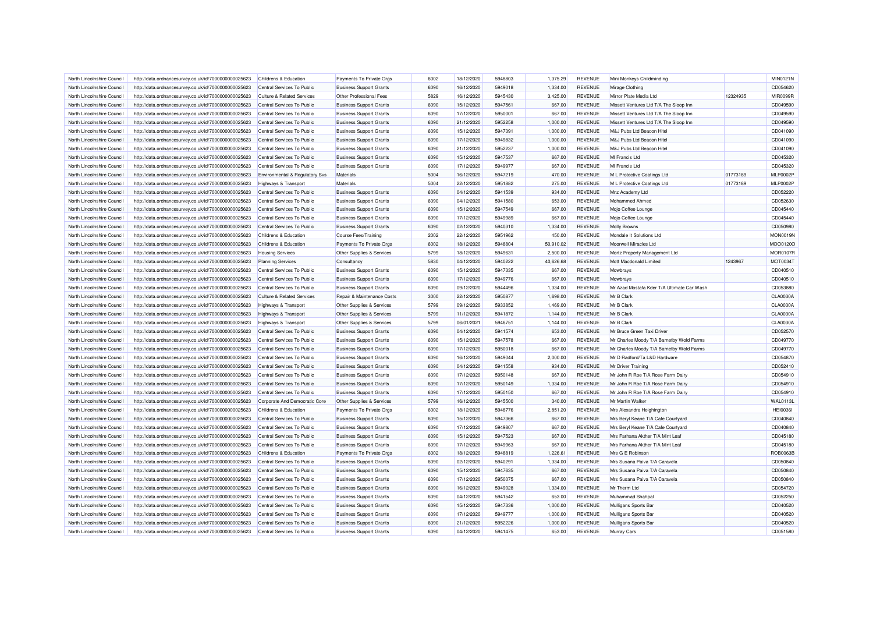| North Lincolnshire Council | http://data.ordnancesurvey.co.uk/id/7000000000025623 | Childrens & Education                 | Payments To Private Orgs       | 6002 | 18/12/2020 | 5948803 | 1.375.29  | REVENUE        | Mini Monkeys Childminding                  |          | MIN0121N        |
|----------------------------|------------------------------------------------------|---------------------------------------|--------------------------------|------|------------|---------|-----------|----------------|--------------------------------------------|----------|-----------------|
| North Lincolnshire Council | http://data.ordnancesurvey.co.uk/id/7000000000025623 | Central Services To Public            | <b>Business Support Grants</b> | 6090 | 16/12/2020 | 5949018 | 1,334.00  | <b>REVENUE</b> | Mirage Clothing                            |          | CD054620        |
| North Lincolnshire Council | http://data.ordnancesurvey.co.uk/id/7000000000025623 | <b>Culture &amp; Related Services</b> | Other Professional Fees        | 5829 | 16/12/2020 | 5945430 | 3,425.00  | <b>REVENUE</b> | Mirror Plate Media Ltd                     | 12324935 | MIR0099F        |
| North Lincolnshire Council | http://data.ordnancesurvey.co.uk/id/7000000000025623 | Central Services To Public            | <b>Business Support Grants</b> | 6090 | 15/12/2020 | 5947561 | 667.00    | <b>REVENUE</b> | Missett Ventures Ltd T/A The Sloop Inn     |          | CD049590        |
| North Lincolnshire Council | http://data.ordnancesurvey.co.uk/id/7000000000025623 | Central Services To Public            | <b>Business Support Grants</b> | 6090 | 17/12/2020 | 5950001 | 667.00    | <b>REVENUE</b> | Missett Ventures Ltd T/A The Sloop Inn     |          | CD049590        |
| North Lincolnshire Council | http://data.ordnancesurvey.co.uk/id/7000000000025623 | Central Services To Public            | <b>Business Support Grants</b> | 6090 | 21/12/2020 | 5952258 | 1,000.00  | <b>REVENUE</b> | Missett Ventures Ltd T/A The Sloop Inn     |          | CD049590        |
| North Lincolnshire Council | http://data.ordnancesurvey.co.uk/id/7000000000025623 | Central Services To Public            | <b>Business Support Grants</b> | 6090 | 15/12/2020 | 5947391 | 1,000.00  | <b>REVENUE</b> | M&J Pubs Ltd Beacon Hitel                  |          | CD041090        |
| North Lincolnshire Council | http://data.ordnancesurvey.co.uk/id/7000000000025623 | Central Services To Public            | <b>Business Support Grants</b> | 6090 | 17/12/2020 | 5949832 | 1,000.00  | <b>REVENUE</b> | M&J Pubs Ltd Beacon Hitel                  |          | CD041090        |
| North Lincolnshire Council | http://data.ordnancesurvey.co.uk/id/7000000000025623 | Central Services To Public            | <b>Business Support Grants</b> | 6090 | 21/12/2020 | 5952237 | 1,000.00  | <b>REVENUE</b> | M&J Pubs Ltd Beacon Hitel                  |          | CD041090        |
| North Lincolnshire Council | http://data.ordnancesurvey.co.uk/id/7000000000025623 | Central Services To Public            | <b>Business Support Grants</b> | 6090 | 15/12/2020 | 5947537 | 667.00    | <b>REVENUE</b> | MI Francis Ltd                             |          | CD045320        |
| North Lincolnshire Council | http://data.ordnancesurvey.co.uk/id/7000000000025623 | Central Services To Public            | <b>Business Support Grants</b> | 6090 | 17/12/2020 | 5949977 | 667.00    | <b>REVENUE</b> | MI Francis Ltd                             |          | CD045320        |
| North Lincolnshire Council | http://data.ordnancesurvey.co.uk/id/7000000000025623 | Environmental & Regulatory Svs        | Materials                      | 5004 | 16/12/2020 | 5947219 | 470.00    | <b>REVENUE</b> | M L Protective Coatings Ltd                | 01773189 | <b>MLP0002P</b> |
| North Lincolnshire Council | http://data.ordnancesurvey.co.uk/id/7000000000025623 | Highways & Transport                  | Materials                      | 5004 | 22/12/2020 | 5951882 | 275.00    | <b>REVENUE</b> | M L Protective Coatings Ltd                | 01773189 | <b>MLP0002F</b> |
| North Lincolnshire Council | http://data.ordnancesurvey.co.uk/id/7000000000025623 | Central Services To Public            | <b>Business Support Grants</b> | 6090 | 04/12/2020 | 5941539 | 934.00    | <b>REVENUE</b> | Mnz Academy Ltd                            |          | CD052220        |
| North Lincolnshire Council | http://data.ordnancesurvey.co.uk/id/7000000000025623 | Central Services To Public            | <b>Business Support Grants</b> | 6090 | 04/12/2020 | 5941580 | 653.00    | <b>REVENUE</b> | Mohammed Ahmed                             |          | CD052630        |
| North Lincolnshire Council | http://data.ordnancesurvey.co.uk/id/7000000000025623 | Central Services To Public            | <b>Business Support Grants</b> | 6090 | 15/12/2020 | 5947549 | 667.00    | <b>REVENUE</b> | Mojo Coffee Lounge                         |          | CD045440        |
| North Lincolnshire Council | http://data.ordnancesurvey.co.uk/id/7000000000025623 | Central Services To Public            | <b>Business Support Grants</b> | 6090 | 17/12/2020 | 5949989 | 667.00    | <b>REVENUE</b> | Mojo Coffee Lounge                         |          | CD045440        |
| North Lincolnshire Council | http://data.ordnancesurvey.co.uk/id/7000000000025623 | Central Services To Public            | <b>Business Support Grants</b> | 6090 | 02/12/2020 | 5940310 | 1,334.00  | <b>REVENUE</b> | <b>Molly Browns</b>                        |          | CD050980        |
| North Lincolnshire Council | http://data.ordnancesurvey.co.uk/id/7000000000025623 | Childrens & Education                 | <b>Course Fees/Training</b>    | 2002 | 22/12/2020 | 5951962 | 450.00    | <b>REVENUE</b> | Mondale It Solutions Ltd                   |          | <b>MON0019N</b> |
| North Lincolnshire Council | http://data.ordnancesurvey.co.uk/id/7000000000025623 | Childrens & Education                 | Payments To Private Orgs       | 6002 | 18/12/2020 | 5948804 | 50,910.02 | <b>REVENUE</b> | Moorwell Miracles Ltd                      |          | MOO0120O        |
| North Lincolnshire Council | http://data.ordnancesurvey.co.uk/id/7000000000025623 | <b>Housing Services</b>               | Other Supplies & Services      | 5799 | 18/12/2020 | 5949631 | 2,500.00  | <b>REVENUE</b> | Mortz Property Management Ltd              |          | <b>MOR0107R</b> |
| North Lincolnshire Council | http://data.ordnancesurvey.co.uk/id/7000000000025623 | <b>Planning Services</b>              | Consultancy                    | 5830 | 04/12/2020 | 5940222 | 40,626.68 | <b>REVENUE</b> | Mott Macdonald Limited                     | 1243967  | MOT0034T        |
| North Lincolnshire Council | http://data.ordnancesurvey.co.uk/id/7000000000025623 | Central Services To Public            | <b>Business Support Grants</b> | 6090 | 15/12/2020 | 5947335 | 667.00    | <b>REVENUE</b> | Mowbrays                                   |          | CD040510        |
| North Lincolnshire Council | http://data.ordnancesurvey.co.uk/id/7000000000025623 | Central Services To Public            | <b>Business Support Grants</b> | 6090 | 17/12/2020 | 5949776 | 667.00    | <b>REVENUE</b> | Mowbrays                                   |          | CD040510        |
| North Lincolnshire Council | http://data.ordnancesurvey.co.uk/id/7000000000025623 | Central Services To Public            | <b>Business Support Grants</b> | 6090 | 09/12/2020 | 5944496 | 1,334.00  | <b>REVENUE</b> | Mr Azad Mostafa Kder T/A Ultimate Car Wash |          | CD053880        |
| North Lincolnshire Council | http://data.ordnancesurvey.co.uk/id/7000000000025623 | <b>Culture &amp; Related Services</b> | Repair & Maintenance Costs     | 3000 | 22/12/2020 | 5950877 | 1,698.00  | <b>REVENUE</b> | Mr B Clark                                 |          | CLA0030A        |
| North Lincolnshire Council | http://data.ordnancesurvey.co.uk/id/7000000000025623 | <b>Highways &amp; Transport</b>       | Other Supplies & Services      | 5799 | 09/12/2020 | 5933852 | 1,469.00  | <b>REVENUE</b> | Mr B Clark                                 |          | CLA0030A        |
| North Lincolnshire Council | http://data.ordnancesurvey.co.uk/id/7000000000025623 | Highways & Transport                  | Other Supplies & Services      | 5799 | 11/12/2020 | 5941872 | 1,144.00  | <b>REVENUE</b> | Mr B Clark                                 |          | CLA0030A        |
| North Lincolnshire Council | http://data.ordnancesurvey.co.uk/id/7000000000025623 | Highways & Transport                  | Other Supplies & Services      | 5799 | 06/01/2021 | 5946751 | 1,144.00  | <b>REVENUE</b> | Mr B Clark                                 |          | <b>CLA0030A</b> |
| North Lincolnshire Council | http://data.ordnancesurvey.co.uk/id/7000000000025623 | Central Services To Public            | <b>Business Support Grants</b> | 6090 | 04/12/2020 | 5941574 | 653.00    | <b>REVENUE</b> | Mr Bruce Green Taxi Driver                 |          | CD052570        |
| North Lincolnshire Council | http://data.ordnancesurvey.co.uk/id/7000000000025623 | Central Services To Public            | <b>Business Support Grants</b> | 6090 | 15/12/2020 | 5947578 | 667.00    | <b>REVENUE</b> | Mr Charles Moody T/A Barnetby Wold Farms   |          | CD049770        |
| North Lincolnshire Council | http://data.ordnancesurvey.co.uk/id/7000000000025623 | Central Services To Public            | <b>Business Support Grants</b> | 6090 | 17/12/2020 | 5950018 | 667.00    | <b>REVENUE</b> | Mr Charles Moody T/A Barnetby Wold Farms   |          | CD049770        |
| North Lincolnshire Council | http://data.ordnancesurvey.co.uk/id/7000000000025623 | Central Services To Public            | <b>Business Support Grants</b> | 6090 | 16/12/2020 | 5949044 | 2,000.00  | <b>REVENUE</b> | Mr D Radford/Ta L&D Hardware               |          | CD054870        |
| North Lincolnshire Council | http://data.ordnancesurvey.co.uk/id/7000000000025623 | Central Services To Public            | <b>Business Support Grants</b> | 6090 | 04/12/2020 | 5941558 | 934.00    | <b>REVENUE</b> | Mr Driver Training                         |          | CD052410        |
| North Lincolnshire Council | http://data.ordnancesurvey.co.uk/id/7000000000025623 | Central Services To Public            | <b>Business Support Grants</b> | 6090 | 17/12/2020 | 5950148 | 667.00    | <b>REVENUE</b> | Mr John R Roe T/A Rose Farm Dairy          |          | CD054910        |
| North Lincolnshire Council | http://data.ordnancesurvey.co.uk/id/7000000000025623 | Central Services To Public            | <b>Business Support Grants</b> | 6090 | 17/12/2020 | 5950149 | 1,334.00  | <b>REVENUE</b> | Mr John R Roe T/A Rose Farm Dairy          |          | CD054910        |
| North Lincolnshire Council | http://data.ordnancesurvey.co.uk/id/7000000000025623 | Central Services To Public            | <b>Business Support Grants</b> | 6090 | 17/12/2020 | 5950150 | 667.00    | <b>REVENUE</b> | Mr John R Roe T/A Rose Farm Dairy          |          | CD054910        |
| North Lincolnshire Council | http://data.ordnancesurvey.co.uk/id/7000000000025623 | Corporate And Democratic Core         | Other Supplies & Services      | 5799 | 16/12/2020 | 5945500 | 340.00    | <b>REVENUE</b> | Mr Martin Walker                           |          | <b>WAL0113I</b> |
| North Lincolnshire Council | http://data.ordnancesurvey.co.uk/id/7000000000025623 | Childrens & Education                 | Payments To Private Orgs       | 6002 | 18/12/2020 | 5948776 | 2,851.20  | <b>REVENUE</b> | Mrs Alexandra Heighington                  |          | <b>HEI0036I</b> |
| North Lincolnshire Council | http://data.ordnancesurvey.co.uk/id/7000000000025623 | Central Services To Public            | <b>Business Support Grants</b> | 6090 | 15/12/2020 | 5947366 | 667.00    | <b>REVENUE</b> | Mrs Beryl Keane T/A Cafe Courtyard         |          | CD040840        |
| North Lincolnshire Council | http://data.ordnancesurvey.co.uk/id/7000000000025623 | Central Services To Public            | <b>Business Support Grants</b> | 6090 | 17/12/2020 | 5949807 | 667.00    | <b>REVENUE</b> | Mrs Beryl Keane T/A Cafe Courtyard         |          | CD040840        |
| North Lincolnshire Council | http://data.ordnancesurvey.co.uk/id/7000000000025623 | Central Services To Public            | <b>Business Support Grants</b> | 6090 | 15/12/2020 | 5947523 | 667.00    | <b>REVENUE</b> | Mrs Farhana Akther T/A Mint Lea            |          | CD045180        |
| North Lincolnshire Council | http://data.ordnancesurvey.co.uk/id/7000000000025623 | Central Services To Public            | <b>Business Support Grants</b> | 6090 | 17/12/2020 | 5949963 | 667.00    | <b>REVENUE</b> | Mrs Farhana Akther T/A Mint Lea            |          | CD045180        |
| North Lincolnshire Council | http://data.ordnancesurvey.co.uk/id/7000000000025623 | Childrens & Education                 | Payments To Private Orgs       | 6002 | 18/12/2020 | 5948819 | 1,226.61  | <b>REVENUE</b> | Mrs G E Robinson                           |          | ROB0063E        |
| North Lincolnshire Council | http://data.ordnancesurvey.co.uk/id/7000000000025623 | Central Services To Public            | <b>Business Support Grants</b> | 6090 | 02/12/2020 | 5940291 | 1,334.00  | <b>REVENUE</b> | Mrs Susana Paiva T/A Caravela              |          | CD050840        |
| North Lincolnshire Council | http://data.ordnancesurvey.co.uk/id/7000000000025623 | Central Services To Public            | <b>Business Support Grants</b> | 6090 | 15/12/2020 | 5947635 | 667.00    | <b>REVENUE</b> | Mrs Susana Paiva T/A Caravela              |          | CD050840        |
| North Lincolnshire Council | http://data.ordnancesurvey.co.uk/id/7000000000025623 | Central Services To Public            | <b>Business Support Grants</b> | 6090 | 17/12/2020 | 5950075 | 667.00    | REVENUE        | Mrs Susana Paiva T/A Caravela              |          | CD050840        |
| North Lincolnshire Council | http://data.ordnancesurvey.co.uk/id/7000000000025623 | Central Services To Public            | <b>Business Support Grants</b> | 6090 | 16/12/2020 | 5949028 | 1,334.00  | <b>REVENUE</b> | Mr Therm Ltd                               |          | CD054720        |
| North Lincolnshire Council | http://data.ordnancesurvey.co.uk/id/7000000000025623 | Central Services To Public            | <b>Business Support Grants</b> | 6090 | 04/12/2020 | 5941542 | 653.00    | <b>REVENUE</b> | Muhammad Shahpal                           |          | CD052250        |
| North Lincolnshire Council | http://data.ordnancesurvey.co.uk/id/7000000000025623 | Central Services To Public            | <b>Business Support Grants</b> | 6090 | 15/12/2020 | 5947336 | 1,000.00  | <b>REVENUE</b> | Mulligans Sports Bar                       |          | CD040520        |
| North Lincolnshire Council | http://data.ordnancesurvey.co.uk/id/7000000000025623 | Central Services To Public            | <b>Business Support Grants</b> | 6090 | 17/12/2020 | 5949777 | 1,000.00  | <b>REVENUE</b> | Mulligans Sports Bar                       |          | CD040520        |
| North Lincolnshire Council | http://data.ordnancesurvey.co.uk/id/7000000000025623 | Central Services To Public            | <b>Business Support Grants</b> | 6090 | 21/12/2020 | 5952226 | 1,000.00  | <b>REVENUE</b> | Mulligans Sports Bar                       |          | CD040520        |
| North Lincolnshire Council | http://data.ordnancesurvey.co.uk/id/7000000000025623 | Central Services To Public            | <b>Business Support Grants</b> | 6090 | 04/12/2020 | 5941475 | 653.00    | <b>REVENUE</b> | <b>Murray Cars</b>                         |          | CD051580        |
|                            |                                                      |                                       |                                |      |            |         |           |                |                                            |          |                 |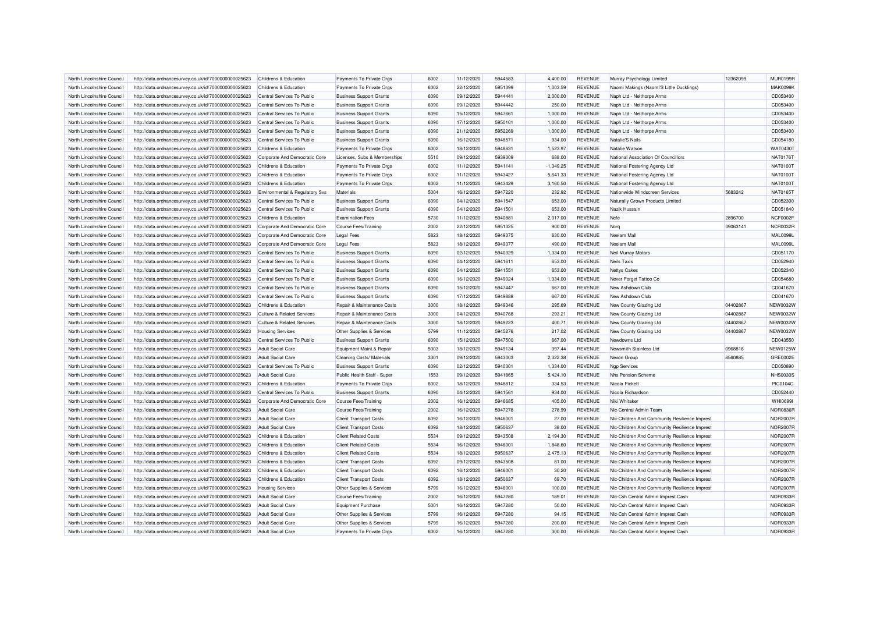| North Lincolnshire Council | http://data.ordnancesurvey.co.uk/id/7000000000025623 | Childrens & Education                 | Payments To Private Orgs       | 6002 | 11/12/2020 | 5944583 | 4.400.00    | REVENUE        | Murray Psychology Limited                     | 12362099 | <b>MUR0199R</b> |
|----------------------------|------------------------------------------------------|---------------------------------------|--------------------------------|------|------------|---------|-------------|----------------|-----------------------------------------------|----------|-----------------|
| North Lincolnshire Council | http://data.ordnancesurvey.co.uk/id/7000000000025623 | Childrens & Education                 | Payments To Private Orgs       | 6002 | 22/12/2020 | 5951399 | 1,003.59    | <b>REVENUE</b> | Naomi Makings (Naomi'S Little Ducklings)      |          | <b>MAK0099K</b> |
| North Lincolnshire Council | http://data.ordnancesurvey.co.uk/id/7000000000025623 | Central Services To Public            | <b>Business Support Grants</b> | 6090 | 09/12/2020 | 5944441 | 2,000.00    | REVENUE        | Naph Ltd - Nelthorpe Arms                     |          | CD053400        |
| North Lincolnshire Council | http://data.ordnancesurvey.co.uk/id/7000000000025623 | Central Services To Public            | <b>Business Support Grants</b> | 6090 | 09/12/2020 | 5944442 | 250.00      | <b>REVENUE</b> | Naph Ltd - Nelthorpe Arms                     |          | CD053400        |
| North Lincolnshire Council | http://data.ordnancesurvey.co.uk/id/7000000000025623 | Central Services To Public            | <b>Business Support Grants</b> | 6090 | 15/12/2020 | 5947661 | 1,000.00    | <b>REVENUE</b> | Naph Ltd - Nelthorpe Arms                     |          | CD053400        |
| North Lincolnshire Council | http://data.ordnancesurvey.co.uk/id/7000000000025623 | Central Services To Public            | <b>Business Support Grants</b> | 6090 | 17/12/2020 | 5950101 | 1,000.00    | <b>REVENUE</b> | Naph Ltd - Nelthorpe Arms                     |          | CD053400        |
| North Lincolnshire Council | http://data.ordnancesurvey.co.uk/id/7000000000025623 | Central Services To Public            | <b>Business Support Grants</b> | 6090 | 21/12/2020 | 5952269 | 1,000.00    | <b>REVENUE</b> | Naph Ltd - Nelthorpe Arms                     |          | CD053400        |
| North Lincolnshire Council | http://data.ordnancesurvey.co.uk/id/7000000000025623 | Central Services To Public            | <b>Business Support Grants</b> | 6090 | 16/12/2020 | 5948571 | 934.00      | <b>REVENUE</b> | Natalie'S Nails                               |          | CD054180        |
| North Lincolnshire Council | http://data.ordnancesurvey.co.uk/id/7000000000025623 | Childrens & Education                 | Payments To Private Orgs       | 6002 | 18/12/2020 | 5948831 | 1,523.97    | <b>REVENUE</b> | Natalie Watson                                |          | WAT0430T        |
| North Lincolnshire Council | http://data.ordnancesurvey.co.uk/id/7000000000025623 | Corporate And Democratic Core         | Licenses, Subs & Memberships   | 5510 | 09/12/2020 | 5939309 | 688.00      | <b>REVENUE</b> | National Association Of Councillors           |          | NAT01761        |
| North Lincolnshire Council | http://data.ordnancesurvey.co.uk/id/7000000000025623 | Childrens & Education                 | Payments To Private Orgs       | 6002 | 11/12/2020 | 5941141 | $-1,349.25$ | <b>REVENUE</b> | National Fostering Agency Ltd                 |          | NAT01001        |
| North Lincolnshire Council | http://data.ordnancesurvey.co.uk/id/7000000000025623 | Childrens & Education                 | Payments To Private Orgs       | 6002 | 11/12/2020 | 5943427 | 5.641.33    | <b>REVENUE</b> | National Fostering Agency Ltd                 |          | NAT01001        |
| North Lincolnshire Council | http://data.ordnancesurvey.co.uk/id/7000000000025623 | Childrens & Education                 | Payments To Private Orgs       | 6002 | 11/12/2020 | 5943429 | 3,160.50    | <b>REVENUE</b> | National Fostering Agency Ltd                 |          | NAT01001        |
| North Lincolnshire Council | http://data.ordnancesurvey.co.uk/id/7000000000025623 | Environmental & Regulatory Svs        | Materials                      | 5004 | 16/12/2020 | 5947220 | 232.92      | <b>REVENUE</b> | Nationwide Windscreen Services                | 5683242  | NAT01651        |
| North Lincolnshire Council | http://data.ordnancesurvey.co.uk/id/7000000000025623 | Central Services To Public            | <b>Business Support Grants</b> | 6090 | 04/12/2020 | 5941547 | 653.00      | <b>REVENUE</b> | Naturally Grown Products Limited              |          | CD052300        |
| North Lincolnshire Council | http://data.ordnancesurvey.co.uk/id/7000000000025623 | Central Services To Public            | <b>Business Support Grants</b> | 6090 | 04/12/2020 | 5941501 | 653.00      | <b>REVENUE</b> | Nazik Hussain                                 |          | CD051840        |
| North Lincolnshire Council | http://data.ordnancesurvey.co.uk/id/7000000000025623 | Childrens & Education                 | <b>Examination Fees</b>        | 5730 | 11/12/2020 | 5940881 | 2,017.00    | <b>REVENUE</b> | Ncfe                                          | 2896700  | <b>NCF0002F</b> |
| North Lincolnshire Council | http://data.ordnancesurvey.co.uk/id/7000000000025623 | Corporate And Democratic Core         | <b>Course Fees/Training</b>    | 2002 | 22/12/2020 | 5951325 | 900.00      | <b>REVENUE</b> | Ncrq                                          | 09063141 | NCR0032F        |
| North Lincolnshire Council | http://data.ordnancesurvey.co.uk/id/7000000000025623 | Corporate And Democratic Core         | <b>Legal Fees</b>              | 5823 | 18/12/2020 | 5949375 | 630.00      | <b>REVENUE</b> | Neelam Mall                                   |          | <b>MAL0099L</b> |
| North Lincolnshire Council | http://data.ordnancesurvey.co.uk/id/7000000000025623 | Corporate And Democratic Core         | <b>Legal Fees</b>              | 5823 | 18/12/2020 | 5949377 | 490.00      | <b>REVENUE</b> | Neelam Mall                                   |          | <b>MAL0099L</b> |
| North Lincolnshire Council |                                                      | Central Services To Public            | <b>Business Support Grants</b> | 6090 | 02/12/2020 | 5940329 | 1,334.00    | <b>REVENUE</b> | Neil Murray Motors                            |          | CD051170        |
| North Lincolnshire Council | http://data.ordnancesurvey.co.uk/id/7000000000025623 | Central Services To Public            | <b>Business Support Grants</b> | 6090 | 04/12/2020 | 5941611 | 653.00      | <b>REVENUE</b> | Neils Taxis                                   |          | CD052940        |
|                            | http://data.ordnancesurvey.co.uk/id/7000000000025623 |                                       |                                | 6090 |            | 5941551 |             | <b>REVENUE</b> |                                               |          | CD052340        |
| North Lincolnshire Council | http://data.ordnancesurvey.co.uk/id/7000000000025623 | Central Services To Public            | <b>Business Support Grants</b> |      | 04/12/2020 |         | 653.00      |                | <b>Nettys Cakes</b>                           |          |                 |
| North Lincolnshire Council | http://data.ordnancesurvey.co.uk/id/7000000000025623 | Central Services To Public            | <b>Business Support Grants</b> | 6090 | 16/12/2020 | 5949024 | 1,334.00    | <b>REVENUE</b> | Never Forget Tattoo Co                        |          | CD054680        |
| North Lincolnshire Council | http://data.ordnancesurvey.co.uk/id/7000000000025623 | Central Services To Public            | <b>Business Support Grants</b> | 6090 | 15/12/2020 | 5947447 | 667.00      | <b>REVENUE</b> | New Ashdown Club                              |          | CD041670        |
| North Lincolnshire Council | http://data.ordnancesurvey.co.uk/id/7000000000025623 | Central Services To Public            | <b>Business Support Grants</b> | 6090 | 17/12/2020 | 5949888 | 667.00      | <b>REVENUE</b> | New Ashdown Club                              |          | CD041670        |
| North Lincolnshire Council | http://data.ordnancesurvey.co.uk/id/7000000000025623 | Childrens & Education                 | Repair & Maintenance Costs     | 3000 | 18/12/2020 | 5949346 | 295.69      | <b>REVENUE</b> | New County Glazing Ltd                        | 04402867 | <b>NEW0032W</b> |
| North Lincolnshire Council | http://data.ordnancesurvey.co.uk/id/7000000000025623 | <b>Culture &amp; Related Services</b> | Repair & Maintenance Costs     | 3000 | 04/12/2020 | 5940768 | 293.21      | <b>REVENUE</b> | New County Glazing Ltd                        | 04402867 | <b>NEW0032W</b> |
| North Lincolnshire Council | http://data.ordnancesurvey.co.uk/id/7000000000025623 | <b>Culture &amp; Related Services</b> | Repair & Maintenance Costs     | 3000 | 18/12/2020 | 5949223 | 400.71      | <b>REVENUE</b> | New County Glazing Ltd                        | 04402867 | <b>NEW0032W</b> |
| North Lincolnshire Council | http://data.ordnancesurvey.co.uk/id/7000000000025623 | <b>Housing Services</b>               | Other Supplies & Services      | 5799 | 11/12/2020 | 5945276 | 217.02      | <b>REVENUE</b> | New County Glazing Ltd                        | 04402867 | <b>NEW0032W</b> |
| North Lincolnshire Council | http://data.ordnancesurvey.co.uk/id/7000000000025623 | Central Services To Public            | <b>Business Support Grants</b> | 6090 | 15/12/2020 | 5947500 | 667.00      | <b>REVENUE</b> | Newdowns Ltd                                  |          | CD043550        |
| North Lincolnshire Council | http://data.ordnancesurvey.co.uk/id/7000000000025623 | <b>Adult Social Care</b>              | Equipment Maint.& Repair       | 5003 | 18/12/2020 | 5949134 | 397.44      | <b>REVENUE</b> | Newsmith Stainless Ltd                        | 0968816  | <b>NEW0125W</b> |
| North Lincolnshire Council | http://data.ordnancesurvey.co.uk/id/7000000000025623 | Adult Social Care                     | Cleaning Costs/ Materials      | 3301 | 09/12/2020 | 5943003 | 2.322.38    | <b>REVENUE</b> | Nexon Group                                   | 8560885  | GRE0002E        |
| North Lincolnshire Council | http://data.ordnancesurvey.co.uk/id/7000000000025623 | Central Services To Public            | <b>Business Support Grants</b> | 6090 | 02/12/2020 | 5940301 | 1,334.00    | <b>REVENUE</b> | <b>Ngp Services</b>                           |          | CD050890        |
| North Lincolnshire Council | http://data.ordnancesurvey.co.uk/id/7000000000025623 | <b>Adult Social Care</b>              | Public Health Staff - Super    | 1553 | 09/12/2020 | 5941865 | 5,424.10    | <b>REVENUE</b> | Nhs Pension Scheme                            |          | <b>NHS0030S</b> |
| North Lincolnshire Council | http://data.ordnancesurvey.co.uk/id/7000000000025623 | Childrens & Education                 | Payments To Private Orgs       | 6002 | 18/12/2020 | 5948812 | 334.53      | <b>REVENUE</b> | Nicola Pickett                                |          | PIC0104C        |
| North Lincolnshire Council | http://data.ordnancesurvey.co.uk/id/7000000000025623 | Central Services To Public            | <b>Business Support Grants</b> | 6090 | 04/12/2020 | 5941561 | 934.00      | <b>REVENUE</b> | Nicola Richardson                             |          | CD052440        |
| North Lincolnshire Council | http://data.ordnancesurvey.co.uk/id/7000000000025623 | Corporate And Democratic Core         | Course Fees/Training           | 2002 | 16/12/2020 | 5946685 | 405.00      | <b>REVENUE</b> | Niki Whitaker                                 |          | WHI06991        |
| North Lincolnshire Council | http://data.ordnancesurvey.co.uk/id/7000000000025623 | <b>Adult Social Care</b>              | <b>Course Fees/Training</b>    | 2002 | 16/12/2020 | 5947278 | 278.99      | <b>REVENUE</b> | Nic-Central Admin Team                        |          | NOR0836R        |
| North Lincolnshire Council | http://data.ordnancesurvey.co.uk/id/7000000000025623 | <b>Adult Social Care</b>              | <b>Client Transport Costs</b>  | 6092 | 16/12/2020 | 5946001 | 27.00       | <b>REVENUE</b> | Nic-Children And Community Resilience Imprest |          | <b>NOR2007F</b> |
| North Lincolnshire Council | http://data.ordnancesurvey.co.uk/id/7000000000025623 | <b>Adult Social Care</b>              | <b>Client Transport Costs</b>  | 6092 | 18/12/2020 | 5950637 | 38.00       | <b>REVENUE</b> | Nic-Children And Community Resilience Imprest |          | <b>NOR2007R</b> |
| North Lincolnshire Council | http://data.ordnancesurvey.co.uk/id/7000000000025623 | Childrens & Education                 | <b>Client Related Costs</b>    | 5534 | 09/12/2020 | 5943508 | 2,194.30    | <b>REVENUE</b> | Nic-Children And Community Resilience Imprest |          | <b>NOR2007F</b> |
| North Lincolnshire Council | http://data.ordnancesurvey.co.uk/id/7000000000025623 | Childrens & Education                 | <b>Client Related Costs</b>    | 5534 | 16/12/2020 | 5946001 | 1,848.60    | <b>REVENUE</b> | Nic-Children And Community Resilience Imprest |          | <b>NOR2007R</b> |
| North Lincolnshire Council | http://data.ordnancesurvey.co.uk/id/7000000000025623 | Childrens & Education                 | <b>Client Related Costs</b>    | 5534 | 18/12/2020 | 5950637 | 2.475.13    | <b>REVENUE</b> | Nic-Children And Community Resilience Imprest |          | <b>NOR2007R</b> |
| North Lincolnshire Council | http://data.ordnancesurvey.co.uk/id/7000000000025623 | Childrens & Education                 | <b>Client Transport Costs</b>  | 6092 | 09/12/2020 | 5943508 | 81.00       | <b>REVENUE</b> | Nic-Children And Community Resilience Imprest |          | <b>NOR2007F</b> |
| North Lincolnshire Council | http://data.ordnancesurvey.co.uk/id/7000000000025623 | Childrens & Education                 | <b>Client Transport Costs</b>  | 6092 | 16/12/2020 | 5946001 | 30.20       | <b>REVENUE</b> | Nic-Children And Community Resilience Imprest |          | <b>NOR2007R</b> |
| North Lincolnshire Council | http://data.ordnancesurvey.co.uk/id/7000000000025623 | Childrens & Education                 | <b>Client Transport Costs</b>  | 6092 | 18/12/2020 | 5950637 | 69.70       | <b>REVENUE</b> | NIc-Children And Community Resilience Imprest |          | <b>NOR2007F</b> |
| North Lincolnshire Council | http://data.ordnancesurvey.co.uk/id/7000000000025623 | <b>Housing Services</b>               | Other Supplies & Services      | 5799 | 16/12/2020 | 5946001 | 100.00      | <b>REVENUE</b> | Nic-Children And Community Resilience Imprest |          | <b>NOR2007F</b> |
| North Lincolnshire Council | http://data.ordnancesurvey.co.uk/id/7000000000025623 | <b>Adult Social Care</b>              | <b>Course Fees/Training</b>    | 2002 | 16/12/2020 | 5947280 | 189.01      | <b>REVENUE</b> | Nic-Csh Central Admin Imprest Cash            |          | NOR0933R        |
| North Lincolnshire Council | http://data.ordnancesurvey.co.uk/id/7000000000025623 | <b>Adult Social Care</b>              | <b>Equipment Purchase</b>      | 5001 | 16/12/2020 | 5947280 | 50.00       | <b>REVENUE</b> | Nic-Csh Central Admin Imprest Cash            |          | NOR0933F        |
| North Lincolnshire Council | http://data.ordnancesurvey.co.uk/id/7000000000025623 | <b>Adult Social Care</b>              | Other Supplies & Services      | 5799 | 16/12/2020 | 5947280 | 94.15       | <b>REVENUE</b> | Nic-Csh Central Admin Imprest Cash            |          | <b>NOR0933F</b> |
| North Lincolnshire Council | http://data.ordnancesurvey.co.uk/id/7000000000025623 | <b>Adult Social Care</b>              | Other Supplies & Services      | 5799 | 16/12/2020 | 5947280 | 200.00      | <b>REVENUE</b> | Nic-Csh Central Admin Imprest Cash            |          | NOR0933F        |
| North Lincolnshire Council | http://data.ordnancesurvey.co.uk/id/7000000000025623 | <b>Adult Social Care</b>              | Payments To Private Orgs       | 6002 | 16/12/2020 | 5947280 | 300.00      | <b>REVENUE</b> | Nic-Csh Central Admin Imprest Cash            |          | NOR0933R        |
|                            |                                                      |                                       |                                |      |            |         |             |                |                                               |          |                 |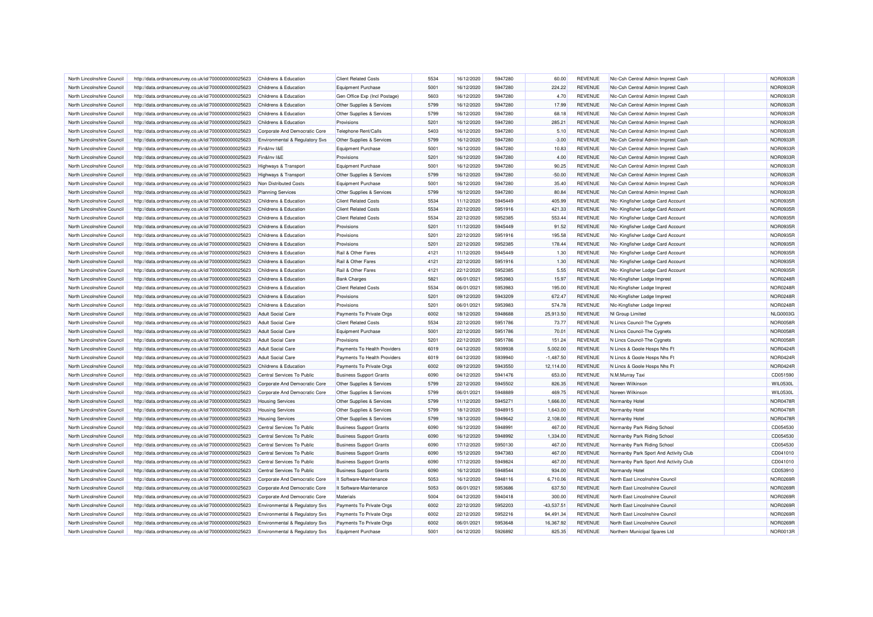| North Lincolnshire Council | http://data.ordnancesurvey.co.uk/id/7000000000025623 | Childrens & Education                     | <b>Client Related Costs</b>    | 5534 | 16/12/2020 | 5947280 | 60.00        | <b>REVENUE</b> | NIc-Csh Central Admin Imprest Cash    | <b>NOR0933R</b> |
|----------------------------|------------------------------------------------------|-------------------------------------------|--------------------------------|------|------------|---------|--------------|----------------|---------------------------------------|-----------------|
| North Lincolnshire Council | http://data.ordnancesurvey.co.uk/id/7000000000025623 | Childrens & Education                     | <b>Equipment Purchase</b>      | 5001 | 16/12/2020 | 5947280 | 224.22       | <b>REVENUE</b> | Nic-Csh Central Admin Imprest Cash    | NOR0933R        |
| North Lincolnshire Council | http://data.ordnancesurvey.co.uk/id/7000000000025623 | Childrens & Education                     | Gen Office Exp (Incl Postage)  | 5603 | 16/12/2020 | 5947280 | 4.70         | <b>REVENUE</b> | Nic-Csh Central Admin Imprest Cash    | <b>NOR0933R</b> |
| North Lincolnshire Council | http://data.ordnancesurvey.co.uk/id/7000000000025623 | Childrens & Education                     | Other Supplies & Services      | 5799 | 16/12/2020 | 5947280 | 17.99        | <b>REVENUE</b> | Nic-Csh Central Admin Imprest Cash    | NOR0933R        |
| North Lincolnshire Council | http://data.ordnancesurvey.co.uk/id/7000000000025623 | Childrens & Education                     | Other Supplies & Services      | 5799 | 16/12/2020 | 5947280 | 68.18        | <b>REVENUE</b> | Nic-Csh Central Admin Imprest Cash    | NOR0933R        |
| North Lincolnshire Council | http://data.ordnancesurvey.co.uk/id/7000000000025623 | Childrens & Education                     | Provisions                     | 5201 | 16/12/2020 | 5947280 | 285.21       | <b>REVENUE</b> | Nic-Csh Central Admin Imprest Cash    | NOR0933R        |
| North Lincolnshire Council | http://data.ordnancesurvey.co.uk/id/7000000000025623 | Corporate And Democratic Core             | Telephone Rent/Calls           | 5403 | 16/12/2020 | 5947280 | 5.10         | <b>REVENUE</b> | Nic-Csh Central Admin Imprest Cash    | NOR0933R        |
| North Lincolnshire Council | http://data.ordnancesurvey.co.uk/id/7000000000025623 | <b>Environmental &amp; Regulatory Svs</b> | Other Supplies & Services      | 5799 | 16/12/2020 | 5947280 | $-3.00$      | REVENUE        | NIc-Csh Central Admin Imprest Cash    | NOR0933R        |
| North Lincolnshire Council | http://data.ordnancesurvey.co.uk/id/7000000000025623 | Fin&Inv I&E                               | <b>Equipment Purchase</b>      | 5001 | 16/12/2020 | 5947280 | 10.83        | <b>REVENUE</b> | Nic-Csh Central Admin Imprest Cash    | <b>NOR0933R</b> |
| North Lincolnshire Council | http://data.ordnancesurvey.co.uk/id/7000000000025623 | Fin&Inv I&E                               | Provisions                     | 5201 | 16/12/2020 | 5947280 | 4.00         | <b>REVENUE</b> | Nic-Csh Central Admin Imprest Cash    | NOR0933R        |
| North Lincolnshire Council | http://data.ordnancesurvey.co.uk/id/7000000000025623 | <b>Highways &amp; Transport</b>           | Equipment Purchase             | 5001 | 16/12/2020 | 5947280 | 90.25        | <b>REVENUE</b> | Nic-Csh Central Admin Imprest Cash    | NOR0933R        |
| North Lincolnshire Council | http://data.ordnancesurvey.co.uk/id/7000000000025623 | Highways & Transport                      | Other Supplies & Services      | 5799 | 16/12/2020 | 5947280 | $-50.00$     | <b>REVENUE</b> | Nic-Csh Central Admin Imprest Cash    | NOR0933R        |
| North Lincolnshire Council | http://data.ordnancesurvey.co.uk/id/7000000000025623 | Non Distributed Costs                     | <b>Equipment Purchase</b>      | 5001 | 16/12/2020 | 5947280 | 35.40        | REVENUE        | NIc-Csh Central Admin Imprest Cash    | NOR0933F        |
| North Lincolnshire Council | http://data.ordnancesurvey.co.uk/id/7000000000025623 | <b>Planning Services</b>                  | Other Supplies & Services      | 5799 | 16/12/2020 | 5947280 | 80.84        | <b>REVENUE</b> | Nic-Csh Central Admin Imprest Cash    | <b>NOR0933R</b> |
| North Lincolnshire Council | http://data.ordnancesurvey.co.uk/id/7000000000025623 | Childrens & Education                     | <b>Client Related Costs</b>    | 5534 | 11/12/2020 | 5945449 | 405.99       | <b>REVENUE</b> | Nlc- Kingfisher Lodge Card Account    | NOR0935R        |
| North Lincolnshire Council | http://data.ordnancesurvey.co.uk/id/7000000000025623 | Childrens & Education                     | <b>Client Related Costs</b>    | 5534 | 22/12/2020 | 5951916 | 421.33       | <b>REVENUE</b> | Nlc- Kingfisher Lodge Card Account    | NOR0935R        |
| North Lincolnshire Council | http://data.ordnancesurvey.co.uk/id/7000000000025623 | Childrens & Education                     | <b>Client Related Costs</b>    | 5534 | 22/12/2020 | 5952385 | 553.44       | <b>REVENUE</b> | Nlc- Kingfisher Lodge Card Account    | NOR0935R        |
| North Lincolnshire Council |                                                      | Childrens & Education                     | Provisions                     | 5201 | 11/12/2020 | 5945449 | 91.52        | <b>REVENUE</b> |                                       | NOR0935R        |
|                            | http://data.ordnancesurvey.co.uk/id/7000000000025623 |                                           |                                |      |            |         |              |                | Nlc- Kingfisher Lodge Card Account    |                 |
| North Lincolnshire Council | http://data.ordnancesurvey.co.uk/id/7000000000025623 | Childrens & Education                     | Provisions                     | 5201 | 22/12/2020 | 5951916 | 195.58       | <b>REVENUE</b> | Nlc- Kingfisher Lodge Card Account    | NOR0935R        |
| North Lincolnshire Council | http://data.ordnancesurvey.co.uk/id/7000000000025623 | Childrens & Education                     | Provisions                     | 5201 | 22/12/2020 | 5952385 | 178.44       | <b>REVENUE</b> | Nic- Kingfisher Lodge Card Account    | NOR0935R        |
| North Lincolnshire Council | http://data.ordnancesurvey.co.uk/id/7000000000025623 | Childrens & Education                     | Rail & Other Fares             | 4121 | 11/12/2020 | 5945449 | 1.30         | <b>REVENUE</b> | Nlc- Kingfisher Lodge Card Account    | NOR0935R        |
| North Lincolnshire Council | http://data.ordnancesurvey.co.uk/id/7000000000025623 | Childrens & Education                     | Rail & Other Fares             | 4121 | 22/12/2020 | 5951916 | 1.30         | <b>REVENUE</b> | Nic- Kingfisher Lodge Card Account    | NOR0935R        |
| North Lincolnshire Council | http://data.ordnancesurvey.co.uk/id/7000000000025623 | Childrens & Education                     | Rail & Other Fares             | 4121 | 22/12/2020 | 5952385 | 5.55         | <b>REVENUE</b> | Nic- Kingfisher Lodge Card Account    | NOR0935R        |
| North Lincolnshire Council | http://data.ordnancesurvey.co.uk/id/7000000000025623 | Childrens & Education                     | <b>Bank Charges</b>            | 5821 | 06/01/2021 | 5953983 | 15.97        | <b>REVENUE</b> | Nic-Kingfisher Lodge Imprest          | <b>NOR0248R</b> |
| North Lincolnshire Council | http://data.ordnancesurvey.co.uk/id/7000000000025623 | Childrens & Education                     | <b>Client Related Costs</b>    | 5534 | 06/01/2021 | 5953983 | 195.00       | <b>REVENUE</b> | NIc-Kingfisher Lodge Imprest          | <b>NOR0248R</b> |
| North Lincolnshire Council | http://data.ordnancesurvey.co.uk/id/7000000000025623 | <b>Childrens &amp; Education</b>          | Provisions                     | 5201 | 09/12/2020 | 5943209 | 672.47       | <b>REVENUE</b> | Nic-Kingfisher Lodge Impres           | <b>NOR0248R</b> |
| North Lincolnshire Council | http://data.ordnancesurvey.co.uk/id/7000000000025623 | Childrens & Education                     | Provisions                     | 5201 | 06/01/2021 | 5953983 | 574.78       | <b>REVENUE</b> | Nic-Kingfisher Lodge Imprest          | <b>NOR0248R</b> |
| North Lincolnshire Council | http://data.ordnancesurvey.co.uk/id/7000000000025623 | Adult Social Care                         | Payments To Private Orgs       | 6002 | 18/12/2020 | 5948688 | 25,913.50    | <b>REVENUE</b> | NI Group Limited                      | <b>NLG0003G</b> |
| North Lincolnshire Council | http://data.ordnancesurvey.co.uk/id/7000000000025623 | <b>Adult Social Care</b>                  | <b>Client Related Costs</b>    | 5534 | 22/12/2020 | 5951786 | 73.77        | <b>REVENUE</b> | N Lincs Council-The Cygnets           | NOR0058R        |
| North Lincolnshire Council | http://data.ordnancesurvey.co.uk/id/7000000000025623 | <b>Adult Social Care</b>                  | <b>Equipment Purchase</b>      | 5001 | 22/12/2020 | 5951786 | 70.01        | <b>REVENUE</b> | N Lincs Council-The Cygnets           | <b>NOR0058F</b> |
| North Lincolnshire Council | http://data.ordnancesurvey.co.uk/id/7000000000025623 | <b>Adult Social Care</b>                  | Provisions                     | 5201 | 22/12/2020 | 5951786 | 151.24       | <b>REVENUE</b> | N Lincs Council-The Cygnets           | NOR0058R        |
| North Lincolnshire Council | http://data.ordnancesurvey.co.uk/id/7000000000025623 | <b>Adult Social Care</b>                  | Payments To Health Providers   | 6019 | 04/12/2020 | 5939938 | 5,002.00     | <b>REVENUE</b> | N Lincs & Goole Hosps Nhs Ft          | NOR0424R        |
| North Lincolnshire Council | http://data.ordnancesurvey.co.uk/id/7000000000025623 | <b>Adult Social Care</b>                  | Payments To Health Providers   | 6019 | 04/12/2020 | 5939940 | $-1,487.50$  | <b>REVENUE</b> | N Lincs & Goole Hosps Nhs Ft          | NOR0424R        |
| North Lincolnshire Council | http://data.ordnancesurvey.co.uk/id/7000000000025623 | Childrens & Education                     | Payments To Private Orgs       | 6002 | 09/12/2020 | 5943550 | 12.114.00    | <b>REVENUE</b> | N Lincs & Goole Hosps Nhs Ft          | <b>NOR0424R</b> |
| North Lincolnshire Council | http://data.ordnancesurvey.co.uk/id/7000000000025623 | Central Services To Public                | <b>Business Support Grants</b> | 6090 | 04/12/2020 | 5941476 | 653.00       | <b>REVENUE</b> | N.M.Murray Taxi                       | CD051590        |
| North Lincolnshire Council | http://data.ordnancesurvey.co.uk/id/7000000000025623 | Corporate And Democratic Core             | Other Supplies & Services      | 5799 | 22/12/2020 | 5945502 | 826.35       | <b>REVENUE</b> | Noreen Wilkinson                      | <b>WIL0530L</b> |
| North Lincolnshire Council | http://data.ordnancesurvey.co.uk/id/7000000000025623 | Corporate And Democratic Core             | Other Supplies & Services      | 5799 | 06/01/2021 | 5948889 | 469.75       | <b>REVENUE</b> | Noreen Wilkinson                      | <b>WIL0530I</b> |
| North Lincolnshire Council | http://data.ordnancesurvey.co.uk/id/7000000000025623 | <b>Housing Services</b>                   | Other Supplies & Services      | 5799 | 11/12/2020 | 5945271 | 1,666.00     | <b>REVENUE</b> | Normanby Hotel                        | <b>NOR0478F</b> |
| North Lincolnshire Council | http://data.ordnancesurvey.co.uk/id/7000000000025623 | <b>Housing Services</b>                   | Other Supplies & Services      | 5799 | 18/12/2020 | 5948915 | 1,643.00     | <b>REVENUE</b> | Normanby Hotel                        | NOR0478R        |
| North Lincolnshire Council | http://data.ordnancesurvey.co.uk/id/7000000000025623 | <b>Housing Services</b>                   | Other Supplies & Services      | 5799 | 18/12/2020 | 5949642 | 2,108.00     | <b>REVENUE</b> | Normanby Hotel                        | <b>NOR0478R</b> |
| North Lincolnshire Council | http://data.ordnancesurvey.co.uk/id/7000000000025623 | Central Services To Public                | <b>Business Support Grants</b> | 6090 | 16/12/2020 | 5948991 | 467.00       | <b>REVENUE</b> | Normanby Park Riding School           | CD054530        |
| North Lincolnshire Council | http://data.ordnancesurvey.co.uk/id/7000000000025623 | Central Services To Public                | <b>Business Support Grants</b> | 6090 | 16/12/2020 | 5948992 | 1,334.00     | <b>REVENUE</b> | Normanby Park Riding School           | CD054530        |
| North Lincolnshire Council | http://data.ordnancesurvey.co.uk/id/7000000000025623 | Central Services To Public                | <b>Business Support Grants</b> | 6090 | 17/12/2020 | 5950130 | 467.00       | <b>REVENUE</b> | Normanby Park Riding School           | CD054530        |
| North Lincolnshire Council | http://data.ordnancesurvey.co.uk/id/7000000000025623 | Central Services To Public                | <b>Business Support Grants</b> | 6090 | 15/12/2020 | 5947383 | 467.00       | <b>REVENUE</b> | Normanby Park Sport And Activity Club | CD041010        |
| North Lincolnshire Council | http://data.ordnancesurvey.co.uk/id/7000000000025623 | Central Services To Public                | <b>Business Support Grants</b> | 6090 | 17/12/2020 | 5949824 | 467.00       | <b>REVENUE</b> | Normanby Park Sport And Activity Club | CD041010        |
| North Lincolnshire Council | http://data.ordnancesurvey.co.uk/id/7000000000025623 | Central Services To Public                | <b>Business Support Grants</b> | 6090 | 16/12/2020 | 5948544 | 934.00       | <b>REVENUE</b> | Normandy Hotel                        | CD053910        |
| North Lincolnshire Council | http://data.ordnancesurvey.co.uk/id/7000000000025623 | Corporate And Democratic Core             | It Software-Maintenance        | 5053 | 16/12/2020 | 5948116 | 6,710.06     | <b>REVENUE</b> | North East Lincolnshire Council       | <b>NOR0269F</b> |
| North Lincolnshire Council | http://data.ordnancesurvey.co.uk/id/7000000000025623 | Corporate And Democratic Core             | It Software-Maintenance        | 5053 | 06/01/2021 | 5953686 | 637.50       | <b>REVENUE</b> | North East Lincolnshire Council       | NOR0269R        |
| North Lincolnshire Council | http://data.ordnancesurvey.co.uk/id/7000000000025623 | Corporate And Democratic Core             | Materials                      | 5004 | 04/12/2020 | 5940418 | 300.00       | <b>REVENUE</b> | North East Lincolnshire Council       | <b>NOR0269R</b> |
| North Lincolnshire Council | http://data.ordnancesurvey.co.uk/id/7000000000025623 | Environmental & Regulatory Svs            | Payments To Private Orgs       | 6002 | 22/12/2020 | 5952203 | $-43,537.51$ | <b>REVENUE</b> | North East Lincolnshire Council       | <b>NOR0269R</b> |
| North Lincolnshire Council | http://data.ordnancesurvey.co.uk/id/7000000000025623 | Environmental & Regulatory Svs            | Payments To Private Orgs       | 6002 | 22/12/2020 | 5952216 | 94,491.34    | <b>REVENUE</b> | North East Lincolnshire Council       | <b>NOR0269F</b> |
| North Lincolnshire Council | http://data.ordnancesurvey.co.uk/id/7000000000025623 | Environmental & Regulatory Svs            | Payments To Private Orgs       | 6002 | 06/01/2021 | 5953648 | 16,367.92    | <b>REVENUE</b> | North East Lincolnshire Council       | <b>NOR0269F</b> |
| North Lincolnshire Council | http://data.ordnancesurvey.co.uk/id/7000000000025623 | Environmental & Regulatory Svs            | <b>Equipment Purchase</b>      | 5001 | 04/12/2020 | 5926892 | 825.35       | <b>REVENUE</b> | Northern Municipal Spares Ltd         | <b>NOR0013R</b> |
|                            |                                                      |                                           |                                |      |            |         |              |                |                                       |                 |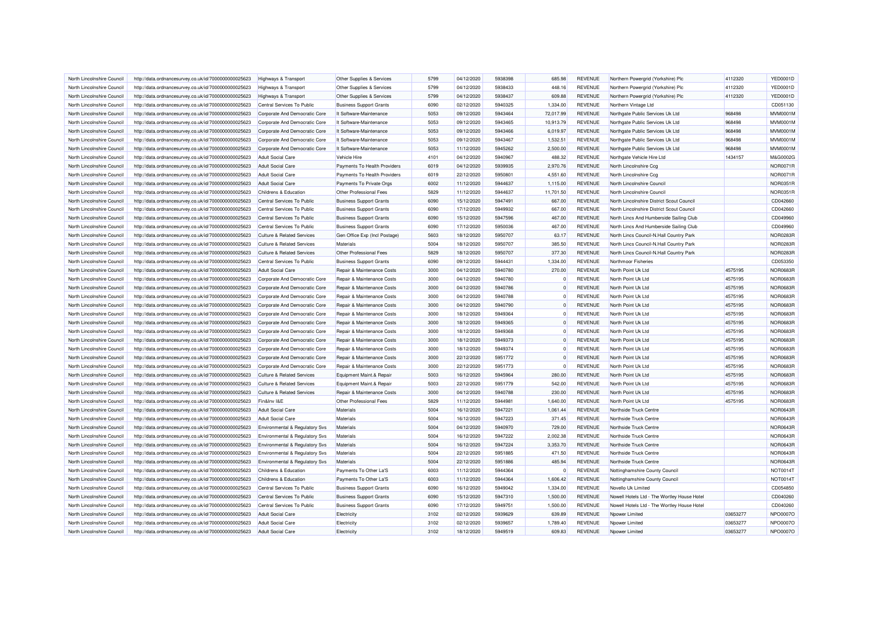| North Lincolnshire Council                               | http://data.ordnancesurvey.co.uk/id/7000000000025623                                                         | <b>Highways &amp; Transport</b>                                  | Other Supplies & Services                                        | 5799         | 04/12/2020               | 5938398            | 685.98               | <b>REVENUE</b>                   | Northern Powergrid (Yorkshire) Plc                                                         | 4112320              | <b>YED0001D</b>                    |
|----------------------------------------------------------|--------------------------------------------------------------------------------------------------------------|------------------------------------------------------------------|------------------------------------------------------------------|--------------|--------------------------|--------------------|----------------------|----------------------------------|--------------------------------------------------------------------------------------------|----------------------|------------------------------------|
| North Lincolnshire Council                               | http://data.ordnancesurvey.co.uk/id/7000000000025623                                                         | <b>Highways &amp; Transport</b>                                  | Other Supplies & Services                                        | 5799         | 04/12/2020               | 5938433            | 448.16               | <b>REVENUE</b>                   | Northern Powergrid (Yorkshire) Plc                                                         | 4112320              | <b>YED0001D</b>                    |
| North Lincolnshire Council                               | http://data.ordnancesurvey.co.uk/id/7000000000025623                                                         | <b>Highways &amp; Transport</b>                                  | Other Supplies & Services                                        | 5799         | 04/12/2020               | 5938437            | 609.88               | <b>REVENUE</b>                   | Northern Powergrid (Yorkshire) Plc                                                         | 4112320              | <b>YED0001D</b>                    |
| North Lincolnshire Council                               | http://data.ordnancesurvey.co.uk/id/7000000000025623                                                         | Central Services To Public                                       | <b>Business Support Grants</b>                                   | 6090         | 02/12/2020               | 5940325            | 1,334.00             | <b>REVENUE</b>                   | Northern Vintage Ltd                                                                       |                      | CD051130                           |
| North Lincolnshire Council                               | http://data.ordnancesurvey.co.uk/id/7000000000025623                                                         | Corporate And Democratic Core                                    | It Software-Maintenance                                          | 5053         | 09/12/2020               | 5943464            | 72,017.99            | <b>REVENUE</b>                   | Northgate Public Services Uk Ltd                                                           | 968498               | MVM0001M                           |
| North Lincolnshire Council                               | http://data.ordnancesurvey.co.uk/id/7000000000025623                                                         | Corporate And Democratic Core                                    | It Software-Maintenance                                          | 5053         | 09/12/2020               | 5943465            | 10,913.79            | <b>REVENUE</b>                   | Northgate Public Services Uk Ltd                                                           | 968498               | MVM0001M                           |
| North Lincolnshire Council                               | http://data.ordnancesurvey.co.uk/id/7000000000025623                                                         | Corporate And Democratic Core                                    | It Software-Maintenance                                          | 5053         | 09/12/2020               | 5943466            | 6,019.97             | <b>REVENUE</b>                   | Northgate Public Services Uk Ltd                                                           | 968498               | MVM0001M                           |
| North Lincolnshire Council                               | http://data.ordnancesurvey.co.uk/id/7000000000025623                                                         | Corporate And Democratic Core                                    | It Software-Maintenance                                          | 5053         | 09/12/2020               | 5943467            | 1,532.51             | <b>REVENUE</b>                   | Northgate Public Services Uk Ltd                                                           | 968498               | MVM0001M                           |
| North Lincolnshire Council                               | http://data.ordnancesurvey.co.uk/id/7000000000025623                                                         | Corporate And Democratic Core                                    | It Software-Maintenance                                          | 5053         | 11/12/2020               | 5945262            | 2.500.00             | <b>REVENUE</b>                   | Northgate Public Services Uk Ltd                                                           | 968498               | <b>MVM0001M</b>                    |
| North Lincolnshire Council                               | http://data.ordnancesurvey.co.uk/id/7000000000025623                                                         | <b>Adult Social Care</b>                                         | Vehicle Hire                                                     | 4101         | 04/12/2020               | 5940967            | 488.32               | <b>REVENUE</b>                   | Northgate Vehicle Hire Ltd                                                                 | 1434157              | M&G0002G                           |
| North Lincolnshire Council                               | http://data.ordnancesurvey.co.uk/id/7000000000025623                                                         | <b>Adult Social Care</b>                                         | Payments To Health Providers                                     | 6019         | 04/12/2020               | 5939935            | 2,970.76             | <b>REVENUE</b>                   | North Lincolnshire Ccg                                                                     |                      | <b>NOR0071R</b>                    |
| North Lincolnshire Council                               | http://data.ordnancesurvey.co.uk/id/7000000000025623                                                         | <b>Adult Social Care</b>                                         | Payments To Health Providers                                     | 6019         | 22/12/2020               | 595080             | 4,551.60             | <b>REVENUE</b>                   | North Lincolnshire Ccg                                                                     |                      | <b>NOR0071R</b>                    |
| North Lincolnshire Council                               | http://data.ordnancesurvey.co.uk/id/7000000000025623                                                         | <b>Adult Social Care</b>                                         | Payments To Private Orgs                                         | 6002         | 11/12/2020               | 5944637            | 1,115.00             | <b>REVENUE</b>                   | North Lincolnshire Council                                                                 |                      | NOR0351R                           |
| North Lincolnshire Council                               | http://data.ordnancesurvey.co.uk/id/7000000000025623                                                         | Childrens & Education                                            | Other Professional Fees                                          | 5829         | 11/12/2020               | 5944637            | 11,701.50            | <b>REVENUE</b>                   | North Lincolnshire Council                                                                 |                      | <b>NOR0351R</b>                    |
| North Lincolnshire Council                               | http://data.ordnancesurvey.co.uk/id/7000000000025623                                                         | Central Services To Public                                       | <b>Business Support Grants</b>                                   | 6090         | 15/12/2020               | 5947491            | 667.00               | <b>REVENUE</b>                   | North Lincolnshire District Scout Council                                                  |                      | CD042660                           |
| North Lincolnshire Council                               | http://data.ordnancesurvey.co.uk/id/7000000000025623                                                         | Central Services To Public                                       | <b>Business Support Grants</b>                                   | 6090         | 17/12/2020               | 5949932            | 667.00               | <b>REVENUE</b>                   | North Lincolnshire District Scout Council                                                  |                      | CD042660                           |
| North Lincolnshire Council                               | http://data.ordnancesurvey.co.uk/id/7000000000025623                                                         | Central Services To Public                                       | <b>Business Support Grants</b>                                   | 6090         | 15/12/2020               | 5947596            | 467.00               | <b>REVENUE</b>                   | North Lincs And Humberside Sailing Club                                                    |                      | CD049960                           |
| North Lincolnshire Council                               | http://data.ordnancesurvey.co.uk/id/7000000000025623                                                         | Central Services To Public                                       | <b>Business Support Grants</b>                                   | 6090         | 17/12/2020               | 5950036            | 467.00               | <b>REVENUE</b>                   | North Lincs And Humberside Sailing Club                                                    |                      | CD049960                           |
| North Lincolnshire Council                               | http://data.ordnancesurvey.co.uk/id/7000000000025623                                                         | <b>Culture &amp; Related Services</b>                            | Gen Office Exp (Incl Postage)                                    | 5603         | 18/12/2020               | 5950707            | 63.17                | <b>REVENUE</b>                   | North Lincs Council-N.Hall Country Park                                                    |                      | NOR0283R                           |
| North Lincolnshire Council                               | http://data.ordnancesurvey.co.uk/id/7000000000025623                                                         | <b>Culture &amp; Related Services</b>                            | Materials                                                        | 5004         | 18/12/2020               | 5950707            | 385.50               | <b>REVENUE</b>                   | North Lincs Council-N.Hall Country Park                                                    |                      | NOR0283R                           |
| North Lincolnshire Council                               | http://data.ordnancesurvey.co.uk/id/7000000000025623                                                         | <b>Culture &amp; Related Services</b>                            | Other Professional Fees                                          | 5829         | 18/12/2020               | 5950707            | 377.30               | <b>REVENUE</b>                   | North Lincs Council-N.Hall Country Park                                                    |                      | NOR0283R                           |
| North Lincolnshire Council                               | http://data.ordnancesurvey.co.uk/id/7000000000025623                                                         | Central Services To Public                                       | <b>Business Support Grants</b>                                   | 6090         | 09/12/2020               | 5944431            | 1,334.00             | <b>REVENUE</b>                   | Northmoor Fisheries                                                                        |                      | CD053350                           |
| North Lincolnshire Council                               | http://data.ordnancesurvey.co.uk/id/7000000000025623                                                         | <b>Adult Social Care</b>                                         | Repair & Maintenance Costs                                       | 3000         | 04/12/2020               | 5940780            | 270.00               | <b>REVENUE</b>                   | North Point Uk Ltd                                                                         | 4575195              | <b>NOR0683R</b>                    |
| North Lincolnshire Council                               | http://data.ordnancesurvey.co.uk/id/7000000000025623                                                         | Corporate And Democratic Core                                    | Repair & Maintenance Costs                                       | 3000         | 04/12/2020               | 5940780            | $^{\circ}$           | <b>REVENUE</b>                   | North Point Uk Ltd                                                                         | 4575195              | <b>NOR0683R</b>                    |
| North Lincolnshire Council                               | http://data.ordnancesurvey.co.uk/id/7000000000025623                                                         | Corporate And Democratic Core                                    | Repair & Maintenance Costs                                       | 3000         | 04/12/2020               | 5940786            | $\Omega$             | <b>REVENUE</b>                   | North Point Uk Ltd                                                                         | 4575195              | <b>NOR0683R</b>                    |
| North Lincolnshire Council                               | http://data.ordnancesurvey.co.uk/id/7000000000025623                                                         | Corporate And Democratic Core                                    | Repair & Maintenance Costs                                       | 3000         | 04/12/2020               | 5940788            | $^{\circ}$           | <b>REVENUE</b>                   | North Point Uk Ltd                                                                         | 4575195              | <b>NOR0683R</b>                    |
| North Lincolnshire Council                               | http://data.ordnancesurvey.co.uk/id/7000000000025623                                                         | Corporate And Democratic Core                                    | Repair & Maintenance Costs                                       | 3000         | 04/12/2020               | 5940790            | $\Omega$             | <b>REVENUE</b>                   | North Point Uk Ltd                                                                         | 4575195              | <b>NOR0683R</b>                    |
| North Lincolnshire Council                               | http://data.ordnancesurvey.co.uk/id/7000000000025623                                                         | Corporate And Democratic Core                                    | Repair & Maintenance Costs                                       | 3000         | 18/12/2020               | 5949364            | $\Omega$             | <b>REVENUE</b>                   | North Point Uk Ltd                                                                         | 4575195              | <b>NOR0683R</b>                    |
| North Lincolnshire Council                               | http://data.ordnancesurvey.co.uk/id/7000000000025623                                                         | Corporate And Democratic Core                                    | Repair & Maintenance Costs                                       | 3000         | 18/12/2020               | 5949365            | $\Omega$             | <b>REVENUE</b>                   | North Point Uk Ltd                                                                         | 4575195              | <b>NOR0683R</b>                    |
| North Lincolnshire Council                               | http://data.ordnancesurvey.co.uk/id/7000000000025623                                                         | Corporate And Democratic Core                                    | Repair & Maintenance Costs                                       | 3000         | 18/12/2020               | 5949368            | $\Omega$             | <b>REVENUE</b>                   | North Point Uk Ltd                                                                         | 4575195              | <b>NOR0683R</b>                    |
| North Lincolnshire Council                               | http://data.ordnancesurvey.co.uk/id/7000000000025623                                                         | Corporate And Democratic Core                                    | Repair & Maintenance Costs                                       | 3000         | 18/12/2020               | 5949373            | $\Omega$             | <b>REVENUE</b>                   | North Point Uk Ltd                                                                         | 4575195              | <b>NOR0683R</b>                    |
| North Lincolnshire Council                               | http://data.ordnancesurvey.co.uk/id/7000000000025623                                                         | Corporate And Democratic Core                                    | Repair & Maintenance Costs                                       | 3000         | 18/12/2020               | 5949374            | $^{\circ}$           | <b>REVENUE</b>                   | North Point Uk Ltd                                                                         | 4575195              | <b>NOR0683R</b>                    |
| North Lincolnshire Council                               |                                                                                                              | Corporate And Democratic Core                                    | Repair & Maintenance Costs                                       | 3000         | 22/12/2020               | 5951772            | $\Omega$             | <b>REVENUE</b>                   | North Point Uk Ltd                                                                         | 4575195              | <b>NOR0683R</b>                    |
| North Lincolnshire Council                               | http://data.ordnancesurvey.co.uk/id/7000000000025623<br>http://data.ordnancesurvey.co.uk/id/7000000000025623 | Corporate And Democratic Core                                    | Repair & Maintenance Costs                                       | 3000         | 22/12/2020               | 5951773            | $\Omega$             | <b>REVENUE</b>                   | North Point Uk Ltd                                                                         | 4575195              | <b>NOR0683R</b>                    |
| North Lincolnshire Council                               | http://data.ordnancesurvey.co.uk/id/7000000000025623                                                         | <b>Culture &amp; Related Services</b>                            | Equipment Maint.& Repair                                         | 5003         | 16/12/2020               | 5945964            | 280.00               | <b>REVENUE</b>                   | North Point Uk Ltd                                                                         | 4575195              | <b>NOR0683R</b>                    |
|                                                          |                                                                                                              |                                                                  |                                                                  |              |                          |                    |                      |                                  | North Point Uk Ltd                                                                         | 4575195              |                                    |
| North Lincolnshire Council                               | http://data.ordnancesurvey.co.uk/id/7000000000025623                                                         | <b>Culture &amp; Related Services</b>                            | Equipment Maint.& Repair                                         | 5003         | 22/12/2020               | 5951779            | 542.00               | <b>REVENUE</b>                   |                                                                                            |                      | <b>NOR0683R</b>                    |
| North Lincolnshire Council                               | http://data.ordnancesurvey.co.uk/id/7000000000025623                                                         | <b>Culture &amp; Related Services</b>                            | Repair & Maintenance Costs                                       | 3000<br>5829 | 04/12/2020               | 5940788            | 230.00               | <b>REVENUE</b><br><b>REVENUE</b> | North Point Uk Ltd                                                                         | 4575195              | <b>NOR0683R</b><br><b>NOR0683R</b> |
| North Lincolnshire Council<br>North Lincolnshire Council | http://data.ordnancesurvey.co.uk/id/7000000000025623                                                         | Fin&Inv I&E                                                      | Other Professional Fees<br>Materials                             | 5004         | 11/12/2020               | 5944981<br>5947221 | 1,640.00             | <b>REVENUE</b>                   | North Point Uk Ltd<br>Northside Truck Centre                                               | 4575195              |                                    |
| North Lincolnshire Council                               | http://data.ordnancesurvey.co.uk/id/7000000000025623<br>http://data.ordnancesurvey.co.uk/id/7000000000025623 | <b>Adult Social Care</b><br><b>Adult Social Care</b>             | Materials                                                        | 5004         | 16/12/2020<br>16/12/2020 | 5947223            | 1,061.44<br>371.45   | <b>REVENUE</b>                   | Northside Truck Centre                                                                     |                      | <b>NOR0643R</b><br><b>NOR0643R</b> |
|                                                          |                                                                                                              |                                                                  | Materials                                                        | 5004         | 04/12/2020               | 5940970            | 729.00               | <b>REVENUE</b>                   | Northside Truck Centre                                                                     |                      | <b>NOR0643R</b>                    |
| North Lincolnshire Council<br>North Lincolnshire Council | http://data.ordnancesurvey.co.uk/id/7000000000025623<br>http://data.ordnancesurvey.co.uk/id/7000000000025623 | Environmental & Regulatory Svs<br>Environmental & Regulatory Svs | Materials                                                        | 5004         | 16/12/2020               | 5947222            | 2,002.38             | <b>REVENUE</b>                   | Northside Truck Centre                                                                     |                      | <b>NOR0643R</b>                    |
| North Lincolnshire Council                               | http://data.ordnancesurvey.co.uk/id/7000000000025623                                                         | Environmental & Regulatory Svs                                   | Materials                                                        | 5004         | 16/12/2020               | 5947224            | 3,353.70             | <b>REVENUE</b>                   | Northside Truck Centre                                                                     |                      | <b>NOR0643R</b>                    |
| North Lincolnshire Council                               | http://data.ordnancesurvey.co.uk/id/7000000000025623                                                         | Environmental & Regulatory Svs                                   | Materials                                                        | 5004         | 22/12/2020               | 5951885            | 471.50               | <b>REVENUE</b>                   | Northside Truck Centre                                                                     |                      | <b>NOR0643R</b>                    |
|                                                          |                                                                                                              |                                                                  | Materials                                                        | 5004         | 22/12/2020               |                    | 485.94               | <b>REVENUE</b>                   |                                                                                            |                      | <b>NOR0643R</b>                    |
| North Lincolnshire Council                               | http://data.ordnancesurvey.co.uk/id/7000000000025623                                                         | Environmental & Regulatory Svs                                   |                                                                  |              |                          | 5951886            |                      |                                  | Northside Truck Centre                                                                     |                      |                                    |
| North Lincolnshire Council                               | http://data.ordnancesurvey.co.uk/id/7000000000025623                                                         | Childrens & Education                                            | Payments To Other La'S                                           | 6003<br>6003 | 11/12/2020               | 5944364<br>5944364 | $^{\circ}$           | <b>REVENUE</b>                   | Nottinghamshire County Council                                                             |                      | NOT0014T<br><b>NOT0014T</b>        |
| North Lincolnshire Council                               | http://data.ordnancesurvey.co.uk/id/7000000000025623                                                         | Childrens & Education<br>Central Services To Public              | Payments To Other La'S                                           | 6090         | 11/12/2020               | 5949042            | 1,606.42             | <b>REVENUE</b>                   | Nottinghamshire County Council<br>Novello Uk Limited                                       |                      |                                    |
| North Lincolnshire Council                               | http://data.ordnancesurvey.co.uk/id/7000000000025623                                                         |                                                                  | <b>Business Support Grants</b>                                   |              | 16/12/2020               |                    | 1,334.00             | <b>REVENUE</b>                   |                                                                                            |                      | CD054850                           |
| North Lincolnshire Council<br>North Lincolnshire Council | http://data.ordnancesurvey.co.uk/id/7000000000025623                                                         | Central Services To Public<br>Central Services To Public         | <b>Business Support Grants</b><br><b>Business Support Grants</b> | 6090<br>6090 | 15/12/2020<br>17/12/2020 | 5947310<br>5949751 | 1,500.00<br>1,500.00 | <b>REVENUE</b><br><b>REVENUE</b> | Nowell Hotels Ltd - The Wortley House Hotel<br>Nowell Hotels Ltd - The Wortley House Hotel |                      | CD040260<br>CD040260               |
|                                                          | http://data.ordnancesurvey.co.uk/id/7000000000025623                                                         |                                                                  |                                                                  |              |                          | 5939629            |                      |                                  |                                                                                            |                      |                                    |
| North Lincolnshire Council                               | http://data.ordnancesurvey.co.uk/id/7000000000025623                                                         | <b>Adult Social Care</b>                                         | Electricity                                                      | 3102<br>3102 | 02/12/2020               | 5939657            | 639.89               | <b>REVENUE</b><br><b>REVENUE</b> | Npower Limited                                                                             | 03653277<br>03653277 | <b>NPO0007C</b><br><b>NPO0007C</b> |
| North Lincolnshire Council<br>North Lincolnshire Council | http://data.ordnancesurvey.co.uk/id/7000000000025623<br>http://data.ordnancesurvey.co.uk/id/7000000000025623 | Adult Social Care<br><b>Adult Social Care</b>                    | Electricity<br>Electricity                                       | 3102         | 02/12/2020<br>18/12/2020 | 5949519            | 1,789.40<br>609.83   | <b>REVENUE</b>                   | Npower Limited<br>Npower Limited                                                           | 03653277             | NPO0007O                           |
|                                                          |                                                                                                              |                                                                  |                                                                  |              |                          |                    |                      |                                  |                                                                                            |                      |                                    |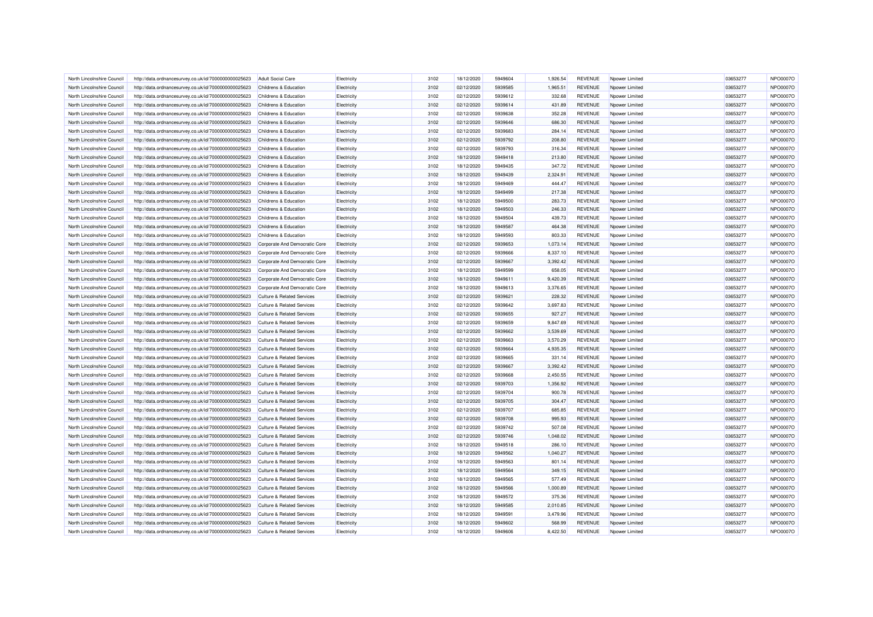| North Lincolnshire Council                               | http://data.ordnancesurvey.co.uk/id/7000000000025623 | <b>Adult Social Care</b>              | Electricity | 3102 | 18/12/2020               | 5949604 | 1,926.54 | <b>REVENUE</b> | Npower Limited  | 03653277 | NPO0007C        |
|----------------------------------------------------------|------------------------------------------------------|---------------------------------------|-------------|------|--------------------------|---------|----------|----------------|-----------------|----------|-----------------|
| North Lincolnshire Council                               | http://data.ordnancesurvey.co.uk/id/7000000000025623 | Childrens & Education                 | Electricity | 3102 | 02/12/2020               | 5939585 | 1,965.51 | <b>REVENUE</b> | Npower Limited  | 03653277 | <b>NPO0007C</b> |
| North Lincolnshire Council                               | http://data.ordnancesurvey.co.uk/id/7000000000025623 | Childrens & Education                 | Electricity | 3102 | 02/12/2020               | 5939612 | 332.68   | <b>REVENUE</b> | Npower Limited  | 03653277 | <b>NPO0007C</b> |
| North Lincolnshire Council                               | http://data.ordnancesurvey.co.uk/id/7000000000025623 | Childrens & Education                 | Electricity | 3102 | 02/12/2020               | 5939614 | 431.89   | <b>REVENUE</b> | Npower Limited  | 03653277 | <b>NPO0007C</b> |
| North Lincolnshire Council                               | http://data.ordnancesurvey.co.uk/id/7000000000025623 | Childrens & Education                 | Electricity | 3102 | 02/12/2020               | 5939638 | 352.28   | REVENUE        | Npower Limited  | 03653277 | NPO0007C        |
| North Lincolnshire Council                               | http://data.ordnancesurvey.co.uk/id/7000000000025623 | Childrens & Education                 | Electricity | 3102 | 02/12/2020               | 5939646 | 686.30   | <b>REVENUE</b> | Noower Limited  | 03653277 | <b>NPO0007C</b> |
| North Lincolnshire Council                               | http://data.ordnancesurvey.co.uk/id/7000000000025623 | <b>Childrens &amp; Education</b>      | Electricity | 3102 | 02/12/2020               | 5939683 | 284.14   | <b>REVENUE</b> | Nnower Limited  | 03653277 | <b>NPO0007C</b> |
| North Lincolnshire Council                               | http://data.ordnancesurvey.co.uk/id/7000000000025623 | Childrens & Education                 | Electricity | 3102 | 02/12/2020               | 5939792 | 208.80   | <b>REVENUE</b> | Noower Limited  | 03653277 | <b>NPO0007C</b> |
| North Lincolnshire Council                               | http://data.ordnancesurvey.co.uk/id/7000000000025623 | Childrens & Education                 | Electricity | 3102 | 02/12/2020               | 5939793 | 316.34   | <b>REVENUE</b> | Nnower Limited  | 03653277 | NPO0007O        |
| North Lincolnshire Council                               | http://data.ordnancesurvey.co.uk/id/7000000000025623 | Childrens & Education                 | Electricity | 3102 | 18/12/2020               | 5949418 | 213.80   | <b>REVENUE</b> | Npower Limited  | 03653277 | <b>NPO0007C</b> |
| North Lincolnshire Council                               | http://data.ordnancesurvey.co.uk/id/7000000000025623 | Childrens & Education                 | Electricity | 3102 | 18/12/2020               | 5949435 | 347.72   | <b>REVENUE</b> | Noower Limited  | 03653277 | <b>NPO0007C</b> |
| North Lincolnshire Council                               | http://data.ordnancesurvey.co.uk/id/7000000000025623 | Childrens & Education                 | Electricity | 3102 | 18/12/2020               | 5949439 | 2,324.91 | <b>REVENUE</b> | Npower Limited  | 03653277 | NPO0007C        |
| North Lincolnshire Council                               | http://data.ordnancesurvey.co.uk/id/7000000000025623 | Childrens & Education                 | Electricity | 3102 | 18/12/2020               | 5949469 | 444.47   | <b>REVENUE</b> | Npower Limited  | 03653277 | <b>NPO0007C</b> |
| North Lincolnshire Council                               | http://data.ordnancesurvey.co.uk/id/7000000000025623 | Childrens & Education                 | Electricity | 3102 | 18/12/2020               | 5949499 | 217.38   | <b>REVENUE</b> | Nnower I imited | 03653277 | NPO0007C        |
| North Lincolnshire Council                               | http://data.ordnancesurvey.co.uk/id/7000000000025623 | Childrens & Education                 | Electricity | 3102 | 18/12/2020               | 5949500 | 283.73   | <b>REVENUE</b> | Npower Limited  | 03653277 | <b>NPO0007C</b> |
| North Lincolnshire Council                               | http://data.ordnancesurvey.co.uk/id/7000000000025623 | Childrens & Education                 | Electricity | 3102 | 18/12/2020               | 5949503 | 246.33   | <b>REVENUE</b> | Noower Limited  | 03653277 | <b>NPO0007C</b> |
| North Lincolnshire Council                               | http://data.ordnancesurvey.co.uk/id/7000000000025623 | Childrens & Education                 | Electricity | 3102 | 18/12/2020               | 5949504 | 439.73   | <b>REVENUE</b> | Npower Limited  | 03653277 | NPO0007C        |
| North Lincolnshire Council                               | http://data.ordnancesurvey.co.uk/id/7000000000025623 | Childrens & Education                 | Electricity | 3102 | 18/12/2020               | 5949587 | 464.38   | <b>REVENUE</b> | Noower Limited  | 03653277 | NPO0007C        |
| North Lincolnshire Council                               | http://data.ordnancesurvey.co.uk/id/7000000000025623 | Childrens & Education                 | Electricity | 3102 | 18/12/2020               | 5949593 | 803.33   | <b>REVENUE</b> | Npower Limited  | 03653277 | NPO0007C        |
| North Lincolnshire Council                               | http://data.ordnancesurvey.co.uk/id/7000000000025623 | Corporate And Democratic Core         | Electricity | 3102 | 02/12/2020               | 5939653 | 1,073.14 | <b>REVENUE</b> | Npower Limited  | 03653277 | NPO0007C        |
| North Lincolnshire Council                               | http://data.ordnancesurvey.co.uk/id/7000000000025623 | Corporate And Democratic Core         | Electricity | 3102 | 02/12/2020               | 5939666 | 8,337.10 | <b>REVENUE</b> | Npower Limited  | 03653277 | <b>NPO0007C</b> |
| North Lincolnshire Council                               |                                                      |                                       |             | 3102 |                          | 5939667 |          |                |                 |          | <b>NPO0007C</b> |
|                                                          | http://data.ordnancesurvey.co.uk/id/7000000000025623 | Corporate And Democratic Core         | Electricity |      | 02/12/2020               |         | 3,392.42 | <b>REVENUE</b> | Npower Limited  | 03653277 |                 |
| North Lincolnshire Council                               | http://data.ordnancesurvey.co.uk/id/7000000000025623 | Corporate And Democratic Core         | Electricity | 3102 | 18/12/2020               | 5949599 | 658.05   | <b>REVENUE</b> | Npower Limited  | 03653277 | <b>NPO0007C</b> |
| North Lincolnshire Council                               | http://data.ordnancesurvey.co.uk/id/7000000000025623 | Corporate And Democratic Core         | Electricity | 3102 | 18/12/2020               | 5949611 | 9,420.39 | <b>REVENUE</b> | Npower Limited  | 03653277 | NPO0007C        |
| North Lincolnshire Council                               | http://data.ordnancesurvey.co.uk/id/7000000000025623 | Corporate And Democratic Core         | Electricity | 3102 | 18/12/2020               | 5949613 | 3,376.65 | <b>REVENUE</b> | Noower Limited  | 03653277 | <b>NPO0007C</b> |
| North Lincolnshire Council                               | http://data.ordnancesurvey.co.uk/id/7000000000025623 | <b>Culture &amp; Related Services</b> | Electricity | 3102 | 02/12/2020               | 5939621 | 228.32   | <b>REVENUE</b> | Npower Limited  | 03653277 | NPO0007O        |
| North Lincolnshire Council                               | http://data.ordnancesurvey.co.uk/id/7000000000025623 | Culture & Related Services            | Electricity | 3102 | 02/12/2020               | 5939642 | 3,697.83 | <b>REVENUE</b> | Npower Limited  | 03653277 | <b>NPO0007C</b> |
| North Lincolnshire Council                               | http://data.ordnancesurvey.co.uk/id/7000000000025623 | <b>Culture &amp; Related Services</b> | Electricity | 3102 | 02/12/2020               | 5939655 | 927.27   | <b>REVENUE</b> | Nnower I imited | 03653277 | NPO0007C        |
| North Lincolnshire Council                               | http://data.ordnancesurvey.co.uk/id/7000000000025623 | <b>Culture &amp; Related Services</b> | Electricity | 3102 | 02/12/2020               | 5939659 | 9,847.69 | <b>REVENUE</b> | Npower Limited  | 03653277 | <b>NPO0007C</b> |
| North Lincolnshire Council                               | http://data.ordnancesurvey.co.uk/id/7000000000025623 | <b>Culture &amp; Related Services</b> | Electricity | 3102 | 02/12/2020               | 5939662 | 3,539.69 | <b>REVENUE</b> | Noower Limited  | 03653277 | <b>NPO0007C</b> |
| North Lincolnshire Council                               | http://data.ordnancesurvey.co.uk/id/7000000000025623 | Culture & Related Services            | Electricity | 3102 | 02/12/2020               | 5939663 | 3,570.29 | <b>REVENUE</b> | Nnower Limited  | 03653277 | <b>NPO0007C</b> |
| North Lincolnshire Council                               | http://data.ordnancesurvey.co.uk/id/7000000000025623 | <b>Culture &amp; Related Services</b> | Electricity | 3102 | 02/12/2020               | 5939664 | 4,935.35 | <b>REVENUE</b> | Npower Limited  | 03653277 | <b>NPO0007C</b> |
| North Lincolnshire Council                               | http://data.ordnancesurvey.co.uk/id/7000000000025623 | <b>Culture &amp; Related Services</b> | Electricity | 3102 | 02/12/2020               | 5939665 | 331.14   | <b>REVENUE</b> | Noower Limited  | 03653277 | NPO0007C        |
| North Lincolnshire Council                               | http://data.ordnancesurvey.co.uk/id/7000000000025623 | <b>Culture &amp; Related Services</b> | Electricity | 3102 | 02/12/2020               | 5939667 | 3.392.42 | <b>REVENUE</b> | Noower Limited  | 03653277 | NPO0007C        |
| North Lincolnshire Council                               | http://data.ordnancesurvey.co.uk/id/7000000000025623 | <b>Culture &amp; Related Services</b> | Electricity | 3102 | 02/12/2020               | 5939668 | 2,450.55 | <b>REVENUE</b> | Npower Limited  | 03653277 | <b>NPO0007C</b> |
| North Lincolnshire Council                               | http://data.ordnancesurvey.co.uk/id/7000000000025623 | <b>Culture &amp; Related Services</b> | Electricity | 3102 | 02/12/2020               | 5939703 | 1,356.92 | <b>REVENUE</b> | Noower Limited  | 03653277 | NPO0007O        |
| North Lincolnshire Council                               | http://data.ordnancesurvey.co.uk/id/7000000000025623 | <b>Culture &amp; Related Services</b> | Electricity | 3102 | 02/12/2020               | 5939704 | 900.78   | <b>REVENUE</b> | Npower Limited  | 03653277 | NPO0007C        |
| North Lincolnshire Council                               | http://data.ordnancesurvey.co.uk/id/7000000000025623 | <b>Culture &amp; Related Services</b> | Electricity | 3102 | 02/12/2020               | 5939705 | 304.47   | <b>REVENUE</b> | Noower Limited  | 03653277 | NPO0007O        |
| North Lincolnshire Council                               | http://data.ordnancesurvey.co.uk/id/7000000000025623 | <b>Culture &amp; Related Services</b> | Electricity | 3102 | 02/12/2020               | 5939707 | 685.85   | <b>REVENUE</b> | Noower Limited  | 03653277 | NPO0007C        |
| North Lincolnshire Council                               | http://data.ordnancesurvey.co.uk/id/7000000000025623 | <b>Culture &amp; Related Services</b> | Electricity | 3102 | 02/12/2020               | 5939708 | 995.93   | <b>REVENUE</b> | Noower Limited  | 03653277 | <b>NPO0007C</b> |
| North Lincolnshire Council                               | http://data.ordnancesurvey.co.uk/id/7000000000025623 | <b>Culture &amp; Related Services</b> | Electricity | 3102 | 02/12/2020               | 5939742 | 507.08   | <b>REVENUE</b> | Npower Limited  | 03653277 | <b>NPO0007C</b> |
| North Lincolnshire Council                               | http://data.ordnancesurvey.co.uk/id/7000000000025623 | <b>Culture &amp; Related Services</b> | Electricity | 3102 | 02/12/2020               | 5939746 | 1.048.02 | <b>REVENUE</b> | Nnower I imited | 03653277 | NPO0007C        |
| North Lincolnshire Council                               | http://data.ordnancesurvey.co.uk/id/7000000000025623 | <b>Culture &amp; Related Services</b> | Electricity | 3102 | 18/12/2020               | 5949518 | 286.10   | <b>REVENUE</b> | Npower Limited  | 03653277 | NPO0007C        |
| North Lincolnshire Council                               | http://data.ordnancesurvey.co.uk/id/7000000000025623 | <b>Culture &amp; Related Services</b> | Electricity | 3102 | 18/12/2020               | 5949562 | 1,040.27 | <b>REVENUE</b> | Noower Limited  | 03653277 | <b>NPO0007C</b> |
| North Lincolnshire Council                               | http://data.ordnancesurvey.co.uk/id/7000000000025623 | <b>Culture &amp; Related Services</b> | Electricity | 3102 | 18/12/2020               | 5949563 | 801.14   | <b>REVENUE</b> | Npower Limited  | 03653277 | NPO0007C        |
| North Lincolnshire Council                               | http://data.ordnancesurvey.co.uk/id/7000000000025623 | <b>Culture &amp; Related Services</b> | Electricity | 3102 | 18/12/2020               | 5949564 | 349.15   | <b>REVENUE</b> | Noower Limited  | 03653277 | <b>NPO0007C</b> |
| North Lincolnshire Council                               | http://data.ordnancesurvey.co.uk/id/7000000000025623 | Culture & Related Services            | Electricity | 3102 | 18/12/2020               | 5949565 | 577.49   | <b>REVENUE</b> | Npower Limited  | 03653277 | NPO0007C        |
| North Lincolnshire Council                               | http://data.ordnancesurvey.co.uk/id/7000000000025623 | <b>Culture &amp; Related Services</b> | Electricity | 3102 | 18/12/2020               | 5949566 | 1,000.89 | REVENUE        | Npower Limited  | 03653277 | <b>NPO0007C</b> |
|                                                          |                                                      |                                       |             | 3102 |                          | 5949572 | 375.36   | <b>REVENUE</b> |                 | 03653277 | NPO0007C        |
| North Lincolnshire Council<br>North Lincolnshire Council | http://data.ordnancesurvey.co.uk/id/7000000000025623 | <b>Culture &amp; Related Services</b> | Electricity | 3102 | 18/12/2020<br>18/12/2020 | 5949585 | 2.010.85 | <b>REVENUE</b> | Npower Limited  | 03653277 | NPO0007C        |
|                                                          | http://data.ordnancesurvey.co.uk/id/7000000000025623 | <b>Culture &amp; Related Services</b> | Electricity |      |                          |         |          |                | Noower Limited  |          |                 |
| North Lincolnshire Council                               | http://data.ordnancesurvey.co.uk/id/7000000000025623 | <b>Culture &amp; Related Services</b> | Electricity | 3102 | 18/12/2020               | 594959  | 3,479.96 | <b>REVENUE</b> | Npower Limited  | 03653277 | NPO0007C        |
| North Lincolnshire Council                               | http://data.ordnancesurvey.co.uk/id/7000000000025623 | Culture & Related Services            | Electricity | 3102 | 18/12/2020               | 5949602 | 568.99   | <b>REVENUE</b> | Noower Limited  | 03653277 | <b>NPO0007C</b> |
| North Lincolnshire Council                               | http://data.ordnancesurvey.co.uk/id/7000000000025623 | <b>Culture &amp; Related Services</b> | Electricity | 3102 | 18/12/2020               | 5949606 | 8,422.50 | <b>REVENUE</b> | Npower Limited  | 03653277 | NPO0007C        |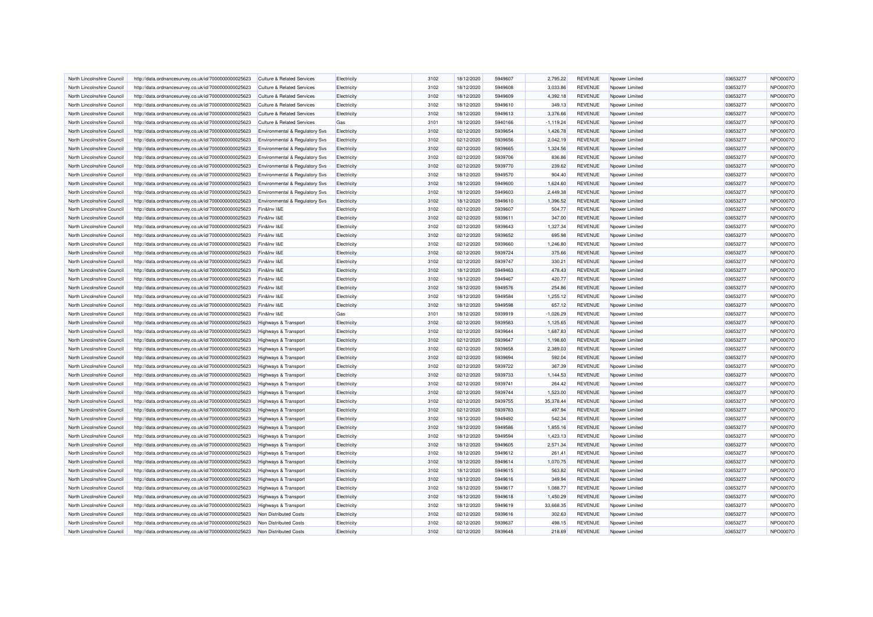| North Lincolnshire Council | http://data.ordnancesurvey.co.uk/id/7000000000025623 | <b>Culture &amp; Related Services</b>     | Electricity | 3102 | 18/12/2020 | 5949607 | 2,795.22     | <b>REVENUE</b> | Npower Limited  | 03653277 | NPO0007O        |
|----------------------------|------------------------------------------------------|-------------------------------------------|-------------|------|------------|---------|--------------|----------------|-----------------|----------|-----------------|
| North Lincolnshire Council | http://data.ordnancesurvey.co.uk/id/7000000000025623 | Culture & Related Services                | Electricity | 3102 | 18/12/2020 | 5949608 | 3,033.86     | <b>REVENUE</b> | Noower Limited  | 03653277 | NPO0007O        |
| North Lincolnshire Council | http://data.ordnancesurvey.co.uk/id/7000000000025623 | <b>Culture &amp; Related Services</b>     | Electricity | 3102 | 18/12/2020 | 5949609 | 4,392.18     | <b>REVENUE</b> | Npower Limited  | 03653277 | <b>NPO0007C</b> |
| North Lincolnshire Council | http://data.ordnancesurvey.co.uk/id/7000000000025623 | <b>Culture &amp; Related Services</b>     | Electricity | 3102 | 18/12/2020 | 5949610 | 349.13       | <b>REVENUE</b> | Npower Limited  | 03653277 | <b>NPO0007C</b> |
| North Lincolnshire Council | http://data.ordnancesurvey.co.uk/id/7000000000025623 | <b>Culture &amp; Related Services</b>     | Electricity | 3102 | 18/12/2020 | 5949613 | 3,376.66     | <b>REVENUE</b> | Npower Limited  | 03653277 | <b>NPO0007C</b> |
| North Lincolnshire Council | http://data.ordnancesurvey.co.uk/id/7000000000025623 | <b>Culture &amp; Related Services</b>     | Gas         | 3101 | 18/12/2020 | 5940166 | $-1, 119.24$ | <b>REVENUE</b> | Noower Limited  | 03653277 | <b>NPO0007C</b> |
| North Lincolnshire Council | http://data.ordnancesurvey.co.uk/id/7000000000025623 | <b>Environmental &amp; Regulatory Svs</b> | Electricity | 3102 | 02/12/2020 | 5939654 | 1,426.78     | <b>REVENUE</b> | Npower Limited  | 03653277 | <b>NPO0007C</b> |
| North Lincolnshire Council | http://data.ordnancesurvey.co.uk/id/7000000000025623 | Environmental & Regulatory Svs            | Electricity | 3102 | 02/12/2020 | 5939656 | 2,042.19     | <b>REVENUE</b> | Nnower Limited  | 03653277 | <b>NPO0007C</b> |
|                            |                                                      |                                           |             |      |            |         |              |                |                 |          |                 |
| North Lincolnshire Council | http://data.ordnancesurvey.co.uk/id/7000000000025623 | Environmental & Regulatory Svs            | Electricity | 3102 | 02/12/2020 | 5939665 | 1,324.56     | REVENUE        | Npower Limited  | 03653277 | <b>NPO0007C</b> |
| North Lincolnshire Council | http://data.ordnancesurvey.co.uk/id/7000000000025623 | Environmental & Regulatory Svs            | Electricity | 3102 | 02/12/2020 | 5939706 | 836.86       | <b>REVENUE</b> | Noower Limited  | 03653277 | <b>NPO0007C</b> |
| North Lincolnshire Council | http://data.ordnancesurvey.co.uk/id/7000000000025623 | Environmental & Regulatory Svs            | Electricity | 3102 | 02/12/2020 | 5939770 | 239.62       | <b>REVENUE</b> | Npower Limited  | 03653277 | <b>NPO0007C</b> |
| North Lincolnshire Council | http://data.ordnancesurvey.co.uk/id/7000000000025623 | <b>Environmental &amp; Regulatory Svs</b> | Electricity | 3102 | 18/12/2020 | 5949570 | 904.40       | <b>REVENUE</b> | Nnower Limited  | 03653277 | <b>NPO0007C</b> |
| North Lincolnshire Council | http://data.ordnancesurvey.co.uk/id/7000000000025623 | Environmental & Regulatory Svs            | Electricity | 3102 | 18/12/2020 | 5949600 | 1,624.60     | <b>REVENUE</b> | Noower Limited  | 03653277 | <b>NPO0007C</b> |
| North Lincolnshire Council | http://data.ordnancesurvey.co.uk/id/7000000000025623 | Environmental & Regulatory Svs            | Electricity | 3102 | 18/12/2020 | 5949603 | 2.449.38     | <b>REVENUE</b> | Nnower I imited | 03653277 | NPO0007C        |
| North Lincolnshire Council | http://data.ordnancesurvey.co.uk/id/7000000000025623 | Environmental & Regulatory Svs            | Electricity | 3102 | 18/12/2020 | 5949610 | 1,396.52     | <b>REVENUE</b> | Npower Limited  | 03653277 | <b>NPO0007C</b> |
| North Lincolnshire Council | http://data.ordnancesurvey.co.uk/id/7000000000025623 | Fin&Inv I&E                               | Electricity | 3102 | 02/12/2020 | 5939607 | 504.77       | <b>REVENUE</b> | Noower Limited  | 03653277 | NPO0007C        |
| North Lincolnshire Council | http://data.ordnancesurvey.co.uk/id/7000000000025623 | Fin&Inv I&E                               | Electricity | 3102 | 02/12/2020 | 5939611 | 347.00       | <b>REVENUE</b> | Npower Limited  | 03653277 | <b>NPO0007C</b> |
| North Lincolnshire Council | http://data.ordnancesurvey.co.uk/id/7000000000025623 | Fin&Inv I&F                               | Electricity | 3102 | 02/12/2020 | 5939643 | 1,327.34     | <b>REVENUE</b> | Npower Limited  | 03653277 | <b>NPO0007C</b> |
| North Lincolnshire Council | http://data.ordnancesurvey.co.uk/id/7000000000025623 | Fin&Inv I&E                               | Electricity | 3102 | 02/12/2020 | 5939652 | 695.98       | <b>REVENUE</b> | Noower Limited  | 03653277 | NPO0007O        |
| North Lincolnshire Council | http://data.ordnancesurvey.co.uk/id/7000000000025623 | Fin&Inv I&E                               | Electricity | 3102 | 02/12/2020 | 5939660 | 1,246.80     | <b>REVENUE</b> | Npower Limited  | 03653277 | NPO0007C        |
| North Lincolnshire Council | http://data.ordnancesurvey.co.uk/id/7000000000025623 | Fin&Inv I&E                               | Electricity | 3102 | 02/12/2020 | 5939724 | 375.66       | <b>REVENUE</b> | Noower Limited  | 03653277 | <b>NPO0007C</b> |
| North Lincolnshire Council | http://data.ordnancesurvey.co.uk/id/7000000000025623 | Fin&Inv I&E                               | Electricity | 3102 | 02/12/2020 | 5939747 | 330.21       | <b>REVENUE</b> | Npower Limited  | 03653277 | NPO0007C        |
| North Lincolnshire Council | http://data.ordnancesurvey.co.uk/id/7000000000025623 | Fin&Inv I&E                               | Electricity | 3102 | 18/12/2020 | 5949463 | 478.43       | <b>REVENUE</b> | Noower Limited  | 03653277 | <b>NPO0007C</b> |
| North Lincolnshire Council | http://data.ordnancesurvey.co.uk/id/7000000000025623 | Fin&Inv I&E                               | Electricity | 3102 | 18/12/2020 | 5949467 | 420.77       | <b>REVENUE</b> | Npower Limited  | 03653277 | <b>NPO0007C</b> |
| North Lincolnshire Council | http://data.ordnancesurvey.co.uk/id/7000000000025623 | Fin&Inv I&E                               | Electricity | 3102 | 18/12/2020 | 5949576 | 254.86       | <b>REVENUE</b> | Nnower I imited | 03653277 | NPO0007C        |
| North Lincolnshire Council | http://data.ordnancesurvey.co.uk/id/7000000000025623 | Fin&Inv I&E                               | Electricity | 3102 | 18/12/2020 | 5949584 | 1,255.12     | <b>REVENUE</b> | Npower Limited  | 03653277 | NPO0007C        |
|                            |                                                      | Fin&Inv I&E                               |             | 3102 | 18/12/2020 | 5949598 | 657.12       | <b>REVENUE</b> |                 | 03653277 | <b>NPO0007C</b> |
| North Lincolnshire Council | http://data.ordnancesurvey.co.uk/id/7000000000025623 |                                           | Electricity |      |            |         |              |                | Noower Limited  |          |                 |
| North Lincolnshire Council | http://data.ordnancesurvey.co.uk/id/7000000000025623 | Fin&Inv I&E                               | Gas         | 3101 | 18/12/2020 | 5939919 | $-1,026.29$  | <b>REVENUE</b> | Npower Limited  | 03653277 | NPO0007C        |
| North Lincolnshire Council | http://data.ordnancesurvey.co.uk/id/7000000000025623 | <b>Highways &amp; Transport</b>           | Electricity | 3102 | 02/12/2020 | 5939583 | 1,125.65     | <b>REVENUE</b> | Noower Limited  | 03653277 | <b>NPO0007C</b> |
| North Lincolnshire Council | http://data.ordnancesurvey.co.uk/id/7000000000025623 | <b>Highways &amp; Transport</b>           | Electricity | 3102 | 02/12/2020 | 5939644 | 1,687.83     | <b>REVENUE</b> | Npower Limited  | 03653277 | NPO0007C        |
| North Lincolnshire Council | http://data.ordnancesurvey.co.uk/id/7000000000025623 | <b>Highways &amp; Transport</b>           | Electricity | 3102 | 02/12/2020 | 5939647 | 1,198.60     | <b>REVENUE</b> | Nnower I imited | 03653277 | <b>NPO0007C</b> |
| North Lincolnshire Council | http://data.ordnancesurvey.co.uk/id/7000000000025623 | Highways & Transport                      | Electricity | 3102 | 02/12/2020 | 5939658 | 2,389.03     | <b>REVENUE</b> | Npower Limited  | 03653277 | <b>NPO0007C</b> |
| North Lincolnshire Council | http://data.ordnancesurvey.co.uk/id/7000000000025623 | Highways & Transport                      | Electricity | 3102 | 02/12/2020 | 5939694 | 592.04       | <b>REVENUE</b> | Nnower I imited | 03653277 | NPO0007C        |
| North Lincolnshire Council | http://data.ordnancesurvey.co.uk/id/7000000000025623 | Highways & Transport                      | Electricity | 3102 | 02/12/2020 | 5939722 | 367.39       | <b>REVENUE</b> | Npower Limited  | 03653277 | <b>NPO0007C</b> |
| North Lincolnshire Council | http://data.ordnancesurvey.co.uk/id/7000000000025623 | <b>Highways &amp; Transport</b>           | Electricity | 3102 | 02/12/2020 | 5939733 | 1,144.53     | <b>REVENUE</b> | Npower Limited  | 03653277 | <b>NPO0007C</b> |
| North Lincolnshire Council | http://data.ordnancesurvey.co.uk/id/7000000000025623 | <b>Highways &amp; Transport</b>           | Electricity | 3102 | 02/12/2020 | 5939741 | 264.42       | <b>REVENUE</b> | Nnower I imited | 03653277 | NPO0007O        |
| North Lincolnshire Council | http://data.ordnancesurvey.co.uk/id/7000000000025623 | Highways & Transport                      | Electricity | 3102 | 02/12/2020 | 5939744 | 1.523.00     | <b>REVENUE</b> | Npower Limited  | 03653277 | <b>NPO0007C</b> |
| North Lincolnshire Council | http://data.ordnancesurvey.co.uk/id/7000000000025623 | <b>Highways &amp; Transport</b>           | Electricity | 3102 | 02/12/2020 | 5939755 | 35,378.44    | <b>REVENUE</b> | Noower Limited  | 03653277 | NPO0007O        |
| North Lincolnshire Council | http://data.ordnancesurvey.co.uk/id/7000000000025623 | <b>Highways &amp; Transport</b>           | Electricity | 3102 | 02/12/2020 | 5939783 | 497.94       | <b>REVENUE</b> | Npower Limited  | 03653277 | <b>NPO0007C</b> |
| North Lincolnshire Council | http://data.ordnancesurvey.co.uk/id/7000000000025623 | <b>Highways &amp; Transport</b>           | Electricity | 3102 | 18/12/2020 | 5949492 | 542.34       | <b>REVENUE</b> | Noower Limited  | 03653277 | <b>NPO0007C</b> |
| North Lincolnshire Council | http://data.ordnancesurvey.co.uk/id/7000000000025623 | <b>Highways &amp; Transport</b>           | Electricity | 3102 | 18/12/2020 | 5949586 | 1,855.16     | <b>REVENUE</b> | Npower Limited  | 03653277 | <b>NPO0007C</b> |
| North Lincolnshire Council | http://data.ordnancesurvey.co.uk/id/7000000000025623 | Highways & Transport                      | Electricity | 3102 | 18/12/2020 | 5949594 | 1.423.13     | <b>REVENUE</b> | Noower Limited  | 03653277 | NPO0007C        |
| North Lincolnshire Council | http://data.ordnancesurvey.co.uk/id/7000000000025623 | Highways & Transport                      | Electricity | 3102 | 18/12/2020 | 5949605 | 2,571.34     | <b>REVENUE</b> | Npower Limited  | 03653277 | <b>NPO0007C</b> |
| North Lincolnshire Council | http://data.ordnancesurvey.co.uk/id/7000000000025623 | <b>Highways &amp; Transport</b>           | Electricity | 3102 | 18/12/2020 | 5949612 | 261.41       | <b>REVENUE</b> | Noower Limited  | 03653277 | <b>NPO0007C</b> |
| North Lincolnshire Council | http://data.ordnancesurvey.co.uk/id/7000000000025623 | Highways & Transport                      | Electricity | 3102 | 18/12/2020 | 5949614 | 1,070.75     | <b>REVENUE</b> | Npower Limited  | 03653277 | <b>NPO0007C</b> |
| North Lincolnshire Council | http://data.ordnancesurvey.co.uk/id/7000000000025623 | Highways & Transport                      | Electricity | 3102 | 18/12/2020 | 5949615 | 563.82       | <b>REVENUE</b> | Npower Limited  | 03653277 | <b>NPO0007C</b> |
| North Lincolnshire Council | http://data.ordnancesurvey.co.uk/id/7000000000025623 | Highways & Transport                      | Electricity | 3102 | 18/12/2020 | 5949616 | 349.94       | <b>REVENUE</b> | Npower Limited  | 03653277 | <b>NPO0007C</b> |
| North Lincolnshire Council | http://data.ordnancesurvey.co.uk/id/7000000000025623 | <b>Highways &amp; Transport</b>           | Electricity | 3102 | 18/12/2020 | 5949617 | 1,088.77     | <b>REVENUE</b> | Nnower Limited  | 03653277 | <b>NPO0007C</b> |
| North Lincolnshire Council | http://data.ordnancesurvey.co.uk/id/7000000000025623 |                                           | Electricity | 3102 | 18/12/2020 | 5949618 | 1,450.29     | <b>REVENUE</b> | Npower Limited  | 03653277 | <b>NPO0007C</b> |
| North Lincolnshire Council |                                                      | <b>Highways &amp; Transport</b>           |             | 3102 | 18/12/2020 | 5949619 | 33,668.35    | <b>REVENUE</b> | Nnower Limited  | 03653277 | NPO0007C        |
|                            | http://data.ordnancesurvey.co.uk/id/7000000000025623 | <b>Highways &amp; Transport</b>           | Electricity |      |            |         |              |                |                 |          |                 |
| North Lincolnshire Council | http://data.ordnancesurvey.co.uk/id/7000000000025623 | Non Distributed Costs                     | Electricity | 3102 | 02/12/2020 | 5939616 | 302.63       | <b>REVENUE</b> | Npower Limited  | 03653277 | <b>NPO0007C</b> |
| North Lincolnshire Council | http://data.ordnancesurvey.co.uk/id/7000000000025623 | Non Distributed Costs                     | Electricity | 3102 | 02/12/2020 | 5939637 | 498.15       | <b>REVENUE</b> | Noower Limited  | 03653277 | <b>NPO0007C</b> |
| North Lincolnshire Council | http://data.ordnancesurvey.co.uk/id/7000000000025623 | Non Distributed Costs                     | Electricity | 3102 | 02/12/2020 | 5939648 | 218.69       | <b>REVENUE</b> | Npower Limited  | 03653277 | <b>NPO0007C</b> |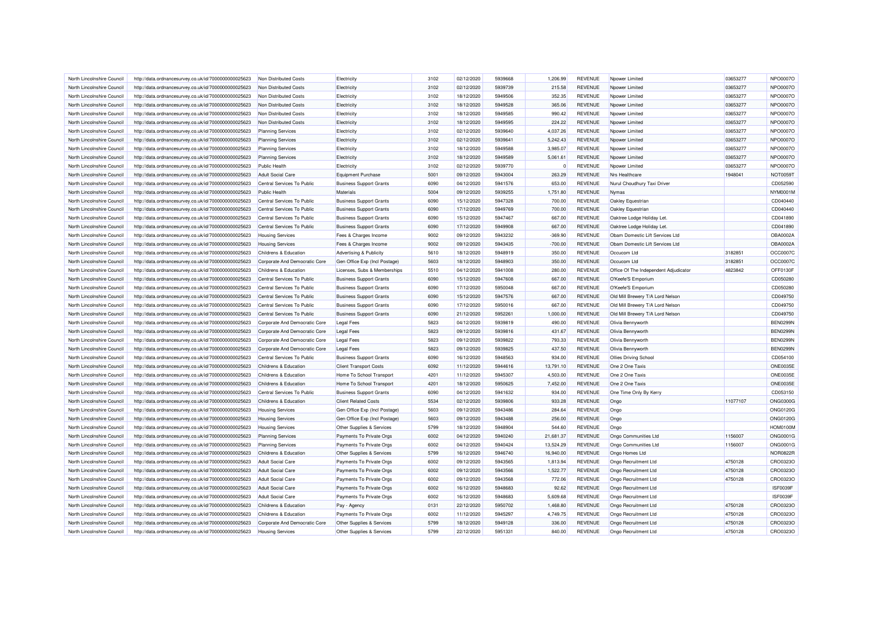| North Lincolnshire Council | http://data.ordnancesurvey.co.uk/id/7000000000025623                                                         | Non Distributed Costs            | Electricity                    | 3102 | 02/12/2020 | 5939668 | 1.206.99  | <b>REVENUE</b> | Noower Limited                        | 03653277 | NPO0007O             |
|----------------------------|--------------------------------------------------------------------------------------------------------------|----------------------------------|--------------------------------|------|------------|---------|-----------|----------------|---------------------------------------|----------|----------------------|
| North Lincolnshire Council | http://data.ordnancesurvey.co.uk/id/7000000000025623                                                         | Non Distributed Costs            | Electricity                    | 3102 | 02/12/2020 | 5939739 | 215.58    | <b>REVENUE</b> | Npower Limited                        | 03653277 | NPO0007O             |
| North Lincolnshire Council | http://data.ordnancesurvey.co.uk/id/7000000000025623                                                         | Non Distributed Costs            | Electricity                    | 3102 | 18/12/2020 | 5949506 | 352.35    | <b>REVENUE</b> | Npower Limited                        | 03653277 | NPO0007O             |
| North Lincolnshire Council | http://data.ordnancesurvey.co.uk/id/7000000000025623                                                         | Non Distributed Costs            | Electricity                    | 3102 | 18/12/2020 | 5949528 | 365.06    | <b>REVENUE</b> | Noower Limited                        | 03653277 | NPO0007O             |
| North Lincolnshire Council | http://data.ordnancesurvey.co.uk/id/7000000000025623                                                         | Non Distributed Costs            | Electricity                    | 3102 | 18/12/2020 | 5949585 | 990.42    | <b>REVENUE</b> | Npower Limited                        | 03653277 | <b>NPO0007C</b>      |
| North Lincolnshire Council | http://data.ordnancesurvey.co.uk/id/7000000000025623                                                         | Non Distributed Costs            | Electricity                    | 3102 | 18/12/2020 | 5949595 | 224.22    | <b>REVENUE</b> | Npower Limited                        | 03653277 | NPO0007O             |
| North Lincolnshire Council | http://data.ordnancesurvey.co.uk/id/7000000000025623                                                         | <b>Planning Services</b>         | Electricity                    | 3102 | 02/12/2020 | 5939640 | 4,037.26  | <b>REVENUE</b> | Npower Limited                        | 03653277 | <b>NPO0007C</b>      |
| North Lincolnshire Council | http://data.ordnancesurvey.co.uk/id/7000000000025623                                                         | <b>Planning Services</b>         | Electricity                    | 3102 | 02/12/2020 | 5939641 | 5,242.43  | <b>REVENUE</b> | Npower Limited                        | 03653277 | <b>NPO0007C</b>      |
| North Lincolnshire Council | http://data.ordnancesurvey.co.uk/id/7000000000025623                                                         | <b>Planning Services</b>         | Electricity                    | 3102 | 18/12/2020 | 5949588 | 3,985.07  | <b>REVENUE</b> | Npower Limited                        | 03653277 | NPO0007O             |
| North Lincolnshire Council | http://data.ordnancesurvey.co.uk/id/7000000000025623                                                         | <b>Planning Services</b>         | Electricity                    | 3102 | 18/12/2020 | 5949589 | 5,061.61  | <b>REVENUE</b> | Npower Limited                        | 03653277 | <b>NPO0007C</b>      |
| North Lincolnshire Council | http://data.ordnancesurvey.co.uk/id/7000000000025623                                                         | <b>Public Health</b>             | Electricity                    | 3102 | 02/12/2020 | 5939770 | $\Omega$  | <b>REVENUE</b> | Noower Limited                        | 03653277 | NPO0007O             |
| North Lincolnshire Council | http://data.ordnancesurvey.co.uk/id/7000000000025623                                                         | Adult Social Care                | <b>Equipment Purchase</b>      | 5001 | 09/12/2020 | 5943004 | 263.29    | <b>REVENUE</b> | Nrs Healthcare                        | 1948041  | <b>NOT0059T</b>      |
| North Lincolnshire Council | http://data.ordnancesurvey.co.uk/id/7000000000025623                                                         | Central Services To Public       | <b>Business Support Grants</b> | 6090 | 04/12/2020 | 5941576 | 653.00    | <b>REVENUE</b> | Nurul Choudhury Taxi Driver           |          | CD052590             |
| North Lincolnshire Council | http://data.ordnancesurvey.co.uk/id/7000000000025623                                                         | Public Health                    | Materials                      | 5004 | 09/12/2020 | 5939255 | 1,751.80  | <b>REVENUE</b> | Nymas                                 |          | NYM0001M             |
| North Lincolnshire Council | http://data.ordnancesurvey.co.uk/id/7000000000025623                                                         | Central Services To Public       | <b>Business Support Grants</b> | 6090 | 15/12/2020 | 5947328 | 700.00    | <b>REVENUE</b> | Oakley Equestrian                     |          | CD040440             |
| North Lincolnshire Council | http://data.ordnancesurvey.co.uk/id/7000000000025623                                                         | Central Services To Public       | <b>Business Support Grants</b> | 6090 | 17/12/2020 | 5949769 | 700.00    | <b>REVENUE</b> | Oakley Equestrian                     |          | CD040440             |
| North Lincolnshire Council | http://data.ordnancesurvey.co.uk/id/7000000000025623                                                         | Central Services To Public       | <b>Business Support Grants</b> | 6090 | 15/12/2020 | 5947467 | 667.00    | <b>REVENUE</b> | Oaktree Lodge Holiday Let             |          | CD041890             |
| North Lincolnshire Council | http://data.ordnancesurvey.co.uk/id/7000000000025623                                                         | Central Services To Public       | <b>Business Support Grants</b> | 6090 | 17/12/2020 | 5949908 | 667.00    | <b>REVENUE</b> | Oaktree Lodge Holiday Let             |          | CD041890             |
| North Lincolnshire Council | http://data.ordnancesurvey.co.uk/id/7000000000025623                                                         | <b>Housing Services</b>          | Fees & Charges Income          | 9002 | 09/12/2020 | 5943232 | $-369.90$ | <b>REVENUE</b> | Obam Domestic Lift Services Ltd       |          | OBA0002A             |
| North Lincolnshire Council | http://data.ordnancesurvey.co.uk/id/7000000000025623                                                         | <b>Housing Services</b>          | Fees & Charges Income          | 9002 | 09/12/2020 | 5943435 | $-700.00$ | <b>REVENUE</b> | Obam Domestic Lift Services Ltd       |          | OBA0002A             |
| North Lincolnshire Council | http://data.ordnancesurvey.co.uk/id/7000000000025623                                                         | Childrens & Education            | Advertising & Publicity        | 5610 | 18/12/2020 | 5948919 | 350.00    | <b>REVENUE</b> | Occucom Ltd                           | 3182851  | OCC0007C             |
| North Lincolnshire Council |                                                                                                              | Corporate And Democratic Core    | Gen Office Exp (Incl Postage)  | 5603 | 18/12/2020 | 5948903 | 350.00    | <b>REVENUE</b> | Occucom Ltd                           | 3182851  | OCC0007C             |
| North Lincolnshire Council | http://data.ordnancesurvey.co.uk/id/7000000000025623<br>http://data.ordnancesurvey.co.uk/id/7000000000025623 | Childrens & Education            | Licenses, Subs & Memberships   | 5510 | 04/12/2020 | 5941008 | 280.00    | <b>REVENUE</b> | Office Of The Independent Adjudicator | 4823842  | OFF0130F             |
|                            |                                                                                                              |                                  |                                |      |            |         |           |                |                                       |          |                      |
| North Lincolnshire Council | http://data.ordnancesurvey.co.uk/id/7000000000025623                                                         | Central Services To Public       | <b>Business Support Grants</b> | 6090 | 15/12/2020 | 5947608 | 667.00    | <b>REVENUE</b> | O'Keefe'S Emporium                    |          | CD050280<br>CD050280 |
| North Lincolnshire Council | http://data.ordnancesurvey.co.uk/id/7000000000025623                                                         | Central Services To Public       | <b>Business Support Grants</b> | 6090 | 17/12/2020 | 5950048 | 667.00    | <b>REVENUE</b> | O'Keefe'S Emporium                    |          |                      |
| North Lincolnshire Council | http://data.ordnancesurvey.co.uk/id/7000000000025623                                                         | Central Services To Public       | <b>Business Support Grants</b> | 6090 | 15/12/2020 | 5947576 | 667.00    | <b>REVENUE</b> | Old Mill Brewery T/A Lord Nelson      |          | CD049750             |
| North Lincolnshire Council | http://data.ordnancesurvey.co.uk/id/7000000000025623                                                         | Central Services To Public       | <b>Business Support Grants</b> | 6090 | 17/12/2020 | 5950016 | 667.00    | <b>REVENUE</b> | Old Mill Brewery T/A Lord Nelson      |          | CD049750             |
| North Lincolnshire Council | http://data.ordnancesurvey.co.uk/id/7000000000025623                                                         | Central Services To Public       | <b>Business Support Grants</b> | 6090 | 21/12/2020 | 5952261 | 1,000.00  | <b>REVENUE</b> | Old Mill Brewery T/A Lord Nelson      |          | CD049750             |
| North Lincolnshire Council | http://data.ordnancesurvey.co.uk/id/7000000000025623                                                         | Corporate And Democratic Core    | <b>Legal Fees</b>              | 5823 | 04/12/2020 | 5939819 | 490.00    | <b>REVENUE</b> | Olivia Bennyworth                     |          | <b>BEN0299N</b>      |
| North Lincolnshire Council | http://data.ordnancesurvey.co.uk/id/7000000000025623                                                         | Corporate And Democratic Core    | <b>Legal Fees</b>              | 5823 | 09/12/2020 | 5939816 | 431.67    | <b>REVENUE</b> | Olivia Bennyworth                     |          | <b>BEN0299N</b>      |
| North Lincolnshire Council | http://data.ordnancesurvey.co.uk/id/7000000000025623                                                         | Corporate And Democratic Core    | <b>Legal Fees</b>              | 5823 | 09/12/2020 | 5939822 | 793.33    | <b>REVENUE</b> | Olivia Bennyworth                     |          | <b>BEN0299N</b>      |
| North Lincolnshire Council | http://data.ordnancesurvey.co.uk/id/7000000000025623                                                         | Corporate And Democratic Core    | <b>Legal Fees</b>              | 5823 | 09/12/2020 | 5939825 | 437.50    | <b>REVENUE</b> | Olivia Bennyworth                     |          | <b>BEN0299N</b>      |
| North Lincolnshire Council | http://data.ordnancesurvey.co.uk/id/7000000000025623                                                         | Central Services To Public       | <b>Business Support Grants</b> | 6090 | 16/12/2020 | 5948563 | 934.00    | <b>REVENUE</b> | <b>Ollies Driving School</b>          |          | CD054100             |
| North Lincolnshire Council | http://data.ordnancesurvey.co.uk/id/7000000000025623                                                         | Childrens & Education            | <b>Client Transport Costs</b>  | 6092 | 11/12/2020 | 5944616 | 13,791.10 | <b>REVENUE</b> | One 2 One Taxis                       |          | <b>ONE0035E</b>      |
| North Lincolnshire Council | http://data.ordnancesurvey.co.uk/id/7000000000025623                                                         | Childrens & Education            | Home To School Transport       | 4201 | 11/12/2020 | 5945307 | 4,503.00  | <b>REVENUE</b> | One 2 One Taxis                       |          | <b>ONE0035E</b>      |
| North Lincolnshire Council | http://data.ordnancesurvey.co.uk/id/7000000000025623                                                         | Childrens & Education            | Home To School Transport       | 4201 | 18/12/2020 | 5950625 | 7,452.00  | <b>REVENUE</b> | One 2 One Taxis                       |          | <b>ONE0035E</b>      |
| North Lincolnshire Council | http://data.ordnancesurvey.co.uk/id/7000000000025623                                                         | Central Services To Public       | <b>Business Support Grants</b> | 6090 | 04/12/2020 | 5941632 | 934.00    | <b>REVENUE</b> | One Time Only By Kerry                |          | CD053150             |
| North Lincolnshire Council | http://data.ordnancesurvey.co.uk/id/7000000000025623                                                         | <b>Childrens &amp; Education</b> | <b>Client Related Costs</b>    | 5534 | 02/12/2020 | 5939806 | 933.28    | <b>REVENUE</b> | Ongo                                  | 11077107 | <b>ONG0300G</b>      |
| North Lincolnshire Council | http://data.ordnancesurvey.co.uk/id/7000000000025623                                                         | <b>Housing Services</b>          | Gen Office Exp (Incl Postage)  | 5603 | 09/12/2020 | 5943486 | 284.64    | <b>REVENUE</b> | Ongo                                  |          | <b>ONG0120G</b>      |
| North Lincolnshire Council | http://data.ordnancesurvey.co.uk/id/7000000000025623                                                         | <b>Housing Services</b>          | Gen Office Exp (Incl Postage)  | 5603 | 09/12/2020 | 5943488 | 256.00    | <b>REVENUE</b> | Ongo                                  |          | <b>ONG0120G</b>      |
| North Lincolnshire Council | http://data.ordnancesurvey.co.uk/id/7000000000025623                                                         | <b>Housing Services</b>          | Other Supplies & Services      | 5799 | 18/12/2020 | 5948904 | 544.60    | <b>REVENUE</b> | Ongo                                  |          | <b>HOM0100M</b>      |
| North Lincolnshire Council | http://data.ordnancesurvey.co.uk/id/7000000000025623                                                         | <b>Planning Services</b>         | Payments To Private Orgs       | 6002 | 04/12/2020 | 5940240 | 21,681.37 | <b>REVENUE</b> | Ongo Communities Ltd                  | 1156007  | <b>ONG0001G</b>      |
| North Lincolnshire Council | http://data.ordnancesurvey.co.uk/id/7000000000025623                                                         | <b>Planning Services</b>         | Payments To Private Orgs       | 6002 | 04/12/2020 | 5940424 | 13,524.29 | <b>REVENUE</b> | Ongo Communities Ltd                  | 1156007  | <b>ONG0001G</b>      |
| North Lincolnshire Council | http://data.ordnancesurvey.co.uk/id/7000000000025623                                                         | Childrens & Education            | Other Supplies & Services      | 5799 | 16/12/2020 | 5946740 | 16.940.00 | <b>REVENUE</b> | Ongo Homes Ltd                        |          | <b>NOR0822F</b>      |
| North Lincolnshire Council | http://data.ordnancesurvey.co.uk/id/7000000000025623                                                         | <b>Adult Social Care</b>         | Payments To Private Orgs       | 6002 | 09/12/2020 | 5943565 | 1,813.94  | <b>REVENUE</b> | Ongo Recruitment Ltd                  | 4750128  | CRO0323O             |
| North Lincolnshire Council | http://data.ordnancesurvey.co.uk/id/7000000000025623                                                         | <b>Adult Social Care</b>         | Payments To Private Orgs       | 6002 | 09/12/2020 | 5943566 | 1,522.77  | <b>REVENUE</b> | Ongo Recruitment Ltd                  | 4750128  | CRO0323C             |
| North Lincolnshire Council | http://data.ordnancesurvey.co.uk/id/7000000000025623                                                         | <b>Adult Social Care</b>         | Payments To Private Orgs       | 6002 | 09/12/2020 | 5943568 | 772.06    | <b>REVENUE</b> | Ongo Recruitment Ltd                  | 4750128  | CRO0323C             |
| North Lincolnshire Council | http://data.ordnancesurvey.co.uk/id/7000000000025623                                                         | <b>Adult Social Care</b>         | Payments To Private Orgs       | 6002 | 16/12/2020 | 5948683 | 92.62     | <b>REVENUE</b> | Ongo Recruitment Ltd                  |          | ISF0039F             |
| North Lincolnshire Council | http://data.ordnancesurvey.co.uk/id/7000000000025623                                                         | <b>Adult Social Care</b>         | Payments To Private Orgs       | 6002 | 16/12/2020 | 5948683 | 5,609.68  | <b>REVENUE</b> | Ongo Recruitment Ltd                  |          | ISF0039F             |
| North Lincolnshire Council | http://data.ordnancesurvey.co.uk/id/7000000000025623                                                         | Childrens & Education            | Pay - Agency                   | 0131 | 22/12/2020 | 5950702 | 1,468.80  | <b>REVENUE</b> | Ongo Recruitment Ltd                  | 4750128  | CRO0323C             |
| North Lincolnshire Council | http://data.ordnancesurvey.co.uk/id/7000000000025623                                                         | Childrens & Education            | Payments To Private Orgs       | 6002 | 11/12/2020 | 5945297 | 4,749.75  | <b>REVENUE</b> | Ongo Recruitment Ltd                  | 4750128  | CRO0323C             |
| North Lincolnshire Council | http://data.ordnancesurvey.co.uk/id/7000000000025623                                                         | Corporate And Democratic Core    | Other Supplies & Services      | 5799 | 18/12/2020 | 5949128 | 336.00    | <b>REVENUE</b> | Ongo Recruitment Ltd                  | 4750128  | CRO0323C             |
| North Lincolnshire Council | http://data.ordnancesurvey.co.uk/id/7000000000025623                                                         | <b>Housing Services</b>          | Other Supplies & Services      | 5799 | 22/12/2020 | 5951331 | 840.00    | <b>REVENUE</b> | Ongo Recruitment Ltd                  | 4750128  | CRO0323O             |
|                            |                                                                                                              |                                  |                                |      |            |         |           |                |                                       |          |                      |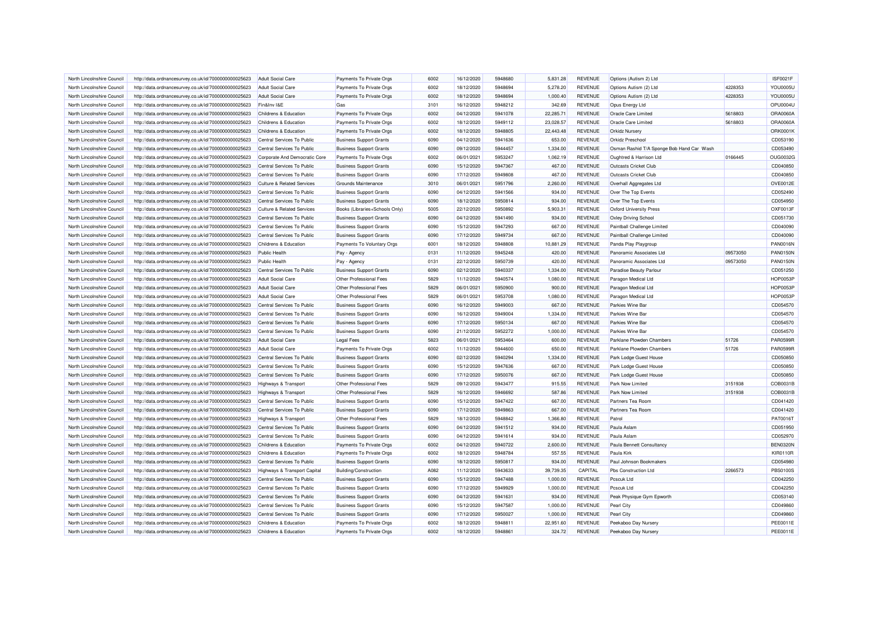| North Lincolnshire Council                               | http://data.ordnancesurvey.co.uk/id/7000000000025623 | <b>Adult Social Care</b>                      | Payments To Private Orgs       | 6002 | 16/12/2020 | 5948680 | 5.831.28  | <b>REVENUE</b> | Options (Autism 2) Ltd                           |          | <b>ISF0021F</b> |
|----------------------------------------------------------|------------------------------------------------------|-----------------------------------------------|--------------------------------|------|------------|---------|-----------|----------------|--------------------------------------------------|----------|-----------------|
| North Lincolnshire Council                               | http://data.ordnancesurvey.co.uk/id/7000000000025623 | Adult Social Care                             | Payments To Private Orgs       | 6002 | 18/12/2020 | 5948694 | 5.278.20  | <b>REVENUE</b> | Options Autism (2) Ltd                           | 4228353  | <b>YOU0005U</b> |
| North Lincolnshire Council                               | http://data.ordnancesurvey.co.uk/id/7000000000025623 | <b>Adult Social Care</b>                      | Payments To Private Orgs       | 6002 | 18/12/2020 | 5948694 | 1,000.40  | <b>REVENUE</b> | Options Autism (2) Ltd                           | 4228353  | YOU0005L        |
| North Lincolnshire Council                               | http://data.ordnancesurvey.co.uk/id/7000000000025623 | Fin&Inv I&E                                   | Gas                            | 3101 | 16/12/2020 | 5948212 | 342.69    | <b>REVENUE</b> | Opus Energy Ltd                                  |          | OPU0004U        |
| North Lincolnshire Council                               | http://data.ordnancesurvey.co.uk/id/7000000000025623 | Childrens & Education                         | Payments To Private Orgs       | 6002 | 04/12/2020 | 5941078 | 22,285.71 | <b>REVENUE</b> | Oracle Care Limited                              | 5618803  | ORA0060A        |
| North Lincolnshire Council                               | http://data.ordnancesurvey.co.uk/id/7000000000025623 | Childrens & Education                         | Payments To Private Orgs       | 6002 | 18/12/2020 | 5949112 | 23,028.57 | <b>REVENUE</b> | Oracle Care Limited                              | 5618803  | ORA0060A        |
| North Lincolnshire Council                               | http://data.ordnancesurvey.co.uk/id/7000000000025623 | Childrens & Education                         | Payments To Private Orgs       | 6002 | 18/12/2020 | 5948805 | 22,443.48 | <b>REVENUE</b> | <b>Orkidz Nursery</b>                            |          | ORK0001K        |
| North Lincolnshire Council                               | http://data.ordnancesurvey.co.uk/id/7000000000025623 | Central Services To Public                    | <b>Business Support Grants</b> | 6090 | 04/12/2020 | 5941636 | 653.00    | <b>REVENUE</b> | <b>Orkidz Preschool</b>                          |          | CD053190        |
| North Lincolnshire Council                               | http://data.ordnancesurvey.co.uk/id/7000000000025623 | Central Services To Public                    | <b>Business Support Grants</b> | 6090 | 09/12/2020 | 5944457 | 1,334.00  | <b>REVENUE</b> | Osman Rashid T/A Sponge Bob Hand Car Wash        |          | CD053490        |
| North Lincolnshire Council                               | http://data.ordnancesurvey.co.uk/id/7000000000025623 | Corporate And Democratic Core                 | Payments To Private Orgs       | 6002 | 06/01/2021 | 5953247 | 1.062.19  | <b>REVENUE</b> | Oughtred & Harrison Ltd                          | 0166445  | OUG0032G        |
| North Lincolnshire Council                               | http://data.ordnancesurvey.co.uk/id/7000000000025623 | Central Services To Public                    | <b>Business Support Grants</b> | 6090 | 15/12/2020 | 5947367 | 467.00    | <b>REVENUE</b> | <b>Outcasts Cricket Club</b>                     |          | CD040850        |
| North Lincolnshire Council                               | http://data.ordnancesurvey.co.uk/id/7000000000025623 | Central Services To Public                    | <b>Business Support Grants</b> | 6090 | 17/12/2020 | 5949808 | 467.00    | <b>REVENUE</b> | Outcasts Cricket Club                            |          | CD040850        |
| North Lincolnshire Council                               | http://data.ordnancesurvey.co.uk/id/7000000000025623 | <b>Culture &amp; Related Services</b>         | Grounds Maintenance            | 3010 | 06/01/2021 | 5951796 | 2,260.00  | <b>REVENUE</b> | Overhall Aggregates Ltd                          |          | OVE0012E        |
| North Lincolnshire Council                               | http://data.ordnancesurvey.co.uk/id/7000000000025623 | Central Services To Public                    | <b>Business Support Grants</b> | 6090 | 04/12/2020 | 5941566 | 934.00    | <b>REVENUE</b> | Over The Top Events                              |          | CD052490        |
| North Lincolnshire Council                               | http://data.ordnancesurvey.co.uk/id/7000000000025623 | Central Services To Public                    | <b>Business Support Grants</b> | 6090 | 18/12/2020 | 5950814 | 934.00    | <b>REVENUE</b> | Over The Top Events                              |          | CD054950        |
| North Lincolnshire Council                               | http://data.ordnancesurvey.co.uk/id/7000000000025623 | <b>Culture &amp; Related Services</b>         | Books (Libraries+Schools Only) | 5005 | 22/12/2020 | 5950892 | 5,903.31  | <b>REVENUE</b> | <b>Oxford University Press</b>                   |          | OXF0013F        |
| North Lincolnshire Council                               | http://data.ordnancesurvey.co.uk/id/7000000000025623 | Central Services To Public                    | <b>Business Support Grants</b> | 6090 | 04/12/2020 | 5941490 | 934.00    | <b>REVENUE</b> | <b>Oxley Driving School</b>                      |          | CD051730        |
| North Lincolnshire Council                               | http://data.ordnancesurvey.co.uk/id/7000000000025623 | Central Services To Public                    | <b>Business Support Grants</b> | 6090 | 15/12/2020 | 5947293 | 667.00    | <b>REVENUE</b> | Paintball Challenge Limited                      |          | CD040090        |
| North Lincolnshire Council                               | http://data.ordnancesurvey.co.uk/id/7000000000025623 | Central Services To Public                    | <b>Business Support Grants</b> | 6090 | 17/12/2020 | 5949734 | 667.00    | <b>REVENUE</b> | Paintball Challenge Limited                      |          | CD040090        |
|                                                          |                                                      |                                               |                                | 6001 | 18/12/2020 | 5948808 | 10,881.29 | <b>REVENUE</b> |                                                  |          | <b>PAN0016N</b> |
| North Lincolnshire Council<br>North Lincolnshire Council | http://data.ordnancesurvey.co.uk/id/7000000000025623 | Childrens & Education<br><b>Public Health</b> | Payments To Voluntary Orgs     | 0131 | 11/12/2020 | 5945248 | 420.00    | <b>REVENUE</b> | Panda Play Playgroup<br>Panoramic Associates Ltd | 09573050 | <b>PAN0150N</b> |
|                                                          | http://data.ordnancesurvey.co.uk/id/7000000000025623 |                                               | Pay - Agency                   |      |            |         |           |                |                                                  |          |                 |
| North Lincolnshire Council                               | http://data.ordnancesurvey.co.uk/id/7000000000025623 | <b>Public Health</b>                          | Pay - Agency                   | 0131 | 22/12/2020 | 5950739 | 420.00    | <b>REVENUE</b> | Panoramic Associates Ltd                         | 09573050 | <b>PAN0150N</b> |
| North Lincolnshire Council                               | http://data.ordnancesurvey.co.uk/id/7000000000025623 | Central Services To Public                    | <b>Business Support Grants</b> | 6090 | 02/12/2020 | 5940337 | 1,334.00  | <b>REVENUE</b> | <b>Paradise Beauty Parlour</b>                   |          | CD051250        |
| North Lincolnshire Council                               | http://data.ordnancesurvey.co.uk/id/7000000000025623 | <b>Adult Social Care</b>                      | Other Professional Fees        | 5829 | 11/12/2020 | 5940574 | 1,080.00  | <b>REVENUE</b> | Paragon Medical Ltd                              |          | <b>HOP0053F</b> |
| North Lincolnshire Council                               | http://data.ordnancesurvey.co.uk/id/7000000000025623 | <b>Adult Social Care</b>                      | Other Professional Fees        | 5829 | 06/01/2021 | 5950900 | 900.00    | REVENUE        | Paragon Medical Ltd                              |          | <b>HOP0053F</b> |
| North Lincolnshire Council                               | http://data.ordnancesurvey.co.uk/id/7000000000025623 | <b>Adult Social Care</b>                      | Other Professional Fees        | 5829 | 06/01/2021 | 5953708 | 1,080.00  | <b>REVENUE</b> | Paragon Medical Ltd                              |          | <b>HOP0053F</b> |
| North Lincolnshire Council                               | http://data.ordnancesurvey.co.uk/id/7000000000025623 | Central Services To Public                    | <b>Business Support Grants</b> | 6090 | 16/12/2020 | 5949003 | 667.00    | <b>REVENUE</b> | Parkies Wine Bar                                 |          | CD054570        |
| North Lincolnshire Council                               | http://data.ordnancesurvey.co.uk/id/7000000000025623 | Central Services To Public                    | <b>Business Support Grants</b> | 6090 | 16/12/2020 | 5949004 | 1,334.00  | <b>REVENUE</b> | Parkies Wine Bar                                 |          | CD054570        |
| North Lincolnshire Council                               | http://data.ordnancesurvey.co.uk/id/7000000000025623 | Central Services To Public                    | <b>Business Support Grants</b> | 6090 | 17/12/2020 | 5950134 | 667.00    | <b>REVENUE</b> | Parkies Wine Bar                                 |          | CD054570        |
| North Lincolnshire Council                               | http://data.ordnancesurvey.co.uk/id/7000000000025623 | Central Services To Public                    | <b>Business Support Grants</b> | 6090 | 21/12/2020 | 5952272 | 1,000.00  | <b>REVENUE</b> | Parkies Wine Bar                                 |          | CD054570        |
| North Lincolnshire Council                               | http://data.ordnancesurvey.co.uk/id/7000000000025623 | <b>Adult Social Care</b>                      | <b>Legal Fees</b>              | 5823 | 06/01/2021 | 5953464 | 600.00    | <b>REVENUE</b> | Parklane Plowden Chambers                        | 51726    | <b>PAR0599F</b> |
| North Lincolnshire Council                               | http://data.ordnancesurvey.co.uk/id/7000000000025623 | <b>Adult Social Care</b>                      | Payments To Private Orgs       | 6002 | 11/12/2020 | 5944600 | 650.00    | <b>REVENUE</b> | Parklane Plowden Chambers                        | 51726    | <b>PAR0599F</b> |
| North Lincolnshire Council                               | http://data.ordnancesurvey.co.uk/id/7000000000025623 | Central Services To Public                    | <b>Business Support Grants</b> | 6090 | 02/12/2020 | 5940294 | 1,334.00  | <b>REVENUE</b> | Park Lodge Guest House                           |          | CD050850        |
| North Lincolnshire Council                               | http://data.ordnancesurvey.co.uk/id/7000000000025623 | Central Services To Public                    | <b>Business Support Grants</b> | 6090 | 15/12/2020 | 5947636 | 667.00    | <b>REVENUE</b> | Park Lodge Guest House                           |          | CD050850        |
| North Lincolnshire Council                               | http://data.ordnancesurvey.co.uk/id/7000000000025623 | Central Services To Public                    | <b>Business Support Grants</b> | 6090 | 17/12/2020 | 5950076 | 667.00    | <b>REVENUE</b> | Park Lodge Guest House                           |          | CD050850        |
| North Lincolnshire Council                               | http://data.ordnancesurvey.co.uk/id/7000000000025623 | <b>Highways &amp; Transport</b>               | Other Professional Fees        | 5829 | 09/12/2020 | 5943477 | 915.55    | <b>REVENUE</b> | Park Now Limited                                 | 3151938  | COB0031B        |
| North Lincolnshire Council                               | http://data.ordnancesurvey.co.uk/id/7000000000025623 | Highways & Transport                          | Other Professional Fees        | 5829 | 16/12/2020 | 5946692 | 587.86    | <b>REVENUE</b> | <b>Park Now Limited</b>                          | 3151938  | COB0031B        |
| North Lincolnshire Council                               | http://data.ordnancesurvey.co.uk/id/7000000000025623 | Central Services To Public                    | <b>Business Support Grants</b> | 6090 | 15/12/2020 | 5947422 | 667.00    | <b>REVENUE</b> | Partners Tea Room                                |          | CD041420        |
| North Lincolnshire Council                               | http://data.ordnancesurvey.co.uk/id/7000000000025623 | Central Services To Public                    | <b>Business Support Grants</b> | 6090 | 17/12/2020 | 5949863 | 667.00    | <b>REVENUE</b> | Partners Tea Room                                |          | CD041420        |
| North Lincolnshire Council                               | http://data.ordnancesurvey.co.uk/id/7000000000025623 | <b>Highways &amp; Transport</b>               | Other Professional Fees        | 5829 | 18/12/2020 | 5948842 | 1,366.80  | <b>REVENUE</b> | Patrol                                           |          | PAT0016T        |
| North Lincolnshire Council                               | http://data.ordnancesurvey.co.uk/id/7000000000025623 | Central Services To Public                    | <b>Business Support Grants</b> | 6090 | 04/12/2020 | 5941512 | 934.00    | <b>REVENUE</b> | Paula Aslam                                      |          | CD051950        |
| North Lincolnshire Council                               | http://data.ordnancesurvey.co.uk/id/7000000000025623 | Central Services To Public                    | <b>Business Support Grants</b> | 6090 | 04/12/2020 | 5941614 | 934.00    | <b>REVENUE</b> | Paula Aslam                                      |          | CD052970        |
| North Lincolnshire Council                               | http://data.ordnancesurvey.co.uk/id/7000000000025623 | Childrens & Education                         | Payments To Private Orgs       | 6002 | 04/12/2020 | 5940722 | 2,600.00  | <b>REVENUE</b> | Paula Bennett Consultancy                        |          | <b>BEN0320N</b> |
| North Lincolnshire Council                               | http://data.ordnancesurvey.co.uk/id/7000000000025623 | Childrens & Education                         | Payments To Private Orgs       | 6002 | 18/12/2020 | 5948784 | 557.55    | <b>REVENUE</b> | Paula Kirk                                       |          | <b>KIR0110R</b> |
| North Lincolnshire Council                               | http://data.ordnancesurvey.co.uk/id/7000000000025623 | Central Services To Public                    | <b>Business Support Grants</b> | 6090 | 18/12/2020 | 5950817 | 934.00    | <b>REVENUE</b> | Paul Johnson Bookmakers                          |          | CD054980        |
| North Lincolnshire Council                               | http://data.ordnancesurvey.co.uk/id/7000000000025623 | Highways & Transport Capital                  | <b>Building/Construction</b>   | A082 | 11/12/2020 | 5943633 | 39,739.35 | CAPITAL        | Pbs Construction Ltd                             | 2266573  | PBS0100S        |
| North Lincolnshire Council                               | http://data.ordnancesurvey.co.uk/id/7000000000025623 | Central Services To Public                    | <b>Business Support Grants</b> | 6090 | 15/12/2020 | 5947488 | 1,000.00  | <b>REVENUE</b> | Pcscuk Ltd                                       |          | CD042250        |
| North Lincolnshire Council                               | http://data.ordnancesurvey.co.uk/id/7000000000025623 | Central Services To Public                    | <b>Business Support Grants</b> | 6090 | 17/12/2020 | 5949929 | 1,000.00  | <b>REVENUE</b> | Pcscuk Ltd                                       |          | CD042250        |
| North Lincolnshire Council                               | http://data.ordnancesurvey.co.uk/id/7000000000025623 | Central Services To Public                    | <b>Business Support Grants</b> | 6090 | 04/12/2020 | 5941631 | 934.00    | <b>REVENUE</b> | Peak Physique Gym Epworth                        |          | CD053140        |
| North Lincolnshire Council                               | http://data.ordnancesurvey.co.uk/id/7000000000025623 | Central Services To Public                    | <b>Business Support Grants</b> | 6090 | 15/12/2020 | 5947587 | 1,000.00  | <b>REVENUE</b> | Pearl City                                       |          | CD049860        |
| North Lincolnshire Council                               | http://data.ordnancesurvey.co.uk/id/7000000000025623 | Central Services To Public                    | <b>Business Support Grants</b> | 6090 | 17/12/2020 | 5950027 | 1,000.00  | <b>REVENUE</b> | Pearl City                                       |          | CD049860        |
| North Lincolnshire Council                               | http://data.ordnancesurvey.co.uk/id/7000000000025623 | Childrens & Education                         | Payments To Private Orgs       | 6002 | 18/12/2020 | 5948811 | 22,951.60 | <b>REVENUE</b> | Peekaboo Day Nursery                             |          | PEE0011E        |
| North Lincolnshire Council                               | http://data.ordnancesurvey.co.uk/id/7000000000025623 | Childrens & Education                         | Payments To Private Orgs       | 6002 | 18/12/2020 | 5948861 | 324.72    | <b>REVENUE</b> | Peekaboo Day Nursery                             |          | PEE0011E        |
|                                                          |                                                      |                                               |                                |      |            |         |           |                |                                                  |          |                 |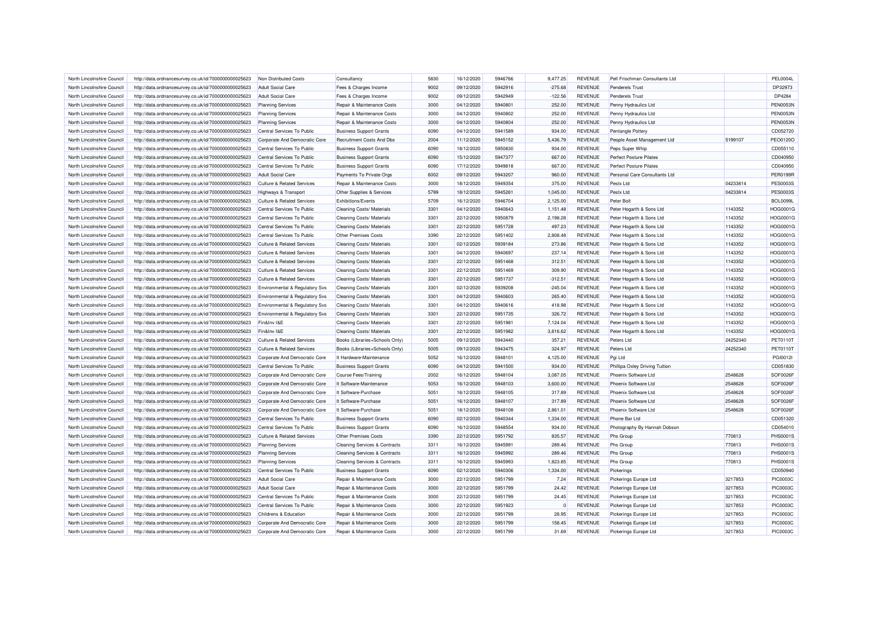| North Lincolnshire Council | http://data.ordnancesurvey.co.uk/id/7000000000025623 | Non Distributed Costs                 | Consultancy                              | 5830 | 16/12/2020 | 5946766 | 9.477.25   | <b>REVENUE</b> | Pell Frischman Consultants Ltd |          | <b>PEL0004L</b> |
|----------------------------|------------------------------------------------------|---------------------------------------|------------------------------------------|------|------------|---------|------------|----------------|--------------------------------|----------|-----------------|
| North Lincolnshire Council | http://data.ordnancesurvey.co.uk/id/7000000000025623 | <b>Adult Social Care</b>              | Fees & Charges Income                    | 9002 | 09/12/2020 | 5942916 | $-275.68$  | <b>REVENUE</b> | <b>Penderels Trust</b>         |          | DP32973         |
| North Lincolnshire Council | http://data.ordnancesurvey.co.uk/id/7000000000025623 | <b>Adult Social Care</b>              | Fees & Charges Income                    | 9002 | 09/12/2020 | 5942949 | $-122.56$  | <b>REVENUE</b> | <b>Penderels Trust</b>         |          | DP4284          |
| North Lincolnshire Council | http://data.ordnancesurvey.co.uk/id/7000000000025623 | <b>Planning Services</b>              | Repair & Maintenance Costs               | 3000 | 04/12/2020 | 5940801 | 252.00     | <b>REVENUE</b> | Penny Hydraulics Ltd           |          | PEN0053N        |
| North Lincolnshire Council | http://data.ordnancesurvey.co.uk/id/7000000000025623 | <b>Planning Services</b>              | Repair & Maintenance Costs               | 3000 | 04/12/2020 | 5940802 | 252.00     | <b>REVENUE</b> | Penny Hydraulics Ltd           |          | <b>PEN0053N</b> |
| North Lincolnshire Council | http://data.ordnancesurvey.co.uk/id/7000000000025623 | <b>Planning Services</b>              | Repair & Maintenance Costs               | 3000 | 04/12/2020 | 5940804 | 252.00     | <b>REVENUE</b> | Penny Hydraulics Ltd           |          | <b>PEN0053N</b> |
| North Lincolnshire Council | http://data.ordnancesurvey.co.uk/id/7000000000025623 | Central Services To Public            | <b>Business Support Grants</b>           | 6090 | 04/12/2020 | 5941589 | 934.00     | <b>REVENUE</b> | <b>Pentangle Pottery</b>       |          | CD052720        |
| North Lincolnshire Council | http://data.ordnancesurvey.co.uk/id/7000000000025623 | Corporate And Democratic Core         | Recruitment Costs And Dbs                | 2004 | 11/12/2020 | 5945152 | 5,436.79   | <b>REVENUE</b> | People Asset Management Ltd    | 5199107  | <b>PEO0120C</b> |
| North Lincolnshire Council | http://data.ordnancesurvey.co.uk/id/7000000000025623 | Central Services To Public            | <b>Business Support Grants</b>           | 6090 | 18/12/2020 | 5950830 | 934.00     | <b>REVENUE</b> | Peps Super Whip                |          | CD055110        |
| North Lincolnshire Council | http://data.ordnancesurvey.co.uk/id/7000000000025623 | Central Services To Public            | <b>Business Support Grants</b>           | 6090 | 15/12/2020 | 5947377 | 667.00     | <b>REVENUE</b> | <b>Perfect Posture Pilates</b> |          | CD040950        |
| North Lincolnshire Council | http://data.ordnancesurvey.co.uk/id/7000000000025623 | Central Services To Public            | <b>Business Support Grants</b>           | 6090 | 17/12/2020 | 5949818 | 667.00     | <b>REVENUE</b> | Perfect Posture Pilates        |          | CD040950        |
| North Lincolnshire Council | http://data.ordnancesurvey.co.uk/id/7000000000025623 | <b>Adult Social Care</b>              | Payments To Private Orgs                 | 6002 | 09/12/2020 | 5943207 | 960.00     | <b>REVENUE</b> | Personal Care Consultants Ltd  |          | PER0199R        |
| North Lincolnshire Council | http://data.ordnancesurvey.co.uk/id/7000000000025623 | <b>Culture &amp; Related Services</b> | Repair & Maintenance Costs               | 3000 | 18/12/2020 | 5949354 | 375.00     | <b>REVENUE</b> | Pestx Ltd                      | 04233814 | <b>PES0003S</b> |
| North Lincolnshire Council | http://data.ordnancesurvey.co.uk/id/7000000000025623 | <b>Highways &amp; Transport</b>       | Other Supplies & Services                | 5799 | 18/12/2020 | 5945261 | 1,045.00   | <b>REVENUE</b> | Pestx Ltd                      | 04233814 | <b>PES0003S</b> |
| North Lincolnshire Council | http://data.ordnancesurvey.co.uk/id/7000000000025623 | <b>Culture &amp; Related Services</b> | Exhibitions/Events                       | 5709 | 16/12/2020 | 5946704 | 2,125.00   | <b>REVENUE</b> | Peter Bolt                     |          | <b>BOL0099L</b> |
| North Lincolnshire Council | http://data.ordnancesurvey.co.uk/id/7000000000025623 | Central Services To Public            | Cleaning Costs/ Materials                | 3301 | 04/12/2020 | 5940643 | 1,151.48   | <b>REVENUE</b> | Peter Hogarth & Sons Ltd       | 1143352  | HOG0001G        |
| North Lincolnshire Council |                                                      | Central Services To Public            | <b>Cleaning Costs/ Materials</b>         | 3301 | 22/12/2020 | 5950879 | 2,198.28   | <b>REVENUE</b> | Peter Hogarth & Sons Ltd       | 1143352  | HOG0001G        |
|                            | http://data.ordnancesurvey.co.uk/id/7000000000025623 |                                       |                                          | 3301 | 22/12/2020 | 5951728 | 497.23     | <b>REVENUE</b> |                                | 1143352  | HOG0001G        |
| North Lincolnshire Council | http://data.ordnancesurvey.co.uk/id/7000000000025623 | Central Services To Public            | Cleaning Costs/ Materials                |      |            |         |            |                | Peter Hogarth & Sons Ltd       |          |                 |
| North Lincolnshire Council | http://data.ordnancesurvey.co.uk/id/7000000000025623 | Central Services To Public            | <b>Other Premises Costs</b>              | 3390 | 22/12/2020 | 5951402 | 2,808.48   | <b>REVENUE</b> | Peter Hogarth & Sons Ltd       | 1143352  | HOG0001G        |
| North Lincolnshire Council | http://data.ordnancesurvey.co.uk/id/7000000000025623 | <b>Culture &amp; Related Services</b> | <b>Cleaning Costs/ Materials</b>         | 3301 | 02/12/2020 | 5939184 | 273.86     | <b>REVENUE</b> | Peter Hogarth & Sons Ltd       | 1143352  | HOG0001G        |
| North Lincolnshire Council | http://data.ordnancesurvey.co.uk/id/7000000000025623 | <b>Culture &amp; Related Services</b> | Cleaning Costs/ Materials                | 3301 | 04/12/2020 | 5940697 | 237.14     | <b>REVENUE</b> | Peter Hogarth & Sons Ltd       | 1143352  | HOG0001G        |
| North Lincolnshire Council | http://data.ordnancesurvey.co.uk/id/7000000000025623 | <b>Culture &amp; Related Services</b> | <b>Cleaning Costs/ Materials</b>         | 3301 | 22/12/2020 | 5951468 | 312.51     | <b>REVENUE</b> | Peter Hogarth & Sons Ltd       | 1143352  | <b>HOG0001G</b> |
| North Lincolnshire Council | http://data.ordnancesurvey.co.uk/id/7000000000025623 | <b>Culture &amp; Related Services</b> | Cleaning Costs/ Materials                | 3301 | 22/12/2020 | 5951469 | 309.90     | <b>REVENUE</b> | Peter Hogarth & Sons Ltd       | 1143352  | HOG0001G        |
| North Lincolnshire Council | http://data.ordnancesurvey.co.uk/id/7000000000025623 | <b>Culture &amp; Related Services</b> | Cleaning Costs/ Materials                | 3301 | 22/12/2020 | 5951737 | $-312.51$  | <b>REVENUE</b> | Peter Hogarth & Sons Ltd       | 1143352  | <b>HOG0001G</b> |
| North Lincolnshire Council | http://data.ordnancesurvey.co.uk/id/7000000000025623 | Environmental & Regulatory Svs        | Cleaning Costs/ Materials                | 3301 | 02/12/2020 | 5939208 | $-245.04$  | REVENUE        | Peter Hogarth & Sons Ltd       | 1143352  | HOG0001G        |
| North Lincolnshire Council | http://data.ordnancesurvey.co.uk/id/7000000000025623 | Environmental & Regulatory Svs        | Cleaning Costs/ Materials                | 3301 | 04/12/2020 | 5940603 | 265.40     | <b>REVENUE</b> | Peter Hogarth & Sons Ltd       | 1143352  | HOG0001G        |
| North Lincolnshire Council | http://data.ordnancesurvey.co.uk/id/7000000000025623 | Environmental & Regulatory Svs        | Cleaning Costs/ Materials                | 3301 | 04/12/2020 | 5940616 | 418.98     | <b>REVENUE</b> | Peter Hogarth & Sons Ltd       | 1143352  | <b>HOG0001G</b> |
| North Lincolnshire Council | http://data.ordnancesurvey.co.uk/id/7000000000025623 | Environmental & Regulatory Svs        | <b>Cleaning Costs/ Materials</b>         | 3301 | 22/12/2020 | 5951735 | 326.72     | <b>REVENUE</b> | Peter Hogarth & Sons Ltd       | 1143352  | <b>HOG0001G</b> |
| North Lincolnshire Council | http://data.ordnancesurvey.co.uk/id/7000000000025623 | Fin&Inv I&E                           | Cleaning Costs/ Materials                | 3301 | 22/12/2020 | 5951981 | 7,124.04   | <b>REVENUE</b> | Peter Hogarth & Sons Ltd       | 1143352  | HOG0001G        |
| North Lincolnshire Council | http://data.ordnancesurvey.co.uk/id/7000000000025623 | Fin&Inv I&E                           | Cleaning Costs/ Materials                | 3301 | 22/12/2020 | 5951982 | 3,816.62   | <b>REVENUE</b> | Peter Hogarth & Sons Ltd       | 1143352  | <b>HOG0001G</b> |
| North Lincolnshire Council | http://data.ordnancesurvey.co.uk/id/7000000000025623 | <b>Culture &amp; Related Services</b> | Books (Libraries+Schools Only)           | 5005 | 09/12/2020 | 5943440 | 357.21     | <b>REVENUE</b> | Peters Ltd                     | 24252340 | PET0110T        |
| North Lincolnshire Council | http://data.ordnancesurvey.co.uk/id/7000000000025623 | <b>Culture &amp; Related Services</b> | Books (Libraries+Schools Only)           | 5005 | 09/12/2020 | 5943475 | 324.97     | <b>REVENUE</b> | Peters Ltd                     | 24252340 | PET0110T        |
| North Lincolnshire Council | http://data.ordnancesurvey.co.uk/id/7000000000025623 | Corporate And Democratic Core         | It Hardware-Maintenance                  | 5052 | 16/12/2020 | 5948101 | 4,125.00   | <b>REVENUE</b> | Pgi Ltd                        |          | PGI0012I        |
| North Lincolnshire Council | http://data.ordnancesurvey.co.uk/id/7000000000025623 | Central Services To Public            | <b>Business Support Grants</b>           | 6090 | 04/12/2020 | 5941500 | 934.00     | <b>REVENUE</b> | Phillipa Oxley Driving Tuition |          | CD051830        |
| North Lincolnshire Council | http://data.ordnancesurvey.co.uk/id/7000000000025623 | Corporate And Democratic Core         | <b>Course Fees/Training</b>              | 2002 | 16/12/2020 | 5948104 | 3,087.05   | <b>REVENUE</b> | Phoenix Software Ltd           | 2548628  | SOF0026F        |
| North Lincolnshire Council | http://data.ordnancesurvey.co.uk/id/7000000000025623 | Corporate And Democratic Core         | It Software-Maintenance                  | 5053 | 16/12/2020 | 5948103 | 3,600.00   | <b>REVENUE</b> | Phoenix Software Ltd           | 2548628  | SOF0026F        |
| North Lincolnshire Council | http://data.ordnancesurvey.co.uk/id/7000000000025623 | Corporate And Democratic Core         | It Software-Purchase                     | 5051 | 16/12/2020 | 5948105 | 317.89     | <b>REVENUE</b> | Phoenix Software Ltd           | 2548628  | SOF0026F        |
| North Lincolnshire Council | http://data.ordnancesurvey.co.uk/id/7000000000025623 | Corporate And Democratic Core         | It Software-Purchase                     | 5051 | 16/12/2020 | 5948107 | 317.89     | <b>REVENUE</b> | Phoenix Software Ltd           | 2548628  | SOF0026F        |
| North Lincolnshire Council | http://data.ordnancesurvey.co.uk/id/7000000000025623 | Corporate And Democratic Core         | It Software-Purchase                     | 5051 | 18/12/2020 | 5948108 | 2,861.01   | <b>REVENUE</b> | Phoenix Software Ltd           | 2548628  | SOF0026F        |
| North Lincolnshire Council | http://data.ordnancesurvey.co.uk/id/7000000000025623 | Central Services To Public            | <b>Business Support Grants</b>           | 6090 | 02/12/2020 | 5940344 | 1.334.00   | <b>REVENUE</b> | Phone Bar Ltd                  |          | CD051320        |
| North Lincolnshire Council | http://data.ordnancesurvey.co.uk/id/7000000000025623 | Central Services To Public            | <b>Business Support Grants</b>           | 6090 | 16/12/2020 | 5948554 | 934.00     | <b>REVENUE</b> | Photography By Hannah Dobson   |          | CD054010        |
| North Lincolnshire Council | http://data.ordnancesurvey.co.uk/id/7000000000025623 | <b>Culture &amp; Related Services</b> | Other Premises Costs                     | 3390 | 22/12/2020 | 5951792 | 835.57     | <b>REVENUE</b> | Phs Group                      | 770813   | PHS0001S        |
| North Lincolnshire Council | http://data.ordnancesurvey.co.uk/id/7000000000025623 | <b>Planning Services</b>              | <b>Cleaning Services &amp; Contracts</b> | 3311 | 16/12/2020 | 5945991 | 289.46     | <b>REVENUE</b> | Phs Group                      | 770813   | PHS0001S        |
| North Lincolnshire Council | http://data.ordnancesurvey.co.uk/id/7000000000025623 | <b>Planning Services</b>              | <b>Cleaning Services &amp; Contracts</b> | 3311 | 16/12/2020 | 5945992 | 289.46     | <b>REVENUE</b> | Phs Group                      | 770813   | PHS0001S        |
| North Lincolnshire Council | http://data.ordnancesurvey.co.uk/id/7000000000025623 | <b>Planning Services</b>              | Cleaning Services & Contracts            | 3311 | 16/12/2020 | 5945993 | 1,823.85   | <b>REVENUE</b> | Phs Group                      | 770813   | PHS0001S        |
| North Lincolnshire Council | http://data.ordnancesurvey.co.uk/id/7000000000025623 | Central Services To Public            | <b>Business Support Grants</b>           | 6090 | 02/12/2020 | 5940306 | 1,334.00   | <b>REVENUE</b> | Pickerings                     |          | CD050940        |
| North Lincolnshire Council | http://data.ordnancesurvey.co.uk/id/7000000000025623 | <b>Adult Social Care</b>              | Repair & Maintenance Costs               | 3000 | 22/12/2020 | 5951799 | 7.24       | <b>REVENUE</b> | Pickerings Europe Ltd          | 3217853  | <b>PIC0003C</b> |
| North Lincolnshire Council | http://data.ordnancesurvey.co.uk/id/7000000000025623 | <b>Adult Social Care</b>              | Repair & Maintenance Costs               | 3000 | 22/12/2020 | 5951799 | 24.42      | <b>REVENUE</b> | <b>Pickerings Europe Ltd</b>   | 3217853  | <b>PIC0003C</b> |
| North Lincolnshire Council | http://data.ordnancesurvey.co.uk/id/7000000000025623 | Central Services To Public            | Repair & Maintenance Costs               | 3000 | 22/12/2020 | 5951799 | 24.45      | <b>REVENUE</b> | Pickerings Europe Ltd          | 3217853  | <b>PIC0003C</b> |
| North Lincolnshire Council | http://data.ordnancesurvey.co.uk/id/7000000000025623 | Central Services To Public            | Repair & Maintenance Costs               | 3000 | 22/12/2020 | 5951923 | $^{\circ}$ | <b>REVENUE</b> | Pickerings Europe Ltd          | 3217853  | <b>PIC0003C</b> |
| North Lincolnshire Council | http://data.ordnancesurvey.co.uk/id/7000000000025623 | Childrens & Education                 | Repair & Maintenance Costs               | 3000 | 22/12/2020 | 5951799 | 28.95      | <b>REVENUE</b> | Pickerings Europe Ltd          | 3217853  | <b>PIC0003C</b> |
| North Lincolnshire Council | http://data.ordnancesurvey.co.uk/id/7000000000025623 | Corporate And Democratic Core         | Repair & Maintenance Costs               | 3000 | 22/12/2020 | 5951799 | 158.45     | <b>REVENUE</b> | Pickerings Europe Ltd          | 3217853  | <b>PIC0003C</b> |
| North Lincolnshire Council | http://data.ordnancesurvey.co.uk/id/7000000000025623 | Corporate And Democratic Core         | Repair & Maintenance Costs               | 3000 | 22/12/2020 | 5951799 | 31.69      | <b>REVENUE</b> | Pickerings Europe Ltd          | 3217853  | <b>PIC0003C</b> |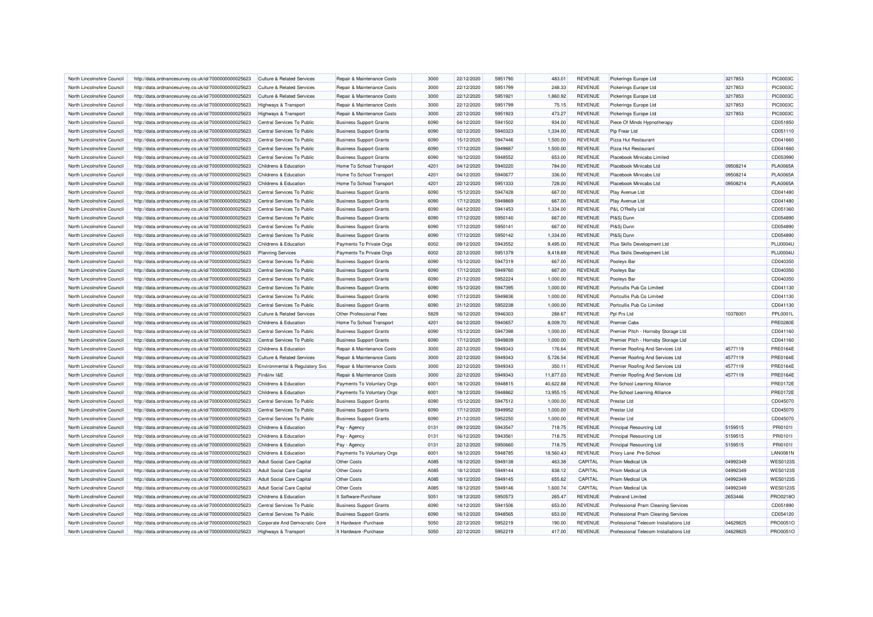| North Lincolnshire Council | http://data.ordnancesurvey.co.uk/id/7000000000025623 | Culture & Related Services                             | Repair & Maintenance Costs     | 3000 | 22/12/2020               | 5951790 | 483.01    | <b>REVENUE</b> | Pickerings Europe Ltd                  | 3217853  | <b>PIC0003C</b> |
|----------------------------|------------------------------------------------------|--------------------------------------------------------|--------------------------------|------|--------------------------|---------|-----------|----------------|----------------------------------------|----------|-----------------|
| North Lincolnshire Council | http://data.ordnancesurvey.co.uk/id/7000000000025623 | <b>Culture &amp; Related Services</b>                  | Repair & Maintenance Costs     | 3000 | 22/12/2020               | 5951799 | 248.33    | <b>REVENUE</b> | Pickerings Europe Ltd                  | 3217853  | <b>PIC0003C</b> |
| North Lincolnshire Council | http://data.ordnancesurvey.co.uk/id/7000000000025623 | <b>Culture &amp; Related Services</b>                  | Repair & Maintenance Costs     | 3000 | 22/12/2020               | 5951921 | 1,860.92  | <b>REVENUE</b> | Pickerings Europe Ltd                  | 3217853  | <b>PIC0003C</b> |
| North Lincolnshire Council | http://data.ordnancesurvey.co.uk/id/7000000000025623 | Highways & Transport                                   | Repair & Maintenance Costs     | 3000 | 22/12/2020               | 5951799 | 75.15     | <b>REVENUE</b> | Pickerings Europe Ltd                  | 3217853  | <b>PIC0003C</b> |
| North Lincolnshire Council | http://data.ordnancesurvey.co.uk/id/7000000000025623 | <b>Highways &amp; Transport</b>                        | Repair & Maintenance Costs     | 3000 | 22/12/2020               | 5951923 | 473.27    | <b>REVENUE</b> | Pickerings Europe Ltd                  | 3217853  | <b>PIC0003C</b> |
| North Lincolnshire Council | http://data.ordnancesurvey.co.uk/id/7000000000025623 | Central Services To Public                             | <b>Business Support Grants</b> | 6090 | 04/12/2020               | 5941502 | 934.00    | <b>REVENUE</b> | Piece Of Minds Hypnotherapy            |          | CD051850        |
| North Lincolnshire Council | http://data.ordnancesurvey.co.uk/id/7000000000025623 | Central Services To Public                             | <b>Business Support Grants</b> | 6090 | 02/12/2020               | 5940323 | 1,334.00  | <b>REVENUE</b> | Pip Frear Ltd                          |          | CD051110        |
| North Lincolnshire Council | http://data.ordnancesurvey.co.uk/id/7000000000025623 | Central Services To Public                             | <b>Business Support Grants</b> | 6090 | 15/12/2020               | 5947446 | 1,500.00  | <b>REVENUE</b> | Pizza Hut Restaurant                   |          | CD041660        |
| North Lincolnshire Council | http://data.ordnancesurvey.co.uk/id/7000000000025623 | Central Services To Public                             | <b>Business Support Grants</b> | 6090 | 17/12/2020               | 5949887 | 1,500.00  | <b>REVENUE</b> | Pizza Hut Restaurant                   |          | CD041660        |
| North Lincolnshire Council | http://data.ordnancesurvey.co.uk/id/7000000000025623 | Central Services To Public                             | <b>Business Support Grants</b> | 6090 | 16/12/2020               | 5948552 | 653.00    | <b>REVENUE</b> | Placebook Minicabs Limited             |          | CD053990        |
| North Lincolnshire Council | http://data.ordnancesurvey.co.uk/id/7000000000025623 | Childrens & Education                                  | Home To School Transport       | 4201 | 04/12/2020               | 5940220 | 784.00    | <b>REVENUE</b> | Placebook Minicabs Ltd                 | 09508214 | <b>PLA0065A</b> |
| North Lincolnshire Council | http://data.ordnancesurvey.co.uk/id/7000000000025623 | Childrens & Education                                  | Home To School Transport       | 4201 | 04/12/2020               | 5940677 | 336.00    | <b>REVENUE</b> | Placebook Minicabs Ltd                 | 09508214 | <b>PLA0065A</b> |
| North Lincolnshire Council | http://data.ordnancesurvey.co.uk/id/7000000000025623 | Childrens & Education                                  | Home To School Transport       | 4201 | 22/12/2020               | 5951333 | 728.00    | <b>REVENUE</b> | Placebook Minicabs Ltd                 | 09508214 | <b>PLA0065A</b> |
| North Lincolnshire Council | http://data.ordnancesurvey.co.uk/id/7000000000025623 | Central Services To Public                             | <b>Business Support Grants</b> | 6090 | 15/12/2020               | 5947428 | 667.00    | <b>REVENUE</b> | Play Avenue Ltd                        |          | CD041480        |
| North Lincolnshire Council | http://data.ordnancesurvey.co.uk/id/7000000000025623 | Central Services To Public                             | <b>Business Support Grants</b> | 6090 | 17/12/2020               | 5949869 | 667.00    | <b>REVENUE</b> | Play Avenue Ltd                        |          | CD041480        |
| North Lincolnshire Council | http://data.ordnancesurvey.co.uk/id/7000000000025623 | Central Services To Public                             | <b>Business Support Grants</b> | 6090 | 04/12/2020               | 5941453 | 1,334.00  | <b>REVENUE</b> | P&L O'Reilly Ltd                       |          | CD051360        |
| North Lincolnshire Council | http://data.ordnancesurvey.co.uk/id/7000000000025623 | Central Services To Public                             | <b>Business Support Grants</b> | 6090 | 17/12/2020               | 5950140 | 667.00    | <b>REVENUE</b> | Pl&Sj Dunn                             |          | CD054890        |
| North Lincolnshire Council | http://data.ordnancesurvey.co.uk/id/7000000000025623 | Central Services To Public                             | <b>Business Support Grants</b> | 6090 | 17/12/2020               | 5950141 | 667.00    | <b>REVENUE</b> | PI&Sj Dunn                             |          | CD054890        |
| North Lincolnshire Council | http://data.ordnancesurvey.co.uk/id/7000000000025623 | Central Services To Public                             | <b>Business Support Grants</b> | 6090 | 17/12/2020               | 5950142 | 1,334.00  | <b>REVENUE</b> | PI&Sj Dunn                             |          | CD054890        |
| North Lincolnshire Council | http://data.ordnancesurvey.co.uk/id/7000000000025623 | Childrens & Education                                  | Payments To Private Orgs       | 6002 | 09/12/2020               | 5943552 | 9,495.00  | <b>REVENUE</b> | Plus Skills Development Ltd            |          | <b>PLU0004U</b> |
| North Lincolnshire Council |                                                      |                                                        |                                | 6002 |                          | 5951379 |           | <b>REVENUE</b> | Plus Skills Development Ltd            |          | <b>PLU0004U</b> |
| North Lincolnshire Council | http://data.ordnancesurvey.co.uk/id/7000000000025623 | <b>Planning Services</b><br>Central Services To Public | Payments To Private Orgs       | 6090 | 22/12/2020<br>15/12/2020 | 5947319 | 9,418.69  | <b>REVENUE</b> |                                        |          | CD040350        |
| North Lincolnshire Council | http://data.ordnancesurvey.co.uk/id/7000000000025623 |                                                        | <b>Business Support Grants</b> | 6090 |                          | 5949760 | 667.00    |                | Pooleys Bar                            |          |                 |
|                            | http://data.ordnancesurvey.co.uk/id/7000000000025623 | Central Services To Public                             | <b>Business Support Grants</b> |      | 17/12/2020               |         | 667.00    | <b>REVENUE</b> | Pooleys Bar                            |          | CD040350        |
| North Lincolnshire Council | http://data.ordnancesurvey.co.uk/id/7000000000025623 | Central Services To Public                             | <b>Business Support Grants</b> | 6090 | 21/12/2020               | 5952224 | 1,000.00  | <b>REVENUE</b> | Pooleys Bar                            |          | CD040350        |
| North Lincolnshire Council | http://data.ordnancesurvey.co.uk/id/7000000000025623 | Central Services To Public                             | <b>Business Support Grants</b> | 6090 | 15/12/2020               | 5947395 | 1.000.00  | <b>REVENUE</b> | Portcullis Pub Co Limited              |          | CD041130        |
| North Lincolnshire Council | http://data.ordnancesurvey.co.uk/id/7000000000025623 | Central Services To Public                             | <b>Business Support Grants</b> | 6090 | 17/12/2020               | 5949836 | 1,000.00  | <b>REVENUE</b> | Portcullis Pub Co Limited              |          | CD041130        |
| North Lincolnshire Council | http://data.ordnancesurvey.co.uk/id/7000000000025623 | Central Services To Public                             | <b>Business Support Grants</b> | 6090 | 21/12/2020               | 5952238 | 1,000.00  | <b>REVENUE</b> | Portcullis Pub Co Limited              |          | CD041130        |
| North Lincolnshire Council | http://data.ordnancesurvey.co.uk/id/7000000000025623 | <b>Culture &amp; Related Services</b>                  | Other Professional Fees        | 5829 | 16/12/2020               | 5946303 | 288.67    | <b>REVENUE</b> | Ppl Prs Ltd                            | 10376001 | <b>PPL0001L</b> |
| North Lincolnshire Council | http://data.ordnancesurvey.co.uk/id/7000000000025623 | Childrens & Education                                  | Home To School Transport       | 4201 | 04/12/2020               | 5940657 | 8,009.70  | <b>REVENUE</b> | <b>Premier Cabs</b>                    |          | <b>PRE0280E</b> |
| North Lincolnshire Council | http://data.ordnancesurvey.co.uk/id/7000000000025623 | Central Services To Public                             | <b>Business Support Grants</b> | 6090 | 15/12/2020               | 5947398 | 1,000.00  | <b>REVENUE</b> | Premier Pitch - Hornsby Storage Ltd    |          | CD041160        |
| North Lincolnshire Council | http://data.ordnancesurvey.co.uk/id/7000000000025623 | Central Services To Public                             | <b>Business Support Grants</b> | 6090 | 17/12/2020               | 5949839 | 1,000.00  | <b>REVENUE</b> | Premier Pitch - Hornsby Storage Ltd    |          | CD041160        |
| North Lincolnshire Council | http://data.ordnancesurvey.co.uk/id/7000000000025623 | Childrens & Education                                  | Repair & Maintenance Costs     | 3000 | 22/12/2020               | 5949343 | 176.64    | <b>REVENUE</b> | Premier Roofing And Services Ltd       | 4577119  | <b>PRE0164E</b> |
| North Lincolnshire Council | http://data.ordnancesurvey.co.uk/id/7000000000025623 | <b>Culture &amp; Related Services</b>                  | Repair & Maintenance Costs     | 3000 | 22/12/2020               | 5949343 | 5.726.54  | <b>REVENUE</b> | Premier Roofing And Services Ltd       | 4577119  | <b>PRE0164E</b> |
| North Lincolnshire Council | http://data.ordnancesurvey.co.uk/id/7000000000025623 | Environmental & Regulatory Svs                         | Repair & Maintenance Costs     | 3000 | 22/12/2020               | 5949343 | 350.11    | <b>REVENUE</b> | Premier Roofing And Services Ltd       | 4577119  | <b>PRE0164E</b> |
| North Lincolnshire Council | http://data.ordnancesurvey.co.uk/id/7000000000025623 | Fin&Inv I&E                                            | Repair & Maintenance Costs     | 3000 | 22/12/2020               | 5949343 | 11,877.03 | <b>REVENUE</b> | Premier Roofing And Services Ltd       | 4577119  | <b>PRE0164E</b> |
| North Lincolnshire Council | http://data.ordnancesurvey.co.uk/id/7000000000025623 | Childrens & Education                                  | Payments To Voluntary Orgs     | 6001 | 18/12/2020               | 5948815 | 40,622.88 | <b>REVENUE</b> | Pre-School Learning Alliance           |          | <b>PRE0172E</b> |
| North Lincolnshire Council | http://data.ordnancesurvey.co.uk/id/7000000000025623 | Childrens & Education                                  | Payments To Voluntary Orgs     | 6001 | 18/12/2020               | 5948862 | 13,955.15 | <b>REVENUE</b> | Pre-School Learning Alliance           |          | <b>PRE0172E</b> |
| North Lincolnshire Council | http://data.ordnancesurvey.co.uk/id/7000000000025623 | Central Services To Public                             | <b>Business Support Grants</b> | 6090 | 15/12/2020               | 5947512 | 1,000.00  | <b>REVENUE</b> | <b>Prestar Ltd</b>                     |          | CD045070        |
| North Lincolnshire Council | http://data.ordnancesurvey.co.uk/id/7000000000025623 | Central Services To Public                             | <b>Business Support Grants</b> | 6090 | 17/12/2020               | 5949952 | 1,000.00  | <b>REVENUE</b> | Prestar Ltd                            |          | CD045070        |
| North Lincolnshire Council | http://data.ordnancesurvey.co.uk/id/7000000000025623 | Central Services To Public                             | <b>Business Support Grants</b> | 6090 | 21/12/2020               | 5952250 | 1,000.00  | REVENUE        | <b>Prestar Ltd</b>                     |          | CD045070        |
| North Lincolnshire Council | http://data.ordnancesurvey.co.uk/id/7000000000025623 | Childrens & Education                                  | Pay - Agency                   | 0131 | 09/12/2020               | 5943547 | 718.75    | <b>REVENUE</b> | <b>Principal Resourcing Ltd</b>        | 5159515  | PRI01011        |
| North Lincolnshire Council | http://data.ordnancesurvey.co.uk/id/7000000000025623 | Childrens & Education                                  | Pay - Agency                   | 0131 | 16/12/2020               | 5943561 | 718.75    | <b>REVENUE</b> | <b>Principal Resourcing Ltd</b>        | 5159515  | PRI01011        |
| North Lincolnshire Council | http://data.ordnancesurvey.co.uk/id/7000000000025623 | Childrens & Education                                  | Pay - Agency                   | 0131 | 22/12/2020               | 5950660 | 718.75    | <b>REVENUE</b> | <b>Principal Resourcing Ltd</b>        | 5159515  | PRI01011        |
| North Lincolnshire Council | http://data.ordnancesurvey.co.uk/id/7000000000025623 | Childrens & Education                                  | Payments To Voluntary Orgs     | 6001 | 18/12/2020               | 5948785 | 18.560.43 | <b>REVENUE</b> | Priory Lane Pre-School                 |          | <b>LAN0081N</b> |
| North Lincolnshire Council | http://data.ordnancesurvey.co.uk/id/7000000000025623 | <b>Adult Social Care Capital</b>                       | Other Costs                    | A085 | 18/12/2020               | 5949138 | 463.38    | CAPITAL        | Prism Medical Uk                       | 04992349 | <b>WES0123S</b> |
| North Lincolnshire Council | http://data.ordnancesurvey.co.uk/id/7000000000025623 | <b>Adult Social Care Capital</b>                       | Other Costs                    | A085 | 18/12/2020               | 5949144 | 838.12    | CAPITAL        | Prism Medical Uk                       | 04992349 | <b>WES0123S</b> |
| North Lincolnshire Council | http://data.ordnancesurvey.co.uk/id/7000000000025623 | <b>Adult Social Care Capital</b>                       | Other Costs                    | A085 | 18/12/2020               | 5949145 | 655.62    | CAPITAL        | <b>Prism Medical Uk</b>                | 04992349 | <b>WES0123S</b> |
| North Lincolnshire Council | http://data.ordnancesurvey.co.uk/id/7000000000025623 | Adult Social Care Capital                              | Other Costs                    | A085 | 18/12/2020               | 5949146 | 1,600.74  | CAPITAL        | Prism Medical U                        | 04992349 | <b>WES0123S</b> |
| North Lincolnshire Council | http://data.ordnancesurvey.co.uk/id/7000000000025623 | Childrens & Education                                  | It Software-Purchase           | 5051 | 18/12/2020               | 5950573 | 265.47    | <b>REVENUE</b> | <b>Probrand Limited</b>                | 2653446  | PRO0218C        |
| North Lincolnshire Council | http://data.ordnancesurvey.co.uk/id/7000000000025623 | Central Services To Public                             | <b>Business Support Grants</b> | 6090 | 14/12/2020               | 5941506 | 653.00    | <b>REVENUE</b> | Professional Pram Cleaning Services    |          | CD051890        |
| North Lincolnshire Council | http://data.ordnancesurvey.co.uk/id/7000000000025623 | Central Services To Public                             | <b>Business Support Grants</b> | 6090 | 16/12/2020               | 5948565 | 653.00    | <b>REVENUE</b> | Professional Pram Cleaning Services    |          | CD054120        |
| North Lincolnshire Council | http://data.ordnancesurvey.co.uk/id/7000000000025623 | Corporate And Democratic Core                          | It Hardware - Purchase         | 5050 | 22/12/2020               | 5952219 | 190.00    | <b>REVENUE</b> | Professional Telecom Installations Ltd | 04629825 | PRO0051C        |
| North Lincolnshire Council | http://data.ordnancesurvey.co.uk/id/7000000000025623 | <b>Highways &amp; Transport</b>                        | It Hardware - Purchase         | 5050 | 22/12/2020               | 5952219 | 417.00    | <b>REVENUE</b> | Professional Telecom Installations Ltd | 04629825 | PRO0051O        |
|                            |                                                      |                                                        |                                |      |                          |         |           |                |                                        |          |                 |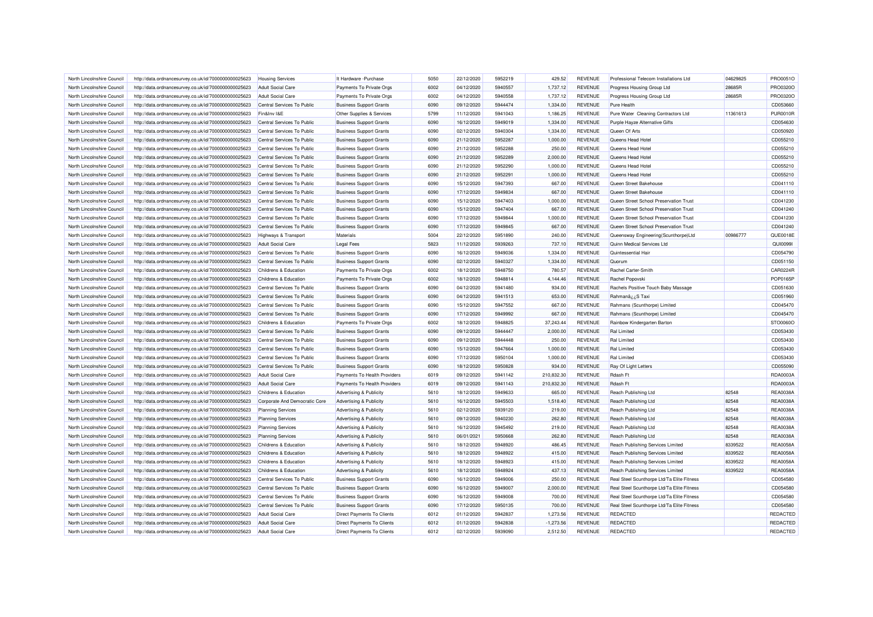| North Lincolnshire Council                               | http://data.ordnancesurvey.co.uk/id/7000000000025623 | <b>Housing Services</b>         | It Hardware - Purchase             | 5050 | 22/12/2020 | 5952219 | 429.52      | <b>REVENUE</b> | Professional Telecom Installations Ltd     | 04629825 | PRO0051O        |
|----------------------------------------------------------|------------------------------------------------------|---------------------------------|------------------------------------|------|------------|---------|-------------|----------------|--------------------------------------------|----------|-----------------|
| North Lincolnshire Council                               | http://data.ordnancesurvey.co.uk/id/7000000000025623 | <b>Adult Social Care</b>        | Payments To Private Orgs           | 6002 | 04/12/2020 | 5940557 | 1,737.12    | <b>REVENUE</b> | Progress Housing Group Ltd                 | 28685R   | PRO0320C        |
| North Lincolnshire Council                               | http://data.ordnancesurvey.co.uk/id/7000000000025623 | <b>Adult Social Care</b>        | Payments To Private Orgs           | 6002 | 04/12/2020 | 5940558 | 1,737.12    | <b>REVENUE</b> | Progress Housing Group Ltd                 | 28685R   | PRO0320C        |
| North Lincolnshire Council                               | http://data.ordnancesurvey.co.uk/id/7000000000025623 | Central Services To Public      | <b>Business Support Grants</b>     | 6090 | 09/12/2020 | 5944474 | 1,334.00    | <b>REVENUE</b> | Pure Health                                |          | CD053660        |
| North Lincolnshire Council                               | http://data.ordnancesurvey.co.uk/id/7000000000025623 | Fin&Inv I&E                     | Other Supplies & Services          | 5799 | 11/12/2020 | 5941043 | 1,186.25    | <b>REVENUE</b> | Pure Water Cleaning Contractors Ltd        | 11361613 | <b>PUR0010R</b> |
| North Lincolnshire Council                               | http://data.ordnancesurvey.co.uk/id/7000000000025623 | Central Services To Public      | <b>Business Support Grants</b>     | 6090 | 16/12/2020 | 5949019 | 1,334.00    | <b>REVENUE</b> | Purple Hayze Alternative Gifts             |          | CD054630        |
| North Lincolnshire Council                               | http://data.ordnancesurvey.co.uk/id/7000000000025623 | Central Services To Public      | <b>Business Support Grants</b>     | 6090 | 02/12/2020 | 5940304 | 1,334.00    | <b>REVENUE</b> | Queen Of Arts                              |          | CD050920        |
| North Lincolnshire Council                               | http://data.ordnancesurvey.co.uk/id/7000000000025623 | Central Services To Public      | <b>Business Support Grants</b>     | 6090 | 21/12/2020 | 5952287 | 1,000.00    | <b>REVENUE</b> | Queens Head Hotel                          |          | CD055210        |
| North Lincolnshire Council                               | http://data.ordnancesurvey.co.uk/id/7000000000025623 | Central Services To Public      | <b>Business Support Grants</b>     | 6090 | 21/12/2020 | 5952288 | 250.00      | <b>REVENUE</b> | Queens Head Hotel                          |          | CD055210        |
| North Lincolnshire Council                               | http://data.ordnancesurvey.co.uk/id/7000000000025623 | Central Services To Public      | <b>Business Support Grants</b>     | 6090 | 21/12/2020 | 5952289 | 2,000.00    | <b>REVENUE</b> | Queens Head Hotel                          |          | CD055210        |
| North Lincolnshire Council                               | http://data.ordnancesurvey.co.uk/id/7000000000025623 | Central Services To Public      | <b>Business Support Grants</b>     | 6090 | 21/12/2020 | 5952290 | 1,000.00    | <b>REVENUE</b> | Queens Head Hotel                          |          | CD055210        |
| North Lincolnshire Council                               | http://data.ordnancesurvey.co.uk/id/7000000000025623 | Central Services To Public      | <b>Business Support Grants</b>     | 6090 | 21/12/2020 | 5952291 | 1.000.00    | <b>REVENUE</b> | Queens Head Hotel                          |          | CD055210        |
| North Lincolnshire Council                               | http://data.ordnancesurvey.co.uk/id/7000000000025623 | Central Services To Public      | <b>Business Support Grants</b>     | 6090 | 15/12/2020 | 5947393 | 667.00      | <b>REVENUE</b> | Queen Street Bakehouse                     |          | CD041110        |
| North Lincolnshire Council                               | http://data.ordnancesurvey.co.uk/id/7000000000025623 | Central Services To Public      | <b>Business Support Grants</b>     | 6090 | 17/12/2020 | 5949834 | 667.00      | <b>REVENUE</b> | Queen Street Bakehouse                     |          | CD041110        |
| North Lincolnshire Council                               | http://data.ordnancesurvey.co.uk/id/7000000000025623 | Central Services To Public      | <b>Business Support Grants</b>     | 6090 | 15/12/2020 | 5947403 | 1,000.00    | <b>REVENUE</b> | Queen Street School Preservation Trust     |          | CD041230        |
| North Lincolnshire Council                               |                                                      | Central Services To Public      |                                    | 6090 |            | 5947404 | 667.00      | <b>REVENUE</b> | Queen Street School Preservation Trust     |          | CD041240        |
|                                                          | http://data.ordnancesurvey.co.uk/id/7000000000025623 |                                 | <b>Business Support Grants</b>     |      | 15/12/2020 |         |             |                |                                            |          |                 |
| North Lincolnshire Council                               | http://data.ordnancesurvey.co.uk/id/7000000000025623 | Central Services To Public      | <b>Business Support Grants</b>     | 6090 | 17/12/2020 | 5949844 | 1,000.00    | <b>REVENUE</b> | Queen Street School Preservation Trust     |          | CD041230        |
| North Lincolnshire Council                               | http://data.ordnancesurvey.co.uk/id/7000000000025623 | Central Services To Public      | <b>Business Support Grants</b>     | 6090 | 17/12/2020 | 5949845 | 667.00      | <b>REVENUE</b> | Queen Street School Preservation Trust     |          | CD041240        |
| North Lincolnshire Council                               | http://data.ordnancesurvey.co.uk/id/7000000000025623 | <b>Highways &amp; Transport</b> | Materials                          | 5004 | 22/12/2020 | 5951890 | 240.00      | <b>REVENUE</b> | Queensway Engineering(Scunthorpe)Ltd       | 00986777 | QUE0018E        |
| North Lincolnshire Council                               | http://data.ordnancesurvey.co.uk/id/7000000000025623 | <b>Adult Social Care</b>        | <b>Legal Fees</b>                  | 5823 | 11/12/2020 | 5939263 | 737.10      | <b>REVENUE</b> | Quinn Medical Services Ltd                 |          | <b>QUI0099I</b> |
| North Lincolnshire Council                               | http://data.ordnancesurvey.co.uk/id/7000000000025623 | Central Services To Public      | <b>Business Support Grants</b>     | 6090 | 16/12/2020 | 5949036 | 1,334.00    | <b>REVENUE</b> | Quintessential Hai                         |          | CD054790        |
| North Lincolnshire Council                               | http://data.ordnancesurvey.co.uk/id/7000000000025623 | Central Services To Public      | <b>Business Support Grants</b>     | 6090 | 02/12/2020 | 5940327 | 1,334.00    | <b>REVENUE</b> | Quorum                                     |          | CD051150        |
| North Lincolnshire Council                               | http://data.ordnancesurvey.co.uk/id/7000000000025623 | Childrens & Education           | Payments To Private Orgs           | 6002 | 18/12/2020 | 5948750 | 780.57      | <b>REVENUE</b> | Rachel Carter-Smith                        |          | CAR0224R        |
| North Lincolnshire Council                               | http://data.ordnancesurvey.co.uk/id/7000000000025623 | Childrens & Education           | Payments To Private Orgs           | 6002 | 18/12/2020 | 5948814 | 4,144.46    | <b>REVENUE</b> | Rachel Popovski                            |          | POP0165F        |
| North Lincolnshire Council                               | http://data.ordnancesurvey.co.uk/id/7000000000025623 | Central Services To Public      | <b>Business Support Grants</b>     | 6090 | 04/12/2020 | 5941480 | 934.00      | <b>REVENUE</b> | Rachels Positive Touch Baby Massage        |          | CD051630        |
| North Lincolnshire Council                               | http://data.ordnancesurvey.co.uk/id/7000000000025623 | Central Services To Public      | <b>Business Support Grants</b>     | 6090 | 04/12/2020 | 5941513 | 653.00      | <b>REVENUE</b> | Rahmanâ ¿¿S Taxi                           |          | CD051960        |
| North Lincolnshire Council                               | http://data.ordnancesurvey.co.uk/id/7000000000025623 | Central Services To Public      | <b>Business Support Grants</b>     | 6090 | 15/12/2020 | 5947552 | 667.00      | <b>REVENUE</b> | Rahmans (Scunthorpe) Limited               |          | CD045470        |
| North Lincolnshire Council                               | http://data.ordnancesurvey.co.uk/id/7000000000025623 | Central Services To Public      | <b>Business Support Grants</b>     | 6090 | 17/12/2020 | 5949992 | 667.00      | <b>REVENUE</b> | Rahmans (Scunthorpe) Limited               |          | CD045470        |
| North Lincolnshire Council                               | http://data.ordnancesurvey.co.uk/id/7000000000025623 | Childrens & Education           | Payments To Private Orgs           | 6002 | 18/12/2020 | 5948825 | 37,243.44   | <b>REVENUE</b> | Rainbow Kindergarten Barton                |          | STO0060O        |
| North Lincolnshire Council                               | http://data.ordnancesurvey.co.uk/id/7000000000025623 | Central Services To Public      | <b>Business Support Grants</b>     | 6090 | 09/12/2020 | 5944447 | 2,000.00    | <b>REVENUE</b> | <b>Ral Limited</b>                         |          | CD053430        |
| North Lincolnshire Council                               | http://data.ordnancesurvey.co.uk/id/7000000000025623 | Central Services To Public      | <b>Business Support Grants</b>     | 6090 | 09/12/2020 | 5944448 | 250.00      | <b>REVENUE</b> | Ral Limited                                |          | CD053430        |
| North Lincolnshire Council                               | http://data.ordnancesurvey.co.uk/id/7000000000025623 | Central Services To Public      | <b>Business Support Grants</b>     | 6090 | 15/12/2020 | 5947664 | 1,000.00    | <b>REVENUE</b> | <b>Ral Limited</b>                         |          | CD053430        |
| North Lincolnshire Council                               | http://data.ordnancesurvey.co.uk/id/7000000000025623 | Central Services To Public      | <b>Business Support Grants</b>     | 6090 | 17/12/2020 | 5950104 | 1.000.00    | <b>REVENUE</b> | <b>Ral Limited</b>                         |          | CD053430        |
| North Lincolnshire Council                               | http://data.ordnancesurvey.co.uk/id/7000000000025623 | Central Services To Public      | <b>Business Support Grants</b>     | 6090 | 18/12/2020 | 5950828 | 934.00      | <b>REVENUE</b> | Ray Of Light Letters                       |          | CD055090        |
| North Lincolnshire Council                               | http://data.ordnancesurvey.co.uk/id/7000000000025623 | <b>Adult Social Care</b>        | Payments To Health Providers       | 6019 | 09/12/2020 | 5941142 | 210,832.30  | <b>REVENUE</b> | Rdash Ft                                   |          | RDA0003A        |
| North Lincolnshire Council                               | http://data.ordnancesurvey.co.uk/id/7000000000025623 | <b>Adult Social Care</b>        | Payments To Health Providers       | 6019 | 09/12/2020 | 5941143 | 210,832.30  | <b>REVENUE</b> | Rdash Ft                                   |          | RDA0003A        |
| North Lincolnshire Council                               | http://data.ordnancesurvey.co.uk/id/7000000000025623 | Childrens & Education           | <b>Advertising &amp; Publicity</b> | 5610 | 18/12/2020 | 5949633 | 665.00      | <b>REVENUE</b> | Reach Publishing Ltd                       | 82548    | REA0038/        |
| North Lincolnshire Council                               | http://data.ordnancesurvey.co.uk/id/7000000000025623 | Corporate And Democratic Core   | Advertising & Publicity            | 5610 | 16/12/2020 | 5945503 | 1,518.40    | <b>REVENUE</b> | Reach Publishing Ltd                       | 82548    | REA0038A        |
| North Lincolnshire Council                               | http://data.ordnancesurvey.co.uk/id/7000000000025623 | <b>Planning Services</b>        | <b>Advertising &amp; Publicity</b> | 5610 | 02/12/2020 | 5939120 | 219.00      | <b>REVENUE</b> | Reach Publishing Ltd                       | 82548    | REA0038A        |
| North Lincolnshire Council                               | http://data.ordnancesurvey.co.uk/id/7000000000025623 | <b>Planning Services</b>        | <b>Advertising &amp; Publicity</b> | 5610 | 09/12/2020 | 5940230 | 262.80      | <b>REVENUE</b> | Reach Publishing Ltd                       | 82548    | REA0038/        |
| North Lincolnshire Council                               | http://data.ordnancesurvey.co.uk/id/7000000000025623 | <b>Planning Services</b>        | <b>Advertising &amp; Publicity</b> | 5610 | 16/12/2020 | 5945492 | 219.00      | <b>REVENUE</b> | Reach Publishing Ltd                       | 82548    | REA0038A        |
| North Lincolnshire Council                               | http://data.ordnancesurvey.co.uk/id/7000000000025623 | <b>Planning Services</b>        | Advertising & Publicity            | 5610 | 06/01/2021 | 5950668 | 262.80      | <b>REVENUE</b> | Reach Publishing Ltd                       | 82548    | REA0038/        |
| North Lincolnshire Council                               | http://data.ordnancesurvey.co.uk/id/7000000000025623 | Childrens & Education           | <b>Advertising &amp; Publicity</b> | 5610 | 18/12/2020 | 5948920 | 486.45      | <b>REVENUE</b> | Reach Publishing Services Limited          | 8339522  | <b>REA0058A</b> |
| North Lincolnshire Council                               | http://data.ordnancesurvey.co.uk/id/7000000000025623 | Childrens & Education           | Advertising & Publicity            | 5610 | 18/12/2020 | 5948922 | 415.00      | <b>REVENUE</b> | Reach Publishing Services Limited          | 8339522  | <b>REA0058A</b> |
| North Lincolnshire Council                               | http://data.ordnancesurvey.co.uk/id/7000000000025623 | Childrens & Education           | Advertising & Publicity            | 5610 | 18/12/2020 | 5948923 | 415.00      | <b>REVENUE</b> | Reach Publishing Services Limited          | 8339522  | REA0058A        |
|                                                          |                                                      | Childrens & Education           |                                    | 5610 | 18/12/2020 | 5948924 | 437.13      | <b>REVENUE</b> | Reach Publishing Services Limited          | 8339522  | <b>REA0058A</b> |
| North Lincolnshire Council<br>North Lincolnshire Council | http://data.ordnancesurvey.co.uk/id/7000000000025623 | Central Services To Public      | <b>Advertising &amp; Publicity</b> | 6090 | 16/12/2020 | 5949006 | 250.00      | <b>REVENUE</b> | Real Steel Scunthorpe Ltd/Ta Elite Fitness |          | CD054580        |
|                                                          | http://data.ordnancesurvey.co.uk/id/7000000000025623 |                                 | <b>Business Support Grants</b>     |      |            |         |             |                |                                            |          |                 |
| North Lincolnshire Council                               | http://data.ordnancesurvey.co.uk/id/7000000000025623 | Central Services To Public      | <b>Business Support Grants</b>     | 6090 | 16/12/2020 | 5949007 | 2,000.00    | <b>REVENUE</b> | Real Steel Scunthorpe Ltd/Ta Elite Fitness |          | CD054580        |
| North Lincolnshire Council                               | http://data.ordnancesurvey.co.uk/id/7000000000025623 | Central Services To Public      | <b>Business Support Grants</b>     | 6090 | 16/12/2020 | 5949008 | 700.00      | <b>REVENUE</b> | Real Steel Scunthorpe Ltd/Ta Elite Fitness |          | CD054580        |
| North Lincolnshire Council                               | http://data.ordnancesurvey.co.uk/id/7000000000025623 | Central Services To Public      | <b>Business Support Grants</b>     | 6090 | 17/12/2020 | 5950135 | 700.00      | <b>REVENUE</b> | Real Steel Scunthorpe Ltd/Ta Elite Fitness |          | CD054580        |
| North Lincolnshire Council                               | http://data.ordnancesurvey.co.uk/id/7000000000025623 | <b>Adult Social Care</b>        | Direct Payments To Clients         | 6012 | 01/12/2020 | 5942837 | 1,273.56    | <b>REVENUE</b> | REDACTED                                   |          | REDACTED        |
| North Lincolnshire Council                               | http://data.ordnancesurvey.co.uk/id/7000000000025623 | <b>Adult Social Care</b>        | Direct Payments To Clients         | 6012 | 01/12/2020 | 5942838 | $-1,273.56$ | <b>REVENUE</b> | REDACTED                                   |          | <b>REDACTEI</b> |
| North Lincolnshire Council                               | http://data.ordnancesurvey.co.uk/id/7000000000025623 | Adult Social Care               | Direct Payments To Clients         | 6012 | 02/12/2020 | 5939090 | 2,512.50    | <b>REVENUE</b> | <b>REDACTED</b>                            |          | REDACTED        |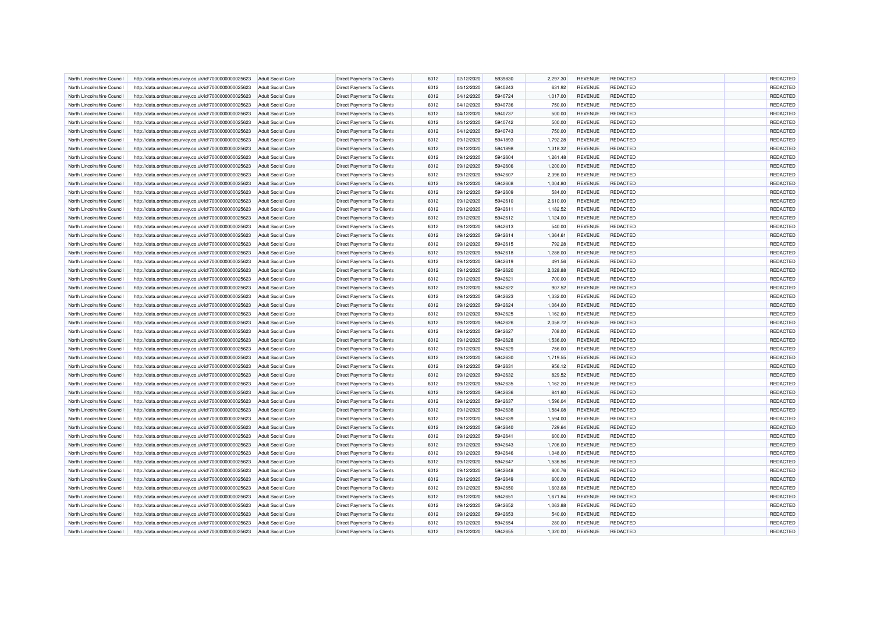| North Lincolnshire Council | http://data.ordnancesurvey.co.uk/id/7000000000025623 | <b>Adult Social Care</b> | <b>Direct Payments To Clients</b> | 6012 | 02/12/2020 | 5939830 | 2,297.30 | <b>REVENUE</b> | <b>REDACTED</b> | REDACTED |
|----------------------------|------------------------------------------------------|--------------------------|-----------------------------------|------|------------|---------|----------|----------------|-----------------|----------|
| North Lincolnshire Council | http://data.ordnancesurvey.co.uk/id/7000000000025623 | <b>Adult Social Care</b> | Direct Payments To Clients        | 6012 | 04/12/2020 | 5940243 | 631.92   | <b>REVENUE</b> | <b>REDACTED</b> | REDACTED |
| North Lincolnshire Council | http://data.ordnancesurvey.co.uk/id/7000000000025623 | Adult Social Care        | <b>Direct Payments To Clients</b> | 6012 | 04/12/2020 | 5940724 | 1,017.00 | <b>REVENUE</b> | <b>REDACTED</b> | REDACTED |
| North Lincolnshire Counci  | http://data.ordnancesurvey.co.uk/id/7000000000025623 | <b>Adult Social Care</b> | Direct Payments To Clients        | 6012 | 04/12/2020 | 5940736 | 750.00   | <b>REVENUE</b> | REDACTED        | REDACTED |
| North Lincolnshire Council | http://data.ordnancesurvey.co.uk/id/7000000000025623 | <b>Adult Social Care</b> | Direct Payments To Clients        | 6012 | 04/12/2020 | 5940737 | 500.00   | <b>REVENUE</b> | <b>REDACTED</b> | REDACTED |
| North Lincolnshire Council | http://data.ordnancesurvey.co.uk/id/7000000000025623 | <b>Adult Social Care</b> | Direct Payments To Clients        | 6012 | 04/12/2020 | 5940742 | 500.00   | <b>REVENUE</b> | <b>REDACTED</b> | REDACTED |
| North Lincolnshire Council |                                                      | <b>Adult Social Care</b> |                                   | 6012 | 04/12/2020 | 5940743 |          | <b>REVENUE</b> | <b>REDACTED</b> | REDACTED |
|                            | http://data.ordnancesurvey.co.uk/id/7000000000025623 |                          | Direct Payments To Clients        |      |            |         | 750.00   |                |                 |          |
| North Lincolnshire Council | http://data.ordnancesurvey.co.uk/id/7000000000025623 | Adult Social Care        | Direct Payments To Clients        | 6012 | 09/12/2020 | 5941893 | 1,792.28 | <b>REVENUE</b> | <b>REDACTED</b> | REDACTED |
| North Lincolnshire Council | http://data.ordnancesurvey.co.uk/id/7000000000025623 | <b>Adult Social Care</b> | Direct Payments To Clients        | 6012 | 09/12/2020 | 5941898 | 1,318.32 | <b>REVENUE</b> | REDACTED        | REDACTED |
| North Lincolnshire Council | http://data.ordnancesurvey.co.uk/id/7000000000025623 | <b>Adult Social Care</b> | <b>Direct Payments To Clients</b> | 6012 | 09/12/2020 | 5942604 | 1,261.48 | <b>REVENUE</b> | <b>REDACTED</b> | REDACTED |
| North Lincolnshire Council | http://data.ordnancesurvey.co.uk/id/7000000000025623 | Adult Social Care        | <b>Direct Payments To Clients</b> | 6012 | 09/12/2020 | 5942606 | 1,200.00 | <b>REVENUE</b> | <b>REDACTED</b> | REDACTED |
| North Lincolnshire Council | http://data.ordnancesurvey.co.uk/id/7000000000025623 | <b>Adult Social Care</b> | <b>Direct Payments To Clients</b> | 6012 | 09/12/2020 | 5942607 | 2,396.00 | <b>REVENUE</b> | <b>REDACTED</b> | REDACTED |
| North Lincolnshire Council | http://data.ordnancesurvey.co.uk/id/7000000000025623 | <b>Adult Social Care</b> | Direct Payments To Clients        | 6012 | 09/12/2020 | 5942608 | 1,004.80 | <b>REVENUE</b> | <b>REDACTED</b> | REDACTED |
| North Lincolnshire Council | http://data.ordnancesurvey.co.uk/id/7000000000025623 | <b>Adult Social Care</b> | <b>Direct Payments To Clients</b> | 6012 | 09/12/2020 | 5942609 | 584.00   | <b>REVENUE</b> | <b>REDACTED</b> | REDACTED |
| North Lincolnshire Council | http://data.ordnancesurvey.co.uk/id/7000000000025623 | <b>Adult Social Care</b> | Direct Payments To Clients        | 6012 | 09/12/2020 | 5942610 | 2,610.00 | <b>REVENUE</b> | <b>REDACTED</b> | REDACTED |
| North Lincolnshire Council | http://data.ordnancesurvey.co.uk/id/7000000000025623 | <b>Adult Social Care</b> | Direct Payments To Clients        | 6012 | 09/12/2020 | 5942611 | 1,182.52 | <b>REVENUE</b> | <b>REDACTED</b> | REDACTED |
| North Lincolnshire Council | http://data.ordnancesurvey.co.uk/id/7000000000025623 | <b>Adult Social Care</b> | Direct Payments To Clients        | 6012 | 09/12/2020 | 5942612 | 1,124.00 | <b>REVENUE</b> | <b>REDACTED</b> | REDACTED |
| North Lincolnshire Council | http://data.ordnancesurvey.co.uk/id/7000000000025623 | <b>Adult Social Care</b> | <b>Direct Payments To Clients</b> | 6012 | 09/12/2020 | 5942613 | 540.00   | <b>REVENUE</b> | <b>REDACTED</b> | REDACTED |
| North Lincolnshire Council | http://data.ordnancesurvey.co.uk/id/7000000000025623 | <b>Adult Social Care</b> | Direct Payments To Clients        | 6012 | 09/12/2020 | 5942614 | 1,364.61 | <b>REVENUE</b> | <b>REDACTED</b> | REDACTED |
| North Lincolnshire Council | http://data.ordnancesurvey.co.uk/id/7000000000025623 | <b>Adult Social Care</b> | <b>Direct Payments To Clients</b> | 6012 | 09/12/2020 | 5942615 | 792.28   | <b>REVENUE</b> | <b>REDACTED</b> | REDACTED |
| North Lincolnshire Council | http://data.ordnancesurvey.co.uk/id/7000000000025623 | <b>Adult Social Care</b> | Direct Payments To Clients        | 6012 | 09/12/2020 | 5942618 | 1,288.00 | <b>REVENUE</b> | <b>REDACTED</b> | REDACTED |
| North Lincolnshire Council | http://data.ordnancesurvey.co.uk/id/7000000000025623 | Adult Social Care        | <b>Direct Payments To Clients</b> | 6012 | 09/12/2020 | 5942619 | 491.56   | <b>REVENUE</b> | <b>REDACTED</b> | REDACTED |
| North Lincolnshire Council | http://data.ordnancesurvey.co.uk/id/7000000000025623 | <b>Adult Social Care</b> | Direct Payments To Clients        | 6012 | 09/12/2020 | 5942620 | 2,028.88 | <b>REVENUE</b> | <b>REDACTED</b> | REDACTED |
| North Lincolnshire Council | http://data.ordnancesurvey.co.uk/id/7000000000025623 | <b>Adult Social Care</b> | Direct Payments To Clients        | 6012 | 09/12/2020 | 5942621 | 700.00   | <b>REVENUE</b> | <b>REDACTED</b> | REDACTED |
| North Lincolnshire Council | http://data.ordnancesurvey.co.uk/id/7000000000025623 | <b>Adult Social Care</b> | Direct Payments To Clients        | 6012 | 09/12/2020 | 5942622 | 907.52   | <b>REVENUE</b> | <b>REDACTED</b> | REDACTED |
|                            |                                                      |                          |                                   |      |            |         |          |                |                 |          |
| North Lincolnshire Council | http://data.ordnancesurvey.co.uk/id/7000000000025623 | <b>Adult Social Care</b> | Direct Payments To Clients        | 6012 | 09/12/2020 | 5942623 | 1,332.00 | <b>REVENUE</b> | <b>REDACTED</b> | REDACTED |
| North Lincolnshire Council | http://data.ordnancesurvey.co.uk/id/7000000000025623 | Adult Social Care        | Direct Payments To Clients        | 6012 | 09/12/2020 | 5942624 | 1,064.00 | <b>REVENUE</b> | <b>REDACTED</b> | REDACTED |
| North Lincolnshire Council | http://data.ordnancesurvey.co.uk/id/7000000000025623 | <b>Adult Social Care</b> | <b>Direct Payments To Clients</b> | 6012 | 09/12/2020 | 5942625 | 1,162.60 | <b>REVENUE</b> | <b>REDACTED</b> | REDACTED |
| North Lincolnshire Council | http://data.ordnancesurvey.co.uk/id/7000000000025623 | <b>Adult Social Care</b> | Direct Payments To Clients        | 6012 | 09/12/2020 | 5942626 | 2,058.72 | <b>REVENUE</b> | <b>REDACTED</b> | REDACTED |
| North Lincolnshire Council | http://data.ordnancesurvey.co.uk/id/7000000000025623 | Adult Social Care        | Direct Payments To Clients        | 6012 | 09/12/2020 | 5942627 | 708.00   | <b>REVENUE</b> | <b>REDACTED</b> | REDACTED |
| North Lincolnshire Counci  | http://data.ordnancesurvey.co.uk/id/7000000000025623 | <b>Adult Social Care</b> | <b>Direct Payments To Clients</b> | 6012 | 09/12/2020 | 5942628 | 1,536.00 | <b>REVENUE</b> | <b>REDACTED</b> | REDACTED |
| North Lincolnshire Council | http://data.ordnancesurvey.co.uk/id/7000000000025623 | <b>Adult Social Care</b> | Direct Payments To Clients        | 6012 | 09/12/2020 | 5942629 | 756.00   | <b>REVENUE</b> | <b>REDACTED</b> | REDACTED |
| North Lincolnshire Council | http://data.ordnancesurvey.co.uk/id/7000000000025623 | <b>Adult Social Care</b> | Direct Payments To Clients        | 6012 | 09/12/2020 | 5942630 | 1,719.55 | <b>REVENUE</b> | <b>REDACTED</b> | REDACTED |
| North Lincolnshire Council | http://data.ordnancesurvey.co.uk/id/7000000000025623 | <b>Adult Social Care</b> | Direct Payments To Clients        | 6012 | 09/12/2020 | 5942631 | 956.12   | <b>REVENUE</b> | <b>REDACTED</b> | REDACTED |
| North Lincolnshire Council | http://data.ordnancesurvey.co.uk/id/7000000000025623 | <b>Adult Social Care</b> | Direct Payments To Clients        | 6012 | 09/12/2020 | 5942632 | 829.52   | <b>REVENUE</b> | <b>REDACTED</b> | REDACTED |
| North Lincolnshire Council | http://data.ordnancesurvey.co.uk/id/7000000000025623 | <b>Adult Social Care</b> | <b>Direct Payments To Clients</b> | 6012 | 09/12/2020 | 5942635 | 1,162.20 | <b>REVENUE</b> | <b>REDACTED</b> | REDACTED |
| North Lincolnshire Council | http://data.ordnancesurvey.co.uk/id/7000000000025623 | <b>Adult Social Care</b> | Direct Payments To Clients        | 6012 | 09/12/2020 | 5942636 | 841.60   | <b>REVENUE</b> | <b>REDACTED</b> | REDACTED |
| North Lincolnshire Council | http://data.ordnancesurvey.co.uk/id/7000000000025623 | Adult Social Care        | <b>Direct Payments To Clients</b> | 6012 | 09/12/2020 | 5942637 | 1,596.04 | <b>REVENUE</b> | <b>REDACTED</b> | REDACTED |
| North Lincolnshire Council | http://data.ordnancesurvey.co.uk/id/7000000000025623 | <b>Adult Social Care</b> | Direct Payments To Clients        | 6012 | 09/12/2020 | 5942638 | 1,584.08 | <b>REVENUE</b> | <b>REDACTED</b> | REDACTED |
| North Lincolnshire Council | http://data.ordnancesurvey.co.uk/id/7000000000025623 | <b>Adult Social Care</b> | Direct Payments To Clients        | 6012 | 09/12/2020 | 5942639 | 1,594.00 | <b>REVENUE</b> | <b>REDACTED</b> | REDACTED |
| North Lincolnshire Council | http://data.ordnancesurvey.co.uk/id/7000000000025623 | <b>Adult Social Care</b> | <b>Direct Payments To Clients</b> | 6012 | 09/12/2020 | 5942640 | 729.64   | <b>REVENUE</b> | <b>REDACTED</b> | REDACTED |
| North Lincolnshire Council | http://data.ordnancesurvey.co.uk/id/7000000000025623 | <b>Adult Social Care</b> | Direct Payments To Clients        | 6012 | 09/12/2020 | 5942641 | 600.00   | <b>REVENUE</b> | <b>REDACTED</b> | REDACTED |
| North Lincolnshire Council | http://data.ordnancesurvey.co.uk/id/7000000000025623 | <b>Adult Social Care</b> | Direct Payments To Clients        | 6012 | 09/12/2020 | 5942643 | 1,706.00 | <b>REVENUE</b> | <b>REDACTED</b> | REDACTED |
| North Lincolnshire Council | http://data.ordnancesurvey.co.uk/id/7000000000025623 | <b>Adult Social Care</b> | Direct Payments To Clients        | 6012 | 09/12/2020 | 5942646 | 1,048.00 | <b>REVENUE</b> | <b>REDACTED</b> | REDACTED |
| North Lincolnshire Council | http://data.ordnancesurvey.co.uk/id/7000000000025623 | <b>Adult Social Care</b> | Direct Payments To Clients        | 6012 | 09/12/2020 | 5942647 | 1,536.56 | <b>REVENUE</b> | <b>REDACTED</b> | REDACTED |
|                            |                                                      |                          |                                   |      | 09/12/2020 | 5942648 | 800.76   |                | <b>REDACTED</b> | REDACTED |
| North Lincolnshire Council | http://data.ordnancesurvey.co.uk/id/7000000000025623 | <b>Adult Social Care</b> | <b>Direct Payments To Clients</b> | 6012 |            |         |          | <b>REVENUE</b> |                 |          |
| North Lincolnshire Council | http://data.ordnancesurvey.co.uk/id/7000000000025623 | <b>Adult Social Care</b> | <b>Direct Payments To Clients</b> | 6012 | 09/12/2020 | 5942649 | 600.00   | <b>REVENUE</b> | <b>REDACTED</b> | REDACTED |
| North Lincolnshire Council | http://data.ordnancesurvey.co.uk/id/7000000000025623 | <b>Adult Social Care</b> | Direct Payments To Clients        | 6012 | 09/12/2020 | 5942650 | 1,603.68 | <b>REVENUE</b> | <b>REDACTED</b> | REDACTED |
| North Lincolnshire Council | http://data.ordnancesurvey.co.uk/id/7000000000025623 | Adult Social Care        | Direct Payments To Clients        | 6012 | 09/12/2020 | 5942651 | 1,671.84 | <b>REVENUE</b> | <b>REDACTED</b> | REDACTED |
| North Lincolnshire Council | http://data.ordnancesurvey.co.uk/id/7000000000025623 | <b>Adult Social Care</b> | Direct Payments To Clients        | 6012 | 09/12/2020 | 5942652 | 1,063.88 | <b>REVENUE</b> | <b>REDACTED</b> | REDACTED |
| North Lincolnshire Council | http://data.ordnancesurvey.co.uk/id/7000000000025623 | <b>Adult Social Care</b> | Direct Payments To Clients        | 6012 | 09/12/2020 | 5942653 | 540.00   | <b>REVENUE</b> | <b>REDACTED</b> | REDACTED |
| North Lincolnshire Council | http://data.ordnancesurvey.co.uk/id/7000000000025623 | <b>Adult Social Care</b> | Direct Payments To Clients        | 6012 | 09/12/2020 | 5942654 | 280.00   | <b>REVENUE</b> | <b>REDACTED</b> | REDACTED |
| North Lincolnshire Council | http://data.ordnancesurvey.co.uk/id/7000000000025623 | <b>Adult Social Care</b> | Direct Payments To Clients        | 6012 | 09/12/2020 | 5942655 | 1,320.00 | <b>REVENUE</b> | <b>REDACTED</b> | REDACTED |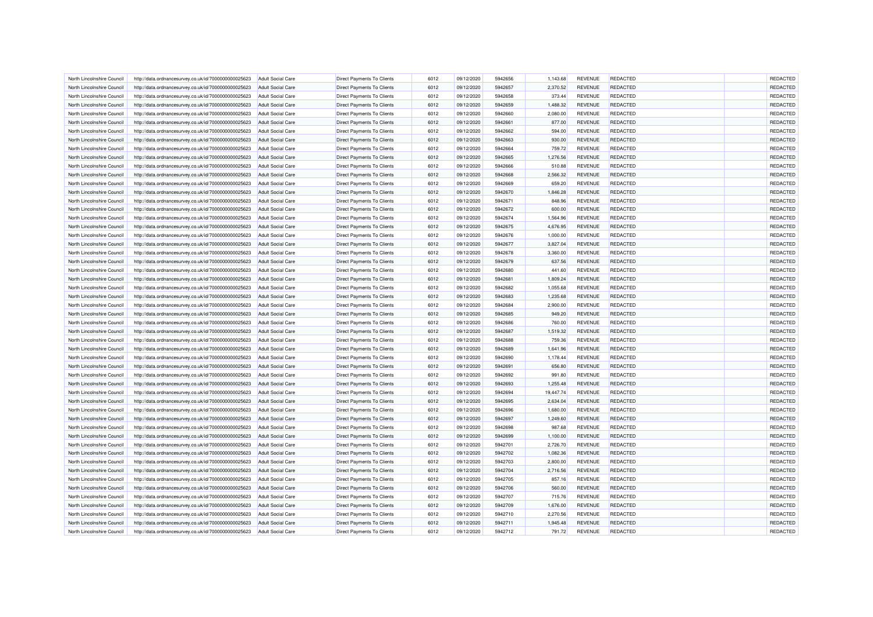| North Lincolnshire Council | http://data.ordnancesurvey.co.uk/id/7000000000025623 | <b>Adult Social Care</b> | <b>Direct Payments To Clients</b> | 6012 | 09/12/2020 | 5942656 | 1,143.68  | <b>REVENUE</b> | <b>REDACTED</b> | REDACTED |
|----------------------------|------------------------------------------------------|--------------------------|-----------------------------------|------|------------|---------|-----------|----------------|-----------------|----------|
| North Lincolnshire Council | http://data.ordnancesurvey.co.uk/id/7000000000025623 | <b>Adult Social Care</b> | Direct Payments To Clients        | 6012 | 09/12/2020 | 5942657 | 2,370.52  | <b>REVENUE</b> | <b>REDACTED</b> | REDACTED |
| North Lincolnshire Council | http://data.ordnancesurvey.co.uk/id/7000000000025623 | Adult Social Care        | <b>Direct Payments To Clients</b> | 6012 | 09/12/2020 | 5942658 | 373.44    | <b>REVENUE</b> | <b>REDACTED</b> | REDACTED |
| North Lincolnshire Counci  | http://data.ordnancesurvey.co.uk/id/7000000000025623 | <b>Adult Social Care</b> | <b>Direct Payments To Clients</b> | 6012 | 09/12/2020 | 5942659 | 1,488.32  | <b>REVENUE</b> | <b>REDACTED</b> | REDACTED |
| North Lincolnshire Council | http://data.ordnancesurvey.co.uk/id/7000000000025623 | <b>Adult Social Care</b> | Direct Payments To Clients        | 6012 | 09/12/2020 | 5942660 | 2,080.00  | <b>REVENUE</b> | <b>REDACTED</b> | REDACTED |
| North Lincolnshire Council | http://data.ordnancesurvey.co.uk/id/7000000000025623 | <b>Adult Social Care</b> | Direct Payments To Clients        | 6012 | 09/12/2020 | 5942661 | 877.00    | <b>REVENUE</b> | <b>REDACTED</b> | REDACTED |
| North Lincolnshire Council | http://data.ordnancesurvey.co.uk/id/7000000000025623 | <b>Adult Social Care</b> | Direct Payments To Clients        | 6012 | 09/12/2020 | 5942662 | 594.00    | <b>REVENUE</b> | <b>REDACTED</b> | REDACTED |
| North Lincolnshire Council | http://data.ordnancesurvey.co.uk/id/7000000000025623 | <b>Adult Social Care</b> | Direct Payments To Clients        | 6012 | 09/12/2020 | 5942663 | 930.00    | <b>REVENUE</b> | <b>REDACTED</b> | REDACTED |
| North Lincolnshire Council | http://data.ordnancesurvey.co.uk/id/7000000000025623 | <b>Adult Social Care</b> | <b>Direct Payments To Clients</b> | 6012 | 09/12/2020 | 5942664 | 759.72    | <b>REVENUE</b> | <b>REDACTED</b> | REDACTED |
| North Lincolnshire Council | http://data.ordnancesurvey.co.uk/id/7000000000025623 | <b>Adult Social Care</b> | Direct Payments To Clients        | 6012 | 09/12/2020 | 5942665 | 1,276.56  | <b>REVENUE</b> | <b>REDACTED</b> | REDACTED |
| North Lincolnshire Council | http://data.ordnancesurvey.co.uk/id/7000000000025623 | Adult Social Care        | <b>Direct Payments To Clients</b> | 6012 | 09/12/2020 | 5942666 | 510.88    | <b>REVENUE</b> | <b>REDACTED</b> | REDACTED |
|                            |                                                      |                          |                                   |      |            |         |           |                |                 |          |
| North Lincolnshire Council | http://data.ordnancesurvey.co.uk/id/7000000000025623 | <b>Adult Social Care</b> | Direct Payments To Clients        | 6012 | 09/12/2020 | 5942668 | 2,566.32  | <b>REVENUE</b> | <b>REDACTED</b> | REDACTED |
| North Lincolnshire Council | http://data.ordnancesurvey.co.uk/id/7000000000025623 | <b>Adult Social Care</b> | Direct Payments To Clients        | 6012 | 09/12/2020 | 5942669 | 659.20    | <b>REVENUE</b> | <b>REDACTED</b> | REDACTED |
| North Lincolnshire Council | http://data.ordnancesurvey.co.uk/id/7000000000025623 | <b>Adult Social Care</b> | <b>Direct Payments To Clients</b> | 6012 | 09/12/2020 | 5942670 | 1,846.28  | <b>REVENUE</b> | <b>REDACTED</b> | REDACTED |
| North Lincolnshire Council | http://data.ordnancesurvey.co.uk/id/7000000000025623 | <b>Adult Social Care</b> | Direct Payments To Clients        | 6012 | 09/12/2020 | 5942671 | 848.96    | <b>REVENUE</b> | <b>REDACTED</b> | REDACTED |
| North Lincolnshire Council | http://data.ordnancesurvey.co.uk/id/7000000000025623 | <b>Adult Social Care</b> | Direct Payments To Clients        | 6012 | 09/12/2020 | 5942672 | 600.00    | <b>REVENUE</b> | <b>REDACTED</b> | REDACTED |
| North Lincolnshire Council | http://data.ordnancesurvey.co.uk/id/7000000000025623 | <b>Adult Social Care</b> | Direct Payments To Clients        | 6012 | 09/12/2020 | 5942674 | 1,564.96  | <b>REVENUE</b> | <b>REDACTED</b> | REDACTED |
| North Lincolnshire Council | http://data.ordnancesurvey.co.uk/id/7000000000025623 | <b>Adult Social Care</b> | <b>Direct Payments To Clients</b> | 6012 | 09/12/2020 | 5942675 | 4,676.95  | <b>REVENUE</b> | <b>REDACTED</b> | REDACTED |
| North Lincolnshire Council | http://data.ordnancesurvey.co.uk/id/7000000000025623 | <b>Adult Social Care</b> | <b>Direct Payments To Clients</b> | 6012 | 09/12/2020 | 5942676 | 1,000.00  | <b>REVENUE</b> | <b>REDACTED</b> | REDACTED |
| North Lincolnshire Counci  | http://data.ordnancesurvey.co.uk/id/7000000000025623 | <b>Adult Social Care</b> | <b>Direct Payments To Clients</b> | 6012 | 09/12/2020 | 5942677 | 3,827.04  | <b>REVENUE</b> | <b>REDACTED</b> | REDACTED |
| North Lincolnshire Council | http://data.ordnancesurvey.co.uk/id/7000000000025623 | <b>Adult Social Care</b> | Direct Payments To Clients        | 6012 | 09/12/2020 | 5942678 | 3,360.00  | <b>REVENUE</b> | <b>REDACTED</b> | REDACTED |
| North Lincolnshire Council | http://data.ordnancesurvey.co.uk/id/7000000000025623 | Adult Social Care        | Direct Payments To Clients        | 6012 | 09/12/2020 | 5942679 | 637.56    | <b>REVENUE</b> | <b>REDACTED</b> | REDACTED |
| North Lincolnshire Council | http://data.ordnancesurvey.co.uk/id/7000000000025623 | <b>Adult Social Care</b> | Direct Payments To Clients        | 6012 | 09/12/2020 | 5942680 | 441.60    | <b>REVENUE</b> | <b>REDACTED</b> | REDACTED |
| North Lincolnshire Council | http://data.ordnancesurvey.co.uk/id/7000000000025623 | <b>Adult Social Care</b> | Direct Payments To Clients        | 6012 | 09/12/2020 | 5942681 | 1,809.24  | <b>REVENUE</b> | <b>REDACTED</b> | REDACTED |
| North Lincolnshire Council | http://data.ordnancesurvey.co.uk/id/7000000000025623 | <b>Adult Social Care</b> | Direct Payments To Clients        | 6012 | 09/12/2020 | 5942682 | 1,055.68  | <b>REVENUE</b> | <b>REDACTED</b> | REDACTED |
| North Lincolnshire Council | http://data.ordnancesurvey.co.uk/id/7000000000025623 | <b>Adult Social Care</b> | Direct Payments To Clients        | 6012 | 09/12/2020 | 5942683 | 1,235.68  | <b>REVENUE</b> | <b>REDACTED</b> | REDACTED |
| North Lincolnshire Council | http://data.ordnancesurvey.co.uk/id/7000000000025623 | Adult Social Care        | <b>Direct Payments To Clients</b> | 6012 | 09/12/2020 | 5942684 | 2,900.00  | <b>REVENUE</b> | <b>REDACTED</b> | REDACTED |
| North Lincolnshire Council | http://data.ordnancesurvey.co.uk/id/7000000000025623 | <b>Adult Social Care</b> | Direct Payments To Clients        | 6012 | 09/12/2020 | 5942685 | 949.20    | <b>REVENUE</b> | <b>REDACTED</b> | REDACTED |
| North Lincolnshire Council | http://data.ordnancesurvey.co.uk/id/7000000000025623 | <b>Adult Social Care</b> | Direct Payments To Clients        | 6012 | 09/12/2020 | 5942686 | 760.00    | <b>REVENUE</b> | <b>REDACTED</b> | REDACTED |
| North Lincolnshire Council | http://data.ordnancesurvey.co.uk/id/7000000000025623 | Adult Social Care        | Direct Payments To Clients        | 6012 | 09/12/2020 | 5942687 | 1,519.32  | <b>REVENUE</b> | REDACTED        | REDACTED |
| North Lincolnshire Council | http://data.ordnancesurvey.co.uk/id/7000000000025623 | <b>Adult Social Care</b> | Direct Payments To Clients        | 6012 | 09/12/2020 | 5942688 | 759.36    | <b>REVENUE</b> | REDACTED        | REDACTED |
| North Lincolnshire Council | http://data.ordnancesurvey.co.uk/id/7000000000025623 | <b>Adult Social Care</b> | Direct Payments To Clients        | 6012 | 09/12/2020 | 5942689 | 1,641.96  | <b>REVENUE</b> | <b>REDACTED</b> | REDACTED |
| North Lincolnshire Council | http://data.ordnancesurvey.co.uk/id/7000000000025623 | <b>Adult Social Care</b> | Direct Payments To Clients        | 6012 | 09/12/2020 | 5942690 | 1,178.44  | <b>REVENUE</b> | <b>REDACTED</b> | REDACTED |
| North Lincolnshire Council | http://data.ordnancesurvey.co.uk/id/7000000000025623 | <b>Adult Social Care</b> | Direct Payments To Clients        | 6012 | 09/12/2020 | 5942691 | 656.80    | <b>REVENUE</b> | <b>REDACTED</b> | REDACTED |
| North Lincolnshire Council | http://data.ordnancesurvey.co.uk/id/7000000000025623 | Adult Social Care        | Direct Payments To Clients        | 6012 | 09/12/2020 | 5942692 | 991.80    | <b>REVENUE</b> | <b>REDACTED</b> | REDACTED |
| North Lincolnshire Council | http://data.ordnancesurvey.co.uk/id/7000000000025623 | <b>Adult Social Care</b> | Direct Payments To Clients        | 6012 | 09/12/2020 | 5942693 | 1.255.48  | <b>REVENUE</b> | <b>REDACTED</b> | REDACTED |
| North Lincolnshire Council | http://data.ordnancesurvey.co.uk/id/7000000000025623 | <b>Adult Social Care</b> | <b>Direct Payments To Clients</b> | 6012 | 09/12/2020 | 5942694 | 19,447.74 | <b>REVENUE</b> | <b>REDACTED</b> | REDACTED |
| North Lincolnshire Council | http://data.ordnancesurvey.co.uk/id/7000000000025623 | Adult Social Care        | <b>Direct Payments To Clients</b> | 6012 | 09/12/2020 | 5942695 | 2,634.04  | <b>REVENUE</b> | <b>REDACTED</b> | REDACTED |
| North Lincolnshire Council | http://data.ordnancesurvey.co.uk/id/7000000000025623 | <b>Adult Social Care</b> | <b>Direct Payments To Clients</b> | 6012 | 09/12/2020 | 5942696 | 1,680.00  | <b>REVENUE</b> | <b>REDACTED</b> | REDACTED |
| North Lincolnshire Council | http://data.ordnancesurvey.co.uk/id/7000000000025623 | <b>Adult Social Care</b> | Direct Payments To Clients        | 6012 | 09/12/2020 | 5942697 | 1,249.60  | <b>REVENUE</b> | <b>REDACTED</b> | REDACTED |
| North Lincolnshire Council | http://data.ordnancesurvey.co.uk/id/7000000000025623 | <b>Adult Social Care</b> | <b>Direct Payments To Clients</b> | 6012 | 09/12/2020 | 5942698 | 987.68    | <b>REVENUE</b> | <b>REDACTED</b> | REDACTED |
| North Lincolnshire Council | http://data.ordnancesurvey.co.uk/id/7000000000025623 | <b>Adult Social Care</b> | Direct Payments To Clients        | 6012 | 09/12/2020 | 5942699 | 1,100.00  | <b>REVENUE</b> | <b>REDACTED</b> | REDACTED |
| North Lincolnshire Council | http://data.ordnancesurvey.co.uk/id/7000000000025623 | <b>Adult Social Care</b> | Direct Payments To Clients        | 6012 | 09/12/2020 | 5942701 | 2,726.70  | <b>REVENUE</b> | <b>REDACTED</b> | REDACTED |
| North Lincolnshire Council | http://data.ordnancesurvey.co.uk/id/7000000000025623 | <b>Adult Social Care</b> | Direct Payments To Clients        | 6012 | 09/12/2020 | 5942702 | 1,082.36  | <b>REVENUE</b> | <b>REDACTED</b> | REDACTED |
| North Lincolnshire Council | http://data.ordnancesurvey.co.uk/id/7000000000025623 |                          | <b>Direct Payments To Clients</b> | 6012 | 09/12/2020 | 5942703 | 2,800.00  | <b>REVENUE</b> | <b>REDACTED</b> | REDACTED |
|                            |                                                      | <b>Adult Social Care</b> |                                   |      |            | 5942704 |           |                |                 |          |
| North Lincolnshire Council | http://data.ordnancesurvey.co.uk/id/7000000000025623 | <b>Adult Social Care</b> | <b>Direct Payments To Clients</b> | 6012 | 09/12/2020 |         | 2,716.56  | <b>REVENUE</b> | <b>REDACTED</b> | REDACTED |
| North Lincolnshire Council | http://data.ordnancesurvey.co.uk/id/7000000000025623 | <b>Adult Social Care</b> | <b>Direct Payments To Clients</b> | 6012 | 09/12/2020 | 5942705 | 857.16    | <b>REVENUE</b> | <b>REDACTED</b> | REDACTED |
| North Lincolnshire Council | http://data.ordnancesurvey.co.uk/id/7000000000025623 | <b>Adult Social Care</b> | Direct Payments To Clients        | 6012 | 09/12/2020 | 5942706 | 560.00    | <b>REVENUE</b> | <b>REDACTED</b> | REDACTED |
| North Lincolnshire Council | http://data.ordnancesurvey.co.uk/id/7000000000025623 | Adult Social Care        | <b>Direct Payments To Clients</b> | 6012 | 09/12/2020 | 5942707 | 715.76    | <b>REVENUE</b> | <b>REDACTED</b> | REDACTED |
| North Lincolnshire Council | http://data.ordnancesurvey.co.uk/id/7000000000025623 | <b>Adult Social Care</b> | Direct Payments To Clients        | 6012 | 09/12/2020 | 5942709 | 1,676.00  | <b>REVENUE</b> | <b>REDACTED</b> | REDACTED |
| North Lincolnshire Council | http://data.ordnancesurvey.co.uk/id/7000000000025623 | <b>Adult Social Care</b> | Direct Payments To Clients        | 6012 | 09/12/2020 | 5942710 | 2,270.56  | <b>REVENUE</b> | <b>REDACTED</b> | REDACTED |
| North Lincolnshire Council | http://data.ordnancesurvey.co.uk/id/7000000000025623 | <b>Adult Social Care</b> | Direct Payments To Clients        | 6012 | 09/12/2020 | 5942711 | 1,945.48  | <b>REVENUE</b> | <b>REDACTED</b> | REDACTED |
| North Lincolnshire Council | http://data.ordnancesurvey.co.uk/id/7000000000025623 | <b>Adult Social Care</b> | Direct Payments To Clients        | 6012 | 09/12/2020 | 5942712 | 791.72    | <b>REVENUE</b> | <b>REDACTED</b> | REDACTED |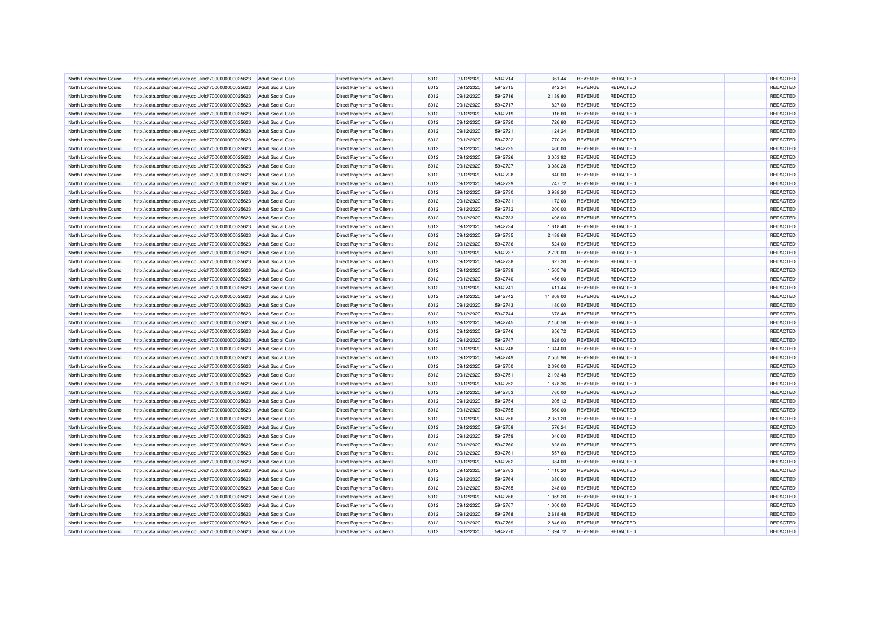| North Lincolnshire Council | http://data.ordnancesurvey.co.uk/id/7000000000025623 | <b>Adult Social Care</b>                             | Direct Payments To Clients        | 6012 | 09/12/2020 | 5942714            | 361.44    | <b>REVENUE</b>                   | <b>REDACTED</b>                    | <b>REDACTED</b> |
|----------------------------|------------------------------------------------------|------------------------------------------------------|-----------------------------------|------|------------|--------------------|-----------|----------------------------------|------------------------------------|-----------------|
| North Lincolnshire Council | http://data.ordnancesurvey.co.uk/id/7000000000025623 | <b>Adult Social Care</b>                             | <b>Direct Payments To Clients</b> | 6012 | 09/12/2020 | 5942715            | 842.24    | <b>REVENUE</b>                   | <b>REDACTED</b>                    | REDACTED        |
| North Lincolnshire Council | http://data.ordnancesurvey.co.uk/id/7000000000025623 | Adult Social Care                                    | <b>Direct Payments To Clients</b> | 6012 | 09/12/2020 | 5942716            | 2,139.80  | <b>REVENUE</b>                   | REDACTED                           | REDACTED        |
| North Lincolnshire Council | http://data.ordnancesurvey.co.uk/id/7000000000025623 | <b>Adult Social Care</b>                             | Direct Payments To Clients        | 6012 | 09/12/2020 | 5942717            | 827.00    | <b>REVENUE</b>                   | <b>REDACTED</b>                    | REDACTED        |
| North Lincolnshire Council | http://data.ordnancesurvey.co.uk/id/7000000000025623 | <b>Adult Social Care</b>                             | Direct Payments To Clients        | 6012 | 09/12/2020 | 5942719            | 916.60    | <b>REVENUE</b>                   | <b>REDACTED</b>                    | REDACTED        |
| North Lincolnshire Council | http://data.ordnancesurvey.co.uk/id/7000000000025623 | <b>Adult Social Care</b>                             | Direct Payments To Clients        | 6012 | 09/12/2020 | 5942720            | 726.80    | <b>REVENUE</b>                   | <b>REDACTED</b>                    | REDACTED        |
|                            |                                                      |                                                      |                                   |      |            |                    |           |                                  |                                    |                 |
| North Lincolnshire Council | http://data.ordnancesurvey.co.uk/id/7000000000025623 | <b>Adult Social Care</b>                             | Direct Payments To Clients        | 6012 | 09/12/2020 | 5942721            | 1,124.24  | <b>REVENUE</b>                   | <b>REDACTED</b>                    | REDACTED        |
| North Lincolnshire Council | http://data.ordnancesurvey.co.uk/id/7000000000025623 | <b>Adult Social Care</b>                             | Direct Payments To Clients        | 6012 | 09/12/2020 | 5942722            | 770.20    | <b>REVENUE</b>                   | <b>REDACTED</b>                    | REDACTED        |
| North Lincolnshire Council | http://data.ordnancesurvey.co.uk/id/7000000000025623 | <b>Adult Social Care</b>                             | Direct Payments To Clients        | 6012 | 09/12/2020 | 5942725            | 460.00    | <b>REVENUE</b>                   | REDACTED                           | REDACTED        |
| North Lincolnshire Council | http://data.ordnancesurvey.co.uk/id/7000000000025623 | <b>Adult Social Care</b>                             | <b>Direct Payments To Clients</b> | 6012 | 09/12/2020 | 5942726            | 3,053.92  | <b>REVENUE</b>                   | <b>REDACTED</b>                    | REDACTED        |
| North Lincolnshire Council | http://data.ordnancesurvey.co.uk/id/7000000000025623 | <b>Adult Social Care</b>                             | <b>Direct Payments To Clients</b> | 6012 | 09/12/2020 | 5942727            | 3,080.28  | <b>REVENUE</b>                   | <b>REDACTED</b>                    | REDACTED        |
| North Lincolnshire Council | http://data.ordnancesurvey.co.uk/id/7000000000025623 | <b>Adult Social Care</b>                             | <b>Direct Payments To Clients</b> | 6012 | 09/12/2020 | 5942728            | 840.00    | <b>REVENUE</b>                   | <b>REDACTED</b>                    | REDACTED        |
| North Lincolnshire Council | http://data.ordnancesurvey.co.uk/id/7000000000025623 | <b>Adult Social Care</b>                             | Direct Payments To Clients        | 6012 | 09/12/2020 | 5942729            | 747.72    | <b>REVENUE</b>                   | <b>REDACTED</b>                    | REDACTED        |
| North Lincolnshire Council | http://data.ordnancesurvey.co.uk/id/7000000000025623 | <b>Adult Social Care</b>                             | Direct Payments To Clients        | 6012 | 09/12/2020 | 5942730            | 3,988.20  | REVENUE                          | <b>REDACTED</b>                    | REDACTED        |
| North Lincolnshire Council | http://data.ordnancesurvey.co.uk/id/7000000000025623 | <b>Adult Social Care</b>                             | Direct Payments To Clients        | 6012 | 09/12/2020 | 5942731            | 1,172.00  | <b>REVENUE</b>                   | <b>REDACTED</b>                    | REDACTED        |
| North Lincolnshire Council | http://data.ordnancesurvey.co.uk/id/7000000000025623 | <b>Adult Social Care</b>                             | Direct Payments To Clients        | 6012 | 09/12/2020 | 5942732            | 1,200.00  | <b>REVENUE</b>                   | <b>REDACTED</b>                    | REDACTED        |
| North Lincolnshire Council | http://data.ordnancesurvey.co.uk/id/7000000000025623 | <b>Adult Social Care</b>                             | Direct Payments To Clients        | 6012 | 09/12/2020 | 5942733            | 1,498.00  | <b>REVENUE</b>                   | <b>REDACTED</b>                    | REDACTED        |
| North Lincolnshire Council | http://data.ordnancesurvey.co.uk/id/7000000000025623 | <b>Adult Social Care</b>                             | <b>Direct Payments To Clients</b> | 6012 | 09/12/2020 | 5942734            | 1,618.40  | <b>REVENUE</b>                   | <b>REDACTED</b>                    | REDACTED        |
| North Lincolnshire Council | http://data.ordnancesurvey.co.uk/id/7000000000025623 | <b>Adult Social Care</b>                             | <b>Direct Payments To Clients</b> | 6012 | 09/12/2020 | 5942735            | 2,438.68  | <b>REVENUE</b>                   | <b>REDACTED</b>                    | REDACTED        |
| North Lincolnshire Council | http://data.ordnancesurvey.co.uk/id/7000000000025623 | <b>Adult Social Care</b>                             | Direct Payments To Clients        | 6012 | 09/12/2020 | 5942736            | 524.00    | <b>REVENUE</b>                   | <b>REDACTED</b>                    | REDACTED        |
| North Lincolnshire Council | http://data.ordnancesurvey.co.uk/id/7000000000025623 | <b>Adult Social Care</b>                             | Direct Payments To Clients        | 6012 | 09/12/2020 | 5942737            | 2,720.00  | <b>REVENUE</b>                   | <b>REDACTED</b>                    | REDACTED        |
| North Lincolnshire Council | http://data.ordnancesurvey.co.uk/id/7000000000025623 | <b>Adult Social Care</b>                             | <b>Direct Payments To Clients</b> | 6012 | 09/12/2020 | 5942738            | 627.20    | <b>REVENUE</b>                   | <b>REDACTED</b>                    | REDACTED        |
| North Lincolnshire Council | http://data.ordnancesurvey.co.uk/id/7000000000025623 | <b>Adult Social Care</b>                             | Direct Payments To Clients        | 6012 | 09/12/2020 | 5942739            | 1,505.76  | <b>REVENUE</b>                   | <b>REDACTED</b>                    | REDACTED        |
| North Lincolnshire Council | http://data.ordnancesurvey.co.uk/id/7000000000025623 | <b>Adult Social Care</b>                             | Direct Payments To Clients        | 6012 | 09/12/2020 | 5942740            | 456.00    | <b>REVENUE</b>                   | <b>REDACTED</b>                    | REDACTED        |
| North Lincolnshire Council | http://data.ordnancesurvey.co.uk/id/7000000000025623 | <b>Adult Social Care</b>                             | Direct Payments To Clients        | 6012 | 09/12/2020 | 5942741            | 411.44    | <b>REVENUE</b>                   | <b>REDACTED</b>                    | REDACTED        |
|                            |                                                      |                                                      |                                   |      |            |                    |           |                                  |                                    | REDACTED        |
| North Lincolnshire Council | http://data.ordnancesurvey.co.uk/id/7000000000025623 | <b>Adult Social Care</b><br><b>Adult Social Care</b> | Direct Payments To Clients        | 6012 | 09/12/2020 | 5942742<br>5942743 | 11,808.00 | <b>REVENUE</b><br><b>REVENUE</b> | <b>REDACTED</b><br><b>REDACTED</b> | REDACTED        |
| North Lincolnshire Council | http://data.ordnancesurvey.co.uk/id/7000000000025623 |                                                      | <b>Direct Payments To Clients</b> | 6012 | 09/12/2020 |                    | 1,180.00  |                                  |                                    |                 |
| North Lincolnshire Council | http://data.ordnancesurvey.co.uk/id/7000000000025623 | <b>Adult Social Care</b>                             | <b>Direct Payments To Clients</b> | 6012 | 09/12/2020 | 5942744            | 1,678.48  | <b>REVENUE</b>                   | <b>REDACTED</b>                    | REDACTED        |
| North Lincolnshire Council | http://data.ordnancesurvey.co.uk/id/7000000000025623 | <b>Adult Social Care</b>                             | <b>Direct Payments To Clients</b> | 6012 | 09/12/2020 | 5942745            | 2,150.56  | <b>REVENUE</b>                   | <b>REDACTED</b>                    | REDACTED        |
| North Lincolnshire Council | http://data.ordnancesurvey.co.uk/id/7000000000025623 | <b>Adult Social Care</b>                             | Direct Payments To Clients        | 6012 | 09/12/2020 | 5942746            | 856.72    | <b>REVENUE</b>                   | <b>REDACTED</b>                    | REDACTED        |
| North Lincolnshire Council | http://data.ordnancesurvey.co.uk/id/7000000000025623 | <b>Adult Social Care</b>                             | Direct Payments To Clients        | 6012 | 09/12/2020 | 5942747            | 828.00    | <b>REVENUE</b>                   | <b>REDACTED</b>                    | REDACTED        |
| North Lincolnshire Council | http://data.ordnancesurvey.co.uk/id/7000000000025623 | <b>Adult Social Care</b>                             | Direct Payments To Clients        | 6012 | 09/12/2020 | 5942748            | 1,344.00  | <b>REVENUE</b>                   | <b>REDACTED</b>                    | REDACTED        |
| North Lincolnshire Council | http://data.ordnancesurvey.co.uk/id/7000000000025623 | <b>Adult Social Care</b>                             | Direct Payments To Clients        | 6012 | 09/12/2020 | 5942749            | 2,555.96  | <b>REVENUE</b>                   | <b>REDACTED</b>                    | REDACTED        |
| North Lincolnshire Council | http://data.ordnancesurvey.co.uk/id/7000000000025623 | <b>Adult Social Care</b>                             | Direct Payments To Clients        | 6012 | 09/12/2020 | 5942750            | 2,090.00  | <b>REVENUE</b>                   | <b>REDACTED</b>                    | REDACTED        |
| North Lincolnshire Council | http://data.ordnancesurvey.co.uk/id/7000000000025623 | <b>Adult Social Care</b>                             | Direct Payments To Clients        | 6012 | 09/12/2020 | 5942751            | 2,193.48  | <b>REVENUE</b>                   | <b>REDACTED</b>                    | REDACTED        |
| North Lincolnshire Council | http://data.ordnancesurvey.co.uk/id/7000000000025623 | <b>Adult Social Care</b>                             | Direct Payments To Clients        | 6012 | 09/12/2020 | 5942752            | 1,878.36  | <b>REVENUE</b>                   | <b>REDACTED</b>                    | REDACTED        |
| North Lincolnshire Council | http://data.ordnancesurvey.co.uk/id/7000000000025623 | <b>Adult Social Care</b>                             | <b>Direct Payments To Clients</b> | 6012 | 09/12/2020 | 5942753            | 760.00    | <b>REVENUE</b>                   | <b>REDACTED</b>                    | REDACTED        |
| North Lincolnshire Council | http://data.ordnancesurvey.co.uk/id/7000000000025623 | <b>Adult Social Care</b>                             | <b>Direct Payments To Clients</b> | 6012 | 09/12/2020 | 5942754            | 1,205.12  | <b>REVENUE</b>                   | <b>REDACTED</b>                    | <b>REDACTED</b> |
| North Lincolnshire Council | http://data.ordnancesurvey.co.uk/id/7000000000025623 | <b>Adult Social Care</b>                             | <b>Direct Payments To Clients</b> | 6012 | 09/12/2020 | 5942755            | 560.00    | <b>REVENUE</b>                   | <b>REDACTED</b>                    | REDACTED        |
| North Lincolnshire Council | http://data.ordnancesurvey.co.uk/id/7000000000025623 | <b>Adult Social Care</b>                             | Direct Payments To Clients        | 6012 | 09/12/2020 | 5942756            | 2,351.20  | <b>REVENUE</b>                   | <b>REDACTED</b>                    | REDACTED        |
| North Lincolnshire Council | http://data.ordnancesurvey.co.uk/id/7000000000025623 | <b>Adult Social Care</b>                             | Direct Payments To Clients        | 6012 | 09/12/2020 | 5942758            | 576.24    | REVENUE                          | <b>REDACTED</b>                    | REDACTED        |
| North Lincolnshire Council | http://data.ordnancesurvey.co.uk/id/7000000000025623 | <b>Adult Social Care</b>                             | Direct Payments To Clients        | 6012 | 09/12/2020 | 5942759            | 1,040.00  | <b>REVENUE</b>                   | <b>REDACTED</b>                    | REDACTED        |
| North Lincolnshire Council | http://data.ordnancesurvey.co.uk/id/7000000000025623 | <b>Adult Social Care</b>                             | Direct Payments To Clients        | 6012 | 09/12/2020 | 5942760            | 828.00    | <b>REVENUE</b>                   | <b>REDACTED</b>                    | REDACTED        |
| North Lincolnshire Council | http://data.ordnancesurvey.co.uk/id/7000000000025623 | <b>Adult Social Care</b>                             | Direct Payments To Clients        | 6012 | 09/12/2020 | 5942761            | 1,557.60  | <b>REVENUE</b>                   | <b>REDACTED</b>                    | REDACTED        |
| North Lincolnshire Council | http://data.ordnancesurvey.co.uk/id/7000000000025623 | <b>Adult Social Care</b>                             | <b>Direct Payments To Clients</b> | 6012 | 09/12/2020 | 5942762            | 384.00    | <b>REVENUE</b>                   | <b>REDACTED</b>                    | REDACTED        |
| North Lincolnshire Council | http://data.ordnancesurvey.co.uk/id/7000000000025623 | <b>Adult Social Care</b>                             | <b>Direct Payments To Clients</b> | 6012 | 09/12/2020 | 5942763            | 1,410.20  | <b>REVENUE</b>                   | <b>REDACTED</b>                    | REDACTED        |
| North Lincolnshire Council | http://data.ordnancesurvey.co.uk/id/7000000000025623 | <b>Adult Social Care</b>                             | Direct Payments To Clients        | 6012 | 09/12/2020 | 5942764            | 1,380.00  | <b>REVENUE</b>                   | <b>REDACTED</b>                    | REDACTED        |
| North Lincolnshire Council | http://data.ordnancesurvey.co.uk/id/7000000000025623 | <b>Adult Social Care</b>                             | Direct Payments To Clients        | 6012 | 09/12/2020 | 5942765            | 1,248.00  | <b>REVENUE</b>                   | <b>REDACTED</b>                    | REDACTED        |
| North Lincolnshire Council | http://data.ordnancesurvey.co.uk/id/7000000000025623 | <b>Adult Social Care</b>                             | <b>Direct Payments To Clients</b> | 6012 | 09/12/2020 | 5942766            | 1,069.20  | <b>REVENUE</b>                   | <b>REDACTED</b>                    | REDACTED        |
|                            |                                                      |                                                      |                                   | 6012 |            |                    |           |                                  | <b>REDACTED</b>                    | REDACTED        |
| North Lincolnshire Council | http://data.ordnancesurvey.co.uk/id/7000000000025623 | <b>Adult Social Care</b>                             | Direct Payments To Clients        |      | 09/12/2020 | 5942767            | 1,000.00  | <b>REVENUE</b>                   |                                    |                 |
| North Lincolnshire Council | http://data.ordnancesurvey.co.uk/id/7000000000025623 | <b>Adult Social Care</b>                             | Direct Payments To Clients        | 6012 | 09/12/2020 | 5942768            | 2,618.48  | <b>REVENUE</b>                   | <b>REDACTED</b>                    | REDACTED        |
| North Lincolnshire Council | http://data.ordnancesurvey.co.uk/id/7000000000025623 | <b>Adult Social Care</b>                             | Direct Payments To Clients        | 6012 | 09/12/2020 | 5942769            | 2,846.00  | <b>REVENUE</b>                   | <b>REDACTED</b>                    | REDACTED        |
| North Lincolnshire Council | http://data.ordnancesurvey.co.uk/id/7000000000025623 | <b>Adult Social Care</b>                             | Direct Payments To Clients        | 6012 | 09/12/2020 | 5942770            | 1,394.72  | <b>REVENUE</b>                   | <b>REDACTED</b>                    | REDACTED        |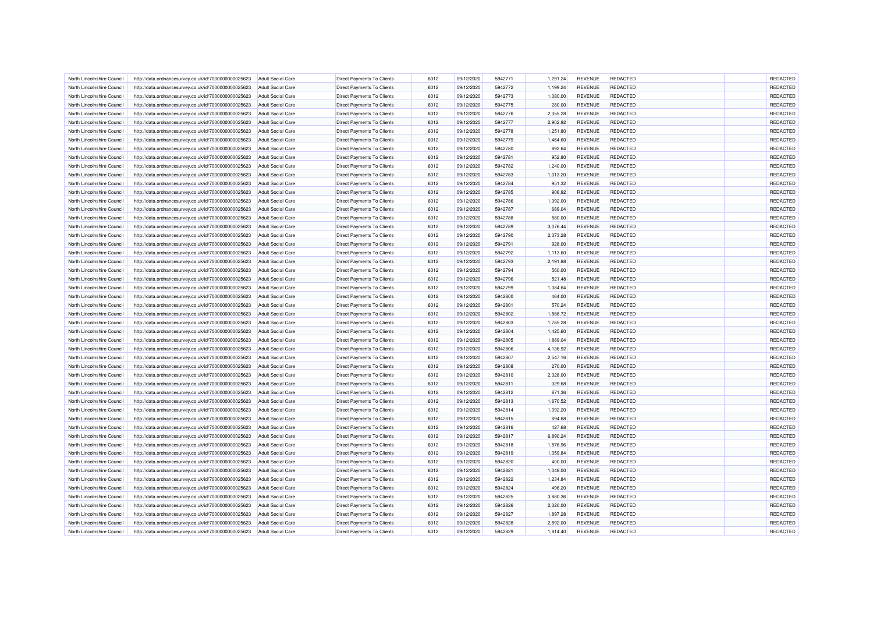| North Lincolnshire Council | http://data.ordnancesurvey.co.uk/id/7000000000025623                                                         | <b>Adult Social Care</b> | <b>Direct Payments To Clients</b> | 6012 | 09/12/2020 | 5942771 | 1,291.24 | <b>REVENUE</b> | <b>REDACTED</b> | REDACTED |
|----------------------------|--------------------------------------------------------------------------------------------------------------|--------------------------|-----------------------------------|------|------------|---------|----------|----------------|-----------------|----------|
| North Lincolnshire Council | http://data.ordnancesurvey.co.uk/id/7000000000025623                                                         | <b>Adult Social Care</b> | Direct Payments To Clients        | 6012 | 09/12/2020 | 5942772 | 1,199.24 | <b>REVENUE</b> | <b>REDACTED</b> | REDACTED |
| North Lincolnshire Council | http://data.ordnancesurvey.co.uk/id/7000000000025623                                                         | Adult Social Care        | <b>Direct Payments To Clients</b> | 6012 | 09/12/2020 | 5942773 | 1,080.00 | <b>REVENUE</b> | <b>REDACTED</b> | REDACTED |
| North Lincolnshire Counci  | http://data.ordnancesurvey.co.uk/id/7000000000025623                                                         | <b>Adult Social Care</b> | <b>Direct Payments To Clients</b> | 6012 | 09/12/2020 | 5942775 | 280.00   | <b>REVENUE</b> | <b>REDACTED</b> | REDACTED |
| North Lincolnshire Council | http://data.ordnancesurvey.co.uk/id/7000000000025623                                                         | <b>Adult Social Care</b> | Direct Payments To Clients        | 6012 | 09/12/2020 | 5942776 | 2,355.28 | <b>REVENUE</b> | <b>REDACTED</b> | REDACTED |
| North Lincolnshire Council | http://data.ordnancesurvey.co.uk/id/7000000000025623                                                         | <b>Adult Social Care</b> | Direct Payments To Clients        | 6012 | 09/12/2020 | 5942777 | 2,902.92 | <b>REVENUE</b> | <b>REDACTED</b> | REDACTED |
| North Lincolnshire Council | http://data.ordnancesurvey.co.uk/id/7000000000025623                                                         | <b>Adult Social Care</b> | Direct Payments To Clients        | 6012 | 09/12/2020 | 5942778 | 1,251.80 | <b>REVENUE</b> | <b>REDACTED</b> | REDACTED |
| North Lincolnshire Council | http://data.ordnancesurvey.co.uk/id/7000000000025623                                                         | <b>Adult Social Care</b> | Direct Payments To Clients        | 6012 | 09/12/2020 | 5942779 | 1,464.60 | <b>REVENUE</b> | <b>REDACTED</b> | REDACTED |
| North Lincolnshire Council | http://data.ordnancesurvey.co.uk/id/7000000000025623                                                         | <b>Adult Social Care</b> | <b>Direct Payments To Clients</b> | 6012 | 09/12/2020 | 5942780 | 892.64   | <b>REVENUE</b> | <b>REDACTED</b> | REDACTED |
| North Lincolnshire Council | http://data.ordnancesurvey.co.uk/id/7000000000025623                                                         | <b>Adult Social Care</b> | <b>Direct Payments To Clients</b> | 6012 | 09/12/2020 | 5942781 | 952.80   | <b>REVENUE</b> | <b>REDACTED</b> | REDACTED |
| North Lincolnshire Council | http://data.ordnancesurvey.co.uk/id/7000000000025623                                                         | Adult Social Care        | <b>Direct Payments To Clients</b> | 6012 | 09/12/2020 | 5942782 | 1,240.00 | <b>REVENUE</b> | <b>REDACTED</b> | REDACTED |
| North Lincolnshire Council | http://data.ordnancesurvey.co.uk/id/7000000000025623                                                         | <b>Adult Social Care</b> | <b>Direct Payments To Clients</b> | 6012 | 09/12/2020 | 5942783 | 1,013.20 | <b>REVENUE</b> | <b>REDACTED</b> | REDACTED |
| North Lincolnshire Council | http://data.ordnancesurvey.co.uk/id/7000000000025623                                                         | <b>Adult Social Care</b> | Direct Payments To Clients        | 6012 | 09/12/2020 | 5942784 | 951.32   | <b>REVENUE</b> | <b>REDACTED</b> | REDACTED |
| North Lincolnshire Council | http://data.ordnancesurvey.co.uk/id/7000000000025623                                                         | <b>Adult Social Care</b> | <b>Direct Payments To Clients</b> | 6012 | 09/12/2020 | 5942785 | 906.92   | <b>REVENUE</b> | <b>REDACTED</b> | REDACTED |
| North Lincolnshire Council | http://data.ordnancesurvey.co.uk/id/7000000000025623                                                         | <b>Adult Social Care</b> | Direct Payments To Clients        | 6012 | 09/12/2020 | 5942786 | 1,392.00 | <b>REVENUE</b> | <b>REDACTED</b> | REDACTED |
| North Lincolnshire Council | http://data.ordnancesurvey.co.uk/id/7000000000025623                                                         | <b>Adult Social Care</b> | Direct Payments To Clients        | 6012 | 09/12/2020 | 5942787 | 689.04   | <b>REVENUE</b> | <b>REDACTED</b> | REDACTED |
| North Lincolnshire Council |                                                                                                              | <b>Adult Social Care</b> | Direct Payments To Clients        | 6012 | 09/12/2020 | 5942788 | 580.00   | <b>REVENUE</b> | <b>REDACTED</b> | REDACTED |
| North Lincolnshire Council | http://data.ordnancesurvey.co.uk/id/7000000000025623<br>http://data.ordnancesurvey.co.uk/id/7000000000025623 |                          | <b>Direct Payments To Clients</b> | 6012 | 09/12/2020 | 5942789 | 3,076.44 | <b>REVENUE</b> | <b>REDACTED</b> | REDACTED |
|                            |                                                                                                              | <b>Adult Social Care</b> |                                   |      |            | 5942790 |          |                | <b>REDACTED</b> |          |
| North Lincolnshire Council | http://data.ordnancesurvey.co.uk/id/7000000000025623                                                         | <b>Adult Social Care</b> | <b>Direct Payments To Clients</b> | 6012 | 09/12/2020 |         | 2,373.28 | <b>REVENUE</b> |                 | REDACTED |
| North Lincolnshire Counci  | http://data.ordnancesurvey.co.uk/id/7000000000025623                                                         | <b>Adult Social Care</b> | <b>Direct Payments To Clients</b> | 6012 | 09/12/2020 | 5942791 | 928.00   | <b>REVENUE</b> | <b>REDACTED</b> | REDACTED |
| North Lincolnshire Council | http://data.ordnancesurvey.co.uk/id/7000000000025623                                                         | <b>Adult Social Care</b> | Direct Payments To Clients        | 6012 | 09/12/2020 | 5942792 | 1,113.60 | <b>REVENUE</b> | <b>REDACTED</b> | REDACTED |
| North Lincolnshire Council | http://data.ordnancesurvey.co.uk/id/7000000000025623                                                         | Adult Social Care        | <b>Direct Payments To Clients</b> | 6012 | 09/12/2020 | 5942793 | 2,191.88 | <b>REVENUE</b> | <b>REDACTED</b> | REDACTED |
| North Lincolnshire Council | http://data.ordnancesurvey.co.uk/id/7000000000025623                                                         | <b>Adult Social Care</b> | Direct Payments To Clients        | 6012 | 09/12/2020 | 5942794 | 560.00   | <b>REVENUE</b> | <b>REDACTED</b> | REDACTED |
| North Lincolnshire Council | http://data.ordnancesurvey.co.uk/id/7000000000025623                                                         | <b>Adult Social Care</b> | Direct Payments To Clients        | 6012 | 09/12/2020 | 5942796 | 521.48   | <b>REVENUE</b> | <b>REDACTED</b> | REDACTED |
| North Lincolnshire Council | http://data.ordnancesurvey.co.uk/id/7000000000025623                                                         | <b>Adult Social Care</b> | Direct Payments To Clients        | 6012 | 09/12/2020 | 5942799 | 1,084.64 | <b>REVENUE</b> | <b>REDACTED</b> | REDACTED |
| North Lincolnshire Council | http://data.ordnancesurvey.co.uk/id/7000000000025623                                                         | <b>Adult Social Care</b> | Direct Payments To Clients        | 6012 | 09/12/2020 | 5942800 | 464.00   | <b>REVENUE</b> | <b>REDACTED</b> | REDACTED |
| North Lincolnshire Council | http://data.ordnancesurvey.co.uk/id/7000000000025623                                                         | Adult Social Care        | <b>Direct Payments To Clients</b> | 6012 | 09/12/2020 | 5942801 | 570.24   | <b>REVENUE</b> | <b>REDACTED</b> | REDACTED |
| North Lincolnshire Council | http://data.ordnancesurvey.co.uk/id/7000000000025623                                                         | <b>Adult Social Care</b> | <b>Direct Payments To Clients</b> | 6012 | 09/12/2020 | 5942802 | 1,588.72 | <b>REVENUE</b> | <b>REDACTED</b> | REDACTED |
| North Lincolnshire Council | http://data.ordnancesurvey.co.uk/id/7000000000025623                                                         | <b>Adult Social Care</b> | Direct Payments To Clients        | 6012 | 09/12/2020 | 5942803 | 1,785.28 | <b>REVENUE</b> | <b>REDACTED</b> | REDACTED |
| North Lincolnshire Council | http://data.ordnancesurvey.co.uk/id/7000000000025623                                                         | Adult Social Care        | Direct Payments To Clients        | 6012 | 09/12/2020 | 5942804 | 1,425.60 | <b>REVENUE</b> | REDACTED        | REDACTED |
| North Lincolnshire Council | http://data.ordnancesurvey.co.uk/id/7000000000025623                                                         | <b>Adult Social Care</b> | Direct Payments To Clients        | 6012 | 09/12/2020 | 5942805 | 1,889.04 | <b>REVENUE</b> | REDACTED        | REDACTED |
| North Lincolnshire Council | http://data.ordnancesurvey.co.uk/id/7000000000025623                                                         | <b>Adult Social Care</b> | Direct Payments To Clients        | 6012 | 09/12/2020 | 5942806 | 4,136.92 | <b>REVENUE</b> | <b>REDACTED</b> | REDACTED |
| North Lincolnshire Council | http://data.ordnancesurvey.co.uk/id/7000000000025623                                                         | <b>Adult Social Care</b> | Direct Payments To Clients        | 6012 | 09/12/2020 | 5942807 | 2,547.16 | <b>REVENUE</b> | <b>REDACTED</b> | REDACTED |
| North Lincolnshire Council | http://data.ordnancesurvey.co.uk/id/7000000000025623                                                         | <b>Adult Social Care</b> | Direct Payments To Clients        | 6012 | 09/12/2020 | 5942808 | 270.00   | <b>REVENUE</b> | <b>REDACTED</b> | REDACTED |
| North Lincolnshire Council | http://data.ordnancesurvey.co.uk/id/7000000000025623                                                         | Adult Social Care        | Direct Payments To Clients        | 6012 | 09/12/2020 | 5942810 | 2,328.00 | <b>REVENUE</b> | <b>REDACTED</b> | REDACTED |
| North Lincolnshire Council | http://data.ordnancesurvey.co.uk/id/7000000000025623                                                         | <b>Adult Social Care</b> | Direct Payments To Clients        | 6012 | 09/12/2020 | 5942811 | 329.68   | <b>REVENUE</b> | REDACTED        | REDACTED |
| North Lincolnshire Council | http://data.ordnancesurvey.co.uk/id/7000000000025623                                                         | <b>Adult Social Care</b> | <b>Direct Payments To Clients</b> | 6012 | 09/12/2020 | 5942812 | 871.36   | <b>REVENUE</b> | <b>REDACTED</b> | REDACTED |
| North Lincolnshire Council | http://data.ordnancesurvey.co.uk/id/7000000000025623                                                         | Adult Social Care        | <b>Direct Payments To Clients</b> | 6012 | 09/12/2020 | 5942813 | 1,670.52 | <b>REVENUE</b> | <b>REDACTED</b> | REDACTED |
| North Lincolnshire Council | http://data.ordnancesurvey.co.uk/id/7000000000025623                                                         | <b>Adult Social Care</b> | <b>Direct Payments To Clients</b> | 6012 | 09/12/2020 | 5942814 | 1,092.20 | <b>REVENUE</b> | <b>REDACTED</b> | REDACTED |
| North Lincolnshire Council | http://data.ordnancesurvey.co.uk/id/7000000000025623                                                         | <b>Adult Social Care</b> | Direct Payments To Clients        | 6012 | 09/12/2020 | 5942815 | 694.68   | <b>REVENUE</b> | <b>REDACTED</b> | REDACTED |
| North Lincolnshire Council | http://data.ordnancesurvey.co.uk/id/7000000000025623                                                         | <b>Adult Social Care</b> | <b>Direct Payments To Clients</b> | 6012 | 09/12/2020 | 5942816 | 427.68   | <b>REVENUE</b> | <b>REDACTED</b> | REDACTED |
| North Lincolnshire Council | http://data.ordnancesurvey.co.uk/id/7000000000025623                                                         | <b>Adult Social Care</b> | Direct Payments To Clients        | 6012 | 09/12/2020 | 5942817 | 6,890.24 | <b>REVENUE</b> | <b>REDACTED</b> | REDACTED |
| North Lincolnshire Council | http://data.ordnancesurvey.co.uk/id/7000000000025623                                                         | <b>Adult Social Care</b> | Direct Payments To Clients        | 6012 | 09/12/2020 | 5942818 | 1,576.96 | <b>REVENUE</b> | <b>REDACTED</b> | REDACTED |
| North Lincolnshire Council | http://data.ordnancesurvey.co.uk/id/7000000000025623                                                         | <b>Adult Social Care</b> | Direct Payments To Clients        | 6012 | 09/12/2020 | 5942819 | 1,059.84 | <b>REVENUE</b> | <b>REDACTED</b> | REDACTED |
| North Lincolnshire Council | http://data.ordnancesurvey.co.uk/id/7000000000025623                                                         | <b>Adult Social Care</b> | <b>Direct Payments To Clients</b> | 6012 | 09/12/2020 | 5942820 | 400.00   | <b>REVENUE</b> | <b>REDACTED</b> | REDACTED |
| North Lincolnshire Council | http://data.ordnancesurvey.co.uk/id/7000000000025623                                                         | <b>Adult Social Care</b> | <b>Direct Payments To Clients</b> | 6012 | 09/12/2020 | 5942821 | 1,048.00 | <b>REVENUE</b> | <b>REDACTED</b> | REDACTED |
| North Lincolnshire Council | http://data.ordnancesurvey.co.uk/id/7000000000025623                                                         | <b>Adult Social Care</b> | <b>Direct Payments To Clients</b> | 6012 | 09/12/2020 | 5942822 | 1,234.84 | <b>REVENUE</b> | <b>REDACTED</b> | REDACTED |
| North Lincolnshire Council | http://data.ordnancesurvey.co.uk/id/7000000000025623                                                         | <b>Adult Social Care</b> | Direct Payments To Clients        | 6012 | 09/12/2020 | 5942824 | 496.20   | <b>REVENUE</b> | <b>REDACTED</b> | REDACTED |
| North Lincolnshire Council | http://data.ordnancesurvey.co.uk/id/7000000000025623                                                         | Adult Social Care        | <b>Direct Payments To Clients</b> | 6012 | 09/12/2020 | 5942825 | 3,880.36 | <b>REVENUE</b> | <b>REDACTED</b> | REDACTED |
| North Lincolnshire Council | http://data.ordnancesurvey.co.uk/id/7000000000025623                                                         | <b>Adult Social Care</b> | Direct Payments To Clients        | 6012 | 09/12/2020 | 5942826 | 2,320.00 | <b>REVENUE</b> | <b>REDACTED</b> | REDACTED |
| North Lincolnshire Council | http://data.ordnancesurvey.co.uk/id/7000000000025623                                                         | <b>Adult Social Care</b> | <b>Direct Payments To Clients</b> | 6012 | 09/12/2020 | 5942827 | 1,897.28 | <b>REVENUE</b> | <b>REDACTED</b> | REDACTED |
| North Lincolnshire Council | http://data.ordnancesurvey.co.uk/id/7000000000025623                                                         | <b>Adult Social Care</b> | Direct Payments To Clients        | 6012 | 09/12/2020 | 5942828 | 2,592.00 | <b>REVENUE</b> | <b>REDACTED</b> | REDACTED |
| North Lincolnshire Council | http://data.ordnancesurvey.co.uk/id/7000000000025623                                                         | <b>Adult Social Care</b> | Direct Payments To Clients        | 6012 | 09/12/2020 | 5942829 | 1,814.40 | <b>REVENUE</b> | <b>REDACTED</b> | REDACTED |
|                            |                                                                                                              |                          |                                   |      |            |         |          |                |                 |          |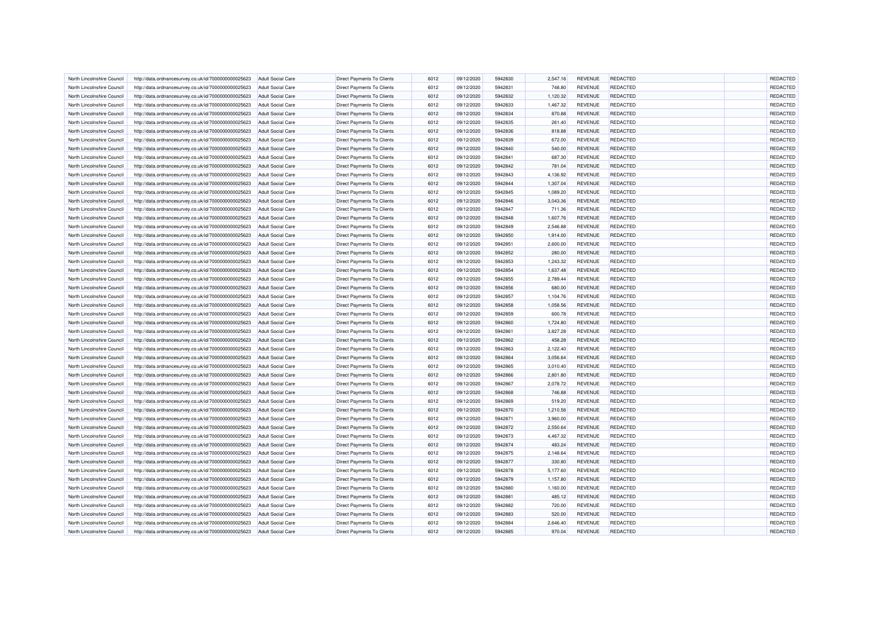| North Lincolnshire Council | http://data.ordnancesurvey.co.uk/id/7000000000025623 | <b>Adult Social Care</b> | <b>Direct Payments To Clients</b> | 6012 | 09/12/2020 | 5942830 | 2.547.16 | <b>REVENUE</b> | <b>REDACTED</b> | REDACTED |
|----------------------------|------------------------------------------------------|--------------------------|-----------------------------------|------|------------|---------|----------|----------------|-----------------|----------|
| North Lincolnshire Council | http://data.ordnancesurvey.co.uk/id/7000000000025623 | <b>Adult Social Care</b> | Direct Payments To Clients        | 6012 | 09/12/2020 | 5942831 | 748.80   | <b>REVENUE</b> | <b>REDACTED</b> | REDACTED |
| North Lincolnshire Council | http://data.ordnancesurvey.co.uk/id/7000000000025623 | Adult Social Care        | <b>Direct Payments To Clients</b> | 6012 | 09/12/2020 | 5942832 | 1,120.32 | <b>REVENUE</b> | <b>REDACTED</b> | REDACTED |
| North Lincolnshire Counci  | http://data.ordnancesurvey.co.uk/id/7000000000025623 | <b>Adult Social Care</b> | Direct Payments To Clients        | 6012 | 09/12/2020 | 5942833 | 1,467.32 | <b>REVENUE</b> | REDACTED        | REDACTED |
| North Lincolnshire Council | http://data.ordnancesurvey.co.uk/id/7000000000025623 | <b>Adult Social Care</b> | Direct Payments To Clients        | 6012 | 09/12/2020 | 5942834 | 870.88   | REVENUE        | <b>REDACTED</b> | REDACTED |
| North Lincolnshire Council | http://data.ordnancesurvey.co.uk/id/7000000000025623 | <b>Adult Social Care</b> | Direct Payments To Clients        | 6012 | 09/12/2020 | 5942835 | 261.40   | <b>REVENUE</b> | <b>REDACTED</b> | REDACTED |
| North Lincolnshire Council |                                                      | <b>Adult Social Care</b> |                                   | 6012 | 09/12/2020 | 5942836 |          | <b>REVENUE</b> | <b>REDACTED</b> | REDACTED |
|                            | http://data.ordnancesurvey.co.uk/id/7000000000025623 |                          | Direct Payments To Clients        |      |            | 5942839 | 818.88   |                |                 |          |
| North Lincolnshire Council | http://data.ordnancesurvey.co.uk/id/7000000000025623 | Adult Social Care        | Direct Payments To Clients        | 6012 | 09/12/2020 |         | 672.00   | <b>REVENUE</b> | <b>REDACTED</b> | REDACTED |
| North Lincolnshire Council | http://data.ordnancesurvey.co.uk/id/7000000000025623 | <b>Adult Social Care</b> | Direct Payments To Clients        | 6012 | 09/12/2020 | 5942840 | 540.00   | <b>REVENUE</b> | <b>REDACTED</b> | REDACTED |
| North Lincolnshire Council | http://data.ordnancesurvey.co.uk/id/7000000000025623 | <b>Adult Social Care</b> | <b>Direct Payments To Clients</b> | 6012 | 09/12/2020 | 5942841 | 687.30   | <b>REVENUE</b> | <b>REDACTED</b> | REDACTED |
| North Lincolnshire Council | http://data.ordnancesurvey.co.uk/id/7000000000025623 | Adult Social Care        | <b>Direct Payments To Clients</b> | 6012 | 09/12/2020 | 5942842 | 781.04   | <b>REVENUE</b> | <b>REDACTED</b> | REDACTED |
| North Lincolnshire Council | http://data.ordnancesurvey.co.uk/id/7000000000025623 | <b>Adult Social Care</b> | <b>Direct Payments To Clients</b> | 6012 | 09/12/2020 | 5942843 | 4,136.92 | <b>REVENUE</b> | <b>REDACTED</b> | REDACTED |
| North Lincolnshire Council | http://data.ordnancesurvey.co.uk/id/7000000000025623 | <b>Adult Social Care</b> | Direct Payments To Clients        | 6012 | 09/12/2020 | 5942844 | 1,307.04 | <b>REVENUE</b> | <b>REDACTED</b> | REDACTED |
| North Lincolnshire Council | http://data.ordnancesurvey.co.uk/id/7000000000025623 | <b>Adult Social Care</b> | <b>Direct Payments To Clients</b> | 6012 | 09/12/2020 | 5942845 | 1,089.20 | <b>REVENUE</b> | REDACTED        | REDACTED |
| North Lincolnshire Council | http://data.ordnancesurvey.co.uk/id/7000000000025623 | <b>Adult Social Care</b> | Direct Payments To Clients        | 6012 | 09/12/2020 | 5942846 | 3,043.36 | <b>REVENUE</b> | <b>REDACTED</b> | REDACTED |
| North Lincolnshire Council | http://data.ordnancesurvey.co.uk/id/7000000000025623 | <b>Adult Social Care</b> | Direct Payments To Clients        | 6012 | 09/12/2020 | 5942847 | 711.36   | <b>REVENUE</b> | <b>REDACTED</b> | REDACTED |
| North Lincolnshire Council | http://data.ordnancesurvey.co.uk/id/7000000000025623 | <b>Adult Social Care</b> | Direct Payments To Clients        | 6012 | 09/12/2020 | 5942848 | 1,607.76 | <b>REVENUE</b> | <b>REDACTED</b> | REDACTED |
| North Lincolnshire Council | http://data.ordnancesurvey.co.uk/id/7000000000025623 | <b>Adult Social Care</b> | <b>Direct Payments To Clients</b> | 6012 | 09/12/2020 | 5942849 | 2,546.88 | <b>REVENUE</b> | <b>REDACTED</b> | REDACTED |
| North Lincolnshire Council | http://data.ordnancesurvey.co.uk/id/7000000000025623 | <b>Adult Social Care</b> | Direct Payments To Clients        | 6012 | 09/12/2020 | 5942850 | 1,914.00 | <b>REVENUE</b> | REDACTED        | REDACTED |
| North Lincolnshire Council | http://data.ordnancesurvey.co.uk/id/7000000000025623 | <b>Adult Social Care</b> | <b>Direct Payments To Clients</b> | 6012 | 09/12/2020 | 5942851 | 2,600.00 | <b>REVENUE</b> | <b>REDACTED</b> | REDACTED |
| North Lincolnshire Council | http://data.ordnancesurvey.co.uk/id/7000000000025623 | <b>Adult Social Care</b> | Direct Payments To Clients        | 6012 | 09/12/2020 | 5942852 | 280.00   | <b>REVENUE</b> | <b>REDACTED</b> | REDACTED |
| North Lincolnshire Council | http://data.ordnancesurvey.co.uk/id/7000000000025623 | Adult Social Care        | <b>Direct Payments To Clients</b> | 6012 | 09/12/2020 | 5942853 | 1,243.32 | <b>REVENUE</b> | <b>REDACTED</b> | REDACTED |
| North Lincolnshire Council | http://data.ordnancesurvey.co.uk/id/7000000000025623 | <b>Adult Social Care</b> | Direct Payments To Clients        | 6012 | 09/12/2020 | 5942854 | 1,637.48 | <b>REVENUE</b> | <b>REDACTED</b> | REDACTED |
| North Lincolnshire Council | http://data.ordnancesurvey.co.uk/id/7000000000025623 | <b>Adult Social Care</b> | Direct Payments To Clients        | 6012 | 09/12/2020 | 5942855 | 2,789.44 | <b>REVENUE</b> | <b>REDACTED</b> | REDACTED |
| North Lincolnshire Council | http://data.ordnancesurvey.co.uk/id/7000000000025623 | <b>Adult Social Care</b> | Direct Payments To Clients        | 6012 | 09/12/2020 | 5942856 | 680.00   | <b>REVENUE</b> | <b>REDACTED</b> | REDACTED |
| North Lincolnshire Council | http://data.ordnancesurvey.co.uk/id/7000000000025623 | <b>Adult Social Care</b> | Direct Payments To Clients        | 6012 | 09/12/2020 | 5942857 | 1,104.76 | <b>REVENUE</b> | <b>REDACTED</b> | REDACTED |
| North Lincolnshire Council | http://data.ordnancesurvey.co.uk/id/7000000000025623 | Adult Social Care        | <b>Direct Payments To Clients</b> | 6012 | 09/12/2020 | 5942858 | 1,058.56 | <b>REVENUE</b> | <b>REDACTED</b> | REDACTED |
| North Lincolnshire Council | http://data.ordnancesurvey.co.uk/id/7000000000025623 | <b>Adult Social Care</b> | <b>Direct Payments To Clients</b> | 6012 | 09/12/2020 | 5942859 | 600.78   | <b>REVENUE</b> | <b>REDACTED</b> | REDACTED |
|                            |                                                      |                          |                                   |      |            |         |          |                |                 |          |
| North Lincolnshire Council | http://data.ordnancesurvey.co.uk/id/7000000000025623 | <b>Adult Social Care</b> | Direct Payments To Clients        | 6012 | 09/12/2020 | 5942860 | 1,724.80 | <b>REVENUE</b> | <b>REDACTED</b> | REDACTED |
| North Lincolnshire Council | http://data.ordnancesurvey.co.uk/id/7000000000025623 | Adult Social Care        | Direct Payments To Clients        | 6012 | 09/12/2020 | 5942861 | 3,827.28 | <b>REVENUE</b> | <b>REDACTED</b> | REDACTED |
| North Lincolnshire Counci  | http://data.ordnancesurvey.co.uk/id/7000000000025623 | <b>Adult Social Care</b> | <b>Direct Payments To Clients</b> | 6012 | 09/12/2020 | 5942862 | 458.28   | <b>REVENUE</b> | <b>REDACTED</b> | REDACTED |
| North Lincolnshire Council | http://data.ordnancesurvey.co.uk/id/7000000000025623 | <b>Adult Social Care</b> | Direct Payments To Clients        | 6012 | 09/12/2020 | 5942863 | 2,122.40 | <b>REVENUE</b> | <b>REDACTED</b> | REDACTED |
| North Lincolnshire Council | http://data.ordnancesurvey.co.uk/id/7000000000025623 | <b>Adult Social Care</b> | Direct Payments To Clients        | 6012 | 09/12/2020 | 5942864 | 3,056.64 | <b>REVENUE</b> | <b>REDACTED</b> | REDACTED |
| North Lincolnshire Council | http://data.ordnancesurvey.co.uk/id/7000000000025623 | <b>Adult Social Care</b> | Direct Payments To Clients        | 6012 | 09/12/2020 | 5942865 | 3,010.40 | <b>REVENUE</b> | <b>REDACTED</b> | REDACTED |
| North Lincolnshire Council | http://data.ordnancesurvey.co.uk/id/7000000000025623 | <b>Adult Social Care</b> | Direct Payments To Clients        | 6012 | 09/12/2020 | 5942866 | 2,801.80 | <b>REVENUE</b> | <b>REDACTED</b> | REDACTED |
| North Lincolnshire Council | http://data.ordnancesurvey.co.uk/id/7000000000025623 | <b>Adult Social Care</b> | <b>Direct Payments To Clients</b> | 6012 | 09/12/2020 | 5942867 | 2,078.72 | <b>REVENUE</b> | <b>REDACTED</b> | REDACTED |
| North Lincolnshire Council | http://data.ordnancesurvey.co.uk/id/7000000000025623 | <b>Adult Social Care</b> | <b>Direct Payments To Clients</b> | 6012 | 09/12/2020 | 5942868 | 746.88   | <b>REVENUE</b> | <b>REDACTED</b> | REDACTED |
| North Lincolnshire Council | http://data.ordnancesurvey.co.uk/id/7000000000025623 | Adult Social Care        | <b>Direct Payments To Clients</b> | 6012 | 09/12/2020 | 5942869 | 519.20   | <b>REVENUE</b> | <b>REDACTED</b> | REDACTED |
| North Lincolnshire Council | http://data.ordnancesurvey.co.uk/id/7000000000025623 | <b>Adult Social Care</b> | <b>Direct Payments To Clients</b> | 6012 | 09/12/2020 | 5942870 | 1,210.56 | <b>REVENUE</b> | <b>REDACTED</b> | REDACTED |
| North Lincolnshire Council | http://data.ordnancesurvey.co.uk/id/7000000000025623 | <b>Adult Social Care</b> | Direct Payments To Clients        | 6012 | 09/12/2020 | 5942871 | 3,960.00 | <b>REVENUE</b> | <b>REDACTED</b> | REDACTED |
| North Lincolnshire Council | http://data.ordnancesurvey.co.uk/id/7000000000025623 | <b>Adult Social Care</b> | <b>Direct Payments To Clients</b> | 6012 | 09/12/2020 | 5942872 | 2,550.64 | <b>REVENUE</b> | <b>REDACTED</b> | REDACTED |
| North Lincolnshire Council | http://data.ordnancesurvey.co.uk/id/7000000000025623 | <b>Adult Social Care</b> | Direct Payments To Clients        | 6012 | 09/12/2020 | 5942873 | 4,467.32 | <b>REVENUE</b> | <b>REDACTED</b> | REDACTED |
| North Lincolnshire Council | http://data.ordnancesurvey.co.uk/id/7000000000025623 | <b>Adult Social Care</b> | Direct Payments To Clients        | 6012 | 09/12/2020 | 5942874 | 483.24   | <b>REVENUE</b> | <b>REDACTED</b> | REDACTED |
| North Lincolnshire Council | http://data.ordnancesurvey.co.uk/id/7000000000025623 | <b>Adult Social Care</b> | Direct Payments To Clients        | 6012 | 09/12/2020 | 5942875 | 2,148.64 | <b>REVENUE</b> | <b>REDACTED</b> | REDACTED |
| North Lincolnshire Council | http://data.ordnancesurvey.co.uk/id/7000000000025623 | <b>Adult Social Care</b> | <b>Direct Payments To Clients</b> | 6012 | 09/12/2020 | 5942877 | 330.80   | <b>REVENUE</b> | <b>REDACTED</b> | REDACTED |
| North Lincolnshire Council | http://data.ordnancesurvey.co.uk/id/7000000000025623 | <b>Adult Social Care</b> | <b>Direct Payments To Clients</b> | 6012 | 09/12/2020 | 5942878 | 5,177.60 | <b>REVENUE</b> | <b>REDACTED</b> | REDACTED |
| North Lincolnshire Council | http://data.ordnancesurvey.co.uk/id/7000000000025623 | <b>Adult Social Care</b> | <b>Direct Payments To Clients</b> | 6012 | 09/12/2020 | 5942879 | 1,157.80 | <b>REVENUE</b> | <b>REDACTED</b> | REDACTED |
| North Lincolnshire Council | http://data.ordnancesurvey.co.uk/id/7000000000025623 | <b>Adult Social Care</b> | Direct Payments To Clients        | 6012 | 09/12/2020 | 5942880 | 1,160.00 | <b>REVENUE</b> | <b>REDACTED</b> | REDACTED |
| North Lincolnshire Council | http://data.ordnancesurvey.co.uk/id/7000000000025623 | Adult Social Care        | <b>Direct Payments To Clients</b> | 6012 | 09/12/2020 | 5942881 | 485.12   | <b>REVENUE</b> | <b>REDACTED</b> | REDACTED |
| North Lincolnshire Council | http://data.ordnancesurvey.co.uk/id/7000000000025623 | <b>Adult Social Care</b> | Direct Payments To Clients        | 6012 | 09/12/2020 | 5942882 | 720.00   | <b>REVENUE</b> | <b>REDACTED</b> | REDACTED |
|                            |                                                      |                          |                                   |      |            |         |          |                |                 | REDACTED |
| North Lincolnshire Council | http://data.ordnancesurvey.co.uk/id/7000000000025623 | <b>Adult Social Care</b> | Direct Payments To Clients        | 6012 | 09/12/2020 | 5942883 | 520.00   | <b>REVENUE</b> | <b>REDACTED</b> |          |
| North Lincolnshire Council | http://data.ordnancesurvey.co.uk/id/7000000000025623 | <b>Adult Social Care</b> | Direct Payments To Clients        | 6012 | 09/12/2020 | 5942884 | 2,646.40 | <b>REVENUE</b> | <b>REDACTED</b> | REDACTED |
| North Lincolnshire Council | http://data.ordnancesurvey.co.uk/id/7000000000025623 | <b>Adult Social Care</b> | Direct Payments To Clients        | 6012 | 09/12/2020 | 5942885 | 970.04   | <b>REVENUE</b> | <b>REDACTED</b> | REDACTED |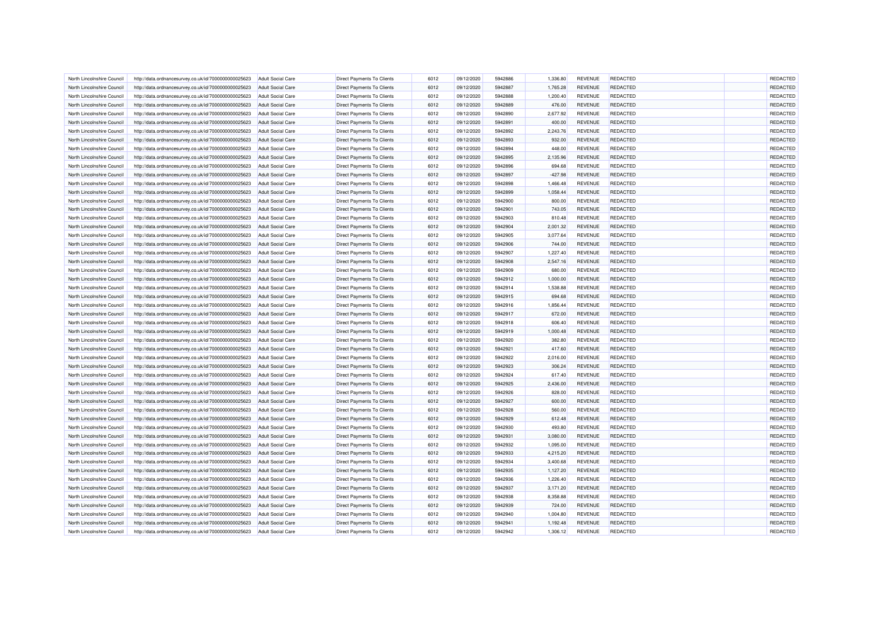| North Lincolnshire Council | http://data.ordnancesurvey.co.uk/id/7000000000025623 | <b>Adult Social Care</b> | <b>Direct Payments To Clients</b> | 6012 | 09/12/2020 | 5942886 | 1,336.80  | <b>REVENUE</b> | <b>REDACTED</b> | REDACTED |
|----------------------------|------------------------------------------------------|--------------------------|-----------------------------------|------|------------|---------|-----------|----------------|-----------------|----------|
| North Lincolnshire Council | http://data.ordnancesurvey.co.uk/id/7000000000025623 | <b>Adult Social Care</b> | Direct Payments To Clients        | 6012 | 09/12/2020 | 5942887 | 1,765.28  | <b>REVENUE</b> | <b>REDACTED</b> | REDACTED |
| North Lincolnshire Council | http://data.ordnancesurvey.co.uk/id/7000000000025623 | Adult Social Care        | <b>Direct Payments To Clients</b> | 6012 | 09/12/2020 | 5942888 | 1,200.40  | <b>REVENUE</b> | <b>REDACTED</b> | REDACTED |
| North Lincolnshire Counci  | http://data.ordnancesurvey.co.uk/id/7000000000025623 | <b>Adult Social Care</b> | <b>Direct Payments To Clients</b> | 6012 | 09/12/2020 | 5942889 | 476.00    | <b>REVENUE</b> | <b>REDACTED</b> | REDACTED |
| North Lincolnshire Council | http://data.ordnancesurvey.co.uk/id/7000000000025623 | <b>Adult Social Care</b> | Direct Payments To Clients        | 6012 | 09/12/2020 | 5942890 | 2,677.92  | <b>REVENUE</b> | <b>REDACTED</b> | REDACTED |
| North Lincolnshire Council | http://data.ordnancesurvey.co.uk/id/7000000000025623 | <b>Adult Social Care</b> | Direct Payments To Clients        | 6012 | 09/12/2020 | 5942891 | 400.00    | <b>REVENUE</b> | <b>REDACTED</b> | REDACTED |
| North Lincolnshire Council | http://data.ordnancesurvey.co.uk/id/7000000000025623 | <b>Adult Social Care</b> | Direct Payments To Clients        | 6012 | 09/12/2020 | 5942892 | 2,243.76  | <b>REVENUE</b> | <b>REDACTED</b> | REDACTED |
| North Lincolnshire Council | http://data.ordnancesurvey.co.uk/id/7000000000025623 | <b>Adult Social Care</b> | Direct Payments To Clients        | 6012 | 09/12/2020 | 5942893 | 932.00    | <b>REVENUE</b> | <b>REDACTED</b> | REDACTED |
| North Lincolnshire Council | http://data.ordnancesurvey.co.uk/id/7000000000025623 | <b>Adult Social Care</b> | Direct Payments To Clients        | 6012 | 09/12/2020 | 5942894 | 448.00    | <b>REVENUE</b> | <b>REDACTED</b> | REDACTED |
| North Lincolnshire Council | http://data.ordnancesurvey.co.uk/id/7000000000025623 | <b>Adult Social Care</b> | <b>Direct Payments To Clients</b> | 6012 | 09/12/2020 | 5942895 | 2,135.96  | <b>REVENUE</b> | <b>REDACTED</b> | REDACTED |
| North Lincolnshire Council | http://data.ordnancesurvey.co.uk/id/7000000000025623 | Adult Social Care        | <b>Direct Payments To Clients</b> | 6012 | 09/12/2020 | 5942896 | 694.68    | <b>REVENUE</b> | <b>REDACTED</b> | REDACTED |
| North Lincolnshire Council | http://data.ordnancesurvey.co.uk/id/7000000000025623 | <b>Adult Social Care</b> | <b>Direct Payments To Clients</b> | 6012 | 09/12/2020 | 5942897 | $-427.98$ | <b>REVENUE</b> | <b>REDACTED</b> | REDACTED |
| North Lincolnshire Council |                                                      | <b>Adult Social Care</b> |                                   | 6012 | 09/12/2020 | 5942898 |           | <b>REVENUE</b> | <b>REDACTED</b> | REDACTED |
|                            | http://data.ordnancesurvey.co.uk/id/7000000000025623 |                          | Direct Payments To Clients        |      |            |         | 1,466.48  |                |                 |          |
| North Lincolnshire Council | http://data.ordnancesurvey.co.uk/id/7000000000025623 | <b>Adult Social Care</b> | <b>Direct Payments To Clients</b> | 6012 | 09/12/2020 | 5942899 | 1,058.44  | <b>REVENUE</b> | <b>REDACTED</b> | REDACTED |
| North Lincolnshire Council | http://data.ordnancesurvey.co.uk/id/7000000000025623 | <b>Adult Social Care</b> | Direct Payments To Clients        | 6012 | 09/12/2020 | 5942900 | 800.00    | <b>REVENUE</b> | <b>REDACTED</b> | REDACTED |
| North Lincolnshire Council | http://data.ordnancesurvey.co.uk/id/7000000000025623 | <b>Adult Social Care</b> | Direct Payments To Clients        | 6012 | 09/12/2020 | 5942901 | 743.05    | <b>REVENUE</b> | <b>REDACTED</b> | REDACTED |
| North Lincolnshire Council | http://data.ordnancesurvey.co.uk/id/7000000000025623 | <b>Adult Social Care</b> | Direct Payments To Clients        | 6012 | 09/12/2020 | 5942903 | 810.48    | <b>REVENUE</b> | <b>REDACTED</b> | REDACTED |
| North Lincolnshire Council | http://data.ordnancesurvey.co.uk/id/7000000000025623 | <b>Adult Social Care</b> | <b>Direct Payments To Clients</b> | 6012 | 09/12/2020 | 5942904 | 2,001.32  | <b>REVENUE</b> | <b>REDACTED</b> | REDACTED |
| North Lincolnshire Council | http://data.ordnancesurvey.co.uk/id/7000000000025623 | <b>Adult Social Care</b> | <b>Direct Payments To Clients</b> | 6012 | 09/12/2020 | 5942905 | 3,077.64  | <b>REVENUE</b> | <b>REDACTED</b> | REDACTED |
| North Lincolnshire Counci  | http://data.ordnancesurvey.co.uk/id/7000000000025623 | <b>Adult Social Care</b> | <b>Direct Payments To Clients</b> | 6012 | 09/12/2020 | 5942906 | 744.00    | <b>REVENUE</b> | <b>REDACTED</b> | REDACTED |
| North Lincolnshire Council | http://data.ordnancesurvey.co.uk/id/7000000000025623 | <b>Adult Social Care</b> | Direct Payments To Clients        | 6012 | 09/12/2020 | 5942907 | 1,227.40  | <b>REVENUE</b> | <b>REDACTED</b> | REDACTED |
| North Lincolnshire Council | http://data.ordnancesurvey.co.uk/id/7000000000025623 | Adult Social Care        | <b>Direct Payments To Clients</b> | 6012 | 09/12/2020 | 5942908 | 2,547.16  | <b>REVENUE</b> | <b>REDACTED</b> | REDACTED |
| North Lincolnshire Council | http://data.ordnancesurvey.co.uk/id/7000000000025623 | <b>Adult Social Care</b> | Direct Payments To Clients        | 6012 | 09/12/2020 | 5942909 | 680.00    | <b>REVENUE</b> | <b>REDACTED</b> | REDACTED |
| North Lincolnshire Council | http://data.ordnancesurvey.co.uk/id/7000000000025623 | <b>Adult Social Care</b> | Direct Payments To Clients        | 6012 | 09/12/2020 | 5942912 | 1,000.00  | <b>REVENUE</b> | <b>REDACTED</b> | REDACTED |
| North Lincolnshire Council | http://data.ordnancesurvey.co.uk/id/7000000000025623 | <b>Adult Social Care</b> | Direct Payments To Clients        | 6012 | 09/12/2020 | 5942914 | 1,538.88  | <b>REVENUE</b> | <b>REDACTED</b> | REDACTED |
| North Lincolnshire Council | http://data.ordnancesurvey.co.uk/id/7000000000025623 | <b>Adult Social Care</b> | Direct Payments To Clients        | 6012 | 09/12/2020 | 5942915 | 694.68    | <b>REVENUE</b> | <b>REDACTED</b> | REDACTED |
| North Lincolnshire Council | http://data.ordnancesurvey.co.uk/id/7000000000025623 | Adult Social Care        | <b>Direct Payments To Clients</b> | 6012 | 09/12/2020 | 5942916 | 1,856.44  | <b>REVENUE</b> | <b>REDACTED</b> | REDACTED |
| North Lincolnshire Council | http://data.ordnancesurvey.co.uk/id/7000000000025623 | <b>Adult Social Care</b> | <b>Direct Payments To Clients</b> | 6012 | 09/12/2020 | 5942917 | 672.00    | <b>REVENUE</b> | <b>REDACTED</b> | REDACTED |
| North Lincolnshire Council | http://data.ordnancesurvey.co.uk/id/7000000000025623 | <b>Adult Social Care</b> | Direct Payments To Clients        | 6012 | 09/12/2020 | 5942918 | 606.40    | <b>REVENUE</b> | <b>REDACTED</b> | REDACTED |
| North Lincolnshire Council | http://data.ordnancesurvey.co.uk/id/7000000000025623 | Adult Social Care        | Direct Payments To Clients        | 6012 | 09/12/2020 | 5942919 | 1,000.48  | <b>REVENUE</b> | REDACTED        | REDACTED |
| North Lincolnshire Council | http://data.ordnancesurvey.co.uk/id/7000000000025623 | <b>Adult Social Care</b> | Direct Payments To Clients        | 6012 | 09/12/2020 | 5942920 | 382.80    | <b>REVENUE</b> | REDACTED        | REDACTED |
| North Lincolnshire Council | http://data.ordnancesurvey.co.uk/id/7000000000025623 | <b>Adult Social Care</b> | Direct Payments To Clients        | 6012 | 09/12/2020 | 5942921 | 417.60    | <b>REVENUE</b> | <b>REDACTED</b> | REDACTED |
| North Lincolnshire Council | http://data.ordnancesurvey.co.uk/id/7000000000025623 | <b>Adult Social Care</b> | Direct Payments To Clients        | 6012 | 09/12/2020 | 5942922 | 2,016.00  | <b>REVENUE</b> | <b>REDACTED</b> | REDACTED |
| North Lincolnshire Council | http://data.ordnancesurvey.co.uk/id/7000000000025623 | <b>Adult Social Care</b> | Direct Payments To Clients        | 6012 | 09/12/2020 | 5942923 | 306.24    | <b>REVENUE</b> | <b>REDACTED</b> | REDACTED |
| North Lincolnshire Council | http://data.ordnancesurvey.co.uk/id/7000000000025623 | Adult Social Care        | Direct Payments To Clients        | 6012 | 09/12/2020 | 5942924 | 617.40    | <b>REVENUE</b> | <b>REDACTED</b> | REDACTED |
| North Lincolnshire Council | http://data.ordnancesurvey.co.uk/id/7000000000025623 | <b>Adult Social Care</b> | Direct Payments To Clients        | 6012 | 09/12/2020 | 5942925 | 2,436.00  | <b>REVENUE</b> | <b>REDACTED</b> | REDACTED |
| North Lincolnshire Council | http://data.ordnancesurvey.co.uk/id/7000000000025623 | <b>Adult Social Care</b> | <b>Direct Payments To Clients</b> | 6012 | 09/12/2020 | 5942926 | 828.00    | <b>REVENUE</b> | <b>REDACTED</b> | REDACTED |
| North Lincolnshire Council | http://data.ordnancesurvey.co.uk/id/7000000000025623 | Adult Social Care        | <b>Direct Payments To Clients</b> | 6012 | 09/12/2020 | 5942927 | 600.00    | <b>REVENUE</b> | <b>REDACTED</b> | REDACTED |
| North Lincolnshire Council | http://data.ordnancesurvey.co.uk/id/7000000000025623 | <b>Adult Social Care</b> | <b>Direct Payments To Clients</b> | 6012 | 09/12/2020 | 5942928 | 560.00    | <b>REVENUE</b> | <b>REDACTED</b> | REDACTED |
| North Lincolnshire Council | http://data.ordnancesurvey.co.uk/id/7000000000025623 | <b>Adult Social Care</b> | Direct Payments To Clients        | 6012 | 09/12/2020 | 5942929 | 612.48    | <b>REVENUE</b> | <b>REDACTED</b> | REDACTED |
| North Lincolnshire Council | http://data.ordnancesurvey.co.uk/id/7000000000025623 | <b>Adult Social Care</b> | <b>Direct Payments To Clients</b> | 6012 | 09/12/2020 | 5942930 | 493.80    | <b>REVENUE</b> | REDACTED        | REDACTED |
| North Lincolnshire Council | http://data.ordnancesurvey.co.uk/id/7000000000025623 | <b>Adult Social Care</b> | Direct Payments To Clients        | 6012 | 09/12/2020 | 5942931 | 3,080.00  | <b>REVENUE</b> | <b>REDACTED</b> | REDACTED |
| North Lincolnshire Council | http://data.ordnancesurvey.co.uk/id/7000000000025623 | <b>Adult Social Care</b> | Direct Payments To Clients        | 6012 | 09/12/2020 | 5942932 | 1,095.00  | <b>REVENUE</b> | <b>REDACTED</b> | REDACTED |
| North Lincolnshire Council | http://data.ordnancesurvey.co.uk/id/7000000000025623 | <b>Adult Social Care</b> | Direct Payments To Clients        | 6012 | 09/12/2020 | 5942933 | 4,215.20  | <b>REVENUE</b> | <b>REDACTED</b> | REDACTED |
| North Lincolnshire Council | http://data.ordnancesurvey.co.uk/id/7000000000025623 |                          | <b>Direct Payments To Clients</b> | 6012 | 09/12/2020 | 5942934 | 3,400.68  | <b>REVENUE</b> | <b>REDACTED</b> | REDACTED |
|                            |                                                      | <b>Adult Social Care</b> |                                   |      |            | 5942935 |           |                |                 |          |
| North Lincolnshire Council | http://data.ordnancesurvey.co.uk/id/7000000000025623 | <b>Adult Social Care</b> | <b>Direct Payments To Clients</b> | 6012 | 09/12/2020 |         | 1,127.20  | <b>REVENUE</b> | <b>REDACTED</b> | REDACTED |
| North Lincolnshire Council | http://data.ordnancesurvey.co.uk/id/7000000000025623 | <b>Adult Social Care</b> | <b>Direct Payments To Clients</b> | 6012 | 09/12/2020 | 5942936 | 1,226.40  | <b>REVENUE</b> | <b>REDACTED</b> | REDACTED |
| North Lincolnshire Council | http://data.ordnancesurvey.co.uk/id/7000000000025623 | <b>Adult Social Care</b> | Direct Payments To Clients        | 6012 | 09/12/2020 | 5942937 | 3,171.20  | <b>REVENUE</b> | <b>REDACTED</b> | REDACTED |
| North Lincolnshire Council | http://data.ordnancesurvey.co.uk/id/7000000000025623 | Adult Social Care        | <b>Direct Payments To Clients</b> | 6012 | 09/12/2020 | 5942938 | 8,358.88  | <b>REVENUE</b> | <b>REDACTED</b> | REDACTED |
| North Lincolnshire Council | http://data.ordnancesurvey.co.uk/id/7000000000025623 | <b>Adult Social Care</b> | Direct Payments To Clients        | 6012 | 09/12/2020 | 5942939 | 724.00    | <b>REVENUE</b> | <b>REDACTED</b> | REDACTED |
| North Lincolnshire Council | http://data.ordnancesurvey.co.uk/id/7000000000025623 | <b>Adult Social Care</b> | Direct Payments To Clients        | 6012 | 09/12/2020 | 5942940 | 1,004.80  | <b>REVENUE</b> | <b>REDACTED</b> | REDACTED |
| North Lincolnshire Council | http://data.ordnancesurvey.co.uk/id/7000000000025623 | <b>Adult Social Care</b> | Direct Payments To Clients        | 6012 | 09/12/2020 | 5942941 | 1,192.48  | <b>REVENUE</b> | <b>REDACTED</b> | REDACTED |
| North Lincolnshire Council | http://data.ordnancesurvey.co.uk/id/7000000000025623 | <b>Adult Social Care</b> | Direct Payments To Clients        | 6012 | 09/12/2020 | 5942942 | 1,306.12  | <b>REVENUE</b> | <b>REDACTED</b> | REDACTED |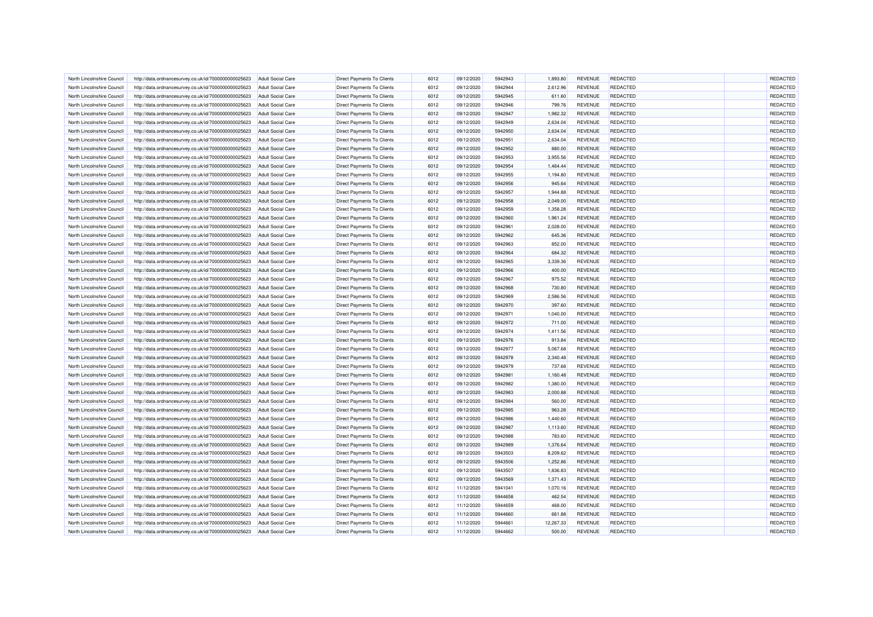| North Lincolnshire Council | http://data.ordnancesurvey.co.uk/id/7000000000025623 | <b>Adult Social Care</b> | <b>Direct Payments To Clients</b> | 6012         | 09/12/2020 | 5942943 | 1.893.80             | <b>REVENUE</b> | <b>REDACTED</b> | REDACTED |
|----------------------------|------------------------------------------------------|--------------------------|-----------------------------------|--------------|------------|---------|----------------------|----------------|-----------------|----------|
| North Lincolnshire Council | http://data.ordnancesurvey.co.uk/id/7000000000025623 | <b>Adult Social Care</b> | Direct Payments To Clients        | 6012         | 09/12/2020 | 5942944 | 2,612.96             | <b>REVENUE</b> | <b>REDACTED</b> | REDACTED |
| North Lincolnshire Council | http://data.ordnancesurvey.co.uk/id/7000000000025623 | Adult Social Care        | <b>Direct Payments To Clients</b> | 6012         | 09/12/2020 | 5942945 | 611.60               | <b>REVENUE</b> | <b>REDACTED</b> | REDACTED |
| North Lincolnshire Counci  | http://data.ordnancesurvey.co.uk/id/7000000000025623 | <b>Adult Social Care</b> | Direct Payments To Clients        | 6012         | 09/12/2020 | 5942946 | 799.76               | <b>REVENUE</b> | REDACTED        | REDACTED |
| North Lincolnshire Council | http://data.ordnancesurvey.co.uk/id/7000000000025623 | <b>Adult Social Care</b> | Direct Payments To Clients        | 6012         | 09/12/2020 | 5942947 | 1,982.32             | <b>REVENUE</b> | <b>REDACTED</b> | REDACTED |
| North Lincolnshire Council | http://data.ordnancesurvey.co.uk/id/7000000000025623 | <b>Adult Social Care</b> | Direct Payments To Clients        | 6012         | 09/12/2020 | 5942949 | 2,634.04             | <b>REVENUE</b> | <b>REDACTED</b> | REDACTED |
| North Lincolnshire Council | http://data.ordnancesurvey.co.uk/id/7000000000025623 | <b>Adult Social Care</b> | Direct Payments To Clients        | 6012         | 09/12/2020 | 5942950 | 2,634.04             | <b>REVENUE</b> | <b>REDACTED</b> | REDACTED |
| North Lincolnshire Council | http://data.ordnancesurvey.co.uk/id/7000000000025623 | Adult Social Care        | Direct Payments To Clients        | 6012         | 09/12/2020 | 5942951 | 2,634.04             | <b>REVENUE</b> | <b>REDACTED</b> | REDACTED |
| North Lincolnshire Council | http://data.ordnancesurvey.co.uk/id/7000000000025623 | <b>Adult Social Care</b> | Direct Payments To Clients        | 6012         | 09/12/2020 | 5942952 | 880.00               | <b>REVENUE</b> | <b>REDACTED</b> | REDACTED |
| North Lincolnshire Council | http://data.ordnancesurvey.co.uk/id/7000000000025623 | <b>Adult Social Care</b> | <b>Direct Payments To Clients</b> |              | 09/12/2020 | 5942953 |                      | <b>REVENUE</b> | <b>REDACTED</b> | REDACTED |
| North Lincolnshire Council | http://data.ordnancesurvey.co.uk/id/7000000000025623 | Adult Social Care        | <b>Direct Payments To Clients</b> | 6012<br>6012 | 09/12/2020 | 5942954 | 3,955.56<br>1,464.44 | <b>REVENUE</b> | <b>REDACTED</b> | REDACTED |
|                            |                                                      |                          |                                   |              |            |         |                      |                |                 |          |
| North Lincolnshire Council | http://data.ordnancesurvey.co.uk/id/7000000000025623 | <b>Adult Social Care</b> | <b>Direct Payments To Clients</b> | 6012         | 09/12/2020 | 5942955 | 1,194.80             | <b>REVENUE</b> | <b>REDACTED</b> | REDACTED |
| North Lincolnshire Council | http://data.ordnancesurvey.co.uk/id/7000000000025623 | <b>Adult Social Care</b> | Direct Payments To Clients        | 6012         | 09/12/2020 | 5942956 | 945.64               | <b>REVENUE</b> | <b>REDACTED</b> | REDACTED |
| North Lincolnshire Council | http://data.ordnancesurvey.co.uk/id/7000000000025623 | <b>Adult Social Care</b> | <b>Direct Payments To Clients</b> | 6012         | 09/12/2020 | 5942957 | 1,944.88             | <b>REVENUE</b> | <b>REDACTED</b> | REDACTED |
| North Lincolnshire Council | http://data.ordnancesurvey.co.uk/id/7000000000025623 | <b>Adult Social Care</b> | Direct Payments To Clients        | 6012         | 09/12/2020 | 5942958 | 2,049.00             | <b>REVENUE</b> | <b>REDACTED</b> | REDACTED |
| North Lincolnshire Council | http://data.ordnancesurvey.co.uk/id/7000000000025623 | <b>Adult Social Care</b> | Direct Payments To Clients        | 6012         | 09/12/2020 | 5942959 | 1,358.28             | <b>REVENUE</b> | <b>REDACTED</b> | REDACTED |
| North Lincolnshire Council | http://data.ordnancesurvey.co.uk/id/7000000000025623 | <b>Adult Social Care</b> | Direct Payments To Clients        | 6012         | 09/12/2020 | 5942960 | 1,961.24             | <b>REVENUE</b> | <b>REDACTED</b> | REDACTED |
| North Lincolnshire Council | http://data.ordnancesurvey.co.uk/id/7000000000025623 | <b>Adult Social Care</b> | <b>Direct Payments To Clients</b> | 6012         | 09/12/2020 | 5942961 | 2,028.00             | <b>REVENUE</b> | <b>REDACTED</b> | REDACTED |
| North Lincolnshire Council | http://data.ordnancesurvey.co.uk/id/7000000000025623 | <b>Adult Social Care</b> | Direct Payments To Clients        | 6012         | 09/12/2020 | 5942962 | 645.36               | <b>REVENUE</b> | <b>REDACTED</b> | REDACTED |
| North Lincolnshire Council | http://data.ordnancesurvey.co.uk/id/7000000000025623 | <b>Adult Social Care</b> | <b>Direct Payments To Clients</b> | 6012         | 09/12/2020 | 5942963 | 852.00               | <b>REVENUE</b> | <b>REDACTED</b> | REDACTED |
| North Lincolnshire Council | http://data.ordnancesurvey.co.uk/id/7000000000025623 | <b>Adult Social Care</b> | Direct Payments To Clients        | 6012         | 09/12/2020 | 5942964 | 684.32               | <b>REVENUE</b> | <b>REDACTED</b> | REDACTED |
| North Lincolnshire Council | http://data.ordnancesurvey.co.uk/id/7000000000025623 | Adult Social Care        | <b>Direct Payments To Clients</b> | 6012         | 09/12/2020 | 5942965 | 3,339.36             | <b>REVENUE</b> | <b>REDACTED</b> | REDACTED |
| North Lincolnshire Council | http://data.ordnancesurvey.co.uk/id/7000000000025623 | <b>Adult Social Care</b> | Direct Payments To Clients        | 6012         | 09/12/2020 | 5942966 | 400.00               | <b>REVENUE</b> | <b>REDACTED</b> | REDACTED |
| North Lincolnshire Council | http://data.ordnancesurvey.co.uk/id/7000000000025623 | <b>Adult Social Care</b> | Direct Payments To Clients        | 6012         | 09/12/2020 | 5942967 | 975.52               | <b>REVENUE</b> | <b>REDACTED</b> | REDACTED |
| North Lincolnshire Council | http://data.ordnancesurvey.co.uk/id/7000000000025623 | <b>Adult Social Care</b> | Direct Payments To Clients        | 6012         | 09/12/2020 | 5942968 | 730.80               | <b>REVENUE</b> | <b>REDACTED</b> | REDACTED |
| North Lincolnshire Council | http://data.ordnancesurvey.co.uk/id/7000000000025623 | <b>Adult Social Care</b> | Direct Payments To Clients        | 6012         | 09/12/2020 | 5942969 | 2,586.56             | <b>REVENUE</b> | <b>REDACTED</b> | REDACTED |
| North Lincolnshire Council | http://data.ordnancesurvey.co.uk/id/7000000000025623 | Adult Social Care        | <b>Direct Payments To Clients</b> | 6012         | 09/12/2020 | 5942970 | 397.60               | <b>REVENUE</b> | <b>REDACTED</b> | REDACTED |
| North Lincolnshire Council | http://data.ordnancesurvey.co.uk/id/7000000000025623 | <b>Adult Social Care</b> | <b>Direct Payments To Clients</b> | 6012         | 09/12/2020 | 5942971 | 1,040.00             | <b>REVENUE</b> | <b>REDACTED</b> | REDACTED |
| North Lincolnshire Council | http://data.ordnancesurvey.co.uk/id/7000000000025623 | <b>Adult Social Care</b> | Direct Payments To Clients        | 6012         | 09/12/2020 | 5942972 | 711.00               | <b>REVENUE</b> | <b>REDACTED</b> | REDACTED |
| North Lincolnshire Council | http://data.ordnancesurvey.co.uk/id/7000000000025623 | Adult Social Care        | Direct Payments To Clients        | 6012         | 09/12/2020 | 5942974 | 1,411.56             | <b>REVENUE</b> | <b>REDACTED</b> | REDACTED |
| North Lincolnshire Counci  | http://data.ordnancesurvey.co.uk/id/7000000000025623 | <b>Adult Social Care</b> | <b>Direct Payments To Clients</b> | 6012         | 09/12/2020 | 5942976 | 913.84               | <b>REVENUE</b> | <b>REDACTED</b> | REDACTED |
| North Lincolnshire Council | http://data.ordnancesurvey.co.uk/id/7000000000025623 | <b>Adult Social Care</b> | Direct Payments To Clients        | 6012         | 09/12/2020 | 5942977 | 5,067.68             | <b>REVENUE</b> | <b>REDACTED</b> | REDACTED |
| North Lincolnshire Council | http://data.ordnancesurvey.co.uk/id/7000000000025623 | <b>Adult Social Care</b> | Direct Payments To Clients        | 6012         | 09/12/2020 | 5942978 | 2,340.48             | <b>REVENUE</b> | <b>REDACTED</b> | REDACTED |
| North Lincolnshire Council | http://data.ordnancesurvey.co.uk/id/7000000000025623 | <b>Adult Social Care</b> | Direct Payments To Clients        | 6012         | 09/12/2020 | 5942979 | 737.68               | <b>REVENUE</b> | <b>REDACTED</b> | REDACTED |
| North Lincolnshire Council | http://data.ordnancesurvey.co.uk/id/7000000000025623 | <b>Adult Social Care</b> | Direct Payments To Clients        | 6012         | 09/12/2020 | 5942981 | 1,160.48             | <b>REVENUE</b> | <b>REDACTED</b> | REDACTED |
| North Lincolnshire Council | http://data.ordnancesurvey.co.uk/id/7000000000025623 | <b>Adult Social Care</b> | <b>Direct Payments To Clients</b> | 6012         | 09/12/2020 | 5942982 | 1,380.00             | <b>REVENUE</b> | REDACTED        | REDACTED |
| North Lincolnshire Council | http://data.ordnancesurvey.co.uk/id/7000000000025623 | <b>Adult Social Care</b> | <b>Direct Payments To Clients</b> | 6012         | 09/12/2020 | 5942983 | 2,000.88             | <b>REVENUE</b> | <b>REDACTED</b> | REDACTED |
| North Lincolnshire Council | http://data.ordnancesurvey.co.uk/id/7000000000025623 | Adult Social Care        | <b>Direct Payments To Clients</b> | 6012         | 09/12/2020 | 5942984 | 560.00               | <b>REVENUE</b> | <b>REDACTED</b> | REDACTED |
| North Lincolnshire Council | http://data.ordnancesurvey.co.uk/id/7000000000025623 | <b>Adult Social Care</b> | <b>Direct Payments To Clients</b> | 6012         | 09/12/2020 | 5942985 | 963.28               | <b>REVENUE</b> | <b>REDACTED</b> | REDACTED |
|                            |                                                      |                          |                                   |              |            |         |                      |                | <b>REDACTED</b> | REDACTED |
| North Lincolnshire Council | http://data.ordnancesurvey.co.uk/id/7000000000025623 | <b>Adult Social Care</b> | Direct Payments To Clients        | 6012         | 09/12/2020 | 5942986 | 1,440.60             | <b>REVENUE</b> |                 |          |
| North Lincolnshire Council | http://data.ordnancesurvey.co.uk/id/7000000000025623 | <b>Adult Social Care</b> | <b>Direct Payments To Clients</b> | 6012         | 09/12/2020 | 5942987 | 1,113.60             | <b>REVENUE</b> | <b>REDACTED</b> | REDACTED |
| North Lincolnshire Council | http://data.ordnancesurvey.co.uk/id/7000000000025623 | <b>Adult Social Care</b> | Direct Payments To Clients        | 6012         | 09/12/2020 | 5942988 | 783.60               | <b>REVENUE</b> | <b>REDACTED</b> | REDACTED |
| North Lincolnshire Council | http://data.ordnancesurvey.co.uk/id/7000000000025623 | <b>Adult Social Care</b> | Direct Payments To Clients        | 6012         | 09/12/2020 | 5942989 | 1,376.64             | <b>REVENUE</b> | <b>REDACTED</b> | REDACTED |
| North Lincolnshire Council | http://data.ordnancesurvey.co.uk/id/7000000000025623 | <b>Adult Social Care</b> | Direct Payments To Clients        | 6012         | 09/12/2020 | 5943503 | 8,209.62             | <b>REVENUE</b> | <b>REDACTED</b> | REDACTED |
| North Lincolnshire Council | http://data.ordnancesurvey.co.uk/id/7000000000025623 | <b>Adult Social Care</b> | <b>Direct Payments To Clients</b> | 6012         | 09/12/2020 | 5943506 | 1,252.86             | <b>REVENUE</b> | <b>REDACTED</b> | REDACTED |
| North Lincolnshire Council | http://data.ordnancesurvey.co.uk/id/7000000000025623 | <b>Adult Social Care</b> | <b>Direct Payments To Clients</b> | 6012         | 09/12/2020 | 5943507 | 1,836.83             | <b>REVENUE</b> | <b>REDACTED</b> | REDACTED |
| North Lincolnshire Council | http://data.ordnancesurvey.co.uk/id/7000000000025623 | <b>Adult Social Care</b> | <b>Direct Payments To Clients</b> | 6012         | 09/12/2020 | 5943569 | 1,371.43             | <b>REVENUE</b> | <b>REDACTED</b> | REDACTED |
| North Lincolnshire Council | http://data.ordnancesurvey.co.uk/id/7000000000025623 | <b>Adult Social Care</b> | Direct Payments To Clients        | 6012         | 11/12/2020 | 5941041 | 1,070.16             | <b>REVENUE</b> | <b>REDACTED</b> | REDACTED |
| North Lincolnshire Council | http://data.ordnancesurvey.co.uk/id/7000000000025623 | Adult Social Care        | <b>Direct Payments To Clients</b> | 6012         | 11/12/2020 | 5944658 | 462.54               | <b>REVENUE</b> | <b>REDACTED</b> | REDACTED |
| North Lincolnshire Council | http://data.ordnancesurvey.co.uk/id/7000000000025623 | <b>Adult Social Care</b> | Direct Payments To Clients        | 6012         | 11/12/2020 | 5944659 | 468.00               | <b>REVENUE</b> | <b>REDACTED</b> | REDACTED |
| North Lincolnshire Council | http://data.ordnancesurvey.co.uk/id/7000000000025623 | <b>Adult Social Care</b> | Direct Payments To Clients        | 6012         | 11/12/2020 | 5944660 | 661.88               | <b>REVENUE</b> | <b>REDACTED</b> | REDACTED |
| North Lincolnshire Council | http://data.ordnancesurvey.co.uk/id/7000000000025623 | <b>Adult Social Care</b> | Direct Payments To Clients        | 6012         | 11/12/2020 | 5944661 | 12,267.33            | <b>REVENUE</b> | <b>REDACTED</b> | REDACTED |
| North Lincolnshire Council | http://data.ordnancesurvey.co.uk/id/7000000000025623 | <b>Adult Social Care</b> | Direct Payments To Clients        | 6012         | 11/12/2020 | 5944662 | 500.00               | <b>REVENUE</b> | <b>REDACTED</b> | REDACTED |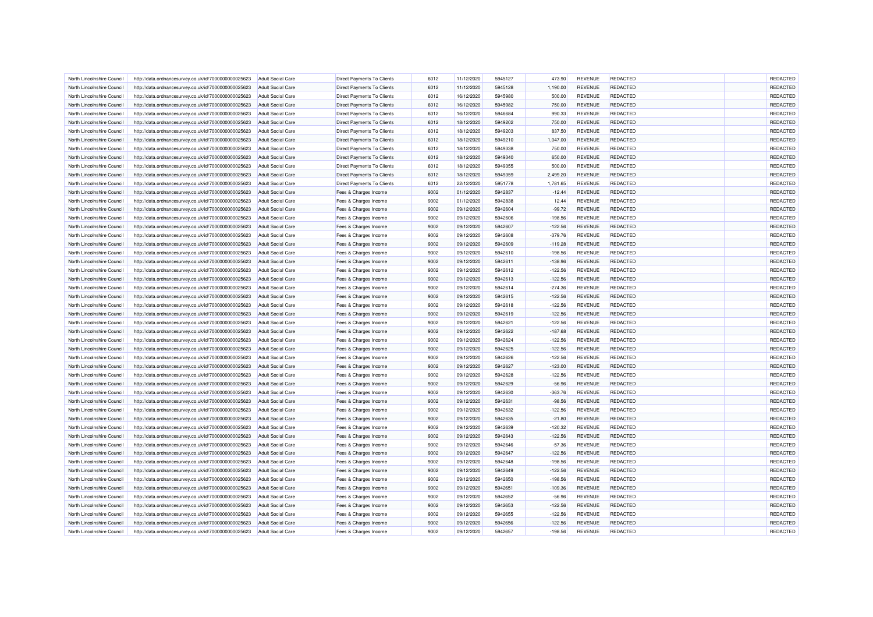| North Lincolnshire Council | http://data.ordnancesurvey.co.uk/id/7000000000025623 | Adult Social Care                                    | <b>Direct Payments To Clients</b> | 6012 | 11/12/2020               | 5945127 | 473.90    | <b>REVENUE</b> | REDACTED        | REDACTED |
|----------------------------|------------------------------------------------------|------------------------------------------------------|-----------------------------------|------|--------------------------|---------|-----------|----------------|-----------------|----------|
| North Lincolnshire Council | http://data.ordnancesurvey.co.uk/id/7000000000025623 | <b>Adult Social Care</b>                             | <b>Direct Payments To Clients</b> | 6012 | 11/12/2020               | 5945128 | 1,190.00  | <b>REVENUE</b> | <b>REDACTED</b> | REDACTED |
| North Lincolnshire Council | http://data.ordnancesurvey.co.uk/id/7000000000025623 | <b>Adult Social Care</b>                             | Direct Payments To Clients        | 6012 | 16/12/2020               | 5945980 | 500.00    | <b>REVENUE</b> | <b>REDACTED</b> | REDACTED |
| North Lincolnshire Council | http://data.ordnancesurvey.co.uk/id/7000000000025623 | <b>Adult Social Care</b>                             | <b>Direct Payments To Clients</b> | 6012 | 16/12/2020               | 5945982 | 750.00    | <b>REVENUE</b> | REDACTED        | REDACTED |
| North Lincolnshire Council | http://data.ordnancesurvey.co.uk/id/7000000000025623 | <b>Adult Social Care</b>                             | Direct Payments To Clients        | 6012 | 16/12/2020               | 5946684 | 990.33    | <b>REVENUE</b> | <b>REDACTED</b> | REDACTED |
| North Lincolnshire Council | http://data.ordnancesurvey.co.uk/id/7000000000025623 | <b>Adult Social Care</b>                             | Direct Payments To Clients        | 6012 | 18/12/2020               | 5949202 | 750.00    | <b>REVENUE</b> | <b>REDACTED</b> | REDACTED |
| North Lincolnshire Council | http://data.ordnancesurvey.co.uk/id/7000000000025623 | <b>Adult Social Care</b>                             | Direct Payments To Clients        | 6012 | 18/12/2020               | 5949203 | 837.50    | <b>REVENUE</b> | <b>REDACTED</b> | REDACTED |
| North Lincolnshire Council | http://data.ordnancesurvey.co.uk/id/7000000000025623 | <b>Adult Social Care</b>                             | Direct Payments To Clients        | 6012 | 18/12/2020               | 5949210 | 1,047.00  | <b>REVENUE</b> | REDACTED        | REDACTED |
| North Lincolnshire Council | http://data.ordnancesurvey.co.uk/id/7000000000025623 | <b>Adult Social Care</b>                             | Direct Payments To Clients        | 6012 | 18/12/2020               | 5949338 | 750.00    | <b>REVENUE</b> | REDACTED        | REDACTED |
| North Lincolnshire Council | http://data.ordnancesurvey.co.uk/id/7000000000025623 | <b>Adult Social Care</b>                             | Direct Payments To Clients        | 6012 | 18/12/2020               | 5949340 | 650.00    | <b>REVENUE</b> | <b>REDACTED</b> | REDACTED |
| North Lincolnshire Council | http://data.ordnancesurvey.co.uk/id/7000000000025623 | <b>Adult Social Care</b>                             | <b>Direct Payments To Clients</b> | 6012 | 18/12/2020               | 5949355 | 500.00    | <b>REVENUE</b> | <b>REDACTED</b> | REDACTED |
| North Lincolnshire Council | http://data.ordnancesurvey.co.uk/id/7000000000025623 | <b>Adult Social Care</b>                             | <b>Direct Payments To Clients</b> | 6012 | 18/12/2020               | 5949359 | 2.499.20  | <b>REVENUE</b> | <b>REDACTED</b> | REDACTED |
| North Lincolnshire Council | http://data.ordnancesurvey.co.uk/id/7000000000025623 | <b>Adult Social Care</b>                             | <b>Direct Payments To Clients</b> | 6012 | 22/12/2020               | 5951778 | 1,781.65  | <b>REVENUE</b> | <b>REDACTED</b> | REDACTED |
| North Lincolnshire Council | http://data.ordnancesurvey.co.uk/id/7000000000025623 | <b>Adult Social Care</b>                             | Fees & Charges Income             | 9002 | 01/12/2020               | 5942837 | $-12.44$  | <b>REVENUE</b> | REDACTED        | REDACTED |
| North Lincolnshire Council | http://data.ordnancesurvey.co.uk/id/7000000000025623 | <b>Adult Social Care</b>                             | Fees & Charges Income             | 9002 | 01/12/2020               | 5942838 | 12.44     | <b>REVENUE</b> | <b>REDACTED</b> | REDACTED |
| North Lincolnshire Council | http://data.ordnancesurvey.co.uk/id/7000000000025623 | <b>Adult Social Care</b>                             | Fees & Charges Income             | 9002 | 09/12/2020               | 5942604 | $-99.72$  | <b>REVENUE</b> | <b>REDACTED</b> | REDACTED |
| North Lincolnshire Council | http://data.ordnancesurvey.co.uk/id/7000000000025623 | <b>Adult Social Care</b>                             | Fees & Charges Income             | 9002 | 09/12/2020               | 5942606 | $-198.56$ | <b>REVENUE</b> | <b>REDACTED</b> | REDACTED |
| North Lincolnshire Council | http://data.ordnancesurvey.co.uk/id/7000000000025623 | <b>Adult Social Care</b>                             | Fees & Charges Income             | 9002 | 09/12/2020               | 5942607 | $-122.56$ | <b>REVENUE</b> | <b>REDACTED</b> | REDACTED |
| North Lincolnshire Council | http://data.ordnancesurvey.co.uk/id/7000000000025623 | <b>Adult Social Care</b>                             | Fees & Charges Income             | 9002 | 09/12/2020               | 5942608 | $-379.76$ | <b>REVENUE</b> | <b>REDACTED</b> | REDACTED |
| North Lincolnshire Council | http://data.ordnancesurvey.co.uk/id/7000000000025623 | <b>Adult Social Care</b>                             | Fees & Charges Income             | 9002 | 09/12/2020               | 5942609 | $-119.28$ | <b>REVENUE</b> | REDACTED        | REDACTED |
| North Lincolnshire Council |                                                      |                                                      |                                   | 9002 |                          | 5942610 |           |                | <b>REDACTED</b> | REDACTED |
| North Lincolnshire Council | http://data.ordnancesurvey.co.uk/id/7000000000025623 | <b>Adult Social Care</b><br><b>Adult Social Care</b> | Fees & Charges Income             | 9002 | 09/12/2020<br>09/12/2020 | 5942611 | $-198.56$ | <b>REVENUE</b> | <b>REDACTED</b> | REDACTED |
|                            | http://data.ordnancesurvey.co.uk/id/7000000000025623 |                                                      | Fees & Charges Income             | 9002 |                          | 5942612 | $-138.96$ | <b>REVENUE</b> |                 |          |
| North Lincolnshire Council | http://data.ordnancesurvey.co.uk/id/7000000000025623 | <b>Adult Social Care</b>                             | Fees & Charges Income             |      | 09/12/2020               |         | $-122.56$ | <b>REVENUE</b> | REDACTED        | REDACTED |
| North Lincolnshire Council | http://data.ordnancesurvey.co.uk/id/7000000000025623 | <b>Adult Social Care</b>                             | Fees & Charges Income             | 9002 | 09/12/2020               | 5942613 | $-122.56$ | <b>REVENUE</b> | <b>REDACTED</b> | REDACTED |
| North Lincolnshire Council | http://data.ordnancesurvey.co.uk/id/7000000000025623 | Adult Social Care                                    | Fees & Charges Income             | 9002 | 09/12/2020               | 5942614 | $-274.36$ | <b>REVENUE</b> | REDACTED        | REDACTED |
| North Lincolnshire Council | http://data.ordnancesurvey.co.uk/id/7000000000025623 | <b>Adult Social Care</b>                             | Fees & Charges Income             | 9002 | 09/12/2020               | 5942615 | $-122.56$ | <b>REVENUE</b> | REDACTED        | REDACTED |
| North Lincolnshire Council | http://data.ordnancesurvey.co.uk/id/7000000000025623 | <b>Adult Social Care</b>                             | Fees & Charges Income             | 9002 | 09/12/2020               | 5942618 | $-122.56$ | <b>REVENUE</b> | <b>REDACTED</b> | REDACTED |
| North Lincolnshire Council | http://data.ordnancesurvey.co.uk/id/7000000000025623 | <b>Adult Social Care</b>                             | Fees & Charges Income             | 9002 | 09/12/2020               | 5942619 | $-122.56$ | <b>REVENUE</b> | REDACTED        | REDACTED |
| North Lincolnshire Council | http://data.ordnancesurvey.co.uk/id/7000000000025623 | <b>Adult Social Care</b>                             | Fees & Charges Income             | 9002 | 09/12/2020               | 5942621 | $-122.56$ | <b>REVENUE</b> | <b>REDACTED</b> | REDACTED |
| North Lincolnshire Council | http://data.ordnancesurvey.co.uk/id/7000000000025623 | <b>Adult Social Care</b>                             | Fees & Charges Income             | 9002 | 09/12/2020               | 5942622 | $-187.68$ | <b>REVENUE</b> | REDACTED        | REDACTED |
| North Lincolnshire Council | http://data.ordnancesurvey.co.uk/id/7000000000025623 | <b>Adult Social Care</b>                             | Fees & Charges Income             | 9002 | 09/12/2020               | 5942624 | $-122.56$ | <b>REVENUE</b> | REDACTED        | REDACTED |
| North Lincolnshire Council | http://data.ordnancesurvey.co.uk/id/7000000000025623 | <b>Adult Social Care</b>                             | Fees & Charges Income             | 9002 | 09/12/2020               | 5942625 | $-122.56$ | <b>REVENUE</b> | <b>REDACTED</b> | REDACTED |
| North Lincolnshire Council | http://data.ordnancesurvey.co.uk/id/7000000000025623 | Adult Social Care                                    | Fees & Charges Income             | 9002 | 09/12/2020               | 5942626 | $-122.56$ | <b>REVENUE</b> | <b>REDACTED</b> | REDACTED |
| North Lincolnshire Council | http://data.ordnancesurvey.co.uk/id/7000000000025623 | <b>Adult Social Care</b>                             | Fees & Charges Income             | 9002 | 09/12/2020               | 5942627 | $-123.00$ | <b>REVENUE</b> | <b>REDACTED</b> | REDACTED |
| North Lincolnshire Council | http://data.ordnancesurvey.co.uk/id/7000000000025623 | <b>Adult Social Care</b>                             | Fees & Charges Income             | 9002 | 09/12/2020               | 5942628 | $-122.56$ | <b>REVENUE</b> | REDACTED        | REDACTED |
| North Lincolnshire Council | http://data.ordnancesurvey.co.uk/id/7000000000025623 | <b>Adult Social Care</b>                             | Fees & Charges Income             | 9002 | 09/12/2020               | 5942629 | $-56.96$  | <b>REVENUE</b> | REDACTED        | REDACTED |
| North Lincolnshire Council | http://data.ordnancesurvey.co.uk/id/7000000000025623 | <b>Adult Social Care</b>                             | Fees & Charges Income             | 9002 | 09/12/2020               | 5942630 | $-363.76$ | <b>REVENUE</b> | <b>REDACTED</b> | REDACTED |
| North Lincolnshire Council | http://data.ordnancesurvey.co.uk/id/7000000000025623 | <b>Adult Social Care</b>                             | Fees & Charges Income             | 9002 | 09/12/2020               | 5942631 | $-98.56$  | <b>REVENUE</b> | <b>REDACTED</b> | REDACTED |
| North Lincolnshire Council | http://data.ordnancesurvey.co.uk/id/7000000000025623 | <b>Adult Social Care</b>                             | Fees & Charges Income             | 9002 | 09/12/2020               | 5942632 | $-122.56$ | <b>REVENUE</b> | <b>REDACTED</b> | REDACTED |
| North Lincolnshire Council | http://data.ordnancesurvey.co.uk/id/7000000000025623 | <b>Adult Social Care</b>                             | Fees & Charges Income             | 9002 | 09/12/2020               | 5942635 | $-21.80$  | <b>REVENUE</b> | REDACTED        | REDACTED |
| North Lincolnshire Council | http://data.ordnancesurvey.co.uk/id/7000000000025623 | <b>Adult Social Care</b>                             | Fees & Charges Income             | 9002 | 09/12/2020               | 5942639 | $-120.32$ | <b>REVENUE</b> | REDACTED        | REDACTED |
| North Lincolnshire Council | http://data.ordnancesurvey.co.uk/id/7000000000025623 | <b>Adult Social Care</b>                             | Fees & Charges Income             | 9002 | 09/12/2020               | 5942643 | $-122.56$ | <b>REVENUE</b> | <b>REDACTED</b> | REDACTED |
| North Lincolnshire Council | http://data.ordnancesurvey.co.uk/id/7000000000025623 | <b>Adult Social Care</b>                             | Fees & Charges Income             | 9002 | 09/12/2020               | 5942646 | $-57.36$  | <b>REVENUE</b> | REDACTED        | REDACTED |
| North Lincolnshire Council | http://data.ordnancesurvey.co.uk/id/7000000000025623 | <b>Adult Social Care</b>                             | Fees & Charges Income             | 9002 | 09/12/2020               | 5942647 | $-122.56$ | <b>REVENUE</b> | REDACTED        | REDACTED |
| North Lincolnshire Council | http://data.ordnancesurvey.co.uk/id/7000000000025623 | <b>Adult Social Care</b>                             | Fees & Charges Income             | 9002 | 09/12/2020               | 5942648 | $-198.56$ | <b>REVENUE</b> | <b>REDACTED</b> | REDACTED |
| North Lincolnshire Council | http://data.ordnancesurvey.co.uk/id/7000000000025623 | <b>Adult Social Care</b>                             | Fees & Charges Income             | 9002 | 09/12/2020               | 5942649 | $-122.56$ | <b>REVENUE</b> | REDACTED        | REDACTED |
| North Lincolnshire Council | http://data.ordnancesurvey.co.uk/id/7000000000025623 | <b>Adult Social Care</b>                             | Fees & Charges Income             | 9002 | 09/12/2020               | 5942650 | $-198.56$ | <b>REVENUE</b> | REDACTED        | REDACTED |
| North Lincolnshire Council | http://data.ordnancesurvey.co.uk/id/7000000000025623 | <b>Adult Social Care</b>                             | Fees & Charges Income             | 9002 | 09/12/2020               | 5942651 | $-109.36$ | <b>REVENUE</b> | <b>REDACTED</b> | REDACTED |
| North Lincolnshire Council | http://data.ordnancesurvey.co.uk/id/7000000000025623 | <b>Adult Social Care</b>                             | Fees & Charges Income             | 9002 | 09/12/2020               | 5942652 | $-56.96$  | <b>REVENUE</b> | <b>REDACTED</b> | REDACTED |
| North Lincolnshire Council | http://data.ordnancesurvey.co.uk/id/7000000000025623 | <b>Adult Social Care</b>                             | Fees & Charges Income             | 9002 | 09/12/2020               | 5942653 | $-122.56$ | <b>REVENUE</b> | <b>REDACTED</b> | REDACTED |
| North Lincolnshire Council | http://data.ordnancesurvey.co.uk/id/7000000000025623 | <b>Adult Social Care</b>                             | Fees & Charges Income             | 9002 | 09/12/2020               | 5942655 | $-122.56$ | <b>REVENUE</b> | REDACTED        | REDACTED |
| North Lincolnshire Council | http://data.ordnancesurvey.co.uk/id/7000000000025623 | <b>Adult Social Care</b>                             | Fees & Charges Income             | 9002 | 09/12/2020               | 5942656 | $-122.56$ | <b>REVENUE</b> | REDACTED        | REDACTED |
| North Lincolnshire Council | http://data.ordnancesurvey.co.uk/id/7000000000025623 | <b>Adult Social Care</b>                             | Fees & Charges Income             | 9002 | 09/12/2020               | 5942657 | $-198.56$ | <b>REVENUE</b> | REDACTED        | REDACTED |
|                            |                                                      |                                                      |                                   |      |                          |         |           |                |                 |          |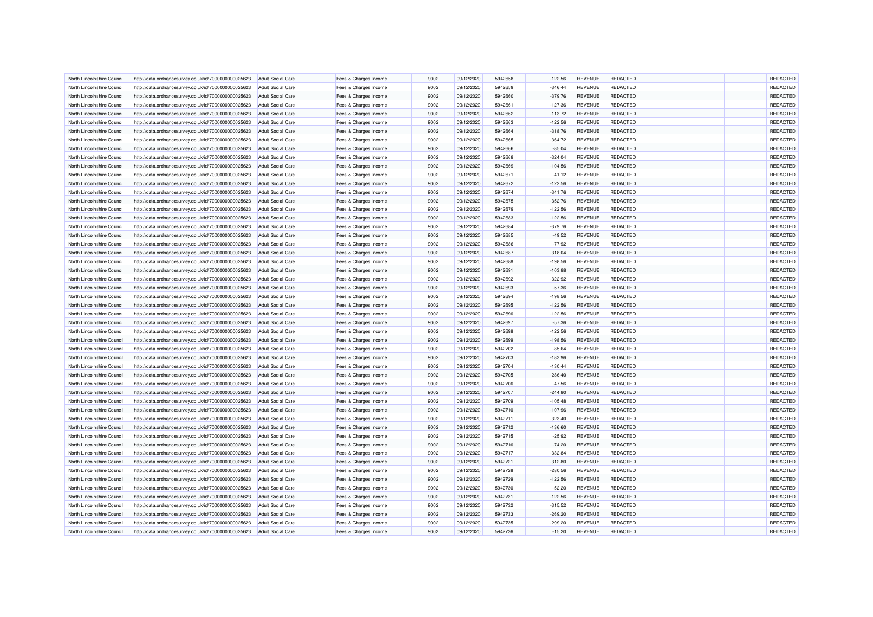| North Lincolnshire Council | http://data.ordnancesurvey.co.uk/id/7000000000025623 | <b>Adult Social Care</b> | Fees & Charges Income | 9002 | 09/12/2020 | 5942658 | $-122.56$ | <b>REVENUE</b> | <b>REDACTED</b> | REDACTED |
|----------------------------|------------------------------------------------------|--------------------------|-----------------------|------|------------|---------|-----------|----------------|-----------------|----------|
| North Lincolnshire Council | http://data.ordnancesurvey.co.uk/id/7000000000025623 | <b>Adult Social Care</b> | Fees & Charges Income | 9002 | 09/12/2020 | 5942659 | $-346.44$ | <b>REVENUE</b> | <b>REDACTED</b> | REDACTED |
| North Lincolnshire Council | http://data.ordnancesurvey.co.uk/id/7000000000025623 | Adult Social Care        | Fees & Charges Income | 9002 | 09/12/2020 | 5942660 | $-379.76$ | <b>REVENUE</b> | <b>REDACTED</b> | REDACTED |
| North Lincolnshire Council | http://data.ordnancesurvey.co.uk/id/7000000000025623 | <b>Adult Social Care</b> | Fees & Charges Income | 9002 | 09/12/2020 | 5942661 | $-127.36$ | <b>REVENUE</b> | REDACTED        | REDACTED |
| North Lincolnshire Council | http://data.ordnancesurvey.co.uk/id/7000000000025623 | <b>Adult Social Care</b> | Fees & Charges Income | 9002 | 09/12/2020 | 5942662 | $-113.72$ | <b>REVENUE</b> | <b>REDACTED</b> | REDACTED |
| North Lincolnshire Council | http://data.ordnancesurvey.co.uk/id/7000000000025623 | <b>Adult Social Care</b> | Fees & Charges Income | 9002 | 09/12/2020 | 5942663 | $-122.56$ | <b>REVENUE</b> | REDACTED        | REDACTED |
|                            |                                                      |                          |                       |      |            |         |           |                |                 |          |
| North Lincolnshire Council | http://data.ordnancesurvey.co.uk/id/7000000000025623 | <b>Adult Social Care</b> | Fees & Charges Income | 9002 | 09/12/2020 | 5942664 | $-318.76$ | <b>REVENUE</b> | <b>REDACTED</b> | REDACTED |
| North Lincolnshire Council | http://data.ordnancesurvey.co.uk/id/7000000000025623 | <b>Adult Social Care</b> | Fees & Charges Income | 9002 | 09/12/2020 | 5942665 | $-364.72$ | <b>REVENUE</b> | REDACTED        | REDACTED |
| North Lincolnshire Council | http://data.ordnancesurvey.co.uk/id/7000000000025623 | <b>Adult Social Care</b> | Fees & Charges Income | 9002 | 09/12/2020 | 5942666 | $-85.04$  | <b>REVENUE</b> | REDACTED        | REDACTED |
| North Lincolnshire Council | http://data.ordnancesurvey.co.uk/id/7000000000025623 | <b>Adult Social Care</b> | Fees & Charges Income | 9002 | 09/12/2020 | 5942668 | $-324.04$ | <b>REVENUE</b> | <b>REDACTED</b> | REDACTED |
| North Lincolnshire Council | http://data.ordnancesurvey.co.uk/id/7000000000025623 | <b>Adult Social Care</b> | Fees & Charges Income | 9002 | 09/12/2020 | 5942669 | $-104.56$ | <b>REVENUE</b> | <b>REDACTED</b> | REDACTED |
| North Lincolnshire Council | http://data.ordnancesurvey.co.uk/id/7000000000025623 | <b>Adult Social Care</b> | Fees & Charges Income | 9002 | 09/12/2020 | 5942671 | $-41.12$  | <b>REVENUE</b> | <b>REDACTED</b> | REDACTED |
| North Lincolnshire Council | http://data.ordnancesurvey.co.uk/id/7000000000025623 | <b>Adult Social Care</b> | Fees & Charges Income | 9002 | 09/12/2020 | 5942672 | $-122.56$ | <b>REVENUE</b> | REDACTED        | REDACTED |
| North Lincolnshire Council | http://data.ordnancesurvey.co.uk/id/7000000000025623 | <b>Adult Social Care</b> | Fees & Charges Income | 9002 | 09/12/2020 | 5942674 | $-341.76$ | <b>REVENUE</b> | REDACTED        | REDACTED |
| North Lincolnshire Council | http://data.ordnancesurvey.co.uk/id/7000000000025623 | <b>Adult Social Care</b> | Fees & Charges Income | 9002 | 09/12/2020 | 5942675 | $-352.76$ | <b>REVENUE</b> | <b>REDACTED</b> | REDACTED |
| North Lincolnshire Council | http://data.ordnancesurvey.co.uk/id/7000000000025623 | <b>Adult Social Care</b> | Fees & Charges Income | 9002 | 09/12/2020 | 5942679 | $-122.56$ | <b>REVENUE</b> | REDACTED        | REDACTED |
| North Lincolnshire Council | http://data.ordnancesurvey.co.uk/id/7000000000025623 | <b>Adult Social Care</b> | Fees & Charges Income | 9002 | 09/12/2020 | 5942683 | $-122.56$ | <b>REVENUE</b> | <b>REDACTED</b> | REDACTED |
| North Lincolnshire Council | http://data.ordnancesurvey.co.uk/id/7000000000025623 | <b>Adult Social Care</b> | Fees & Charges Income | 9002 | 09/12/2020 | 5942684 | $-379.76$ | <b>REVENUE</b> | REDACTED        | REDACTED |
| North Lincolnshire Council | http://data.ordnancesurvey.co.uk/id/7000000000025623 | <b>Adult Social Care</b> | Fees & Charges Income | 9002 | 09/12/2020 | 5942685 | $-49.52$  | <b>REVENUE</b> | REDACTED        | REDACTED |
| North Lincolnshire Council | http://data.ordnancesurvey.co.uk/id/7000000000025623 | <b>Adult Social Care</b> | Fees & Charges Income | 9002 | 09/12/2020 | 5942686 | $-77.92$  | <b>REVENUE</b> | <b>REDACTED</b> | REDACTED |
| North Lincolnshire Council | http://data.ordnancesurvey.co.uk/id/7000000000025623 | <b>Adult Social Care</b> | Fees & Charges Income | 9002 | 09/12/2020 | 5942687 | $-318.04$ | <b>REVENUE</b> | <b>REDACTED</b> | REDACTED |
| North Lincolnshire Council | http://data.ordnancesurvey.co.uk/id/7000000000025623 | Adult Social Care        | Fees & Charges Income | 9002 | 09/12/2020 | 5942688 | $-198.56$ | <b>REVENUE</b> | <b>REDACTED</b> | REDACTED |
| North Lincolnshire Council | http://data.ordnancesurvey.co.uk/id/7000000000025623 | <b>Adult Social Care</b> | Fees & Charges Income | 9002 | 09/12/2020 | 5942691 | $-103.88$ | <b>REVENUE</b> | <b>REDACTED</b> | REDACTED |
|                            |                                                      |                          |                       |      |            |         |           |                |                 | REDACTED |
| North Lincolnshire Council | http://data.ordnancesurvey.co.uk/id/7000000000025623 | <b>Adult Social Care</b> | Fees & Charges Income | 9002 | 09/12/2020 | 5942692 | $-322.92$ | <b>REVENUE</b> | REDACTED        |          |
| North Lincolnshire Council | http://data.ordnancesurvey.co.uk/id/7000000000025623 | <b>Adult Social Care</b> | Fees & Charges Income | 9002 | 09/12/2020 | 5942693 | $-57.36$  | <b>REVENUE</b> | <b>REDACTED</b> | REDACTED |
| North Lincolnshire Council | http://data.ordnancesurvey.co.uk/id/7000000000025623 | <b>Adult Social Care</b> | Fees & Charges Income | 9002 | 09/12/2020 | 5942694 | $-198.56$ | <b>REVENUE</b> | <b>REDACTED</b> | REDACTED |
| North Lincolnshire Council | http://data.ordnancesurvey.co.uk/id/7000000000025623 | <b>Adult Social Care</b> | Fees & Charges Income | 9002 | 09/12/2020 | 5942695 | $-122.56$ | <b>REVENUE</b> | <b>REDACTED</b> | REDACTED |
| North Lincolnshire Council | http://data.ordnancesurvey.co.uk/id/7000000000025623 | <b>Adult Social Care</b> | Fees & Charges Income | 9002 | 09/12/2020 | 5942696 | $-122.56$ | <b>REVENUE</b> | REDACTED        | REDACTED |
| North Lincolnshire Council | http://data.ordnancesurvey.co.uk/id/7000000000025623 | <b>Adult Social Care</b> | Fees & Charges Income | 9002 | 09/12/2020 | 5942697 | $-57.36$  | <b>REVENUE</b> | <b>REDACTED</b> | REDACTED |
| North Lincolnshire Council | http://data.ordnancesurvey.co.uk/id/7000000000025623 | Adult Social Care        | Fees & Charges Income | 9002 | 09/12/2020 | 5942698 | $-122.56$ | <b>REVENUE</b> | REDACTED        | REDACTED |
| North Lincolnshire Council | http://data.ordnancesurvey.co.uk/id/7000000000025623 | <b>Adult Social Care</b> | Fees & Charges Income | 9002 | 09/12/2020 | 5942699 | $-198.56$ | <b>REVENUE</b> | <b>REDACTED</b> | REDACTED |
| North Lincolnshire Council | http://data.ordnancesurvey.co.uk/id/7000000000025623 | <b>Adult Social Care</b> | Fees & Charges Income | 9002 | 09/12/2020 | 5942702 | $-85.64$  | <b>REVENUE</b> | <b>REDACTED</b> | REDACTED |
| North Lincolnshire Council | http://data.ordnancesurvey.co.uk/id/7000000000025623 | <b>Adult Social Care</b> | Fees & Charges Income | 9002 | 09/12/2020 | 5942703 | $-183.96$ | <b>REVENUE</b> | <b>REDACTED</b> | REDACTED |
| North Lincolnshire Council | http://data.ordnancesurvey.co.uk/id/7000000000025623 | <b>Adult Social Care</b> | Fees & Charges Income | 9002 | 09/12/2020 | 5942704 | $-130.44$ | <b>REVENUE</b> | <b>REDACTED</b> | REDACTED |
| North Lincolnshire Council | http://data.ordnancesurvey.co.uk/id/7000000000025623 | <b>Adult Social Care</b> | Fees & Charges Income | 9002 | 09/12/2020 | 5942705 | $-286.40$ | <b>REVENUE</b> | <b>REDACTED</b> | REDACTED |
| North Lincolnshire Council | http://data.ordnancesurvey.co.uk/id/7000000000025623 | <b>Adult Social Care</b> | Fees & Charges Income | 9002 | 09/12/2020 | 5942706 | $-47.56$  | <b>REVENUE</b> | <b>REDACTED</b> | REDACTED |
| North Lincolnshire Council | http://data.ordnancesurvey.co.uk/id/7000000000025623 | <b>Adult Social Care</b> | Fees & Charges Income | 9002 | 09/12/2020 | 5942707 | $-244.80$ | <b>REVENUE</b> | <b>REDACTED</b> | REDACTED |
| North Lincolnshire Council | http://data.ordnancesurvey.co.uk/id/7000000000025623 | <b>Adult Social Care</b> | Fees & Charges Income | 9002 | 09/12/2020 | 5942709 | $-105.48$ | <b>REVENUE</b> | <b>REDACTED</b> | REDACTED |
| North Lincolnshire Council | http://data.ordnancesurvey.co.uk/id/7000000000025623 | <b>Adult Social Care</b> | Fees & Charges Income | 9002 | 09/12/2020 | 5942710 | $-107.96$ | <b>REVENUE</b> | <b>REDACTED</b> | REDACTED |
| North Lincolnshire Council | http://data.ordnancesurvey.co.uk/id/7000000000025623 | <b>Adult Social Care</b> | Fees & Charges Income | 9002 | 09/12/2020 | 5942711 | $-323.40$ | <b>REVENUE</b> | <b>REDACTED</b> | REDACTED |
| North Lincolnshire Council | http://data.ordnancesurvey.co.uk/id/7000000000025623 | <b>Adult Social Care</b> | Fees & Charges Income | 9002 | 09/12/2020 | 5942712 | $-136.60$ | <b>REVENUE</b> | <b>REDACTED</b> | REDACTED |
| North Lincolnshire Council | http://data.ordnancesurvey.co.uk/id/7000000000025623 | <b>Adult Social Care</b> | Fees & Charges Income | 9002 | 09/12/2020 | 5942715 | $-25.92$  | <b>REVENUE</b> | <b>REDACTED</b> | REDACTED |
| North Lincolnshire Council | http://data.ordnancesurvey.co.uk/id/7000000000025623 | <b>Adult Social Care</b> | Fees & Charges Income | 9002 | 09/12/2020 | 5942716 | $-74.20$  | <b>REVENUE</b> | <b>REDACTED</b> | REDACTED |
|                            |                                                      |                          |                       |      |            |         |           |                |                 |          |
| North Lincolnshire Council | http://data.ordnancesurvey.co.uk/id/7000000000025623 | <b>Adult Social Care</b> | Fees & Charges Income | 9002 | 09/12/2020 | 5942717 | $-332.84$ | <b>REVENUE</b> | REDACTED        | REDACTED |
| North Lincolnshire Council | http://data.ordnancesurvey.co.uk/id/7000000000025623 | <b>Adult Social Care</b> | Fees & Charges Income | 9002 | 09/12/2020 | 5942721 | $-312.80$ | <b>REVENUE</b> | <b>REDACTED</b> | REDACTED |
| North Lincolnshire Council | http://data.ordnancesurvey.co.uk/id/7000000000025623 | <b>Adult Social Care</b> | Fees & Charges Income | 9002 | 09/12/2020 | 5942728 | $-280.56$ | <b>REVENUE</b> | REDACTED        | REDACTED |
| North Lincolnshire Council | http://data.ordnancesurvey.co.uk/id/7000000000025623 | <b>Adult Social Care</b> | Fees & Charges Income | 9002 | 09/12/2020 | 5942729 | $-122.56$ | <b>REVENUE</b> | <b>REDACTED</b> | REDACTED |
| North Lincolnshire Council | http://data.ordnancesurvey.co.uk/id/7000000000025623 | <b>Adult Social Care</b> | Fees & Charges Income | 9002 | 09/12/2020 | 5942730 | $-52.20$  | <b>REVENUE</b> | REDACTED        | REDACTED |
| North Lincolnshire Council | http://data.ordnancesurvey.co.uk/id/7000000000025623 | <b>Adult Social Care</b> | Fees & Charges Income | 9002 | 09/12/2020 | 5942731 | $-122.56$ | <b>REVENUE</b> | <b>REDACTED</b> | REDACTED |
| North Lincolnshire Council | http://data.ordnancesurvey.co.uk/id/7000000000025623 | <b>Adult Social Care</b> | Fees & Charges Income | 9002 | 09/12/2020 | 5942732 | $-315.52$ | <b>REVENUE</b> | <b>REDACTED</b> | REDACTED |
| North Lincolnshire Council | http://data.ordnancesurvey.co.uk/id/7000000000025623 | <b>Adult Social Care</b> | Fees & Charges Income | 9002 | 09/12/2020 | 5942733 | $-269.20$ | <b>REVENUE</b> | <b>REDACTED</b> | REDACTED |
| North Lincolnshire Council | http://data.ordnancesurvey.co.uk/id/7000000000025623 | <b>Adult Social Care</b> | Fees & Charges Income | 9002 | 09/12/2020 | 5942735 | $-299.20$ | <b>REVENUE</b> | REDACTED        | REDACTED |
| North Lincolnshire Council | http://data.ordnancesurvey.co.uk/id/7000000000025623 | <b>Adult Social Care</b> | Fees & Charges Income | 9002 | 09/12/2020 | 5942736 | $-15.20$  | <b>REVENUE</b> | <b>REDACTED</b> | REDACTED |
|                            |                                                      |                          |                       |      |            |         |           |                |                 |          |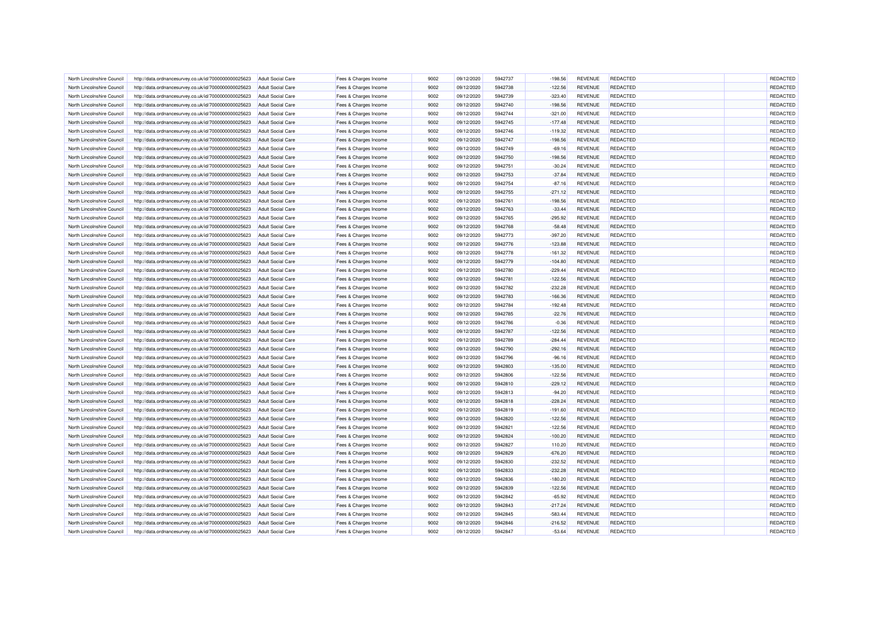| North Lincolnshire Council | http://data.ordnancesurvey.co.uk/id/7000000000025623 | Adult Social Care        | Fees & Charges Income | 9002         | 09/12/2020               | 5942737 | $-198.56$ | <b>REVENUE</b> | REDACTED        | REDACTED |
|----------------------------|------------------------------------------------------|--------------------------|-----------------------|--------------|--------------------------|---------|-----------|----------------|-----------------|----------|
| North Lincolnshire Council | http://data.ordnancesurvey.co.uk/id/7000000000025623 | <b>Adult Social Care</b> | Fees & Charges Income | 9002         | 09/12/2020               | 5942738 | $-122.56$ | <b>REVENUE</b> | <b>REDACTED</b> | REDACTED |
| North Lincolnshire Council | http://data.ordnancesurvey.co.uk/id/7000000000025623 | <b>Adult Social Care</b> | Fees & Charges Income | 9002         | 09/12/2020               | 5942739 | $-323.40$ | <b>REVENUE</b> | <b>REDACTED</b> | REDACTED |
| North Lincolnshire Council | http://data.ordnancesurvey.co.uk/id/7000000000025623 | <b>Adult Social Care</b> | Fees & Charges Income | 9002         | 09/12/2020               | 5942740 | $-198.56$ | <b>REVENUE</b> | REDACTED        | REDACTED |
| North Lincolnshire Council | http://data.ordnancesurvey.co.uk/id/7000000000025623 | <b>Adult Social Care</b> | Fees & Charges Income | 9002         | 09/12/2020               | 5942744 | $-321.00$ | <b>REVENUE</b> | <b>REDACTED</b> | REDACTED |
| North Lincolnshire Council | http://data.ordnancesurvey.co.uk/id/7000000000025623 | <b>Adult Social Care</b> | Fees & Charges Income | 9002         | 09/12/2020               | 5942745 | $-177.48$ | <b>REVENUE</b> | <b>REDACTED</b> | REDACTED |
| North Lincolnshire Council | http://data.ordnancesurvey.co.uk/id/7000000000025623 | <b>Adult Social Care</b> | Fees & Charges Income | 9002         | 09/12/2020               | 5942746 | $-119.32$ | <b>REVENUE</b> | <b>REDACTED</b> | REDACTED |
| North Lincolnshire Council | http://data.ordnancesurvey.co.uk/id/7000000000025623 | <b>Adult Social Care</b> | Fees & Charges Income | 9002         | 09/12/2020               | 5942747 | $-198.56$ | <b>REVENUE</b> | REDACTED        | REDACTED |
| North Lincolnshire Council | http://data.ordnancesurvey.co.uk/id/7000000000025623 | <b>Adult Social Care</b> | Fees & Charges Income | 9002         | 09/12/2020               | 5942749 | $-69.16$  | <b>REVENUE</b> | REDACTED        | REDACTED |
| North Lincolnshire Council | http://data.ordnancesurvey.co.uk/id/7000000000025623 | <b>Adult Social Care</b> | Fees & Charges Income | 9002         | 09/12/2020               | 5942750 | $-198.56$ | <b>REVENUE</b> | <b>REDACTED</b> | REDACTED |
| North Lincolnshire Council | http://data.ordnancesurvey.co.uk/id/7000000000025623 | <b>Adult Social Care</b> | Fees & Charges Income | 9002         | 09/12/2020               | 5942751 | $-30.24$  | <b>REVENUE</b> | <b>REDACTED</b> | REDACTED |
| North Lincolnshire Council | http://data.ordnancesurvey.co.uk/id/7000000000025623 | <b>Adult Social Care</b> | Fees & Charges Income | 9002         | 09/12/2020               | 5942753 | $-37.84$  | <b>REVENUE</b> | <b>REDACTED</b> | REDACTED |
| North Lincolnshire Council | http://data.ordnancesurvey.co.uk/id/7000000000025623 | <b>Adult Social Care</b> | Fees & Charges Income | 9002         | 09/12/2020               | 5942754 | $-87.16$  | <b>REVENUE</b> | <b>REDACTED</b> | REDACTED |
| North Lincolnshire Council | http://data.ordnancesurvey.co.uk/id/7000000000025623 | <b>Adult Social Care</b> | Fees & Charges Income | 9002         | 09/12/2020               | 5942755 | $-271.12$ | <b>REVENUE</b> | REDACTED        | REDACTED |
| North Lincolnshire Council | http://data.ordnancesurvey.co.uk/id/7000000000025623 | <b>Adult Social Care</b> | Fees & Charges Income | 9002         | 09/12/2020               | 5942761 | $-198.56$ | <b>REVENUE</b> | <b>REDACTED</b> | REDACTED |
| North Lincolnshire Council | http://data.ordnancesurvey.co.uk/id/7000000000025623 | <b>Adult Social Care</b> | Fees & Charges Income | 9002         | 09/12/2020               | 5942763 | $-33.44$  | <b>REVENUE</b> | <b>REDACTED</b> | REDACTED |
| North Lincolnshire Council | http://data.ordnancesurvey.co.uk/id/7000000000025623 | <b>Adult Social Care</b> | Fees & Charges Income | 9002         | 09/12/2020               | 5942765 | $-295.92$ | <b>REVENUE</b> | <b>REDACTED</b> | REDACTED |
| North Lincolnshire Council | http://data.ordnancesurvey.co.uk/id/7000000000025623 | <b>Adult Social Care</b> | Fees & Charges Income | 9002         | 09/12/2020               | 5942768 | $-58.48$  | <b>REVENUE</b> | <b>REDACTED</b> | REDACTED |
|                            |                                                      |                          |                       |              |                          |         |           |                |                 |          |
| North Lincolnshire Council | http://data.ordnancesurvey.co.uk/id/7000000000025623 | <b>Adult Social Care</b> | Fees & Charges Income | 9002         | 09/12/2020               | 5942773 | $-397.20$ | REVENUE        | <b>REDACTED</b> | REDACTED |
| North Lincolnshire Council | http://data.ordnancesurvey.co.uk/id/7000000000025623 | <b>Adult Social Care</b> | Fees & Charges Income | 9002         | 09/12/2020               | 5942776 | $-123.88$ | <b>REVENUE</b> | <b>REDACTED</b> | REDACTED |
| North Lincolnshire Council | http://data.ordnancesurvey.co.uk/id/7000000000025623 | <b>Adult Social Care</b> | Fees & Charges Income | 9002         | 09/12/2020               | 5942778 | $-161.32$ | <b>REVENUE</b> | REDACTED        | REDACTED |
| North Lincolnshire Council | http://data.ordnancesurvey.co.uk/id/7000000000025623 | <b>Adult Social Care</b> | Fees & Charges Income | 9002         | 09/12/2020               | 5942779 | $-104.80$ | <b>REVENUE</b> | <b>REDACTED</b> | REDACTED |
| North Lincolnshire Council | http://data.ordnancesurvey.co.uk/id/7000000000025623 | <b>Adult Social Care</b> | Fees & Charges Income | 9002         | 09/12/2020               | 5942780 | $-229.44$ | <b>REVENUE</b> | REDACTED        | REDACTED |
| North Lincolnshire Council | http://data.ordnancesurvey.co.uk/id/7000000000025623 | <b>Adult Social Care</b> | Fees & Charges Income | 9002         | 09/12/2020               | 5942781 | $-122.56$ | <b>REVENUE</b> | <b>REDACTED</b> | REDACTED |
| North Lincolnshire Council | http://data.ordnancesurvey.co.uk/id/7000000000025623 | Adult Social Care        | Fees & Charges Income | 9002         | 09/12/2020               | 5942782 | $-232.28$ | <b>REVENUE</b> | REDACTED        | REDACTED |
| North Lincolnshire Council | http://data.ordnancesurvey.co.uk/id/7000000000025623 | <b>Adult Social Care</b> | Fees & Charges Income | 9002         | 09/12/2020               | 5942783 | $-166.36$ | <b>REVENUE</b> | <b>REDACTED</b> | REDACTED |
| North Lincolnshire Council | http://data.ordnancesurvey.co.uk/id/7000000000025623 | <b>Adult Social Care</b> | Fees & Charges Income | 9002         | 09/12/2020               | 5942784 | $-192.48$ | <b>REVENUE</b> | <b>REDACTED</b> | REDACTED |
| North Lincolnshire Council | http://data.ordnancesurvey.co.uk/id/7000000000025623 | <b>Adult Social Care</b> | Fees & Charges Income | 9002         | 09/12/2020               | 5942785 | $-22.76$  | <b>REVENUE</b> | <b>REDACTED</b> | REDACTED |
| North Lincolnshire Council | http://data.ordnancesurvey.co.uk/id/7000000000025623 | <b>Adult Social Care</b> | Fees & Charges Income | 9002         | 09/12/2020               | 5942786 | $-0.36$   | <b>REVENUE</b> | <b>REDACTED</b> | REDACTED |
| North Lincolnshire Council | http://data.ordnancesurvey.co.uk/id/7000000000025623 | <b>Adult Social Care</b> | Fees & Charges Income | 9002         | 09/12/2020               | 5942787 | $-122.56$ | <b>REVENUE</b> | <b>REDACTED</b> | REDACTED |
| North Lincolnshire Council | http://data.ordnancesurvey.co.uk/id/7000000000025623 | <b>Adult Social Care</b> | Fees & Charges Income | 9002         | 09/12/2020               | 5942789 | $-284.44$ | <b>REVENUE</b> | REDACTED        | REDACTED |
| North Lincolnshire Council | http://data.ordnancesurvey.co.uk/id/7000000000025623 | <b>Adult Social Care</b> | Fees & Charges Income | 9002         | 09/12/2020               | 5942790 | $-292.16$ | <b>REVENUE</b> | <b>REDACTED</b> | REDACTED |
| North Lincolnshire Council | http://data.ordnancesurvey.co.uk/id/7000000000025623 | <b>Adult Social Care</b> | Fees & Charges Income | 9002         | 09/12/2020               | 5942796 | $-96.16$  | <b>REVENUE</b> | <b>REDACTED</b> | REDACTED |
| North Lincolnshire Council | http://data.ordnancesurvey.co.uk/id/7000000000025623 | <b>Adult Social Care</b> | Fees & Charges Income | 9002         | 09/12/2020               | 5942803 | $-135.00$ | <b>REVENUE</b> | <b>REDACTED</b> | REDACTED |
| North Lincolnshire Council | http://data.ordnancesurvey.co.uk/id/7000000000025623 | <b>Adult Social Care</b> | Fees & Charges Income | 9002         | 09/12/2020               | 5942806 | $-122.56$ | <b>REVENUE</b> | REDACTED        | REDACTED |
| North Lincolnshire Council | http://data.ordnancesurvev.co.uk/id/7000000000025623 | Adult Social Care        | Fees & Charges Income | 9002         | 09/12/2020               | 5942810 | $-229.12$ | <b>REVENUE</b> | REDACTED        | REDACTED |
| North Lincolnshire Council | http://data.ordnancesurvey.co.uk/id/7000000000025623 | <b>Adult Social Care</b> | Fees & Charges Income | 9002         | 09/12/2020               | 5942813 | $-94.20$  | <b>REVENUE</b> | <b>REDACTED</b> | REDACTED |
| North Lincolnshire Council | http://data.ordnancesurvey.co.uk/id/7000000000025623 | <b>Adult Social Care</b> | Fees & Charges Income | 9002         | 09/12/2020               | 5942818 | $-228.24$ | <b>REVENUE</b> | <b>REDACTED</b> | REDACTED |
| North Lincolnshire Council | http://data.ordnancesurvey.co.uk/id/7000000000025623 | <b>Adult Social Care</b> | Fees & Charges Income | 9002         | 09/12/2020               | 5942819 | $-191.60$ | <b>REVENUE</b> | <b>REDACTED</b> | REDACTED |
| North Lincolnshire Council | http://data.ordnancesurvey.co.uk/id/7000000000025623 | <b>Adult Social Care</b> | Fees & Charges Income | 9002         | 09/12/2020               | 5942820 | $-122.56$ | <b>REVENUE</b> | REDACTED        | REDACTED |
| North Lincolnshire Council | http://data.ordnancesurvey.co.uk/id/7000000000025623 | <b>Adult Social Care</b> | Fees & Charges Income | 9002         | 09/12/2020               | 5942821 | $-122.56$ | <b>REVENUE</b> | REDACTED        | REDACTED |
| North Lincolnshire Council | http://data.ordnancesurvey.co.uk/id/7000000000025623 | <b>Adult Social Care</b> | Fees & Charges Income | 9002         | 09/12/2020               | 5942824 | $-100.20$ | <b>REVENUE</b> | <b>REDACTED</b> | REDACTED |
| North Lincolnshire Council | http://data.ordnancesurvey.co.uk/id/7000000000025623 | <b>Adult Social Care</b> | Fees & Charges Income | 9002         | 09/12/2020               | 5942827 | 110.20    | <b>REVENUE</b> | REDACTED        | REDACTED |
| North Lincolnshire Council | http://data.ordnancesurvey.co.uk/id/7000000000025623 | <b>Adult Social Care</b> | Fees & Charges Income | 9002         | 09/12/2020               | 5942829 | $-676.20$ | <b>REVENUE</b> | REDACTED        | REDACTED |
| North Lincolnshire Council | http://data.ordnancesurvey.co.uk/id/7000000000025623 | <b>Adult Social Care</b> | Fees & Charges Income | 9002         | 09/12/2020               | 5942830 | $-232.52$ | <b>REVENUE</b> | <b>REDACTED</b> | REDACTED |
| North Lincolnshire Council | http://data.ordnancesurvey.co.uk/id/7000000000025623 | <b>Adult Social Care</b> | Fees & Charges Income | 9002         | 09/12/2020               | 5942833 | $-232.28$ | <b>REVENUE</b> | REDACTED        | REDACTED |
| North Lincolnshire Council | http://data.ordnancesurvey.co.uk/id/7000000000025623 | <b>Adult Social Care</b> | Fees & Charges Income | 9002         | 09/12/2020               | 5942836 | $-180.20$ | <b>REVENUE</b> | REDACTED        | REDACTED |
| North Lincolnshire Council | http://data.ordnancesurvey.co.uk/id/7000000000025623 | <b>Adult Social Care</b> | Fees & Charges Income | 9002         | 09/12/2020               | 5942839 | $-122.56$ | <b>REVENUE</b> | <b>REDACTED</b> | REDACTED |
| North Lincolnshire Council | http://data.ordnancesurvey.co.uk/id/7000000000025623 | <b>Adult Social Care</b> | Fees & Charges Income | 9002         | 09/12/2020               | 5942842 | $-65.92$  | <b>REVENUE</b> | <b>REDACTED</b> | REDACTED |
| North Lincolnshire Council | http://data.ordnancesurvey.co.uk/id/7000000000025623 | <b>Adult Social Care</b> | Fees & Charges Income | 9002         | 09/12/2020               | 5942843 | $-217.24$ | <b>REVENUE</b> | <b>REDACTED</b> | REDACTED |
|                            |                                                      |                          |                       |              |                          | 5942845 |           |                | REDACTED        | REDACTED |
| North Lincolnshire Council | http://data.ordnancesurvey.co.uk/id/7000000000025623 | <b>Adult Social Care</b> | Fees & Charges Income | 9002<br>9002 | 09/12/2020<br>09/12/2020 | 5942846 | $-583.44$ | <b>REVENUE</b> | REDACTED        | REDACTED |
| North Lincolnshire Council | http://data.ordnancesurvey.co.uk/id/7000000000025623 | <b>Adult Social Care</b> | Fees & Charges Income |              |                          | 5942847 | $-216.52$ | <b>REVENUE</b> |                 | REDACTED |
| North Lincolnshire Council | http://data.ordnancesurvey.co.uk/id/7000000000025623 | <b>Adult Social Care</b> | Fees & Charges Income | 9002         | 09/12/2020               |         | $-53.64$  | <b>REVENUE</b> | REDACTED        |          |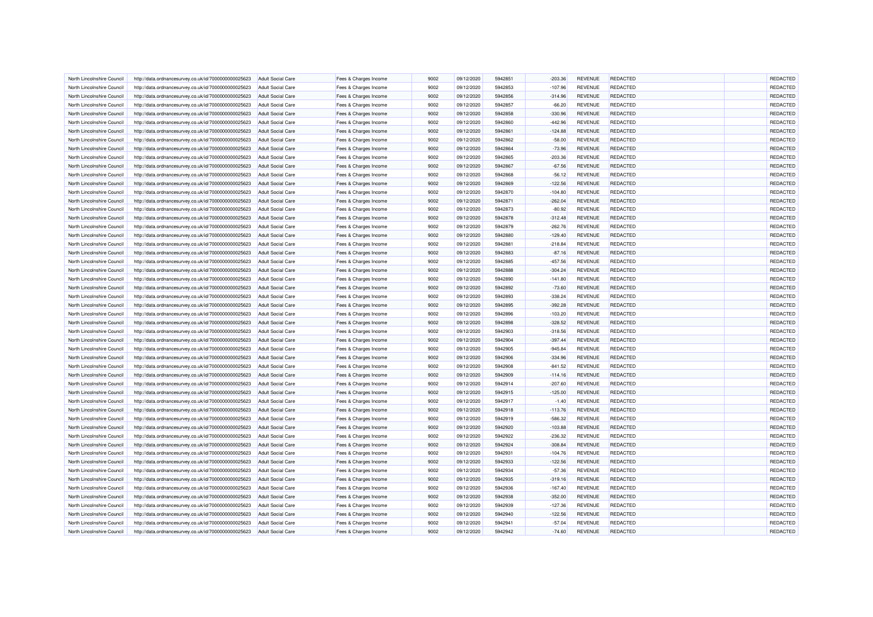| North Lincolnshire Council | http://data.ordnancesurvey.co.uk/id/7000000000025623 | <b>Adult Social Care</b> | Fees & Charges Income | 9002         | 09/12/2020 | 5942851            | $-203.36$ | <b>REVENUE</b> | <b>REDACTED</b> | REDACTED |
|----------------------------|------------------------------------------------------|--------------------------|-----------------------|--------------|------------|--------------------|-----------|----------------|-----------------|----------|
| North Lincolnshire Council | http://data.ordnancesurvey.co.uk/id/7000000000025623 | <b>Adult Social Care</b> | Fees & Charges Income | 9002         | 09/12/2020 | 5942853            | $-107.96$ | <b>REVENUE</b> | <b>REDACTED</b> | REDACTED |
| North Lincolnshire Council | http://data.ordnancesurvey.co.uk/id/7000000000025623 | Adult Social Care        | Fees & Charges Income | 9002         | 09/12/2020 | 5942856            | $-314.96$ | <b>REVENUE</b> | <b>REDACTED</b> | REDACTED |
| North Lincolnshire Council | http://data.ordnancesurvey.co.uk/id/7000000000025623 | <b>Adult Social Care</b> | Fees & Charges Income | 9002         | 09/12/2020 | 5942857            | $-66.20$  | <b>REVENUE</b> | REDACTED        | REDACTED |
| North Lincolnshire Council | http://data.ordnancesurvey.co.uk/id/7000000000025623 | <b>Adult Social Care</b> | Fees & Charges Income | 9002         | 09/12/2020 | 5942858            | $-330.96$ | <b>REVENUE</b> | <b>REDACTED</b> | REDACTED |
| North Lincolnshire Council | http://data.ordnancesurvey.co.uk/id/7000000000025623 | <b>Adult Social Care</b> | Fees & Charges Income | 9002         | 09/12/2020 | 5942860            | $-442.96$ | <b>REVENUE</b> | REDACTED        | REDACTED |
|                            |                                                      |                          |                       | 9002         |            |                    |           |                | <b>REDACTED</b> | REDACTED |
| North Lincolnshire Council | http://data.ordnancesurvey.co.uk/id/7000000000025623 | <b>Adult Social Care</b> | Fees & Charges Income |              | 09/12/2020 | 5942861<br>5942862 | $-124.88$ | <b>REVENUE</b> |                 |          |
| North Lincolnshire Council | http://data.ordnancesurvey.co.uk/id/7000000000025623 | <b>Adult Social Care</b> | Fees & Charges Income | 9002         | 09/12/2020 |                    | $-58.00$  | <b>REVENUE</b> | REDACTED        | REDACTED |
| North Lincolnshire Council | http://data.ordnancesurvey.co.uk/id/7000000000025623 | <b>Adult Social Care</b> | Fees & Charges Income | 9002         | 09/12/2020 | 5942864            | $-73.96$  | <b>REVENUE</b> | REDACTED        | REDACTED |
| North Lincolnshire Council | http://data.ordnancesurvey.co.uk/id/7000000000025623 | <b>Adult Social Care</b> | Fees & Charges Income | 9002         | 09/12/2020 | 5942865            | $-203.36$ | <b>REVENUE</b> | <b>REDACTED</b> | REDACTED |
| North Lincolnshire Council | http://data.ordnancesurvey.co.uk/id/7000000000025623 | <b>Adult Social Care</b> | Fees & Charges Income | 9002         | 09/12/2020 | 5942867            | $-67.56$  | <b>REVENUE</b> | REDACTED        | REDACTED |
| North Lincolnshire Council | http://data.ordnancesurvey.co.uk/id/7000000000025623 | <b>Adult Social Care</b> | Fees & Charges Income | 9002         | 09/12/2020 | 5942868            | $-56.12$  | <b>REVENUE</b> | <b>REDACTED</b> | REDACTED |
| North Lincolnshire Council | http://data.ordnancesurvey.co.uk/id/7000000000025623 | <b>Adult Social Care</b> | Fees & Charges Income | 9002         | 09/12/2020 | 5942869            | $-122.56$ | <b>REVENUE</b> | REDACTED        | REDACTED |
| North Lincolnshire Council | http://data.ordnancesurvey.co.uk/id/7000000000025623 | <b>Adult Social Care</b> | Fees & Charges Income | 9002         | 09/12/2020 | 5942870            | $-104.80$ | <b>REVENUE</b> | REDACTED        | REDACTED |
| North Lincolnshire Council | http://data.ordnancesurvey.co.uk/id/7000000000025623 | <b>Adult Social Care</b> | Fees & Charges Income | 9002         | 09/12/2020 | 5942871            | $-262.04$ | <b>REVENUE</b> | <b>REDACTED</b> | REDACTED |
| North Lincolnshire Council | http://data.ordnancesurvey.co.uk/id/7000000000025623 | <b>Adult Social Care</b> | Fees & Charges Income | 9002         | 09/12/2020 | 5942873            | $-80.92$  | <b>REVENUE</b> | REDACTED        | REDACTED |
| North Lincolnshire Council | http://data.ordnancesurvey.co.uk/id/7000000000025623 | <b>Adult Social Care</b> | Fees & Charges Income | 9002         | 09/12/2020 | 5942878            | $-312.48$ | <b>REVENUE</b> | <b>REDACTED</b> | REDACTED |
| North Lincolnshire Council | http://data.ordnancesurvey.co.uk/id/7000000000025623 | <b>Adult Social Care</b> | Fees & Charges Income | 9002         | 09/12/2020 | 5942879            | $-262.76$ | <b>REVENUE</b> | REDACTED        | REDACTED |
| North Lincolnshire Council | http://data.ordnancesurvey.co.uk/id/7000000000025623 | <b>Adult Social Care</b> | Fees & Charges Income | 9002         | 09/12/2020 | 5942880            | $-129.40$ | <b>REVENUE</b> | REDACTED        | REDACTED |
| North Lincolnshire Council | http://data.ordnancesurvey.co.uk/id/7000000000025623 | <b>Adult Social Care</b> | Fees & Charges Income | 9002         | 09/12/2020 | 5942881            | $-218.84$ | <b>REVENUE</b> | <b>REDACTED</b> | REDACTED |
| North Lincolnshire Council | http://data.ordnancesurvey.co.uk/id/7000000000025623 | <b>Adult Social Care</b> | Fees & Charges Income | 9002         | 09/12/2020 | 5942883            | $-87.16$  | <b>REVENUE</b> | <b>REDACTED</b> | REDACTED |
| North Lincolnshire Council | http://data.ordnancesurvey.co.uk/id/7000000000025623 | Adult Social Care        | Fees & Charges Income | 9002         | 09/12/2020 | 5942885            | $-457.56$ | <b>REVENUE</b> | <b>REDACTED</b> | REDACTED |
| North Lincolnshire Council | http://data.ordnancesurvey.co.uk/id/7000000000025623 | <b>Adult Social Care</b> | Fees & Charges Income | 9002         | 09/12/2020 | 5942888            | $-304.24$ | <b>REVENUE</b> | <b>REDACTED</b> | REDACTED |
| North Lincolnshire Council | http://data.ordnancesurvey.co.uk/id/7000000000025623 | <b>Adult Social Care</b> | Fees & Charges Income | 9002         | 09/12/2020 | 5942890            | $-141.80$ | <b>REVENUE</b> | REDACTED        | REDACTED |
| North Lincolnshire Council | http://data.ordnancesurvey.co.uk/id/7000000000025623 | <b>Adult Social Care</b> | Fees & Charges Income | 9002         | 09/12/2020 | 5942892            | $-73.60$  | <b>REVENUE</b> | REDACTED        | REDACTED |
| North Lincolnshire Council | http://data.ordnancesurvey.co.uk/id/7000000000025623 | <b>Adult Social Care</b> | Fees & Charges Income | 9002         | 09/12/2020 | 5942893            | $-338.24$ | <b>REVENUE</b> | <b>REDACTED</b> | REDACTED |
| North Lincolnshire Council | http://data.ordnancesurvey.co.uk/id/7000000000025623 | <b>Adult Social Care</b> | Fees & Charges Income | 9002         | 09/12/2020 | 5942895            | $-392.28$ | <b>REVENUE</b> | <b>REDACTED</b> | REDACTED |
| North Lincolnshire Council | http://data.ordnancesurvey.co.uk/id/7000000000025623 | <b>Adult Social Care</b> | Fees & Charges Income | 9002         | 09/12/2020 | 5942896            | $-103.20$ | <b>REVENUE</b> | REDACTED        | REDACTED |
|                            |                                                      |                          |                       |              |            |                    |           |                |                 |          |
| North Lincolnshire Council | http://data.ordnancesurvey.co.uk/id/7000000000025623 | <b>Adult Social Care</b> | Fees & Charges Income | 9002         | 09/12/2020 | 5942898            | $-328.52$ | <b>REVENUE</b> | <b>REDACTED</b> | REDACTED |
| North Lincolnshire Council | http://data.ordnancesurvey.co.uk/id/7000000000025623 | <b>Adult Social Care</b> | Fees & Charges Income | 9002         | 09/12/2020 | 5942903            | $-318.56$ | <b>REVENUE</b> | REDACTED        | REDACTED |
| North Lincolnshire Council | http://data.ordnancesurvey.co.uk/id/7000000000025623 | <b>Adult Social Care</b> | Fees & Charges Income | 9002         | 09/12/2020 | 5942904            | $-397.44$ | <b>REVENUE</b> | REDACTED        | REDACTED |
| North Lincolnshire Council | http://data.ordnancesurvey.co.uk/id/7000000000025623 | <b>Adult Social Care</b> | Fees & Charges Income | 9002         | 09/12/2020 | 5942905            | $-945.84$ | <b>REVENUE</b> | <b>REDACTED</b> | REDACTED |
| North Lincolnshire Council | http://data.ordnancesurvey.co.uk/id/7000000000025623 | <b>Adult Social Care</b> | Fees & Charges Income | 9002         | 09/12/2020 | 5942906            | $-334.96$ | <b>REVENUE</b> | <b>REDACTED</b> | REDACTED |
| North Lincolnshire Council | http://data.ordnancesurvey.co.uk/id/7000000000025623 | <b>Adult Social Care</b> | Fees & Charges Income | 9002         | 09/12/2020 | 5942908            | $-841.52$ | <b>REVENUE</b> | <b>REDACTED</b> | REDACTED |
| North Lincolnshire Council | http://data.ordnancesurvey.co.uk/id/7000000000025623 | <b>Adult Social Care</b> | Fees & Charges Income | 9002         | 09/12/2020 | 5942909            | $-114.16$ | <b>REVENUE</b> | REDACTED        | REDACTED |
| North Lincolnshire Council | http://data.ordnancesurvey.co.uk/id/7000000000025623 | <b>Adult Social Care</b> | Fees & Charges Income | 9002         | 09/12/2020 | 5942914            | $-207.60$ | <b>REVENUE</b> | <b>REDACTED</b> | REDACTED |
| North Lincolnshire Council | http://data.ordnancesurvey.co.uk/id/7000000000025623 | <b>Adult Social Care</b> | Fees & Charges Income | 9002         | 09/12/2020 | 5942915            | $-125.00$ | <b>REVENUE</b> | <b>REDACTED</b> | REDACTED |
| North Lincolnshire Council | http://data.ordnancesurvey.co.uk/id/7000000000025623 | <b>Adult Social Care</b> | Fees & Charges Income | 9002         | 09/12/2020 | 5942917            | $-1.40$   | <b>REVENUE</b> | <b>REDACTED</b> | REDACTED |
| North Lincolnshire Council | http://data.ordnancesurvey.co.uk/id/7000000000025623 | <b>Adult Social Care</b> | Fees & Charges Income | 9002         | 09/12/2020 | 5942918            | $-113.76$ | <b>REVENUE</b> | <b>REDACTED</b> | REDACTED |
| North Lincolnshire Council | http://data.ordnancesurvey.co.uk/id/7000000000025623 | <b>Adult Social Care</b> | Fees & Charges Income | 9002         | 09/12/2020 | 5942919            | $-586.32$ | <b>REVENUE</b> | <b>REDACTED</b> | REDACTED |
| North Lincolnshire Council | http://data.ordnancesurvey.co.uk/id/7000000000025623 | <b>Adult Social Care</b> | Fees & Charges Income | 9002         | 09/12/2020 | 5942920            | $-103.88$ | <b>REVENUE</b> | REDACTED        | REDACTED |
| North Lincolnshire Council | http://data.ordnancesurvey.co.uk/id/7000000000025623 | <b>Adult Social Care</b> | Fees & Charges Income | 9002         | 09/12/2020 | 5942922            | $-236.32$ | <b>REVENUE</b> | <b>REDACTED</b> | REDACTED |
| North Lincolnshire Council | http://data.ordnancesurvey.co.uk/id/7000000000025623 | <b>Adult Social Care</b> | Fees & Charges Income | 9002         | 09/12/2020 | 5942924            | $-308.84$ | <b>REVENUE</b> | <b>REDACTED</b> | REDACTED |
| North Lincolnshire Council | http://data.ordnancesurvey.co.uk/id/7000000000025623 | <b>Adult Social Care</b> | Fees & Charges Income | 9002         | 09/12/2020 | 5942931            | $-104.76$ | <b>REVENUE</b> | REDACTED        | REDACTED |
| North Lincolnshire Council | http://data.ordnancesurvey.co.uk/id/7000000000025623 | <b>Adult Social Care</b> | Fees & Charges Income | 9002         | 09/12/2020 | 5942933            | $-122.56$ | <b>REVENUE</b> | REDACTED        | REDACTED |
| North Lincolnshire Council | http://data.ordnancesurvey.co.uk/id/7000000000025623 | <b>Adult Social Care</b> | Fees & Charges Income | 9002         | 09/12/2020 | 5942934            | $-57.36$  | <b>REVENUE</b> | REDACTED        | REDACTED |
| North Lincolnshire Council | http://data.ordnancesurvey.co.uk/id/7000000000025623 | <b>Adult Social Care</b> | Fees & Charges Income | 9002         | 09/12/2020 | 5942935            | $-319.16$ | <b>REVENUE</b> | REDACTED        | REDACTED |
| North Lincolnshire Council | http://data.ordnancesurvey.co.uk/id/7000000000025623 | <b>Adult Social Care</b> | Fees & Charges Income | 9002         | 09/12/2020 | 5942936            | $-167.40$ | <b>REVENUE</b> | REDACTED        | REDACTED |
| North Lincolnshire Council | http://data.ordnancesurvey.co.uk/id/7000000000025623 | <b>Adult Social Care</b> | Fees & Charges Income | 9002         | 09/12/2020 | 5942938            | $-352.00$ | <b>REVENUE</b> | <b>REDACTED</b> | REDACTED |
| North Lincolnshire Council | http://data.ordnancesurvey.co.uk/id/7000000000025623 | <b>Adult Social Care</b> | Fees & Charges Income | 9002         | 09/12/2020 | 5942939            | $-127.36$ | <b>REVENUE</b> | <b>REDACTED</b> | REDACTED |
|                            |                                                      |                          |                       |              |            |                    |           |                |                 | REDACTED |
| North Lincolnshire Council | http://data.ordnancesurvey.co.uk/id/7000000000025623 | <b>Adult Social Care</b> | Fees & Charges Income | 9002<br>9002 | 09/12/2020 | 5942940<br>5942941 | $-122.56$ | <b>REVENUE</b> | REDACTED        |          |
| North Lincolnshire Council | http://data.ordnancesurvey.co.uk/id/7000000000025623 | <b>Adult Social Care</b> | Fees & Charges Income |              | 09/12/2020 |                    | $-57.04$  | <b>REVENUE</b> | REDACTED        | REDACTED |
| North Lincolnshire Council | http://data.ordnancesurvey.co.uk/id/7000000000025623 | <b>Adult Social Care</b> | Fees & Charges Income | 9002         | 09/12/2020 | 5942942            | $-74.60$  | <b>REVENUE</b> | REDACTED        | REDACTED |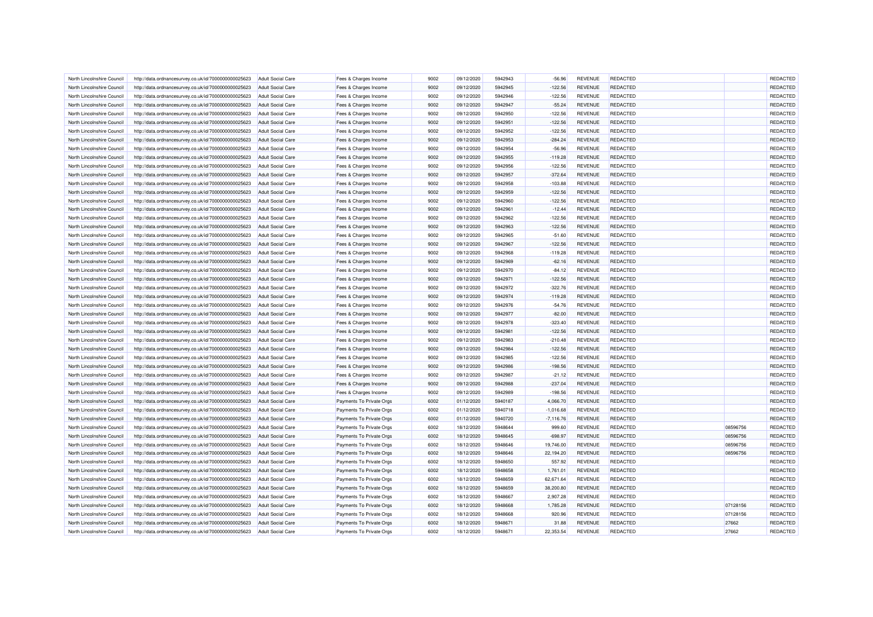| North Lincolnshire Council | http://data.ordnancesurvey.co.uk/id/7000000000025623 | <b>Adult Social Care</b>                             | Fees & Charges Income    | 9002         | 09/12/2020 | 5942943            | $-56.96$    | <b>REVENUE</b>                   | <b>REDACTED</b>                    |          | REDACTED        |
|----------------------------|------------------------------------------------------|------------------------------------------------------|--------------------------|--------------|------------|--------------------|-------------|----------------------------------|------------------------------------|----------|-----------------|
| North Lincolnshire Council | http://data.ordnancesurvey.co.uk/id/7000000000025623 | <b>Adult Social Care</b>                             | Fees & Charges Income    | 9002         | 09/12/2020 | 5942945            | $-122.56$   | <b>REVENUE</b>                   | <b>REDACTED</b>                    |          | <b>REDACTED</b> |
| North Lincolnshire Council | http://data.ordnancesurvey.co.uk/id/7000000000025623 | Adult Social Care                                    | Fees & Charges Income    | 9002         | 09/12/2020 | 5942946            | $-122.56$   | <b>REVENUE</b>                   | <b>REDACTED</b>                    |          | REDACTED        |
| North Lincolnshire Council | http://data.ordnancesurvey.co.uk/id/7000000000025623 | <b>Adult Social Care</b>                             | Fees & Charges Income    | 9002         | 09/12/2020 | 5942947            | $-55.24$    | <b>REVENUE</b>                   | <b>REDACTED</b>                    |          | REDACTED        |
| North Lincolnshire Council | http://data.ordnancesurvey.co.uk/id/7000000000025623 | <b>Adult Social Care</b>                             | Fees & Charges Income    | 9002         | 09/12/2020 | 5942950            | $-122.56$   | <b>REVENUE</b>                   | <b>REDACTED</b>                    |          | REDACTED        |
| North Lincolnshire Council | http://data.ordnancesurvey.co.uk/id/7000000000025623 | <b>Adult Social Care</b>                             | Fees & Charges Income    | 9002         | 09/12/2020 | 5942951            | $-122.56$   | <b>REVENUE</b>                   | <b>REDACTED</b>                    |          | REDACTED        |
|                            |                                                      |                                                      |                          |              |            |                    |             |                                  |                                    |          |                 |
| North Lincolnshire Council | http://data.ordnancesurvey.co.uk/id/7000000000025623 | <b>Adult Social Care</b>                             | Fees & Charges Income    | 9002         | 09/12/2020 | 5942952            | $-122.56$   | <b>REVENUE</b>                   | <b>REDACTED</b>                    |          | REDACTED        |
| North Lincolnshire Council | http://data.ordnancesurvey.co.uk/id/7000000000025623 | <b>Adult Social Care</b>                             | Fees & Charges Income    | 9002         | 09/12/2020 | 5942953            | $-284.24$   | <b>REVENUE</b>                   | <b>REDACTED</b>                    |          | REDACTED        |
| North Lincolnshire Council | http://data.ordnancesurvey.co.uk/id/7000000000025623 | <b>Adult Social Care</b>                             | Fees & Charges Income    | 9002         | 09/12/2020 | 5942954            | $-56.96$    | <b>REVENUE</b>                   | REDACTED                           |          | REDACTED        |
| North Lincolnshire Council | http://data.ordnancesurvey.co.uk/id/7000000000025623 | <b>Adult Social Care</b>                             | Fees & Charges Income    | 9002         | 09/12/2020 | 5942955            | $-119.28$   | <b>REVENUE</b>                   | <b>REDACTED</b>                    |          | REDACTED        |
| North Lincolnshire Council | http://data.ordnancesurvey.co.uk/id/7000000000025623 | <b>Adult Social Care</b>                             | Fees & Charges Income    | 9002         | 09/12/2020 | 5942956            | $-122.56$   | <b>REVENUE</b>                   | <b>REDACTED</b>                    |          | <b>REDACTED</b> |
| North Lincolnshire Council | http://data.ordnancesurvey.co.uk/id/7000000000025623 | <b>Adult Social Care</b>                             | Fees & Charges Income    | 9002         | 09/12/2020 | 5942957            | $-372.64$   | <b>REVENUE</b>                   | <b>REDACTED</b>                    |          | REDACTED        |
| North Lincolnshire Council | http://data.ordnancesurvey.co.uk/id/7000000000025623 | <b>Adult Social Care</b>                             | Fees & Charges Income    | 9002         | 09/12/2020 | 5942958            | $-103.88$   | <b>REVENUE</b>                   | <b>REDACTED</b>                    |          | <b>REDACTED</b> |
| North Lincolnshire Council | http://data.ordnancesurvey.co.uk/id/7000000000025623 | <b>Adult Social Care</b>                             | Fees & Charges Income    | 9002         | 09/12/2020 | 5942959            | $-122.56$   | <b>REVENUE</b>                   | <b>REDACTED</b>                    |          | <b>REDACTED</b> |
| North Lincolnshire Council | http://data.ordnancesurvey.co.uk/id/7000000000025623 | <b>Adult Social Care</b>                             | Fees & Charges Income    | 9002         | 09/12/2020 | 5942960            | $-122.56$   | <b>REVENUE</b>                   | <b>REDACTED</b>                    |          | REDACTED        |
| North Lincolnshire Council | http://data.ordnancesurvey.co.uk/id/7000000000025623 | <b>Adult Social Care</b>                             | Fees & Charges Income    | 9002         | 09/12/2020 | 5942961            | $-12.44$    | <b>REVENUE</b>                   | <b>REDACTED</b>                    |          | REDACTED        |
| North Lincolnshire Council | http://data.ordnancesurvey.co.uk/id/7000000000025623 | <b>Adult Social Care</b>                             | Fees & Charges Income    | 9002         | 09/12/2020 | 5942962            | $-122.56$   | <b>REVENUE</b>                   | <b>REDACTED</b>                    |          | REDACTED        |
| North Lincolnshire Council | http://data.ordnancesurvey.co.uk/id/7000000000025623 | <b>Adult Social Care</b>                             | Fees & Charges Income    | 9002         | 09/12/2020 | 5942963            | $-122.56$   | <b>REVENUE</b>                   | <b>REDACTED</b>                    |          | REDACTED        |
| North Lincolnshire Council | http://data.ordnancesurvey.co.uk/id/7000000000025623 | <b>Adult Social Care</b>                             | Fees & Charges Income    | 9002         | 09/12/2020 | 5942965            | $-51.60$    | <b>REVENUE</b>                   | <b>REDACTED</b>                    |          | <b>REDACTED</b> |
| North Lincolnshire Council | http://data.ordnancesurvey.co.uk/id/7000000000025623 | <b>Adult Social Care</b>                             | Fees & Charges Income    | 9002         | 09/12/2020 | 5942967            | $-122.56$   | <b>REVENUE</b>                   | <b>REDACTED</b>                    |          | REDACTED        |
| North Lincolnshire Council | http://data.ordnancesurvey.co.uk/id/7000000000025623 | <b>Adult Social Care</b>                             | Fees & Charges Income    | 9002         | 09/12/2020 | 5942968            | $-119.28$   | <b>REVENUE</b>                   | <b>REDACTED</b>                    |          | <b>REDACTED</b> |
| North Lincolnshire Council | http://data.ordnancesurvey.co.uk/id/7000000000025623 | Adult Social Care                                    | Fees & Charges Income    | 9002         | 09/12/2020 | 5942969            | $-62.16$    | <b>REVENUE</b>                   | <b>REDACTED</b>                    |          | REDACTED        |
| North Lincolnshire Council | http://data.ordnancesurvey.co.uk/id/7000000000025623 | <b>Adult Social Care</b>                             | Fees & Charges Income    | 9002         | 09/12/2020 | 5942970            | $-84.12$    | <b>REVENUE</b>                   | <b>REDACTED</b>                    |          | REDACTED        |
| North Lincolnshire Council | http://data.ordnancesurvey.co.uk/id/7000000000025623 | <b>Adult Social Care</b>                             | Fees & Charges Income    | 9002         | 09/12/2020 | 5942971            | $-122.56$   | <b>REVENUE</b>                   | <b>REDACTED</b>                    |          | <b>REDACTED</b> |
| North Lincolnshire Council | http://data.ordnancesurvey.co.uk/id/7000000000025623 | <b>Adult Social Care</b>                             | Fees & Charges Income    | 9002         | 09/12/2020 | 5942972            | $-322.76$   | <b>REVENUE</b>                   | <b>REDACTED</b>                    |          | REDACTED        |
|                            |                                                      |                                                      |                          |              |            |                    |             |                                  |                                    |          | REDACTED        |
| North Lincolnshire Council | http://data.ordnancesurvey.co.uk/id/7000000000025623 | <b>Adult Social Care</b><br><b>Adult Social Care</b> | Fees & Charges Income    | 9002<br>9002 | 09/12/2020 | 5942974<br>5942976 | $-119.28$   | <b>REVENUE</b><br><b>REVENUE</b> | <b>REDACTED</b><br><b>REDACTED</b> |          | <b>REDACTED</b> |
| North Lincolnshire Council | http://data.ordnancesurvey.co.uk/id/7000000000025623 |                                                      | Fees & Charges Income    |              | 09/12/2020 |                    | $-54.76$    |                                  |                                    |          |                 |
| North Lincolnshire Council | http://data.ordnancesurvey.co.uk/id/7000000000025623 | <b>Adult Social Care</b>                             | Fees & Charges Income    | 9002         | 09/12/2020 | 5942977            | $-82.00$    | <b>REVENUE</b>                   | <b>REDACTED</b>                    |          | REDACTED        |
| North Lincolnshire Council | http://data.ordnancesurvey.co.uk/id/7000000000025623 | <b>Adult Social Care</b>                             | Fees & Charges Income    | 9002         | 09/12/2020 | 5942978            | $-323.40$   | <b>REVENUE</b>                   | <b>REDACTED</b>                    |          | <b>REDACTED</b> |
| North Lincolnshire Council | http://data.ordnancesurvey.co.uk/id/7000000000025623 | <b>Adult Social Care</b>                             | Fees & Charges Income    | 9002         | 09/12/2020 | 5942981            | $-122.56$   | <b>REVENUE</b>                   | <b>REDACTED</b>                    |          | REDACTED        |
| North Lincolnshire Council | http://data.ordnancesurvey.co.uk/id/7000000000025623 | <b>Adult Social Care</b>                             | Fees & Charges Income    | 9002         | 09/12/2020 | 5942983            | $-210.48$   | <b>REVENUE</b>                   | <b>REDACTED</b>                    |          | REDACTED        |
| North Lincolnshire Council | http://data.ordnancesurvey.co.uk/id/7000000000025623 | <b>Adult Social Care</b>                             | Fees & Charges Income    | 9002         | 09/12/2020 | 5942984            | $-122.56$   | <b>REVENUE</b>                   | <b>REDACTED</b>                    |          | <b>REDACTED</b> |
| North Lincolnshire Council | http://data.ordnancesurvey.co.uk/id/7000000000025623 | <b>Adult Social Care</b>                             | Fees & Charges Income    | 9002         | 09/12/2020 | 5942985            | $-122.56$   | <b>REVENUE</b>                   | <b>REDACTED</b>                    |          | REDACTED        |
| North Lincolnshire Council | http://data.ordnancesurvey.co.uk/id/7000000000025623 | <b>Adult Social Care</b>                             | Fees & Charges Income    | 9002         | 09/12/2020 | 5942986            | $-198.56$   | <b>REVENUE</b>                   | <b>REDACTED</b>                    |          | REDACTED        |
| North Lincolnshire Council | http://data.ordnancesurvey.co.uk/id/7000000000025623 | <b>Adult Social Care</b>                             | Fees & Charges Income    | 9002         | 09/12/2020 | 5942987            | $-21.12$    | <b>REVENUE</b>                   | <b>REDACTED</b>                    |          | REDACTED        |
| North Lincolnshire Council | http://data.ordnancesurvey.co.uk/id/7000000000025623 | Adult Social Care                                    | Fees & Charges Income    | 9002         | 09/12/2020 | 5942988            | $-237.04$   | <b>REVENUE</b>                   | <b>REDACTED</b>                    |          | <b>REDACTED</b> |
| North Lincolnshire Council | http://data.ordnancesurvey.co.uk/id/7000000000025623 | <b>Adult Social Care</b>                             | Fees & Charges Income    | 9002         | 09/12/2020 | 5942989            | $-198.56$   | <b>REVENUE</b>                   | <b>REDACTED</b>                    |          | <b>REDACTED</b> |
| North Lincolnshire Council | http://data.ordnancesurvey.co.uk/id/7000000000025623 | Adult Social Care                                    | Payments To Private Orgs | 6002         | 01/12/2020 | 5940187            | 4,066.70    | <b>REVENUE</b>                   | <b>REDACTED</b>                    |          | REDACTED        |
| North Lincolnshire Council | http://data.ordnancesurvey.co.uk/id/7000000000025623 | <b>Adult Social Care</b>                             | Payments To Private Orgs | 6002         | 01/12/2020 | 5940718            | $-1,016.68$ | <b>REVENUE</b>                   | <b>REDACTED</b>                    |          | <b>REDACTED</b> |
| North Lincolnshire Council | http://data.ordnancesurvey.co.uk/id/7000000000025623 | <b>Adult Social Care</b>                             | Payments To Private Orgs | 6002         | 01/12/2020 | 5940720            | $-7,116.76$ | <b>REVENUE</b>                   | <b>REDACTED</b>                    |          | <b>REDACTED</b> |
| North Lincolnshire Council | http://data.ordnancesurvey.co.uk/id/7000000000025623 | <b>Adult Social Care</b>                             | Payments To Private Orgs | 6002         | 18/12/2020 | 5948644            | 999.60      | <b>REVENUE</b>                   | <b>REDACTED</b>                    | 08596756 | <b>REDACTED</b> |
| North Lincolnshire Council | http://data.ordnancesurvey.co.uk/id/7000000000025623 | <b>Adult Social Care</b>                             | Payments To Private Orgs | 6002         | 18/12/2020 | 5948645            | $-698.97$   | <b>REVENUE</b>                   | <b>REDACTED</b>                    | 08596756 | REDACTED        |
| North Lincolnshire Council | http://data.ordnancesurvey.co.uk/id/7000000000025623 | <b>Adult Social Care</b>                             | Payments To Private Orgs | 6002         | 18/12/2020 | 5948646            | 19,746.00   | <b>REVENUE</b>                   | <b>REDACTED</b>                    | 08596756 | REDACTED        |
| North Lincolnshire Council | http://data.ordnancesurvey.co.uk/id/7000000000025623 | <b>Adult Social Care</b>                             | Payments To Private Orgs | 6002         | 18/12/2020 | 5948646            | 22,194.20   | <b>REVENUE</b>                   | <b>REDACTED</b>                    | 08596756 | REDACTED        |
| North Lincolnshire Council | http://data.ordnancesurvey.co.uk/id/7000000000025623 | <b>Adult Social Care</b>                             | Payments To Private Orgs | 6002         | 18/12/2020 | 5948650            | 557.92      | <b>REVENUE</b>                   | <b>REDACTED</b>                    |          | REDACTED        |
| North Lincolnshire Council | http://data.ordnancesurvey.co.uk/id/7000000000025623 | <b>Adult Social Care</b>                             | Payments To Private Orgs | 6002         | 18/12/2020 | 5948658            | 1,761.01    | REVENUE                          | <b>REDACTED</b>                    |          | <b>REDACTED</b> |
| North Lincolnshire Council | http://data.ordnancesurvey.co.uk/id/7000000000025623 | <b>Adult Social Care</b>                             | Payments To Private Orgs | 6002         | 18/12/2020 | 5948659            | 62,671.64   | <b>REVENUE</b>                   | <b>REDACTED</b>                    |          | REDACTED        |
| North Lincolnshire Council | http://data.ordnancesurvey.co.uk/id/7000000000025623 | <b>Adult Social Care</b>                             | Payments To Private Orgs | 6002         | 18/12/2020 | 5948659            | 38,200.80   | <b>REVENUE</b>                   | <b>REDACTED</b>                    |          | <b>REDACTED</b> |
| North Lincolnshire Council |                                                      | Adult Social Care                                    |                          | 6002         |            | 5948667            |             | <b>REVENUE</b>                   | <b>REDACTED</b>                    |          | REDACTED        |
|                            | http://data.ordnancesurvey.co.uk/id/7000000000025623 |                                                      | Payments To Private Orgs |              | 18/12/2020 |                    | 2,907.28    |                                  |                                    |          |                 |
| North Lincolnshire Council | http://data.ordnancesurvey.co.uk/id/7000000000025623 | <b>Adult Social Care</b>                             | Payments To Private Orgs | 6002         | 18/12/2020 | 5948668            | 1,785.28    | <b>REVENUE</b>                   | <b>REDACTED</b>                    | 07128156 | REDACTED        |
| North Lincolnshire Council | http://data.ordnancesurvey.co.uk/id/7000000000025623 | <b>Adult Social Care</b>                             | Payments To Private Orgs | 6002         | 18/12/2020 | 5948668            | 920.96      | <b>REVENUE</b>                   | <b>REDACTED</b>                    | 07128156 | <b>REDACTED</b> |
| North Lincolnshire Council | http://data.ordnancesurvey.co.uk/id/7000000000025623 | <b>Adult Social Care</b>                             | Payments To Private Orgs | 6002         | 18/12/2020 | 5948671            | 31.88       | <b>REVENUE</b>                   | REDACTED                           | 27662    | REDACTED        |
| North Lincolnshire Council | http://data.ordnancesurvey.co.uk/id/7000000000025623 | <b>Adult Social Care</b>                             | Payments To Private Orgs | 6002         | 18/12/2020 | 594867             | 22,353.54   | <b>REVENUE</b>                   | <b>REDACTED</b>                    | 27662    | <b>REDACTED</b> |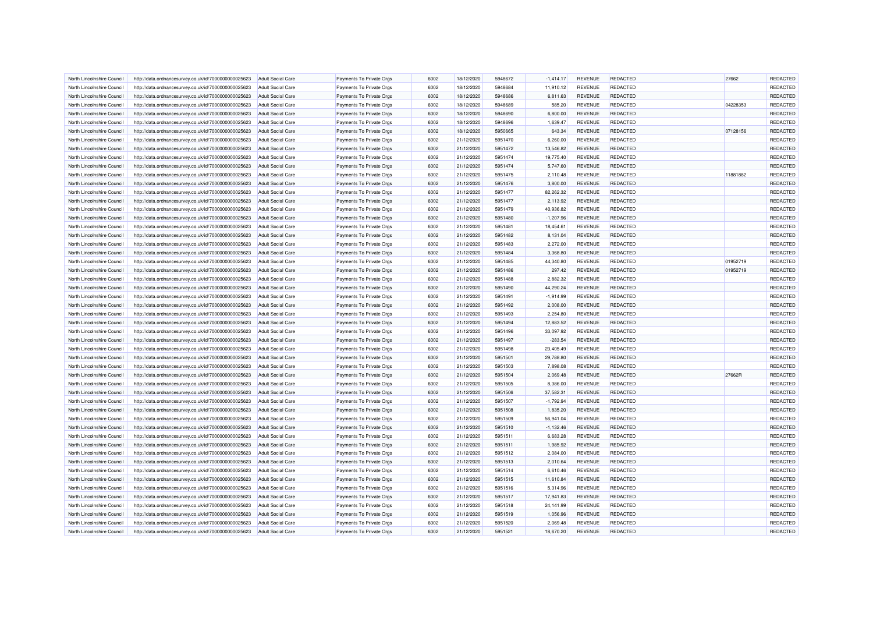| North Lincolnshire Council | http://data.ordnancesurvey.co.uk/id/7000000000025623 | <b>Adult Social Care</b> | Payments To Private Orgs | 6002 | 18/12/2020 | 5948672 | $-1,414.17$ | <b>REVENUE</b> | <b>REDACTED</b> | 27662    | REDACTED |
|----------------------------|------------------------------------------------------|--------------------------|--------------------------|------|------------|---------|-------------|----------------|-----------------|----------|----------|
| North Lincolnshire Council | http://data.ordnancesurvey.co.uk/id/7000000000025623 | <b>Adult Social Care</b> | Payments To Private Orgs | 6002 | 18/12/2020 | 5948684 | 11,910.12   | <b>REVENUE</b> | <b>REDACTED</b> |          | REDACTED |
| North Lincolnshire Council | http://data.ordnancesurvey.co.uk/id/7000000000025623 | Adult Social Care        | Payments To Private Orgs | 6002 | 18/12/2020 | 5948686 | 6,811.63    | <b>REVENUE</b> | <b>REDACTED</b> |          | REDACTED |
| North Lincolnshire Council | http://data.ordnancesurvey.co.uk/id/7000000000025623 | <b>Adult Social Care</b> | Payments To Private Orgs | 6002 | 18/12/2020 | 5948689 | 585.20      | <b>REVENUE</b> | REDACTED        | 04228353 | REDACTED |
| North Lincolnshire Council | http://data.ordnancesurvey.co.uk/id/7000000000025623 | <b>Adult Social Care</b> | Payments To Private Orgs | 6002 | 18/12/2020 | 5948690 | 6,800.00    | <b>REVENUE</b> | <b>REDACTED</b> |          | REDACTED |
| North Lincolnshire Council | http://data.ordnancesurvey.co.uk/id/7000000000025623 | <b>Adult Social Care</b> | Payments To Private Orgs | 6002 | 18/12/2020 | 5948696 | 1,639.47    | <b>REVENUE</b> | <b>REDACTED</b> |          | REDACTED |
| North Lincolnshire Council |                                                      | <b>Adult Social Care</b> |                          | 6002 | 18/12/2020 | 5950665 |             | <b>REVENUE</b> | <b>REDACTED</b> | 07128156 | REDACTED |
|                            | http://data.ordnancesurvey.co.uk/id/7000000000025623 |                          | Payments To Private Orgs | 6002 |            | 5951470 | 643.34      | <b>REVENUE</b> | <b>REDACTED</b> |          | REDACTED |
| North Lincolnshire Council | http://data.ordnancesurvey.co.uk/id/7000000000025623 | <b>Adult Social Care</b> | Payments To Private Orgs |      | 21/12/2020 |         | 6,260.00    |                |                 |          |          |
| North Lincolnshire Council | http://data.ordnancesurvey.co.uk/id/7000000000025623 | Adult Social Care        | Payments To Private Oras | 6002 | 21/12/2020 | 5951472 | 13,546.82   | <b>REVENUE</b> | REDACTED        |          | REDACTED |
| North Lincolnshire Council | http://data.ordnancesurvey.co.uk/id/7000000000025623 | <b>Adult Social Care</b> | Payments To Private Orgs | 6002 | 21/12/2020 | 5951474 | 19,775.40   | <b>REVENUE</b> | <b>REDACTED</b> |          | REDACTED |
| North Lincolnshire Council | http://data.ordnancesurvey.co.uk/id/7000000000025623 | Adult Social Care        | Payments To Private Orgs | 6002 | 21/12/2020 | 5951474 | 5,747.60    | <b>REVENUE</b> | <b>REDACTED</b> |          | REDACTED |
| North Lincolnshire Council | http://data.ordnancesurvey.co.uk/id/7000000000025623 | <b>Adult Social Care</b> | Payments To Private Orgs | 6002 | 21/12/2020 | 5951475 | 2,110.48    | <b>REVENUE</b> | <b>REDACTED</b> | 11881882 | REDACTED |
| North Lincolnshire Council | http://data.ordnancesurvey.co.uk/id/7000000000025623 | <b>Adult Social Care</b> | Payments To Private Orgs | 6002 | 21/12/2020 | 5951476 | 3,800.00    | <b>REVENUE</b> | <b>REDACTED</b> |          | REDACTED |
| North Lincolnshire Council | http://data.ordnancesurvey.co.uk/id/7000000000025623 | <b>Adult Social Care</b> | Payments To Private Orgs | 6002 | 21/12/2020 | 5951477 | 82,262.32   | <b>REVENUE</b> | REDACTED        |          | REDACTED |
| North Lincolnshire Council | http://data.ordnancesurvey.co.uk/id/7000000000025623 | <b>Adult Social Care</b> | Payments To Private Orgs | 6002 | 21/12/2020 | 5951477 | 2,113.92    | <b>REVENUE</b> | <b>REDACTED</b> |          | REDACTED |
| North Lincolnshire Council | http://data.ordnancesurvey.co.uk/id/7000000000025623 | <b>Adult Social Care</b> | Payments To Private Orgs | 6002 | 21/12/2020 | 5951479 | 40,936.82   | <b>REVENUE</b> | <b>REDACTED</b> |          | REDACTED |
| North Lincolnshire Council | http://data.ordnancesurvey.co.uk/id/7000000000025623 | <b>Adult Social Care</b> | Payments To Private Orgs | 6002 | 21/12/2020 | 5951480 | $-1,207.96$ | <b>REVENUE</b> | <b>REDACTED</b> |          | REDACTED |
| North Lincolnshire Council | http://data.ordnancesurvey.co.uk/id/7000000000025623 | <b>Adult Social Care</b> | Payments To Private Orgs | 6002 | 21/12/2020 | 5951481 | 18,454.61   | <b>REVENUE</b> | <b>REDACTED</b> |          | REDACTED |
| North Lincolnshire Council | http://data.ordnancesurvey.co.uk/id/7000000000025623 | <b>Adult Social Care</b> | Payments To Private Orgs | 6002 | 21/12/2020 | 5951482 | 8,131.04    | <b>REVENUE</b> | REDACTED        |          | REDACTED |
| North Lincolnshire Council | http://data.ordnancesurvey.co.uk/id/7000000000025623 | <b>Adult Social Care</b> | Payments To Private Orgs | 6002 | 21/12/2020 | 5951483 | 2,272.00    | <b>REVENUE</b> | <b>REDACTED</b> |          | REDACTED |
| North Lincolnshire Council | http://data.ordnancesurvey.co.uk/id/7000000000025623 | <b>Adult Social Care</b> | Payments To Private Orgs | 6002 | 21/12/2020 | 5951484 | 3,368.80    | <b>REVENUE</b> | <b>REDACTED</b> |          | REDACTED |
| North Lincolnshire Council | http://data.ordnancesurvey.co.uk/id/7000000000025623 | Adult Social Care        | Payments To Private Orgs | 6002 | 21/12/2020 | 5951485 | 44,340.80   | <b>REVENUE</b> | <b>REDACTED</b> | 01952719 | REDACTED |
| North Lincolnshire Council | http://data.ordnancesurvey.co.uk/id/7000000000025623 | <b>Adult Social Care</b> | Payments To Private Orgs | 6002 | 21/12/2020 | 5951486 | 297.42      | <b>REVENUE</b> | <b>REDACTED</b> | 01952719 | REDACTED |
| North Lincolnshire Council |                                                      |                          |                          | 6002 | 21/12/2020 | 5951488 | 2,882.32    | <b>REVENUE</b> | <b>REDACTED</b> |          | REDACTED |
|                            | http://data.ordnancesurvey.co.uk/id/7000000000025623 | <b>Adult Social Care</b> | Payments To Private Orgs |      |            |         |             |                |                 |          |          |
| North Lincolnshire Council | http://data.ordnancesurvey.co.uk/id/7000000000025623 | <b>Adult Social Care</b> | Payments To Private Orgs | 6002 | 21/12/2020 | 5951490 | 44,290.24   | <b>REVENUE</b> | <b>REDACTED</b> |          | REDACTED |
| North Lincolnshire Council | http://data.ordnancesurvey.co.uk/id/7000000000025623 | <b>Adult Social Care</b> | Payments To Private Orgs | 6002 | 21/12/2020 | 5951491 | $-1,914.99$ | <b>REVENUE</b> | <b>REDACTED</b> |          | REDACTED |
| North Lincolnshire Council | http://data.ordnancesurvey.co.uk/id/7000000000025623 | <b>Adult Social Care</b> | Payments To Private Orgs | 6002 | 21/12/2020 | 5951492 | 2,008.00    | <b>REVENUE</b> | <b>REDACTED</b> |          | REDACTED |
| North Lincolnshire Council | http://data.ordnancesurvey.co.uk/id/7000000000025623 | <b>Adult Social Care</b> | Payments To Private Orgs | 6002 | 21/12/2020 | 5951493 | 2,254.80    | <b>REVENUE</b> | <b>REDACTED</b> |          | REDACTED |
| North Lincolnshire Council | http://data.ordnancesurvey.co.uk/id/7000000000025623 | <b>Adult Social Care</b> | Payments To Private Orgs | 6002 | 21/12/2020 | 5951494 | 12,883.52   | <b>REVENUE</b> | <b>REDACTED</b> |          | REDACTED |
| North Lincolnshire Council | http://data.ordnancesurvey.co.uk/id/7000000000025623 | <b>Adult Social Care</b> | Payments To Private Orgs | 6002 | 21/12/2020 | 5951496 | 33,097.92   | <b>REVENUE</b> | <b>REDACTED</b> |          | REDACTED |
| North Lincolnshire Council | http://data.ordnancesurvey.co.uk/id/7000000000025623 | <b>Adult Social Care</b> | Payments To Private Orgs | 6002 | 21/12/2020 | 5951497 | $-283.54$   | <b>REVENUE</b> | <b>REDACTED</b> |          | REDACTED |
| North Lincolnshire Council | http://data.ordnancesurvey.co.uk/id/7000000000025623 | <b>Adult Social Care</b> | Payments To Private Orgs | 6002 | 21/12/2020 | 5951498 | 23,405.49   | <b>REVENUE</b> | <b>REDACTED</b> |          | REDACTED |
| North Lincolnshire Council | http://data.ordnancesurvey.co.uk/id/7000000000025623 | <b>Adult Social Care</b> | Payments To Private Orgs | 6002 | 21/12/2020 | 5951501 | 29,788.80   | <b>REVENUE</b> | <b>REDACTED</b> |          | REDACTED |
| North Lincolnshire Council | http://data.ordnancesurvey.co.uk/id/7000000000025623 | <b>Adult Social Care</b> | Payments To Private Orgs | 6002 | 21/12/2020 | 5951503 | 7,898.08    | <b>REVENUE</b> | <b>REDACTED</b> |          | REDACTED |
| North Lincolnshire Council | http://data.ordnancesurvey.co.uk/id/7000000000025623 | <b>Adult Social Care</b> | Payments To Private Orgs | 6002 | 21/12/2020 | 5951504 | 2,069.48    | <b>REVENUE</b> | <b>REDACTED</b> | 27662R   | REDACTED |
| North Lincolnshire Council | http://data.ordnancesurvey.co.uk/id/7000000000025623 | Adult Social Care        | Payments To Private Oras | 6002 | 21/12/2020 | 5951505 | 8,386.00    | <b>REVENUE</b> | <b>REDACTED</b> |          | REDACTED |
| North Lincolnshire Council | http://data.ordnancesurvey.co.uk/id/7000000000025623 | <b>Adult Social Care</b> | Payments To Private Orgs | 6002 | 21/12/2020 | 5951506 | 37,582.31   | <b>REVENUE</b> | <b>REDACTED</b> |          | REDACTED |
| North Lincolnshire Council | http://data.ordnancesurvey.co.uk/id/7000000000025623 | Adult Social Care        | Payments To Private Orgs | 6002 | 21/12/2020 | 5951507 | $-1,792.94$ | <b>REVENUE</b> | <b>REDACTED</b> |          | REDACTED |
| North Lincolnshire Council | http://data.ordnancesurvey.co.uk/id/7000000000025623 | <b>Adult Social Care</b> | Payments To Private Orgs | 6002 | 21/12/2020 | 5951508 | 1,835.20    | <b>REVENUE</b> | <b>REDACTED</b> |          | REDACTED |
| North Lincolnshire Council | http://data.ordnancesurvey.co.uk/id/7000000000025623 | Adult Social Care        | Payments To Private Orgs | 6002 | 21/12/2020 | 5951509 | 56,941.04   | <b>REVENUE</b> | <b>REDACTED</b> |          | REDACTED |
| North Lincolnshire Council | http://data.ordnancesurvey.co.uk/id/7000000000025623 | <b>Adult Social Care</b> | Payments To Private Orgs | 6002 | 21/12/2020 | 5951510 | $-1,132.46$ | <b>REVENUE</b> | <b>REDACTED</b> |          | REDACTED |
| North Lincolnshire Council | http://data.ordnancesurvey.co.uk/id/7000000000025623 | <b>Adult Social Care</b> | Payments To Private Orgs | 6002 | 21/12/2020 | 5951511 | 6,683.28    | <b>REVENUE</b> | <b>REDACTED</b> |          | REDACTED |
| North Lincolnshire Council | http://data.ordnancesurvey.co.uk/id/7000000000025623 | Adult Social Care        | Payments To Private Orgs | 6002 | 21/12/2020 | 5951511 | 1,985.92    | <b>REVENUE</b> | <b>REDACTED</b> |          | REDACTED |
|                            |                                                      |                          |                          |      |            |         |             |                |                 |          |          |
| North Lincolnshire Council | http://data.ordnancesurvey.co.uk/id/7000000000025623 | <b>Adult Social Care</b> | Payments To Private Orgs | 6002 | 21/12/2020 | 5951512 | 2,084.00    | <b>REVENUE</b> | <b>REDACTED</b> |          | REDACTED |
| North Lincolnshire Council | http://data.ordnancesurvey.co.uk/id/7000000000025623 | <b>Adult Social Care</b> | Payments To Private Orgs | 6002 | 21/12/2020 | 5951513 | 2,010.64    | <b>REVENUE</b> | <b>REDACTED</b> |          | REDACTED |
| North Lincolnshire Council | http://data.ordnancesurvey.co.uk/id/7000000000025623 | <b>Adult Social Care</b> | Payments To Private Orgs | 6002 | 21/12/2020 | 5951514 | 6,610.46    | <b>REVENUE</b> | REDACTED        |          | REDACTED |
| North Lincolnshire Council | http://data.ordnancesurvey.co.uk/id/7000000000025623 | <b>Adult Social Care</b> | Payments To Private Orgs | 6002 | 21/12/2020 | 5951515 | 11,610.84   | <b>REVENUE</b> | <b>REDACTED</b> |          | REDACTED |
| North Lincolnshire Council | http://data.ordnancesurvey.co.uk/id/7000000000025623 | <b>Adult Social Care</b> | Payments To Private Orgs | 6002 | 21/12/2020 | 5951516 | 5,314.96    | <b>REVENUE</b> | <b>REDACTED</b> |          | REDACTED |
| North Lincolnshire Council | http://data.ordnancesurvey.co.uk/id/7000000000025623 | <b>Adult Social Care</b> | Payments To Private Orgs | 6002 | 21/12/2020 | 5951517 | 17,941.83   | <b>REVENUE</b> | <b>REDACTED</b> |          | REDACTED |
| North Lincolnshire Council | http://data.ordnancesurvey.co.uk/id/7000000000025623 | <b>Adult Social Care</b> | Payments To Private Orgs | 6002 | 21/12/2020 | 5951518 | 24,141.99   | <b>REVENUE</b> | <b>REDACTED</b> |          | REDACTED |
| North Lincolnshire Council | http://data.ordnancesurvey.co.uk/id/7000000000025623 | <b>Adult Social Care</b> | Payments To Private Orgs | 6002 | 21/12/2020 | 5951519 | 1,056.96    | <b>REVENUE</b> | <b>REDACTED</b> |          | REDACTED |
| North Lincolnshire Council | http://data.ordnancesurvey.co.uk/id/7000000000025623 | <b>Adult Social Care</b> | Payments To Private Orgs | 6002 | 21/12/2020 | 5951520 | 2,069.48    | <b>REVENUE</b> | <b>REDACTED</b> |          | REDACTED |
| North Lincolnshire Council | http://data.ordnancesurvey.co.uk/id/7000000000025623 | Adult Social Care        | Payments To Private Orgs | 6002 | 21/12/2020 | 5951521 | 18,670.20   | <b>REVENUE</b> | <b>REDACTED</b> |          | REDACTED |
|                            |                                                      |                          |                          |      |            |         |             |                |                 |          |          |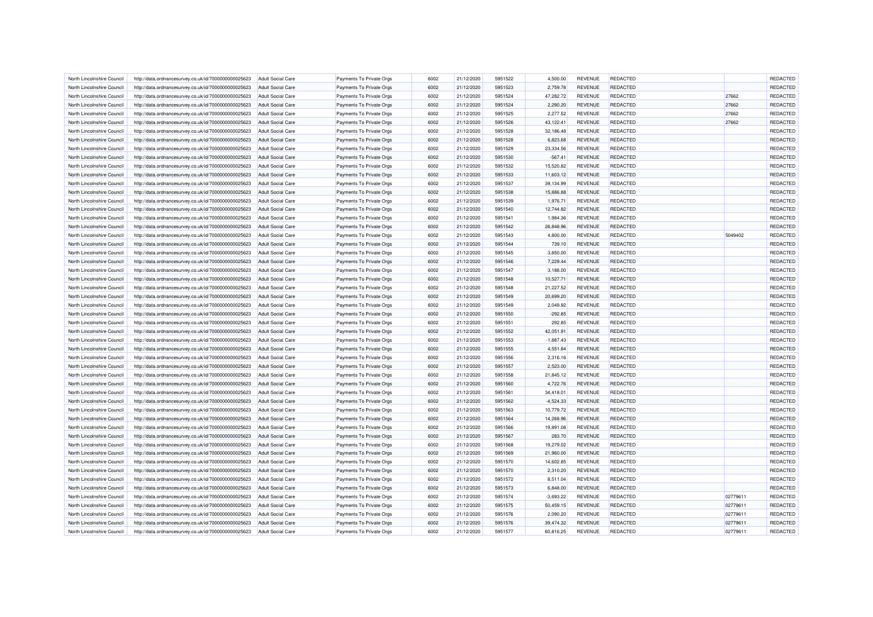| North Lincolnshire Council | http://data.ordnancesurvey.co.uk/id/7000000000025623 | <b>Adult Social Care</b>                      | Payments To Private Orgs | 6002 | 21/12/2020 | 5951522 | 4.500.00    | <b>REVENUE</b> | <b>REDACTED</b> |          | REDACTED |
|----------------------------|------------------------------------------------------|-----------------------------------------------|--------------------------|------|------------|---------|-------------|----------------|-----------------|----------|----------|
| North Lincolnshire Council | http://data.ordnancesurvey.co.uk/id/7000000000025623 | <b>Adult Social Care</b>                      | Payments To Private Orgs | 6002 | 21/12/2020 | 5951523 | 2,759.78    | <b>REVENUE</b> | <b>REDACTED</b> |          | REDACTED |
| North Lincolnshire Council | http://data.ordnancesurvey.co.uk/id/7000000000025623 | Adult Social Care                             | Payments To Private Orgs | 6002 | 21/12/2020 | 5951524 | 47,282.72   | <b>REVENUE</b> | <b>REDACTED</b> | 27662    | REDACTED |
| North Lincolnshire Council | http://data.ordnancesurvey.co.uk/id/7000000000025623 | <b>Adult Social Care</b>                      | Payments To Private Orgs | 6002 | 21/12/2020 | 5951524 | 2,290.20    | <b>REVENUE</b> | <b>REDACTED</b> | 27662    | REDACTED |
| North Lincolnshire Council | http://data.ordnancesurvey.co.uk/id/7000000000025623 | <b>Adult Social Care</b>                      | Payments To Private Orgs | 6002 | 21/12/2020 | 5951525 | 2,277.52    | <b>REVENUE</b> | <b>REDACTED</b> | 27662    | REDACTED |
| North Lincolnshire Council | http://data.ordnancesurvey.co.uk/id/7000000000025623 | <b>Adult Social Care</b>                      | Payments To Private Orgs | 6002 | 21/12/2020 | 5951526 | 43,122.41   | <b>REVENUE</b> | <b>REDACTED</b> | 27662    | REDACTED |
| North Lincolnshire Council | http://data.ordnancesurvey.co.uk/id/7000000000025623 | <b>Adult Social Care</b>                      | Payments To Private Orgs | 6002 | 21/12/2020 | 5951528 | 32,186.48   | <b>REVENUE</b> | <b>REDACTED</b> |          | REDACTED |
| North Lincolnshire Council | http://data.ordnancesurvey.co.uk/id/7000000000025623 | <b>Adult Social Care</b>                      | Payments To Private Orgs | 6002 | 21/12/2020 | 5951528 | 6,823.68    | <b>REVENUE</b> | <b>REDACTED</b> |          | REDACTED |
| North Lincolnshire Council | http://data.ordnancesurvey.co.uk/id/7000000000025623 | <b>Adult Social Care</b>                      | Payments To Private Orgs | 6002 | 21/12/2020 | 5951529 | 23,334.56   | <b>REVENUE</b> | REDACTED        |          | REDACTED |
| North Lincolnshire Council | http://data.ordnancesurvey.co.uk/id/7000000000025623 | <b>Adult Social Care</b>                      | Payments To Private Orgs | 6002 | 21/12/2020 | 5951530 | $-567.41$   | <b>REVENUE</b> | <b>REDACTED</b> |          | REDACTED |
| North Lincolnshire Council | http://data.ordnancesurvey.co.uk/id/7000000000025623 | <b>Adult Social Care</b>                      | Payments To Private Orgs | 6002 | 21/12/2020 | 5951532 | 15,520.82   | <b>REVENUE</b> | <b>REDACTED</b> |          | REDACTED |
| North Lincolnshire Council | http://data.ordnancesurvey.co.uk/id/7000000000025623 | Adult Social Care                             | Payments To Private Orgs | 6002 | 21/12/2020 | 5951533 | 11,603.12   | <b>REVENUE</b> | <b>REDACTED</b> |          | REDACTED |
| North Lincolnshire Council | http://data.ordnancesurvey.co.uk/id/7000000000025623 | <b>Adult Social Care</b>                      | Payments To Private Orgs | 6002 | 21/12/2020 | 5951537 | 39,134.99   | <b>REVENUE</b> | <b>REDACTED</b> |          | REDACTED |
| North Lincolnshire Council | http://data.ordnancesurvey.co.uk/id/7000000000025623 | <b>Adult Social Care</b>                      | Payments To Private Orgs | 6002 | 21/12/2020 | 5951538 | 15,886.88   | <b>REVENUE</b> | REDACTED        |          | REDACTED |
| North Lincolnshire Council | http://data.ordnancesurvey.co.uk/id/7000000000025623 | <b>Adult Social Care</b>                      | Payments To Private Orgs | 6002 | 21/12/2020 | 5951539 | 1,976.71    | <b>REVENUE</b> | <b>REDACTED</b> |          | REDACTED |
| North Lincolnshire Council | http://data.ordnancesurvey.co.uk/id/7000000000025623 | <b>Adult Social Care</b>                      | Payments To Private Orgs | 6002 | 21/12/2020 | 5951540 | 12,744.82   | <b>REVENUE</b> | <b>REDACTED</b> |          | REDACTED |
| North Lincolnshire Council | http://data.ordnancesurvey.co.uk/id/7000000000025623 | <b>Adult Social Care</b>                      | Payments To Private Orgs | 6002 | 21/12/2020 | 5951541 | 1,984.36    | <b>REVENUE</b> | <b>REDACTED</b> |          | REDACTED |
| North Lincolnshire Council | http://data.ordnancesurvey.co.uk/id/7000000000025623 | <b>Adult Social Care</b>                      | Payments To Private Orgs | 6002 | 21/12/2020 | 5951542 | 26,848.96   | <b>REVENUE</b> | <b>REDACTED</b> |          | REDACTED |
| North Lincolnshire Council | http://data.ordnancesurvey.co.uk/id/7000000000025623 | Adult Social Care                             | Payments To Private Orgs | 6002 | 21/12/2020 | 5951543 | 4,800.00    | REVENUE        | <b>REDACTED</b> | 5049402  | REDACTED |
| North Lincolnshire Council | http://data.ordnancesurvey.co.uk/id/7000000000025623 | <b>Adult Social Care</b>                      | Payments To Private Orgs | 6002 | 21/12/2020 | 5951544 | 739.10      | <b>REVENUE</b> | <b>REDACTED</b> |          | REDACTED |
| North Lincolnshire Council |                                                      |                                               | Payments To Private Orgs | 6002 | 21/12/2020 | 5951545 | 3,850.00    | <b>REVENUE</b> | <b>REDACTED</b> |          | REDACTED |
| North Lincolnshire Council | http://data.ordnancesurvey.co.uk/id/7000000000025623 | <b>Adult Social Care</b><br>Adult Social Care | Payments To Private Orgs | 6002 | 21/12/2020 | 5951546 | 7,229.44    | <b>REVENUE</b> | <b>REDACTED</b> |          | REDACTED |
|                            | http://data.ordnancesurvey.co.uk/id/7000000000025623 |                                               |                          | 6002 |            | 5951547 |             |                |                 |          |          |
| North Lincolnshire Council | http://data.ordnancesurvey.co.uk/id/7000000000025623 | <b>Adult Social Care</b>                      | Payments To Private Orgs |      | 21/12/2020 |         | 3,188.00    | <b>REVENUE</b> | <b>REDACTED</b> |          | REDACTED |
| North Lincolnshire Council | http://data.ordnancesurvey.co.uk/id/7000000000025623 | <b>Adult Social Care</b>                      | Payments To Private Orgs | 6002 | 21/12/2020 | 5951548 | 10,527.71   | <b>REVENUE</b> | <b>REDACTED</b> |          | REDACTED |
| North Lincolnshire Council | http://data.ordnancesurvey.co.uk/id/7000000000025623 | Adult Social Care                             | Payments To Private Orgs | 6002 | 21/12/2020 | 5951548 | 21,227.52   | <b>REVENUE</b> | <b>REDACTED</b> |          | REDACTED |
| North Lincolnshire Council | http://data.ordnancesurvey.co.uk/id/7000000000025623 | <b>Adult Social Care</b>                      | Payments To Private Orgs | 6002 | 21/12/2020 | 5951549 | 20,699.20   | <b>REVENUE</b> | REDACTED        |          | REDACTED |
| North Lincolnshire Council | http://data.ordnancesurvey.co.uk/id/7000000000025623 | <b>Adult Social Care</b>                      | Payments To Private Orgs | 6002 | 21/12/2020 | 5951549 | 2,049.92    | <b>REVENUE</b> | <b>REDACTED</b> |          | REDACTED |
| North Lincolnshire Council | http://data.ordnancesurvey.co.uk/id/7000000000025623 | <b>Adult Social Care</b>                      | Payments To Private Orgs | 6002 | 21/12/2020 | 5951550 | $-292.85$   | <b>REVENUE</b> | <b>REDACTED</b> |          | REDACTED |
| North Lincolnshire Council | http://data.ordnancesurvey.co.uk/id/7000000000025623 | <b>Adult Social Care</b>                      | Payments To Private Orgs | 6002 | 21/12/2020 | 5951551 | 292.85      | <b>REVENUE</b> | <b>REDACTED</b> |          | REDACTED |
| North Lincolnshire Council | http://data.ordnancesurvey.co.uk/id/7000000000025623 | <b>Adult Social Care</b>                      | Payments To Private Orgs | 6002 | 21/12/2020 | 5951552 | 42,051.91   | <b>REVENUE</b> | <b>REDACTED</b> |          | REDACTED |
| North Lincolnshire Council | http://data.ordnancesurvey.co.uk/id/7000000000025623 | <b>Adult Social Care</b>                      | Payments To Private Orgs | 6002 | 21/12/2020 | 5951553 | $-1,887.43$ | <b>REVENUE</b> | REDACTED        |          | REDACTED |
| North Lincolnshire Council | http://data.ordnancesurvey.co.uk/id/7000000000025623 | <b>Adult Social Care</b>                      | Payments To Private Orgs | 6002 | 21/12/2020 | 5951555 | 4,551.84    | <b>REVENUE</b> | <b>REDACTED</b> |          | REDACTED |
| North Lincolnshire Council | http://data.ordnancesurvey.co.uk/id/7000000000025623 | Adult Social Care                             | Payments To Private Orgs | 6002 | 21/12/2020 | 5951556 | 2,316.16    | <b>REVENUE</b> | <b>REDACTED</b> |          | REDACTED |
| North Lincolnshire Council | http://data.ordnancesurvey.co.uk/id/7000000000025623 | <b>Adult Social Care</b>                      | Payments To Private Orgs | 6002 | 21/12/2020 | 5951557 | 2,523.00    | <b>REVENUE</b> | <b>REDACTED</b> |          | REDACTED |
| North Lincolnshire Council | http://data.ordnancesurvey.co.uk/id/7000000000025623 | <b>Adult Social Care</b>                      | Payments To Private Orgs | 6002 | 21/12/2020 | 5951558 | 21,845.12   | <b>REVENUE</b> | <b>REDACTED</b> |          | REDACTED |
| North Lincolnshire Council | http://data.ordnancesurvey.co.uk/id/7000000000025623 | Adult Social Care                             | Payments To Private Orgs | 6002 | 21/12/2020 | 5951560 | 4,722.76    | <b>REVENUE</b> | <b>REDACTED</b> |          | REDACTED |
| North Lincolnshire Council | http://data.ordnancesurvey.co.uk/id/7000000000025623 | <b>Adult Social Care</b>                      | Payments To Private Orgs | 6002 | 21/12/2020 | 5951561 | 34,418.01   | <b>REVENUE</b> | <b>REDACTED</b> |          | REDACTED |
| North Lincolnshire Council | http://data.ordnancesurvey.co.uk/id/7000000000025623 | <b>Adult Social Care</b>                      | Payments To Private Orgs | 6002 | 21/12/2020 | 5951562 | $-4,524.33$ | <b>REVENUE</b> | <b>REDACTED</b> |          | REDACTED |
| North Lincolnshire Council | http://data.ordnancesurvey.co.uk/id/7000000000025623 | <b>Adult Social Care</b>                      | Payments To Private Orgs | 6002 | 21/12/2020 | 5951563 | 10,779.72   | <b>REVENUE</b> | <b>REDACTED</b> |          | REDACTED |
| North Lincolnshire Council | http://data.ordnancesurvey.co.uk/id/7000000000025623 | <b>Adult Social Care</b>                      | Payments To Private Orgs | 6002 | 21/12/2020 | 5951564 | 14,268.96   | <b>REVENUE</b> | <b>REDACTED</b> |          | REDACTED |
| North Lincolnshire Council | http://data.ordnancesurvey.co.uk/id/7000000000025623 | <b>Adult Social Care</b>                      | Payments To Private Orgs | 6002 | 21/12/2020 | 5951566 | 19,891.08   | <b>REVENUE</b> | REDACTED        |          | REDACTED |
| North Lincolnshire Council | http://data.ordnancesurvey.co.uk/id/7000000000025623 | <b>Adult Social Care</b>                      | Payments To Private Orgs | 6002 | 21/12/2020 | 5951567 | 283.70      | <b>REVENUE</b> | <b>REDACTED</b> |          | REDACTED |
| North Lincolnshire Council | http://data.ordnancesurvey.co.uk/id/7000000000025623 | <b>Adult Social Care</b>                      | Payments To Private Orgs | 6002 | 21/12/2020 | 5951568 | 19,279.02   | <b>REVENUE</b> | <b>REDACTED</b> |          | REDACTED |
| North Lincolnshire Council | http://data.ordnancesurvey.co.uk/id/7000000000025623 | Adult Social Care                             | Payments To Private Orgs | 6002 | 21/12/2020 | 5951569 | 21,960.00   | <b>REVENUE</b> | <b>REDACTED</b> |          | REDACTED |
| North Lincolnshire Council | http://data.ordnancesurvey.co.uk/id/7000000000025623 | <b>Adult Social Care</b>                      | Payments To Private Orgs | 6002 | 21/12/2020 | 5951570 | 14,602.85   | <b>REVENUE</b> | <b>REDACTED</b> |          | REDACTED |
| North Lincolnshire Council | http://data.ordnancesurvey.co.uk/id/7000000000025623 | <b>Adult Social Care</b>                      | Payments To Private Orgs | 6002 | 21/12/2020 | 5951570 | 2,310.20    | <b>REVENUE</b> | REDACTED        |          | REDACTED |
| North Lincolnshire Council | http://data.ordnancesurvey.co.uk/id/7000000000025623 | <b>Adult Social Care</b>                      | Payments To Private Orgs | 6002 | 21/12/2020 | 5951572 | 8,511.04    | <b>REVENUE</b> | <b>REDACTED</b> |          | REDACTED |
| North Lincolnshire Council | http://data.ordnancesurvey.co.uk/id/7000000000025623 | <b>Adult Social Care</b>                      | Payments To Private Orgs | 6002 | 21/12/2020 | 5951573 | 6,848.00    | <b>REVENUE</b> | <b>REDACTED</b> |          | REDACTED |
| North Lincolnshire Council | http://data.ordnancesurvey.co.uk/id/7000000000025623 | <b>Adult Social Care</b>                      | Payments To Private Orgs | 6002 | 21/12/2020 | 5951574 | $-3,693.22$ | <b>REVENUE</b> | <b>REDACTED</b> | 02779611 | REDACTED |
| North Lincolnshire Council | http://data.ordnancesurvey.co.uk/id/7000000000025623 | <b>Adult Social Care</b>                      | Payments To Private Orgs | 6002 | 21/12/2020 | 5951575 | 50,459.15   | <b>REVENUE</b> | <b>REDACTED</b> | 02779611 | REDACTED |
| North Lincolnshire Council | http://data.ordnancesurvey.co.uk/id/7000000000025623 | <b>Adult Social Care</b>                      | Payments To Private Orgs | 6002 | 21/12/2020 | 5951576 | 2,090.20    | <b>REVENUE</b> | <b>REDACTED</b> | 02779611 | REDACTED |
| North Lincolnshire Council | http://data.ordnancesurvey.co.uk/id/7000000000025623 | <b>Adult Social Care</b>                      | Payments To Private Orgs | 6002 | 21/12/2020 | 5951576 | 39,474.32   | <b>REVENUE</b> | REDACTED        | 02779611 | REDACTED |
| North Lincolnshire Council | http://data.ordnancesurvey.co.uk/id/7000000000025623 | Adult Social Care                             | Payments To Private Orgs | 6002 | 21/12/2020 | 5951577 | 60,816.25   | <b>REVENUE</b> | <b>REDACTED</b> | 02779611 | REDACTED |
|                            |                                                      |                                               |                          |      |            |         |             |                |                 |          |          |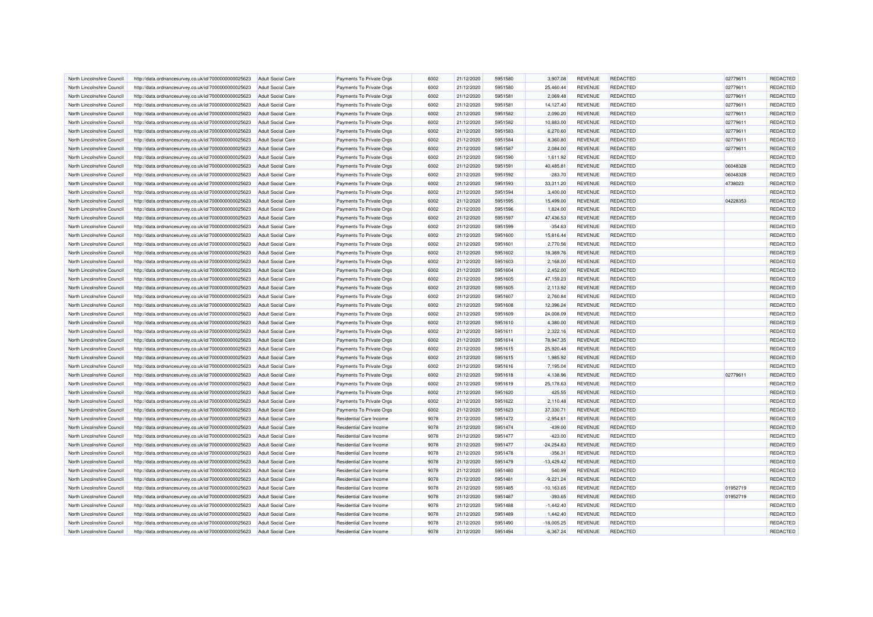| North Lincolnshire Council | http://data.ordnancesurvey.co.uk/id/7000000000025623 | <b>Adult Social Care</b> | Payments To Private Orgs | 6002 | 21/12/2020 | 5951580 | 3.907.08      | <b>REVENUE</b> | <b>REDACTED</b> | 02779611 | REDACTED |
|----------------------------|------------------------------------------------------|--------------------------|--------------------------|------|------------|---------|---------------|----------------|-----------------|----------|----------|
| North Lincolnshire Council | http://data.ordnancesurvey.co.uk/id/7000000000025623 | <b>Adult Social Care</b> | Payments To Private Orgs | 6002 | 21/12/2020 | 5951580 | 25,460.44     | <b>REVENUE</b> | <b>REDACTED</b> | 02779611 | REDACTED |
| North Lincolnshire Council | http://data.ordnancesurvey.co.uk/id/7000000000025623 | <b>Adult Social Care</b> | Payments To Private Orgs | 6002 | 21/12/2020 | 5951581 | 2,069.48      | <b>REVENUE</b> | <b>REDACTED</b> | 02779611 | REDACTED |
| North Lincolnshire Council | http://data.ordnancesurvey.co.uk/id/7000000000025623 | <b>Adult Social Care</b> | Payments To Private Orgs | 6002 | 21/12/2020 | 5951581 | 14,127.40     | <b>REVENUE</b> | REDACTED        | 02779611 | REDACTED |
| North Lincolnshire Council | http://data.ordnancesurvey.co.uk/id/7000000000025623 | <b>Adult Social Care</b> | Payments To Private Orgs | 6002 | 21/12/2020 | 5951582 | 2,090.20      | <b>REVENUE</b> | <b>REDACTED</b> | 02779611 | REDACTED |
| North Lincolnshire Council | http://data.ordnancesurvey.co.uk/id/7000000000025623 | <b>Adult Social Care</b> | Payments To Private Orgs | 6002 | 21/12/2020 | 5951582 | 10,883.00     | <b>REVENUE</b> | <b>REDACTED</b> | 02779611 | REDACTED |
| North Lincolnshire Council | http://data.ordnancesurvey.co.uk/id/7000000000025623 | <b>Adult Social Care</b> | Payments To Private Orgs | 6002 | 21/12/2020 | 5951583 | 6,270.60      | <b>REVENUE</b> | <b>REDACTED</b> | 02779611 | REDACTED |
| North Lincolnshire Council | http://data.ordnancesurvey.co.uk/id/7000000000025623 | <b>Adult Social Care</b> | Payments To Private Orgs | 6002 | 21/12/2020 | 5951584 | 8,360.80      | <b>REVENUE</b> | <b>REDACTED</b> | 02779611 | REDACTED |
| North Lincolnshire Council | http://data.ordnancesurvey.co.uk/id/7000000000025623 | Adult Social Care        | Payments To Private Oras | 6002 | 21/12/2020 | 5951587 | 2.084.00      | <b>REVENUE</b> | REDACTED        | 02779611 | REDACTED |
| North Lincolnshire Council | http://data.ordnancesurvey.co.uk/id/7000000000025623 | <b>Adult Social Care</b> | Payments To Private Orgs | 6002 | 21/12/2020 | 5951590 | 1,611.92      | <b>REVENUE</b> | <b>REDACTED</b> |          | REDACTED |
| North Lincolnshire Council | http://data.ordnancesurvey.co.uk/id/7000000000025623 | Adult Social Care        | Payments To Private Orgs | 6002 | 21/12/2020 | 5951591 | 40,485.81     | <b>REVENUE</b> | <b>REDACTED</b> | 06048328 | REDACTED |
| North Lincolnshire Council | http://data.ordnancesurvey.co.uk/id/7000000000025623 | <b>Adult Social Care</b> | Payments To Private Orgs | 6002 | 21/12/2020 | 5951592 | $-283.70$     | <b>REVENUE</b> | <b>REDACTED</b> | 06048328 | REDACTED |
| North Lincolnshire Council | http://data.ordnancesurvey.co.uk/id/7000000000025623 | <b>Adult Social Care</b> | Payments To Private Orgs | 6002 | 21/12/2020 | 5951593 | 33,311.20     | <b>REVENUE</b> | <b>REDACTED</b> | 4738023  | REDACTED |
| North Lincolnshire Council |                                                      |                          |                          | 6002 |            | 5951594 |               |                |                 |          | REDACTED |
|                            | http://data.ordnancesurvey.co.uk/id/7000000000025623 | <b>Adult Social Care</b> | Payments To Private Orgs |      | 21/12/2020 |         | 3,400.00      | <b>REVENUE</b> | REDACTED        |          |          |
| North Lincolnshire Council | http://data.ordnancesurvey.co.uk/id/7000000000025623 | <b>Adult Social Care</b> | Payments To Private Orgs | 6002 | 21/12/2020 | 5951595 | 15,499.00     | <b>REVENUE</b> | <b>REDACTED</b> | 04228353 | REDACTED |
| North Lincolnshire Council | http://data.ordnancesurvey.co.uk/id/7000000000025623 | <b>Adult Social Care</b> | Payments To Private Orgs | 6002 | 21/12/2020 | 5951596 | 1,824.00      | <b>REVENUE</b> | <b>REDACTED</b> |          | REDACTED |
| North Lincolnshire Council | http://data.ordnancesurvey.co.uk/id/7000000000025623 | <b>Adult Social Care</b> | Payments To Private Orgs | 6002 | 21/12/2020 | 5951597 | 47,436.53     | <b>REVENUE</b> | <b>REDACTED</b> |          | REDACTED |
| North Lincolnshire Council | http://data.ordnancesurvey.co.uk/id/7000000000025623 | <b>Adult Social Care</b> | Payments To Private Orgs | 6002 | 21/12/2020 | 5951599 | $-354.63$     | <b>REVENUE</b> | <b>REDACTED</b> |          | REDACTED |
| North Lincolnshire Council | http://data.ordnancesurvey.co.uk/id/7000000000025623 | <b>Adult Social Care</b> | Payments To Private Orgs | 6002 | 21/12/2020 | 5951600 | 15,816.44     | <b>REVENUE</b> | REDACTED        |          | REDACTED |
| North Lincolnshire Council | http://data.ordnancesurvey.co.uk/id/7000000000025623 | <b>Adult Social Care</b> | Payments To Private Orgs | 6002 | 21/12/2020 | 5951601 | 2,770.56      | <b>REVENUE</b> | <b>REDACTED</b> |          | REDACTED |
| North Lincolnshire Council | http://data.ordnancesurvey.co.uk/id/7000000000025623 | <b>Adult Social Care</b> | Payments To Private Orgs | 6002 | 21/12/2020 | 5951602 | 18,369.76     | <b>REVENUE</b> | <b>REDACTED</b> |          | REDACTED |
| North Lincolnshire Council | http://data.ordnancesurvey.co.uk/id/7000000000025623 | Adult Social Care        | Payments To Private Orgs | 6002 | 21/12/2020 | 5951603 | 2,168.00      | <b>REVENUE</b> | <b>REDACTED</b> |          | REDACTED |
| North Lincolnshire Council | http://data.ordnancesurvey.co.uk/id/7000000000025623 | <b>Adult Social Care</b> | Payments To Private Orgs | 6002 | 21/12/2020 | 5951604 | 2,452.00      | <b>REVENUE</b> | <b>REDACTED</b> |          | REDACTED |
| North Lincolnshire Council | http://data.ordnancesurvey.co.uk/id/7000000000025623 | <b>Adult Social Care</b> | Payments To Private Orgs | 6002 | 21/12/2020 | 5951605 | 47,159.23     | <b>REVENUE</b> | <b>REDACTED</b> |          | REDACTED |
| North Lincolnshire Council | http://data.ordnancesurvey.co.uk/id/7000000000025623 | <b>Adult Social Care</b> | Payments To Private Orgs | 6002 | 21/12/2020 | 5951605 | 2,113.92      | <b>REVENUE</b> | <b>REDACTED</b> |          | REDACTED |
| North Lincolnshire Council | http://data.ordnancesurvey.co.uk/id/7000000000025623 | <b>Adult Social Care</b> | Payments To Private Orgs | 6002 | 21/12/2020 | 5951607 | 2,760.84      | <b>REVENUE</b> | <b>REDACTED</b> |          | REDACTED |
| North Lincolnshire Council | http://data.ordnancesurvey.co.uk/id/7000000000025623 | <b>Adult Social Care</b> | Payments To Private Orgs | 6002 | 21/12/2020 | 5951608 | 12,396.24     | <b>REVENUE</b> | <b>REDACTED</b> |          | REDACTED |
| North Lincolnshire Council | http://data.ordnancesurvey.co.uk/id/7000000000025623 | <b>Adult Social Care</b> | Payments To Private Orgs | 6002 | 21/12/2020 | 5951609 | 24,008.09     | <b>REVENUE</b> | <b>REDACTED</b> |          | REDACTED |
| North Lincolnshire Council | http://data.ordnancesurvey.co.uk/id/7000000000025623 | <b>Adult Social Care</b> | Payments To Private Orgs | 6002 | 21/12/2020 | 5951610 | 4,380.00      | <b>REVENUE</b> | <b>REDACTED</b> |          | REDACTED |
| North Lincolnshire Council | http://data.ordnancesurvey.co.uk/id/7000000000025623 | <b>Adult Social Care</b> | Payments To Private Orgs | 6002 | 21/12/2020 | 5951611 | 2,322.16      | <b>REVENUE</b> | <b>REDACTED</b> |          | REDACTED |
| North Lincolnshire Council | http://data.ordnancesurvey.co.uk/id/7000000000025623 | <b>Adult Social Care</b> | Payments To Private Orgs | 6002 | 21/12/2020 | 5951614 | 78,947.35     | REVENUE        | <b>REDACTED</b> |          | REDACTED |
| North Lincolnshire Council | http://data.ordnancesurvey.co.uk/id/7000000000025623 | <b>Adult Social Care</b> | Payments To Private Orgs | 6002 | 21/12/2020 | 5951615 | 25,920.48     | <b>REVENUE</b> | <b>REDACTED</b> |          | REDACTED |
| North Lincolnshire Council | http://data.ordnancesurvey.co.uk/id/7000000000025623 | <b>Adult Social Care</b> | Payments To Private Orgs | 6002 | 21/12/2020 | 5951615 | 1,985.92      | <b>REVENUE</b> | <b>REDACTED</b> |          | REDACTED |
| North Lincolnshire Council | http://data.ordnancesurvey.co.uk/id/7000000000025623 | <b>Adult Social Care</b> | Payments To Private Orgs | 6002 | 21/12/2020 | 5951616 | 7,195.04      | <b>REVENUE</b> | <b>REDACTED</b> |          | REDACTED |
| North Lincolnshire Council | http://data.ordnancesurvey.co.uk/id/7000000000025623 | <b>Adult Social Care</b> | Payments To Private Orgs | 6002 | 21/12/2020 | 5951618 | 4,138.96      | <b>REVENUE</b> | <b>REDACTED</b> | 02779611 | REDACTED |
| North Lincolnshire Council | http://data.ordnancesurvey.co.uk/id/7000000000025623 | Adult Social Care        | Payments To Private Oras | 6002 | 21/12/2020 | 5951619 | 25,178.63     | <b>REVENUE</b> | <b>REDACTED</b> |          | REDACTED |
| North Lincolnshire Council | http://data.ordnancesurvey.co.uk/id/7000000000025623 | <b>Adult Social Care</b> | Payments To Private Orgs | 6002 | 21/12/2020 | 5951620 | 425.55        | <b>REVENUE</b> | <b>REDACTED</b> |          | REDACTED |
| North Lincolnshire Council | http://data.ordnancesurvey.co.uk/id/7000000000025623 | Adult Social Care        | Payments To Private Orgs | 6002 | 21/12/2020 | 5951622 | 2,110.48      | <b>REVENUE</b> | <b>REDACTED</b> |          | REDACTED |
| North Lincolnshire Council | http://data.ordnancesurvey.co.uk/id/7000000000025623 | <b>Adult Social Care</b> | Payments To Private Orgs | 6002 | 21/12/2020 | 5951623 | 37,330.71     | <b>REVENUE</b> | <b>REDACTED</b> |          | REDACTED |
| North Lincolnshire Council | http://data.ordnancesurvey.co.uk/id/7000000000025623 | <b>Adult Social Care</b> | Residential Care Income  | 9078 | 21/12/2020 | 5951472 | $-2,954.61$   | <b>REVENUE</b> | <b>REDACTED</b> |          | REDACTED |
| North Lincolnshire Council | http://data.ordnancesurvey.co.uk/id/7000000000025623 | <b>Adult Social Care</b> | Residential Care Income  | 9078 | 21/12/2020 | 5951474 | $-439.00$     | <b>REVENUE</b> | <b>REDACTED</b> |          | REDACTED |
| North Lincolnshire Council | http://data.ordnancesurvey.co.uk/id/7000000000025623 | <b>Adult Social Care</b> | Residential Care Income  | 9078 | 21/12/2020 | 5951477 | $-423.00$     | <b>REVENUE</b> | <b>REDACTED</b> |          | REDACTED |
| North Lincolnshire Council | http://data.ordnancesurvey.co.uk/id/7000000000025623 | <b>Adult Social Care</b> | Residential Care Income  | 9078 | 21/12/2020 | 5951477 | $-24,254.83$  | <b>REVENUE</b> | <b>REDACTED</b> |          | REDACTED |
| North Lincolnshire Council | http://data.ordnancesurvey.co.uk/id/7000000000025623 | <b>Adult Social Care</b> | Residential Care Income  | 9078 | 21/12/2020 | 5951478 | $-356.31$     | <b>REVENUE</b> | <b>REDACTED</b> |          | REDACTED |
| North Lincolnshire Council | http://data.ordnancesurvey.co.uk/id/7000000000025623 | <b>Adult Social Care</b> | Residential Care Income  | 9078 | 21/12/2020 | 5951479 | $-13,429.42$  | <b>REVENUE</b> | <b>REDACTED</b> |          | REDACTED |
| North Lincolnshire Council | http://data.ordnancesurvey.co.uk/id/7000000000025623 | <b>Adult Social Care</b> | Residential Care Income  | 9078 | 21/12/2020 | 5951480 | 540.99        | <b>REVENUE</b> | REDACTED        |          | REDACTED |
| North Lincolnshire Council | http://data.ordnancesurvey.co.uk/id/7000000000025623 | <b>Adult Social Care</b> | Residential Care Income  | 9078 | 21/12/2020 | 5951481 | $-9,221.24$   | <b>REVENUE</b> | <b>REDACTED</b> |          | REDACTED |
| North Lincolnshire Council | http://data.ordnancesurvey.co.uk/id/7000000000025623 | <b>Adult Social Care</b> | Residential Care Income  | 9078 | 21/12/2020 | 5951485 | $-10, 163.65$ | <b>REVENUE</b> | <b>REDACTED</b> | 01952719 | REDACTED |
| North Lincolnshire Council | http://data.ordnancesurvey.co.uk/id/7000000000025623 | <b>Adult Social Care</b> | Residential Care Income  | 9078 | 21/12/2020 | 5951487 | $-393.65$     | <b>REVENUE</b> | <b>REDACTED</b> | 01952719 | REDACTED |
| North Lincolnshire Council | http://data.ordnancesurvey.co.uk/id/7000000000025623 | <b>Adult Social Care</b> | Residential Care Income  | 9078 | 21/12/2020 | 5951488 | $-1,442.40$   | <b>REVENUE</b> | <b>REDACTED</b> |          | REDACTED |
| North Lincolnshire Council | http://data.ordnancesurvey.co.uk/id/7000000000025623 | <b>Adult Social Care</b> | Residential Care Income  | 9078 | 21/12/2020 | 5951489 | 1,442.40      | <b>REVENUE</b> | <b>REDACTED</b> |          | REDACTED |
| North Lincolnshire Council | http://data.ordnancesurvey.co.uk/id/7000000000025623 | <b>Adult Social Care</b> | Residential Care Income  | 9078 | 21/12/2020 | 5951490 | $-18,005.25$  | <b>REVENUE</b> | <b>REDACTED</b> |          | REDACTED |
| North Lincolnshire Council | http://data.ordnancesurvey.co.uk/id/7000000000025623 | <b>Adult Social Care</b> | Residential Care Income  | 9078 | 21/12/2020 | 5951494 | $-6,367.24$   | <b>REVENUE</b> | <b>REDACTED</b> |          | REDACTED |
|                            |                                                      |                          |                          |      |            |         |               |                |                 |          |          |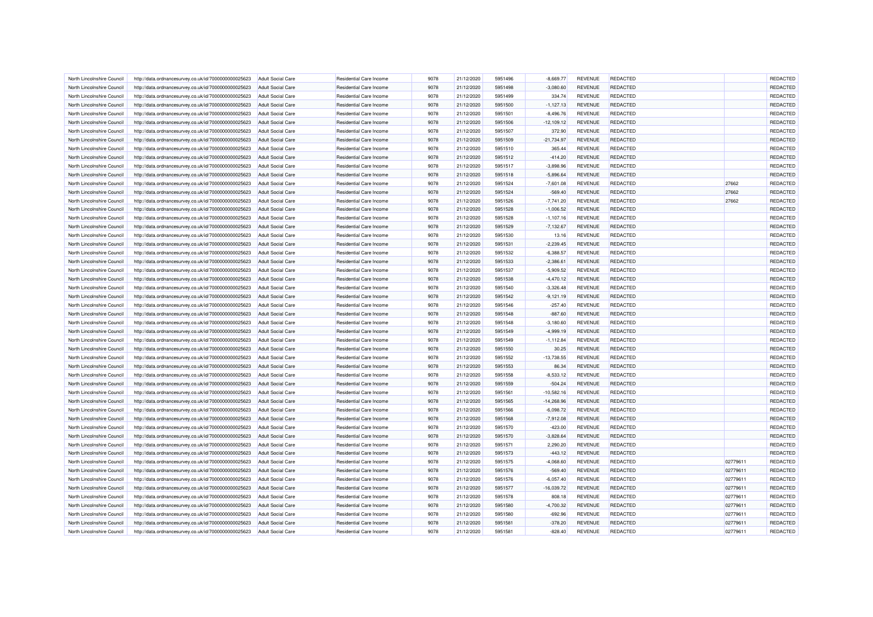| North Lincolnshire Council | http://data.ordnancesurvey.co.uk/id/7000000000025623 | Adult Social Care        | Residential Care Income | 9078 | 21/12/2020 | 5951496 | $-8.669.77$  | <b>REVENUE</b> | REDACTED        |          | REDACTED |
|----------------------------|------------------------------------------------------|--------------------------|-------------------------|------|------------|---------|--------------|----------------|-----------------|----------|----------|
| North Lincolnshire Council | http://data.ordnancesurvey.co.uk/id/7000000000025623 | <b>Adult Social Care</b> | Residential Care Income | 9078 | 21/12/2020 | 5951498 | $-3,080.60$  | <b>REVENUE</b> | <b>REDACTED</b> |          | REDACTED |
| North Lincolnshire Council | http://data.ordnancesurvey.co.uk/id/7000000000025623 | <b>Adult Social Care</b> | Residential Care Income | 9078 | 21/12/2020 | 5951499 | 334.74       | <b>REVENUE</b> | <b>REDACTED</b> |          | REDACTED |
| North Lincolnshire Council | http://data.ordnancesurvey.co.uk/id/7000000000025623 | <b>Adult Social Care</b> | Residential Care Income | 9078 | 21/12/2020 | 5951500 | $-1,127.13$  | <b>REVENUE</b> | <b>REDACTED</b> |          | REDACTED |
| North Lincolnshire Council | http://data.ordnancesurvey.co.uk/id/7000000000025623 | <b>Adult Social Care</b> | Residential Care Income | 9078 | 21/12/2020 | 5951501 | $-8,496.76$  | <b>REVENUE</b> | <b>REDACTED</b> |          | REDACTED |
| North Lincolnshire Council | http://data.ordnancesurvey.co.uk/id/7000000000025623 | <b>Adult Social Care</b> | Residential Care Income | 9078 | 21/12/2020 | 5951506 | $-12,109.12$ | <b>REVENUE</b> | <b>REDACTED</b> |          | REDACTED |
| North Lincolnshire Council | http://data.ordnancesurvey.co.uk/id/7000000000025623 | <b>Adult Social Care</b> | Residential Care Income | 9078 | 21/12/2020 | 5951507 | 372.90       | <b>REVENUE</b> | <b>REDACTED</b> |          | REDACTED |
| North Lincolnshire Council | http://data.ordnancesurvey.co.uk/id/7000000000025623 | <b>Adult Social Care</b> | Residential Care Income | 9078 | 21/12/2020 | 5951509 | $-21,734.97$ | <b>REVENUE</b> | <b>REDACTED</b> |          | REDACTED |
| North Lincolnshire Council | http://data.ordnancesurvey.co.uk/id/7000000000025623 | <b>Adult Social Care</b> | Residential Care Income | 9078 | 21/12/2020 | 5951510 | 365.44       | <b>REVENUE</b> | REDACTED        |          | REDACTED |
| North Lincolnshire Council | http://data.ordnancesurvey.co.uk/id/7000000000025623 | <b>Adult Social Care</b> | Residential Care Income | 9078 | 21/12/2020 | 5951512 | $-414.20$    | <b>REVENUE</b> | <b>REDACTED</b> |          | REDACTED |
| North Lincolnshire Council | http://data.ordnancesurvey.co.uk/id/7000000000025623 | <b>Adult Social Care</b> | Residential Care Income | 9078 | 21/12/2020 | 5951517 | $-3,898.96$  | <b>REVENUE</b> | <b>REDACTED</b> |          | REDACTED |
| North Lincolnshire Council | http://data.ordnancesurvey.co.uk/id/7000000000025623 | Adult Social Care        | Residential Care Income | 9078 | 21/12/2020 | 5951518 | $-5.896.64$  | <b>REVENUE</b> | <b>REDACTED</b> |          | REDACTED |
| North Lincolnshire Council | http://data.ordnancesurvey.co.uk/id/7000000000025623 | <b>Adult Social Care</b> | Residential Care Income | 9078 | 21/12/2020 | 5951524 | $-7,601.08$  | <b>REVENUE</b> | <b>REDACTED</b> | 27662    | REDACTED |
| North Lincolnshire Council | http://data.ordnancesurvey.co.uk/id/7000000000025623 | <b>Adult Social Care</b> | Residential Care Income | 9078 | 21/12/2020 | 5951524 | $-569.40$    | <b>REVENUE</b> | <b>REDACTED</b> | 27662    | REDACTED |
| North Lincolnshire Council | http://data.ordnancesurvey.co.uk/id/7000000000025623 | <b>Adult Social Care</b> | Residential Care Income | 9078 | 21/12/2020 | 5951526 | $-7,741.20$  | <b>REVENUE</b> | <b>REDACTED</b> | 27662    | REDACTED |
| North Lincolnshire Council | http://data.ordnancesurvey.co.uk/id/7000000000025623 | <b>Adult Social Care</b> | Residential Care Income | 9078 | 21/12/2020 | 5951528 | $-1,006.52$  | <b>REVENUE</b> | <b>REDACTED</b> |          | REDACTED |
| North Lincolnshire Council | http://data.ordnancesurvey.co.uk/id/7000000000025623 | <b>Adult Social Care</b> | Residential Care Income | 9078 | 21/12/2020 | 5951528 | $-1,107.16$  | <b>REVENUE</b> | <b>REDACTED</b> |          | REDACTED |
| North Lincolnshire Council | http://data.ordnancesurvey.co.uk/id/7000000000025623 | <b>Adult Social Care</b> | Residential Care Income | 9078 | 21/12/2020 | 5951529 | $-7,132.67$  | <b>REVENUE</b> | <b>REDACTED</b> |          | REDACTED |
| North Lincolnshire Council | http://data.ordnancesurvey.co.uk/id/7000000000025623 | <b>Adult Social Care</b> | Residential Care Income | 9078 | 21/12/2020 | 5951530 | 13.16        | <b>REVENUE</b> | <b>REDACTED</b> |          | REDACTED |
| North Lincolnshire Council |                                                      | <b>Adult Social Care</b> | Residential Care Income | 9078 | 21/12/2020 | 5951531 | $-2,239.45$  | <b>REVENUE</b> | <b>REDACTED</b> |          | REDACTED |
|                            | http://data.ordnancesurvey.co.uk/id/7000000000025623 |                          |                         |      |            |         |              |                |                 |          |          |
| North Lincolnshire Council | http://data.ordnancesurvey.co.uk/id/7000000000025623 | <b>Adult Social Care</b> | Residential Care Income | 9078 | 21/12/2020 | 5951532 | $-6,388.57$  | REVENUE        | <b>REDACTED</b> |          | REDACTED |
| North Lincolnshire Council | http://data.ordnancesurvey.co.uk/id/7000000000025623 | Adult Social Care        | Residential Care Income | 9078 | 21/12/2020 | 5951533 | $-2,386.6$   | <b>REVENUE</b> | <b>REDACTED</b> |          | REDACTED |
| North Lincolnshire Council | http://data.ordnancesurvey.co.uk/id/7000000000025623 | <b>Adult Social Care</b> | Residential Care Income | 9078 | 21/12/2020 | 5951537 | $-5,909.52$  | <b>REVENUE</b> | <b>REDACTED</b> |          | REDACTED |
| North Lincolnshire Council | http://data.ordnancesurvey.co.uk/id/7000000000025623 | <b>Adult Social Care</b> | Residential Care Income | 9078 | 21/12/2020 | 5951538 | $-4,470.12$  | <b>REVENUE</b> | <b>REDACTED</b> |          | REDACTED |
| North Lincolnshire Council | http://data.ordnancesurvey.co.uk/id/7000000000025623 | Adult Social Care        | Residential Care Income | 9078 | 21/12/2020 | 5951540 | $-3,326.48$  | <b>REVENUE</b> | <b>REDACTED</b> |          | REDACTED |
| North Lincolnshire Council | http://data.ordnancesurvey.co.uk/id/7000000000025623 | <b>Adult Social Care</b> | Residential Care Income | 9078 | 21/12/2020 | 5951542 | $-9,121.19$  | <b>REVENUE</b> | <b>REDACTED</b> |          | REDACTED |
| North Lincolnshire Council | http://data.ordnancesurvey.co.uk/id/7000000000025623 | <b>Adult Social Care</b> | Residential Care Income | 9078 | 21/12/2020 | 5951546 | $-257.40$    | <b>REVENUE</b> | <b>REDACTED</b> |          | REDACTED |
| North Lincolnshire Council | http://data.ordnancesurvey.co.uk/id/7000000000025623 | <b>Adult Social Care</b> | Residential Care Income | 9078 | 21/12/2020 | 5951548 | $-887.60$    | <b>REVENUE</b> | <b>REDACTED</b> |          | REDACTED |
| North Lincolnshire Council | http://data.ordnancesurvey.co.uk/id/7000000000025623 | <b>Adult Social Care</b> | Residential Care Income | 9078 | 21/12/2020 | 5951548 | $-3,180.60$  | <b>REVENUE</b> | <b>REDACTED</b> |          | REDACTED |
| North Lincolnshire Council | http://data.ordnancesurvey.co.uk/id/7000000000025623 | <b>Adult Social Care</b> | Residential Care Income | 9078 | 21/12/2020 | 5951549 | $-4,999.19$  | <b>REVENUE</b> | <b>REDACTED</b> |          | REDACTED |
| North Lincolnshire Council | http://data.ordnancesurvey.co.uk/id/7000000000025623 | <b>Adult Social Care</b> | Residential Care Income | 9078 | 21/12/2020 | 5951549 | $-1, 112.84$ | <b>REVENUE</b> | <b>REDACTED</b> |          | REDACTED |
| North Lincolnshire Council | http://data.ordnancesurvey.co.uk/id/7000000000025623 | <b>Adult Social Care</b> | Residential Care Income | 9078 | 21/12/2020 | 5951550 | 30.25        | <b>REVENUE</b> | <b>REDACTED</b> |          | REDACTED |
| North Lincolnshire Council | http://data.ordnancesurvey.co.uk/id/7000000000025623 | Adult Social Care        | Residential Care Income | 9078 | 21/12/2020 | 5951552 | $-13,738.55$ | <b>REVENUE</b> | <b>REDACTED</b> |          | REDACTED |
| North Lincolnshire Council | http://data.ordnancesurvey.co.uk/id/7000000000025623 | <b>Adult Social Care</b> | Residential Care Income | 9078 | 21/12/2020 | 5951553 | 86.34        | <b>REVENUE</b> | <b>REDACTED</b> |          | REDACTED |
| North Lincolnshire Council | http://data.ordnancesurvey.co.uk/id/7000000000025623 | <b>Adult Social Care</b> | Residential Care Income | 9078 | 21/12/2020 | 5951558 | $-8,533.12$  | <b>REVENUE</b> | <b>REDACTED</b> |          | REDACTED |
| North Lincolnshire Council | http://data.ordnancesurvey.co.uk/id/7000000000025623 | Adult Social Care        | Residential Care Income | 9078 | 21/12/2020 | 5951559 | $-504.24$    | <b>REVENUE</b> | <b>REDACTED</b> |          | REDACTED |
| North Lincolnshire Council | http://data.ordnancesurvey.co.uk/id/7000000000025623 | <b>Adult Social Care</b> | Residential Care Income | 9078 | 21/12/2020 | 5951561 | $-10,582.16$ | <b>REVENUE</b> | <b>REDACTED</b> |          | REDACTED |
| North Lincolnshire Council | http://data.ordnancesurvey.co.uk/id/7000000000025623 | <b>Adult Social Care</b> | Residential Care Income | 9078 | 21/12/2020 | 5951565 | $-14,268.96$ | <b>REVENUE</b> | <b>REDACTED</b> |          | REDACTED |
| North Lincolnshire Council | http://data.ordnancesurvey.co.uk/id/7000000000025623 | <b>Adult Social Care</b> | Residential Care Income | 9078 | 21/12/2020 | 5951566 | $-6,098.72$  | <b>REVENUE</b> | <b>REDACTED</b> |          | REDACTED |
| North Lincolnshire Council | http://data.ordnancesurvey.co.uk/id/7000000000025623 | <b>Adult Social Care</b> | Residential Care Income | 9078 | 21/12/2020 | 5951568 | $-7,912.08$  | <b>REVENUE</b> | <b>REDACTED</b> |          | REDACTED |
| North Lincolnshire Council | http://data.ordnancesurvey.co.uk/id/7000000000025623 | <b>Adult Social Care</b> | Residential Care Income | 9078 | 21/12/2020 | 5951570 | $-423.00$    | <b>REVENUE</b> | <b>REDACTED</b> |          | REDACTED |
| North Lincolnshire Council | http://data.ordnancesurvey.co.uk/id/7000000000025623 | <b>Adult Social Care</b> | Residential Care Income | 9078 | 21/12/2020 | 5951570 | $-3,828.64$  | <b>REVENUE</b> | <b>REDACTED</b> |          | REDACTED |
| North Lincolnshire Council | http://data.ordnancesurvey.co.uk/id/7000000000025623 | <b>Adult Social Care</b> | Residential Care Income | 9078 | 21/12/2020 | 5951571 | 2,290.20     | <b>REVENUE</b> | <b>REDACTED</b> |          | REDACTED |
| North Lincolnshire Council | http://data.ordnancesurvey.co.uk/id/7000000000025623 | Adult Social Care        | Residential Care Income | 9078 | 21/12/2020 | 5951573 | $-443.12$    | <b>REVENUE</b> | <b>REDACTED</b> |          | REDACTED |
|                            |                                                      |                          |                         |      |            |         |              |                |                 |          |          |
| North Lincolnshire Council | http://data.ordnancesurvey.co.uk/id/7000000000025623 | <b>Adult Social Care</b> | Residential Care Income | 9078 | 21/12/2020 | 5951575 | $-4,068.60$  | <b>REVENUE</b> | <b>REDACTED</b> | 02779611 | REDACTED |
| North Lincolnshire Council | http://data.ordnancesurvey.co.uk/id/7000000000025623 | <b>Adult Social Care</b> | Residential Care Income | 9078 | 21/12/2020 | 5951576 | $-569.40$    | <b>REVENUE</b> | <b>REDACTED</b> | 02779611 | REDACTED |
| North Lincolnshire Council | http://data.ordnancesurvey.co.uk/id/7000000000025623 | <b>Adult Social Care</b> | Residential Care Income | 9078 | 21/12/2020 | 5951576 | $-6,057.40$  | <b>REVENUE</b> | <b>REDACTED</b> | 02779611 | REDACTED |
| North Lincolnshire Council | http://data.ordnancesurvey.co.uk/id/7000000000025623 | <b>Adult Social Care</b> | Residential Care Income | 9078 | 21/12/2020 | 5951577 | $-16,039.72$ | <b>REVENUE</b> | <b>REDACTED</b> | 02779611 | REDACTED |
| North Lincolnshire Council | http://data.ordnancesurvey.co.uk/id/7000000000025623 | Adult Social Care        | Residential Care Income | 9078 | 21/12/2020 | 5951578 | 808.18       | <b>REVENUE</b> | <b>REDACTED</b> | 02779611 | REDACTED |
| North Lincolnshire Council | http://data.ordnancesurvey.co.uk/id/7000000000025623 | <b>Adult Social Care</b> | Residential Care Income | 9078 | 21/12/2020 | 5951580 | $-4,700.32$  | <b>REVENUE</b> | <b>REDACTED</b> | 02779611 | REDACTED |
| North Lincolnshire Council | http://data.ordnancesurvey.co.uk/id/7000000000025623 | <b>Adult Social Care</b> | Residential Care Income | 9078 | 21/12/2020 | 5951580 | $-692.96$    | <b>REVENUE</b> | <b>REDACTED</b> | 0277961  | REDACTED |
| North Lincolnshire Council | http://data.ordnancesurvey.co.uk/id/7000000000025623 | <b>Adult Social Care</b> | Residential Care Income | 9078 | 21/12/2020 | 5951581 | $-378.20$    | <b>REVENUE</b> | <b>REDACTED</b> | 02779611 | REDACTED |
| North Lincolnshire Council | http://data.ordnancesurvey.co.uk/id/7000000000025623 | <b>Adult Social Care</b> | Residential Care Income | 9078 | 21/12/2020 | 5951581 | $-828.40$    | <b>REVENUE</b> | <b>REDACTED</b> | 02779611 | REDACTED |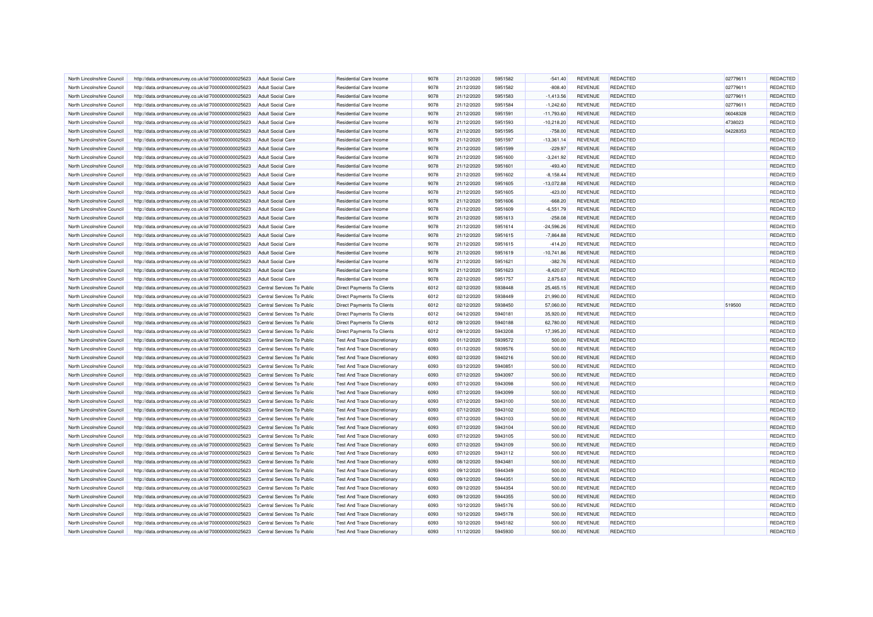| North Lincolnshire Council                               | http://data.ordnancesurvey.co.uk/id/7000000000025623 | <b>Adult Social Care</b>   | Residential Care Income                                                    | 9078 | 21/12/2020 | 5951582 | $-541.40$        | <b>REVENUE</b>                   | <b>REDACTED</b> | 02779611 | REDACTED |
|----------------------------------------------------------|------------------------------------------------------|----------------------------|----------------------------------------------------------------------------|------|------------|---------|------------------|----------------------------------|-----------------|----------|----------|
| North Lincolnshire Council                               | http://data.ordnancesurvey.co.uk/id/7000000000025623 | <b>Adult Social Care</b>   | Residential Care Income                                                    | 9078 | 21/12/2020 | 5951582 | $-808.40$        | <b>REVENUE</b>                   | <b>REDACTED</b> | 02779611 | REDACTED |
| North Lincolnshire Council                               | http://data.ordnancesurvey.co.uk/id/7000000000025623 | Adult Social Care          | <b>Residential Care Income</b>                                             | 9078 | 21/12/2020 | 5951583 | $-1,413.56$      | <b>REVENUE</b>                   | <b>REDACTED</b> | 02779611 | REDACTED |
| North Lincolnshire Council                               | http://data.ordnancesurvey.co.uk/id/7000000000025623 | <b>Adult Social Care</b>   | Residential Care Income                                                    | 9078 | 21/12/2020 | 5951584 | $-1,242.60$      | <b>REVENUE</b>                   | REDACTED        | 02779611 | REDACTED |
| North Lincolnshire Council                               | http://data.ordnancesurvey.co.uk/id/7000000000025623 | <b>Adult Social Care</b>   | Residential Care Income                                                    | 9078 | 21/12/2020 | 5951591 | $-11,793.60$     | <b>REVENUE</b>                   | <b>REDACTED</b> | 06048328 | REDACTED |
| North Lincolnshire Council                               | http://data.ordnancesurvey.co.uk/id/7000000000025623 | <b>Adult Social Care</b>   | Residential Care Income                                                    | 9078 | 21/12/2020 | 5951593 | $-10,218.20$     | <b>REVENUE</b>                   | <b>REDACTED</b> | 4738023  | REDACTED |
| North Lincolnshire Council                               | http://data.ordnancesurvey.co.uk/id/7000000000025623 | <b>Adult Social Care</b>   | <b>Residential Care Income</b>                                             | 9078 | 21/12/2020 | 5951595 | $-758.00$        | <b>REVENUE</b>                   | <b>REDACTED</b> | 04228353 | REDACTED |
| North Lincolnshire Council                               | http://data.ordnancesurvey.co.uk/id/7000000000025623 | <b>Adult Social Care</b>   | Residential Care Income                                                    | 9078 | 21/12/2020 | 5951597 | $-13,361.14$     | <b>REVENUE</b>                   | <b>REDACTED</b> |          | REDACTED |
| North Lincolnshire Council                               | http://data.ordnancesurvey.co.uk/id/7000000000025623 | Adult Social Care          | Residential Care Income                                                    | 9078 | 21/12/2020 | 5951599 | $-229.97$        | <b>REVENUE</b>                   | REDACTED        |          | REDACTED |
| North Lincolnshire Council                               | http://data.ordnancesurvey.co.uk/id/7000000000025623 | <b>Adult Social Care</b>   | Residential Care Income                                                    | 9078 | 21/12/2020 | 5951600 | $-3,241.92$      | <b>REVENUE</b>                   | <b>REDACTED</b> |          | REDACTED |
| North Lincolnshire Council                               | http://data.ordnancesurvey.co.uk/id/7000000000025623 | <b>Adult Social Care</b>   | Residential Care Income                                                    | 9078 | 21/12/2020 | 5951601 | $-493.40$        | <b>REVENUE</b>                   | <b>REDACTED</b> |          | REDACTED |
| North Lincolnshire Council                               | http://data.ordnancesurvey.co.uk/id/7000000000025623 | <b>Adult Social Care</b>   | Residential Care Income                                                    | 9078 | 21/12/2020 | 5951602 | $-8,158.44$      | <b>REVENUE</b>                   | <b>REDACTED</b> |          | REDACTED |
| North Lincolnshire Council                               |                                                      | <b>Adult Social Care</b>   | Residential Care Income                                                    | 9078 | 21/12/2020 | 5951605 | $-13,072.88$     | <b>REVENUE</b>                   | <b>REDACTED</b> |          | REDACTED |
|                                                          | http://data.ordnancesurvey.co.uk/id/7000000000025623 |                            |                                                                            |      |            |         |                  |                                  |                 |          |          |
| North Lincolnshire Council                               | http://data.ordnancesurvey.co.uk/id/7000000000025623 | <b>Adult Social Care</b>   | Residential Care Income                                                    | 9078 | 21/12/2020 | 5951605 | $-423.00$        | <b>REVENUE</b>                   | REDACTED        |          | REDACTED |
| North Lincolnshire Council                               | http://data.ordnancesurvey.co.uk/id/7000000000025623 | <b>Adult Social Care</b>   | Residential Care Income                                                    | 9078 | 21/12/2020 | 5951606 | $-668.20$        | <b>REVENUE</b>                   | <b>REDACTED</b> |          | REDACTED |
| North Lincolnshire Council                               | http://data.ordnancesurvey.co.uk/id/7000000000025623 | <b>Adult Social Care</b>   | Residential Care Income                                                    | 9078 | 21/12/2020 | 5951609 | $-6,551.79$      | <b>REVENUE</b>                   | <b>REDACTED</b> |          | REDACTED |
| North Lincolnshire Council                               | http://data.ordnancesurvey.co.uk/id/7000000000025623 | <b>Adult Social Care</b>   | Residential Care Income                                                    | 9078 | 21/12/2020 | 5951613 | $-258.08$        | <b>REVENUE</b>                   | <b>REDACTED</b> |          | REDACTED |
| North Lincolnshire Council                               | http://data.ordnancesurvey.co.uk/id/7000000000025623 | <b>Adult Social Care</b>   | Residential Care Income                                                    | 9078 | 21/12/2020 | 5951614 | $-24,596.26$     | <b>REVENUE</b>                   | <b>REDACTED</b> |          | REDACTED |
| North Lincolnshire Council                               | http://data.ordnancesurvey.co.uk/id/7000000000025623 | <b>Adult Social Care</b>   | Residential Care Income                                                    | 9078 | 21/12/2020 | 5951615 | $-7,864.88$      | <b>REVENUE</b>                   | REDACTED        |          | REDACTED |
| North Lincolnshire Council                               | http://data.ordnancesurvey.co.uk/id/7000000000025623 | <b>Adult Social Care</b>   | Residential Care Income                                                    | 9078 | 21/12/2020 | 5951615 | $-414.20$        | <b>REVENUE</b>                   | <b>REDACTED</b> |          | REDACTED |
| North Lincolnshire Council                               | http://data.ordnancesurvey.co.uk/id/7000000000025623 | <b>Adult Social Care</b>   | Residential Care Income                                                    | 9078 | 21/12/2020 | 5951619 | $-10,741.86$     | <b>REVENUE</b>                   | <b>REDACTED</b> |          | REDACTED |
| North Lincolnshire Council                               | http://data.ordnancesurvey.co.uk/id/7000000000025623 | <b>Adult Social Care</b>   | Residential Care Income                                                    | 9078 | 21/12/2020 | 5951621 | $-382.76$        | <b>REVENUE</b>                   | <b>REDACTED</b> |          | REDACTED |
| North Lincolnshire Council                               | http://data.ordnancesurvey.co.uk/id/7000000000025623 | <b>Adult Social Care</b>   | Residential Care Income                                                    | 9078 | 21/12/2020 | 5951623 | $-8,420.07$      | <b>REVENUE</b>                   | <b>REDACTED</b> |          | REDACTED |
| North Lincolnshire Council                               | http://data.ordnancesurvey.co.uk/id/7000000000025623 | <b>Adult Social Care</b>   | Residential Care Income                                                    | 9078 | 22/12/2020 | 5951757 | 2,875.63         | <b>REVENUE</b>                   | <b>REDACTED</b> |          | REDACTED |
| North Lincolnshire Council                               | http://data.ordnancesurvey.co.uk/id/7000000000025623 | Central Services To Public | <b>Direct Payments To Clients</b>                                          | 6012 | 02/12/2020 | 5938448 | 25,465.15        | <b>REVENUE</b>                   | <b>REDACTED</b> |          | REDACTED |
| North Lincolnshire Council                               | http://data.ordnancesurvey.co.uk/id/7000000000025623 | Central Services To Public | Direct Payments To Clients                                                 | 6012 | 02/12/2020 | 5938449 | 21,990.00        | <b>REVENUE</b>                   | <b>REDACTED</b> |          | REDACTED |
| North Lincolnshire Council                               | http://data.ordnancesurvey.co.uk/id/7000000000025623 | Central Services To Public | <b>Direct Payments To Clients</b>                                          | 6012 | 02/12/2020 | 5938450 | 57,060.00        | <b>REVENUE</b>                   | <b>REDACTED</b> | 519500   | REDACTED |
| North Lincolnshire Council                               | http://data.ordnancesurvey.co.uk/id/7000000000025623 | Central Services To Public | <b>Direct Payments To Clients</b>                                          | 6012 | 04/12/2020 | 5940181 | 35,920.00        | <b>REVENUE</b>                   | <b>REDACTED</b> |          | REDACTED |
| North Lincolnshire Council                               | http://data.ordnancesurvey.co.uk/id/7000000000025623 | Central Services To Public | <b>Direct Payments To Clients</b>                                          | 6012 | 09/12/2020 | 5940188 | 62,780.00        | <b>REVENUE</b>                   | <b>REDACTED</b> |          | REDACTED |
| North Lincolnshire Council                               | http://data.ordnancesurvey.co.uk/id/7000000000025623 | Central Services To Public | Direct Payments To Clients                                                 | 6012 | 09/12/2020 | 5943208 | 17,395.20        | <b>REVENUE</b>                   | <b>REDACTED</b> |          | REDACTED |
| North Lincolnshire Council                               | http://data.ordnancesurvey.co.uk/id/7000000000025623 | Central Services To Public | Test And Trace Discretionary                                               | 6093 | 01/12/2020 | 5939572 | 500.00           | <b>REVENUE</b>                   | <b>REDACTED</b> |          | REDACTED |
| North Lincolnshire Council                               | http://data.ordnancesurvey.co.uk/id/7000000000025623 | Central Services To Public | <b>Test And Trace Discretionary</b>                                        | 6093 | 01/12/2020 | 5939576 | 500.00           | REVENUE                          | <b>REDACTED</b> |          | REDACTED |
| North Lincolnshire Council                               | http://data.ordnancesurvey.co.uk/id/7000000000025623 | Central Services To Public | <b>Test And Trace Discretionary</b>                                        | 6093 | 02/12/2020 | 5940216 | 500.00           | <b>REVENUE</b>                   | <b>REDACTED</b> |          | REDACTED |
| North Lincolnshire Council                               | http://data.ordnancesurvey.co.uk/id/7000000000025623 | Central Services To Public | <b>Test And Trace Discretionan</b>                                         | 6093 | 03/12/2020 | 5940851 | 500.00           | <b>REVENUE</b>                   | <b>REDACTED</b> |          | REDACTED |
| North Lincolnshire Council                               | http://data.ordnancesurvey.co.uk/id/7000000000025623 | Central Services To Public | <b>Test And Trace Discretionary</b>                                        | 6093 | 07/12/2020 | 5943097 | 500.00           | <b>REVENUE</b>                   | <b>REDACTED</b> |          | REDACTED |
| North Lincolnshire Council                               | http://data.ordnancesurvey.co.uk/id/7000000000025623 | Central Services To Public | <b>Test And Trace Discretionary</b>                                        | 6093 | 07/12/2020 | 5943098 | 500.00           | <b>REVENUE</b>                   | <b>REDACTED</b> |          | REDACTED |
| North Lincolnshire Council                               | http://data.ordnancesurvey.co.uk/id/7000000000025623 | Central Services To Public | <b>Test And Trace Discretionary</b>                                        | 6093 | 07/12/2020 | 5943099 | 500.00           | <b>REVENUE</b>                   | <b>REDACTED</b> |          | REDACTED |
| North Lincolnshire Council                               | http://data.ordnancesurvey.co.uk/id/7000000000025623 | Central Services To Public | <b>Test And Trace Discretionary</b>                                        | 6093 | 07/12/2020 | 5943100 | 500.00           | <b>REVENUE</b>                   | <b>REDACTED</b> |          | REDACTED |
| North Lincolnshire Council                               | http://data.ordnancesurvey.co.uk/id/7000000000025623 | Central Services To Public | <b>Test And Trace Discretionary</b>                                        | 6093 | 07/12/2020 | 5943102 | 500.00           | <b>REVENUE</b>                   | <b>REDACTED</b> |          | REDACTED |
| North Lincolnshire Council                               | http://data.ordnancesurvey.co.uk/id/7000000000025623 | Central Services To Public | <b>Test And Trace Discretionary</b>                                        | 6093 | 07/12/2020 | 5943103 | 500.00           | <b>REVENUE</b>                   | <b>REDACTED</b> |          | REDACTED |
| North Lincolnshire Council                               | http://data.ordnancesurvey.co.uk/id/7000000000025623 | Central Services To Public | <b>Test And Trace Discretionary</b>                                        | 6093 | 07/12/2020 | 5943104 | 500.00           | <b>REVENUE</b>                   | REDACTED        |          | REDACTED |
| North Lincolnshire Council                               | http://data.ordnancesurvey.co.uk/id/7000000000025623 | Central Services To Public | <b>Test And Trace Discretionary</b>                                        | 6093 | 07/12/2020 | 5943105 | 500.00           | <b>REVENUE</b>                   | <b>REDACTED</b> |          | REDACTED |
| North Lincolnshire Council                               | http://data.ordnancesurvey.co.uk/id/7000000000025623 | Central Services To Public | <b>Test And Trace Discretionary</b>                                        | 6093 | 07/12/2020 | 5943109 | 500.00           | <b>REVENUE</b>                   | <b>REDACTED</b> |          | REDACTED |
| North Lincolnshire Council                               | http://data.ordnancesurvey.co.uk/id/7000000000025623 | Central Services To Public | Test And Trace Discretionary                                               | 6093 | 07/12/2020 | 5943112 | 500.00           | <b>REVENUE</b>                   | <b>REDACTED</b> |          | REDACTED |
| North Lincolnshire Council                               | http://data.ordnancesurvey.co.uk/id/7000000000025623 | Central Services To Public | <b>Test And Trace Discretionary</b>                                        | 6093 | 08/12/2020 | 5943481 | 500.00           | <b>REVENUE</b>                   | <b>REDACTED</b> |          | REDACTED |
|                                                          |                                                      | Central Services To Public |                                                                            | 6093 | 09/12/2020 | 5944349 |                  |                                  | REDACTED        |          | REDACTED |
| North Lincolnshire Council<br>North Lincolnshire Council | http://data.ordnancesurvey.co.uk/id/7000000000025623 | Central Services To Public | <b>Test And Trace Discretionary</b><br><b>Test And Trace Discretionary</b> | 6093 | 09/12/2020 | 5944351 | 500.00<br>500.00 | <b>REVENUE</b><br><b>REVENUE</b> | REDACTED        |          | REDACTED |
|                                                          | http://data.ordnancesurvey.co.uk/id/7000000000025623 |                            |                                                                            |      |            | 5944354 |                  |                                  |                 |          |          |
| North Lincolnshire Council                               | http://data.ordnancesurvey.co.uk/id/7000000000025623 | Central Services To Public | <b>Test And Trace Discretionary</b>                                        | 6093 | 09/12/2020 |         | 500.00           | <b>REVENUE</b>                   | <b>REDACTED</b> |          | REDACTED |
| North Lincolnshire Council                               | http://data.ordnancesurvey.co.uk/id/7000000000025623 | Central Services To Public | <b>Test And Trace Discretionary</b>                                        | 6093 | 09/12/2020 | 5944355 | 500.00           | <b>REVENUE</b>                   | <b>REDACTED</b> |          | REDACTED |
| North Lincolnshire Council                               | http://data.ordnancesurvey.co.uk/id/7000000000025623 | Central Services To Public | Test And Trace Discretionary                                               | 6093 | 10/12/2020 | 5945176 | 500.00           | <b>REVENUE</b>                   | <b>REDACTED</b> |          | REDACTED |
| North Lincolnshire Council                               | http://data.ordnancesurvey.co.uk/id/7000000000025623 | Central Services To Public | Test And Trace Discretionary                                               | 6093 | 10/12/2020 | 5945178 | 500.00           | <b>REVENUE</b>                   | REDACTED        |          | REDACTED |
| North Lincolnshire Council                               | http://data.ordnancesurvey.co.uk/id/7000000000025623 | Central Services To Public | <b>Test And Trace Discretionary</b>                                        | 6093 | 10/12/2020 | 5945182 | 500.00           | <b>REVENUE</b>                   | REDACTED        |          | REDACTED |
| North Lincolnshire Council                               | http://data.ordnancesurvey.co.uk/id/7000000000025623 | Central Services To Public | <b>Test And Trace Discretionary</b>                                        | 6093 | 11/12/2020 | 5945930 | 500.00           | <b>REVENUE</b>                   | <b>REDACTED</b> |          | REDACTED |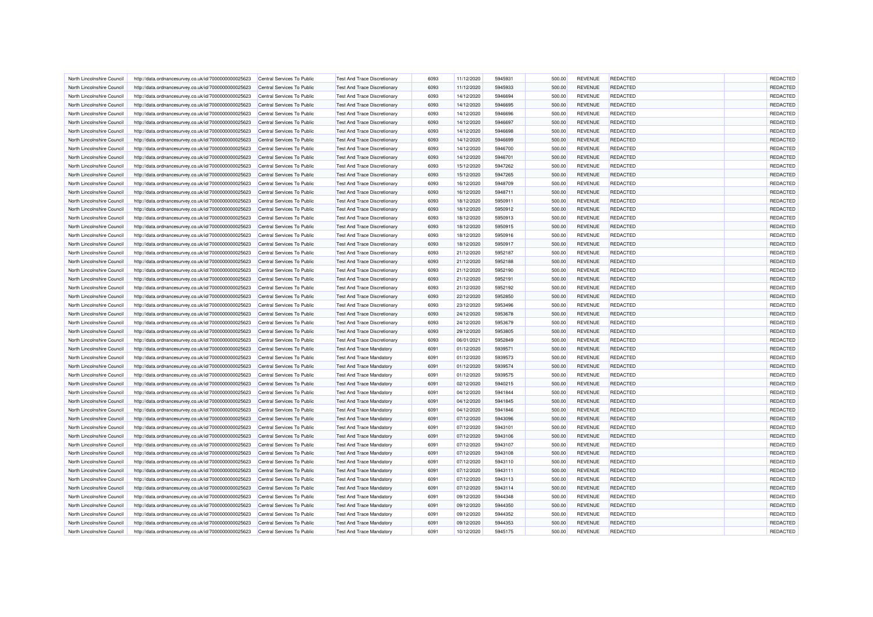| North Lincolnshire Council | http://data.ordnancesurvey.co.uk/id/7000000000025623 | Central Services To Public | <b>Test And Trace Discretionary</b> | 6093 | 11/12/2020 | 5945931            | 500.00 | <b>REVENUE</b> | <b>REDACTED</b>                    | REDACTED             |
|----------------------------|------------------------------------------------------|----------------------------|-------------------------------------|------|------------|--------------------|--------|----------------|------------------------------------|----------------------|
| North Lincolnshire Council | http://data.ordnancesurvey.co.uk/id/7000000000025623 | Central Services To Public | <b>Test And Trace Discretionary</b> | 6093 | 11/12/2020 | 5945933            | 500.00 | <b>REVENUE</b> | <b>REDACTED</b>                    | REDACTED             |
| North Lincolnshire Council | http://data.ordnancesurvey.co.uk/id/7000000000025623 | Central Services To Public | <b>Test And Trace Discretionary</b> | 6093 | 14/12/2020 | 5946694            | 500.00 | <b>REVENUE</b> | <b>REDACTED</b>                    | REDACTED             |
| North Lincolnshire Counci  | http://data.ordnancesurvey.co.uk/id/7000000000025623 | Central Services To Public | <b>Test And Trace Discretionary</b> | 6093 | 14/12/2020 | 5946695            | 500.00 | <b>REVENUE</b> | <b>REDACTED</b>                    | REDACTED             |
| North Lincolnshire Council | http://data.ordnancesurvey.co.uk/id/7000000000025623 | Central Services To Public | <b>Test And Trace Discretionary</b> | 6093 | 14/12/2020 | 5946696            | 500.00 | <b>REVENUE</b> | <b>REDACTED</b>                    | REDACTED             |
| North Lincolnshire Council | http://data.ordnancesurvey.co.uk/id/7000000000025623 | Central Services To Public | <b>Test And Trace Discretionary</b> | 6093 | 14/12/2020 | 5946697            | 500.00 | <b>REVENUE</b> | <b>REDACTED</b>                    | REDACTED             |
|                            |                                                      |                            |                                     |      |            |                    |        |                |                                    |                      |
| North Lincolnshire Council | http://data.ordnancesurvey.co.uk/id/7000000000025623 | Central Services To Public | <b>Test And Trace Discretionary</b> | 6093 | 14/12/2020 | 5946698            | 500.00 | <b>REVENUE</b> | <b>REDACTED</b>                    | REDACTED             |
| North Lincolnshire Council | http://data.ordnancesurvey.co.uk/id/7000000000025623 | Central Services To Public | <b>Test And Trace Discretionary</b> | 6093 | 14/12/2020 | 5946699            | 500.00 | <b>REVENUE</b> | <b>REDACTED</b>                    | REDACTED             |
| North Lincolnshire Council | http://data.ordnancesurvey.co.uk/id/7000000000025623 | Central Services To Public | <b>Test And Trace Discretionary</b> | 6093 | 14/12/2020 | 5946700            | 500.00 | <b>REVENUE</b> | <b>REDACTED</b>                    | REDACTED             |
| North Lincolnshire Council | http://data.ordnancesurvey.co.uk/id/7000000000025623 | Central Services To Public | <b>Test And Trace Discretionary</b> | 6093 | 14/12/2020 | 5946701            | 500.00 | <b>REVENUE</b> | <b>REDACTED</b>                    | REDACTED             |
| North Lincolnshire Council | http://data.ordnancesurvey.co.uk/id/7000000000025623 | Central Services To Public | <b>Test And Trace Discretionary</b> | 6093 | 15/12/2020 | 5947262            | 500.00 | <b>REVENUE</b> | <b>REDACTED</b>                    | REDACTED             |
| North Lincolnshire Council | http://data.ordnancesurvey.co.uk/id/7000000000025623 | Central Services To Public | <b>Test And Trace Discretionary</b> | 6093 | 15/12/2020 | 5947265            | 500.00 | <b>REVENUE</b> | <b>REDACTED</b>                    | REDACTED             |
| North Lincolnshire Council | http://data.ordnancesurvey.co.uk/id/7000000000025623 | Central Services To Public | <b>Test And Trace Discretionary</b> | 6093 | 16/12/2020 | 5948709            | 500.00 | <b>REVENUE</b> | <b>REDACTED</b>                    | REDACTED             |
| North Lincolnshire Council | http://data.ordnancesurvey.co.uk/id/7000000000025623 | Central Services To Public | <b>Test And Trace Discretionary</b> | 6093 | 16/12/2020 | 5948711            | 500.00 | <b>REVENUE</b> | <b>REDACTED</b>                    | REDACTED             |
| North Lincolnshire Council | http://data.ordnancesurvey.co.uk/id/7000000000025623 | Central Services To Public | <b>Test And Trace Discretionary</b> | 6093 | 18/12/2020 | 5950911            | 500.00 | <b>REVENUE</b> | <b>REDACTED</b>                    | REDACTED             |
| North Lincolnshire Council | http://data.ordnancesurvey.co.uk/id/7000000000025623 | Central Services To Public | <b>Test And Trace Discretionary</b> | 6093 | 18/12/2020 | 5950912            | 500.00 | <b>REVENUE</b> | <b>REDACTED</b>                    | REDACTED             |
| North Lincolnshire Council | http://data.ordnancesurvey.co.uk/id/7000000000025623 | Central Services To Public | <b>Test And Trace Discretionary</b> | 6093 | 18/12/2020 | 5950913            | 500.00 | <b>REVENUE</b> | <b>REDACTED</b>                    | REDACTED             |
| North Lincolnshire Council | http://data.ordnancesurvey.co.uk/id/7000000000025623 | Central Services To Public | <b>Test And Trace Discretionary</b> | 6093 | 18/12/2020 | 5950915            | 500.00 | <b>REVENUE</b> | <b>REDACTED</b>                    | REDACTED             |
| North Lincolnshire Council | http://data.ordnancesurvey.co.uk/id/7000000000025623 | Central Services To Public | <b>Test And Trace Discretionary</b> | 6093 | 18/12/2020 | 5950916            | 500.00 | <b>REVENUE</b> | REDACTED                           | REDACTED             |
| North Lincolnshire Council | http://data.ordnancesurvey.co.uk/id/7000000000025623 | Central Services To Public | <b>Test And Trace Discretionary</b> | 6093 | 18/12/2020 | 5950917            | 500.00 | <b>REVENUE</b> | <b>REDACTED</b>                    | REDACTED             |
| North Lincolnshire Counci  | http://data.ordnancesurvey.co.uk/id/7000000000025623 | Central Services To Public | <b>Test And Trace Discretionary</b> | 6093 | 21/12/2020 | 5952187            | 500.00 | <b>REVENUE</b> | <b>REDACTED</b>                    | REDACTED             |
| North Lincolnshire Council | http://data.ordnancesurvey.co.uk/id/7000000000025623 | Central Services To Public | <b>Test And Trace Discretionary</b> | 6093 | 21/12/2020 | 5952188            | 500.00 | <b>REVENUE</b> | <b>REDACTED</b>                    | REDACTED             |
| North Lincolnshire Council | http://data.ordnancesurvey.co.uk/id/7000000000025623 | Central Services To Public | <b>Test And Trace Discretionary</b> | 6093 | 21/12/2020 | 5952190            | 500.00 | <b>REVENUE</b> | <b>REDACTED</b>                    | REDACTED             |
| North Lincolnshire Council | http://data.ordnancesurvey.co.uk/id/7000000000025623 | Central Services To Public | <b>Test And Trace Discretionary</b> | 6093 | 21/12/2020 | 5952191            | 500.00 | <b>REVENUE</b> | <b>REDACTED</b>                    | REDACTED             |
| North Lincolnshire Council | http://data.ordnancesurvey.co.uk/id/7000000000025623 | Central Services To Public | <b>Test And Trace Discretionary</b> | 6093 | 21/12/2020 | 5952192            | 500.00 | <b>REVENUE</b> | <b>REDACTED</b>                    | REDACTED             |
|                            |                                                      |                            |                                     |      |            |                    |        |                |                                    |                      |
| North Lincolnshire Council | http://data.ordnancesurvey.co.uk/id/7000000000025623 | Central Services To Public | <b>Test And Trace Discretionary</b> | 6093 | 22/12/2020 | 5952850<br>5953496 | 500.00 | <b>REVENUE</b> | <b>REDACTED</b><br><b>REDACTED</b> | REDACTED<br>REDACTED |
| North Lincolnshire Council | http://data.ordnancesurvey.co.uk/id/7000000000025623 | Central Services To Public | <b>Test And Trace Discretionary</b> | 6093 | 23/12/2020 |                    | 500.00 | <b>REVENUE</b> |                                    |                      |
| North Lincolnshire Council | http://data.ordnancesurvey.co.uk/id/7000000000025623 | Central Services To Public | <b>Test And Trace Discretionary</b> | 6093 | 24/12/2020 | 5953678            | 500.00 | <b>REVENUE</b> | <b>REDACTED</b>                    | REDACTED             |
| North Lincolnshire Council | http://data.ordnancesurvey.co.uk/id/7000000000025623 | Central Services To Public | <b>Test And Trace Discretionary</b> | 6093 | 24/12/2020 | 5953679            | 500.00 | <b>REVENUE</b> | <b>REDACTED</b>                    | REDACTED             |
| North Lincolnshire Council | http://data.ordnancesurvey.co.uk/id/7000000000025623 | Central Services To Public | <b>Test And Trace Discretionary</b> | 6093 | 29/12/2020 | 5953805            | 500.00 | <b>REVENUE</b> | REDACTED                           | REDACTED             |
| North Lincolnshire Council | http://data.ordnancesurvey.co.uk/id/7000000000025623 | Central Services To Public | <b>Test And Trace Discretionary</b> | 6093 | 06/01/2021 | 5952849            | 500.00 | <b>REVENUE</b> | REDACTED                           | REDACTED             |
| North Lincolnshire Council | http://data.ordnancesurvey.co.uk/id/7000000000025623 | Central Services To Public | <b>Test And Trace Mandatory</b>     | 6091 | 01/12/2020 | 5939571            | 500.00 | <b>REVENUE</b> | <b>REDACTED</b>                    | REDACTED             |
| North Lincolnshire Council | http://data.ordnancesurvey.co.uk/id/7000000000025623 | Central Services To Public | <b>Test And Trace Mandatory</b>     | 6091 | 01/12/2020 | 5939573            | 500.00 | <b>REVENUE</b> | <b>REDACTED</b>                    | REDACTED             |
| North Lincolnshire Council | http://data.ordnancesurvey.co.uk/id/7000000000025623 | Central Services To Public | Test And Trace Mandatory            | 6091 | 01/12/2020 | 5939574            | 500.00 | <b>REVENUE</b> | <b>REDACTED</b>                    | REDACTED             |
| North Lincolnshire Council | http://data.ordnancesurvey.co.uk/id/7000000000025623 | Central Services To Public | <b>Test And Trace Mandatory</b>     | 6091 | 01/12/2020 | 5939575            | 500.00 | <b>REVENUE</b> | <b>REDACTED</b>                    | REDACTED             |
| North Lincolnshire Council | http://data.ordnancesurvey.co.uk/id/7000000000025623 | Central Services To Public | <b>Test And Trace Mandatory</b>     | 6091 | 02/12/2020 | 5940215            | 500.00 | <b>REVENUE</b> | REDACTED                           | REDACTED             |
| North Lincolnshire Council | http://data.ordnancesurvey.co.uk/id/7000000000025623 | Central Services To Public | <b>Test And Trace Mandatory</b>     | 6091 | 04/12/2020 | 5941844            | 500.00 | <b>REVENUE</b> | <b>REDACTED</b>                    | REDACTED             |
| North Lincolnshire Council | http://data.ordnancesurvey.co.uk/id/7000000000025623 | Central Services To Public | <b>Test And Trace Mandatory</b>     | 6091 | 04/12/2020 | 5941845            | 500.00 | <b>REVENUE</b> | <b>REDACTED</b>                    | REDACTED             |
| North Lincolnshire Council | http://data.ordnancesurvey.co.uk/id/7000000000025623 | Central Services To Public | <b>Test And Trace Mandatory</b>     | 6091 | 04/12/2020 | 5941846            | 500.00 | <b>REVENUE</b> | <b>REDACTED</b>                    | REDACTED             |
| North Lincolnshire Council | http://data.ordnancesurvey.co.uk/id/7000000000025623 | Central Services To Public | <b>Test And Trace Mandatory</b>     | 6091 | 07/12/2020 | 5943096            | 500.00 | <b>REVENUE</b> | <b>REDACTED</b>                    | REDACTED             |
| North Lincolnshire Council | http://data.ordnancesurvey.co.uk/id/7000000000025623 | Central Services To Public | <b>Test And Trace Mandatory</b>     | 6091 | 07/12/2020 | 5943101            | 500.00 | <b>REVENUE</b> | <b>REDACTED</b>                    | REDACTED             |
| North Lincolnshire Council | http://data.ordnancesurvey.co.uk/id/7000000000025623 | Central Services To Public | <b>Test And Trace Mandatory</b>     | 6091 | 07/12/2020 | 5943106            | 500.00 | <b>REVENUE</b> | <b>REDACTED</b>                    | REDACTED             |
| North Lincolnshire Council | http://data.ordnancesurvey.co.uk/id/7000000000025623 | Central Services To Public | <b>Test And Trace Mandatory</b>     | 6091 | 07/12/2020 | 5943107            | 500.00 | <b>REVENUE</b> | <b>REDACTED</b>                    | REDACTED             |
| North Lincolnshire Council | http://data.ordnancesurvey.co.uk/id/7000000000025623 | Central Services To Public | <b>Test And Trace Mandatory</b>     | 6091 | 07/12/2020 | 5943108            | 500.00 | <b>REVENUE</b> | <b>REDACTED</b>                    | REDACTED             |
| North Lincolnshire Council | http://data.ordnancesurvey.co.uk/id/7000000000025623 | Central Services To Public | <b>Test And Trace Mandatory</b>     | 6091 | 07/12/2020 | 5943110            | 500.00 | <b>REVENUE</b> | <b>REDACTED</b>                    | REDACTED             |
| North Lincolnshire Council | http://data.ordnancesurvey.co.uk/id/7000000000025623 | Central Services To Public | <b>Test And Trace Mandatory</b>     | 6091 | 07/12/2020 | 5943111            | 500.00 | <b>REVENUE</b> | <b>REDACTED</b>                    | REDACTED             |
| North Lincolnshire Council | http://data.ordnancesurvey.co.uk/id/7000000000025623 | Central Services To Public | <b>Test And Trace Mandatory</b>     | 6091 | 07/12/2020 | 5943113            | 500.00 | <b>REVENUE</b> | <b>REDACTED</b>                    | REDACTED             |
| North Lincolnshire Counci  | http://data.ordnancesurvey.co.uk/id/7000000000025623 | Central Services To Public | <b>Test And Trace Mandatory</b>     | 6091 | 07/12/2020 | 5943114            | 500.00 | <b>REVENUE</b> | <b>REDACTED</b>                    | REDACTED             |
| North Lincolnshire Council | http://data.ordnancesurvey.co.uk/id/7000000000025623 | Central Services To Public | <b>Test And Trace Mandatory</b>     | 6091 | 09/12/2020 | 5944348            | 500.00 | <b>REVENUE</b> | <b>REDACTED</b>                    | REDACTED             |
| North Lincolnshire Council | http://data.ordnancesurvey.co.uk/id/7000000000025623 | Central Services To Public | <b>Test And Trace Mandatory</b>     | 6091 | 09/12/2020 | 5944350            | 500.00 | <b>REVENUE</b> | <b>REDACTED</b>                    | REDACTED             |
|                            |                                                      |                            |                                     |      |            |                    |        |                |                                    |                      |
| North Lincolnshire Council | http://data.ordnancesurvey.co.uk/id/7000000000025623 | Central Services To Public | <b>Test And Trace Mandatory</b>     | 6091 | 09/12/2020 | 5944352            | 500.00 | <b>REVENUE</b> | <b>REDACTED</b>                    | REDACTED             |
| North Lincolnshire Council | http://data.ordnancesurvey.co.uk/id/7000000000025623 | Central Services To Public | <b>Test And Trace Mandatory</b>     | 6091 | 09/12/2020 | 5944353            | 500.00 | <b>REVENUE</b> | <b>REDACTED</b>                    | REDACTED             |
| North Lincolnshire Council | http://data.ordnancesurvey.co.uk/id/7000000000025623 | Central Services To Public | <b>Test And Trace Mandatory</b>     | 6091 | 10/12/2020 | 5945175            | 500.00 | <b>REVENUE</b> | <b>REDACTED</b>                    | REDACTED             |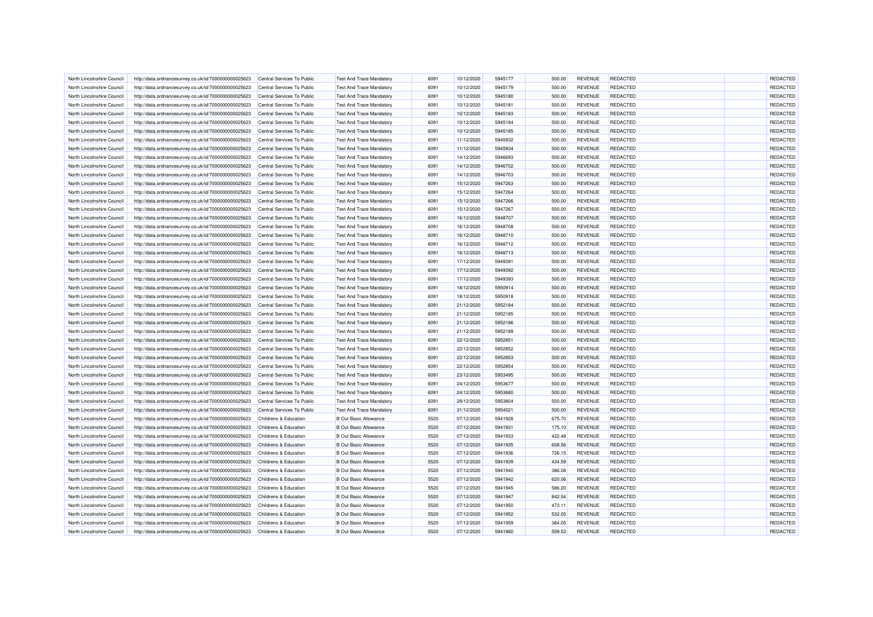| North Lincolnshire Council | http://data.ordnancesurvey.co.uk/id/7000000000025623 | Central Services To Public | <b>Test And Trace Mandatory</b> | 6091 | 10/12/2020 | 5945177 | 500.00 | <b>REVENUE</b> | <b>REDACTED</b> | REDACTED |
|----------------------------|------------------------------------------------------|----------------------------|---------------------------------|------|------------|---------|--------|----------------|-----------------|----------|
| North Lincolnshire Council | http://data.ordnancesurvey.co.uk/id/7000000000025623 | Central Services To Public | <b>Test And Trace Mandatory</b> | 6091 | 10/12/2020 | 5945179 | 500.00 | <b>REVENUE</b> | <b>REDACTED</b> | REDACTED |
| North Lincolnshire Council | http://data.ordnancesurvey.co.uk/id/7000000000025623 | Central Services To Public | <b>Test And Trace Mandatory</b> | 6091 | 10/12/2020 | 5945180 | 500.00 | <b>REVENUE</b> | <b>REDACTED</b> | REDACTED |
| North Lincolnshire Council | http://data.ordnancesurvey.co.uk/id/7000000000025623 | Central Services To Public | <b>Test And Trace Mandatory</b> | 6091 | 10/12/2020 | 5945181 | 500.00 | <b>REVENUE</b> | REDACTED        | REDACTED |
| North Lincolnshire Council | http://data.ordnancesurvey.co.uk/id/7000000000025623 | Central Services To Public | <b>Test And Trace Mandatory</b> | 6091 | 10/12/2020 | 5945183 | 500.00 | <b>REVENUE</b> | <b>REDACTED</b> | REDACTED |
| North Lincolnshire Council | http://data.ordnancesurvey.co.uk/id/7000000000025623 | Central Services To Public | <b>Test And Trace Mandatory</b> | 6091 | 10/12/2020 | 5945184 | 500.00 | <b>REVENUE</b> | <b>REDACTED</b> | REDACTED |
|                            |                                                      |                            |                                 |      |            |         |        |                |                 |          |
| North Lincolnshire Council | http://data.ordnancesurvey.co.uk/id/7000000000025623 | Central Services To Public | <b>Test And Trace Mandatory</b> | 6091 | 10/12/2020 | 5945185 | 500.00 | <b>REVENUE</b> | <b>REDACTED</b> | REDACTED |
| North Lincolnshire Council | http://data.ordnancesurvey.co.uk/id/7000000000025623 | Central Services To Public | <b>Test And Trace Mandatory</b> | 6091 | 11/12/2020 | 5945932 | 500.00 | <b>REVENUE</b> | <b>REDACTED</b> | REDACTED |
| North Lincolnshire Council | http://data.ordnancesurvey.co.uk/id/7000000000025623 | Central Services To Public | <b>Test And Trace Mandatory</b> | 6091 | 11/12/2020 | 5945934 | 500.00 | <b>REVENUE</b> | REDACTED        | REDACTED |
| North Lincolnshire Council | http://data.ordnancesurvey.co.uk/id/7000000000025623 | Central Services To Public | <b>Test And Trace Mandatory</b> | 6091 | 14/12/2020 | 5946693 | 500.00 | <b>REVENUE</b> | <b>REDACTED</b> | REDACTED |
| North Lincolnshire Council | http://data.ordnancesurvey.co.uk/id/7000000000025623 | Central Services To Public | <b>Test And Trace Mandatory</b> | 6091 | 14/12/2020 | 5946702 | 500.00 | <b>REVENUE</b> | <b>REDACTED</b> | REDACTED |
| North Lincolnshire Council | http://data.ordnancesurvey.co.uk/id/7000000000025623 | Central Services To Public | <b>Test And Trace Mandatory</b> | 6091 | 14/12/2020 | 5946703 | 500.00 | <b>REVENUE</b> | <b>REDACTED</b> | REDACTED |
| North Lincolnshire Council | http://data.ordnancesurvey.co.uk/id/7000000000025623 | Central Services To Public | <b>Test And Trace Mandatory</b> | 6091 | 15/12/2020 | 5947263 | 500.00 | <b>REVENUE</b> | <b>REDACTED</b> | REDACTED |
| North Lincolnshire Council | http://data.ordnancesurvey.co.uk/id/7000000000025623 | Central Services To Public | <b>Test And Trace Mandatory</b> | 6091 | 15/12/2020 | 5947264 | 500.00 | <b>REVENUE</b> | <b>REDACTED</b> | REDACTED |
| North Lincolnshire Council | http://data.ordnancesurvey.co.uk/id/7000000000025623 | Central Services To Public | <b>Test And Trace Mandatory</b> | 6091 | 15/12/2020 | 5947266 | 500.00 | <b>REVENUE</b> | <b>REDACTED</b> | REDACTED |
| North Lincolnshire Council | http://data.ordnancesurvey.co.uk/id/7000000000025623 | Central Services To Public | <b>Test And Trace Mandatory</b> | 6091 | 15/12/2020 | 5947267 | 500.00 | <b>REVENUE</b> | <b>REDACTED</b> | REDACTED |
| North Lincolnshire Council | http://data.ordnancesurvey.co.uk/id/7000000000025623 | Central Services To Public | <b>Test And Trace Mandatory</b> | 6091 | 16/12/2020 | 5948707 | 500.00 | <b>REVENUE</b> | <b>REDACTED</b> | REDACTED |
| North Lincolnshire Council | http://data.ordnancesurvey.co.uk/id/7000000000025623 | Central Services To Public | <b>Test And Trace Mandatory</b> | 6091 | 16/12/2020 | 5948708 | 500.00 | <b>REVENUE</b> | <b>REDACTED</b> | REDACTED |
| North Lincolnshire Council | http://data.ordnancesurvey.co.uk/id/7000000000025623 | Central Services To Public | <b>Test And Trace Mandatory</b> | 6091 | 16/12/2020 | 5948710 | 500.00 | <b>REVENUE</b> | <b>REDACTED</b> | REDACTED |
| North Lincolnshire Council | http://data.ordnancesurvey.co.uk/id/7000000000025623 | Central Services To Public | <b>Test And Trace Mandatory</b> | 6091 | 16/12/2020 | 5948712 | 500.00 | <b>REVENUE</b> | <b>REDACTED</b> | REDACTED |
| North Lincolnshire Counci  | http://data.ordnancesurvey.co.uk/id/7000000000025623 | Central Services To Public | <b>Test And Trace Mandatory</b> | 6091 | 16/12/2020 | 5948713 | 500.00 | <b>REVENUE</b> | <b>REDACTED</b> | REDACTED |
| North Lincolnshire Council | http://data.ordnancesurvey.co.uk/id/7000000000025623 | Central Services To Public | <b>Test And Trace Mandatory</b> | 6091 | 17/12/2020 | 5949391 | 500.00 | <b>REVENUE</b> | <b>REDACTED</b> | REDACTED |
| North Lincolnshire Council | http://data.ordnancesurvey.co.uk/id/7000000000025623 | Central Services To Public | <b>Test And Trace Mandatory</b> | 6091 | 17/12/2020 | 5949392 | 500.00 | <b>REVENUE</b> | <b>REDACTED</b> | REDACTED |
| North Lincolnshire Council | http://data.ordnancesurvey.co.uk/id/7000000000025623 | Central Services To Public | <b>Test And Trace Mandatory</b> | 6091 | 17/12/2020 | 5949393 | 500.00 | <b>REVENUE</b> | <b>REDACTED</b> | REDACTED |
| North Lincolnshire Council | http://data.ordnancesurvey.co.uk/id/7000000000025623 | Central Services To Public | <b>Test And Trace Mandatory</b> | 6091 | 18/12/2020 | 5950914 | 500.00 | <b>REVENUE</b> | <b>REDACTED</b> | REDACTED |
|                            |                                                      |                            |                                 |      |            |         |        |                |                 |          |
| North Lincolnshire Council | http://data.ordnancesurvey.co.uk/id/7000000000025623 | Central Services To Public | <b>Test And Trace Mandatory</b> | 6091 | 18/12/2020 | 5950918 | 500.00 | <b>REVENUE</b> | <b>REDACTED</b> | REDACTED |
| North Lincolnshire Council | http://data.ordnancesurvey.co.uk/id/7000000000025623 | Central Services To Public | <b>Test And Trace Mandatory</b> | 6091 | 21/12/2020 | 5952184 | 500.00 | <b>REVENUE</b> | <b>REDACTED</b> | REDACTED |
| North Lincolnshire Council | http://data.ordnancesurvey.co.uk/id/7000000000025623 | Central Services To Public | <b>Test And Trace Mandatory</b> | 6091 | 21/12/2020 | 5952185 | 500.00 | <b>REVENUE</b> | <b>REDACTED</b> | REDACTED |
| North Lincolnshire Council | http://data.ordnancesurvey.co.uk/id/7000000000025623 | Central Services To Public | <b>Test And Trace Mandatory</b> | 6091 | 21/12/2020 | 5952186 | 500.00 | <b>REVENUE</b> | <b>REDACTED</b> | REDACTED |
| North Lincolnshire Council | http://data.ordnancesurvey.co.uk/id/7000000000025623 | Central Services To Public | <b>Test And Trace Mandatory</b> | 6091 | 21/12/2020 | 5952189 | 500.00 | <b>REVENUE</b> | <b>REDACTED</b> | REDACTED |
| North Lincolnshire Council | http://data.ordnancesurvey.co.uk/id/7000000000025623 | Central Services To Public | <b>Test And Trace Mandatory</b> | 6091 | 22/12/2020 | 5952851 | 500.00 | <b>REVENUE</b> | <b>REDACTED</b> | REDACTED |
| North Lincolnshire Council | http://data.ordnancesurvey.co.uk/id/7000000000025623 | Central Services To Public | <b>Test And Trace Mandatory</b> | 6091 | 22/12/2020 | 5952852 | 500.00 | <b>REVENUE</b> | <b>REDACTED</b> | REDACTED |
| North Lincolnshire Council | http://data.ordnancesurvey.co.uk/id/7000000000025623 | Central Services To Public | <b>Test And Trace Mandatory</b> | 6091 | 22/12/2020 | 5952853 | 500.00 | <b>REVENUE</b> | <b>REDACTED</b> | REDACTED |
| North Lincolnshire Council | http://data.ordnancesurvey.co.uk/id/7000000000025623 | Central Services To Public | Test And Trace Mandatory        | 6091 | 22/12/2020 | 5952854 | 500.00 | <b>REVENUE</b> | <b>REDACTED</b> | REDACTED |
| North Lincolnshire Council | http://data.ordnancesurvey.co.uk/id/7000000000025623 | Central Services To Public | <b>Test And Trace Mandatory</b> | 6091 | 23/12/2020 | 5953495 | 500.00 | <b>REVENUE</b> | <b>REDACTED</b> | REDACTED |
| North Lincolnshire Council | http://data.ordnancesurvey.co.uk/id/7000000000025623 | Central Services To Public | <b>Test And Trace Mandatory</b> | 6091 | 24/12/2020 | 5953677 | 500.00 | <b>REVENUE</b> | <b>REDACTED</b> | REDACTED |
| North Lincolnshire Council | http://data.ordnancesurvey.co.uk/id/7000000000025623 | Central Services To Public | <b>Test And Trace Mandatory</b> | 6091 | 24/12/2020 | 5953680 | 500.00 | <b>REVENUE</b> | <b>REDACTED</b> | REDACTED |
| North Lincolnshire Council | http://data.ordnancesurvey.co.uk/id/7000000000025623 | Central Services To Public | <b>Test And Trace Mandatory</b> | 6091 | 29/12/2020 | 5953804 | 500.00 | <b>REVENUE</b> | <b>REDACTED</b> | REDACTED |
| North Lincolnshire Council | http://data.ordnancesurvey.co.uk/id/7000000000025623 | Central Services To Public | <b>Test And Trace Mandatory</b> | 6091 | 31/12/2020 | 5954021 | 500.00 | <b>REVENUE</b> | <b>REDACTED</b> | REDACTED |
| North Lincolnshire Council | http://data.ordnancesurvey.co.uk/id/7000000000025623 | Childrens & Education      | <b>B</b> Out Basic Allowance    | 5520 | 07/12/2020 | 5941928 | 675.70 | <b>REVENUE</b> | <b>REDACTED</b> | REDACTED |
| North Lincolnshire Council | http://data.ordnancesurvey.co.uk/id/7000000000025623 | Childrens & Education      | <b>B</b> Out Basic Allowance    | 5520 | 07/12/2020 | 5941931 | 175.10 | <b>REVENUE</b> | <b>REDACTED</b> | REDACTED |
| North Lincolnshire Council | http://data.ordnancesurvey.co.uk/id/7000000000025623 | Childrens & Education      | <b>B Out Basic Allowance</b>    | 5520 | 07/12/2020 | 5941933 | 422.48 | <b>REVENUE</b> | <b>REDACTED</b> | REDACTED |
| North Lincolnshire Council | http://data.ordnancesurvey.co.uk/id/7000000000025623 | Childrens & Education      | <b>B</b> Out Basic Allowance    | 5520 | 07/12/2020 | 5941935 | 608.56 | <b>REVENUE</b> | <b>REDACTED</b> | REDACTED |
| North Lincolnshire Council | http://data.ordnancesurvey.co.uk/id/7000000000025623 | Childrens & Education      | <b>B</b> Out Basic Allowance    | 5520 | 07/12/2020 | 5941936 | 726.15 | <b>REVENUE</b> | <b>REDACTED</b> | REDACTED |
| North Lincolnshire Council | http://data.ordnancesurvey.co.uk/id/7000000000025623 | Childrens & Education      | <b>B Out Basic Allowance</b>    | 5520 | 07/12/2020 | 5941939 | 434.59 | <b>REVENUE</b> | <b>REDACTED</b> | REDACTED |
| North Lincolnshire Council | http://data.ordnancesurvey.co.uk/id/7000000000025623 | Childrens & Education      | <b>B</b> Out Basic Allowance    | 5520 | 07/12/2020 | 5941940 | 386.08 | <b>REVENUE</b> | <b>REDACTED</b> | REDACTED |
| North Lincolnshire Council | http://data.ordnancesurvey.co.uk/id/7000000000025623 | Childrens & Education      | <b>B</b> Out Basic Allowance    | 5520 | 07/12/2020 | 5941942 | 620.06 | <b>REVENUE</b> | <b>REDACTED</b> | REDACTED |
| North Lincolnshire Council | http://data.ordnancesurvey.co.uk/id/7000000000025623 | Childrens & Education      | <b>B Out Basic Allowance</b>    | 5520 | 07/12/2020 | 5941945 | 586.20 | <b>REVENUE</b> | <b>REDACTED</b> | REDACTED |
| North Lincolnshire Council |                                                      | Childrens & Education      | <b>B Out Basic Allowance</b>    | 5520 | 07/12/2020 | 5941947 | 842.54 | <b>REVENUE</b> | <b>REDACTED</b> | REDACTED |
|                            | http://data.ordnancesurvey.co.uk/id/7000000000025623 |                            |                                 |      |            |         |        |                |                 |          |
| North Lincolnshire Council | http://data.ordnancesurvey.co.uk/id/7000000000025623 | Childrens & Education      | <b>B Out Basic Allowance</b>    | 5520 | 07/12/2020 | 5941950 | 473.11 | <b>REVENUE</b> | <b>REDACTED</b> | REDACTED |
| North Lincolnshire Council | http://data.ordnancesurvey.co.uk/id/7000000000025623 | Childrens & Education      | <b>B Out Basic Allowance</b>    | 5520 | 07/12/2020 | 5941952 | 532.05 | <b>REVENUE</b> | <b>REDACTED</b> | REDACTED |
| North Lincolnshire Council | http://data.ordnancesurvey.co.uk/id/7000000000025623 | Childrens & Education      | <b>B Out Basic Allowance</b>    | 5520 | 07/12/2020 | 5941959 | 384.05 | <b>REVENUE</b> | <b>REDACTED</b> | REDACTED |
| North Lincolnshire Council | http://data.ordnancesurvey.co.uk/id/7000000000025623 | Childrens & Education      | <b>B Out Basic Allowance</b>    | 5520 | 07/12/2020 | 5941960 | 559.53 | <b>REVENUE</b> | <b>REDACTED</b> | REDACTED |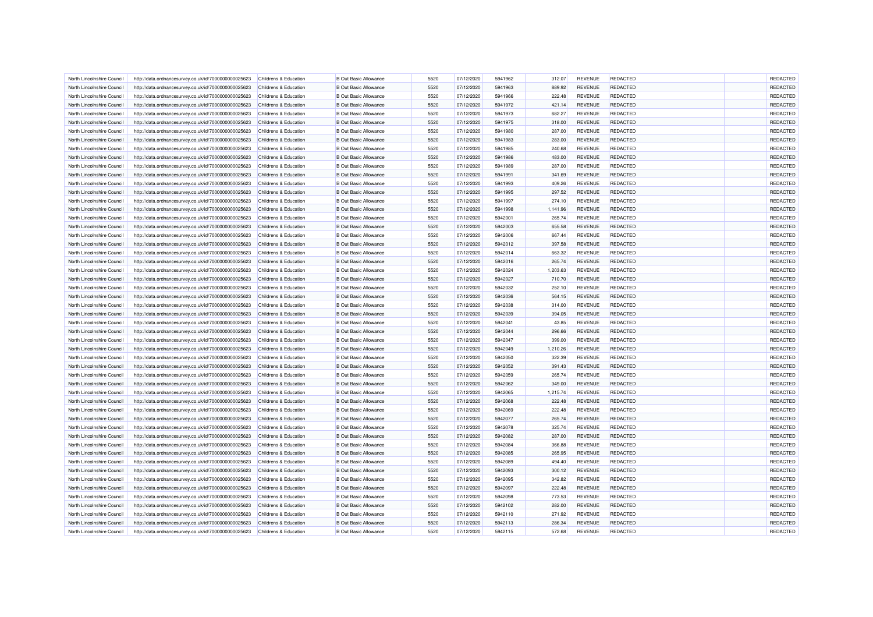|                            |                                                      |                                  | <b>B</b> Out Basic Allowance |      |            |         |          | <b>REVENUE</b> | REDACTED        | REDACTED |
|----------------------------|------------------------------------------------------|----------------------------------|------------------------------|------|------------|---------|----------|----------------|-----------------|----------|
| North Lincolnshire Council | http://data.ordnancesurvey.co.uk/id/7000000000025623 | Childrens & Education            |                              | 5520 | 07/12/2020 | 5941962 | 312.07   |                |                 |          |
| North Lincolnshire Council | http://data.ordnancesurvey.co.uk/id/7000000000025623 | Childrens & Education            | <b>B</b> Out Basic Allowance | 5520 | 07/12/2020 | 5941963 | 889.92   | <b>REVENUE</b> | <b>REDACTED</b> | REDACTED |
| North Lincolnshire Council | http://data.ordnancesurvey.co.uk/id/7000000000025623 | Childrens & Education            | <b>B</b> Out Basic Allowance | 5520 | 07/12/2020 | 5941966 | 222.48   | <b>REVENUE</b> | <b>REDACTED</b> | REDACTED |
| North Lincolnshire Council | http://data.ordnancesurvey.co.uk/id/7000000000025623 | Childrens & Education            | <b>B Out Basic Allowance</b> | 5520 | 07/12/2020 | 5941972 | 421.14   | <b>REVENUE</b> | <b>REDACTED</b> | REDACTED |
| North Lincolnshire Council | http://data.ordnancesurvey.co.uk/id/7000000000025623 | Childrens & Education            | <b>B</b> Out Basic Allowance | 5520 | 07/12/2020 | 5941973 | 682.27   | <b>REVENUE</b> | <b>REDACTED</b> | REDACTED |
| North Lincolnshire Council | http://data.ordnancesurvey.co.uk/id/7000000000025623 | Childrens & Education            | <b>B</b> Out Basic Allowance | 5520 | 07/12/2020 | 5941975 | 318.00   | <b>REVENUE</b> | <b>REDACTED</b> | REDACTED |
| North Lincolnshire Council | http://data.ordnancesurvey.co.uk/id/7000000000025623 | Childrens & Education            | <b>B</b> Out Basic Allowance | 5520 | 07/12/2020 | 5941980 | 287.00   | <b>REVENUE</b> | <b>REDACTED</b> | REDACTED |
| North Lincolnshire Council | http://data.ordnancesurvey.co.uk/id/7000000000025623 | Childrens & Education            | <b>B</b> Out Basic Allowance | 5520 | 07/12/2020 | 5941983 | 283.00   | <b>REVENUE</b> | <b>REDACTED</b> | REDACTED |
| North Lincolnshire Council | http://data.ordnancesurvey.co.uk/id/7000000000025623 | Childrens & Education            | <b>B Out Basic Allowance</b> | 5520 | 07/12/2020 | 5941985 | 240.68   | <b>REVENUE</b> | <b>REDACTED</b> | REDACTED |
| North Lincolnshire Council | http://data.ordnancesurvey.co.uk/id/7000000000025623 | Childrens & Education            | <b>B Out Basic Allowance</b> | 5520 | 07/12/2020 | 5941986 | 483.00   | <b>REVENUE</b> | <b>REDACTED</b> | REDACTED |
| North Lincolnshire Council | http://data.ordnancesurvey.co.uk/id/7000000000025623 | <b>Childrens &amp; Education</b> | <b>B Out Basic Allowance</b> | 5520 | 07/12/2020 | 5941989 | 287.00   | <b>REVENUE</b> | <b>REDACTED</b> | REDACTED |
| North Lincolnshire Council | http://data.ordnancesurvey.co.uk/id/7000000000025623 | Childrens & Education            | <b>B Out Basic Allowance</b> | 5520 | 07/12/2020 | 5941991 | 341.69   | <b>REVENUE</b> | <b>REDACTED</b> | REDACTED |
| North Lincolnshire Council | http://data.ordnancesurvey.co.uk/id/7000000000025623 | Childrens & Education            | <b>B Out Basic Allowance</b> | 5520 | 07/12/2020 | 5941993 | 409.26   | <b>REVENUE</b> | <b>REDACTED</b> | REDACTED |
| North Lincolnshire Council | http://data.ordnancesurvey.co.uk/id/7000000000025623 | Childrens & Education            | <b>B Out Basic Allowance</b> | 5520 | 07/12/2020 | 5941995 | 297.52   | <b>REVENUE</b> | <b>REDACTED</b> | REDACTED |
| North Lincolnshire Council | http://data.ordnancesurvey.co.uk/id/7000000000025623 | Childrens & Education            | <b>B Out Basic Allowance</b> | 5520 | 07/12/2020 | 5941997 | 274.10   | <b>REVENUE</b> | <b>REDACTED</b> | REDACTED |
| North Lincolnshire Council | http://data.ordnancesurvey.co.uk/id/7000000000025623 | Childrens & Education            | <b>B Out Basic Allowance</b> | 5520 | 07/12/2020 | 5941998 | 1,141.96 | <b>REVENUE</b> | <b>REDACTED</b> | REDACTED |
| North Lincolnshire Council | http://data.ordnancesurvey.co.uk/id/7000000000025623 | Childrens & Education            | <b>B Out Basic Allowance</b> | 5520 | 07/12/2020 | 5942001 | 265.74   | <b>REVENUE</b> | <b>REDACTED</b> | REDACTED |
| North Lincolnshire Council | http://data.ordnancesurvey.co.uk/id/7000000000025623 | Childrens & Education            | <b>B Out Basic Allowance</b> | 5520 | 07/12/2020 | 5942003 | 655.58   | <b>REVENUE</b> | <b>REDACTED</b> | REDACTED |
| North Lincolnshire Council | http://data.ordnancesurvey.co.uk/id/7000000000025623 | Childrens & Education            | <b>B Out Basic Allowance</b> | 5520 | 07/12/2020 | 5942006 | 667.44   | <b>REVENUE</b> | <b>REDACTED</b> | REDACTED |
| North Lincolnshire Council | http://data.ordnancesurvey.co.uk/id/7000000000025623 | <b>Childrens &amp; Education</b> | <b>B Out Basic Allowance</b> | 5520 | 07/12/2020 | 5942012 | 397.58   | <b>REVENUE</b> | <b>REDACTED</b> | REDACTED |
| North Lincolnshire Council | http://data.ordnancesurvey.co.uk/id/7000000000025623 | Childrens & Education            | <b>B Out Basic Allowance</b> | 5520 | 07/12/2020 | 5942014 | 663.32   | <b>REVENUE</b> | <b>REDACTED</b> | REDACTED |
| North Lincolnshire Council | http://data.ordnancesurvey.co.uk/id/7000000000025623 | Childrens & Education            | <b>B Out Basic Allowance</b> | 5520 | 07/12/2020 | 5942016 | 265.74   | <b>REVENUE</b> | <b>REDACTED</b> | REDACTED |
| North Lincolnshire Council | http://data.ordnancesurvey.co.uk/id/7000000000025623 | Childrens & Education            | <b>B Out Basic Allowance</b> | 5520 | 07/12/2020 | 5942024 | 1,203.63 | <b>REVENUE</b> | <b>REDACTED</b> | REDACTED |
|                            |                                                      |                                  |                              |      |            |         |          |                |                 |          |
| North Lincolnshire Council | http://data.ordnancesurvey.co.uk/id/7000000000025623 | Childrens & Education            | <b>B Out Basic Allowance</b> | 5520 | 07/12/2020 | 5942027 | 710.70   | <b>REVENUE</b> | <b>REDACTED</b> | REDACTED |
| North Lincolnshire Council | http://data.ordnancesurvey.co.uk/id/7000000000025623 | Childrens & Education            | <b>B Out Basic Allowance</b> | 5520 | 07/12/2020 | 5942032 | 252.10   | <b>REVENUE</b> | <b>REDACTED</b> | REDACTED |
| North Lincolnshire Council | http://data.ordnancesurvey.co.uk/id/7000000000025623 | Childrens & Education            | <b>B Out Basic Allowance</b> | 5520 | 07/12/2020 | 5942036 | 564.15   | <b>REVENUE</b> | <b>REDACTED</b> | REDACTED |
| North Lincolnshire Council | http://data.ordnancesurvey.co.uk/id/7000000000025623 | Childrens & Education            | <b>B Out Basic Allowance</b> | 5520 | 07/12/2020 | 5942038 | 314.00   | REVENUE        | <b>REDACTED</b> | REDACTED |
| North Lincolnshire Council | http://data.ordnancesurvey.co.uk/id/7000000000025623 | Childrens & Education            | <b>B Out Basic Allowance</b> | 5520 | 07/12/2020 | 5942039 | 394.05   | <b>REVENUE</b> | <b>REDACTED</b> | REDACTED |
| North Lincolnshire Council | http://data.ordnancesurvey.co.uk/id/7000000000025623 | Childrens & Education            | <b>B Out Basic Allowance</b> | 5520 | 07/12/2020 | 5942041 | 43.85    | <b>REVENUE</b> | <b>REDACTED</b> | REDACTED |
| North Lincolnshire Council | http://data.ordnancesurvey.co.uk/id/7000000000025623 | Childrens & Education            | <b>B Out Basic Allowance</b> | 5520 | 07/12/2020 | 5942044 | 296.66   | <b>REVENUE</b> | <b>REDACTED</b> | REDACTED |
| North Lincolnshire Council | http://data.ordnancesurvey.co.uk/id/7000000000025623 | Childrens & Education            | <b>B Out Basic Allowance</b> | 5520 | 07/12/2020 | 5942047 | 399.00   | <b>REVENUE</b> | <b>REDACTED</b> | REDACTED |
| North Lincolnshire Council | http://data.ordnancesurvey.co.uk/id/7000000000025623 | Childrens & Education            | <b>B Out Basic Allowance</b> | 5520 | 07/12/2020 | 5942049 | 1,210.26 | <b>REVENUE</b> | <b>REDACTED</b> | REDACTED |
| North Lincolnshire Council | http://data.ordnancesurvey.co.uk/id/7000000000025623 | Childrens & Education            | <b>B Out Basic Allowance</b> | 5520 | 07/12/2020 | 5942050 | 322.39   | <b>REVENUE</b> | <b>REDACTED</b> | REDACTED |
| North Lincolnshire Council | http://data.ordnancesurvey.co.uk/id/7000000000025623 | Childrens & Education            | <b>B Out Basic Allowance</b> | 5520 | 07/12/2020 | 5942052 | 391.43   | <b>REVENUE</b> | <b>REDACTED</b> | REDACTED |
| North Lincolnshire Council | http://data.ordnancesurvey.co.uk/id/7000000000025623 | Childrens & Education            | <b>B Out Basic Allowance</b> | 5520 | 07/12/2020 | 5942059 | 265.74   | <b>REVENUE</b> | <b>REDACTED</b> | REDACTED |
| North Lincolnshire Council | http://data.ordnancesurvey.co.uk/id/7000000000025623 | Childrens & Education            | <b>B Out Basic Allowance</b> | 5520 | 07/12/2020 | 5942062 | 349.00   | <b>REVENUE</b> | <b>REDACTED</b> | REDACTED |
| North Lincolnshire Council | http://data.ordnancesurvey.co.uk/id/7000000000025623 | Childrens & Education            | <b>B Out Basic Allowance</b> | 5520 | 07/12/2020 | 5942065 | 1,215.74 | <b>REVENUE</b> | <b>REDACTED</b> | REDACTED |
| North Lincolnshire Council | http://data.ordnancesurvey.co.uk/id/7000000000025623 | Childrens & Education            | <b>B Out Basic Allowance</b> | 5520 | 07/12/2020 | 5942068 | 222.48   | <b>REVENUE</b> | <b>REDACTED</b> | REDACTED |
| North Lincolnshire Council | http://data.ordnancesurvey.co.uk/id/7000000000025623 | Childrens & Education            | <b>B Out Basic Allowance</b> | 5520 | 07/12/2020 | 5942069 | 222.48   | <b>REVENUE</b> | <b>REDACTED</b> | REDACTED |
| North Lincolnshire Council | http://data.ordnancesurvey.co.uk/id/7000000000025623 | Childrens & Education            | <b>B Out Basic Allowance</b> | 5520 | 07/12/2020 | 5942077 | 265.74   | <b>REVENUE</b> | <b>REDACTED</b> | REDACTED |
| North Lincolnshire Council | http://data.ordnancesurvey.co.uk/id/7000000000025623 | Childrens & Education            | <b>B Out Basic Allowance</b> | 5520 | 07/12/2020 | 5942078 | 325.74   | <b>REVENUE</b> | <b>REDACTED</b> | REDACTED |
| North Lincolnshire Council | http://data.ordnancesurvey.co.uk/id/7000000000025623 | Childrens & Education            | <b>B Out Basic Allowance</b> | 5520 | 07/12/2020 | 5942082 | 287.00   | <b>REVENUE</b> | <b>REDACTED</b> | REDACTED |
| North Lincolnshire Council | http://data.ordnancesurvey.co.uk/id/7000000000025623 | Childrens & Education            | <b>B Out Basic Allowance</b> | 5520 | 07/12/2020 | 5942084 | 366.88   | <b>REVENUE</b> | <b>REDACTED</b> | REDACTED |
| North Lincolnshire Council | http://data.ordnancesurvey.co.uk/id/7000000000025623 | Childrens & Education            | <b>B Out Basic Allowance</b> | 5520 | 07/12/2020 | 5942085 | 265.95   | <b>REVENUE</b> | <b>REDACTED</b> | REDACTED |
| North Lincolnshire Council | http://data.ordnancesurvey.co.uk/id/7000000000025623 | Childrens & Education            | <b>B Out Basic Allowance</b> | 5520 | 07/12/2020 | 5942089 | 494.40   | <b>REVENUE</b> | <b>REDACTED</b> | REDACTED |
| North Lincolnshire Council | http://data.ordnancesurvey.co.uk/id/7000000000025623 | Childrens & Education            | <b>B Out Basic Allowance</b> | 5520 | 07/12/2020 | 5942093 | 300.12   | <b>REVENUE</b> | <b>REDACTED</b> | REDACTED |
| North Lincolnshire Council | http://data.ordnancesurvey.co.uk/id/7000000000025623 | Childrens & Education            | <b>B Out Basic Allowance</b> | 5520 | 07/12/2020 | 5942095 | 342.82   | <b>REVENUE</b> | <b>REDACTED</b> | REDACTED |
| North Lincolnshire Council | http://data.ordnancesurvey.co.uk/id/7000000000025623 | Childrens & Education            | <b>B Out Basic Allowance</b> | 5520 | 07/12/2020 | 5942097 | 222.48   | <b>REVENUE</b> | <b>REDACTED</b> | REDACTED |
| North Lincolnshire Council | http://data.ordnancesurvey.co.uk/id/7000000000025623 | Childrens & Education            | <b>B Out Basic Allowance</b> | 5520 | 07/12/2020 | 5942098 | 773.53   | <b>REVENUE</b> | <b>REDACTED</b> | REDACTED |
| North Lincolnshire Council | http://data.ordnancesurvey.co.uk/id/7000000000025623 | Childrens & Education            | <b>B Out Basic Allowance</b> | 5520 | 07/12/2020 | 5942102 | 282.00   | <b>REVENUE</b> | <b>REDACTED</b> | REDACTED |
| North Lincolnshire Council | http://data.ordnancesurvey.co.uk/id/7000000000025623 | Childrens & Education            | <b>B Out Basic Allowance</b> | 5520 | 07/12/2020 | 5942110 | 271.92   | <b>REVENUE</b> | <b>REDACTED</b> | REDACTED |
| North Lincolnshire Council |                                                      | Childrens & Education            | <b>B Out Basic Allowance</b> | 5520 | 07/12/2020 | 5942113 | 286.34   | <b>REVENUE</b> | <b>REDACTED</b> | REDACTED |
|                            | http://data.ordnancesurvey.co.uk/id/7000000000025623 |                                  |                              | 5520 |            |         |          |                | <b>REDACTED</b> | REDACTED |
| North Lincolnshire Council | http://data.ordnancesurvey.co.uk/id/7000000000025623 | Childrens & Education            | <b>B Out Basic Allowance</b> |      | 07/12/2020 | 5942115 | 572.68   | <b>REVENUE</b> |                 |          |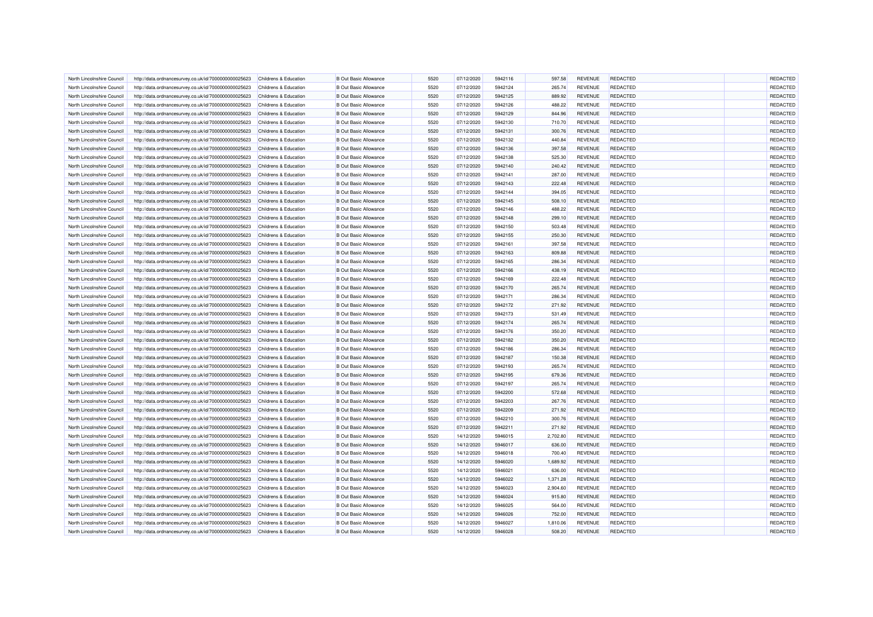| North Lincolnshire Council | http://data.ordnancesurvey.co.uk/id/7000000000025623 | Childrens & Education            | <b>B</b> Out Basic Allowance | 5520 | 07/12/2020 | 5942116 | 597.58   | <b>REVENUE</b> | <b>REDACTED</b> | REDACTED |
|----------------------------|------------------------------------------------------|----------------------------------|------------------------------|------|------------|---------|----------|----------------|-----------------|----------|
| North Lincolnshire Council | http://data.ordnancesurvey.co.uk/id/7000000000025623 | Childrens & Education            | <b>B</b> Out Basic Allowance | 5520 | 07/12/2020 | 5942124 | 265.74   | <b>REVENUE</b> | <b>REDACTED</b> | REDACTED |
| North Lincolnshire Council | http://data.ordnancesurvey.co.uk/id/7000000000025623 | Childrens & Education            | <b>B Out Basic Allowance</b> | 5520 | 07/12/2020 | 5942125 | 889.92   | <b>REVENUE</b> | <b>REDACTED</b> | REDACTED |
| North Lincolnshire Council | http://data.ordnancesurvey.co.uk/id/7000000000025623 | Childrens & Education            | <b>B Out Basic Allowance</b> | 5520 | 07/12/2020 | 5942126 | 488.22   | <b>REVENUE</b> | REDACTED        | REDACTED |
| North Lincolnshire Council | http://data.ordnancesurvey.co.uk/id/7000000000025623 | Childrens & Education            | <b>B</b> Out Basic Allowance | 5520 | 07/12/2020 | 5942129 | 844.96   | <b>REVENUE</b> | <b>REDACTED</b> | REDACTED |
| North Lincolnshire Council | http://data.ordnancesurvey.co.uk/id/7000000000025623 | Childrens & Education            | <b>B</b> Out Basic Allowance | 5520 | 07/12/2020 | 5942130 | 710.70   | <b>REVENUE</b> | <b>REDACTED</b> | REDACTED |
| North Lincolnshire Council | http://data.ordnancesurvey.co.uk/id/7000000000025623 | Childrens & Education            | <b>B Out Basic Allowance</b> | 5520 | 07/12/2020 | 5942131 | 300.76   | <b>REVENUE</b> | <b>REDACTED</b> | REDACTED |
| North Lincolnshire Council | http://data.ordnancesurvey.co.uk/id/7000000000025623 | Childrens & Education            | <b>B</b> Out Basic Allowance | 5520 | 07/12/2020 | 5942132 | 440.84   | <b>REVENUE</b> | <b>REDACTED</b> | REDACTED |
|                            |                                                      |                                  | <b>B Out Basic Allowance</b> | 5520 |            |         |          |                | <b>REDACTED</b> |          |
| North Lincolnshire Council | http://data.ordnancesurvey.co.uk/id/7000000000025623 | <b>Childrens &amp; Education</b> |                              |      | 07/12/2020 | 5942136 | 397.58   | <b>REVENUE</b> |                 | REDACTED |
| North Lincolnshire Council | http://data.ordnancesurvey.co.uk/id/7000000000025623 | Childrens & Education            | <b>B Out Basic Allowance</b> | 5520 | 07/12/2020 | 5942138 | 525.30   | <b>REVENUE</b> | <b>REDACTED</b> | REDACTED |
| North Lincolnshire Council | http://data.ordnancesurvey.co.uk/id/7000000000025623 | Childrens & Education            | <b>B Out Basic Allowance</b> | 5520 | 07/12/2020 | 5942140 | 240.42   | <b>REVENUE</b> | <b>REDACTED</b> | REDACTED |
| North Lincolnshire Council | http://data.ordnancesurvey.co.uk/id/7000000000025623 | Childrens & Education            | <b>B Out Basic Allowance</b> | 5520 | 07/12/2020 | 5942141 | 287.00   | <b>REVENUE</b> | <b>REDACTED</b> | REDACTED |
| North Lincolnshire Council | http://data.ordnancesurvey.co.uk/id/7000000000025623 | Childrens & Education            | <b>B Out Basic Allowance</b> | 5520 | 07/12/2020 | 5942143 | 222.48   | <b>REVENUE</b> | <b>REDACTED</b> | REDACTED |
| North Lincolnshire Council | http://data.ordnancesurvey.co.uk/id/7000000000025623 | Childrens & Education            | <b>B Out Basic Allowance</b> | 5520 | 07/12/2020 | 5942144 | 394.05   | <b>REVENUE</b> | <b>REDACTED</b> | REDACTED |
| North Lincolnshire Council | http://data.ordnancesurvey.co.uk/id/7000000000025623 | Childrens & Education            | <b>B Out Basic Allowance</b> | 5520 | 07/12/2020 | 5942145 | 508.10   | <b>REVENUE</b> | <b>REDACTED</b> | REDACTED |
| North Lincolnshire Council | http://data.ordnancesurvey.co.uk/id/7000000000025623 | Childrens & Education            | <b>B Out Basic Allowance</b> | 5520 | 07/12/2020 | 5942146 | 488.22   | <b>REVENUE</b> | <b>REDACTED</b> | REDACTED |
| North Lincolnshire Council | http://data.ordnancesurvey.co.uk/id/7000000000025623 | Childrens & Education            | <b>B Out Basic Allowance</b> | 5520 | 07/12/2020 | 5942148 | 299.10   | <b>REVENUE</b> | <b>REDACTED</b> | REDACTED |
| North Lincolnshire Council | http://data.ordnancesurvey.co.uk/id/7000000000025623 | Childrens & Education            | <b>B Out Basic Allowance</b> | 5520 | 07/12/2020 | 5942150 | 503.48   | <b>REVENUE</b> | <b>REDACTED</b> | REDACTED |
| North Lincolnshire Council | http://data.ordnancesurvey.co.uk/id/7000000000025623 | Childrens & Education            | <b>B Out Basic Allowance</b> | 5520 | 07/12/2020 | 5942155 | 250.30   | <b>REVENUE</b> | <b>REDACTED</b> | REDACTED |
| North Lincolnshire Council | http://data.ordnancesurvey.co.uk/id/7000000000025623 | Childrens & Education            | <b>B Out Basic Allowance</b> | 5520 | 07/12/2020 | 5942161 | 397.58   | <b>REVENUE</b> | <b>REDACTED</b> | REDACTED |
| North Lincolnshire Council | http://data.ordnancesurvey.co.uk/id/7000000000025623 | Childrens & Education            | <b>B Out Basic Allowance</b> | 5520 | 07/12/2020 | 5942163 | 809.88   | <b>REVENUE</b> | <b>REDACTED</b> | REDACTED |
| North Lincolnshire Council | http://data.ordnancesurvey.co.uk/id/7000000000025623 | Childrens & Education            | <b>B Out Basic Allowance</b> | 5520 | 07/12/2020 | 5942165 | 286.34   | <b>REVENUE</b> | <b>REDACTED</b> | REDACTED |
| North Lincolnshire Council | http://data.ordnancesurvey.co.uk/id/7000000000025623 | Childrens & Education            | <b>B Out Basic Allowance</b> | 5520 | 07/12/2020 | 5942166 | 438.19   | <b>REVENUE</b> | <b>REDACTED</b> | REDACTED |
| North Lincolnshire Council | http://data.ordnancesurvey.co.uk/id/7000000000025623 | Childrens & Education            | <b>B Out Basic Allowance</b> | 5520 | 07/12/2020 | 5942169 | 222.48   | <b>REVENUE</b> | <b>REDACTED</b> | REDACTED |
| North Lincolnshire Council | http://data.ordnancesurvey.co.uk/id/7000000000025623 | Childrens & Education            | <b>B Out Basic Allowance</b> | 5520 | 07/12/2020 | 5942170 | 265.74   | <b>REVENUE</b> | <b>REDACTED</b> | REDACTED |
| North Lincolnshire Council | http://data.ordnancesurvey.co.uk/id/7000000000025623 | Childrens & Education            | <b>B Out Basic Allowance</b> | 5520 | 07/12/2020 | 5942171 | 286.34   | <b>REVENUE</b> | <b>REDACTED</b> | REDACTED |
| North Lincolnshire Council | http://data.ordnancesurvey.co.uk/id/7000000000025623 | Childrens & Education            | <b>B Out Basic Allowance</b> | 5520 | 07/12/2020 | 5942172 | 271.92   | <b>REVENUE</b> | <b>REDACTED</b> | REDACTED |
| North Lincolnshire Council | http://data.ordnancesurvey.co.uk/id/7000000000025623 | Childrens & Education            | <b>B Out Basic Allowance</b> | 5520 | 07/12/2020 | 5942173 | 531.49   | <b>REVENUE</b> | <b>REDACTED</b> | REDACTED |
| North Lincolnshire Council | http://data.ordnancesurvey.co.uk/id/7000000000025623 | Childrens & Education            | <b>B Out Basic Allowance</b> | 5520 | 07/12/2020 | 5942174 | 265.74   | <b>REVENUE</b> | <b>REDACTED</b> | REDACTED |
| North Lincolnshire Council | http://data.ordnancesurvey.co.uk/id/7000000000025623 | Childrens & Education            | <b>B Out Basic Allowance</b> | 5520 | 07/12/2020 | 5942176 | 350.20   | <b>REVENUE</b> | <b>REDACTED</b> | REDACTED |
| North Lincolnshire Council | http://data.ordnancesurvey.co.uk/id/7000000000025623 | Childrens & Education            | <b>B Out Basic Allowance</b> | 5520 | 07/12/2020 | 5942182 | 350.20   | <b>REVENUE</b> | <b>REDACTED</b> | REDACTED |
|                            |                                                      | Childrens & Education            | <b>B Out Basic Allowance</b> | 5520 |            | 5942186 |          |                | <b>REDACTED</b> | REDACTED |
| North Lincolnshire Council | http://data.ordnancesurvey.co.uk/id/7000000000025623 |                                  |                              |      | 07/12/2020 |         | 286.34   | <b>REVENUE</b> |                 |          |
| North Lincolnshire Council | http://data.ordnancesurvey.co.uk/id/7000000000025623 | Childrens & Education            | <b>B Out Basic Allowance</b> | 5520 | 07/12/2020 | 5942187 | 150.38   | <b>REVENUE</b> | <b>REDACTED</b> | REDACTED |
| North Lincolnshire Council | http://data.ordnancesurvey.co.uk/id/7000000000025623 | Childrens & Education            | <b>B Out Basic Allowance</b> | 5520 | 07/12/2020 | 5942193 | 265.74   | <b>REVENUE</b> | <b>REDACTED</b> | REDACTED |
| North Lincolnshire Council | http://data.ordnancesurvey.co.uk/id/7000000000025623 | Childrens & Education            | <b>B Out Basic Allowance</b> | 5520 | 07/12/2020 | 5942195 | 679.36   | <b>REVENUE</b> | <b>REDACTED</b> | REDACTED |
| North Lincolnshire Council | http://data.ordnancesurvey.co.uk/id/7000000000025623 | Childrens & Education            | <b>B Out Basic Allowance</b> | 5520 | 07/12/2020 | 5942197 | 265.74   | <b>REVENUE</b> | <b>REDACTED</b> | REDACTED |
| North Lincolnshire Council | http://data.ordnancesurvey.co.uk/id/7000000000025623 | Childrens & Education            | <b>B Out Basic Allowance</b> | 5520 | 07/12/2020 | 5942200 | 572.68   | <b>REVENUE</b> | <b>REDACTED</b> | REDACTED |
| North Lincolnshire Council | http://data.ordnancesurvey.co.uk/id/7000000000025623 | Childrens & Education            | <b>B Out Basic Allowance</b> | 5520 | 07/12/2020 | 5942203 | 267.76   | <b>REVENUE</b> | <b>REDACTED</b> | REDACTED |
| North Lincolnshire Council | http://data.ordnancesurvey.co.uk/id/7000000000025623 | Childrens & Education            | <b>B Out Basic Allowance</b> | 5520 | 07/12/2020 | 5942209 | 271.92   | <b>REVENUE</b> | <b>REDACTED</b> | REDACTED |
| North Lincolnshire Council | http://data.ordnancesurvey.co.uk/id/7000000000025623 | Childrens & Education            | <b>B Out Basic Allowance</b> | 5520 | 07/12/2020 | 5942210 | 300.76   | <b>REVENUE</b> | <b>REDACTED</b> | REDACTED |
| North Lincolnshire Council | http://data.ordnancesurvey.co.uk/id/7000000000025623 | Childrens & Education            | <b>B Out Basic Allowance</b> | 5520 | 07/12/2020 | 5942211 | 271.92   | <b>REVENUE</b> | <b>REDACTED</b> | REDACTED |
| North Lincolnshire Council | http://data.ordnancesurvey.co.uk/id/7000000000025623 | Childrens & Education            | <b>B Out Basic Allowance</b> | 5520 | 14/12/2020 | 5946015 | 2,702.80 | <b>REVENUE</b> | <b>REDACTED</b> | REDACTED |
| North Lincolnshire Council | http://data.ordnancesurvey.co.uk/id/7000000000025623 | Childrens & Education            | <b>B Out Basic Allowance</b> | 5520 | 14/12/2020 | 5946017 | 636.00   | <b>REVENUE</b> | <b>REDACTED</b> | REDACTED |
| North Lincolnshire Council | http://data.ordnancesurvey.co.uk/id/7000000000025623 | Childrens & Education            | <b>B Out Basic Allowance</b> | 5520 | 14/12/2020 | 5946018 | 700.40   | <b>REVENUE</b> | <b>REDACTED</b> | REDACTED |
| North Lincolnshire Council | http://data.ordnancesurvey.co.uk/id/7000000000025623 | Childrens & Education            | <b>B Out Basic Allowance</b> | 5520 | 14/12/2020 | 5946020 | 1,689.92 | <b>REVENUE</b> | <b>REDACTED</b> | REDACTED |
| North Lincolnshire Council | http://data.ordnancesurvey.co.uk/id/7000000000025623 | Childrens & Education            | <b>B Out Basic Allowance</b> | 5520 | 14/12/2020 | 5946021 | 636.00   | <b>REVENUE</b> | <b>REDACTED</b> | REDACTED |
| North Lincolnshire Council | http://data.ordnancesurvey.co.uk/id/7000000000025623 | Childrens & Education            | <b>B Out Basic Allowance</b> | 5520 | 14/12/2020 | 5946022 | 1,371.28 | <b>REVENUE</b> | <b>REDACTED</b> | REDACTED |
| North Lincolnshire Council | http://data.ordnancesurvey.co.uk/id/7000000000025623 | Childrens & Education            | <b>B Out Basic Allowance</b> | 5520 | 14/12/2020 | 5946023 | 2,904.60 | <b>REVENUE</b> | <b>REDACTED</b> | REDACTED |
| North Lincolnshire Council | http://data.ordnancesurvey.co.uk/id/7000000000025623 | Childrens & Education            | <b>B Out Basic Allowance</b> | 5520 | 14/12/2020 | 5946024 | 915.80   | <b>REVENUE</b> | <b>REDACTED</b> | REDACTED |
| North Lincolnshire Council | http://data.ordnancesurvey.co.uk/id/7000000000025623 | Childrens & Education            | <b>B Out Basic Allowance</b> | 5520 | 14/12/2020 | 5946025 | 564.00   | <b>REVENUE</b> | <b>REDACTED</b> | REDACTED |
| North Lincolnshire Council | http://data.ordnancesurvey.co.uk/id/7000000000025623 | Childrens & Education            | <b>B Out Basic Allowance</b> | 5520 | 14/12/2020 | 5946026 | 752.00   | <b>REVENUE</b> | <b>REDACTED</b> | REDACTED |
| North Lincolnshire Council | http://data.ordnancesurvey.co.uk/id/7000000000025623 | Childrens & Education            | <b>B Out Basic Allowance</b> | 5520 | 14/12/2020 | 5946027 | 1,810.06 | <b>REVENUE</b> | <b>REDACTED</b> | REDACTED |
| North Lincolnshire Council | http://data.ordnancesurvey.co.uk/id/7000000000025623 | Childrens & Education            | <b>B Out Basic Allowance</b> | 5520 | 14/12/2020 | 5946028 | 508.20   | <b>REVENUE</b> | <b>REDACTED</b> | REDACTED |
|                            |                                                      |                                  |                              |      |            |         |          |                |                 |          |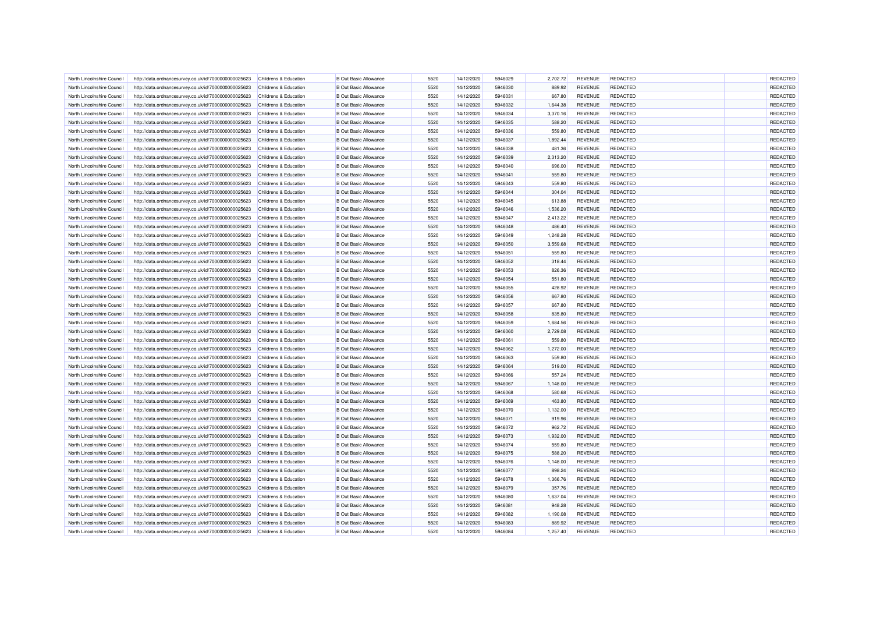| North Lincolnshire Council | http://data.ordnancesurvey.co.uk/id/7000000000025623 | Childrens & Education            | <b>B</b> Out Basic Allowance | 5520 | 14/12/2020 | 5946029 | 2.702.72 | <b>REVENUE</b> | REDACTED        | REDACTED |
|----------------------------|------------------------------------------------------|----------------------------------|------------------------------|------|------------|---------|----------|----------------|-----------------|----------|
| North Lincolnshire Council | http://data.ordnancesurvey.co.uk/id/7000000000025623 | Childrens & Education            | <b>B</b> Out Basic Allowance | 5520 | 14/12/2020 | 5946030 | 889.92   | <b>REVENUE</b> | <b>REDACTED</b> | REDACTED |
| North Lincolnshire Council | http://data.ordnancesurvey.co.uk/id/7000000000025623 | Childrens & Education            | <b>B</b> Out Basic Allowance | 5520 | 14/12/2020 | 5946031 | 667.80   | <b>REVENUE</b> | <b>REDACTED</b> | REDACTED |
| North Lincolnshire Council | http://data.ordnancesurvey.co.uk/id/7000000000025623 | Childrens & Education            | <b>B Out Basic Allowance</b> | 5520 | 14/12/2020 | 5946032 | 1,644.38 | <b>REVENUE</b> | REDACTED        | REDACTED |
| North Lincolnshire Council | http://data.ordnancesurvey.co.uk/id/7000000000025623 | Childrens & Education            | <b>B</b> Out Basic Allowance | 5520 | 14/12/2020 | 5946034 | 3,370.16 | <b>REVENUE</b> | <b>REDACTED</b> | REDACTED |
| North Lincolnshire Council | http://data.ordnancesurvey.co.uk/id/7000000000025623 | Childrens & Education            | <b>B</b> Out Basic Allowance | 5520 | 14/12/2020 | 5946035 | 588.20   | <b>REVENUE</b> | <b>REDACTED</b> | REDACTED |
| North Lincolnshire Council | http://data.ordnancesurvey.co.uk/id/7000000000025623 | Childrens & Education            | <b>B</b> Out Basic Allowance | 5520 | 14/12/2020 | 5946036 | 559.80   | <b>REVENUE</b> | <b>REDACTED</b> | REDACTED |
| North Lincolnshire Council | http://data.ordnancesurvey.co.uk/id/7000000000025623 | Childrens & Education            | <b>B Out Basic Allowance</b> | 5520 | 14/12/2020 | 5946037 | 1,892.44 | <b>REVENUE</b> | <b>REDACTED</b> | REDACTED |
| North Lincolnshire Council | http://data.ordnancesurvey.co.uk/id/7000000000025623 | Childrens & Education            | <b>B</b> Out Basic Allowance | 5520 | 14/12/2020 | 5946038 | 481.36   | <b>REVENUE</b> | REDACTED        | REDACTED |
| North Lincolnshire Council | http://data.ordnancesurvey.co.uk/id/7000000000025623 | Childrens & Education            | <b>B Out Basic Allowance</b> | 5520 | 14/12/2020 | 5946039 | 2,313.20 | <b>REVENUE</b> | <b>REDACTED</b> | REDACTED |
| North Lincolnshire Council | http://data.ordnancesurvey.co.uk/id/7000000000025623 | Childrens & Education            | <b>B Out Basic Allowance</b> | 5520 | 14/12/2020 | 5946040 | 696.00   | <b>REVENUE</b> | <b>REDACTED</b> | REDACTED |
| North Lincolnshire Council | http://data.ordnancesurvey.co.uk/id/7000000000025623 | Childrens & Education            | <b>B</b> Out Basic Allowance | 5520 | 14/12/2020 | 5946041 | 559.80   | <b>REVENUE</b> | <b>REDACTED</b> | REDACTED |
| North Lincolnshire Council | http://data.ordnancesurvey.co.uk/id/7000000000025623 | Childrens & Education            | <b>B</b> Out Basic Allowance | 5520 | 14/12/2020 | 5946043 | 559.80   | <b>REVENUE</b> | <b>REDACTED</b> | REDACTED |
| North Lincolnshire Council | http://data.ordnancesurvey.co.uk/id/7000000000025623 | Childrens & Education            | <b>B Out Basic Allowance</b> | 5520 | 14/12/2020 | 5946044 | 304.04   | <b>REVENUE</b> | <b>REDACTED</b> | REDACTED |
| North Lincolnshire Council | http://data.ordnancesurvey.co.uk/id/7000000000025623 | Childrens & Education            | <b>B Out Basic Allowance</b> | 5520 | 14/12/2020 | 5946045 | 613.88   | <b>REVENUE</b> | <b>REDACTED</b> | REDACTED |
| North Lincolnshire Council | http://data.ordnancesurvey.co.uk/id/7000000000025623 | Childrens & Education            | <b>B Out Basic Allowance</b> | 5520 | 14/12/2020 | 5946046 | 1,536.20 | <b>REVENUE</b> | <b>REDACTED</b> | REDACTED |
| North Lincolnshire Council | http://data.ordnancesurvey.co.uk/id/7000000000025623 | Childrens & Education            | <b>B Out Basic Allowance</b> | 5520 | 14/12/2020 | 5946047 | 2,413.22 | <b>REVENUE</b> | <b>REDACTED</b> | REDACTED |
| North Lincolnshire Council | http://data.ordnancesurvey.co.uk/id/7000000000025623 | Childrens & Education            | <b>B Out Basic Allowance</b> | 5520 | 14/12/2020 | 5946048 | 486.40   | <b>REVENUE</b> | <b>REDACTED</b> | REDACTED |
|                            |                                                      |                                  | <b>B Out Basic Allowance</b> |      |            | 5946049 |          |                | <b>REDACTED</b> | REDACTED |
| North Lincolnshire Council | http://data.ordnancesurvey.co.uk/id/7000000000025623 | Childrens & Education            |                              | 5520 | 14/12/2020 |         | 1,248.28 | <b>REVENUE</b> |                 |          |
| North Lincolnshire Council | http://data.ordnancesurvey.co.uk/id/7000000000025623 | <b>Childrens &amp; Education</b> | <b>B Out Basic Allowance</b> | 5520 | 14/12/2020 | 5946050 | 3,559.68 | <b>REVENUE</b> | <b>REDACTED</b> | REDACTED |
| North Lincolnshire Council | http://data.ordnancesurvey.co.uk/id/7000000000025623 | Childrens & Education            | <b>B Out Basic Allowance</b> | 5520 | 14/12/2020 | 5946051 | 559.80   | <b>REVENUE</b> | <b>REDACTED</b> | REDACTED |
| North Lincolnshire Council | http://data.ordnancesurvey.co.uk/id/7000000000025623 | Childrens & Education            | <b>B Out Basic Allowance</b> | 5520 | 14/12/2020 | 5946052 | 318.44   | <b>REVENUE</b> | <b>REDACTED</b> | REDACTED |
| North Lincolnshire Council | http://data.ordnancesurvey.co.uk/id/7000000000025623 | Childrens & Education            | <b>B Out Basic Allowance</b> | 5520 | 14/12/2020 | 5946053 | 826.36   | <b>REVENUE</b> | <b>REDACTED</b> | REDACTED |
| North Lincolnshire Council | http://data.ordnancesurvey.co.uk/id/7000000000025623 | Childrens & Education            | <b>B Out Basic Allowance</b> | 5520 | 14/12/2020 | 5946054 | 551.80   | <b>REVENUE</b> | <b>REDACTED</b> | REDACTED |
| North Lincolnshire Council | http://data.ordnancesurvey.co.uk/id/7000000000025623 | Childrens & Education            | <b>B Out Basic Allowance</b> | 5520 | 14/12/2020 | 5946055 | 428.92   | <b>REVENUE</b> | <b>REDACTED</b> | REDACTED |
| North Lincolnshire Counci  | http://data.ordnancesurvey.co.uk/id/7000000000025623 | Childrens & Education            | <b>B Out Basic Allowance</b> | 5520 | 14/12/2020 | 5946056 | 667.80   | <b>REVENUE</b> | <b>REDACTED</b> | REDACTED |
| North Lincolnshire Council | http://data.ordnancesurvey.co.uk/id/7000000000025623 | Childrens & Education            | <b>B Out Basic Allowance</b> | 5520 | 14/12/2020 | 5946057 | 667.80   | <b>REVENUE</b> | <b>REDACTED</b> | REDACTED |
| North Lincolnshire Council | http://data.ordnancesurvey.co.uk/id/7000000000025623 | Childrens & Education            | <b>B Out Basic Allowance</b> | 5520 | 14/12/2020 | 5946058 | 835.80   | <b>REVENUE</b> | <b>REDACTED</b> | REDACTED |
| North Lincolnshire Council | http://data.ordnancesurvey.co.uk/id/7000000000025623 | Childrens & Education            | <b>B Out Basic Allowance</b> | 5520 | 14/12/2020 | 5946059 | 1,684.56 | <b>REVENUE</b> | <b>REDACTED</b> | REDACTED |
| North Lincolnshire Council | http://data.ordnancesurvey.co.uk/id/7000000000025623 | Childrens & Education            | <b>B Out Basic Allowance</b> | 5520 | 14/12/2020 | 5946060 | 2,729.08 | <b>REVENUE</b> | <b>REDACTED</b> | REDACTED |
| North Lincolnshire Council | http://data.ordnancesurvey.co.uk/id/7000000000025623 | Childrens & Education            | <b>B Out Basic Allowance</b> | 5520 | 14/12/2020 | 5946061 | 559.80   | <b>REVENUE</b> | <b>REDACTED</b> | REDACTED |
| North Lincolnshire Council | http://data.ordnancesurvey.co.uk/id/7000000000025623 | Childrens & Education            | <b>B Out Basic Allowance</b> | 5520 | 14/12/2020 | 5946062 | 1,272.00 | <b>REVENUE</b> | <b>REDACTED</b> | REDACTED |
| North Lincolnshire Council | http://data.ordnancesurvey.co.uk/id/7000000000025623 | Childrens & Education            | <b>B Out Basic Allowance</b> | 5520 | 14/12/2020 | 5946063 | 559.80   | <b>REVENUE</b> | <b>REDACTED</b> | REDACTED |
| North Lincolnshire Council | http://data.ordnancesurvey.co.uk/id/7000000000025623 | Childrens & Education            | <b>B Out Basic Allowance</b> | 5520 | 14/12/2020 | 5946064 | 519.00   | <b>REVENUE</b> | <b>REDACTED</b> | REDACTED |
| North Lincolnshire Council | http://data.ordnancesurvey.co.uk/id/7000000000025623 | Childrens & Education            | <b>B Out Basic Allowance</b> | 5520 | 14/12/2020 | 5946066 | 557.24   | <b>REVENUE</b> | <b>REDACTED</b> | REDACTED |
| North Lincolnshire Council | http://data.ordnancesurvey.co.uk/id/7000000000025623 | Childrens & Education            | <b>B Out Basic Allowance</b> | 5520 | 14/12/2020 | 5946067 | 1,148.00 | <b>REVENUE</b> | <b>REDACTED</b> | REDACTED |
| North Lincolnshire Council | http://data.ordnancesurvey.co.uk/id/7000000000025623 | Childrens & Education            | <b>B Out Basic Allowance</b> | 5520 | 14/12/2020 | 5946068 | 580.68   | <b>REVENUE</b> | <b>REDACTED</b> | REDACTED |
| North Lincolnshire Council | http://data.ordnancesurvey.co.uk/id/7000000000025623 | Childrens & Education            | <b>B Out Basic Allowance</b> | 5520 | 14/12/2020 | 5946069 | 463.80   | <b>REVENUE</b> | <b>REDACTED</b> | REDACTED |
| North Lincolnshire Council | http://data.ordnancesurvey.co.uk/id/7000000000025623 | Childrens & Education            | <b>B Out Basic Allowance</b> | 5520 | 14/12/2020 | 5946070 | 1,132.00 | <b>REVENUE</b> | <b>REDACTED</b> | REDACTED |
| North Lincolnshire Council | http://data.ordnancesurvey.co.uk/id/7000000000025623 | Childrens & Education            | <b>B Out Basic Allowance</b> | 5520 | 14/12/2020 | 5946071 | 919.96   | <b>REVENUE</b> | <b>REDACTED</b> | REDACTED |
|                            |                                                      |                                  | <b>B Out Basic Allowance</b> | 5520 |            | 5946072 |          | <b>REVENUE</b> | <b>REDACTED</b> |          |
| North Lincolnshire Council | http://data.ordnancesurvey.co.uk/id/7000000000025623 | Childrens & Education            |                              |      | 14/12/2020 |         | 962.72   |                |                 | REDACTED |
| North Lincolnshire Council | http://data.ordnancesurvey.co.uk/id/7000000000025623 | Childrens & Education            | <b>B Out Basic Allowance</b> | 5520 | 14/12/2020 | 5946073 | 1,932.00 | <b>REVENUE</b> | <b>REDACTED</b> | REDACTED |
| North Lincolnshire Council | http://data.ordnancesurvey.co.uk/id/7000000000025623 | Childrens & Education            | <b>B Out Basic Allowance</b> | 5520 | 14/12/2020 | 5946074 | 559.80   | <b>REVENUE</b> | <b>REDACTED</b> | REDACTED |
| North Lincolnshire Council | http://data.ordnancesurvey.co.uk/id/7000000000025623 | Childrens & Education            | <b>B Out Basic Allowance</b> | 5520 | 14/12/2020 | 5946075 | 588.20   | <b>REVENUE</b> | <b>REDACTED</b> | REDACTED |
| North Lincolnshire Council | http://data.ordnancesurvey.co.uk/id/7000000000025623 | Childrens & Education            | <b>B Out Basic Allowance</b> | 5520 | 14/12/2020 | 5946076 | 1,148.00 | <b>REVENUE</b> | <b>REDACTED</b> | REDACTED |
| North Lincolnshire Council | http://data.ordnancesurvey.co.uk/id/7000000000025623 | Childrens & Education            | <b>B Out Basic Allowance</b> | 5520 | 14/12/2020 | 5946077 | 898.24   | <b>REVENUE</b> | <b>REDACTED</b> | REDACTED |
| North Lincolnshire Council | http://data.ordnancesurvey.co.uk/id/7000000000025623 | Childrens & Education            | <b>B Out Basic Allowance</b> | 5520 | 14/12/2020 | 5946078 | 1,366.76 | <b>REVENUE</b> | <b>REDACTED</b> | REDACTED |
| North Lincolnshire Council | http://data.ordnancesurvey.co.uk/id/7000000000025623 | Childrens & Education            | <b>B Out Basic Allowance</b> | 5520 | 14/12/2020 | 5946079 | 357.76   | <b>REVENUE</b> | <b>REDACTED</b> | REDACTED |
| North Lincolnshire Council | http://data.ordnancesurvey.co.uk/id/7000000000025623 | Childrens & Education            | <b>B Out Basic Allowance</b> | 5520 | 14/12/2020 | 5946080 | 1,637.04 | <b>REVENUE</b> | <b>REDACTED</b> | REDACTED |
| North Lincolnshire Council | http://data.ordnancesurvey.co.uk/id/7000000000025623 | Childrens & Education            | <b>B Out Basic Allowance</b> | 5520 | 14/12/2020 | 5946081 | 948.28   | <b>REVENUE</b> | <b>REDACTED</b> | REDACTED |
| North Lincolnshire Council | http://data.ordnancesurvey.co.uk/id/7000000000025623 | Childrens & Education            | <b>B Out Basic Allowance</b> | 5520 | 14/12/2020 | 5946082 | 1,190.08 | <b>REVENUE</b> | <b>REDACTED</b> | REDACTED |
| North Lincolnshire Council | http://data.ordnancesurvey.co.uk/id/7000000000025623 | Childrens & Education            | <b>B Out Basic Allowance</b> | 5520 | 14/12/2020 | 5946083 | 889.92   | <b>REVENUE</b> | <b>REDACTED</b> | REDACTED |
| North Lincolnshire Council | http://data.ordnancesurvey.co.uk/id/7000000000025623 | Childrens & Education            | <b>B Out Basic Allowance</b> | 5520 | 14/12/2020 | 5946084 | 1,257.40 | <b>REVENUE</b> | <b>REDACTED</b> | REDACTED |
|                            |                                                      |                                  |                              |      |            |         |          |                |                 |          |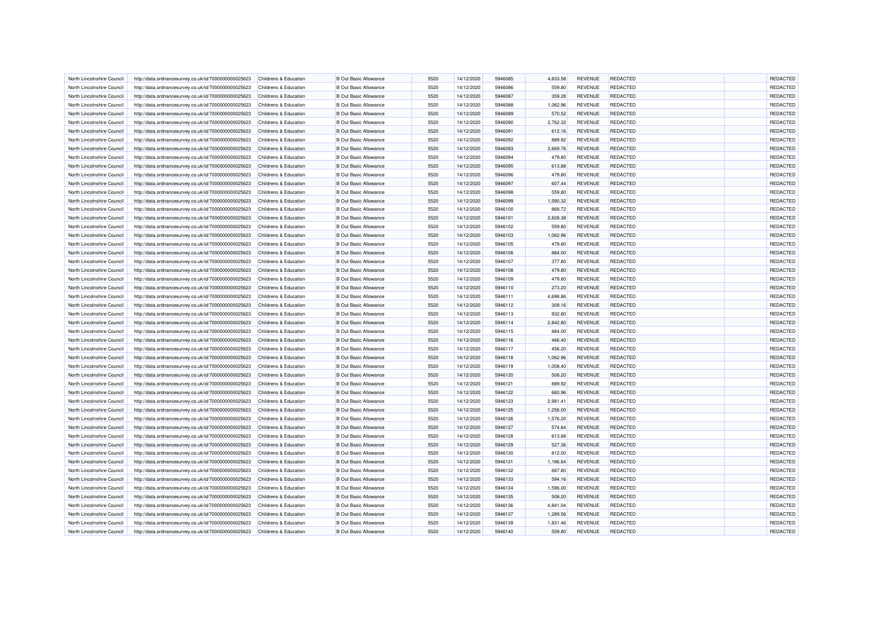| North Lincolnshire Council | http://data.ordnancesurvey.co.uk/id/7000000000025623                                                         | Childrens & Education | <b>B Out Basic Allowance</b>                                 | 5520         | 14/12/2020               | 5946085            | 4.833.58           | <b>REVENUE</b>                   | <b>REDACTED</b>                    | REDACTED             |
|----------------------------|--------------------------------------------------------------------------------------------------------------|-----------------------|--------------------------------------------------------------|--------------|--------------------------|--------------------|--------------------|----------------------------------|------------------------------------|----------------------|
| North Lincolnshire Council | http://data.ordnancesurvey.co.uk/id/7000000000025623                                                         | Childrens & Education | <b>B Out Basic Allowance</b>                                 | 5520         | 14/12/2020               | 5946086            | 559.80             | <b>REVENUE</b>                   | <b>REDACTED</b>                    | REDACTED             |
| North Lincolnshire Council | http://data.ordnancesurvey.co.uk/id/7000000000025623                                                         | Childrens & Education | <b>B</b> Out Basic Allowance                                 | 5520         | 14/12/2020               | 5946087            | 359.28             | <b>REVENUE</b>                   | <b>REDACTED</b>                    | REDACTED             |
| North Lincolnshire Council | http://data.ordnancesurvey.co.uk/id/7000000000025623                                                         | Childrens & Education | <b>B</b> Out Basic Allowance                                 | 5520         | 14/12/2020               | 5946088            | 1,062.96           | <b>REVENUE</b>                   | <b>REDACTED</b>                    | REDACTED             |
| North Lincolnshire Council | http://data.ordnancesurvey.co.uk/id/7000000000025623                                                         | Childrens & Education | <b>B</b> Out Basic Allowance                                 | 5520         | 14/12/2020               | 5946089            | 570.52             | <b>REVENUE</b>                   | <b>REDACTED</b>                    | REDACTED             |
| North Lincolnshire Council | http://data.ordnancesurvey.co.uk/id/7000000000025623                                                         | Childrens & Education | <b>B Out Basic Allowance</b>                                 | 5520         | 14/12/2020               | 5946090            | 2,762.32           | <b>REVENUE</b>                   | <b>REDACTED</b>                    | REDACTED             |
| North Lincolnshire Council | http://data.ordnancesurvey.co.uk/id/7000000000025623                                                         | Childrens & Education | <b>B Out Basic Allowance</b>                                 | 5520         | 14/12/2020               | 5946091            | 612.16             | <b>REVENUE</b>                   | <b>REDACTED</b>                    | REDACTED             |
| North Lincolnshire Council | http://data.ordnancesurvey.co.uk/id/7000000000025623                                                         | Childrens & Education | <b>B</b> Out Basic Allowance                                 | 5520         | 14/12/2020               | 5946092            | 889.92             | <b>REVENUE</b>                   | REDACTED                           | REDACTED             |
| North Lincolnshire Council | http://data.ordnancesurvey.co.uk/id/7000000000025623                                                         | Childrens & Education | <b>B Out Basic Allowance</b>                                 | 5520         | 14/12/2020               | 5946093            | 2,669.76           | <b>REVENUE</b>                   | <b>REDACTED</b>                    | REDACTED             |
| North Lincolnshire Council | http://data.ordnancesurvey.co.uk/id/7000000000025623                                                         | Childrens & Education | <b>B Out Basic Allowance</b>                                 | 5520         | 14/12/2020               | 5946094            | 479.80             | <b>REVENUE</b>                   | <b>REDACTED</b>                    | REDACTED             |
| North Lincolnshire Council | http://data.ordnancesurvey.co.uk/id/7000000000025623                                                         | Childrens & Education | <b>B Out Basic Allowance</b>                                 | 5520         | 14/12/2020               | 5946095            | 613.88             | <b>REVENUE</b>                   | <b>REDACTED</b>                    | REDACTED             |
| North Lincolnshire Council | http://data.ordnancesurvey.co.uk/id/7000000000025623                                                         | Childrens & Education | <b>B</b> Out Basic Allowance                                 | 5520         | 14/12/2020               | 5946096            | 479.80             | <b>REVENUE</b>                   | <b>REDACTED</b>                    | REDACTED             |
| North Lincolnshire Council | http://data.ordnancesurvey.co.uk/id/7000000000025623                                                         | Childrens & Education | <b>B Out Basic Allowance</b>                                 | 5520         | 14/12/2020               | 5946097            | 607.44             | <b>REVENUE</b>                   | <b>REDACTED</b>                    | REDACTED             |
| North Lincolnshire Council | http://data.ordnancesurvey.co.uk/id/7000000000025623                                                         | Childrens & Education | <b>B Out Basic Allowance</b>                                 | 5520         | 14/12/2020               | 5946098            | 559.80             | <b>REVENUE</b>                   | <b>REDACTED</b>                    | REDACTED             |
| North Lincolnshire Council | http://data.ordnancesurvey.co.uk/id/7000000000025623                                                         | Childrens & Education | <b>B Out Basic Allowance</b>                                 | 5520         | 14/12/2020               | 5946099            | 1,590.32           | <b>REVENUE</b>                   | <b>REDACTED</b>                    | REDACTED             |
| North Lincolnshire Council | http://data.ordnancesurvey.co.uk/id/7000000000025623                                                         | Childrens & Education | <b>B Out Basic Allowance</b>                                 | 5520         | 14/12/2020               | 5946100            | 868.72             | <b>REVENUE</b>                   | <b>REDACTED</b>                    | REDACTED             |
| North Lincolnshire Council | http://data.ordnancesurvey.co.uk/id/7000000000025623                                                         | Childrens & Education | <b>B Out Basic Allowance</b>                                 | 5520         | 14/12/2020               | 5946101            | 2,828.38           | <b>REVENUE</b>                   | <b>REDACTED</b>                    | REDACTED             |
| North Lincolnshire Council | http://data.ordnancesurvey.co.uk/id/7000000000025623                                                         | Childrens & Education | <b>B Out Basic Allowance</b>                                 | 5520         | 14/12/2020               | 5946102            | 559.80             | <b>REVENUE</b>                   | <b>REDACTED</b>                    | REDACTED             |
| North Lincolnshire Council | http://data.ordnancesurvey.co.uk/id/7000000000025623                                                         | Childrens & Education | <b>B Out Basic Allowance</b>                                 | 5520         | 14/12/2020               | 5946103            | 1,062.96           | <b>REVENUE</b>                   | <b>REDACTED</b>                    | REDACTED             |
| North Lincolnshire Council | http://data.ordnancesurvey.co.uk/id/7000000000025623                                                         | Childrens & Education | <b>B Out Basic Allowance</b>                                 | 5520         | 14/12/2020               | 5946105            | 479.80             | <b>REVENUE</b>                   | <b>REDACTED</b>                    | REDACTED             |
| North Lincolnshire Council | http://data.ordnancesurvey.co.uk/id/7000000000025623                                                         | Childrens & Education | <b>B Out Basic Allowance</b>                                 | 5520         | 14/12/2020               | 5946106            | 884.00             | <b>REVENUE</b>                   | REDACTED                           | REDACTED             |
| North Lincolnshire Council | http://data.ordnancesurvey.co.uk/id/7000000000025623                                                         | Childrens & Education | <b>B Out Basic Allowance</b>                                 | 5520         | 14/12/2020               | 5946107            | 377.80             | <b>REVENUE</b>                   | <b>REDACTED</b>                    | REDACTED             |
| North Lincolnshire Council | http://data.ordnancesurvey.co.uk/id/7000000000025623                                                         | Childrens & Education | <b>B Out Basic Allowance</b>                                 | 5520         | 14/12/2020               | 5946108            | 479.80             | <b>REVENUE</b>                   | <b>REDACTED</b>                    | REDACTED             |
| North Lincolnshire Council | http://data.ordnancesurvey.co.uk/id/7000000000025623                                                         | Childrens & Education | <b>B Out Basic Allowance</b>                                 | 5520         | 14/12/2020               | 5946109            | 479.80             | <b>REVENUE</b>                   | <b>REDACTED</b>                    | REDACTED             |
| North Lincolnshire Council | http://data.ordnancesurvey.co.uk/id/7000000000025623                                                         | Childrens & Education | <b>B Out Basic Allowance</b>                                 | 5520         | 14/12/2020               | 5946110            | 273.20             | <b>REVENUE</b>                   | <b>REDACTED</b>                    | REDACTED             |
| North Lincolnshire Council | http://data.ordnancesurvey.co.uk/id/7000000000025623                                                         | Childrens & Education | <b>B Out Basic Allowance</b>                                 | 5520         | 14/12/2020               | 5946111            | 4,698.86           | <b>REVENUE</b>                   | REDACTED                           | REDACTED             |
| North Lincolnshire Council | http://data.ordnancesurvey.co.uk/id/7000000000025623                                                         | Childrens & Education | <b>B Out Basic Allowance</b>                                 | 5520         | 14/12/2020               | 5946112            | 309.16             | <b>REVENUE</b>                   | <b>REDACTED</b>                    | REDACTED             |
| North Lincolnshire Council | http://data.ordnancesurvey.co.uk/id/7000000000025623                                                         | Childrens & Education | <b>B Out Basic Allowance</b>                                 | 5520         | 14/12/2020               | 5946113            | 932.80             | <b>REVENUE</b>                   | <b>REDACTED</b>                    | REDACTED             |
| North Lincolnshire Council |                                                                                                              | Childrens & Education | <b>B Out Basic Allowance</b>                                 | 5520         | 14/12/2020               | 5946114            | 2,842.80           | <b>REVENUE</b>                   | <b>REDACTED</b>                    | REDACTED             |
| North Lincolnshire Council | http://data.ordnancesurvey.co.uk/id/7000000000025623<br>http://data.ordnancesurvey.co.uk/id/7000000000025623 | Childrens & Education | <b>B Out Basic Allowance</b>                                 | 5520         | 14/12/2020               | 5946115            | 884.00             | <b>REVENUE</b>                   | <b>REDACTED</b>                    | REDACTED             |
| North Lincolnshire Council | http://data.ordnancesurvey.co.uk/id/7000000000025623                                                         | Childrens & Education | <b>B Out Basic Allowance</b>                                 | 5520         | 14/12/2020               | 5946116            |                    | <b>REVENUE</b>                   | REDACTED                           | REDACTED             |
| North Lincolnshire Council | http://data.ordnancesurvey.co.uk/id/7000000000025623                                                         | Childrens & Education | <b>B Out Basic Allowance</b>                                 | 5520         | 14/12/2020               | 5946117            | 466.40<br>456.20   | <b>REVENUE</b>                   | <b>REDACTED</b>                    | REDACTED             |
| North Lincolnshire Council | http://data.ordnancesurvey.co.uk/id/7000000000025623                                                         | Childrens & Education | <b>B Out Basic Allowance</b>                                 | 5520         | 14/12/2020               | 5946118            | 1.062.96           | <b>REVENUE</b>                   | <b>REDACTED</b>                    | REDACTED             |
| North Lincolnshire Council | http://data.ordnancesurvey.co.uk/id/7000000000025623                                                         | Childrens & Education | <b>B Out Basic Allowance</b>                                 | 5520         | 14/12/2020               | 5946119            | 1,008.40           | <b>REVENUE</b>                   | <b>REDACTED</b>                    | REDACTED             |
|                            |                                                                                                              |                       | <b>B Out Basic Allowance</b>                                 | 5520         | 14/12/2020               | 5946120            | 508.20             | <b>REVENUE</b>                   | <b>REDACTED</b>                    | REDACTED             |
| North Lincolnshire Council | http://data.ordnancesurvey.co.uk/id/7000000000025623                                                         | Childrens & Education |                                                              |              |                          |                    |                    |                                  |                                    |                      |
| North Lincolnshire Council | http://data.ordnancesurvey.co.uk/id/7000000000025623                                                         | Childrens & Education | <b>B Out Basic Allowance</b>                                 | 5520         | 14/12/2020               | 5946121            | 889.92             | <b>REVENUE</b>                   | <b>REDACTED</b>                    | REDACTED             |
| North Lincolnshire Council | http://data.ordnancesurvey.co.uk/id/7000000000025623                                                         | Childrens & Education | <b>B Out Basic Allowance</b><br><b>B Out Basic Allowance</b> | 5520<br>5520 | 14/12/2020<br>14/12/2020 | 5946122<br>5946123 | 660.96<br>2,981.41 | <b>REVENUE</b><br><b>REVENUE</b> | <b>REDACTED</b><br><b>REDACTED</b> | REDACTED<br>REDACTED |
| North Lincolnshire Council | http://data.ordnancesurvey.co.uk/id/7000000000025623                                                         | Childrens & Education |                                                              |              |                          |                    |                    |                                  |                                    |                      |
| North Lincolnshire Council | http://data.ordnancesurvey.co.uk/id/7000000000025623                                                         | Childrens & Education | <b>B Out Basic Allowance</b>                                 | 5520         | 14/12/2020               | 5946125            | 1,256.00           | <b>REVENUE</b>                   | <b>REDACTED</b>                    | REDACTED             |
| North Lincolnshire Council | http://data.ordnancesurvey.co.uk/id/7000000000025623                                                         | Childrens & Education | <b>B Out Basic Allowance</b>                                 | 5520         | 14/12/2020               | 5946126            | 1,576.20           | REVENUE                          | <b>REDACTED</b>                    | REDACTED             |
| North Lincolnshire Council | http://data.ordnancesurvey.co.uk/id/7000000000025623                                                         | Childrens & Education | <b>B Out Basic Allowance</b>                                 | 5520         | 14/12/2020               | 5946127            | 574.64             | <b>REVENUE</b>                   | REDACTED                           | REDACTED             |
| North Lincolnshire Council | http://data.ordnancesurvey.co.uk/id/7000000000025623                                                         | Childrens & Education | <b>B Out Basic Allowance</b>                                 | 5520<br>5520 | 14/12/2020               | 5946128<br>5946129 | 613.88<br>527.36   | <b>REVENUE</b>                   | <b>REDACTED</b><br><b>REDACTED</b> | REDACTED<br>REDACTED |
| North Lincolnshire Council | http://data.ordnancesurvey.co.uk/id/7000000000025623                                                         | Childrens & Education | <b>B Out Basic Allowance</b>                                 | 5520         | 14/12/2020               |                    |                    | <b>REVENUE</b>                   |                                    | REDACTED             |
| North Lincolnshire Council | http://data.ordnancesurvey.co.uk/id/7000000000025623                                                         | Childrens & Education | <b>B Out Basic Allowance</b>                                 |              | 14/12/2020               | 5946130            | 812.00             | <b>REVENUE</b>                   | <b>REDACTED</b>                    |                      |
| North Lincolnshire Council | http://data.ordnancesurvey.co.uk/id/7000000000025623                                                         | Childrens & Education | <b>B Out Basic Allowance</b>                                 | 5520         | 14/12/2020               | 5946131            | 1,186.64           | <b>REVENUE</b>                   | <b>REDACTED</b>                    | REDACTED             |
| North Lincolnshire Council | http://data.ordnancesurvey.co.uk/id/7000000000025623                                                         | Childrens & Education | <b>B Out Basic Allowance</b>                                 | 5520         | 14/12/2020               | 5946132            | 667.80             | <b>REVENUE</b>                   | <b>REDACTED</b>                    | REDACTED             |
| North Lincolnshire Council | http://data.ordnancesurvey.co.uk/id/7000000000025623                                                         | Childrens & Education | <b>B Out Basic Allowance</b>                                 | 5520         | 14/12/2020               | 5946133            | 594.16             | <b>REVENUE</b>                   | <b>REDACTED</b>                    | REDACTED             |
| North Lincolnshire Council | http://data.ordnancesurvey.co.uk/id/7000000000025623                                                         | Childrens & Education | <b>B Out Basic Allowance</b>                                 | 5520         | 14/12/2020               | 5946134            | 1,596.00           | REVENUE                          | <b>REDACTED</b>                    | REDACTED             |
| North Lincolnshire Council | http://data.ordnancesurvey.co.uk/id/7000000000025623                                                         | Childrens & Education | <b>B Out Basic Allowance</b>                                 | 5520         | 14/12/2020               | 5946135            | 508.20             | <b>REVENUE</b>                   | <b>REDACTED</b>                    | REDACTED             |
| North Lincolnshire Council | http://data.ordnancesurvey.co.uk/id/7000000000025623                                                         | Childrens & Education | <b>B Out Basic Allowance</b>                                 | 5520         | 14/12/2020               | 5946136            | 4,841.04           | <b>REVENUE</b>                   | <b>REDACTED</b>                    | REDACTED             |
| North Lincolnshire Council | http://data.ordnancesurvey.co.uk/id/7000000000025623                                                         | Childrens & Education | <b>B Out Basic Allowance</b>                                 | 5520         | 14/12/2020               | 5946137            | 1,289.56           | <b>REVENUE</b>                   | <b>REDACTED</b>                    | REDACTED             |
| North Lincolnshire Council | http://data.ordnancesurvey.co.uk/id/7000000000025623                                                         | Childrens & Education | <b>B Out Basic Allowance</b>                                 | 5520         | 14/12/2020               | 5946139            | 1,831.46           | <b>REVENUE</b>                   | <b>REDACTED</b>                    | REDACTED             |
| North Lincolnshire Council | http://data.ordnancesurvey.co.uk/id/7000000000025623                                                         | Childrens & Education | <b>B Out Basic Allowance</b>                                 | 5520         | 14/12/2020               | 5946140            | 559.80             | <b>REVENUE</b>                   | <b>REDACTED</b>                    | REDACTED             |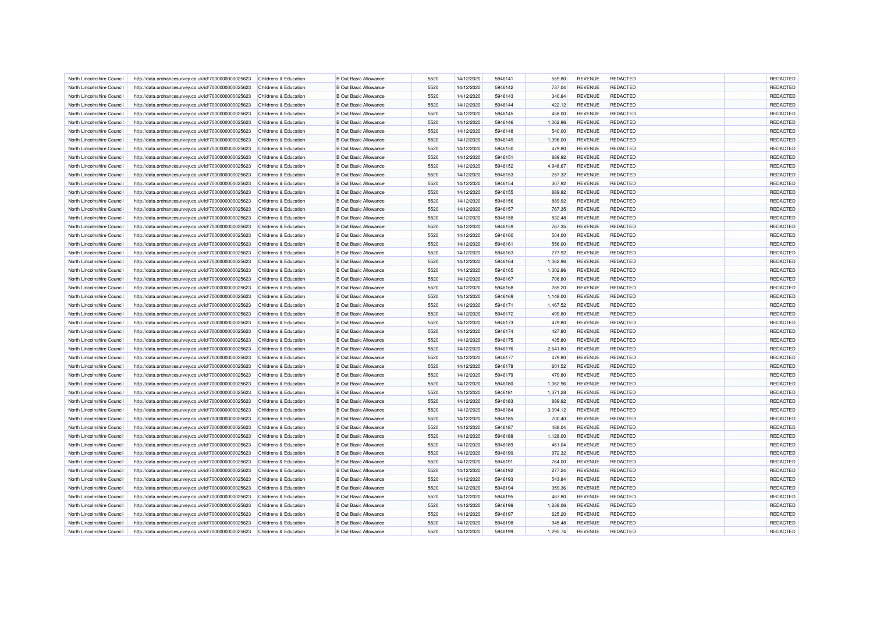| North Lincolnshire Council | http://data.ordnancesurvey.co.uk/id/7000000000025623 | Childrens & Education            | <b>B</b> Out Basic Allowance | 5520 | 14/12/2020 | 5946141 | 559.80   | <b>REVENUE</b> | REDACTED        | REDACTED |
|----------------------------|------------------------------------------------------|----------------------------------|------------------------------|------|------------|---------|----------|----------------|-----------------|----------|
|                            |                                                      |                                  |                              |      |            |         |          |                |                 |          |
| North Lincolnshire Council | http://data.ordnancesurvey.co.uk/id/7000000000025623 | Childrens & Education            | <b>B</b> Out Basic Allowance | 5520 | 14/12/2020 | 5946142 | 737.04   | <b>REVENUE</b> | <b>REDACTED</b> | REDACTED |
| North Lincolnshire Council | http://data.ordnancesurvey.co.uk/id/7000000000025623 | Childrens & Education            | <b>B</b> Out Basic Allowance | 5520 | 14/12/2020 | 5946143 | 340.64   | <b>REVENUE</b> | <b>REDACTED</b> | REDACTED |
| North Lincolnshire Council | http://data.ordnancesurvey.co.uk/id/7000000000025623 | Childrens & Education            | <b>B Out Basic Allowance</b> | 5520 | 14/12/2020 | 5946144 | 422.12   | <b>REVENUE</b> | <b>REDACTED</b> | REDACTED |
| North Lincolnshire Council | http://data.ordnancesurvey.co.uk/id/7000000000025623 | Childrens & Education            | <b>B</b> Out Basic Allowance | 5520 | 14/12/2020 | 5946145 | 458.00   | <b>REVENUE</b> | <b>REDACTED</b> | REDACTED |
| North Lincolnshire Council | http://data.ordnancesurvey.co.uk/id/7000000000025623 | Childrens & Education            | <b>B</b> Out Basic Allowance | 5520 | 14/12/2020 | 5946146 | 1,062.96 | <b>REVENUE</b> | <b>REDACTED</b> | REDACTED |
| North Lincolnshire Council | http://data.ordnancesurvey.co.uk/id/7000000000025623 | Childrens & Education            | <b>B</b> Out Basic Allowance | 5520 | 14/12/2020 | 5946148 | 540.00   | <b>REVENUE</b> | <b>REDACTED</b> | REDACTED |
| North Lincolnshire Council | http://data.ordnancesurvey.co.uk/id/7000000000025623 | Childrens & Education            | <b>B</b> Out Basic Allowance | 5520 | 14/12/2020 | 5946149 | 1,396.00 | <b>REVENUE</b> | <b>REDACTED</b> | REDACTED |
| North Lincolnshire Council | http://data.ordnancesurvey.co.uk/id/7000000000025623 | Childrens & Education            | <b>B</b> Out Basic Allowance | 5520 | 14/12/2020 | 5946150 | 479.80   | <b>REVENUE</b> | <b>REDACTED</b> | REDACTED |
| North Lincolnshire Council | http://data.ordnancesurvey.co.uk/id/7000000000025623 | Childrens & Education            | <b>B Out Basic Allowance</b> | 5520 | 14/12/2020 | 5946151 | 889.92   | <b>REVENUE</b> | <b>REDACTED</b> | REDACTED |
| North Lincolnshire Council | http://data.ordnancesurvey.co.uk/id/7000000000025623 | Childrens & Education            | <b>B Out Basic Allowance</b> | 5520 | 14/12/2020 | 5946152 | 4,948.67 | <b>REVENUE</b> | <b>REDACTED</b> | REDACTED |
| North Lincolnshire Council | http://data.ordnancesurvey.co.uk/id/7000000000025623 | Childrens & Education            | <b>B Out Basic Allowance</b> | 5520 | 14/12/2020 | 5946153 | 257.32   | <b>REVENUE</b> | <b>REDACTED</b> | REDACTED |
| North Lincolnshire Council | http://data.ordnancesurvey.co.uk/id/7000000000025623 | Childrens & Education            | <b>B Out Basic Allowance</b> | 5520 | 14/12/2020 | 5946154 | 307.92   | <b>REVENUE</b> | <b>REDACTED</b> | REDACTED |
| North Lincolnshire Council | http://data.ordnancesurvey.co.uk/id/7000000000025623 | Childrens & Education            | <b>B Out Basic Allowance</b> | 5520 | 14/12/2020 | 5946155 | 889.92   | <b>REVENUE</b> | <b>REDACTED</b> | REDACTED |
| North Lincolnshire Council | http://data.ordnancesurvey.co.uk/id/7000000000025623 | Childrens & Education            | <b>B Out Basic Allowance</b> | 5520 | 14/12/2020 | 5946156 | 889.92   | <b>REVENUE</b> | <b>REDACTED</b> | REDACTED |
| North Lincolnshire Council | http://data.ordnancesurvey.co.uk/id/7000000000025623 | Childrens & Education            | <b>B Out Basic Allowance</b> | 5520 | 14/12/2020 | 5946157 | 767.35   | <b>REVENUE</b> | <b>REDACTED</b> | REDACTED |
| North Lincolnshire Council | http://data.ordnancesurvey.co.uk/id/7000000000025623 | Childrens & Education            | <b>B Out Basic Allowance</b> | 5520 | 14/12/2020 | 5946158 | 832.48   | <b>REVENUE</b> | <b>REDACTED</b> | REDACTED |
| North Lincolnshire Council | http://data.ordnancesurvey.co.uk/id/7000000000025623 | Childrens & Education            | <b>B Out Basic Allowance</b> | 5520 | 14/12/2020 | 5946159 | 767.35   | <b>REVENUE</b> | <b>REDACTED</b> | REDACTED |
| North Lincolnshire Council | http://data.ordnancesurvey.co.uk/id/7000000000025623 | Childrens & Education            | <b>B Out Basic Allowance</b> | 5520 | 14/12/2020 | 5946160 | 504.00   | <b>REVENUE</b> | <b>REDACTED</b> | REDACTED |
| North Lincolnshire Council | http://data.ordnancesurvey.co.uk/id/7000000000025623 | <b>Childrens &amp; Education</b> | <b>B Out Basic Allowance</b> | 5520 | 14/12/2020 | 5946161 | 556.00   | <b>REVENUE</b> | <b>REDACTED</b> | REDACTED |
| North Lincolnshire Council | http://data.ordnancesurvey.co.uk/id/7000000000025623 | Childrens & Education            | <b>B Out Basic Allowance</b> | 5520 | 14/12/2020 | 5946163 | 277.92   | <b>REVENUE</b> | <b>REDACTED</b> | REDACTED |
| North Lincolnshire Council | http://data.ordnancesurvey.co.uk/id/7000000000025623 | Childrens & Education            | <b>B Out Basic Allowance</b> | 5520 | 14/12/2020 | 5946164 | 1,062.96 | <b>REVENUE</b> | <b>REDACTED</b> | REDACTED |
| North Lincolnshire Council | http://data.ordnancesurvey.co.uk/id/7000000000025623 | Childrens & Education            | <b>B Out Basic Allowance</b> | 5520 | 14/12/2020 | 5946165 | 1,302.96 | <b>REVENUE</b> | <b>REDACTED</b> | REDACTED |
|                            |                                                      |                                  |                              |      |            |         |          |                |                 |          |
| North Lincolnshire Council | http://data.ordnancesurvey.co.uk/id/7000000000025623 | Childrens & Education            | <b>B Out Basic Allowance</b> | 5520 | 14/12/2020 | 5946167 | 706.80   | <b>REVENUE</b> | <b>REDACTED</b> | REDACTED |
| North Lincolnshire Council | http://data.ordnancesurvey.co.uk/id/7000000000025623 | Childrens & Education            | <b>B Out Basic Allowance</b> | 5520 | 14/12/2020 | 5946168 | 285.20   | <b>REVENUE</b> | <b>REDACTED</b> | REDACTED |
| North Lincolnshire Council | http://data.ordnancesurvey.co.uk/id/7000000000025623 | Childrens & Education            | <b>B Out Basic Allowance</b> | 5520 | 14/12/2020 | 5946169 | 1,148.00 | <b>REVENUE</b> | <b>REDACTED</b> | REDACTED |
| North Lincolnshire Council | http://data.ordnancesurvey.co.uk/id/7000000000025623 | Childrens & Education            | <b>B Out Basic Allowance</b> | 5520 | 14/12/2020 | 5946171 | 1,467.52 | REVENUE        | <b>REDACTED</b> | REDACTED |
| North Lincolnshire Council | http://data.ordnancesurvey.co.uk/id/7000000000025623 | Childrens & Education            | <b>B Out Basic Allowance</b> | 5520 | 14/12/2020 | 5946172 | 499.80   | <b>REVENUE</b> | <b>REDACTED</b> | REDACTED |
| North Lincolnshire Council | http://data.ordnancesurvey.co.uk/id/7000000000025623 | Childrens & Education            | <b>B Out Basic Allowance</b> | 5520 | 14/12/2020 | 5946173 | 479.80   | <b>REVENUE</b> | <b>REDACTED</b> | REDACTED |
| North Lincolnshire Council | http://data.ordnancesurvey.co.uk/id/7000000000025623 | Childrens & Education            | <b>B Out Basic Allowance</b> | 5520 | 14/12/2020 | 5946174 | 427.80   | <b>REVENUE</b> | <b>REDACTED</b> | REDACTED |
| North Lincolnshire Council | http://data.ordnancesurvey.co.uk/id/7000000000025623 | Childrens & Education            | <b>B Out Basic Allowance</b> | 5520 | 14/12/2020 | 5946175 | 435.80   | <b>REVENUE</b> | <b>REDACTED</b> | REDACTED |
| North Lincolnshire Council | http://data.ordnancesurvey.co.uk/id/7000000000025623 | Childrens & Education            | <b>B Out Basic Allowance</b> | 5520 | 14/12/2020 | 5946176 | 2,641.80 | <b>REVENUE</b> | <b>REDACTED</b> | REDACTED |
| North Lincolnshire Council | http://data.ordnancesurvey.co.uk/id/7000000000025623 | Childrens & Education            | <b>B Out Basic Allowance</b> | 5520 | 14/12/2020 | 5946177 | 479.80   | <b>REVENUE</b> | <b>REDACTED</b> | REDACTED |
| North Lincolnshire Council | http://data.ordnancesurvey.co.uk/id/7000000000025623 | Childrens & Education            | <b>B Out Basic Allowance</b> | 5520 | 14/12/2020 | 5946178 | 601.52   | <b>REVENUE</b> | <b>REDACTED</b> | REDACTED |
| North Lincolnshire Council | http://data.ordnancesurvey.co.uk/id/7000000000025623 | Childrens & Education            | <b>B Out Basic Allowance</b> | 5520 | 14/12/2020 | 5946179 | 479.80   | <b>REVENUE</b> | <b>REDACTED</b> | REDACTED |
| North Lincolnshire Council | http://data.ordnancesurvey.co.uk/id/7000000000025623 | Childrens & Education            | <b>B Out Basic Allowance</b> | 5520 | 14/12/2020 | 5946180 | 1,062.96 | <b>REVENUE</b> | <b>REDACTED</b> | REDACTED |
| North Lincolnshire Council | http://data.ordnancesurvey.co.uk/id/7000000000025623 | Childrens & Education            | <b>B Out Basic Allowance</b> | 5520 | 14/12/2020 | 5946181 | 1,371.28 | <b>REVENUE</b> | <b>REDACTED</b> | REDACTED |
| North Lincolnshire Council | http://data.ordnancesurvey.co.uk/id/7000000000025623 | Childrens & Education            | <b>B Out Basic Allowance</b> | 5520 | 14/12/2020 | 5946183 | 889.92   | <b>REVENUE</b> | <b>REDACTED</b> | REDACTED |
| North Lincolnshire Council | http://data.ordnancesurvey.co.uk/id/7000000000025623 | Childrens & Education            | <b>B Out Basic Allowance</b> | 5520 | 14/12/2020 | 5946184 | 3,094.12 | <b>REVENUE</b> | <b>REDACTED</b> | REDACTED |
| North Lincolnshire Council | http://data.ordnancesurvey.co.uk/id/7000000000025623 | Childrens & Education            | <b>B Out Basic Allowance</b> | 5520 | 14/12/2020 | 5946185 | 700.40   | <b>REVENUE</b> | <b>REDACTED</b> | REDACTED |
| North Lincolnshire Council | http://data.ordnancesurvey.co.uk/id/7000000000025623 | Childrens & Education            | <b>B Out Basic Allowance</b> | 5520 | 14/12/2020 | 5946187 | 488.04   | <b>REVENUE</b> | <b>REDACTED</b> | REDACTED |
| North Lincolnshire Council | http://data.ordnancesurvey.co.uk/id/7000000000025623 | Childrens & Education            | <b>B Out Basic Allowance</b> | 5520 | 14/12/2020 | 5946188 | 1,128.00 | <b>REVENUE</b> | <b>REDACTED</b> | REDACTED |
| North Lincolnshire Council | http://data.ordnancesurvey.co.uk/id/7000000000025623 | Childrens & Education            | <b>B Out Basic Allowance</b> | 5520 | 14/12/2020 | 5946189 | 461.04   | <b>REVENUE</b> | <b>REDACTED</b> | REDACTED |
| North Lincolnshire Council | http://data.ordnancesurvey.co.uk/id/7000000000025623 | Childrens & Education            | <b>B Out Basic Allowance</b> | 5520 | 14/12/2020 | 5946190 | 972.32   | <b>REVENUE</b> | <b>REDACTED</b> | REDACTED |
| North Lincolnshire Council | http://data.ordnancesurvey.co.uk/id/7000000000025623 | Childrens & Education            | <b>B Out Basic Allowance</b> | 5520 | 14/12/2020 | 5946191 | 764.00   | <b>REVENUE</b> | <b>REDACTED</b> | REDACTED |
| North Lincolnshire Council | http://data.ordnancesurvey.co.uk/id/7000000000025623 | Childrens & Education            | <b>B Out Basic Allowance</b> | 5520 | 14/12/2020 | 5946192 | 277.24   | <b>REVENUE</b> | <b>REDACTED</b> | REDACTED |
| North Lincolnshire Council | http://data.ordnancesurvey.co.uk/id/7000000000025623 | Childrens & Education            | <b>B Out Basic Allowance</b> | 5520 | 14/12/2020 | 5946193 | 543.84   | <b>REVENUE</b> | <b>REDACTED</b> | REDACTED |
| North Lincolnshire Council | http://data.ordnancesurvey.co.uk/id/7000000000025623 | Childrens & Education            | <b>B Out Basic Allowance</b> | 5520 | 14/12/2020 | 5946194 | 359.36   | <b>REVENUE</b> | <b>REDACTED</b> | REDACTED |
| North Lincolnshire Council | http://data.ordnancesurvey.co.uk/id/7000000000025623 | Childrens & Education            | <b>B Out Basic Allowance</b> | 5520 | 14/12/2020 | 5946195 | 487.80   | <b>REVENUE</b> | <b>REDACTED</b> | REDACTED |
| North Lincolnshire Council | http://data.ordnancesurvey.co.uk/id/7000000000025623 | Childrens & Education            | <b>B Out Basic Allowance</b> | 5520 | 14/12/2020 | 5946196 | 1,238.06 | <b>REVENUE</b> | <b>REDACTED</b> | REDACTED |
|                            |                                                      |                                  |                              |      |            |         |          |                |                 | REDACTED |
| North Lincolnshire Council | http://data.ordnancesurvey.co.uk/id/7000000000025623 | Childrens & Education            | <b>B Out Basic Allowance</b> | 5520 | 14/12/2020 | 5946197 | 625.20   | <b>REVENUE</b> | <b>REDACTED</b> |          |
| North Lincolnshire Council | http://data.ordnancesurvey.co.uk/id/7000000000025623 | Childrens & Education            | <b>B Out Basic Allowance</b> | 5520 | 14/12/2020 | 5946198 | 945.48   | <b>REVENUE</b> | <b>REDACTED</b> | REDACTED |
| North Lincolnshire Council | http://data.ordnancesurvey.co.uk/id/7000000000025623 | Childrens & Education            | <b>B Out Basic Allowance</b> | 5520 | 14/12/2020 | 5946199 | 1,295.74 | <b>REVENUE</b> | <b>REDACTED</b> | REDACTED |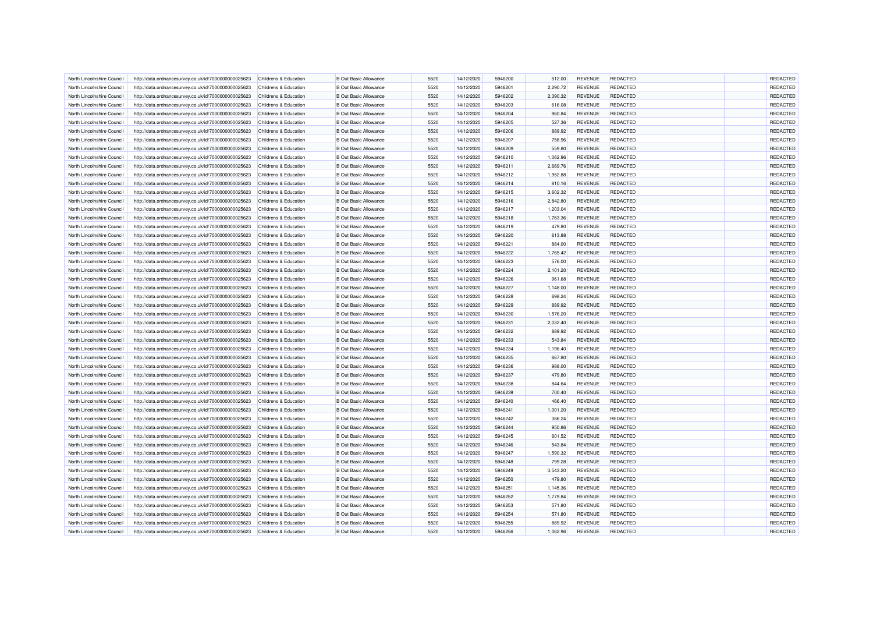| North Lincolnshire Council | http://data.ordnancesurvey.co.uk/id/7000000000025623 | Childrens & Education            | <b>B</b> Out Basic Allowance | 5520 | 14/12/2020 | 5946200 | 512.00   | <b>REVENUE</b> | <b>REDACTED</b> | REDACTED        |
|----------------------------|------------------------------------------------------|----------------------------------|------------------------------|------|------------|---------|----------|----------------|-----------------|-----------------|
|                            |                                                      |                                  |                              |      |            |         |          |                |                 |                 |
| North Lincolnshire Council | http://data.ordnancesurvey.co.uk/id/7000000000025623 | Childrens & Education            | <b>B Out Basic Allowance</b> | 5520 | 14/12/2020 | 5946201 | 2,290.72 | <b>REVENUE</b> | <b>REDACTED</b> | REDACTED        |
| North Lincolnshire Council | http://data.ordnancesurvey.co.uk/id/7000000000025623 | Childrens & Education            | <b>B</b> Out Basic Allowance | 5520 | 14/12/2020 | 5946202 | 2,390.32 | <b>REVENUE</b> | <b>REDACTED</b> | REDACTED        |
| North Lincolnshire Council | http://data.ordnancesurvey.co.uk/id/7000000000025623 | Childrens & Education            | <b>B Out Basic Allowance</b> | 5520 | 14/12/2020 | 5946203 | 616.08   | <b>REVENUE</b> | <b>REDACTED</b> | REDACTED        |
| North Lincolnshire Council | http://data.ordnancesurvey.co.uk/id/7000000000025623 | Childrens & Education            | <b>B</b> Out Basic Allowance | 5520 | 14/12/2020 | 5946204 | 960.84   | <b>REVENUE</b> | <b>REDACTED</b> | REDACTED        |
| North Lincolnshire Council | http://data.ordnancesurvey.co.uk/id/7000000000025623 | Childrens & Education            | <b>B</b> Out Basic Allowance | 5520 | 14/12/2020 | 5946205 | 527.36   | <b>REVENUE</b> | <b>REDACTED</b> | REDACTED        |
| North Lincolnshire Council | http://data.ordnancesurvey.co.uk/id/7000000000025623 | Childrens & Education            | <b>B</b> Out Basic Allowance | 5520 | 14/12/2020 | 5946206 | 889.92   | <b>REVENUE</b> | <b>REDACTED</b> | REDACTED        |
| North Lincolnshire Council | http://data.ordnancesurvey.co.uk/id/7000000000025623 | Childrens & Education            | <b>B</b> Out Basic Allowance | 5520 | 14/12/2020 | 5946207 | 758.96   | <b>REVENUE</b> | <b>REDACTED</b> | REDACTED        |
| North Lincolnshire Council | http://data.ordnancesurvey.co.uk/id/7000000000025623 | Childrens & Education            | <b>B</b> Out Basic Allowance | 5520 | 14/12/2020 | 5946209 | 559.80   | <b>REVENUE</b> | <b>REDACTED</b> | REDACTED        |
| North Lincolnshire Council | http://data.ordnancesurvey.co.uk/id/7000000000025623 | Childrens & Education            | <b>B Out Basic Allowance</b> | 5520 | 14/12/2020 | 5946210 | 1,062.96 | <b>REVENUE</b> | <b>REDACTED</b> | REDACTED        |
| North Lincolnshire Council | http://data.ordnancesurvey.co.uk/id/7000000000025623 | Childrens & Education            | <b>B Out Basic Allowance</b> | 5520 | 14/12/2020 | 5946211 | 2,669.76 | <b>REVENUE</b> | <b>REDACTED</b> | REDACTED        |
| North Lincolnshire Council | http://data.ordnancesurvey.co.uk/id/7000000000025623 | Childrens & Education            | <b>B</b> Out Basic Allowance | 5520 | 14/12/2020 | 5946212 | 1.952.88 | <b>REVENUE</b> | <b>REDACTED</b> | REDACTED        |
| North Lincolnshire Council | http://data.ordnancesurvey.co.uk/id/7000000000025623 | Childrens & Education            | <b>B</b> Out Basic Allowance | 5520 | 14/12/2020 | 5946214 | 810.16   | <b>REVENUE</b> | <b>REDACTED</b> | REDACTED        |
| North Lincolnshire Council | http://data.ordnancesurvey.co.uk/id/7000000000025623 | Childrens & Education            | <b>B Out Basic Allowance</b> | 5520 | 14/12/2020 | 5946215 | 3,602.32 | <b>REVENUE</b> | <b>REDACTED</b> | REDACTED        |
| North Lincolnshire Council | http://data.ordnancesurvey.co.uk/id/7000000000025623 | Childrens & Education            | <b>B Out Basic Allowance</b> | 5520 | 14/12/2020 | 5946216 | 2,842.80 | <b>REVENUE</b> | <b>REDACTED</b> | REDACTED        |
| North Lincolnshire Council | http://data.ordnancesurvey.co.uk/id/7000000000025623 | Childrens & Education            | <b>B Out Basic Allowance</b> | 5520 | 14/12/2020 | 5946217 | 1,203.04 | <b>REVENUE</b> | <b>REDACTED</b> | REDACTED        |
| North Lincolnshire Council | http://data.ordnancesurvey.co.uk/id/7000000000025623 | Childrens & Education            | <b>B Out Basic Allowance</b> | 5520 | 14/12/2020 | 5946218 | 1,763.36 | <b>REVENUE</b> | <b>REDACTED</b> | REDACTED        |
| North Lincolnshire Council | http://data.ordnancesurvey.co.uk/id/7000000000025623 | Childrens & Education            | <b>B Out Basic Allowance</b> | 5520 | 14/12/2020 | 5946219 | 479.80   | <b>REVENUE</b> | <b>REDACTED</b> | REDACTED        |
| North Lincolnshire Council | http://data.ordnancesurvey.co.uk/id/7000000000025623 | Childrens & Education            | <b>B Out Basic Allowance</b> | 5520 | 14/12/2020 | 5946220 | 613.88   | <b>REVENUE</b> | <b>REDACTED</b> | REDACTED        |
| North Lincolnshire Council |                                                      | Childrens & Education            | <b>B Out Basic Allowance</b> | 5520 | 14/12/2020 | 5946221 | 884.00   | <b>REVENUE</b> | <b>REDACTED</b> | REDACTED        |
|                            | http://data.ordnancesurvey.co.uk/id/7000000000025623 |                                  |                              |      |            |         |          |                |                 |                 |
| North Lincolnshire Council | http://data.ordnancesurvey.co.uk/id/7000000000025623 | Childrens & Education            | <b>B Out Basic Allowance</b> | 5520 | 14/12/2020 | 5946222 | 1,765.42 | <b>REVENUE</b> | <b>REDACTED</b> | REDACTED        |
| North Lincolnshire Council | http://data.ordnancesurvey.co.uk/id/7000000000025623 | Childrens & Education            | <b>B Out Basic Allowance</b> | 5520 | 14/12/2020 | 5946223 | 576.00   | <b>REVENUE</b> | <b>REDACTED</b> | REDACTED        |
| North Lincolnshire Council | http://data.ordnancesurvey.co.uk/id/7000000000025623 | Childrens & Education            | <b>B Out Basic Allowance</b> | 5520 | 14/12/2020 | 5946224 | 2,101.20 | <b>REVENUE</b> | <b>REDACTED</b> | REDACTED        |
| North Lincolnshire Council | http://data.ordnancesurvey.co.uk/id/7000000000025623 | Childrens & Education            | <b>B Out Basic Allowance</b> | 5520 | 14/12/2020 | 5946226 | 961.68   | <b>REVENUE</b> | <b>REDACTED</b> | REDACTED        |
| North Lincolnshire Council | http://data.ordnancesurvey.co.uk/id/7000000000025623 | Childrens & Education            | <b>B Out Basic Allowance</b> | 5520 | 14/12/2020 | 5946227 | 1,148.00 | <b>REVENUE</b> | <b>REDACTED</b> | REDACTED        |
| North Lincolnshire Council | http://data.ordnancesurvey.co.uk/id/7000000000025623 | Childrens & Education            | <b>B Out Basic Allowance</b> | 5520 | 14/12/2020 | 5946228 | 698.24   | <b>REVENUE</b> | <b>REDACTED</b> | REDACTED        |
| North Lincolnshire Council | http://data.ordnancesurvey.co.uk/id/7000000000025623 | Childrens & Education            | <b>B Out Basic Allowance</b> | 5520 | 14/12/2020 | 5946229 | 889.92   | <b>REVENUE</b> | <b>REDACTED</b> | REDACTED        |
| North Lincolnshire Council | http://data.ordnancesurvey.co.uk/id/7000000000025623 | Childrens & Education            | <b>B Out Basic Allowance</b> | 5520 | 14/12/2020 | 5946230 | 1,576.20 | <b>REVENUE</b> | <b>REDACTED</b> | REDACTED        |
| North Lincolnshire Council | http://data.ordnancesurvey.co.uk/id/7000000000025623 | Childrens & Education            | <b>B Out Basic Allowance</b> | 5520 | 14/12/2020 | 5946231 | 2,032.40 | <b>REVENUE</b> | <b>REDACTED</b> | REDACTED        |
| North Lincolnshire Council | http://data.ordnancesurvey.co.uk/id/7000000000025623 | Childrens & Education            | <b>B Out Basic Allowance</b> | 5520 | 14/12/2020 | 5946232 | 889.92   | <b>REVENUE</b> | <b>REDACTED</b> | REDACTED        |
| North Lincolnshire Council | http://data.ordnancesurvey.co.uk/id/7000000000025623 | <b>Childrens &amp; Education</b> | <b>B Out Basic Allowance</b> | 5520 | 14/12/2020 | 5946233 | 543.84   | <b>REVENUE</b> | <b>REDACTED</b> | REDACTED        |
| North Lincolnshire Council | http://data.ordnancesurvey.co.uk/id/7000000000025623 | Childrens & Education            | <b>B Out Basic Allowance</b> | 5520 | 14/12/2020 | 5946234 | 1,196.40 | <b>REVENUE</b> | <b>REDACTED</b> | REDACTED        |
| North Lincolnshire Council | http://data.ordnancesurvey.co.uk/id/7000000000025623 | Childrens & Education            | <b>B Out Basic Allowance</b> | 5520 | 14/12/2020 | 5946235 | 667.80   | <b>REVENUE</b> | <b>REDACTED</b> | <b>REDACTED</b> |
| North Lincolnshire Council | http://data.ordnancesurvey.co.uk/id/7000000000025623 | Childrens & Education            | <b>B Out Basic Allowance</b> | 5520 | 14/12/2020 | 5946236 | 988.00   | <b>REVENUE</b> | <b>REDACTED</b> | REDACTED        |
| North Lincolnshire Council | http://data.ordnancesurvey.co.uk/id/7000000000025623 | Childrens & Education            | <b>B Out Basic Allowance</b> | 5520 | 14/12/2020 | 5946237 | 479.80   | <b>REVENUE</b> | <b>REDACTED</b> | REDACTED        |
| North Lincolnshire Council | http://data.ordnancesurvey.co.uk/id/7000000000025623 | Childrens & Education            | <b>B Out Basic Allowance</b> | 5520 | 14/12/2020 | 5946238 | 844.64   | <b>REVENUE</b> | <b>REDACTED</b> | REDACTED        |
| North Lincolnshire Council | http://data.ordnancesurvey.co.uk/id/7000000000025623 | Childrens & Education            | <b>B Out Basic Allowance</b> | 5520 | 14/12/2020 | 5946239 | 700.40   | <b>REVENUE</b> | <b>REDACTED</b> | REDACTED        |
| North Lincolnshire Council | http://data.ordnancesurvey.co.uk/id/7000000000025623 | Childrens & Education            | <b>B Out Basic Allowance</b> | 5520 | 14/12/2020 | 5946240 | 466.40   | <b>REVENUE</b> | <b>REDACTED</b> | REDACTED        |
| North Lincolnshire Council | http://data.ordnancesurvey.co.uk/id/7000000000025623 | Childrens & Education            | <b>B Out Basic Allowance</b> | 5520 | 14/12/2020 | 5946241 | 1,001.20 | <b>REVENUE</b> | <b>REDACTED</b> | REDACTED        |
| North Lincolnshire Council | http://data.ordnancesurvey.co.uk/id/7000000000025623 | Childrens & Education            | <b>B Out Basic Allowance</b> | 5520 | 14/12/2020 | 5946242 | 386.24   | <b>REVENUE</b> | <b>REDACTED</b> | REDACTED        |
|                            |                                                      |                                  | <b>B Out Basic Allowance</b> | 5520 |            | 5946244 |          | <b>REVENUE</b> | <b>REDACTED</b> |                 |
| North Lincolnshire Council | http://data.ordnancesurvey.co.uk/id/7000000000025623 | Childrens & Education            |                              |      | 14/12/2020 |         | 950.86   |                |                 | REDACTED        |
| North Lincolnshire Council | http://data.ordnancesurvey.co.uk/id/7000000000025623 | Childrens & Education            | <b>B Out Basic Allowance</b> | 5520 | 14/12/2020 | 5946245 | 601.52   | <b>REVENUE</b> | <b>REDACTED</b> | REDACTED        |
| North Lincolnshire Council | http://data.ordnancesurvey.co.uk/id/7000000000025623 | Childrens & Education            | <b>B Out Basic Allowance</b> | 5520 | 14/12/2020 | 5946246 | 543.84   | <b>REVENUE</b> | <b>REDACTED</b> | REDACTED        |
| North Lincolnshire Council | http://data.ordnancesurvey.co.uk/id/7000000000025623 | Childrens & Education            | <b>B Out Basic Allowance</b> | 5520 | 14/12/2020 | 5946247 | 1.590.32 | <b>REVENUE</b> | <b>REDACTED</b> | REDACTED        |
| North Lincolnshire Council | http://data.ordnancesurvey.co.uk/id/7000000000025623 | Childrens & Education            | <b>B Out Basic Allowance</b> | 5520 | 14/12/2020 | 5946248 | 799.28   | <b>REVENUE</b> | <b>REDACTED</b> | REDACTED        |
| North Lincolnshire Council | http://data.ordnancesurvey.co.uk/id/7000000000025623 | Childrens & Education            | <b>B Out Basic Allowance</b> | 5520 | 14/12/2020 | 5946249 | 3,543.20 | <b>REVENUE</b> | <b>REDACTED</b> | REDACTED        |
| North Lincolnshire Council | http://data.ordnancesurvey.co.uk/id/7000000000025623 | Childrens & Education            | <b>B Out Basic Allowance</b> | 5520 | 14/12/2020 | 5946250 | 479.80   | <b>REVENUE</b> | <b>REDACTED</b> | REDACTED        |
| North Lincolnshire Council | http://data.ordnancesurvey.co.uk/id/7000000000025623 | Childrens & Education            | <b>B Out Basic Allowance</b> | 5520 | 14/12/2020 | 5946251 | 1,145.36 | <b>REVENUE</b> | <b>REDACTED</b> | REDACTED        |
| North Lincolnshire Council | http://data.ordnancesurvey.co.uk/id/7000000000025623 | Childrens & Education            | <b>B Out Basic Allowance</b> | 5520 | 14/12/2020 | 5946252 | 1,779.84 | <b>REVENUE</b> | <b>REDACTED</b> | REDACTED        |
| North Lincolnshire Council | http://data.ordnancesurvey.co.uk/id/7000000000025623 | Childrens & Education            | <b>B Out Basic Allowance</b> | 5520 | 14/12/2020 | 5946253 | 571.80   | <b>REVENUE</b> | <b>REDACTED</b> | REDACTED        |
| North Lincolnshire Council | http://data.ordnancesurvey.co.uk/id/7000000000025623 | Childrens & Education            | <b>B Out Basic Allowance</b> | 5520 | 14/12/2020 | 5946254 | 571.80   | <b>REVENUE</b> | <b>REDACTED</b> | REDACTED        |
| North Lincolnshire Council | http://data.ordnancesurvey.co.uk/id/7000000000025623 | Childrens & Education            | <b>B Out Basic Allowance</b> | 5520 | 14/12/2020 | 5946255 | 889.92   | <b>REVENUE</b> | <b>REDACTED</b> | REDACTED        |
| North Lincolnshire Council | http://data.ordnancesurvey.co.uk/id/7000000000025623 | Childrens & Education            | <b>B Out Basic Allowance</b> | 5520 | 14/12/2020 | 5946256 | 1,062.96 | <b>REVENUE</b> | <b>REDACTED</b> | REDACTED        |
|                            |                                                      |                                  |                              |      |            |         |          |                |                 |                 |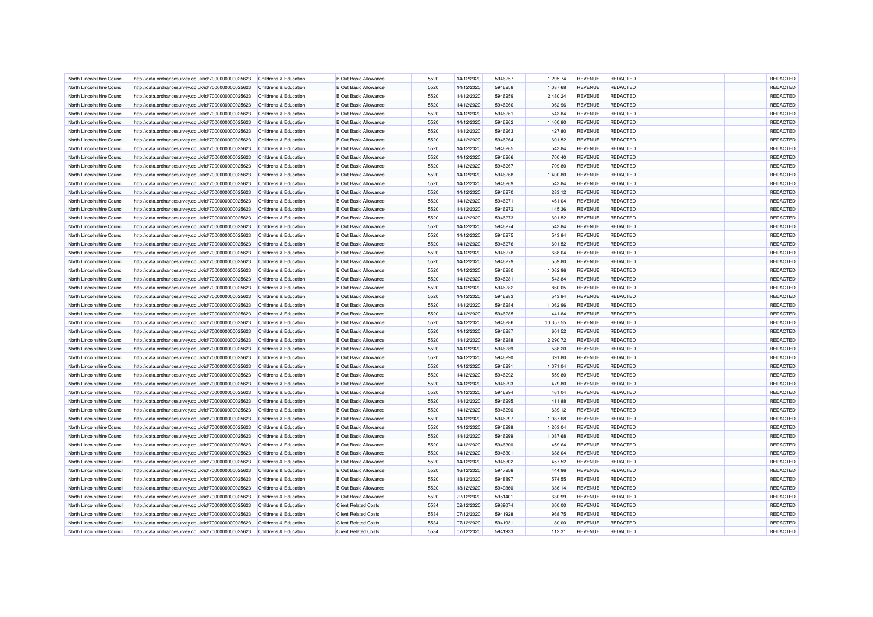| North Lincolnshire Council | http://data.ordnancesurvey.co.uk/id/7000000000025623 | Childrens & Education | <b>B Out Basic Allowance</b> | 5520 | 14/12/2020 | 5946257 | 1.295.74  | <b>REVENUE</b> | <b>REDACTED</b> | REDACTED |
|----------------------------|------------------------------------------------------|-----------------------|------------------------------|------|------------|---------|-----------|----------------|-----------------|----------|
| North Lincolnshire Council | http://data.ordnancesurvey.co.uk/id/7000000000025623 | Childrens & Education | <b>B</b> Out Basic Allowance | 5520 | 14/12/2020 | 5946258 | 1,087.68  | <b>REVENUE</b> | <b>REDACTED</b> | REDACTED |
| North Lincolnshire Council | http://data.ordnancesurvey.co.uk/id/7000000000025623 | Childrens & Education | <b>B</b> Out Basic Allowance | 5520 | 14/12/2020 | 5946259 | 2,480.24  | <b>REVENUE</b> | <b>REDACTED</b> | REDACTED |
| North Lincolnshire Council | http://data.ordnancesurvey.co.uk/id/7000000000025623 | Childrens & Education | <b>B</b> Out Basic Allowance | 5520 | 14/12/2020 | 5946260 | 1,062.96  | <b>REVENUE</b> | <b>REDACTED</b> | REDACTED |
| North Lincolnshire Council | http://data.ordnancesurvey.co.uk/id/7000000000025623 | Childrens & Education | <b>B</b> Out Basic Allowance | 5520 | 14/12/2020 | 5946261 | 543.84    | <b>REVENUE</b> | <b>REDACTED</b> | REDACTED |
| North Lincolnshire Council | http://data.ordnancesurvey.co.uk/id/7000000000025623 | Childrens & Education | <b>B Out Basic Allowance</b> | 5520 | 14/12/2020 | 5946262 | 1,400.80  | <b>REVENUE</b> | <b>REDACTED</b> | REDACTED |
| North Lincolnshire Council | http://data.ordnancesurvey.co.uk/id/7000000000025623 | Childrens & Education | <b>B Out Basic Allowance</b> | 5520 | 14/12/2020 | 5946263 | 427.80    | <b>REVENUE</b> | <b>REDACTED</b> | REDACTED |
| North Lincolnshire Council | http://data.ordnancesurvey.co.uk/id/7000000000025623 | Childrens & Education | <b>B</b> Out Basic Allowance | 5520 | 14/12/2020 | 5946264 | 601.52    | <b>REVENUE</b> | <b>REDACTED</b> | REDACTED |
| North Lincolnshire Council | http://data.ordnancesurvey.co.uk/id/7000000000025623 | Childrens & Education | <b>B Out Basic Allowance</b> | 5520 | 14/12/2020 | 5946265 | 543.84    | <b>REVENUE</b> | <b>REDACTED</b> | REDACTED |
| North Lincolnshire Council | http://data.ordnancesurvey.co.uk/id/7000000000025623 | Childrens & Education | <b>B Out Basic Allowance</b> | 5520 | 14/12/2020 | 5946266 | 700.40    | <b>REVENUE</b> | <b>REDACTED</b> | REDACTED |
| North Lincolnshire Council | http://data.ordnancesurvey.co.uk/id/7000000000025623 | Childrens & Education | <b>B Out Basic Allowance</b> | 5520 | 14/12/2020 | 5946267 | 709.80    | <b>REVENUE</b> | <b>REDACTED</b> | REDACTED |
| North Lincolnshire Council | http://data.ordnancesurvey.co.uk/id/7000000000025623 | Childrens & Education | <b>B Out Basic Allowance</b> | 5520 | 14/12/2020 | 5946268 | 1.400.80  | <b>REVENUE</b> | <b>REDACTED</b> | REDACTED |
| North Lincolnshire Council | http://data.ordnancesurvey.co.uk/id/7000000000025623 | Childrens & Education | <b>B</b> Out Basic Allowance | 5520 | 14/12/2020 | 5946269 | 543.84    | <b>REVENUE</b> | <b>REDACTED</b> | REDACTED |
| North Lincolnshire Council | http://data.ordnancesurvey.co.uk/id/7000000000025623 | Childrens & Education | <b>B</b> Out Basic Allowance | 5520 | 14/12/2020 | 5946270 | 283.12    | <b>REVENUE</b> | <b>REDACTED</b> | REDACTED |
| North Lincolnshire Council | http://data.ordnancesurvey.co.uk/id/7000000000025623 | Childrens & Education | <b>B Out Basic Allowance</b> | 5520 | 14/12/2020 | 5946271 | 461.04    | <b>REVENUE</b> | <b>REDACTED</b> | REDACTED |
| North Lincolnshire Council | http://data.ordnancesurvey.co.uk/id/7000000000025623 | Childrens & Education | <b>B Out Basic Allowance</b> | 5520 | 14/12/2020 | 5946272 | 1,145.36  | <b>REVENUE</b> | <b>REDACTED</b> | REDACTED |
| North Lincolnshire Council | http://data.ordnancesurvey.co.uk/id/7000000000025623 | Childrens & Education | <b>B Out Basic Allowance</b> | 5520 | 14/12/2020 | 5946273 | 601.52    | <b>REVENUE</b> | <b>REDACTED</b> | REDACTED |
| North Lincolnshire Council |                                                      | Childrens & Education | <b>B Out Basic Allowance</b> | 5520 | 14/12/2020 | 5946274 | 543.84    | <b>REVENUE</b> | <b>REDACTED</b> | REDACTED |
|                            | http://data.ordnancesurvey.co.uk/id/7000000000025623 |                       |                              |      |            |         |           |                |                 |          |
| North Lincolnshire Council | http://data.ordnancesurvey.co.uk/id/7000000000025623 | Childrens & Education | <b>B Out Basic Allowance</b> | 5520 | 14/12/2020 | 5946275 | 543.84    | <b>REVENUE</b> | <b>REDACTED</b> | REDACTED |
| North Lincolnshire Council | http://data.ordnancesurvey.co.uk/id/7000000000025623 | Childrens & Education | <b>B Out Basic Allowance</b> | 5520 | 14/12/2020 | 5946276 | 601.52    | <b>REVENUE</b> | <b>REDACTED</b> | REDACTED |
| North Lincolnshire Council | http://data.ordnancesurvey.co.uk/id/7000000000025623 | Childrens & Education | <b>B Out Basic Allowance</b> | 5520 | 14/12/2020 | 5946278 | 688.04    | <b>REVENUE</b> | <b>REDACTED</b> | REDACTED |
| North Lincolnshire Council | http://data.ordnancesurvey.co.uk/id/7000000000025623 | Childrens & Education | <b>B Out Basic Allowance</b> | 5520 | 14/12/2020 | 5946279 | 559.80    | <b>REVENUE</b> | <b>REDACTED</b> | REDACTED |
| North Lincolnshire Council | http://data.ordnancesurvey.co.uk/id/7000000000025623 | Childrens & Education | <b>B Out Basic Allowance</b> | 5520 | 14/12/2020 | 5946280 | 1,062.96  | <b>REVENUE</b> | <b>REDACTED</b> | REDACTED |
| North Lincolnshire Council | http://data.ordnancesurvey.co.uk/id/7000000000025623 | Childrens & Education | <b>B Out Basic Allowance</b> | 5520 | 14/12/2020 | 5946281 | 543.84    | <b>REVENUE</b> | <b>REDACTED</b> | REDACTED |
| North Lincolnshire Council | http://data.ordnancesurvey.co.uk/id/7000000000025623 | Childrens & Education | <b>B Out Basic Allowance</b> | 5520 | 14/12/2020 | 5946282 | 860.05    | <b>REVENUE</b> | <b>REDACTED</b> | REDACTED |
| North Lincolnshire Council | http://data.ordnancesurvey.co.uk/id/7000000000025623 | Childrens & Education | <b>B Out Basic Allowance</b> | 5520 | 14/12/2020 | 5946283 | 543.84    | <b>REVENUE</b> | <b>REDACTED</b> | REDACTED |
| North Lincolnshire Council | http://data.ordnancesurvey.co.uk/id/7000000000025623 | Childrens & Education | <b>B Out Basic Allowance</b> | 5520 | 14/12/2020 | 5946284 | 1,062.96  | <b>REVENUE</b> | <b>REDACTED</b> | REDACTED |
| North Lincolnshire Council | http://data.ordnancesurvey.co.uk/id/7000000000025623 | Childrens & Education | <b>B Out Basic Allowance</b> | 5520 | 14/12/2020 | 5946285 | 441.84    | <b>REVENUE</b> | <b>REDACTED</b> | REDACTED |
| North Lincolnshire Council | http://data.ordnancesurvey.co.uk/id/7000000000025623 | Childrens & Education | <b>B Out Basic Allowance</b> | 5520 | 14/12/2020 | 5946286 | 10,357.55 | <b>REVENUE</b> | <b>REDACTED</b> | REDACTED |
| North Lincolnshire Council | http://data.ordnancesurvey.co.uk/id/7000000000025623 | Childrens & Education | <b>B Out Basic Allowance</b> | 5520 | 14/12/2020 | 5946287 | 601.52    | <b>REVENUE</b> | <b>REDACTED</b> | REDACTED |
| North Lincolnshire Council | http://data.ordnancesurvey.co.uk/id/7000000000025623 | Childrens & Education | <b>B Out Basic Allowance</b> | 5520 | 14/12/2020 | 5946288 | 2,290.72  | <b>REVENUE</b> | REDACTED        | REDACTED |
| North Lincolnshire Council | http://data.ordnancesurvey.co.uk/id/7000000000025623 | Childrens & Education | <b>B Out Basic Allowance</b> | 5520 | 14/12/2020 | 5946289 | 588.20    | <b>REVENUE</b> | <b>REDACTED</b> | REDACTED |
| North Lincolnshire Council | http://data.ordnancesurvey.co.uk/id/7000000000025623 | Childrens & Education | <b>B Out Basic Allowance</b> | 5520 | 14/12/2020 | 5946290 | 391.80    | <b>REVENUE</b> | <b>REDACTED</b> | REDACTED |
| North Lincolnshire Council | http://data.ordnancesurvey.co.uk/id/7000000000025623 | Childrens & Education | <b>B Out Basic Allowance</b> | 5520 | 14/12/2020 | 5946291 | 1,071.04  | <b>REVENUE</b> | <b>REDACTED</b> | REDACTED |
| North Lincolnshire Council | http://data.ordnancesurvey.co.uk/id/7000000000025623 | Childrens & Education | <b>B Out Basic Allowance</b> | 5520 | 14/12/2020 | 5946292 | 559.80    | <b>REVENUE</b> | <b>REDACTED</b> | REDACTED |
| North Lincolnshire Council | http://data.ordnancesurvey.co.uk/id/7000000000025623 | Childrens & Education | <b>B Out Basic Allowance</b> | 5520 | 14/12/2020 | 5946293 | 479.80    | <b>REVENUE</b> | <b>REDACTED</b> | REDACTED |
| North Lincolnshire Council | http://data.ordnancesurvey.co.uk/id/7000000000025623 | Childrens & Education | <b>B Out Basic Allowance</b> | 5520 | 14/12/2020 | 5946294 | 461.04    | <b>REVENUE</b> | <b>REDACTED</b> | REDACTED |
| North Lincolnshire Council | http://data.ordnancesurvey.co.uk/id/7000000000025623 | Childrens & Education | <b>B Out Basic Allowance</b> | 5520 | 14/12/2020 | 5946295 | 411.88    | <b>REVENUE</b> | <b>REDACTED</b> | REDACTED |
| North Lincolnshire Council | http://data.ordnancesurvey.co.uk/id/7000000000025623 | Childrens & Education | <b>B Out Basic Allowance</b> | 5520 | 14/12/2020 | 5946296 | 639.12    | <b>REVENUE</b> | <b>REDACTED</b> | REDACTED |
| North Lincolnshire Council | http://data.ordnancesurvey.co.uk/id/7000000000025623 | Childrens & Education | <b>B Out Basic Allowance</b> | 5520 | 14/12/2020 | 5946297 | 1,087.68  | <b>REVENUE</b> | <b>REDACTED</b> | REDACTED |
| North Lincolnshire Council | http://data.ordnancesurvey.co.uk/id/7000000000025623 | Childrens & Education | <b>B Out Basic Allowance</b> | 5520 | 14/12/2020 | 5946298 | 1,203.04  | <b>REVENUE</b> | REDACTED        | REDACTED |
| North Lincolnshire Council | http://data.ordnancesurvey.co.uk/id/7000000000025623 | Childrens & Education | <b>B Out Basic Allowance</b> | 5520 | 14/12/2020 | 5946299 | 1,087.68  | <b>REVENUE</b> | <b>REDACTED</b> | REDACTED |
| North Lincolnshire Council | http://data.ordnancesurvey.co.uk/id/7000000000025623 | Childrens & Education | <b>B Out Basic Allowance</b> | 5520 | 14/12/2020 | 5946300 | 459.64    | <b>REVENUE</b> | <b>REDACTED</b> | REDACTED |
| North Lincolnshire Council | http://data.ordnancesurvey.co.uk/id/7000000000025623 | Childrens & Education | <b>B Out Basic Allowance</b> | 5520 | 14/12/2020 | 5946301 | 688.04    | <b>REVENUE</b> | <b>REDACTED</b> | REDACTED |
| North Lincolnshire Council | http://data.ordnancesurvey.co.uk/id/7000000000025623 | Childrens & Education | <b>B Out Basic Allowance</b> | 5520 | 14/12/2020 | 5946302 | 457.52    | <b>REVENUE</b> | <b>REDACTED</b> | REDACTED |
| North Lincolnshire Council | http://data.ordnancesurvey.co.uk/id/7000000000025623 | Childrens & Education | <b>B Out Basic Allowance</b> | 5520 | 16/12/2020 | 5947256 | 444.96    | <b>REVENUE</b> | REDACTED        | REDACTED |
| North Lincolnshire Council | http://data.ordnancesurvey.co.uk/id/7000000000025623 | Childrens & Education | <b>B Out Basic Allowance</b> | 5520 | 18/12/2020 | 5948897 | 574.55    | <b>REVENUE</b> | <b>REDACTED</b> | REDACTED |
| North Lincolnshire Council | http://data.ordnancesurvey.co.uk/id/7000000000025623 | Childrens & Education | <b>B Out Basic Allowance</b> | 5520 | 18/12/2020 | 5949360 | 336.14    | REVENUE        | <b>REDACTED</b> | REDACTED |
| North Lincolnshire Council | http://data.ordnancesurvey.co.uk/id/7000000000025623 | Childrens & Education | <b>B Out Basic Allowance</b> | 5520 | 22/12/2020 | 5951401 | 630.99    | <b>REVENUE</b> | <b>REDACTED</b> | REDACTED |
| North Lincolnshire Council | http://data.ordnancesurvey.co.uk/id/7000000000025623 | Childrens & Education | <b>Client Related Costs</b>  | 5534 | 02/12/2020 | 5939074 | 300.00    | <b>REVENUE</b> | <b>REDACTED</b> | REDACTED |
|                            |                                                      |                       | <b>Client Related Costs</b>  | 5534 |            |         |           |                | <b>REDACTED</b> | REDACTED |
| North Lincolnshire Council | http://data.ordnancesurvey.co.uk/id/7000000000025623 | Childrens & Education | <b>Client Related Costs</b>  | 5534 | 07/12/2020 | 5941928 | 968.75    | <b>REVENUE</b> | REDACTED        | REDACTED |
| North Lincolnshire Council | http://data.ordnancesurvey.co.uk/id/7000000000025623 | Childrens & Education |                              |      | 07/12/2020 | 5941931 | 80.00     | <b>REVENUE</b> |                 |          |
| North Lincolnshire Council | http://data.ordnancesurvey.co.uk/id/7000000000025623 | Childrens & Education | <b>Client Related Costs</b>  | 5534 | 07/12/2020 | 5941933 | 112.31    | <b>REVENUE</b> | <b>REDACTED</b> | REDACTED |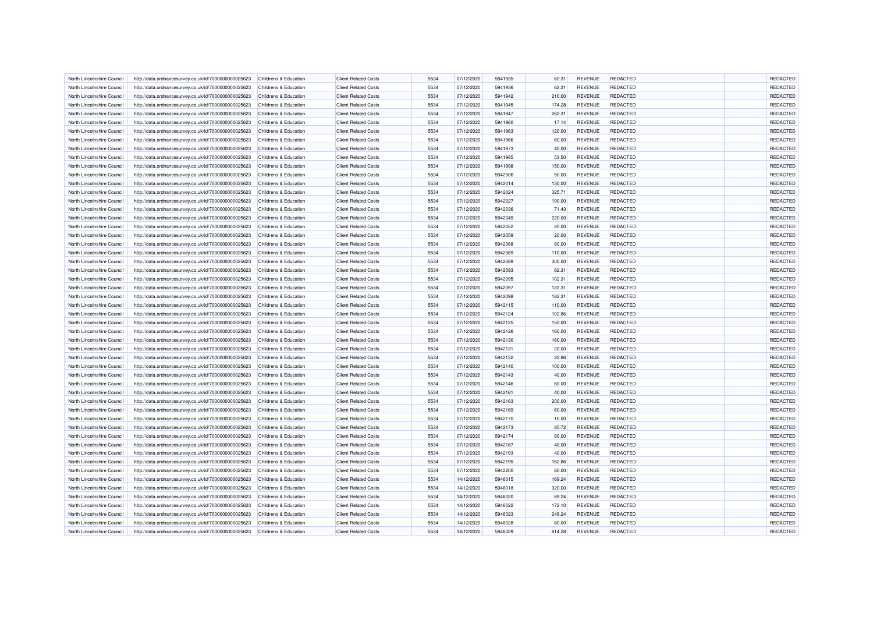| Childrens & Education<br><b>Client Related Costs</b><br>5534<br>07/12/2020<br>5941936<br>62.31<br><b>REVENUE</b><br><b>REDACTED</b><br>North Lincolnshire Council<br>http://data.ordnancesurvey.co.uk/id/7000000000025623<br>North Lincolnshire Council<br>http://data.ordnancesurvey.co.uk/id/7000000000025623<br>Childrens & Education<br><b>Client Related Costs</b><br>5534<br>07/12/2020<br>5941942<br>210.00<br><b>REVENUE</b><br><b>REDACTED</b><br>North Lincolnshire Council<br>http://data.ordnancesurvey.co.uk/id/7000000000025623<br><b>Client Related Costs</b><br>5534<br>07/12/2020<br>5941945<br><b>REVENUE</b><br>REDACTED<br>Childrens & Education<br>174.28 | REDACTED<br>REDACTED |
|--------------------------------------------------------------------------------------------------------------------------------------------------------------------------------------------------------------------------------------------------------------------------------------------------------------------------------------------------------------------------------------------------------------------------------------------------------------------------------------------------------------------------------------------------------------------------------------------------------------------------------------------------------------------------------|----------------------|
|                                                                                                                                                                                                                                                                                                                                                                                                                                                                                                                                                                                                                                                                                |                      |
|                                                                                                                                                                                                                                                                                                                                                                                                                                                                                                                                                                                                                                                                                |                      |
|                                                                                                                                                                                                                                                                                                                                                                                                                                                                                                                                                                                                                                                                                | REDACTED             |
| Childrens & Education<br><b>Client Related Costs</b><br>5534<br>5941947<br><b>REDACTED</b><br>North Lincolnshire Council<br>http://data.ordnancesurvey.co.uk/id/7000000000025623<br>07/12/2020<br>262.31<br><b>REVENUE</b>                                                                                                                                                                                                                                                                                                                                                                                                                                                     | REDACTED             |
| 5534<br><b>REDACTED</b><br>North Lincolnshire Council<br>http://data.ordnancesurvey.co.uk/id/7000000000025623<br>Childrens & Education<br><b>Client Related Costs</b><br>07/12/2020<br>5941960<br>17.14<br><b>REVENUE</b>                                                                                                                                                                                                                                                                                                                                                                                                                                                      | REDACTED             |
| 5534<br><b>REDACTED</b><br>North Lincolnshire Council<br>Childrens & Education<br><b>Client Related Costs</b><br>07/12/2020<br>5941963<br><b>REVENUE</b>                                                                                                                                                                                                                                                                                                                                                                                                                                                                                                                       | REDACTED             |
| http://data.ordnancesurvey.co.uk/id/7000000000025623<br>120.00<br>5941966                                                                                                                                                                                                                                                                                                                                                                                                                                                                                                                                                                                                      |                      |
| <b>Client Related Costs</b><br>5534<br>07/12/2020<br>60.00<br><b>REVENUE</b><br><b>REDACTED</b><br>North Lincolnshire Council<br>http://data.ordnancesurvey.co.uk/id/7000000000025623<br>Childrens & Education                                                                                                                                                                                                                                                                                                                                                                                                                                                                 | REDACTED             |
| 5534<br>REDACTED<br>North Lincolnshire Council<br>http://data.ordnancesurvey.co.uk/id/7000000000025623<br><b>Childrens &amp; Education</b><br><b>Client Related Costs</b><br>07/12/2020<br>5941973<br>40.00<br><b>REVENUE</b>                                                                                                                                                                                                                                                                                                                                                                                                                                                  | REDACTED             |
| North Lincolnshire Council<br>http://data.ordnancesurvey.co.uk/id/7000000000025623<br><b>Client Related Costs</b><br>5534<br>5941985<br><b>REVENUE</b><br><b>REDACTED</b><br>Childrens & Education<br>07/12/2020<br>53.50                                                                                                                                                                                                                                                                                                                                                                                                                                                      | REDACTED             |
| North Lincolnshire Council<br>http://data.ordnancesurvey.co.uk/id/7000000000025623<br>Childrens & Education<br><b>Client Related Costs</b><br>5534<br>07/12/2020<br>5941998<br>150.00<br><b>REVENUE</b><br><b>REDACTED</b>                                                                                                                                                                                                                                                                                                                                                                                                                                                     | REDACTED             |
| North Lincolnshire Council<br>http://data.ordnancesurvey.co.uk/id/7000000000025623<br>Childrens & Education<br><b>Client Related Costs</b><br>5534<br>07/12/2020<br>5942006<br>50.00<br><b>REVENUE</b><br><b>REDACTED</b>                                                                                                                                                                                                                                                                                                                                                                                                                                                      | REDACTED             |
| 5534<br><b>REDACTED</b><br><b>Client Related Costs</b><br>07/12/2020<br>5942014<br>130.00<br><b>REVENUE</b><br>North Lincolnshire Council<br>http://data.ordnancesurvey.co.uk/id/7000000000025623<br>Childrens & Education                                                                                                                                                                                                                                                                                                                                                                                                                                                     | REDACTED             |
| North Lincolnshire Council<br>http://data.ordnancesurvey.co.uk/id/7000000000025623<br><b>Client Related Costs</b><br>5534<br>07/12/2020<br>5942024<br>325.71<br><b>REVENUE</b><br><b>REDACTED</b><br>Childrens & Education                                                                                                                                                                                                                                                                                                                                                                                                                                                     | REDACTED             |
| 5534<br>North Lincolnshire Council<br>http://data.ordnancesurvey.co.uk/id/7000000000025623<br>Childrens & Education<br><b>Client Related Costs</b><br>07/12/2020<br>5942027<br>190.00<br><b>REVENUE</b><br><b>REDACTED</b>                                                                                                                                                                                                                                                                                                                                                                                                                                                     | REDACTED             |
| 5534<br>07/12/2020<br>5942036<br><b>REVENUE</b><br><b>REDACTED</b><br>North Lincolnshire Council<br>http://data.ordnancesurvey.co.uk/id/7000000000025623<br>Childrens & Education<br><b>Client Related Costs</b><br>71.43                                                                                                                                                                                                                                                                                                                                                                                                                                                      | REDACTED             |
| 5534<br>5942049<br>220.00<br><b>REDACTED</b><br>North Lincolnshire Council<br>http://data.ordnancesurvey.co.uk/id/7000000000025623<br>Childrens & Education<br><b>Client Related Costs</b><br>07/12/2020<br><b>REVENUE</b>                                                                                                                                                                                                                                                                                                                                                                                                                                                     | REDACTED             |
| 5534<br><b>REDACTED</b><br>http://data.ordnancesurvey.co.uk/id/7000000000025623<br><b>Client Related Costs</b><br>07/12/2020<br>5942052<br>20.00<br><b>REVENUE</b><br>North Lincolnshire Council<br>Childrens & Education                                                                                                                                                                                                                                                                                                                                                                                                                                                      | REDACTED             |
| 5534<br>07/12/2020<br>5942059<br><b>REDACTED</b><br>North Lincolnshire Council<br>http://data.ordnancesurvey.co.uk/id/7000000000025623<br>Childrens & Education<br><b>Client Related Costs</b><br>20.00<br><b>REVENUE</b>                                                                                                                                                                                                                                                                                                                                                                                                                                                      | REDACTED             |
| North Lincolnshire Council<br>http://data.ordnancesurvey.co.uk/id/7000000000025623<br>Childrens & Education<br><b>Client Related Costs</b><br>5534<br>07/12/2020<br>5942068<br>80.00<br><b>REVENUE</b><br><b>REDACTED</b>                                                                                                                                                                                                                                                                                                                                                                                                                                                      | REDACTED             |
| http://data.ordnancesurvey.co.uk/id/7000000000025623<br><b>Client Related Costs</b><br>5534<br>07/12/2020<br>5942069<br><b>REVENUE</b><br><b>REDACTED</b><br>North Lincolnshire Counci<br>Childrens & Education<br>110.00                                                                                                                                                                                                                                                                                                                                                                                                                                                      | REDACTED             |
| North Lincolnshire Council<br>http://data.ordnancesurvey.co.uk/id/7000000000025623<br>Childrens & Education<br><b>Client Related Costs</b><br>5534<br>07/12/2020<br>5942089<br>300.00<br><b>REVENUE</b><br><b>REDACTED</b>                                                                                                                                                                                                                                                                                                                                                                                                                                                     | REDACTED             |
| 5534<br>North Lincolnshire Council<br>http://data.ordnancesurvey.co.uk/id/7000000000025623<br>Childrens & Education<br><b>Client Related Costs</b><br>07/12/2020<br>5942093<br>82.31<br><b>REVENUE</b><br><b>REDACTED</b>                                                                                                                                                                                                                                                                                                                                                                                                                                                      | REDACTED             |
| <b>Client Related Costs</b><br>5534<br>5942095<br>102.31<br><b>REDACTED</b><br>North Lincolnshire Council<br>Childrens & Education                                                                                                                                                                                                                                                                                                                                                                                                                                                                                                                                             | REDACTED             |
| http://data.ordnancesurvey.co.uk/id/7000000000025623<br>07/12/2020<br><b>REVENUE</b>                                                                                                                                                                                                                                                                                                                                                                                                                                                                                                                                                                                           |                      |
| <b>Client Related Costs</b><br>5534<br>07/12/2020<br>5942097<br><b>REDACTED</b><br>North Lincolnshire Council<br>http://data.ordnancesurvey.co.uk/id/7000000000025623<br><b>Childrens &amp; Education</b><br>122.31<br><b>REVENUE</b>                                                                                                                                                                                                                                                                                                                                                                                                                                          | REDACTED             |
| North Lincolnshire Council<br>http://data.ordnancesurvey.co.uk/id/7000000000025623<br>Childrens & Education<br><b>Client Related Costs</b><br>5534<br>07/12/2020<br>5942098<br>182.31<br><b>REVENUE</b><br><b>REDACTED</b>                                                                                                                                                                                                                                                                                                                                                                                                                                                     | REDACTED             |
| <b>Client Related Costs</b><br>5534<br>5942115<br><b>REDACTED</b><br>North Lincolnshire Council<br>http://data.ordnancesurvey.co.uk/id/7000000000025623<br>Childrens & Education<br>07/12/2020<br>110.00<br><b>REVENUE</b>                                                                                                                                                                                                                                                                                                                                                                                                                                                     | REDACTED             |
| North Lincolnshire Council<br>http://data.ordnancesurvey.co.uk/id/7000000000025623<br>Childrens & Education<br><b>Client Related Costs</b><br>5534<br>07/12/2020<br>5942124<br>102.86<br><b>REVENUE</b><br><b>REDACTED</b>                                                                                                                                                                                                                                                                                                                                                                                                                                                     | REDACTED             |
| <b>Client Related Costs</b><br>5534<br>5942125<br>150.00<br><b>REDACTED</b><br>North Lincolnshire Council<br>http://data.ordnancesurvey.co.uk/id/7000000000025623<br>Childrens & Education<br>07/12/2020<br><b>REVENUE</b>                                                                                                                                                                                                                                                                                                                                                                                                                                                     | REDACTED             |
| North Lincolnshire Council<br>http://data.ordnancesurvey.co.uk/id/7000000000025623<br>Childrens & Education<br><b>Client Related Costs</b><br>5534<br>07/12/2020<br>5942126<br>160.00<br><b>REVENUE</b><br><b>REDACTED</b>                                                                                                                                                                                                                                                                                                                                                                                                                                                     | REDACTED             |
| North Lincolnshire Council<br>http://data.ordnancesurvey.co.uk/id/7000000000025623<br><b>Client Related Costs</b><br>5534<br>07/12/2020<br>5942130<br>160.00<br><b>REVENUE</b><br><b>REDACTED</b><br>Childrens & Education                                                                                                                                                                                                                                                                                                                                                                                                                                                     | REDACTED             |
| <b>Client Related Costs</b><br>5534<br>5942131<br><b>REDACTED</b><br>North Lincolnshire Council<br>http://data.ordnancesurvey.co.uk/id/7000000000025623<br>Childrens & Education<br>07/12/2020<br>20.00<br><b>REVENUE</b>                                                                                                                                                                                                                                                                                                                                                                                                                                                      | REDACTED             |
| 5534<br>07/12/2020<br>North Lincolnshire Council<br>http://data.ordnancesurvey.co.uk/id/7000000000025623<br>Childrens & Education<br><b>Client Related Costs</b><br>5942132<br>22.86<br><b>REVENUE</b><br><b>REDACTED</b>                                                                                                                                                                                                                                                                                                                                                                                                                                                      | REDACTED             |
| 5534<br>North Lincolnshire Council<br>http://data.ordnancesurvey.co.uk/id/7000000000025623<br>Childrens & Education<br><b>Client Related Costs</b><br>07/12/2020<br>5942140<br>100.00<br><b>REVENUE</b><br><b>REDACTED</b>                                                                                                                                                                                                                                                                                                                                                                                                                                                     | REDACTED             |
| 5534<br>07/12/2020<br>5942143<br>40.00<br><b>REVENUE</b><br><b>REDACTED</b><br>North Lincolnshire Council<br>http://data.ordnancesurvey.co.uk/id/7000000000025623<br>Childrens & Education<br><b>Client Related Costs</b>                                                                                                                                                                                                                                                                                                                                                                                                                                                      | REDACTED             |
| 5534<br><b>REDACTED</b><br>North Lincolnshire Council<br>http://data.ordnancesurvey.co.uk/id/7000000000025623<br>Childrens & Education<br><b>Client Related Costs</b><br>07/12/2020<br>5942146<br>60.00<br><b>REVENUE</b>                                                                                                                                                                                                                                                                                                                                                                                                                                                      | REDACTED             |
| North Lincolnshire Council<br><b>Client Related Costs</b><br>5534<br>5942161<br><b>REVENUE</b><br><b>REDACTED</b><br>http://data.ordnancesurvey.co.uk/id/7000000000025623<br>Childrens & Education<br>07/12/2020<br>40.00                                                                                                                                                                                                                                                                                                                                                                                                                                                      | REDACTED             |
| North Lincolnshire Council<br>http://data.ordnancesurvey.co.uk/id/7000000000025623<br>Childrens & Education<br><b>Client Related Costs</b><br>5534<br>07/12/2020<br>5942163<br>200.00<br><b>REVENUE</b><br><b>REDACTED</b>                                                                                                                                                                                                                                                                                                                                                                                                                                                     | REDACTED             |
| North Lincolnshire Council<br>http://data.ordnancesurvey.co.uk/id/7000000000025623<br>Childrens & Education<br><b>Client Related Costs</b><br>5534<br>07/12/2020<br>5942169<br>60.00<br><b>REVENUE</b><br><b>REDACTED</b>                                                                                                                                                                                                                                                                                                                                                                                                                                                      | REDACTED             |
| <b>REDACTED</b><br><b>Client Related Costs</b><br>5534<br>07/12/2020<br>5942170<br><b>REVENUE</b><br>North Lincolnshire Council<br>http://data.ordnancesurvey.co.uk/id/7000000000025623<br>Childrens & Education<br>10.00                                                                                                                                                                                                                                                                                                                                                                                                                                                      | REDACTED             |
| North Lincolnshire Council<br>http://data.ordnancesurvey.co.uk/id/7000000000025623<br><b>Client Related Costs</b><br>5534<br>07/12/2020<br>5942173<br>85.72<br><b>REVENUE</b><br><b>REDACTED</b><br>Childrens & Education                                                                                                                                                                                                                                                                                                                                                                                                                                                      | REDACTED             |
| North Lincolnshire Council<br>http://data.ordnancesurvey.co.uk/id/7000000000025623<br>Childrens & Education<br><b>Client Related Costs</b><br>5534<br>07/12/2020<br>5942174<br>80.00<br><b>REVENUE</b><br><b>REDACTED</b>                                                                                                                                                                                                                                                                                                                                                                                                                                                      | REDACTED             |
| 5534<br>07/12/2020<br>5942187<br><b>REVENUE</b><br><b>REDACTED</b><br>North Lincolnshire Council<br>http://data.ordnancesurvey.co.uk/id/7000000000025623<br>Childrens & Education<br><b>Client Related Costs</b><br>40.00                                                                                                                                                                                                                                                                                                                                                                                                                                                      | REDACTED             |
|                                                                                                                                                                                                                                                                                                                                                                                                                                                                                                                                                                                                                                                                                |                      |
| 5534<br><b>REDACTED</b><br>North Lincolnshire Council<br>http://data.ordnancesurvey.co.uk/id/7000000000025623<br>Childrens & Education<br><b>Client Related Costs</b><br>07/12/2020<br>5942193<br>40.00<br><b>REVENUE</b>                                                                                                                                                                                                                                                                                                                                                                                                                                                      | REDACTED             |
| 5534<br><b>Client Related Costs</b><br>07/12/2020<br>5942195<br>162.86<br><b>REVENUE</b><br><b>REDACTED</b><br>North Lincolnshire Council<br>http://data.ordnancesurvey.co.uk/id/7000000000025623<br>Childrens & Education                                                                                                                                                                                                                                                                                                                                                                                                                                                     | REDACTED             |
| 5534<br>07/12/2020<br>5942200<br>REDACTED<br>http://data.ordnancesurvey.co.uk/id/7000000000025623<br>Childrens & Education<br><b>Client Related Costs</b><br>80.00<br><b>REVENUE</b><br>North Lincolnshire Council                                                                                                                                                                                                                                                                                                                                                                                                                                                             | REDACTED             |
| North Lincolnshire Council<br>http://data.ordnancesurvey.co.uk/id/7000000000025623<br>Childrens & Education<br><b>Client Related Costs</b><br>5534<br>14/12/2020<br>5946015<br>169.24<br><b>REVENUE</b><br><b>REDACTED</b>                                                                                                                                                                                                                                                                                                                                                                                                                                                     | REDACTED             |
| 5534<br>5946018<br>320.00<br><b>REVENUE</b><br><b>REDACTED</b><br>North Lincolnshire Council<br>http://data.ordnancesurvey.co.uk/id/7000000000025623<br>Childrens & Education<br><b>Client Related Costs</b><br>14/12/2020                                                                                                                                                                                                                                                                                                                                                                                                                                                     | REDACTED             |
| North Lincolnshire Council<br>http://data.ordnancesurvey.co.uk/id/7000000000025623<br>Childrens & Education<br><b>Client Related Costs</b><br>5534<br>14/12/2020<br>5946020<br>89.24<br><b>REVENUE</b><br><b>REDACTED</b>                                                                                                                                                                                                                                                                                                                                                                                                                                                      | REDACTED             |
| 5534<br>North Lincolnshire Council<br>http://data.ordnancesurvey.co.uk/id/7000000000025623<br>Childrens & Education<br><b>Client Related Costs</b><br>14/12/2020<br>5946022<br>172.10<br><b>REVENUE</b><br><b>REDACTED</b>                                                                                                                                                                                                                                                                                                                                                                                                                                                     | REDACTED             |
| 5534<br>5946023<br><b>REDACTED</b><br>North Lincolnshire Council<br>http://data.ordnancesurvey.co.uk/id/7000000000025623<br>Childrens & Education<br><b>Client Related Costs</b><br>14/12/2020<br>249.24<br><b>REVENUE</b>                                                                                                                                                                                                                                                                                                                                                                                                                                                     | REDACTED             |
| 5534<br>14/12/2020<br><b>REDACTED</b><br>North Lincolnshire Council<br>http://data.ordnancesurvey.co.uk/id/7000000000025623<br>Childrens & Education<br><b>Client Related Costs</b><br>5946028<br>80.00<br><b>REVENUE</b>                                                                                                                                                                                                                                                                                                                                                                                                                                                      | REDACTED             |
| 5534<br><b>REVENUE</b><br><b>REDACTED</b><br>North Lincolnshire Council<br>http://data.ordnancesurvey.co.uk/id/7000000000025623<br>Childrens & Education<br><b>Client Related Costs</b><br>14/12/2020<br>5946029<br>814.28                                                                                                                                                                                                                                                                                                                                                                                                                                                     | REDACTED             |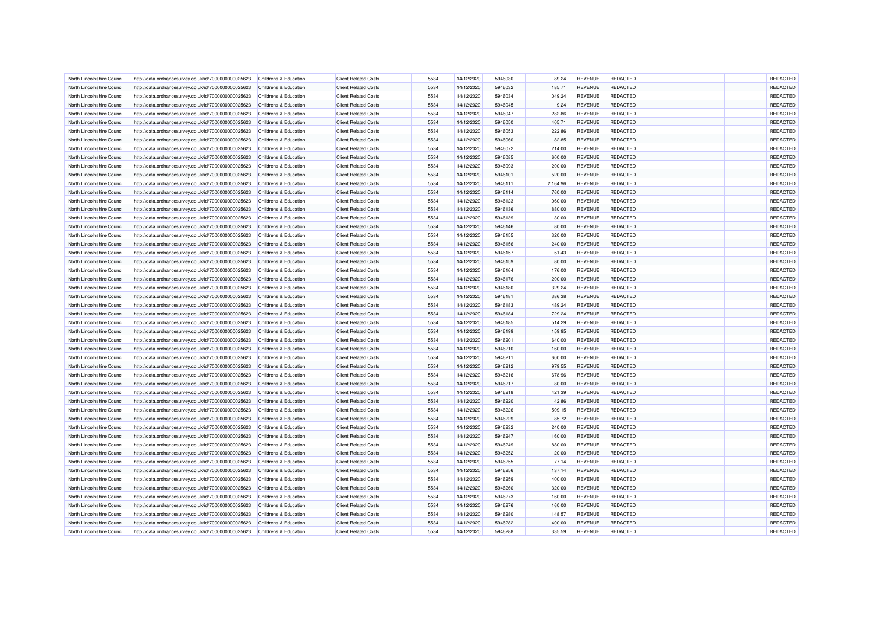| North Lincolnshire Council | http://data.ordnancesurvey.co.uk/id/7000000000025623 | Childrens & Education            | <b>Client Related Costs</b> | 5534 | 14/12/2020 | 5946030 | 89.24    | <b>REVENUE</b> | <b>REDACTED</b> | REDACTED |
|----------------------------|------------------------------------------------------|----------------------------------|-----------------------------|------|------------|---------|----------|----------------|-----------------|----------|
| North Lincolnshire Council | http://data.ordnancesurvey.co.uk/id/7000000000025623 | Childrens & Education            | <b>Client Related Costs</b> | 5534 | 14/12/2020 | 5946032 | 185.71   | <b>REVENUE</b> | <b>REDACTED</b> | REDACTED |
| North Lincolnshire Council | http://data.ordnancesurvey.co.uk/id/7000000000025623 | Childrens & Education            | <b>Client Related Costs</b> | 5534 | 14/12/2020 | 5946034 | 1,049.24 | <b>REVENUE</b> | <b>REDACTED</b> | REDACTED |
| North Lincolnshire Council | http://data.ordnancesurvey.co.uk/id/7000000000025623 | Childrens & Education            | <b>Client Related Costs</b> | 5534 | 14/12/2020 | 5946045 | 9.24     | <b>REVENUE</b> | <b>REDACTED</b> | REDACTED |
| North Lincolnshire Council | http://data.ordnancesurvey.co.uk/id/7000000000025623 | Childrens & Education            | <b>Client Related Costs</b> | 5534 | 14/12/2020 | 5946047 | 282.86   | <b>REVENUE</b> | <b>REDACTED</b> | REDACTED |
| North Lincolnshire Council | http://data.ordnancesurvey.co.uk/id/7000000000025623 | Childrens & Education            | <b>Client Related Costs</b> | 5534 | 14/12/2020 | 5946050 | 405.71   | <b>REVENUE</b> | <b>REDACTED</b> | REDACTED |
| North Lincolnshire Council |                                                      | Childrens & Education            | <b>Client Related Costs</b> | 5534 | 14/12/2020 | 5946053 | 222.86   | <b>REVENUE</b> | <b>REDACTED</b> | REDACTED |
|                            | http://data.ordnancesurvey.co.uk/id/7000000000025623 |                                  |                             |      |            | 5946060 |          |                |                 |          |
| North Lincolnshire Council | http://data.ordnancesurvey.co.uk/id/7000000000025623 | Childrens & Education            | <b>Client Related Costs</b> | 5534 | 14/12/2020 |         | 82.85    | <b>REVENUE</b> | <b>REDACTED</b> | REDACTED |
| North Lincolnshire Council | http://data.ordnancesurvey.co.uk/id/7000000000025623 | Childrens & Education            | <b>Client Related Costs</b> | 5534 | 14/12/2020 | 5946072 | 214.00   | <b>REVENUE</b> | <b>REDACTED</b> | REDACTED |
| North Lincolnshire Council | http://data.ordnancesurvey.co.uk/id/7000000000025623 | Childrens & Education            | <b>Client Related Costs</b> | 5534 | 14/12/2020 | 5946085 | 600.00   | <b>REVENUE</b> | <b>REDACTED</b> | REDACTED |
| North Lincolnshire Council | http://data.ordnancesurvey.co.uk/id/7000000000025623 | Childrens & Education            | <b>Client Related Costs</b> | 5534 | 14/12/2020 | 5946093 | 200.00   | <b>REVENUE</b> | <b>REDACTED</b> | REDACTED |
| North Lincolnshire Council | http://data.ordnancesurvey.co.uk/id/7000000000025623 | Childrens & Education            | <b>Client Related Costs</b> | 5534 | 14/12/2020 | 5946101 | 520.00   | <b>REVENUE</b> | <b>REDACTED</b> | REDACTED |
| North Lincolnshire Council | http://data.ordnancesurvey.co.uk/id/7000000000025623 | Childrens & Education            | <b>Client Related Costs</b> | 5534 | 14/12/2020 | 5946111 | 2,164.96 | <b>REVENUE</b> | <b>REDACTED</b> | REDACTED |
| North Lincolnshire Council | http://data.ordnancesurvey.co.uk/id/7000000000025623 | Childrens & Education            | <b>Client Related Costs</b> | 5534 | 14/12/2020 | 5946114 | 760.00   | <b>REVENUE</b> | <b>REDACTED</b> | REDACTED |
| North Lincolnshire Council | http://data.ordnancesurvey.co.uk/id/7000000000025623 | Childrens & Education            | <b>Client Related Costs</b> | 5534 | 14/12/2020 | 5946123 | 1,060.00 | <b>REVENUE</b> | <b>REDACTED</b> | REDACTED |
| North Lincolnshire Council | http://data.ordnancesurvey.co.uk/id/7000000000025623 | Childrens & Education            | <b>Client Related Costs</b> | 5534 | 14/12/2020 | 5946136 | 880.00   | <b>REVENUE</b> | <b>REDACTED</b> | REDACTED |
| North Lincolnshire Council | http://data.ordnancesurvey.co.uk/id/7000000000025623 | Childrens & Education            | <b>Client Related Costs</b> | 5534 | 14/12/2020 | 5946139 | 30.00    | <b>REVENUE</b> | <b>REDACTED</b> | REDACTED |
| North Lincolnshire Council | http://data.ordnancesurvey.co.uk/id/7000000000025623 | Childrens & Education            | <b>Client Related Costs</b> | 5534 | 14/12/2020 | 5946146 | 80.00    | <b>REVENUE</b> | <b>REDACTED</b> | REDACTED |
| North Lincolnshire Council | http://data.ordnancesurvey.co.uk/id/7000000000025623 | Childrens & Education            | <b>Client Related Costs</b> | 5534 | 14/12/2020 | 5946155 | 320.00   | <b>REVENUE</b> | REDACTED        | REDACTED |
| North Lincolnshire Council | http://data.ordnancesurvey.co.uk/id/7000000000025623 | Childrens & Education            | <b>Client Related Costs</b> | 5534 | 14/12/2020 | 5946156 | 240.00   | <b>REVENUE</b> | <b>REDACTED</b> | REDACTED |
| North Lincolnshire Counci  | http://data.ordnancesurvey.co.uk/id/7000000000025623 | Childrens & Education            | <b>Client Related Costs</b> | 5534 | 14/12/2020 | 5946157 | 51.43    | <b>REVENUE</b> | <b>REDACTED</b> | REDACTED |
| North Lincolnshire Council | http://data.ordnancesurvey.co.uk/id/7000000000025623 | Childrens & Education            | <b>Client Related Costs</b> | 5534 | 14/12/2020 | 5946159 | 80.00    | <b>REVENUE</b> | <b>REDACTED</b> | REDACTED |
| North Lincolnshire Council | http://data.ordnancesurvey.co.uk/id/7000000000025623 | Childrens & Education            | <b>Client Related Costs</b> | 5534 | 14/12/2020 | 5946164 | 176.00   | <b>REVENUE</b> | <b>REDACTED</b> | REDACTED |
| North Lincolnshire Council |                                                      | Childrens & Education            | <b>Client Related Costs</b> | 5534 |            | 5946176 | 1,200.00 | <b>REVENUE</b> | <b>REDACTED</b> | REDACTED |
|                            | http://data.ordnancesurvey.co.uk/id/7000000000025623 |                                  |                             |      | 14/12/2020 |         |          |                |                 |          |
| North Lincolnshire Council | http://data.ordnancesurvey.co.uk/id/7000000000025623 | Childrens & Education            | <b>Client Related Costs</b> | 5534 | 14/12/2020 | 5946180 | 329.24   | <b>REVENUE</b> | <b>REDACTED</b> | REDACTED |
| North Lincolnshire Council | http://data.ordnancesurvey.co.uk/id/7000000000025623 | Childrens & Education            | <b>Client Related Costs</b> | 5534 | 14/12/2020 | 5946181 | 386.38   | <b>REVENUE</b> | <b>REDACTED</b> | REDACTED |
| North Lincolnshire Council | http://data.ordnancesurvey.co.uk/id/7000000000025623 | Childrens & Education            | <b>Client Related Costs</b> | 5534 | 14/12/2020 | 5946183 | 489.24   | <b>REVENUE</b> | <b>REDACTED</b> | REDACTED |
| North Lincolnshire Council | http://data.ordnancesurvey.co.uk/id/7000000000025623 | Childrens & Education            | <b>Client Related Costs</b> | 5534 | 14/12/2020 | 5946184 | 729.24   | <b>REVENUE</b> | <b>REDACTED</b> | REDACTED |
| North Lincolnshire Council | http://data.ordnancesurvey.co.uk/id/7000000000025623 | Childrens & Education            | <b>Client Related Costs</b> | 5534 | 14/12/2020 | 5946185 | 514.29   | <b>REVENUE</b> | <b>REDACTED</b> | REDACTED |
| North Lincolnshire Council | http://data.ordnancesurvey.co.uk/id/7000000000025623 | Childrens & Education            | <b>Client Related Costs</b> | 5534 | 14/12/2020 | 5946199 | 159.95   | <b>REVENUE</b> | REDACTED        | REDACTED |
| North Lincolnshire Council | http://data.ordnancesurvey.co.uk/id/7000000000025623 | Childrens & Education            | <b>Client Related Costs</b> | 5534 | 14/12/2020 | 5946201 | 640.00   | <b>REVENUE</b> | REDACTED        | REDACTED |
| North Lincolnshire Council | http://data.ordnancesurvey.co.uk/id/7000000000025623 | Childrens & Education            | <b>Client Related Costs</b> | 5534 | 14/12/2020 | 5946210 | 160.00   | <b>REVENUE</b> | <b>REDACTED</b> | REDACTED |
| North Lincolnshire Council | http://data.ordnancesurvey.co.uk/id/7000000000025623 | Childrens & Education            | <b>Client Related Costs</b> | 5534 | 14/12/2020 | 5946211 | 600.00   | <b>REVENUE</b> | <b>REDACTED</b> | REDACTED |
| North Lincolnshire Council | http://data.ordnancesurvey.co.uk/id/7000000000025623 | Childrens & Education            | <b>Client Related Costs</b> | 5534 | 14/12/2020 | 5946212 | 979.55   | <b>REVENUE</b> | <b>REDACTED</b> | REDACTED |
| North Lincolnshire Council | http://data.ordnancesurvey.co.uk/id/7000000000025623 | Childrens & Education            | <b>Client Related Costs</b> | 5534 | 14/12/2020 | 5946216 | 678.96   | <b>REVENUE</b> | <b>REDACTED</b> | REDACTED |
| North Lincolnshire Council | http://data.ordnancesurvey.co.uk/id/7000000000025623 | <b>Childrens &amp; Education</b> | <b>Client Related Costs</b> | 5534 | 14/12/2020 | 5946217 | 80.00    | <b>REVENUE</b> | REDACTED        | REDACTED |
| North Lincolnshire Council | http://data.ordnancesurvey.co.uk/id/7000000000025623 | Childrens & Education            | <b>Client Related Costs</b> | 5534 | 14/12/2020 | 5946218 | 421.39   | <b>REVENUE</b> | <b>REDACTED</b> | REDACTED |
| North Lincolnshire Council | http://data.ordnancesurvey.co.uk/id/7000000000025623 | Childrens & Education            | <b>Client Related Costs</b> | 5534 | 14/12/2020 | 5946220 | 42.86    | <b>REVENUE</b> | <b>REDACTED</b> | REDACTED |
| North Lincolnshire Council | http://data.ordnancesurvey.co.uk/id/7000000000025623 | Childrens & Education            | <b>Client Related Costs</b> | 5534 | 14/12/2020 | 5946226 | 509.15   | <b>REVENUE</b> | <b>REDACTED</b> | REDACTED |
| North Lincolnshire Council | http://data.ordnancesurvey.co.uk/id/7000000000025623 | Childrens & Education            | <b>Client Related Costs</b> | 5534 | 14/12/2020 | 5946229 | 85.72    | <b>REVENUE</b> | <b>REDACTED</b> | REDACTED |
| North Lincolnshire Council | http://data.ordnancesurvey.co.uk/id/7000000000025623 | Childrens & Education            | <b>Client Related Costs</b> | 5534 | 14/12/2020 | 5946232 | 240.00   | <b>REVENUE</b> | <b>REDACTED</b> | REDACTED |
| North Lincolnshire Council | http://data.ordnancesurvey.co.uk/id/7000000000025623 | Childrens & Education            | <b>Client Related Costs</b> | 5534 | 14/12/2020 | 5946247 | 160.00   | <b>REVENUE</b> | <b>REDACTED</b> | REDACTED |
| North Lincolnshire Council | http://data.ordnancesurvey.co.uk/id/7000000000025623 | Childrens & Education            | <b>Client Related Costs</b> | 5534 | 14/12/2020 | 5946249 | 880.00   | <b>REVENUE</b> | <b>REDACTED</b> | REDACTED |
|                            |                                                      |                                  |                             |      |            |         |          |                |                 |          |
| North Lincolnshire Council | http://data.ordnancesurvey.co.uk/id/7000000000025623 | Childrens & Education            | <b>Client Related Costs</b> | 5534 | 14/12/2020 | 5946252 | 20.00    | <b>REVENUE</b> | <b>REDACTED</b> | REDACTED |
| North Lincolnshire Council | http://data.ordnancesurvey.co.uk/id/7000000000025623 | Childrens & Education            | <b>Client Related Costs</b> | 5534 | 14/12/2020 | 5946255 | 77.14    | <b>REVENUE</b> | <b>REDACTED</b> | REDACTED |
| North Lincolnshire Council | http://data.ordnancesurvey.co.uk/id/7000000000025623 | Childrens & Education            | <b>Client Related Costs</b> | 5534 | 14/12/2020 | 5946256 | 137.14   | <b>REVENUE</b> | REDACTED        | REDACTED |
| North Lincolnshire Council | http://data.ordnancesurvey.co.uk/id/7000000000025623 | Childrens & Education            | <b>Client Related Costs</b> | 5534 | 14/12/2020 | 5946259 | 400.00   | <b>REVENUE</b> | <b>REDACTED</b> | REDACTED |
| North Lincolnshire Council | http://data.ordnancesurvey.co.uk/id/7000000000025623 | Childrens & Education            | <b>Client Related Costs</b> | 5534 | 14/12/2020 | 5946260 | 320.00   | <b>REVENUE</b> | <b>REDACTED</b> | REDACTED |
| North Lincolnshire Council | http://data.ordnancesurvey.co.uk/id/7000000000025623 | Childrens & Education            | <b>Client Related Costs</b> | 5534 | 14/12/2020 | 5946273 | 160.00   | <b>REVENUE</b> | <b>REDACTED</b> | REDACTED |
| North Lincolnshire Council | http://data.ordnancesurvey.co.uk/id/7000000000025623 | Childrens & Education            | <b>Client Related Costs</b> | 5534 | 14/12/2020 | 5946276 | 160.00   | <b>REVENUE</b> | <b>REDACTED</b> | REDACTED |
| North Lincolnshire Council | http://data.ordnancesurvey.co.uk/id/7000000000025623 | Childrens & Education            | <b>Client Related Costs</b> | 5534 | 14/12/2020 | 5946280 | 148.57   | <b>REVENUE</b> | <b>REDACTED</b> | REDACTED |
| North Lincolnshire Council | http://data.ordnancesurvey.co.uk/id/7000000000025623 | Childrens & Education            | <b>Client Related Costs</b> | 5534 | 14/12/2020 | 5946282 | 400.00   | <b>REVENUE</b> | <b>REDACTED</b> | REDACTED |
| North Lincolnshire Council | http://data.ordnancesurvey.co.uk/id/7000000000025623 | Childrens & Education            | <b>Client Related Costs</b> | 5534 | 14/12/2020 | 5946288 | 335.59   | <b>REVENUE</b> | <b>REDACTED</b> | REDACTED |
|                            |                                                      |                                  |                             |      |            |         |          |                |                 |          |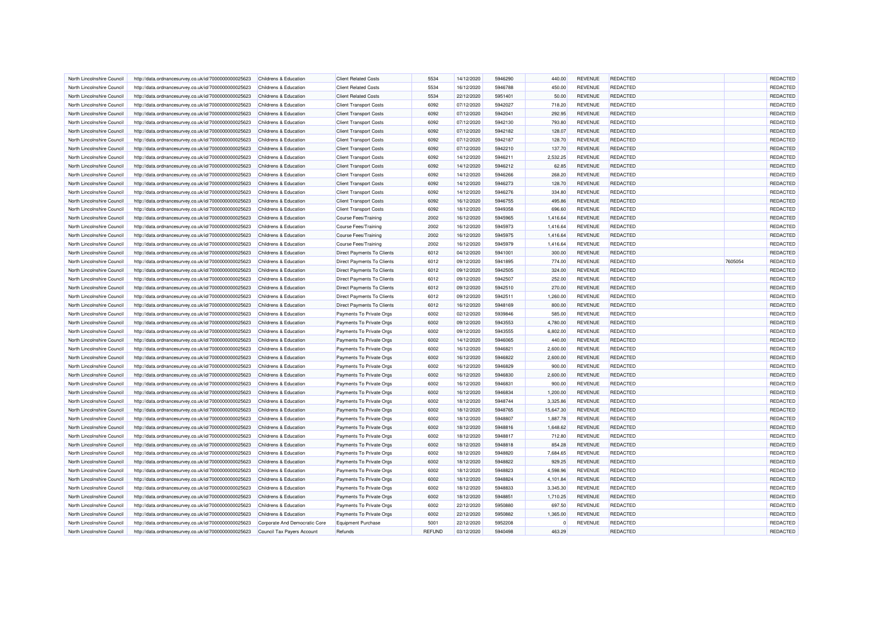| North Lincolnshire Council | http://data.ordnancesurvey.co.uk/id/7000000000025623 | Childrens & Education            | <b>Client Related Costs</b>       | 5534          | 14/12/2020 | 5946290 | 440.00    | <b>REVENUE</b> | <b>REDACTED</b> |         | REDACTED |
|----------------------------|------------------------------------------------------|----------------------------------|-----------------------------------|---------------|------------|---------|-----------|----------------|-----------------|---------|----------|
| North Lincolnshire Council | http://data.ordnancesurvey.co.uk/id/7000000000025623 | Childrens & Education            | <b>Client Related Costs</b>       | 5534          | 16/12/2020 | 5946788 | 450.00    | <b>REVENUE</b> | <b>REDACTED</b> |         | REDACTED |
| North Lincolnshire Council | http://data.ordnancesurvey.co.uk/id/7000000000025623 | Childrens & Education            | <b>Client Related Costs</b>       | 5534          | 22/12/2020 | 5951401 | 50.00     | <b>REVENUE</b> | <b>REDACTED</b> |         | REDACTED |
| North Lincolnshire Counci  | http://data.ordnancesurvey.co.uk/id/7000000000025623 | Childrens & Education            | <b>Client Transport Costs</b>     | 6092          | 07/12/2020 | 5942027 | 718.20    | <b>REVENUE</b> | REDACTED        |         | REDACTED |
| North Lincolnshire Council | http://data.ordnancesurvey.co.uk/id/7000000000025623 | Childrens & Education            | <b>Client Transport Costs</b>     | 6092          | 07/12/2020 | 5942041 | 292.95    | <b>REVENUE</b> | <b>REDACTED</b> |         | REDACTED |
| North Lincolnshire Council | http://data.ordnancesurvey.co.uk/id/7000000000025623 | Childrens & Education            | <b>Client Transport Costs</b>     | 6092          | 07/12/2020 | 5942130 | 793.80    | <b>REVENUE</b> | <b>REDACTED</b> |         | REDACTED |
|                            |                                                      |                                  |                                   |               |            |         |           |                | <b>REDACTED</b> |         | REDACTED |
| North Lincolnshire Council | http://data.ordnancesurvey.co.uk/id/7000000000025623 | Childrens & Education            | <b>Client Transport Costs</b>     | 6092          | 07/12/2020 | 5942182 | 128.07    | <b>REVENUE</b> |                 |         |          |
| North Lincolnshire Council | http://data.ordnancesurvey.co.uk/id/7000000000025623 | Childrens & Education            | <b>Client Transport Costs</b>     | 6092          | 07/12/2020 | 5942187 | 128.70    | <b>REVENUE</b> | <b>REDACTED</b> |         | REDACTED |
| North Lincolnshire Council | http://data.ordnancesurvey.co.uk/id/7000000000025623 | <b>Childrens &amp; Education</b> | <b>Client Transport Costs</b>     | 6092          | 07/12/2020 | 5942210 | 137.70    | <b>REVENUE</b> | <b>REDACTED</b> |         | REDACTED |
| North Lincolnshire Council | http://data.ordnancesurvey.co.uk/id/7000000000025623 | Childrens & Education            | <b>Client Transport Costs</b>     | 6092          | 14/12/2020 | 5946211 | 2,532.25  | <b>REVENUE</b> | <b>REDACTED</b> |         | REDACTED |
| North Lincolnshire Council | http://data.ordnancesurvey.co.uk/id/7000000000025623 | Childrens & Education            | <b>Client Transport Costs</b>     | 6092          | 14/12/2020 | 5946212 | 62.85     | <b>REVENUE</b> | <b>REDACTED</b> |         | REDACTED |
| North Lincolnshire Council | http://data.ordnancesurvey.co.uk/id/7000000000025623 | Childrens & Education            | <b>Client Transport Costs</b>     | 6092          | 14/12/2020 | 5946266 | 268.20    | <b>REVENUE</b> | <b>REDACTED</b> |         | REDACTED |
| North Lincolnshire Council | http://data.ordnancesurvey.co.uk/id/7000000000025623 | Childrens & Education            | <b>Client Transport Costs</b>     | 6092          | 14/12/2020 | 5946273 | 128.70    | <b>REVENUE</b> | <b>REDACTED</b> |         | REDACTED |
| North Lincolnshire Council | http://data.ordnancesurvey.co.uk/id/7000000000025623 | Childrens & Education            | <b>Client Transport Costs</b>     | 6092          | 14/12/2020 | 5946276 | 334.80    | <b>REVENUE</b> | REDACTED        |         | REDACTED |
| North Lincolnshire Council | http://data.ordnancesurvey.co.uk/id/7000000000025623 | Childrens & Education            | <b>Client Transport Costs</b>     | 6092          | 16/12/2020 | 5946755 | 495.86    | <b>REVENUE</b> | <b>REDACTED</b> |         | REDACTED |
| North Lincolnshire Council | http://data.ordnancesurvey.co.uk/id/7000000000025623 | Childrens & Education            | <b>Client Transport Costs</b>     | 6092          | 18/12/2020 | 5949358 | 696.60    | <b>REVENUE</b> | <b>REDACTED</b> |         | REDACTED |
| North Lincolnshire Council | http://data.ordnancesurvey.co.uk/id/7000000000025623 | Childrens & Education            | Course Fees/Training              | 2002          | 16/12/2020 | 5945965 | 1,416.64  | <b>REVENUE</b> | <b>REDACTED</b> |         | REDACTED |
| North Lincolnshire Council | http://data.ordnancesurvey.co.uk/id/7000000000025623 | Childrens & Education            | Course Fees/Training              | 2002          | 16/12/2020 | 5945973 | 1,416.64  | <b>REVENUE</b> | <b>REDACTED</b> |         | REDACTED |
| North Lincolnshire Council | http://data.ordnancesurvey.co.uk/id/7000000000025623 | Childrens & Education            | Course Fees/Training              | 2002          | 16/12/2020 | 5945975 | 1,416.64  | <b>REVENUE</b> | REDACTED        |         | REDACTED |
| North Lincolnshire Council | http://data.ordnancesurvey.co.uk/id/7000000000025623 | Childrens & Education            | Course Fees/Training              | 2002          | 16/12/2020 | 5945979 | 1,416.64  | <b>REVENUE</b> | <b>REDACTED</b> |         | REDACTED |
| North Lincolnshire Council | http://data.ordnancesurvey.co.uk/id/7000000000025623 | Childrens & Education            | Direct Payments To Clients        | 6012          | 04/12/2020 | 5941001 | 300.00    | <b>REVENUE</b> | <b>REDACTED</b> |         | REDACTED |
| North Lincolnshire Council | http://data.ordnancesurvey.co.uk/id/7000000000025623 | Childrens & Education            | Direct Payments To Clients        | 6012          | 09/12/2020 | 5941895 | 774.00    | <b>REVENUE</b> | <b>REDACTED</b> | 7605054 | REDACTED |
| North Lincolnshire Council | http://data.ordnancesurvey.co.uk/id/7000000000025623 | Childrens & Education            | Direct Payments To Clients        | 6012          | 09/12/2020 | 5942505 | 324.00    | <b>REVENUE</b> | <b>REDACTED</b> |         | REDACTED |
| North Lincolnshire Council |                                                      | Childrens & Education            |                                   | 6012          |            | 5942507 | 252.00    | <b>REVENUE</b> | <b>REDACTED</b> |         | REDACTED |
|                            | http://data.ordnancesurvey.co.uk/id/7000000000025623 |                                  | Direct Payments To Clients        |               | 09/12/2020 |         |           |                |                 |         |          |
| North Lincolnshire Council | http://data.ordnancesurvey.co.uk/id/7000000000025623 | Childrens & Education            | Direct Payments To Clients        | 6012          | 09/12/2020 | 5942510 | 270.00    | <b>REVENUE</b> | <b>REDACTED</b> |         | REDACTED |
| North Lincolnshire Council | http://data.ordnancesurvey.co.uk/id/7000000000025623 | Childrens & Education            | Direct Payments To Clients        | 6012          | 09/12/2020 | 5942511 | 1,260.00  | <b>REVENUE</b> | <b>REDACTED</b> |         | REDACTED |
| North Lincolnshire Council | http://data.ordnancesurvey.co.uk/id/7000000000025623 | Childrens & Education            | <b>Direct Payments To Clients</b> | 6012          | 16/12/2020 | 5948169 | 800.00    | <b>REVENUE</b> | <b>REDACTED</b> |         | REDACTED |
| North Lincolnshire Council | http://data.ordnancesurvey.co.uk/id/7000000000025623 | Childrens & Education            | Payments To Private Orgs          | 6002          | 02/12/2020 | 5939846 | 585.00    | <b>REVENUE</b> | <b>REDACTED</b> |         | REDACTED |
| North Lincolnshire Council | http://data.ordnancesurvey.co.uk/id/7000000000025623 | Childrens & Education            | Payments To Private Orgs          | 6002          | 09/12/2020 | 5943553 | 4,780.00  | <b>REVENUE</b> | <b>REDACTED</b> |         | REDACTED |
| North Lincolnshire Council | http://data.ordnancesurvey.co.uk/id/7000000000025623 | Childrens & Education            | Payments To Private Orgs          | 6002          | 09/12/2020 | 5943555 | 6,802.00  | <b>REVENUE</b> | <b>REDACTED</b> |         | REDACTED |
| North Lincolnshire Counci  | http://data.ordnancesurvey.co.uk/id/7000000000025623 | Childrens & Education            | Payments To Private Orgs          | 6002          | 14/12/2020 | 5946065 | 440.00    | <b>REVENUE</b> | <b>REDACTED</b> |         | REDACTED |
| North Lincolnshire Council | http://data.ordnancesurvey.co.uk/id/7000000000025623 | Childrens & Education            | Payments To Private Orgs          | 6002          | 16/12/2020 | 5946821 | 2,600.00  | <b>REVENUE</b> | <b>REDACTED</b> |         | REDACTED |
| North Lincolnshire Council | http://data.ordnancesurvey.co.uk/id/7000000000025623 | Childrens & Education            | Payments To Private Orgs          | 6002          | 16/12/2020 | 5946822 | 2,600.00  | <b>REVENUE</b> | <b>REDACTED</b> |         | REDACTED |
| North Lincolnshire Council | http://data.ordnancesurvey.co.uk/id/7000000000025623 | Childrens & Education            | Payments To Private Orgs          | 6002          | 16/12/2020 | 5946829 | 900.00    | <b>REVENUE</b> | <b>REDACTED</b> |         | REDACTED |
| North Lincolnshire Council | http://data.ordnancesurvey.co.uk/id/7000000000025623 | Childrens & Education            | Payments To Private Orgs          | 6002          | 16/12/2020 | 5946830 | 2,600.00  | <b>REVENUE</b> | <b>REDACTED</b> |         | REDACTED |
| North Lincolnshire Council | http://data.ordnancesurvey.co.uk/id/7000000000025623 | Childrens & Education            | Payments To Private Oras          | 6002          | 16/12/2020 | 5946831 | 900.00    | <b>REVENUE</b> | <b>REDACTED</b> |         | REDACTED |
| North Lincolnshire Council | http://data.ordnancesurvey.co.uk/id/7000000000025623 | Childrens & Education            | Payments To Private Orgs          | 6002          | 16/12/2020 | 5946834 | 1,200.00  | <b>REVENUE</b> | <b>REDACTED</b> |         | REDACTED |
| North Lincolnshire Council | http://data.ordnancesurvey.co.uk/id/7000000000025623 | Childrens & Education            | Payments To Private Orgs          | 6002          | 18/12/2020 | 5948744 | 3,325.86  | <b>REVENUE</b> | <b>REDACTED</b> |         | REDACTED |
| North Lincolnshire Council | http://data.ordnancesurvey.co.uk/id/7000000000025623 | Childrens & Education            | Payments To Private Orgs          | 6002          | 18/12/2020 | 5948765 | 15,647.30 | <b>REVENUE</b> | <b>REDACTED</b> |         | REDACTED |
| North Lincolnshire Council | http://data.ordnancesurvey.co.uk/id/7000000000025623 | Childrens & Education            | Payments To Private Orgs          | 6002          | 18/12/2020 | 5948807 | 1,887.78  | <b>REVENUE</b> | <b>REDACTED</b> |         | REDACTED |
| North Lincolnshire Council | http://data.ordnancesurvey.co.uk/id/7000000000025623 | Childrens & Education            | Payments To Private Orgs          | 6002          | 18/12/2020 | 5948816 | 1,648.62  | <b>REVENUE</b> | <b>REDACTED</b> |         | REDACTED |
| North Lincolnshire Council | http://data.ordnancesurvey.co.uk/id/7000000000025623 | Childrens & Education            | Payments To Private Orgs          | 6002          | 18/12/2020 | 5948817 | 712.80    | <b>REVENUE</b> | <b>REDACTED</b> |         | REDACTED |
| North Lincolnshire Council | http://data.ordnancesurvey.co.uk/id/7000000000025623 | Childrens & Education            | Payments To Private Orgs          | 6002          | 18/12/2020 | 5948818 | 854.28    | <b>REVENUE</b> | <b>REDACTED</b> |         | REDACTED |
| North Lincolnshire Council | http://data.ordnancesurvey.co.uk/id/7000000000025623 | Childrens & Education            | Payments To Private Orgs          | 6002          | 18/12/2020 | 5948820 | 7,684.65  | <b>REVENUE</b> | <b>REDACTED</b> |         | REDACTED |
|                            |                                                      |                                  |                                   |               |            | 5948822 |           |                |                 |         |          |
| North Lincolnshire Council | http://data.ordnancesurvey.co.uk/id/7000000000025623 | Childrens & Education            | Payments To Private Orgs          | 6002          | 18/12/2020 |         | 929.25    | <b>REVENUE</b> | <b>REDACTED</b> |         | REDACTED |
| North Lincolnshire Council | http://data.ordnancesurvey.co.uk/id/7000000000025623 | Childrens & Education            | Payments To Private Orgs          | 6002          | 18/12/2020 | 5948823 | 4,598.96  | <b>REVENUE</b> | <b>REDACTED</b> |         | REDACTED |
| North Lincolnshire Council | http://data.ordnancesurvey.co.uk/id/7000000000025623 | Childrens & Education            | Payments To Private Orgs          | 6002          | 18/12/2020 | 5948824 | 4,101.84  | <b>REVENUE</b> | <b>REDACTED</b> |         | REDACTED |
| North Lincolnshire Council | http://data.ordnancesurvey.co.uk/id/7000000000025623 | Childrens & Education            | Payments To Private Orgs          | 6002          | 18/12/2020 | 5948833 | 3,345.30  | <b>REVENUE</b> | <b>REDACTED</b> |         | REDACTED |
| North Lincolnshire Council | http://data.ordnancesurvey.co.uk/id/7000000000025623 | Childrens & Education            | Payments To Private Orgs          | 6002          | 18/12/2020 | 5948851 | 1,710.25  | <b>REVENUE</b> | <b>REDACTED</b> |         | REDACTED |
| North Lincolnshire Council | http://data.ordnancesurvey.co.uk/id/7000000000025623 | Childrens & Education            | Payments To Private Orgs          | 6002          | 22/12/2020 | 5950880 | 697.50    | <b>REVENUE</b> | <b>REDACTED</b> |         | REDACTED |
| North Lincolnshire Council | http://data.ordnancesurvey.co.uk/id/7000000000025623 | Childrens & Education            | Payments To Private Orgs          | 6002          | 22/12/2020 | 5950882 | 1,365.00  | <b>REVENUE</b> | <b>REDACTED</b> |         | REDACTED |
| North Lincolnshire Council | http://data.ordnancesurvey.co.uk/id/7000000000025623 | Corporate And Democratic Core    | <b>Equipment Purchase</b>         | 5001          | 22/12/2020 | 5952208 | $\Omega$  | REVENUE        | <b>REDACTED</b> |         | REDACTED |
| North Lincolnshire Council | http://data.ordnancesurvey.co.uk/id/7000000000025623 | Council Tax Payers Account       | Refunds                           | <b>REFUND</b> | 03/12/2020 | 5940498 | 463.29    |                | <b>REDACTED</b> |         | REDACTED |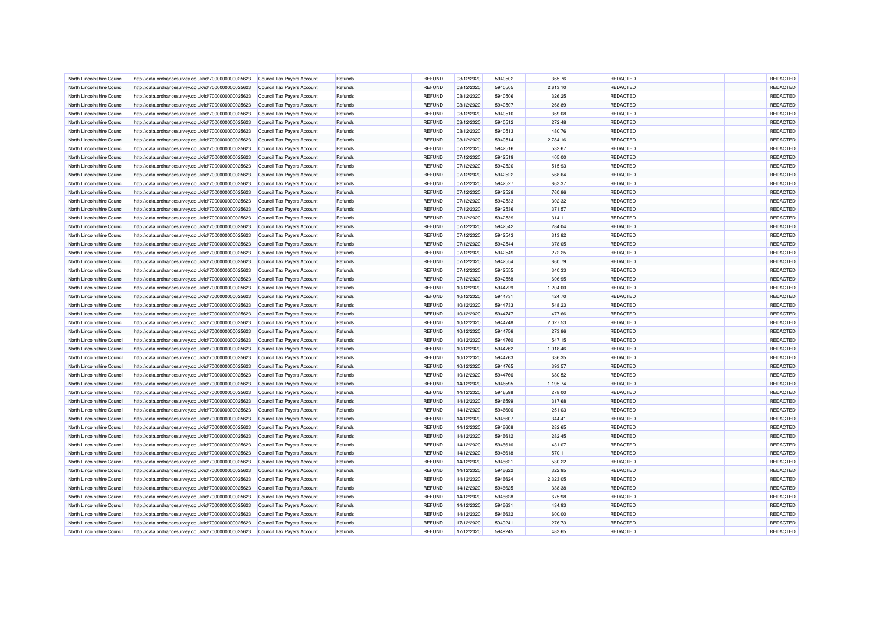| North Lincolnshire Council                               | http://data.ordnancesurvey.co.uk/id/7000000000025623 | Council Tax Payers Account | Refunds            | <b>REFUND</b> | 03/12/2020 | 5940502            | 365.76           | <b>REDACTED</b>                    | REDACTED             |
|----------------------------------------------------------|------------------------------------------------------|----------------------------|--------------------|---------------|------------|--------------------|------------------|------------------------------------|----------------------|
| North Lincolnshire Council                               | http://data.ordnancesurvey.co.uk/id/7000000000025623 | Council Tax Payers Account | Refunds            | <b>REFUND</b> | 03/12/2020 | 5940505            | 2,613.10         | <b>REDACTED</b>                    | REDACTED             |
| North Lincolnshire Council                               | http://data.ordnancesurvey.co.uk/id/7000000000025623 | Council Tax Payers Account | Refunds            | <b>REFUND</b> | 03/12/2020 | 5940506            | 326.25           | <b>REDACTED</b>                    | REDACTED             |
| North Lincolnshire Counci                                | http://data.ordnancesurvey.co.uk/id/7000000000025623 | Council Tax Payers Account | Refunds            | <b>REFUND</b> | 03/12/2020 | 5940507            | 268.89           | <b>REDACTED</b>                    | REDACTED             |
| North Lincolnshire Council                               | http://data.ordnancesurvey.co.uk/id/7000000000025623 | Council Tax Payers Account | Refunds            | <b>REFUND</b> | 03/12/2020 | 5940510            | 369.08           | <b>REDACTED</b>                    | REDACTED             |
| North Lincolnshire Council                               | http://data.ordnancesurvey.co.uk/id/7000000000025623 | Council Tax Payers Account | Refunds            | <b>REFUND</b> | 03/12/2020 | 5940512            | 272.48           | <b>REDACTED</b>                    | REDACTED             |
|                                                          |                                                      |                            |                    |               |            |                    |                  |                                    |                      |
| North Lincolnshire Council                               | http://data.ordnancesurvey.co.uk/id/7000000000025623 | Council Tax Payers Account | Refunds            | <b>REFUND</b> | 03/12/2020 | 5940513            | 480.76           | <b>REDACTED</b>                    | REDACTED             |
| North Lincolnshire Council                               | http://data.ordnancesurvey.co.uk/id/7000000000025623 | Council Tax Payers Account | Refunds            | <b>REFUND</b> | 03/12/2020 | 5940514            | 2,784.16         | <b>REDACTED</b>                    | REDACTED             |
| North Lincolnshire Council                               | http://data.ordnancesurvey.co.uk/id/7000000000025623 | Council Tax Payers Account | Refunds            | <b>REFUND</b> | 07/12/2020 | 5942516            | 532.67           | REDACTED                           | REDACTED             |
| North Lincolnshire Council                               | http://data.ordnancesurvey.co.uk/id/7000000000025623 | Council Tax Payers Account | Refunds            | <b>REFUND</b> | 07/12/2020 | 5942519            | 405.00           | <b>REDACTED</b>                    | REDACTED             |
| North Lincolnshire Council                               | http://data.ordnancesurvey.co.uk/id/7000000000025623 | Council Tax Payers Account | Refunds            | <b>REFUND</b> | 07/12/2020 | 5942520            | 515.93           | <b>REDACTED</b>                    | REDACTED             |
| North Lincolnshire Council                               | http://data.ordnancesurvey.co.uk/id/7000000000025623 | Council Tax Payers Account | Refunds            | <b>REFUND</b> | 07/12/2020 | 5942522            | 568.64           | <b>REDACTED</b>                    | REDACTED             |
| North Lincolnshire Council                               | http://data.ordnancesurvey.co.uk/id/7000000000025623 | Council Tax Payers Account | Refunds            | <b>REFUND</b> | 07/12/2020 | 5942527            | 863.37           | <b>REDACTED</b>                    | REDACTED             |
| North Lincolnshire Council                               | http://data.ordnancesurvey.co.uk/id/7000000000025623 | Council Tax Payers Account | Refunds            | <b>REFUND</b> | 07/12/2020 | 5942528            | 760.86           | <b>REDACTED</b>                    | REDACTED             |
| North Lincolnshire Council                               | http://data.ordnancesurvey.co.uk/id/7000000000025623 | Council Tax Payers Account | Refunds            | <b>REFUND</b> | 07/12/2020 | 5942533            | 302.32           | <b>REDACTED</b>                    | REDACTED             |
| North Lincolnshire Council                               | http://data.ordnancesurvey.co.uk/id/7000000000025623 | Council Tax Payers Account | Refunds            | <b>REFUND</b> | 07/12/2020 | 5942536            | 371.57           | <b>REDACTED</b>                    | REDACTED             |
| North Lincolnshire Council                               | http://data.ordnancesurvey.co.uk/id/7000000000025623 | Council Tax Payers Account | Refunds            | <b>REFUND</b> | 07/12/2020 | 5942539            | 314.11           | <b>REDACTED</b>                    | REDACTED             |
| North Lincolnshire Council                               | http://data.ordnancesurvey.co.uk/id/7000000000025623 | Council Tax Payers Account | Refunds            | <b>REFUND</b> | 07/12/2020 | 5942542            | 284.04           | <b>REDACTED</b>                    | REDACTED             |
| North Lincolnshire Council                               | http://data.ordnancesurvey.co.uk/id/7000000000025623 | Council Tax Payers Account | Refunds            | REFUND        | 07/12/2020 | 5942543            | 313.82           | <b>REDACTED</b>                    | REDACTED             |
| North Lincolnshire Council                               | http://data.ordnancesurvey.co.uk/id/7000000000025623 | Council Tax Payers Account | Refunds            | <b>REFUND</b> | 07/12/2020 | 5942544            | 378.05           | REDACTED                           | REDACTED             |
| North Lincolnshire Council                               | http://data.ordnancesurvey.co.uk/id/7000000000025623 | Council Tax Payers Account | Refunds            | <b>REFUND</b> | 07/12/2020 | 5942549            | 272.25           | <b>REDACTED</b>                    | REDACTED             |
| North Lincolnshire Council                               | http://data.ordnancesurvey.co.uk/id/7000000000025623 | Council Tax Payers Account | Refunds            | <b>REFUND</b> | 07/12/2020 | 5942554            | 860.79           | <b>REDACTED</b>                    | REDACTED             |
| North Lincolnshire Council                               | http://data.ordnancesurvey.co.uk/id/7000000000025623 | Council Tax Payers Account | Refunds            | <b>REFUND</b> | 07/12/2020 | 5942555            | 340.33           | <b>REDACTED</b>                    | REDACTED             |
| North Lincolnshire Counci                                | http://data.ordnancesurvey.co.uk/id/7000000000025623 | Council Tax Payers Account | Refunds            | <b>REFUND</b> | 07/12/2020 | 5942558            | 606.95           | <b>REDACTED</b>                    | REDACTED             |
| North Lincolnshire Council                               | http://data.ordnancesurvey.co.uk/id/7000000000025623 | Council Tax Payers Account | Refunds            | <b>REFUND</b> | 10/12/2020 | 5944729            | 1,204.00         | <b>REDACTED</b>                    | REDACTED             |
|                                                          |                                                      |                            |                    |               |            |                    |                  |                                    |                      |
| North Lincolnshire Council<br>North Lincolnshire Council | http://data.ordnancesurvey.co.uk/id/7000000000025623 | Council Tax Payers Account | Refunds<br>Refunds | <b>REFUND</b> | 10/12/2020 | 5944731<br>5944733 | 424.70<br>548.23 | <b>REDACTED</b><br><b>REDACTED</b> | REDACTED<br>REDACTED |
|                                                          | http://data.ordnancesurvey.co.uk/id/7000000000025623 | Council Tax Payers Account |                    | <b>REFUND</b> | 10/12/2020 | 5944747            |                  |                                    |                      |
| North Lincolnshire Council                               | http://data.ordnancesurvey.co.uk/id/7000000000025623 | Council Tax Payers Account | Refunds            | <b>REFUND</b> | 10/12/2020 |                    | 477.66           | <b>REDACTED</b>                    | REDACTED             |
| North Lincolnshire Council                               | http://data.ordnancesurvey.co.uk/id/7000000000025623 | Council Tax Payers Account | Refunds            | <b>REFUND</b> | 10/12/2020 | 5944748            | 2,027.53         | <b>REDACTED</b>                    | REDACTED             |
| North Lincolnshire Council                               | http://data.ordnancesurvey.co.uk/id/7000000000025623 | Council Tax Payers Account | Refunds            | <b>REFUND</b> | 10/12/2020 | 5944756            | 273.86           | <b>REDACTED</b>                    | REDACTED             |
| North Lincolnshire Counci                                | http://data.ordnancesurvey.co.uk/id/7000000000025623 | Council Tax Payers Account | Refunds            | <b>REFUND</b> | 10/12/2020 | 5944760            | 547.15           | REDACTED                           | REDACTED             |
| North Lincolnshire Council                               | http://data.ordnancesurvey.co.uk/id/7000000000025623 | Council Tax Payers Account | Refunds            | <b>REFUND</b> | 10/12/2020 | 5944762            | 1,018.46         | <b>REDACTED</b>                    | REDACTED             |
| North Lincolnshire Council                               | http://data.ordnancesurvey.co.uk/id/7000000000025623 | Council Tax Payers Account | Refunds            | <b>REFUND</b> | 10/12/2020 | 5944763            | 336.35           | <b>REDACTED</b>                    | REDACTED             |
| North Lincolnshire Council                               | http://data.ordnancesurvey.co.uk/id/7000000000025623 | Council Tax Payers Account | Refunds            | <b>REFUND</b> | 10/12/2020 | 5944765            | 393.57           | <b>REDACTED</b>                    | REDACTED             |
| North Lincolnshire Council                               | http://data.ordnancesurvey.co.uk/id/7000000000025623 | Council Tax Payers Account | Refunds            | <b>REFUND</b> | 10/12/2020 | 5944766            | 680.52           | <b>REDACTED</b>                    | REDACTED             |
| North Lincolnshire Council                               | http://data.ordnancesurvey.co.uk/id/7000000000025623 | Council Tax Payers Account | Refunds            | <b>REFUND</b> | 14/12/2020 | 5946595            | 1,195.74         | <b>REDACTED</b>                    | REDACTED             |
| North Lincolnshire Council                               | http://data.ordnancesurvey.co.uk/id/7000000000025623 | Council Tax Payers Account | Refunds            | <b>REFUND</b> | 14/12/2020 | 5946598            | 278.00           | <b>REDACTED</b>                    | REDACTED             |
| North Lincolnshire Council                               | http://data.ordnancesurvey.co.uk/id/7000000000025623 | Council Tax Payers Account | Refunds            | <b>REFUND</b> | 14/12/2020 | 5946599            | 317.68           | <b>REDACTED</b>                    | REDACTED             |
| North Lincolnshire Council                               | http://data.ordnancesurvey.co.uk/id/7000000000025623 | Council Tax Payers Account | Refunds            | <b>REFUND</b> | 14/12/2020 | 5946606            | 251.03           | <b>REDACTED</b>                    | REDACTED             |
| North Lincolnshire Council                               | http://data.ordnancesurvey.co.uk/id/7000000000025623 | Council Tax Payers Account | Refunds            | <b>REFUND</b> | 14/12/2020 | 5946607            | 344.41           | <b>REDACTED</b>                    | REDACTED             |
| North Lincolnshire Council                               | http://data.ordnancesurvey.co.uk/id/7000000000025623 | Council Tax Payers Account | Refunds            | <b>REFUND</b> | 14/12/2020 | 5946608            | 282.65           | <b>REDACTED</b>                    | REDACTED             |
| North Lincolnshire Council                               | http://data.ordnancesurvey.co.uk/id/7000000000025623 | Council Tax Payers Account | Refunds            | <b>REFUND</b> | 14/12/2020 | 5946612            | 282.45           | <b>REDACTED</b>                    | REDACTED             |
| North Lincolnshire Council                               | http://data.ordnancesurvey.co.uk/id/7000000000025623 | Council Tax Payers Account | Refunds            | <b>REFUND</b> | 14/12/2020 | 5946616            | 431.07           | <b>REDACTED</b>                    | REDACTED             |
| North Lincolnshire Council                               | http://data.ordnancesurvey.co.uk/id/7000000000025623 | Council Tax Payers Account | Refunds            | <b>REFUND</b> | 14/12/2020 | 5946618            | 570.11           | <b>REDACTED</b>                    | REDACTED             |
| North Lincolnshire Council                               | http://data.ordnancesurvey.co.uk/id/7000000000025623 | Council Tax Payers Account | Refunds            | <b>REFUND</b> | 14/12/2020 | 5946621            | 530.22           | <b>REDACTED</b>                    | REDACTED             |
| North Lincolnshire Council                               | http://data.ordnancesurvey.co.uk/id/7000000000025623 | Council Tax Payers Account | Refunds            | <b>REFUND</b> | 14/12/2020 | 5946622            | 322.95           | <b>REDACTED</b>                    | REDACTED             |
| North Lincolnshire Council                               | http://data.ordnancesurvey.co.uk/id/7000000000025623 | Council Tax Payers Account | Refunds            | <b>REFUND</b> | 14/12/2020 | 5946624            | 2,323.05         | REDACTED                           | REDACTED             |
| North Lincolnshire Council                               | http://data.ordnancesurvey.co.uk/id/7000000000025623 | Council Tax Payers Account | Refunds            | <b>REFUND</b> | 14/12/2020 | 5946625            | 338.38           | <b>REDACTED</b>                    | REDACTED             |
| North Lincolnshire Council                               | http://data.ordnancesurvey.co.uk/id/7000000000025623 |                            | Refunds            | <b>REFUND</b> | 14/12/2020 | 5946628            | 675.98           | <b>REDACTED</b>                    | REDACTED             |
|                                                          |                                                      | Council Tax Payers Account |                    |               |            |                    |                  |                                    |                      |
| North Lincolnshire Council                               | http://data.ordnancesurvey.co.uk/id/7000000000025623 | Council Tax Payers Account | Refunds            | <b>REFUND</b> | 14/12/2020 | 5946631            | 434.93           | <b>REDACTED</b>                    | REDACTED             |
| North Lincolnshire Counci                                | http://data.ordnancesurvey.co.uk/id/7000000000025623 | Council Tax Payers Account | Refunds            | <b>REFUND</b> | 14/12/2020 | 5946632            | 600.00           | REDACTED                           | REDACTED             |
| North Lincolnshire Council                               | http://data.ordnancesurvey.co.uk/id/7000000000025623 | Council Tax Payers Account | Refunds            | <b>REFUND</b> | 17/12/2020 | 5949241            | 276.73           | <b>REDACTED</b>                    | REDACTED             |
| North Lincolnshire Council                               | http://data.ordnancesurvey.co.uk/id/7000000000025623 | Council Tax Payers Account | Refunds            | <b>REFUND</b> | 17/12/2020 | 5949245            | 483.65           | <b>REDACTED</b>                    | REDACTED             |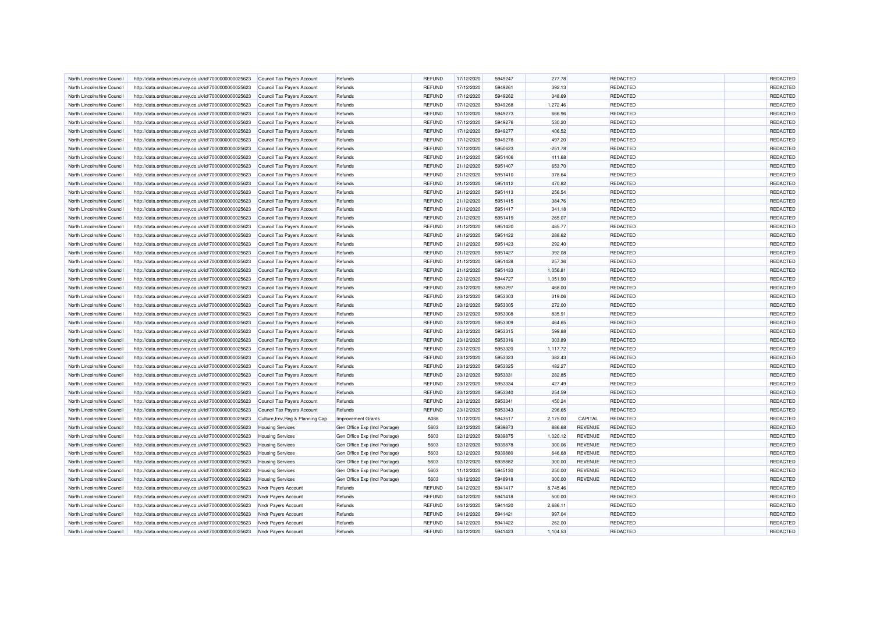| North Lincolnshire Council | http://data.ordnancesurvey.co.uk/id/7000000000025623 | Council Tax Payers Account       | Refunds                       | <b>REFUND</b> | 17/12/2020 | 5949247 | 277.78    |                | <b>REDACTED</b> | REDACTED |
|----------------------------|------------------------------------------------------|----------------------------------|-------------------------------|---------------|------------|---------|-----------|----------------|-----------------|----------|
| North Lincolnshire Council | http://data.ordnancesurvey.co.uk/id/7000000000025623 | Council Tax Payers Account       | Refunds                       | REFUND        | 17/12/2020 | 5949261 | 392.13    |                | <b>REDACTED</b> | REDACTED |
| North Lincolnshire Council | http://data.ordnancesurvey.co.uk/id/7000000000025623 | Council Tax Payers Account       | Refunds                       | <b>REFUND</b> | 17/12/2020 | 5949262 | 348.69    |                | <b>REDACTED</b> | REDACTED |
| North Lincolnshire Counci  | http://data.ordnancesurvey.co.uk/id/7000000000025623 | Council Tax Payers Account       | Refunds                       | <b>REFUND</b> | 17/12/2020 | 5949268 | 1,272.46  |                | <b>REDACTED</b> | REDACTED |
| North Lincolnshire Council | http://data.ordnancesurvey.co.uk/id/7000000000025623 | Council Tax Payers Account       | Refunds                       | <b>REFUND</b> | 17/12/2020 | 5949273 | 666.96    |                | <b>REDACTED</b> | REDACTED |
| North Lincolnshire Council | http://data.ordnancesurvey.co.uk/id/7000000000025623 | Council Tax Payers Account       | Refunds                       | <b>REFUND</b> | 17/12/2020 | 5949276 | 530.20    |                | REDACTED        | REDACTED |
|                            |                                                      |                                  |                               |               |            |         |           |                |                 |          |
| North Lincolnshire Council | http://data.ordnancesurvey.co.uk/id/7000000000025623 | Council Tax Payers Account       | Refunds                       | <b>REFUND</b> | 17/12/2020 | 5949277 | 406.52    |                | <b>REDACTED</b> | REDACTED |
| North Lincolnshire Council | http://data.ordnancesurvey.co.uk/id/7000000000025623 | Council Tax Payers Account       | Refunds                       | <b>REFUND</b> | 17/12/2020 | 5949278 | 497.20    |                | <b>REDACTED</b> | REDACTED |
| North Lincolnshire Council | http://data.ordnancesurvey.co.uk/id/7000000000025623 | Council Tax Payers Account       | Refunds                       | <b>REFUND</b> | 17/12/2020 | 5950623 | $-251.78$ |                | <b>REDACTED</b> | REDACTED |
| North Lincolnshire Council | http://data.ordnancesurvey.co.uk/id/7000000000025623 | Council Tax Payers Account       | Refunds                       | <b>REFUND</b> | 21/12/2020 | 5951406 | 411.68    |                | <b>REDACTED</b> | REDACTED |
| North Lincolnshire Council | http://data.ordnancesurvey.co.uk/id/7000000000025623 | Council Tax Payers Account       | Refunds                       | <b>REFUND</b> | 21/12/2020 | 5951407 | 653.70    |                | <b>REDACTED</b> | REDACTED |
| North Lincolnshire Council | http://data.ordnancesurvey.co.uk/id/7000000000025623 | Council Tax Payers Account       | Refunds                       | <b>REFUND</b> | 21/12/2020 | 5951410 | 378.64    |                | <b>REDACTED</b> | REDACTED |
| North Lincolnshire Council | http://data.ordnancesurvey.co.uk/id/7000000000025623 | Council Tax Payers Account       | Refunds                       | <b>REFUND</b> | 21/12/2020 | 5951412 | 470.82    |                | <b>REDACTED</b> | REDACTED |
| North Lincolnshire Council | http://data.ordnancesurvey.co.uk/id/7000000000025623 | Council Tax Payers Account       | Refunds                       | <b>REFUND</b> | 21/12/2020 | 5951413 | 256.54    |                | <b>REDACTED</b> | REDACTED |
| North Lincolnshire Council | http://data.ordnancesurvey.co.uk/id/7000000000025623 | Council Tax Payers Account       | Refunds                       | <b>REFUND</b> | 21/12/2020 | 5951415 | 384.76    |                | <b>REDACTED</b> | REDACTED |
| North Lincolnshire Council | http://data.ordnancesurvey.co.uk/id/7000000000025623 | Council Tax Payers Account       | Refunds                       | <b>REFUND</b> | 21/12/2020 | 5951417 | 341.18    |                | <b>REDACTED</b> | REDACTED |
| North Lincolnshire Council | http://data.ordnancesurvey.co.uk/id/7000000000025623 | Council Tax Payers Account       | Refunds                       | <b>REFUND</b> | 21/12/2020 | 5951419 | 265.07    |                | <b>REDACTED</b> | REDACTED |
| North Lincolnshire Council | http://data.ordnancesurvey.co.uk/id/7000000000025623 | Council Tax Payers Account       | Refunds                       | <b>REFUND</b> | 21/12/2020 | 5951420 | 485.77    |                | <b>REDACTED</b> | REDACTED |
| North Lincolnshire Council | http://data.ordnancesurvey.co.uk/id/7000000000025623 | Council Tax Payers Account       | Refunds                       | <b>REFUND</b> | 21/12/2020 | 5951422 | 288.62    |                | <b>REDACTED</b> | REDACTED |
| North Lincolnshire Council | http://data.ordnancesurvey.co.uk/id/7000000000025623 | Council Tax Payers Account       | Refunds                       | <b>REFUND</b> | 21/12/2020 | 5951423 | 292.40    |                | <b>REDACTED</b> | REDACTED |
| North Lincolnshire Council | http://data.ordnancesurvey.co.uk/id/7000000000025623 | Council Tax Payers Account       | Refunds                       | <b>REFUND</b> | 21/12/2020 | 5951427 | 392.08    |                | <b>REDACTED</b> | REDACTED |
| North Lincolnshire Council | http://data.ordnancesurvey.co.uk/id/7000000000025623 | Council Tax Payers Account       | Refunds                       | <b>REFUND</b> | 21/12/2020 | 5951428 | 257.36    |                | <b>REDACTED</b> | REDACTED |
| North Lincolnshire Council | http://data.ordnancesurvey.co.uk/id/7000000000025623 | Council Tax Payers Account       | Refunds                       | <b>REFUND</b> | 21/12/2020 | 5951433 | 1,056.81  |                | <b>REDACTED</b> | REDACTED |
| North Lincolnshire Council | http://data.ordnancesurvey.co.uk/id/7000000000025623 | Council Tax Payers Account       | Refunds                       | <b>REFUND</b> | 22/12/2020 | 5944727 | 1,051.90  |                | <b>REDACTED</b> | REDACTED |
| North Lincolnshire Council | http://data.ordnancesurvey.co.uk/id/7000000000025623 | Council Tax Payers Account       | Refunds                       | <b>REFUND</b> | 23/12/2020 | 5953297 | 468.00    |                | REDACTED        | REDACTED |
| North Lincolnshire Council | http://data.ordnancesurvey.co.uk/id/7000000000025623 | Council Tax Payers Account       | Refunds                       | <b>REFUND</b> | 23/12/2020 | 5953303 | 319.06    |                | <b>REDACTED</b> | REDACTED |
| North Lincolnshire Council | http://data.ordnancesurvey.co.uk/id/7000000000025623 | Council Tax Payers Account       | Refunds                       | <b>REFUND</b> | 23/12/2020 | 5953305 | 272.00    |                | <b>REDACTED</b> | REDACTED |
| North Lincolnshire Council | http://data.ordnancesurvey.co.uk/id/7000000000025623 | Council Tax Payers Account       | Refunds                       | <b>REFUND</b> | 23/12/2020 | 5953308 | 835.91    |                | <b>REDACTED</b> | REDACTED |
|                            |                                                      |                                  |                               |               |            |         |           |                |                 | REDACTED |
| North Lincolnshire Council | http://data.ordnancesurvey.co.uk/id/7000000000025623 | Council Tax Payers Account       | Refunds                       | <b>REFUND</b> | 23/12/2020 | 5953309 | 464.65    |                | <b>REDACTED</b> |          |
| North Lincolnshire Council | http://data.ordnancesurvey.co.uk/id/7000000000025623 | Council Tax Payers Account       | Refunds                       | <b>REFUND</b> | 23/12/2020 | 5953315 | 599.88    |                | <b>REDACTED</b> | REDACTED |
| North Lincolnshire Counci  | http://data.ordnancesurvey.co.uk/id/7000000000025623 | Council Tax Payers Account       | Refunds                       | <b>REFUND</b> | 23/12/2020 | 5953316 | 303.89    |                | <b>REDACTED</b> | REDACTED |
| North Lincolnshire Council | http://data.ordnancesurvey.co.uk/id/7000000000025623 | Council Tax Payers Account       | Refunds                       | <b>REFUND</b> | 23/12/2020 | 5953320 | 1,117.72  |                | <b>REDACTED</b> | REDACTED |
| North Lincolnshire Council | http://data.ordnancesurvey.co.uk/id/7000000000025623 | Council Tax Payers Account       | Refunds                       | <b>REFUND</b> | 23/12/2020 | 5953323 | 382.43    |                | <b>REDACTED</b> | REDACTED |
| North Lincolnshire Council | http://data.ordnancesurvey.co.uk/id/7000000000025623 | Council Tax Payers Account       | Refunds                       | <b>REFUND</b> | 23/12/2020 | 5953325 | 482.27    |                | <b>REDACTED</b> | REDACTED |
| North Lincolnshire Council | http://data.ordnancesurvey.co.uk/id/7000000000025623 | Council Tax Payers Account       | Refunds                       | <b>REFUND</b> | 23/12/2020 | 5953331 | 282.85    |                | <b>REDACTED</b> | REDACTED |
| North Lincolnshire Council | http://data.ordnancesurvey.co.uk/id/7000000000025623 | Council Tax Payers Account       | Refunds                       | <b>REFUND</b> | 23/12/2020 | 5953334 | 427.49    |                | <b>REDACTED</b> | REDACTED |
| North Lincolnshire Council | http://data.ordnancesurvey.co.uk/id/7000000000025623 | Council Tax Payers Account       | Refunds                       | <b>REFUND</b> | 23/12/2020 | 5953340 | 254.59    |                | REDACTED        | REDACTED |
| North Lincolnshire Council | http://data.ordnancesurvey.co.uk/id/7000000000025623 | Council Tax Payers Account       | Refunds                       | <b>REFUND</b> | 23/12/2020 | 5953341 | 450.24    |                | <b>REDACTED</b> | REDACTED |
| North Lincolnshire Council | http://data.ordnancesurvey.co.uk/id/7000000000025623 | Council Tax Payers Account       | Refunds                       | <b>REFUND</b> | 23/12/2020 | 5953343 | 296.65    |                | <b>REDACTED</b> | REDACTED |
| North Lincolnshire Council | http://data.ordnancesurvey.co.uk/id/7000000000025623 | Culture, Env, Reg & Planning Cap | Improvement Grants            | A088          | 11/12/2020 | 5943517 | 2,175.00  | CAPITAL        | <b>REDACTED</b> | REDACTED |
| North Lincolnshire Council | http://data.ordnancesurvey.co.uk/id/7000000000025623 | <b>Housing Services</b>          | Gen Office Exp (Incl Postage) | 5603          | 02/12/2020 | 5939873 | 886.68    | <b>REVENUE</b> | <b>REDACTED</b> | REDACTED |
| North Lincolnshire Council | http://data.ordnancesurvey.co.uk/id/7000000000025623 | <b>Housing Services</b>          | Gen Office Exp (Incl Postage) | 5603          | 02/12/2020 | 5939875 | 1,020.12  | <b>REVENUE</b> | <b>REDACTED</b> | REDACTED |
| North Lincolnshire Council | http://data.ordnancesurvey.co.uk/id/7000000000025623 | <b>Housing Services</b>          | Gen Office Exp (Incl Postage) | 5603          | 02/12/2020 | 5939878 | 300.06    | <b>REVENUE</b> | <b>REDACTED</b> | REDACTED |
| North Lincolnshire Council | http://data.ordnancesurvey.co.uk/id/7000000000025623 | <b>Housing Services</b>          | Gen Office Exp (Incl Postage) | 5603          | 02/12/2020 | 5939880 | 646.68    | <b>REVENUE</b> | <b>REDACTED</b> | REDACTED |
| North Lincolnshire Council | http://data.ordnancesurvey.co.uk/id/7000000000025623 | <b>Housing Services</b>          | Gen Office Exp (Incl Postage) | 5603          | 02/12/2020 | 5939882 | 300.00    | <b>REVENUE</b> | <b>REDACTED</b> | REDACTED |
| North Lincolnshire Council | http://data.ordnancesurvey.co.uk/id/7000000000025623 | <b>Housing Services</b>          | Gen Office Exp (Incl Postage) | 5603          | 11/12/2020 | 5945130 | 250.00    | <b>REVENUE</b> | <b>REDACTED</b> | REDACTED |
| North Lincolnshire Council | http://data.ordnancesurvey.co.uk/id/7000000000025623 | <b>Housing Services</b>          | Gen Office Exp (Incl Postage) | 5603          | 18/12/2020 | 5948918 | 300.00    | <b>REVENUE</b> | REDACTED        | REDACTED |
| North Lincolnshire Council | http://data.ordnancesurvey.co.uk/id/7000000000025623 | Nndr Payers Account              | Refunds                       | <b>REFUND</b> | 04/12/2020 | 5941417 | 8,745.46  |                | <b>REDACTED</b> | REDACTED |
| North Lincolnshire Council | http://data.ordnancesurvey.co.uk/id/7000000000025623 | Nndr Payers Account              | Refunds                       | <b>REFUND</b> | 04/12/2020 | 5941418 | 500.00    |                | <b>REDACTED</b> | REDACTED |
| North Lincolnshire Council | http://data.ordnancesurvey.co.uk/id/7000000000025623 | Nndr Payers Account              | Refunds                       | <b>REFUND</b> | 04/12/2020 | 5941420 | 2,686.11  |                | <b>REDACTED</b> | REDACTED |
| North Lincolnshire Counci  | http://data.ordnancesurvey.co.uk/id/7000000000025623 | Nndr Payers Account              | Refunds                       | <b>REFUND</b> | 04/12/2020 | 5941421 | 997.04    |                | <b>REDACTED</b> | REDACTED |
| North Lincolnshire Council | http://data.ordnancesurvey.co.uk/id/7000000000025623 | Nndr Payers Account              | Refunds                       | <b>REFUND</b> | 04/12/2020 | 5941422 | 262.00    |                | REDACTED        | REDACTED |
|                            |                                                      |                                  |                               | <b>REFUND</b> |            |         |           |                | <b>REDACTED</b> | REDACTED |
| North Lincolnshire Council | http://data.ordnancesurvey.co.uk/id/7000000000025623 | Nndr Payers Account              | Refunds                       |               | 04/12/2020 | 5941423 | 1,104.53  |                |                 |          |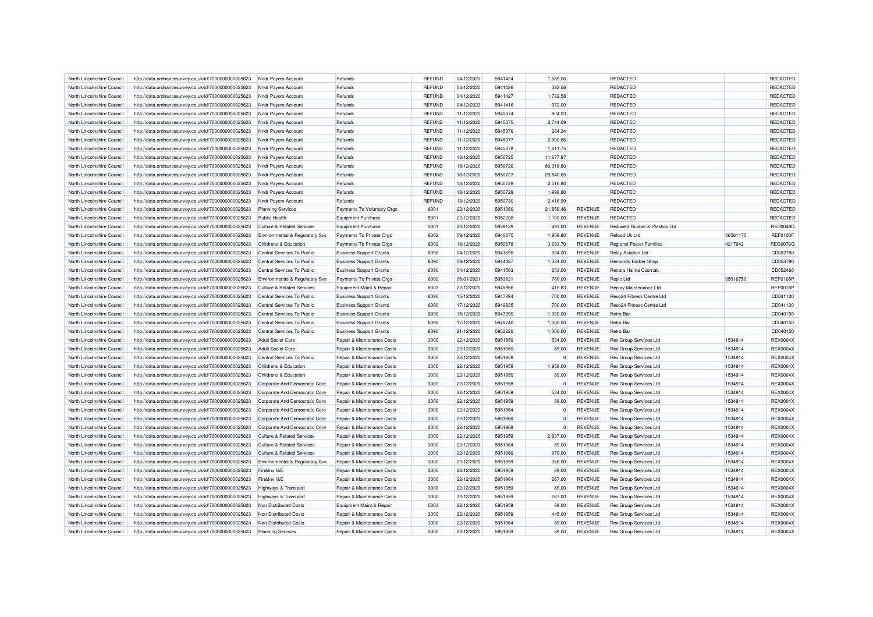| North Lincolnshire Council | http://data.ordnancesurvey.co.uk/id/7000000000025623 | Nndr Payers Account                   | Refunds                        | <b>REFUND</b> | 04/12/2020 | 5941424            | 1.589.06   |                | REDACTED                                      |          | REDACTED        |
|----------------------------|------------------------------------------------------|---------------------------------------|--------------------------------|---------------|------------|--------------------|------------|----------------|-----------------------------------------------|----------|-----------------|
| North Lincolnshire Council | http://data.ordnancesurvey.co.uk/id/7000000000025623 | Nndr Payers Account                   | Refunds                        | <b>REFUND</b> | 04/12/2020 | 5941426            | 322.56     |                | <b>REDACTED</b>                               |          | REDACTED        |
| North Lincolnshire Council | http://data.ordnancesurvey.co.uk/id/7000000000025623 | Nndr Payers Account                   | Refunds                        | <b>REFUND</b> | 04/12/2020 | 5941427            | 1,732.58   |                | <b>REDACTED</b>                               |          | REDACTED        |
| North Lincolnshire Council | http://data.ordnancesurvey.co.uk/id/7000000000025623 | Nndr Payers Account                   | Refunds                        | <b>REFUND</b> | 04/12/2020 | 5941416            | $-972.00$  |                | REDACTED                                      |          | REDACTED        |
| North Lincolnshire Council | http://data.ordnancesurvey.co.uk/id/7000000000025623 | Nndr Payers Account                   | Refunds                        | <b>REFUND</b> | 11/12/2020 | 5945374            | 804.03     |                | <b>REDACTED</b>                               |          | REDACTED        |
| North Lincolnshire Council | http://data.ordnancesurvey.co.uk/id/7000000000025623 | Nndr Payers Account                   | Refunds                        | <b>REFUND</b> | 11/12/2020 | 5945375            | 2,744.09   |                | <b>REDACTED</b>                               |          | REDACTED        |
| North Lincolnshire Council | http://data.ordnancesurvey.co.uk/id/7000000000025623 | Nndr Payers Account                   | Refunds                        | <b>REFUND</b> | 11/12/2020 | 5945376            | 284.34     |                | <b>REDACTED</b>                               |          | REDACTED        |
| North Lincolnshire Council | http://data.ordnancesurvey.co.uk/id/7000000000025623 | Nndr Payers Account                   | Refunds                        | <b>REFUND</b> | 11/12/2020 | 5945377            | 2,900.66   |                | <b>REDACTED</b>                               |          | REDACTED        |
| North Lincolnshire Council | http://data.ordnancesurvey.co.uk/id/7000000000025623 | Nndr Payers Account                   | Refunds                        | <b>REFUND</b> | 11/12/2020 | 5945378            | 1,611.75   |                | REDACTED                                      |          | REDACTED        |
| North Lincolnshire Council | http://data.ordnancesurvey.co.uk/id/7000000000025623 | Nndr Payers Account                   | Refunds                        | <b>REFUND</b> | 18/12/2020 | 5950725            | 11,677.87  |                | REDACTED                                      |          | REDACTED        |
| North Lincolnshire Council | http://data.ordnancesurvey.co.uk/id/7000000000025623 | Nndr Payers Account                   | Refunds                        | <b>REFUND</b> | 18/12/2020 | 5950726            | 80,318.80  |                | REDACTED                                      |          | REDACTED        |
| North Lincolnshire Council | http://data.ordnancesurvey.co.uk/id/7000000000025623 | Nndr Payers Account                   | Refunds                        | <b>REFUND</b> | 18/12/2020 | 5950727            | 29,840.65  |                | <b>REDACTED</b>                               |          | REDACTED        |
| North Lincolnshire Council | http://data.ordnancesurvey.co.uk/id/7000000000025623 | Nndr Payers Account                   | Refunds                        | <b>REFUND</b> | 18/12/2020 | 5950728            | 2,516.80   |                | <b>REDACTED</b>                               |          | REDACTED        |
| North Lincolnshire Council | http://data.ordnancesurvey.co.uk/id/7000000000025623 | Nndr Payers Account                   | Refunds                        | <b>REFUND</b> | 18/12/2020 | 5950729            | 1,996.80   |                | <b>REDACTED</b>                               |          | REDACTED        |
| North Lincolnshire Council | http://data.ordnancesurvey.co.uk/id/7000000000025623 | Nndr Payers Account                   | Refunds                        | <b>REFUND</b> | 18/12/2020 | 5950730            | 2,416.99   |                | REDACTED                                      |          | REDACTED        |
| North Lincolnshire Council | http://data.ordnancesurvey.co.uk/id/7000000000025623 | <b>Planning Services</b>              | Payments To Voluntary Orgs     | 6001          | 22/12/2020 | 5951380            | 21,859.46  | <b>REVENUE</b> | <b>REDACTED</b>                               |          | REDACTED        |
| North Lincolnshire Council | http://data.ordnancesurvey.co.uk/id/7000000000025623 | <b>Public Health</b>                  | <b>Equipment Purchase</b>      | 5001          | 22/12/2020 | 5952208            | 1,100.00   | <b>REVENUE</b> | <b>REDACTED</b>                               |          | REDACTED        |
| North Lincolnshire Council | http://data.ordnancesurvey.co.uk/id/7000000000025623 | <b>Culture &amp; Related Services</b> | <b>Equipment Purchase</b>      | 5001          | 22/12/2020 | 5939139            | 491.00     | <b>REVENUE</b> | Rediweld Rubber & Plastics Ltd                |          | <b>RED0049D</b> |
| North Lincolnshire Council | http://data.ordnancesurvey.co.uk/id/7000000000025623 | Environmental & Regulatory Svs        | Payments To Private Orgs       | 6002          | 09/12/2020 | 5940670            | 1,959.80   | <b>REVENUE</b> | Refood Uk Ltd                                 | 06561170 | <b>REF0100F</b> |
| North Lincolnshire Council | http://data.ordnancesurvey.co.uk/id/7000000000025623 | Childrens & Education                 | Payments To Private Orgs       | 6002          | 18/12/2020 | 5950678            | 3,233.70   | <b>REVENUE</b> | <b>Regional Foster Families</b>               | 4217642  | <b>REG0076G</b> |
| North Lincolnshire Council | http://data.ordnancesurvey.co.uk/id/7000000000025623 | Central Services To Public            | <b>Business Support Grants</b> | 6090          | 04/12/2020 | 5941595            | 934.00     | <b>REVENUE</b> | <b>Relay Aviation Ltd</b>                     |          | CD052780        |
| North Lincolnshire Council | http://data.ordnancesurvey.co.uk/id/7000000000025623 | Central Services To Public            | <b>Business Support Grants</b> | 6090          | 09/12/2020 | 5944487            | 1,334.00   | <b>REVENUE</b> | Remonds Barber Shop                           |          | CD053790        |
| North Lincolnshire Council | http://data.ordnancesurvey.co.uk/id/7000000000025623 | Central Services To Public            | <b>Business Support Grants</b> | 6090          | 04/12/2020 | 5941563            | 653.00     | <b>REVENUE</b> | Renata Halina Czornak                         |          | CD052460        |
| North Lincolnshire Council | http://data.ordnancesurvey.co.uk/id/7000000000025623 | Environmental & Regulatory Svs        | Payments To Private Orgs       | 6002          | 06/01/2021 | 5953621            | 780.00     | <b>REVENUE</b> | Repic Ltd                                     | 05016750 | <b>REP0165P</b> |
| North Lincolnshire Council | http://data.ordnancesurvey.co.uk/id/7000000000025623 | <b>Culture &amp; Related Services</b> | Equipment Maint.& Repair       | 5003          | 22/12/2020 | 5945966            | 415.83     | <b>REVENUE</b> | Replay Maintenance Ltd                        |          | <b>REP0018P</b> |
|                            |                                                      | Central Services To Public            |                                | 6090          |            | 5947394            |            | <b>REVENUE</b> | Reso24 Fitness Centre Ltd                     |          | CD041120        |
| North Lincolnshire Council | http://data.ordnancesurvey.co.uk/id/7000000000025623 |                                       | <b>Business Support Grants</b> |               | 15/12/2020 |                    | 700.00     |                |                                               |          |                 |
| North Lincolnshire Council | http://data.ordnancesurvey.co.uk/id/7000000000025623 | Central Services To Public            | <b>Business Support Grants</b> | 6090<br>6090  | 17/12/2020 | 5949835<br>5947299 | 700.00     | <b>REVENUE</b> | Reso24 Fitness Centre Ltd<br><b>Retro Bar</b> |          | CD041120        |
| North Lincolnshire Council | http://data.ordnancesurvey.co.uk/id/7000000000025623 | Central Services To Public            | <b>Business Support Grants</b> |               | 15/12/2020 |                    | 1,000.00   | <b>REVENUE</b> |                                               |          | CD040150        |
| North Lincolnshire Council | http://data.ordnancesurvey.co.uk/id/7000000000025623 | Central Services To Public            | <b>Business Support Grants</b> | 6090          | 17/12/2020 | 5949740            | 1,000.00   | <b>REVENUE</b> | <b>Retro Bar</b>                              |          | CD040150        |
| North Lincolnshire Council | http://data.ordnancesurvey.co.uk/id/7000000000025623 | Central Services To Public            | <b>Business Support Grants</b> | 6090          | 21/12/2020 | 5952220            | 1,000.00   | <b>REVENUE</b> | <b>Retro Bar</b>                              |          | CD040150        |
| North Lincolnshire Council | http://data.ordnancesurvey.co.uk/id/7000000000025623 | <b>Adult Social Care</b>              | Repair & Maintenance Costs     | 3000          | 22/12/2020 | 5951959            | 534.00     | <b>REVENUE</b> | <b>Rex Group Services Ltd</b>                 | 1534914  | <b>REX0004X</b> |
| North Lincolnshire Council | http://data.ordnancesurvey.co.uk/id/7000000000025623 | <b>Adult Social Care</b>              | Repair & Maintenance Costs     | 3000          | 22/12/2020 | 5951959            | 89.00      | <b>REVENUE</b> | <b>Rex Group Services Ltd</b>                 | 1534914  | <b>REX0004X</b> |
| North Lincolnshire Council | http://data.ordnancesurvey.co.uk/id/7000000000025623 | Central Services To Public            | Repair & Maintenance Costs     | 3000          | 22/12/2020 | 5951959            | 0          | <b>REVENUE</b> | <b>Rex Group Services Ltd</b>                 | 1534914  | <b>REX0004X</b> |
| North Lincolnshire Council | http://data.ordnancesurvey.co.uk/id/7000000000025623 | Childrens & Education                 | Repair & Maintenance Costs     | 3000          | 22/12/2020 | 5951959            | 1,958.00   | <b>REVENUE</b> | <b>Rex Group Services Ltd</b>                 | 1534914  | <b>REX0004X</b> |
| North Lincolnshire Council | http://data.ordnancesurvey.co.uk/id/7000000000025623 | Childrens & Education                 | Repair & Maintenance Costs     | 3000          | 22/12/2020 | 5951959            | 89.00      | <b>REVENUE</b> | <b>Rex Group Services Ltd</b>                 | 1534914  | <b>REX0004X</b> |
| North Lincolnshire Council | http://data.ordnancesurvey.co.uk/id/7000000000025623 | Corporate And Democratic Core         | Repair & Maintenance Costs     | 3000          | 22/12/2020 | 5951958            | $\epsilon$ | <b>REVENUE</b> | Rex Group Services Ltd                        | 1534914  | <b>REX0004X</b> |
| North Lincolnshire Council | http://data.ordnancesurvey.co.uk/id/7000000000025623 | Corporate And Democratic Core         | Repair & Maintenance Costs     | 3000          | 22/12/2020 | 5951959            | 534.00     | <b>REVENUE</b> | Rex Group Services Ltd                        | 1534914  | <b>REX0004X</b> |
| North Lincolnshire Council | http://data.ordnancesurvey.co.uk/id/7000000000025623 | Corporate And Democratic Core         | Repair & Maintenance Costs     | 3000          | 22/12/2020 | 5951959            | 89.00      | <b>REVENUE</b> | Rex Group Services Ltd                        | 1534914  | <b>REX0004X</b> |
| North Lincolnshire Council | http://data.ordnancesurvey.co.uk/id/7000000000025623 | Corporate And Democratic Core         | Repair & Maintenance Costs     | 3000          | 22/12/2020 | 5951964            | $\Omega$   | <b>REVENUE</b> | Rex Group Services Ltd                        | 1534914  | <b>REX0004X</b> |
| North Lincolnshire Council | http://data.ordnancesurvey.co.uk/id/7000000000025623 | Corporate And Democratic Core         | Repair & Maintenance Costs     | 3000          | 22/12/2020 | 5951966            | $\Omega$   | <b>REVENUE</b> | Rex Group Services Ltd                        | 1534914  | <b>REX0004X</b> |
| North Lincolnshire Council | http://data.ordnancesurvey.co.uk/id/7000000000025623 | Corporate And Democratic Core         | Repair & Maintenance Costs     | 3000          | 22/12/2020 | 5951968            | $\Omega$   | <b>REVENUE</b> | Rex Group Services Ltd                        | 1534914  | <b>REX0004X</b> |
| North Lincolnshire Council | http://data.ordnancesurvey.co.uk/id/7000000000025623 | Culture & Related Services            | Repair & Maintenance Costs     | 3000          | 22/12/2020 | 5951959            | 2.937.00   | <b>REVENUE</b> | Rex Group Services Ltd                        | 1534914  | <b>REX0004X</b> |
| North Lincolnshire Council | http://data.ordnancesurvey.co.uk/id/7000000000025623 | <b>Culture &amp; Related Services</b> | Repair & Maintenance Costs     | 3000          | 22/12/2020 | 5951964            | 89.00      | <b>REVENUE</b> | Rex Group Services Ltd                        | 1534914  | <b>REX0004X</b> |
| North Lincolnshire Council | http://data.ordnancesurvey.co.uk/id/7000000000025623 | <b>Culture &amp; Related Services</b> | Repair & Maintenance Costs     | 3000          | 22/12/2020 | 5951966            | 979.00     | <b>REVENUE</b> | Rex Group Services Ltd                        | 1534914  | <b>REX0004X</b> |
| North Lincolnshire Council | http://data.ordnancesurvey.co.uk/id/7000000000025623 | Environmental & Regulatory Svs        | Repair & Maintenance Costs     | 3000          | 22/12/2020 | 5951959            | 356.00     | <b>REVENUE</b> | Rex Group Services Ltd                        | 1534914  | <b>REX0004X</b> |
| North Lincolnshire Council | http://data.ordnancesurvey.co.uk/id/7000000000025623 | Fin&Inv I&E                           | Repair & Maintenance Costs     | 3000          | 22/12/2020 | 5951959            | 89.00      | <b>REVENUE</b> | Rex Group Services Ltd                        | 1534914  | <b>REX0004X</b> |
| North Lincolnshire Council | http://data.ordnancesurvey.co.uk/id/7000000000025623 | Fin&Inv I&E                           | Repair & Maintenance Costs     | 3000          | 22/12/2020 | 5951964            | 267.00     | <b>REVENUE</b> | Rex Group Services Ltd                        | 1534914  | <b>REX0004X</b> |
| North Lincolnshire Council | http://data.ordnancesurvey.co.uk/id/7000000000025623 | Highways & Transport                  | Repair & Maintenance Costs     | 3000          | 22/12/2020 | 5951959            | 89.00      | <b>REVENUE</b> | <b>Rex Group Services Ltd</b>                 | 1534914  | <b>REX0004X</b> |
| North Lincolnshire Council | http://data.ordnancesurvey.co.uk/id/7000000000025623 | Highways & Transport                  | Repair & Maintenance Costs     | 3000          | 22/12/2020 | 5951959            | 267.00     | <b>REVENUE</b> | Rex Group Services Ltd                        | 1534914  | <b>REX0004X</b> |
| North Lincolnshire Council | http://data.ordnancesurvey.co.uk/id/7000000000025623 | Non Distributed Costs                 | Equipment Maint.& Repair       | 5003          | 22/12/2020 | 5951959            | 89.00      | <b>REVENUE</b> | Rex Group Services Ltd                        | 1534914  | <b>REX0004X</b> |
| North Lincolnshire Council | http://data.ordnancesurvey.co.uk/id/7000000000025623 | Non Distributed Costs                 | Repair & Maintenance Costs     | 3000          | 22/12/2020 | 5951959            | 445.00     | <b>REVENUE</b> | Rex Group Services Ltd                        | 1534914  | <b>REX0004X</b> |
| North Lincolnshire Council | http://data.ordnancesurvey.co.uk/id/7000000000025623 | Non Distributed Costs                 | Repair & Maintenance Costs     | 3000          | 22/12/2020 | 5951964            | 89.00      | <b>REVENUE</b> | Rex Group Services Ltd                        | 1534914  | <b>REX0004X</b> |
| North Lincolnshire Council | http://data.ordnancesurvey.co.uk/id/7000000000025623 | <b>Planning Services</b>              | Repair & Maintenance Costs     | 3000          | 22/12/2020 | 5951959            | 89.00      | <b>REVENUE</b> | Rex Group Services Ltd                        | 1534914  | <b>REX0004X</b> |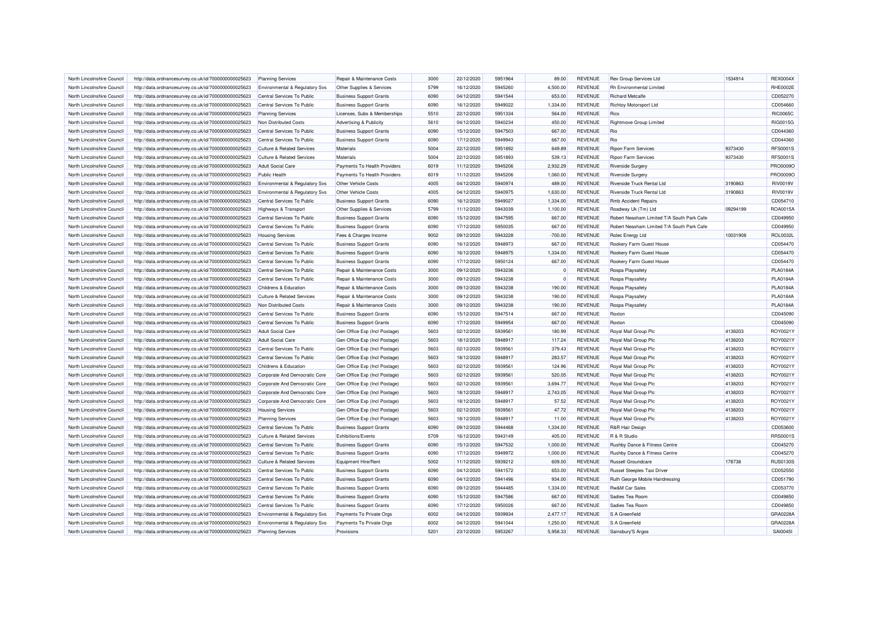| North Lincolnshire Council | http://data.ordnancesurvey.co.uk/id/7000000000025623 | <b>Planning Services</b>                  | Repair & Maintenance Costs                                   | 3000 | 22/12/2020 | 5951964 | 89.00        | <b>REVENUE</b> | Rex Group Services Ltd                     | 1534914  | <b>REX0004X</b> |
|----------------------------|------------------------------------------------------|-------------------------------------------|--------------------------------------------------------------|------|------------|---------|--------------|----------------|--------------------------------------------|----------|-----------------|
| North Lincolnshire Council | http://data.ordnancesurvey.co.uk/id/7000000000025623 | Environmental & Regulatory Svs            | Other Supplies & Services                                    | 5799 | 16/12/2020 | 5945260 | 4,500.00     | <b>REVENUE</b> | <b>Rh Environmental Limited</b>            |          | <b>RHE0002E</b> |
| North Lincolnshire Council | http://data.ordnancesurvey.co.uk/id/7000000000025623 | Central Services To Public                | <b>Business Support Grants</b>                               | 6090 | 04/12/2020 | 5941544 | 653.00       | <b>REVENUE</b> | <b>Richard Metcalfe</b>                    |          | CD052270        |
| North Lincolnshire Council | http://data.ordnancesurvey.co.uk/id/7000000000025623 | Central Services To Public                | <b>Business Support Grants</b>                               | 6090 | 16/12/2020 | 5949022 | 1,334.00     | <b>REVENUE</b> | Richtoy Motorsport Ltd                     |          | CD054660        |
| North Lincolnshire Council | http://data.ordnancesurvey.co.uk/id/7000000000025623 | <b>Planning Services</b>                  | Licenses, Subs & Memberships                                 | 5510 | 22/12/2020 | 5951334 | 564.00       | <b>REVENUE</b> | Rics                                       |          | <b>RIC0065C</b> |
| North Lincolnshire Council | http://data.ordnancesurvey.co.uk/id/7000000000025623 | Non Distributed Costs                     | Advertising & Publicity                                      | 5610 | 04/12/2020 | 5940234 | 450.00       | <b>REVENUE</b> | <b>Rightmove Group Limited</b>             |          | RIG0015G        |
| North Lincolnshire Council | http://data.ordnancesurvey.co.uk/id/7000000000025623 | Central Services To Public                | <b>Business Support Grants</b>                               | 6090 | 15/12/2020 | 5947503 | 667.00       | <b>REVENUE</b> | Rio                                        |          | CD044360        |
| North Lincolnshire Council | http://data.ordnancesurvey.co.uk/id/7000000000025623 | Central Services To Public                | <b>Business Support Grants</b>                               | 6090 | 17/12/2020 | 5949943 | 667.00       | REVENUE        | Rio                                        |          | CD044360        |
| North Lincolnshire Council | http://data.ordnancesurvey.co.uk/id/7000000000025623 | <b>Culture &amp; Related Services</b>     | Materials                                                    | 5004 | 22/12/2020 | 5951892 | 649.89       | <b>REVENUE</b> | <b>Ripon Farm Services</b>                 | 9373430  | <b>RFS0001S</b> |
| North Lincolnshire Council | http://data.ordnancesurvey.co.uk/id/7000000000025623 | <b>Culture &amp; Related Services</b>     | Materials                                                    | 5004 | 22/12/2020 | 5951893 | 539.13       | <b>REVENUE</b> | <b>Ripon Farm Services</b>                 | 9373430  | RFS00019        |
| North Lincolnshire Council | http://data.ordnancesurvey.co.uk/id/7000000000025623 | <b>Adult Social Care</b>                  | Payments To Health Providers                                 | 6019 | 11/12/2020 | 5945206 | 2,932.29     | <b>REVENUE</b> | <b>Riverside Surgery</b>                   |          | PRO0009O        |
| North Lincolnshire Council | http://data.ordnancesurvey.co.uk/id/7000000000025623 | <b>Public Health</b>                      | Payments To Health Providers                                 | 6019 | 11/12/2020 | 5945206 | 1,060.00     | <b>REVENUE</b> | <b>Riverside Surgery</b>                   |          | PRO0009O        |
| North Lincolnshire Council | http://data.ordnancesurvey.co.uk/id/7000000000025623 | Environmental & Regulatory Svs            | Other Vehicle Costs                                          | 4005 | 04/12/2020 | 5940974 | 489.00       | <b>REVENUE</b> | Riverside Truck Rental Ltd                 | 3190863  | <b>RIV0019V</b> |
| North Lincolnshire Council | http://data.ordnancesurvey.co.uk/id/7000000000025623 | <b>Environmental &amp; Regulatory Svs</b> | Other Vehicle Costs                                          | 4005 | 04/12/2020 | 5940975 | 1,630.00     | <b>REVENUE</b> | Riverside Truck Rental Ltd                 | 3190863  | <b>RIV0019V</b> |
| North Lincolnshire Council | http://data.ordnancesurvey.co.uk/id/7000000000025623 | Central Services To Public                | <b>Business Support Grants</b>                               | 6090 | 16/12/2020 | 5949027 | 1,334.00     | <b>REVENUE</b> | <b>Rmb Accident Repairs</b>                |          | CD054710        |
| North Lincolnshire Council | http://data.ordnancesurvey.co.uk/id/7000000000025623 | Highways & Transport                      | Other Supplies & Services                                    | 5799 | 11/12/2020 | 5943039 | 1,100.00     | <b>REVENUE</b> | Roadway Uk (Tm) Ltd                        | 09294199 | ROA0015A        |
| North Lincolnshire Council | http://data.ordnancesurvey.co.uk/id/7000000000025623 | Central Services To Public                | <b>Business Support Grants</b>                               | 6090 | 15/12/2020 | 5947595 | 667.00       | <b>REVENUE</b> | Robert Neasham Limited T/A South Park Cafe |          | CD049950        |
| North Lincolnshire Council | http://data.ordnancesurvey.co.uk/id/7000000000025623 | Central Services To Public                | <b>Business Support Grants</b>                               | 6090 | 17/12/2020 | 5950035 | 667.00       | <b>REVENUE</b> | Robert Neasham Limited T/A South Park Cafe |          | CD049950        |
| North Lincolnshire Council | http://data.ordnancesurvey.co.uk/id/7000000000025623 | <b>Housing Services</b>                   | Fees & Charges Income                                        | 9002 | 09/12/2020 | 5943228 | $-700.00$    | <b>REVENUE</b> | Rolec Energy Ltd                           | 10031908 | ROL0032L        |
| North Lincolnshire Council | http://data.ordnancesurvey.co.uk/id/7000000000025623 | Central Services To Public                | <b>Business Support Grants</b>                               | 6090 | 16/12/2020 | 5948973 | 667.00       | <b>REVENUE</b> | Rookery Farm Guest House                   |          | CD054470        |
| North Lincolnshire Council | http://data.ordnancesurvey.co.uk/id/7000000000025623 | Central Services To Public                | <b>Business Support Grants</b>                               | 6090 | 16/12/2020 | 5948975 | 1,334.00     | <b>REVENUE</b> | Rookery Farm Guest House                   |          | CD054470        |
| North Lincolnshire Council |                                                      | Central Services To Public                |                                                              | 6090 | 17/12/2020 | 5950124 | 667.00       | <b>REVENUE</b> | Rookery Farm Guest House                   |          | CD054470        |
| North Lincolnshire Council | http://data.ordnancesurvey.co.uk/id/7000000000025623 | Central Services To Public                | <b>Business Support Grants</b><br>Repair & Maintenance Costs | 3000 | 09/12/2020 | 5943236 | $\Omega$     | <b>REVENUE</b> |                                            |          | PLA0184A        |
|                            | http://data.ordnancesurvey.co.uk/id/7000000000025623 |                                           |                                                              |      |            |         |              |                | Rospa Playsafety                           |          |                 |
| North Lincolnshire Council | http://data.ordnancesurvey.co.uk/id/7000000000025623 | Central Services To Public                | Repair & Maintenance Costs                                   | 3000 | 09/12/2020 | 5943238 | $\mathbf{0}$ | <b>REVENUE</b> | Rospa Playsafety                           |          | PLA0184A        |
| North Lincolnshire Council | http://data.ordnancesurvey.co.uk/id/7000000000025623 | Childrens & Education                     | Repair & Maintenance Costs                                   | 3000 | 09/12/2020 | 5943238 | 190.00       | <b>REVENUE</b> | Rospa Playsafety                           |          | PLA0184A        |
| North Lincolnshire Council | http://data.ordnancesurvey.co.uk/id/7000000000025623 | <b>Culture &amp; Related Services</b>     | Repair & Maintenance Costs                                   | 3000 | 09/12/2020 | 5943238 | 190.00       | <b>REVENUE</b> | Rospa Playsafety                           |          | <b>PLA0184A</b> |
| North Lincolnshire Council | http://data.ordnancesurvey.co.uk/id/7000000000025623 | Non Distributed Costs                     | Repair & Maintenance Costs                                   | 3000 | 09/12/2020 | 5943238 | 190.00       | <b>REVENUE</b> | Rospa Playsafety                           |          | PLA0184A        |
| North Lincolnshire Council | http://data.ordnancesurvey.co.uk/id/7000000000025623 | Central Services To Public                | <b>Business Support Grants</b>                               | 6090 | 15/12/2020 | 5947514 | 667.00       | <b>REVENUE</b> | Roxton                                     |          | CD045090        |
| North Lincolnshire Council | http://data.ordnancesurvey.co.uk/id/7000000000025623 | Central Services To Public                | <b>Business Support Grants</b>                               | 6090 | 17/12/2020 | 5949954 | 667.00       | <b>REVENUE</b> | Roxton                                     |          | CD045090        |
| North Lincolnshire Council | http://data.ordnancesurvey.co.uk/id/7000000000025623 | <b>Adult Social Care</b>                  | Gen Office Exp (Incl Postage)                                | 5603 | 02/12/2020 | 5939561 | 180.99       | <b>REVENUE</b> | Royal Mail Group Plc                       | 4138203  | ROY0021Y        |
| North Lincolnshire Council | http://data.ordnancesurvey.co.uk/id/7000000000025623 | <b>Adult Social Care</b>                  | Gen Office Exp (Incl Postage)                                | 5603 | 18/12/2020 | 5948917 | 117.24       | <b>REVENUE</b> | Royal Mail Group Plc                       | 4138203  | ROY0021Y        |
| North Lincolnshire Council | http://data.ordnancesurvey.co.uk/id/7000000000025623 | Central Services To Public                | Gen Office Exp (Incl Postage)                                | 5603 | 02/12/2020 | 5939561 | 379.43       | <b>REVENUE</b> | Royal Mail Group Plc                       | 4138203  | ROY0021Y        |
| North Lincolnshire Council | http://data.ordnancesurvey.co.uk/id/7000000000025623 | Central Services To Public                | Gen Office Exp (Incl Postage)                                | 5603 | 18/12/2020 | 5948917 | 283.57       | <b>REVENUE</b> | Royal Mail Group Plc                       | 4138203  | ROY0021Y        |
| North Lincolnshire Council | http://data.ordnancesurvey.co.uk/id/7000000000025623 | Childrens & Education                     | Gen Office Exp (Incl Postage)                                | 5603 | 02/12/2020 | 5939561 | 124.96       | <b>REVENUE</b> | Royal Mail Group Plc                       | 4138203  | ROY0021Y        |
| North Lincolnshire Council | http://data.ordnancesurvey.co.uk/id/7000000000025623 | Corporate And Democratic Core             | Gen Office Exp (Incl Postage)                                | 5603 | 02/12/2020 | 5939561 | 520.05       | <b>REVENUE</b> | Royal Mail Group Plc                       | 4138203  | ROY0021Y        |
| North Lincolnshire Council | http://data.ordnancesurvey.co.uk/id/7000000000025623 | Corporate And Democratic Core             | Gen Office Exp (Incl Postage)                                | 5603 | 02/12/2020 | 5939561 | 3,694.77     | <b>REVENUE</b> | Royal Mail Group Plc                       | 4138203  | ROY0021Y        |
| North Lincolnshire Council | http://data.ordnancesurvey.co.uk/id/7000000000025623 | Corporate And Democratic Core             | Gen Office Exp (Incl Postage)                                | 5603 | 18/12/2020 | 5948917 | 2,743.05     | <b>REVENUE</b> | Royal Mail Group Plc                       | 4138203  | ROY0021Y        |
| North Lincolnshire Council | http://data.ordnancesurvey.co.uk/id/7000000000025623 | Corporate And Democratic Core             | Gen Office Exp (Incl Postage)                                | 5603 | 18/12/2020 | 5948917 | 57.52        | <b>REVENUE</b> | Royal Mail Group Plc                       | 4138203  | ROY0021Y        |
| North Lincolnshire Council | http://data.ordnancesurvey.co.uk/id/7000000000025623 | <b>Housing Services</b>                   | Gen Office Exp (Incl Postage)                                | 5603 | 02/12/2020 | 5939561 | 47.72        | <b>REVENUE</b> | Royal Mail Group Plc                       | 4138203  | ROY0021Y        |
| North Lincolnshire Council | http://data.ordnancesurvey.co.uk/id/7000000000025623 | <b>Planning Services</b>                  | Gen Office Exp (Incl Postage)                                | 5603 | 18/12/2020 | 5948917 | 11.00        | <b>REVENUE</b> | Royal Mail Group Plc                       | 4138203  | ROY0021Y        |
| North Lincolnshire Council | http://data.ordnancesurvey.co.uk/id/7000000000025623 | Central Services To Public                | <b>Business Support Grants</b>                               | 6090 | 09/12/2020 | 5944468 | 1,334.00     | <b>REVENUE</b> | <b>R&amp;R Hair Design</b>                 |          | CD053600        |
| North Lincolnshire Council | http://data.ordnancesurvey.co.uk/id/7000000000025623 | <b>Culture &amp; Related Services</b>     | Exhibitions/Events                                           | 5709 | 16/12/2020 | 5943149 | 405.00       | <b>REVENUE</b> | R & R Studio                               |          | RRS0001S        |
| North Lincolnshire Council | http://data.ordnancesurvey.co.uk/id/7000000000025623 | Central Services To Public                | <b>Business Support Grants</b>                               | 6090 | 15/12/2020 | 5947532 | 1,000.00     | <b>REVENUE</b> | Rushby Dance & Fitness Centre              |          | CD045270        |
| North Lincolnshire Council | http://data.ordnancesurvey.co.uk/id/7000000000025623 | Central Services To Public                | <b>Business Support Grants</b>                               | 6090 | 17/12/2020 | 5949972 | 1,000.00     | <b>REVENUE</b> | Rushby Dance & Fitness Centre              |          | CD045270        |
| North Lincolnshire Council | http://data.ordnancesurvey.co.uk/id/7000000000025623 | <b>Culture &amp; Related Services</b>     | Equipment Hire/Rent                                          | 5002 | 11/12/2020 | 5939212 | 609.00       | <b>REVENUE</b> | <b>Russell Groundcare</b>                  | 178738   | <b>RUS0130S</b> |
| North Lincolnshire Council | http://data.ordnancesurvey.co.uk/id/7000000000025623 | Central Services To Public                | <b>Business Support Grants</b>                               | 6090 | 04/12/2020 | 5941572 | 653.00       | <b>REVENUE</b> | Russel Steeples Taxi Driver                |          | CD052550        |
| North Lincolnshire Council | http://data.ordnancesurvey.co.uk/id/7000000000025623 | Central Services To Public                | <b>Business Support Grants</b>                               | 6090 | 04/12/2020 | 5941496 | 934.00       | REVENUE        | Ruth George Mobile Hairdressing            |          | CD051790        |
| North Lincolnshire Council | http://data.ordnancesurvey.co.uk/id/7000000000025623 | Central Services To Public                | <b>Business Support Grants</b>                               | 6090 | 09/12/2020 | 5944485 | 1,334.00     | <b>REVENUE</b> | <b>Rw&amp;M Car Sales</b>                  |          | CD053770        |
| North Lincolnshire Council | http://data.ordnancesurvey.co.uk/id/7000000000025623 | Central Services To Public                | <b>Business Support Grants</b>                               | 6090 | 15/12/2020 | 5947586 | 667.00       | <b>REVENUE</b> | Sadies Tea Room                            |          | CD049850        |
| North Lincolnshire Council | http://data.ordnancesurvey.co.uk/id/7000000000025623 | Central Services To Public                | <b>Business Support Grants</b>                               | 6090 | 17/12/2020 | 5950026 | 667.00       | <b>REVENUE</b> | Sadies Tea Room                            |          | CD049850        |
| North Lincolnshire Council | http://data.ordnancesurvey.co.uk/id/7000000000025623 | <b>Environmental &amp; Regulatory Svs</b> | Payments To Private Orgs                                     | 6002 | 04/12/2020 | 5939934 | 2,477.17     | <b>REVENUE</b> | S A Greenfield                             |          | GRA0228A        |
| North Lincolnshire Council | http://data.ordnancesurvey.co.uk/id/7000000000025623 | Environmental & Regulatory Svs            | Payments To Private Orgs                                     | 6002 | 04/12/2020 | 5941044 | 1,250.00     | <b>REVENUE</b> | S A Greenfield                             |          | GRA0228/        |
| North Lincolnshire Council | http://data.ordnancesurvey.co.uk/id/7000000000025623 | <b>Planning Services</b>                  | Provisions                                                   | 5201 | 23/12/2020 | 5953267 | 5,958.33     | <b>REVENUE</b> | Sainsbury'S Argos                          |          | SAI0045I        |
|                            |                                                      |                                           |                                                              |      |            |         |              |                |                                            |          |                 |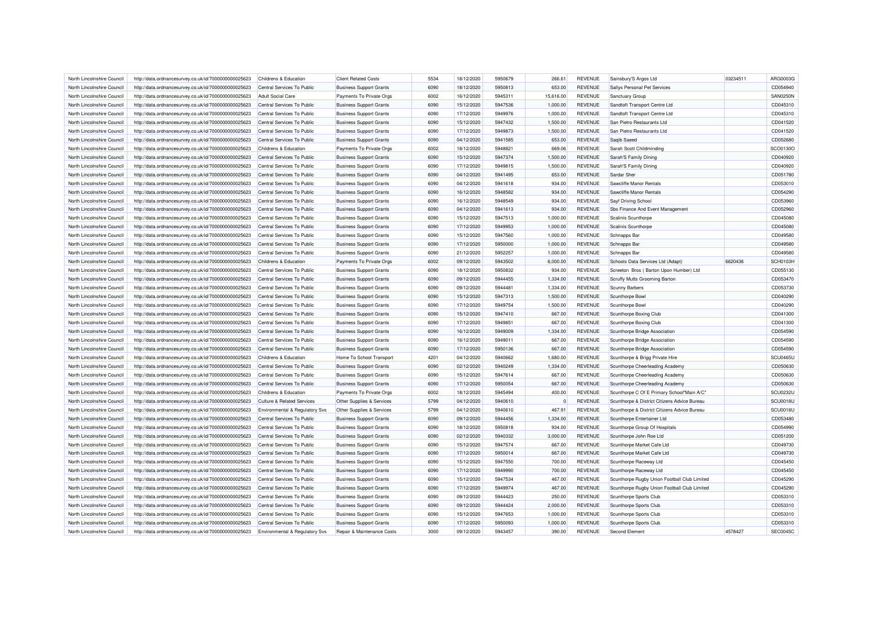| North Lincolnshire Council                               | http://data.ordnancesurvey.co.uk/id/7000000000025623 | Childrens & Education                 | <b>Client Related Costs</b>    | 5534 | 18/12/2020               | 5950679            | 266.61               | <b>REVENUE</b> | Sainsbury'S Argos Ltd                        | 03234511 | ARG0003G        |
|----------------------------------------------------------|------------------------------------------------------|---------------------------------------|--------------------------------|------|--------------------------|--------------------|----------------------|----------------|----------------------------------------------|----------|-----------------|
| North Lincolnshire Council                               | http://data.ordnancesurvey.co.uk/id/7000000000025623 | Central Services To Public            | <b>Business Support Grants</b> | 6090 | 18/12/2020               | 5950813            | 653.00               | <b>REVENUE</b> | Sallys Personal Pet Services                 |          | CD054940        |
| North Lincolnshire Council                               | http://data.ordnancesurvey.co.uk/id/7000000000025623 | <b>Adult Social Care</b>              | Payments To Private Orgs       | 6002 | 16/12/2020               | 5945311            | 15,616.00            | <b>REVENUE</b> | Sanctuary Group                              |          | <b>SAN0250N</b> |
| North Lincolnshire Council                               | http://data.ordnancesurvey.co.uk/id/7000000000025623 | Central Services To Public            | <b>Business Support Grants</b> | 6090 | 15/12/2020               | 5947536            | 1,000.00             | <b>REVENUE</b> | Sandtoft Transport Centre Ltd                |          | CD045310        |
| North Lincolnshire Council                               | http://data.ordnancesurvey.co.uk/id/7000000000025623 | Central Services To Public            | <b>Business Support Grants</b> | 6090 | 17/12/2020               | 5949976            | 1,000.00             | <b>REVENUE</b> | Sandtoft Transport Centre Ltd                |          | CD045310        |
| North Lincolnshire Council                               | http://data.ordnancesurvey.co.uk/id/7000000000025623 | Central Services To Public            | <b>Business Support Grants</b> | 6090 | 15/12/2020               | 5947432            | 1,500.00             | <b>REVENUE</b> | San Pietro Restaurants Ltd                   |          | CD041520        |
| North Lincolnshire Council                               | http://data.ordnancesurvey.co.uk/id/7000000000025623 | Central Services To Public            | <b>Business Support Grants</b> | 6090 | 17/12/2020               | 5949873            | 1,500.00             | <b>REVENUE</b> | San Pietro Restaurants Ltd                   |          | CD041520        |
| North Lincolnshire Council                               | http://data.ordnancesurvey.co.uk/id/7000000000025623 | Central Services To Public            | <b>Business Support Grants</b> | 6090 | 04/12/2020               | 5941585            | 653.00               | <b>REVENUE</b> | Saqib Saeed                                  |          | CD052680        |
| North Lincolnshire Council                               | http://data.ordnancesurvey.co.uk/id/7000000000025623 | Childrens & Education                 | Payments To Private Orgs       | 6002 | 18/12/2020               | 5948821            | 669.06               | <b>REVENUE</b> | Sarah Scott Childminding                     |          | SCO0130O        |
| North Lincolnshire Council                               | http://data.ordnancesurvey.co.uk/id/7000000000025623 | Central Services To Public            | <b>Business Support Grants</b> | 6090 | 15/12/2020               | 5947374            | 1,500.00             | <b>REVENUE</b> | Sarah'S Family Dining                        |          | CD040920        |
| North Lincolnshire Council                               | http://data.ordnancesurvey.co.uk/id/7000000000025623 | Central Services To Public            | <b>Business Support Grants</b> | 6090 | 17/12/2020               | 5949815            | 1,500.00             | <b>REVENUE</b> | Sarah'S Family Dining                        |          | CD040920        |
| North Lincolnshire Council                               | http://data.ordnancesurvey.co.uk/id/7000000000025623 | Central Services To Public            | <b>Business Support Grants</b> | 6090 | 04/12/2020               | 5941495            | 653.00               | <b>REVENUE</b> | Sardar Sher                                  |          | CD051780        |
| North Lincolnshire Council                               | http://data.ordnancesurvey.co.uk/id/7000000000025623 | Central Services To Public            | <b>Business Support Grants</b> | 6090 | 04/12/2020               | 5941618            | 934.00               | <b>REVENUE</b> | Sawcliffe Manor Rentals                      |          | CD053010        |
| North Lincolnshire Council                               | http://data.ordnancesurvey.co.uk/id/7000000000025623 | Central Services To Public            | <b>Business Support Grants</b> | 6090 | 16/12/2020               | 5948582            | 934.00               | <b>REVENUE</b> | Sawcliffe Manor Rentals                      |          | CD054290        |
| North Lincolnshire Council                               | http://data.ordnancesurvey.co.uk/id/7000000000025623 | Central Services To Public            | <b>Business Support Grants</b> | 6090 | 16/12/2020               | 5948549            | 934.00               | <b>REVENUE</b> | Sayf Driving School                          |          | CD053960        |
| North Lincolnshire Council                               | http://data.ordnancesurvey.co.uk/id/7000000000025623 | Central Services To Public            | <b>Business Support Grants</b> | 6090 | 04/12/2020               | 5941613            | 934.00               | <b>REVENUE</b> | Sbs Finance And Event Management             |          | CD052960        |
|                                                          |                                                      |                                       |                                | 6090 |                          |                    |                      | <b>REVENUE</b> |                                              |          | CD045080        |
| North Lincolnshire Council<br>North Lincolnshire Council | http://data.ordnancesurvey.co.uk/id/7000000000025623 | Central Services To Public            | <b>Business Support Grants</b> | 6090 | 15/12/2020<br>17/12/2020 | 5947513<br>5949953 | 1,000.00<br>1,000.00 | <b>REVENUE</b> | Scalinis Scunthorpe                          |          | CD045080        |
|                                                          | http://data.ordnancesurvey.co.uk/id/7000000000025623 | Central Services To Public            | <b>Business Support Grants</b> |      |                          |                    |                      |                | Scalinis Scunthorpe                          |          |                 |
| North Lincolnshire Council                               | http://data.ordnancesurvey.co.uk/id/7000000000025623 | Central Services To Public            | <b>Business Support Grants</b> | 6090 | 15/12/2020               | 5947560            | 1,000.00             | <b>REVENUE</b> | Schnapps Bar                                 |          | CD049580        |
| North Lincolnshire Council                               | http://data.ordnancesurvey.co.uk/id/7000000000025623 | Central Services To Public            | <b>Business Support Grants</b> | 6090 | 17/12/2020               | 5950000            | 1,000.00             | <b>REVENUE</b> | Schnapps Bar                                 |          | CD049580        |
| North Lincolnshire Council                               | http://data.ordnancesurvey.co.uk/id/7000000000025623 | Central Services To Public            | <b>Business Support Grants</b> | 6090 | 21/12/2020               | 5952257            | 1,000.00             | <b>REVENUE</b> | Schnapps Bar                                 |          | CD049580        |
| North Lincolnshire Council                               | http://data.ordnancesurvey.co.uk/id/7000000000025623 | Childrens & Education                 | Payments To Private Orgs       | 6002 | 09/12/2020               | 5943502            | 6,000.00             | <b>REVENUE</b> | Schools Data Services Ltd (Adapt)            | 6620436  | SCH0103H        |
| North Lincolnshire Council                               | http://data.ordnancesurvey.co.uk/id/7000000000025623 | Central Services To Public            | <b>Business Support Grants</b> | 6090 | 18/12/2020               | 5950832            | 934.00               | <b>REVENUE</b> | Screeton Bros (Barton Upon Humber) Ltd       |          | CD055130        |
| North Lincolnshire Council                               | http://data.ordnancesurvey.co.uk/id/7000000000025623 | Central Services To Public            | <b>Business Support Grants</b> | 6090 | 09/12/2020               | 5944455            | 1,334.00             | <b>REVENUE</b> | Scruffy Mutts Grooming Barton                |          | CD053470        |
| North Lincolnshire Council                               | http://data.ordnancesurvey.co.uk/id/7000000000025623 | Central Services To Public            | <b>Business Support Grants</b> | 6090 | 09/12/2020               | 5944481            | 1,334.00             | <b>REVENUE</b> | <b>Scunny Barbers</b>                        |          | CD053730        |
| North Lincolnshire Council                               | http://data.ordnancesurvey.co.uk/id/7000000000025623 | Central Services To Public            | <b>Business Support Grants</b> | 6090 | 15/12/2020               | 5947313            | 1,500.00             | <b>REVENUE</b> | Scunthorpe Bowl                              |          | CD040290        |
| North Lincolnshire Council                               | http://data.ordnancesurvey.co.uk/id/7000000000025623 | Central Services To Public            | <b>Business Support Grants</b> | 6090 | 17/12/2020               | 5949754            | 1.500.00             | <b>REVENUE</b> | Scunthorpe Bowl                              |          | CD040290        |
| North Lincolnshire Council                               | http://data.ordnancesurvey.co.uk/id/7000000000025623 | Central Services To Public            | <b>Business Support Grants</b> | 6090 | 15/12/2020               | 5947410            | 667.00               | <b>REVENUE</b> | Scunthorpe Boxing Club                       |          | CD041300        |
| North Lincolnshire Council                               | http://data.ordnancesurvey.co.uk/id/7000000000025623 | Central Services To Public            | <b>Business Support Grants</b> | 6090 | 17/12/2020               | 5949851            | 667.00               | <b>REVENUE</b> | Scunthorpe Boxing Club                       |          | CD041300        |
| North Lincolnshire Council                               | http://data.ordnancesurvey.co.uk/id/7000000000025623 | Central Services To Public            | <b>Business Support Grants</b> | 6090 | 16/12/2020               | 5949009            | 1,334.00             | <b>REVENUE</b> | Scunthorpe Bridge Association                |          | CD054590        |
| North Lincolnshire Council                               | http://data.ordnancesurvey.co.uk/id/7000000000025623 | Central Services To Public            | <b>Business Support Grants</b> | 6090 | 16/12/2020               | 5949011            | 667.00               | <b>REVENUE</b> | Scunthorpe Bridge Association                |          | CD054590        |
| North Lincolnshire Council                               | http://data.ordnancesurvey.co.uk/id/7000000000025623 | Central Services To Public            | <b>Business Support Grants</b> | 6090 | 17/12/2020               | 5950136            | 667.00               | <b>REVENUE</b> | Scunthorpe Bridge Association                |          | CD054590        |
| North Lincolnshire Council                               | http://data.ordnancesurvey.co.uk/id/7000000000025623 | Childrens & Education                 | Home To School Transport       | 4201 | 04/12/2020               | 5940662            | 1,680.00             | <b>REVENUE</b> | Scunthorpe & Brigg Private Hire              |          | SCU0465U        |
| North Lincolnshire Council                               | http://data.ordnancesurvey.co.uk/id/7000000000025623 | Central Services To Public            | <b>Business Support Grants</b> | 6090 | 02/12/2020               | 5940249            | 1,334.00             | <b>REVENUE</b> | Scunthorpe Cheerleading Academy              |          | CD050630        |
| North Lincolnshire Council                               | http://data.ordnancesurvey.co.uk/id/7000000000025623 | Central Services To Public            | <b>Business Support Grants</b> | 6090 | 15/12/2020               | 5947614            | 667.00               | <b>REVENUE</b> | Scunthorpe Cheerleading Academy              |          | CD050630        |
| North Lincolnshire Council                               | http://data.ordnancesurvey.co.uk/id/7000000000025623 | Central Services To Public            | <b>Business Support Grants</b> | 6090 | 17/12/2020               | 5950054            | 667.00               | <b>REVENUE</b> | Scunthorpe Cheerleading Academy              |          | CD050630        |
| North Lincolnshire Council                               | http://data.ordnancesurvey.co.uk/id/7000000000025623 | Childrens & Education                 | Payments To Private Orgs       | 6002 | 18/12/2020               | 5945494            | 400.00               | REVENUE        | Scunthorpe C Of E Primary School"Main A/C"   |          | <b>SCU0232L</b> |
| North Lincolnshire Council                               | http://data.ordnancesurvey.co.uk/id/7000000000025623 | <b>Culture &amp; Related Services</b> | Other Supplies & Services      | 5799 | 04/12/2020               | 5940610            | $^{\circ}$           | <b>REVENUE</b> | Scunthorpe & District Citizens Advice Bureau |          | SCU0018U        |
| North Lincolnshire Council                               | http://data.ordnancesurvey.co.uk/id/7000000000025623 | Environmental & Regulatory Svs        | Other Supplies & Services      | 5799 | 04/12/2020               | 5940610            | 467.91               | <b>REVENUE</b> | Scunthorpe & District Citizens Advice Bureau |          | SCU0018L        |
| North Lincolnshire Council                               | http://data.ordnancesurvey.co.uk/id/7000000000025623 | Central Services To Public            | <b>Business Support Grants</b> | 6090 | 09/12/2020               | 5944456            | 1,334.00             | <b>REVENUE</b> | Scunthorpe Entertainer Ltd                   |          | CD053480        |
| North Lincolnshire Council                               | http://data.ordnancesurvey.co.uk/id/7000000000025623 | Central Services To Public            | <b>Business Support Grants</b> | 6090 | 18/12/2020               | 5950818            | 934.00               | <b>REVENUE</b> | Scunthorpe Group Of Hospitals                |          | CD054990        |
| North Lincolnshire Council                               | http://data.ordnancesurvey.co.uk/id/7000000000025623 | Central Services To Public            | <b>Business Support Grants</b> | 6090 | 02/12/2020               | 5940332            | 3,000.00             | <b>REVENUE</b> | Scunthorpe John Roe Ltd                      |          | CD051200        |
| North Lincolnshire Council                               | http://data.ordnancesurvey.co.uk/id/7000000000025623 | Central Services To Public            | <b>Business Support Grants</b> | 6090 | 15/12/2020               | 5947574            | 667.00               | <b>REVENUE</b> | Scunthorpe Market Cafe Ltd                   |          | CD049730        |
| North Lincolnshire Council                               | http://data.ordnancesurvey.co.uk/id/7000000000025623 | Central Services To Public            | <b>Business Support Grants</b> | 6090 | 17/12/2020               | 5950014            | 667.00               | <b>REVENUE</b> | Scunthorpe Market Cafe Ltd                   |          | CD049730        |
| North Lincolnshire Council                               | http://data.ordnancesurvey.co.uk/id/7000000000025623 | Central Services To Public            | <b>Business Support Grants</b> | 6090 | 15/12/2020               | 5947550            | 700.00               | <b>REVENUE</b> | Scunthorpe Raceway Ltd                       |          | CD045450        |
| North Lincolnshire Council                               | http://data.ordnancesurvey.co.uk/id/7000000000025623 | Central Services To Public            | <b>Business Support Grants</b> | 6090 | 17/12/2020               | 5949990            | 700.00               | <b>REVENUE</b> | Scunthorpe Raceway Ltd                       |          | CD045450        |
| North Lincolnshire Council                               | http://data.ordnancesurvey.co.uk/id/7000000000025623 | Central Services To Public            | <b>Business Support Grants</b> | 6090 | 15/12/2020               | 5947534            | 467.00               | <b>REVENUE</b> | Scunthorpe Rugby Union Football Club Limited |          | CD045290        |
| North Lincolnshire Council                               | http://data.ordnancesurvey.co.uk/id/7000000000025623 | Central Services To Public            | <b>Business Support Grants</b> | 6090 | 17/12/2020               | 5949974            | 467.00               | <b>REVENUE</b> | Scunthorpe Rugby Union Football Club Limited |          | CD045290        |
| North Lincolnshire Council                               | http://data.ordnancesurvey.co.uk/id/7000000000025623 | Central Services To Public            | <b>Business Support Grants</b> | 6090 | 09/12/2020               | 5944423            | 250.00               | <b>REVENUE</b> | Scunthorpe Sports Club                       |          | CD053310        |
| North Lincolnshire Council                               | http://data.ordnancesurvey.co.uk/id/7000000000025623 | Central Services To Public            | <b>Business Support Grants</b> | 6090 | 09/12/2020               | 5944424            | 2,000.00             | <b>REVENUE</b> | Scunthorpe Sports Club                       |          | CD053310        |
| North Lincolnshire Council                               | http://data.ordnancesurvey.co.uk/id/7000000000025623 | Central Services To Public            | <b>Business Support Grants</b> | 6090 | 15/12/2020               | 5947653            | 1,000.00             | <b>REVENUE</b> | Scunthorpe Sports Club                       |          | CD053310        |
| North Lincolnshire Council                               | http://data.ordnancesurvey.co.uk/id/7000000000025623 | Central Services To Public            | <b>Business Support Grants</b> | 6090 | 17/12/2020               | 5950093            | 1,000.00             | <b>REVENUE</b> | Scunthorpe Sports Club                       |          | CD053310        |
| North Lincolnshire Council                               | http://data.ordnancesurvey.co.uk/id/7000000000025623 | Environmental & Regulatory Svs        | Repair & Maintenance Costs     | 3000 | 09/12/2020               | 5943457            | 390.00               | <b>REVENUE</b> | Second Element                               | 4578427  | <b>SEC0045C</b> |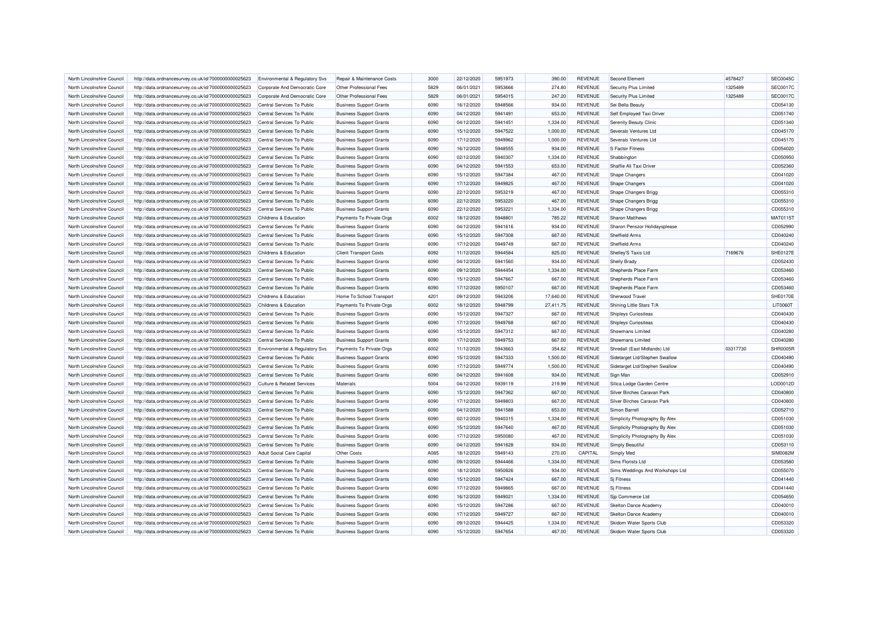| North Lincolnshire Council | http://data.ordnancesurvey.co.uk/id/7000000000025623 | <b>Environmental &amp; Regulatory Svs</b> | Repair & Maintenance Costs     | 3000 | 22/12/2020 | 5951973 | 390.00    | <b>REVENUE</b> | Second Element                  | 4578427  | <b>SEC0045C</b> |
|----------------------------|------------------------------------------------------|-------------------------------------------|--------------------------------|------|------------|---------|-----------|----------------|---------------------------------|----------|-----------------|
| North Lincolnshire Council | http://data.ordnancesurvey.co.uk/id/7000000000025623 | Corporate And Democratic Core             | Other Professional Fees        | 5829 | 06/01/2021 | 5953666 | 274.80    | <b>REVENUE</b> | Security Plus Limited           | 1325489  | <b>SEC0017C</b> |
| North Lincolnshire Council | http://data.ordnancesurvey.co.uk/id/7000000000025623 | Corporate And Democratic Core             | Other Professional Fees        | 5829 | 06/01/2021 | 5954015 | 247.20    | <b>REVENUE</b> | Security Plus Limited           | 1325489  | <b>SEC0017C</b> |
| North Lincolnshire Council | http://data.ordnancesurvey.co.uk/id/7000000000025623 | Central Services To Public                | <b>Business Support Grants</b> | 6090 | 16/12/2020 | 5948566 | 934.00    | <b>REVENUE</b> | Sei Bella Beauty                |          | CD054130        |
| North Lincolnshire Council | http://data.ordnancesurvey.co.uk/id/7000000000025623 | Central Services To Public                | <b>Business Support Grants</b> | 6090 | 04/12/2020 | 5941491 | 653.00    | <b>REVENUE</b> | Self Employed Taxi Driver       |          | CD051740        |
| North Lincolnshire Council | http://data.ordnancesurvey.co.uk/id/7000000000025623 | Central Services To Public                | <b>Business Support Grants</b> | 6090 | 04/12/2020 | 5941451 | 1,334.00  | <b>REVENUE</b> | Serenity Beauty Clinic          |          | CD051340        |
| North Lincolnshire Council | http://data.ordnancesurvey.co.uk/id/7000000000025623 | Central Services To Public                | <b>Business Support Grants</b> | 6090 | 15/12/2020 | 5947522 | 1,000.00  | <b>REVENUE</b> | Severals Ventures Ltd           |          | CD045170        |
| North Lincolnshire Council | http://data.ordnancesurvey.co.uk/id/7000000000025623 | Central Services To Public                | <b>Business Support Grants</b> | 6090 | 17/12/2020 | 5949962 | 1,000.00  | <b>REVENUE</b> | Severals Ventures Ltd           |          | CD045170        |
| North Lincolnshire Council | http://data.ordnancesurvey.co.uk/id/7000000000025623 | Central Services To Public                | <b>Business Support Grants</b> | 6090 | 16/12/2020 | 5948555 | 934.00    | <b>REVENUE</b> | S Factor Fitness                |          | CD054020        |
| North Lincolnshire Council | http://data.ordnancesurvey.co.uk/id/7000000000025623 | Central Services To Public                | <b>Business Support Grants</b> | 6090 | 02/12/2020 | 5940307 | 1,334.00  | <b>REVENUE</b> | Shabbington                     |          | CD050950        |
| North Lincolnshire Council | http://data.ordnancesurvey.co.uk/id/7000000000025623 | Central Services To Public                | <b>Business Support Grants</b> | 6090 | 04/12/2020 | 5941553 | 653.00    | <b>REVENUE</b> | Shaffie Ali Taxi Driver         |          | CD052360        |
| North Lincolnshire Council | http://data.ordnancesurvey.co.uk/id/7000000000025623 | Central Services To Public                | <b>Business Support Grants</b> | 6090 | 15/12/2020 | 5947384 | 467.00    | <b>REVENUE</b> | <b>Shape Changers</b>           |          | CD041020        |
| North Lincolnshire Council | http://data.ordnancesurvey.co.uk/id/7000000000025623 | Central Services To Public                | <b>Business Support Grants</b> | 6090 | 17/12/2020 | 5949825 | 467.00    | <b>REVENUE</b> | <b>Shape Changers</b>           |          | CD041020        |
| North Lincolnshire Council | http://data.ordnancesurvey.co.uk/id/7000000000025623 | Central Services To Public                | <b>Business Support Grants</b> | 6090 | 22/12/2020 | 5953219 | 467.00    | <b>REVENUE</b> | Shape Changers Brigg            |          | CD055310        |
| North Lincolnshire Council | http://data.ordnancesurvey.co.uk/id/7000000000025623 | Central Services To Public                | <b>Business Support Grants</b> | 6090 | 22/12/2020 | 5953220 | 467.00    | <b>REVENUE</b> | Shape Changers Brigg            |          | CD055310        |
| North Lincolnshire Council | http://data.ordnancesurvey.co.uk/id/7000000000025623 | Central Services To Public                | <b>Business Support Grants</b> | 6090 | 22/12/2020 | 5953221 | 1,334.00  | <b>REVENUE</b> | Shape Changers Brigg            |          | CD055310        |
| North Lincolnshire Council | http://data.ordnancesurvey.co.uk/id/7000000000025623 | Childrens & Education                     | Payments To Private Orgs       | 6002 | 18/12/2020 | 5948801 | 785.22    | <b>REVENUE</b> | <b>Sharon Matthews</b>          |          | MAT0115T        |
| North Lincolnshire Council | http://data.ordnancesurvey.co.uk/id/7000000000025623 | Central Services To Public                | <b>Business Support Grants</b> | 6090 | 04/12/2020 | 5941616 | 934.00    | <b>REVENUE</b> | Sharon Penszor Holidaysplease   |          | CD052990        |
| North Lincolnshire Council | http://data.ordnancesurvey.co.uk/id/7000000000025623 | Central Services To Public                | <b>Business Support Grants</b> | 6090 | 15/12/2020 | 5947308 | 667.00    | <b>REVENUE</b> | Sheffield Arms                  |          | CD040240        |
| North Lincolnshire Council | http://data.ordnancesurvey.co.uk/id/7000000000025623 | Central Services To Public                | <b>Business Support Grants</b> | 6090 | 17/12/2020 | 5949749 | 667.00    | <b>REVENUE</b> | Sheffield Arms                  |          | CD040240        |
| North Lincolnshire Council | http://data.ordnancesurvey.co.uk/id/7000000000025623 | Childrens & Education                     | <b>Client Transport Costs</b>  | 6092 | 11/12/2020 | 5944584 | 825.00    | <b>REVENUE</b> | Shelley'S Taxis Ltd             | 7169676  | <b>SHE0127E</b> |
| North Lincolnshire Council |                                                      | Central Services To Public                |                                | 6090 | 04/12/2020 | 5941560 | 934.00    | <b>REVENUE</b> | Shelly Brady                    |          | CD052430        |
|                            | http://data.ordnancesurvey.co.uk/id/7000000000025623 |                                           | <b>Business Support Grants</b> | 6090 | 09/12/2020 | 5944454 | 1,334.00  | <b>REVENUE</b> | Shepherds Place Farm            |          | CD053460        |
| North Lincolnshire Council | http://data.ordnancesurvey.co.uk/id/7000000000025623 | Central Services To Public                | <b>Business Support Grants</b> |      |            |         |           |                |                                 |          |                 |
| North Lincolnshire Council | http://data.ordnancesurvey.co.uk/id/7000000000025623 | Central Services To Public                | <b>Business Support Grants</b> | 6090 | 15/12/2020 | 5947667 | 667.00    | <b>REVENUE</b> | Shepherds Place Farm            |          | CD053460        |
| North Lincolnshire Council | http://data.ordnancesurvey.co.uk/id/7000000000025623 | Central Services To Public                | <b>Business Support Grants</b> | 6090 | 17/12/2020 | 5950107 | 667.00    | <b>REVENUE</b> | Shepherds Place Farm            |          | CD053460        |
| North Lincolnshire Council | http://data.ordnancesurvey.co.uk/id/7000000000025623 | Childrens & Education                     | Home To School Transport       | 4201 | 09/12/2020 | 5943206 | 17,640.00 | <b>REVENUE</b> | Sherwood Travel                 |          | <b>SHE0170E</b> |
| North Lincolnshire Council | http://data.ordnancesurvey.co.uk/id/7000000000025623 | Childrens & Education                     | Payments To Private Orgs       | 6002 | 18/12/2020 | 5948799 | 27,411.75 | <b>REVENUE</b> | Shining Little Stars T/A        |          | LIT0060T        |
| North Lincolnshire Council | http://data.ordnancesurvey.co.uk/id/7000000000025623 | Central Services To Public                | <b>Business Support Grants</b> | 6090 | 15/12/2020 | 5947327 | 667.00    | <b>REVENUE</b> | Shipleys Curiositeas            |          | CD040430        |
| North Lincolnshire Council | http://data.ordnancesurvey.co.uk/id/7000000000025623 | Central Services To Public                | <b>Business Support Grants</b> | 6090 | 17/12/2020 | 5949768 | 667.00    | <b>REVENUE</b> | Shipleys Curiositeas            |          | CD040430        |
| North Lincolnshire Council | http://data.ordnancesurvey.co.uk/id/7000000000025623 | Central Services To Public                | <b>Business Support Grants</b> | 6090 | 15/12/2020 | 5947312 | 667.00    | <b>REVENUE</b> | Showmans Limited                |          | CD040280        |
| North Lincolnshire Council | http://data.ordnancesurvey.co.uk/id/7000000000025623 | Central Services To Public                | <b>Business Support Grants</b> | 6090 | 17/12/2020 | 5949753 | 667.00    | <b>REVENUE</b> | Showmans I imited               |          | CD040280        |
| North Lincolnshire Council | http://data.ordnancesurvey.co.uk/id/7000000000025623 | Environmental & Regulatory Svs            | Payments To Private Orgs       | 6002 | 11/12/2020 | 5943663 | 354.62    | <b>REVENUE</b> | Shredall (East Midlands) Ltd    | 03317730 | SHR0005F        |
| North Lincolnshire Council | http://data.ordnancesurvey.co.uk/id/7000000000025623 | Central Services To Public                | <b>Business Support Grants</b> | 6090 | 15/12/2020 | 5947333 | 1,500.00  | <b>REVENUE</b> | Sidetarget Ltd/Stephen Swallow  |          | CD040490        |
| North Lincolnshire Council | http://data.ordnancesurvey.co.uk/id/7000000000025623 | Central Services To Public                | <b>Business Support Grants</b> | 6090 | 17/12/2020 | 5949774 | 1.500.00  | <b>REVENUE</b> | Sidetarget Ltd/Stephen Swallow  |          | CD040490        |
| North Lincolnshire Council | http://data.ordnancesurvey.co.uk/id/7000000000025623 | Central Services To Public                | <b>Business Support Grants</b> | 6090 | 04/12/2020 | 5941608 | 934.00    | <b>REVENUE</b> | Sign Man                        |          | CD052910        |
| North Lincolnshire Council | http://data.ordnancesurvey.co.uk/id/7000000000025623 | <b>Culture &amp; Related Services</b>     | Materials                      | 5004 | 04/12/2020 | 5939119 | 219.99    | <b>REVENUE</b> | Silica Lodge Garden Centre      |          | LOD0012D        |
| North Lincolnshire Council | http://data.ordnancesurvey.co.uk/id/7000000000025623 | Central Services To Public                | <b>Business Support Grants</b> | 6090 | 15/12/2020 | 5947362 | 667.00    | <b>REVENUE</b> | Silver Birches Caravan Park     |          | CD040800        |
| North Lincolnshire Council | http://data.ordnancesurvey.co.uk/id/7000000000025623 | Central Services To Public                | <b>Business Support Grants</b> | 6090 | 17/12/2020 | 5949803 | 667.00    | <b>REVENUE</b> | Silver Birches Caravan Park     |          | CD040800        |
| North Lincolnshire Council | http://data.ordnancesurvey.co.uk/id/7000000000025623 | Central Services To Public                | <b>Business Support Grants</b> | 6090 | 04/12/2020 | 5941588 | 653.00    | <b>REVENUE</b> | Simon Barrell                   |          | CD052710        |
| North Lincolnshire Council | http://data.ordnancesurvey.co.uk/id/7000000000025623 | Central Services To Public                | <b>Business Support Grants</b> | 6090 | 02/12/2020 | 5940315 | 1,334.00  | <b>REVENUE</b> | Simplicity Photography By Alex  |          | CD051030        |
| North Lincolnshire Council | http://data.ordnancesurvey.co.uk/id/7000000000025623 | Central Services To Public                | <b>Business Support Grants</b> | 6090 | 15/12/2020 | 5947640 | 467.00    | <b>REVENUE</b> | Simplicity Photography By Alex  |          | CD051030        |
| North Lincolnshire Council | http://data.ordnancesurvey.co.uk/id/7000000000025623 | Central Services To Public                | <b>Business Support Grants</b> | 6090 | 17/12/2020 | 5950080 | 467.00    | <b>REVENUE</b> | Simplicity Photography By Alex  |          | CD051030        |
| North Lincolnshire Council | http://data.ordnancesurvey.co.uk/id/7000000000025623 | Central Services To Public                | <b>Business Support Grants</b> | 6090 | 04/12/2020 | 5941628 | 934.00    | <b>REVENUE</b> | Simply Beautiful                |          | CD053110        |
| North Lincolnshire Council | http://data.ordnancesurvey.co.uk/id/7000000000025623 | <b>Adult Social Care Capital</b>          | Other Costs                    | A085 | 18/12/2020 | 5949143 | 270.00    | CAPITAL        | Simply Med                      |          | <b>SIM0082M</b> |
| North Lincolnshire Council | http://data.ordnancesurvey.co.uk/id/7000000000025623 | Central Services To Public                | <b>Business Support Grants</b> | 6090 | 09/12/2020 | 5944466 | 1,334.00  | <b>REVENUE</b> | Sims Florists Ltd               |          | CD053580        |
| North Lincolnshire Council | http://data.ordnancesurvey.co.uk/id/7000000000025623 | Central Services To Public                | <b>Business Support Grants</b> | 6090 | 18/12/2020 | 5950826 | 934.00    | <b>REVENUE</b> | Sims Weddings And Workshops Ltd |          | CD055070        |
| North Lincolnshire Council | http://data.ordnancesurvey.co.uk/id/7000000000025623 | Central Services To Public                | <b>Business Support Grants</b> | 6090 | 15/12/2020 | 5947424 | 667.00    | <b>REVENUE</b> | Sj Fitness                      |          | CD041440        |
| North Lincolnshire Council | http://data.ordnancesurvey.co.uk/id/7000000000025623 | Central Services To Public                | <b>Business Support Grants</b> | 6090 | 17/12/2020 | 5949865 | 667.00    | <b>REVENUE</b> | <b>Si Fitness</b>               |          | CD041440        |
| North Lincolnshire Council | http://data.ordnancesurvey.co.uk/id/7000000000025623 | Central Services To Public                | <b>Business Support Grants</b> | 6090 | 16/12/2020 | 5949021 | 1,334.00  | <b>REVENUE</b> | Sip Commerce Ltd                |          | CD054650        |
| North Lincolnshire Council | http://data.ordnancesurvey.co.uk/id/7000000000025623 | Central Services To Public                | <b>Business Support Grants</b> | 6090 | 15/12/2020 | 5947286 | 667.00    | <b>REVENUE</b> | <b>Skelton Dance Academy</b>    |          | CD040010        |
| North Lincolnshire Council | http://data.ordnancesurvey.co.uk/id/7000000000025623 | Central Services To Public                | <b>Business Support Grants</b> | 6090 | 17/12/2020 | 5949727 | 667.00    | <b>REVENUE</b> | Skelton Dance Academ            |          | CD040010        |
| North Lincolnshire Council | http://data.ordnancesurvey.co.uk/id/7000000000025623 | Central Services To Public                | <b>Business Support Grants</b> | 6090 | 09/12/2020 | 5944425 | 1,334.00  | <b>REVENUE</b> | Skidom Water Sports Club        |          | CD053320        |
| North Lincolnshire Council | http://data.ordnancesurvey.co.uk/id/7000000000025623 | Central Services To Public                | <b>Business Support Grants</b> | 6090 | 15/12/2020 | 5947654 | 467.00    | <b>REVENUE</b> | Skidom Water Sports Club        |          | CD053320        |
|                            |                                                      |                                           |                                |      |            |         |           |                |                                 |          |                 |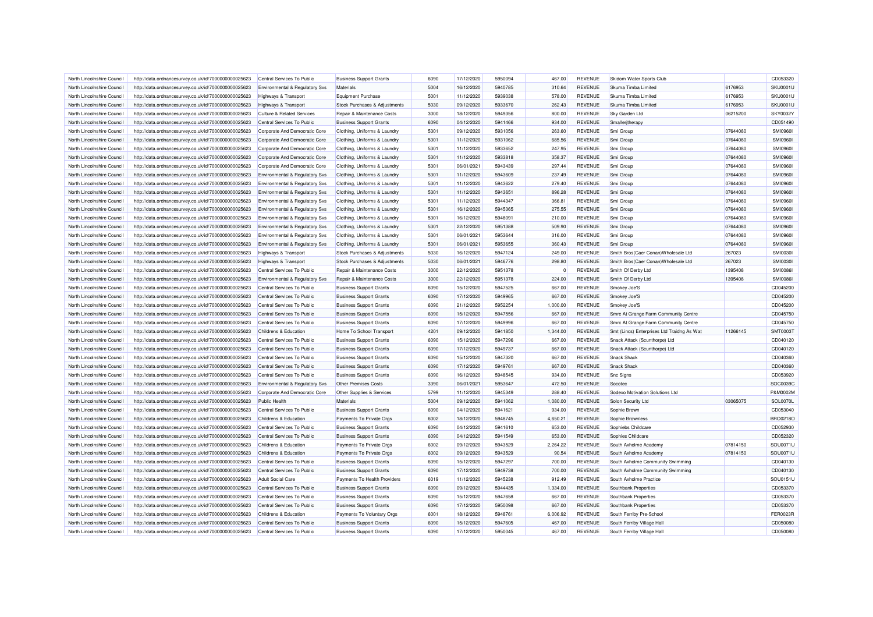| North Lincolnshire Council                               | http://data.ordnancesurvey.co.uk/id/7000000000025623 | Central Services To Public                             | <b>Business Support Grants</b> | 6090         | 17/12/2020               | 5950094 | 467.00             | <b>REVENUE</b>                   | Skidom Water Sports Club                       |          | CD053320             |
|----------------------------------------------------------|------------------------------------------------------|--------------------------------------------------------|--------------------------------|--------------|--------------------------|---------|--------------------|----------------------------------|------------------------------------------------|----------|----------------------|
| North Lincolnshire Council                               | http://data.ordnancesurvey.co.uk/id/7000000000025623 | <b>Environmental &amp; Regulatory Svs</b>              | Materials                      | 5004         | 16/12/2020               | 5940785 | 310.64             | <b>REVENUE</b>                   | Skuma Timba Limited                            | 6176953  | <b>SKU0001U</b>      |
| North Lincolnshire Council                               | http://data.ordnancesurvey.co.uk/id/7000000000025623 | <b>Highways &amp; Transport</b>                        | <b>Equipment Purchase</b>      | 5001         | 11/12/2020               | 5939038 | 578.00             | <b>REVENUE</b>                   | Skuma Timba Limited                            | 6176953  | SKU0001L             |
| North Lincolnshire Council                               | http://data.ordnancesurvey.co.uk/id/7000000000025623 | <b>Highways &amp; Transport</b>                        | Stock Purchases & Adjustments  | 5030         | 09/12/2020               | 5933670 | 262.43             | <b>REVENUE</b>                   | Skuma Timba Limited                            | 6176953  | <b>SKU0001U</b>      |
| North Lincolnshire Council                               | http://data.ordnancesurvey.co.uk/id/7000000000025623 | Culture & Related Services                             | Repair & Maintenance Costs     | 3000         | 18/12/2020               | 5949356 | 800.00             | <b>REVENUE</b>                   | Sky Garden Ltd                                 | 06215200 | SKY0032Y             |
| North Lincolnshire Council                               | http://data.ordnancesurvey.co.uk/id/7000000000025623 | Central Services To Public                             | <b>Business Support Grants</b> | 6090         | 04/12/2020               | 5941466 | 934.00             | <b>REVENUE</b>                   | Smalleritherapy                                |          | CD051490             |
| North Lincolnshire Council                               | http://data.ordnancesurvey.co.uk/id/7000000000025623 | Corporate And Democratic Core                          | Clothing, Uniforms & Laundry   | 5301         | 09/12/2020               | 5931056 | 263.60             | <b>REVENUE</b>                   | Smi Group                                      | 07644080 | <b>SMI09601</b>      |
| North Lincolnshire Council                               | http://data.ordnancesurvey.co.uk/id/7000000000025623 | Corporate And Democratic Core                          | Clothing, Uniforms & Laundry   | 5301         | 11/12/2020               | 5931062 | 685.56             | <b>REVENUE</b>                   | Smi Group                                      | 07644080 | <b>SMI09601</b>      |
| North Lincolnshire Council                               | http://data.ordnancesurvey.co.uk/id/7000000000025623 | Cornorate And Democratic Core                          | Clothing, Uniforms & Laundry   | 5301         | 11/12/2020               | 5933652 | 247.95             | <b>REVENUE</b>                   | Smi Group                                      | 07644080 | <b>SMI09601</b>      |
| North Lincolnshire Council                               | http://data.ordnancesurvey.co.uk/id/7000000000025623 | Corporate And Democratic Core                          | Clothing, Uniforms & Laundry   | 5301         | 11/12/2020               | 5933818 | 358.37             | <b>REVENUE</b>                   | Smi Group                                      | 07644080 | <b>SMI09601</b>      |
| North Lincolnshire Council                               | http://data.ordnancesurvey.co.uk/id/7000000000025623 | Corporate And Democratic Core                          | Clothing, Uniforms & Laundry   | 5301         | 06/01/2021               | 5943439 | 297.44             | <b>REVENUE</b>                   | Smi Group                                      | 07644080 | <b>SMI09601</b>      |
| North Lincolnshire Council                               | http://data.ordnancesurvey.co.uk/id/7000000000025623 | Environmental & Regulatory Svs                         | Clothing, Uniforms & Laundry   | 5301         | 11/12/2020               | 5943609 | 237.49             | <b>REVENUE</b>                   | Smi Group                                      | 07644080 | SMI09601             |
| North Lincolnshire Council                               | http://data.ordnancesurvey.co.uk/id/7000000000025623 | Environmental & Regulatory Svs                         | Clothing, Uniforms & Laundry   | 5301         | 11/12/2020               | 5943622 | 279.40             | <b>REVENUE</b>                   | Smi Group                                      | 07644080 | <b>SMI09601</b>      |
| North Lincolnshire Council                               | http://data.ordnancesurvey.co.uk/id/7000000000025623 | Environmental & Regulatory Svs                         | Clothing, Uniforms & Laundry   | 5301         | 11/12/2020               | 5943651 | 896.28             | <b>REVENUE</b>                   | Smi Group                                      | 07644080 | <b>SMI0960I</b>      |
| North Lincolnshire Council                               | http://data.ordnancesurvey.co.uk/id/7000000000025623 | Environmental & Regulatory Svs                         | Clothing, Uniforms & Laundry   | 5301         | 11/12/2020               | 5944347 | 366.81             | <b>REVENUE</b>                   | Smi Group                                      | 07644080 | <b>SMI09601</b>      |
| North Lincolnshire Council                               | http://data.ordnancesurvey.co.uk/id/7000000000025623 | Environmental & Regulatory Svs                         | Clothing, Uniforms & Laundry   | 5301         | 16/12/2020               | 5945365 | 275.55             | <b>REVENUE</b>                   | Smi Group                                      | 07644080 | <b>SMI09601</b>      |
| North Lincolnshire Council                               | http://data.ordnancesurvey.co.uk/id/7000000000025623 | Environmental & Regulatory Svs                         | Clothing, Uniforms & Laundry   | 5301         | 16/12/2020               | 5948091 | 210.00             | <b>REVENUE</b>                   | Smi Group                                      | 07644080 | <b>SMI09601</b>      |
| North Lincolnshire Council                               | http://data.ordnancesurvey.co.uk/id/7000000000025623 | Environmental & Regulatory Svs                         | Clothing, Uniforms & Laundry   | 5301         | 22/12/2020               | 5951388 | 509.90             | <b>REVENUE</b>                   | Smi Group                                      | 07644080 | <b>SMI0960I</b>      |
| North Lincolnshire Council                               | http://data.ordnancesurvey.co.uk/id/7000000000025623 | Environmental & Regulatory Svs                         | Clothing, Uniforms & Laundry   | 5301         | 06/01/2021               | 5953644 | 316.00             | <b>REVENUE</b>                   | Smi Group                                      | 07644080 | <b>SMI0960I</b>      |
| North Lincolnshire Council                               | http://data.ordnancesurvey.co.uk/id/7000000000025623 | Environmental & Regulatory Svs                         | Clothing, Uniforms & Laundry   | 5301         | 06/01/2021               | 5953655 | 360.43             | <b>REVENUE</b>                   | Smi Group                                      | 07644080 | <b>SMI0960I</b>      |
| North Lincolnshire Council                               | http://data.ordnancesurvey.co.uk/id/7000000000025623 | <b>Highways &amp; Transport</b>                        | Stock Purchases & Adjustments  | 5030         | 16/12/2020               | 5947124 | 249.00             | <b>REVENUE</b>                   | Smith Bros(Caer Conan) Wholesale Ltd           | 267023   | <b>SMI0030I</b>      |
|                                                          |                                                      |                                                        |                                |              |                          |         |                    | <b>REVENUE</b>                   |                                                |          |                      |
| North Lincolnshire Council                               | http://data.ordnancesurvey.co.uk/id/7000000000025623 | <b>Highways &amp; Transport</b>                        | Stock Purchases & Adjustments  | 5030         | 06/01/2021               | 5946776 | 298.80             |                                  | Smith Bros(Caer Conan) Wholesale Ltd           | 267023   | <b>SMI00301</b>      |
| North Lincolnshire Council                               | http://data.ordnancesurvey.co.uk/id/7000000000025623 | Central Services To Public                             | Repair & Maintenance Costs     | 3000         | 22/12/2020               | 5951378 | $^{\circ}$         | <b>REVENUE</b>                   | Smith Of Derby Ltd                             | 1395408  | <b>SMI0086I</b>      |
| North Lincolnshire Council                               | http://data.ordnancesurvey.co.uk/id/7000000000025623 | Environmental & Regulatory Svs                         | Repair & Maintenance Costs     | 3000         | 22/12/2020               | 5951378 | 224.00             | <b>REVENUE</b>                   | Smith Of Derby Ltd                             | 1395408  | <b>SMI0086I</b>      |
| North Lincolnshire Council                               | http://data.ordnancesurvey.co.uk/id/7000000000025623 | Central Services To Public                             | <b>Business Support Grants</b> | 6090         | 15/12/2020               | 5947525 | 667.00             | <b>REVENUE</b>                   | Smokey Joe'S                                   |          | CD045200             |
| North Lincolnshire Council                               | http://data.ordnancesurvey.co.uk/id/7000000000025623 | Central Services To Public                             | <b>Business Support Grants</b> | 6090         | 17/12/2020               | 5949965 | 667.00             | <b>REVENUE</b>                   | Smokey Joe'S                                   |          | CD045200             |
| North Lincolnshire Council                               | http://data.ordnancesurvey.co.uk/id/7000000000025623 | Central Services To Public                             | <b>Business Support Grants</b> | 6090         | 21/12/2020               | 5952254 | 1,000.00           | <b>REVENUE</b>                   | Smokey Joe'S                                   |          | CD045200             |
| North Lincolnshire Council                               | http://data.ordnancesurvey.co.uk/id/7000000000025623 | Central Services To Public                             | <b>Business Support Grants</b> | 6090         | 15/12/2020               | 5947556 | 667.00             | <b>REVENUE</b>                   | Smrc At Grange Farm Community Centre           |          | CD045750             |
| North Lincolnshire Council                               | http://data.ordnancesurvey.co.uk/id/7000000000025623 | Central Services To Public                             | <b>Business Support Grants</b> | 6090         | 17/12/2020               | 5949996 | 667.00             | <b>REVENUE</b>                   | Smrc At Grange Farm Community Centre           |          | CD045750             |
| North Lincolnshire Council                               | http://data.ordnancesurvey.co.uk/id/7000000000025623 | Childrens & Education                                  | Home To School Transport       | 4201         | 09/12/2020               | 5941850 | 1,344.00           | <b>REVENUE</b>                   | Smt (Lincs) Enterprises Ltd Traidng As Wat     | 11266145 | SMT00031             |
| North Lincolnshire Council                               | http://data.ordnancesurvey.co.uk/id/7000000000025623 | Central Services To Public                             | <b>Business Support Grants</b> | 6090         | 15/12/2020               | 5947296 | 667.00             | <b>REVENUE</b>                   | Snack Attack (Scunthorpe) Ltd                  |          | CD040120             |
| North Lincolnshire Council                               | http://data.ordnancesurvey.co.uk/id/7000000000025623 | Central Services To Public                             | <b>Business Support Grants</b> | 6090         | 17/12/2020               | 5949737 | 667.00             | <b>REVENUE</b>                   | Snack Attack (Scunthorpe) Ltd                  |          | CD040120             |
| North Lincolnshire Council                               | http://data.ordnancesurvey.co.uk/id/7000000000025623 | Central Services To Public                             | <b>Business Support Grants</b> | 6090         | 15/12/2020               | 5947320 | 667.00             | <b>REVENUE</b>                   | <b>Snack Shack</b>                             |          | CD040360             |
| North Lincolnshire Council                               | http://data.ordnancesurvey.co.uk/id/7000000000025623 | Central Services To Public                             | <b>Business Support Grants</b> | 6090         | 17/12/2020               | 5949761 | 667.00             | <b>REVENUE</b>                   | <b>Snack Shack</b>                             |          | CD040360             |
| North Lincolnshire Council                               | http://data.ordnancesurvey.co.uk/id/7000000000025623 | Central Services To Public                             | <b>Business Support Grants</b> | 6090         | 16/12/2020               | 5948545 | 934.00             | <b>REVENUE</b>                   | <b>Snc Signs</b>                               |          | CD053920             |
| North Lincolnshire Council                               | http://data.ordnancesurvey.co.uk/id/7000000000025623 | Environmental & Regulatory Svs                         | Other Premises Costs           | 3390         | 06/01/2021               | 5953647 | 472.50             | <b>REVENUE</b>                   | Socotec                                        |          | SOC0039C             |
| North Lincolnshire Council                               | http://data.ordnancesurvey.co.uk/id/7000000000025623 | Corporate And Democratic Core                          | Other Supplies & Services      | 5799         | 11/12/2020               | 5945349 | 288.40             | <b>REVENUE</b>                   | Sodexo Motivation Solutions Ltd                |          | P&M0002N             |
| North Lincolnshire Council                               | http://data.ordnancesurvey.co.uk/id/7000000000025623 | <b>Public Health</b>                                   | Materials                      | 5004         | 09/12/2020               | 5941062 | 1,080.00           | <b>REVENUE</b>                   | Solon Security Ltd                             | 03065075 | SOL0070L             |
| North Lincolnshire Council                               | http://data.ordnancesurvey.co.uk/id/7000000000025623 | Central Services To Public                             | <b>Business Support Grants</b> | 6090         | 04/12/2020               | 5941621 | 934.00             | <b>REVENUE</b>                   | Sophie Brown                                   |          | CD053040             |
| North Lincolnshire Council                               | http://data.ordnancesurvey.co.uk/id/7000000000025623 | Childrens & Education                                  | Payments To Private Orgs       | 6002         | 18/12/2020               | 5948745 | 4,650.21           | <b>REVENUE</b>                   | Sophie Brownless                               |          | <b>BRO0218C</b>      |
| North Lincolnshire Council                               | http://data.ordnancesurvey.co.uk/id/7000000000025623 | Central Services To Public                             | <b>Business Support Grants</b> | 6090         | 04/12/2020               | 5941610 | 653.00             | <b>REVENUE</b>                   | Sophiebs Childcare                             |          | CD052930             |
| North Lincolnshire Council                               | http://data.ordnancesurvey.co.uk/id/7000000000025623 | Central Services To Public                             | <b>Business Support Grants</b> | 6090         | 04/12/2020               | 5941549 | 653.00             | <b>REVENUE</b>                   | Sophies Childcare                              |          | CD052320             |
| North Lincolnshire Council                               | http://data.ordnancesurvey.co.uk/id/7000000000025623 | Childrens & Education                                  | Payments To Private Orgs       | 6002         | 09/12/2020               | 5943529 | 2,264.22           | <b>REVENUE</b>                   | South Axholme Academy                          | 07814150 | SOU0071L             |
| North Lincolnshire Council                               | http://data.ordnancesurvey.co.uk/id/7000000000025623 | Childrens & Education                                  | Payments To Private Orgs       | 6002         | 09/12/2020               | 5943529 | 90.54              | <b>REVENUE</b>                   | South Axholme Academy                          | 07814150 | SOU0071L             |
| North Lincolnshire Council                               | http://data.ordnancesurvey.co.uk/id/7000000000025623 | Central Services To Public                             | <b>Business Support Grants</b> | 6090         | 15/12/2020               | 5947297 | 700.00             | <b>REVENUE</b>                   | South Axholme Community Swimming               |          | CD040130             |
| North Lincolnshire Council                               |                                                      | Central Services To Public                             | <b>Business Support Grants</b> | 6090         | 17/12/2020               | 5949738 | 700.00             | <b>REVENUE</b>                   | South Axholme Community Swimming               |          | CD040130             |
|                                                          | http://data.ordnancesurvey.co.uk/id/7000000000025623 |                                                        |                                |              |                          | 5945238 |                    |                                  |                                                |          |                      |
| North Lincolnshire Council<br>North Lincolnshire Council | http://data.ordnancesurvey.co.uk/id/7000000000025623 | <b>Adult Social Care</b><br>Central Services To Public | Payments To Health Providers   | 6019<br>6090 | 11/12/2020<br>09/12/2020 | 5944435 | 912.49<br>1.334.00 | <b>REVENUE</b><br><b>REVENUE</b> | South Axholme Practice<br>Southbank Properties |          | SOU0151L<br>CD053370 |
|                                                          | http://data.ordnancesurvey.co.uk/id/7000000000025623 |                                                        | <b>Business Support Grants</b> |              |                          |         |                    |                                  |                                                |          |                      |
| North Lincolnshire Council                               | http://data.ordnancesurvey.co.uk/id/7000000000025623 | Central Services To Public                             | <b>Business Support Grants</b> | 6090         | 15/12/2020               | 5947658 | 667.00             | <b>REVENUE</b>                   | Southbank Properties                           |          | CD053370             |
| North Lincolnshire Council                               | http://data.ordnancesurvey.co.uk/id/7000000000025623 | Central Services To Public                             | <b>Business Support Grants</b> | 6090         | 17/12/2020               | 5950098 | 667.00             | <b>REVENUE</b>                   | Southbank Properties                           |          | CD053370             |
| North Lincolnshire Council                               | http://data.ordnancesurvey.co.uk/id/7000000000025623 | Childrens & Education                                  | Payments To Voluntary Orgs     | 6001         | 18/12/2020               | 5948761 | 6,006.92           | <b>REVENUE</b>                   | South Ferriby Pre-School                       |          | <b>FER0023F</b>      |
| North Lincolnshire Council                               | http://data.ordnancesurvey.co.uk/id/7000000000025623 | Central Services To Public                             | <b>Business Support Grants</b> | 6090         | 15/12/2020               | 5947605 | 467.00             | <b>REVENUE</b>                   | South Ferriby Village Hall                     |          | CD050080             |
| North Lincolnshire Council                               | http://data.ordnancesurvey.co.uk/id/7000000000025623 | Central Services To Public                             | <b>Business Support Grants</b> | 6090         | 17/12/2020               | 5950045 | 467.00             | <b>REVENUE</b>                   | South Ferriby Village Hall                     |          | CD050080             |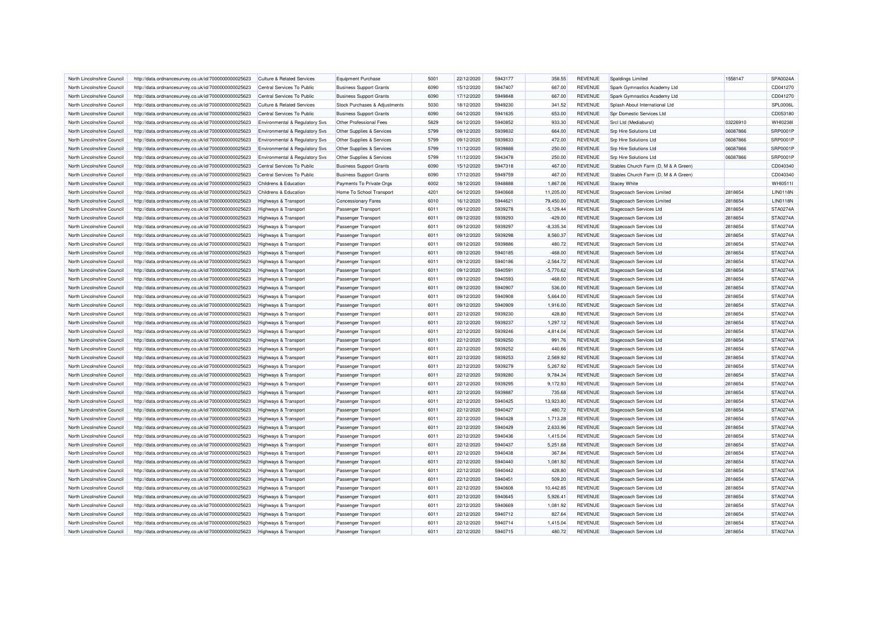| North Lincolnshire Council                               | http://data.ordnancesurvey.co.uk/id/7000000000025623 | Culture & Related Services            | <b>Equipment Purchase</b>      | 5001         | 22/12/2020               | 5943177            | 358.55               | <b>REVENUE</b>                   | Spaldings Limited                    | 1558147            | SPA0024A                    |
|----------------------------------------------------------|------------------------------------------------------|---------------------------------------|--------------------------------|--------------|--------------------------|--------------------|----------------------|----------------------------------|--------------------------------------|--------------------|-----------------------------|
| North Lincolnshire Council                               | http://data.ordnancesurvey.co.uk/id/7000000000025623 | Central Services To Public            | <b>Business Support Grants</b> | 6090         | 15/12/2020               | 5947407            | 667.00               | <b>REVENUE</b>                   | Spark Gymnastics Academy Ltd         |                    | CD041270                    |
| North Lincolnshire Council                               | http://data.ordnancesurvey.co.uk/id/7000000000025623 | Central Services To Public            | <b>Business Support Grants</b> | 6090         | 17/12/2020               | 5949848            | 667.00               | <b>REVENUE</b>                   | Spark Gymnastics Academy Ltd         |                    | CD041270                    |
| North Lincolnshire Council                               | http://data.ordnancesurvey.co.uk/id/7000000000025623 | <b>Culture &amp; Related Services</b> | Stock Purchases & Adjustments  | 5030         | 18/12/2020               | 5949230            | 341.52               | <b>REVENUE</b>                   | Splash About International Ltd       |                    | SPL0006L                    |
| North Lincolnshire Council                               | http://data.ordnancesurvey.co.uk/id/7000000000025623 | Central Services To Public            | <b>Business Support Grants</b> | 6090         | 04/12/2020               | 5941635            | 653.00               | <b>REVENUE</b>                   | Spr Domestic Services Ltd            |                    | CD053180                    |
| North Lincolnshire Council                               | http://data.ordnancesurvey.co.uk/id/7000000000025623 | Environmental & Regulatory Svs        | Other Professional Fees        | 5829         | 04/12/2020               | 5940852            | 933.30               | <b>REVENUE</b>                   | Srcl Ltd (Mediaburst)                | 03226910           | WHI02381                    |
| North Lincolnshire Council                               | http://data.ordnancesurvey.co.uk/id/7000000000025623 | Environmental & Regulatory Svs        | Other Supplies & Services      | 5799         | 09/12/2020               | 5939832            | 664.00               | <b>REVENUE</b>                   | <b>Srp Hire Solutions Ltd</b>        | 06087866           | SRP0001P                    |
| North Lincolnshire Council                               | http://data.ordnancesurvey.co.uk/id/7000000000025623 | Environmental & Regulatory Svs        | Other Supplies & Services      | 5799         | 09/12/2020               | 5939833            | 472.00               | <b>REVENUE</b>                   | <b>Srp Hire Solutions Ltd</b>        | 06087866           | SRP0001P                    |
| North Lincolnshire Council                               | http://data.ordnancesurvey.co.uk/id/7000000000025623 | Environmental & Regulatory Svs        | Other Supplies & Services      | 5799         | 11/12/2020               | 5939888            | 250.00               | <b>REVENUE</b>                   | <b>Srp Hire Solutions Ltd</b>        | 06087866           | <b>SRP0001P</b>             |
| North Lincolnshire Council                               | http://data.ordnancesurvey.co.uk/id/7000000000025623 | Environmental & Regulatory Svs        | Other Supplies & Services      | 5799         | 11/12/2020               | 5943478            | 250.00               | <b>REVENUE</b>                   | Srp Hire Solutions Ltd               | 06087866           | SRP0001P                    |
| North Lincolnshire Council                               | http://data.ordnancesurvey.co.uk/id/7000000000025623 | Central Services To Public            | <b>Business Support Grants</b> | 6090         | 15/12/2020               | 5947318            | 467.00               | <b>REVENUE</b>                   | Stables Church Farm (D, M & A Green) |                    | CD040340                    |
| North Lincolnshire Council                               | http://data.ordnancesurvey.co.uk/id/7000000000025623 | Central Services To Public            | <b>Business Support Grants</b> | 6090         | 17/12/2020               | 5949759            | 467.00               | <b>REVENUE</b>                   | Stables Church Farm (D, M & A Green) |                    | CD040340                    |
| North Lincolnshire Council                               | http://data.ordnancesurvey.co.uk/id/7000000000025623 | Childrens & Education                 | Payments To Private Orgs       | 6002         | 18/12/2020               | 5948888            | 1,867.06             | <b>REVENUE</b>                   | <b>Stacey White</b>                  |                    | WHI0511I                    |
| North Lincolnshire Council                               | http://data.ordnancesurvey.co.uk/id/7000000000025623 | Childrens & Education                 | Home To School Transport       | 4201         | 04/12/2020               | 5940668            | 11,205.00            | <b>REVENUE</b>                   | Stagecoach Services Limited          | 2818654            | <b>LIN0118N</b>             |
| North Lincolnshire Council                               | http://data.ordnancesurvey.co.uk/id/7000000000025623 | <b>Highways &amp; Transport</b>       | <b>Concessionary Fares</b>     | 6010         | 16/12/2020               | 5944621            | 79.450.00            | <b>REVENUE</b>                   | Stagecoach Services Limited          | 2818654            | <b>LIN0118N</b>             |
| North Lincolnshire Council                               | http://data.ordnancesurvey.co.uk/id/7000000000025623 | Highways & Transport                  | Passenger Transport            | 6011         | 09/12/2020               | 5939278            | $-5,129.44$          | <b>REVENUE</b>                   | Stagecoach Services Ltd              | 2818654            | STA0274A                    |
| North Lincolnshire Council                               | http://data.ordnancesurvey.co.uk/id/7000000000025623 | <b>Highways &amp; Transport</b>       | Passenger Transport            | 6011         | 09/12/2020               | 5939293            | $-429.00$            | <b>REVENUE</b>                   | Stagecoach Services Ltd              | 2818654            | STA0274A                    |
| North Lincolnshire Council                               | http://data.ordnancesurvey.co.uk/id/7000000000025623 | <b>Highways &amp; Transport</b>       | Passenger Transport            | 6011         | 09/12/2020               | 5939297            | $-8,335.34$          | <b>REVENUE</b>                   | Stagecoach Services Ltd              | 2818654            | STA0274A                    |
| North Lincolnshire Council                               | http://data.ordnancesurvey.co.uk/id/7000000000025623 | Highways & Transport                  | Passenger Transport            | 6011         | 09/12/2020               | 5939298            | 8,560.37             | <b>REVENUE</b>                   | Stagecoach Services Ltd              | 2818654            | <b>STA0274A</b>             |
| North Lincolnshire Council                               | http://data.ordnancesurvey.co.uk/id/7000000000025623 | <b>Highways &amp; Transport</b>       | Passenger Transport            | 6011         | 09/12/2020               | 5939886            | 480.72               | <b>REVENUE</b>                   | Stagecoach Services Ltd              | 2818654            | STA0274A                    |
| North Lincolnshire Council                               | http://data.ordnancesurvey.co.uk/id/7000000000025623 | <b>Highways &amp; Transport</b>       | Passenger Transport            | 6011         | 09/12/2020               | 5940185            | $-468.00$            | <b>REVENUE</b>                   | Stagecoach Services Ltd              | 2818654            | STA0274A                    |
| North Lincolnshire Council                               | http://data.ordnancesurvey.co.uk/id/7000000000025623 | <b>Highways &amp; Transport</b>       | Passenger Transport            | 6011         | 09/12/2020               | 5940186            | $-2,564.72$          | <b>REVENUE</b>                   | Stagecoach Services Ltd              | 2818654            | STA0274A                    |
| North Lincolnshire Council                               | http://data.ordnancesurvey.co.uk/id/7000000000025623 | Highways & Transport                  | Passenger Transport            | 6011         | 09/12/2020               | 5940591            | $-5,770.62$          | <b>REVENUE</b>                   | Stagecoach Services Ltd              | 2818654            | <b>STA0274A</b>             |
| North Lincolnshire Council                               | http://data.ordnancesurvey.co.uk/id/7000000000025623 | Highways & Transport                  | Passenger Transport            | 6011         | 09/12/2020               | 5940593            | $-468.00$            | <b>REVENUE</b>                   | Stagecoach Services Ltd              | 2818654            | STA0274A                    |
| North Lincolnshire Council                               | http://data.ordnancesurvey.co.uk/id/7000000000025623 | <b>Highways &amp; Transport</b>       | Passenger Transport            | 6011         | 09/12/2020               | 5940907            | 536.00               | <b>REVENUE</b>                   | <b>Stagecoach Services Ltd</b>       | 2818654            | STA0274A                    |
| North Lincolnshire Council                               | http://data.ordnancesurvey.co.uk/id/7000000000025623 | <b>Highways &amp; Transport</b>       | Passenger Transport            | 6011         | 09/12/2020               | 5940908            | 5,664.00             | <b>REVENUE</b>                   | Stagecoach Services Ltd              | 2818654            | STA0274A                    |
| North Lincolnshire Council                               | http://data.ordnancesurvey.co.uk/id/7000000000025623 | <b>Highways &amp; Transport</b>       | Passenger Transport            | 6011         | 09/12/2020               | 5940909            | 1,916.00             | <b>REVENUE</b>                   | Stagecoach Services Ltd              | 2818654            | <b>STA0274A</b>             |
| North Lincolnshire Council                               | http://data.ordnancesurvey.co.uk/id/7000000000025623 | <b>Highways &amp; Transport</b>       | Passenger Transport            | 6011         | 22/12/2020               | 5939230            | 428.80               | REVENUE                          | Stagecoach Services Ltd              | 2818654            | <b>STA0274A</b>             |
| North Lincolnshire Council                               | http://data.ordnancesurvey.co.uk/id/7000000000025623 | Highways & Transport                  | Passenger Transport            | 6011         | 22/12/2020               | 5939237            | 1,297.12             | <b>REVENUE</b>                   | Stagecoach Services Ltd              | 2818654            | <b>STA0274A</b>             |
| North Lincolnshire Council                               | http://data.ordnancesurvey.co.uk/id/7000000000025623 | <b>Highways &amp; Transport</b>       | Passenger Transport            | 6011         | 22/12/2020               | 5939246            | 4,814.04             | <b>REVENUE</b>                   | Stagecoach Services Ltd              | 2818654            | STA0274A                    |
| North Lincolnshire Council                               | http://data.ordnancesurvey.co.uk/id/7000000000025623 | <b>Highways &amp; Transport</b>       | Passenger Transport            | 6011         | 22/12/2020               | 5939250            | 991.76               | <b>REVENUE</b>                   | Stagecoach Services Ltd              | 2818654            | STA0274A                    |
| North Lincolnshire Council                               | http://data.ordnancesurvey.co.uk/id/7000000000025623 | <b>Highways &amp; Transport</b>       | Passenger Transport            | 6011         | 22/12/2020               | 5939252            | 440.66               | <b>REVENUE</b>                   | Stagecoach Services Ltd              | 2818654            | STA0274A                    |
| North Lincolnshire Council                               | http://data.ordnancesurvey.co.uk/id/7000000000025623 | <b>Highways &amp; Transport</b>       | Passenger Transport            | 6011         | 22/12/2020               | 5939253            | 2,569.92             | <b>REVENUE</b>                   | Stagecoach Services Ltd              | 2818654            | STA0274A                    |
| North Lincolnshire Council                               | http://data.ordnancesurvey.co.uk/id/7000000000025623 | <b>Highways &amp; Transport</b>       | Passenger Transport            | 6011         | 22/12/2020               | 5939279            | 5,267.92             | <b>REVENUE</b>                   | Stagecoach Services Ltd              | 2818654            | <b>STA0274A</b>             |
| North Lincolnshire Council                               | http://data.ordnancesurvey.co.uk/id/7000000000025623 | <b>Highways &amp; Transport</b>       | Passenger Transport            | 6011         | 22/12/2020               | 5939280            | 9,784.34             | <b>REVENUE</b>                   | Stagecoach Services Ltd              | 2818654            | STA0274A                    |
|                                                          |                                                      |                                       |                                |              |                          |                    |                      |                                  |                                      |                    |                             |
| North Lincolnshire Council<br>North Lincolnshire Council | http://data.ordnancesurvey.co.uk/id/7000000000025623 | <b>Highways &amp; Transport</b>       | <b>Passenger Transport</b>     | 6011<br>6011 | 22/12/2020               | 5939295<br>5939887 | 9,172.93             | <b>REVENUE</b><br><b>REVENUE</b> | Stagecoach Services Ltd              | 2818654            | STA0274A<br><b>STA0274A</b> |
|                                                          | http://data.ordnancesurvey.co.uk/id/7000000000025623 | Highways & Transport                  | Passenger Transport            |              | 22/12/2020               |                    | 735.68               | <b>REVENUE</b>                   | Stagecoach Services Ltd              | 2818654            | STA0274A                    |
| North Lincolnshire Council                               | http://data.ordnancesurvey.co.uk/id/7000000000025623 | Highways & Transport                  | Passenger Transport            | 6011         | 22/12/2020               | 5940425            | 13,923.80            |                                  | Stagecoach Services Ltd              | 2818654            |                             |
| North Lincolnshire Council<br>North Lincolnshire Council | http://data.ordnancesurvey.co.uk/id/7000000000025623 | <b>Highways &amp; Transport</b>       | Passenger Transport            | 6011<br>6011 | 22/12/2020<br>22/12/2020 | 5940427<br>5940428 | 480.72<br>1.713.28   | <b>REVENUE</b><br><b>REVENUE</b> | Stagecoach Services Ltd              | 2818654<br>2818654 | STA0274A<br><b>STA0274A</b> |
|                                                          | http://data.ordnancesurvey.co.uk/id/7000000000025623 | Highways & Transport                  | <b>Passenger Transport</b>     | 6011         |                          | 5940429            |                      | <b>REVENUE</b>                   | Stagecoach Services Ltd              |                    |                             |
| North Lincolnshire Council                               | http://data.ordnancesurvey.co.uk/id/7000000000025623 | <b>Highways &amp; Transport</b>       | Passenger Transport            | 6011         | 22/12/2020               | 5940436            | 2,633.96             | <b>REVENUE</b>                   | Stagecoach Services Ltd              | 2818654            | STA0274A<br><b>STA0274A</b> |
| North Lincolnshire Council                               | http://data.ordnancesurvey.co.uk/id/7000000000025623 | <b>Highways &amp; Transport</b>       | Passenger Transport            | 6011         | 22/12/2020<br>22/12/2020 | 5940437            | 1,415.04<br>5,251.68 | <b>REVENUE</b>                   | Stagecoach Services Ltd              | 2818654            | STA0274A                    |
| North Lincolnshire Council                               | http://data.ordnancesurvey.co.uk/id/7000000000025623 | <b>Highways &amp; Transport</b>       | Passenger Transport            |              |                          |                    |                      |                                  | Stagecoach Services Ltd              | 2818654            |                             |
| North Lincolnshire Council                               | http://data.ordnancesurvey.co.uk/id/7000000000025623 | <b>Highways &amp; Transport</b>       | Passenger Transport            | 6011         | 22/12/2020               | 5940438            | 367.84               | <b>REVENUE</b>                   | Stagecoach Services Ltd              | 2818654            | STA0274A                    |
| North Lincolnshire Council                               | http://data.ordnancesurvey.co.uk/id/7000000000025623 | Highways & Transport                  | Passenger Transport            | 6011         | 22/12/2020               | 5940440            | 1,081.92             | <b>REVENUE</b>                   | Stagecoach Services Ltd              | 2818654            | STA0274A                    |
| North Lincolnshire Council                               | http://data.ordnancesurvey.co.uk/id/7000000000025623 | <b>Highways &amp; Transport</b>       | Passenger Transport            | 6011         | 22/12/2020               | 5940442            | 428.80               | <b>REVENUE</b>                   | Stagecoach Services Ltd              | 2818654            | STA0274A                    |
| North Lincolnshire Council                               | http://data.ordnancesurvey.co.uk/id/7000000000025623 | <b>Highways &amp; Transport</b>       | <b>Passenger Transport</b>     | 6011         | 22/12/2020               | 5940451            | 509.20               | <b>REVENUE</b>                   | Stagecoach Services Ltd              | 2818654            | STA0274A                    |
| North Lincolnshire Council                               | http://data.ordnancesurvey.co.uk/id/7000000000025623 | <b>Highways &amp; Transport</b>       | Passenger Transport            | 6011         | 22/12/2020               | 5940608            | 10.442.85            | <b>REVENUE</b>                   | Stagecoach Services Ltd              | 2818654            | <b>STA0274A</b>             |
| North Lincolnshire Council                               | http://data.ordnancesurvey.co.uk/id/7000000000025623 | <b>Highways &amp; Transport</b>       | Passenger Transport            | 6011         | 22/12/2020               | 5940645            | 5,926.41             | <b>REVENUE</b>                   | Stagecoach Services Ltd              | 2818654            | STA0274A                    |
| North Lincolnshire Council                               | http://data.ordnancesurvey.co.uk/id/7000000000025623 | <b>Highways &amp; Transport</b>       | Passenger Transport            | 6011         | 22/12/2020               | 5940669            | 1,081.92             | REVENUE                          | Stagecoach Services Ltd              | 2818654            | STA0274A                    |
| North Lincolnshire Council                               | http://data.ordnancesurvey.co.uk/id/7000000000025623 | <b>Highways &amp; Transport</b>       | Passenger Transport            | 6011         | 22/12/2020               | 5940712            | 827.64               | <b>REVENUE</b>                   | Stagecoach Services Ltd              | 2818654            | STA0274A                    |
| North Lincolnshire Council                               | http://data.ordnancesurvey.co.uk/id/7000000000025623 | <b>Highways &amp; Transport</b>       | Passenger Transport            | 6011         | 22/12/2020               | 5940714            | 1,415.04             | <b>REVENUE</b>                   | Stagecoach Services Ltd              | 2818654            | <b>STA0274A</b>             |
| North Lincolnshire Council                               | http://data.ordnancesurvey.co.uk/id/7000000000025623 | Highways & Transport                  | Passenger Transport            | 6011         | 22/12/2020               | 5940715            | 480.72               | <b>REVENUE</b>                   | Stagecoach Services Ltd              | 2818654            | <b>STA0274A</b>             |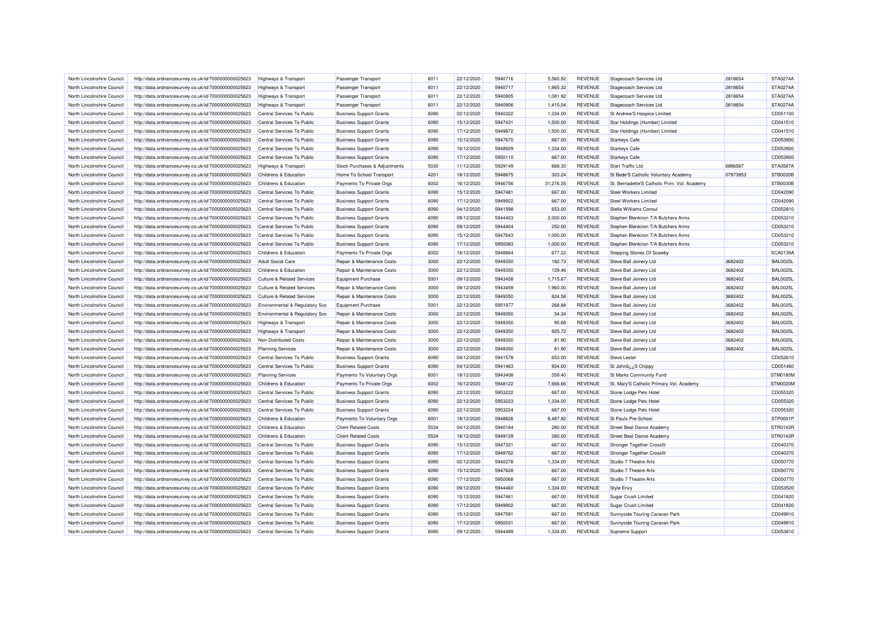| North Lincolnshire Council | http://data.ordnancesurvey.co.uk/id/7000000000025623 | Highways & Transport                  | Passenger Transport            | 6011 | 22/12/2020 | 5940716            | 5.560.92  | <b>REVENUE</b> | Stagecoach Services Ltd                      | 2818654  | <b>STA0274A</b>                    |
|----------------------------|------------------------------------------------------|---------------------------------------|--------------------------------|------|------------|--------------------|-----------|----------------|----------------------------------------------|----------|------------------------------------|
| North Lincolnshire Council | http://data.ordnancesurvey.co.uk/id/7000000000025623 | <b>Highways &amp; Transport</b>       | Passenger Transport            | 6011 | 22/12/2020 | 5940717            | 1,865.32  | <b>REVENUE</b> | Stagecoach Services Ltd                      | 2818654  | STA0274A                           |
| North Lincolnshire Council | http://data.ordnancesurvey.co.uk/id/7000000000025623 | <b>Highways &amp; Transport</b>       | Passenger Transport            | 6011 | 22/12/2020 | 5940905            | 1,081.92  | <b>REVENUE</b> | Stagecoach Services Ltd                      | 2818654  | STA0274A                           |
| North Lincolnshire Council | http://data.ordnancesurvey.co.uk/id/7000000000025623 | <b>Highways &amp; Transport</b>       | Passenger Transport            | 6011 | 22/12/2020 | 5940906            | 1,415.04  | <b>REVENUE</b> | Stagecoach Services Ltd                      | 2818654  | STA0274A                           |
| North Lincolnshire Council | http://data.ordnancesurvey.co.uk/id/7000000000025623 | Central Services To Public            | <b>Business Support Grants</b> | 6090 | 02/12/2020 | 5940322            | 1,334.00  | <b>REVENUE</b> | St Andrew'S Hospice Limited                  |          | CD051100                           |
| North Lincolnshire Council | http://data.ordnancesurvey.co.uk/id/7000000000025623 | Central Services To Public            | <b>Business Support Grants</b> | 6090 | 15/12/2020 | 5947431            | 1,500.00  | <b>REVENUE</b> | Star Holdings (Humber) Limited               |          | CD041510                           |
| North Lincolnshire Council | http://data.ordnancesurvey.co.uk/id/7000000000025623 | Central Services To Public            | <b>Business Support Grants</b> | 6090 | 17/12/2020 | 5949872            | 1.500.00  | <b>REVENUE</b> | Star Holdings (Humber) Limited               |          | CD041510                           |
| North Lincolnshire Council | http://data.ordnancesurvey.co.uk/id/7000000000025623 | Central Services To Public            | <b>Business Support Grants</b> | 6090 | 15/12/2020 | 5947670            | 667.00    | <b>REVENUE</b> | <b>Starkeys Cafe</b>                         |          | CD053900                           |
| North Lincolnshire Council | http://data.ordnancesurvey.co.uk/id/7000000000025623 | Central Services To Public            | <b>Business Support Grants</b> | 6090 | 16/12/2020 | 5948929            | 1,334.00  | <b>REVENUE</b> | <b>Starkeys Cafe</b>                         |          | CD053900                           |
| North Lincolnshire Council | http://data.ordnancesurvey.co.uk/id/7000000000025623 | Central Services To Public            | <b>Business Support Grants</b> | 6090 | 17/12/2020 | 5950110            | 667.00    | <b>REVENUE</b> | <b>Starkeys Cafe</b>                         |          | CD053900                           |
| North Lincolnshire Council | http://data.ordnancesurvey.co.uk/id/7000000000025623 | <b>Highways &amp; Transport</b>       | Stock Purchases & Adjustments  | 5030 | 11/12/2020 | 5929149            | 668.30    | <b>REVENUE</b> | <b>Start Traffic Ltd</b>                     | 6896587  | <b>STA0587A</b>                    |
| North Lincolnshire Council | http://data.ordnancesurvey.co.uk/id/7000000000025623 | Childrens & Education                 | Home To School Transport       | 4201 | 18/12/2020 | 5948875            | 303.24    | <b>REVENUE</b> | St Bede'S Catholic Voluntary Academy         | 07973953 | <b>STB0020B</b>                    |
| North Lincolnshire Council | http://data.ordnancesurvey.co.uk/id/7000000000025623 | Childrens & Education                 | Payments To Private Orgs       | 6002 | 16/12/2020 | 5946756            | 31,276.35 | <b>REVENUE</b> | St. Bernadette'S Catholic Prim. Vol. Academy |          | STB0030B                           |
| North Lincolnshire Council | http://data.ordnancesurvey.co.uk/id/7000000000025623 | Central Services To Public            | <b>Business Support Grants</b> | 6090 | 15/12/2020 | 5947481            | 667.00    | <b>REVENUE</b> | <b>Steel Workers Limited</b>                 |          | CD042090                           |
| North Lincolnshire Council | http://data.ordnancesurvey.co.uk/id/7000000000025623 | Central Services To Public            | <b>Business Support Grants</b> | 6090 | 17/12/2020 | 5949922            | 667.00    | <b>REVENUE</b> | <b>Steel Workers Limited</b>                 |          | CD042090                           |
| North Lincolnshire Council | http://data.ordnancesurvey.co.uk/id/7000000000025623 | Central Services To Public            | <b>Business Support Grants</b> | 6090 | 04/12/2020 | 5941598            | 653.00    | <b>REVENUE</b> | Stella Williams Consul                       |          | CD052810                           |
| North Lincolnshire Council | http://data.ordnancesurvey.co.uk/id/7000000000025623 | Central Services To Public            | <b>Business Support Grants</b> | 6090 | 09/12/2020 | 5944403            | 2,000.00  | <b>REVENUE</b> | Stephen Blenkiron T/A Butchers Arms          |          | CD053210                           |
| North Lincolnshire Council | http://data.ordnancesurvey.co.uk/id/7000000000025623 | Central Services To Public            | <b>Business Support Grants</b> | 6090 | 09/12/2020 | 5944404            | 250.00    | <b>REVENUE</b> | Stephen Blenkiron T/A Butchers Arms          |          | CD053210                           |
| North Lincolnshire Council | http://data.ordnancesurvey.co.uk/id/7000000000025623 | Central Services To Public            | <b>Business Support Grants</b> | 6090 | 15/12/2020 | 5947643            | 1,000.00  | <b>REVENUE</b> | Stephen Blenkiron T/A Butchers Arms          |          | CD053210                           |
| North Lincolnshire Council | http://data.ordnancesurvey.co.uk/id/7000000000025623 | Central Services To Public            | <b>Business Support Grants</b> | 6090 | 17/12/2020 | 5950083            | 1,000.00  | <b>REVENUE</b> | Stephen Blenkiron T/A Butchers Arms          |          | CD053210                           |
| North Lincolnshire Council | http://data.ordnancesurvey.co.uk/id/7000000000025623 | Childrens & Education                 | Payments To Private Orgs       | 6002 | 18/12/2020 | 5948864            | 677.22    | <b>REVENUE</b> | Stepping Stones Of Scawby                    |          | SCA0139A                           |
| North Lincolnshire Council | http://data.ordnancesurvey.co.uk/id/7000000000025623 | <b>Adult Social Care</b>              | Repair & Maintenance Costs     | 3000 | 22/12/2020 | 5949350            | 182.73    | <b>REVENUE</b> | Steve Ball Joinery Ltd                       | 3682402  | <b>BAL0025L</b>                    |
| North Lincolnshire Council | http://data.ordnancesurvey.co.uk/id/7000000000025623 | Childrens & Education                 | Repair & Maintenance Costs     | 3000 | 22/12/2020 | 5949350            | 129.46    | <b>REVENUE</b> | Steve Ball Joinery Ltd                       | 3682402  | <b>BAL0025L</b>                    |
| North Lincolnshire Council |                                                      | <b>Culture &amp; Related Services</b> | <b>Equipment Purchase</b>      | 5001 | 09/12/2020 | 5943458            | 1,715.67  | <b>REVENUE</b> | Steve Ball Joinery Ltd                       | 3682402  | <b>BAL0025L</b>                    |
|                            | http://data.ordnancesurvey.co.uk/id/7000000000025623 |                                       |                                | 3000 |            | 5943459            |           | <b>REVENUE</b> |                                              | 3682402  | <b>BAL0025L</b>                    |
| North Lincolnshire Council | http://data.ordnancesurvey.co.uk/id/7000000000025623 | Culture & Related Services            | Repair & Maintenance Costs     |      | 09/12/2020 |                    | 1,960.00  |                | Steve Ball Joinery Ltd                       |          |                                    |
| North Lincolnshire Council | http://data.ordnancesurvey.co.uk/id/7000000000025623 | <b>Culture &amp; Related Services</b> | Repair & Maintenance Costs     | 3000 | 22/12/2020 | 5949350            | 824.58    | <b>REVENUE</b> | Steve Ball Joinery Ltd                       | 3682402  | <b>BAL0025L</b>                    |
| North Lincolnshire Council | http://data.ordnancesurvey.co.uk/id/7000000000025623 | Environmental & Regulatory Svs        | <b>Equipment Purchase</b>      | 5001 | 22/12/2020 | 5951977<br>5949350 | 268.88    | <b>REVENUE</b> | Steve Ball Joinery Ltd                       | 3682402  | <b>BAL0025L</b><br><b>BAL0025L</b> |
| North Lincolnshire Council | http://data.ordnancesurvey.co.uk/id/7000000000025623 | Environmental & Regulatory Svs        | Repair & Maintenance Costs     | 3000 | 22/12/2020 |                    | 54.34     | <b>REVENUE</b> | Steve Ball Joinery Ltd                       | 3682402  |                                    |
| North Lincolnshire Council | http://data.ordnancesurvey.co.uk/id/7000000000025623 | <b>Highways &amp; Transport</b>       | Repair & Maintenance Costs     | 3000 | 22/12/2020 | 5949350            | 95.68     | <b>REVENUE</b> | Steve Ball Joinery Ltd                       | 3682402  | <b>BAL0025L</b>                    |
| North Lincolnshire Council | http://data.ordnancesurvey.co.uk/id/7000000000025623 | Highways & Transport                  | Repair & Maintenance Costs     | 3000 | 22/12/2020 | 5949350            | 925.72    | <b>REVENUE</b> | Steve Ball Joinery Ltd                       | 3682402  | <b>BAL0025L</b>                    |
| North Lincolnshire Council | http://data.ordnancesurvey.co.uk/id/7000000000025623 | Non Distributed Costs                 | Repair & Maintenance Costs     | 3000 | 22/12/2020 | 5949350            | 81.90     | <b>REVENUE</b> | Steve Ball Joinery Ltd                       | 3682402  | <b>BAL0025L</b>                    |
| North Lincolnshire Council | http://data.ordnancesurvey.co.uk/id/7000000000025623 | <b>Planning Services</b>              | Repair & Maintenance Costs     | 3000 | 22/12/2020 | 5949350            | 81.90     | <b>REVENUE</b> | Steve Ball Joinery Ltd                       | 3682402  | <b>BAL0025L</b>                    |
| North Lincolnshire Council | http://data.ordnancesurvey.co.uk/id/7000000000025623 | Central Services To Public            | <b>Business Support Grants</b> | 6090 | 04/12/2020 | 5941578            | 653.00    | <b>REVENUE</b> | <b>Steve Lester</b>                          |          | CD052610                           |
| North Lincolnshire Council | http://data.ordnancesurvey.co.uk/id/7000000000025623 | Central Services To Public            | <b>Business Support Grants</b> | 6090 | 04/12/2020 | 5941463            | 934.00    | <b>REVENUE</b> | St Johnâ ¿¿ S Chippy                         |          | CD051460                           |
| North Lincolnshire Council | http://data.ordnancesurvey.co.uk/id/7000000000025623 | <b>Planning Services</b>              | Payments To Voluntary Orgs     | 6001 | 18/12/2020 | 5943408            | 559.40    | <b>REVENUE</b> | St Marks Community Fund                      |          | <b>STM0180M</b>                    |
| North Lincolnshire Council | http://data.ordnancesurvey.co.uk/id/7000000000025623 | Childrens & Education                 | Payments To Private Orgs       | 6002 | 16/12/2020 | 5948122            | 7,666.66  | <b>REVENUE</b> | St. Mary'S Catholic Primary Vol. Academy     |          | <b>STM0020M</b>                    |
| North Lincolnshire Council | http://data.ordnancesurvey.co.uk/id/7000000000025623 | Central Services To Public            | <b>Business Support Grants</b> | 6090 | 22/12/2020 | 5953222            | 667.00    | <b>REVENUE</b> | Stone Lodge Pets Hotel                       |          | CD055320                           |
| North Lincolnshire Council | http://data.ordnancesurvey.co.uk/id/7000000000025623 | Central Services To Public            | <b>Business Support Grants</b> | 6090 | 22/12/2020 | 5953223            | 1,334.00  | <b>REVENUE</b> | Stone Lodge Pets Hotel                       |          | CD055320                           |
| North Lincolnshire Council | http://data.ordnancesurvey.co.uk/id/7000000000025623 | Central Services To Public            | <b>Business Support Grants</b> | 6090 | 22/12/2020 | 5953224            | 667.00    | <b>REVENUE</b> | Stone Lodge Pets Hotel                       |          | CD055320                           |
| North Lincolnshire Council | http://data.ordnancesurvey.co.uk/id/7000000000025623 | Childrens & Education                 | Payments To Voluntary Orgs     | 6001 | 18/12/2020 | 5948826            | 8.487.92  | <b>REVENUE</b> | <b>St Pauls Pre-School</b>                   |          | STP0001P                           |
| North Lincolnshire Council | http://data.ordnancesurvey.co.uk/id/7000000000025623 | Childrens & Education                 | <b>Client Related Costs</b>    | 5534 | 04/12/2020 | 5940184            | 280.00    | <b>REVENUE</b> | <b>Street Beat Dance Academy</b>             |          | STR0143R                           |
| North Lincolnshire Council | http://data.ordnancesurvey.co.uk/id/7000000000025623 | Childrens & Education                 | <b>Client Related Costs</b>    | 5534 | 18/12/2020 | 5949129            | 280.00    | <b>REVENUE</b> | Street Beat Dance Academy                    |          | <b>STR0143F</b>                    |
| North Lincolnshire Council | http://data.ordnancesurvey.co.uk/id/7000000000025623 | Central Services To Public            | <b>Business Support Grants</b> | 6090 | 15/12/2020 | 5947321            | 667.00    | <b>REVENUE</b> | <b>Stronger Together Crossfit</b>            |          | CD040370                           |
| North Lincolnshire Council | http://data.ordnancesurvey.co.uk/id/7000000000025623 | Central Services To Public            | <b>Business Support Grants</b> | 6090 | 17/12/2020 | 5949762            | 667.00    | <b>REVENUE</b> | <b>Stronger Together Crossfit</b>            |          | CD040370                           |
| North Lincolnshire Council | http://data.ordnancesurvey.co.uk/id/7000000000025623 | Central Services To Public            | <b>Business Support Grants</b> | 6090 | 02/12/2020 | 5940278            | 1,334.00  | <b>REVENUE</b> | Studio 7 Theatre Arts                        |          | CD050770                           |
| North Lincolnshire Council | http://data.ordnancesurvey.co.uk/id/7000000000025623 | Central Services To Public            | <b>Business Support Grants</b> | 6090 | 15/12/2020 | 5947628            | 667.00    | <b>REVENUE</b> | Studio 7 Theatre Arts                        |          | CD050770                           |
| North Lincolnshire Council | http://data.ordnancesurvey.co.uk/id/7000000000025623 | Central Services To Public            | <b>Business Support Grants</b> | 6090 | 17/12/2020 | 5950068            | 667.00    | <b>REVENUE</b> | Studio 7 Theatre Arts                        |          | CD050770                           |
| North Lincolnshire Council | http://data.ordnancesurvey.co.uk/id/7000000000025623 | Central Services To Public            | <b>Business Support Grants</b> | 6090 | 09/12/2020 | 5944460            | 1.334.00  | <b>REVENUE</b> | <b>Style Envy</b>                            |          | CD053520                           |
| North Lincolnshire Council | http://data.ordnancesurvey.co.uk/id/7000000000025623 | Central Services To Public            | <b>Business Support Grants</b> | 6090 | 15/12/2020 | 5947461            | 667.00    | <b>REVENUE</b> | Sugar Crush Limited                          |          | CD041820                           |
| North Lincolnshire Council | http://data.ordnancesurvey.co.uk/id/7000000000025623 | Central Services To Public            | <b>Business Support Grants</b> | 6090 | 17/12/2020 | 5949902            | 667.00    | <b>REVENUE</b> | Sugar Crush Limited                          |          | CD041820                           |
| North Lincolnshire Council | http://data.ordnancesurvey.co.uk/id/7000000000025623 | Central Services To Public            | <b>Business Support Grants</b> | 6090 | 15/12/2020 | 5947591            | 667.00    | <b>REVENUE</b> | Sunnyside Touring Caravan Park               |          | CD049910                           |
| North Lincolnshire Council | http://data.ordnancesurvey.co.uk/id/7000000000025623 | Central Services To Public            | <b>Business Support Grants</b> | 6090 | 17/12/2020 | 5950031            | 667.00    | <b>REVENUE</b> | Sunnyside Touring Caravan Park               |          | CD049910                           |
| North Lincolnshire Council | http://data.ordnancesurvey.co.uk/id/7000000000025623 | Central Services To Public            | <b>Business Support Grants</b> | 6090 | 09/12/2020 | 5944489            | 1.334.00  | <b>REVENUE</b> | Supreme Support                              |          | CD053810                           |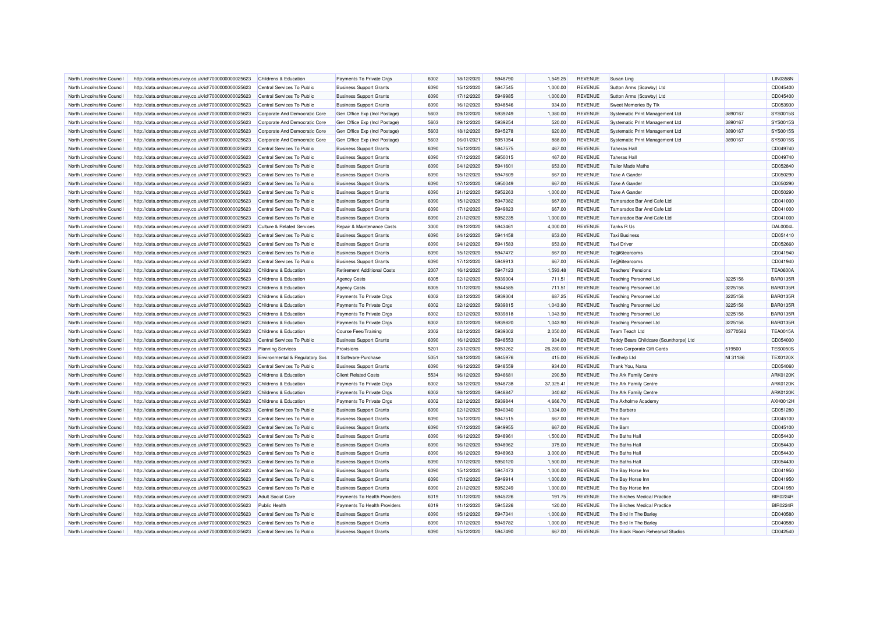| North Lincolnshire Council                               | http://data.ordnancesurvey.co.uk/id/7000000000025623                                                         | Childrens & Education                 | Payments To Private Orgs                                         | 6002 | 18/12/2020               | 5948790 | 1,549.25  | <b>REVENUE</b> | Susan Ling                                 |          | <b>LIN0358N</b> |
|----------------------------------------------------------|--------------------------------------------------------------------------------------------------------------|---------------------------------------|------------------------------------------------------------------|------|--------------------------|---------|-----------|----------------|--------------------------------------------|----------|-----------------|
| North Lincolnshire Council                               | http://data.ordnancesurvey.co.uk/id/7000000000025623                                                         | Central Services To Public            | <b>Business Support Grants</b>                                   | 6090 | 15/12/2020               | 5947545 | 1,000.00  | <b>REVENUE</b> | Sutton Arms (Scawby) Ltd                   |          | CD045400        |
| North Lincolnshire Council                               | http://data.ordnancesurvey.co.uk/id/7000000000025623                                                         | Central Services To Public            | <b>Business Support Grants</b>                                   | 6090 | 17/12/2020               | 5949985 | 1,000.00  | <b>REVENUE</b> | Sutton Arms (Scawby) Ltd                   |          | CD045400        |
| North Lincolnshire Council                               | http://data.ordnancesurvey.co.uk/id/7000000000025623                                                         | Central Services To Public            | <b>Business Support Grants</b>                                   | 6090 | 16/12/2020               | 5948546 | 934.00    | <b>REVENUE</b> | Sweet Memories By Tlk                      |          | CD053930        |
| North Lincolnshire Council                               | http://data.ordnancesurvey.co.uk/id/7000000000025623                                                         | Corporate And Democratic Core         | Gen Office Exp (Incl Postage)                                    | 5603 | 09/12/2020               | 5939249 | 1,380.00  | <b>REVENUE</b> | Systematic Print Management Ltd            | 3890167  | SYS0015S        |
| North Lincolnshire Council                               | http://data.ordnancesurvey.co.uk/id/7000000000025623                                                         | Corporate And Democratic Core         | Gen Office Exp (Incl Postage)                                    | 5603 | 09/12/2020               | 5939254 | 520.00    | <b>REVENUE</b> | Systematic Print Management Ltd            | 3890167  | SYS0015S        |
| North Lincolnshire Council                               | http://data.ordnancesurvey.co.uk/id/7000000000025623                                                         | Corporate And Democratic Core         | Gen Office Exp (Incl Postage)                                    | 5603 | 18/12/2020               | 5945278 | 620.00    | <b>REVENUE</b> | Systematic Print Management Ltd            | 3890167  | SYS0015S        |
| North Lincolnshire Council                               | http://data.ordnancesurvey.co.uk/id/7000000000025623                                                         | Corporate And Democratic Core         | Gen Office Exp (Incl Postage)                                    | 5603 | 06/01/2021               | 5951354 | 888.00    | <b>REVENUE</b> | Systematic Print Management Ltd            | 3890167  | SYS0015S        |
| North Lincolnshire Council                               | http://data.ordnancesurvey.co.uk/id/7000000000025623                                                         | Central Services To Public            | <b>Business Support Grants</b>                                   | 6090 | 15/12/2020               | 5947575 | 467.00    | <b>REVENUE</b> | <b>Taheras Hal</b>                         |          | CD049740        |
| North Lincolnshire Council                               | http://data.ordnancesurvey.co.uk/id/7000000000025623                                                         | Central Services To Public            | <b>Business Support Grants</b>                                   | 6090 | 17/12/2020               | 5950015 | 467.00    | <b>REVENUE</b> | <b>Taheras Hal</b>                         |          | CD049740        |
| North Lincolnshire Council                               | http://data.ordnancesurvey.co.uk/id/7000000000025623                                                         | Central Services To Public            | <b>Business Support Grants</b>                                   | 6090 | 04/12/2020               | 5941601 | 653.00    | <b>REVENUE</b> | <b>Tailor Made Maths</b>                   |          | CD052840        |
| North Lincolnshire Council                               | http://data.ordnancesurvey.co.uk/id/7000000000025623                                                         | Central Services To Public            | <b>Business Support Grants</b>                                   | 6090 | 15/12/2020               | 5947609 | 667.00    | <b>REVENUE</b> | Take A Gander                              |          | CD050290        |
| North Lincolnshire Council                               | http://data.ordnancesurvey.co.uk/id/7000000000025623                                                         | Central Services To Public            | <b>Business Support Grants</b>                                   | 6090 | 17/12/2020               | 5950049 | 667.00    | <b>REVENUE</b> | Take A Gander                              |          | CD050290        |
| North Lincolnshire Council                               | http://data.ordnancesurvey.co.uk/id/7000000000025623                                                         | Central Services To Public            | <b>Business Support Grants</b>                                   | 6090 | 21/12/2020               | 5952263 | 1,000.00  | <b>REVENUE</b> | <b>Take A Gander</b>                       |          | CD050290        |
| North Lincolnshire Council                               | http://data.ordnancesurvey.co.uk/id/7000000000025623                                                         | Central Services To Public            | <b>Business Support Grants</b>                                   | 6090 | 15/12/2020               | 5947382 | 667.00    | <b>REVENUE</b> | Tamaradox Bar And Cafe Ltd                 |          | CD041000        |
| North Lincolnshire Council                               | http://data.ordnancesurvey.co.uk/id/7000000000025623                                                         | Central Services To Public            | <b>Business Support Grants</b>                                   | 6090 | 17/12/2020               | 5949823 | 667.00    | <b>REVENUE</b> | Tamaradox Bar And Cafe Ltd                 |          | CD041000        |
| North Lincolnshire Council                               | http://data.ordnancesurvey.co.uk/id/7000000000025623                                                         | Central Services To Public            | <b>Business Support Grants</b>                                   | 6090 | 21/12/2020               | 5952235 | 1,000.00  | <b>REVENUE</b> | Tamaradox Bar And Cafe Ltd                 |          | CD041000        |
| North Lincolnshire Council                               | http://data.ordnancesurvey.co.uk/id/7000000000025623                                                         | <b>Culture &amp; Related Services</b> | Repair & Maintenance Costs                                       | 3000 | 09/12/2020               | 5943461 | 4,000.00  | <b>REVENUE</b> | Tanks R Us                                 |          | <b>DAL0004L</b> |
|                                                          |                                                                                                              | Central Services To Public            |                                                                  | 6090 |                          | 5941458 | 653.00    | <b>REVENUE</b> |                                            |          | CD051410        |
| North Lincolnshire Council<br>North Lincolnshire Council | http://data.ordnancesurvey.co.uk/id/7000000000025623<br>http://data.ordnancesurvey.co.uk/id/7000000000025623 | Central Services To Public            | <b>Business Support Grants</b><br><b>Business Support Grants</b> | 6090 | 04/12/2020<br>04/12/2020 | 5941583 | 653.00    | <b>REVENUE</b> | <b>Taxi Business</b><br><b>Taxi Driver</b> |          | CD052660        |
|                                                          |                                                                                                              |                                       |                                                                  | 6090 |                          | 5947472 | 667.00    | <b>REVENUE</b> |                                            |          | CD041940        |
| North Lincolnshire Council                               | http://data.ordnancesurvey.co.uk/id/7000000000025623                                                         | Central Services To Public            | <b>Business Support Grants</b>                                   |      | 15/12/2020               |         |           |                | Te@6tearooms                               |          |                 |
| North Lincolnshire Council                               | http://data.ordnancesurvey.co.uk/id/7000000000025623                                                         | Central Services To Public            | <b>Business Support Grants</b>                                   | 6090 | 17/12/2020               | 5949913 | 667.00    | <b>REVENUE</b> | Te@6tearooms                               |          | CD041940        |
| North Lincolnshire Council                               | http://data.ordnancesurvey.co.uk/id/7000000000025623                                                         | <b>Childrens &amp; Education</b>      | <b>Retirement Additional Costs</b>                               | 2007 | 16/12/2020               | 5947123 | 1,593.48  | <b>REVENUE</b> | <b>Teachers' Pensions</b>                  |          | <b>TEA0600A</b> |
| North Lincolnshire Council                               | http://data.ordnancesurvey.co.uk/id/7000000000025623                                                         | Childrens & Education                 | <b>Agency Costs</b>                                              | 6005 | 02/12/2020               | 5939304 | 711.51    | <b>REVENUE</b> | <b>Teaching Personnel Ltd</b>              | 3225158  | <b>BAR0135R</b> |
| North Lincolnshire Council                               | http://data.ordnancesurvey.co.uk/id/7000000000025623                                                         | Childrens & Education                 | <b>Agency Costs</b>                                              | 6005 | 11/12/2020               | 5944585 | 711.51    | <b>REVENUE</b> | <b>Teaching Personnel Ltd</b>              | 3225158  | <b>BAR0135R</b> |
| North Lincolnshire Council                               | http://data.ordnancesurvey.co.uk/id/7000000000025623                                                         | Childrens & Education                 | Payments To Private Orgs                                         | 6002 | 02/12/2020               | 5939304 | 687.25    | <b>REVENUE</b> | <b>Teaching Personnel Ltd</b>              | 3225158  | <b>BAR0135R</b> |
| North Lincolnshire Council                               | http://data.ordnancesurvey.co.uk/id/7000000000025623                                                         | <b>Childrens &amp; Education</b>      | Payments To Private Orgs                                         | 6002 | 02/12/2020               | 5939815 | 1,043.90  | <b>REVENUE</b> | <b>Teaching Personnel Ltd</b>              | 3225158  | <b>BAR0135R</b> |
| North Lincolnshire Council                               | http://data.ordnancesurvey.co.uk/id/7000000000025623                                                         | Childrens & Education                 | Payments To Private Orgs                                         | 6002 | 02/12/2020               | 5939818 | 1.043.90  | <b>REVENUE</b> | <b>Teaching Personnel Ltd</b>              | 3225158  | <b>BAR0135R</b> |
| North Lincolnshire Council                               | http://data.ordnancesurvey.co.uk/id/7000000000025623                                                         | Childrens & Education                 | Payments To Private Orgs                                         | 6002 | 02/12/2020               | 5939820 | 1,043.90  | <b>REVENUE</b> | <b>Teaching Personnel Ltd</b>              | 3225158  | <b>BAR0135R</b> |
| North Lincolnshire Council                               | http://data.ordnancesurvey.co.uk/id/7000000000025623                                                         | Childrens & Education                 | <b>Course Fees/Training</b>                                      | 2002 | 02/12/2020               | 5939302 | 2,050.00  | <b>REVENUE</b> | Team Teach Ltd                             | 03770582 | <b>TEA0015A</b> |
| North Lincolnshire Council                               | http://data.ordnancesurvey.co.uk/id/7000000000025623                                                         | Central Services To Public            | <b>Business Support Grants</b>                                   | 6090 | 16/12/2020               | 5948553 | 934.00    | <b>REVENUE</b> | Teddy Bears Childcare (Scunthorpe) Ltd     |          | CD054000        |
| North Lincolnshire Council                               | http://data.ordnancesurvey.co.uk/id/7000000000025623                                                         | <b>Planning Services</b>              | Provisions                                                       | 5201 | 23/12/2020               | 5953262 | 26,280.00 | <b>REVENUE</b> | <b>Tesco Corporate Gift Cards</b>          | 519500   | <b>TES0050S</b> |
| North Lincolnshire Council                               | http://data.ordnancesurvey.co.uk/id/7000000000025623                                                         | Environmental & Regulatory Svs        | It Software-Purchase                                             | 5051 | 18/12/2020               | 5945976 | 415.00    | <b>REVENUE</b> | <b>Texthelp Ltd</b>                        | NI 31186 | <b>TEX0120X</b> |
| North Lincolnshire Council                               | http://data.ordnancesurvey.co.uk/id/7000000000025623                                                         | Central Services To Public            | <b>Business Support Grants</b>                                   | 6090 | 16/12/2020               | 5948559 | 934.00    | <b>REVENUE</b> | Thank You, Nana                            |          | CD054060        |
| North Lincolnshire Council                               | http://data.ordnancesurvey.co.uk/id/7000000000025623                                                         | Childrens & Education                 | <b>Client Related Costs</b>                                      | 5534 | 16/12/2020               | 5946681 | 290.50    | <b>REVENUE</b> | The Ark Family Centre                      |          | ARK0120K        |
| North Lincolnshire Council                               | http://data.ordnancesurvey.co.uk/id/7000000000025623                                                         | Childrens & Education                 | Payments To Private Orgs                                         | 6002 | 18/12/2020               | 5948738 | 37,325.41 | <b>REVENUE</b> | The Ark Family Centre                      |          | ARK0120K        |
| North Lincolnshire Council                               | http://data.ordnancesurvey.co.uk/id/7000000000025623                                                         | Childrens & Education                 | Payments To Private Orgs                                         | 6002 | 18/12/2020               | 5948847 | 340.62    | <b>REVENUE</b> | The Ark Family Centre                      |          | ARK0120K        |
| North Lincolnshire Council                               | http://data.ordnancesurvey.co.uk/id/7000000000025623                                                         | Childrens & Education                 | Payments To Private Orgs                                         | 6002 | 02/12/2020               | 5939844 | 4,666.70  | <b>REVENUE</b> | The Axholme Academy                        |          | AXH0012H        |
| North Lincolnshire Council                               | http://data.ordnancesurvey.co.uk/id/7000000000025623                                                         | Central Services To Public            | <b>Business Support Grants</b>                                   | 6090 | 02/12/2020               | 5940340 | 1,334.00  | <b>REVENUE</b> | The Barbers                                |          | CD051280        |
| North Lincolnshire Council                               | http://data.ordnancesurvey.co.uk/id/7000000000025623                                                         | Central Services To Public            | <b>Business Support Grants</b>                                   | 6090 | 15/12/2020               | 5947515 | 667.00    | <b>REVENUE</b> | The Barn                                   |          | CD045100        |
| North Lincolnshire Council                               | http://data.ordnancesurvey.co.uk/id/7000000000025623                                                         | Central Services To Public            | <b>Business Support Grants</b>                                   | 6090 | 17/12/2020               | 5949955 | 667.00    | <b>REVENUE</b> | The Barn                                   |          | CD045100        |
| North Lincolnshire Council                               | http://data.ordnancesurvey.co.uk/id/7000000000025623                                                         | Central Services To Public            | <b>Business Support Grants</b>                                   | 6090 | 16/12/2020               | 5948961 | 1,500.00  | <b>REVENUE</b> | The Baths Hall                             |          | CD054430        |
| North Lincolnshire Council                               | http://data.ordnancesurvey.co.uk/id/7000000000025623                                                         | Central Services To Public            | <b>Business Support Grants</b>                                   | 6090 | 16/12/2020               | 5948962 | 375.00    | <b>REVENUE</b> | The Baths Hall                             |          | CD054430        |
| North Lincolnshire Council                               | http://data.ordnancesurvey.co.uk/id/7000000000025623                                                         | Central Services To Public            | <b>Business Support Grants</b>                                   | 6090 | 16/12/2020               | 5948963 | 3,000.00  | <b>REVENUE</b> | The Baths Hall                             |          | CD054430        |
| North Lincolnshire Council                               | http://data.ordnancesurvey.co.uk/id/7000000000025623                                                         | Central Services To Public            | <b>Business Support Grants</b>                                   | 6090 | 17/12/2020               | 5950120 | 1,500.00  | <b>REVENUE</b> | The Baths Hall                             |          | CD054430        |
| North Lincolnshire Council                               | http://data.ordnancesurvey.co.uk/id/7000000000025623                                                         | Central Services To Public            | <b>Business Support Grants</b>                                   | 6090 | 15/12/2020               | 5947473 | 1,000.00  | <b>REVENUE</b> | The Bay Horse Inn                          |          | CD041950        |
| North Lincolnshire Council                               | http://data.ordnancesurvey.co.uk/id/7000000000025623                                                         | Central Services To Public            | <b>Business Support Grants</b>                                   | 6090 | 17/12/2020               | 5949914 | 1,000.00  | <b>REVENUE</b> | The Bay Horse Inn                          |          | CD041950        |
| North Lincolnshire Council                               | http://data.ordnancesurvey.co.uk/id/7000000000025623                                                         | Central Services To Public            | <b>Business Support Grants</b>                                   | 6090 | 21/12/2020               | 5952249 | 1,000.00  | <b>REVENUE</b> | The Bay Horse Inn                          |          | CD041950        |
| North Lincolnshire Council                               | http://data.ordnancesurvey.co.uk/id/7000000000025623                                                         | <b>Adult Social Care</b>              | Payments To Health Providers                                     | 6019 | 11/12/2020               | 5945226 | 191.75    | <b>REVENUE</b> | The Birches Medical Practice               |          | <b>BIR0224F</b> |
| North Lincolnshire Council                               | http://data.ordnancesurvey.co.uk/id/7000000000025623                                                         | <b>Public Health</b>                  | Payments To Health Providers                                     | 6019 | 11/12/2020               | 5945226 | 120.00    | <b>REVENUE</b> | The Birches Medical Practice               |          | <b>BIR0224F</b> |
| North Lincolnshire Council                               | http://data.ordnancesurvey.co.uk/id/7000000000025623                                                         | Central Services To Public            | <b>Business Support Grants</b>                                   | 6090 | 15/12/2020               | 5947341 | 1,000.00  | <b>REVENUE</b> | The Bird In The Barley                     |          | CD040580        |
| North Lincolnshire Council                               | http://data.ordnancesurvey.co.uk/id/7000000000025623                                                         | Central Services To Public            | <b>Business Support Grants</b>                                   | 6090 | 17/12/2020               | 5949782 | 1,000.00  | <b>REVENUE</b> | The Bird In The Barley                     |          | CD040580        |
| North Lincolnshire Council                               | http://data.ordnancesurvey.co.uk/id/7000000000025623                                                         | Central Services To Public            | <b>Business Support Grants</b>                                   | 6090 | 15/12/2020               | 5947490 | 667.00    | <b>REVENUE</b> | The Black Room Rehearsal Studios           |          | CD042540        |
|                                                          |                                                                                                              |                                       |                                                                  |      |                          |         |           |                |                                            |          |                 |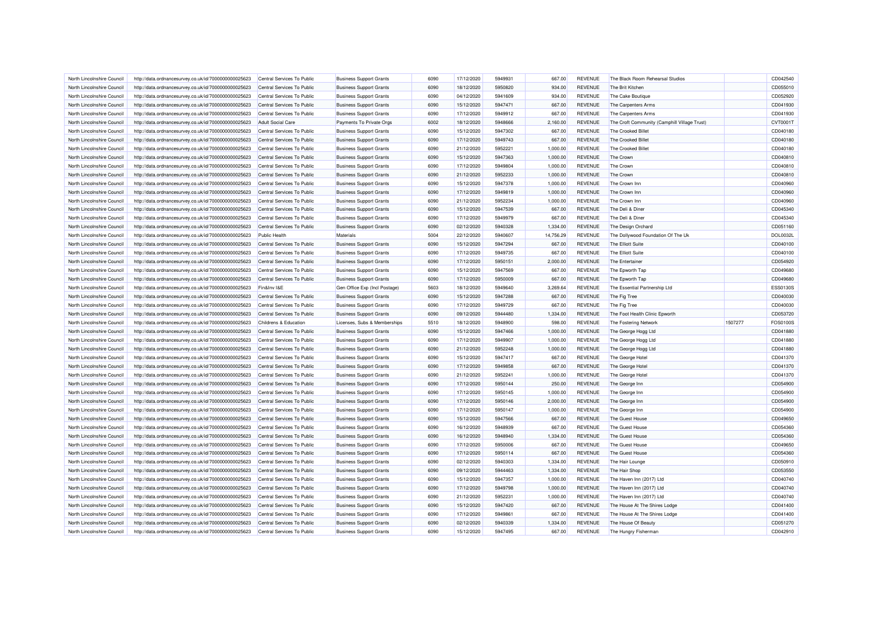| North Lincolnshire Council | http://data.ordnancesurvey.co.uk/id/7000000000025623 | Central Services To Public | <b>Business Support Grants</b> | 6090         | 17/12/2020               | 5949931            | 667.00             | <b>REVENUE</b>                   | The Black Room Rehearsal Studios             |         | CD042540             |
|----------------------------|------------------------------------------------------|----------------------------|--------------------------------|--------------|--------------------------|--------------------|--------------------|----------------------------------|----------------------------------------------|---------|----------------------|
| North Lincolnshire Council | http://data.ordnancesurvey.co.uk/id/7000000000025623 | Central Services To Public | <b>Business Support Grants</b> | 6090         | 18/12/2020               | 5950820            | 934.00             | <b>REVENUE</b>                   | The Brit Kitchen                             |         | CD055010             |
| North Lincolnshire Council | http://data.ordnancesurvey.co.uk/id/7000000000025623 | Central Services To Public | <b>Business Support Grants</b> | 6090         | 04/12/2020               | 5941609            | 934.00             | <b>REVENUE</b>                   | The Cake Boutique                            |         | CD052920             |
| North Lincolnshire Council | http://data.ordnancesurvey.co.uk/id/7000000000025623 | Central Services To Public | <b>Business Support Grants</b> | 6090         | 15/12/2020               | 5947471            | 667.00             | <b>REVENUE</b>                   | The Carpenters Arms                          |         | CD041930             |
| North Lincolnshire Council | http://data.ordnancesurvey.co.uk/id/7000000000025623 | Central Services To Public | <b>Business Support Grants</b> | 6090         | 17/12/2020               | 5949912            | 667.00             | <b>REVENUE</b>                   | The Carpenters Arms                          |         | CD041930             |
| North Lincolnshire Council | http://data.ordnancesurvey.co.uk/id/7000000000025623 | <b>Adult Social Care</b>   | Payments To Private Orgs       | 6002         | 18/12/2020               | 5948666            | 2,160.00           | <b>REVENUE</b>                   | The Croft Community (Camphill Village Trust) |         | CVT00011             |
| North Lincolnshire Council | http://data.ordnancesurvey.co.uk/id/7000000000025623 | Central Services To Public | <b>Business Support Grants</b> | 6090         | 15/12/2020               | 5947302            | 667.00             | <b>REVENUE</b>                   | The Crooked Billet                           |         | CD040180             |
| North Lincolnshire Council | http://data.ordnancesurvey.co.uk/id/7000000000025623 | Central Services To Public | <b>Business Support Grants</b> | 6090         | 17/12/2020               | 5949743            | 667.00             | REVENUE                          | The Crooked Billet                           |         | CD040180             |
| North Lincolnshire Council | http://data.ordnancesurvey.co.uk/id/7000000000025623 | Central Services To Public | <b>Business Support Grants</b> | 6090         | 21/12/2020               | 5952221            | 1,000.00           | <b>REVENUE</b>                   | The Crooked Billet                           |         | CD040180             |
| North Lincolnshire Council | http://data.ordnancesurvey.co.uk/id/7000000000025623 | Central Services To Public | <b>Business Support Grants</b> | 6090         | 15/12/2020               | 5947363            | 1,000.00           | <b>REVENUE</b>                   | The Crown                                    |         | CD040810             |
| North Lincolnshire Council | http://data.ordnancesurvey.co.uk/id/7000000000025623 | Central Services To Public | <b>Business Support Grants</b> | 6090         | 17/12/2020               | 5949804            | 1,000.00           | <b>REVENUE</b>                   | The Crown                                    |         | CD040810             |
| North Lincolnshire Council | http://data.ordnancesurvey.co.uk/id/7000000000025623 | Central Services To Public | <b>Business Support Grants</b> | 6090         | 21/12/2020               | 5952233            | 1,000.00           | <b>REVENUE</b>                   | The Crown                                    |         | CD040810             |
| North Lincolnshire Council | http://data.ordnancesurvey.co.uk/id/7000000000025623 | Central Services To Public | <b>Business Support Grants</b> | 6090         | 15/12/2020               | 5947378            | 1,000.00           | <b>REVENUE</b>                   | The Crown Inn                                |         | CD040960             |
| North Lincolnshire Council | http://data.ordnancesurvey.co.uk/id/7000000000025623 | Central Services To Public | <b>Business Support Grants</b> | 6090         | 17/12/2020               | 5949819            | 1,000.00           | <b>REVENUE</b>                   | The Crown Inn                                |         | CD040960             |
| North Lincolnshire Council | http://data.ordnancesurvey.co.uk/id/7000000000025623 | Central Services To Public | <b>Business Support Grants</b> | 6090         | 21/12/2020               | 5952234            | 1,000.00           | <b>REVENUE</b>                   | The Crown Inn                                |         | CD040960             |
| North Lincolnshire Council | http://data.ordnancesurvey.co.uk/id/7000000000025623 | Central Services To Public | <b>Business Support Grants</b> | 6090         | 15/12/2020               | 5947539            | 667.00             | <b>REVENUE</b>                   | The Deli & Diner                             |         | CD045340             |
| North Lincolnshire Council | http://data.ordnancesurvey.co.uk/id/7000000000025623 | Central Services To Public | <b>Business Support Grants</b> | 6090         | 17/12/2020               | 5949979            | 667.00             | <b>REVENUE</b>                   | The Deli & Diner                             |         | CD045340             |
| North Lincolnshire Council | http://data.ordnancesurvey.co.uk/id/7000000000025623 | Central Services To Public | <b>Business Support Grants</b> | 6090         | 02/12/2020               | 5940328            | 1,334.00           | <b>REVENUE</b>                   | The Design Orchard                           |         | CD051160             |
| North Lincolnshire Council | http://data.ordnancesurvey.co.uk/id/7000000000025623 | <b>Public Health</b>       | Materials                      | 5004         | 22/12/2020               | 5940607            | 14,756.29          | <b>REVENUE</b>                   | The Dollywood Foundation Of The Uk           |         | <b>DOL0032L</b>      |
| North Lincolnshire Council | http://data.ordnancesurvey.co.uk/id/7000000000025623 | Central Services To Public | <b>Business Support Grants</b> | 6090         | 15/12/2020               | 5947294            | 667.00             | <b>REVENUE</b>                   | The Elliott Suite                            |         | CD040100             |
| North Lincolnshire Council | http://data.ordnancesurvey.co.uk/id/7000000000025623 | Central Services To Public | <b>Business Support Grants</b> | 6090         | 17/12/2020               | 5949735            | 667.00             | <b>REVENUE</b>                   | The Elliott Suite                            |         | CD040100             |
| North Lincolnshire Council | http://data.ordnancesurvey.co.uk/id/7000000000025623 | Central Services To Public | <b>Business Support Grants</b> | 6090         | 17/12/2020               | 5950151            | 2,000.00           | <b>REVENUE</b>                   | The Entertainer                              |         | CD054920             |
| North Lincolnshire Council | http://data.ordnancesurvey.co.uk/id/7000000000025623 | Central Services To Public | <b>Business Support Grants</b> | 6090         | 15/12/2020               | 5947569            | 667.00             | <b>REVENUE</b>                   | The Epworth Tap                              |         | CD049680             |
| North Lincolnshire Council | http://data.ordnancesurvey.co.uk/id/7000000000025623 | Central Services To Public | <b>Business Support Grants</b> | 6090         | 17/12/2020               | 5950009            | 667.00             | <b>REVENUE</b>                   | The Epworth Tap                              |         | CD049680             |
| North Lincolnshire Council | http://data.ordnancesurvey.co.uk/id/7000000000025623 | Fin&Inv I&E                | Gen Office Exp (Incl Postage)  | 5603         | 18/12/2020               | 5949640            | 3,269.64           | <b>REVENUE</b>                   | The Essential Partnership Ltd                |         | ESS0130S             |
| North Lincolnshire Council | http://data.ordnancesurvey.co.uk/id/7000000000025623 | Central Services To Public | <b>Business Support Grants</b> | 6090         | 15/12/2020               | 5947288            | 667.00             | <b>REVENUE</b>                   | The Fig Tree                                 |         | CD040030             |
|                            |                                                      |                            |                                |              |                          |                    |                    |                                  |                                              |         |                      |
|                            |                                                      |                            |                                |              |                          |                    |                    |                                  |                                              |         |                      |
| North Lincolnshire Council | http://data.ordnancesurvey.co.uk/id/7000000000025623 | Central Services To Public | <b>Business Support Grants</b> | 6090         | 17/12/2020               | 5949729            | 667.00             | <b>REVENUE</b>                   | The Fig Tree                                 |         | CD040030             |
| North Lincolnshire Council | http://data.ordnancesurvey.co.uk/id/7000000000025623 | Central Services To Public | <b>Business Support Grants</b> | 6090         | 09/12/2020               | 5944480            | 1,334.00           | <b>REVENUE</b>                   | The Foot Health Clinic Epworth               |         | CD053720             |
| North Lincolnshire Council | http://data.ordnancesurvey.co.uk/id/7000000000025623 | Childrens & Education      | Licenses, Subs & Memberships   | 5510         | 18/12/2020               | 5948900            | 598.00             | <b>REVENUE</b>                   | The Fostering Network                        | 1507277 | FOS0100S             |
| North Lincolnshire Council | http://data.ordnancesurvey.co.uk/id/7000000000025623 | Central Services To Public | <b>Business Support Grants</b> | 6090         | 15/12/2020               | 5947466            | 1,000.00           | <b>REVENUE</b>                   | The George Hogg Ltd                          |         | CD041880             |
| North Lincolnshire Council | http://data.ordnancesurvey.co.uk/id/7000000000025623 | Central Services To Public | <b>Business Support Grants</b> | 6090         | 17/12/2020               | 5949907            | 1,000.00           | <b>REVENUE</b>                   | The George Hogg Ltd                          |         | CD041880             |
| North Lincolnshire Council | http://data.ordnancesurvey.co.uk/id/7000000000025623 | Central Services To Public | <b>Business Support Grants</b> | 6090         | 21/12/2020               | 5952248            | 1,000.00           | <b>REVENUE</b>                   | The George Hogg Ltd                          |         | CD041880             |
| North Lincolnshire Council | http://data.ordnancesurvey.co.uk/id/7000000000025623 | Central Services To Public | <b>Business Support Grants</b> | 6090         | 15/12/2020               | 5947417            | 667.00             | <b>REVENUE</b>                   | The George Hotel                             |         | CD041370             |
| North Lincolnshire Council | http://data.ordnancesurvey.co.uk/id/7000000000025623 | Central Services To Public | <b>Business Support Grants</b> | 6090         | 17/12/2020               | 5949858            | 667.00             | <b>REVENUE</b>                   | The George Hotel                             |         | CD041370             |
| North Lincolnshire Council | http://data.ordnancesurvey.co.uk/id/7000000000025623 | Central Services To Public | <b>Business Support Grants</b> | 6090         | 21/12/2020               | 5952241            | 1,000.00           | <b>REVENUE</b>                   | The George Hotel                             |         | CD041370             |
| North Lincolnshire Council | http://data.ordnancesurvey.co.uk/id/7000000000025623 | Central Services To Public | <b>Business Support Grants</b> | 6090         | 17/12/2020               | 5950144            | 250.00             | <b>REVENUE</b>                   | The George Inn                               |         | CD054900             |
| North Lincolnshire Council | http://data.ordnancesurvey.co.uk/id/7000000000025623 | Central Services To Public | <b>Business Support Grants</b> | 6090         | 17/12/2020               | 5950145            | 1,000.00           | <b>REVENUE</b>                   | The George Inn                               |         | CD054900             |
| North Lincolnshire Council | http://data.ordnancesurvey.co.uk/id/7000000000025623 | Central Services To Public | <b>Business Support Grants</b> | 6090         | 17/12/2020               | 5950146            | 2,000.00           | <b>REVENUE</b>                   | The George Inn                               |         | CD054900             |
| North Lincolnshire Council | http://data.ordnancesurvey.co.uk/id/7000000000025623 | Central Services To Public | <b>Business Support Grants</b> | 6090         | 17/12/2020               | 5950147            | 1,000.00           | <b>REVENUE</b>                   | The George Inn                               |         | CD054900             |
| North Lincolnshire Council | http://data.ordnancesurvey.co.uk/id/7000000000025623 | Central Services To Public | <b>Business Support Grants</b> | 6090         | 15/12/2020               | 5947566            | 667.00             | <b>REVENUE</b>                   | The Guest House                              |         | CD049650             |
| North Lincolnshire Council | http://data.ordnancesurvey.co.uk/id/7000000000025623 | Central Services To Public | <b>Business Support Grants</b> | 6090         | 16/12/2020               | 5948939            | 667.00             | <b>REVENUE</b>                   | The Guest House                              |         | CD054360             |
| North Lincolnshire Council | http://data.ordnancesurvey.co.uk/id/7000000000025623 | Central Services To Public | <b>Business Support Grants</b> | 6090         | 16/12/2020               | 5948940            | 1,334.00           | <b>REVENUE</b>                   | The Guest House                              |         | CD054360             |
| North Lincolnshire Council | http://data.ordnancesurvey.co.uk/id/7000000000025623 | Central Services To Public | <b>Business Support Grants</b> | 6090         | 17/12/2020               | 5950006            | 667.00             | <b>REVENUE</b>                   | The Guest House                              |         | CD049650             |
| North Lincolnshire Council | http://data.ordnancesurvey.co.uk/id/7000000000025623 | Central Services To Public | <b>Business Support Grants</b> | 6090         | 17/12/2020               | 5950114            | 667.00             | <b>REVENUE</b>                   | The Guest House                              |         | CD054360             |
| North Lincolnshire Council | http://data.ordnancesurvey.co.uk/id/7000000000025623 | Central Services To Public | <b>Business Support Grants</b> | 6090         | 02/12/2020               | 5940303            | 1,334.00           | <b>REVENUE</b>                   | The Hair Lounge                              |         | CD050910             |
| North Lincolnshire Council | http://data.ordnancesurvey.co.uk/id/7000000000025623 | Central Services To Public | <b>Business Support Grants</b> | 6090         | 09/12/2020               | 5944463            | 1,334.00           | <b>REVENUE</b>                   | The Hair Shop                                |         | CD053550             |
| North Lincolnshire Council | http://data.ordnancesurvey.co.uk/id/7000000000025623 | Central Services To Public | <b>Business Support Grants</b> | 6090         | 15/12/2020               | 5947357            | 1,000.00           | <b>REVENUE</b>                   | The Haven Inn (2017) Ltd                     |         | CD040740             |
| North Lincolnshire Council | http://data.ordnancesurvey.co.uk/id/7000000000025623 | Central Services To Public | <b>Business Support Grants</b> | 6090         | 17/12/2020               | 5949798            | 1,000.00           | <b>REVENUE</b>                   | The Haven Inn (2017) Ltd                     |         | CD040740             |
| North Lincolnshire Council | http://data.ordnancesurvey.co.uk/id/7000000000025623 | Central Services To Public | <b>Business Support Grants</b> | 6090         | 21/12/2020               | 5952231            | 1,000.00           | <b>REVENUE</b>                   | The Haven Inn (2017) Ltd                     |         | CD040740             |
| North Lincolnshire Council | http://data.ordnancesurvey.co.uk/id/7000000000025623 | Central Services To Public | <b>Business Support Grants</b> | 6090         | 15/12/2020               | 5947420            | 667.00             | <b>REVENUE</b>                   | The House At The Shires Lodge                |         | CD041400             |
| North Lincolnshire Council | http://data.ordnancesurvey.co.uk/id/7000000000025623 | Central Services To Public | <b>Business Support Grants</b> | 6090         | 17/12/2020               | 5949861            | 667.00             | <b>REVENUE</b>                   | The House At The Shires Lodge                |         | CD041400             |
| North Lincolnshire Council | http://data.ordnancesurvey.co.uk/id/7000000000025623 | Central Services To Public | <b>Business Support Grants</b> | 6090<br>6090 | 02/12/2020<br>15/12/2020 | 5940339<br>5947495 | 1,334.00<br>667.00 | <b>REVENUE</b><br><b>REVENUE</b> | The House Of Beauty                          |         | CD051270<br>CD042910 |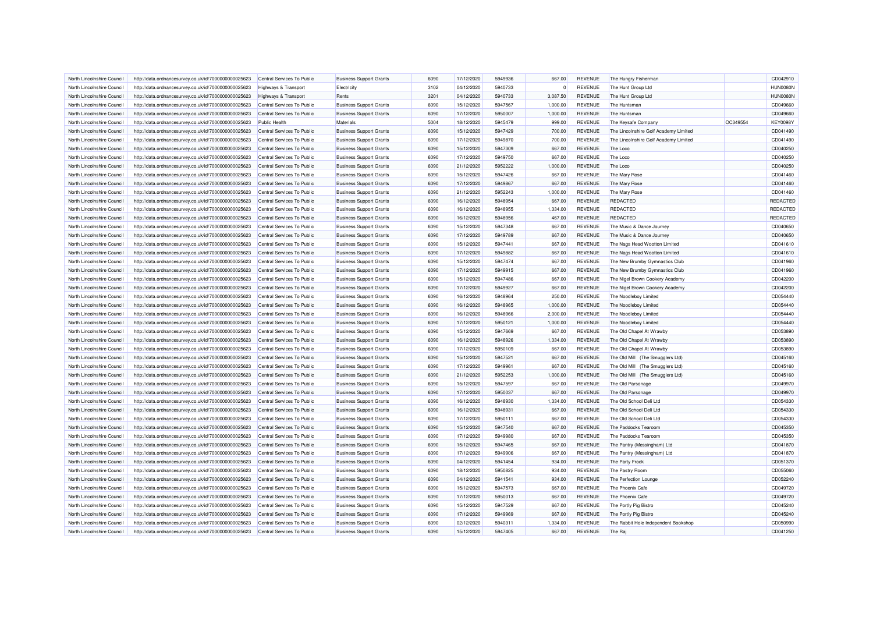| North Lincolnshire Council | http://data.ordnancesurvey.co.uk/id/7000000000025623 | Central Services To Public      | <b>Business Support Grants</b> | 6090         | 17/12/2020 | 5949936            | 667.00   | REVENUE        | The Hungry Fisherman                  |          | CD042910        |
|----------------------------|------------------------------------------------------|---------------------------------|--------------------------------|--------------|------------|--------------------|----------|----------------|---------------------------------------|----------|-----------------|
| North Lincolnshire Council | http://data.ordnancesurvey.co.uk/id/7000000000025623 | <b>Highways &amp; Transport</b> | Electricity                    | 3102         | 04/12/2020 | 5940733            | $\circ$  | <b>REVENUE</b> | The Hunt Group Ltd                    |          | HUN0080N        |
| North Lincolnshire Council | http://data.ordnancesurvey.co.uk/id/7000000000025623 | Highways & Transport            | Rents                          | 3201         | 04/12/2020 | 5940733            | 3,087.50 | <b>REVENUE</b> | The Hunt Group Ltd                    |          | HUN0080N        |
| North Lincolnshire Council | http://data.ordnancesurvey.co.uk/id/7000000000025623 | Central Services To Public      | <b>Business Support Grants</b> | 6090         | 15/12/2020 | 5947567            | 1,000.00 | <b>REVENUE</b> | The Huntsman                          |          | CD049660        |
| North Lincolnshire Council | http://data.ordnancesurvey.co.uk/id/7000000000025623 | Central Services To Public      | <b>Business Support Grants</b> | 6090         | 17/12/2020 | 5950007            | 1,000.00 | <b>REVENUE</b> | The Huntsman                          |          | CD049660        |
| North Lincolnshire Council | http://data.ordnancesurvey.co.uk/id/7000000000025623 | <b>Public Health</b>            | <b>Materials</b>               | 5004         | 18/12/2020 | 5945479            | 999.00   | <b>REVENUE</b> | The Keysafe Company                   | OC349554 | <b>KEY0098Y</b> |
| North Lincolnshire Council | http://data.ordnancesurvey.co.uk/id/7000000000025623 | Central Services To Public      | <b>Business Support Grants</b> | 6090         | 15/12/2020 | 5947429            | 700.00   | <b>REVENUE</b> | The Lincolnshire Golf Academy Limited |          | CD041490        |
| North Lincolnshire Council | http://data.ordnancesurvey.co.uk/id/7000000000025623 | Central Services To Public      | <b>Business Support Grants</b> | 6090         | 17/12/2020 | 5949870            | 700.00   | <b>REVENUE</b> | The Lincolnshire Golf Academy Limited |          | CD041490        |
| North Lincolnshire Council | http://data.ordnancesurvey.co.uk/id/7000000000025623 | Central Services To Public      | <b>Business Support Grants</b> | 6090         | 15/12/2020 | 5947309            | 667.00   | <b>REVENUE</b> | The Loco                              |          | CD040250        |
| North Lincolnshire Council | http://data.ordnancesurvey.co.uk/id/7000000000025623 | Central Services To Public      | <b>Business Support Grants</b> | 6090         | 17/12/2020 | 5949750            | 667.00   | <b>REVENUE</b> | The Loco                              |          | CD040250        |
| North Lincolnshire Council | http://data.ordnancesurvey.co.uk/id/7000000000025623 | Central Services To Public      | <b>Business Support Grants</b> | 6090         | 21/12/2020 | 5952222            | 1,000.00 | <b>REVENUE</b> | The Loco                              |          | CD040250        |
| North Lincolnshire Council | http://data.ordnancesurvey.co.uk/id/7000000000025623 | Central Services To Public      | <b>Business Support Grants</b> | 6090         | 15/12/2020 | 5947426            | 667.00   | <b>REVENUE</b> | The Mary Rose                         |          | CD041460        |
| North Lincolnshire Council | http://data.ordnancesurvey.co.uk/id/7000000000025623 | Central Services To Public      | <b>Business Support Grants</b> | 6090         | 17/12/2020 | 5949867            | 667.00   | <b>REVENUE</b> | The Mary Rose                         |          | CD041460        |
| North Lincolnshire Council | http://data.ordnancesurvey.co.uk/id/7000000000025623 | Central Services To Public      | <b>Business Support Grants</b> | 6090         | 21/12/2020 | 5952243            | 1,000.00 | <b>REVENUE</b> | The Mary Rose                         |          | CD041460        |
| North Lincolnshire Council | http://data.ordnancesurvey.co.uk/id/7000000000025623 | Central Services To Public      | <b>Business Support Grants</b> | 6090         | 16/12/2020 | 5948954            | 667.00   | <b>REVENUE</b> | <b>REDACTED</b>                       |          | REDACTED        |
| North Lincolnshire Council | http://data.ordnancesurvey.co.uk/id/7000000000025623 | Central Services To Public      | <b>Business Support Grants</b> | 6090         | 16/12/2020 | 5948955            | 1,334.00 | <b>REVENUE</b> | <b>REDACTED</b>                       |          | REDACTED        |
| North Lincolnshire Council | http://data.ordnancesurvey.co.uk/id/7000000000025623 | Central Services To Public      | <b>Business Support Grants</b> | 6090         | 16/12/2020 | 5948956            | 467.00   | <b>REVENUE</b> | <b>REDACTED</b>                       |          | REDACTED        |
| North Lincolnshire Council | http://data.ordnancesurvey.co.uk/id/7000000000025623 | Central Services To Public      | <b>Business Support Grants</b> | 6090         | 15/12/2020 | 5947348            | 667.00   | <b>REVENUE</b> | The Music & Dance Journey             |          | CD040650        |
| North Lincolnshire Council | http://data.ordnancesurvey.co.uk/id/7000000000025623 | Central Services To Public      | <b>Business Support Grants</b> | 6090         | 17/12/2020 | 5949789            | 667.00   | <b>REVENUE</b> | The Music & Dance Journey             |          | CD040650        |
| North Lincolnshire Council | http://data.ordnancesurvey.co.uk/id/7000000000025623 | Central Services To Public      | <b>Business Support Grants</b> | 6090         | 15/12/2020 | 5947441            | 667.00   | <b>REVENUE</b> | The Nags Head Wootton Limited         |          | CD041610        |
| North Lincolnshire Council | http://data.ordnancesurvey.co.uk/id/7000000000025623 | Central Services To Public      | <b>Business Support Grants</b> | 6090         | 17/12/2020 | 5949882            | 667.00   | <b>REVENUE</b> | The Nags Head Wootton Limited         |          | CD041610        |
| North Lincolnshire Council | http://data.ordnancesurvey.co.uk/id/7000000000025623 | Central Services To Public      | <b>Business Support Grants</b> | 6090         | 15/12/2020 | 5947474            | 667.00   | <b>REVENUE</b> | The New Brumby Gymnastics Club        |          | CD041960        |
| North Lincolnshire Council | http://data.ordnancesurvey.co.uk/id/7000000000025623 | Central Services To Public      | <b>Business Support Grants</b> | 6090         | 17/12/2020 | 5949915            | 667.00   | <b>REVENUE</b> | The New Brumby Gymnastics Club        |          | CD041960        |
| North Lincolnshire Council | http://data.ordnancesurvey.co.uk/id/7000000000025623 | Central Services To Public      | <b>Business Support Grants</b> | 6090         | 15/12/2020 | 5947486            | 667.00   | <b>REVENUE</b> | The Nigel Brown Cookery Academy       |          | CD042200        |
| North Lincolnshire Council | http://data.ordnancesurvey.co.uk/id/7000000000025623 | Central Services To Public      | <b>Business Support Grants</b> | 6090         | 17/12/2020 | 5949927            | 667.00   | <b>REVENUE</b> | The Nigel Brown Cookery Academy       |          | CD042200        |
|                            |                                                      | Central Services To Public      |                                | 6090         |            | 5948964            |          | <b>REVENUE</b> |                                       |          | CD054440        |
| North Lincolnshire Council | http://data.ordnancesurvey.co.uk/id/7000000000025623 |                                 | <b>Business Support Grants</b> |              | 16/12/2020 |                    | 250.00   |                | The Noodleboy Limited                 |          |                 |
| North Lincolnshire Council | http://data.ordnancesurvey.co.uk/id/7000000000025623 | Central Services To Public      | <b>Business Support Grants</b> | 6090<br>6090 | 16/12/2020 | 5948965<br>5948966 | 1,000.00 | <b>REVENUE</b> | The Noodleboy Limited                 |          | CD054440        |
| North Lincolnshire Council | http://data.ordnancesurvey.co.uk/id/7000000000025623 | Central Services To Public      | <b>Business Support Grants</b> |              | 16/12/2020 |                    | 2,000.00 | <b>REVENUE</b> | The Noodleboy Limited                 |          | CD054440        |
| North Lincolnshire Council | http://data.ordnancesurvey.co.uk/id/7000000000025623 | Central Services To Public      | <b>Business Support Grants</b> | 6090         | 17/12/2020 | 5950121            | 1,000.00 | <b>REVENUE</b> | The Noodleboy Limited                 |          | CD054440        |
| North Lincolnshire Council | http://data.ordnancesurvey.co.uk/id/7000000000025623 | Central Services To Public      | <b>Business Support Grants</b> | 6090         | 15/12/2020 | 5947669            | 667.00   | <b>REVENUE</b> | The Old Chapel At Wrawby              |          | CD053890        |
| North Lincolnshire Council | http://data.ordnancesurvey.co.uk/id/7000000000025623 | Central Services To Public      | <b>Business Support Grants</b> | 6090         | 16/12/2020 | 5948926            | 1,334.00 | <b>REVENUE</b> | The Old Chapel At Wrawby              |          | CD053890        |
| North Lincolnshire Council | http://data.ordnancesurvey.co.uk/id/7000000000025623 | Central Services To Public      | <b>Business Support Grants</b> | 6090         | 17/12/2020 | 5950109            | 667.00   | <b>REVENUE</b> | The Old Chapel At Wrawby              |          | CD053890        |
| North Lincolnshire Council | http://data.ordnancesurvey.co.uk/id/7000000000025623 | Central Services To Public      | <b>Business Support Grants</b> | 6090         | 15/12/2020 | 5947521            | 667.00   | <b>REVENUE</b> | The Old Mill (The Smugglers Ltd)      |          | CD045160        |
| North Lincolnshire Council | http://data.ordnancesurvey.co.uk/id/7000000000025623 | Central Services To Public      | <b>Business Support Grants</b> | 6090         | 17/12/2020 | 5949961            | 667.00   | <b>REVENUE</b> | The Old Mill (The Smugglers Ltd)      |          | CD045160        |
| North Lincolnshire Council | http://data.ordnancesurvey.co.uk/id/7000000000025623 | Central Services To Public      | <b>Business Support Grants</b> | 6090         | 21/12/2020 | 5952253            | 1,000.00 | <b>REVENUE</b> | The Old Mill (The Smugglers Ltd)      |          | CD045160        |
| North Lincolnshire Council | http://data.ordnancesurvey.co.uk/id/7000000000025623 | Central Services To Public      | <b>Business Support Grants</b> | 6090         | 15/12/2020 | 5947597            | 667.00   | <b>REVENUE</b> | The Old Parsonage                     |          | CD049970        |
| North Lincolnshire Council | http://data.ordnancesurvey.co.uk/id/7000000000025623 | Central Services To Public      | <b>Business Support Grants</b> | 6090         | 17/12/2020 | 5950037            | 667.00   | <b>REVENUE</b> | The Old Parsonage                     |          | CD049970        |
| North Lincolnshire Council | http://data.ordnancesurvey.co.uk/id/7000000000025623 | Central Services To Public      | <b>Business Support Grants</b> | 6090         | 16/12/2020 | 5948930            | 1,334.00 | <b>REVENUE</b> | The Old School Deli Ltd               |          | CD054330        |
| North Lincolnshire Council | http://data.ordnancesurvey.co.uk/id/7000000000025623 | Central Services To Public      | <b>Business Support Grants</b> | 6090         | 16/12/2020 | 5948931            | 667.00   | <b>REVENUE</b> | The Old School Deli Ltd               |          | CD054330        |
| North Lincolnshire Council | http://data.ordnancesurvey.co.uk/id/7000000000025623 | Central Services To Public      | <b>Business Support Grants</b> | 6090         | 17/12/2020 | 5950111            | 667.00   | <b>REVENUE</b> | The Old School Deli Ltd               |          | CD054330        |
| North Lincolnshire Council | http://data.ordnancesurvey.co.uk/id/7000000000025623 | Central Services To Public      | <b>Business Support Grants</b> | 6090         | 15/12/2020 | 5947540            | 667.00   | <b>REVENUE</b> | The Paddocks Tearoom                  |          | CD045350        |
| North Lincolnshire Council | http://data.ordnancesurvey.co.uk/id/7000000000025623 | Central Services To Public      | <b>Business Support Grants</b> | 6090         | 17/12/2020 | 5949980            | 667.00   | <b>REVENUE</b> | The Paddocks Tearoom                  |          | CD045350        |
| North Lincolnshire Council | http://data.ordnancesurvey.co.uk/id/7000000000025623 | Central Services To Public      | <b>Business Support Grants</b> | 6090         | 15/12/2020 | 5947465            | 667.00   | <b>REVENUE</b> | The Pantry (Messingham) Ltd           |          | CD041870        |
| North Lincolnshire Council | http://data.ordnancesurvey.co.uk/id/7000000000025623 | Central Services To Public      | <b>Business Support Grants</b> | 6090         | 17/12/2020 | 5949906            | 667.00   | <b>REVENUE</b> | The Pantry (Messingham) Ltd           |          | CD041870        |
| North Lincolnshire Council | http://data.ordnancesurvey.co.uk/id/7000000000025623 | Central Services To Public      | <b>Business Support Grants</b> | 6090         | 04/12/2020 | 5941454            | 934.00   | <b>REVENUE</b> | The Party Frock                       |          | CD051370        |
| North Lincolnshire Council | http://data.ordnancesurvey.co.uk/id/7000000000025623 | Central Services To Public      | <b>Business Support Grants</b> | 6090         | 18/12/2020 | 5950825            | 934.00   | <b>REVENUE</b> | The Pastry Room                       |          | CD055060        |
| North Lincolnshire Council | http://data.ordnancesurvey.co.uk/id/7000000000025623 | Central Services To Public      | <b>Business Support Grants</b> | 6090         | 04/12/2020 | 5941541            | 934.00   | <b>REVENUE</b> | The Perfection Lounge                 |          | CD052240        |
| North Lincolnshire Council | http://data.ordnancesurvey.co.uk/id/7000000000025623 | Central Services To Public      | <b>Business Support Grants</b> | 6090         | 15/12/2020 | 5947573            | 667.00   | <b>REVENUE</b> | The Phoenix Cafe                      |          | CD049720        |
| North Lincolnshire Council | http://data.ordnancesurvey.co.uk/id/7000000000025623 | Central Services To Public      | <b>Business Support Grants</b> | 6090         | 17/12/2020 | 5950013            | 667.00   | <b>REVENUE</b> | The Phoenix Cafe                      |          | CD049720        |
| North Lincolnshire Council | http://data.ordnancesurvey.co.uk/id/7000000000025623 | Central Services To Public      | <b>Business Support Grants</b> | 6090         | 15/12/2020 | 5947529            | 667.00   | <b>REVENUE</b> | The Portly Pig Bistro                 |          | CD045240        |
| North Lincolnshire Council | http://data.ordnancesurvey.co.uk/id/7000000000025623 | Central Services To Public      | <b>Business Support Grants</b> | 6090         | 17/12/2020 | 5949969            | 667.00   | <b>REVENUE</b> | The Portly Pig Bistro                 |          | CD045240        |
| North Lincolnshire Council | http://data.ordnancesurvey.co.uk/id/7000000000025623 | Central Services To Public      | <b>Business Support Grants</b> | 6090         | 02/12/2020 | 5940311            | 1,334.00 | <b>REVENUE</b> | The Rabbit Hole Independent Bookshop  |          | CD050990        |
| North Lincolnshire Council | http://data.ordnancesurvey.co.uk/id/7000000000025623 | Central Services To Public      | <b>Business Support Grants</b> | 6090         | 15/12/2020 | 5947405            | 667.00   | <b>REVENUE</b> | The Raj                               |          | CD041250        |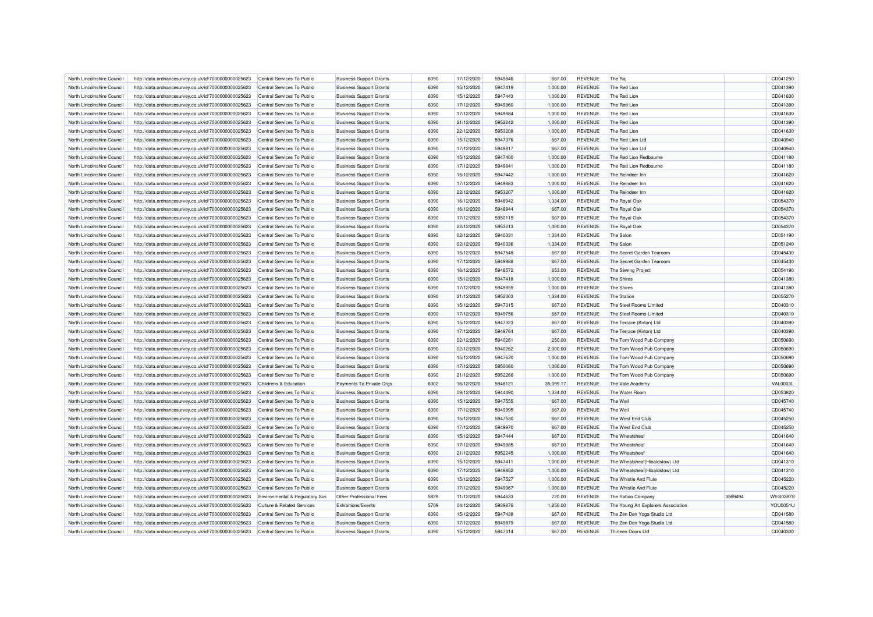| North Lincolnshire Council                               | http://data.ordnancesurvey.co.uk/id/7000000000025623 | Central Services To Public            | <b>Business Support Grants</b> | 6090 | 17/12/2020 | 5949846 | 667.00    | <b>REVENUE</b> | The Raj                             |         | CD041250        |
|----------------------------------------------------------|------------------------------------------------------|---------------------------------------|--------------------------------|------|------------|---------|-----------|----------------|-------------------------------------|---------|-----------------|
| North Lincolnshire Council                               | http://data.ordnancesurvey.co.uk/id/7000000000025623 | Central Services To Public            | <b>Business Support Grants</b> | 6090 | 15/12/2020 | 5947419 | 1,000.00  | <b>REVENUE</b> | The Red Lion                        |         | CD041390        |
| North Lincolnshire Council                               | http://data.ordnancesurvey.co.uk/id/7000000000025623 | Central Services To Public            | <b>Business Support Grants</b> | 6090 | 15/12/2020 | 5947443 | 1,000.00  | <b>REVENUE</b> | The Red Lion                        |         | CD041630        |
| North Lincolnshire Council                               | http://data.ordnancesurvey.co.uk/id/7000000000025623 | Central Services To Public            | <b>Business Support Grants</b> | 6090 | 17/12/2020 | 5949860 | 1,000.00  | <b>REVENUE</b> | The Red Lion                        |         | CD041390        |
| North Lincolnshire Council                               | http://data.ordnancesurvey.co.uk/id/7000000000025623 | Central Services To Public            | <b>Business Support Grants</b> | 6090 | 17/12/2020 | 5949884 | 1,000.00  | <b>REVENUE</b> | The Red Lion                        |         | CD041630        |
| North Lincolnshire Council                               | http://data.ordnancesurvey.co.uk/id/7000000000025623 | Central Services To Public            | <b>Business Support Grants</b> | 6090 | 21/12/2020 | 5952242 | 1,000.00  | <b>REVENUE</b> | The Red Lion                        |         | CD041390        |
| North Lincolnshire Council                               | http://data.ordnancesurvey.co.uk/id/7000000000025623 | Central Services To Public            | <b>Business Support Grants</b> | 6090 | 22/12/2020 | 5953208 | 1,000.00  | <b>REVENUE</b> | The Red Lion                        |         | CD041630        |
| North Lincolnshire Council                               | http://data.ordnancesurvey.co.uk/id/7000000000025623 | Central Services To Public            | <b>Business Support Grants</b> | 6090 | 15/12/2020 | 5947376 | 667.00    | <b>REVENUE</b> | The Red Lion Ltd                    |         | CD040940        |
| North Lincolnshire Council                               | http://data.ordnancesurvey.co.uk/id/7000000000025623 | Central Services To Public            | <b>Business Support Grants</b> | 6090 | 17/12/2020 | 5949817 | 667.00    | <b>REVENUE</b> | The Red Lion Ltd                    |         | CD040940        |
| North Lincolnshire Council                               | http://data.ordnancesurvey.co.uk/id/7000000000025623 | Central Services To Public            | <b>Business Support Grants</b> | 6090 | 15/12/2020 | 5947400 | 1,000.00  | <b>REVENUE</b> | The Red Lion Redbourne              |         | CD041180        |
| North Lincolnshire Council                               | http://data.ordnancesurvey.co.uk/id/7000000000025623 | Central Services To Public            | <b>Business Support Grants</b> | 6090 | 17/12/2020 | 5949841 | 1,000.00  | <b>REVENUE</b> | The Red Lion Redbourne              |         | CD041180        |
| North Lincolnshire Council                               | http://data.ordnancesurvey.co.uk/id/7000000000025623 | Central Services To Public            | <b>Business Support Grants</b> | 6090 | 15/12/2020 | 5947442 | 1,000.00  | <b>REVENUE</b> | The Reindeer Inn                    |         | CD041620        |
| North Lincolnshire Council                               | http://data.ordnancesurvey.co.uk/id/7000000000025623 | Central Services To Public            | <b>Business Support Grants</b> | 6090 | 17/12/2020 | 5949883 | 1,000.00  | <b>REVENUE</b> | The Reindeer Inn                    |         | CD041620        |
| North Lincolnshire Council                               | http://data.ordnancesurvey.co.uk/id/7000000000025623 | Central Services To Public            | <b>Business Support Grants</b> | 6090 | 22/12/2020 | 5953207 | 1,000.00  | <b>REVENUE</b> | The Reindeer Inn                    |         | CD041620        |
| North Lincolnshire Council                               | http://data.ordnancesurvey.co.uk/id/7000000000025623 | Central Services To Public            | <b>Business Support Grants</b> | 6090 | 16/12/2020 | 5948942 | 1,334.00  | <b>REVENUE</b> | The Royal Oak                       |         | CD054370        |
| North Lincolnshire Council                               | http://data.ordnancesurvey.co.uk/id/7000000000025623 | Central Services To Public            | <b>Business Support Grants</b> | 6090 | 16/12/2020 | 5948944 | 667.00    | <b>REVENUE</b> | The Royal Oak                       |         | CD054370        |
| North Lincolnshire Council                               | http://data.ordnancesurvey.co.uk/id/7000000000025623 | Central Services To Public            | <b>Business Support Grants</b> | 6090 | 17/12/2020 | 5950115 | 667.00    | <b>REVENUE</b> | The Royal Oak                       |         | CD054370        |
| North Lincolnshire Council                               | http://data.ordnancesurvey.co.uk/id/7000000000025623 | Central Services To Public            | <b>Business Support Grants</b> | 6090 | 22/12/2020 | 5953213 | 1,000.00  | <b>REVENUE</b> | The Royal Oak                       |         | CD054370        |
|                                                          |                                                      |                                       |                                |      |            |         |           |                |                                     |         |                 |
| North Lincolnshire Council                               | http://data.ordnancesurvey.co.uk/id/7000000000025623 | Central Services To Public            | <b>Business Support Grants</b> | 6090 | 02/12/2020 | 5940331 | 1,334.00  | <b>REVENUE</b> | The Salon                           |         | CD051190        |
| North Lincolnshire Council                               | http://data.ordnancesurvey.co.uk/id/7000000000025623 | Central Services To Public            | <b>Business Support Grants</b> | 6090 | 02/12/2020 | 5940336 | 1,334.00  | <b>REVENUE</b> | The Salon                           |         | CD051240        |
| North Lincolnshire Council                               | http://data.ordnancesurvey.co.uk/id/7000000000025623 | Central Services To Public            | <b>Business Support Grants</b> | 6090 | 15/12/2020 | 5947548 | 667.00    | <b>REVENUE</b> | The Secret Garden Tearoom           |         | CD045430        |
| North Lincolnshire Council                               | http://data.ordnancesurvey.co.uk/id/7000000000025623 | Central Services To Public            | <b>Business Support Grants</b> | 6090 | 17/12/2020 | 5949988 | 667.00    | <b>REVENUE</b> | The Secret Garden Tearoom           |         | CD045430        |
| North Lincolnshire Council                               | http://data.ordnancesurvey.co.uk/id/7000000000025623 | Central Services To Public            | <b>Business Support Grants</b> | 6090 | 16/12/2020 | 5948572 | 653.00    | <b>REVENUE</b> | The Sewing Project                  |         | CD054190        |
| North Lincolnshire Council                               | http://data.ordnancesurvey.co.uk/id/7000000000025623 | Central Services To Public            | <b>Business Support Grants</b> | 6090 | 15/12/2020 | 5947418 | 1,000.00  | <b>REVENUE</b> | The Shires                          |         | CD041380        |
| North Lincolnshire Council                               | http://data.ordnancesurvey.co.uk/id/7000000000025623 | Central Services To Public            | <b>Business Support Grants</b> | 6090 | 17/12/2020 | 5949859 | 1,000.00  | <b>REVENUE</b> | The Shires                          |         | CD041380        |
| North Lincolnshire Council                               | http://data.ordnancesurvey.co.uk/id/7000000000025623 | Central Services To Public            | <b>Business Support Grants</b> | 6090 | 21/12/2020 | 5952303 | 1,334.00  | <b>REVENUE</b> | The Station                         |         | CD055270        |
| North Lincolnshire Council                               | http://data.ordnancesurvey.co.uk/id/7000000000025623 | Central Services To Public            | <b>Business Support Grants</b> | 6090 | 15/12/2020 | 5947315 | 667.00    | <b>REVENUE</b> | The Steel Rooms Limited             |         | CD040310        |
| North Lincolnshire Council                               | http://data.ordnancesurvey.co.uk/id/7000000000025623 | Central Services To Public            | <b>Business Support Grants</b> | 6090 | 17/12/2020 | 5949756 | 667.00    | <b>REVENUE</b> | The Steel Rooms Limited             |         | CD040310        |
| North Lincolnshire Council                               | http://data.ordnancesurvey.co.uk/id/7000000000025623 | Central Services To Public            | <b>Business Support Grants</b> | 6090 | 15/12/2020 | 5947323 | 667.00    | <b>REVENUE</b> | The Terrace (Kirton) Ltd            |         | CD040390        |
| North Lincolnshire Council                               | http://data.ordnancesurvey.co.uk/id/7000000000025623 | Central Services To Public            | <b>Business Support Grants</b> | 6090 | 17/12/2020 | 5949764 | 667.00    | <b>REVENUE</b> | The Terrace (Kirton) Ltd            |         | CD040390        |
| North Lincolnshire Council                               | http://data.ordnancesurvey.co.uk/id/7000000000025623 | Central Services To Public            | <b>Business Support Grants</b> | 6090 | 02/12/2020 | 5940261 | 250.00    | <b>REVENUE</b> | The Tom Wood Pub Company            |         | CD050690        |
| North Lincolnshire Council                               | http://data.ordnancesurvey.co.uk/id/7000000000025623 | Central Services To Public            | <b>Business Support Grants</b> | 6090 | 02/12/2020 | 5940262 | 2,000.00  | <b>REVENUE</b> | The Tom Wood Pub Company            |         | CD050690        |
| North Lincolnshire Council                               | http://data.ordnancesurvey.co.uk/id/7000000000025623 | Central Services To Public            | <b>Business Support Grants</b> | 6090 | 15/12/2020 | 5947620 | 1,000.00  | <b>REVENUE</b> | The Tom Wood Pub Company            |         | CD050690        |
| North Lincolnshire Council                               | http://data.ordnancesurvey.co.uk/id/7000000000025623 | Central Services To Public            | <b>Business Support Grants</b> | 6090 | 17/12/2020 | 5950060 | 1.000.00  | <b>REVENUE</b> | The Tom Wood Pub Company            |         | CD050690        |
| North Lincolnshire Council                               | http://data.ordnancesurvey.co.uk/id/7000000000025623 | Central Services To Public            | <b>Business Support Grants</b> | 6090 | 21/12/2020 | 5952266 | 1,000.00  | <b>REVENUE</b> | The Tom Wood Pub Company            |         | CD050690        |
| North Lincolnshire Council                               | http://data.ordnancesurvey.co.uk/id/7000000000025623 | Childrens & Education                 | Payments To Private Orgs       | 6002 | 16/12/2020 | 5948121 | 35,099.17 | <b>REVENUE</b> | The Vale Academy                    |         | <b>VAL0003L</b> |
| North Lincolnshire Council                               | http://data.ordnancesurvey.co.uk/id/7000000000025623 | Central Services To Public            | <b>Business Support Grants</b> | 6090 | 09/12/2020 | 5944490 | 1,334.00  | <b>REVENUE</b> | The Water Room                      |         | CD053820        |
| North Lincolnshire Council                               | http://data.ordnancesurvey.co.uk/id/7000000000025623 | Central Services To Public            | <b>Business Support Grants</b> | 6090 | 15/12/2020 | 5947555 | 667.00    | <b>REVENUE</b> | The Well                            |         | CD045740        |
| North Lincolnshire Council                               | http://data.ordnancesurvey.co.uk/id/7000000000025623 | Central Services To Public            | <b>Business Support Grants</b> | 6090 | 17/12/2020 | 5949995 | 667.00    | <b>REVENUE</b> | The Well                            |         | CD045740        |
| North Lincolnshire Council                               | http://data.ordnancesurvey.co.uk/id/7000000000025623 | Central Services To Public            | <b>Business Support Grants</b> | 6090 | 15/12/2020 | 5947530 | 667.00    | <b>REVENUE</b> | The West End Club                   |         | CD045250        |
| North Lincolnshire Council                               | http://data.ordnancesurvey.co.uk/id/7000000000025623 | Central Services To Public            | <b>Business Support Grants</b> | 6090 | 17/12/2020 | 5949970 | 667.00    | <b>REVENUE</b> | The West End Club                   |         | CD045250        |
| North Lincolnshire Council                               | http://data.ordnancesurvey.co.uk/id/7000000000025623 | Central Services To Public            | <b>Business Support Grants</b> | 6090 | 15/12/2020 | 5947444 | 667.00    | <b>REVENUE</b> | The Wheatsheaf                      |         | CD041640        |
| North Lincolnshire Council                               | http://data.ordnancesurvey.co.uk/id/7000000000025623 | Central Services To Public            | <b>Business Support Grants</b> | 6090 | 17/12/2020 | 5949885 | 667.00    | <b>REVENUE</b> | The Wheatsheaf                      |         | CD041640        |
| North Lincolnshire Council                               | http://data.ordnancesurvey.co.uk/id/7000000000025623 | Central Services To Public            | <b>Business Support Grants</b> | 6090 | 21/12/2020 | 5952245 | 1,000.00  | <b>REVENUE</b> | The Wheatsheaf                      |         | CD041640        |
| North Lincolnshire Council                               | http://data.ordnancesurvey.co.uk/id/7000000000025623 | Central Services To Public            | <b>Business Support Grants</b> | 6090 | 15/12/2020 | 5947411 | 1,000.00  | <b>REVENUE</b> | The Wheatsheaf (Hibaldstow) Ltd     |         | CD041310        |
| North Lincolnshire Council                               | http://data.ordnancesurvey.co.uk/id/7000000000025623 | Central Services To Public            | <b>Business Support Grants</b> | 6090 | 17/12/2020 | 5949852 | 1,000.00  | <b>REVENUE</b> | The Wheatsheaf (Hibaldstow) Ltd     |         | CD041310        |
|                                                          |                                                      | Central Services To Public            | <b>Business Support Grants</b> | 6090 | 15/12/2020 | 5947527 | 1,000.00  | <b>REVENUE</b> | The Whistle And Flute               |         | CD045220        |
| North Lincolnshire Council<br>North Lincolnshire Council | http://data.ordnancesurvey.co.uk/id/7000000000025623 |                                       | <b>Business Support Grants</b> | 6090 | 17/12/2020 | 5949967 | 1,000.00  | <b>REVENUE</b> | The Whistle And Flute               |         | CD045220        |
|                                                          | http://data.ordnancesurvey.co.uk/id/7000000000025623 | Central Services To Public            |                                |      |            |         |           |                |                                     |         |                 |
| North Lincolnshire Council                               | http://data.ordnancesurvey.co.uk/id/7000000000025623 | Environmental & Regulatory Svs        | Other Professional Fees        | 5829 | 11/12/2020 | 5944633 | 720.00    | <b>REVENUE</b> | The Yahoo Company                   | 3569494 | <b>WES0387S</b> |
| North Lincolnshire Council                               | http://data.ordnancesurvey.co.uk/id/7000000000025623 | <b>Culture &amp; Related Services</b> | Exhibitions/Events             | 5709 | 04/12/2020 | 5939876 | 1,250.00  | <b>REVENUE</b> | The Young Art Explorers Association |         | YOU0051U        |
| North Lincolnshire Council                               | http://data.ordnancesurvey.co.uk/id/7000000000025623 | Central Services To Public            | <b>Business Support Grants</b> | 6090 | 15/12/2020 | 5947438 | 667.00    | <b>REVENUE</b> | The Zen Den Yoga Studio Ltd         |         | CD041580        |
| North Lincolnshire Council                               | http://data.ordnancesurvey.co.uk/id/7000000000025623 | Central Services To Public            | <b>Business Support Grants</b> | 6090 | 17/12/2020 | 5949879 | 667.00    | REVENUE        | The Zen Den Yoga Studio Ltd         |         | CD041580        |
| North Lincolnshire Council                               | http://data.ordnancesurvey.co.uk/id/7000000000025623 | Central Services To Public            | <b>Business Support Grants</b> | 6090 | 15/12/2020 | 5947314 | 667.00    | <b>REVENUE</b> | Thirteen Doors Ltd                  |         | CD040300        |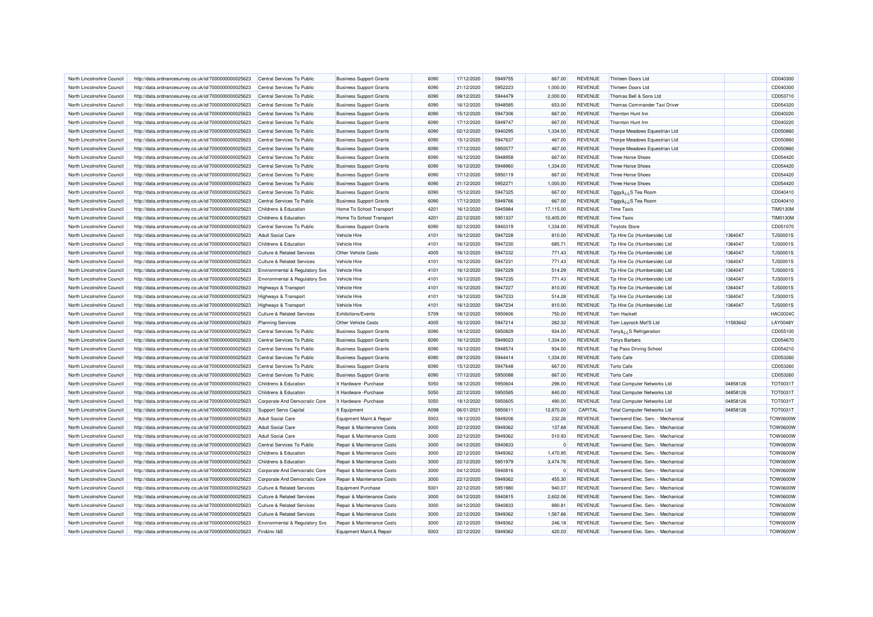| North Lincolnshire Council                               | http://data.ordnancesurvey.co.uk/id/7000000000025623 | Central Services To Public            | <b>Business Support Grants</b> | 6090 | 17/12/2020               | 5949755 | 667.00           | <b>REVENUE</b> | Thirteen Doors Ltd                 |          | CD040300                           |
|----------------------------------------------------------|------------------------------------------------------|---------------------------------------|--------------------------------|------|--------------------------|---------|------------------|----------------|------------------------------------|----------|------------------------------------|
| North Lincolnshire Council                               | http://data.ordnancesurvey.co.uk/id/7000000000025623 | Central Services To Public            | <b>Business Support Grants</b> | 6090 | 21/12/2020               | 5952223 | 1,000.00         | <b>REVENUE</b> | Thirteen Doors Ltd                 |          | CD040300                           |
| North Lincolnshire Council                               | http://data.ordnancesurvey.co.uk/id/7000000000025623 | Central Services To Public            | <b>Business Support Grants</b> | 6090 | 09/12/2020               | 5944479 | 2,000.00         | <b>REVENUE</b> | Thomas Bell & Sons Ltd             |          | CD053710                           |
| North Lincolnshire Council                               | http://data.ordnancesurvey.co.uk/id/7000000000025623 | Central Services To Public            | <b>Business Support Grants</b> | 6090 | 16/12/2020               | 5948585 | 653.00           | <b>REVENUE</b> | Thomas Commander Taxi Driver       |          | CD054320                           |
| North Lincolnshire Council                               | http://data.ordnancesurvey.co.uk/id/7000000000025623 | Central Services To Public            | <b>Business Support Grants</b> | 6090 | 15/12/2020               | 5947306 | 667.00           | <b>REVENUE</b> | Thornton Hunt Inn                  |          | CD040220                           |
| North Lincolnshire Council                               | http://data.ordnancesurvey.co.uk/id/7000000000025623 | Central Services To Public            | <b>Business Support Grants</b> | 6090 | 17/12/2020               | 5949747 | 667.00           | <b>REVENUE</b> | Thornton Hunt Inn                  |          | CD040220                           |
| North Lincolnshire Council                               | http://data.ordnancesurvey.co.uk/id/7000000000025623 | Central Services To Public            | <b>Business Support Grants</b> | 6090 | 02/12/2020               | 5940295 | 1,334.00         | <b>REVENUE</b> | Thorpe Meadows Equestrian Ltd      |          | CD050860                           |
| North Lincolnshire Council                               | http://data.ordnancesurvey.co.uk/id/7000000000025623 | Central Services To Public            | <b>Business Support Grants</b> | 6090 | 15/12/2020               | 5947637 | 467.00           | REVENUE        | Thorpe Meadows Equestrian Ltd      |          | CD050860                           |
| North Lincolnshire Council                               | http://data.ordnancesurvey.co.uk/id/7000000000025623 | Central Services To Public            | <b>Business Support Grants</b> | 6090 | 17/12/2020               | 5950077 | 467.00           | <b>REVENUE</b> | Thorpe Meadows Equestrian Ltd      |          | CD050860                           |
| North Lincolnshire Council                               | http://data.ordnancesurvey.co.uk/id/7000000000025623 | Central Services To Public            | <b>Business Support Grants</b> | 6090 | 16/12/2020               | 5948958 | 667.00           | <b>REVENUE</b> | <b>Three Horse Shoes</b>           |          | CD054420                           |
| North Lincolnshire Council                               | http://data.ordnancesurvey.co.uk/id/7000000000025623 | Central Services To Public            | <b>Business Support Grants</b> | 6090 | 16/12/2020               | 5948960 | 1,334.00         | <b>REVENUE</b> | Three Horse Shoes                  |          | CD054420                           |
| North Lincolnshire Council                               | http://data.ordnancesurvey.co.uk/id/7000000000025623 | Central Services To Public            | <b>Business Support Grants</b> | 6090 | 17/12/2020               | 5950119 | 667.00           | <b>REVENUE</b> | Three Horse Shoes                  |          | CD054420                           |
| North Lincolnshire Council                               | http://data.ordnancesurvey.co.uk/id/7000000000025623 | Central Services To Public            | <b>Business Support Grants</b> | 6090 | 21/12/2020               | 5952271 | 1,000.00         | <b>REVENUE</b> | <b>Three Horse Shoes</b>           |          | CD054420                           |
| North Lincolnshire Council                               | http://data.ordnancesurvey.co.uk/id/7000000000025623 | Central Services To Public            | <b>Business Support Grants</b> | 6090 | 15/12/2020               | 5947325 | 667.00           | <b>REVENUE</b> | S Tea Roomر Tiggyâ                 |          | CD040410                           |
| North Lincolnshire Council                               | http://data.ordnancesurvey.co.uk/id/7000000000025623 | Central Services To Public            | <b>Business Support Grants</b> | 6090 | 17/12/2020               | 5949766 | 667.00           | <b>REVENUE</b> | Tiggyå¿¿S Tea Room                 |          | CD040410                           |
| North Lincolnshire Council                               | http://data.ordnancesurvey.co.uk/id/7000000000025623 | Childrens & Education                 | Home To School Transport       | 4201 | 16/12/2020               | 5945984 | 17,115.00        | <b>REVENUE</b> | <b>Time Taxis</b>                  |          | <b>TIM0130M</b>                    |
| North Lincolnshire Council                               | http://data.ordnancesurvey.co.uk/id/7000000000025623 | Childrens & Education                 | Home To School Transport       | 4201 | 22/12/2020               | 5951337 | 10,405.00        | <b>REVENUE</b> | <b>Time Taxis</b>                  |          | <b>TIM0130M</b>                    |
| North Lincolnshire Council                               | http://data.ordnancesurvey.co.uk/id/7000000000025623 | Central Services To Public            | <b>Business Support Grants</b> | 6090 | 02/12/2020               | 5940319 | 1,334.00         | <b>REVENUE</b> | <b>Tinytots Store</b>              |          | CD051070                           |
|                                                          |                                                      | <b>Adult Social Care</b>              | Vehicle Hire                   | 4101 |                          | 5947228 |                  | <b>REVENUE</b> |                                    | 1364047  |                                    |
| North Lincolnshire Council<br>North Lincolnshire Council | http://data.ordnancesurvey.co.uk/id/7000000000025623 | Childrens & Education                 | Vehicle Hire                   | 4101 | 16/12/2020<br>16/12/2020 | 5947230 | 810.00<br>685.71 | <b>REVENUE</b> | Tjs Hire Co (Humberside) Ltd       | 1364047  | <b>TJS0001S</b><br><b>TJS0001S</b> |
| North Lincolnshire Council                               | http://data.ordnancesurvey.co.uk/id/7000000000025623 |                                       | Other Vehicle Costs            | 4005 | 16/12/2020               | 5947232 | 771.43           | <b>REVENUE</b> | Tjs Hire Co (Humberside) Ltd       | 1364047  | <b>TJS0001S</b>                    |
|                                                          | http://data.ordnancesurvey.co.uk/id/7000000000025623 | <b>Culture &amp; Related Services</b> |                                |      |                          |         |                  |                | Tis Hire Co (Humberside) Ltd       |          |                                    |
| North Lincolnshire Council                               | http://data.ordnancesurvey.co.uk/id/7000000000025623 | <b>Culture &amp; Related Services</b> | Vehicle Hire                   | 4101 | 16/12/2020               | 5947231 | 771.43           | <b>REVENUE</b> | Tis Hire Co (Humberside) Ltd       | 1364047  | <b>TJS0001S</b>                    |
| North Lincolnshire Council                               | http://data.ordnancesurvey.co.uk/id/7000000000025623 | Environmental & Regulatory Svs        | Vehicle Hire                   | 4101 | 16/12/2020               | 5947229 | 514.29           | <b>REVENUE</b> | Tjs Hire Co (Humberside) Ltd       | 1364047  | <b>TJS0001S</b>                    |
| North Lincolnshire Council                               | http://data.ordnancesurvey.co.uk/id/7000000000025623 | Environmental & Regulatory Svs        | Vehicle Hire                   | 4101 | 16/12/2020               | 5947235 | 771.43           | <b>REVENUE</b> | Tjs Hire Co (Humberside) Ltd       | 1364047  | <b>TJS0001S</b>                    |
| North Lincolnshire Council                               | http://data.ordnancesurvey.co.uk/id/7000000000025623 | <b>Highways &amp; Transport</b>       | Vehicle Hire                   | 4101 | 16/12/2020               | 5947227 | 810.00           | <b>REVENUE</b> | Tis Hire Co (Humberside) Ltd       | 1364047  | TJS00015                           |
| North Lincolnshire Council                               | http://data.ordnancesurvey.co.uk/id/7000000000025623 | Highways & Transport                  | Vehicle Hire                   | 4101 | 16/12/2020               | 5947233 | 514.28           | <b>REVENUE</b> | Tis Hire Co (Humberside) Ltd       | 1364047  | <b>TJS0001S</b>                    |
| North Lincolnshire Council                               | http://data.ordnancesurvey.co.uk/id/7000000000025623 | Highways & Transport                  | Vehicle Hire                   | 4101 | 16/12/2020               | 5947234 | 810.00           | <b>REVENUE</b> | Tis Hire Co (Humberside) Ltd       | 1364047  | <b>TJS0001S</b>                    |
| North Lincolnshire Council                               | http://data.ordnancesurvey.co.uk/id/7000000000025623 | <b>Culture &amp; Related Services</b> | Exhibitions/Events             | 5709 | 18/12/2020               | 5950606 | 750.00           | <b>REVENUE</b> | <b>Tom Hackett</b>                 |          | <b>HAC0024C</b>                    |
| North Lincolnshire Council                               | http://data.ordnancesurvey.co.uk/id/7000000000025623 | <b>Planning Services</b>              | Other Vehicle Costs            | 4005 | 16/12/2020               | 5947214 | 262.32           | <b>REVENUE</b> | Tom Laycock Mot'S Ltd              | 11583642 | <b>LAY0048Y</b>                    |
| North Lincolnshire Council                               | http://data.ordnancesurvey.co.uk/id/7000000000025623 | Central Services To Public            | <b>Business Support Grants</b> | 6090 | 18/12/2020               | 5950829 | 934.00           | <b>REVENUE</b> | Tonyâ ¿¿S Refrigeration            |          | CD055100                           |
| North Lincolnshire Council                               | http://data.ordnancesurvey.co.uk/id/7000000000025623 | Central Services To Public            | <b>Business Support Grants</b> | 6090 | 16/12/2020               | 5949023 | 1,334.00         | <b>REVENUE</b> | <b>Tonys Barbers</b>               |          | CD054670                           |
| North Lincolnshire Council                               | http://data.ordnancesurvey.co.uk/id/7000000000025623 | Central Services To Public            | <b>Business Support Grants</b> | 6090 | 16/12/2020               | 5948574 | 934.00           | <b>REVENUE</b> | Top Pass Driving School            |          | CD054210                           |
| North Lincolnshire Council                               | http://data.ordnancesurvey.co.uk/id/7000000000025623 | Central Services To Public            | <b>Business Support Grants</b> | 6090 | 09/12/2020               | 5944414 | 1,334.00         | <b>REVENUE</b> | <b>Torto Cafe</b>                  |          | CD053260                           |
| North Lincolnshire Council                               | http://data.ordnancesurvey.co.uk/id/7000000000025623 | Central Services To Public            | <b>Business Support Grants</b> | 6090 | 15/12/2020               | 5947648 | 667.00           | <b>REVENUE</b> | <b>Torto Cafe</b>                  |          | CD053260                           |
| North Lincolnshire Council                               | http://data.ordnancesurvey.co.uk/id/7000000000025623 | Central Services To Public            | <b>Business Support Grants</b> | 6090 | 17/12/2020               | 5950088 | 667.00           | <b>REVENUE</b> | <b>Torto Cafe</b>                  |          | CD053260                           |
| North Lincolnshire Council                               | http://data.ordnancesurvey.co.uk/id/7000000000025623 | Childrens & Education                 | It Hardware - Purchase         | 5050 | 18/12/2020               | 5950604 | 298.00           | <b>REVENUE</b> | <b>Total Computer Networks Ltd</b> | 04858126 | TOT0031T                           |
| North Lincolnshire Council                               | http://data.ordnancesurvey.co.uk/id/7000000000025623 | Childrens & Education                 | It Hardware - Purchase         | 5050 | 22/12/2020               | 5950585 | 840.00           | <b>REVENUE</b> | <b>Total Computer Networks Ltd</b> | 04858126 | TOT0031T                           |
| North Lincolnshire Council                               | http://data.ordnancesurvey.co.uk/id/7000000000025623 | Corporate And Democratic Core         | It Hardware - Purchase         | 5050 | 18/12/2020               | 5950605 | 490.00           | <b>REVENUE</b> | <b>Total Computer Networks Ltd</b> | 04858126 | TOT0031T                           |
| North Lincolnshire Council                               | http://data.ordnancesurvey.co.uk/id/7000000000025623 | <b>Support Servs Capital</b>          | It Equipment                   | A098 | 06/01/2021               | 5950611 | 12,870.00        | CAPITAL        | <b>Total Computer Networks Ltd</b> | 04858126 | TOT0031T                           |
| North Lincolnshire Council                               | http://data.ordnancesurvey.co.uk/id/7000000000025623 | <b>Adult Social Care</b>              | Equipment Maint.& Repair       | 5003 | 18/12/2020               | 5949206 | 232.26           | <b>REVENUE</b> | Townsend Elec. Serv. - Mechanical  |          | <b>TOW0600W</b>                    |
| North Lincolnshire Council                               | http://data.ordnancesurvey.co.uk/id/7000000000025623 | <b>Adult Social Care</b>              | Repair & Maintenance Costs     | 3000 | 22/12/2020               | 5949362 | 137.68           | <b>REVENUE</b> | Townsend Elec. Serv. - Mechanical  |          | <b>TOW0600W</b>                    |
| North Lincolnshire Council                               | http://data.ordnancesurvey.co.uk/id/7000000000025623 | <b>Adult Social Care</b>              | Repair & Maintenance Costs     | 3000 | 22/12/2020               | 5949362 | 510.93           | <b>REVENUE</b> | Townsend Elec. Serv. - Mechanical  |          | <b>TOW0600W</b>                    |
| North Lincolnshire Council                               | http://data.ordnancesurvey.co.uk/id/7000000000025623 | Central Services To Public            | Repair & Maintenance Costs     | 3000 | 04/12/2020               | 5940833 | $\mathbf{0}$     | <b>REVENUE</b> | Townsend Elec. Serv. - Mechanical  |          | <b>TOW0600W</b>                    |
| North Lincolnshire Council                               | http://data.ordnancesurvey.co.uk/id/7000000000025623 | Childrens & Education                 | Repair & Maintenance Costs     | 3000 | 22/12/2020               | 5949362 | 1.470.95         | <b>REVENUE</b> | Townsend Elec. Serv. - Mechanical  |          | <b>TOW0600W</b>                    |
| North Lincolnshire Council                               | http://data.ordnancesurvey.co.uk/id/7000000000025623 | Childrens & Education                 | Repair & Maintenance Costs     | 3000 | 22/12/2020               | 5951979 | 3,474.76         | <b>REVENUE</b> | Townsend Elec. Serv. - Mechanical  |          | <b>TOW0600W</b>                    |
| North Lincolnshire Council                               | http://data.ordnancesurvey.co.uk/id/7000000000025623 | Corporate And Democratic Core         | Repair & Maintenance Costs     | 3000 | 04/12/2020               | 5940816 | $^{\circ}$       | <b>REVENUE</b> | Townsend Elec. Serv. - Mechanical  |          | <b>TOW0600W</b>                    |
| North Lincolnshire Council                               | http://data.ordnancesurvey.co.uk/id/7000000000025623 | Corporate And Democratic Core         | Repair & Maintenance Costs     | 3000 | 22/12/2020               | 5949362 | 455.30           | <b>REVENUE</b> | Townsend Elec. Serv. - Mechanical  |          | <b>TOW0600W</b>                    |
| North Lincolnshire Council                               | http://data.ordnancesurvey.co.uk/id/7000000000025623 | <b>Culture &amp; Related Services</b> | Equipment Purchase             | 5001 | 22/12/2020               | 5951980 | 940.07           | REVENUE        | Townsend Elec. Serv. - Mechanical  |          | <b>TOW0600W</b>                    |
| North Lincolnshire Council                               | http://data.ordnancesurvey.co.uk/id/7000000000025623 | <b>Culture &amp; Related Services</b> | Repair & Maintenance Costs     | 3000 | 04/12/2020               | 5940815 | 2,602.06         | REVENUE        | Townsend Elec. Serv. - Mechanical  |          | <b>TOW0600W</b>                    |
| North Lincolnshire Council                               | http://data.ordnancesurvey.co.uk/id/7000000000025623 | <b>Culture &amp; Related Services</b> | Repair & Maintenance Costs     | 3000 | 04/12/2020               | 5940833 | 890.81           | <b>REVENUE</b> | Townsend Elec. Serv. - Mechanical  |          | <b>TOW0600W</b>                    |
| North Lincolnshire Council                               | http://data.ordnancesurvey.co.uk/id/7000000000025623 | <b>Culture &amp; Related Services</b> | Repair & Maintenance Costs     | 3000 | 22/12/2020               | 5949362 | 1,567.66         | <b>REVENUE</b> | Townsend Elec. Serv. - Mechanical  |          | <b>TOW0600W</b>                    |
| North Lincolnshire Council                               | http://data.ordnancesurvey.co.uk/id/7000000000025623 | Environmental & Regulatory Svs        | Repair & Maintenance Costs     | 3000 | 22/12/2020               | 5949362 | 246.18           | <b>REVENUE</b> | Townsend Elec. Serv. - Mechanical  |          | TOW0600W                           |
| North Lincolnshire Council                               | http://data.ordnancesurvey.co.uk/id/7000000000025623 | Fin&Inv I&E                           | Equipment Maint.& Repair       | 5003 | 22/12/2020               | 5949362 | 420.03           | <b>REVENUE</b> | Townsend Elec. Serv. - Mechanical  |          | <b>TOW0600W</b>                    |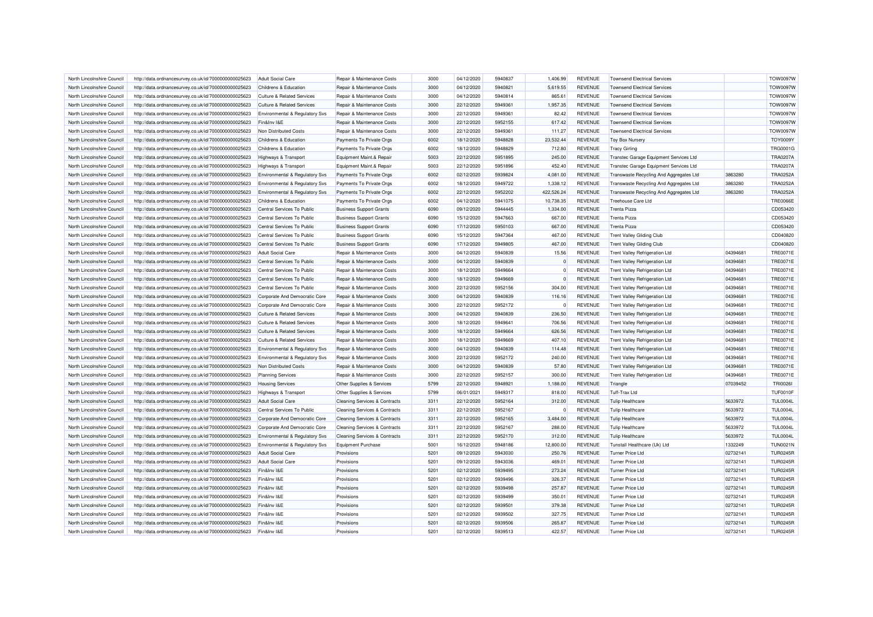| North Lincolnshire Council | http://data.ordnancesurvey.co.uk/id/7000000000025623 | Adult Social Care                     | Repair & Maintenance Costs               | 3000         | 04/12/2020 | 5940837 | 1.406.99      | <b>REVENUE</b> | <b>Townsend Electrical Services</b>     |          | <b>TOW0097W</b> |
|----------------------------|------------------------------------------------------|---------------------------------------|------------------------------------------|--------------|------------|---------|---------------|----------------|-----------------------------------------|----------|-----------------|
| North Lincolnshire Council | http://data.ordnancesurvey.co.uk/id/7000000000025623 | Childrens & Education                 | Repair & Maintenance Costs               | 3000         | 04/12/2020 | 5940821 | 5,619.55      | <b>REVENUE</b> | <b>Townsend Electrical Services</b>     |          | <b>TOW0097W</b> |
| North Lincolnshire Council | http://data.ordnancesurvey.co.uk/id/7000000000025623 | <b>Culture &amp; Related Services</b> | Repair & Maintenance Costs               | 3000         | 04/12/2020 | 5940814 | 865.61        | <b>REVENUE</b> | <b>Townsend Electrical Services</b>     |          | <b>TOW0097W</b> |
| North Lincolnshire Council | http://data.ordnancesurvey.co.uk/id/7000000000025623 | <b>Culture &amp; Related Services</b> | Repair & Maintenance Costs               | 3000         | 22/12/2020 | 5949361 | 1,957.35      | <b>REVENUE</b> | <b>Townsend Electrical Services</b>     |          | <b>TOW0097W</b> |
| North Lincolnshire Council | http://data.ordnancesurvey.co.uk/id/7000000000025623 | Environmental & Regulatory Svs        | Repair & Maintenance Costs               | 3000         | 22/12/2020 | 5949361 | 82.42         | <b>REVENUE</b> | <b>Townsend Electrical Services</b>     |          | <b>TOW0097W</b> |
| North Lincolnshire Council | http://data.ordnancesurvey.co.uk/id/7000000000025623 | Fin&Inv I&E                           | Repair & Maintenance Costs               | 3000         | 22/12/2020 | 5952155 | 617.42        | <b>REVENUE</b> | <b>Townsend Electrical Services</b>     |          | <b>TOW0097W</b> |
| North Lincolnshire Council | http://data.ordnancesurvey.co.uk/id/7000000000025623 | Non Distributed Costs                 | Repair & Maintenance Costs               | 3000         | 22/12/2020 | 5949361 | 111.27        | <b>REVENUE</b> | <b>Townsend Electrical Services</b>     |          | <b>TOW0097W</b> |
| North Lincolnshire Council | http://data.ordnancesurvey.co.uk/id/7000000000025623 | Childrens & Education                 | Payments To Private Orgs                 | 6002         | 18/12/2020 | 5948828 | 23,532.44     | <b>REVENUE</b> | <b>Toy Box Nursery</b>                  |          | <b>TOY0009Y</b> |
| North Lincolnshire Council | http://data.ordnancesurvey.co.uk/id/7000000000025623 | Childrens & Education                 | Payments To Private Orgs                 | 6002         | 18/12/2020 | 5948829 | 712.80        | <b>REVENUE</b> | <b>Tracy Girling</b>                    |          | <b>TRG0001G</b> |
| North Lincolnshire Council | http://data.ordnancesurvey.co.uk/id/7000000000025623 | <b>Highways &amp; Transport</b>       | Equipment Maint.& Repair                 | 5003         | 22/12/2020 | 5951895 | 245.00        | <b>REVENUE</b> | Transtec Garage Equipment Services Ltd  |          | <b>TRA0207A</b> |
| North Lincolnshire Council | http://data.ordnancesurvey.co.uk/id/7000000000025623 | Highways & Transport                  | Equipment Maint.& Repair                 | 5003         | 22/12/2020 | 5951896 | 452.40        | <b>REVENUE</b> | Transtec Garage Equipment Services Ltd  |          | <b>TRA0207A</b> |
| North Lincolnshire Council | http://data.ordnancesurvey.co.uk/id/7000000000025623 | Environmental & Regulatory Svs        | Payments To Private Orgs                 | 6002         | 02/12/2020 | 5939824 | 4,081.00      | <b>REVENUE</b> | Transwaste Recycling And Aggregates Ltd | 3863280  | <b>TRA0252A</b> |
| North Lincolnshire Council | http://data.ordnancesurvey.co.uk/id/7000000000025623 | Environmental & Regulatory Svs        | Payments To Private Orgs                 | 6002         | 18/12/2020 | 5949722 | 1,338.12      | <b>REVENUE</b> | Transwaste Recycling And Aggregates Ltd | 3863280  | <b>TRA0252A</b> |
| North Lincolnshire Council | http://data.ordnancesurvey.co.uk/id/7000000000025623 | Environmental & Regulatory Svs        | Payments To Private Orgs                 | 6002         | 22/12/2020 | 5952202 | 422,526.24    | <b>REVENUE</b> | Transwaste Recycling And Aggregates Ltd | 3863280  | <b>TRA0252A</b> |
| North Lincolnshire Council | http://data.ordnancesurvey.co.uk/id/7000000000025623 | Childrens & Education                 | Payments To Private Orgs                 | 6002         | 04/12/2020 | 5941075 | 10,738.35     | <b>REVENUE</b> | <b>Treehouse Care Ltd</b>               |          | <b>TRE0066E</b> |
| North Lincolnshire Council | http://data.ordnancesurvey.co.uk/id/7000000000025623 | Central Services To Public            | <b>Business Support Grants</b>           | 6090         | 09/12/2020 | 5944445 | 1,334.00      | <b>REVENUE</b> | <b>Trenta Pizza</b>                     |          | CD053420        |
| North Lincolnshire Council | http://data.ordnancesurvey.co.uk/id/7000000000025623 | Central Services To Public            | <b>Business Support Grants</b>           | 6090         | 15/12/2020 | 5947663 | 667.00        | <b>REVENUE</b> | <b>Trenta Pizza</b>                     |          | CD053420        |
| North Lincolnshire Council | http://data.ordnancesurvey.co.uk/id/7000000000025623 | Central Services To Public            | <b>Business Support Grants</b>           | 6090         | 17/12/2020 | 5950103 | 667.00        | <b>REVENUE</b> | Trenta Pizza                            |          | CD053420        |
| North Lincolnshire Council | http://data.ordnancesurvey.co.uk/id/7000000000025623 | Central Services To Public            | <b>Business Support Grants</b>           | 6090         | 15/12/2020 | 5947364 | 467.00        | <b>REVENUE</b> | <b>Trent Valley Gliding Club</b>        |          | CD040820        |
| North Lincolnshire Council | http://data.ordnancesurvey.co.uk/id/7000000000025623 | Central Services To Public            | <b>Business Support Grants</b>           | 6090         | 17/12/2020 | 5949805 | 467.00        | <b>REVENUE</b> | <b>Trent Valley Gliding Club</b>        |          | CD040820        |
| North Lincolnshire Council | http://data.ordnancesurvey.co.uk/id/7000000000025623 | <b>Adult Social Care</b>              | Repair & Maintenance Costs               | 3000         | 04/12/2020 | 5940839 | 15.56         | <b>REVENUE</b> | Trent Valley Refrigeration Ltd          | 04394681 | <b>TRE0071E</b> |
|                            |                                                      |                                       |                                          |              |            |         |               |                |                                         | 04394681 | <b>TRE0071E</b> |
| North Lincolnshire Council | http://data.ordnancesurvey.co.uk/id/7000000000025623 | Central Services To Public            | Repair & Maintenance Costs               | 3000<br>3000 | 04/12/2020 | 5940839 | 0<br>$\Omega$ | <b>REVENUE</b> | <b>Trent Valley Refrigeration Ltd</b>   |          | <b>TRE0071E</b> |
| North Lincolnshire Council | http://data.ordnancesurvey.co.uk/id/7000000000025623 | Central Services To Public            | Repair & Maintenance Costs               |              | 18/12/2020 | 5949664 |               | <b>REVENUE</b> | Trent Valley Refrigeration Ltd          | 04394681 |                 |
| North Lincolnshire Council | http://data.ordnancesurvey.co.uk/id/7000000000025623 | Central Services To Public            | Repair & Maintenance Costs               | 3000         | 18/12/2020 | 5949669 | $\Omega$      | <b>REVENUE</b> | <b>Trent Valley Refrigeration Ltd</b>   | 04394681 | <b>TRE0071E</b> |
| North Lincolnshire Council | http://data.ordnancesurvey.co.uk/id/7000000000025623 | Central Services To Public            | Repair & Maintenance Costs               | 3000         | 22/12/2020 | 5952156 | 304.00        | <b>REVENUE</b> | <b>Trent Valley Refrigeration Ltd</b>   | 04394681 | <b>TRE0071E</b> |
| North Lincolnshire Council | http://data.ordnancesurvey.co.uk/id/7000000000025623 | Corporate And Democratic Core         | Repair & Maintenance Costs               | 3000         | 04/12/2020 | 5940839 | 116.16        | <b>REVENUE</b> | <b>Trent Valley Refrigeration Ltd</b>   | 04394681 | <b>TRE0071E</b> |
| North Lincolnshire Council | http://data.ordnancesurvey.co.uk/id/7000000000025623 | Corporate And Democratic Core         | Repair & Maintenance Costs               | 3000         | 22/12/2020 | 5952172 | 0             | <b>REVENUE</b> | <b>Trent Valley Refrigeration Ltd</b>   | 04394681 | <b>TRE0071E</b> |
| North Lincolnshire Council | http://data.ordnancesurvey.co.uk/id/7000000000025623 | <b>Culture &amp; Related Services</b> | Repair & Maintenance Costs               | 3000         | 04/12/2020 | 5940839 | 236.50        | <b>REVENUE</b> | <b>Trent Valley Refrigeration Ltd</b>   | 04394681 | <b>TRE0071E</b> |
| North Lincolnshire Council | http://data.ordnancesurvey.co.uk/id/7000000000025623 | <b>Culture &amp; Related Services</b> | Repair & Maintenance Costs               | 3000         | 18/12/2020 | 5949641 | 706.56        | <b>REVENUE</b> | Trent Valley Refrigeration Ltd          | 04394681 | <b>TRE0071E</b> |
| North Lincolnshire Council | http://data.ordnancesurvey.co.uk/id/7000000000025623 | <b>Culture &amp; Related Services</b> | Repair & Maintenance Costs               | 3000         | 18/12/2020 | 5949664 | 626.56        | <b>REVENUE</b> | <b>Trent Valley Refrigeration Ltd</b>   | 04394681 | <b>TRE0071E</b> |
| North Lincolnshire Council | http://data.ordnancesurvey.co.uk/id/7000000000025623 | <b>Culture &amp; Related Services</b> | Repair & Maintenance Costs               | 3000         | 18/12/2020 | 5949669 | 407.10        | <b>REVENUE</b> | <b>Trent Valley Refrigeration Ltd</b>   | 04394681 | <b>TRE0071E</b> |
| North Lincolnshire Council | http://data.ordnancesurvey.co.uk/id/7000000000025623 | Environmental & Regulatory Svs        | Repair & Maintenance Costs               | 3000         | 04/12/2020 | 5940839 | 114.48        | <b>REVENUE</b> | <b>Trent Valley Refrigeration Ltd</b>   | 04394681 | <b>TRE0071E</b> |
| North Lincolnshire Council | http://data.ordnancesurvey.co.uk/id/7000000000025623 | Environmental & Regulatory Svs        | Repair & Maintenance Costs               | 3000         | 22/12/2020 | 5952172 | 240.00        | <b>REVENUE</b> | <b>Trent Valley Refrigeration Ltd</b>   | 04394681 | <b>TRE0071E</b> |
| North Lincolnshire Council | http://data.ordnancesurvey.co.uk/id/7000000000025623 | Non Distributed Costs                 | Repair & Maintenance Costs               | 3000         | 04/12/2020 | 5940839 | 57.80         | <b>REVENUE</b> | <b>Trent Valley Refrigeration Ltd</b>   | 04394681 | <b>TRE0071E</b> |
| North Lincolnshire Council | http://data.ordnancesurvey.co.uk/id/7000000000025623 | <b>Planning Services</b>              | Repair & Maintenance Costs               | 3000         | 22/12/2020 | 5952157 | 300.00        | <b>REVENUE</b> | <b>Trent Valley Refrigeration Ltd</b>   | 04394681 | <b>TRE0071E</b> |
| North Lincolnshire Council | http://data.ordnancesurvey.co.uk/id/7000000000025623 | <b>Housing Services</b>               | Other Supplies & Services                | 5799         | 22/12/2020 | 5948921 | 1,188.00      | <b>REVENUE</b> | Triangle                                | 07039452 | <b>TRI0026I</b> |
| North Lincolnshire Council | http://data.ordnancesurvey.co.uk/id/7000000000025623 | Highways & Transport                  | Other Supplies & Services                | 5799         | 06/01/2021 | 5949317 | 818.00        | <b>REVENUE</b> | <b>Tuff-Trax Ltd</b>                    |          | <b>TUF0010F</b> |
| North Lincolnshire Council | http://data.ordnancesurvey.co.uk/id/7000000000025623 | <b>Adult Social Care</b>              | <b>Cleaning Services &amp; Contracts</b> | 3311         | 22/12/2020 | 5952164 | 312.00        | <b>REVENUE</b> | <b>Tulip Healthcare</b>                 | 5633972  | <b>TUL0004L</b> |
| North Lincolnshire Council | http://data.ordnancesurvey.co.uk/id/7000000000025623 | Central Services To Public            | <b>Cleaning Services &amp; Contracts</b> | 3311         | 22/12/2020 | 5952167 | n             | <b>REVENUE</b> | <b>Tulip Healthcare</b>                 | 5633972  | <b>TUL0004L</b> |
| North Lincolnshire Council | http://data.ordnancesurvey.co.uk/id/7000000000025623 | Corporate And Democratic Core         | <b>Cleaning Services &amp; Contracts</b> | 3311         | 22/12/2020 | 5952165 | 3.484.00      | <b>REVENUE</b> | <b>Tulip Healthcare</b>                 | 5633972  | <b>TUL0004L</b> |
| North Lincolnshire Council | http://data.ordnancesurvey.co.uk/id/7000000000025623 | Corporate And Democratic Core         | <b>Cleaning Services &amp; Contracts</b> | 3311         | 22/12/2020 | 5952167 | 288.00        | <b>REVENUE</b> | <b>Tulip Healthcare</b>                 | 5633972  | <b>TUL0004L</b> |
| North Lincolnshire Council | http://data.ordnancesurvey.co.uk/id/7000000000025623 | Environmental & Regulatory Svs        | Cleaning Services & Contracts            | 3311         | 22/12/2020 | 5952170 | 312.00        | <b>REVENUE</b> | <b>Tulip Healthcare</b>                 | 5633972  | <b>TUL0004L</b> |
| North Lincolnshire Council | http://data.ordnancesurvey.co.uk/id/7000000000025623 | Environmental & Regulatory Svs        | <b>Equipment Purchase</b>                | 5001         | 16/12/2020 | 5948186 | 12,800.00     | <b>REVENUE</b> | Tunstall Healthcare (Uk) Ltd            | 1332249  | <b>TUN0021N</b> |
| North Lincolnshire Council | http://data.ordnancesurvey.co.uk/id/7000000000025623 | <b>Adult Social Care</b>              | Provisions                               | 5201         | 09/12/2020 | 5943030 | 250.76        | <b>REVENUE</b> | <b>Turner Price Ltd</b>                 | 02732141 | <b>TUR0245R</b> |
| North Lincolnshire Council | http://data.ordnancesurvey.co.uk/id/7000000000025623 | <b>Adult Social Care</b>              | Provisions                               | 5201         | 09/12/2020 | 5943036 | 469.01        | <b>REVENUE</b> | Turner Price Ltd                        | 02732141 | <b>TUR0245R</b> |
| North Lincolnshire Council | http://data.ordnancesurvey.co.uk/id/7000000000025623 | Fin&Inv I&E                           | Provisions                               | 5201         | 02/12/2020 | 5939495 | 273.24        | <b>REVENUE</b> | <b>Turner Price Ltd</b>                 | 02732141 | <b>TUR0245R</b> |
| North Lincolnshire Council | http://data.ordnancesurvey.co.uk/id/7000000000025623 | Fin&Inv I&E                           | Provisions                               | 5201         | 02/12/2020 | 5939496 | 326.37        | <b>REVENUE</b> | Turner Price Ltd                        | 02732141 | <b>TUR0245R</b> |
| North Lincolnshire Council | http://data.ordnancesurvey.co.uk/id/7000000000025623 | Fin&Inv I&E                           | Provisions                               | 5201         | 02/12/2020 | 5939498 | 257.87        | <b>REVENUE</b> | Turner Price Ltd                        | 02732141 | <b>TUR0245R</b> |
| North Lincolnshire Council | http://data.ordnancesurvey.co.uk/id/7000000000025623 | Fin&Inv I&E                           | Provisions                               | 5201         | 02/12/2020 | 5939499 | 350.01        | <b>REVENUE</b> | Turner Price Ltd                        | 02732141 | <b>TUR0245R</b> |
| North Lincolnshire Council | http://data.ordnancesurvey.co.uk/id/7000000000025623 | Fin&Inv I&E                           | Provisions                               | 5201         | 02/12/2020 | 5939501 | 379.38        | <b>REVENUE</b> | <b>Turner Price Ltd</b>                 | 02732141 | <b>TUR0245R</b> |
| North Lincolnshire Council | http://data.ordnancesurvey.co.uk/id/7000000000025623 | Fin&Inv I&E                           | Provisions                               | 5201         | 02/12/2020 | 5939502 | 327.75        | <b>REVENUE</b> | Turner Price Ltd                        | 02732141 | <b>TUR0245R</b> |
| North Lincolnshire Council | http://data.ordnancesurvey.co.uk/id/7000000000025623 | Fin&Inv I&E                           | Provisions                               | 5201         | 02/12/2020 | 5939506 | 265.87        | <b>REVENUE</b> | <b>Turner Price Ltd</b>                 | 02732141 | <b>TUR0245R</b> |
| North Lincolnshire Council | http://data.ordnancesurvey.co.uk/id/7000000000025623 | Fin&Inv I&E                           | Provisions                               | 5201         | 02/12/2020 | 5939513 | 422.57        | <b>REVENUE</b> | <b>Turner Price Ltd</b>                 | 02732141 | <b>TUR0245R</b> |
|                            |                                                      |                                       |                                          |              |            |         |               |                |                                         |          |                 |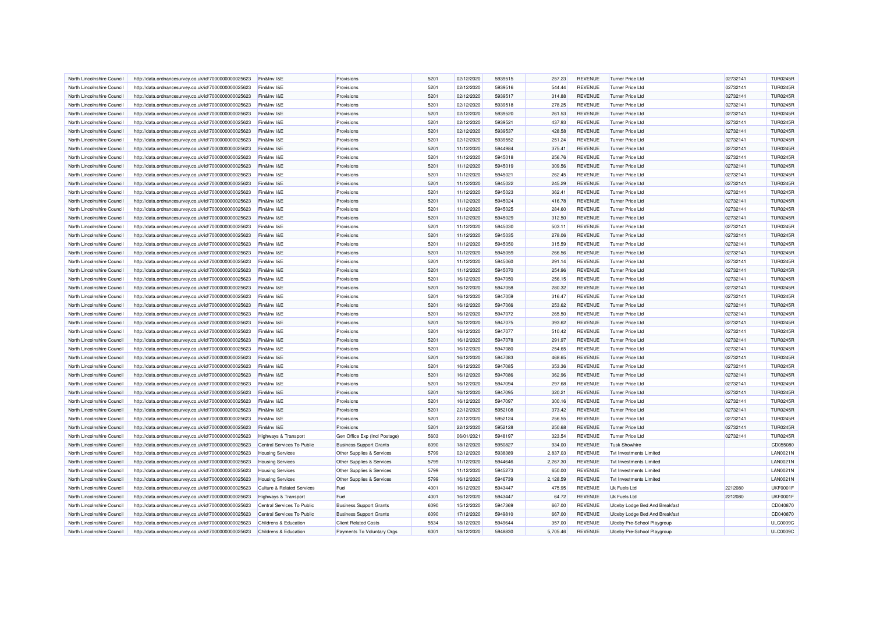| North Lincolnshire Council | http://data.ordnancesurvey.co.uk/id/7000000000025623 | Fin&Inv I&E                           | Provisions                        | 5201 | 02/12/2020 | 5939515 | 257.23   | <b>REVENUE</b> | Turner Price Ltd               | 02732141 | <b>TUR0245R</b> |
|----------------------------|------------------------------------------------------|---------------------------------------|-----------------------------------|------|------------|---------|----------|----------------|--------------------------------|----------|-----------------|
| North Lincolnshire Council | http://data.ordnancesurvey.co.uk/id/7000000000025623 | Fin&Inv I&E                           | Provisions                        | 5201 | 02/12/2020 | 5939516 | 544.44   | <b>REVENUE</b> | Turner Price Ltd               | 02732141 | <b>TUR0245R</b> |
| North Lincolnshire Council | http://data.ordnancesurvey.co.uk/id/7000000000025623 | Fin&Inv I&E                           | Provisions                        | 5201 | 02/12/2020 | 5939517 | 314.88   | <b>REVENUE</b> | <b>Turner Price Ltd</b>        | 02732141 | <b>TUR0245R</b> |
| North Lincolnshire Council | http://data.ordnancesurvey.co.uk/id/7000000000025623 | Fin&Inv I&E                           | Provisions                        | 5201 | 02/12/2020 | 5939518 | 278.25   | <b>REVENUE</b> | <b>Turner Price Ltd</b>        | 02732141 | <b>TUR0245R</b> |
| North Lincolnshire Council | http://data.ordnancesurvey.co.uk/id/7000000000025623 | Fin&Inv I&E                           | Provisions                        | 5201 | 02/12/2020 | 5939520 | 261.53   | <b>REVENUE</b> | Turner Price Ltd               | 02732141 | <b>TUR0245R</b> |
| North Lincolnshire Council | http://data.ordnancesurvey.co.uk/id/7000000000025623 | Fin&Inv I&E                           | Provisions                        | 5201 | 02/12/2020 | 5939521 | 437.93   | <b>REVENUE</b> | Turner Price Ltd               | 02732141 | <b>TUR0245R</b> |
| North Lincolnshire Council | http://data.ordnancesurvey.co.uk/id/7000000000025623 | Fin&Inv I&E                           | Provisions                        | 5201 | 02/12/2020 | 5939537 | 428.58   | <b>REVENUE</b> | <b>Turner Price Ltd</b>        | 02732141 | <b>TUR0245R</b> |
| North Lincolnshire Council | http://data.ordnancesurvey.co.uk/id/7000000000025623 | Fin&Inv I&E                           | Provisions                        | 5201 | 02/12/2020 | 5939552 | 251.24   | <b>REVENUE</b> | Turner Price Ltd               | 02732141 | <b>TUR0245R</b> |
|                            |                                                      |                                       |                                   |      |            |         |          |                |                                |          |                 |
| North Lincolnshire Council | http://data.ordnancesurvey.co.uk/id/7000000000025623 | Fin&Inv I&E                           | Provisions                        | 5201 | 11/12/2020 | 5944984 | 375.41   | REVENUE        | Turner Price Ltd               | 02732141 | <b>TUR0245R</b> |
| North Lincolnshire Council | http://data.ordnancesurvey.co.uk/id/7000000000025623 | Fin&Inv I&E                           | Provisions                        | 5201 | 11/12/2020 | 5945018 | 256.76   | <b>REVENUE</b> | Turner Price Ltd               | 02732141 | <b>TUR0245R</b> |
| North Lincolnshire Council | http://data.ordnancesurvey.co.uk/id/7000000000025623 | Fin&Inv I&E                           | Provisions                        | 5201 | 11/12/2020 | 5945019 | 309.56   | <b>REVENUE</b> | <b>Turner Price Ltd</b>        | 02732141 | <b>TUR0245R</b> |
| North Lincolnshire Council | http://data.ordnancesurvey.co.uk/id/7000000000025623 | Fin&Inv I&E                           | Provisions                        | 5201 | 11/12/2020 | 5945021 | 262.45   | <b>REVENUE</b> | <b>Turner Price Ltd</b>        | 02732141 | <b>TUR0245R</b> |
| North Lincolnshire Council | http://data.ordnancesurvey.co.uk/id/7000000000025623 | Fin&Inv I&E                           | Provisions                        | 5201 | 11/12/2020 | 5945022 | 245.29   | REVENUE        | Turner Price Ltd               | 02732141 | <b>TUR0245R</b> |
| North Lincolnshire Council | http://data.ordnancesurvey.co.uk/id/7000000000025623 | Fin&Inv I&E                           | Provisions                        | 5201 | 11/12/2020 | 5945023 | 362.41   | <b>REVENUE</b> | <b>Turner Price Ltd</b>        | 02732141 | <b>TUR0245R</b> |
| North Lincolnshire Council | http://data.ordnancesurvey.co.uk/id/7000000000025623 | Fin&Inv I&E                           | Provisions                        | 5201 | 11/12/2020 | 5945024 | 416.78   | <b>REVENUE</b> | <b>Turner Price Ltd</b>        | 02732141 | <b>TUR0245R</b> |
| North Lincolnshire Council | http://data.ordnancesurvey.co.uk/id/7000000000025623 | Fin&Inv I&E                           | Provisions                        | 5201 | 11/12/2020 | 5945025 | 284.60   | <b>REVENUE</b> | <b>Turner Price Ltd</b>        | 02732141 | <b>TUR0245R</b> |
| North Lincolnshire Council | http://data.ordnancesurvey.co.uk/id/7000000000025623 | Fin&Inv I&E                           | Provisions                        | 5201 | 11/12/2020 | 5945029 | 312.50   | <b>REVENUE</b> | <b>Turner Price Ltd</b>        | 02732141 | <b>TUR0245R</b> |
| North Lincolnshire Council | http://data.ordnancesurvey.co.uk/id/7000000000025623 | Fin&Inv I&E                           | Provisions                        | 5201 | 11/12/2020 | 5945030 | 503.11   | <b>REVENUE</b> | Turner Price Ltd               | 02732141 | <b>TUR0245R</b> |
| North Lincolnshire Council | http://data.ordnancesurvey.co.uk/id/7000000000025623 | Fin&Inv I&E                           | Provisions                        | 5201 | 11/12/2020 | 5945035 | 278.06   | <b>REVENUE</b> | <b>Turner Price Ltd</b>        | 02732141 | <b>TUR0245R</b> |
| North Lincolnshire Council | http://data.ordnancesurvey.co.uk/id/7000000000025623 | Fin&Inv I&E                           | Provisions                        | 5201 | 11/12/2020 | 5945050 | 315.59   | <b>REVENUE</b> | <b>Turner Price Ltd</b>        | 02732141 | <b>TUR0245R</b> |
| North Lincolnshire Council | http://data.ordnancesurvey.co.uk/id/7000000000025623 | Fin&Inv I&E                           | Provisions                        | 5201 | 11/12/2020 | 5945059 | 266.56   | <b>REVENUE</b> | Turner Price Ltd               | 02732141 | <b>TUR0245R</b> |
| North Lincolnshire Council | http://data.ordnancesurvey.co.uk/id/7000000000025623 | Fin&Inv I&E                           | Provisions                        | 5201 | 11/12/2020 | 5945060 | 291.14   | <b>REVENUE</b> | Turner Price Ltd               | 02732141 | <b>TUR0245R</b> |
| North Lincolnshire Council | http://data.ordnancesurvey.co.uk/id/7000000000025623 | Fin&Inv I&E                           | Provisions                        | 5201 | 11/12/2020 | 5945070 | 254.96   | <b>REVENUE</b> | <b>Turner Price Ltd</b>        | 02732141 | <b>TUR0245R</b> |
| North Lincolnshire Council | http://data.ordnancesurvey.co.uk/id/7000000000025623 | Fin&Inv I&E                           | Provisions                        | 5201 | 16/12/2020 | 5947050 | 256.15   | <b>REVENUE</b> | Turner Price Ltd               | 02732141 | <b>TUR0245R</b> |
| North Lincolnshire Council | http://data.ordnancesurvey.co.uk/id/7000000000025623 | Fin&Inv I&E                           | Provisions                        | 5201 | 16/12/2020 | 5947058 | 280.32   | <b>REVENUE</b> | Turner Price Ltd               | 02732141 | <b>TUR0245R</b> |
|                            |                                                      |                                       |                                   | 5201 |            |         |          |                |                                |          |                 |
| North Lincolnshire Council | http://data.ordnancesurvey.co.uk/id/7000000000025623 | Fin&Inv I&E                           | Provisions                        |      | 16/12/2020 | 5947059 | 316.47   | <b>REVENUE</b> | Turner Price Ltd               | 02732141 | <b>TUR0245R</b> |
| North Lincolnshire Council | http://data.ordnancesurvey.co.uk/id/7000000000025623 | Fin&Inv I&E                           | Provisions                        | 5201 | 16/12/2020 | 5947066 | 253.62   | <b>REVENUE</b> | Turner Price Ltd               | 02732141 | <b>TUR0245R</b> |
| North Lincolnshire Council | http://data.ordnancesurvey.co.uk/id/7000000000025623 | Fin&Inv I&E                           | Provisions                        | 5201 | 16/12/2020 | 5947072 | 265.50   | <b>REVENUE</b> | Turner Price Ltd               | 02732141 | <b>TUR0245R</b> |
| North Lincolnshire Council | http://data.ordnancesurvey.co.uk/id/7000000000025623 | Fin&Inv I&E                           | Provisions                        | 5201 | 16/12/2020 | 5947075 | 393.62   | <b>REVENUE</b> | <b>Turner Price Ltd</b>        | 02732141 | <b>TUR0245R</b> |
| North Lincolnshire Council | http://data.ordnancesurvey.co.uk/id/7000000000025623 | Fin&Inv I&E                           | Provisions                        | 5201 | 16/12/2020 | 5947077 | 510.42   | <b>REVENUE</b> | <b>Turner Price Ltd</b>        | 02732141 | <b>TUR0245R</b> |
| North Lincolnshire Council | http://data.ordnancesurvev.co.uk/id/7000000000025623 | Fin&Inv I&E                           | Provisions                        | 5201 | 16/12/2020 | 5947078 | 291.97   | <b>REVENUE</b> | Turner Price Ltd               | 02732141 | <b>TUR0245R</b> |
| North Lincolnshire Council | http://data.ordnancesurvey.co.uk/id/7000000000025623 | Fin&Inv I&E                           | Provisions                        | 5201 | 16/12/2020 | 5947080 | 254.65   | <b>REVENUE</b> | Turner Price Ltd               | 02732141 | <b>TUR0245R</b> |
| North Lincolnshire Council | http://data.ordnancesurvey.co.uk/id/7000000000025623 | Fin&Inv I&E                           | Provisions                        | 5201 | 16/12/2020 | 5947083 | 468.65   | <b>REVENUE</b> | <b>Turner Price Ltd</b>        | 02732141 | <b>TUR0245R</b> |
| North Lincolnshire Council | http://data.ordnancesurvey.co.uk/id/7000000000025623 | Fin&Inv I&E                           | Provisions                        | 5201 | 16/12/2020 | 5947085 | 353.36   | <b>REVENUE</b> | <b>Turner Price Ltd</b>        | 02732141 | <b>TUR0245R</b> |
| North Lincolnshire Council | http://data.ordnancesurvey.co.uk/id/7000000000025623 | Fin&Inv I&E                           | Provisions                        | 5201 | 16/12/2020 | 5947086 | 362.96   | <b>REVENUE</b> | <b>Turner Price Ltd</b>        | 02732141 | <b>TUR0245R</b> |
| North Lincolnshire Council | http://data.ordnancesurvey.co.uk/id/7000000000025623 | Fin&Inv I&E                           | Provisions                        | 5201 | 16/12/2020 | 5947094 | 297.68   | <b>REVENUE</b> | <b>Turner Price Ltd</b>        | 02732141 | <b>TUR0245R</b> |
| North Lincolnshire Council | http://data.ordnancesurvey.co.uk/id/7000000000025623 | Fin&Inv I&E                           | Provisions                        | 5201 | 16/12/2020 | 5947095 | 320.21   | <b>REVENUE</b> | Turner Price Ltd               | 02732141 | <b>TUR0245R</b> |
| North Lincolnshire Council | http://data.ordnancesurvey.co.uk/id/7000000000025623 | Fin&Inv I&E                           | Provisions                        | 5201 | 16/12/2020 | 5947097 | 300.16   | <b>REVENUE</b> | <b>Turner Price Ltd</b>        | 02732141 | <b>TUR0245R</b> |
| North Lincolnshire Council | http://data.ordnancesurvey.co.uk/id/7000000000025623 | Fin&Inv I&E                           | Provisions                        | 5201 | 22/12/2020 | 5952108 | 373.42   | <b>REVENUE</b> | <b>Turner Price Ltd</b>        | 02732141 | <b>TUR0245R</b> |
| North Lincolnshire Council | http://data.ordnancesurvey.co.uk/id/7000000000025623 | Fin&Inv I&E                           | Provisions                        | 5201 | 22/12/2020 | 5952124 | 256.55   | <b>REVENUE</b> | <b>Turner Price Ltd</b>        | 02732141 | <b>TUR0245R</b> |
| North Lincolnshire Council | http://data.ordnancesurvey.co.uk/id/7000000000025623 | Fin&Inv I&E                           | Provisions                        | 5201 | 22/12/2020 | 5952128 | 250.68   | <b>REVENUE</b> | <b>Turner Price Ltd</b>        | 02732141 | <b>TUR0245R</b> |
| North Lincolnshire Council | http://data.ordnancesurvey.co.uk/id/7000000000025623 | Highways & Transport                  | Gen Office Exp (Incl Postage)     | 5603 | 06/01/2021 | 5948197 | 323.54   | <b>REVENUE</b> | Turner Price Ltd               | 02732141 | <b>TUR0245R</b> |
| North Lincolnshire Council | http://data.ordnancesurvey.co.uk/id/7000000000025623 | Central Services To Public            | <b>Business Support Grants</b>    | 6090 | 18/12/2020 | 5950827 | 934.00   | <b>REVENUE</b> | <b>Tusk Showhire</b>           |          | CD055080        |
| North Lincolnshire Council | http://data.ordnancesurvey.co.uk/id/7000000000025623 | <b>Housing Services</b>               | Other Supplies & Services         | 5799 | 02/12/2020 | 5938389 | 2,837.03 | <b>REVENUE</b> | Tyt Investments Limited        |          | <b>LAN0021N</b> |
| North Lincolnshire Council | http://data.ordnancesurvey.co.uk/id/7000000000025623 | <b>Housing Services</b>               | Other Supplies & Services         | 5799 | 11/12/2020 | 5944646 | 2,267.30 | <b>REVENUE</b> | <b>Tvt Investments Limited</b> |          | <b>LAN0021N</b> |
| North Lincolnshire Council |                                                      |                                       |                                   | 5799 |            | 5945273 |          | <b>REVENUE</b> | <b>Tvt Investments Limited</b> |          | <b>LAN0021N</b> |
|                            | http://data.ordnancesurvey.co.uk/id/7000000000025623 | <b>Housing Services</b>               | Other Supplies & Services         | 5799 | 11/12/2020 | 5946739 | 650.00   | <b>REVENUE</b> |                                |          | <b>LAN0021N</b> |
| North Lincolnshire Council | http://data.ordnancesurvey.co.uk/id/7000000000025623 | <b>Housing Services</b>               | Other Supplies & Services<br>Fuel | 4001 | 16/12/2020 | 5943447 | 2,128.59 |                | <b>Tvt Investments Limited</b> |          | <b>UKF0001F</b> |
| North Lincolnshire Council | http://data.ordnancesurvey.co.uk/id/7000000000025623 | <b>Culture &amp; Related Services</b> |                                   |      | 16/12/2020 |         | 475.95   | REVENUE        | <b>Uk Fuels Ltd</b>            | 2212080  |                 |
| North Lincolnshire Council | http://data.ordnancesurvey.co.uk/id/7000000000025623 | <b>Highways &amp; Transport</b>       | Fuel                              | 4001 | 16/12/2020 | 5943447 | 64.72    | <b>REVENUE</b> | <b>Uk Fuels Ltd</b>            | 2212080  | <b>UKF0001F</b> |
| North Lincolnshire Council | http://data.ordnancesurvey.co.uk/id/7000000000025623 | Central Services To Public            | <b>Business Support Grants</b>    | 6090 | 15/12/2020 | 5947369 | 667.00   | <b>REVENUE</b> | Ulceby Lodge Bed And Breakfast |          | CD040870        |
| North Lincolnshire Council | http://data.ordnancesurvey.co.uk/id/7000000000025623 | Central Services To Public            | <b>Business Support Grants</b>    | 6090 | 17/12/2020 | 5949810 | 667.00   | <b>REVENUE</b> | Ulceby Lodge Bed And Breakfast |          | CD040870        |
| North Lincolnshire Council | http://data.ordnancesurvey.co.uk/id/7000000000025623 | Childrens & Education                 | <b>Client Related Costs</b>       | 5534 | 18/12/2020 | 5949644 | 357.00   | <b>REVENUE</b> | Ulceby Pre-School Playgroup    |          | <b>ULC0009C</b> |
| North Lincolnshire Council | http://data.ordnancesurvey.co.uk/id/7000000000025623 | Childrens & Education                 | Payments To Voluntary Orgs        | 6001 | 18/12/2020 | 5948830 | 5,705.46 | <b>REVENUE</b> | Ulceby Pre-School Playgroup    |          | <b>ULC0009C</b> |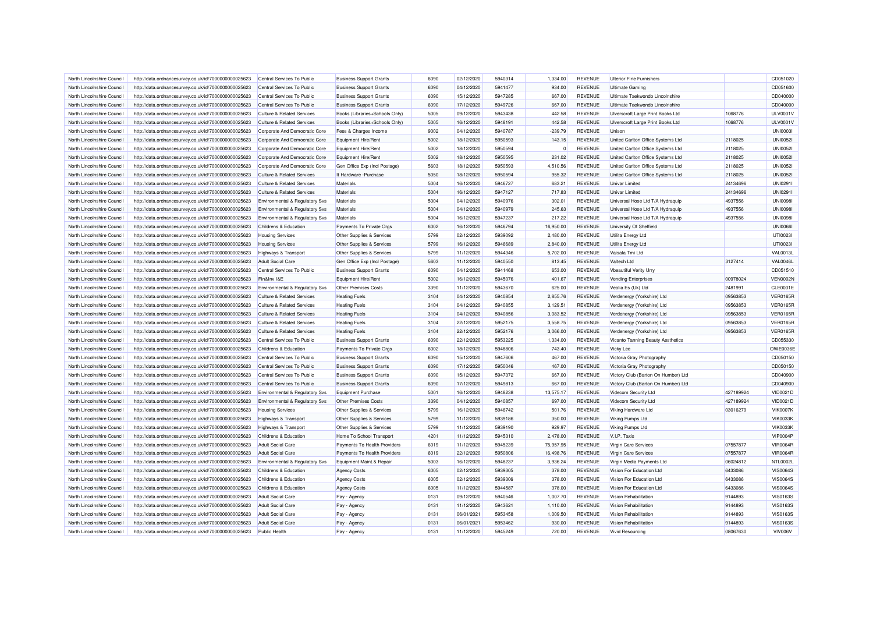| North Lincolnshire Council                               | http://data.ordnancesurvey.co.uk/id/7000000000025623                                                         | Central Services To Public                                                     | <b>Business Support Grants</b>               | 6090 | 02/12/2020               | 5940314 | 1,334.00             | <b>REVENUE</b>                   | <b>Ulterior Fine Furnishers</b>                          |                      | CD051020                           |
|----------------------------------------------------------|--------------------------------------------------------------------------------------------------------------|--------------------------------------------------------------------------------|----------------------------------------------|------|--------------------------|---------|----------------------|----------------------------------|----------------------------------------------------------|----------------------|------------------------------------|
| North Lincolnshire Council                               | http://data.ordnancesurvey.co.uk/id/7000000000025623                                                         | Central Services To Public                                                     | <b>Business Support Grants</b>               | 6090 | 04/12/2020               | 5941477 | 934.00               | <b>REVENUE</b>                   | <b>Ultimate Gaming</b>                                   |                      | CD051600                           |
| North Lincolnshire Council                               | http://data.ordnancesurvey.co.uk/id/7000000000025623                                                         | Central Services To Public                                                     | <b>Business Support Grants</b>               | 6090 | 15/12/2020               | 5947285 | 667.00               | <b>REVENUE</b>                   | Ultimate Taekwondo Lincolnshire                          |                      | CD040000                           |
| North Lincolnshire Council                               | http://data.ordnancesurvey.co.uk/id/7000000000025623                                                         | Central Services To Public                                                     | <b>Business Support Grants</b>               | 6090 | 17/12/2020               | 5949726 | 667.00               | <b>REVENUE</b>                   | Ultimate Taekwondo Lincolnshire                          |                      | CD040000                           |
| North Lincolnshire Council                               | http://data.ordnancesurvey.co.uk/id/7000000000025623                                                         | <b>Culture &amp; Related Services</b>                                          | Books (Libraries+Schools Only)               | 5005 | 09/12/2020               | 5943438 | 442.58               | <b>REVENUE</b>                   | Ulverscroft Large Print Books Ltd                        | 1068776              | ULV0001\                           |
| North Lincolnshire Council                               | http://data.ordnancesurvey.co.uk/id/7000000000025623                                                         | <b>Culture &amp; Related Services</b>                                          | Books (Libraries+Schools Only)               | 5005 | 16/12/2020               | 5948191 | 442.58               | <b>REVENUE</b>                   | Ulverscroft Large Print Books Ltd                        | 1068776              | <b>ULV0001V</b>                    |
| North Lincolnshire Council                               | http://data.ordnancesurvey.co.uk/id/7000000000025623                                                         | Corporate And Democratic Core                                                  | Fees & Charges Income                        | 9002 | 04/12/2020               | 5940787 | $-239.79$            | <b>REVENUE</b>                   | Unison                                                   |                      | <b>UNI00031</b>                    |
| North Lincolnshire Council                               | http://data.ordnancesurvey.co.uk/id/7000000000025623                                                         | Corporate And Democratic Core                                                  | Equipment Hire/Rent                          | 5002 | 18/12/2020               | 5950593 | 143.15               | <b>REVENUE</b>                   | United Carlton Office Systems Ltd                        | 2118025              | <b>UNI0052I</b>                    |
| North Lincolnshire Council                               | http://data.ordnancesurvey.co.uk/id/7000000000025623                                                         | Corporate And Democratic Core                                                  | Equipment Hire/Rent                          | 5002 | 18/12/2020               | 5950594 | $\Omega$             | <b>REVENUE</b>                   | United Carlton Office Systems Ltd                        | 2118025              | <b>UNI00521</b>                    |
| North Lincolnshire Council                               | http://data.ordnancesurvey.co.uk/id/7000000000025623                                                         | Corporate And Democratic Core                                                  | Equipment Hire/Rent                          | 5002 | 18/12/2020               | 5950595 | 231.02               | <b>REVENUE</b>                   | United Carlton Office Systems Ltd                        | 2118025              | <b>UNI00521</b>                    |
| North Lincolnshire Council                               | http://data.ordnancesurvey.co.uk/id/7000000000025623                                                         | Corporate And Democratic Core                                                  | Gen Office Exp (Incl Postage)                | 5603 | 18/12/2020               | 5950593 | 4,510.56             | <b>REVENUE</b>                   | United Carlton Office Systems Ltd                        | 2118025              | <b>UNI0052I</b>                    |
| North Lincolnshire Council                               | http://data.ordnancesurvey.co.uk/id/7000000000025623                                                         | <b>Culture &amp; Related Services</b>                                          | It Hardware - Purchase                       | 5050 | 18/12/2020               | 5950594 | 955.32               | <b>REVENUE</b>                   | United Carlton Office Systems Ltd                        | 2118025              | <b>UNI00521</b>                    |
| North Lincolnshire Council                               | http://data.ordnancesurvey.co.uk/id/7000000000025623                                                         | <b>Culture &amp; Related Services</b>                                          | <b>Materials</b>                             | 5004 | 16/12/2020               | 5946727 | 683.21               | REVENUE                          | <b>Univar Limited</b>                                    | 24134696             | UNI0291I                           |
| North Lincolnshire Council                               | http://data.ordnancesurvey.co.uk/id/7000000000025623                                                         | <b>Culture &amp; Related Services</b>                                          | Materials                                    | 5004 | 16/12/2020               | 5947127 | 717.83               | <b>REVENUE</b>                   | <b>Univar Limited</b>                                    | 24134696             | UNI0291I                           |
| North Lincolnshire Council                               | http://data.ordnancesurvey.co.uk/id/7000000000025623                                                         | <b>Environmental &amp; Regulatory Svs</b>                                      | Materials                                    | 5004 | 04/12/2020               | 5940976 | 302.01               | <b>REVENUE</b>                   | Universal Hose Ltd T/A Hydraquip                         | 4937556              | <b>UNI0098I</b>                    |
| North Lincolnshire Council                               | http://data.ordnancesurvey.co.uk/id/7000000000025623                                                         | Environmental & Regulatory Svs                                                 | Materials                                    | 5004 | 04/12/2020               | 5940979 | 245.63               | <b>REVENUE</b>                   | Universal Hose Ltd T/A Hydraquip                         | 4937556              | <b>UNI0098I</b>                    |
| North Lincolnshire Council                               | http://data.ordnancesurvey.co.uk/id/7000000000025623                                                         | Environmental & Regulatory Svs                                                 | Materials                                    | 5004 | 16/12/2020               | 5947237 | 217.22               | <b>REVENUE</b>                   | Universal Hose Ltd T/A Hydraquip                         | 4937556              | <b>UNI0098I</b>                    |
| North Lincolnshire Council                               | http://data.ordnancesurvey.co.uk/id/7000000000025623                                                         | <b>Childrens &amp; Education</b>                                               | Payments To Private Orgs                     | 6002 | 16/12/2020               | 5946794 | 16,950.00            | <b>REVENUE</b>                   | University Of Sheffield                                  |                      | <b>UNI00661</b>                    |
| North Lincolnshire Council                               | http://data.ordnancesurvey.co.uk/id/7000000000025623                                                         | <b>Housing Services</b>                                                        | Other Supplies & Services                    | 5799 | 02/12/2020               | 5939092 | 2,480.00             | <b>REVENUE</b>                   | Utilita Energy Ltd                                       |                      | UTI0023I                           |
| North Lincolnshire Council                               | http://data.ordnancesurvey.co.uk/id/7000000000025623                                                         | <b>Housing Services</b>                                                        | Other Supplies & Services                    | 5799 | 16/12/2020               | 5946689 | 2,840.00             | <b>REVENUE</b>                   | <b>Utilita Energy Ltd</b>                                |                      | UTI0023I                           |
| North Lincolnshire Council                               | http://data.ordnancesurvey.co.uk/id/7000000000025623                                                         | <b>Highways &amp; Transport</b>                                                | Other Supplies & Services                    | 5799 | 11/12/2020               | 5944346 | 5,702.00             | <b>REVENUE</b>                   | Vaisala Tmi Ltd                                          |                      | <b>VAL0013L</b>                    |
| North Lincolnshire Council                               | http://data.ordnancesurvey.co.uk/id/7000000000025623                                                         | <b>Adult Social Care</b>                                                       | Gen Office Exp (Incl Postage)                | 5603 | 11/12/2020               | 5940550 | 813.45               | <b>REVENUE</b>                   | Valtech Ltd                                              | 3127414              | <b>VAL0046L</b>                    |
| North Lincolnshire Council                               | http://data.ordnancesurvey.co.uk/id/7000000000025623                                                         | Central Services To Public                                                     | <b>Business Support Grants</b>               | 6090 | 04/12/2020               | 5941468 | 653.00               | <b>REVENUE</b>                   | <b>Vbeautiful Verity Urry</b>                            |                      | CD051510                           |
| North Lincolnshire Council                               | http://data.ordnancesurvey.co.uk/id/7000000000025623                                                         | Fin&Inv I&E                                                                    | Equipment Hire/Rent                          | 5002 | 16/12/2020               | 5945076 | 401.67               | <b>REVENUE</b>                   | <b>Vending Enterprises</b>                               | 00978024             | <b>VEN0002N</b>                    |
| North Lincolnshire Council                               | http://data.ordnancesurvey.co.uk/id/7000000000025623                                                         | Environmental & Regulatory Svs                                                 | Other Premises Costs                         | 3390 | 11/12/2020               | 5943670 | 625.00               | <b>REVENUE</b>                   | Veolia Es (Uk) Ltd                                       | 2481991              | CLE0001E                           |
|                                                          |                                                                                                              |                                                                                |                                              | 3104 | 04/12/2020               | 5940854 |                      |                                  |                                                          |                      | <b>VER0165R</b>                    |
| North Lincolnshire Council                               | http://data.ordnancesurvey.co.uk/id/7000000000025623                                                         | <b>Culture &amp; Related Services</b>                                          | <b>Heating Fuels</b>                         | 3104 |                          | 5940855 | 2,855.76             | <b>REVENUE</b><br><b>REVENUE</b> | Verdenergy (Yorkshire) Ltd                               | 09563853             |                                    |
| North Lincolnshire Council<br>North Lincolnshire Council | http://data.ordnancesurvey.co.uk/id/7000000000025623<br>http://data.ordnancesurvey.co.uk/id/7000000000025623 | <b>Culture &amp; Related Services</b><br><b>Culture &amp; Related Services</b> | <b>Heating Fuels</b><br><b>Heating Fuels</b> | 3104 | 04/12/2020<br>04/12/2020 | 5940856 | 3,129.51<br>3.083.52 | <b>REVENUE</b>                   | Verdenergy (Yorkshire) Ltd<br>Verdenergy (Yorkshire) Ltd | 09563853<br>09563853 | <b>VER0165R</b><br><b>VER0165R</b> |
| North Lincolnshire Council                               |                                                                                                              | <b>Culture &amp; Related Services</b>                                          | <b>Heating Fuels</b>                         | 3104 | 22/12/2020               | 5952175 | 3,558.75             | <b>REVENUE</b>                   | Verdenergy (Yorkshire) Ltd                               | 09563853             | <b>VER0165R</b>                    |
|                                                          | http://data.ordnancesurvey.co.uk/id/7000000000025623                                                         |                                                                                |                                              | 3104 | 22/12/2020               | 5952176 | 3,066.00             | <b>REVENUE</b>                   |                                                          | 09563853             | <b>VER0165R</b>                    |
| North Lincolnshire Council                               | http://data.ordnancesurvey.co.uk/id/7000000000025623                                                         | <b>Culture &amp; Related Services</b>                                          | <b>Heating Fuels</b>                         |      |                          |         |                      |                                  | Verdenergy (Yorkshire) Ltd                               |                      |                                    |
| North Lincolnshire Council                               | http://data.ordnancesurvey.co.uk/id/7000000000025623                                                         | Central Services To Public                                                     | <b>Business Support Grants</b>               | 6090 | 22/12/2020               | 5953225 | 1,334.00             | <b>REVENUE</b>                   | Vicanto Tanning Beauty Aesthetics                        |                      | CD055330                           |
| North Lincolnshire Council                               | http://data.ordnancesurvey.co.uk/id/7000000000025623                                                         | Childrens & Education                                                          | Payments To Private Orgs                     | 6002 | 18/12/2020               | 5948806 | 743.40               | <b>REVENUE</b>                   | Vicky Lee                                                |                      | OWE0036E                           |
| North Lincolnshire Council                               | http://data.ordnancesurvey.co.uk/id/7000000000025623                                                         | Central Services To Public                                                     | <b>Business Support Grants</b>               | 6090 | 15/12/2020               | 5947606 | 467.00               | <b>REVENUE</b>                   | Victoria Gray Photography                                |                      | CD050150                           |
| North Lincolnshire Council                               | http://data.ordnancesurvey.co.uk/id/7000000000025623                                                         | Central Services To Public                                                     | <b>Business Support Grants</b>               | 6090 | 17/12/2020               | 5950046 | 467.00               | <b>REVENUE</b>                   | Victoria Gray Photography                                |                      | CD050150                           |
| North Lincolnshire Council                               | http://data.ordnancesurvey.co.uk/id/7000000000025623                                                         | Central Services To Public                                                     | <b>Business Support Grants</b>               | 6090 | 15/12/2020               | 5947372 | 667.00               | <b>REVENUE</b>                   | Victory Club (Barton On Humber) Ltd                      |                      | CD040900                           |
| North Lincolnshire Council                               | http://data.ordnancesurvey.co.uk/id/7000000000025623                                                         | Central Services To Public                                                     | <b>Business Support Grants</b>               | 6090 | 17/12/2020               | 5949813 | 667.00               | <b>REVENUE</b>                   | Victory Club (Barton On Humber) Ltd                      |                      | CD040900                           |
| North Lincolnshire Council                               | http://data.ordnancesurvey.co.uk/id/7000000000025623                                                         | <b>Environmental &amp; Regulatory Svs</b>                                      | <b>Equipment Purchase</b>                    | 5001 | 16/12/2020               | 5948238 | 13,575.17            | <b>REVENUE</b>                   | Videcom Security Ltd                                     | 427189924            | VID0021D                           |
| North Lincolnshire Council                               | http://data.ordnancesurvey.co.uk/id/7000000000025623                                                         | Environmental & Regulatory Svs                                                 | Other Premises Costs                         | 3390 | 04/12/2020               | 5940857 | 697.00               | <b>REVENUE</b>                   | Videcom Security Ltd                                     | 427189924            | VID0021D                           |
| North Lincolnshire Council                               | http://data.ordnancesurvey.co.uk/id/7000000000025623                                                         | <b>Housing Services</b>                                                        | Other Supplies & Services                    | 5799 | 16/12/2020               | 5946742 | 501.76               | <b>REVENUE</b>                   | Viking Hardware Ltd                                      | 03016279             | <b>VIK0007K</b>                    |
| North Lincolnshire Council                               | http://data.ordnancesurvey.co.uk/id/7000000000025623                                                         | <b>Highways &amp; Transport</b>                                                | Other Supplies & Services                    | 5799 | 11/12/2020               | 5939186 | 350.00               | <b>REVENUE</b>                   | Viking Pumps Ltd                                         |                      | <b>VIK0033K</b>                    |
| North Lincolnshire Council                               | http://data.ordnancesurvey.co.uk/id/7000000000025623                                                         | <b>Highways &amp; Transport</b>                                                | Other Supplies & Services                    | 5799 | 11/12/2020               | 5939190 | 929.97               | <b>REVENUE</b>                   | Viking Pumps Ltd                                         |                      | <b>VIK0033K</b>                    |
| North Lincolnshire Council                               | http://data.ordnancesurvey.co.uk/id/7000000000025623                                                         | Childrens & Education                                                          | Home To School Transport                     | 4201 | 11/12/2020               | 5945310 | 2,478.00             | <b>REVENUE</b>                   | V.I.P. Taxis                                             |                      | <b>VIP0004P</b>                    |
| North Lincolnshire Council                               | http://data.ordnancesurvey.co.uk/id/7000000000025623                                                         | <b>Adult Social Care</b>                                                       | Payments To Health Providers                 | 6019 | 11/12/2020               | 5945239 | 75,957.95            | <b>REVENUE</b>                   | Virgin Care Services                                     | 07557877             | <b>VIR0064R</b>                    |
| North Lincolnshire Council                               | http://data.ordnancesurvey.co.uk/id/7000000000025623                                                         | <b>Adult Social Care</b>                                                       | Payments To Health Providers                 | 6019 | 22/12/2020               | 5950806 | 16,498.76            | <b>REVENUE</b>                   | Virgin Care Services                                     | 07557877             | <b>VIR0064R</b>                    |
| North Lincolnshire Council                               | http://data.ordnancesurvey.co.uk/id/7000000000025623                                                         | Environmental & Regulatory Svs                                                 | Equipment Maint.& Repair                     | 5003 | 16/12/2020               | 5948237 | 3,936.24             | <b>REVENUE</b>                   | Virgin Media Payments Ltd                                | 06024812             | <b>NTL0002L</b>                    |
| North Lincolnshire Council                               | http://data.ordnancesurvey.co.uk/id/7000000000025623                                                         | <b>Childrens &amp; Education</b>                                               | <b>Agency Costs</b>                          | 6005 | 02/12/2020               | 5939305 | 378.00               | <b>REVENUE</b>                   | Vision For Education Ltd                                 | 6433086              | <b>VIS0064S</b>                    |
| North Lincolnshire Council                               | http://data.ordnancesurvey.co.uk/id/7000000000025623                                                         | Childrens & Education                                                          | <b>Agency Costs</b>                          | 6005 | 02/12/2020               | 5939306 | 378.00               | <b>REVENUE</b>                   | Vision For Education Ltd                                 | 6433086              | <b>VIS0064S</b>                    |
| North Lincolnshire Council                               | http://data.ordnancesurvey.co.uk/id/7000000000025623                                                         | Childrens & Education                                                          | <b>Agency Costs</b>                          | 6005 | 11/12/2020               | 5944587 | 378.00               | <b>REVENUE</b>                   | Vision For Education Ltd                                 | 6433086              | <b>VIS0064S</b>                    |
| North Lincolnshire Council                               | http://data.ordnancesurvey.co.uk/id/7000000000025623                                                         | <b>Adult Social Care</b>                                                       | Pay - Agency                                 | 0131 | 09/12/2020               | 5940546 | 1,007.70             | <b>REVENUE</b>                   | <b>Vision Rehabilitation</b>                             | 9144893              | <b>VIS0163S</b>                    |
| North Lincolnshire Council                               | http://data.ordnancesurvey.co.uk/id/7000000000025623                                                         | <b>Adult Social Care</b>                                                       | Pay - Agency                                 | 0131 | 11/12/2020               | 5943621 | 1,110.00             | <b>REVENUE</b>                   | Vision Rehabilitation                                    | 9144893              | <b>VIS0163S</b>                    |
| North Lincolnshire Council                               | http://data.ordnancesurvey.co.uk/id/7000000000025623                                                         | <b>Adult Social Care</b>                                                       | Pay - Agency                                 | 0131 | 06/01/2021               | 5953458 | 1,009.50             | <b>REVENUE</b>                   | Vision Rehabilitation                                    | 9144893              | <b>VIS0163S</b>                    |
| North Lincolnshire Council                               | http://data.ordnancesurvey.co.uk/id/7000000000025623                                                         | <b>Adult Social Care</b>                                                       | Pay - Agency                                 | 0131 | 06/01/2021               | 5953462 | 930.00               | <b>REVENUE</b>                   | Vision Rehabilitation                                    | 9144893              | <b>VIS0163S</b>                    |
| North Lincolnshire Council                               | http://data.ordnancesurvey.co.uk/id/7000000000025623                                                         | <b>Public Health</b>                                                           | Pay - Agency                                 | 0131 | 11/12/2020               | 5945249 | 720.00               | <b>REVENUE</b>                   | <b>Vivid Resourcing</b>                                  | 08067630             | <b>VIV006V</b>                     |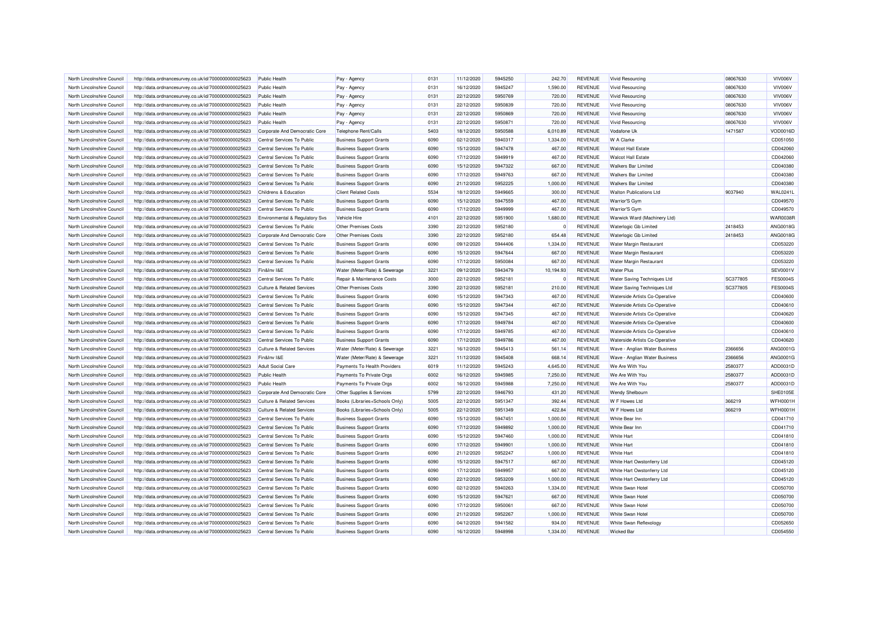| North Lincolnshire Council                               | http://data.ordnancesurvey.co.uk/id/7000000000025623                                                         | Public Health                                            | Pay - Agency                                                     | 0131 | 11/12/2020 | 5945250 | 242.70             | <b>REVENUE</b> | <b>Vivid Resourcing</b>                            | 08067630 | VIV006V         |
|----------------------------------------------------------|--------------------------------------------------------------------------------------------------------------|----------------------------------------------------------|------------------------------------------------------------------|------|------------|---------|--------------------|----------------|----------------------------------------------------|----------|-----------------|
| North Lincolnshire Council                               | http://data.ordnancesurvey.co.uk/id/7000000000025623                                                         | Public Health                                            | Pay - Agency                                                     | 0131 | 16/12/2020 | 5945247 | 1,590.00           | <b>REVENUE</b> | <b>Vivid Resourcing</b>                            | 08067630 | <b>VIV006V</b>  |
| North Lincolnshire Council                               | http://data.ordnancesurvey.co.uk/id/7000000000025623                                                         | <b>Public Health</b>                                     | Pay - Agency                                                     | 0131 | 22/12/2020 | 5950769 | 720.00             | <b>REVENUE</b> | Vivid Resourcing                                   | 08067630 | VIV006V         |
| North Lincolnshire Council                               | http://data.ordnancesurvey.co.uk/id/7000000000025623                                                         | <b>Public Health</b>                                     | Pay - Agency                                                     | 0131 | 22/12/2020 | 5950839 | 720.00             | <b>REVENUE</b> | Vivid Resourcing                                   | 08067630 | <b>VIV006V</b>  |
| North Lincolnshire Council                               | http://data.ordnancesurvey.co.uk/id/7000000000025623                                                         | <b>Public Health</b>                                     | Pay - Agency                                                     | 0131 | 22/12/2020 | 5950869 | 720.00             | <b>REVENUE</b> | Vivid Resourcing                                   | 08067630 | VIV006V         |
| North Lincolnshire Council                               | http://data.ordnancesurvey.co.uk/id/7000000000025623                                                         | Public Health                                            | Pay - Agency                                                     | 0131 | 22/12/2020 | 5950871 | 720.00             | <b>REVENUE</b> | <b>Vivid Resourcing</b>                            | 08067630 | VIV006V         |
| North Lincolnshire Council                               | http://data.ordnancesurvey.co.uk/id/7000000000025623                                                         | Corporate And Democratic Core                            | Telephone Rent/Calls                                             | 5403 | 18/12/2020 | 5950588 | 6,010.89           | <b>REVENUE</b> | Vodafone Uk                                        | 1471587  | <b>VOD0016D</b> |
| North Lincolnshire Council                               | http://data.ordnancesurvey.co.uk/id/7000000000025623                                                         | Central Services To Public                               | <b>Business Support Grants</b>                                   | 6090 | 02/12/2020 | 5940317 | 1,334.00           | <b>REVENUE</b> | <b>W</b> A Clarke                                  |          | CD051050        |
| North Lincolnshire Council                               | http://data.ordnancesurvey.co.uk/id/7000000000025623                                                         | Central Services To Public                               | <b>Business Support Grants</b>                                   | 6090 | 15/12/2020 | 5947478 | 467.00             | <b>REVENUE</b> | <b>Walcot Hall Estate</b>                          |          | CD042060        |
| North Lincolnshire Council                               | http://data.ordnancesurvey.co.uk/id/7000000000025623                                                         | Central Services To Public                               | <b>Business Support Grants</b>                                   | 6090 | 17/12/2020 | 5949919 | 467.00             | <b>REVENUE</b> | <b>Walcot Hall Estate</b>                          |          | CD042060        |
| North Lincolnshire Council                               | http://data.ordnancesurvey.co.uk/id/7000000000025623                                                         | Central Services To Public                               | <b>Business Support Grants</b>                                   | 6090 | 15/12/2020 | 5947322 | 667.00             | <b>REVENUE</b> | <b>Walkers Bar Limited</b>                         |          | CD040380        |
| North Lincolnshire Council                               | http://data.ordnancesurvey.co.uk/id/7000000000025623                                                         | Central Services To Public                               | <b>Business Support Grants</b>                                   | 6090 | 17/12/2020 | 5949763 | 667.00             | <b>REVENUE</b> | <b>Walkers Bar Limited</b>                         |          | CD040380        |
| North Lincolnshire Council                               | http://data.ordnancesurvey.co.uk/id/7000000000025623                                                         | Central Services To Public                               | <b>Business Support Grants</b>                                   | 6090 | 21/12/2020 | 5952225 | 1,000.00           | <b>REVENUE</b> | <b>Walkers Bar Limited</b>                         |          | CD040380        |
| North Lincolnshire Council                               | http://data.ordnancesurvey.co.uk/id/7000000000025623                                                         | Childrens & Education                                    | <b>Client Related Costs</b>                                      | 5534 | 18/12/2020 | 5949665 | 300.00             | <b>REVENUE</b> | <b>Walton Publications Ltd</b>                     | 9037940  | <b>WAL0241L</b> |
| North Lincolnshire Council                               | http://data.ordnancesurvey.co.uk/id/7000000000025623                                                         | Central Services To Public                               | <b>Business Support Grants</b>                                   | 6090 | 15/12/2020 | 5947559 | 467.00             | <b>REVENUE</b> | Warrior'S Gym                                      |          | CD049570        |
| North Lincolnshire Council                               | http://data.ordnancesurvey.co.uk/id/7000000000025623                                                         | Central Services To Public                               | <b>Business Support Grants</b>                                   | 6090 | 17/12/2020 | 5949999 | 467.00             | <b>REVENUE</b> | Warrior'S Gym                                      |          | CD049570        |
| North Lincolnshire Council                               | http://data.ordnancesurvey.co.uk/id/7000000000025623                                                         | Environmental & Regulatory Svs                           | Vehicle Hire                                                     | 4101 | 22/12/2020 | 5951900 | 1,680.00           | <b>REVENUE</b> | Warwick Ward (Machinery Ltd)                       |          | <b>WAR0038R</b> |
| North Lincolnshire Council                               | http://data.ordnancesurvey.co.uk/id/7000000000025623                                                         | Central Services To Public                               | <b>Other Premises Costs</b>                                      | 3390 | 22/12/2020 | 5952180 | $\Omega$           | <b>REVENUE</b> | Waterlogic Gb Limited                              | 2418453  | ANG0018G        |
| North Lincolnshire Council                               | http://data.ordnancesurvey.co.uk/id/7000000000025623                                                         | Corporate And Democratic Core                            | <b>Other Premises Costs</b>                                      | 3390 | 22/12/2020 | 5952180 | 654.48             | <b>REVENUE</b> | Waterlogic Gb Limited                              | 2418453  | <b>ANG0018G</b> |
|                                                          |                                                                                                              |                                                          |                                                                  | 6090 | 09/12/2020 | 5944406 |                    | <b>REVENUE</b> |                                                    |          | CD053220        |
| North Lincolnshire Council<br>North Lincolnshire Council | http://data.ordnancesurvey.co.uk/id/7000000000025623<br>http://data.ordnancesurvey.co.uk/id/7000000000025623 | Central Services To Public<br>Central Services To Public | <b>Business Support Grants</b><br><b>Business Support Grants</b> | 6090 | 15/12/2020 | 5947644 | 1,334.00<br>667.00 | <b>REVENUE</b> | Water Margin Restaurant<br>Water Margin Restaurant |          | CD053220        |
| North Lincolnshire Council                               | http://data.ordnancesurvey.co.uk/id/7000000000025623                                                         | Central Services To Public                               | <b>Business Support Grants</b>                                   | 6090 | 17/12/2020 | 5950084 | 667.00             | <b>REVENUE</b> | Water Margin Restaurant                            |          | CD053220        |
|                                                          |                                                                                                              | Fin&Inv I&E                                              |                                                                  | 3221 | 09/12/2020 | 5943479 |                    | <b>REVENUE</b> | <b>Water Plus</b>                                  |          | SEV0001\        |
| North Lincolnshire Council                               | http://data.ordnancesurvey.co.uk/id/7000000000025623                                                         |                                                          | Water (Meter/Rate) & Sewerage                                    |      |            |         | 10,194.93          |                |                                                    |          |                 |
| North Lincolnshire Council                               | http://data.ordnancesurvey.co.uk/id/7000000000025623                                                         | Central Services To Public                               | Repair & Maintenance Costs                                       | 3000 | 22/12/2020 | 5952181 | $\Omega$           | <b>REVENUE</b> | Water Saving Techniques Ltd                        | SC377805 | <b>FES0004S</b> |
| North Lincolnshire Council                               | http://data.ordnancesurvey.co.uk/id/7000000000025623                                                         | <b>Culture &amp; Related Services</b>                    | <b>Other Premises Costs</b>                                      | 3390 | 22/12/2020 | 5952181 | 210.00             | <b>REVENUE</b> | Water Saving Techniques Ltd                        | SC377805 | <b>FES0004S</b> |
| North Lincolnshire Council                               | http://data.ordnancesurvey.co.uk/id/7000000000025623                                                         | Central Services To Public                               | <b>Business Support Grants</b>                                   | 6090 | 15/12/2020 | 5947343 | 467.00             | <b>REVENUE</b> | Waterside Artists Co-Operative                     |          | CD040600        |
| North Lincolnshire Council                               | http://data.ordnancesurvey.co.uk/id/7000000000025623                                                         | Central Services To Public                               | <b>Business Support Grants</b>                                   | 6090 | 15/12/2020 | 5947344 | 467.00             | <b>REVENUE</b> | Waterside Artists Co-Operative                     |          | CD040610        |
| North Lincolnshire Council                               | http://data.ordnancesurvey.co.uk/id/7000000000025623                                                         | Central Services To Public                               | <b>Business Support Grants</b>                                   | 6090 | 15/12/2020 | 5947345 | 467.00             | <b>REVENUE</b> | Waterside Artists Co-Operative                     |          | CD040620        |
| North Lincolnshire Council                               | http://data.ordnancesurvey.co.uk/id/7000000000025623                                                         | Central Services To Public                               | <b>Business Support Grants</b>                                   | 6090 | 17/12/2020 | 5949784 | 467.00             | <b>REVENUE</b> | Waterside Artists Co-Operative                     |          | CD040600        |
| North Lincolnshire Council                               | http://data.ordnancesurvey.co.uk/id/7000000000025623                                                         | Central Services To Public                               | <b>Business Support Grants</b>                                   | 6090 | 17/12/2020 | 5949785 | 467.00             | <b>REVENUE</b> | Waterside Artists Co-Operative                     |          | CD040610        |
| North Lincolnshire Council                               | http://data.ordnancesurvey.co.uk/id/7000000000025623                                                         | Central Services To Public                               | <b>Business Support Grants</b>                                   | 6090 | 17/12/2020 | 5949786 | 467.00             | <b>REVENUE</b> | Waterside Artists Co-Operative                     |          | CD040620        |
| North Lincolnshire Council                               | http://data.ordnancesurvey.co.uk/id/7000000000025623                                                         | <b>Culture &amp; Related Services</b>                    | Water (Meter/Rate) & Sewerage                                    | 3221 | 16/12/2020 | 5945413 | 561.14             | <b>REVENUE</b> | Wave - Anglian Water Business                      | 2366656  | ANG0001G        |
| North Lincolnshire Council                               | http://data.ordnancesurvey.co.uk/id/7000000000025623                                                         | Fin&Inv I&E                                              | Water (Meter/Rate) & Sewerage                                    | 3221 | 11/12/2020 | 5945408 | 668.14             | <b>REVENUE</b> | Wave - Anglian Water Business                      | 2366656  | ANG0001G        |
| North Lincolnshire Council                               | http://data.ordnancesurvey.co.uk/id/7000000000025623                                                         | <b>Adult Social Care</b>                                 | Payments To Health Providers                                     | 6019 | 11/12/2020 | 5945243 | 4,645.00           | <b>REVENUE</b> | We Are With You                                    | 2580377  | ADD0031D        |
| North Lincolnshire Council                               | http://data.ordnancesurvey.co.uk/id/7000000000025623                                                         | <b>Public Health</b>                                     | Payments To Private Orgs                                         | 6002 | 16/12/2020 | 5945985 | 7,250.00           | <b>REVENUE</b> | We Are With You                                    | 2580377  | ADD0031D        |
| North Lincolnshire Council                               | http://data.ordnancesurvey.co.uk/id/7000000000025623                                                         | <b>Public Health</b>                                     | Payments To Private Orgs                                         | 6002 | 16/12/2020 | 5945988 | 7,250.00           | <b>REVENUE</b> | We Are With You                                    | 2580377  | ADD0031D        |
| North Lincolnshire Council                               | http://data.ordnancesurvey.co.uk/id/7000000000025623                                                         | Corporate And Democratic Core                            | Other Supplies & Services                                        | 5799 | 22/12/2020 | 5946793 | 431.20             | <b>REVENUE</b> | <b>Wendy Shelbourr</b>                             |          | SHE0105E        |
| North Lincolnshire Council                               | http://data.ordnancesurvey.co.uk/id/7000000000025623                                                         | <b>Culture &amp; Related Services</b>                    | Books (Libraries+Schools Only)                                   | 5005 | 22/12/2020 | 5951347 | 392.44             | <b>REVENUE</b> | W F Howes Ltd                                      | 366219   | WFH0001H        |
| North Lincolnshire Council                               | http://data.ordnancesurvey.co.uk/id/7000000000025623                                                         | <b>Culture &amp; Related Services</b>                    | Books (Libraries+Schools Only)                                   | 5005 | 22/12/2020 | 5951349 | 422.84             | <b>REVENUE</b> | W F Howes Ltd                                      | 366219   | WFH0001H        |
| North Lincolnshire Council                               | http://data.ordnancesurvey.co.uk/id/7000000000025623                                                         | Central Services To Public                               | <b>Business Support Grants</b>                                   | 6090 | 15/12/2020 | 5947451 | 1,000.00           | <b>REVENUE</b> | White Bear Inn                                     |          | CD041710        |
| North Lincolnshire Council                               | http://data.ordnancesurvey.co.uk/id/7000000000025623                                                         | Central Services To Public                               | <b>Business Support Grants</b>                                   | 6090 | 17/12/2020 | 5949892 | 1,000.00           | <b>REVENUE</b> | White Bear Inn                                     |          | CD041710        |
| North Lincolnshire Council                               | http://data.ordnancesurvey.co.uk/id/7000000000025623                                                         | Central Services To Public                               | <b>Business Support Grants</b>                                   | 6090 | 15/12/2020 | 5947460 | 1,000.00           | <b>REVENUE</b> | <b>White Hart</b>                                  |          | CD041810        |
| North Lincolnshire Council                               | http://data.ordnancesurvey.co.uk/id/7000000000025623                                                         | Central Services To Public                               | <b>Business Support Grants</b>                                   | 6090 | 17/12/2020 | 5949901 | 1,000.00           | <b>REVENUE</b> | <b>White Hart</b>                                  |          | CD041810        |
| North Lincolnshire Council                               | http://data.ordnancesurvey.co.uk/id/7000000000025623                                                         | Central Services To Public                               | <b>Business Support Grants</b>                                   | 6090 | 21/12/2020 | 5952247 | 1.000.00           | <b>REVENUE</b> | <b>White Hart</b>                                  |          | CD041810        |
| North Lincolnshire Council                               | http://data.ordnancesurvey.co.uk/id/7000000000025623                                                         | Central Services To Public                               | <b>Business Support Grants</b>                                   | 6090 | 15/12/2020 | 5947517 | 667.00             | <b>REVENUE</b> | White Hart Owstonferry Ltd                         |          | CD045120        |
| North Lincolnshire Council                               | http://data.ordnancesurvey.co.uk/id/7000000000025623                                                         | Central Services To Public                               | <b>Business Support Grants</b>                                   | 6090 | 17/12/2020 | 5949957 | 667.00             | <b>REVENUE</b> | White Hart Owstonferry Ltd                         |          | CD045120        |
| North Lincolnshire Council                               | http://data.ordnancesurvey.co.uk/id/7000000000025623                                                         | Central Services To Public                               | <b>Business Support Grants</b>                                   | 6090 | 22/12/2020 | 5953209 | 1,000.00           | <b>REVENUE</b> | White Hart Owstonferry Ltd                         |          | CD045120        |
| North Lincolnshire Council                               | http://data.ordnancesurvey.co.uk/id/7000000000025623                                                         | Central Services To Public                               | <b>Business Support Grants</b>                                   | 6090 | 02/12/2020 | 5940263 | 1,334.00           | <b>REVENUE</b> | White Swan Hotel                                   |          | CD050700        |
| North Lincolnshire Council                               | http://data.ordnancesurvey.co.uk/id/7000000000025623                                                         | Central Services To Public                               | <b>Business Support Grants</b>                                   | 6090 | 15/12/2020 | 5947621 | 667.00             | <b>REVENUE</b> | <b>White Swan Hotel</b>                            |          | CD050700        |
| North Lincolnshire Council                               | http://data.ordnancesurvey.co.uk/id/7000000000025623                                                         | Central Services To Public                               | <b>Business Support Grants</b>                                   | 6090 | 17/12/2020 | 5950061 | 667.00             | <b>REVENUE</b> | White Swan Hotel                                   |          | CD050700        |
| North Lincolnshire Council                               | http://data.ordnancesurvey.co.uk/id/7000000000025623                                                         | Central Services To Public                               | <b>Business Support Grants</b>                                   | 6090 | 21/12/2020 | 5952267 | 1,000.00           | <b>REVENUE</b> | White Swan Hotel                                   |          | CD050700        |
| North Lincolnshire Council                               | http://data.ordnancesurvey.co.uk/id/7000000000025623                                                         | Central Services To Public                               | <b>Business Support Grants</b>                                   | 6090 | 04/12/2020 | 5941582 | 934.00             | <b>REVENUE</b> | White Swan Reflexology                             |          | CD052650        |
| North Lincolnshire Council                               | http://data.ordnancesurvey.co.uk/id/7000000000025623                                                         | Central Services To Public                               | <b>Business Support Grants</b>                                   | 6090 | 16/12/2020 | 5948998 | 1,334.00           | <b>REVENUE</b> | <b>Wicked Bar</b>                                  |          | CD054550        |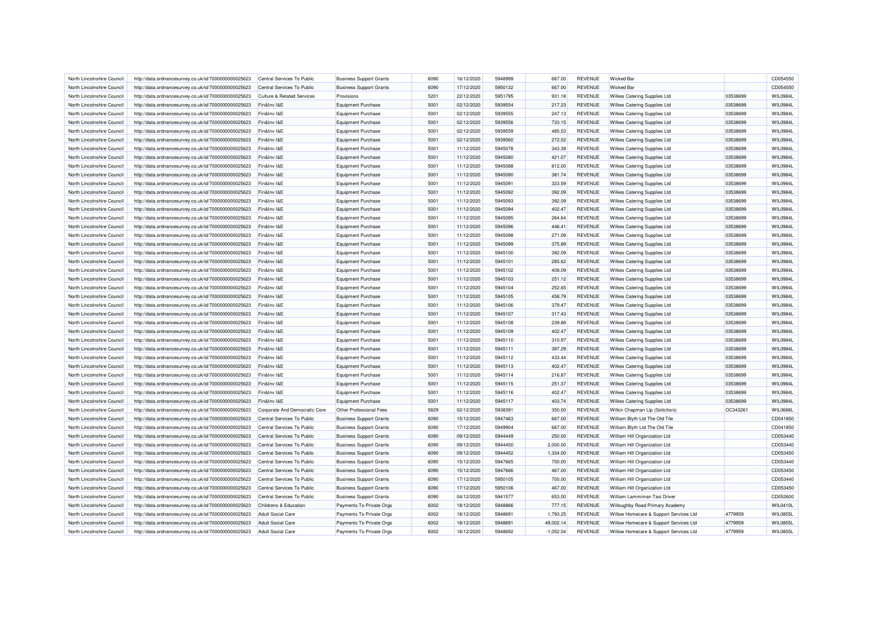| North Lincolnshire Council | http://data.ordnancesurvey.co.uk/id/7000000000025623 | Central Services To Public    | <b>Business Support Grants</b> | 6090 | 16/12/2020 | 5948999 | 667.00      | <b>REVENUE</b> | <b>Wicked Bar</b>                      |          | CD054550        |
|----------------------------|------------------------------------------------------|-------------------------------|--------------------------------|------|------------|---------|-------------|----------------|----------------------------------------|----------|-----------------|
| North Lincolnshire Council | http://data.ordnancesurvey.co.uk/id/7000000000025623 | Central Services To Public    | <b>Business Support Grants</b> | 6090 | 17/12/2020 | 5950132 | 667.00      | <b>REVENUE</b> | <b>Wicked Bar</b>                      |          | CD054550        |
| North Lincolnshire Council | http://data.ordnancesurvey.co.uk/id/7000000000025623 | Culture & Related Services    | Provisions                     | 5201 | 22/12/2020 | 5951795 | 931.18      | <b>REVENUE</b> | Wilkes Catering Supplies Ltd           | 03538699 | WIL0984L        |
| North Lincolnshire Council | http://data.ordnancesurvey.co.uk/id/7000000000025623 | Fin&Inv I&E                   | Equipment Purchase             | 5001 | 02/12/2020 | 5939554 | 217.23      | <b>REVENUE</b> | Wilkes Catering Supplies Ltd           | 03538699 | WIL0984L        |
| North Lincolnshire Council | http://data.ordnancesurvey.co.uk/id/7000000000025623 | Fin&Inv I&E                   | Equipment Purchase             | 5001 | 02/12/2020 | 5939555 | 247.13      | <b>REVENUE</b> | Wilkes Catering Supplies Ltd           | 03538699 | WIL0984L        |
| North Lincolnshire Council | http://data.ordnancesurvey.co.uk/id/7000000000025623 | Fin&Inv I&E                   | Equipment Purchase             | 5001 | 02/12/2020 | 5939556 | 733.15      | <b>REVENUE</b> | Wilkes Catering Supplies Ltd           | 03538699 | WIL0984L        |
| North Lincolnshire Council | http://data.ordnancesurvey.co.uk/id/7000000000025623 | Fin&Inv I&E                   | <b>Equipment Purchase</b>      | 5001 | 02/12/2020 | 5939559 | 485.53      | <b>REVENUE</b> | Wilkes Catering Supplies Ltd           | 03538699 | WIL0984L        |
| North Lincolnshire Council | http://data.ordnancesurvey.co.uk/id/7000000000025623 | Fin&Inv I&E                   | <b>Equipment Purchase</b>      | 5001 | 02/12/2020 | 5939560 | 272.02      | <b>REVENUE</b> | Wilkes Catering Supplies Ltd           | 03538699 | WIL0984L        |
| North Lincolnshire Council | http://data.ordnancesurvey.co.uk/id/7000000000025623 | Fin&Inv I&E                   | <b>Equipment Purchase</b>      | 5001 | 11/12/2020 | 5945078 | 343.39      | <b>REVENUE</b> | Wilkes Catering Supplies Ltd           | 03538699 | WIL0984L        |
| North Lincolnshire Council | http://data.ordnancesurvey.co.uk/id/7000000000025623 | Fin&Inv I&E                   | Equipment Purchase             | 5001 | 11/12/2020 | 5945080 | 421.07      | <b>REVENUE</b> | Wilkes Catering Supplies Ltd           | 03538699 | WIL0984L        |
| North Lincolnshire Council | http://data.ordnancesurvey.co.uk/id/7000000000025623 | Fin&Inv I&E                   | Equipment Purchase             | 5001 | 11/12/2020 | 5945088 | 812.00      | <b>REVENUE</b> | Wilkes Catering Supplies Ltd           | 03538699 | WIL0984L        |
| North Lincolnshire Council | http://data.ordnancesurvey.co.uk/id/7000000000025623 | Fin&Inv I&E                   | Equipment Purchase             | 5001 | 11/12/2020 | 5945090 | 381.74      | <b>REVENUE</b> | Wilkes Catering Supplies Ltd           | 03538699 | WIL0984L        |
| North Lincolnshire Council | http://data.ordnancesurvey.co.uk/id/7000000000025623 | Fin&Inv I&E                   | Equipment Purchase             | 5001 | 11/12/2020 | 5945091 | 323.59      | <b>REVENUE</b> | Wilkes Catering Supplies Ltd           | 03538699 | WIL0984L        |
| North Lincolnshire Council | http://data.ordnancesurvey.co.uk/id/7000000000025623 | Fin&Inv I&E                   | <b>Equipment Purchase</b>      | 5001 | 11/12/2020 | 5945092 | 392.09      | <b>REVENUE</b> | Wilkes Catering Supplies Ltd           | 03538699 | WIL0984L        |
| North Lincolnshire Council | http://data.ordnancesurvey.co.uk/id/7000000000025623 | Fin&Inv I&E                   | <b>Equipment Purchase</b>      | 5001 | 11/12/2020 | 5945093 | 392.09      | <b>REVENUE</b> | Wilkes Catering Supplies Ltd           | 03538699 | WIL0984L        |
| North Lincolnshire Council | http://data.ordnancesurvey.co.uk/id/7000000000025623 | Fin&Inv I&E                   | Equipment Purchase             | 5001 | 11/12/2020 | 5945094 | 402.47      | <b>REVENUE</b> | Wilkes Catering Supplies Ltd           | 03538699 | WIL0984L        |
|                            |                                                      | Fin&Inv I&E                   |                                | 5001 |            | 5945095 | 264.64      | <b>REVENUE</b> |                                        | 03538699 | WIL0984L        |
| North Lincolnshire Council | http://data.ordnancesurvey.co.uk/id/7000000000025623 |                               | Equipment Purchase             |      | 11/12/2020 |         |             |                | Wilkes Catering Supplies Ltd           |          |                 |
| North Lincolnshire Council | http://data.ordnancesurvey.co.uk/id/7000000000025623 | Fin&Inv I&E                   | <b>Equipment Purchase</b>      | 5001 | 11/12/2020 | 5945096 | 446.41      | <b>REVENUE</b> | Wilkes Catering Supplies Ltd           | 03538699 | WIL0984L        |
| North Lincolnshire Council | http://data.ordnancesurvey.co.uk/id/7000000000025623 | Fin&Inv I&E                   | Equipment Purchase             | 5001 | 11/12/2020 | 5945098 | 271.09      | <b>REVENUE</b> | Wilkes Catering Supplies Ltd           | 03538699 | WIL0984L        |
| North Lincolnshire Council | http://data.ordnancesurvey.co.uk/id/7000000000025623 | Fin&Inv I&E                   | <b>Equipment Purchase</b>      | 5001 | 11/12/2020 | 5945099 | 375.89      | <b>REVENUE</b> | Wilkes Catering Supplies Ltd           | 03538699 | WIL0984L        |
| North Lincolnshire Council | http://data.ordnancesurvey.co.uk/id/7000000000025623 | Fin&Inv I&E                   | <b>Equipment Purchase</b>      | 5001 | 11/12/2020 | 5945100 | 392.09      | <b>REVENUE</b> | Wilkes Catering Supplies Ltd           | 03538699 | WIL0984L        |
| North Lincolnshire Council | http://data.ordnancesurvey.co.uk/id/7000000000025623 | Fin&Inv I&E                   | Equipment Purchase             | 5001 | 11/12/2020 | 5945101 | 285.62      | <b>REVENUE</b> | Wilkes Catering Supplies Ltd           | 03538699 | WIL0984L        |
| North Lincolnshire Council | http://data.ordnancesurvey.co.uk/id/7000000000025623 | Fin&Inv I&E                   | <b>Equipment Purchase</b>      | 5001 | 11/12/2020 | 5945102 | 408.09      | <b>REVENUE</b> | Wilkes Catering Supplies Ltd           | 03538699 | WIL0984L        |
| North Lincolnshire Council | http://data.ordnancesurvey.co.uk/id/7000000000025623 | Fin&Inv I&E                   | <b>Equipment Purchase</b>      | 5001 | 11/12/2020 | 5945103 | 251.12      | <b>REVENUE</b> | Wilkes Catering Supplies Ltd           | 03538699 | WIL0984L        |
| North Lincolnshire Council | http://data.ordnancesurvey.co.uk/id/7000000000025623 | Fin&Inv I&E                   | <b>Equipment Purchase</b>      | 5001 | 11/12/2020 | 5945104 | 252.65      | <b>REVENUE</b> | Wilkes Catering Supplies Ltd           | 03538699 | WIL0984L        |
| North Lincolnshire Council | http://data.ordnancesurvey.co.uk/id/7000000000025623 | Fin&Inv I&E                   | Equipment Purchase             | 5001 | 11/12/2020 | 5945105 | 458.79      | <b>REVENUE</b> | Wilkes Catering Supplies Ltd           | 03538699 | WIL0984L        |
| North Lincolnshire Council | http://data.ordnancesurvey.co.uk/id/7000000000025623 | Fin&Inv I&E                   | <b>Equipment Purchase</b>      | 5001 | 11/12/2020 | 5945106 | 379.47      | <b>REVENUE</b> | Wilkes Catering Supplies Ltd           | 03538699 | WIL0984L        |
| North Lincolnshire Council | http://data.ordnancesurvey.co.uk/id/7000000000025623 | Fin&Inv I&E                   | Equipment Purchase             | 5001 | 11/12/2020 | 5945107 | 317.43      | <b>REVENUE</b> | Wilkes Catering Supplies Ltd           | 03538699 | WIL0984L        |
| North Lincolnshire Council | http://data.ordnancesurvey.co.uk/id/7000000000025623 | Fin&Inv I&E                   | <b>Equipment Purchase</b>      | 5001 | 11/12/2020 | 5945108 | 239.88      | <b>REVENUE</b> | Wilkes Catering Supplies Ltd           | 03538699 | WIL0984L        |
| North Lincolnshire Council | http://data.ordnancesurvey.co.uk/id/7000000000025623 | Fin&Inv I&E                   | <b>Equipment Purchase</b>      | 5001 | 11/12/2020 | 5945109 | 402.47      | <b>REVENUE</b> | Wilkes Catering Supplies Ltd           | 03538699 | WIL0984L        |
| North Lincolnshire Council | http://data.ordnancesurvey.co.uk/id/7000000000025623 | Fin&Inv I&E                   | Equipment Purchase             | 5001 | 11/12/2020 | 5945110 | 310.97      | <b>REVENUE</b> | Wilkes Catering Supplies Ltd           | 03538699 | WIL0984L        |
| North Lincolnshire Council | http://data.ordnancesurvey.co.uk/id/7000000000025623 | Fin&Inv I&E                   | Equipment Purchase             | 5001 | 11/12/2020 | 5945111 | 397.29      | <b>REVENUE</b> | Wilkes Catering Supplies Ltd           | 03538699 | WIL0984L        |
| North Lincolnshire Council | http://data.ordnancesurvey.co.uk/id/7000000000025623 | Fin&Inv I&E                   | <b>Equipment Purchase</b>      | 5001 | 11/12/2020 | 5945112 | 433.44      | <b>REVENUE</b> | Wilkes Catering Supplies Ltd           | 03538699 | WIL0984L        |
| North Lincolnshire Council | http://data.ordnancesurvey.co.uk/id/7000000000025623 | Fin&Inv I&E                   | Equipment Purchase             | 5001 | 11/12/2020 | 5945113 | 402.47      | <b>REVENUE</b> | Wilkes Catering Supplies Ltd           | 03538699 | WIL0984L        |
| North Lincolnshire Council | http://data.ordnancesurvey.co.uk/id/7000000000025623 | Fin&Inv I&E                   | Equipment Purchase             | 5001 | 11/12/2020 | 5945114 | 216.87      | <b>REVENUE</b> | Wilkes Catering Supplies Ltd           | 03538699 | WIL0984L        |
| North Lincolnshire Council | http://data.ordnancesurvey.co.uk/id/7000000000025623 | Fin&Inv I&E                   | Equipment Purchase             | 5001 | 11/12/2020 | 5945115 | 251.37      | <b>REVENUE</b> | Wilkes Catering Supplies Ltd           | 03538699 | WIL0984L        |
| North Lincolnshire Council | http://data.ordnancesurvey.co.uk/id/7000000000025623 | Fin&Inv I&E                   | Equipment Purchase             | 5001 | 11/12/2020 | 5945116 | 402.47      | <b>REVENUE</b> | Wilkes Catering Supplies Ltd           | 03538699 | WIL0984L        |
| North Lincolnshire Council | http://data.ordnancesurvey.co.uk/id/7000000000025623 | Fin&Inv I&E                   | <b>Equipment Purchase</b>      | 5001 | 11/12/2020 | 5945117 | 403.74      | <b>REVENUE</b> | Wilkes Catering Supplies Ltd           | 03538699 | WIL0984L        |
| North Lincolnshire Council | http://data.ordnancesurvey.co.uk/id/7000000000025623 | Corporate And Democratic Core | Other Professional Fees        | 5829 | 02/12/2020 | 5938391 | 350.00      | <b>REVENUE</b> | Wilkin Chapman Llp (Solicitors)        | OC343261 | <b>WIL0688L</b> |
| North Lincolnshire Council | http://data.ordnancesurvey.co.uk/id/7000000000025623 | Central Services To Public    | <b>Business Support Grants</b> | 6090 | 15/12/2020 | 5947463 | 667.00      | <b>REVENUE</b> | William Blyth Ltd The Old Tile         |          | CD041850        |
| North Lincolnshire Council | http://data.ordnancesurvey.co.uk/id/7000000000025623 | Central Services To Public    | <b>Business Support Grants</b> | 6090 | 17/12/2020 | 5949904 | 667.00      | <b>REVENUE</b> | William Blyth Ltd The Old Tile         |          | CD041850        |
| North Lincolnshire Council | http://data.ordnancesurvey.co.uk/id/7000000000025623 | Central Services To Public    | <b>Business Support Grants</b> | 6090 | 09/12/2020 | 5944449 | 250.00      | <b>REVENUE</b> | William Hill Organization Ltd          |          | CD053440        |
| North Lincolnshire Council | http://data.ordnancesurvey.co.uk/id/7000000000025623 | Central Services To Public    | <b>Business Support Grants</b> | 6090 | 09/12/2020 | 5944450 | 2,000.00    | <b>REVENUE</b> | William Hill Organization Ltd          |          | CD053440        |
| North Lincolnshire Council | http://data.ordnancesurvey.co.uk/id/7000000000025623 | Central Services To Public    | <b>Business Support Grants</b> | 6090 | 09/12/2020 | 5944452 | 1,334.00    | <b>REVENUE</b> | William Hill Organization Ltd          |          | CD053450        |
| North Lincolnshire Council | http://data.ordnancesurvey.co.uk/id/7000000000025623 | Central Services To Public    | <b>Business Support Grants</b> | 6090 | 15/12/2020 | 5947665 | 700.00      | <b>REVENUE</b> | William Hill Organization Ltd          |          | CD053440        |
| North Lincolnshire Council | http://data.ordnancesurvey.co.uk/id/7000000000025623 | Central Services To Public    | <b>Business Support Grants</b> | 6090 | 15/12/2020 | 5947666 | 467.00      | <b>REVENUE</b> | William Hill Organization Ltd          |          | CD053450        |
| North Lincolnshire Council | http://data.ordnancesurvey.co.uk/id/7000000000025623 | Central Services To Public    | <b>Business Support Grants</b> | 6090 | 17/12/2020 | 5950105 | 700.00      | <b>REVENUE</b> | William Hill Organization Ltd          |          | CD053440        |
| North Lincolnshire Council | http://data.ordnancesurvey.co.uk/id/7000000000025623 | Central Services To Public    | <b>Business Support Grants</b> | 6090 | 17/12/2020 | 5950106 | 467.00      | <b>REVENUE</b> | William Hill Organization Ltd          |          | CD053450        |
| North Lincolnshire Council | http://data.ordnancesurvey.co.uk/id/7000000000025623 | Central Services To Public    | <b>Business Support Grants</b> | 6090 | 04/12/2020 | 5941577 | 653.00      | <b>REVENUE</b> | William Lammiman Taxi Driver           |          | CD052600        |
| North Lincolnshire Council | http://data.ordnancesurvey.co.uk/id/7000000000025623 | Childrens & Education         | Payments To Private Orgs       | 6002 | 18/12/2020 | 5948866 | 777.15      | <b>REVENUE</b> | Willoughby Road Primary Academy        |          | <b>WIL0410L</b> |
| North Lincolnshire Council | http://data.ordnancesurvey.co.uk/id/7000000000025623 | <b>Adult Social Care</b>      | Payments To Private Orgs       | 6002 | 18/12/2020 | 5948691 | 1,793.25    | <b>REVENUE</b> | Willow Homecare & Support Services Ltd | 4779959  | <b>WIL0855L</b> |
| North Lincolnshire Council | http://data.ordnancesurvey.co.uk/id/7000000000025623 | <b>Adult Social Care</b>      | Payments To Private Orgs       | 6002 | 18/12/2020 | 5948691 | 49,002.14   | <b>REVENUE</b> | Willow Homecare & Support Services Ltd | 4779959  | <b>WIL0855L</b> |
| North Lincolnshire Council | http://data.ordnancesurvey.co.uk/id/7000000000025623 | <b>Adult Social Care</b>      | Payments To Private Orgs       | 6002 | 18/12/2020 | 5948692 | $-1,052.04$ | <b>REVENUE</b> | Willow Homecare & Support Services Ltd | 4779959  | WIL0855L        |
|                            |                                                      |                               |                                |      |            |         |             |                |                                        |          |                 |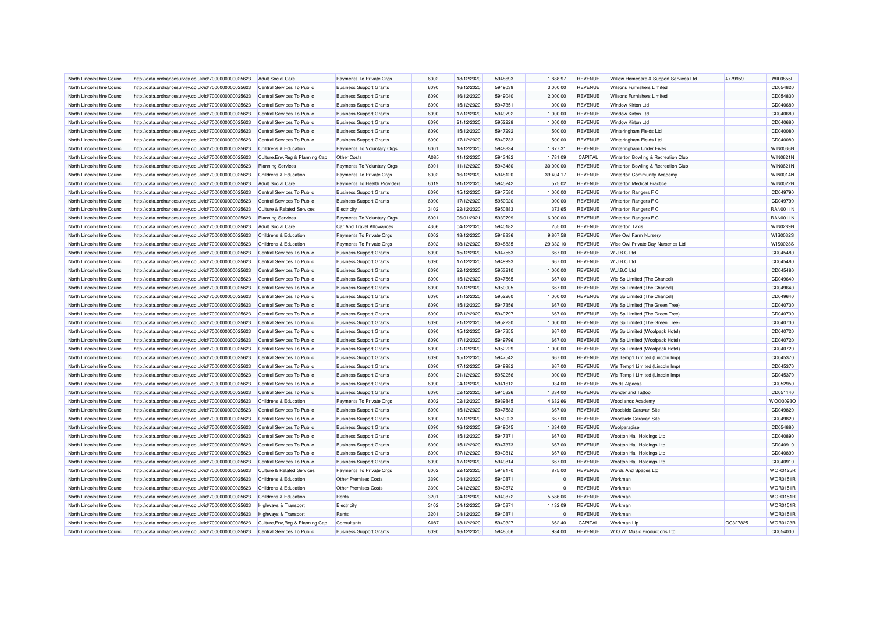| North Lincolnshire Council                               | http://data.ordnancesurvey.co.uk/id/7000000000025623                                                         | <b>Adult Social Care</b>                                 | Payments To Private Orgs                                         | 6002 | 18/12/2020               | 5948693            | 1.888.97         | <b>REVENUE</b>                   | Willow Homecare & Support Services Ltd                             | 4779959  | WIL0855L             |
|----------------------------------------------------------|--------------------------------------------------------------------------------------------------------------|----------------------------------------------------------|------------------------------------------------------------------|------|--------------------------|--------------------|------------------|----------------------------------|--------------------------------------------------------------------|----------|----------------------|
| North Lincolnshire Council                               | http://data.ordnancesurvey.co.uk/id/7000000000025623                                                         | Central Services To Public                               | <b>Business Support Grants</b>                                   | 6090 | 16/12/2020               | 5949039            | 3,000.00         | <b>REVENUE</b>                   | Wilsons Furnishers Limited                                         |          | CD054820             |
| North Lincolnshire Council                               | http://data.ordnancesurvey.co.uk/id/7000000000025623                                                         | Central Services To Public                               | <b>Business Support Grants</b>                                   | 6090 | 16/12/2020               | 5949040            | 2.000.00         | <b>REVENUE</b>                   | <b>Wilsons Furnishers Limited</b>                                  |          | CD054830             |
| North Lincolnshire Council                               | http://data.ordnancesurvey.co.uk/id/7000000000025623                                                         | Central Services To Public                               | <b>Business Support Grants</b>                                   | 6090 | 15/12/2020               | 5947351            | 1,000.00         | <b>REVENUE</b>                   | Window Kirton Ltd                                                  |          | CD040680             |
| North Lincolnshire Council                               | http://data.ordnancesurvey.co.uk/id/7000000000025623                                                         | Central Services To Public                               | <b>Business Support Grants</b>                                   | 6090 | 17/12/2020               | 5949792            | 1,000.00         | <b>REVENUE</b>                   | Window Kirton Ltd                                                  |          | CD040680             |
| North Lincolnshire Council                               | http://data.ordnancesurvey.co.uk/id/7000000000025623                                                         | Central Services To Public                               | <b>Business Support Grants</b>                                   | 6090 | 21/12/2020               | 5952228            | 1,000.00         | <b>REVENUE</b>                   | Window Kirton Ltd                                                  |          | CD040680             |
| North Lincolnshire Council                               | http://data.ordnancesurvey.co.uk/id/7000000000025623                                                         | Central Services To Public                               | <b>Business Support Grants</b>                                   | 6090 | 15/12/2020               | 5947292            | 1,500.00         | <b>REVENUE</b>                   | Winteringham Fields Ltd                                            |          | CD040080             |
| North Lincolnshire Council                               | http://data.ordnancesurvey.co.uk/id/7000000000025623                                                         | Central Services To Public                               | <b>Business Support Grants</b>                                   | 6090 | 17/12/2020               | 5949733            | 1,500.00         | <b>REVENUE</b>                   | Winteringham Fields Ltd                                            |          | CD040080             |
| North Lincolnshire Council                               | http://data.ordnancesurvey.co.uk/id/7000000000025623                                                         | Childrens & Education                                    | Payments To Voluntary Orgs                                       | 6001 | 18/12/2020               | 5948834            | 1,877.31         | <b>REVENUE</b>                   | Winteringham Under Fives                                           |          | WIN0036N             |
| North Lincolnshire Council                               | http://data.ordnancesurvey.co.uk/id/7000000000025623                                                         | Culture, Env, Reg & Planning Cap                         | Other Costs                                                      | A085 | 11/12/2020               | 5943482            | 1,781.09         | <b>CAPITAL</b>                   | Winterton Bowling & Recreation Club                                |          | WIN0621N             |
| North Lincolnshire Council                               | http://data.ordnancesurvey.co.uk/id/7000000000025623                                                         | <b>Planning Services</b>                                 | Payments To Voluntary Orgs                                       | 6001 | 11/12/2020               | 5943480            | 30,000.00        | <b>REVENUE</b>                   | Winterton Bowling & Recreation Club                                |          | WIN0621N             |
| North Lincolnshire Council                               | http://data.ordnancesurvey.co.uk/id/7000000000025623                                                         | Childrens & Education                                    | Payments To Private Orgs                                         | 6002 | 16/12/2020               | 5948120            | 39,404.17        | <b>REVENUE</b>                   | Winterton Community Academy                                        |          | <b>WIN0014N</b>      |
| North Lincolnshire Council                               | http://data.ordnancesurvey.co.uk/id/7000000000025623                                                         | <b>Adult Social Care</b>                                 | Payments To Health Providers                                     | 6019 | 11/12/2020               | 5945242            | 575.02           | REVENUE                          | Winterton Medical Practice                                         |          | <b>WIN0022N</b>      |
| North Lincolnshire Council                               | http://data.ordnancesurvey.co.uk/id/7000000000025623                                                         | Central Services To Public                               | <b>Business Support Grants</b>                                   | 6090 | 15/12/2020               | 5947580            | 1,000.00         | <b>REVENUE</b>                   | Winterton Rangers F C                                              |          | CD049790             |
| North Lincolnshire Council                               | http://data.ordnancesurvey.co.uk/id/7000000000025623                                                         | Central Services To Public                               | <b>Business Support Grants</b>                                   | 6090 | 17/12/2020               | 5950020            | 1,000.00         | <b>REVENUE</b>                   | Winterton Rangers F C                                              |          | CD049790             |
| North Lincolnshire Council                               | http://data.ordnancesurvey.co.uk/id/7000000000025623                                                         | <b>Culture &amp; Related Services</b>                    | Electricity                                                      | 3102 | 22/12/2020               | 5950883            | 373.65           | <b>REVENUE</b>                   | Winterton Rangers F C                                              |          | RAN0011N             |
| North Lincolnshire Council                               | http://data.ordnancesurvey.co.uk/id/7000000000025623                                                         | <b>Planning Services</b>                                 | Payments To Voluntary Orgs                                       | 6001 | 06/01/2021               | 5939799            | 6,000.00         | <b>REVENUE</b>                   | Winterton Rangers F C                                              |          | <b>RAN0011N</b>      |
| North Lincolnshire Council                               | http://data.ordnancesurvey.co.uk/id/7000000000025623                                                         | <b>Adult Social Care</b>                                 | Car And Travel Allowances                                        | 4306 | 04/12/2020               | 5940182            | 255.00           | <b>REVENUE</b>                   | <b>Winterton Taxis</b>                                             |          | WIN0289N             |
| North Lincolnshire Council                               | http://data.ordnancesurvey.co.uk/id/7000000000025623                                                         | Childrens & Education                                    | Payments To Private Orgs                                         | 6002 | 18/12/2020               | 5948836            | 9,807.58         | <b>REVENUE</b>                   | Wise Owl Farm Nursery                                              |          | WIS0032S             |
| North Lincolnshire Council                               | http://data.ordnancesurvey.co.uk/id/7000000000025623                                                         | Childrens & Education                                    | Payments To Private Orgs                                         | 6002 | 18/12/2020               | 5948835            | 29,332.10        | <b>REVENUE</b>                   | Wise Owl Private Day Nurseries Ltd                                 |          | WIS0028S             |
| North Lincolnshire Council                               | http://data.ordnancesurvey.co.uk/id/7000000000025623                                                         | Central Services To Public                               | <b>Business Support Grants</b>                                   | 6090 | 15/12/2020               | 5947553            | 667.00           | <b>REVENUE</b>                   | W.J.B.C Ltd                                                        |          | CD045480             |
| North Lincolnshire Council                               | http://data.ordnancesurvey.co.uk/id/7000000000025623                                                         | Central Services To Public                               | <b>Business Support Grants</b>                                   | 6090 | 17/12/2020               | 5949993            | 667.00           | <b>REVENUE</b>                   | W.J.B.C Ltd                                                        |          | CD045480             |
| North Lincolnshire Council                               | http://data.ordnancesurvey.co.uk/id/7000000000025623                                                         | Central Services To Public                               | <b>Business Support Grants</b>                                   | 6090 | 22/12/2020               | 5953210            | 1,000.00         | <b>REVENUE</b>                   | W.J.B.C Ltd                                                        |          | CD045480             |
| North Lincolnshire Council                               | http://data.ordnancesurvey.co.uk/id/7000000000025623                                                         | Central Services To Public                               | <b>Business Support Grants</b>                                   | 6090 | 15/12/2020               | 5947565            | 667.00           | <b>REVENUE</b>                   | Wis Sp Limited (The Chancel)                                       |          | CD049640             |
| North Lincolnshire Council                               | http://data.ordnancesurvey.co.uk/id/7000000000025623                                                         | Central Services To Public                               | <b>Business Support Grants</b>                                   | 6090 | 17/12/2020               | 5950005            | 667.00           | <b>REVENUE</b>                   | Wis Sp Limited (The Chancel)                                       |          | CD049640             |
|                                                          |                                                                                                              |                                                          |                                                                  | 6090 | 21/12/2020               |                    | 1,000.00         |                                  |                                                                    |          | CD049640             |
| North Lincolnshire Council                               | http://data.ordnancesurvey.co.uk/id/7000000000025623                                                         | Central Services To Public                               | <b>Business Support Grants</b>                                   | 6090 |                          | 5952260<br>5947356 |                  | <b>REVENUE</b>                   | Wis Sp Limited (The Chancel)                                       |          |                      |
| North Lincolnshire Council<br>North Lincolnshire Council | http://data.ordnancesurvey.co.uk/id/7000000000025623<br>http://data.ordnancesurvey.co.uk/id/7000000000025623 | Central Services To Public<br>Central Services To Public | <b>Business Support Grants</b><br><b>Business Support Grants</b> | 6090 | 15/12/2020<br>17/12/2020 | 5949797            | 667.00<br>667.00 | <b>REVENUE</b><br><b>REVENUE</b> | Wis Sp Limited (The Green Tree)<br>Wis Sp Limited (The Green Tree) |          | CD040730<br>CD040730 |
|                                                          |                                                                                                              |                                                          |                                                                  |      |                          |                    |                  |                                  |                                                                    |          |                      |
| North Lincolnshire Council                               | http://data.ordnancesurvey.co.uk/id/7000000000025623                                                         | Central Services To Public                               | <b>Business Support Grants</b>                                   | 6090 | 21/12/2020               | 5952230            | 1,000.00         | <b>REVENUE</b><br><b>REVENUE</b> | Wis Sp Limited (The Green Tree)                                    |          | CD040730<br>CD040720 |
| North Lincolnshire Council                               | http://data.ordnancesurvey.co.uk/id/7000000000025623                                                         | Central Services To Public                               | <b>Business Support Grants</b>                                   | 6090 | 15/12/2020               | 5947355            | 667.00           |                                  | Wis Sp Limited (Woolpack Hotel)                                    |          |                      |
| North Lincolnshire Council                               | http://data.ordnancesurvey.co.uk/id/7000000000025623                                                         | Central Services To Public                               | <b>Business Support Grants</b>                                   | 6090 | 17/12/2020               | 5949796            | 667.00           | <b>REVENUE</b>                   | Wis Sp Limited (Woolpack Hotel)                                    |          | CD040720             |
| North Lincolnshire Council                               | http://data.ordnancesurvey.co.uk/id/7000000000025623                                                         | Central Services To Public                               | <b>Business Support Grants</b>                                   | 6090 | 21/12/2020               | 5952229            | 1,000.00         | <b>REVENUE</b>                   | Wjs Sp Limited (Woolpack Hotel)                                    |          | CD040720             |
| North Lincolnshire Council                               | http://data.ordnancesurvey.co.uk/id/7000000000025623                                                         | Central Services To Public                               | <b>Business Support Grants</b>                                   | 6090 | 15/12/2020               | 5947542            | 667.00           | <b>REVENUE</b>                   | Wjs Temp1 Limited (Lincoln Imp)                                    |          | CD045370             |
| North Lincolnshire Council                               | http://data.ordnancesurvey.co.uk/id/7000000000025623                                                         | Central Services To Public                               | <b>Business Support Grants</b>                                   | 6090 | 17/12/2020               | 5949982            | 667.00           | <b>REVENUE</b>                   | Wis Temp1 Limited (Lincoln Imp)                                    |          | CD045370             |
| North Lincolnshire Council                               | http://data.ordnancesurvey.co.uk/id/7000000000025623                                                         | Central Services To Public                               | <b>Business Support Grants</b>                                   | 6090 | 21/12/2020               | 5952256            | 1,000.00         | <b>REVENUE</b>                   | Wis Temp1 Limited (Lincoln Imp)                                    |          | CD045370             |
| North Lincolnshire Council                               | http://data.ordnancesurvey.co.uk/id/7000000000025623                                                         | Central Services To Public                               | <b>Business Support Grants</b>                                   | 6090 | 04/12/2020               | 5941612            | 934.00           | <b>REVENUE</b>                   | <b>Wolds Alpacas</b>                                               |          | CD052950             |
| North Lincolnshire Council                               | http://data.ordnancesurvey.co.uk/id/7000000000025623                                                         | Central Services To Public                               | <b>Business Support Grants</b>                                   | 6090 | 02/12/2020               | 5940326            | 1,334.00         | <b>REVENUE</b>                   | <b>Wonderland Tattoo</b>                                           |          | CD051140             |
| North Lincolnshire Council                               | http://data.ordnancesurvey.co.uk/id/7000000000025623                                                         | Childrens & Education                                    | Payments To Private Orgs                                         | 6002 | 02/12/2020               | 5939845            | 4,632.66         | <b>REVENUE</b>                   | <b>Woodlands Academ</b>                                            |          | WOO0093C             |
| North Lincolnshire Council                               | http://data.ordnancesurvey.co.uk/id/7000000000025623                                                         | Central Services To Public                               | <b>Business Support Grants</b>                                   | 6090 | 15/12/2020               | 5947583            | 667.00           | <b>REVENUE</b>                   | <b>Woodside Caravan Site</b>                                       |          | CD049820             |
| North Lincolnshire Council                               | http://data.ordnancesurvey.co.uk/id/7000000000025623                                                         | Central Services To Public                               | <b>Business Support Grants</b>                                   | 6090 | 17/12/2020               | 5950023            | 667.00           | <b>REVENUE</b>                   | Woodside Caravan Site                                              |          | CD049820             |
| North Lincolnshire Council                               | http://data.ordnancesurvey.co.uk/id/7000000000025623                                                         | Central Services To Public                               | <b>Business Support Grants</b>                                   | 6090 | 16/12/2020               | 5949045            | 1,334.00         | <b>REVENUE</b>                   | Woolparadise                                                       |          | CD054880             |
| North Lincolnshire Council                               | http://data.ordnancesurvey.co.uk/id/7000000000025623                                                         | Central Services To Public                               | <b>Business Support Grants</b>                                   | 6090 | 15/12/2020               | 5947371            | 667.00           | <b>REVENUE</b>                   | Wootton Hall Holdings Ltd                                          |          | CD040890             |
| North Lincolnshire Council                               | http://data.ordnancesurvey.co.uk/id/7000000000025623                                                         | Central Services To Public                               | <b>Business Support Grants</b>                                   | 6090 | 15/12/2020               | 5947373            | 667.00           | <b>REVENUE</b>                   | Wootton Hall Holdings Ltd                                          |          | CD040910             |
| North Lincolnshire Council                               | http://data.ordnancesurvey.co.uk/id/7000000000025623                                                         | Central Services To Public                               | <b>Business Support Grants</b>                                   | 6090 | 17/12/2020               | 5949812            | 667.00           | <b>REVENUE</b>                   | Wootton Hall Holdings Ltd                                          |          | CD040890             |
| North Lincolnshire Council                               | http://data.ordnancesurvey.co.uk/id/7000000000025623                                                         | Central Services To Public                               | <b>Business Support Grants</b>                                   | 6090 | 17/12/2020               | 5949814            | 667.00           | <b>REVENUE</b>                   | Wootton Hall Holdings Ltd                                          |          | CD040910             |
| North Lincolnshire Council                               | http://data.ordnancesurvey.co.uk/id/7000000000025623                                                         | <b>Culture &amp; Related Services</b>                    | Payments To Private Orgs                                         | 6002 | 22/12/2020               | 5948170            | 875.00           | <b>REVENUE</b>                   | Words And Spaces Ltd                                               |          | <b>WOR0125R</b>      |
| North Lincolnshire Council                               | http://data.ordnancesurvey.co.uk/id/7000000000025623                                                         | Childrens & Education                                    | <b>Other Premises Costs</b>                                      | 3390 | 04/12/2020               | 5940871            | $\Omega$         | <b>REVENUE</b>                   | Workman                                                            |          | <b>WOR0151R</b>      |
| North Lincolnshire Council                               | http://data.ordnancesurvey.co.uk/id/7000000000025623                                                         | Childrens & Education                                    | <b>Other Premises Costs</b>                                      | 3390 | 04/12/2020               | 5940872            | $\Omega$         | <b>REVENUE</b>                   | Workman                                                            |          | <b>WOR0151R</b>      |
| North Lincolnshire Council                               | http://data.ordnancesurvey.co.uk/id/7000000000025623                                                         | Childrens & Education                                    | Rents                                                            | 3201 | 04/12/2020               | 5940872            | 5,586.06         | <b>REVENUE</b>                   | Workman                                                            |          | <b>WOR0151R</b>      |
| North Lincolnshire Council                               | http://data.ordnancesurvey.co.uk/id/7000000000025623                                                         | Highways & Transport                                     | Electricity                                                      | 3102 | 04/12/2020               | 5940871            | 1,132.09         | <b>REVENUE</b>                   | Workman                                                            |          | <b>WOR0151R</b>      |
| North Lincolnshire Council                               | http://data.ordnancesurvey.co.uk/id/7000000000025623                                                         | <b>Highways &amp; Transport</b>                          | Rents                                                            | 3201 | 04/12/2020               | 5940871            |                  | <b>REVENUE</b>                   | Workman                                                            |          | <b>WOR0151R</b>      |
| North Lincolnshire Council                               | http://data.ordnancesurvey.co.uk/id/7000000000025623                                                         | Culture, Env, Reg & Planning Cap                         | Consultants                                                      | A087 | 18/12/2020               | 5949327            | 662.40           | <b>CAPITAL</b>                   | Workman Lip                                                        | OC327825 | <b>WOR0123F</b>      |
| North Lincolnshire Council                               | http://data.ordnancesurvey.co.uk/id/7000000000025623                                                         | Central Services To Public                               | <b>Business Support Grants</b>                                   | 6090 | 16/12/2020               | 5948556            | 934.00           | <b>REVENUE</b>                   | W.O.W. Music Productions Ltd                                       |          | CD054030             |